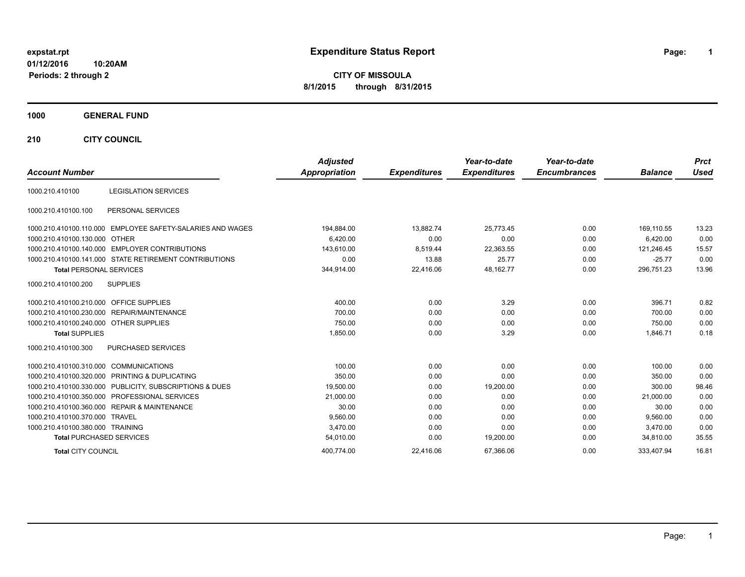## **01/12/2016 10:20AM**

**Periods: 2 through 2**

**1**

**CITY OF MISSOULA 8/1/2015 through 8/31/2015**

## **1000 GENERAL FUND**

**210 CITY COUNCIL**

| <b>Account Number</b>                  |                                                            | <b>Adjusted</b><br><b>Appropriation</b> | <b>Expenditures</b> | Year-to-date<br><b>Expenditures</b> | Year-to-date<br><b>Encumbrances</b> | <b>Balance</b> | <b>Prct</b><br><b>Used</b> |
|----------------------------------------|------------------------------------------------------------|-----------------------------------------|---------------------|-------------------------------------|-------------------------------------|----------------|----------------------------|
| 1000.210.410100                        | <b>LEGISLATION SERVICES</b>                                |                                         |                     |                                     |                                     |                |                            |
| 1000.210.410100.100                    | PERSONAL SERVICES                                          |                                         |                     |                                     |                                     |                |                            |
|                                        | 1000.210.410100.110.000 EMPLOYEE SAFETY-SALARIES AND WAGES | 194,884.00                              | 13.882.74           | 25,773.45                           | 0.00                                | 169.110.55     | 13.23                      |
| 1000.210.410100.130.000                | <b>OTHER</b>                                               | 6,420.00                                | 0.00                | 0.00                                | 0.00                                | 6,420.00       | 0.00                       |
|                                        | 1000.210.410100.140.000 EMPLOYER CONTRIBUTIONS             | 143,610.00                              | 8,519.44            | 22,363.55                           | 0.00                                | 121,246.45     | 15.57                      |
|                                        | 1000.210.410100.141.000 STATE RETIREMENT CONTRIBUTIONS     | 0.00                                    | 13.88               | 25.77                               | 0.00                                | $-25.77$       | 0.00                       |
| <b>Total PERSONAL SERVICES</b>         |                                                            | 344,914.00                              | 22,416.06           | 48,162.77                           | 0.00                                | 296,751.23     | 13.96                      |
| 1000.210.410100.200                    | <b>SUPPLIES</b>                                            |                                         |                     |                                     |                                     |                |                            |
| 1000.210.410100.210.000                | <b>OFFICE SUPPLIES</b>                                     | 400.00                                  | 0.00                | 3.29                                | 0.00                                | 396.71         | 0.82                       |
|                                        | 1000.210.410100.230.000 REPAIR/MAINTENANCE                 | 700.00                                  | 0.00                | 0.00                                | 0.00                                | 700.00         | 0.00                       |
| 1000.210.410100.240.000 OTHER SUPPLIES |                                                            | 750.00                                  | 0.00                | 0.00                                | 0.00                                | 750.00         | 0.00                       |
| <b>Total SUPPLIES</b>                  |                                                            | 1,850.00                                | 0.00                | 3.29                                | 0.00                                | 1,846.71       | 0.18                       |
| 1000.210.410100.300                    | <b>PURCHASED SERVICES</b>                                  |                                         |                     |                                     |                                     |                |                            |
| 1000.210.410100.310.000                | <b>COMMUNICATIONS</b>                                      | 100.00                                  | 0.00                | 0.00                                | 0.00                                | 100.00         | 0.00                       |
|                                        | 1000.210.410100.320.000 PRINTING & DUPLICATING             | 350.00                                  | 0.00                | 0.00                                | 0.00                                | 350.00         | 0.00                       |
|                                        | 1000.210.410100.330.000 PUBLICITY, SUBSCRIPTIONS & DUES    | 19,500.00                               | 0.00                | 19,200.00                           | 0.00                                | 300.00         | 98.46                      |
|                                        | 1000.210.410100.350.000 PROFESSIONAL SERVICES              | 21,000.00                               | 0.00                | 0.00                                | 0.00                                | 21,000.00      | 0.00                       |
|                                        | 1000.210.410100.360.000 REPAIR & MAINTENANCE               | 30.00                                   | 0.00                | 0.00                                | 0.00                                | 30.00          | 0.00                       |
| 1000.210.410100.370.000 TRAVEL         |                                                            | 9,560.00                                | 0.00                | 0.00                                | 0.00                                | 9.560.00       | 0.00                       |
| 1000.210.410100.380.000 TRAINING       |                                                            | 3,470.00                                | 0.00                | 0.00                                | 0.00                                | 3.470.00       | 0.00                       |
| <b>Total PURCHASED SERVICES</b>        |                                                            | 54.010.00                               | 0.00                | 19,200.00                           | 0.00                                | 34.810.00      | 35.55                      |
| <b>Total CITY COUNCIL</b>              |                                                            | 400.774.00                              | 22.416.06           | 67.366.06                           | 0.00                                | 333.407.94     | 16.81                      |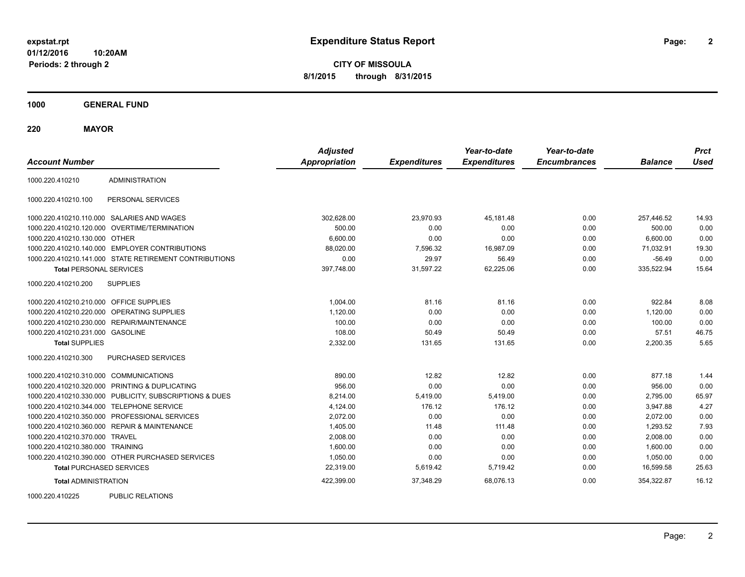**CITY OF MISSOULA 8/1/2015 through 8/31/2015**

**1000 GENERAL FUND**

**220 MAYOR**

| <b>Account Number</b>                   |                                                         | <b>Adjusted</b><br><b>Appropriation</b> | <b>Expenditures</b> | Year-to-date<br><b>Expenditures</b> | Year-to-date<br><b>Encumbrances</b> | <b>Balance</b> | <b>Prct</b><br><b>Used</b> |
|-----------------------------------------|---------------------------------------------------------|-----------------------------------------|---------------------|-------------------------------------|-------------------------------------|----------------|----------------------------|
| 1000.220.410210                         | <b>ADMINISTRATION</b>                                   |                                         |                     |                                     |                                     |                |                            |
| 1000.220.410210.100                     | PERSONAL SERVICES                                       |                                         |                     |                                     |                                     |                |                            |
|                                         | 1000.220.410210.110.000 SALARIES AND WAGES              | 302,628.00                              | 23,970.93           | 45,181.48                           | 0.00                                | 257,446.52     | 14.93                      |
|                                         | 1000.220.410210.120.000 OVERTIME/TERMINATION            | 500.00                                  | 0.00                | 0.00                                | 0.00                                | 500.00         | 0.00                       |
| 1000.220.410210.130.000 OTHER           |                                                         | 6,600.00                                | 0.00                | 0.00                                | 0.00                                | 6,600.00       | 0.00                       |
|                                         | 1000.220.410210.140.000 EMPLOYER CONTRIBUTIONS          | 88,020.00                               | 7,596.32            | 16,987.09                           | 0.00                                | 71,032.91      | 19.30                      |
|                                         | 1000.220.410210.141.000 STATE RETIREMENT CONTRIBUTIONS  | 0.00                                    | 29.97               | 56.49                               | 0.00                                | $-56.49$       | 0.00                       |
| <b>Total PERSONAL SERVICES</b>          |                                                         | 397,748.00                              | 31,597.22           | 62,225.06                           | 0.00                                | 335,522.94     | 15.64                      |
| 1000.220.410210.200                     | <b>SUPPLIES</b>                                         |                                         |                     |                                     |                                     |                |                            |
| 1000.220.410210.210.000 OFFICE SUPPLIES |                                                         | 1,004.00                                | 81.16               | 81.16                               | 0.00                                | 922.84         | 8.08                       |
|                                         | 1000.220.410210.220.000 OPERATING SUPPLIES              | 1,120.00                                | 0.00                | 0.00                                | 0.00                                | 1,120.00       | 0.00                       |
|                                         | 1000.220.410210.230.000 REPAIR/MAINTENANCE              | 100.00                                  | 0.00                | 0.00                                | 0.00                                | 100.00         | 0.00                       |
| 1000.220.410210.231.000 GASOLINE        |                                                         | 108.00                                  | 50.49               | 50.49                               | 0.00                                | 57.51          | 46.75                      |
| <b>Total SUPPLIES</b>                   |                                                         | 2,332.00                                | 131.65              | 131.65                              | 0.00                                | 2,200.35       | 5.65                       |
| 1000.220.410210.300                     | PURCHASED SERVICES                                      |                                         |                     |                                     |                                     |                |                            |
| 1000.220.410210.310.000 COMMUNICATIONS  |                                                         | 890.00                                  | 12.82               | 12.82                               | 0.00                                | 877.18         | 1.44                       |
|                                         | 1000.220.410210.320.000 PRINTING & DUPLICATING          | 956.00                                  | 0.00                | 0.00                                | 0.00                                | 956.00         | 0.00                       |
|                                         | 1000.220.410210.330.000 PUBLICITY, SUBSCRIPTIONS & DUES | 8,214.00                                | 5,419.00            | 5,419.00                            | 0.00                                | 2,795.00       | 65.97                      |
|                                         | 1000.220.410210.344.000 TELEPHONE SERVICE               | 4,124.00                                | 176.12              | 176.12                              | 0.00                                | 3,947.88       | 4.27                       |
|                                         | 1000.220.410210.350.000 PROFESSIONAL SERVICES           | 2,072.00                                | 0.00                | 0.00                                | 0.00                                | 2,072.00       | 0.00                       |
|                                         | 1000.220.410210.360.000 REPAIR & MAINTENANCE            | 1,405.00                                | 11.48               | 111.48                              | 0.00                                | 1,293.52       | 7.93                       |
| 1000.220.410210.370.000 TRAVEL          |                                                         | 2,008.00                                | 0.00                | 0.00                                | 0.00                                | 2,008.00       | 0.00                       |
| 1000.220.410210.380.000 TRAINING        |                                                         | 1,600.00                                | 0.00                | 0.00                                | 0.00                                | 1,600.00       | 0.00                       |
|                                         | 1000.220.410210.390.000 OTHER PURCHASED SERVICES        | 1,050.00                                | 0.00                | 0.00                                | 0.00                                | 1,050.00       | 0.00                       |
| <b>Total PURCHASED SERVICES</b>         |                                                         | 22,319.00                               | 5,619.42            | 5,719.42                            | 0.00                                | 16,599.58      | 25.63                      |
| <b>Total ADMINISTRATION</b>             |                                                         | 422,399.00                              | 37,348.29           | 68,076.13                           | 0.00                                | 354,322.87     | 16.12                      |
| 1000000110005                           | <b>DUDLIO DEL ATIONO</b>                                |                                         |                     |                                     |                                     |                |                            |

1000.220.410225 PUBLIC RELATIONS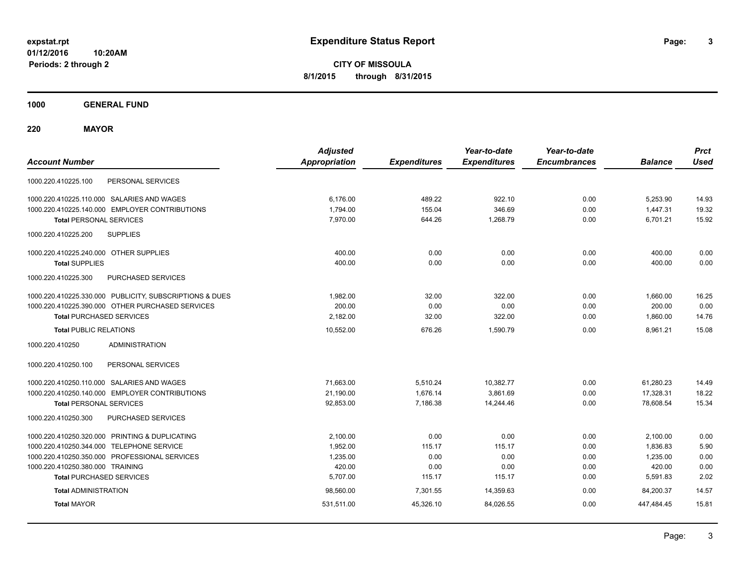**CITY OF MISSOULA 8/1/2015 through 8/31/2015**

**1000 GENERAL FUND**

**220 MAYOR**

| <b>Account Number</b>                                   | <b>Adjusted</b><br><b>Appropriation</b> | <b>Expenditures</b> | Year-to-date<br><b>Expenditures</b> | Year-to-date<br><b>Encumbrances</b> | <b>Balance</b> | <b>Prct</b><br><b>Used</b> |
|---------------------------------------------------------|-----------------------------------------|---------------------|-------------------------------------|-------------------------------------|----------------|----------------------------|
| PERSONAL SERVICES<br>1000.220.410225.100                |                                         |                     |                                     |                                     |                |                            |
| 1000.220.410225.110.000 SALARIES AND WAGES              | 6,176.00                                | 489.22              | 922.10                              | 0.00                                | 5,253.90       | 14.93                      |
| 1000.220.410225.140.000 EMPLOYER CONTRIBUTIONS          | 1,794.00                                | 155.04              | 346.69                              | 0.00                                | 1.447.31       | 19.32                      |
| <b>Total PERSONAL SERVICES</b>                          | 7.970.00                                | 644.26              | 1,268.79                            | 0.00                                | 6.701.21       | 15.92                      |
| <b>SUPPLIES</b><br>1000.220.410225.200                  |                                         |                     |                                     |                                     |                |                            |
| 1000.220.410225.240.000 OTHER SUPPLIES                  | 400.00                                  | 0.00                | 0.00                                | 0.00                                | 400.00         | 0.00                       |
| <b>Total SUPPLIES</b>                                   | 400.00                                  | 0.00                | 0.00                                | 0.00                                | 400.00         | 0.00                       |
| PURCHASED SERVICES<br>1000.220.410225.300               |                                         |                     |                                     |                                     |                |                            |
| 1000.220.410225.330.000 PUBLICITY, SUBSCRIPTIONS & DUES | 1,982.00                                | 32.00               | 322.00                              | 0.00                                | 1,660.00       | 16.25                      |
| 1000.220.410225.390.000 OTHER PURCHASED SERVICES        | 200.00                                  | 0.00                | 0.00                                | 0.00                                | 200.00         | 0.00                       |
| <b>Total PURCHASED SERVICES</b>                         | 2,182.00                                | 32.00               | 322.00                              | 0.00                                | 1,860.00       | 14.76                      |
| <b>Total PUBLIC RELATIONS</b>                           | 10,552.00                               | 676.26              | 1.590.79                            | 0.00                                | 8.961.21       | 15.08                      |
| <b>ADMINISTRATION</b><br>1000.220.410250                |                                         |                     |                                     |                                     |                |                            |
| 1000.220.410250.100<br>PERSONAL SERVICES                |                                         |                     |                                     |                                     |                |                            |
| 1000.220.410250.110.000 SALARIES AND WAGES              | 71,663.00                               | 5,510.24            | 10,382.77                           | 0.00                                | 61,280.23      | 14.49                      |
| 1000.220.410250.140.000 EMPLOYER CONTRIBUTIONS          | 21,190.00                               | 1,676.14            | 3,861.69                            | 0.00                                | 17,328.31      | 18.22                      |
| <b>Total PERSONAL SERVICES</b>                          | 92,853.00                               | 7,186.38            | 14,244.46                           | 0.00                                | 78,608.54      | 15.34                      |
| 1000.220.410250.300<br>PURCHASED SERVICES               |                                         |                     |                                     |                                     |                |                            |
| 1000.220.410250.320.000 PRINTING & DUPLICATING          | 2,100.00                                | 0.00                | 0.00                                | 0.00                                | 2,100.00       | 0.00                       |
| 1000.220.410250.344.000 TELEPHONE SERVICE               | 1,952.00                                | 115.17              | 115.17                              | 0.00                                | 1,836.83       | 5.90                       |
| 1000.220.410250.350.000 PROFESSIONAL SERVICES           | 1,235.00                                | 0.00                | 0.00                                | 0.00                                | 1,235.00       | 0.00                       |
| 1000.220.410250.380.000 TRAINING                        | 420.00                                  | 0.00                | 0.00                                | 0.00                                | 420.00         | 0.00                       |
| <b>Total PURCHASED SERVICES</b>                         | 5,707.00                                | 115.17              | 115.17                              | 0.00                                | 5,591.83       | 2.02                       |
| <b>Total ADMINISTRATION</b>                             | 98,560.00                               | 7,301.55            | 14,359.63                           | 0.00                                | 84.200.37      | 14.57                      |
| <b>Total MAYOR</b>                                      | 531,511.00                              | 45,326.10           | 84,026.55                           | 0.00                                | 447,484.45     | 15.81                      |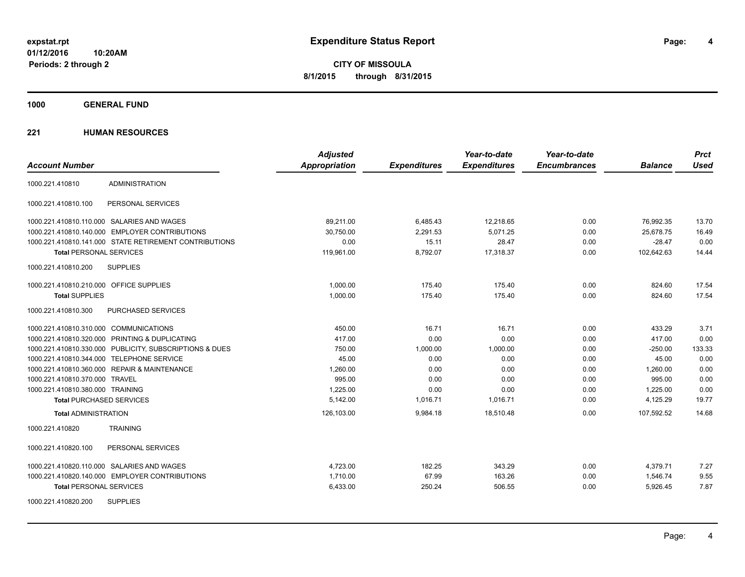**4**

**CITY OF MISSOULA 8/1/2015 through 8/31/2015**

**1000 GENERAL FUND**

| <b>Account Number</b>                   |                                                         | <b>Adjusted</b><br><b>Appropriation</b> | <b>Expenditures</b> | Year-to-date<br><b>Expenditures</b> | Year-to-date<br><b>Encumbrances</b> | <b>Balance</b> | <b>Prct</b><br><b>Used</b> |
|-----------------------------------------|---------------------------------------------------------|-----------------------------------------|---------------------|-------------------------------------|-------------------------------------|----------------|----------------------------|
| 1000.221.410810                         | <b>ADMINISTRATION</b>                                   |                                         |                     |                                     |                                     |                |                            |
| 1000.221.410810.100                     | PERSONAL SERVICES                                       |                                         |                     |                                     |                                     |                |                            |
|                                         | 1000.221.410810.110.000 SALARIES AND WAGES              | 89,211.00                               | 6,485.43            | 12,218.65                           | 0.00                                | 76,992.35      | 13.70                      |
|                                         | 1000.221.410810.140.000 EMPLOYER CONTRIBUTIONS          | 30,750.00                               | 2,291.53            | 5.071.25                            | 0.00                                | 25,678.75      | 16.49                      |
|                                         | 1000.221.410810.141.000 STATE RETIREMENT CONTRIBUTIONS  | 0.00                                    | 15.11               | 28.47                               | 0.00                                | $-28.47$       | 0.00                       |
| <b>Total PERSONAL SERVICES</b>          |                                                         | 119,961.00                              | 8,792.07            | 17,318.37                           | 0.00                                | 102,642.63     | 14.44                      |
| 1000.221.410810.200                     | <b>SUPPLIES</b>                                         |                                         |                     |                                     |                                     |                |                            |
| 1000.221.410810.210.000 OFFICE SUPPLIES |                                                         | 1,000.00                                | 175.40              | 175.40                              | 0.00                                | 824.60         | 17.54                      |
| <b>Total SUPPLIES</b>                   |                                                         | 1,000.00                                | 175.40              | 175.40                              | 0.00                                | 824.60         | 17.54                      |
| 1000.221.410810.300                     | PURCHASED SERVICES                                      |                                         |                     |                                     |                                     |                |                            |
| 1000.221.410810.310.000 COMMUNICATIONS  |                                                         | 450.00                                  | 16.71               | 16.71                               | 0.00                                | 433.29         | 3.71                       |
|                                         | 1000.221.410810.320.000 PRINTING & DUPLICATING          | 417.00                                  | 0.00                | 0.00                                | 0.00                                | 417.00         | 0.00                       |
|                                         | 1000.221.410810.330.000 PUBLICITY, SUBSCRIPTIONS & DUES | 750.00                                  | 1,000.00            | 1,000.00                            | 0.00                                | $-250.00$      | 133.33                     |
|                                         | 1000.221.410810.344.000 TELEPHONE SERVICE               | 45.00                                   | 0.00                | 0.00                                | 0.00                                | 45.00          | 0.00                       |
|                                         | 1000.221.410810.360.000 REPAIR & MAINTENANCE            | 1,260.00                                | 0.00                | 0.00                                | 0.00                                | 1,260.00       | 0.00                       |
| 1000.221.410810.370.000 TRAVEL          |                                                         | 995.00                                  | 0.00                | 0.00                                | 0.00                                | 995.00         | 0.00                       |
| 1000.221.410810.380.000 TRAINING        |                                                         | 1,225.00                                | 0.00                | 0.00                                | 0.00                                | 1,225.00       | 0.00                       |
| <b>Total PURCHASED SERVICES</b>         |                                                         | 5,142.00                                | 1,016.71            | 1,016.71                            | 0.00                                | 4,125.29       | 19.77                      |
| <b>Total ADMINISTRATION</b>             |                                                         | 126,103.00                              | 9,984.18            | 18,510.48                           | 0.00                                | 107,592.52     | 14.68                      |
| 1000.221.410820                         | <b>TRAINING</b>                                         |                                         |                     |                                     |                                     |                |                            |
| 1000.221.410820.100                     | PERSONAL SERVICES                                       |                                         |                     |                                     |                                     |                |                            |
|                                         | 1000.221.410820.110.000 SALARIES AND WAGES              | 4,723.00                                | 182.25              | 343.29                              | 0.00                                | 4,379.71       | 7.27                       |
|                                         | 1000.221.410820.140.000 EMPLOYER CONTRIBUTIONS          | 1,710.00                                | 67.99               | 163.26                              | 0.00                                | 1,546.74       | 9.55                       |
| <b>Total PERSONAL SERVICES</b>          |                                                         | 6,433.00                                | 250.24              | 506.55                              | 0.00                                | 5,926.45       | 7.87                       |
| 1000.221.410820.200                     | <b>SUPPLIES</b>                                         |                                         |                     |                                     |                                     |                |                            |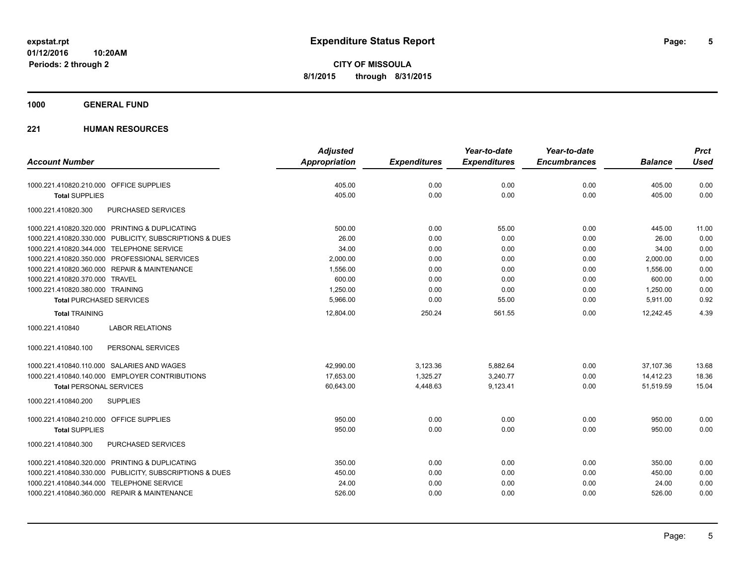**1000 GENERAL FUND**

| <b>Account Number</b>                                   | <b>Adjusted</b><br><b>Appropriation</b> | <b>Expenditures</b> | Year-to-date<br><b>Expenditures</b> | Year-to-date<br><b>Encumbrances</b> | <b>Balance</b> | <b>Prct</b><br><b>Used</b> |
|---------------------------------------------------------|-----------------------------------------|---------------------|-------------------------------------|-------------------------------------|----------------|----------------------------|
|                                                         |                                         |                     |                                     |                                     |                |                            |
| 1000.221.410820.210.000 OFFICE SUPPLIES                 | 405.00                                  | 0.00                | 0.00                                | 0.00                                | 405.00         | 0.00                       |
| <b>Total SUPPLIES</b>                                   | 405.00                                  | 0.00                | 0.00                                | 0.00                                | 405.00         | 0.00                       |
| 1000.221.410820.300<br><b>PURCHASED SERVICES</b>        |                                         |                     |                                     |                                     |                |                            |
| 1000.221.410820.320.000 PRINTING & DUPLICATING          | 500.00                                  | 0.00                | 55.00                               | 0.00                                | 445.00         | 11.00                      |
| 1000.221.410820.330.000 PUBLICITY, SUBSCRIPTIONS & DUES | 26.00                                   | 0.00                | 0.00                                | 0.00                                | 26.00          | 0.00                       |
| 1000.221.410820.344.000 TELEPHONE SERVICE               | 34.00                                   | 0.00                | 0.00                                | 0.00                                | 34.00          | 0.00                       |
| 1000.221.410820.350.000 PROFESSIONAL SERVICES           | 2,000.00                                | 0.00                | 0.00                                | 0.00                                | 2,000.00       | 0.00                       |
| 1000.221.410820.360.000 REPAIR & MAINTENANCE            | 1,556.00                                | 0.00                | 0.00                                | 0.00                                | 1,556.00       | 0.00                       |
| 1000.221.410820.370.000 TRAVEL                          | 600.00                                  | 0.00                | 0.00                                | 0.00                                | 600.00         | 0.00                       |
| 1000.221.410820.380.000 TRAINING                        | 1,250.00                                | 0.00                | 0.00                                | 0.00                                | 1,250.00       | 0.00                       |
| <b>Total PURCHASED SERVICES</b>                         | 5,966.00                                | 0.00                | 55.00                               | 0.00                                | 5,911.00       | 0.92                       |
| <b>Total TRAINING</b>                                   | 12,804.00                               | 250.24              | 561.55                              | 0.00                                | 12,242.45      | 4.39                       |
| <b>LABOR RELATIONS</b><br>1000.221.410840               |                                         |                     |                                     |                                     |                |                            |
| 1000.221.410840.100<br>PERSONAL SERVICES                |                                         |                     |                                     |                                     |                |                            |
| 1000.221.410840.110.000 SALARIES AND WAGES              | 42,990.00                               | 3,123.36            | 5,882.64                            | 0.00                                | 37,107.36      | 13.68                      |
| 1000.221.410840.140.000 EMPLOYER CONTRIBUTIONS          | 17.653.00                               | 1,325.27            | 3,240.77                            | 0.00                                | 14,412.23      | 18.36                      |
| <b>Total PERSONAL SERVICES</b>                          | 60,643.00                               | 4,448.63            | 9,123.41                            | 0.00                                | 51,519.59      | 15.04                      |
| <b>SUPPLIES</b><br>1000.221.410840.200                  |                                         |                     |                                     |                                     |                |                            |
| 1000.221.410840.210.000 OFFICE SUPPLIES                 | 950.00                                  | 0.00                | 0.00                                | 0.00                                | 950.00         | 0.00                       |
| <b>Total SUPPLIES</b>                                   | 950.00                                  | 0.00                | 0.00                                | 0.00                                | 950.00         | 0.00                       |
| 1000.221.410840.300<br>PURCHASED SERVICES               |                                         |                     |                                     |                                     |                |                            |
| 1000.221.410840.320.000 PRINTING & DUPLICATING          | 350.00                                  | 0.00                | 0.00                                | 0.00                                | 350.00         | 0.00                       |
| 1000.221.410840.330.000 PUBLICITY, SUBSCRIPTIONS & DUES | 450.00                                  | 0.00                | 0.00                                | 0.00                                | 450.00         | 0.00                       |
| 1000.221.410840.344.000 TELEPHONE SERVICE               | 24.00                                   | 0.00                | 0.00                                | 0.00                                | 24.00          | 0.00                       |
| 1000.221.410840.360.000 REPAIR & MAINTENANCE            | 526.00                                  | 0.00                | 0.00                                | 0.00                                | 526.00         | 0.00                       |
|                                                         |                                         |                     |                                     |                                     |                |                            |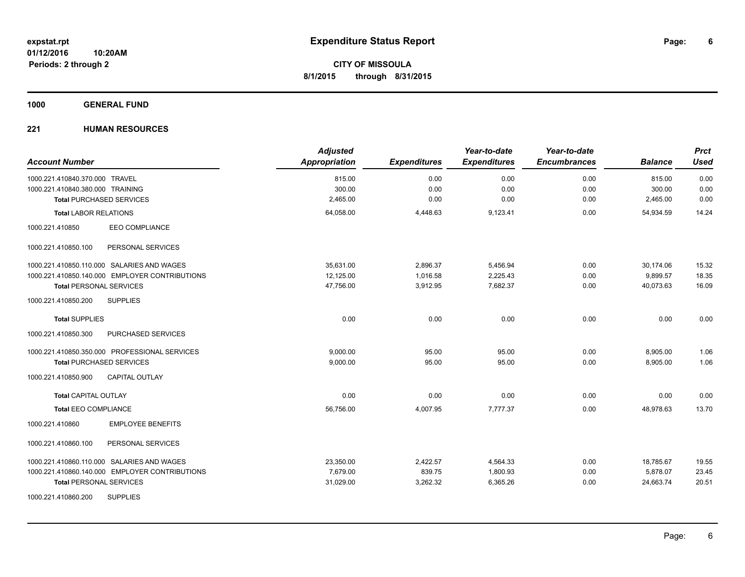### **1000 GENERAL FUND**

| <b>Account Number</b>                          | <b>Adjusted</b><br>Appropriation | <b>Expenditures</b> | Year-to-date<br><b>Expenditures</b> | Year-to-date<br><b>Encumbrances</b> | <b>Balance</b> | <b>Prct</b><br><b>Used</b> |
|------------------------------------------------|----------------------------------|---------------------|-------------------------------------|-------------------------------------|----------------|----------------------------|
| 1000.221.410840.370.000 TRAVEL                 | 815.00                           | 0.00                | 0.00                                | 0.00                                | 815.00         | 0.00                       |
| 1000.221.410840.380.000 TRAINING               | 300.00                           | 0.00                | 0.00                                | 0.00                                | 300.00         | 0.00                       |
| <b>Total PURCHASED SERVICES</b>                | 2,465.00                         | 0.00                | 0.00                                | 0.00                                | 2,465.00       | 0.00                       |
| <b>Total LABOR RELATIONS</b>                   | 64,058.00                        | 4,448.63            | 9,123.41                            | 0.00                                | 54,934.59      | 14.24                      |
| 1000.221.410850<br><b>EEO COMPLIANCE</b>       |                                  |                     |                                     |                                     |                |                            |
| 1000.221.410850.100<br>PERSONAL SERVICES       |                                  |                     |                                     |                                     |                |                            |
| 1000.221.410850.110.000 SALARIES AND WAGES     | 35.631.00                        | 2,896.37            | 5,456.94                            | 0.00                                | 30,174.06      | 15.32                      |
| 1000.221.410850.140.000 EMPLOYER CONTRIBUTIONS | 12,125.00                        | 1,016.58            | 2,225.43                            | 0.00                                | 9,899.57       | 18.35                      |
| <b>Total PERSONAL SERVICES</b>                 | 47,756.00                        | 3,912.95            | 7.682.37                            | 0.00                                | 40.073.63      | 16.09                      |
| 1000.221.410850.200<br><b>SUPPLIES</b>         |                                  |                     |                                     |                                     |                |                            |
| <b>Total SUPPLIES</b>                          | 0.00                             | 0.00                | 0.00                                | 0.00                                | 0.00           | 0.00                       |
| PURCHASED SERVICES<br>1000.221.410850.300      |                                  |                     |                                     |                                     |                |                            |
| 1000.221.410850.350.000 PROFESSIONAL SERVICES  | 9.000.00                         | 95.00               | 95.00                               | 0.00                                | 8,905.00       | 1.06                       |
| <b>Total PURCHASED SERVICES</b>                | 9,000.00                         | 95.00               | 95.00                               | 0.00                                | 8,905.00       | 1.06                       |
| <b>CAPITAL OUTLAY</b><br>1000.221.410850.900   |                                  |                     |                                     |                                     |                |                            |
| <b>Total CAPITAL OUTLAY</b>                    | 0.00                             | 0.00                | 0.00                                | 0.00                                | 0.00           | 0.00                       |
| <b>Total EEO COMPLIANCE</b>                    | 56,756.00                        | 4,007.95            | 7,777.37                            | 0.00                                | 48,978.63      | 13.70                      |
| <b>EMPLOYEE BENEFITS</b><br>1000.221.410860    |                                  |                     |                                     |                                     |                |                            |
| 1000.221.410860.100<br>PERSONAL SERVICES       |                                  |                     |                                     |                                     |                |                            |
| 1000.221.410860.110.000 SALARIES AND WAGES     | 23,350.00                        | 2,422.57            | 4,564.33                            | 0.00                                | 18,785.67      | 19.55                      |
| 1000.221.410860.140.000 EMPLOYER CONTRIBUTIONS | 7,679.00                         | 839.75              | 1,800.93                            | 0.00                                | 5,878.07       | 23.45                      |
| <b>Total PERSONAL SERVICES</b>                 | 31,029.00                        | 3,262.32            | 6,365.26                            | 0.00                                | 24,663.74      | 20.51                      |
| <b>SUPPLIES</b><br>1000.221.410860.200         |                                  |                     |                                     |                                     |                |                            |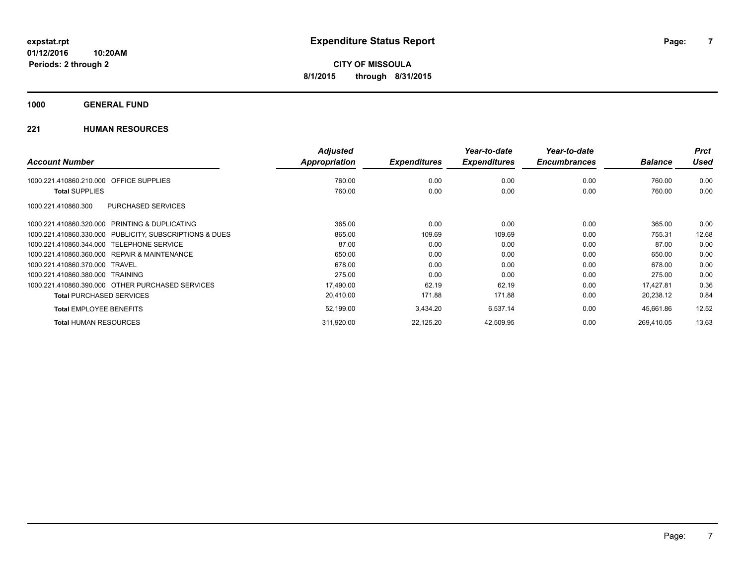**1000 GENERAL FUND**

|                                                         | <b>Adjusted</b>      |                     | Year-to-date        | Year-to-date        |                | <b>Prct</b> |
|---------------------------------------------------------|----------------------|---------------------|---------------------|---------------------|----------------|-------------|
| <b>Account Number</b>                                   | <b>Appropriation</b> | <b>Expenditures</b> | <b>Expenditures</b> | <b>Encumbrances</b> | <b>Balance</b> | Used        |
| <b>OFFICE SUPPLIES</b><br>1000.221.410860.210.000       | 760.00               | 0.00                | 0.00                | 0.00                | 760.00         | 0.00        |
| <b>Total SUPPLIES</b>                                   | 760.00               | 0.00                | 0.00                | 0.00                | 760.00         | 0.00        |
| PURCHASED SERVICES<br>1000.221.410860.300               |                      |                     |                     |                     |                |             |
| 1000.221.410860.320.000 PRINTING & DUPLICATING          | 365.00               | 0.00                | 0.00                | 0.00                | 365.00         | 0.00        |
| 1000.221.410860.330.000 PUBLICITY, SUBSCRIPTIONS & DUES | 865.00               | 109.69              | 109.69              | 0.00                | 755.31         | 12.68       |
| 1000.221.410860.344.000 TELEPHONE SERVICE               | 87.00                | 0.00                | 0.00                | 0.00                | 87.00          | 0.00        |
| 1000.221.410860.360.000 REPAIR & MAINTENANCE            | 650.00               | 0.00                | 0.00                | 0.00                | 650.00         | 0.00        |
| 1000.221.410860.370.000 TRAVEL                          | 678.00               | 0.00                | 0.00                | 0.00                | 678.00         | 0.00        |
| 1000.221.410860.380.000 TRAINING                        | 275.00               | 0.00                | 0.00                | 0.00                | 275.00         | 0.00        |
| 1000.221.410860.390.000 OTHER PURCHASED SERVICES        | 17,490.00            | 62.19               | 62.19               | 0.00                | 17,427.81      | 0.36        |
| <b>Total PURCHASED SERVICES</b>                         | 20,410.00            | 171.88              | 171.88              | 0.00                | 20,238.12      | 0.84        |
| <b>Total EMPLOYEE BENEFITS</b>                          | 52,199.00            | 3,434.20            | 6,537.14            | 0.00                | 45,661.86      | 12.52       |
| <b>Total HUMAN RESOURCES</b>                            | 311,920.00           | 22,125.20           | 42,509.95           | 0.00                | 269.410.05     | 13.63       |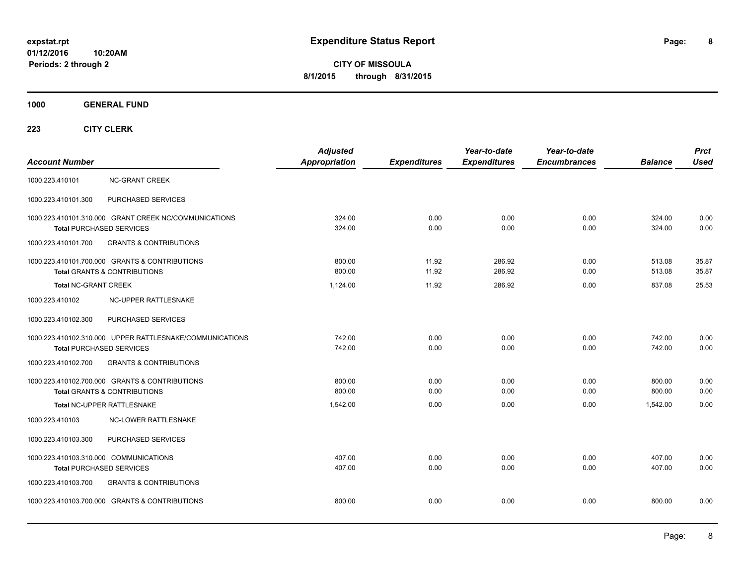**CITY OF MISSOULA 8/1/2015 through 8/31/2015**

**1000 GENERAL FUND**

| <b>Account Number</b>                                                                       | <b>Adjusted</b><br>Appropriation | <b>Expenditures</b> | Year-to-date<br><b>Expenditures</b> | Year-to-date<br><b>Encumbrances</b> | <b>Balance</b>   | <b>Prct</b><br><b>Used</b> |
|---------------------------------------------------------------------------------------------|----------------------------------|---------------------|-------------------------------------|-------------------------------------|------------------|----------------------------|
| <b>NC-GRANT CREEK</b><br>1000.223.410101                                                    |                                  |                     |                                     |                                     |                  |                            |
| 1000.223.410101.300<br>PURCHASED SERVICES                                                   |                                  |                     |                                     |                                     |                  |                            |
| 1000.223.410101.310.000 GRANT CREEK NC/COMMUNICATIONS<br><b>Total PURCHASED SERVICES</b>    | 324.00<br>324.00                 | 0.00<br>0.00        | 0.00<br>0.00                        | 0.00<br>0.00                        | 324.00<br>324.00 | 0.00<br>0.00               |
| <b>GRANTS &amp; CONTRIBUTIONS</b><br>1000.223.410101.700                                    |                                  |                     |                                     |                                     |                  |                            |
| 1000.223.410101.700.000 GRANTS & CONTRIBUTIONS<br><b>Total GRANTS &amp; CONTRIBUTIONS</b>   | 800.00<br>800.00                 | 11.92<br>11.92      | 286.92<br>286.92                    | 0.00<br>0.00                        | 513.08<br>513.08 | 35.87<br>35.87             |
| <b>Total NC-GRANT CREEK</b>                                                                 | 1,124.00                         | 11.92               | 286.92                              | 0.00                                | 837.08           | 25.53                      |
| 1000.223.410102<br>NC-UPPER RATTLESNAKE                                                     |                                  |                     |                                     |                                     |                  |                            |
| PURCHASED SERVICES<br>1000.223.410102.300                                                   |                                  |                     |                                     |                                     |                  |                            |
| 1000.223.410102.310.000 UPPER RATTLESNAKE/COMMUNICATIONS<br><b>Total PURCHASED SERVICES</b> | 742.00<br>742.00                 | 0.00<br>0.00        | 0.00<br>0.00                        | 0.00<br>0.00                        | 742.00<br>742.00 | 0.00<br>0.00               |
| 1000.223.410102.700<br><b>GRANTS &amp; CONTRIBUTIONS</b>                                    |                                  |                     |                                     |                                     |                  |                            |
| 1000.223.410102.700.000 GRANTS & CONTRIBUTIONS<br><b>Total GRANTS &amp; CONTRIBUTIONS</b>   | 800.00<br>800.00                 | 0.00<br>0.00        | 0.00<br>0.00                        | 0.00<br>0.00                        | 800.00<br>800.00 | 0.00<br>0.00               |
| <b>Total NC-UPPER RATTLESNAKE</b>                                                           | 1,542.00                         | 0.00                | 0.00                                | 0.00                                | 1.542.00         | 0.00                       |
| 1000.223.410103<br><b>NC-LOWER RATTLESNAKE</b>                                              |                                  |                     |                                     |                                     |                  |                            |
| PURCHASED SERVICES<br>1000.223.410103.300                                                   |                                  |                     |                                     |                                     |                  |                            |
| 1000.223.410103.310.000 COMMUNICATIONS<br><b>Total PURCHASED SERVICES</b>                   | 407.00<br>407.00                 | 0.00<br>0.00        | 0.00<br>0.00                        | 0.00<br>0.00                        | 407.00<br>407.00 | 0.00<br>0.00               |
| 1000.223.410103.700<br><b>GRANTS &amp; CONTRIBUTIONS</b>                                    |                                  |                     |                                     |                                     |                  |                            |
| 1000.223.410103.700.000 GRANTS & CONTRIBUTIONS                                              | 800.00                           | 0.00                | 0.00                                | 0.00                                | 800.00           | 0.00                       |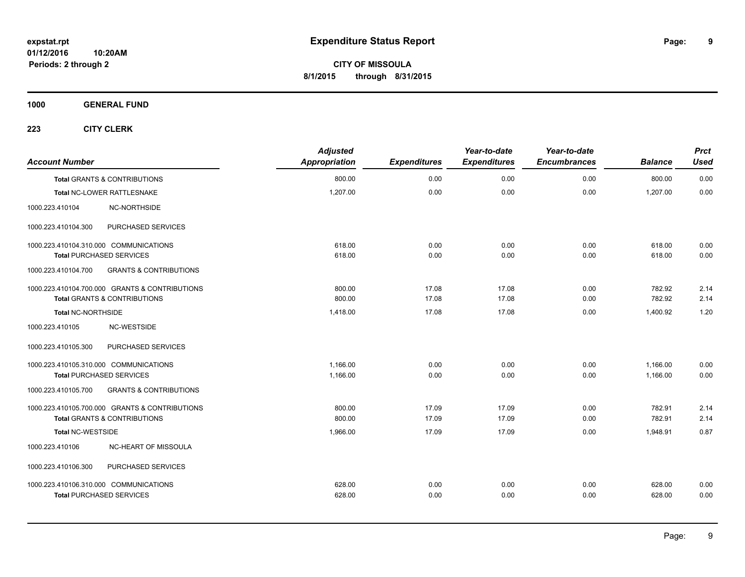**1000 GENERAL FUND**

| <b>Account Number</b>                  |                                                | <b>Adjusted</b><br>Appropriation | <b>Expenditures</b> | Year-to-date<br><b>Expenditures</b> | Year-to-date<br><b>Encumbrances</b> | <b>Balance</b> | <b>Prct</b><br><b>Used</b> |
|----------------------------------------|------------------------------------------------|----------------------------------|---------------------|-------------------------------------|-------------------------------------|----------------|----------------------------|
|                                        | <b>Total GRANTS &amp; CONTRIBUTIONS</b>        | 800.00                           | 0.00                | 0.00                                | 0.00                                | 800.00         | 0.00                       |
|                                        | Total NC-LOWER RATTLESNAKE                     | 1,207.00                         | 0.00                | 0.00                                | 0.00                                | 1,207.00       | 0.00                       |
| 1000.223.410104                        | NC-NORTHSIDE                                   |                                  |                     |                                     |                                     |                |                            |
| 1000.223.410104.300                    | PURCHASED SERVICES                             |                                  |                     |                                     |                                     |                |                            |
| 1000.223.410104.310.000 COMMUNICATIONS |                                                | 618.00                           | 0.00                | 0.00                                | 0.00                                | 618.00         | 0.00                       |
| <b>Total PURCHASED SERVICES</b>        |                                                | 618.00                           | 0.00                | 0.00                                | 0.00                                | 618.00         | 0.00                       |
| 1000.223.410104.700                    | <b>GRANTS &amp; CONTRIBUTIONS</b>              |                                  |                     |                                     |                                     |                |                            |
|                                        | 1000.223.410104.700.000 GRANTS & CONTRIBUTIONS | 800.00                           | 17.08               | 17.08                               | 0.00                                | 782.92         | 2.14                       |
|                                        | <b>Total GRANTS &amp; CONTRIBUTIONS</b>        | 800.00                           | 17.08               | 17.08                               | 0.00                                | 782.92         | 2.14                       |
| <b>Total NC-NORTHSIDE</b>              |                                                | 1,418.00                         | 17.08               | 17.08                               | 0.00                                | 1,400.92       | 1.20                       |
| 1000.223.410105                        | NC-WESTSIDE                                    |                                  |                     |                                     |                                     |                |                            |
| 1000.223.410105.300                    | PURCHASED SERVICES                             |                                  |                     |                                     |                                     |                |                            |
| 1000.223.410105.310.000 COMMUNICATIONS |                                                | 1,166.00                         | 0.00                | 0.00                                | 0.00                                | 1,166.00       | 0.00                       |
| <b>Total PURCHASED SERVICES</b>        |                                                | 1,166.00                         | 0.00                | 0.00                                | 0.00                                | 1,166.00       | 0.00                       |
| 1000.223.410105.700                    | <b>GRANTS &amp; CONTRIBUTIONS</b>              |                                  |                     |                                     |                                     |                |                            |
|                                        | 1000.223.410105.700.000 GRANTS & CONTRIBUTIONS | 800.00                           | 17.09               | 17.09                               | 0.00                                | 782.91         | 2.14                       |
|                                        | <b>Total GRANTS &amp; CONTRIBUTIONS</b>        | 800.00                           | 17.09               | 17.09                               | 0.00                                | 782.91         | 2.14                       |
| <b>Total NC-WESTSIDE</b>               |                                                | 1,966.00                         | 17.09               | 17.09                               | 0.00                                | 1,948.91       | 0.87                       |
| 1000.223.410106                        | NC-HEART OF MISSOULA                           |                                  |                     |                                     |                                     |                |                            |
| 1000.223.410106.300                    | PURCHASED SERVICES                             |                                  |                     |                                     |                                     |                |                            |
| 1000.223.410106.310.000 COMMUNICATIONS |                                                | 628.00                           | 0.00                | 0.00                                | 0.00                                | 628.00         | 0.00                       |
| <b>Total PURCHASED SERVICES</b>        |                                                | 628.00                           | 0.00                | 0.00                                | 0.00                                | 628.00         | 0.00                       |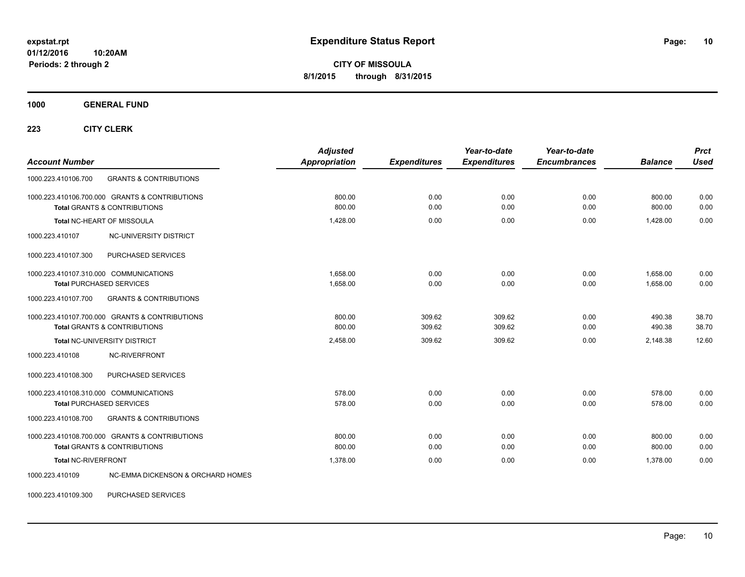**CITY OF MISSOULA 8/1/2015 through 8/31/2015**

**1000 GENERAL FUND**

**223 CITY CLERK**

| <b>Account Number</b>                                                                                                                 | <b>Adjusted</b><br>Appropriation | <b>Expenditures</b> | Year-to-date<br><b>Expenditures</b> | Year-to-date<br><b>Encumbrances</b> | <b>Balance</b>       | <b>Prct</b><br><b>Used</b> |
|---------------------------------------------------------------------------------------------------------------------------------------|----------------------------------|---------------------|-------------------------------------|-------------------------------------|----------------------|----------------------------|
| 1000.223.410106.700<br><b>GRANTS &amp; CONTRIBUTIONS</b>                                                                              |                                  |                     |                                     |                                     |                      |                            |
| 1000.223.410106.700.000 GRANTS & CONTRIBUTIONS<br><b>Total GRANTS &amp; CONTRIBUTIONS</b>                                             | 800.00<br>800.00                 | 0.00<br>0.00        | 0.00<br>0.00                        | 0.00<br>0.00                        | 800.00<br>800.00     | 0.00<br>0.00               |
| Total NC-HEART OF MISSOULA                                                                                                            | 1,428.00                         | 0.00                | 0.00                                | 0.00                                | 1,428.00             | 0.00                       |
| NC-UNIVERSITY DISTRICT<br>1000.223.410107                                                                                             |                                  |                     |                                     |                                     |                      |                            |
| PURCHASED SERVICES<br>1000.223.410107.300                                                                                             |                                  |                     |                                     |                                     |                      |                            |
| 1000.223.410107.310.000 COMMUNICATIONS<br><b>Total PURCHASED SERVICES</b><br><b>GRANTS &amp; CONTRIBUTIONS</b><br>1000.223.410107.700 | 1.658.00<br>1,658.00             | 0.00<br>0.00        | 0.00<br>0.00                        | 0.00<br>0.00                        | 1.658.00<br>1,658.00 | 0.00<br>0.00               |
| 1000.223.410107.700.000 GRANTS & CONTRIBUTIONS<br><b>Total GRANTS &amp; CONTRIBUTIONS</b>                                             | 800.00<br>800.00                 | 309.62<br>309.62    | 309.62<br>309.62                    | 0.00<br>0.00                        | 490.38<br>490.38     | 38.70<br>38.70             |
| <b>Total NC-UNIVERSITY DISTRICT</b><br>NC-RIVERFRONT<br>1000.223.410108                                                               | 2,458.00                         | 309.62              | 309.62                              | 0.00                                | 2,148.38             | 12.60                      |
| 1000.223.410108.300<br>PURCHASED SERVICES                                                                                             |                                  |                     |                                     |                                     |                      |                            |
| 1000.223.410108.310.000 COMMUNICATIONS<br><b>Total PURCHASED SERVICES</b>                                                             | 578.00<br>578.00                 | 0.00<br>0.00        | 0.00<br>0.00                        | 0.00<br>0.00                        | 578.00<br>578.00     | 0.00<br>0.00               |
| 1000.223.410108.700<br><b>GRANTS &amp; CONTRIBUTIONS</b>                                                                              |                                  |                     |                                     |                                     |                      |                            |
| 1000.223.410108.700.000 GRANTS & CONTRIBUTIONS<br><b>Total GRANTS &amp; CONTRIBUTIONS</b>                                             | 800.00<br>800.00                 | 0.00<br>0.00        | 0.00<br>0.00                        | 0.00<br>0.00                        | 800.00<br>800.00     | 0.00<br>0.00               |
| Total NC-RIVERFRONT                                                                                                                   | 1.378.00                         | 0.00                | 0.00                                | 0.00                                | 1.378.00             | 0.00                       |
| <b>NC-EMMA DICKENSON &amp; ORCHARD HOMES</b><br>1000.223.410109                                                                       |                                  |                     |                                     |                                     |                      |                            |

1000.223.410109.300 PURCHASED SERVICES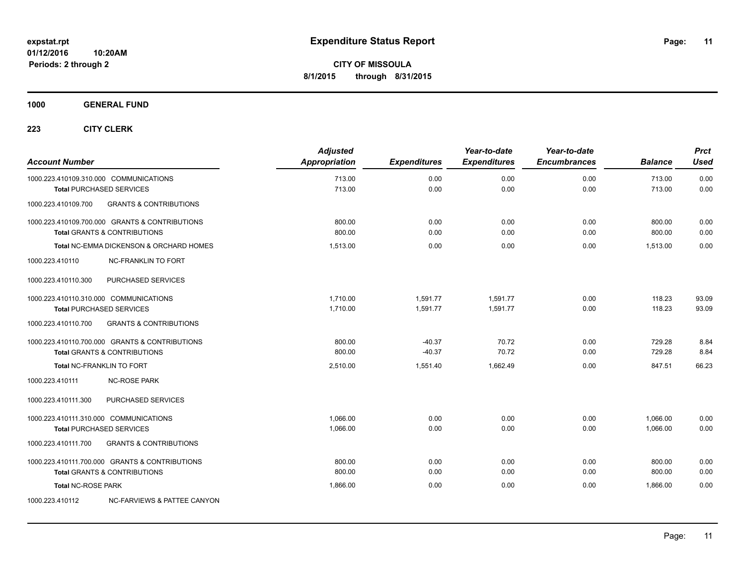**1000 GENERAL FUND**

| <b>Account Number</b>                  |                                                                           | <b>Adjusted</b><br>Appropriation | <b>Expenditures</b> | Year-to-date<br><b>Expenditures</b> | Year-to-date<br><b>Encumbrances</b> | <b>Balance</b>   | <b>Prct</b><br><b>Used</b> |
|----------------------------------------|---------------------------------------------------------------------------|----------------------------------|---------------------|-------------------------------------|-------------------------------------|------------------|----------------------------|
|                                        | 1000.223.410109.310.000 COMMUNICATIONS<br><b>Total PURCHASED SERVICES</b> | 713.00<br>713.00                 | 0.00<br>0.00        | 0.00<br>0.00                        | 0.00<br>0.00                        | 713.00<br>713.00 | 0.00<br>0.00               |
| 1000.223.410109.700                    | <b>GRANTS &amp; CONTRIBUTIONS</b>                                         |                                  |                     |                                     |                                     |                  |                            |
|                                        | 1000.223.410109.700.000 GRANTS & CONTRIBUTIONS                            | 800.00                           | 0.00                | 0.00                                | 0.00                                | 800.00           | 0.00                       |
|                                        | <b>Total GRANTS &amp; CONTRIBUTIONS</b>                                   | 800.00                           | 0.00                | 0.00                                | 0.00                                | 800.00           | 0.00                       |
|                                        | <b>Total NC-EMMA DICKENSON &amp; ORCHARD HOMES</b>                        | 1.513.00                         | 0.00                | 0.00                                | 0.00                                | 1.513.00         | 0.00                       |
| 1000.223.410110                        | <b>NC-FRANKLIN TO FORT</b>                                                |                                  |                     |                                     |                                     |                  |                            |
| 1000.223.410110.300                    | PURCHASED SERVICES                                                        |                                  |                     |                                     |                                     |                  |                            |
|                                        | 1000.223.410110.310.000 COMMUNICATIONS                                    | 1,710.00                         | 1,591.77            | 1,591.77                            | 0.00                                | 118.23           | 93.09                      |
|                                        | <b>Total PURCHASED SERVICES</b>                                           | 1,710.00                         | 1,591.77            | 1,591.77                            | 0.00                                | 118.23           | 93.09                      |
| 1000.223.410110.700                    | <b>GRANTS &amp; CONTRIBUTIONS</b>                                         |                                  |                     |                                     |                                     |                  |                            |
|                                        | 1000.223.410110.700.000 GRANTS & CONTRIBUTIONS                            | 800.00                           | $-40.37$            | 70.72                               | 0.00                                | 729.28           | 8.84                       |
|                                        | <b>Total GRANTS &amp; CONTRIBUTIONS</b>                                   | 800.00                           | $-40.37$            | 70.72                               | 0.00                                | 729.28           | 8.84                       |
|                                        | <b>Total NC-FRANKLIN TO FORT</b>                                          | 2,510.00                         | 1,551.40            | 1.662.49                            | 0.00                                | 847.51           | 66.23                      |
| 1000.223.410111                        | <b>NC-ROSE PARK</b>                                                       |                                  |                     |                                     |                                     |                  |                            |
| 1000.223.410111.300                    | PURCHASED SERVICES                                                        |                                  |                     |                                     |                                     |                  |                            |
| 1000.223.410111.310.000 COMMUNICATIONS |                                                                           | 1,066.00                         | 0.00                | 0.00                                | 0.00                                | 1,066.00         | 0.00                       |
|                                        | <b>Total PURCHASED SERVICES</b>                                           | 1,066.00                         | 0.00                | 0.00                                | 0.00                                | 1,066.00         | 0.00                       |
| 1000.223.410111.700                    | <b>GRANTS &amp; CONTRIBUTIONS</b>                                         |                                  |                     |                                     |                                     |                  |                            |
|                                        | 1000.223.410111.700.000 GRANTS & CONTRIBUTIONS                            | 800.00                           | 0.00                | 0.00                                | 0.00                                | 800.00           | 0.00                       |
|                                        | Total GRANTS & CONTRIBUTIONS                                              | 800.00                           | 0.00                | 0.00                                | 0.00                                | 800.00           | 0.00                       |
| <b>Total NC-ROSE PARK</b>              |                                                                           | 1,866.00                         | 0.00                | 0.00                                | 0.00                                | 1.866.00         | 0.00                       |
| 1000.223.410112                        | <b>NC-FARVIEWS &amp; PATTEE CANYON</b>                                    |                                  |                     |                                     |                                     |                  |                            |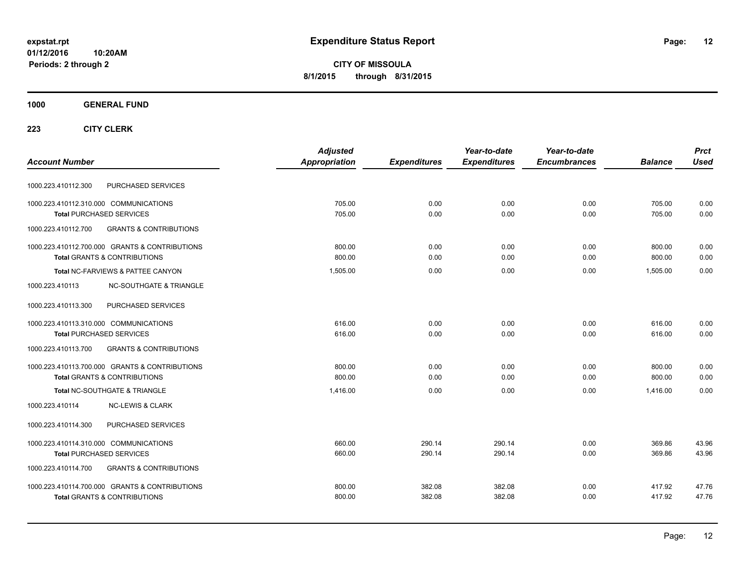**CITY OF MISSOULA 8/1/2015 through 8/31/2015**

### **1000 GENERAL FUND**

|                                                          | <b>Adjusted</b> |                     | Year-to-date        | Year-to-date        |                | <b>Prct</b> |
|----------------------------------------------------------|-----------------|---------------------|---------------------|---------------------|----------------|-------------|
| <b>Account Number</b>                                    | Appropriation   | <b>Expenditures</b> | <b>Expenditures</b> | <b>Encumbrances</b> | <b>Balance</b> | <b>Used</b> |
| PURCHASED SERVICES<br>1000.223.410112.300                |                 |                     |                     |                     |                |             |
| 1000.223.410112.310.000 COMMUNICATIONS                   | 705.00          | 0.00                | 0.00                | 0.00                | 705.00         | 0.00        |
| <b>Total PURCHASED SERVICES</b>                          | 705.00          | 0.00                | 0.00                | 0.00                | 705.00         | 0.00        |
| 1000.223.410112.700<br><b>GRANTS &amp; CONTRIBUTIONS</b> |                 |                     |                     |                     |                |             |
| 1000.223.410112.700.000 GRANTS & CONTRIBUTIONS           | 800.00          | 0.00                | 0.00                | 0.00                | 800.00         | 0.00        |
| <b>Total GRANTS &amp; CONTRIBUTIONS</b>                  | 800.00          | 0.00                | 0.00                | 0.00                | 800.00         | 0.00        |
| Total NC-FARVIEWS & PATTEE CANYON                        | 1,505.00        | 0.00                | 0.00                | 0.00                | 1.505.00       | 0.00        |
| <b>NC-SOUTHGATE &amp; TRIANGLE</b><br>1000.223.410113    |                 |                     |                     |                     |                |             |
| 1000.223.410113.300<br>PURCHASED SERVICES                |                 |                     |                     |                     |                |             |
| 1000.223.410113.310.000 COMMUNICATIONS                   | 616.00          | 0.00                | 0.00                | 0.00                | 616.00         | 0.00        |
| <b>Total PURCHASED SERVICES</b>                          | 616.00          | 0.00                | 0.00                | 0.00                | 616.00         | 0.00        |
| 1000.223.410113.700<br><b>GRANTS &amp; CONTRIBUTIONS</b> |                 |                     |                     |                     |                |             |
| 1000.223.410113.700.000 GRANTS & CONTRIBUTIONS           | 800.00          | 0.00                | 0.00                | 0.00                | 800.00         | 0.00        |
| <b>Total GRANTS &amp; CONTRIBUTIONS</b>                  | 800.00          | 0.00                | 0.00                | 0.00                | 800.00         | 0.00        |
| Total NC-SOUTHGATE & TRIANGLE                            | 1.416.00        | 0.00                | 0.00                | 0.00                | 1.416.00       | 0.00        |
| 1000.223.410114<br><b>NC-LEWIS &amp; CLARK</b>           |                 |                     |                     |                     |                |             |
| PURCHASED SERVICES<br>1000.223.410114.300                |                 |                     |                     |                     |                |             |
| 1000.223.410114.310.000 COMMUNICATIONS                   | 660.00          | 290.14              | 290.14              | 0.00                | 369.86         | 43.96       |
| <b>Total PURCHASED SERVICES</b>                          | 660.00          | 290.14              | 290.14              | 0.00                | 369.86         | 43.96       |
| <b>GRANTS &amp; CONTRIBUTIONS</b><br>1000.223.410114.700 |                 |                     |                     |                     |                |             |
| 1000.223.410114.700.000 GRANTS & CONTRIBUTIONS           | 800.00          | 382.08              | 382.08              | 0.00                | 417.92         | 47.76       |
| <b>Total GRANTS &amp; CONTRIBUTIONS</b>                  | 800.00          | 382.08              | 382.08              | 0.00                | 417.92         | 47.76       |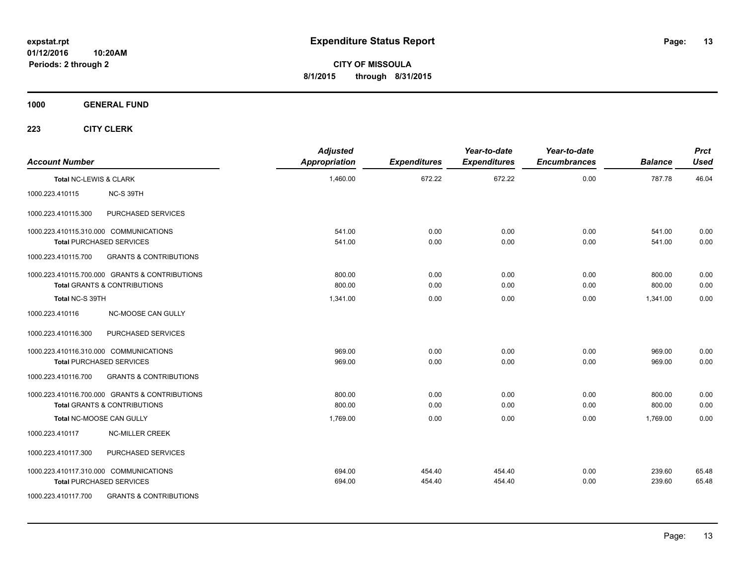**CITY OF MISSOULA 8/1/2015 through 8/31/2015**

**1000 GENERAL FUND**

| <b>Account Number</b>  |                                                | <b>Adjusted</b><br><b>Appropriation</b> | <b>Expenditures</b> | Year-to-date<br><b>Expenditures</b> | Year-to-date<br><b>Encumbrances</b> | <b>Balance</b> | <b>Prct</b><br><b>Used</b> |
|------------------------|------------------------------------------------|-----------------------------------------|---------------------|-------------------------------------|-------------------------------------|----------------|----------------------------|
| Total NC-LEWIS & CLARK |                                                | 1,460.00                                | 672.22              | 672.22                              | 0.00                                | 787.78         | 46.04                      |
| 1000.223.410115        | NC-S 39TH                                      |                                         |                     |                                     |                                     |                |                            |
| 1000.223.410115.300    | PURCHASED SERVICES                             |                                         |                     |                                     |                                     |                |                            |
|                        | 1000.223.410115.310.000 COMMUNICATIONS         | 541.00                                  | 0.00                | 0.00                                | 0.00                                | 541.00         | 0.00                       |
|                        | <b>Total PURCHASED SERVICES</b>                | 541.00                                  | 0.00                | 0.00                                | 0.00                                | 541.00         | 0.00                       |
| 1000.223.410115.700    | <b>GRANTS &amp; CONTRIBUTIONS</b>              |                                         |                     |                                     |                                     |                |                            |
|                        | 1000.223.410115.700.000 GRANTS & CONTRIBUTIONS | 800.00                                  | 0.00                | 0.00                                | 0.00                                | 800.00         | 0.00                       |
|                        | <b>Total GRANTS &amp; CONTRIBUTIONS</b>        | 800.00                                  | 0.00                | 0.00                                | 0.00                                | 800.00         | 0.00                       |
| Total NC-S 39TH        |                                                | 1,341.00                                | 0.00                | 0.00                                | 0.00                                | 1,341.00       | 0.00                       |
| 1000.223.410116        | NC-MOOSE CAN GULLY                             |                                         |                     |                                     |                                     |                |                            |
| 1000.223.410116.300    | PURCHASED SERVICES                             |                                         |                     |                                     |                                     |                |                            |
|                        | 1000.223.410116.310.000 COMMUNICATIONS         | 969.00                                  | 0.00                | 0.00                                | 0.00                                | 969.00         | 0.00                       |
|                        | <b>Total PURCHASED SERVICES</b>                | 969.00                                  | 0.00                | 0.00                                | 0.00                                | 969.00         | 0.00                       |
| 1000.223.410116.700    | <b>GRANTS &amp; CONTRIBUTIONS</b>              |                                         |                     |                                     |                                     |                |                            |
|                        | 1000.223.410116.700.000 GRANTS & CONTRIBUTIONS | 800.00                                  | 0.00                | 0.00                                | 0.00                                | 800.00         | 0.00                       |
|                        | <b>Total GRANTS &amp; CONTRIBUTIONS</b>        | 800.00                                  | 0.00                | 0.00                                | 0.00                                | 800.00         | 0.00                       |
|                        | Total NC-MOOSE CAN GULLY                       | 1,769.00                                | 0.00                | 0.00                                | 0.00                                | 1,769.00       | 0.00                       |
| 1000.223.410117        | <b>NC-MILLER CREEK</b>                         |                                         |                     |                                     |                                     |                |                            |
| 1000.223.410117.300    | PURCHASED SERVICES                             |                                         |                     |                                     |                                     |                |                            |
|                        | 1000.223.410117.310.000 COMMUNICATIONS         | 694.00                                  | 454.40              | 454.40                              | 0.00                                | 239.60         | 65.48                      |
|                        | <b>Total PURCHASED SERVICES</b>                | 694.00                                  | 454.40              | 454.40                              | 0.00                                | 239.60         | 65.48                      |
| 1000.223.410117.700    | <b>GRANTS &amp; CONTRIBUTIONS</b>              |                                         |                     |                                     |                                     |                |                            |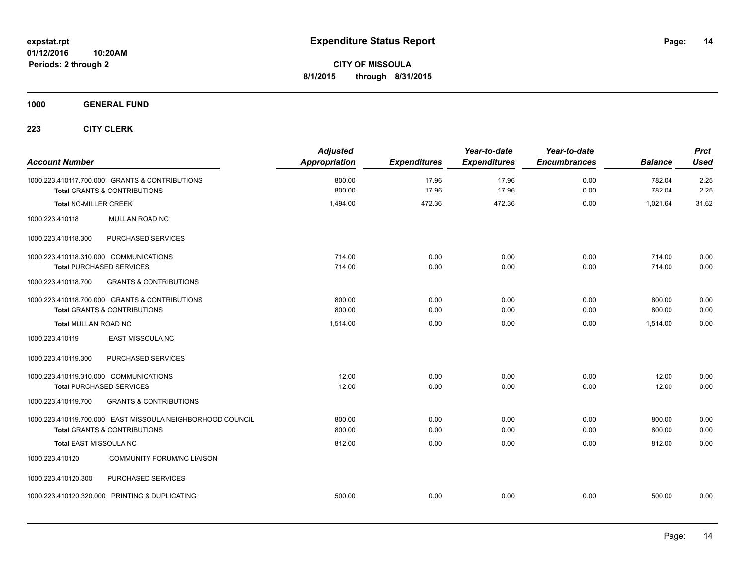**1000 GENERAL FUND**

| <b>Account Number</b>                                                                                 | <b>Adjusted</b><br>Appropriation | <b>Expenditures</b> | Year-to-date<br><b>Expenditures</b> | Year-to-date<br><b>Encumbrances</b> | <b>Balance</b>   | <b>Prct</b><br><b>Used</b> |
|-------------------------------------------------------------------------------------------------------|----------------------------------|---------------------|-------------------------------------|-------------------------------------|------------------|----------------------------|
| 1000.223.410117.700.000 GRANTS & CONTRIBUTIONS<br><b>Total GRANTS &amp; CONTRIBUTIONS</b>             | 800.00<br>800.00                 | 17.96<br>17.96      | 17.96<br>17.96                      | 0.00<br>0.00                        | 782.04<br>782.04 | 2.25<br>2.25               |
| <b>Total NC-MILLER CREEK</b>                                                                          | 1,494.00                         | 472.36              | 472.36                              | 0.00                                | 1,021.64         | 31.62                      |
| MULLAN ROAD NC<br>1000.223.410118                                                                     |                                  |                     |                                     |                                     |                  |                            |
| PURCHASED SERVICES<br>1000.223.410118.300                                                             |                                  |                     |                                     |                                     |                  |                            |
| 1000.223.410118.310.000 COMMUNICATIONS<br><b>Total PURCHASED SERVICES</b>                             | 714.00<br>714.00                 | 0.00<br>0.00        | 0.00<br>0.00                        | 0.00<br>0.00                        | 714.00<br>714.00 | 0.00<br>0.00               |
| 1000.223.410118.700<br><b>GRANTS &amp; CONTRIBUTIONS</b>                                              |                                  |                     |                                     |                                     |                  |                            |
| 1000.223.410118.700.000 GRANTS & CONTRIBUTIONS<br><b>Total GRANTS &amp; CONTRIBUTIONS</b>             | 800.00<br>800.00                 | 0.00<br>0.00        | 0.00<br>0.00                        | 0.00<br>0.00                        | 800.00<br>800.00 | 0.00<br>0.00               |
| <b>Total MULLAN ROAD NC</b>                                                                           | 1,514.00                         | 0.00                | 0.00                                | 0.00                                | 1,514.00         | 0.00                       |
| 1000.223.410119<br><b>EAST MISSOULA NC</b>                                                            |                                  |                     |                                     |                                     |                  |                            |
| PURCHASED SERVICES<br>1000.223.410119.300                                                             |                                  |                     |                                     |                                     |                  |                            |
| 1000.223.410119.310.000 COMMUNICATIONS<br><b>Total PURCHASED SERVICES</b>                             | 12.00<br>12.00                   | 0.00<br>0.00        | 0.00<br>0.00                        | 0.00<br>0.00                        | 12.00<br>12.00   | 0.00<br>0.00               |
| 1000.223.410119.700<br><b>GRANTS &amp; CONTRIBUTIONS</b>                                              |                                  |                     |                                     |                                     |                  |                            |
| 1000.223.410119.700.000 EAST MISSOULA NEIGHBORHOOD COUNCIL<br><b>Total GRANTS &amp; CONTRIBUTIONS</b> | 800.00<br>800.00                 | 0.00<br>0.00        | 0.00<br>0.00                        | 0.00<br>0.00                        | 800.00<br>800.00 | 0.00<br>0.00               |
| <b>Total EAST MISSOULA NC</b>                                                                         | 812.00                           | 0.00                | 0.00                                | 0.00                                | 812.00           | 0.00                       |
| <b>COMMUNITY FORUM/NC LIAISON</b><br>1000.223.410120                                                  |                                  |                     |                                     |                                     |                  |                            |
| PURCHASED SERVICES<br>1000.223.410120.300                                                             |                                  |                     |                                     |                                     |                  |                            |
| 1000.223.410120.320.000 PRINTING & DUPLICATING                                                        | 500.00                           | 0.00                | 0.00                                | 0.00                                | 500.00           | 0.00                       |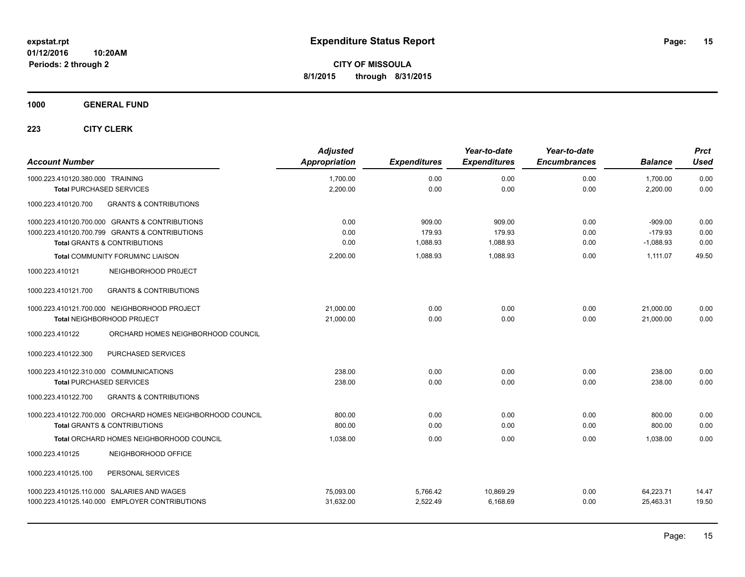**1000 GENERAL FUND**

| <b>Account Number</b>                                                                       | <b>Adjusted</b><br>Appropriation | <b>Expenditures</b> | Year-to-date<br><b>Expenditures</b> | Year-to-date<br><b>Encumbrances</b> | <b>Balance</b>       | <b>Prct</b><br><b>Used</b> |
|---------------------------------------------------------------------------------------------|----------------------------------|---------------------|-------------------------------------|-------------------------------------|----------------------|----------------------------|
| 1000.223.410120.380.000 TRAINING                                                            | 1,700.00                         | 0.00<br>0.00        | 0.00<br>0.00                        | 0.00<br>0.00                        | 1,700.00<br>2,200.00 | 0.00<br>0.00               |
| <b>Total PURCHASED SERVICES</b><br><b>GRANTS &amp; CONTRIBUTIONS</b><br>1000.223.410120.700 | 2,200.00                         |                     |                                     |                                     |                      |                            |
| 1000.223.410120.700.000 GRANTS & CONTRIBUTIONS                                              | 0.00                             | 909.00              | 909.00                              | 0.00                                | $-909.00$            | 0.00                       |
| 1000.223.410120.700.799 GRANTS & CONTRIBUTIONS                                              | 0.00                             | 179.93              | 179.93                              | 0.00                                | $-179.93$            | 0.00                       |
| Total GRANTS & CONTRIBUTIONS                                                                | 0.00                             | 1,088.93            | 1,088.93                            | 0.00                                | $-1,088.93$          | 0.00                       |
| Total COMMUNITY FORUM/NC LIAISON                                                            | 2,200.00                         | 1,088.93            | 1.088.93                            | 0.00                                | 1,111.07             | 49.50                      |
| NEIGHBORHOOD PROJECT<br>1000.223.410121                                                     |                                  |                     |                                     |                                     |                      |                            |
| <b>GRANTS &amp; CONTRIBUTIONS</b><br>1000.223.410121.700                                    |                                  |                     |                                     |                                     |                      |                            |
| 1000.223.410121.700.000 NEIGHBORHOOD PROJECT                                                | 21.000.00                        | 0.00                | 0.00                                | 0.00                                | 21,000.00            | 0.00                       |
| Total NEIGHBORHOOD PROJECT                                                                  | 21,000.00                        | 0.00                | 0.00                                | 0.00                                | 21,000.00            | 0.00                       |
| ORCHARD HOMES NEIGHBORHOOD COUNCIL<br>1000.223.410122                                       |                                  |                     |                                     |                                     |                      |                            |
| PURCHASED SERVICES<br>1000.223.410122.300                                                   |                                  |                     |                                     |                                     |                      |                            |
| 1000.223.410122.310.000 COMMUNICATIONS                                                      | 238.00                           | 0.00                | 0.00                                | 0.00                                | 238.00               | 0.00                       |
| <b>Total PURCHASED SERVICES</b>                                                             | 238.00                           | 0.00                | 0.00                                | 0.00                                | 238.00               | 0.00                       |
| <b>GRANTS &amp; CONTRIBUTIONS</b><br>1000.223.410122.700                                    |                                  |                     |                                     |                                     |                      |                            |
| 1000.223.410122.700.000 ORCHARD HOMES NEIGHBORHOOD COUNCIL                                  | 800.00                           | 0.00                | 0.00                                | 0.00                                | 800.00               | 0.00                       |
| <b>Total GRANTS &amp; CONTRIBUTIONS</b>                                                     | 800.00                           | 0.00                | 0.00                                | 0.00                                | 800.00               | 0.00                       |
| Total ORCHARD HOMES NEIGHBORHOOD COUNCIL                                                    | 1.038.00                         | 0.00                | 0.00                                | 0.00                                | 1.038.00             | 0.00                       |
| NEIGHBORHOOD OFFICE<br>1000.223.410125                                                      |                                  |                     |                                     |                                     |                      |                            |
| 1000.223.410125.100<br>PERSONAL SERVICES                                                    |                                  |                     |                                     |                                     |                      |                            |
| 1000.223.410125.110.000 SALARIES AND WAGES                                                  | 75,093.00                        | 5,766.42            | 10,869.29                           | 0.00                                | 64,223.71            | 14.47                      |
| 1000.223.410125.140.000 EMPLOYER CONTRIBUTIONS                                              | 31,632.00                        | 2.522.49            | 6.168.69                            | 0.00                                | 25,463.31            | 19.50                      |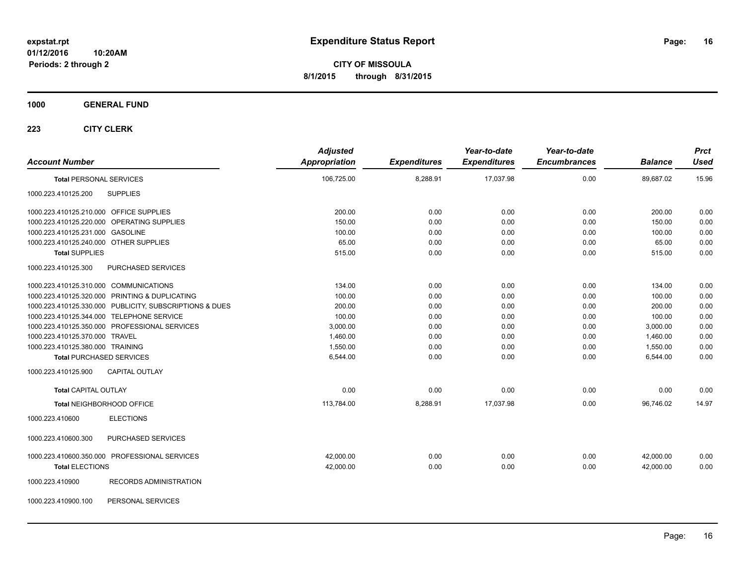**CITY OF MISSOULA 8/1/2015 through 8/31/2015**

**1000 GENERAL FUND**

| <b>Account Number</b>                   |                                                         | <b>Adjusted</b><br>Appropriation | <b>Expenditures</b> | Year-to-date<br><b>Expenditures</b> | Year-to-date<br><b>Encumbrances</b> | <b>Balance</b> | <b>Prct</b><br><b>Used</b> |
|-----------------------------------------|---------------------------------------------------------|----------------------------------|---------------------|-------------------------------------|-------------------------------------|----------------|----------------------------|
| <b>Total PERSONAL SERVICES</b>          |                                                         | 106,725.00                       | 8,288.91            | 17,037.98                           | 0.00                                | 89,687.02      | 15.96                      |
| 1000.223.410125.200                     | <b>SUPPLIES</b>                                         |                                  |                     |                                     |                                     |                |                            |
| 1000.223.410125.210.000 OFFICE SUPPLIES |                                                         | 200.00                           | 0.00                | 0.00                                | 0.00                                | 200.00         | 0.00                       |
|                                         | 1000.223.410125.220.000 OPERATING SUPPLIES              | 150.00                           | 0.00                | 0.00                                | 0.00                                | 150.00         | 0.00                       |
| 1000.223.410125.231.000 GASOLINE        |                                                         | 100.00                           | 0.00                | 0.00                                | 0.00                                | 100.00         | 0.00                       |
| 1000.223.410125.240.000 OTHER SUPPLIES  |                                                         | 65.00                            | 0.00                | 0.00                                | 0.00                                | 65.00          | 0.00                       |
| <b>Total SUPPLIES</b>                   |                                                         | 515.00                           | 0.00                | 0.00                                | 0.00                                | 515.00         | 0.00                       |
| 1000.223.410125.300                     | PURCHASED SERVICES                                      |                                  |                     |                                     |                                     |                |                            |
| 1000.223.410125.310.000 COMMUNICATIONS  |                                                         | 134.00                           | 0.00                | 0.00                                | 0.00                                | 134.00         | 0.00                       |
|                                         | 1000.223.410125.320.000 PRINTING & DUPLICATING          | 100.00                           | 0.00                | 0.00                                | 0.00                                | 100.00         | 0.00                       |
|                                         | 1000.223.410125.330.000 PUBLICITY, SUBSCRIPTIONS & DUES | 200.00                           | 0.00                | 0.00                                | 0.00                                | 200.00         | 0.00                       |
|                                         | 1000.223.410125.344.000 TELEPHONE SERVICE               | 100.00                           | 0.00                | 0.00                                | 0.00                                | 100.00         | 0.00                       |
|                                         | 1000.223.410125.350.000 PROFESSIONAL SERVICES           | 3,000.00                         | 0.00                | 0.00                                | 0.00                                | 3,000.00       | 0.00                       |
| 1000.223.410125.370.000 TRAVEL          |                                                         | 1,460.00                         | 0.00                | 0.00                                | 0.00                                | 1,460.00       | 0.00                       |
| 1000.223.410125.380.000 TRAINING        |                                                         | 1,550.00                         | 0.00                | 0.00                                | 0.00                                | 1,550.00       | 0.00                       |
| <b>Total PURCHASED SERVICES</b>         |                                                         | 6,544.00                         | 0.00                | 0.00                                | 0.00                                | 6,544.00       | 0.00                       |
| 1000.223.410125.900                     | <b>CAPITAL OUTLAY</b>                                   |                                  |                     |                                     |                                     |                |                            |
| <b>Total CAPITAL OUTLAY</b>             |                                                         | 0.00                             | 0.00                | 0.00                                | 0.00                                | 0.00           | 0.00                       |
|                                         | Total NEIGHBORHOOD OFFICE                               | 113,784.00                       | 8,288.91            | 17,037.98                           | 0.00                                | 96.746.02      | 14.97                      |
| 1000.223.410600                         | <b>ELECTIONS</b>                                        |                                  |                     |                                     |                                     |                |                            |
| 1000.223.410600.300                     | PURCHASED SERVICES                                      |                                  |                     |                                     |                                     |                |                            |
|                                         | 1000.223.410600.350.000 PROFESSIONAL SERVICES           | 42,000.00                        | 0.00                | 0.00                                | 0.00                                | 42,000.00      | 0.00                       |
| <b>Total ELECTIONS</b>                  |                                                         | 42,000.00                        | 0.00                | 0.00                                | 0.00                                | 42,000.00      | 0.00                       |
| 1000.223.410900                         | <b>RECORDS ADMINISTRATION</b>                           |                                  |                     |                                     |                                     |                |                            |
| 1000.223.410900.100                     | PERSONAL SERVICES                                       |                                  |                     |                                     |                                     |                |                            |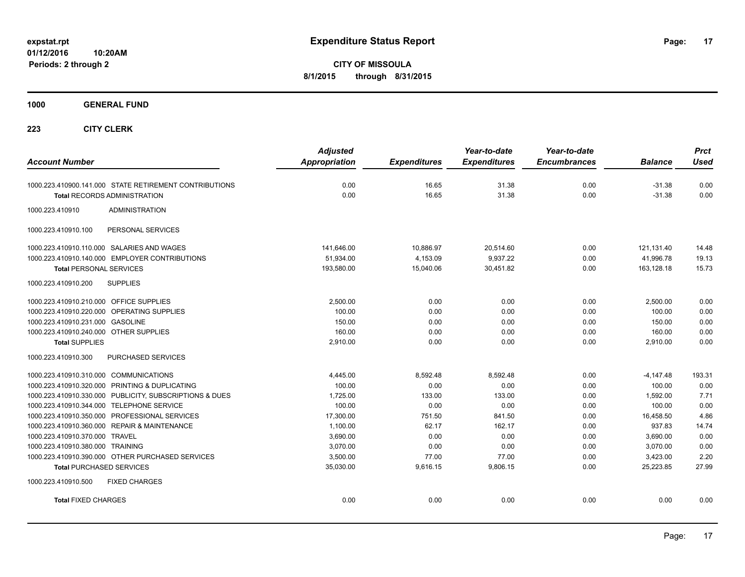**CITY OF MISSOULA 8/1/2015 through 8/31/2015**

**1000 GENERAL FUND**

| <b>Account Number</b>                                   | <b>Adjusted</b><br><b>Appropriation</b> | <b>Expenditures</b> | Year-to-date<br><b>Expenditures</b> | Year-to-date<br><b>Encumbrances</b> | <b>Balance</b> | <b>Prct</b><br><b>Used</b> |
|---------------------------------------------------------|-----------------------------------------|---------------------|-------------------------------------|-------------------------------------|----------------|----------------------------|
| 1000.223.410900.141.000 STATE RETIREMENT CONTRIBUTIONS  | 0.00                                    | 16.65               | 31.38                               | 0.00                                | $-31.38$       | 0.00                       |
| <b>Total RECORDS ADMINISTRATION</b>                     | 0.00                                    | 16.65               | 31.38                               | 0.00                                | $-31.38$       | 0.00                       |
| 1000.223.410910<br><b>ADMINISTRATION</b>                |                                         |                     |                                     |                                     |                |                            |
| PERSONAL SERVICES<br>1000.223.410910.100                |                                         |                     |                                     |                                     |                |                            |
| 1000.223.410910.110.000 SALARIES AND WAGES              | 141,646.00                              | 10,886.97           | 20,514.60                           | 0.00                                | 121,131.40     | 14.48                      |
| 1000.223.410910.140.000 EMPLOYER CONTRIBUTIONS          | 51,934.00                               | 4,153.09            | 9,937.22                            | 0.00                                | 41,996.78      | 19.13                      |
| <b>Total PERSONAL SERVICES</b>                          | 193,580.00                              | 15,040.06           | 30,451.82                           | 0.00                                | 163,128.18     | 15.73                      |
| 1000.223.410910.200<br><b>SUPPLIES</b>                  |                                         |                     |                                     |                                     |                |                            |
| 1000.223.410910.210.000 OFFICE SUPPLIES                 | 2,500.00                                | 0.00                | 0.00                                | 0.00                                | 2,500.00       | 0.00                       |
| 1000.223.410910.220.000 OPERATING SUPPLIES              | 100.00                                  | 0.00                | 0.00                                | 0.00                                | 100.00         | 0.00                       |
| 1000.223.410910.231.000 GASOLINE                        | 150.00                                  | 0.00                | 0.00                                | 0.00                                | 150.00         | 0.00                       |
| 1000.223.410910.240.000 OTHER SUPPLIES                  | 160.00                                  | 0.00                | 0.00                                | 0.00                                | 160.00         | 0.00                       |
| <b>Total SUPPLIES</b>                                   | 2,910.00                                | 0.00                | 0.00                                | 0.00                                | 2,910.00       | 0.00                       |
| 1000.223.410910.300<br>PURCHASED SERVICES               |                                         |                     |                                     |                                     |                |                            |
| 1000.223.410910.310.000 COMMUNICATIONS                  | 4,445.00                                | 8,592.48            | 8,592.48                            | 0.00                                | $-4,147.48$    | 193.31                     |
| 1000.223.410910.320.000 PRINTING & DUPLICATING          | 100.00                                  | 0.00                | 0.00                                | 0.00                                | 100.00         | 0.00                       |
| 1000.223.410910.330.000 PUBLICITY, SUBSCRIPTIONS & DUES | 1,725.00                                | 133.00              | 133.00                              | 0.00                                | 1,592.00       | 7.71                       |
| 1000.223.410910.344.000 TELEPHONE SERVICE               | 100.00                                  | 0.00                | 0.00                                | 0.00                                | 100.00         | 0.00                       |
| 1000.223.410910.350.000 PROFESSIONAL SERVICES           | 17,300.00                               | 751.50              | 841.50                              | 0.00                                | 16,458.50      | 4.86                       |
| 1000.223.410910.360.000 REPAIR & MAINTENANCE            | 1,100.00                                | 62.17               | 162.17                              | 0.00                                | 937.83         | 14.74                      |
| 1000.223.410910.370.000 TRAVEL                          | 3,690.00                                | 0.00                | 0.00                                | 0.00                                | 3,690.00       | 0.00                       |
| 1000.223.410910.380.000 TRAINING                        | 3,070.00                                | 0.00                | 0.00                                | 0.00                                | 3,070.00       | 0.00                       |
| 1000.223.410910.390.000 OTHER PURCHASED SERVICES        | 3,500.00                                | 77.00               | 77.00                               | 0.00                                | 3,423.00       | 2.20                       |
| <b>Total PURCHASED SERVICES</b>                         | 35,030.00                               | 9,616.15            | 9,806.15                            | 0.00                                | 25.223.85      | 27.99                      |
| 1000.223.410910.500<br><b>FIXED CHARGES</b>             |                                         |                     |                                     |                                     |                |                            |
| <b>Total FIXED CHARGES</b>                              | 0.00                                    | 0.00                | 0.00                                | 0.00                                | 0.00           | 0.00                       |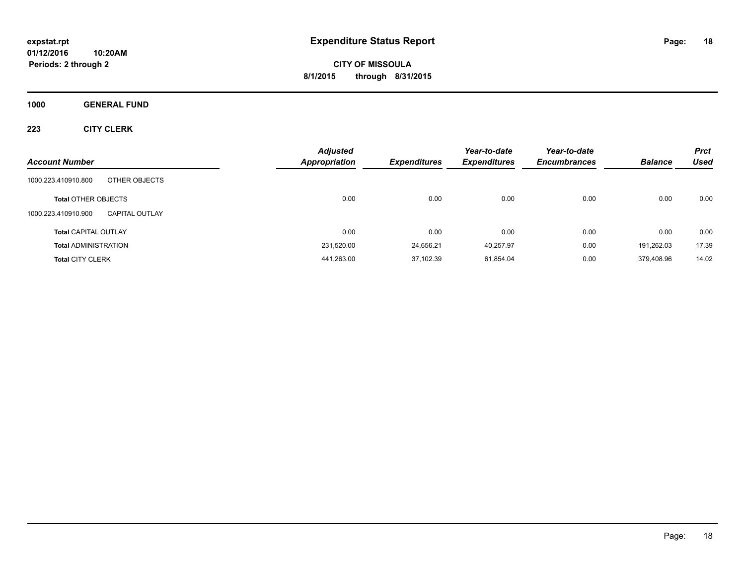**CITY OF MISSOULA 8/1/2015 through 8/31/2015**

**1000 GENERAL FUND**

| <b>Account Number</b>                        | <b>Adjusted</b><br><b>Appropriation</b> | <b>Expenditures</b> | Year-to-date<br><b>Expenditures</b> | Year-to-date<br><b>Encumbrances</b> | <b>Balance</b> | <b>Prct</b><br>Used |
|----------------------------------------------|-----------------------------------------|---------------------|-------------------------------------|-------------------------------------|----------------|---------------------|
| 1000.223.410910.800<br>OTHER OBJECTS         |                                         |                     |                                     |                                     |                |                     |
| <b>Total OTHER OBJECTS</b>                   | 0.00                                    | 0.00                | 0.00                                | 0.00                                | 0.00           | 0.00                |
| 1000.223.410910.900<br><b>CAPITAL OUTLAY</b> |                                         |                     |                                     |                                     |                |                     |
| <b>Total CAPITAL OUTLAY</b>                  | 0.00                                    | 0.00                | 0.00                                | 0.00                                | 0.00           | 0.00                |
| <b>Total ADMINISTRATION</b>                  | 231,520.00                              | 24.656.21           | 40.257.97                           | 0.00                                | 191.262.03     | 17.39               |
| <b>Total CITY CLERK</b>                      | 441,263.00                              | 37,102.39           | 61,854.04                           | 0.00                                | 379.408.96     | 14.02               |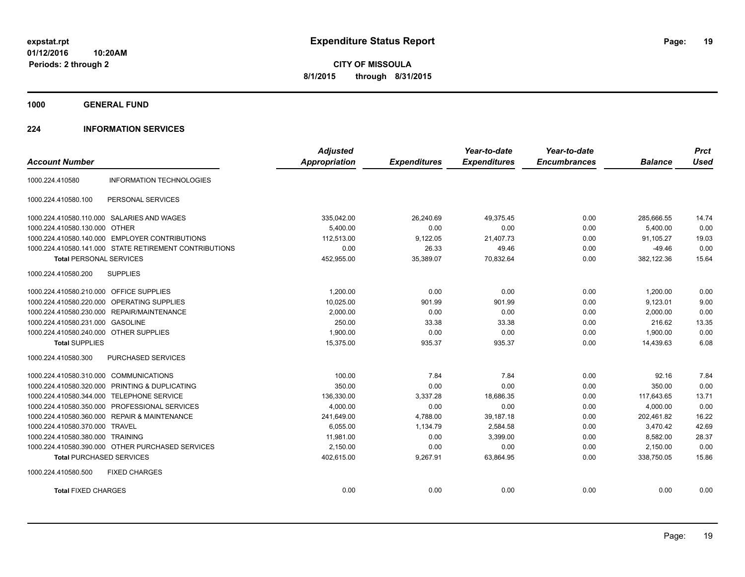**CITY OF MISSOULA 8/1/2015 through 8/31/2015**

**1000 GENERAL FUND**

### **224 INFORMATION SERVICES**

|                                         |                                                        | <b>Adjusted</b>      |                     | Year-to-date        | Year-to-date        |                | <b>Prct</b> |
|-----------------------------------------|--------------------------------------------------------|----------------------|---------------------|---------------------|---------------------|----------------|-------------|
| <b>Account Number</b>                   |                                                        | <b>Appropriation</b> | <b>Expenditures</b> | <b>Expenditures</b> | <b>Encumbrances</b> | <b>Balance</b> | <b>Used</b> |
| 1000.224.410580                         | <b>INFORMATION TECHNOLOGIES</b>                        |                      |                     |                     |                     |                |             |
| 1000.224.410580.100                     | PERSONAL SERVICES                                      |                      |                     |                     |                     |                |             |
|                                         | 1000.224.410580.110.000 SALARIES AND WAGES             | 335,042.00           | 26,240.69           | 49.375.45           | 0.00                | 285,666.55     | 14.74       |
| 1000.224.410580.130.000 OTHER           |                                                        | 5,400.00             | 0.00                | 0.00                | 0.00                | 5,400.00       | 0.00        |
|                                         | 1000.224.410580.140.000 EMPLOYER CONTRIBUTIONS         | 112.513.00           | 9,122.05            | 21,407.73           | 0.00                | 91.105.27      | 19.03       |
|                                         | 1000.224.410580.141.000 STATE RETIREMENT CONTRIBUTIONS | 0.00                 | 26.33               | 49.46               | 0.00                | $-49.46$       | 0.00        |
| <b>Total PERSONAL SERVICES</b>          |                                                        | 452,955.00           | 35,389.07           | 70,832.64           | 0.00                | 382,122.36     | 15.64       |
| 1000.224.410580.200                     | <b>SUPPLIES</b>                                        |                      |                     |                     |                     |                |             |
| 1000.224.410580.210.000 OFFICE SUPPLIES |                                                        | 1,200.00             | 0.00                | 0.00                | 0.00                | 1,200.00       | 0.00        |
|                                         | 1000.224.410580.220.000 OPERATING SUPPLIES             | 10.025.00            | 901.99              | 901.99              | 0.00                | 9.123.01       | 9.00        |
|                                         | 1000.224.410580.230.000 REPAIR/MAINTENANCE             | 2,000.00             | 0.00                | 0.00                | 0.00                | 2,000.00       | 0.00        |
| 1000.224.410580.231.000 GASOLINE        |                                                        | 250.00               | 33.38               | 33.38               | 0.00                | 216.62         | 13.35       |
| 1000.224.410580.240.000 OTHER SUPPLIES  |                                                        | 1,900.00             | 0.00                | 0.00                | 0.00                | 1,900.00       | 0.00        |
| <b>Total SUPPLIES</b>                   |                                                        | 15,375.00            | 935.37              | 935.37              | 0.00                | 14,439.63      | 6.08        |
| 1000.224.410580.300                     | PURCHASED SERVICES                                     |                      |                     |                     |                     |                |             |
| 1000.224.410580.310.000 COMMUNICATIONS  |                                                        | 100.00               | 7.84                | 7.84                | 0.00                | 92.16          | 7.84        |
|                                         | 1000.224.410580.320.000 PRINTING & DUPLICATING         | 350.00               | 0.00                | 0.00                | 0.00                | 350.00         | 0.00        |
|                                         | 1000.224.410580.344.000 TELEPHONE SERVICE              | 136,330.00           | 3,337.28            | 18,686.35           | 0.00                | 117,643.65     | 13.71       |
|                                         | 1000.224.410580.350.000 PROFESSIONAL SERVICES          | 4.000.00             | 0.00                | 0.00                | 0.00                | 4.000.00       | 0.00        |
|                                         | 1000.224.410580.360.000 REPAIR & MAINTENANCE           | 241,649.00           | 4,788.00            | 39,187.18           | 0.00                | 202,461.82     | 16.22       |
| 1000.224.410580.370.000 TRAVEL          |                                                        | 6,055.00             | 1,134.79            | 2,584.58            | 0.00                | 3.470.42       | 42.69       |
| 1000.224.410580.380.000 TRAINING        |                                                        | 11,981.00            | 0.00                | 3,399.00            | 0.00                | 8,582.00       | 28.37       |
|                                         | 1000.224.410580.390.000 OTHER PURCHASED SERVICES       | 2,150.00             | 0.00                | 0.00                | 0.00                | 2,150.00       | 0.00        |
| <b>Total PURCHASED SERVICES</b>         |                                                        | 402,615.00           | 9,267.91            | 63,864.95           | 0.00                | 338,750.05     | 15.86       |
| 1000.224.410580.500                     | <b>FIXED CHARGES</b>                                   |                      |                     |                     |                     |                |             |
| <b>Total FIXED CHARGES</b>              |                                                        | 0.00                 | 0.00                | 0.00                | 0.00                | 0.00           | 0.00        |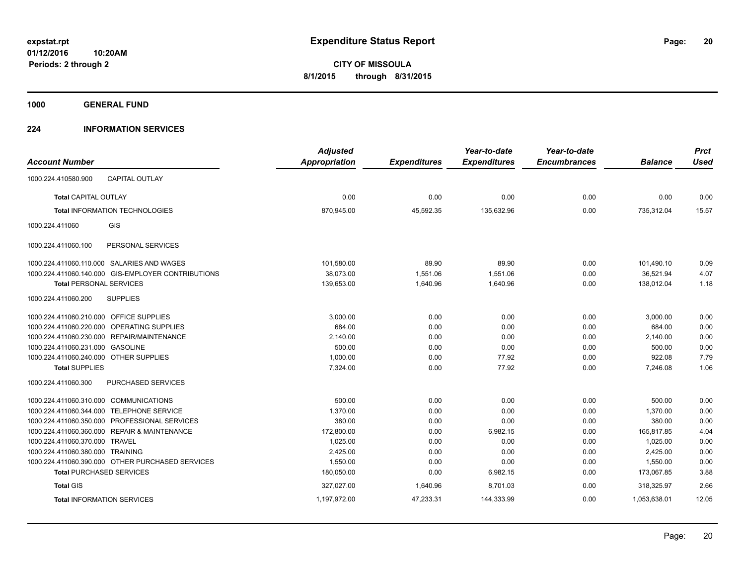**1000 GENERAL FUND**

### **224 INFORMATION SERVICES**

|                                         |                                                    | <b>Adjusted</b>      |                     | Year-to-date        | Year-to-date        |                | <b>Prct</b> |
|-----------------------------------------|----------------------------------------------------|----------------------|---------------------|---------------------|---------------------|----------------|-------------|
| <b>Account Number</b>                   |                                                    | <b>Appropriation</b> | <b>Expenditures</b> | <b>Expenditures</b> | <b>Encumbrances</b> | <b>Balance</b> | <b>Used</b> |
| 1000.224.410580.900                     | <b>CAPITAL OUTLAY</b>                              |                      |                     |                     |                     |                |             |
| <b>Total CAPITAL OUTLAY</b>             |                                                    | 0.00                 | 0.00                | 0.00                | 0.00                | 0.00           | 0.00        |
|                                         | <b>Total INFORMATION TECHNOLOGIES</b>              | 870,945.00           | 45,592.35           | 135,632.96          | 0.00                | 735,312.04     | 15.57       |
| 1000.224.411060                         | GIS                                                |                      |                     |                     |                     |                |             |
| 1000.224.411060.100                     | PERSONAL SERVICES                                  |                      |                     |                     |                     |                |             |
|                                         | 1000.224.411060.110.000 SALARIES AND WAGES         | 101,580.00           | 89.90               | 89.90               | 0.00                | 101,490.10     | 0.09        |
|                                         | 1000.224.411060.140.000 GIS-EMPLOYER CONTRIBUTIONS | 38,073.00            | 1,551.06            | 1,551.06            | 0.00                | 36,521.94      | 4.07        |
| <b>Total PERSONAL SERVICES</b>          |                                                    | 139,653.00           | 1,640.96            | 1,640.96            | 0.00                | 138,012.04     | 1.18        |
| 1000.224.411060.200                     | <b>SUPPLIES</b>                                    |                      |                     |                     |                     |                |             |
| 1000.224.411060.210.000 OFFICE SUPPLIES |                                                    | 3,000.00             | 0.00                | 0.00                | 0.00                | 3,000.00       | 0.00        |
|                                         | 1000.224.411060.220.000 OPERATING SUPPLIES         | 684.00               | 0.00                | 0.00                | 0.00                | 684.00         | 0.00        |
| 1000.224.411060.230.000                 | REPAIR/MAINTENANCE                                 | 2,140.00             | 0.00                | 0.00                | 0.00                | 2,140.00       | 0.00        |
| 1000.224.411060.231.000 GASOLINE        |                                                    | 500.00               | 0.00                | 0.00                | 0.00                | 500.00         | 0.00        |
| 1000.224.411060.240.000 OTHER SUPPLIES  |                                                    | 1,000.00             | 0.00                | 77.92               | 0.00                | 922.08         | 7.79        |
| <b>Total SUPPLIES</b>                   |                                                    | 7,324.00             | 0.00                | 77.92               | 0.00                | 7,246.08       | 1.06        |
| 1000.224.411060.300                     | PURCHASED SERVICES                                 |                      |                     |                     |                     |                |             |
| 1000.224.411060.310.000 COMMUNICATIONS  |                                                    | 500.00               | 0.00                | 0.00                | 0.00                | 500.00         | 0.00        |
| 1000.224.411060.344.000                 | <b>TELEPHONE SERVICE</b>                           | 1,370.00             | 0.00                | 0.00                | 0.00                | 1,370.00       | 0.00        |
|                                         | 1000.224.411060.350.000 PROFESSIONAL SERVICES      | 380.00               | 0.00                | 0.00                | 0.00                | 380.00         | 0.00        |
|                                         | 1000.224.411060.360.000 REPAIR & MAINTENANCE       | 172,800.00           | 0.00                | 6,982.15            | 0.00                | 165,817.85     | 4.04        |
| 1000.224.411060.370.000 TRAVEL          |                                                    | 1,025.00             | 0.00                | 0.00                | 0.00                | 1,025.00       | 0.00        |
| 1000.224.411060.380.000 TRAINING        |                                                    | 2,425.00             | 0.00                | 0.00                | 0.00                | 2,425.00       | 0.00        |
|                                         | 1000.224.411060.390.000 OTHER PURCHASED SERVICES   | 1,550.00             | 0.00                | 0.00                | 0.00                | 1,550.00       | 0.00        |
|                                         | <b>Total PURCHASED SERVICES</b>                    | 180,050.00           | 0.00                | 6,982.15            | 0.00                | 173,067.85     | 3.88        |
| <b>Total GIS</b>                        |                                                    | 327,027.00           | 1,640.96            | 8,701.03            | 0.00                | 318,325.97     | 2.66        |
|                                         | <b>Total INFORMATION SERVICES</b>                  | 1,197,972.00         | 47,233.31           | 144,333.99          | 0.00                | 1,053,638.01   | 12.05       |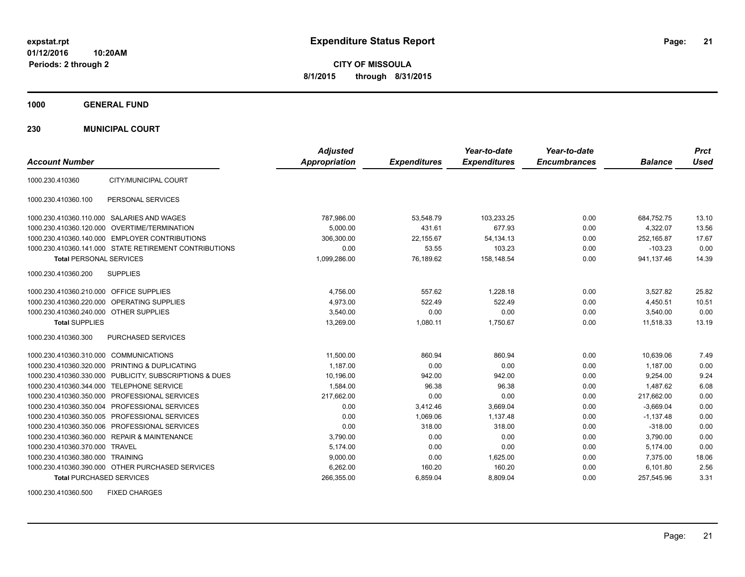**CITY OF MISSOULA 8/1/2015 through 8/31/2015**

**1000 GENERAL FUND**

**230 MUNICIPAL COURT**

| <b>Account Number</b>                   |                                                         | <b>Adjusted</b><br><b>Appropriation</b> | <b>Expenditures</b> | Year-to-date<br><b>Expenditures</b> | Year-to-date<br><b>Encumbrances</b> | <b>Balance</b> | <b>Prct</b><br><b>Used</b> |
|-----------------------------------------|---------------------------------------------------------|-----------------------------------------|---------------------|-------------------------------------|-------------------------------------|----------------|----------------------------|
| 1000.230.410360                         | CITY/MUNICIPAL COURT                                    |                                         |                     |                                     |                                     |                |                            |
| 1000.230.410360.100                     | PERSONAL SERVICES                                       |                                         |                     |                                     |                                     |                |                            |
|                                         | 1000.230.410360.110.000 SALARIES AND WAGES              | 787,986.00                              | 53,548.79           | 103,233.25                          | 0.00                                | 684,752.75     | 13.10                      |
|                                         | 1000.230.410360.120.000 OVERTIME/TERMINATION            | 5.000.00                                | 431.61              | 677.93                              | 0.00                                | 4.322.07       | 13.56                      |
|                                         | 1000.230.410360.140.000 EMPLOYER CONTRIBUTIONS          | 306,300.00                              | 22,155.67           | 54, 134. 13                         | 0.00                                | 252,165.87     | 17.67                      |
|                                         | 1000.230.410360.141.000 STATE RETIREMENT CONTRIBUTIONS  | 0.00                                    | 53.55               | 103.23                              | 0.00                                | $-103.23$      | 0.00                       |
| <b>Total PERSONAL SERVICES</b>          |                                                         | 1,099,286.00                            | 76,189.62           | 158,148.54                          | 0.00                                | 941,137.46     | 14.39                      |
| 1000.230.410360.200                     | <b>SUPPLIES</b>                                         |                                         |                     |                                     |                                     |                |                            |
| 1000.230.410360.210.000 OFFICE SUPPLIES |                                                         | 4,756.00                                | 557.62              | 1,228.18                            | 0.00                                | 3,527.82       | 25.82                      |
|                                         | 1000.230.410360.220.000 OPERATING SUPPLIES              | 4.973.00                                | 522.49              | 522.49                              | 0.00                                | 4,450.51       | 10.51                      |
| 1000.230.410360.240.000 OTHER SUPPLIES  |                                                         | 3.540.00                                | 0.00                | 0.00                                | 0.00                                | 3.540.00       | 0.00                       |
| <b>Total SUPPLIES</b>                   |                                                         | 13,269.00                               | 1,080.11            | 1,750.67                            | 0.00                                | 11,518.33      | 13.19                      |
| 1000.230.410360.300                     | PURCHASED SERVICES                                      |                                         |                     |                                     |                                     |                |                            |
| 1000.230.410360.310.000                 | <b>COMMUNICATIONS</b>                                   | 11,500.00                               | 860.94              | 860.94                              | 0.00                                | 10,639.06      | 7.49                       |
|                                         | 1000.230.410360.320.000 PRINTING & DUPLICATING          | 1,187.00                                | 0.00                | 0.00                                | 0.00                                | 1,187.00       | 0.00                       |
|                                         | 1000.230.410360.330.000 PUBLICITY, SUBSCRIPTIONS & DUES | 10,196.00                               | 942.00              | 942.00                              | 0.00                                | 9,254.00       | 9.24                       |
|                                         | 1000.230.410360.344.000 TELEPHONE SERVICE               | 1,584.00                                | 96.38               | 96.38                               | 0.00                                | 1.487.62       | 6.08                       |
|                                         | 1000.230.410360.350.000 PROFESSIONAL SERVICES           | 217,662.00                              | 0.00                | 0.00                                | 0.00                                | 217,662.00     | 0.00                       |
|                                         | 1000.230.410360.350.004 PROFESSIONAL SERVICES           | 0.00                                    | 3,412.46            | 3,669.04                            | 0.00                                | $-3,669.04$    | 0.00                       |
|                                         | 1000.230.410360.350.005 PROFESSIONAL SERVICES           | 0.00                                    | 1.069.06            | 1.137.48                            | 0.00                                | $-1,137.48$    | 0.00                       |
|                                         | 1000.230.410360.350.006 PROFESSIONAL SERVICES           | 0.00                                    | 318.00              | 318.00                              | 0.00                                | $-318.00$      | 0.00                       |
|                                         | 1000.230.410360.360.000 REPAIR & MAINTENANCE            | 3,790.00                                | 0.00                | 0.00                                | 0.00                                | 3,790.00       | 0.00                       |
| 1000.230.410360.370.000 TRAVEL          |                                                         | 5.174.00                                | 0.00                | 0.00                                | 0.00                                | 5,174.00       | 0.00                       |
| 1000.230.410360.380.000 TRAINING        |                                                         | 9,000.00                                | 0.00                | 1,625.00                            | 0.00                                | 7,375.00       | 18.06                      |
|                                         | 1000.230.410360.390.000 OTHER PURCHASED SERVICES        | 6,262.00                                | 160.20              | 160.20                              | 0.00                                | 6,101.80       | 2.56                       |
| <b>Total PURCHASED SERVICES</b>         |                                                         | 266,355.00                              | 6,859.04            | 8,809.04                            | 0.00                                | 257,545.96     | 3.31                       |

1000.230.410360.500 FIXED CHARGES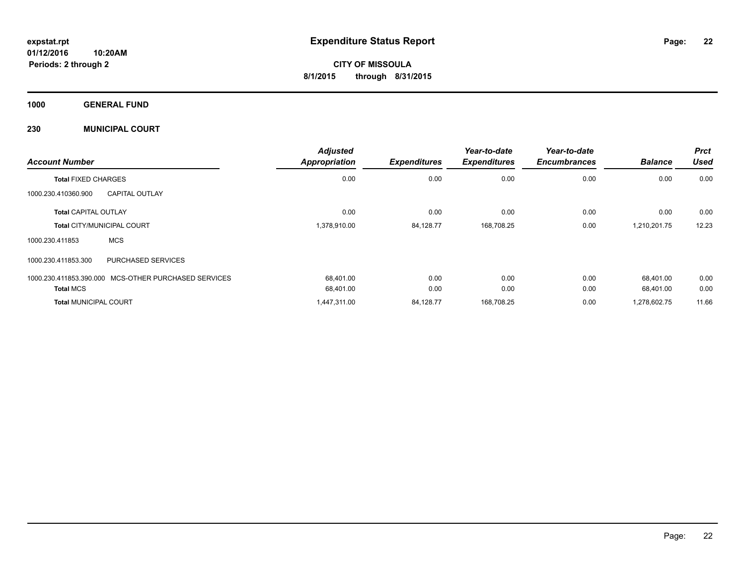**1000 GENERAL FUND**

### **230 MUNICIPAL COURT**

| <b>Account Number</b>        |                                                      | <b>Adjusted</b><br><b>Appropriation</b> | <b>Expenditures</b> | Year-to-date<br><b>Expenditures</b> | Year-to-date<br><b>Encumbrances</b> | <b>Balance</b> | <b>Prct</b><br><b>Used</b> |
|------------------------------|------------------------------------------------------|-----------------------------------------|---------------------|-------------------------------------|-------------------------------------|----------------|----------------------------|
| <b>Total FIXED CHARGES</b>   |                                                      | 0.00                                    | 0.00                | 0.00                                | 0.00                                | 0.00           | 0.00                       |
| 1000.230.410360.900          | <b>CAPITAL OUTLAY</b>                                |                                         |                     |                                     |                                     |                |                            |
| <b>Total CAPITAL OUTLAY</b>  |                                                      | 0.00                                    | 0.00                | 0.00                                | 0.00                                | 0.00           | 0.00                       |
|                              | <b>Total CITY/MUNICIPAL COURT</b>                    | 1,378,910.00                            | 84,128.77           | 168,708.25                          | 0.00                                | 1,210,201.75   | 12.23                      |
| 1000.230.411853              | <b>MCS</b>                                           |                                         |                     |                                     |                                     |                |                            |
| 1000.230.411853.300          | <b>PURCHASED SERVICES</b>                            |                                         |                     |                                     |                                     |                |                            |
|                              | 1000.230.411853.390.000 MCS-OTHER PURCHASED SERVICES | 68,401.00                               | 0.00                | 0.00                                | 0.00                                | 68.401.00      | 0.00                       |
| <b>Total MCS</b>             |                                                      | 68,401.00                               | 0.00                | 0.00                                | 0.00                                | 68.401.00      | 0.00                       |
| <b>Total MUNICIPAL COURT</b> |                                                      | 1,447,311.00                            | 84,128.77           | 168.708.25                          | 0.00                                | 1.278.602.75   | 11.66                      |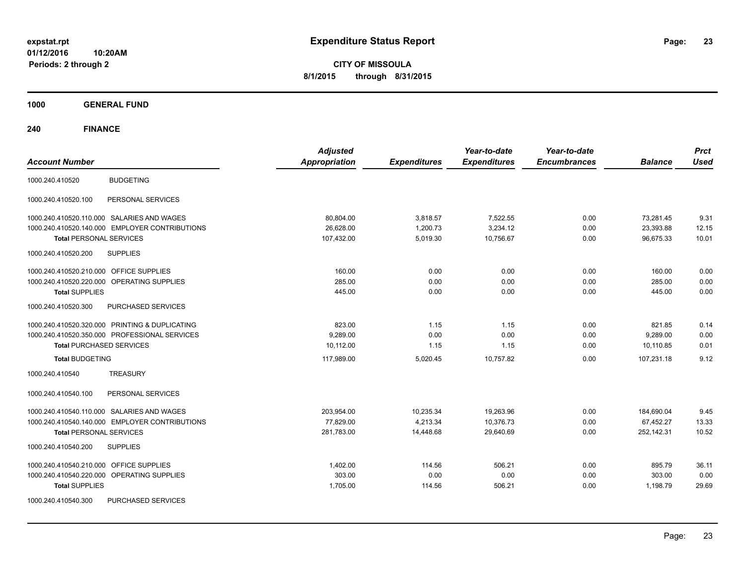**CITY OF MISSOULA 8/1/2015 through 8/31/2015**

**1000 GENERAL FUND**

| <b>Account Number</b>                             | <b>Adjusted</b><br><b>Appropriation</b> | <b>Expenditures</b> | Year-to-date<br><b>Expenditures</b> | Year-to-date<br><b>Encumbrances</b> | <b>Balance</b> | <b>Prct</b><br><b>Used</b> |
|---------------------------------------------------|-----------------------------------------|---------------------|-------------------------------------|-------------------------------------|----------------|----------------------------|
| <b>BUDGETING</b><br>1000.240.410520               |                                         |                     |                                     |                                     |                |                            |
| PERSONAL SERVICES<br>1000.240.410520.100          |                                         |                     |                                     |                                     |                |                            |
| 1000.240.410520.110.000 SALARIES AND WAGES        | 80,804.00                               | 3,818.57            | 7,522.55                            | 0.00                                | 73,281.45      | 9.31                       |
| 1000.240.410520.140.000 EMPLOYER CONTRIBUTIONS    | 26.628.00                               | 1,200.73            | 3,234.12                            | 0.00                                | 23,393.88      | 12.15                      |
| <b>Total PERSONAL SERVICES</b>                    | 107,432.00                              | 5,019.30            | 10,756.67                           | 0.00                                | 96,675.33      | 10.01                      |
| 1000.240.410520.200<br><b>SUPPLIES</b>            |                                         |                     |                                     |                                     |                |                            |
| <b>OFFICE SUPPLIES</b><br>1000.240.410520.210.000 | 160.00                                  | 0.00                | 0.00                                | 0.00                                | 160.00         | 0.00                       |
| OPERATING SUPPLIES<br>1000.240.410520.220.000     | 285.00                                  | 0.00                | 0.00                                | 0.00                                | 285.00         | 0.00                       |
| <b>Total SUPPLIES</b>                             | 445.00                                  | 0.00                | 0.00                                | 0.00                                | 445.00         | 0.00                       |
| 1000.240.410520.300<br>PURCHASED SERVICES         |                                         |                     |                                     |                                     |                |                            |
| 1000.240.410520.320.000 PRINTING & DUPLICATING    | 823.00                                  | 1.15                | 1.15                                | 0.00                                | 821.85         | 0.14                       |
| 1000.240.410520.350.000 PROFESSIONAL SERVICES     | 9,289.00                                | 0.00                | 0.00                                | 0.00                                | 9,289.00       | 0.00                       |
| <b>Total PURCHASED SERVICES</b>                   | 10.112.00                               | 1.15                | 1.15                                | 0.00                                | 10.110.85      | 0.01                       |
| <b>Total BUDGETING</b>                            | 117,989.00                              | 5,020.45            | 10,757.82                           | 0.00                                | 107,231.18     | 9.12                       |
| 1000.240.410540<br><b>TREASURY</b>                |                                         |                     |                                     |                                     |                |                            |
| PERSONAL SERVICES<br>1000.240.410540.100          |                                         |                     |                                     |                                     |                |                            |
| 1000.240.410540.110.000 SALARIES AND WAGES        | 203,954.00                              | 10,235.34           | 19,263.96                           | 0.00                                | 184,690.04     | 9.45                       |
| 1000.240.410540.140.000 EMPLOYER CONTRIBUTIONS    | 77,829.00                               | 4,213.34            | 10,376.73                           | 0.00                                | 67,452.27      | 13.33                      |
| <b>Total PERSONAL SERVICES</b>                    | 281,783.00                              | 14,448.68           | 29,640.69                           | 0.00                                | 252,142.31     | 10.52                      |
| <b>SUPPLIES</b><br>1000.240.410540.200            |                                         |                     |                                     |                                     |                |                            |
| <b>OFFICE SUPPLIES</b><br>1000.240.410540.210.000 | 1,402.00                                | 114.56              | 506.21                              | 0.00                                | 895.79         | 36.11                      |
| 1000.240.410540.220.000<br>OPERATING SUPPLIES     | 303.00                                  | 0.00                | 0.00                                | 0.00                                | 303.00         | 0.00                       |
| <b>Total SUPPLIES</b>                             | 1,705.00                                | 114.56              | 506.21                              | 0.00                                | 1,198.79       | 29.69                      |
| PURCHASED SERVICES<br>1000.240.410540.300         |                                         |                     |                                     |                                     |                |                            |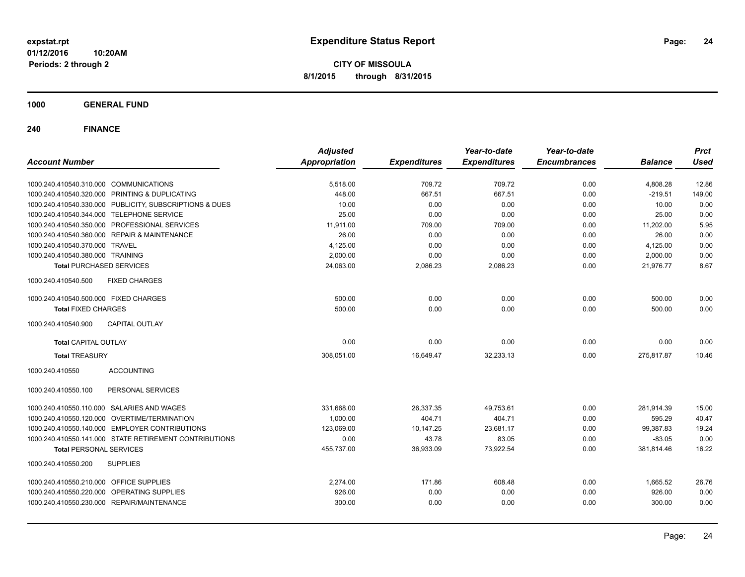**CITY OF MISSOULA 8/1/2015 through 8/31/2015**

**1000 GENERAL FUND**

| <b>Account Number</b>                                   | <b>Adjusted</b><br><b>Appropriation</b> | <b>Expenditures</b> | Year-to-date<br><b>Expenditures</b> | Year-to-date<br><b>Encumbrances</b> | <b>Balance</b> | <b>Prct</b><br><b>Used</b> |
|---------------------------------------------------------|-----------------------------------------|---------------------|-------------------------------------|-------------------------------------|----------------|----------------------------|
|                                                         |                                         |                     |                                     |                                     |                |                            |
| 1000.240.410540.310.000 COMMUNICATIONS                  | 5,518.00                                | 709.72              | 709.72                              | 0.00                                | 4,808.28       | 12.86                      |
| 1000.240.410540.320.000 PRINTING & DUPLICATING          | 448.00                                  | 667.51              | 667.51                              | 0.00                                | $-219.51$      | 149.00                     |
| 1000.240.410540.330.000 PUBLICITY, SUBSCRIPTIONS & DUES | 10.00                                   | 0.00                | 0.00                                | 0.00                                | 10.00          | 0.00                       |
| 1000.240.410540.344.000 TELEPHONE SERVICE               | 25.00                                   | 0.00                | 0.00                                | 0.00                                | 25.00          | 0.00                       |
| 1000.240.410540.350.000 PROFESSIONAL SERVICES           | 11,911.00                               | 709.00              | 709.00                              | 0.00                                | 11,202.00      | 5.95                       |
| 1000.240.410540.360.000 REPAIR & MAINTENANCE            | 26.00                                   | 0.00                | 0.00                                | 0.00                                | 26.00          | 0.00                       |
| 1000.240.410540.370.000 TRAVEL                          | 4,125.00                                | 0.00                | 0.00                                | 0.00                                | 4,125.00       | 0.00                       |
| 1000.240.410540.380.000 TRAINING                        | 2,000.00                                | 0.00                | 0.00                                | 0.00                                | 2,000.00       | 0.00                       |
| <b>Total PURCHASED SERVICES</b>                         | 24,063.00                               | 2,086.23            | 2,086.23                            | 0.00                                | 21,976.77      | 8.67                       |
| <b>FIXED CHARGES</b><br>1000.240.410540.500             |                                         |                     |                                     |                                     |                |                            |
| 1000.240.410540.500.000 FIXED CHARGES                   | 500.00                                  | 0.00                | 0.00                                | 0.00                                | 500.00         | 0.00                       |
| <b>Total FIXED CHARGES</b>                              | 500.00                                  | 0.00                | 0.00                                | 0.00                                | 500.00         | 0.00                       |
| 1000.240.410540.900<br><b>CAPITAL OUTLAY</b>            |                                         |                     |                                     |                                     |                |                            |
| <b>Total CAPITAL OUTLAY</b>                             | 0.00                                    | 0.00                | 0.00                                | 0.00                                | 0.00           | 0.00                       |
| <b>Total TREASURY</b>                                   | 308,051.00                              | 16,649.47           | 32,233.13                           | 0.00                                | 275,817.87     | 10.46                      |
| 1000.240.410550<br><b>ACCOUNTING</b>                    |                                         |                     |                                     |                                     |                |                            |
| 1000.240.410550.100<br>PERSONAL SERVICES                |                                         |                     |                                     |                                     |                |                            |
| 1000.240.410550.110.000 SALARIES AND WAGES              | 331,668.00                              | 26,337.35           | 49,753.61                           | 0.00                                | 281.914.39     | 15.00                      |
| 1000.240.410550.120.000 OVERTIME/TERMINATION            | 1.000.00                                | 404.71              | 404.71                              | 0.00                                | 595.29         | 40.47                      |
| 1000.240.410550.140.000 EMPLOYER CONTRIBUTIONS          | 123.069.00                              | 10,147.25           | 23,681.17                           | 0.00                                | 99,387.83      | 19.24                      |
| 1000.240.410550.141.000 STATE RETIREMENT CONTRIBUTIONS  | 0.00                                    | 43.78               | 83.05                               | 0.00                                | $-83.05$       | 0.00                       |
| <b>Total PERSONAL SERVICES</b>                          | 455,737.00                              | 36,933.09           | 73,922.54                           | 0.00                                | 381,814.46     | 16.22                      |
| 1000.240.410550.200<br><b>SUPPLIES</b>                  |                                         |                     |                                     |                                     |                |                            |
| 1000.240.410550.210.000 OFFICE SUPPLIES                 | 2,274.00                                | 171.86              | 608.48                              | 0.00                                | 1,665.52       | 26.76                      |
| 1000.240.410550.220.000 OPERATING SUPPLIES              | 926.00                                  | 0.00                | 0.00                                | 0.00                                | 926.00         | 0.00                       |
| 1000.240.410550.230.000 REPAIR/MAINTENANCE              | 300.00                                  | 0.00                | 0.00                                | 0.00                                | 300.00         | 0.00                       |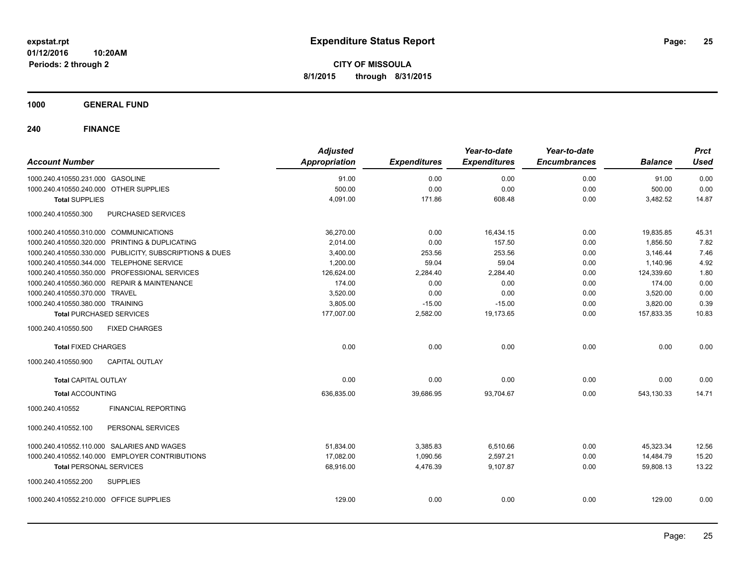**CITY OF MISSOULA 8/1/2015 through 8/31/2015**

**1000 GENERAL FUND**

| <b>Account Number</b>                                   | <b>Adjusted</b><br>Appropriation | <b>Expenditures</b> | Year-to-date<br><b>Expenditures</b> | Year-to-date<br><b>Encumbrances</b> | <b>Balance</b> | <b>Prct</b><br><b>Used</b> |
|---------------------------------------------------------|----------------------------------|---------------------|-------------------------------------|-------------------------------------|----------------|----------------------------|
| 1000.240.410550.231.000 GASOLINE                        | 91.00                            | 0.00                | 0.00                                | 0.00                                | 91.00          | 0.00                       |
| 1000.240.410550.240.000 OTHER SUPPLIES                  | 500.00                           | 0.00                | 0.00                                | 0.00                                | 500.00         | 0.00                       |
| <b>Total SUPPLIES</b>                                   | 4,091.00                         | 171.86              | 608.48                              | 0.00                                | 3,482.52       | 14.87                      |
| 1000.240.410550.300<br>PURCHASED SERVICES               |                                  |                     |                                     |                                     |                |                            |
| 1000.240.410550.310.000 COMMUNICATIONS                  | 36,270.00                        | 0.00                | 16,434.15                           | 0.00                                | 19,835.85      | 45.31                      |
| 1000.240.410550.320.000 PRINTING & DUPLICATING          | 2,014.00                         | 0.00                | 157.50                              | 0.00                                | 1,856.50       | 7.82                       |
| 1000.240.410550.330.000 PUBLICITY, SUBSCRIPTIONS & DUES | 3,400.00                         | 253.56              | 253.56                              | 0.00                                | 3,146.44       | 7.46                       |
| 1000.240.410550.344.000 TELEPHONE SERVICE               | 1,200.00                         | 59.04               | 59.04                               | 0.00                                | 1,140.96       | 4.92                       |
| 1000.240.410550.350.000 PROFESSIONAL SERVICES           | 126,624.00                       | 2,284.40            | 2,284.40                            | 0.00                                | 124,339.60     | 1.80                       |
| 1000.240.410550.360.000 REPAIR & MAINTENANCE            | 174.00                           | 0.00                | 0.00                                | 0.00                                | 174.00         | 0.00                       |
| 1000.240.410550.370.000 TRAVEL                          | 3,520.00                         | 0.00                | 0.00                                | 0.00                                | 3,520.00       | 0.00                       |
| 1000.240.410550.380.000 TRAINING                        | 3,805.00                         | $-15.00$            | $-15.00$                            | 0.00                                | 3,820.00       | 0.39                       |
| <b>Total PURCHASED SERVICES</b>                         | 177,007.00                       | 2,582.00            | 19,173.65                           | 0.00                                | 157,833.35     | 10.83                      |
| 1000.240.410550.500<br><b>FIXED CHARGES</b>             |                                  |                     |                                     |                                     |                |                            |
| <b>Total FIXED CHARGES</b>                              | 0.00                             | 0.00                | 0.00                                | 0.00                                | 0.00           | 0.00                       |
| <b>CAPITAL OUTLAY</b><br>1000.240.410550.900            |                                  |                     |                                     |                                     |                |                            |
| <b>Total CAPITAL OUTLAY</b>                             | 0.00                             | 0.00                | 0.00                                | 0.00                                | 0.00           | 0.00                       |
| <b>Total ACCOUNTING</b>                                 | 636,835.00                       | 39,686.95           | 93,704.67                           | 0.00                                | 543,130.33     | 14.71                      |
| 1000.240.410552<br><b>FINANCIAL REPORTING</b>           |                                  |                     |                                     |                                     |                |                            |
| PERSONAL SERVICES<br>1000.240.410552.100                |                                  |                     |                                     |                                     |                |                            |
| 1000.240.410552.110.000 SALARIES AND WAGES              | 51,834.00                        | 3,385.83            | 6,510.66                            | 0.00                                | 45,323.34      | 12.56                      |
| 1000.240.410552.140.000 EMPLOYER CONTRIBUTIONS          | 17,082.00                        | 1,090.56            | 2,597.21                            | 0.00                                | 14,484.79      | 15.20                      |
| <b>Total PERSONAL SERVICES</b>                          | 68,916.00                        | 4,476.39            | 9,107.87                            | 0.00                                | 59,808.13      | 13.22                      |
| 1000.240.410552.200<br><b>SUPPLIES</b>                  |                                  |                     |                                     |                                     |                |                            |
| 1000.240.410552.210.000 OFFICE SUPPLIES                 | 129.00                           | 0.00                | 0.00                                | 0.00                                | 129.00         | 0.00                       |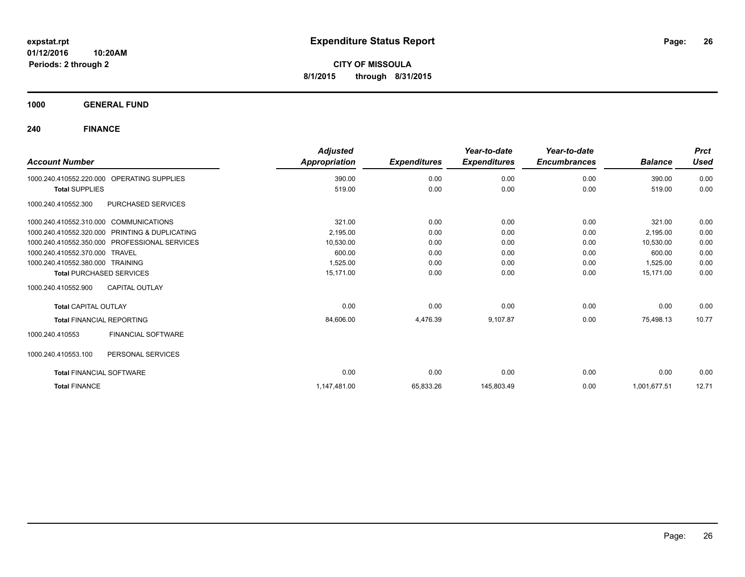**CITY OF MISSOULA 8/1/2015 through 8/31/2015**

**1000 GENERAL FUND**

| <b>Account Number</b>                                | <b>Adjusted</b><br>Appropriation | <b>Expenditures</b> | Year-to-date<br><b>Expenditures</b> | Year-to-date<br><b>Encumbrances</b> | <b>Balance</b> | <b>Prct</b><br><b>Used</b> |
|------------------------------------------------------|----------------------------------|---------------------|-------------------------------------|-------------------------------------|----------------|----------------------------|
|                                                      |                                  |                     |                                     |                                     |                |                            |
| <b>OPERATING SUPPLIES</b><br>1000.240.410552.220.000 | 390.00                           | 0.00                | 0.00                                | 0.00                                | 390.00         | 0.00                       |
| <b>Total SUPPLIES</b>                                | 519.00                           | 0.00                | 0.00                                | 0.00                                | 519.00         | 0.00                       |
| <b>PURCHASED SERVICES</b><br>1000.240.410552.300     |                                  |                     |                                     |                                     |                |                            |
| 1000.240.410552.310.000 COMMUNICATIONS               | 321.00                           | 0.00                | 0.00                                | 0.00                                | 321.00         | 0.00                       |
| 1000.240.410552.320.000 PRINTING & DUPLICATING       | 2,195.00                         | 0.00                | 0.00                                | 0.00                                | 2,195.00       | 0.00                       |
| 1000.240.410552.350.000 PROFESSIONAL SERVICES        | 10,530.00                        | 0.00                | 0.00                                | 0.00                                | 10,530.00      | 0.00                       |
| 1000.240.410552.370.000 TRAVEL                       | 600.00                           | 0.00                | 0.00                                | 0.00                                | 600.00         | 0.00                       |
| 1000.240.410552.380.000 TRAINING                     | 1,525.00                         | 0.00                | 0.00                                | 0.00                                | 1.525.00       | 0.00                       |
| <b>Total PURCHASED SERVICES</b>                      | 15,171.00                        | 0.00                | 0.00                                | 0.00                                | 15,171.00      | 0.00                       |
| <b>CAPITAL OUTLAY</b><br>1000.240.410552.900         |                                  |                     |                                     |                                     |                |                            |
| <b>Total CAPITAL OUTLAY</b>                          | 0.00                             | 0.00                | 0.00                                | 0.00                                | 0.00           | 0.00                       |
| <b>Total FINANCIAL REPORTING</b>                     | 84,606.00                        | 4,476.39            | 9,107.87                            | 0.00                                | 75,498.13      | 10.77                      |
| <b>FINANCIAL SOFTWARE</b><br>1000.240.410553         |                                  |                     |                                     |                                     |                |                            |
| 1000.240.410553.100<br>PERSONAL SERVICES             |                                  |                     |                                     |                                     |                |                            |
| <b>Total FINANCIAL SOFTWARE</b>                      | 0.00                             | 0.00                | 0.00                                | 0.00                                | 0.00           | 0.00                       |
| <b>Total FINANCE</b>                                 | 1,147,481.00                     | 65,833.26           | 145,803.49                          | 0.00                                | 1,001,677.51   | 12.71                      |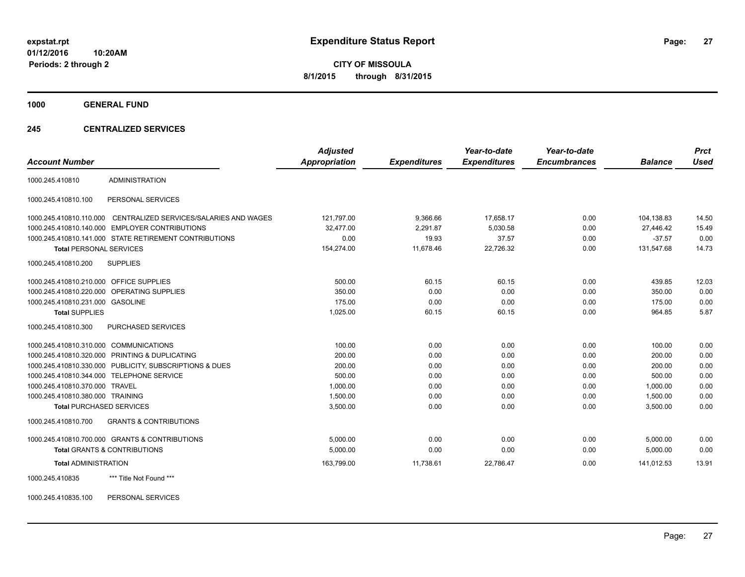**CITY OF MISSOULA 8/1/2015 through 8/31/2015**

**1000 GENERAL FUND**

### **245 CENTRALIZED SERVICES**

| <b>Account Number</b>                   |                                                         | <b>Adjusted</b><br><b>Appropriation</b> | <b>Expenditures</b> | Year-to-date<br><b>Expenditures</b> | Year-to-date<br><b>Encumbrances</b> | <b>Balance</b> | <b>Prct</b><br><b>Used</b> |
|-----------------------------------------|---------------------------------------------------------|-----------------------------------------|---------------------|-------------------------------------|-------------------------------------|----------------|----------------------------|
|                                         |                                                         |                                         |                     |                                     |                                     |                |                            |
| 1000.245.410810                         | <b>ADMINISTRATION</b>                                   |                                         |                     |                                     |                                     |                |                            |
| 1000.245.410810.100                     | PERSONAL SERVICES                                       |                                         |                     |                                     |                                     |                |                            |
| 1000.245.410810.110.000                 | CENTRALIZED SERVICES/SALARIES AND WAGES                 | 121,797.00                              | 9,366.66            | 17,658.17                           | 0.00                                | 104,138.83     | 14.50                      |
|                                         | 1000.245.410810.140.000 EMPLOYER CONTRIBUTIONS          | 32,477.00                               | 2,291.87            | 5,030.58                            | 0.00                                | 27,446.42      | 15.49                      |
|                                         | 1000.245.410810.141.000 STATE RETIREMENT CONTRIBUTIONS  | 0.00                                    | 19.93               | 37.57                               | 0.00                                | $-37.57$       | 0.00                       |
| <b>Total PERSONAL SERVICES</b>          |                                                         | 154,274.00                              | 11,678.46           | 22,726.32                           | 0.00                                | 131,547.68     | 14.73                      |
| 1000.245.410810.200                     | <b>SUPPLIES</b>                                         |                                         |                     |                                     |                                     |                |                            |
| 1000.245.410810.210.000 OFFICE SUPPLIES |                                                         | 500.00                                  | 60.15               | 60.15                               | 0.00                                | 439.85         | 12.03                      |
|                                         | 1000.245.410810.220.000 OPERATING SUPPLIES              | 350.00                                  | 0.00                | 0.00                                | 0.00                                | 350.00         | 0.00                       |
| 1000.245.410810.231.000 GASOLINE        |                                                         | 175.00                                  | 0.00                | 0.00                                | 0.00                                | 175.00         | 0.00                       |
| <b>Total SUPPLIES</b>                   |                                                         | 1,025.00                                | 60.15               | 60.15                               | 0.00                                | 964.85         | 5.87                       |
| 1000.245.410810.300                     | PURCHASED SERVICES                                      |                                         |                     |                                     |                                     |                |                            |
| 1000.245.410810.310.000 COMMUNICATIONS  |                                                         | 100.00                                  | 0.00                | 0.00                                | 0.00                                | 100.00         | 0.00                       |
|                                         | 1000.245.410810.320.000 PRINTING & DUPLICATING          | 200.00                                  | 0.00                | 0.00                                | 0.00                                | 200.00         | 0.00                       |
|                                         | 1000.245.410810.330.000 PUBLICITY, SUBSCRIPTIONS & DUES | 200.00                                  | 0.00                | 0.00                                | 0.00                                | 200.00         | 0.00                       |
|                                         | 1000.245.410810.344.000 TELEPHONE SERVICE               | 500.00                                  | 0.00                | 0.00                                | 0.00                                | 500.00         | 0.00                       |
| 1000.245.410810.370.000 TRAVEL          |                                                         | 1,000.00                                | 0.00                | 0.00                                | 0.00                                | 1,000.00       | 0.00                       |
| 1000.245.410810.380.000 TRAINING        |                                                         | 1,500.00                                | 0.00                | 0.00                                | 0.00                                | 1,500.00       | 0.00                       |
| <b>Total PURCHASED SERVICES</b>         |                                                         | 3,500.00                                | 0.00                | 0.00                                | 0.00                                | 3,500.00       | 0.00                       |
| 1000.245.410810.700                     | <b>GRANTS &amp; CONTRIBUTIONS</b>                       |                                         |                     |                                     |                                     |                |                            |
|                                         | 1000.245.410810.700.000 GRANTS & CONTRIBUTIONS          | 5,000.00                                | 0.00                | 0.00                                | 0.00                                | 5,000.00       | 0.00                       |
|                                         | Total GRANTS & CONTRIBUTIONS                            | 5,000.00                                | 0.00                | 0.00                                | 0.00                                | 5,000.00       | 0.00                       |
| <b>Total ADMINISTRATION</b>             |                                                         | 163,799.00                              | 11,738.61           | 22,786.47                           | 0.00                                | 141.012.53     | 13.91                      |
| 1000.245.410835                         | *** Title Not Found ***                                 |                                         |                     |                                     |                                     |                |                            |

1000.245.410835.100 PERSONAL SERVICES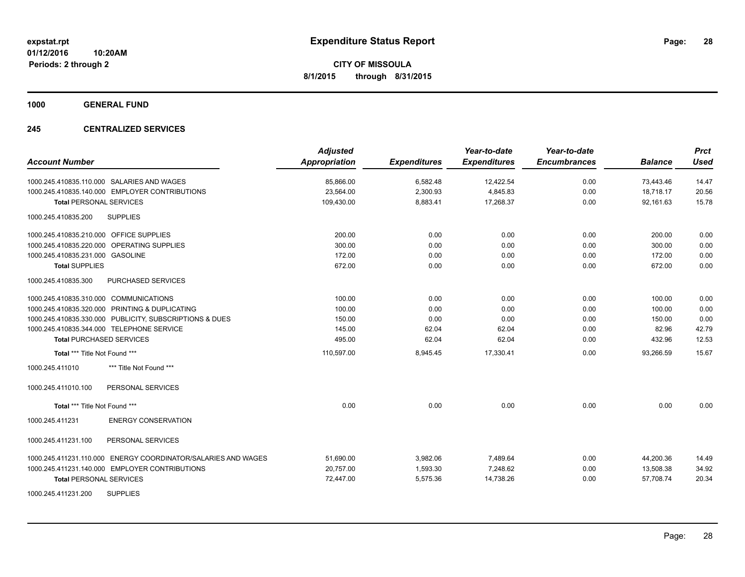**1000 GENERAL FUND**

### **245 CENTRALIZED SERVICES**

| <b>Account Number</b>                                            | <b>Adjusted</b><br>Appropriation | <b>Expenditures</b> | Year-to-date<br><b>Expenditures</b> | Year-to-date<br><b>Encumbrances</b> | <b>Balance</b> | <b>Prct</b><br>Used |
|------------------------------------------------------------------|----------------------------------|---------------------|-------------------------------------|-------------------------------------|----------------|---------------------|
| 1000.245.410835.110.000 SALARIES AND WAGES                       | 85,866.00                        | 6,582.48            | 12,422.54                           | 0.00                                | 73,443.46      | 14.47               |
| 1000.245.410835.140.000 EMPLOYER CONTRIBUTIONS                   | 23,564.00                        | 2,300.93            | 4,845.83                            | 0.00                                | 18,718.17      | 20.56               |
| <b>Total PERSONAL SERVICES</b>                                   | 109,430.00                       | 8,883.41            | 17,268.37                           | 0.00                                | 92,161.63      | 15.78               |
| <b>SUPPLIES</b><br>1000.245.410835.200                           |                                  |                     |                                     |                                     |                |                     |
| 1000.245.410835.210.000 OFFICE SUPPLIES                          | 200.00                           | 0.00                | 0.00                                | 0.00                                | 200.00         | 0.00                |
| 1000.245.410835.220.000 OPERATING SUPPLIES                       | 300.00                           | 0.00                | 0.00                                | 0.00                                | 300.00         | 0.00                |
| 1000.245.410835.231.000 GASOLINE                                 | 172.00                           | 0.00                | 0.00                                | 0.00                                | 172.00         | 0.00                |
| <b>Total SUPPLIES</b>                                            | 672.00                           | 0.00                | 0.00                                | 0.00                                | 672.00         | 0.00                |
| 1000.245.410835.300<br>PURCHASED SERVICES                        |                                  |                     |                                     |                                     |                |                     |
| 1000.245.410835.310.000 COMMUNICATIONS                           | 100.00                           | 0.00                | 0.00                                | 0.00                                | 100.00         | 0.00                |
| 1000.245.410835.320.000 PRINTING & DUPLICATING                   | 100.00                           | 0.00                | 0.00                                | 0.00                                | 100.00         | 0.00                |
| 1000.245.410835.330.000 PUBLICITY, SUBSCRIPTIONS & DUES          | 150.00                           | 0.00                | 0.00                                | 0.00                                | 150.00         | 0.00                |
| 1000.245.410835.344.000 TELEPHONE SERVICE                        | 145.00                           | 62.04               | 62.04                               | 0.00                                | 82.96          | 42.79               |
| <b>Total PURCHASED SERVICES</b>                                  | 495.00                           | 62.04               | 62.04                               | 0.00                                | 432.96         | 12.53               |
| Total *** Title Not Found ***                                    | 110,597.00                       | 8,945.45            | 17,330.41                           | 0.00                                | 93.266.59      | 15.67               |
| *** Title Not Found ***<br>1000.245.411010                       |                                  |                     |                                     |                                     |                |                     |
| 1000.245.411010.100<br>PERSONAL SERVICES                         |                                  |                     |                                     |                                     |                |                     |
| Total *** Title Not Found ***                                    | 0.00                             | 0.00                | 0.00                                | 0.00                                | 0.00           | 0.00                |
| 1000.245.411231<br><b>ENERGY CONSERVATION</b>                    |                                  |                     |                                     |                                     |                |                     |
| 1000.245.411231.100<br>PERSONAL SERVICES                         |                                  |                     |                                     |                                     |                |                     |
| ENERGY COORDINATOR/SALARIES AND WAGES<br>1000.245.411231.110.000 | 51,690.00                        | 3,982.06            | 7,489.64                            | 0.00                                | 44,200.36      | 14.49               |
| 1000.245.411231.140.000 EMPLOYER CONTRIBUTIONS                   | 20,757.00                        | 1,593.30            | 7.248.62                            | 0.00                                | 13,508.38      | 34.92               |
| <b>Total PERSONAL SERVICES</b>                                   | 72,447.00                        | 5,575.36            | 14,738.26                           | 0.00                                | 57,708.74      | 20.34               |
| <b>SUPPLIES</b><br>1000.245.411231.200                           |                                  |                     |                                     |                                     |                |                     |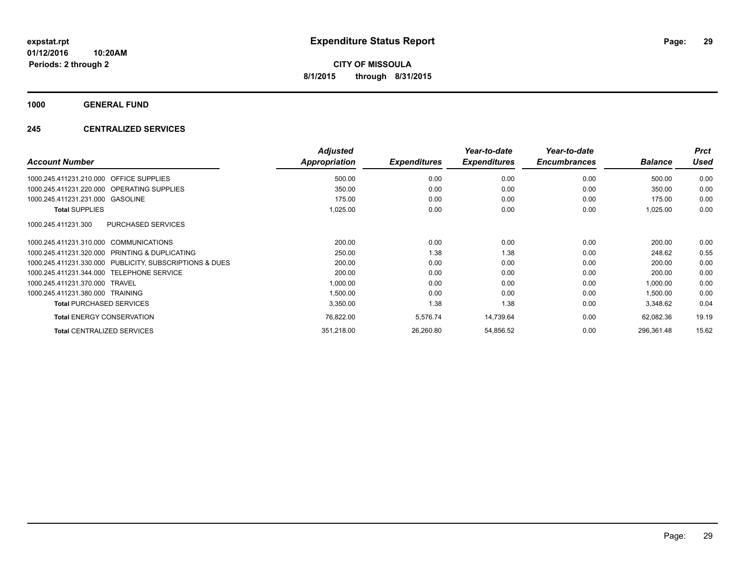**1000 GENERAL FUND**

### **245 CENTRALIZED SERVICES**

|                                                         | <b>Adjusted</b>      |                     | Year-to-date        | Year-to-date        |                | <b>Prct</b> |
|---------------------------------------------------------|----------------------|---------------------|---------------------|---------------------|----------------|-------------|
| <b>Account Number</b>                                   | <b>Appropriation</b> | <b>Expenditures</b> | <b>Expenditures</b> | <b>Encumbrances</b> | <b>Balance</b> | <b>Used</b> |
| 1000.245.411231.210.000 OFFICE SUPPLIES                 | 500.00               | 0.00                | 0.00                | 0.00                | 500.00         | 0.00        |
| 1000.245.411231.220.000 OPERATING SUPPLIES              | 350.00               | 0.00                | 0.00                | 0.00                | 350.00         | 0.00        |
| 1000.245.411231.231.000 GASOLINE                        | 175.00               | 0.00                | 0.00                | 0.00                | 175.00         | 0.00        |
| <b>Total SUPPLIES</b>                                   | 1,025.00             | 0.00                | 0.00                | 0.00                | 1,025.00       | 0.00        |
| PURCHASED SERVICES<br>1000.245.411231.300               |                      |                     |                     |                     |                |             |
| 1000.245.411231.310.000 COMMUNICATIONS                  | 200.00               | 0.00                | 0.00                | 0.00                | 200.00         | 0.00        |
| 1000.245.411231.320.000 PRINTING & DUPLICATING          | 250.00               | 1.38                | 1.38                | 0.00                | 248.62         | 0.55        |
| 1000.245.411231.330.000 PUBLICITY, SUBSCRIPTIONS & DUES | 200.00               | 0.00                | 0.00                | 0.00                | 200.00         | 0.00        |
| <b>TELEPHONE SERVICE</b><br>1000.245.411231.344.000     | 200.00               | 0.00                | 0.00                | 0.00                | 200.00         | 0.00        |
| 1000.245.411231.370.000<br>TRAVEL                       | 1,000.00             | 0.00                | 0.00                | 0.00                | 1,000.00       | 0.00        |
| 1000.245.411231.380.000<br>TRAINING                     | 1,500.00             | 0.00                | 0.00                | 0.00                | 1,500.00       | 0.00        |
| <b>Total PURCHASED SERVICES</b>                         | 3,350.00             | 1.38                | 1.38                | 0.00                | 3,348.62       | 0.04        |
| <b>Total ENERGY CONSERVATION</b>                        | 76,822.00            | 5,576.74            | 14,739.64           | 0.00                | 62,082.36      | 19.19       |
| <b>Total CENTRALIZED SERVICES</b>                       | 351,218.00           | 26,260.80           | 54,856.52           | 0.00                | 296,361.48     | 15.62       |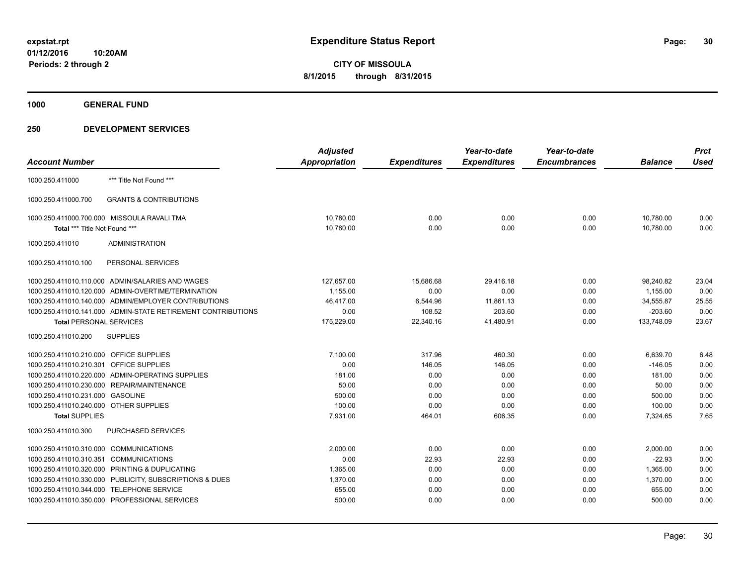**1000 GENERAL FUND**

|                                                              | <b>Adjusted</b> |                     | Year-to-date        | Year-to-date        |                | <b>Prct</b> |
|--------------------------------------------------------------|-----------------|---------------------|---------------------|---------------------|----------------|-------------|
| <b>Account Number</b>                                        | Appropriation   | <b>Expenditures</b> | <b>Expenditures</b> | <b>Encumbrances</b> | <b>Balance</b> | <b>Used</b> |
| *** Title Not Found ***<br>1000.250.411000                   |                 |                     |                     |                     |                |             |
| <b>GRANTS &amp; CONTRIBUTIONS</b><br>1000.250.411000.700     |                 |                     |                     |                     |                |             |
| 1000.250.411000.700.000 MISSOULA RAVALI TMA                  | 10.780.00       | 0.00                | 0.00                | 0.00                | 10.780.00      | 0.00        |
| Total *** Title Not Found ***                                | 10,780.00       | 0.00                | 0.00                | 0.00                | 10,780.00      | 0.00        |
| <b>ADMINISTRATION</b><br>1000.250.411010                     |                 |                     |                     |                     |                |             |
| PERSONAL SERVICES<br>1000.250.411010.100                     |                 |                     |                     |                     |                |             |
| 1000.250.411010.110.000 ADMIN/SALARIES AND WAGES             | 127,657.00      | 15,686.68           | 29,416.18           | 0.00                | 98,240.82      | 23.04       |
| 1000.250.411010.120.000 ADMIN-OVERTIME/TERMINATION           | 1,155.00        | 0.00                | 0.00                | 0.00                | 1,155.00       | 0.00        |
| 1000.250.411010.140.000 ADMIN/EMPLOYER CONTRIBUTIONS         | 46,417.00       | 6,544.96            | 11,861.13           | 0.00                | 34,555.87      | 25.55       |
| 1000.250.411010.141.000 ADMIN-STATE RETIREMENT CONTRIBUTIONS | 0.00            | 108.52              | 203.60              | 0.00                | $-203.60$      | 0.00        |
| <b>Total PERSONAL SERVICES</b>                               | 175,229.00      | 22,340.16           | 41,480.91           | 0.00                | 133,748.09     | 23.67       |
| 1000.250.411010.200<br><b>SUPPLIES</b>                       |                 |                     |                     |                     |                |             |
| 1000.250.411010.210.000 OFFICE SUPPLIES                      | 7,100.00        | 317.96              | 460.30              | 0.00                | 6,639.70       | 6.48        |
| 1000.250.411010.210.301 OFFICE SUPPLIES                      | 0.00            | 146.05              | 146.05              | 0.00                | $-146.05$      | 0.00        |
| 1000.250.411010.220.000 ADMIN-OPERATING SUPPLIES             | 181.00          | 0.00                | 0.00                | 0.00                | 181.00         | 0.00        |
| 1000.250.411010.230.000 REPAIR/MAINTENANCE                   | 50.00           | 0.00                | 0.00                | 0.00                | 50.00          | 0.00        |
| 1000.250.411010.231.000 GASOLINE                             | 500.00          | 0.00                | 0.00                | 0.00                | 500.00         | 0.00        |
| 1000.250.411010.240.000 OTHER SUPPLIES                       | 100.00          | 0.00                | 0.00                | 0.00                | 100.00         | 0.00        |
| <b>Total SUPPLIES</b>                                        | 7,931.00        | 464.01              | 606.35              | 0.00                | 7,324.65       | 7.65        |
| 1000.250.411010.300<br><b>PURCHASED SERVICES</b>             |                 |                     |                     |                     |                |             |
| 1000.250.411010.310.000 COMMUNICATIONS                       | 2.000.00        | 0.00                | 0.00                | 0.00                | 2,000.00       | 0.00        |
| 1000.250.411010.310.351 COMMUNICATIONS                       | 0.00            | 22.93               | 22.93               | 0.00                | $-22.93$       | 0.00        |
| 1000.250.411010.320.000 PRINTING & DUPLICATING               | 1,365.00        | 0.00                | 0.00                | 0.00                | 1,365.00       | 0.00        |
| 1000.250.411010.330.000 PUBLICITY, SUBSCRIPTIONS & DUES      | 1,370.00        | 0.00                | 0.00                | 0.00                | 1,370.00       | 0.00        |
| 1000.250.411010.344.000 TELEPHONE SERVICE                    | 655.00          | 0.00                | 0.00                | 0.00                | 655.00         | 0.00        |
| 1000.250.411010.350.000 PROFESSIONAL SERVICES                | 500.00          | 0.00                | 0.00                | 0.00                | 500.00         | 0.00        |
|                                                              |                 |                     |                     |                     |                |             |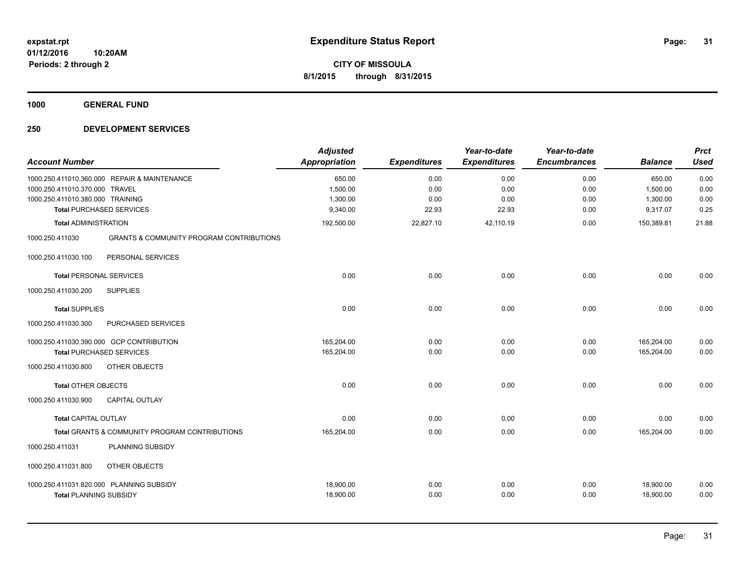**1000 GENERAL FUND**

| <b>Account Number</b>            |                                                     | <b>Adjusted</b><br><b>Appropriation</b> | <b>Expenditures</b> | Year-to-date<br><b>Expenditures</b> | Year-to-date<br><b>Encumbrances</b> | <b>Balance</b> | <b>Prct</b><br><b>Used</b> |
|----------------------------------|-----------------------------------------------------|-----------------------------------------|---------------------|-------------------------------------|-------------------------------------|----------------|----------------------------|
|                                  | 1000.250.411010.360.000 REPAIR & MAINTENANCE        | 650.00                                  | 0.00                | 0.00                                | 0.00                                | 650.00         | 0.00                       |
| 1000.250.411010.370.000 TRAVEL   |                                                     | 1,500.00                                | 0.00                | 0.00                                | 0.00                                | 1,500.00       | 0.00                       |
| 1000.250.411010.380.000 TRAINING |                                                     | 1,300.00                                | 0.00                | 0.00                                | 0.00                                | 1,300.00       | 0.00                       |
|                                  | <b>Total PURCHASED SERVICES</b>                     | 9,340.00                                | 22.93               | 22.93                               | 0.00                                | 9,317.07       | 0.25                       |
| <b>Total ADMINISTRATION</b>      |                                                     | 192,500.00                              | 22,827.10           | 42,110.19                           | 0.00                                | 150,389.81     | 21.88                      |
| 1000.250.411030                  | <b>GRANTS &amp; COMMUNITY PROGRAM CONTRIBUTIONS</b> |                                         |                     |                                     |                                     |                |                            |
| 1000.250.411030.100              | PERSONAL SERVICES                                   |                                         |                     |                                     |                                     |                |                            |
| <b>Total PERSONAL SERVICES</b>   |                                                     | 0.00                                    | 0.00                | 0.00                                | 0.00                                | 0.00           | 0.00                       |
| 1000.250.411030.200              | <b>SUPPLIES</b>                                     |                                         |                     |                                     |                                     |                |                            |
| <b>Total SUPPLIES</b>            |                                                     | 0.00                                    | 0.00                | 0.00                                | 0.00                                | 0.00           | 0.00                       |
| 1000.250.411030.300              | PURCHASED SERVICES                                  |                                         |                     |                                     |                                     |                |                            |
|                                  | 1000.250.411030.390.000 GCP CONTRIBUTION            | 165,204.00                              | 0.00                | 0.00                                | 0.00                                | 165,204.00     | 0.00                       |
|                                  | <b>Total PURCHASED SERVICES</b>                     | 165,204.00                              | 0.00                | 0.00                                | 0.00                                | 165,204.00     | 0.00                       |
| 1000.250.411030.800              | OTHER OBJECTS                                       |                                         |                     |                                     |                                     |                |                            |
| <b>Total OTHER OBJECTS</b>       |                                                     | 0.00                                    | 0.00                | 0.00                                | 0.00                                | 0.00           | 0.00                       |
| 1000.250.411030.900              | <b>CAPITAL OUTLAY</b>                               |                                         |                     |                                     |                                     |                |                            |
| <b>Total CAPITAL OUTLAY</b>      |                                                     | 0.00                                    | 0.00                | 0.00                                | 0.00                                | 0.00           | 0.00                       |
|                                  | Total GRANTS & COMMUNITY PROGRAM CONTRIBUTIONS      | 165,204.00                              | 0.00                | 0.00                                | 0.00                                | 165,204.00     | 0.00                       |
| 1000.250.411031                  | PLANNING SUBSIDY                                    |                                         |                     |                                     |                                     |                |                            |
| 1000.250.411031.800              | OTHER OBJECTS                                       |                                         |                     |                                     |                                     |                |                            |
|                                  | 1000.250.411031.820.000 PLANNING SUBSIDY            | 18,900.00                               | 0.00                | 0.00                                | 0.00                                | 18,900.00      | 0.00                       |
| <b>Total PLANNING SUBSIDY</b>    |                                                     | 18,900.00                               | 0.00                | 0.00                                | 0.00                                | 18,900.00      | 0.00                       |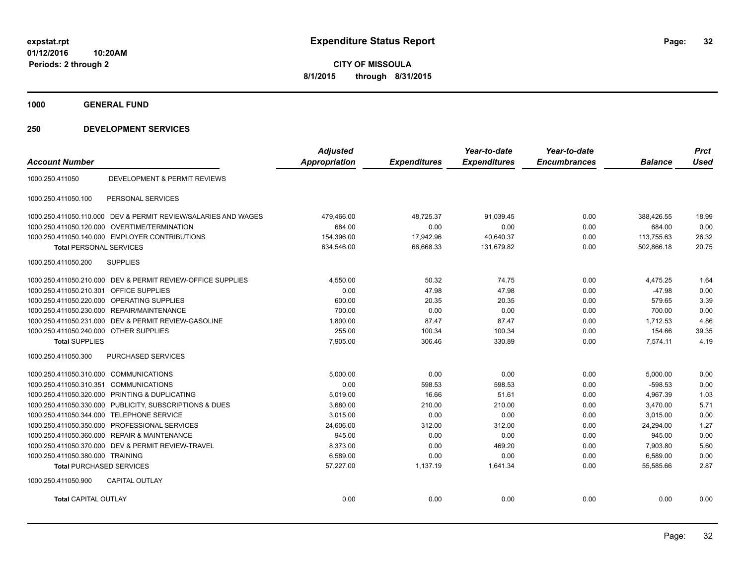**1000 GENERAL FUND**

| <b>Account Number</b>                   |                                                                | <b>Adjusted</b><br><b>Appropriation</b> | <b>Expenditures</b> | Year-to-date<br><b>Expenditures</b> | Year-to-date<br><b>Encumbrances</b> | <b>Balance</b> | <b>Prct</b><br><b>Used</b> |
|-----------------------------------------|----------------------------------------------------------------|-----------------------------------------|---------------------|-------------------------------------|-------------------------------------|----------------|----------------------------|
| 1000.250.411050                         | <b>DEVELOPMENT &amp; PERMIT REVIEWS</b>                        |                                         |                     |                                     |                                     |                |                            |
| 1000.250.411050.100                     | PERSONAL SERVICES                                              |                                         |                     |                                     |                                     |                |                            |
|                                         | 1000.250.411050.110.000 DEV & PERMIT REVIEW/SALARIES AND WAGES | 479,466.00                              | 48,725.37           | 91,039.45                           | 0.00                                | 388,426.55     | 18.99                      |
| 1000.250.411050.120.000                 | OVERTIME/TERMINATION                                           | 684.00                                  | 0.00                | 0.00                                | 0.00                                | 684.00         | 0.00                       |
|                                         | 1000.250.411050.140.000 EMPLOYER CONTRIBUTIONS                 | 154,396.00                              | 17,942.96           | 40,640.37                           | 0.00                                | 113,755.63     | 26.32                      |
| <b>Total PERSONAL SERVICES</b>          |                                                                | 634,546.00                              | 66,668.33           | 131,679.82                          | 0.00                                | 502,866.18     | 20.75                      |
| 1000.250.411050.200                     | <b>SUPPLIES</b>                                                |                                         |                     |                                     |                                     |                |                            |
|                                         | 1000.250.411050.210.000 DEV & PERMIT REVIEW-OFFICE SUPPLIES    | 4,550.00                                | 50.32               | 74.75                               | 0.00                                | 4,475.25       | 1.64                       |
| 1000.250.411050.210.301 OFFICE SUPPLIES |                                                                | 0.00                                    | 47.98               | 47.98                               | 0.00                                | $-47.98$       | 0.00                       |
|                                         | 1000.250.411050.220.000 OPERATING SUPPLIES                     | 600.00                                  | 20.35               | 20.35                               | 0.00                                | 579.65         | 3.39                       |
|                                         | 1000.250.411050.230.000 REPAIR/MAINTENANCE                     | 700.00                                  | 0.00                | 0.00                                | 0.00                                | 700.00         | 0.00                       |
|                                         | 1000.250.411050.231.000 DEV & PERMIT REVIEW-GASOLINE           | 1,800.00                                | 87.47               | 87.47                               | 0.00                                | 1,712.53       | 4.86                       |
| 1000.250.411050.240.000 OTHER SUPPLIES  |                                                                | 255.00                                  | 100.34              | 100.34                              | 0.00                                | 154.66         | 39.35                      |
| <b>Total SUPPLIES</b>                   |                                                                | 7,905.00                                | 306.46              | 330.89                              | 0.00                                | 7,574.11       | 4.19                       |
| 1000.250.411050.300                     | <b>PURCHASED SERVICES</b>                                      |                                         |                     |                                     |                                     |                |                            |
| 1000.250.411050.310.000 COMMUNICATIONS  |                                                                | 5,000.00                                | 0.00                | 0.00                                | 0.00                                | 5,000.00       | 0.00                       |
| 1000.250.411050.310.351 COMMUNICATIONS  |                                                                | 0.00                                    | 598.53              | 598.53                              | 0.00                                | $-598.53$      | 0.00                       |
|                                         | 1000.250.411050.320.000 PRINTING & DUPLICATING                 | 5,019.00                                | 16.66               | 51.61                               | 0.00                                | 4,967.39       | 1.03                       |
|                                         | 1000.250.411050.330.000 PUBLICITY, SUBSCRIPTIONS & DUES        | 3,680.00                                | 210.00              | 210.00                              | 0.00                                | 3,470.00       | 5.71                       |
|                                         | 1000.250.411050.344.000 TELEPHONE SERVICE                      | 3,015.00                                | 0.00                | 0.00                                | 0.00                                | 3,015.00       | 0.00                       |
|                                         | 1000.250.411050.350.000 PROFESSIONAL SERVICES                  | 24.606.00                               | 312.00              | 312.00                              | 0.00                                | 24.294.00      | 1.27                       |
|                                         | 1000.250.411050.360.000 REPAIR & MAINTENANCE                   | 945.00                                  | 0.00                | 0.00                                | 0.00                                | 945.00         | 0.00                       |
|                                         | 1000.250.411050.370.000 DEV & PERMIT REVIEW-TRAVEL             | 8.373.00                                | 0.00                | 469.20                              | 0.00                                | 7.903.80       | 5.60                       |
| 1000.250.411050.380.000 TRAINING        |                                                                | 6,589.00                                | 0.00                | 0.00                                | 0.00                                | 6,589.00       | 0.00                       |
| <b>Total PURCHASED SERVICES</b>         |                                                                | 57,227.00                               | 1,137.19            | 1,641.34                            | 0.00                                | 55,585.66      | 2.87                       |
| 1000.250.411050.900                     | <b>CAPITAL OUTLAY</b>                                          |                                         |                     |                                     |                                     |                |                            |
| <b>Total CAPITAL OUTLAY</b>             |                                                                | 0.00                                    | 0.00                | 0.00                                | 0.00                                | 0.00           | 0.00                       |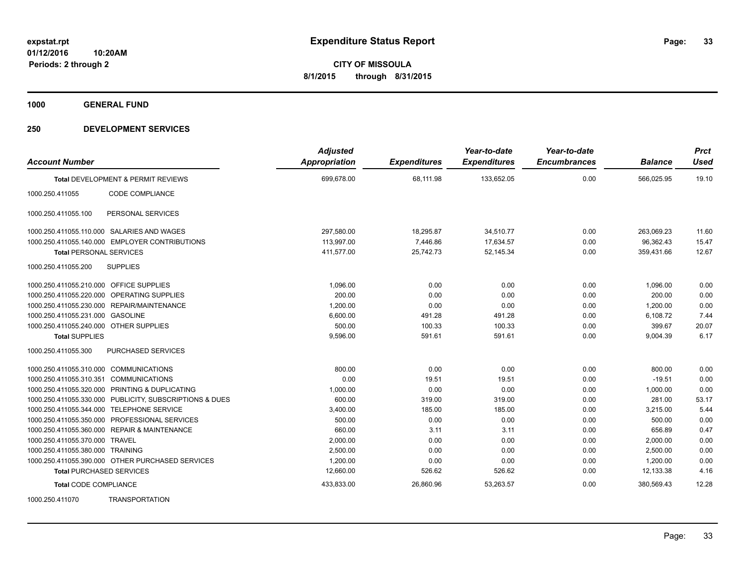**1000 GENERAL FUND**

| <b>Account Number</b>                   |                                                         | <b>Adjusted</b><br><b>Appropriation</b> | <b>Expenditures</b> | Year-to-date<br><b>Expenditures</b> | Year-to-date<br><b>Encumbrances</b> | <b>Balance</b> | <b>Prct</b><br><b>Used</b> |
|-----------------------------------------|---------------------------------------------------------|-----------------------------------------|---------------------|-------------------------------------|-------------------------------------|----------------|----------------------------|
|                                         | Total DEVELOPMENT & PERMIT REVIEWS                      | 699,678.00                              | 68,111.98           | 133,652.05                          | 0.00                                | 566,025.95     | 19.10                      |
| 1000.250.411055                         | CODE COMPLIANCE                                         |                                         |                     |                                     |                                     |                |                            |
| 1000.250.411055.100                     | PERSONAL SERVICES                                       |                                         |                     |                                     |                                     |                |                            |
|                                         | 1000.250.411055.110.000 SALARIES AND WAGES              | 297,580.00                              | 18,295.87           | 34,510.77                           | 0.00                                | 263,069.23     | 11.60                      |
|                                         | 1000.250.411055.140.000 EMPLOYER CONTRIBUTIONS          | 113,997.00                              | 7,446.86            | 17,634.57                           | 0.00                                | 96,362.43      | 15.47                      |
| <b>Total PERSONAL SERVICES</b>          |                                                         | 411,577.00                              | 25,742.73           | 52,145.34                           | 0.00                                | 359,431.66     | 12.67                      |
| 1000.250.411055.200                     | <b>SUPPLIES</b>                                         |                                         |                     |                                     |                                     |                |                            |
| 1000.250.411055.210.000 OFFICE SUPPLIES |                                                         | 1,096.00                                | 0.00                | 0.00                                | 0.00                                | 1,096.00       | 0.00                       |
|                                         | 1000.250.411055.220.000 OPERATING SUPPLIES              | 200.00                                  | 0.00                | 0.00                                | 0.00                                | 200.00         | 0.00                       |
|                                         | 1000.250.411055.230.000 REPAIR/MAINTENANCE              | 1,200.00                                | 0.00                | 0.00                                | 0.00                                | 1,200.00       | 0.00                       |
| 1000.250.411055.231.000 GASOLINE        |                                                         | 6,600.00                                | 491.28              | 491.28                              | 0.00                                | 6,108.72       | 7.44                       |
| 1000.250.411055.240.000 OTHER SUPPLIES  |                                                         | 500.00                                  | 100.33              | 100.33                              | 0.00                                | 399.67         | 20.07                      |
| <b>Total SUPPLIES</b>                   |                                                         | 9,596.00                                | 591.61              | 591.61                              | 0.00                                | 9,004.39       | 6.17                       |
| 1000.250.411055.300                     | PURCHASED SERVICES                                      |                                         |                     |                                     |                                     |                |                            |
| 1000.250.411055.310.000 COMMUNICATIONS  |                                                         | 800.00                                  | 0.00                | 0.00                                | 0.00                                | 800.00         | 0.00                       |
| 1000.250.411055.310.351 COMMUNICATIONS  |                                                         | 0.00                                    | 19.51               | 19.51                               | 0.00                                | $-19.51$       | 0.00                       |
|                                         | 1000.250.411055.320.000 PRINTING & DUPLICATING          | 1,000.00                                | 0.00                | 0.00                                | 0.00                                | 1,000.00       | 0.00                       |
|                                         | 1000.250.411055.330.000 PUBLICITY, SUBSCRIPTIONS & DUES | 600.00                                  | 319.00              | 319.00                              | 0.00                                | 281.00         | 53.17                      |
|                                         | 1000.250.411055.344.000 TELEPHONE SERVICE               | 3,400.00                                | 185.00              | 185.00                              | 0.00                                | 3,215.00       | 5.44                       |
|                                         | 1000.250.411055.350.000 PROFESSIONAL SERVICES           | 500.00                                  | 0.00                | 0.00                                | 0.00                                | 500.00         | 0.00                       |
|                                         | 1000.250.411055.360.000 REPAIR & MAINTENANCE            | 660.00                                  | 3.11                | 3.11                                | 0.00                                | 656.89         | 0.47                       |
| 1000.250.411055.370.000 TRAVEL          |                                                         | 2,000.00                                | 0.00                | 0.00                                | 0.00                                | 2,000.00       | 0.00                       |
| 1000.250.411055.380.000 TRAINING        |                                                         | 2,500.00                                | 0.00                | 0.00                                | 0.00                                | 2,500.00       | 0.00                       |
|                                         | 1000.250.411055.390.000 OTHER PURCHASED SERVICES        | 1,200.00                                | 0.00                | 0.00                                | 0.00                                | 1,200.00       | 0.00                       |
| <b>Total PURCHASED SERVICES</b>         |                                                         | 12,660.00                               | 526.62              | 526.62                              | 0.00                                | 12,133.38      | 4.16                       |
| <b>Total CODE COMPLIANCE</b>            |                                                         | 433,833.00                              | 26,860.96           | 53,263.57                           | 0.00                                | 380,569.43     | 12.28                      |
| 1000.250.411070                         | <b>TRANSPORTATION</b>                                   |                                         |                     |                                     |                                     |                |                            |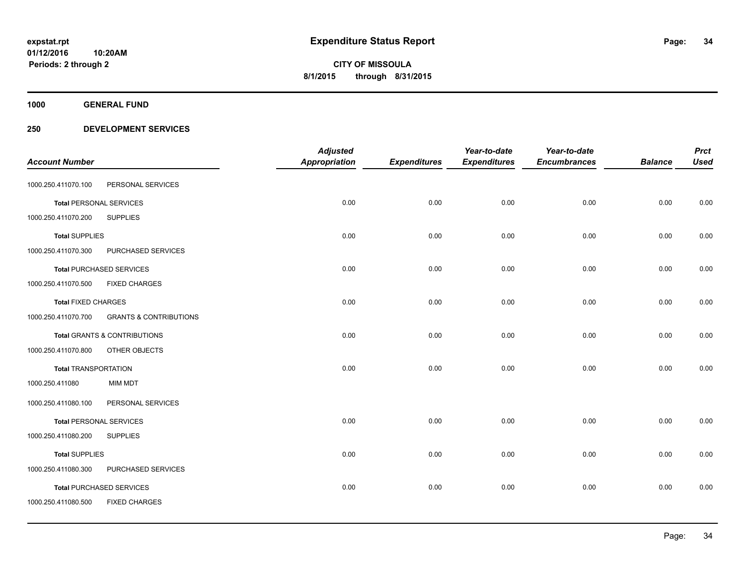**Periods: 2 through 2**

**CITY OF MISSOULA 8/1/2015 through 8/31/2015**

**1000 GENERAL FUND**

|                                |                                         | <b>Adjusted</b> |                     | Year-to-date        | Year-to-date        |                | <b>Prct</b> |
|--------------------------------|-----------------------------------------|-----------------|---------------------|---------------------|---------------------|----------------|-------------|
| <b>Account Number</b>          |                                         | Appropriation   | <b>Expenditures</b> | <b>Expenditures</b> | <b>Encumbrances</b> | <b>Balance</b> | <b>Used</b> |
| 1000.250.411070.100            | PERSONAL SERVICES                       |                 |                     |                     |                     |                |             |
| <b>Total PERSONAL SERVICES</b> |                                         | 0.00            | 0.00                | 0.00                | 0.00                | 0.00           | 0.00        |
| 1000.250.411070.200            | <b>SUPPLIES</b>                         |                 |                     |                     |                     |                |             |
| <b>Total SUPPLIES</b>          |                                         | 0.00            | 0.00                | 0.00                | 0.00                | 0.00           | 0.00        |
| 1000.250.411070.300            | PURCHASED SERVICES                      |                 |                     |                     |                     |                |             |
|                                | <b>Total PURCHASED SERVICES</b>         | 0.00            | 0.00                | 0.00                | 0.00                | 0.00           | 0.00        |
| 1000.250.411070.500            | <b>FIXED CHARGES</b>                    |                 |                     |                     |                     |                |             |
| <b>Total FIXED CHARGES</b>     |                                         | 0.00            | 0.00                | 0.00                | 0.00                | 0.00           | 0.00        |
| 1000.250.411070.700            | <b>GRANTS &amp; CONTRIBUTIONS</b>       |                 |                     |                     |                     |                |             |
|                                | <b>Total GRANTS &amp; CONTRIBUTIONS</b> | 0.00            | 0.00                | 0.00                | 0.00                | 0.00           | 0.00        |
| 1000.250.411070.800            | OTHER OBJECTS                           |                 |                     |                     |                     |                |             |
| <b>Total TRANSPORTATION</b>    |                                         | 0.00            | 0.00                | 0.00                | 0.00                | 0.00           | 0.00        |
| 1000.250.411080                | <b>MIM MDT</b>                          |                 |                     |                     |                     |                |             |
| 1000.250.411080.100            | PERSONAL SERVICES                       |                 |                     |                     |                     |                |             |
| <b>Total PERSONAL SERVICES</b> |                                         | 0.00            | 0.00                | 0.00                | 0.00                | 0.00           | 0.00        |
| 1000.250.411080.200            | <b>SUPPLIES</b>                         |                 |                     |                     |                     |                |             |
| <b>Total SUPPLIES</b>          |                                         | 0.00            | 0.00                | 0.00                | 0.00                | 0.00           | 0.00        |
| 1000.250.411080.300            | PURCHASED SERVICES                      |                 |                     |                     |                     |                |             |
|                                | <b>Total PURCHASED SERVICES</b>         | 0.00            | 0.00                | 0.00                | 0.00                | 0.00           | 0.00        |
| 1000.250.411080.500            | <b>FIXED CHARGES</b>                    |                 |                     |                     |                     |                |             |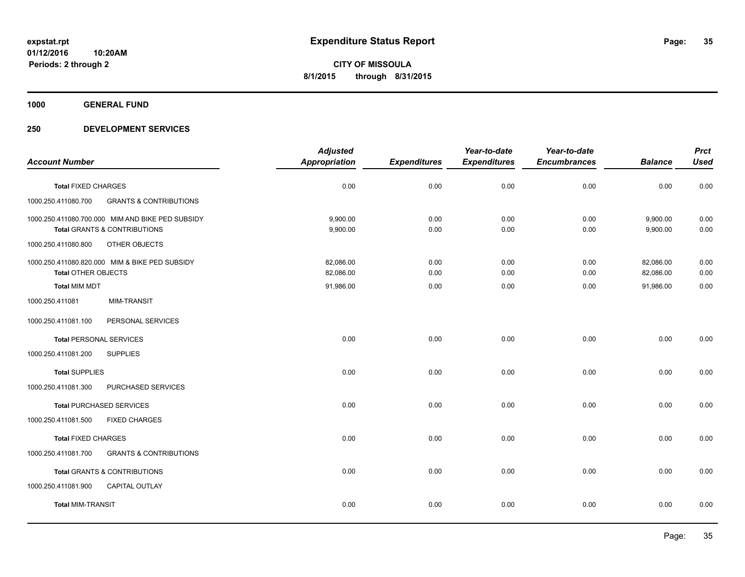**1000 GENERAL FUND**

|                                |                                                  | <b>Adjusted</b>      |                     | Year-to-date        | Year-to-date        |                | <b>Prct</b> |
|--------------------------------|--------------------------------------------------|----------------------|---------------------|---------------------|---------------------|----------------|-------------|
| <b>Account Number</b>          |                                                  | <b>Appropriation</b> | <b>Expenditures</b> | <b>Expenditures</b> | <b>Encumbrances</b> | <b>Balance</b> | <b>Used</b> |
| <b>Total FIXED CHARGES</b>     |                                                  | 0.00                 | 0.00                | 0.00                | 0.00                | 0.00           | 0.00        |
| 1000.250.411080.700            | <b>GRANTS &amp; CONTRIBUTIONS</b>                |                      |                     |                     |                     |                |             |
|                                | 1000.250.411080.700.000 MIM AND BIKE PED SUBSIDY | 9,900.00             | 0.00                | 0.00                | 0.00                | 9,900.00       | 0.00        |
|                                | <b>Total GRANTS &amp; CONTRIBUTIONS</b>          | 9,900.00             | 0.00                | 0.00                | 0.00                | 9,900.00       | 0.00        |
| 1000.250.411080.800            | OTHER OBJECTS                                    |                      |                     |                     |                     |                |             |
|                                | 1000.250.411080.820.000 MIM & BIKE PED SUBSIDY   | 82,086.00            | 0.00                | 0.00                | 0.00                | 82,086.00      | 0.00        |
| <b>Total OTHER OBJECTS</b>     |                                                  | 82,086.00            | 0.00                | 0.00                | 0.00                | 82,086.00      | 0.00        |
| <b>Total MIM MDT</b>           |                                                  | 91,986.00            | 0.00                | 0.00                | 0.00                | 91,986.00      | 0.00        |
| 1000.250.411081                | <b>MIM-TRANSIT</b>                               |                      |                     |                     |                     |                |             |
| 1000.250.411081.100            | PERSONAL SERVICES                                |                      |                     |                     |                     |                |             |
| <b>Total PERSONAL SERVICES</b> |                                                  | 0.00                 | 0.00                | 0.00                | 0.00                | 0.00           | 0.00        |
| 1000.250.411081.200            | <b>SUPPLIES</b>                                  |                      |                     |                     |                     |                |             |
| <b>Total SUPPLIES</b>          |                                                  | 0.00                 | 0.00                | 0.00                | 0.00                | 0.00           | 0.00        |
| 1000.250.411081.300            | PURCHASED SERVICES                               |                      |                     |                     |                     |                |             |
|                                | <b>Total PURCHASED SERVICES</b>                  | 0.00                 | 0.00                | 0.00                | 0.00                | 0.00           | 0.00        |
| 1000.250.411081.500            | <b>FIXED CHARGES</b>                             |                      |                     |                     |                     |                |             |
| <b>Total FIXED CHARGES</b>     |                                                  | 0.00                 | 0.00                | 0.00                | 0.00                | 0.00           | 0.00        |
| 1000.250.411081.700            | <b>GRANTS &amp; CONTRIBUTIONS</b>                |                      |                     |                     |                     |                |             |
|                                | <b>Total GRANTS &amp; CONTRIBUTIONS</b>          | 0.00                 | 0.00                | 0.00                | 0.00                | 0.00           | 0.00        |
| 1000.250.411081.900            | <b>CAPITAL OUTLAY</b>                            |                      |                     |                     |                     |                |             |
| <b>Total MIM-TRANSIT</b>       |                                                  | 0.00                 | 0.00                | 0.00                | 0.00                | 0.00           | 0.00        |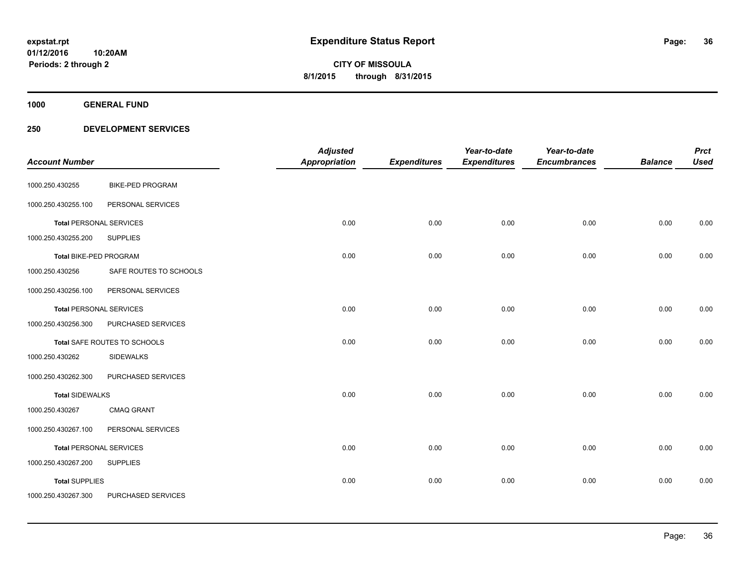**Periods: 2 through 2**

**36**

**CITY OF MISSOULA 8/1/2015 through 8/31/2015**

**1000 GENERAL FUND**

### **250 DEVELOPMENT SERVICES**

**10:20AM**

| <b>Account Number</b>          |                              | <b>Adjusted</b><br><b>Appropriation</b> | <b>Expenditures</b> | Year-to-date<br><b>Expenditures</b> | Year-to-date<br><b>Encumbrances</b> | <b>Balance</b> | <b>Prct</b><br><b>Used</b> |
|--------------------------------|------------------------------|-----------------------------------------|---------------------|-------------------------------------|-------------------------------------|----------------|----------------------------|
| 1000.250.430255                | <b>BIKE-PED PROGRAM</b>      |                                         |                     |                                     |                                     |                |                            |
| 1000.250.430255.100            | PERSONAL SERVICES            |                                         |                     |                                     |                                     |                |                            |
| <b>Total PERSONAL SERVICES</b> |                              | 0.00                                    | 0.00                | 0.00                                | 0.00                                | 0.00           | 0.00                       |
| 1000.250.430255.200            | <b>SUPPLIES</b>              |                                         |                     |                                     |                                     |                |                            |
| Total BIKE-PED PROGRAM         |                              | 0.00                                    | 0.00                | 0.00                                | 0.00                                | 0.00           | 0.00                       |
| 1000.250.430256                | SAFE ROUTES TO SCHOOLS       |                                         |                     |                                     |                                     |                |                            |
| 1000.250.430256.100            | PERSONAL SERVICES            |                                         |                     |                                     |                                     |                |                            |
| <b>Total PERSONAL SERVICES</b> |                              | 0.00                                    | 0.00                | 0.00                                | 0.00                                | 0.00           | 0.00                       |
| 1000.250.430256.300            | PURCHASED SERVICES           |                                         |                     |                                     |                                     |                |                            |
|                                | Total SAFE ROUTES TO SCHOOLS | 0.00                                    | 0.00                | 0.00                                | 0.00                                | 0.00           | 0.00                       |
| 1000.250.430262                | <b>SIDEWALKS</b>             |                                         |                     |                                     |                                     |                |                            |
| 1000.250.430262.300            | PURCHASED SERVICES           |                                         |                     |                                     |                                     |                |                            |
| <b>Total SIDEWALKS</b>         |                              | 0.00                                    | 0.00                | 0.00                                | 0.00                                | 0.00           | 0.00                       |
| 1000.250.430267                | <b>CMAQ GRANT</b>            |                                         |                     |                                     |                                     |                |                            |
| 1000.250.430267.100            | PERSONAL SERVICES            |                                         |                     |                                     |                                     |                |                            |
| <b>Total PERSONAL SERVICES</b> |                              | 0.00                                    | 0.00                | 0.00                                | 0.00                                | 0.00           | 0.00                       |
| 1000.250.430267.200            | <b>SUPPLIES</b>              |                                         |                     |                                     |                                     |                |                            |
| <b>Total SUPPLIES</b>          |                              | 0.00                                    | 0.00                | 0.00                                | 0.00                                | 0.00           | 0.00                       |
| 1000.250.430267.300            | PURCHASED SERVICES           |                                         |                     |                                     |                                     |                |                            |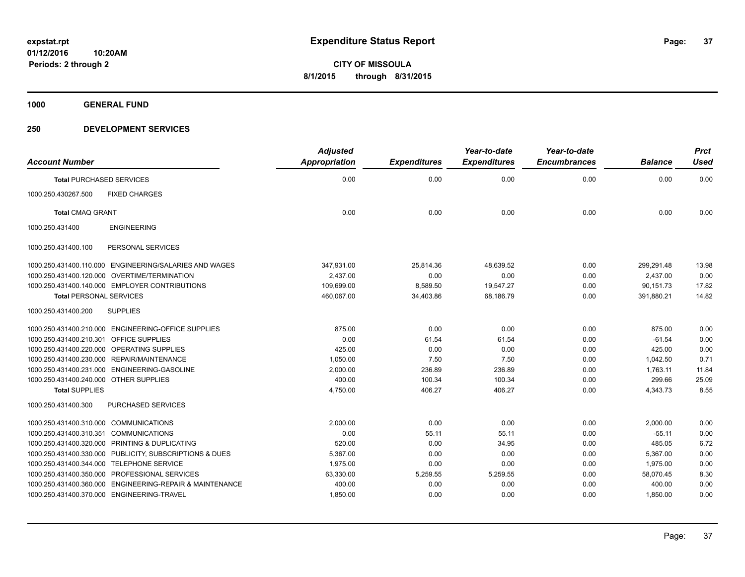**1000 GENERAL FUND**

### **250 DEVELOPMENT SERVICES**

| <b>Account Number</b>                                    | <b>Adjusted</b><br><b>Appropriation</b> | <b>Expenditures</b> | Year-to-date<br><b>Expenditures</b> | Year-to-date<br><b>Encumbrances</b> | <b>Balance</b> | <b>Prct</b><br><b>Used</b> |
|----------------------------------------------------------|-----------------------------------------|---------------------|-------------------------------------|-------------------------------------|----------------|----------------------------|
| <b>Total PURCHASED SERVICES</b>                          | 0.00                                    | 0.00                | 0.00                                | 0.00                                | 0.00           | 0.00                       |
| 1000.250.430267.500<br><b>FIXED CHARGES</b>              |                                         |                     |                                     |                                     |                |                            |
| <b>Total CMAQ GRANT</b>                                  | 0.00                                    | 0.00                | 0.00                                | 0.00                                | 0.00           | 0.00                       |
| <b>ENGINEERING</b><br>1000.250.431400                    |                                         |                     |                                     |                                     |                |                            |
| PERSONAL SERVICES<br>1000.250.431400.100                 |                                         |                     |                                     |                                     |                |                            |
| 1000.250.431400.110.000 ENGINEERING/SALARIES AND WAGES   | 347,931.00                              | 25,814.36           | 48.639.52                           | 0.00                                | 299,291.48     | 13.98                      |
| 1000.250.431400.120.000 OVERTIME/TERMINATION             | 2,437.00                                | 0.00                | 0.00                                | 0.00                                | 2,437.00       | 0.00                       |
| 1000.250.431400.140.000 EMPLOYER CONTRIBUTIONS           | 109.699.00                              | 8,589.50            | 19,547.27                           | 0.00                                | 90.151.73      | 17.82                      |
| <b>Total PERSONAL SERVICES</b>                           | 460,067.00                              | 34,403.86           | 68,186.79                           | 0.00                                | 391,880.21     | 14.82                      |
| 1000.250.431400.200<br><b>SUPPLIES</b>                   |                                         |                     |                                     |                                     |                |                            |
| 1000.250.431400.210.000 ENGINEERING-OFFICE SUPPLIES      | 875.00                                  | 0.00                | 0.00                                | 0.00                                | 875.00         | 0.00                       |
| <b>OFFICE SUPPLIES</b><br>1000.250.431400.210.301        | 0.00                                    | 61.54               | 61.54                               | 0.00                                | $-61.54$       | 0.00                       |
| 1000.250.431400.220.000 OPERATING SUPPLIES               | 425.00                                  | 0.00                | 0.00                                | 0.00                                | 425.00         | 0.00                       |
| 1000.250.431400.230.000 REPAIR/MAINTENANCE               | 1,050.00                                | 7.50                | 7.50                                | 0.00                                | 1,042.50       | 0.71                       |
| 1000.250.431400.231.000 ENGINEERING-GASOLINE             | 2,000.00                                | 236.89              | 236.89                              | 0.00                                | 1,763.11       | 11.84                      |
| 1000.250.431400.240.000 OTHER SUPPLIES                   | 400.00                                  | 100.34              | 100.34                              | 0.00                                | 299.66         | 25.09                      |
| <b>Total SUPPLIES</b>                                    | 4,750.00                                | 406.27              | 406.27                              | 0.00                                | 4,343.73       | 8.55                       |
| 1000.250.431400.300<br><b>PURCHASED SERVICES</b>         |                                         |                     |                                     |                                     |                |                            |
| 1000.250.431400.310.000 COMMUNICATIONS                   | 2,000.00                                | 0.00                | 0.00                                | 0.00                                | 2,000.00       | 0.00                       |
| <b>COMMUNICATIONS</b><br>1000.250.431400.310.351         | 0.00                                    | 55.11               | 55.11                               | 0.00                                | $-55.11$       | 0.00                       |
| 1000.250.431400.320.000 PRINTING & DUPLICATING           | 520.00                                  | 0.00                | 34.95                               | 0.00                                | 485.05         | 6.72                       |
| 1000.250.431400.330.000 PUBLICITY, SUBSCRIPTIONS & DUES  | 5,367.00                                | 0.00                | 0.00                                | 0.00                                | 5,367.00       | 0.00                       |
| 1000.250.431400.344.000 TELEPHONE SERVICE                | 1,975.00                                | 0.00                | 0.00                                | 0.00                                | 1,975.00       | 0.00                       |
| 1000.250.431400.350.000 PROFESSIONAL SERVICES            | 63,330.00                               | 5,259.55            | 5,259.55                            | 0.00                                | 58,070.45      | 8.30                       |
| 1000.250.431400.360.000 ENGINEERING-REPAIR & MAINTENANCE | 400.00                                  | 0.00                | 0.00                                | 0.00                                | 400.00         | 0.00                       |
| 1000.250.431400.370.000 ENGINEERING-TRAVEL               | 1,850.00                                | 0.00                | 0.00                                | 0.00                                | 1,850.00       | 0.00                       |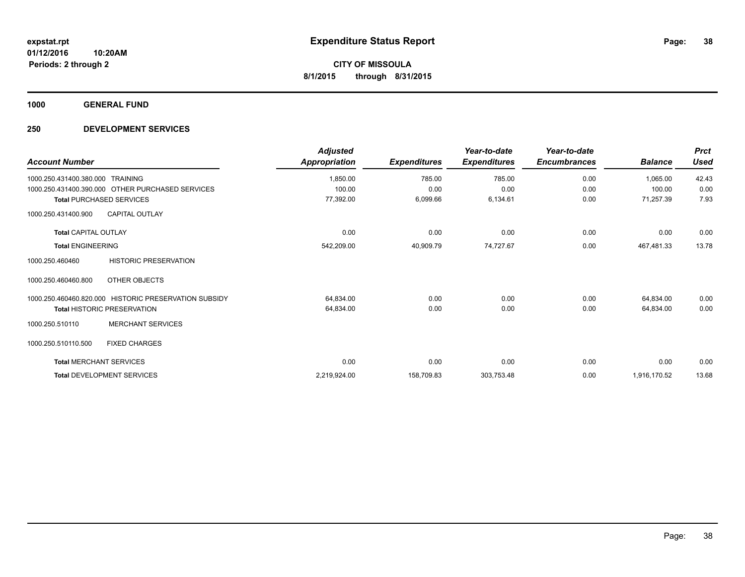**1000 GENERAL FUND**

### **250 DEVELOPMENT SERVICES**

| <b>Account Number</b>                                 | <b>Adjusted</b><br>Appropriation | <b>Expenditures</b> | Year-to-date<br><b>Expenditures</b> | Year-to-date<br><b>Encumbrances</b> | <b>Balance</b> | <b>Prct</b><br><b>Used</b> |
|-------------------------------------------------------|----------------------------------|---------------------|-------------------------------------|-------------------------------------|----------------|----------------------------|
| 1000.250.431400.380.000<br><b>TRAINING</b>            | 1,850.00                         | 785.00              | 785.00                              | 0.00                                | 1,065.00       | 42.43                      |
| 1000.250.431400.390.000 OTHER PURCHASED SERVICES      | 100.00                           | 0.00                | 0.00                                | 0.00                                | 100.00         | 0.00                       |
| <b>Total PURCHASED SERVICES</b>                       | 77,392.00                        | 6,099.66            | 6,134.61                            | 0.00                                | 71,257.39      | 7.93                       |
| <b>CAPITAL OUTLAY</b><br>1000.250.431400.900          |                                  |                     |                                     |                                     |                |                            |
| <b>Total CAPITAL OUTLAY</b>                           | 0.00                             | 0.00                | 0.00                                | 0.00                                | 0.00           | 0.00                       |
| <b>Total ENGINEERING</b>                              | 542,209.00                       | 40,909.79           | 74,727.67                           | 0.00                                | 467,481.33     | 13.78                      |
| <b>HISTORIC PRESERVATION</b><br>1000.250.460460       |                                  |                     |                                     |                                     |                |                            |
| 1000.250.460460.800<br>OTHER OBJECTS                  |                                  |                     |                                     |                                     |                |                            |
| 1000.250.460460.820.000 HISTORIC PRESERVATION SUBSIDY | 64,834.00                        | 0.00                | 0.00                                | 0.00                                | 64,834.00      | 0.00                       |
| <b>Total HISTORIC PRESERVATION</b>                    | 64,834.00                        | 0.00                | 0.00                                | 0.00                                | 64,834.00      | 0.00                       |
| <b>MERCHANT SERVICES</b><br>1000.250.510110           |                                  |                     |                                     |                                     |                |                            |
| 1000.250.510110.500<br><b>FIXED CHARGES</b>           |                                  |                     |                                     |                                     |                |                            |
| <b>Total MERCHANT SERVICES</b>                        | 0.00                             | 0.00                | 0.00                                | 0.00                                | 0.00           | 0.00                       |
| <b>Total DEVELOPMENT SERVICES</b>                     | 2,219,924.00                     | 158,709.83          | 303,753.48                          | 0.00                                | 1,916,170.52   | 13.68                      |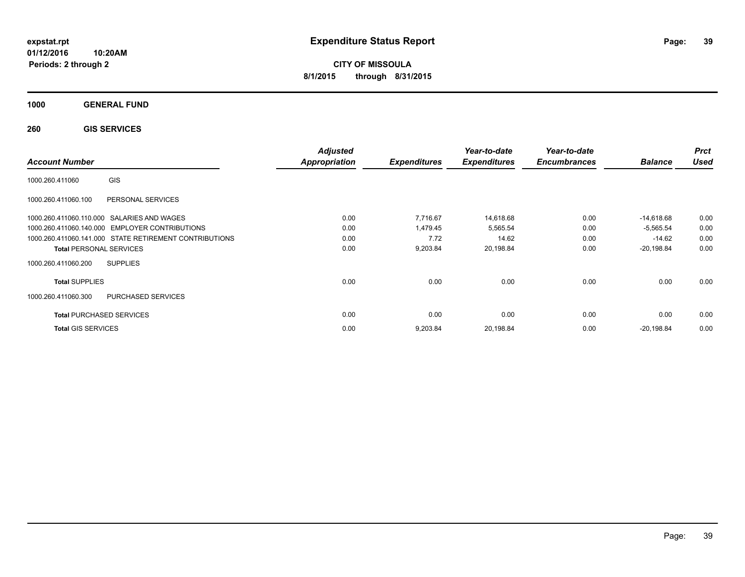**CITY OF MISSOULA 8/1/2015 through 8/31/2015**

**1000 GENERAL FUND**

**260 GIS SERVICES**

| <b>Account Number</b>                                  | <b>Adjusted</b><br><b>Appropriation</b> | <b>Expenditures</b> | Year-to-date<br><b>Expenditures</b> | Year-to-date<br><b>Encumbrances</b> | <b>Balance</b> | <b>Prct</b><br><b>Used</b> |
|--------------------------------------------------------|-----------------------------------------|---------------------|-------------------------------------|-------------------------------------|----------------|----------------------------|
| GIS<br>1000.260.411060                                 |                                         |                     |                                     |                                     |                |                            |
| 1000.260.411060.100<br>PERSONAL SERVICES               |                                         |                     |                                     |                                     |                |                            |
| 1000.260.411060.110.000 SALARIES AND WAGES             | 0.00                                    | 7,716.67            | 14,618.68                           | 0.00                                | -14,618.68     | 0.00                       |
| 1000.260.411060.140.000 EMPLOYER CONTRIBUTIONS         | 0.00                                    | 1,479.45            | 5,565.54                            | 0.00                                | $-5,565.54$    | 0.00                       |
| 1000.260.411060.141.000 STATE RETIREMENT CONTRIBUTIONS | 0.00                                    | 7.72                | 14.62                               | 0.00                                | $-14.62$       | 0.00                       |
| <b>Total PERSONAL SERVICES</b>                         | 0.00                                    | 9,203.84            | 20,198.84                           | 0.00                                | $-20,198.84$   | 0.00                       |
| 1000.260.411060.200<br><b>SUPPLIES</b>                 |                                         |                     |                                     |                                     |                |                            |
| <b>Total SUPPLIES</b>                                  | 0.00                                    | 0.00                | 0.00                                | 0.00                                | 0.00           | 0.00                       |
| <b>PURCHASED SERVICES</b><br>1000.260.411060.300       |                                         |                     |                                     |                                     |                |                            |
| <b>Total PURCHASED SERVICES</b>                        | 0.00                                    | 0.00                | 0.00                                | 0.00                                | 0.00           | 0.00                       |
| <b>Total GIS SERVICES</b>                              | 0.00                                    | 9,203.84            | 20,198.84                           | 0.00                                | $-20,198.84$   | 0.00                       |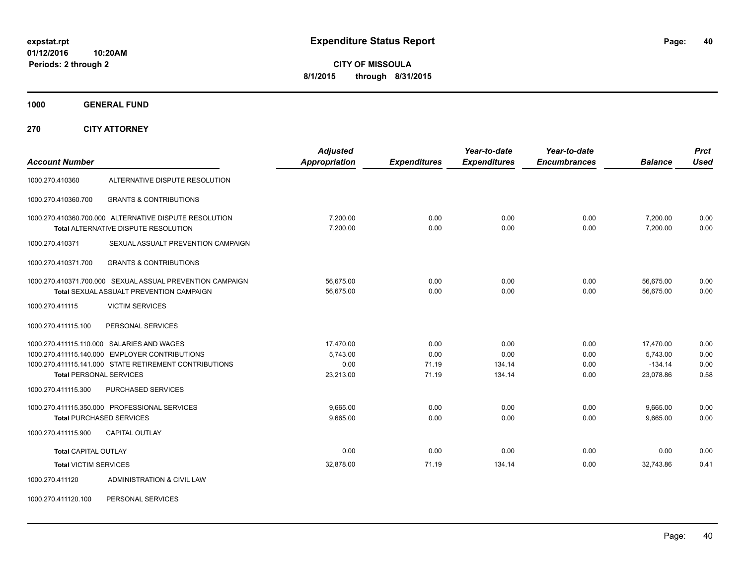**CITY OF MISSOULA 8/1/2015 through 8/31/2015**

**1000 GENERAL FUND**

**270 CITY ATTORNEY**

| <b>Account Number</b>          |                                                                                                                                                        | <b>Adjusted</b><br>Appropriation           | <b>Expenditures</b>            | Year-to-date<br><b>Expenditures</b> | Year-to-date<br><b>Encumbrances</b> | <b>Balance</b>                                  | <b>Prct</b><br><b>Used</b>   |
|--------------------------------|--------------------------------------------------------------------------------------------------------------------------------------------------------|--------------------------------------------|--------------------------------|-------------------------------------|-------------------------------------|-------------------------------------------------|------------------------------|
| 1000.270.410360                | ALTERNATIVE DISPUTE RESOLUTION                                                                                                                         |                                            |                                |                                     |                                     |                                                 |                              |
| 1000.270.410360.700            | <b>GRANTS &amp; CONTRIBUTIONS</b>                                                                                                                      |                                            |                                |                                     |                                     |                                                 |                              |
|                                | 1000.270.410360.700.000 ALTERNATIVE DISPUTE RESOLUTION<br>Total ALTERNATIVE DISPUTE RESOLUTION                                                         | 7.200.00<br>7.200.00                       | 0.00<br>0.00                   | 0.00<br>0.00                        | 0.00<br>0.00                        | 7.200.00<br>7.200.00                            | 0.00<br>0.00                 |
| 1000.270.410371                | SEXUAL ASSUALT PREVENTION CAMPAIGN                                                                                                                     |                                            |                                |                                     |                                     |                                                 |                              |
| 1000.270.410371.700            | <b>GRANTS &amp; CONTRIBUTIONS</b>                                                                                                                      |                                            |                                |                                     |                                     |                                                 |                              |
|                                | 1000.270.410371.700.000 SEXUAL ASSUAL PREVENTION CAMPAIGN<br><b>Total SEXUAL ASSUALT PREVENTION CAMPAIGN</b>                                           | 56,675.00<br>56,675.00                     | 0.00<br>0.00                   | 0.00<br>0.00                        | 0.00<br>0.00                        | 56,675.00<br>56.675.00                          | 0.00<br>0.00                 |
| 1000.270.411115                | <b>VICTIM SERVICES</b>                                                                                                                                 |                                            |                                |                                     |                                     |                                                 |                              |
| 1000.270.411115.100            | PERSONAL SERVICES                                                                                                                                      |                                            |                                |                                     |                                     |                                                 |                              |
| <b>Total PERSONAL SERVICES</b> | 1000.270.411115.110.000 SALARIES AND WAGES<br>1000.270.411115.140.000 EMPLOYER CONTRIBUTIONS<br>1000.270.411115.141.000 STATE RETIREMENT CONTRIBUTIONS | 17.470.00<br>5,743.00<br>0.00<br>23,213.00 | 0.00<br>0.00<br>71.19<br>71.19 | 0.00<br>0.00<br>134.14<br>134.14    | 0.00<br>0.00<br>0.00<br>0.00        | 17,470.00<br>5,743.00<br>$-134.14$<br>23,078.86 | 0.00<br>0.00<br>0.00<br>0.58 |
| 1000.270.411115.300            | <b>PURCHASED SERVICES</b>                                                                                                                              |                                            |                                |                                     |                                     |                                                 |                              |
|                                | 1000.270.411115.350.000 PROFESSIONAL SERVICES<br><b>Total PURCHASED SERVICES</b>                                                                       | 9,665.00<br>9,665.00                       | 0.00<br>0.00                   | 0.00<br>0.00                        | 0.00<br>0.00                        | 9,665.00<br>9,665.00                            | 0.00<br>0.00                 |
| 1000.270.411115.900            | <b>CAPITAL OUTLAY</b>                                                                                                                                  |                                            |                                |                                     |                                     |                                                 |                              |
| <b>Total CAPITAL OUTLAY</b>    |                                                                                                                                                        | 0.00                                       | 0.00                           | 0.00                                | 0.00                                | 0.00                                            | 0.00                         |
| <b>Total VICTIM SERVICES</b>   |                                                                                                                                                        | 32,878.00                                  | 71.19                          | 134.14                              | 0.00                                | 32,743.86                                       | 0.41                         |
| 1000.270.411120                | ADMINISTRATION & CIVIL LAW                                                                                                                             |                                            |                                |                                     |                                     |                                                 |                              |

1000.270.411120.100 PERSONAL SERVICES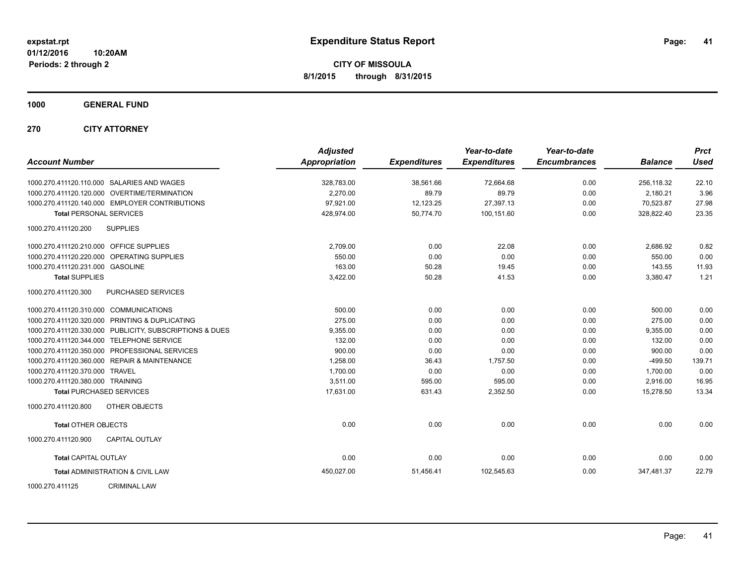**CITY OF MISSOULA 8/1/2015 through 8/31/2015**

**1000 GENERAL FUND**

**270 CITY ATTORNEY**

| <b>Account Number</b>                   |                                                         | <b>Adjusted</b><br>Appropriation | <b>Expenditures</b> | Year-to-date<br><b>Expenditures</b> | Year-to-date<br><b>Encumbrances</b> | <b>Balance</b> | <b>Prct</b><br><b>Used</b> |
|-----------------------------------------|---------------------------------------------------------|----------------------------------|---------------------|-------------------------------------|-------------------------------------|----------------|----------------------------|
|                                         | 1000.270.411120.110.000 SALARIES AND WAGES              | 328,783.00                       | 38,561.66           | 72,664.68                           | 0.00                                | 256,118.32     | 22.10                      |
|                                         | 1000.270.411120.120.000 OVERTIME/TERMINATION            | 2,270.00                         | 89.79               | 89.79                               | 0.00                                | 2,180.21       | 3.96                       |
|                                         | 1000.270.411120.140.000 EMPLOYER CONTRIBUTIONS          | 97,921.00                        | 12,123.25           | 27,397.13                           | 0.00                                | 70,523.87      | 27.98                      |
| <b>Total PERSONAL SERVICES</b>          |                                                         | 428,974.00                       | 50,774.70           | 100,151.60                          | 0.00                                | 328,822.40     | 23.35                      |
| 1000.270.411120.200                     | <b>SUPPLIES</b>                                         |                                  |                     |                                     |                                     |                |                            |
| 1000.270.411120.210.000 OFFICE SUPPLIES |                                                         | 2,709.00                         | 0.00                | 22.08                               | 0.00                                | 2,686.92       | 0.82                       |
|                                         | 1000.270.411120.220.000 OPERATING SUPPLIES              | 550.00                           | 0.00                | 0.00                                | 0.00                                | 550.00         | 0.00                       |
| 1000.270.411120.231.000 GASOLINE        |                                                         | 163.00                           | 50.28               | 19.45                               | 0.00                                | 143.55         | 11.93                      |
| <b>Total SUPPLIES</b>                   |                                                         | 3,422.00                         | 50.28               | 41.53                               | 0.00                                | 3,380.47       | 1.21                       |
| 1000.270.411120.300                     | PURCHASED SERVICES                                      |                                  |                     |                                     |                                     |                |                            |
| 1000.270.411120.310.000 COMMUNICATIONS  |                                                         | 500.00                           | 0.00                | 0.00                                | 0.00                                | 500.00         | 0.00                       |
|                                         | 1000.270.411120.320.000 PRINTING & DUPLICATING          | 275.00                           | 0.00                | 0.00                                | 0.00                                | 275.00         | 0.00                       |
|                                         | 1000.270.411120.330.000 PUBLICITY, SUBSCRIPTIONS & DUES | 9,355.00                         | 0.00                | 0.00                                | 0.00                                | 9,355.00       | 0.00                       |
|                                         | 1000.270.411120.344.000 TELEPHONE SERVICE               | 132.00                           | 0.00                | 0.00                                | 0.00                                | 132.00         | 0.00                       |
|                                         | 1000.270.411120.350.000 PROFESSIONAL SERVICES           | 900.00                           | 0.00                | 0.00                                | 0.00                                | 900.00         | 0.00                       |
|                                         | 1000.270.411120.360.000 REPAIR & MAINTENANCE            | 1,258.00                         | 36.43               | 1,757.50                            | 0.00                                | $-499.50$      | 139.71                     |
| 1000.270.411120.370.000 TRAVEL          |                                                         | 1,700.00                         | 0.00                | 0.00                                | 0.00                                | 1,700.00       | 0.00                       |
| 1000.270.411120.380.000 TRAINING        |                                                         | 3,511.00                         | 595.00              | 595.00                              | 0.00                                | 2,916.00       | 16.95                      |
|                                         | <b>Total PURCHASED SERVICES</b>                         | 17,631.00                        | 631.43              | 2,352.50                            | 0.00                                | 15,278.50      | 13.34                      |
| 1000.270.411120.800                     | <b>OTHER OBJECTS</b>                                    |                                  |                     |                                     |                                     |                |                            |
| <b>Total OTHER OBJECTS</b>              |                                                         | 0.00                             | 0.00                | 0.00                                | 0.00                                | 0.00           | 0.00                       |
| 1000.270.411120.900                     | <b>CAPITAL OUTLAY</b>                                   |                                  |                     |                                     |                                     |                |                            |
| <b>Total CAPITAL OUTLAY</b>             |                                                         | 0.00                             | 0.00                | 0.00                                | 0.00                                | 0.00           | 0.00                       |
|                                         | <b>Total ADMINISTRATION &amp; CIVIL LAW</b>             | 450,027.00                       | 51,456.41           | 102,545.63                          | 0.00                                | 347.481.37     | 22.79                      |
| 1000.270.411125                         | <b>CRIMINAL LAW</b>                                     |                                  |                     |                                     |                                     |                |                            |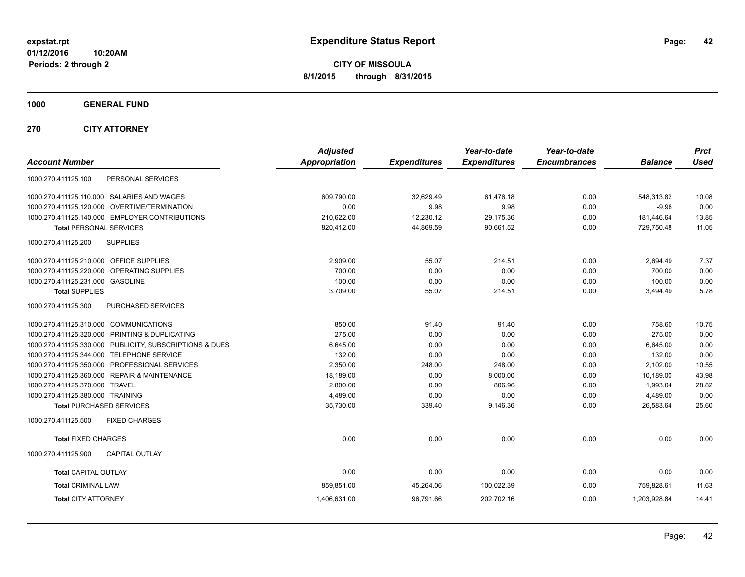**CITY OF MISSOULA 8/1/2015 through 8/31/2015**

**1000 GENERAL FUND**

**270 CITY ATTORNEY**

| <b>Account Number</b>                                   | <b>Adjusted</b><br><b>Appropriation</b> | <b>Expenditures</b> | Year-to-date<br><b>Expenditures</b> | Year-to-date<br><b>Encumbrances</b> | <b>Balance</b> | <b>Prct</b><br><b>Used</b> |
|---------------------------------------------------------|-----------------------------------------|---------------------|-------------------------------------|-------------------------------------|----------------|----------------------------|
| 1000.270.411125.100<br>PERSONAL SERVICES                |                                         |                     |                                     |                                     |                |                            |
| 1000.270.411125.110.000 SALARIES AND WAGES              | 609.790.00                              | 32.629.49           | 61,476.18                           | 0.00                                | 548,313.82     | 10.08                      |
| 1000.270.411125.120.000 OVERTIME/TERMINATION            | 0.00                                    | 9.98                | 9.98                                | 0.00                                | $-9.98$        | 0.00                       |
| 1000.270.411125.140.000 EMPLOYER CONTRIBUTIONS          | 210,622.00                              | 12,230.12           | 29.175.36                           | 0.00                                | 181,446.64     | 13.85                      |
| <b>Total PERSONAL SERVICES</b>                          | 820,412.00                              | 44,869.59           | 90.661.52                           | 0.00                                | 729,750.48     | 11.05                      |
| <b>SUPPLIES</b><br>1000.270.411125.200                  |                                         |                     |                                     |                                     |                |                            |
| 1000.270.411125.210.000 OFFICE SUPPLIES                 | 2,909.00                                | 55.07               | 214.51                              | 0.00                                | 2.694.49       | 7.37                       |
| 1000.270.411125.220.000<br>OPERATING SUPPLIES           | 700.00                                  | 0.00                | 0.00                                | 0.00                                | 700.00         | 0.00                       |
| 1000.270.411125.231.000<br><b>GASOLINE</b>              | 100.00                                  | 0.00                | 0.00                                | 0.00                                | 100.00         | 0.00                       |
| <b>Total SUPPLIES</b>                                   | 3,709.00                                | 55.07               | 214.51                              | 0.00                                | 3,494.49       | 5.78                       |
| PURCHASED SERVICES<br>1000.270.411125.300               |                                         |                     |                                     |                                     |                |                            |
| 1000.270.411125.310.000 COMMUNICATIONS                  | 850.00                                  | 91.40               | 91.40                               | 0.00                                | 758.60         | 10.75                      |
| 1000.270.411125.320.000 PRINTING & DUPLICATING          | 275.00                                  | 0.00                | 0.00                                | 0.00                                | 275.00         | 0.00                       |
| 1000.270.411125.330.000 PUBLICITY, SUBSCRIPTIONS & DUES | 6,645.00                                | 0.00                | 0.00                                | 0.00                                | 6,645.00       | 0.00                       |
| 1000.270.411125.344.000 TELEPHONE SERVICE               | 132.00                                  | 0.00                | 0.00                                | 0.00                                | 132.00         | 0.00                       |
| 1000.270.411125.350.000 PROFESSIONAL SERVICES           | 2,350.00                                | 248.00              | 248.00                              | 0.00                                | 2,102.00       | 10.55                      |
| 1000.270.411125.360.000 REPAIR & MAINTENANCE            | 18,189.00                               | 0.00                | 8,000.00                            | 0.00                                | 10,189.00      | 43.98                      |
| 1000.270.411125.370.000 TRAVEL                          | 2.800.00                                | 0.00                | 806.96                              | 0.00                                | 1.993.04       | 28.82                      |
| 1000.270.411125.380.000 TRAINING                        | 4,489.00                                | 0.00                | 0.00                                | 0.00                                | 4,489.00       | 0.00                       |
| <b>Total PURCHASED SERVICES</b>                         | 35,730.00                               | 339.40              | 9,146.36                            | 0.00                                | 26,583.64      | 25.60                      |
| 1000.270.411125.500<br><b>FIXED CHARGES</b>             |                                         |                     |                                     |                                     |                |                            |
| <b>Total FIXED CHARGES</b>                              | 0.00                                    | 0.00                | 0.00                                | 0.00                                | 0.00           | 0.00                       |
| 1000.270.411125.900<br><b>CAPITAL OUTLAY</b>            |                                         |                     |                                     |                                     |                |                            |
| <b>Total CAPITAL OUTLAY</b>                             | 0.00                                    | 0.00                | 0.00                                | 0.00                                | 0.00           | 0.00                       |
| <b>Total CRIMINAL LAW</b>                               | 859,851.00                              | 45,264.06           | 100,022.39                          | 0.00                                | 759.828.61     | 11.63                      |
| <b>Total CITY ATTORNEY</b>                              | 1,406,631.00                            | 96,791.66           | 202,702.16                          | 0.00                                | 1,203,928.84   | 14.41                      |
|                                                         |                                         |                     |                                     |                                     |                |                            |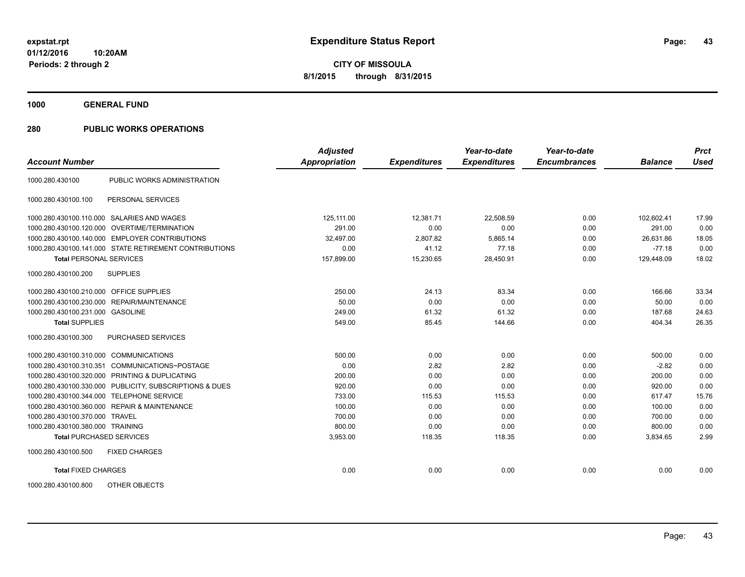**1000 GENERAL FUND**

| <b>Account Number</b>                   |                                                         | <b>Adjusted</b><br><b>Appropriation</b> | <b>Expenditures</b> | Year-to-date<br><b>Expenditures</b> | Year-to-date<br><b>Encumbrances</b> | <b>Balance</b> | <b>Prct</b><br><b>Used</b> |
|-----------------------------------------|---------------------------------------------------------|-----------------------------------------|---------------------|-------------------------------------|-------------------------------------|----------------|----------------------------|
|                                         |                                                         |                                         |                     |                                     |                                     |                |                            |
| 1000.280.430100                         | PUBLIC WORKS ADMINISTRATION                             |                                         |                     |                                     |                                     |                |                            |
| 1000.280.430100.100                     | PERSONAL SERVICES                                       |                                         |                     |                                     |                                     |                |                            |
|                                         | 1000.280.430100.110.000 SALARIES AND WAGES              | 125,111.00                              | 12,381.71           | 22,508.59                           | 0.00                                | 102,602.41     | 17.99                      |
|                                         | 1000.280.430100.120.000 OVERTIME/TERMINATION            | 291.00                                  | 0.00                | 0.00                                | 0.00                                | 291.00         | 0.00                       |
|                                         | 1000.280.430100.140.000 EMPLOYER CONTRIBUTIONS          | 32,497.00                               | 2,807.82            | 5,865.14                            | 0.00                                | 26,631.86      | 18.05                      |
|                                         | 1000.280.430100.141.000 STATE RETIREMENT CONTRIBUTIONS  | 0.00                                    | 41.12               | 77.18                               | 0.00                                | $-77.18$       | 0.00                       |
| <b>Total PERSONAL SERVICES</b>          |                                                         | 157,899.00                              | 15,230.65           | 28,450.91                           | 0.00                                | 129,448.09     | 18.02                      |
| 1000.280.430100.200                     | <b>SUPPLIES</b>                                         |                                         |                     |                                     |                                     |                |                            |
| 1000.280.430100.210.000 OFFICE SUPPLIES |                                                         | 250.00                                  | 24.13               | 83.34                               | 0.00                                | 166.66         | 33.34                      |
|                                         | 1000.280.430100.230.000 REPAIR/MAINTENANCE              | 50.00                                   | 0.00                | 0.00                                | 0.00                                | 50.00          | 0.00                       |
| 1000.280.430100.231.000 GASOLINE        |                                                         | 249.00                                  | 61.32               | 61.32                               | 0.00                                | 187.68         | 24.63                      |
| <b>Total SUPPLIES</b>                   |                                                         | 549.00                                  | 85.45               | 144.66                              | 0.00                                | 404.34         | 26.35                      |
| 1000.280.430100.300                     | PURCHASED SERVICES                                      |                                         |                     |                                     |                                     |                |                            |
| 1000.280.430100.310.000 COMMUNICATIONS  |                                                         | 500.00                                  | 0.00                | 0.00                                | 0.00                                | 500.00         | 0.00                       |
| 1000.280.430100.310.351                 | COMMUNICATIONS~POSTAGE                                  | 0.00                                    | 2.82                | 2.82                                | 0.00                                | $-2.82$        | 0.00                       |
|                                         | 1000.280.430100.320.000 PRINTING & DUPLICATING          | 200.00                                  | 0.00                | 0.00                                | 0.00                                | 200.00         | 0.00                       |
|                                         | 1000.280.430100.330.000 PUBLICITY, SUBSCRIPTIONS & DUES | 920.00                                  | 0.00                | 0.00                                | 0.00                                | 920.00         | 0.00                       |
|                                         | 1000.280.430100.344.000 TELEPHONE SERVICE               | 733.00                                  | 115.53              | 115.53                              | 0.00                                | 617.47         | 15.76                      |
|                                         | 1000.280.430100.360.000 REPAIR & MAINTENANCE            | 100.00                                  | 0.00                | 0.00                                | 0.00                                | 100.00         | 0.00                       |
| 1000.280.430100.370.000 TRAVEL          |                                                         | 700.00                                  | 0.00                | 0.00                                | 0.00                                | 700.00         | 0.00                       |
| 1000.280.430100.380.000 TRAINING        |                                                         | 800.00                                  | 0.00                | 0.00                                | 0.00                                | 800.00         | 0.00                       |
| <b>Total PURCHASED SERVICES</b>         |                                                         | 3,953.00                                | 118.35              | 118.35                              | 0.00                                | 3,834.65       | 2.99                       |
| 1000.280.430100.500                     | <b>FIXED CHARGES</b>                                    |                                         |                     |                                     |                                     |                |                            |
| <b>Total FIXED CHARGES</b>              |                                                         | 0.00                                    | 0.00                | 0.00                                | 0.00                                | 0.00           | 0.00                       |
| 1000.280.430100.800                     | OTHER OBJECTS                                           |                                         |                     |                                     |                                     |                |                            |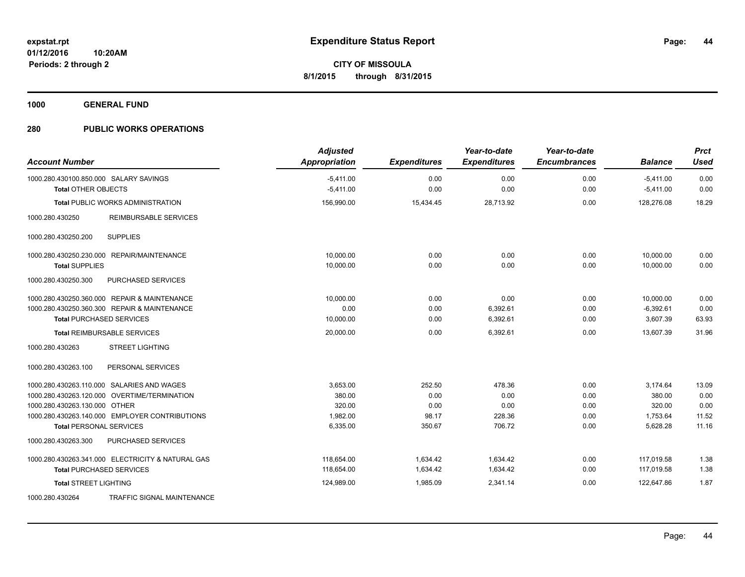**1000 GENERAL FUND**

| <b>Account Number</b>                                                | <b>Adjusted</b><br><b>Appropriation</b> | <b>Expenditures</b> | Year-to-date<br><b>Expenditures</b> | Year-to-date<br><b>Encumbrances</b> | <b>Balance</b>             | <b>Prct</b><br><b>Used</b> |
|----------------------------------------------------------------------|-----------------------------------------|---------------------|-------------------------------------|-------------------------------------|----------------------------|----------------------------|
| 1000.280.430100.850.000 SALARY SAVINGS<br><b>Total OTHER OBJECTS</b> | $-5,411.00$<br>$-5,411.00$              | 0.00<br>0.00        | 0.00<br>0.00                        | 0.00<br>0.00                        | $-5,411.00$<br>$-5,411.00$ | 0.00<br>0.00               |
|                                                                      |                                         |                     |                                     |                                     |                            |                            |
| <b>Total PUBLIC WORKS ADMINISTRATION</b>                             | 156,990.00                              | 15,434.45           | 28,713.92                           | 0.00                                | 128,276.08                 | 18.29                      |
| <b>REIMBURSABLE SERVICES</b><br>1000.280.430250                      |                                         |                     |                                     |                                     |                            |                            |
| <b>SUPPLIES</b><br>1000.280.430250.200                               |                                         |                     |                                     |                                     |                            |                            |
| 1000.280.430250.230.000 REPAIR/MAINTENANCE                           | 10,000.00                               | 0.00                | 0.00                                | 0.00                                | 10,000.00                  | 0.00                       |
| <b>Total SUPPLIES</b>                                                | 10,000.00                               | 0.00                | 0.00                                | 0.00                                | 10,000.00                  | 0.00                       |
| PURCHASED SERVICES<br>1000.280.430250.300                            |                                         |                     |                                     |                                     |                            |                            |
| 1000.280.430250.360.000 REPAIR & MAINTENANCE                         | 10.000.00                               | 0.00                | 0.00                                | 0.00                                | 10,000.00                  | 0.00                       |
| 1000.280.430250.360.300 REPAIR & MAINTENANCE                         | 0.00                                    | 0.00                | 6,392.61                            | 0.00                                | $-6,392.61$                | 0.00                       |
| <b>Total PURCHASED SERVICES</b>                                      | 10,000.00                               | 0.00                | 6,392.61                            | 0.00                                | 3,607.39                   | 63.93                      |
| <b>Total REIMBURSABLE SERVICES</b>                                   | 20,000.00                               | 0.00                | 6,392.61                            | 0.00                                | 13,607.39                  | 31.96                      |
| <b>STREET LIGHTING</b><br>1000.280.430263                            |                                         |                     |                                     |                                     |                            |                            |
| PERSONAL SERVICES<br>1000.280.430263.100                             |                                         |                     |                                     |                                     |                            |                            |
| 1000.280.430263.110.000 SALARIES AND WAGES                           | 3,653.00                                | 252.50              | 478.36                              | 0.00                                | 3.174.64                   | 13.09                      |
| 1000.280.430263.120.000 OVERTIME/TERMINATION                         | 380.00                                  | 0.00                | 0.00                                | 0.00                                | 380.00                     | 0.00                       |
| 1000.280.430263.130.000 OTHER                                        | 320.00                                  | 0.00                | 0.00                                | 0.00                                | 320.00                     | 0.00                       |
| 1000.280.430263.140.000 EMPLOYER CONTRIBUTIONS                       | 1,982.00                                | 98.17               | 228.36                              | 0.00                                | 1,753.64                   | 11.52                      |
| <b>Total PERSONAL SERVICES</b>                                       | 6,335.00                                | 350.67              | 706.72                              | 0.00                                | 5,628.28                   | 11.16                      |
| 1000.280.430263.300<br>PURCHASED SERVICES                            |                                         |                     |                                     |                                     |                            |                            |
| 1000.280.430263.341.000 ELECTRICITY & NATURAL GAS                    | 118,654.00                              | 1,634.42            | 1,634.42                            | 0.00                                | 117,019.58                 | 1.38                       |
| <b>Total PURCHASED SERVICES</b>                                      | 118.654.00                              | 1,634.42            | 1,634.42                            | 0.00                                | 117,019.58                 | 1.38                       |
| <b>Total STREET LIGHTING</b>                                         | 124,989.00                              | 1.985.09            | 2,341.14                            | 0.00                                | 122.647.86                 | 1.87                       |
| 1000.280.430264<br>TRAFFIC SIGNAL MAINTENANCE                        |                                         |                     |                                     |                                     |                            |                            |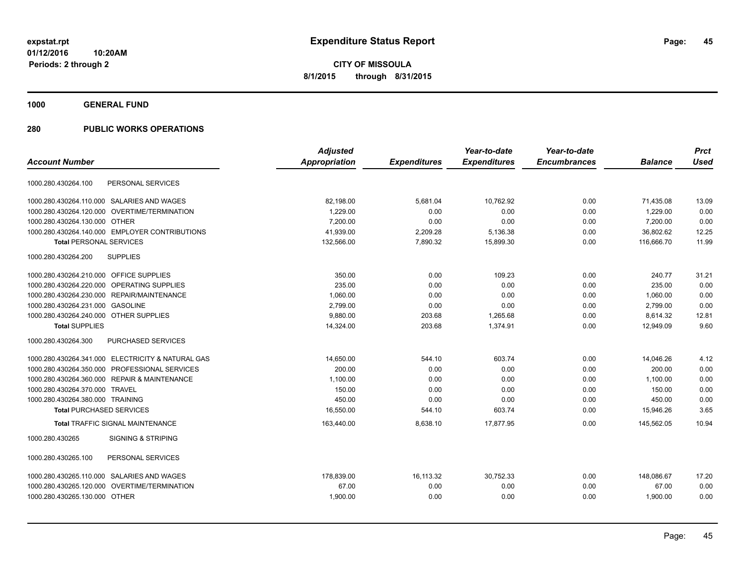**1000 GENERAL FUND**

|                                                        | <b>Adjusted</b>      |                     | Year-to-date        | Year-to-date        |                | <b>Prct</b> |
|--------------------------------------------------------|----------------------|---------------------|---------------------|---------------------|----------------|-------------|
| <b>Account Number</b>                                  | <b>Appropriation</b> | <b>Expenditures</b> | <b>Expenditures</b> | <b>Encumbrances</b> | <b>Balance</b> | <b>Used</b> |
| PERSONAL SERVICES<br>1000.280.430264.100               |                      |                     |                     |                     |                |             |
| 1000.280.430264.110.000 SALARIES AND WAGES             | 82,198.00            | 5,681.04            | 10,762.92           | 0.00                | 71,435.08      | 13.09       |
| 1000.280.430264.120.000<br><b>OVERTIME/TERMINATION</b> | 1.229.00             | 0.00                | 0.00                | 0.00                | 1.229.00       | 0.00        |
| 1000.280.430264.130.000 OTHER                          | 7.200.00             | 0.00                | 0.00                | 0.00                | 7,200.00       | 0.00        |
| 1000.280.430264.140.000 EMPLOYER CONTRIBUTIONS         | 41,939.00            | 2,209.28            | 5,136.38            | 0.00                | 36,802.62      | 12.25       |
| <b>Total PERSONAL SERVICES</b>                         | 132,566.00           | 7,890.32            | 15,899.30           | 0.00                | 116,666.70     | 11.99       |
| 1000.280.430264.200<br><b>SUPPLIES</b>                 |                      |                     |                     |                     |                |             |
| 1000.280.430264.210.000 OFFICE SUPPLIES                | 350.00               | 0.00                | 109.23              | 0.00                | 240.77         | 31.21       |
| OPERATING SUPPLIES<br>1000.280.430264.220.000          | 235.00               | 0.00                | 0.00                | 0.00                | 235.00         | 0.00        |
| 1000.280.430264.230.000 REPAIR/MAINTENANCE             | 1,060.00             | 0.00                | 0.00                | 0.00                | 1,060.00       | 0.00        |
| 1000.280.430264.231.000 GASOLINE                       | 2,799.00             | 0.00                | 0.00                | 0.00                | 2,799.00       | 0.00        |
| 1000.280.430264.240.000 OTHER SUPPLIES                 | 9.880.00             | 203.68              | 1,265.68            | 0.00                | 8.614.32       | 12.81       |
| <b>Total SUPPLIES</b>                                  | 14,324.00            | 203.68              | 1,374.91            | 0.00                | 12.949.09      | 9.60        |
| PURCHASED SERVICES<br>1000.280.430264.300              |                      |                     |                     |                     |                |             |
| 1000.280.430264.341.000 ELECTRICITY & NATURAL GAS      | 14.650.00            | 544.10              | 603.74              | 0.00                | 14,046.26      | 4.12        |
| 1000.280.430264.350.000 PROFESSIONAL SERVICES          | 200.00               | 0.00                | 0.00                | 0.00                | 200.00         | 0.00        |
| 1000.280.430264.360.000 REPAIR & MAINTENANCE           | 1,100.00             | 0.00                | 0.00                | 0.00                | 1,100.00       | 0.00        |
| 1000.280.430264.370.000 TRAVEL                         | 150.00               | 0.00                | 0.00                | 0.00                | 150.00         | 0.00        |
| 1000.280.430264.380.000 TRAINING                       | 450.00               | 0.00                | 0.00                | 0.00                | 450.00         | 0.00        |
| <b>Total PURCHASED SERVICES</b>                        | 16,550.00            | 544.10              | 603.74              | 0.00                | 15,946.26      | 3.65        |
| <b>Total TRAFFIC SIGNAL MAINTENANCE</b>                | 163,440.00           | 8,638.10            | 17,877.95           | 0.00                | 145.562.05     | 10.94       |
| 1000.280.430265<br><b>SIGNING &amp; STRIPING</b>       |                      |                     |                     |                     |                |             |
| 1000.280.430265.100<br>PERSONAL SERVICES               |                      |                     |                     |                     |                |             |
| SALARIES AND WAGES<br>1000.280.430265.110.000          | 178,839.00           | 16,113.32           | 30,752.33           | 0.00                | 148,086.67     | 17.20       |
| OVERTIME/TERMINATION<br>1000.280.430265.120.000        | 67.00                | 0.00                | 0.00                | 0.00                | 67.00          | 0.00        |
| 1000.280.430265.130.000 OTHER                          | 1,900.00             | 0.00                | 0.00                | 0.00                | 1,900.00       | 0.00        |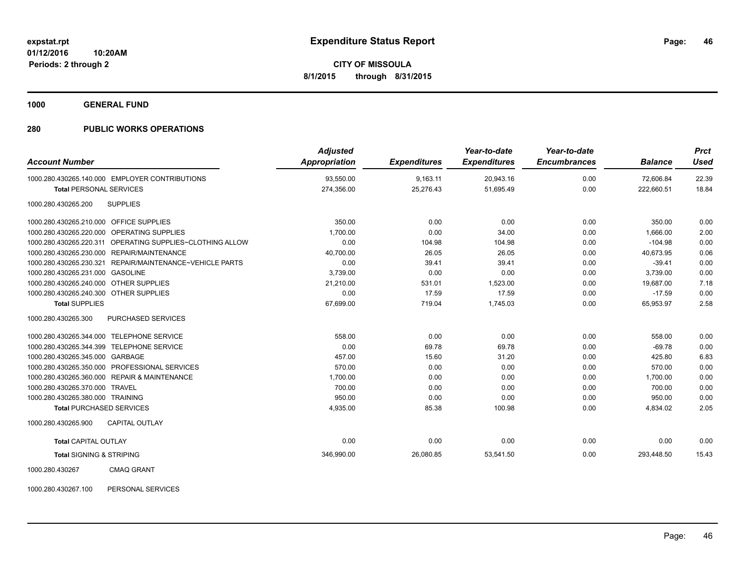**1000 GENERAL FUND**

### **280 PUBLIC WORKS OPERATIONS**

| <b>Account Number</b>                                       | <b>Adjusted</b><br><b>Appropriation</b> | <b>Expenditures</b> | Year-to-date<br><b>Expenditures</b> | Year-to-date<br><b>Encumbrances</b> | <b>Balance</b> | <b>Prct</b><br>Used |
|-------------------------------------------------------------|-----------------------------------------|---------------------|-------------------------------------|-------------------------------------|----------------|---------------------|
| 1000.280.430265.140.000 EMPLOYER CONTRIBUTIONS              | 93,550.00                               | 9,163.11            | 20,943.16                           | 0.00                                | 72,606.84      | 22.39               |
| <b>Total PERSONAL SERVICES</b>                              | 274,356.00                              | 25,276.43           | 51,695.49                           | 0.00                                | 222,660.51     | 18.84               |
| 1000.280.430265.200<br><b>SUPPLIES</b>                      |                                         |                     |                                     |                                     |                |                     |
| 1000.280.430265.210.000 OFFICE SUPPLIES                     | 350.00                                  | 0.00                | 0.00                                | 0.00                                | 350.00         | 0.00                |
| OPERATING SUPPLIES<br>1000.280.430265.220.000               | 1,700.00                                | 0.00                | 34.00                               | 0.00                                | 1.666.00       | 2.00                |
| 1000.280.430265.220.311 OPERATING SUPPLIES~CLOTHING ALLOW   | 0.00                                    | 104.98              | 104.98                              | 0.00                                | $-104.98$      | 0.00                |
| REPAIR/MAINTENANCE<br>1000.280.430265.230.000               | 40,700.00                               | 26.05               | 26.05                               | 0.00                                | 40.673.95      | 0.06                |
| REPAIR/MAINTENANCE~VEHICLE PARTS<br>1000.280.430265.230.321 | 0.00                                    | 39.41               | 39.41                               | 0.00                                | $-39.41$       | 0.00                |
| 1000.280.430265.231.000 GASOLINE                            | 3,739.00                                | 0.00                | 0.00                                | 0.00                                | 3,739.00       | 0.00                |
| 1000.280.430265.240.000 OTHER SUPPLIES                      | 21,210.00                               | 531.01              | 1,523.00                            | 0.00                                | 19,687.00      | 7.18                |
| 1000.280.430265.240.300 OTHER SUPPLIES                      | 0.00                                    | 17.59               | 17.59                               | 0.00                                | $-17.59$       | 0.00                |
| <b>Total SUPPLIES</b>                                       | 67,699.00                               | 719.04              | 1,745.03                            | 0.00                                | 65,953.97      | 2.58                |
| 1000.280.430265.300<br>PURCHASED SERVICES                   |                                         |                     |                                     |                                     |                |                     |
| 1000.280.430265.344.000<br><b>TELEPHONE SERVICE</b>         | 558.00                                  | 0.00                | 0.00                                | 0.00                                | 558.00         | 0.00                |
| <b>TELEPHONE SERVICE</b><br>1000.280.430265.344.399         | 0.00                                    | 69.78               | 69.78                               | 0.00                                | $-69.78$       | 0.00                |
| 1000.280.430265.345.000 GARBAGE                             | 457.00                                  | 15.60               | 31.20                               | 0.00                                | 425.80         | 6.83                |
| 1000.280.430265.350.000 PROFESSIONAL SERVICES               | 570.00                                  | 0.00                | 0.00                                | 0.00                                | 570.00         | 0.00                |
| 1000.280.430265.360.000 REPAIR & MAINTENANCE                | 1.700.00                                | 0.00                | 0.00                                | 0.00                                | 1.700.00       | 0.00                |
| 1000.280.430265.370.000 TRAVEL                              | 700.00                                  | 0.00                | 0.00                                | 0.00                                | 700.00         | 0.00                |
| 1000.280.430265.380.000 TRAINING                            | 950.00                                  | 0.00                | 0.00                                | 0.00                                | 950.00         | 0.00                |
| <b>Total PURCHASED SERVICES</b>                             | 4,935.00                                | 85.38               | 100.98                              | 0.00                                | 4,834.02       | 2.05                |
| 1000.280.430265.900<br><b>CAPITAL OUTLAY</b>                |                                         |                     |                                     |                                     |                |                     |
| <b>Total CAPITAL OUTLAY</b>                                 | 0.00                                    | 0.00                | 0.00                                | 0.00                                | 0.00           | 0.00                |
| <b>Total SIGNING &amp; STRIPING</b>                         | 346,990.00                              | 26,080.85           | 53,541.50                           | 0.00                                | 293,448.50     | 15.43               |
| 1000000100007<br>Q                                          |                                         |                     |                                     |                                     |                |                     |

1000.280.430267 CMAQ GRANT

1000.280.430267.100 PERSONAL SERVICES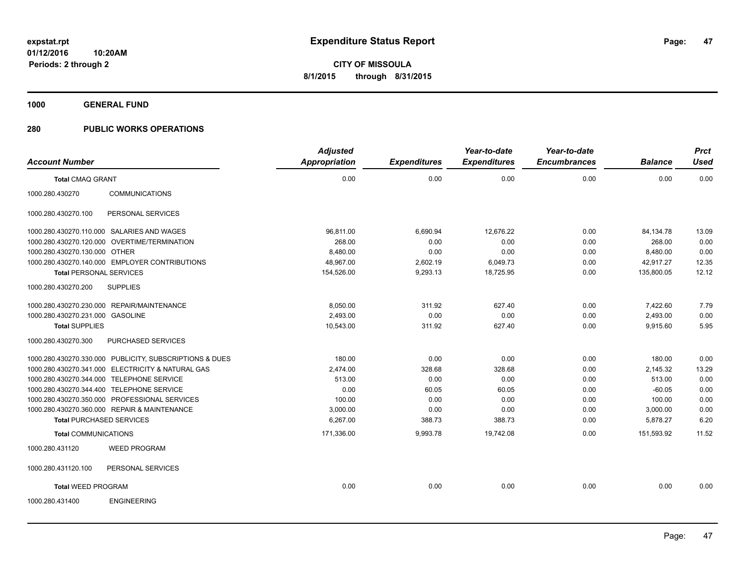**1000 GENERAL FUND**

|                                  |                                                         | <b>Adjusted</b> |                     | Year-to-date        | Year-to-date        |                | <b>Prct</b> |
|----------------------------------|---------------------------------------------------------|-----------------|---------------------|---------------------|---------------------|----------------|-------------|
| <b>Account Number</b>            |                                                         | Appropriation   | <b>Expenditures</b> | <b>Expenditures</b> | <b>Encumbrances</b> | <b>Balance</b> | <b>Used</b> |
| <b>Total CMAQ GRANT</b>          |                                                         | 0.00            | 0.00                | 0.00                | 0.00                | 0.00           | 0.00        |
| 1000.280.430270                  | <b>COMMUNICATIONS</b>                                   |                 |                     |                     |                     |                |             |
| 1000.280.430270.100              | PERSONAL SERVICES                                       |                 |                     |                     |                     |                |             |
|                                  | 1000.280.430270.110.000 SALARIES AND WAGES              | 96,811.00       | 6,690.94            | 12,676.22           | 0.00                | 84,134.78      | 13.09       |
|                                  | 1000.280.430270.120.000 OVERTIME/TERMINATION            | 268.00          | 0.00                | 0.00                | 0.00                | 268.00         | 0.00        |
| 1000.280.430270.130.000 OTHER    |                                                         | 8,480.00        | 0.00                | 0.00                | 0.00                | 8,480.00       | 0.00        |
|                                  | 1000.280.430270.140.000 EMPLOYER CONTRIBUTIONS          | 48,967.00       | 2,602.19            | 6,049.73            | 0.00                | 42,917.27      | 12.35       |
| <b>Total PERSONAL SERVICES</b>   |                                                         | 154,526.00      | 9,293.13            | 18,725.95           | 0.00                | 135,800.05     | 12.12       |
| 1000.280.430270.200              | <b>SUPPLIES</b>                                         |                 |                     |                     |                     |                |             |
|                                  | 1000.280.430270.230.000 REPAIR/MAINTENANCE              | 8,050.00        | 311.92              | 627.40              | 0.00                | 7,422.60       | 7.79        |
| 1000.280.430270.231.000 GASOLINE |                                                         | 2,493.00        | 0.00                | 0.00                | 0.00                | 2,493.00       | 0.00        |
| <b>Total SUPPLIES</b>            |                                                         | 10,543.00       | 311.92              | 627.40              | 0.00                | 9,915.60       | 5.95        |
| 1000.280.430270.300              | PURCHASED SERVICES                                      |                 |                     |                     |                     |                |             |
|                                  | 1000.280.430270.330.000 PUBLICITY, SUBSCRIPTIONS & DUES | 180.00          | 0.00                | 0.00                | 0.00                | 180.00         | 0.00        |
|                                  | 1000.280.430270.341.000 ELECTRICITY & NATURAL GAS       | 2,474.00        | 328.68              | 328.68              | 0.00                | 2,145.32       | 13.29       |
|                                  | 1000.280.430270.344.000 TELEPHONE SERVICE               | 513.00          | 0.00                | 0.00                | 0.00                | 513.00         | 0.00        |
|                                  | 1000.280.430270.344.400 TELEPHONE SERVICE               | 0.00            | 60.05               | 60.05               | 0.00                | $-60.05$       | 0.00        |
|                                  | 1000.280.430270.350.000 PROFESSIONAL SERVICES           | 100.00          | 0.00                | 0.00                | 0.00                | 100.00         | 0.00        |
|                                  | 1000.280.430270.360.000 REPAIR & MAINTENANCE            | 3,000.00        | 0.00                | 0.00                | 0.00                | 3,000.00       | 0.00        |
|                                  | <b>Total PURCHASED SERVICES</b>                         | 6.267.00        | 388.73              | 388.73              | 0.00                | 5,878.27       | 6.20        |
| <b>Total COMMUNICATIONS</b>      |                                                         | 171,336.00      | 9,993.78            | 19,742.08           | 0.00                | 151,593.92     | 11.52       |
| 1000.280.431120                  | <b>WEED PROGRAM</b>                                     |                 |                     |                     |                     |                |             |
| 1000.280.431120.100              | PERSONAL SERVICES                                       |                 |                     |                     |                     |                |             |
| <b>Total WEED PROGRAM</b>        |                                                         | 0.00            | 0.00                | 0.00                | 0.00                | 0.00           | 0.00        |
| 1000.280.431400                  | <b>ENGINEERING</b>                                      |                 |                     |                     |                     |                |             |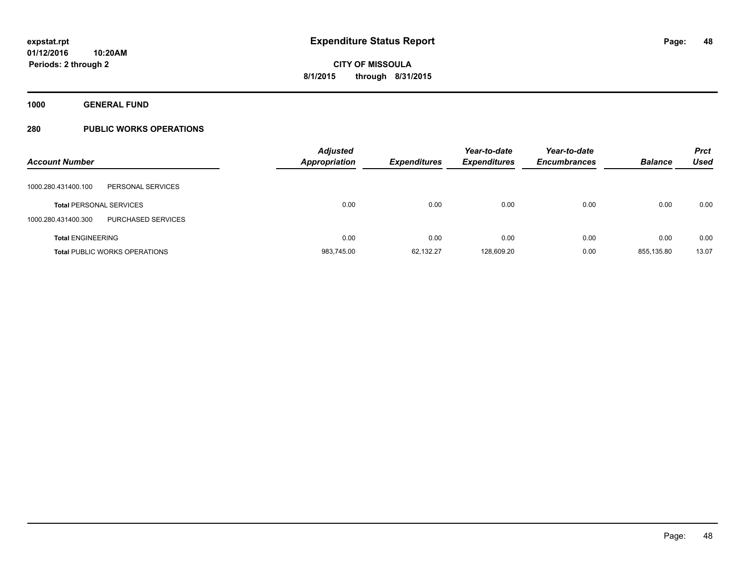**1000 GENERAL FUND**

| <b>Account Number</b>                     | <b>Adjusted</b><br><b>Appropriation</b> | <b>Expenditures</b> | Year-to-date<br><b>Expenditures</b> | Year-to-date<br><b>Encumbrances</b> | <b>Balance</b> | <b>Prct</b><br><b>Used</b> |
|-------------------------------------------|-----------------------------------------|---------------------|-------------------------------------|-------------------------------------|----------------|----------------------------|
| PERSONAL SERVICES<br>1000.280.431400.100  |                                         |                     |                                     |                                     |                |                            |
| <b>Total PERSONAL SERVICES</b>            | 0.00                                    | 0.00                | 0.00                                | 0.00                                | 0.00           | 0.00                       |
| PURCHASED SERVICES<br>1000.280.431400.300 |                                         |                     |                                     |                                     |                |                            |
| <b>Total ENGINEERING</b>                  | 0.00                                    | 0.00                | 0.00                                | 0.00                                | 0.00           | 0.00                       |
| <b>Total PUBLIC WORKS OPERATIONS</b>      | 983,745.00                              | 62,132.27           | 128.609.20                          | 0.00                                | 855.135.80     | 13.07                      |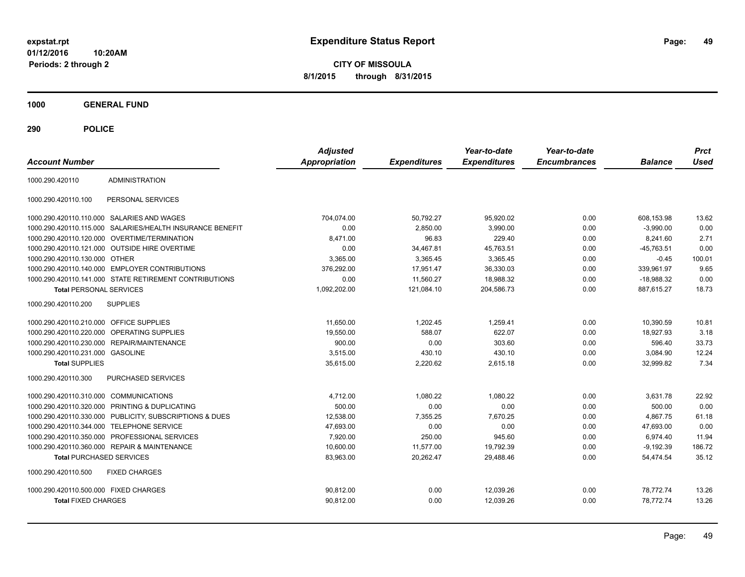**CITY OF MISSOULA 8/1/2015 through 8/31/2015**

**1000 GENERAL FUND**

| <b>Account Number</b>                                    |                                   | <b>Adjusted</b><br><b>Appropriation</b> | <b>Expenditures</b> | Year-to-date<br><b>Expenditures</b> | Year-to-date<br><b>Encumbrances</b> | <b>Balance</b> | <b>Prct</b><br><b>Used</b> |
|----------------------------------------------------------|-----------------------------------|-----------------------------------------|---------------------|-------------------------------------|-------------------------------------|----------------|----------------------------|
| <b>ADMINISTRATION</b><br>1000.290.420110                 |                                   |                                         |                     |                                     |                                     |                |                            |
| PERSONAL SERVICES<br>1000.290.420110.100                 |                                   |                                         |                     |                                     |                                     |                |                            |
| 1000.290.420110.110.000 SALARIES AND WAGES               |                                   | 704,074.00                              | 50,792.27           | 95,920.02                           | 0.00                                | 608,153.98     | 13.62                      |
| 1000.290.420110.115.000                                  | SALARIES/HEALTH INSURANCE BENEFIT | 0.00                                    | 2,850.00            | 3,990.00                            | 0.00                                | $-3,990.00$    | 0.00                       |
| 1000.290.420110.120.000 OVERTIME/TERMINATION             |                                   | 8,471.00                                | 96.83               | 229.40                              | 0.00                                | 8.241.60       | 2.71                       |
| 1000.290.420110.121.000 OUTSIDE HIRE OVERTIME            |                                   | 0.00                                    | 34.467.81           | 45,763.51                           | 0.00                                | $-45.763.51$   | 0.00                       |
| 1000.290.420110.130.000 OTHER                            |                                   | 3,365.00                                | 3.365.45            | 3,365.45                            | 0.00                                | $-0.45$        | 100.01                     |
| <b>EMPLOYER CONTRIBUTIONS</b><br>1000.290.420110.140.000 |                                   | 376.292.00                              | 17.951.47           | 36,330.03                           | 0.00                                | 339.961.97     | 9.65                       |
| 1000.290.420110.141.000 STATE RETIREMENT CONTRIBUTIONS   |                                   | 0.00                                    | 11,560.27           | 18,988.32                           | 0.00                                | $-18,988.32$   | 0.00                       |
| <b>Total PERSONAL SERVICES</b>                           |                                   | 1,092,202.00                            | 121.084.10          | 204.586.73                          | 0.00                                | 887.615.27     | 18.73                      |
| 1000.290.420110.200<br><b>SUPPLIES</b>                   |                                   |                                         |                     |                                     |                                     |                |                            |
| 1000.290.420110.210.000 OFFICE SUPPLIES                  |                                   | 11,650.00                               | 1,202.45            | 1,259.41                            | 0.00                                | 10,390.59      | 10.81                      |
| <b>OPERATING SUPPLIES</b><br>1000.290.420110.220.000     |                                   | 19,550.00                               | 588.07              | 622.07                              | 0.00                                | 18,927.93      | 3.18                       |
| 1000.290.420110.230.000<br>REPAIR/MAINTENANCE            |                                   | 900.00                                  | 0.00                | 303.60                              | 0.00                                | 596.40         | 33.73                      |
| 1000.290.420110.231.000 GASOLINE                         |                                   | 3.515.00                                | 430.10              | 430.10                              | 0.00                                | 3,084.90       | 12.24                      |
| <b>Total SUPPLIES</b>                                    |                                   | 35,615.00                               | 2,220.62            | 2,615.18                            | 0.00                                | 32,999.82      | 7.34                       |
| 1000.290.420110.300<br>PURCHASED SERVICES                |                                   |                                         |                     |                                     |                                     |                |                            |
| 1000.290.420110.310.000 COMMUNICATIONS                   |                                   | 4,712.00                                | 1,080.22            | 1,080.22                            | 0.00                                | 3,631.78       | 22.92                      |
| PRINTING & DUPLICATING<br>1000.290.420110.320.000        |                                   | 500.00                                  | 0.00                | 0.00                                | 0.00                                | 500.00         | 0.00                       |
| 1000.290.420110.330.000                                  | PUBLICITY, SUBSCRIPTIONS & DUES   | 12,538.00                               | 7,355.25            | 7,670.25                            | 0.00                                | 4,867.75       | 61.18                      |
| <b>TELEPHONE SERVICE</b><br>1000.290.420110.344.000      |                                   | 47,693.00                               | 0.00                | 0.00                                | 0.00                                | 47,693.00      | 0.00                       |
| PROFESSIONAL SERVICES<br>1000.290.420110.350.000         |                                   | 7,920.00                                | 250.00              | 945.60                              | 0.00                                | 6,974.40       | 11.94                      |
| 1000.290.420110.360.000 REPAIR & MAINTENANCE             |                                   | 10,600.00                               | 11,577.00           | 19,792.39                           | 0.00                                | $-9,192.39$    | 186.72                     |
| <b>Total PURCHASED SERVICES</b>                          |                                   | 83,963.00                               | 20,262.47           | 29,488.46                           | 0.00                                | 54,474.54      | 35.12                      |
| 1000.290.420110.500<br><b>FIXED CHARGES</b>              |                                   |                                         |                     |                                     |                                     |                |                            |
| 1000.290.420110.500.000 FIXED CHARGES                    |                                   | 90,812.00                               | 0.00                | 12,039.26                           | 0.00                                | 78,772.74      | 13.26                      |
| <b>Total FIXED CHARGES</b>                               |                                   | 90,812.00                               | 0.00                | 12,039.26                           | 0.00                                | 78,772.74      | 13.26                      |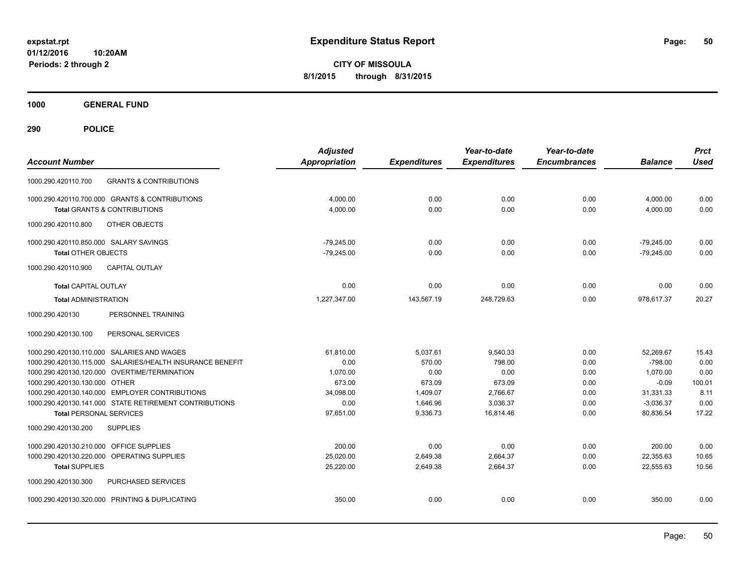**CITY OF MISSOULA 8/1/2015 through 8/31/2015**

**1000 GENERAL FUND**

| <b>Account Number</b>                                     | <b>Adjusted</b><br><b>Appropriation</b> | <b>Expenditures</b> | Year-to-date<br><b>Expenditures</b> | Year-to-date<br><b>Encumbrances</b> | <b>Balance</b> | <b>Prct</b><br><b>Used</b> |
|-----------------------------------------------------------|-----------------------------------------|---------------------|-------------------------------------|-------------------------------------|----------------|----------------------------|
| <b>GRANTS &amp; CONTRIBUTIONS</b><br>1000.290.420110.700  |                                         |                     |                                     |                                     |                |                            |
| 1000.290.420110.700.000 GRANTS & CONTRIBUTIONS            | 4,000.00                                | 0.00                | 0.00                                | 0.00                                | 4,000.00       | 0.00                       |
| <b>Total GRANTS &amp; CONTRIBUTIONS</b>                   | 4,000.00                                | 0.00                | 0.00                                | 0.00                                | 4,000.00       | 0.00                       |
| OTHER OBJECTS<br>1000.290.420110.800                      |                                         |                     |                                     |                                     |                |                            |
| 1000.290.420110.850.000 SALARY SAVINGS                    | $-79,245.00$                            | 0.00                | 0.00                                | 0.00                                | $-79,245.00$   | 0.00                       |
| <b>Total OTHER OBJECTS</b>                                | $-79,245.00$                            | 0.00                | 0.00                                | 0.00                                | $-79,245.00$   | 0.00                       |
| <b>CAPITAL OUTLAY</b><br>1000.290.420110.900              |                                         |                     |                                     |                                     |                |                            |
| <b>Total CAPITAL OUTLAY</b>                               | 0.00                                    | 0.00                | 0.00                                | 0.00                                | 0.00           | 0.00                       |
| <b>Total ADMINISTRATION</b>                               | 1,227,347.00                            | 143,567.19          | 248,729.63                          | 0.00                                | 978,617.37     | 20.27                      |
| 1000.290.420130<br>PERSONNEL TRAINING                     |                                         |                     |                                     |                                     |                |                            |
| PERSONAL SERVICES<br>1000.290.420130.100                  |                                         |                     |                                     |                                     |                |                            |
| 1000.290.420130.110.000 SALARIES AND WAGES                | 61,810.00                               | 5,037.61            | 9,540.33                            | 0.00                                | 52,269.67      | 15.43                      |
| 1000.290.420130.115.000 SALARIES/HEALTH INSURANCE BENEFIT | 0.00                                    | 570.00              | 798.00                              | 0.00                                | $-798.00$      | 0.00                       |
| 1000.290.420130.120.000 OVERTIME/TERMINATION              | 1,070.00                                | 0.00                | 0.00                                | 0.00                                | 1,070.00       | 0.00                       |
| 1000.290.420130.130.000 OTHER                             | 673.00                                  | 673.09              | 673.09                              | 0.00                                | $-0.09$        | 100.01                     |
| 1000.290.420130.140.000 EMPLOYER CONTRIBUTIONS            | 34,098.00                               | 1,409.07            | 2,766.67                            | 0.00                                | 31,331.33      | 8.11                       |
| 1000.290.420130.141.000 STATE RETIREMENT CONTRIBUTIONS    | 0.00                                    | 1,646.96            | 3,036.37                            | 0.00                                | $-3,036.37$    | 0.00                       |
| <b>Total PERSONAL SERVICES</b>                            | 97,651.00                               | 9,336.73            | 16,814.46                           | 0.00                                | 80,836.54      | 17.22                      |
| 1000.290.420130.200<br><b>SUPPLIES</b>                    |                                         |                     |                                     |                                     |                |                            |
| 1000.290.420130.210.000 OFFICE SUPPLIES                   | 200.00                                  | 0.00                | 0.00                                | 0.00                                | 200.00         | 0.00                       |
| 1000.290.420130.220.000 OPERATING SUPPLIES                | 25.020.00                               | 2,649.38            | 2,664.37                            | 0.00                                | 22,355.63      | 10.65                      |
| <b>Total SUPPLIES</b>                                     | 25,220.00                               | 2,649.38            | 2,664.37                            | 0.00                                | 22,555.63      | 10.56                      |
| 1000.290.420130.300<br>PURCHASED SERVICES                 |                                         |                     |                                     |                                     |                |                            |
| 1000.290.420130.320.000 PRINTING & DUPLICATING            | 350.00                                  | 0.00                | 0.00                                | 0.00                                | 350.00         | 0.00                       |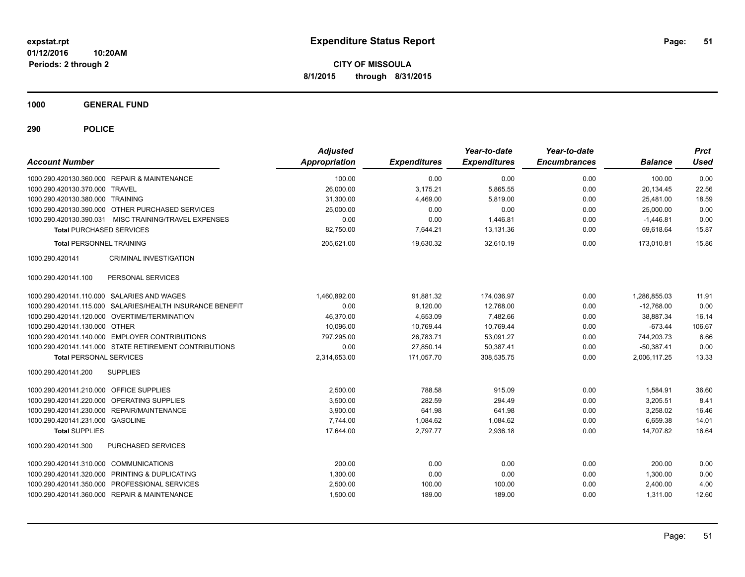**CITY OF MISSOULA 8/1/2015 through 8/31/2015**

**1000 GENERAL FUND**

| <b>Account Number</b>                   |                                                        | <b>Adjusted</b><br>Appropriation | <b>Expenditures</b> | Year-to-date<br><b>Expenditures</b> | Year-to-date<br><b>Encumbrances</b> | <b>Balance</b> | <b>Prct</b><br><b>Used</b> |
|-----------------------------------------|--------------------------------------------------------|----------------------------------|---------------------|-------------------------------------|-------------------------------------|----------------|----------------------------|
|                                         | 1000.290.420130.360.000 REPAIR & MAINTENANCE           | 100.00                           | 0.00                | 0.00                                | 0.00                                | 100.00         | 0.00                       |
| 1000.290.420130.370.000 TRAVEL          |                                                        | 26,000.00                        | 3,175.21            | 5,865.55                            | 0.00                                | 20,134.45      | 22.56                      |
| 1000.290.420130.380.000 TRAINING        |                                                        | 31,300.00                        | 4,469.00            | 5.819.00                            | 0.00                                | 25,481.00      | 18.59                      |
|                                         | 1000.290.420130.390.000 OTHER PURCHASED SERVICES       | 25,000.00                        | 0.00                | 0.00                                | 0.00                                | 25,000.00      | 0.00                       |
|                                         | 1000.290.420130.390.031 MISC TRAINING/TRAVEL EXPENSES  | 0.00                             | 0.00                | 1,446.81                            | 0.00                                | $-1,446.81$    | 0.00                       |
| <b>Total PURCHASED SERVICES</b>         |                                                        | 82,750.00                        | 7,644.21            | 13,131.36                           | 0.00                                | 69,618.64      | 15.87                      |
| <b>Total PERSONNEL TRAINING</b>         |                                                        | 205,621.00                       | 19,630.32           | 32,610.19                           | 0.00                                | 173,010.81     | 15.86                      |
| 1000.290.420141                         | <b>CRIMINAL INVESTIGATION</b>                          |                                  |                     |                                     |                                     |                |                            |
| 1000.290.420141.100                     | PERSONAL SERVICES                                      |                                  |                     |                                     |                                     |                |                            |
|                                         | 1000.290.420141.110.000 SALARIES AND WAGES             | 1,460,892.00                     | 91,881.32           | 174,036.97                          | 0.00                                | 1,286,855.03   | 11.91                      |
| 1000.290.420141.115.000                 | SALARIES/HEALTH INSURANCE BENEFIT                      | 0.00                             | 9,120.00            | 12,768.00                           | 0.00                                | $-12.768.00$   | 0.00                       |
|                                         | 1000.290.420141.120.000 OVERTIME/TERMINATION           | 46,370.00                        | 4,653.09            | 7,482.66                            | 0.00                                | 38,887.34      | 16.14                      |
| 1000.290.420141.130.000 OTHER           |                                                        | 10,096.00                        | 10,769.44           | 10,769.44                           | 0.00                                | $-673.44$      | 106.67                     |
|                                         | 1000.290.420141.140.000 EMPLOYER CONTRIBUTIONS         | 797,295.00                       | 26,783.71           | 53,091.27                           | 0.00                                | 744,203.73     | 6.66                       |
|                                         | 1000.290.420141.141.000 STATE RETIREMENT CONTRIBUTIONS | 0.00                             | 27,850.14           | 50,387.41                           | 0.00                                | $-50,387.41$   | 0.00                       |
| <b>Total PERSONAL SERVICES</b>          |                                                        | 2,314,653.00                     | 171,057.70          | 308,535.75                          | 0.00                                | 2,006,117.25   | 13.33                      |
| 1000.290.420141.200                     | <b>SUPPLIES</b>                                        |                                  |                     |                                     |                                     |                |                            |
| 1000.290.420141.210.000 OFFICE SUPPLIES |                                                        | 2.500.00                         | 788.58              | 915.09                              | 0.00                                | 1,584.91       | 36.60                      |
| 1000.290.420141.220.000                 | <b>OPERATING SUPPLIES</b>                              | 3,500.00                         | 282.59              | 294.49                              | 0.00                                | 3,205.51       | 8.41                       |
| 1000.290.420141.230.000                 | REPAIR/MAINTENANCE                                     | 3.900.00                         | 641.98              | 641.98                              | 0.00                                | 3,258.02       | 16.46                      |
| 1000.290.420141.231.000 GASOLINE        |                                                        | 7,744.00                         | 1,084.62            | 1,084.62                            | 0.00                                | 6,659.38       | 14.01                      |
| <b>Total SUPPLIES</b>                   |                                                        | 17,644.00                        | 2,797.77            | 2,936.18                            | 0.00                                | 14,707.82      | 16.64                      |
| 1000.290.420141.300                     | PURCHASED SERVICES                                     |                                  |                     |                                     |                                     |                |                            |
| 1000.290.420141.310.000                 | <b>COMMUNICATIONS</b>                                  | 200.00                           | 0.00                | 0.00                                | 0.00                                | 200.00         | 0.00                       |
| 1000.290.420141.320.000                 | PRINTING & DUPLICATING                                 | 1,300.00                         | 0.00                | 0.00                                | 0.00                                | 1,300.00       | 0.00                       |
| 1000.290.420141.350.000                 | PROFESSIONAL SERVICES                                  | 2,500.00                         | 100.00              | 100.00                              | 0.00                                | 2,400.00       | 4.00                       |
|                                         | 1000.290.420141.360.000 REPAIR & MAINTENANCE           | 1,500.00                         | 189.00              | 189.00                              | 0.00                                | 1,311.00       | 12.60                      |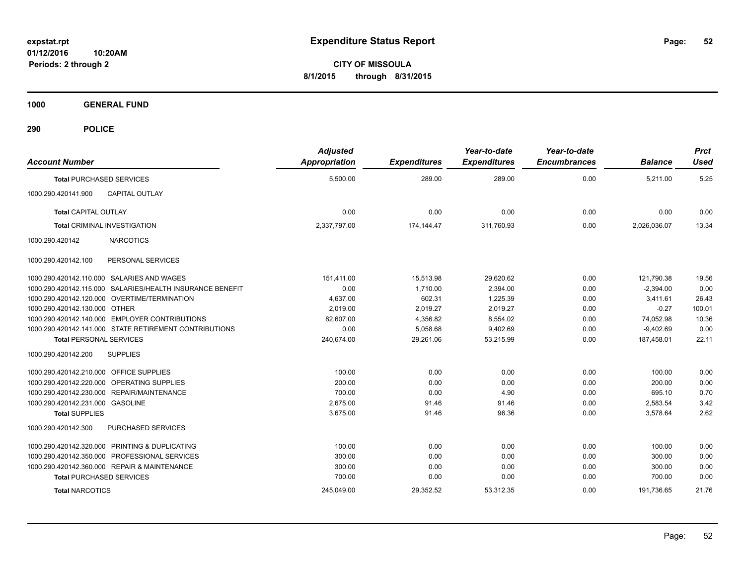**CITY OF MISSOULA 8/1/2015 through 8/31/2015**

**1000 GENERAL FUND**

| <b>Account Number</b>                                     | <b>Adjusted</b><br><b>Appropriation</b> | <b>Expenditures</b> | Year-to-date<br><b>Expenditures</b> | Year-to-date<br><b>Encumbrances</b> | <b>Balance</b> | <b>Prct</b><br><b>Used</b> |
|-----------------------------------------------------------|-----------------------------------------|---------------------|-------------------------------------|-------------------------------------|----------------|----------------------------|
| <b>Total PURCHASED SERVICES</b>                           | 5,500.00                                | 289.00              | 289.00                              | 0.00                                | 5,211.00       | 5.25                       |
| 1000.290.420141.900<br><b>CAPITAL OUTLAY</b>              |                                         |                     |                                     |                                     |                |                            |
| <b>Total CAPITAL OUTLAY</b>                               | 0.00                                    | 0.00                | 0.00                                | 0.00                                | 0.00           | 0.00                       |
| <b>Total CRIMINAL INVESTIGATION</b>                       | 2,337,797.00                            | 174.144.47          | 311,760.93                          | 0.00                                | 2,026,036.07   | 13.34                      |
| <b>NARCOTICS</b><br>1000.290.420142                       |                                         |                     |                                     |                                     |                |                            |
| 1000.290.420142.100<br>PERSONAL SERVICES                  |                                         |                     |                                     |                                     |                |                            |
| 1000.290.420142.110.000 SALARIES AND WAGES                | 151.411.00                              | 15.513.98           | 29,620.62                           | 0.00                                | 121,790.38     | 19.56                      |
| 1000.290.420142.115.000 SALARIES/HEALTH INSURANCE BENEFIT | 0.00                                    | 1.710.00            | 2,394.00                            | 0.00                                | $-2,394.00$    | 0.00                       |
| 1000.290.420142.120.000 OVERTIME/TERMINATION              | 4.637.00                                | 602.31              | 1,225.39                            | 0.00                                | 3.411.61       | 26.43                      |
| 1000.290.420142.130.000 OTHER                             | 2,019.00                                | 2,019.27            | 2,019.27                            | 0.00                                | $-0.27$        | 100.01                     |
| 1000.290.420142.140.000 EMPLOYER CONTRIBUTIONS            | 82,607.00                               | 4,356.82            | 8,554.02                            | 0.00                                | 74,052.98      | 10.36                      |
| 1000.290.420142.141.000 STATE RETIREMENT CONTRIBUTIONS    | 0.00                                    | 5,058.68            | 9,402.69                            | 0.00                                | $-9,402.69$    | 0.00                       |
| <b>Total PERSONAL SERVICES</b>                            | 240,674.00                              | 29,261.06           | 53,215.99                           | 0.00                                | 187,458.01     | 22.11                      |
| 1000.290.420142.200<br><b>SUPPLIES</b>                    |                                         |                     |                                     |                                     |                |                            |
| 1000.290.420142.210.000 OFFICE SUPPLIES                   | 100.00                                  | 0.00                | 0.00                                | 0.00                                | 100.00         | 0.00                       |
| 1000.290.420142.220.000 OPERATING SUPPLIES                | 200.00                                  | 0.00                | 0.00                                | 0.00                                | 200.00         | 0.00                       |
| 1000.290.420142.230.000 REPAIR/MAINTENANCE                | 700.00                                  | 0.00                | 4.90                                | 0.00                                | 695.10         | 0.70                       |
| 1000.290.420142.231.000 GASOLINE                          | 2.675.00                                | 91.46               | 91.46                               | 0.00                                | 2,583.54       | 3.42                       |
| <b>Total SUPPLIES</b>                                     | 3,675.00                                | 91.46               | 96.36                               | 0.00                                | 3,578.64       | 2.62                       |
| 1000.290.420142.300<br>PURCHASED SERVICES                 |                                         |                     |                                     |                                     |                |                            |
| 1000.290.420142.320.000 PRINTING & DUPLICATING            | 100.00                                  | 0.00                | 0.00                                | 0.00                                | 100.00         | 0.00                       |
| 1000.290.420142.350.000 PROFESSIONAL SERVICES             | 300.00                                  | 0.00                | 0.00                                | 0.00                                | 300.00         | 0.00                       |
| 1000.290.420142.360.000 REPAIR & MAINTENANCE              | 300.00                                  | 0.00                | 0.00                                | 0.00                                | 300.00         | 0.00                       |
| <b>Total PURCHASED SERVICES</b>                           | 700.00                                  | 0.00                | 0.00                                | 0.00                                | 700.00         | 0.00                       |
| <b>Total NARCOTICS</b>                                    | 245,049.00                              | 29,352.52           | 53,312.35                           | 0.00                                | 191,736.65     | 21.76                      |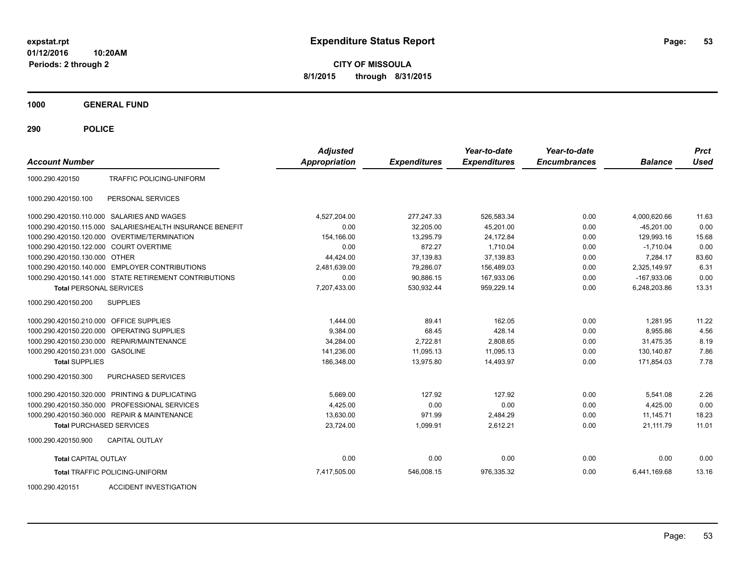**CITY OF MISSOULA 8/1/2015 through 8/31/2015**

**1000 GENERAL FUND**

| <b>Account Number</b>                  |                                                        | <b>Adjusted</b><br>Appropriation | <b>Expenditures</b> | Year-to-date<br><b>Expenditures</b> | Year-to-date<br><b>Encumbrances</b> | <b>Balance</b> | <b>Prct</b><br><b>Used</b> |
|----------------------------------------|--------------------------------------------------------|----------------------------------|---------------------|-------------------------------------|-------------------------------------|----------------|----------------------------|
| 1000.290.420150                        | TRAFFIC POLICING-UNIFORM                               |                                  |                     |                                     |                                     |                |                            |
| 1000.290.420150.100                    | PERSONAL SERVICES                                      |                                  |                     |                                     |                                     |                |                            |
|                                        | 1000.290.420150.110.000 SALARIES AND WAGES             | 4,527,204.00                     | 277,247.33          | 526,583.34                          | 0.00                                | 4,000,620.66   | 11.63                      |
| 1000.290.420150.115.000                | SALARIES/HEALTH INSURANCE BENEFIT                      | 0.00                             | 32,205.00           | 45,201.00                           | 0.00                                | $-45,201.00$   | 0.00                       |
|                                        | 1000.290.420150.120.000 OVERTIME/TERMINATION           | 154,166.00                       | 13,295.79           | 24,172.84                           | 0.00                                | 129,993.16     | 15.68                      |
| 1000.290.420150.122.000 COURT OVERTIME |                                                        | 0.00                             | 872.27              | 1.710.04                            | 0.00                                | $-1.710.04$    | 0.00                       |
| 1000.290.420150.130.000 OTHER          |                                                        | 44,424.00                        | 37,139.83           | 37,139.83                           | 0.00                                | 7,284.17       | 83.60                      |
|                                        | 1000.290.420150.140.000 EMPLOYER CONTRIBUTIONS         | 2,481,639.00                     | 79,286.07           | 156.489.03                          | 0.00                                | 2,325,149.97   | 6.31                       |
|                                        | 1000.290.420150.141.000 STATE RETIREMENT CONTRIBUTIONS | 0.00                             | 90,886.15           | 167,933.06                          | 0.00                                | $-167,933.06$  | 0.00                       |
| <b>Total PERSONAL SERVICES</b>         |                                                        | 7,207,433.00                     | 530,932.44          | 959,229.14                          | 0.00                                | 6,248,203.86   | 13.31                      |
| 1000.290.420150.200                    | <b>SUPPLIES</b>                                        |                                  |                     |                                     |                                     |                |                            |
| 1000.290.420150.210.000                | OFFICE SUPPLIES                                        | 1.444.00                         | 89.41               | 162.05                              | 0.00                                | 1,281.95       | 11.22                      |
|                                        | 1000.290.420150.220.000 OPERATING SUPPLIES             | 9,384.00                         | 68.45               | 428.14                              | 0.00                                | 8,955.86       | 4.56                       |
| 1000.290.420150.230.000                | REPAIR/MAINTENANCE                                     | 34,284.00                        | 2,722.81            | 2,808.65                            | 0.00                                | 31.475.35      | 8.19                       |
| 1000.290.420150.231.000 GASOLINE       |                                                        | 141,236.00                       | 11,095.13           | 11,095.13                           | 0.00                                | 130,140.87     | 7.86                       |
| <b>Total SUPPLIES</b>                  |                                                        | 186,348.00                       | 13,975.80           | 14,493.97                           | 0.00                                | 171,854.03     | 7.78                       |
| 1000.290.420150.300                    | PURCHASED SERVICES                                     |                                  |                     |                                     |                                     |                |                            |
|                                        | 1000.290.420150.320.000 PRINTING & DUPLICATING         | 5.669.00                         | 127.92              | 127.92                              | 0.00                                | 5,541.08       | 2.26                       |
|                                        | 1000.290.420150.350.000 PROFESSIONAL SERVICES          | 4,425.00                         | 0.00                | 0.00                                | 0.00                                | 4,425.00       | 0.00                       |
|                                        | 1000.290.420150.360.000 REPAIR & MAINTENANCE           | 13,630.00                        | 971.99              | 2,484.29                            | 0.00                                | 11,145.71      | 18.23                      |
| <b>Total PURCHASED SERVICES</b>        |                                                        | 23,724.00                        | 1,099.91            | 2,612.21                            | 0.00                                | 21,111.79      | 11.01                      |
| 1000.290.420150.900                    | <b>CAPITAL OUTLAY</b>                                  |                                  |                     |                                     |                                     |                |                            |
| <b>Total CAPITAL OUTLAY</b>            |                                                        | 0.00                             | 0.00                | 0.00                                | 0.00                                | 0.00           | 0.00                       |
|                                        | <b>Total TRAFFIC POLICING-UNIFORM</b>                  | 7,417,505.00                     | 546,008.15          | 976,335.32                          | 0.00                                | 6,441,169.68   | 13.16                      |
| 1000.290.420151                        | <b>ACCIDENT INVESTIGATION</b>                          |                                  |                     |                                     |                                     |                |                            |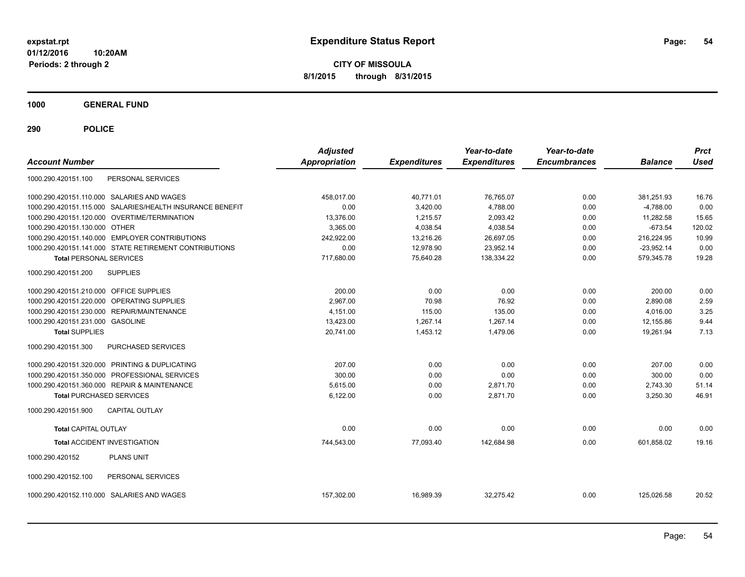**CITY OF MISSOULA 8/1/2015 through 8/31/2015**

**1000 GENERAL FUND**

| <b>Account Number</b>                                     | <b>Adjusted</b><br><b>Appropriation</b> | <b>Expenditures</b> | Year-to-date<br><b>Expenditures</b> | Year-to-date<br><b>Encumbrances</b> | <b>Balance</b> | <b>Prct</b><br><b>Used</b> |
|-----------------------------------------------------------|-----------------------------------------|---------------------|-------------------------------------|-------------------------------------|----------------|----------------------------|
| PERSONAL SERVICES<br>1000.290.420151.100                  |                                         |                     |                                     |                                     |                |                            |
| 1000.290.420151.110.000 SALARIES AND WAGES                | 458,017.00                              | 40,771.01           | 76,765.07                           | 0.00                                | 381,251.93     | 16.76                      |
| 1000.290.420151.115.000 SALARIES/HEALTH INSURANCE BENEFIT | 0.00                                    | 3,420.00            | 4,788.00                            | 0.00                                | $-4,788.00$    | 0.00                       |
| 1000.290.420151.120.000 OVERTIME/TERMINATION              | 13,376.00                               | 1,215.57            | 2,093.42                            | 0.00                                | 11,282.58      | 15.65                      |
| 1000.290.420151.130.000 OTHER                             | 3,365.00                                | 4,038.54            | 4,038.54                            | 0.00                                | $-673.54$      | 120.02                     |
| 1000.290.420151.140.000 EMPLOYER CONTRIBUTIONS            | 242.922.00                              | 13,216.26           | 26,697.05                           | 0.00                                | 216,224.95     | 10.99                      |
| 1000.290.420151.141.000 STATE RETIREMENT CONTRIBUTIONS    | 0.00                                    | 12,978.90           | 23,952.14                           | 0.00                                | $-23,952.14$   | 0.00                       |
| <b>Total PERSONAL SERVICES</b>                            | 717,680.00                              | 75,640.28           | 138,334.22                          | 0.00                                | 579,345.78     | 19.28                      |
| 1000.290.420151.200<br><b>SUPPLIES</b>                    |                                         |                     |                                     |                                     |                |                            |
| 1000.290.420151.210.000 OFFICE SUPPLIES                   | 200.00                                  | 0.00                | 0.00                                | 0.00                                | 200.00         | 0.00                       |
| 1000.290.420151.220.000 OPERATING SUPPLIES                | 2.967.00                                | 70.98               | 76.92                               | 0.00                                | 2.890.08       | 2.59                       |
| 1000.290.420151.230.000 REPAIR/MAINTENANCE                | 4,151.00                                | 115.00              | 135.00                              | 0.00                                | 4,016.00       | 3.25                       |
| 1000.290.420151.231.000 GASOLINE                          | 13,423.00                               | 1,267.14            | 1,267.14                            | 0.00                                | 12,155.86      | 9.44                       |
| <b>Total SUPPLIES</b>                                     | 20,741.00                               | 1,453.12            | 1,479.06                            | 0.00                                | 19,261.94      | 7.13                       |
| PURCHASED SERVICES<br>1000.290.420151.300                 |                                         |                     |                                     |                                     |                |                            |
| 1000.290.420151.320.000 PRINTING & DUPLICATING            | 207.00                                  | 0.00                | 0.00                                | 0.00                                | 207.00         | 0.00                       |
| 1000.290.420151.350.000 PROFESSIONAL SERVICES             | 300.00                                  | 0.00                | 0.00                                | 0.00                                | 300.00         | 0.00                       |
| 1000.290.420151.360.000 REPAIR & MAINTENANCE              | 5,615.00                                | 0.00                | 2,871.70                            | 0.00                                | 2,743.30       | 51.14                      |
| <b>Total PURCHASED SERVICES</b>                           | 6,122.00                                | 0.00                | 2,871.70                            | 0.00                                | 3,250.30       | 46.91                      |
| 1000.290.420151.900<br><b>CAPITAL OUTLAY</b>              |                                         |                     |                                     |                                     |                |                            |
| <b>Total CAPITAL OUTLAY</b>                               | 0.00                                    | 0.00                | 0.00                                | 0.00                                | 0.00           | 0.00                       |
| <b>Total ACCIDENT INVESTIGATION</b>                       | 744,543.00                              | 77,093.40           | 142,684.98                          | 0.00                                | 601,858.02     | 19.16                      |
| 1000.290.420152<br><b>PLANS UNIT</b>                      |                                         |                     |                                     |                                     |                |                            |
| PERSONAL SERVICES<br>1000.290.420152.100                  |                                         |                     |                                     |                                     |                |                            |
| 1000.290.420152.110.000 SALARIES AND WAGES                | 157,302.00                              | 16,989.39           | 32,275.42                           | 0.00                                | 125,026.58     | 20.52                      |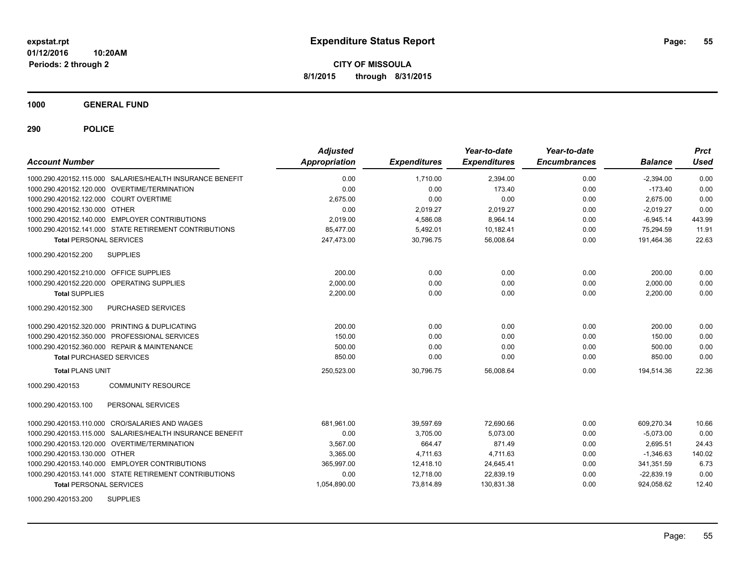**CITY OF MISSOULA 8/1/2015 through 8/31/2015**

**1000 GENERAL FUND**

| <b>Account Number</b>                                     | <b>Adjusted</b><br>Appropriation | <b>Expenditures</b> | Year-to-date<br><b>Expenditures</b> | Year-to-date<br><b>Encumbrances</b> | <b>Balance</b> | <b>Prct</b><br>Used |
|-----------------------------------------------------------|----------------------------------|---------------------|-------------------------------------|-------------------------------------|----------------|---------------------|
| 1000.290.420152.115.000 SALARIES/HEALTH INSURANCE BENEFIT | 0.00                             | 1.710.00            | 2,394.00                            | 0.00                                | $-2,394.00$    | 0.00                |
| 1000.290.420152.120.000 OVERTIME/TERMINATION              | 0.00                             | 0.00                | 173.40                              | 0.00                                | $-173.40$      | 0.00                |
| 1000.290.420152.122.000 COURT OVERTIME                    | 2,675.00                         | 0.00                | 0.00                                | 0.00                                | 2,675.00       | 0.00                |
| 1000.290.420152.130.000 OTHER                             | 0.00                             | 2,019.27            | 2,019.27                            | 0.00                                | $-2,019.27$    | 0.00                |
| 1000.290.420152.140.000 EMPLOYER CONTRIBUTIONS            | 2,019.00                         | 4,586.08            | 8,964.14                            | 0.00                                | $-6,945.14$    | 443.99              |
| 1000.290.420152.141.000 STATE RETIREMENT CONTRIBUTIONS    | 85,477.00                        | 5,492.01            | 10,182.41                           | 0.00                                | 75,294.59      | 11.91               |
| <b>Total PERSONAL SERVICES</b>                            | 247,473.00                       | 30,796.75           | 56,008.64                           | 0.00                                | 191,464.36     | 22.63               |
| <b>SUPPLIES</b><br>1000.290.420152.200                    |                                  |                     |                                     |                                     |                |                     |
| 1000.290.420152.210.000 OFFICE SUPPLIES                   | 200.00                           | 0.00                | 0.00                                | 0.00                                | 200.00         | 0.00                |
| 1000.290.420152.220.000 OPERATING SUPPLIES                | 2,000.00                         | 0.00                | 0.00                                | 0.00                                | 2,000.00       | 0.00                |
| <b>Total SUPPLIES</b>                                     | 2.200.00                         | 0.00                | 0.00                                | 0.00                                | 2,200.00       | 0.00                |
| 1000.290.420152.300<br>PURCHASED SERVICES                 |                                  |                     |                                     |                                     |                |                     |
| 1000.290.420152.320.000 PRINTING & DUPLICATING            | 200.00                           | 0.00                | 0.00                                | 0.00                                | 200.00         | 0.00                |
| 1000.290.420152.350.000 PROFESSIONAL SERVICES             | 150.00                           | 0.00                | 0.00                                | 0.00                                | 150.00         | 0.00                |
| 1000.290.420152.360.000 REPAIR & MAINTENANCE              | 500.00                           | 0.00                | 0.00                                | 0.00                                | 500.00         | 0.00                |
| <b>Total PURCHASED SERVICES</b>                           | 850.00                           | 0.00                | 0.00                                | 0.00                                | 850.00         | 0.00                |
| <b>Total PLANS UNIT</b>                                   | 250,523.00                       | 30,796.75           | 56,008.64                           | 0.00                                | 194,514.36     | 22.36               |
| 1000.290.420153<br><b>COMMUNITY RESOURCE</b>              |                                  |                     |                                     |                                     |                |                     |
| PERSONAL SERVICES<br>1000.290.420153.100                  |                                  |                     |                                     |                                     |                |                     |
| 1000.290.420153.110.000 CRO/SALARIES AND WAGES            | 681.961.00                       | 39,597.69           | 72,690.66                           | 0.00                                | 609.270.34     | 10.66               |
| 1000.290.420153.115.000 SALARIES/HEALTH INSURANCE BENEFIT | 0.00                             | 3,705.00            | 5.073.00                            | 0.00                                | $-5,073.00$    | 0.00                |
| 1000.290.420153.120.000 OVERTIME/TERMINATION              | 3,567.00                         | 664.47              | 871.49                              | 0.00                                | 2,695.51       | 24.43               |
| 1000.290.420153.130.000 OTHER                             | 3,365.00                         | 4,711.63            | 4,711.63                            | 0.00                                | $-1,346.63$    | 140.02              |
| 1000.290.420153.140.000 EMPLOYER CONTRIBUTIONS            | 365,997.00                       | 12,418.10           | 24,645.41                           | 0.00                                | 341,351.59     | 6.73                |
| 1000.290.420153.141.000 STATE RETIREMENT CONTRIBUTIONS    | 0.00                             | 12,718.00           | 22,839.19                           | 0.00                                | $-22,839.19$   | 0.00                |
| <b>Total PERSONAL SERVICES</b>                            | 1,054,890.00                     | 73,814.89           | 130,831.38                          | 0.00                                | 924,058.62     | 12.40               |
| <b>SUPPLIES</b><br>1000.290.420153.200                    |                                  |                     |                                     |                                     |                |                     |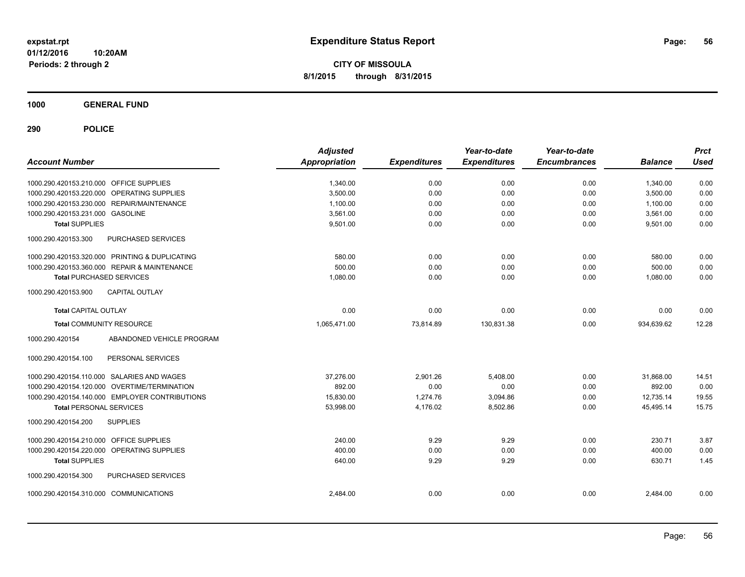**CITY OF MISSOULA 8/1/2015 through 8/31/2015**

**1000 GENERAL FUND**

| <b>Account Number</b>                   |                                                | <b>Adjusted</b><br><b>Appropriation</b> | <b>Expenditures</b> | Year-to-date<br><b>Expenditures</b> | Year-to-date<br><b>Encumbrances</b> | <b>Balance</b> | <b>Prct</b><br><b>Used</b> |
|-----------------------------------------|------------------------------------------------|-----------------------------------------|---------------------|-------------------------------------|-------------------------------------|----------------|----------------------------|
| 1000.290.420153.210.000 OFFICE SUPPLIES |                                                | 1,340.00                                | 0.00                | 0.00                                | 0.00                                | 1.340.00       | 0.00                       |
|                                         | 1000.290.420153.220.000 OPERATING SUPPLIES     | 3,500.00                                | 0.00                | 0.00                                | 0.00                                | 3,500.00       | 0.00                       |
|                                         | 1000.290.420153.230.000 REPAIR/MAINTENANCE     | 1,100.00                                | 0.00                | 0.00                                | 0.00                                | 1,100.00       | 0.00                       |
| 1000.290.420153.231.000 GASOLINE        |                                                | 3.561.00                                | 0.00                | 0.00                                | 0.00                                | 3,561.00       | 0.00                       |
| <b>Total SUPPLIES</b>                   |                                                | 9,501.00                                | 0.00                | 0.00                                | 0.00                                | 9,501.00       | 0.00                       |
| 1000.290.420153.300                     | PURCHASED SERVICES                             |                                         |                     |                                     |                                     |                |                            |
|                                         | 1000.290.420153.320.000 PRINTING & DUPLICATING | 580.00                                  | 0.00                | 0.00                                | 0.00                                | 580.00         | 0.00                       |
|                                         | 1000.290.420153.360.000 REPAIR & MAINTENANCE   | 500.00                                  | 0.00                | 0.00                                | 0.00                                | 500.00         | 0.00                       |
| <b>Total PURCHASED SERVICES</b>         |                                                | 1,080.00                                | 0.00                | 0.00                                | 0.00                                | 1,080.00       | 0.00                       |
| 1000.290.420153.900                     | <b>CAPITAL OUTLAY</b>                          |                                         |                     |                                     |                                     |                |                            |
| <b>Total CAPITAL OUTLAY</b>             |                                                | 0.00                                    | 0.00                | 0.00                                | 0.00                                | 0.00           | 0.00                       |
| <b>Total COMMUNITY RESOURCE</b>         |                                                | 1,065,471.00                            | 73,814.89           | 130,831.38                          | 0.00                                | 934,639.62     | 12.28                      |
| 1000.290.420154                         | ABANDONED VEHICLE PROGRAM                      |                                         |                     |                                     |                                     |                |                            |
| 1000.290.420154.100                     | PERSONAL SERVICES                              |                                         |                     |                                     |                                     |                |                            |
|                                         | 1000.290.420154.110.000 SALARIES AND WAGES     | 37.276.00                               | 2,901.26            | 5,408.00                            | 0.00                                | 31.868.00      | 14.51                      |
|                                         | 1000.290.420154.120.000 OVERTIME/TERMINATION   | 892.00                                  | 0.00                | 0.00                                | 0.00                                | 892.00         | 0.00                       |
|                                         | 1000.290.420154.140.000 EMPLOYER CONTRIBUTIONS | 15,830.00                               | 1,274.76            | 3,094.86                            | 0.00                                | 12,735.14      | 19.55                      |
| <b>Total PERSONAL SERVICES</b>          |                                                | 53,998.00                               | 4,176.02            | 8,502.86                            | 0.00                                | 45,495.14      | 15.75                      |
| 1000.290.420154.200                     | <b>SUPPLIES</b>                                |                                         |                     |                                     |                                     |                |                            |
| 1000.290.420154.210.000                 | OFFICE SUPPLIES                                | 240.00                                  | 9.29                | 9.29                                | 0.00                                | 230.71         | 3.87                       |
|                                         | 1000.290.420154.220.000 OPERATING SUPPLIES     | 400.00                                  | 0.00                | 0.00                                | 0.00                                | 400.00         | 0.00                       |
| <b>Total SUPPLIES</b>                   |                                                | 640.00                                  | 9.29                | 9.29                                | 0.00                                | 630.71         | 1.45                       |
| 1000.290.420154.300                     | PURCHASED SERVICES                             |                                         |                     |                                     |                                     |                |                            |
| 1000.290.420154.310.000 COMMUNICATIONS  |                                                | 2,484.00                                | 0.00                | 0.00                                | 0.00                                | 2,484.00       | 0.00                       |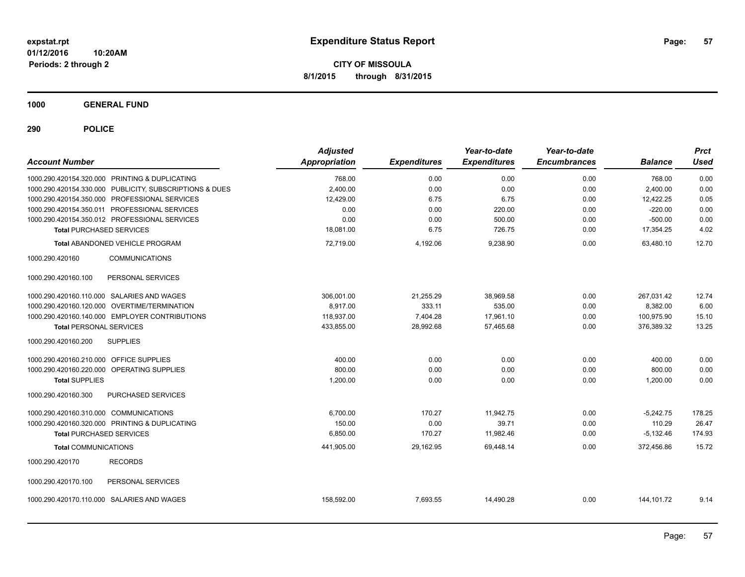**CITY OF MISSOULA 8/1/2015 through 8/31/2015**

**1000 GENERAL FUND**

| <b>Account Number</b>                                   | <b>Adjusted</b><br>Appropriation | <b>Expenditures</b> | Year-to-date<br><b>Expenditures</b> | Year-to-date<br><b>Encumbrances</b> | <b>Balance</b> | <b>Prct</b><br><b>Used</b> |
|---------------------------------------------------------|----------------------------------|---------------------|-------------------------------------|-------------------------------------|----------------|----------------------------|
| 1000.290.420154.320.000 PRINTING & DUPLICATING          | 768.00                           | 0.00                | 0.00                                | 0.00                                | 768.00         | 0.00                       |
| 1000.290.420154.330.000 PUBLICITY, SUBSCRIPTIONS & DUES | 2,400.00                         | 0.00                | 0.00                                | 0.00                                | 2.400.00       | 0.00                       |
| 1000.290.420154.350.000 PROFESSIONAL SERVICES           | 12,429.00                        | 6.75                | 6.75                                | 0.00                                | 12,422.25      | 0.05                       |
| 1000.290.420154.350.011 PROFESSIONAL SERVICES           | 0.00                             | 0.00                | 220.00                              | 0.00                                | $-220.00$      | 0.00                       |
| 1000.290.420154.350.012 PROFESSIONAL SERVICES           | 0.00                             | 0.00                | 500.00                              | 0.00                                | $-500.00$      | 0.00                       |
| <b>Total PURCHASED SERVICES</b>                         | 18,081.00                        | 6.75                | 726.75                              | 0.00                                | 17,354.25      | 4.02                       |
| Total ABANDONED VEHICLE PROGRAM                         | 72,719.00                        | 4,192.06            | 9,238.90                            | 0.00                                | 63,480.10      | 12.70                      |
| <b>COMMUNICATIONS</b><br>1000.290.420160                |                                  |                     |                                     |                                     |                |                            |
| PERSONAL SERVICES<br>1000.290.420160.100                |                                  |                     |                                     |                                     |                |                            |
| 1000.290.420160.110.000 SALARIES AND WAGES              | 306.001.00                       | 21,255.29           | 38,969.58                           | 0.00                                | 267,031.42     | 12.74                      |
| 1000.290.420160.120.000 OVERTIME/TERMINATION            | 8,917.00                         | 333.11              | 535.00                              | 0.00                                | 8,382.00       | 6.00                       |
| 1000.290.420160.140.000 EMPLOYER CONTRIBUTIONS          | 118,937.00                       | 7,404.28            | 17,961.10                           | 0.00                                | 100,975.90     | 15.10                      |
| <b>Total PERSONAL SERVICES</b>                          | 433,855.00                       | 28,992.68           | 57,465.68                           | 0.00                                | 376,389.32     | 13.25                      |
| <b>SUPPLIES</b><br>1000.290.420160.200                  |                                  |                     |                                     |                                     |                |                            |
| 1000.290.420160.210.000 OFFICE SUPPLIES                 | 400.00                           | 0.00                | 0.00                                | 0.00                                | 400.00         | 0.00                       |
| 1000.290.420160.220.000 OPERATING SUPPLIES              | 800.00                           | 0.00                | 0.00                                | 0.00                                | 800.00         | 0.00                       |
| <b>Total SUPPLIES</b>                                   | 1,200.00                         | 0.00                | 0.00                                | 0.00                                | 1,200.00       | 0.00                       |
| 1000.290.420160.300<br>PURCHASED SERVICES               |                                  |                     |                                     |                                     |                |                            |
| 1000.290.420160.310.000 COMMUNICATIONS                  | 6,700.00                         | 170.27              | 11,942.75                           | 0.00                                | $-5,242.75$    | 178.25                     |
| 1000.290.420160.320.000 PRINTING & DUPLICATING          | 150.00                           | 0.00                | 39.71                               | 0.00                                | 110.29         | 26.47                      |
| <b>Total PURCHASED SERVICES</b>                         | 6,850.00                         | 170.27              | 11,982.46                           | 0.00                                | $-5,132.46$    | 174.93                     |
| <b>Total COMMUNICATIONS</b>                             | 441,905.00                       | 29,162.95           | 69,448.14                           | 0.00                                | 372,456.86     | 15.72                      |
| 1000.290.420170<br><b>RECORDS</b>                       |                                  |                     |                                     |                                     |                |                            |
| 1000.290.420170.100<br>PERSONAL SERVICES                |                                  |                     |                                     |                                     |                |                            |
| 1000.290.420170.110.000 SALARIES AND WAGES              | 158,592.00                       | 7,693.55            | 14,490.28                           | 0.00                                | 144, 101.72    | 9.14                       |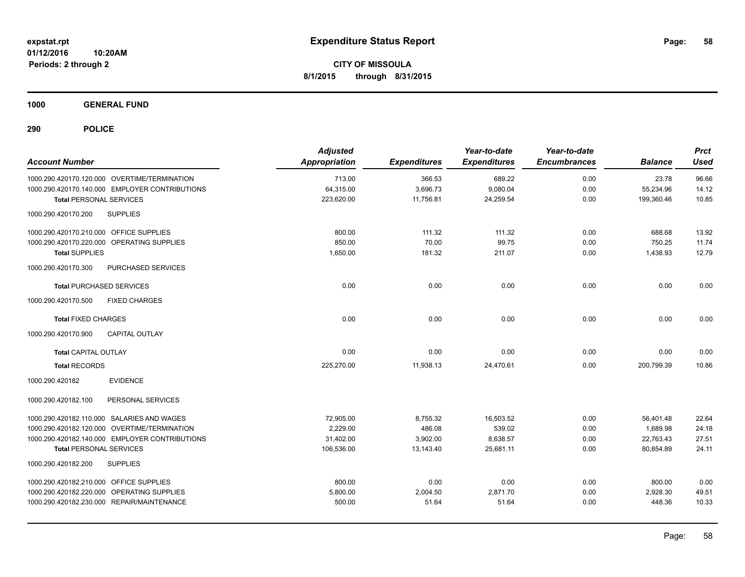**1000 GENERAL FUND**

| <b>Account Number</b>                          | <b>Adjusted</b><br><b>Appropriation</b> | <b>Expenditures</b> | Year-to-date<br><b>Expenditures</b> | Year-to-date<br><b>Encumbrances</b> | <b>Balance</b> | <b>Prct</b><br><b>Used</b> |
|------------------------------------------------|-----------------------------------------|---------------------|-------------------------------------|-------------------------------------|----------------|----------------------------|
| 1000.290.420170.120.000 OVERTIME/TERMINATION   | 713.00                                  | 366.53              | 689.22                              | 0.00                                | 23.78          | 96.66                      |
| 1000.290.420170.140.000 EMPLOYER CONTRIBUTIONS | 64,315.00                               | 3,696.73            | 9,080.04                            | 0.00                                | 55,234.96      | 14.12                      |
| <b>Total PERSONAL SERVICES</b>                 | 223,620.00                              | 11,756.81           | 24,259.54                           | 0.00                                | 199,360.46     | 10.85                      |
| <b>SUPPLIES</b><br>1000.290.420170.200         |                                         |                     |                                     |                                     |                |                            |
| 1000.290.420170.210.000 OFFICE SUPPLIES        | 800.00                                  | 111.32              | 111.32                              | 0.00                                | 688.68         | 13.92                      |
| 1000.290.420170.220.000 OPERATING SUPPLIES     | 850.00                                  | 70.00               | 99.75                               | 0.00                                | 750.25         | 11.74                      |
| <b>Total SUPPLIES</b>                          | 1,650.00                                | 181.32              | 211.07                              | 0.00                                | 1,438.93       | 12.79                      |
| PURCHASED SERVICES<br>1000.290.420170.300      |                                         |                     |                                     |                                     |                |                            |
| <b>Total PURCHASED SERVICES</b>                | 0.00                                    | 0.00                | 0.00                                | 0.00                                | 0.00           | 0.00                       |
| 1000.290.420170.500<br><b>FIXED CHARGES</b>    |                                         |                     |                                     |                                     |                |                            |
| <b>Total FIXED CHARGES</b>                     | 0.00                                    | 0.00                | 0.00                                | 0.00                                | 0.00           | 0.00                       |
| <b>CAPITAL OUTLAY</b><br>1000.290.420170.900   |                                         |                     |                                     |                                     |                |                            |
| <b>Total CAPITAL OUTLAY</b>                    | 0.00                                    | 0.00                | 0.00                                | 0.00                                | 0.00           | 0.00                       |
| <b>Total RECORDS</b>                           | 225,270.00                              | 11,938.13           | 24,470.61                           | 0.00                                | 200.799.39     | 10.86                      |
| 1000.290.420182<br><b>EVIDENCE</b>             |                                         |                     |                                     |                                     |                |                            |
| 1000.290.420182.100<br>PERSONAL SERVICES       |                                         |                     |                                     |                                     |                |                            |
| 1000.290.420182.110.000 SALARIES AND WAGES     | 72,905.00                               | 8,755.32            | 16,503.52                           | 0.00                                | 56,401.48      | 22.64                      |
| 1000.290.420182.120.000 OVERTIME/TERMINATION   | 2,229.00                                | 486.08              | 539.02                              | 0.00                                | 1,689.98       | 24.18                      |
| 1000.290.420182.140.000 EMPLOYER CONTRIBUTIONS | 31,402.00                               | 3,902.00            | 8,638.57                            | 0.00                                | 22,763.43      | 27.51                      |
| <b>Total PERSONAL SERVICES</b>                 | 106,536.00                              | 13,143.40           | 25,681.11                           | 0.00                                | 80,854.89      | 24.11                      |
| 1000.290.420182.200<br><b>SUPPLIES</b>         |                                         |                     |                                     |                                     |                |                            |
| 1000.290.420182.210.000 OFFICE SUPPLIES        | 800.00                                  | 0.00                | 0.00                                | 0.00                                | 800.00         | 0.00                       |
| 1000.290.420182.220.000 OPERATING SUPPLIES     | 5,800.00                                | 2,004.50            | 2,871.70                            | 0.00                                | 2,928.30       | 49.51                      |
| 1000.290.420182.230.000 REPAIR/MAINTENANCE     | 500.00                                  | 51.64               | 51.64                               | 0.00                                | 448.36         | 10.33                      |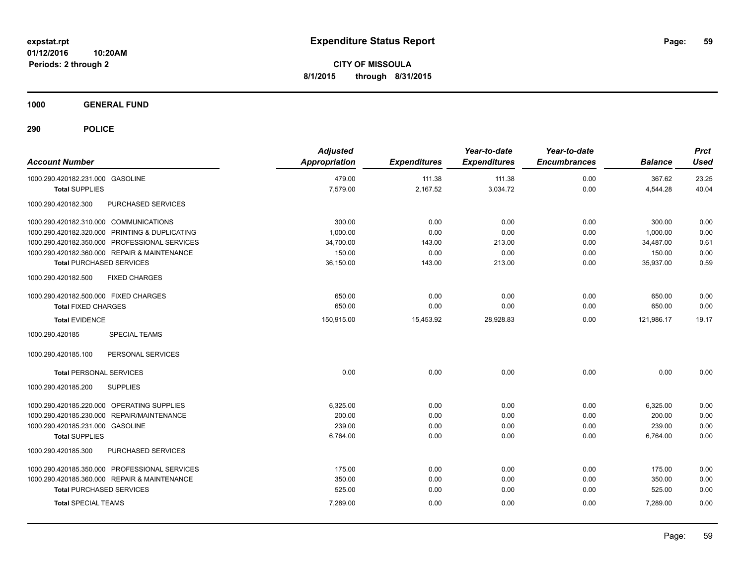**CITY OF MISSOULA 8/1/2015 through 8/31/2015**

**1000 GENERAL FUND**

| <b>Account Number</b>                          | <b>Adjusted</b><br><b>Appropriation</b> | <b>Expenditures</b> | Year-to-date<br><b>Expenditures</b> | Year-to-date<br><b>Encumbrances</b> | <b>Balance</b> | <b>Prct</b><br><b>Used</b> |
|------------------------------------------------|-----------------------------------------|---------------------|-------------------------------------|-------------------------------------|----------------|----------------------------|
| 1000.290.420182.231.000 GASOLINE               | 479.00                                  | 111.38              | 111.38                              | 0.00                                | 367.62         | 23.25                      |
| <b>Total SUPPLIES</b>                          | 7,579.00                                | 2,167.52            | 3,034.72                            | 0.00                                | 4,544.28       | 40.04                      |
| PURCHASED SERVICES<br>1000.290.420182.300      |                                         |                     |                                     |                                     |                |                            |
| 1000.290.420182.310.000 COMMUNICATIONS         | 300.00                                  | 0.00                | 0.00                                | 0.00                                | 300.00         | 0.00                       |
| 1000.290.420182.320.000 PRINTING & DUPLICATING | 1,000.00                                | 0.00                | 0.00                                | 0.00                                | 1.000.00       | 0.00                       |
| 1000.290.420182.350.000 PROFESSIONAL SERVICES  | 34,700.00                               | 143.00              | 213.00                              | 0.00                                | 34,487.00      | 0.61                       |
| 1000.290.420182.360.000 REPAIR & MAINTENANCE   | 150.00                                  | 0.00                | 0.00                                | 0.00                                | 150.00         | 0.00                       |
| <b>Total PURCHASED SERVICES</b>                | 36,150.00                               | 143.00              | 213.00                              | 0.00                                | 35,937.00      | 0.59                       |
| 1000.290.420182.500<br><b>FIXED CHARGES</b>    |                                         |                     |                                     |                                     |                |                            |
| 1000.290.420182.500.000 FIXED CHARGES          | 650.00                                  | 0.00                | 0.00                                | 0.00                                | 650.00         | 0.00                       |
| <b>Total FIXED CHARGES</b>                     | 650.00                                  | 0.00                | 0.00                                | 0.00                                | 650.00         | 0.00                       |
| <b>Total EVIDENCE</b>                          | 150,915.00                              | 15,453.92           | 28,928.83                           | 0.00                                | 121,986.17     | 19.17                      |
| 1000.290.420185<br><b>SPECIAL TEAMS</b>        |                                         |                     |                                     |                                     |                |                            |
| PERSONAL SERVICES<br>1000.290.420185.100       |                                         |                     |                                     |                                     |                |                            |
| <b>Total PERSONAL SERVICES</b>                 | 0.00                                    | 0.00                | 0.00                                | 0.00                                | 0.00           | 0.00                       |
| <b>SUPPLIES</b><br>1000.290.420185.200         |                                         |                     |                                     |                                     |                |                            |
| 1000.290.420185.220.000 OPERATING SUPPLIES     | 6,325.00                                | 0.00                | 0.00                                | 0.00                                | 6,325.00       | 0.00                       |
| REPAIR/MAINTENANCE<br>1000.290.420185.230.000  | 200.00                                  | 0.00                | 0.00                                | 0.00                                | 200.00         | 0.00                       |
| 1000.290.420185.231.000 GASOLINE               | 239.00                                  | 0.00                | 0.00                                | 0.00                                | 239.00         | 0.00                       |
| <b>Total SUPPLIES</b>                          | 6,764.00                                | 0.00                | 0.00                                | 0.00                                | 6,764.00       | 0.00                       |
| 1000.290.420185.300<br>PURCHASED SERVICES      |                                         |                     |                                     |                                     |                |                            |
| 1000.290.420185.350.000 PROFESSIONAL SERVICES  | 175.00                                  | 0.00                | 0.00                                | 0.00                                | 175.00         | 0.00                       |
| 1000.290.420185.360.000 REPAIR & MAINTENANCE   | 350.00                                  | 0.00                | 0.00                                | 0.00                                | 350.00         | 0.00                       |
| <b>Total PURCHASED SERVICES</b>                | 525.00                                  | 0.00                | 0.00                                | 0.00                                | 525.00         | 0.00                       |
| <b>Total SPECIAL TEAMS</b>                     | 7,289.00                                | 0.00                | 0.00                                | 0.00                                | 7,289.00       | 0.00                       |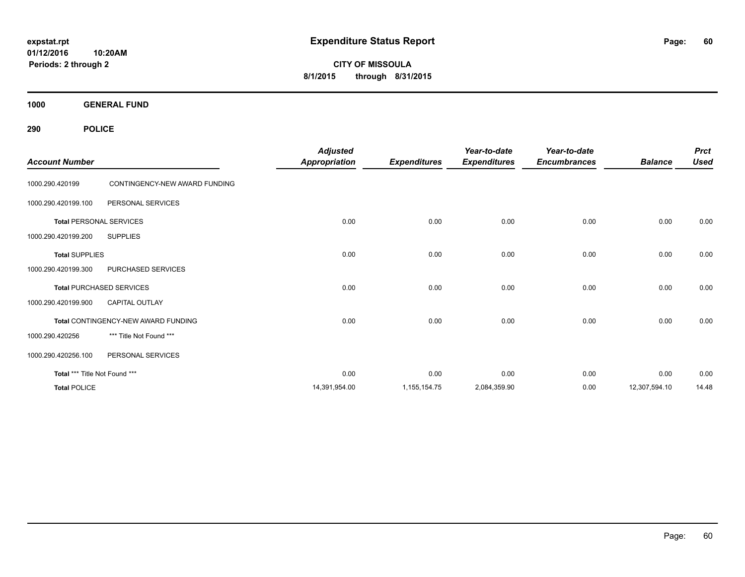**CITY OF MISSOULA 8/1/2015 through 8/31/2015**

**1000 GENERAL FUND**

| <b>Account Number</b>         |                                     | <b>Adjusted</b><br><b>Appropriation</b> | <b>Expenditures</b> | Year-to-date<br><b>Expenditures</b> | Year-to-date<br><b>Encumbrances</b> | <b>Balance</b> | <b>Prct</b><br><b>Used</b> |
|-------------------------------|-------------------------------------|-----------------------------------------|---------------------|-------------------------------------|-------------------------------------|----------------|----------------------------|
| 1000.290.420199               | CONTINGENCY-NEW AWARD FUNDING       |                                         |                     |                                     |                                     |                |                            |
| 1000.290.420199.100           | PERSONAL SERVICES                   |                                         |                     |                                     |                                     |                |                            |
|                               | <b>Total PERSONAL SERVICES</b>      | 0.00                                    | 0.00                | 0.00                                | 0.00                                | 0.00           | 0.00                       |
| 1000.290.420199.200           | <b>SUPPLIES</b>                     |                                         |                     |                                     |                                     |                |                            |
| <b>Total SUPPLIES</b>         |                                     | 0.00                                    | 0.00                | 0.00                                | 0.00                                | 0.00           | 0.00                       |
| 1000.290.420199.300           | PURCHASED SERVICES                  |                                         |                     |                                     |                                     |                |                            |
|                               | <b>Total PURCHASED SERVICES</b>     | 0.00                                    | 0.00                | 0.00                                | 0.00                                | 0.00           | 0.00                       |
| 1000.290.420199.900           | <b>CAPITAL OUTLAY</b>               |                                         |                     |                                     |                                     |                |                            |
|                               | Total CONTINGENCY-NEW AWARD FUNDING | 0.00                                    | 0.00                | 0.00                                | 0.00                                | 0.00           | 0.00                       |
| 1000.290.420256               | *** Title Not Found ***             |                                         |                     |                                     |                                     |                |                            |
| 1000.290.420256.100           | PERSONAL SERVICES                   |                                         |                     |                                     |                                     |                |                            |
| Total *** Title Not Found *** |                                     | 0.00                                    | 0.00                | 0.00                                | 0.00                                | 0.00           | 0.00                       |
| <b>Total POLICE</b>           |                                     | 14,391,954.00                           | 1,155,154.75        | 2,084,359.90                        | 0.00                                | 12,307,594.10  | 14.48                      |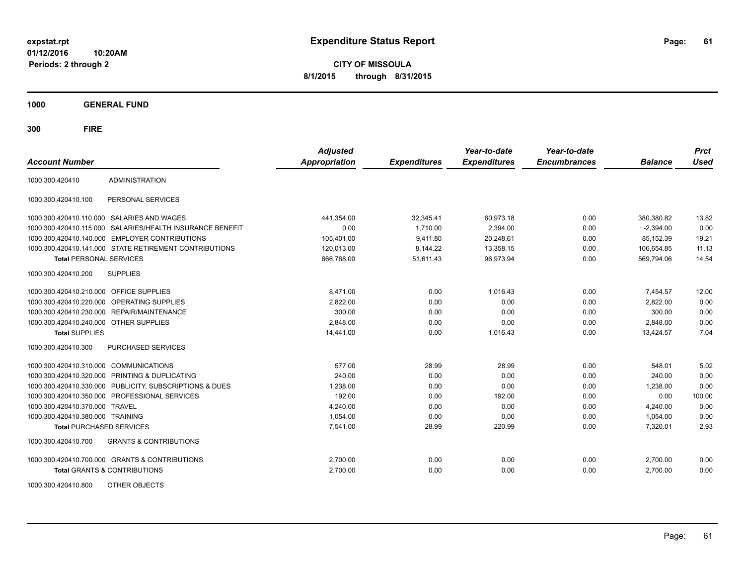**CITY OF MISSOULA 8/1/2015 through 8/31/2015**

**1000 GENERAL FUND**

| <b>Account Number</b>                      |                                                         | <b>Adjusted</b><br>Appropriation | <b>Expenditures</b> | Year-to-date<br><b>Expenditures</b> | Year-to-date<br><b>Encumbrances</b> | <b>Balance</b> | <b>Prct</b><br><b>Used</b> |
|--------------------------------------------|---------------------------------------------------------|----------------------------------|---------------------|-------------------------------------|-------------------------------------|----------------|----------------------------|
| 1000.300.420410                            | <b>ADMINISTRATION</b>                                   |                                  |                     |                                     |                                     |                |                            |
| 1000.300.420410.100                        | PERSONAL SERVICES                                       |                                  |                     |                                     |                                     |                |                            |
| 1000.300.420410.110.000 SALARIES AND WAGES |                                                         | 441,354.00                       | 32,345.41           | 60,973.18                           | 0.00                                | 380,380.82     | 13.82                      |
| 1000.300.420410.115.000                    | SALARIES/HEALTH INSURANCE BENEFIT                       | 0.00                             | 1,710.00            | 2,394.00                            | 0.00                                | $-2,394.00$    | 0.00                       |
|                                            | 1000.300.420410.140.000 EMPLOYER CONTRIBUTIONS          | 105,401.00                       | 9,411.80            | 20,248.61                           | 0.00                                | 85,152.39      | 19.21                      |
|                                            | 1000.300.420410.141.000 STATE RETIREMENT CONTRIBUTIONS  | 120,013.00                       | 8,144.22            | 13.358.15                           | 0.00                                | 106.654.85     | 11.13                      |
| <b>Total PERSONAL SERVICES</b>             |                                                         | 666,768.00                       | 51,611.43           | 96,973.94                           | 0.00                                | 569,794.06     | 14.54                      |
| 1000.300.420410.200                        | <b>SUPPLIES</b>                                         |                                  |                     |                                     |                                     |                |                            |
| 1000.300.420410.210.000 OFFICE SUPPLIES    |                                                         | 8,471.00                         | 0.00                | 1,016.43                            | 0.00                                | 7,454.57       | 12.00                      |
| 1000.300.420410.220.000 OPERATING SUPPLIES |                                                         | 2,822.00                         | 0.00                | 0.00                                | 0.00                                | 2,822.00       | 0.00                       |
| 1000.300.420410.230.000 REPAIR/MAINTENANCE |                                                         | 300.00                           | 0.00                | 0.00                                | 0.00                                | 300.00         | 0.00                       |
| 1000.300.420410.240.000 OTHER SUPPLIES     |                                                         | 2,848.00                         | 0.00                | 0.00                                | 0.00                                | 2,848.00       | 0.00                       |
| <b>Total SUPPLIES</b>                      |                                                         | 14,441.00                        | 0.00                | 1,016.43                            | 0.00                                | 13,424.57      | 7.04                       |
| 1000.300.420410.300                        | <b>PURCHASED SERVICES</b>                               |                                  |                     |                                     |                                     |                |                            |
| 1000.300.420410.310.000                    | <b>COMMUNICATIONS</b>                                   | 577.00                           | 28.99               | 28.99                               | 0.00                                | 548.01         | 5.02                       |
|                                            | 1000.300.420410.320.000 PRINTING & DUPLICATING          | 240.00                           | 0.00                | 0.00                                | 0.00                                | 240.00         | 0.00                       |
|                                            | 1000.300.420410.330.000 PUBLICITY, SUBSCRIPTIONS & DUES | 1,238.00                         | 0.00                | 0.00                                | 0.00                                | 1,238.00       | 0.00                       |
|                                            | 1000.300.420410.350.000 PROFESSIONAL SERVICES           | 192.00                           | 0.00                | 192.00                              | 0.00                                | 0.00           | 100.00                     |
| 1000.300.420410.370.000                    | <b>TRAVEL</b>                                           | 4,240.00                         | 0.00                | 0.00                                | 0.00                                | 4,240.00       | 0.00                       |
| 1000.300.420410.380.000 TRAINING           |                                                         | 1,054.00                         | 0.00                | 0.00                                | 0.00                                | 1,054.00       | 0.00                       |
| <b>Total PURCHASED SERVICES</b>            |                                                         | 7,541.00                         | 28.99               | 220.99                              | 0.00                                | 7,320.01       | 2.93                       |
| 1000.300.420410.700                        | <b>GRANTS &amp; CONTRIBUTIONS</b>                       |                                  |                     |                                     |                                     |                |                            |
|                                            | 1000.300.420410.700.000 GRANTS & CONTRIBUTIONS          | 2,700.00                         | 0.00                | 0.00                                | 0.00                                | 2,700.00       | 0.00                       |
|                                            | <b>Total GRANTS &amp; CONTRIBUTIONS</b>                 | 2,700.00                         | 0.00                | 0.00                                | 0.00                                | 2,700.00       | 0.00                       |
| 1000.300.420410.800                        | OTHER OBJECTS                                           |                                  |                     |                                     |                                     |                |                            |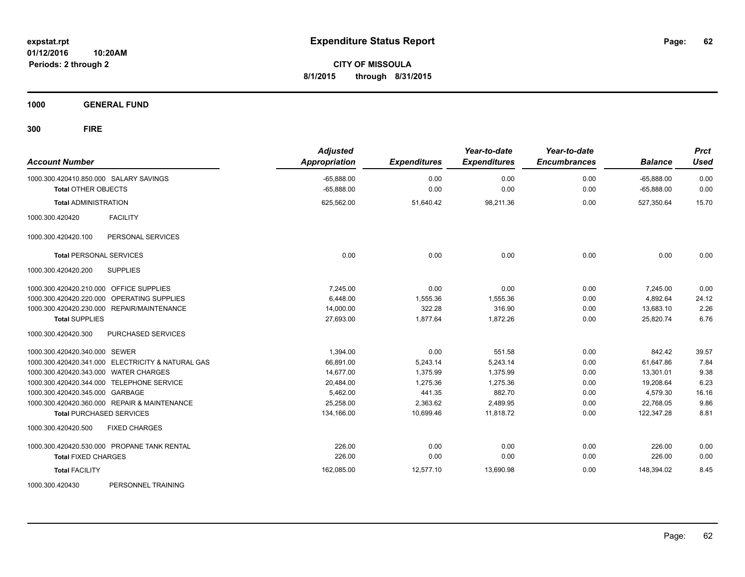**CITY OF MISSOULA 8/1/2015 through 8/31/2015**

**1000 GENERAL FUND**

| <b>Account Number</b>                             | <b>Adjusted</b><br><b>Appropriation</b> | <b>Expenditures</b> | Year-to-date<br><b>Expenditures</b> | Year-to-date<br><b>Encumbrances</b> | <b>Balance</b> | <b>Prct</b><br><b>Used</b> |
|---------------------------------------------------|-----------------------------------------|---------------------|-------------------------------------|-------------------------------------|----------------|----------------------------|
| 1000.300.420410.850.000 SALARY SAVINGS            | $-65,888.00$                            | 0.00                | 0.00                                | 0.00                                | $-65,888.00$   | 0.00                       |
| <b>Total OTHER OBJECTS</b>                        | $-65,888.00$                            | 0.00                | 0.00                                | 0.00                                | $-65,888.00$   | 0.00                       |
| <b>Total ADMINISTRATION</b>                       | 625,562.00                              | 51,640.42           | 98,211.36                           | 0.00                                | 527,350.64     | 15.70                      |
| <b>FACILITY</b><br>1000.300.420420                |                                         |                     |                                     |                                     |                |                            |
| PERSONAL SERVICES<br>1000.300.420420.100          |                                         |                     |                                     |                                     |                |                            |
| <b>Total PERSONAL SERVICES</b>                    | 0.00                                    | 0.00                | 0.00                                | 0.00                                | 0.00           | 0.00                       |
| <b>SUPPLIES</b><br>1000.300.420420.200            |                                         |                     |                                     |                                     |                |                            |
| 1000.300.420420.210.000 OFFICE SUPPLIES           | 7,245.00                                | 0.00                | 0.00                                | 0.00                                | 7,245.00       | 0.00                       |
| 1000.300.420420.220.000 OPERATING SUPPLIES        | 6.448.00                                | 1,555.36            | 1,555.36                            | 0.00                                | 4.892.64       | 24.12                      |
| 1000.300.420420.230.000 REPAIR/MAINTENANCE        | 14,000.00                               | 322.28              | 316.90                              | 0.00                                | 13,683.10      | 2.26                       |
| <b>Total SUPPLIES</b>                             | 27,693.00                               | 1,877.64            | 1,872.26                            | 0.00                                | 25,820.74      | 6.76                       |
| 1000.300.420420.300<br>PURCHASED SERVICES         |                                         |                     |                                     |                                     |                |                            |
| 1000.300.420420.340.000 SEWER                     | 1,394.00                                | 0.00                | 551.58                              | 0.00                                | 842.42         | 39.57                      |
| 1000.300.420420.341.000 ELECTRICITY & NATURAL GAS | 66,891.00                               | 5,243.14            | 5,243.14                            | 0.00                                | 61,647.86      | 7.84                       |
| 1000.300.420420.343.000 WATER CHARGES             | 14,677.00                               | 1,375.99            | 1,375.99                            | 0.00                                | 13,301.01      | 9.38                       |
| 1000.300.420420.344.000 TELEPHONE SERVICE         | 20,484.00                               | 1,275.36            | 1.275.36                            | 0.00                                | 19,208.64      | 6.23                       |
| 1000.300.420420.345.000 GARBAGE                   | 5,462.00                                | 441.35              | 882.70                              | 0.00                                | 4,579.30       | 16.16                      |
| 1000.300.420420.360.000 REPAIR & MAINTENANCE      | 25,258.00                               | 2,363.62            | 2,489.95                            | 0.00                                | 22,768.05      | 9.86                       |
| <b>Total PURCHASED SERVICES</b>                   | 134,166.00                              | 10,699.46           | 11,818.72                           | 0.00                                | 122,347.28     | 8.81                       |
| <b>FIXED CHARGES</b><br>1000.300.420420.500       |                                         |                     |                                     |                                     |                |                            |
| 1000.300.420420.530.000 PROPANE TANK RENTAL       | 226.00                                  | 0.00                | 0.00                                | 0.00                                | 226.00         | 0.00                       |
| <b>Total FIXED CHARGES</b>                        | 226.00                                  | 0.00                | 0.00                                | 0.00                                | 226.00         | 0.00                       |
| <b>Total FACILITY</b>                             | 162,085.00                              | 12,577.10           | 13,690.98                           | 0.00                                | 148,394.02     | 8.45                       |
| 1000.300.420430<br>PERSONNEL TRAINING             |                                         |                     |                                     |                                     |                |                            |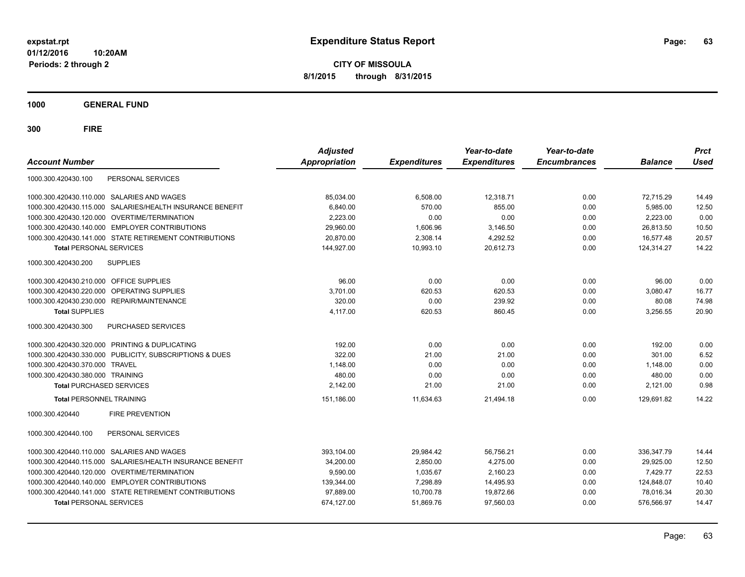**CITY OF MISSOULA 8/1/2015 through 8/31/2015**

**1000 GENERAL FUND**

| <b>Account Number</b>                                        | <b>Adjusted</b><br><b>Appropriation</b> | <b>Expenditures</b> | Year-to-date<br><b>Expenditures</b> | Year-to-date<br><b>Encumbrances</b> | <b>Balance</b> | <b>Prct</b><br><b>Used</b> |
|--------------------------------------------------------------|-----------------------------------------|---------------------|-------------------------------------|-------------------------------------|----------------|----------------------------|
| PERSONAL SERVICES<br>1000.300.420430.100                     |                                         |                     |                                     |                                     |                |                            |
| 1000.300.420430.110.000 SALARIES AND WAGES                   | 85,034.00                               | 6,508.00            | 12,318.71                           | 0.00                                | 72,715.29      | 14.49                      |
| 1000.300.420430.115.000 SALARIES/HEALTH INSURANCE BENEFIT    | 6,840.00                                | 570.00              | 855.00                              | 0.00                                | 5,985.00       | 12.50                      |
| 1000.300.420430.120.000 OVERTIME/TERMINATION                 | 2,223.00                                | 0.00                | 0.00                                | 0.00                                | 2,223.00       | 0.00                       |
| 1000.300.420430.140.000 EMPLOYER CONTRIBUTIONS               | 29,960.00                               | 1,606.96            | 3,146.50                            | 0.00                                | 26,813.50      | 10.50                      |
| 1000.300.420430.141.000 STATE RETIREMENT CONTRIBUTIONS       | 20,870.00                               | 2,308.14            | 4,292.52                            | 0.00                                | 16,577.48      | 20.57                      |
| <b>Total PERSONAL SERVICES</b>                               | 144,927.00                              | 10,993.10           | 20,612.73                           | 0.00                                | 124.314.27     | 14.22                      |
| <b>SUPPLIES</b><br>1000.300.420430.200                       |                                         |                     |                                     |                                     |                |                            |
| 1000.300.420430.210.000 OFFICE SUPPLIES                      | 96.00                                   | 0.00                | 0.00                                | 0.00                                | 96.00          | 0.00                       |
| 1000.300.420430.220.000 OPERATING SUPPLIES                   | 3.701.00                                | 620.53              | 620.53                              | 0.00                                | 3.080.47       | 16.77                      |
| 1000.300.420430.230.000 REPAIR/MAINTENANCE                   | 320.00                                  | 0.00                | 239.92                              | 0.00                                | 80.08          | 74.98                      |
| <b>Total SUPPLIES</b>                                        | 4,117.00                                | 620.53              | 860.45                              | 0.00                                | 3,256.55       | 20.90                      |
| PURCHASED SERVICES<br>1000.300.420430.300                    |                                         |                     |                                     |                                     |                |                            |
| 1000.300.420430.320.000 PRINTING & DUPLICATING               | 192.00                                  | 0.00                | 0.00                                | 0.00                                | 192.00         | 0.00                       |
| 1000.300.420430.330.000 PUBLICITY, SUBSCRIPTIONS & DUES      | 322.00                                  | 21.00               | 21.00                               | 0.00                                | 301.00         | 6.52                       |
| 1000.300.420430.370.000 TRAVEL                               | 1,148.00                                | 0.00                | 0.00                                | 0.00                                | 1,148.00       | 0.00                       |
| 1000.300.420430.380.000 TRAINING                             | 480.00                                  | 0.00                | 0.00                                | 0.00                                | 480.00         | 0.00                       |
| <b>Total PURCHASED SERVICES</b>                              | 2,142.00                                | 21.00               | 21.00                               | 0.00                                | 2,121.00       | 0.98                       |
| <b>Total PERSONNEL TRAINING</b>                              | 151.186.00                              | 11.634.63           | 21.494.18                           | 0.00                                | 129.691.82     | 14.22                      |
| <b>FIRE PREVENTION</b><br>1000.300.420440                    |                                         |                     |                                     |                                     |                |                            |
| PERSONAL SERVICES<br>1000.300.420440.100                     |                                         |                     |                                     |                                     |                |                            |
| 1000.300.420440.110.000 SALARIES AND WAGES                   | 393.104.00                              | 29.984.42           | 56.756.21                           | 0.00                                | 336.347.79     | 14.44                      |
| SALARIES/HEALTH INSURANCE BENEFIT<br>1000.300.420440.115.000 | 34,200.00                               | 2.850.00            | 4.275.00                            | 0.00                                | 29.925.00      | 12.50                      |
| 1000.300.420440.120.000 OVERTIME/TERMINATION                 | 9,590.00                                | 1,035.67            | 2,160.23                            | 0.00                                | 7,429.77       | 22.53                      |
| 1000.300.420440.140.000 EMPLOYER CONTRIBUTIONS               | 139,344.00                              | 7,298.89            | 14,495.93                           | 0.00                                | 124,848.07     | 10.40                      |
| 1000.300.420440.141.000 STATE RETIREMENT CONTRIBUTIONS       | 97,889.00                               | 10,700.78           | 19,872.66                           | 0.00                                | 78,016.34      | 20.30                      |
| <b>Total PERSONAL SERVICES</b>                               | 674,127.00                              | 51,869.76           | 97,560.03                           | 0.00                                | 576,566.97     | 14.47                      |
|                                                              |                                         |                     |                                     |                                     |                |                            |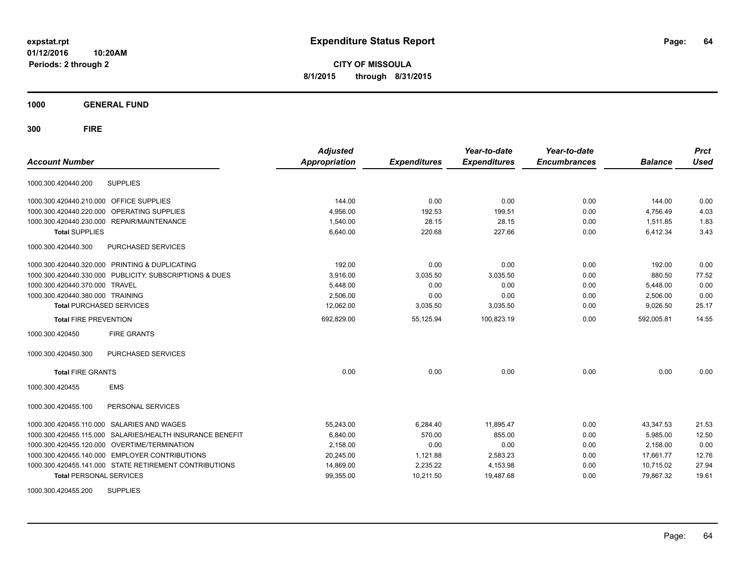**CITY OF MISSOULA 8/1/2015 through 8/31/2015**

**1000 GENERAL FUND**

| <b>Account Number</b>            |                                                         | <b>Adjusted</b><br><b>Appropriation</b> | <b>Expenditures</b> | Year-to-date<br><b>Expenditures</b> | Year-to-date<br><b>Encumbrances</b> | <b>Balance</b> | <b>Prct</b><br><b>Used</b> |
|----------------------------------|---------------------------------------------------------|-----------------------------------------|---------------------|-------------------------------------|-------------------------------------|----------------|----------------------------|
| 1000.300.420440.200              | <b>SUPPLIES</b>                                         |                                         |                     |                                     |                                     |                |                            |
| 1000.300.420440.210.000          | OFFICE SUPPLIES                                         | 144.00                                  | 0.00                | 0.00                                | 0.00                                | 144.00         | 0.00                       |
| 1000.300.420440.220.000          | OPERATING SUPPLIES                                      | 4,956.00                                | 192.53              | 199.51                              | 0.00                                | 4,756.49       | 4.03                       |
| 1000.300.420440.230.000          | REPAIR/MAINTENANCE                                      | 1,540.00                                | 28.15               | 28.15                               | 0.00                                | 1,511.85       | 1.83                       |
| <b>Total SUPPLIES</b>            |                                                         | 6,640.00                                | 220.68              | 227.66                              | 0.00                                | 6,412.34       | 3.43                       |
| 1000.300.420440.300              | PURCHASED SERVICES                                      |                                         |                     |                                     |                                     |                |                            |
|                                  | 1000.300.420440.320.000 PRINTING & DUPLICATING          | 192.00                                  | 0.00                | 0.00                                | 0.00                                | 192.00         | 0.00                       |
|                                  | 1000.300.420440.330.000 PUBLICITY, SUBSCRIPTIONS & DUES | 3,916.00                                | 3,035.50            | 3,035.50                            | 0.00                                | 880.50         | 77.52                      |
| 1000.300.420440.370.000 TRAVEL   |                                                         | 5,448.00                                | 0.00                | 0.00                                | 0.00                                | 5,448.00       | 0.00                       |
| 1000.300.420440.380.000 TRAINING |                                                         | 2,506.00                                | 0.00                | 0.00                                | 0.00                                | 2,506.00       | 0.00                       |
| <b>Total PURCHASED SERVICES</b>  |                                                         | 12,062.00                               | 3,035.50            | 3,035.50                            | 0.00                                | 9,026.50       | 25.17                      |
| <b>Total FIRE PREVENTION</b>     |                                                         | 692,829.00                              | 55,125.94           | 100.823.19                          | 0.00                                | 592,005.81     | 14.55                      |
| 1000.300.420450                  | <b>FIRE GRANTS</b>                                      |                                         |                     |                                     |                                     |                |                            |
| 1000.300.420450.300              | <b>PURCHASED SERVICES</b>                               |                                         |                     |                                     |                                     |                |                            |
| <b>Total FIRE GRANTS</b>         |                                                         | 0.00                                    | 0.00                | 0.00                                | 0.00                                | 0.00           | 0.00                       |
| 1000.300.420455                  | <b>EMS</b>                                              |                                         |                     |                                     |                                     |                |                            |
| 1000.300.420455.100              | PERSONAL SERVICES                                       |                                         |                     |                                     |                                     |                |                            |
| 1000.300.420455.110.000          | <b>SALARIES AND WAGES</b>                               | 55,243.00                               | 6,284.40            | 11,895.47                           | 0.00                                | 43,347.53      | 21.53                      |
| 1000.300.420455.115.000          | SALARIES/HEALTH INSURANCE BENEFIT                       | 6,840.00                                | 570.00              | 855.00                              | 0.00                                | 5,985.00       | 12.50                      |
|                                  | 1000.300.420455.120.000 OVERTIME/TERMINATION            | 2,158.00                                | 0.00                | 0.00                                | 0.00                                | 2,158.00       | 0.00                       |
|                                  | 1000.300.420455.140.000 EMPLOYER CONTRIBUTIONS          | 20,245.00                               | 1,121.88            | 2,583.23                            | 0.00                                | 17,661.77      | 12.76                      |
|                                  | 1000.300.420455.141.000 STATE RETIREMENT CONTRIBUTIONS  | 14,869.00                               | 2,235.22            | 4,153.98                            | 0.00                                | 10,715.02      | 27.94                      |
| <b>Total PERSONAL SERVICES</b>   |                                                         | 99,355.00                               | 10,211.50           | 19,487.68                           | 0.00                                | 79,867.32      | 19.61                      |
| 1000.300.420455.200              | <b>SUPPLIES</b>                                         |                                         |                     |                                     |                                     |                |                            |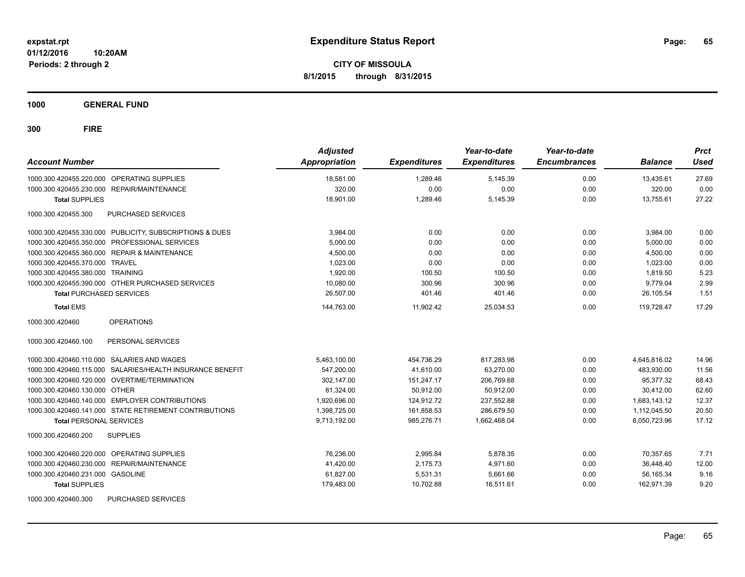**CITY OF MISSOULA 8/1/2015 through 8/31/2015**

**1000 GENERAL FUND**

| <b>Account Number</b>                                     | <b>Adjusted</b><br><b>Appropriation</b> | <b>Expenditures</b> | Year-to-date<br><b>Expenditures</b> | Year-to-date<br><b>Encumbrances</b> | <b>Balance</b> | <b>Prct</b><br><b>Used</b> |
|-----------------------------------------------------------|-----------------------------------------|---------------------|-------------------------------------|-------------------------------------|----------------|----------------------------|
| 1000.300.420455.220.000 OPERATING SUPPLIES                | 18,581.00                               | 1,289.46            | 5,145.39                            | 0.00                                | 13,435.61      | 27.69                      |
| 1000.300.420455.230.000 REPAIR/MAINTENANCE                | 320.00                                  | 0.00                | 0.00                                | 0.00                                | 320.00         | 0.00                       |
| <b>Total SUPPLIES</b>                                     | 18,901.00                               | 1,289.46            | 5,145.39                            | 0.00                                | 13,755.61      | 27.22                      |
| PURCHASED SERVICES<br>1000.300.420455.300                 |                                         |                     |                                     |                                     |                |                            |
| 1000.300.420455.330.000 PUBLICITY, SUBSCRIPTIONS & DUES   | 3,984.00                                | 0.00                | 0.00                                | 0.00                                | 3,984.00       | 0.00                       |
| 1000.300.420455.350.000 PROFESSIONAL SERVICES             | 5,000.00                                | 0.00                | 0.00                                | 0.00                                | 5,000.00       | 0.00                       |
| 1000.300.420455.360.000 REPAIR & MAINTENANCE              | 4,500.00                                | 0.00                | 0.00                                | 0.00                                | 4,500.00       | 0.00                       |
| 1000.300.420455.370.000 TRAVEL                            | 1,023.00                                | 0.00                | 0.00                                | 0.00                                | 1,023.00       | 0.00                       |
| 1000.300.420455.380.000 TRAINING                          | 1,920.00                                | 100.50              | 100.50                              | 0.00                                | 1.819.50       | 5.23                       |
| 1000.300.420455.390.000 OTHER PURCHASED SERVICES          | 10,080.00                               | 300.96              | 300.96                              | 0.00                                | 9,779.04       | 2.99                       |
| <b>Total PURCHASED SERVICES</b>                           | 26,507.00                               | 401.46              | 401.46                              | 0.00                                | 26,105.54      | 1.51                       |
| <b>Total EMS</b>                                          | 144,763.00                              | 11,902.42           | 25,034.53                           | 0.00                                | 119.728.47     | 17.29                      |
| 1000.300.420460<br><b>OPERATIONS</b>                      |                                         |                     |                                     |                                     |                |                            |
| PERSONAL SERVICES<br>1000.300.420460.100                  |                                         |                     |                                     |                                     |                |                            |
| 1000.300.420460.110.000 SALARIES AND WAGES                | 5,463,100.00                            | 454,736.29          | 817,283.98                          | 0.00                                | 4,645,816.02   | 14.96                      |
| 1000.300.420460.115.000 SALARIES/HEALTH INSURANCE BENEFIT | 547,200.00                              | 41,610.00           | 63,270.00                           | 0.00                                | 483,930.00     | 11.56                      |
| 1000.300.420460.120.000 OVERTIME/TERMINATION              | 302.147.00                              | 151,247.17          | 206,769.68                          | 0.00                                | 95.377.32      | 68.43                      |
| 1000.300.420460.130.000 OTHER                             | 81.324.00                               | 50.912.00           | 50,912.00                           | 0.00                                | 30,412.00      | 62.60                      |
| 1000.300.420460.140.000 EMPLOYER CONTRIBUTIONS            | 1.920.696.00                            | 124.912.72          | 237.552.88                          | 0.00                                | 1,683,143.12   | 12.37                      |
| 1000.300.420460.141.000 STATE RETIREMENT CONTRIBUTIONS    | 1,398,725.00                            | 161,858.53          | 286,679.50                          | 0.00                                | 1,112,045.50   | 20.50                      |
| <b>Total PERSONAL SERVICES</b>                            | 9,713,192.00                            | 985,276.71          | 1,662,468.04                        | 0.00                                | 8,050,723.96   | 17.12                      |
| 1000.300.420460.200<br><b>SUPPLIES</b>                    |                                         |                     |                                     |                                     |                |                            |
| 1000.300.420460.220.000 OPERATING SUPPLIES                | 76,236.00                               | 2,995.84            | 5,878.35                            | 0.00                                | 70,357.65      | 7.71                       |
| 1000.300.420460.230.000 REPAIR/MAINTENANCE                | 41,420.00                               | 2,175.73            | 4,971.60                            | 0.00                                | 36,448.40      | 12.00                      |
| 1000.300.420460.231.000 GASOLINE                          | 61,827.00                               | 5,531.31            | 5,661.66                            | 0.00                                | 56,165.34      | 9.16                       |
| <b>Total SUPPLIES</b>                                     | 179,483.00                              | 10,702.88           | 16,511.61                           | 0.00                                | 162,971.39     | 9.20                       |
| 1000.300.420460.300<br>PURCHASED SERVICES                 |                                         |                     |                                     |                                     |                |                            |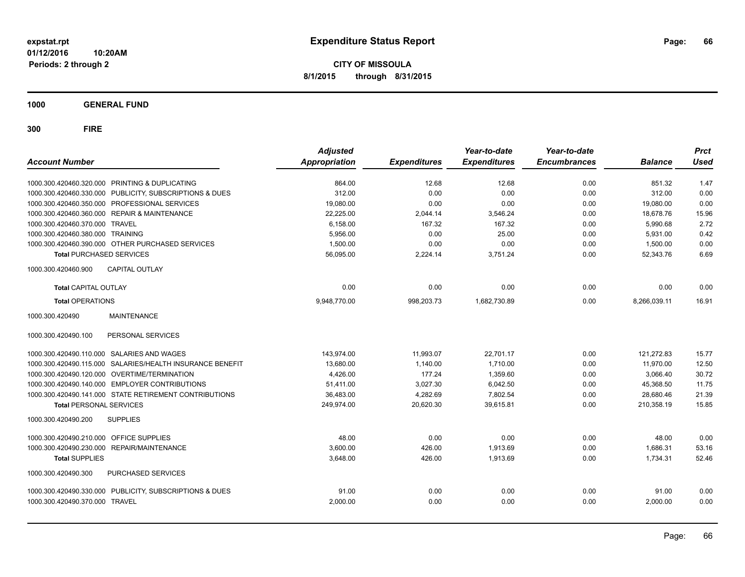**CITY OF MISSOULA 8/1/2015 through 8/31/2015**

**1000 GENERAL FUND**

| <b>Account Number</b>                                     | <b>Adjusted</b><br><b>Appropriation</b> | <b>Expenditures</b> | Year-to-date<br><b>Expenditures</b> | Year-to-date<br><b>Encumbrances</b> | <b>Balance</b> | <b>Prct</b><br><b>Used</b> |
|-----------------------------------------------------------|-----------------------------------------|---------------------|-------------------------------------|-------------------------------------|----------------|----------------------------|
| 1000.300.420460.320.000 PRINTING & DUPLICATING            | 864.00                                  | 12.68               | 12.68                               | 0.00                                | 851.32         | 1.47                       |
| 1000.300.420460.330.000 PUBLICITY, SUBSCRIPTIONS & DUES   | 312.00                                  | 0.00                | 0.00                                | 0.00                                | 312.00         | 0.00                       |
| 1000.300.420460.350.000 PROFESSIONAL SERVICES             | 19,080.00                               | 0.00                | 0.00                                | 0.00                                | 19,080.00      | 0.00                       |
| 1000.300.420460.360.000 REPAIR & MAINTENANCE              | 22,225.00                               | 2,044.14            | 3,546.24                            | 0.00                                | 18.678.76      | 15.96                      |
| 1000.300.420460.370.000 TRAVEL                            | 6,158.00                                | 167.32              | 167.32                              | 0.00                                | 5,990.68       | 2.72                       |
| 1000.300.420460.380.000 TRAINING                          | 5,956.00                                | 0.00                | 25.00                               | 0.00                                | 5,931.00       | 0.42                       |
| 1000.300.420460.390.000 OTHER PURCHASED SERVICES          | 1.500.00                                | 0.00                | 0.00                                | 0.00                                | 1.500.00       | 0.00                       |
| <b>Total PURCHASED SERVICES</b>                           | 56,095.00                               | 2,224.14            | 3,751.24                            | 0.00                                | 52,343.76      | 6.69                       |
| CAPITAL OUTLAY<br>1000.300.420460.900                     |                                         |                     |                                     |                                     |                |                            |
| <b>Total CAPITAL OUTLAY</b>                               | 0.00                                    | 0.00                | 0.00                                | 0.00                                | 0.00           | 0.00                       |
| <b>Total OPERATIONS</b>                                   | 9,948,770.00                            | 998,203.73          | 1,682,730.89                        | 0.00                                | 8,266,039.11   | 16.91                      |
| <b>MAINTENANCE</b><br>1000.300.420490                     |                                         |                     |                                     |                                     |                |                            |
| PERSONAL SERVICES<br>1000.300.420490.100                  |                                         |                     |                                     |                                     |                |                            |
| 1000.300.420490.110.000 SALARIES AND WAGES                | 143,974.00                              | 11,993.07           | 22,701.17                           | 0.00                                | 121,272.83     | 15.77                      |
| 1000.300.420490.115.000 SALARIES/HEALTH INSURANCE BENEFIT | 13,680.00                               | 1,140.00            | 1,710.00                            | 0.00                                | 11,970.00      | 12.50                      |
| 1000.300.420490.120.000 OVERTIME/TERMINATION              | 4.426.00                                | 177.24              | 1,359.60                            | 0.00                                | 3.066.40       | 30.72                      |
| 1000.300.420490.140.000 EMPLOYER CONTRIBUTIONS            | 51,411.00                               | 3,027.30            | 6,042.50                            | 0.00                                | 45,368.50      | 11.75                      |
| 1000.300.420490.141.000 STATE RETIREMENT CONTRIBUTIONS    | 36,483.00                               | 4,282.69            | 7,802.54                            | 0.00                                | 28,680.46      | 21.39                      |
| <b>Total PERSONAL SERVICES</b>                            | 249,974.00                              | 20,620.30           | 39.615.81                           | 0.00                                | 210.358.19     | 15.85                      |
| <b>SUPPLIES</b><br>1000.300.420490.200                    |                                         |                     |                                     |                                     |                |                            |
| OFFICE SUPPLIES<br>1000.300.420490.210.000                | 48.00                                   | 0.00                | 0.00                                | 0.00                                | 48.00          | 0.00                       |
| 1000.300.420490.230.000<br><b>REPAIR/MAINTENANCE</b>      | 3,600.00                                | 426.00              | 1,913.69                            | 0.00                                | 1,686.31       | 53.16                      |
| <b>Total SUPPLIES</b>                                     | 3,648.00                                | 426.00              | 1,913.69                            | 0.00                                | 1,734.31       | 52.46                      |
| 1000.300.420490.300<br>PURCHASED SERVICES                 |                                         |                     |                                     |                                     |                |                            |
| 1000.300.420490.330.000 PUBLICITY, SUBSCRIPTIONS & DUES   | 91.00                                   | 0.00                | 0.00                                | 0.00                                | 91.00          | 0.00                       |
| 1000.300.420490.370.000 TRAVEL                            | 2,000.00                                | 0.00                | 0.00                                | 0.00                                | 2,000.00       | 0.00                       |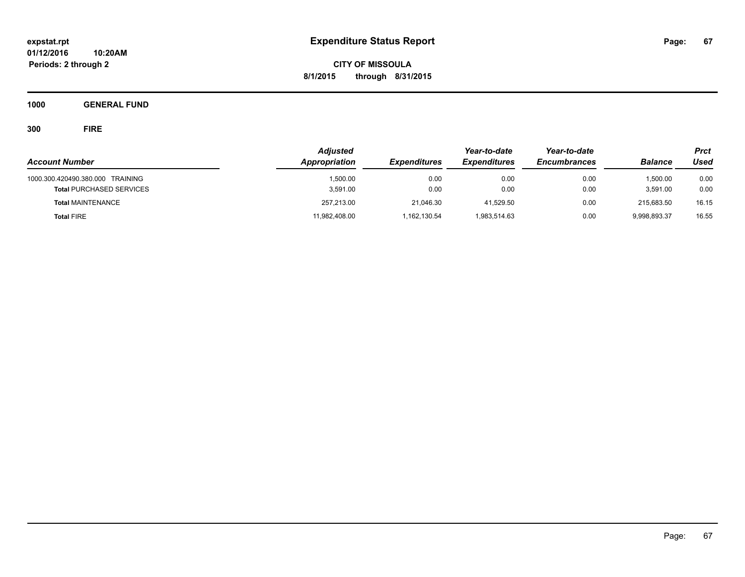**CITY OF MISSOULA 8/1/2015 through 8/31/2015**

**1000 GENERAL FUND**

|                                  | <b>Adjusted</b> |                     | Year-to-date        | Year-to-date        |                | <b>Prct</b> |
|----------------------------------|-----------------|---------------------|---------------------|---------------------|----------------|-------------|
| <b>Account Number</b>            | Appropriation   | <b>Expenditures</b> | <b>Expenditures</b> | <b>Encumbrances</b> | <b>Balance</b> | Used        |
| 1000.300.420490.380.000 TRAINING | 1.500.00        | 0.00                | 0.00                | 0.00                | 1,500.00       | 0.00        |
| <b>Total PURCHASED SERVICES</b>  | 3.591.00        | 0.00                | 0.00                | 0.00                | 3,591.00       | 0.00        |
| <b>Total MAINTENANCE</b>         | 257,213.00      | 21.046.30           | 41.529.50           | 0.00                | 215.683.50     | 16.15       |
| <b>Total FIRE</b>                | 11,982,408.00   | 1,162,130.54        | 1,983,514.63        | 0.00                | 9,998,893.37   | 16.55       |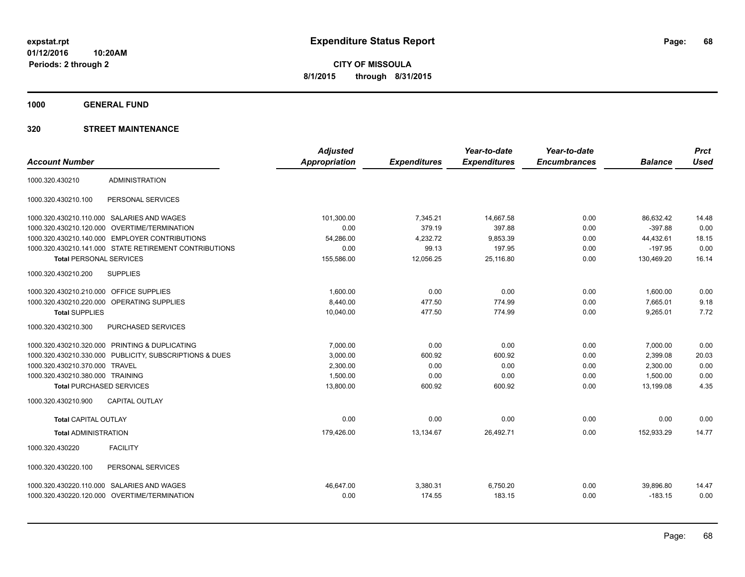**Periods: 2 through 2**

**CITY OF MISSOULA 8/1/2015 through 8/31/2015**

**1000 GENERAL FUND**

|                                         |                                                         | <b>Adjusted</b>      |                     | Year-to-date        | Year-to-date        |                | <b>Prct</b> |
|-----------------------------------------|---------------------------------------------------------|----------------------|---------------------|---------------------|---------------------|----------------|-------------|
| <b>Account Number</b>                   |                                                         | <b>Appropriation</b> | <b>Expenditures</b> | <b>Expenditures</b> | <b>Encumbrances</b> | <b>Balance</b> | <b>Used</b> |
| 1000.320.430210                         | <b>ADMINISTRATION</b>                                   |                      |                     |                     |                     |                |             |
| 1000.320.430210.100                     | PERSONAL SERVICES                                       |                      |                     |                     |                     |                |             |
|                                         | 1000.320.430210.110.000 SALARIES AND WAGES              | 101,300.00           | 7,345.21            | 14,667.58           | 0.00                | 86.632.42      | 14.48       |
| 1000.320.430210.120.000                 | <b>OVERTIME/TERMINATION</b>                             | 0.00                 | 379.19              | 397.88              | 0.00                | $-397.88$      | 0.00        |
|                                         | 1000.320.430210.140.000 EMPLOYER CONTRIBUTIONS          | 54,286.00            | 4,232.72            | 9,853.39            | 0.00                | 44,432.61      | 18.15       |
|                                         | 1000.320.430210.141.000 STATE RETIREMENT CONTRIBUTIONS  | 0.00                 | 99.13               | 197.95              | 0.00                | $-197.95$      | 0.00        |
| <b>Total PERSONAL SERVICES</b>          |                                                         | 155.586.00           | 12.056.25           | 25.116.80           | 0.00                | 130.469.20     | 16.14       |
| 1000.320.430210.200                     | <b>SUPPLIES</b>                                         |                      |                     |                     |                     |                |             |
| 1000.320.430210.210.000 OFFICE SUPPLIES |                                                         | 1,600.00             | 0.00                | 0.00                | 0.00                | 1,600.00       | 0.00        |
| 1000.320.430210.220.000                 | OPERATING SUPPLIES                                      | 8,440.00             | 477.50              | 774.99              | 0.00                | 7,665.01       | 9.18        |
| <b>Total SUPPLIES</b>                   |                                                         | 10,040.00            | 477.50              | 774.99              | 0.00                | 9,265.01       | 7.72        |
| 1000.320.430210.300                     | PURCHASED SERVICES                                      |                      |                     |                     |                     |                |             |
|                                         | 1000.320.430210.320.000 PRINTING & DUPLICATING          | 7.000.00             | 0.00                | 0.00                | 0.00                | 7,000.00       | 0.00        |
|                                         | 1000.320.430210.330.000 PUBLICITY, SUBSCRIPTIONS & DUES | 3,000.00             | 600.92              | 600.92              | 0.00                | 2,399.08       | 20.03       |
| 1000.320.430210.370.000 TRAVEL          |                                                         | 2,300.00             | 0.00                | 0.00                | 0.00                | 2,300.00       | 0.00        |
| 1000.320.430210.380.000 TRAINING        |                                                         | 1,500.00             | 0.00                | 0.00                | 0.00                | 1,500.00       | 0.00        |
| <b>Total PURCHASED SERVICES</b>         |                                                         | 13,800.00            | 600.92              | 600.92              | 0.00                | 13,199.08      | 4.35        |
| 1000.320.430210.900                     | <b>CAPITAL OUTLAY</b>                                   |                      |                     |                     |                     |                |             |
| <b>Total CAPITAL OUTLAY</b>             |                                                         | 0.00                 | 0.00                | 0.00                | 0.00                | 0.00           | 0.00        |
| <b>Total ADMINISTRATION</b>             |                                                         | 179,426.00           | 13,134.67           | 26,492.71           | 0.00                | 152,933.29     | 14.77       |
| 1000.320.430220                         | <b>FACILITY</b>                                         |                      |                     |                     |                     |                |             |
| 1000.320.430220.100                     | PERSONAL SERVICES                                       |                      |                     |                     |                     |                |             |
|                                         | 1000.320.430220.110.000 SALARIES AND WAGES              | 46.647.00            | 3,380.31            | 6,750.20            | 0.00                | 39,896.80      | 14.47       |
|                                         | 1000.320.430220.120.000 OVERTIME/TERMINATION            | 0.00                 | 174.55              | 183.15              | 0.00                | $-183.15$      | 0.00        |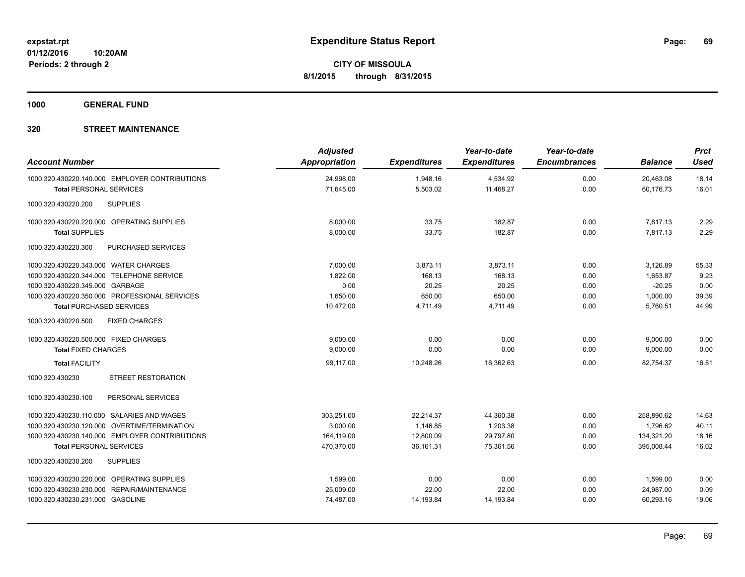**1000 GENERAL FUND**

| <b>Account Number</b>                          | <b>Adjusted</b><br><b>Appropriation</b> | <b>Expenditures</b> | Year-to-date<br><b>Expenditures</b> | Year-to-date<br><b>Encumbrances</b> | <b>Balance</b> | <b>Prct</b><br><b>Used</b> |
|------------------------------------------------|-----------------------------------------|---------------------|-------------------------------------|-------------------------------------|----------------|----------------------------|
| 1000.320.430220.140.000 EMPLOYER CONTRIBUTIONS | 24,998.00                               | 1,948.16            | 4,534.92                            | 0.00                                | 20,463.08      | 18.14                      |
| <b>Total PERSONAL SERVICES</b>                 | 71,645.00                               | 5,503.02            | 11,468.27                           | 0.00                                | 60,176.73      | 16.01                      |
| <b>SUPPLIES</b><br>1000.320.430220.200         |                                         |                     |                                     |                                     |                |                            |
| 1000.320.430220.220.000 OPERATING SUPPLIES     | 8,000.00                                | 33.75               | 182.87                              | 0.00                                | 7.817.13       | 2.29                       |
| <b>Total SUPPLIES</b>                          | 8,000.00                                | 33.75               | 182.87                              | 0.00                                | 7,817.13       | 2.29                       |
| PURCHASED SERVICES<br>1000.320.430220.300      |                                         |                     |                                     |                                     |                |                            |
| 1000.320.430220.343.000 WATER CHARGES          | 7.000.00                                | 3,873.11            | 3,873.11                            | 0.00                                | 3,126.89       | 55.33                      |
| 1000.320.430220.344.000 TELEPHONE SERVICE      | 1,822.00                                | 168.13              | 168.13                              | 0.00                                | 1,653.87       | 9.23                       |
| 1000.320.430220.345.000 GARBAGE                | 0.00                                    | 20.25               | 20.25                               | 0.00                                | $-20.25$       | 0.00                       |
| 1000.320.430220.350.000 PROFESSIONAL SERVICES  | 1,650.00                                | 650.00              | 650.00                              | 0.00                                | 1,000.00       | 39.39                      |
| <b>Total PURCHASED SERVICES</b>                | 10,472.00                               | 4,711.49            | 4,711.49                            | 0.00                                | 5,760.51       | 44.99                      |
| <b>FIXED CHARGES</b><br>1000.320.430220.500    |                                         |                     |                                     |                                     |                |                            |
| 1000.320.430220.500.000 FIXED CHARGES          | 9.000.00                                | 0.00                | 0.00                                | 0.00                                | 9,000.00       | 0.00                       |
| <b>Total FIXED CHARGES</b>                     | 9,000.00                                | 0.00                | 0.00                                | 0.00                                | 9,000.00       | 0.00                       |
| <b>Total FACILITY</b>                          | 99,117.00                               | 10,248.26           | 16,362.63                           | 0.00                                | 82,754.37      | 16.51                      |
| <b>STREET RESTORATION</b><br>1000.320.430230   |                                         |                     |                                     |                                     |                |                            |
| 1000.320.430230.100<br>PERSONAL SERVICES       |                                         |                     |                                     |                                     |                |                            |
| 1000.320.430230.110.000 SALARIES AND WAGES     | 303.251.00                              | 22.214.37           | 44,360.38                           | 0.00                                | 258.890.62     | 14.63                      |
| 1000.320.430230.120.000 OVERTIME/TERMINATION   | 3,000.00                                | 1,146.85            | 1,203.38                            | 0.00                                | 1,796.62       | 40.11                      |
| 1000.320.430230.140.000 EMPLOYER CONTRIBUTIONS | 164,119.00                              | 12,800.09           | 29,797.80                           | 0.00                                | 134,321.20     | 18.16                      |
| <b>Total PERSONAL SERVICES</b>                 | 470,370.00                              | 36,161.31           | 75,361.56                           | 0.00                                | 395,008.44     | 16.02                      |
| <b>SUPPLIES</b><br>1000.320.430230.200         |                                         |                     |                                     |                                     |                |                            |
| 1000.320.430230.220.000 OPERATING SUPPLIES     | 1,599.00                                | 0.00                | 0.00                                | 0.00                                | 1,599.00       | 0.00                       |
| 1000.320.430230.230.000 REPAIR/MAINTENANCE     | 25,009.00                               | 22.00               | 22.00                               | 0.00                                | 24,987.00      | 0.09                       |
| 1000.320.430230.231.000 GASOLINE               | 74,487.00                               | 14,193.84           | 14,193.84                           | 0.00                                | 60,293.16      | 19.06                      |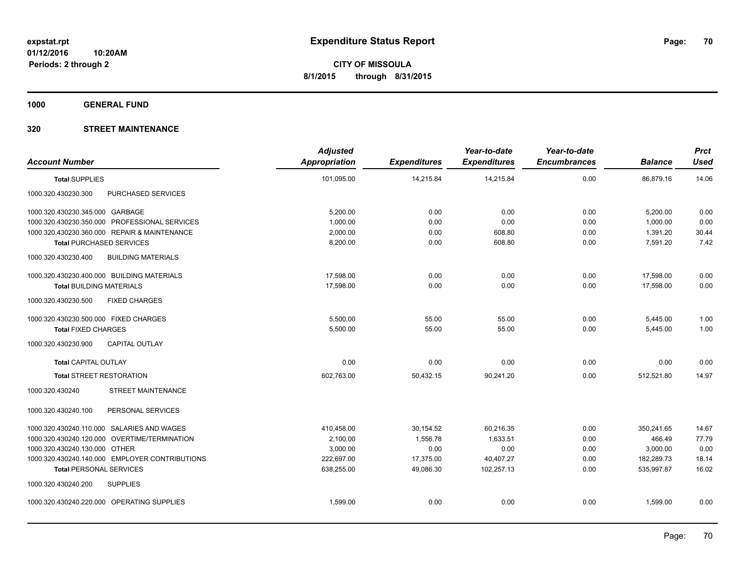**1000 GENERAL FUND**

| <b>Account Number</b>                            | <b>Adjusted</b><br><b>Appropriation</b> | <b>Expenditures</b> | Year-to-date<br><b>Expenditures</b> | Year-to-date<br><b>Encumbrances</b> | <b>Balance</b> | <b>Prct</b><br><b>Used</b> |
|--------------------------------------------------|-----------------------------------------|---------------------|-------------------------------------|-------------------------------------|----------------|----------------------------|
| <b>Total SUPPLIES</b>                            | 101,095.00                              | 14,215.84           | 14,215.84                           | 0.00                                | 86,879.16      | 14.06                      |
| PURCHASED SERVICES<br>1000.320.430230.300        |                                         |                     |                                     |                                     |                |                            |
| 1000.320.430230.345.000 GARBAGE                  | 5,200.00                                | 0.00                | 0.00                                | 0.00                                | 5,200.00       | 0.00                       |
| 1000.320.430230.350.000 PROFESSIONAL SERVICES    | 1,000.00                                | 0.00                | 0.00                                | 0.00                                | 1,000.00       | 0.00                       |
| 1000.320.430230.360.000 REPAIR & MAINTENANCE     | 2,000.00                                | 0.00                | 608.80                              | 0.00                                | 1,391.20       | 30.44                      |
| <b>Total PURCHASED SERVICES</b>                  | 8,200.00                                | 0.00                | 608.80                              | 0.00                                | 7,591.20       | 7.42                       |
| <b>BUILDING MATERIALS</b><br>1000.320.430230.400 |                                         |                     |                                     |                                     |                |                            |
| 1000.320.430230.400.000 BUILDING MATERIALS       | 17,598.00                               | 0.00                | 0.00                                | 0.00                                | 17,598.00      | 0.00                       |
| <b>Total BUILDING MATERIALS</b>                  | 17.598.00                               | 0.00                | 0.00                                | 0.00                                | 17.598.00      | 0.00                       |
| 1000.320.430230.500<br><b>FIXED CHARGES</b>      |                                         |                     |                                     |                                     |                |                            |
| 1000.320.430230.500.000 FIXED CHARGES            | 5,500.00                                | 55.00               | 55.00                               | 0.00                                | 5,445.00       | 1.00                       |
| <b>Total FIXED CHARGES</b>                       | 5,500.00                                | 55.00               | 55.00                               | 0.00                                | 5,445.00       | 1.00                       |
| 1000.320.430230.900<br><b>CAPITAL OUTLAY</b>     |                                         |                     |                                     |                                     |                |                            |
| <b>Total CAPITAL OUTLAY</b>                      | 0.00                                    | 0.00                | 0.00                                | 0.00                                | 0.00           | 0.00                       |
| <b>Total STREET RESTORATION</b>                  | 602.763.00                              | 50,432.15           | 90.241.20                           | 0.00                                | 512.521.80     | 14.97                      |
| <b>STREET MAINTENANCE</b><br>1000.320.430240     |                                         |                     |                                     |                                     |                |                            |
| PERSONAL SERVICES<br>1000.320.430240.100         |                                         |                     |                                     |                                     |                |                            |
| 1000.320.430240.110.000 SALARIES AND WAGES       | 410,458.00                              | 30,154.52           | 60,216.35                           | 0.00                                | 350,241.65     | 14.67                      |
| 1000.320.430240.120.000 OVERTIME/TERMINATION     | 2,100.00                                | 1,556.78            | 1,633.51                            | 0.00                                | 466.49         | 77.79                      |
| 1000.320.430240.130.000 OTHER                    | 3,000.00                                | 0.00                | 0.00                                | 0.00                                | 3,000.00       | 0.00                       |
| 1000.320.430240.140.000 EMPLOYER CONTRIBUTIONS   | 222,697.00                              | 17,375.00           | 40,407.27                           | 0.00                                | 182,289.73     | 18.14                      |
| <b>Total PERSONAL SERVICES</b>                   | 638,255.00                              | 49,086.30           | 102,257.13                          | 0.00                                | 535,997.87     | 16.02                      |
| 1000.320.430240.200<br><b>SUPPLIES</b>           |                                         |                     |                                     |                                     |                |                            |
| 1000.320.430240.220.000 OPERATING SUPPLIES       | 1,599.00                                | 0.00                | 0.00                                | 0.00                                | 1,599.00       | 0.00                       |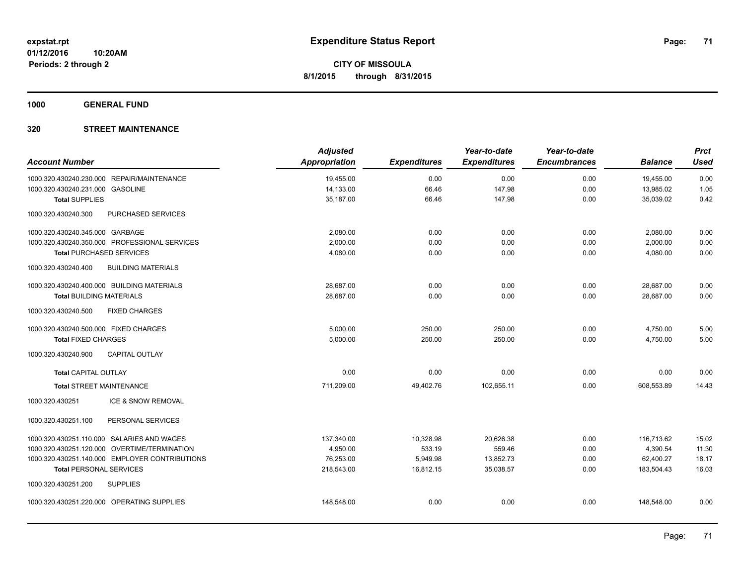**1000 GENERAL FUND**

| <b>Account Number</b>                            | <b>Adjusted</b><br><b>Appropriation</b> | <b>Expenditures</b> | Year-to-date<br><b>Expenditures</b> | Year-to-date<br><b>Encumbrances</b> | <b>Balance</b> | <b>Prct</b><br><b>Used</b> |
|--------------------------------------------------|-----------------------------------------|---------------------|-------------------------------------|-------------------------------------|----------------|----------------------------|
| 1000.320.430240.230.000 REPAIR/MAINTENANCE       | 19,455.00                               | 0.00                | 0.00                                | 0.00                                | 19,455.00      | 0.00                       |
| 1000.320.430240.231.000 GASOLINE                 | 14,133.00                               | 66.46               | 147.98                              | 0.00                                | 13,985.02      | 1.05                       |
| <b>Total SUPPLIES</b>                            | 35,187.00                               | 66.46               | 147.98                              | 0.00                                | 35,039.02      | 0.42                       |
| 1000.320.430240.300<br>PURCHASED SERVICES        |                                         |                     |                                     |                                     |                |                            |
| 1000.320.430240.345.000 GARBAGE                  | 2,080.00                                | 0.00                | 0.00                                | 0.00                                | 2,080.00       | 0.00                       |
| 1000.320.430240.350.000 PROFESSIONAL SERVICES    | 2,000.00                                | 0.00                | 0.00                                | 0.00                                | 2,000.00       | 0.00                       |
| <b>Total PURCHASED SERVICES</b>                  | 4,080.00                                | 0.00                | 0.00                                | 0.00                                | 4,080.00       | 0.00                       |
| 1000.320.430240.400<br><b>BUILDING MATERIALS</b> |                                         |                     |                                     |                                     |                |                            |
| 1000.320.430240.400.000 BUILDING MATERIALS       | 28,687.00                               | 0.00                | 0.00                                | 0.00                                | 28,687.00      | 0.00                       |
| <b>Total BUILDING MATERIALS</b>                  | 28,687.00                               | 0.00                | 0.00                                | 0.00                                | 28,687.00      | 0.00                       |
| 1000.320.430240.500<br><b>FIXED CHARGES</b>      |                                         |                     |                                     |                                     |                |                            |
| 1000.320.430240.500.000 FIXED CHARGES            | 5,000.00                                | 250.00              | 250.00                              | 0.00                                | 4,750.00       | 5.00                       |
| <b>Total FIXED CHARGES</b>                       | 5,000.00                                | 250.00              | 250.00                              | 0.00                                | 4,750.00       | 5.00                       |
| <b>CAPITAL OUTLAY</b><br>1000.320.430240.900     |                                         |                     |                                     |                                     |                |                            |
| <b>Total CAPITAL OUTLAY</b>                      | 0.00                                    | 0.00                | 0.00                                | 0.00                                | 0.00           | 0.00                       |
| <b>Total STREET MAINTENANCE</b>                  | 711,209.00                              | 49,402.76           | 102,655.11                          | 0.00                                | 608,553.89     | 14.43                      |
| 1000.320.430251<br>ICE & SNOW REMOVAL            |                                         |                     |                                     |                                     |                |                            |
| PERSONAL SERVICES<br>1000.320.430251.100         |                                         |                     |                                     |                                     |                |                            |
| 1000.320.430251.110.000 SALARIES AND WAGES       | 137,340.00                              | 10,328.98           | 20,626.38                           | 0.00                                | 116.713.62     | 15.02                      |
| 1000.320.430251.120.000 OVERTIME/TERMINATION     | 4,950.00                                | 533.19              | 559.46                              | 0.00                                | 4,390.54       | 11.30                      |
| 1000.320.430251.140.000 EMPLOYER CONTRIBUTIONS   | 76,253.00                               | 5,949.98            | 13,852.73                           | 0.00                                | 62,400.27      | 18.17                      |
| <b>Total PERSONAL SERVICES</b>                   | 218,543.00                              | 16,812.15           | 35,038.57                           | 0.00                                | 183,504.43     | 16.03                      |
| 1000.320.430251.200<br><b>SUPPLIES</b>           |                                         |                     |                                     |                                     |                |                            |
| 1000.320.430251.220.000 OPERATING SUPPLIES       | 148,548.00                              | 0.00                | 0.00                                | 0.00                                | 148,548.00     | 0.00                       |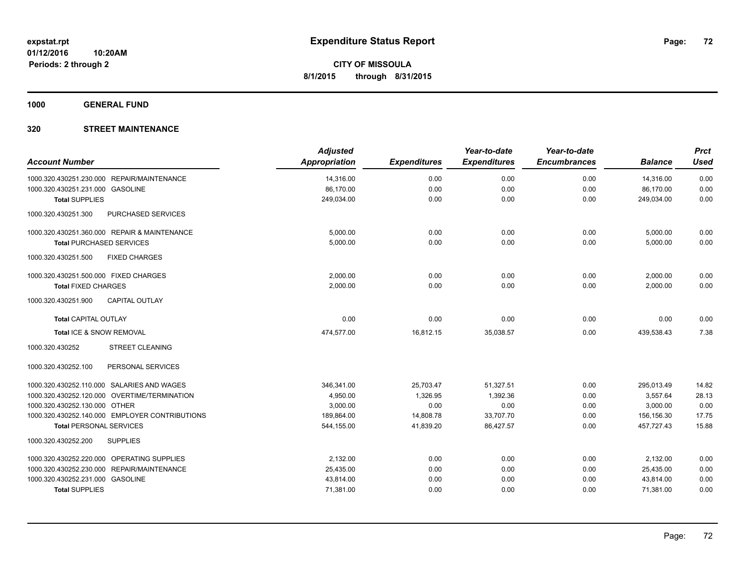**1000 GENERAL FUND**

|                                                  | <b>Adjusted</b>      |                     | Year-to-date        | Year-to-date        |                | <b>Prct</b> |
|--------------------------------------------------|----------------------|---------------------|---------------------|---------------------|----------------|-------------|
| <b>Account Number</b>                            | <b>Appropriation</b> | <b>Expenditures</b> | <b>Expenditures</b> | <b>Encumbrances</b> | <b>Balance</b> | <b>Used</b> |
| 1000.320.430251.230.000 REPAIR/MAINTENANCE       | 14,316.00            | 0.00                | 0.00                | 0.00                | 14,316.00      | 0.00        |
| 1000.320.430251.231.000 GASOLINE                 | 86,170.00            | 0.00                | 0.00                | 0.00                | 86,170.00      | 0.00        |
| <b>Total SUPPLIES</b>                            | 249,034.00           | 0.00                | 0.00                | 0.00                | 249,034.00     | 0.00        |
| <b>PURCHASED SERVICES</b><br>1000.320.430251.300 |                      |                     |                     |                     |                |             |
| 1000.320.430251.360.000 REPAIR & MAINTENANCE     | 5,000.00             | 0.00                | 0.00                | 0.00                | 5,000.00       | 0.00        |
| <b>Total PURCHASED SERVICES</b>                  | 5,000.00             | 0.00                | 0.00                | 0.00                | 5,000.00       | 0.00        |
| 1000.320.430251.500<br><b>FIXED CHARGES</b>      |                      |                     |                     |                     |                |             |
| 1000.320.430251.500.000 FIXED CHARGES            | 2,000.00             | 0.00                | 0.00                | 0.00                | 2,000.00       | 0.00        |
| <b>Total FIXED CHARGES</b>                       | 2,000.00             | 0.00                | 0.00                | 0.00                | 2,000.00       | 0.00        |
| <b>CAPITAL OUTLAY</b><br>1000.320.430251.900     |                      |                     |                     |                     |                |             |
| <b>Total CAPITAL OUTLAY</b>                      | 0.00                 | 0.00                | 0.00                | 0.00                | 0.00           | 0.00        |
| Total ICE & SNOW REMOVAL                         | 474,577.00           | 16,812.15           | 35,038.57           | 0.00                | 439,538.43     | 7.38        |
| <b>STREET CLEANING</b><br>1000.320.430252        |                      |                     |                     |                     |                |             |
| PERSONAL SERVICES<br>1000.320.430252.100         |                      |                     |                     |                     |                |             |
| 1000.320.430252.110.000 SALARIES AND WAGES       | 346,341.00           | 25,703.47           | 51,327.51           | 0.00                | 295,013.49     | 14.82       |
| 1000.320.430252.120.000 OVERTIME/TERMINATION     | 4,950.00             | 1,326.95            | 1,392.36            | 0.00                | 3,557.64       | 28.13       |
| 1000.320.430252.130.000 OTHER                    | 3,000.00             | 0.00                | 0.00                | 0.00                | 3,000.00       | 0.00        |
| 1000.320.430252.140.000 EMPLOYER CONTRIBUTIONS   | 189,864.00           | 14,808.78           | 33,707.70           | 0.00                | 156,156.30     | 17.75       |
| <b>Total PERSONAL SERVICES</b>                   | 544,155.00           | 41,839.20           | 86,427.57           | 0.00                | 457.727.43     | 15.88       |
| 1000.320.430252.200<br><b>SUPPLIES</b>           |                      |                     |                     |                     |                |             |
| 1000.320.430252.220.000 OPERATING SUPPLIES       | 2,132.00             | 0.00                | 0.00                | 0.00                | 2,132.00       | 0.00        |
| 1000.320.430252.230.000 REPAIR/MAINTENANCE       | 25,435.00            | 0.00                | 0.00                | 0.00                | 25,435.00      | 0.00        |
| 1000.320.430252.231.000 GASOLINE                 | 43,814.00            | 0.00                | 0.00                | 0.00                | 43,814.00      | 0.00        |
| <b>Total SUPPLIES</b>                            | 71,381.00            | 0.00                | 0.00                | 0.00                | 71,381.00      | 0.00        |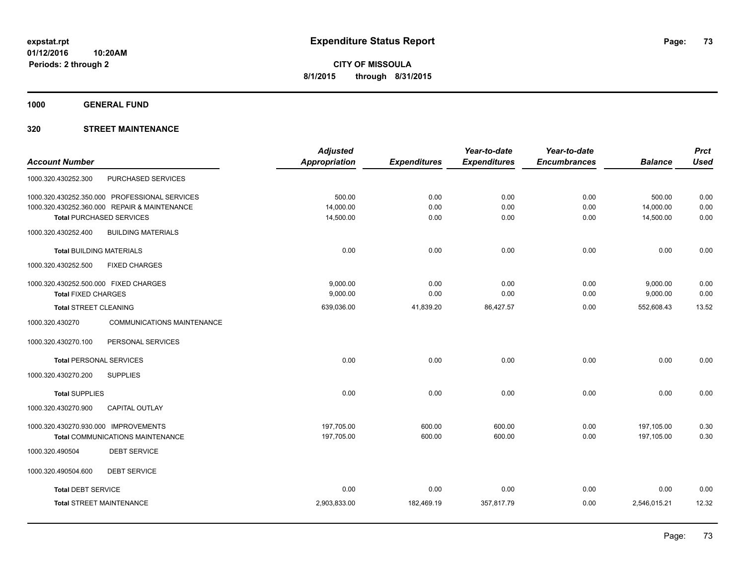**1000 GENERAL FUND**

## **320 STREET MAINTENANCE**

|                                                      | <b>Adjusted</b> |                     | Year-to-date        | Year-to-date        |                | <b>Prct</b> |
|------------------------------------------------------|-----------------|---------------------|---------------------|---------------------|----------------|-------------|
| <b>Account Number</b>                                | Appropriation   | <b>Expenditures</b> | <b>Expenditures</b> | <b>Encumbrances</b> | <b>Balance</b> | <b>Used</b> |
| PURCHASED SERVICES<br>1000.320.430252.300            |                 |                     |                     |                     |                |             |
| 1000.320.430252.350.000 PROFESSIONAL SERVICES        | 500.00          | 0.00                | 0.00                | 0.00                | 500.00         | 0.00        |
| 1000.320.430252.360.000 REPAIR & MAINTENANCE         | 14,000.00       | 0.00                | 0.00                | 0.00                | 14,000.00      | 0.00        |
| <b>Total PURCHASED SERVICES</b>                      | 14,500.00       | 0.00                | 0.00                | 0.00                | 14,500.00      | 0.00        |
| 1000.320.430252.400<br><b>BUILDING MATERIALS</b>     |                 |                     |                     |                     |                |             |
| <b>Total BUILDING MATERIALS</b>                      | 0.00            | 0.00                | 0.00                | 0.00                | 0.00           | 0.00        |
| 1000.320.430252.500<br><b>FIXED CHARGES</b>          |                 |                     |                     |                     |                |             |
| 1000.320.430252.500.000 FIXED CHARGES                | 9,000.00        | 0.00                | 0.00                | 0.00                | 9,000.00       | 0.00        |
| <b>Total FIXED CHARGES</b>                           | 9,000.00        | 0.00                | 0.00                | 0.00                | 9,000.00       | 0.00        |
| <b>Total STREET CLEANING</b>                         | 639,036.00      | 41,839.20           | 86,427.57           | 0.00                | 552,608.43     | 13.52       |
| 1000.320.430270<br><b>COMMUNICATIONS MAINTENANCE</b> |                 |                     |                     |                     |                |             |
| PERSONAL SERVICES<br>1000.320.430270.100             |                 |                     |                     |                     |                |             |
| <b>Total PERSONAL SERVICES</b>                       | 0.00            | 0.00                | 0.00                | 0.00                | 0.00           | 0.00        |
| 1000.320.430270.200<br><b>SUPPLIES</b>               |                 |                     |                     |                     |                |             |
| <b>Total SUPPLIES</b>                                | 0.00            | 0.00                | 0.00                | 0.00                | 0.00           | 0.00        |
| 1000.320.430270.900<br><b>CAPITAL OUTLAY</b>         |                 |                     |                     |                     |                |             |
| 1000.320.430270.930.000 IMPROVEMENTS                 | 197,705.00      | 600.00              | 600.00              | 0.00                | 197,105.00     | 0.30        |
| <b>Total COMMUNICATIONS MAINTENANCE</b>              | 197,705.00      | 600.00              | 600.00              | 0.00                | 197,105.00     | 0.30        |
| <b>DEBT SERVICE</b><br>1000.320.490504               |                 |                     |                     |                     |                |             |
| 1000.320.490504.600<br><b>DEBT SERVICE</b>           |                 |                     |                     |                     |                |             |
| <b>Total DEBT SERVICE</b>                            | 0.00            | 0.00                | 0.00                | 0.00                | 0.00           | 0.00        |
| <b>Total STREET MAINTENANCE</b>                      | 2,903,833.00    | 182,469.19          | 357,817.79          | 0.00                | 2,546,015.21   | 12.32       |
|                                                      |                 |                     |                     |                     |                |             |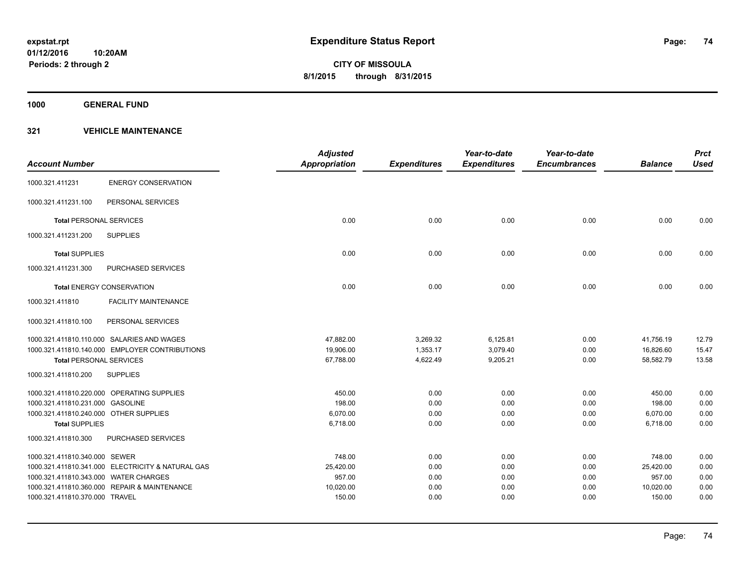**1000 GENERAL FUND**

|                                        |                                                   | <b>Adjusted</b>      |                     | Year-to-date        | Year-to-date        |                | <b>Prct</b> |
|----------------------------------------|---------------------------------------------------|----------------------|---------------------|---------------------|---------------------|----------------|-------------|
| <b>Account Number</b>                  |                                                   | <b>Appropriation</b> | <b>Expenditures</b> | <b>Expenditures</b> | <b>Encumbrances</b> | <b>Balance</b> | <b>Used</b> |
| 1000.321.411231                        | <b>ENERGY CONSERVATION</b>                        |                      |                     |                     |                     |                |             |
| 1000.321.411231.100                    | PERSONAL SERVICES                                 |                      |                     |                     |                     |                |             |
| <b>Total PERSONAL SERVICES</b>         |                                                   | 0.00                 | 0.00                | 0.00                | 0.00                | 0.00           | 0.00        |
| 1000.321.411231.200                    | <b>SUPPLIES</b>                                   |                      |                     |                     |                     |                |             |
| <b>Total SUPPLIES</b>                  |                                                   | 0.00                 | 0.00                | 0.00                | 0.00                | 0.00           | 0.00        |
| 1000.321.411231.300                    | <b>PURCHASED SERVICES</b>                         |                      |                     |                     |                     |                |             |
|                                        | <b>Total ENERGY CONSERVATION</b>                  | 0.00                 | 0.00                | 0.00                | 0.00                | 0.00           | 0.00        |
| 1000.321.411810                        | <b>FACILITY MAINTENANCE</b>                       |                      |                     |                     |                     |                |             |
| 1000.321.411810.100                    | PERSONAL SERVICES                                 |                      |                     |                     |                     |                |             |
|                                        | 1000.321.411810.110.000 SALARIES AND WAGES        | 47,882.00            | 3,269.32            | 6,125.81            | 0.00                | 41,756.19      | 12.79       |
|                                        | 1000.321.411810.140.000 EMPLOYER CONTRIBUTIONS    | 19,906.00            | 1,353.17            | 3,079.40            | 0.00                | 16,826.60      | 15.47       |
| <b>Total PERSONAL SERVICES</b>         |                                                   | 67,788.00            | 4,622.49            | 9,205.21            | 0.00                | 58,582.79      | 13.58       |
| 1000.321.411810.200                    | <b>SUPPLIES</b>                                   |                      |                     |                     |                     |                |             |
|                                        | 1000.321.411810.220.000 OPERATING SUPPLIES        | 450.00               | 0.00                | 0.00                | 0.00                | 450.00         | 0.00        |
| 1000.321.411810.231.000 GASOLINE       |                                                   | 198.00               | 0.00                | 0.00                | 0.00                | 198.00         | 0.00        |
| 1000.321.411810.240.000 OTHER SUPPLIES |                                                   | 6,070.00             | 0.00                | 0.00                | 0.00                | 6,070.00       | 0.00        |
| <b>Total SUPPLIES</b>                  |                                                   | 6,718.00             | 0.00                | 0.00                | 0.00                | 6,718.00       | 0.00        |
| 1000.321.411810.300                    | PURCHASED SERVICES                                |                      |                     |                     |                     |                |             |
| 1000.321.411810.340.000 SEWER          |                                                   | 748.00               | 0.00                | 0.00                | 0.00                | 748.00         | 0.00        |
|                                        | 1000.321.411810.341.000 ELECTRICITY & NATURAL GAS | 25,420.00            | 0.00                | 0.00                | 0.00                | 25,420.00      | 0.00        |
| 1000.321.411810.343.000 WATER CHARGES  |                                                   | 957.00               | 0.00                | 0.00                | 0.00                | 957.00         | 0.00        |
|                                        | 1000.321.411810.360.000 REPAIR & MAINTENANCE      | 10,020.00            | 0.00                | 0.00                | 0.00                | 10,020.00      | 0.00        |
| 1000.321.411810.370.000 TRAVEL         |                                                   | 150.00               | 0.00                | 0.00                | 0.00                | 150.00         | 0.00        |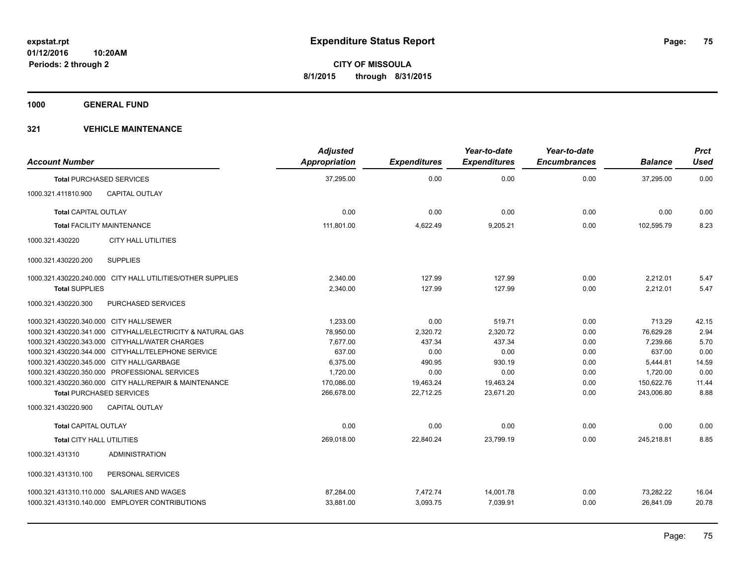**1000 GENERAL FUND**

| <b>Account Number</b>                   |                                                            | <b>Adjusted</b><br><b>Appropriation</b> | <b>Expenditures</b> | Year-to-date<br><b>Expenditures</b> | Year-to-date<br><b>Encumbrances</b> | <b>Balance</b> | <b>Prct</b><br><b>Used</b> |
|-----------------------------------------|------------------------------------------------------------|-----------------------------------------|---------------------|-------------------------------------|-------------------------------------|----------------|----------------------------|
|                                         | <b>Total PURCHASED SERVICES</b>                            | 37,295.00                               | 0.00                | 0.00                                | 0.00                                | 37,295.00      | 0.00                       |
| 1000.321.411810.900                     | <b>CAPITAL OUTLAY</b>                                      |                                         |                     |                                     |                                     |                |                            |
| <b>Total CAPITAL OUTLAY</b>             |                                                            | 0.00                                    | 0.00                | 0.00                                | 0.00                                | 0.00           | 0.00                       |
|                                         | <b>Total FACILITY MAINTENANCE</b>                          | 111,801.00                              | 4,622.49            | 9,205.21                            | 0.00                                | 102,595.79     | 8.23                       |
| 1000.321.430220                         | <b>CITY HALL UTILITIES</b>                                 |                                         |                     |                                     |                                     |                |                            |
| 1000.321.430220.200                     | <b>SUPPLIES</b>                                            |                                         |                     |                                     |                                     |                |                            |
|                                         | 1000.321.430220.240.000 CITY HALL UTILITIES/OTHER SUPPLIES | 2,340.00                                | 127.99              | 127.99                              | 0.00                                | 2,212.01       | 5.47                       |
| <b>Total SUPPLIES</b>                   |                                                            | 2,340.00                                | 127.99              | 127.99                              | 0.00                                | 2,212.01       | 5.47                       |
| 1000.321.430220.300                     | PURCHASED SERVICES                                         |                                         |                     |                                     |                                     |                |                            |
| 1000.321.430220.340.000 CITY HALL/SEWER |                                                            | 1.233.00                                | 0.00                | 519.71                              | 0.00                                | 713.29         | 42.15                      |
|                                         | 1000.321.430220.341.000 CITYHALL/ELECTRICITY & NATURAL GAS | 78,950.00                               | 2,320.72            | 2,320.72                            | 0.00                                | 76,629.28      | 2.94                       |
|                                         | 1000.321.430220.343.000 CITYHALL/WATER CHARGES             | 7,677.00                                | 437.34              | 437.34                              | 0.00                                | 7,239.66       | 5.70                       |
|                                         | 1000.321.430220.344.000 CITYHALL/TELEPHONE SERVICE         | 637.00                                  | 0.00                | 0.00                                | 0.00                                | 637.00         | 0.00                       |
|                                         | 1000.321.430220.345.000 CITY HALL/GARBAGE                  | 6,375.00                                | 490.95              | 930.19                              | 0.00                                | 5,444.81       | 14.59                      |
|                                         | 1000.321.430220.350.000 PROFESSIONAL SERVICES              | 1,720.00                                | 0.00                | 0.00                                | 0.00                                | 1,720.00       | 0.00                       |
|                                         | 1000.321.430220.360.000 CITY HALL/REPAIR & MAINTENANCE     | 170,086.00                              | 19,463.24           | 19,463.24                           | 0.00                                | 150,622.76     | 11.44                      |
|                                         | <b>Total PURCHASED SERVICES</b>                            | 266,678.00                              | 22,712.25           | 23,671.20                           | 0.00                                | 243,006.80     | 8.88                       |
| 1000.321.430220.900                     | <b>CAPITAL OUTLAY</b>                                      |                                         |                     |                                     |                                     |                |                            |
| <b>Total CAPITAL OUTLAY</b>             |                                                            | 0.00                                    | 0.00                | 0.00                                | 0.00                                | 0.00           | 0.00                       |
| Total CITY HALL UTILITIES               |                                                            | 269.018.00                              | 22,840.24           | 23.799.19                           | 0.00                                | 245,218.81     | 8.85                       |
| 1000.321.431310                         | <b>ADMINISTRATION</b>                                      |                                         |                     |                                     |                                     |                |                            |
| 1000.321.431310.100                     | PERSONAL SERVICES                                          |                                         |                     |                                     |                                     |                |                            |
|                                         | 1000.321.431310.110.000 SALARIES AND WAGES                 | 87.284.00                               | 7,472.74            | 14,001.78                           | 0.00                                | 73.282.22      | 16.04                      |
|                                         | 1000.321.431310.140.000 EMPLOYER CONTRIBUTIONS             | 33,881.00                               | 3,093.75            | 7,039.91                            | 0.00                                | 26,841.09      | 20.78                      |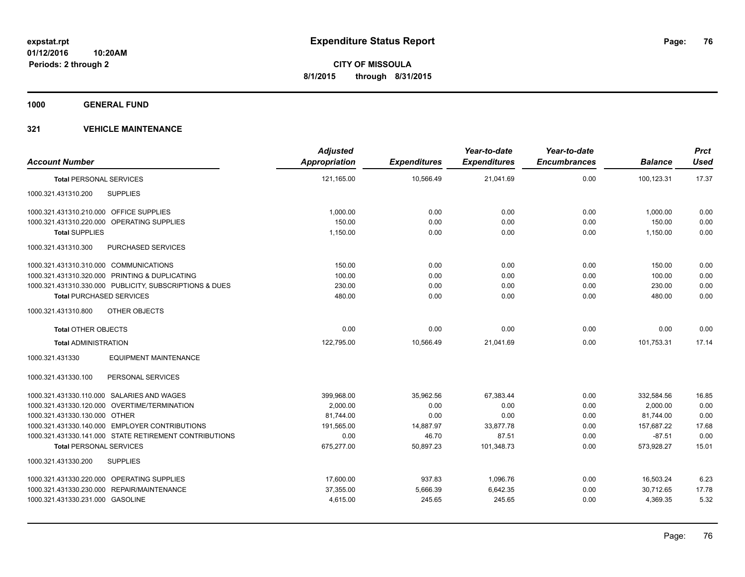**1000 GENERAL FUND**

|                                                         | <b>Adjusted</b> |                     | Year-to-date        | Year-to-date        |                | <b>Prct</b> |
|---------------------------------------------------------|-----------------|---------------------|---------------------|---------------------|----------------|-------------|
| <b>Account Number</b>                                   | Appropriation   | <b>Expenditures</b> | <b>Expenditures</b> | <b>Encumbrances</b> | <b>Balance</b> | <b>Used</b> |
| <b>Total PERSONAL SERVICES</b>                          | 121,165.00      | 10,566.49           | 21,041.69           | 0.00                | 100,123.31     | 17.37       |
| <b>SUPPLIES</b><br>1000.321.431310.200                  |                 |                     |                     |                     |                |             |
| 1000.321.431310.210.000 OFFICE SUPPLIES                 | 1.000.00        | 0.00                | 0.00                | 0.00                | 1,000.00       | 0.00        |
| 1000.321.431310.220.000 OPERATING SUPPLIES              | 150.00          | 0.00                | 0.00                | 0.00                | 150.00         | 0.00        |
| <b>Total SUPPLIES</b>                                   | 1,150.00        | 0.00                | 0.00                | 0.00                | 1,150.00       | 0.00        |
| PURCHASED SERVICES<br>1000.321.431310.300               |                 |                     |                     |                     |                |             |
| 1000.321.431310.310.000 COMMUNICATIONS                  | 150.00          | 0.00                | 0.00                | 0.00                | 150.00         | 0.00        |
| 1000.321.431310.320.000 PRINTING & DUPLICATING          | 100.00          | 0.00                | 0.00                | 0.00                | 100.00         | 0.00        |
| 1000.321.431310.330.000 PUBLICITY, SUBSCRIPTIONS & DUES | 230.00          | 0.00                | 0.00                | 0.00                | 230.00         | 0.00        |
| <b>Total PURCHASED SERVICES</b>                         | 480.00          | 0.00                | 0.00                | 0.00                | 480.00         | 0.00        |
| 1000.321.431310.800<br>OTHER OBJECTS                    |                 |                     |                     |                     |                |             |
| <b>Total OTHER OBJECTS</b>                              | 0.00            | 0.00                | 0.00                | 0.00                | 0.00           | 0.00        |
| <b>Total ADMINISTRATION</b>                             | 122,795.00      | 10,566.49           | 21,041.69           | 0.00                | 101,753.31     | 17.14       |
| <b>EQUIPMENT MAINTENANCE</b><br>1000.321.431330         |                 |                     |                     |                     |                |             |
| PERSONAL SERVICES<br>1000.321.431330.100                |                 |                     |                     |                     |                |             |
| 1000.321.431330.110.000 SALARIES AND WAGES              | 399,968.00      | 35,962.56           | 67,383.44           | 0.00                | 332,584.56     | 16.85       |
| 1000.321.431330.120.000 OVERTIME/TERMINATION            | 2.000.00        | 0.00                | 0.00                | 0.00                | 2.000.00       | 0.00        |
| 1000.321.431330.130.000 OTHER                           | 81,744.00       | 0.00                | 0.00                | 0.00                | 81,744.00      | 0.00        |
| 1000.321.431330.140.000 EMPLOYER CONTRIBUTIONS          | 191.565.00      | 14,887.97           | 33,877.78           | 0.00                | 157,687.22     | 17.68       |
| 1000.321.431330.141.000 STATE RETIREMENT CONTRIBUTIONS  | 0.00            | 46.70               | 87.51               | 0.00                | $-87.51$       | 0.00        |
| <b>Total PERSONAL SERVICES</b>                          | 675,277.00      | 50,897.23           | 101,348.73          | 0.00                | 573,928.27     | 15.01       |
| 1000.321.431330.200<br><b>SUPPLIES</b>                  |                 |                     |                     |                     |                |             |
| 1000.321.431330.220.000 OPERATING SUPPLIES              | 17,600.00       | 937.83              | 1,096.76            | 0.00                | 16,503.24      | 6.23        |
| 1000.321.431330.230.000 REPAIR/MAINTENANCE              | 37,355.00       | 5,666.39            | 6,642.35            | 0.00                | 30,712.65      | 17.78       |
| 1000.321.431330.231.000 GASOLINE                        | 4,615.00        | 245.65              | 245.65              | 0.00                | 4,369.35       | 5.32        |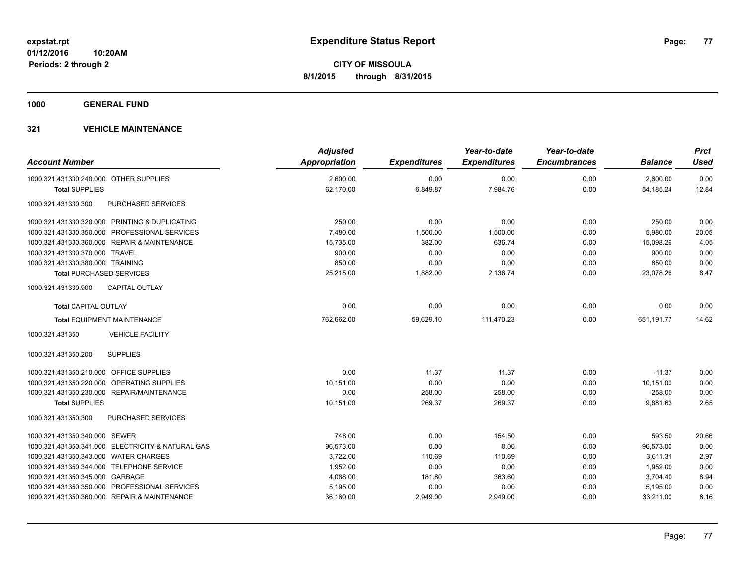**1000 GENERAL FUND**

| <b>Account Number</b>                     |                                                   | <b>Adjusted</b><br><b>Appropriation</b> | <b>Expenditures</b> | Year-to-date<br><b>Expenditures</b> | Year-to-date<br><b>Encumbrances</b> | <b>Balance</b> | <b>Prct</b><br><b>Used</b> |
|-------------------------------------------|---------------------------------------------------|-----------------------------------------|---------------------|-------------------------------------|-------------------------------------|----------------|----------------------------|
| 1000.321.431330.240.000 OTHER SUPPLIES    |                                                   | 2,600.00                                | 0.00                | 0.00                                | 0.00                                | 2,600.00       | 0.00                       |
| <b>Total SUPPLIES</b>                     |                                                   | 62,170.00                               | 6,849.87            | 7,984.76                            | 0.00                                | 54,185.24      | 12.84                      |
| 1000.321.431330.300                       | <b>PURCHASED SERVICES</b>                         |                                         |                     |                                     |                                     |                |                            |
|                                           | 1000.321.431330.320.000 PRINTING & DUPLICATING    | 250.00                                  | 0.00                | 0.00                                | 0.00                                | 250.00         | 0.00                       |
|                                           | 1000.321.431330.350.000 PROFESSIONAL SERVICES     | 7,480.00                                | 1,500.00            | 1,500.00                            | 0.00                                | 5,980.00       | 20.05                      |
|                                           | 1000.321.431330.360.000 REPAIR & MAINTENANCE      | 15,735.00                               | 382.00              | 636.74                              | 0.00                                | 15,098.26      | 4.05                       |
| 1000.321.431330.370.000 TRAVEL            |                                                   | 900.00                                  | 0.00                | 0.00                                | 0.00                                | 900.00         | 0.00                       |
| 1000.321.431330.380.000 TRAINING          |                                                   | 850.00                                  | 0.00                | 0.00                                | 0.00                                | 850.00         | 0.00                       |
| <b>Total PURCHASED SERVICES</b>           |                                                   | 25,215.00                               | 1,882.00            | 2,136.74                            | 0.00                                | 23,078.26      | 8.47                       |
| 1000.321.431330.900                       | <b>CAPITAL OUTLAY</b>                             |                                         |                     |                                     |                                     |                |                            |
| <b>Total CAPITAL OUTLAY</b>               |                                                   | 0.00                                    | 0.00                | 0.00                                | 0.00                                | 0.00           | 0.00                       |
|                                           | <b>Total EQUIPMENT MAINTENANCE</b>                | 762,662.00                              | 59,629.10           | 111,470.23                          | 0.00                                | 651, 191. 77   | 14.62                      |
| 1000.321.431350                           | <b>VEHICLE FACILITY</b>                           |                                         |                     |                                     |                                     |                |                            |
| 1000.321.431350.200                       | <b>SUPPLIES</b>                                   |                                         |                     |                                     |                                     |                |                            |
| 1000.321.431350.210.000 OFFICE SUPPLIES   |                                                   | 0.00                                    | 11.37               | 11.37                               | 0.00                                | $-11.37$       | 0.00                       |
|                                           | 1000.321.431350.220.000 OPERATING SUPPLIES        | 10,151.00                               | 0.00                | 0.00                                | 0.00                                | 10,151.00      | 0.00                       |
|                                           | 1000.321.431350.230.000 REPAIR/MAINTENANCE        | 0.00                                    | 258.00              | 258.00                              | 0.00                                | $-258.00$      | 0.00                       |
| <b>Total SUPPLIES</b>                     |                                                   | 10,151.00                               | 269.37              | 269.37                              | 0.00                                | 9,881.63       | 2.65                       |
| 1000.321.431350.300                       | <b>PURCHASED SERVICES</b>                         |                                         |                     |                                     |                                     |                |                            |
| 1000.321.431350.340.000 SEWER             |                                                   | 748.00                                  | 0.00                | 154.50                              | 0.00                                | 593.50         | 20.66                      |
|                                           | 1000.321.431350.341.000 ELECTRICITY & NATURAL GAS | 96,573.00                               | 0.00                | 0.00                                | 0.00                                | 96,573.00      | 0.00                       |
| 1000.321.431350.343.000 WATER CHARGES     |                                                   | 3,722.00                                | 110.69              | 110.69                              | 0.00                                | 3,611.31       | 2.97                       |
| 1000.321.431350.344.000 TELEPHONE SERVICE |                                                   | 1,952.00                                | 0.00                | 0.00                                | 0.00                                | 1,952.00       | 0.00                       |
| 1000.321.431350.345.000 GARBAGE           |                                                   | 4,068.00                                | 181.80              | 363.60                              | 0.00                                | 3,704.40       | 8.94                       |
|                                           | 1000.321.431350.350.000 PROFESSIONAL SERVICES     | 5,195.00                                | 0.00                | 0.00                                | 0.00                                | 5,195.00       | 0.00                       |
|                                           | 1000.321.431350.360.000 REPAIR & MAINTENANCE      | 36,160.00                               | 2,949.00            | 2,949.00                            | 0.00                                | 33,211.00      | 8.16                       |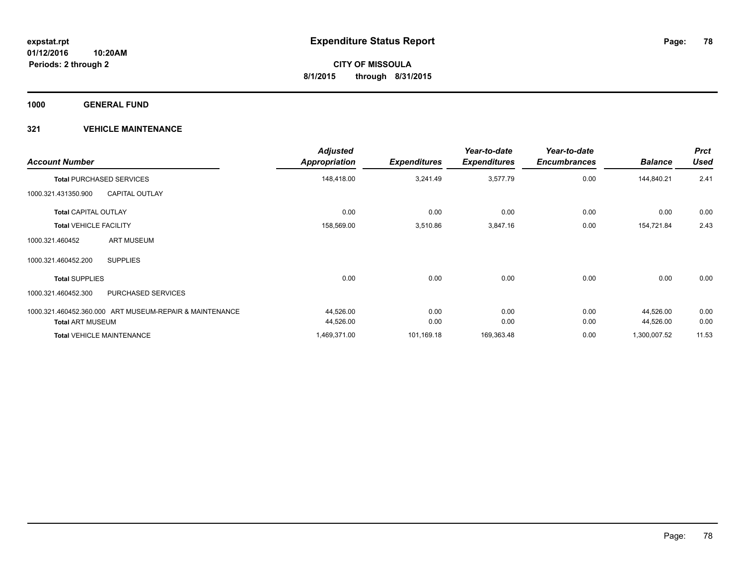**1000 GENERAL FUND**

| <b>Account Number</b>                                   | <b>Adjusted</b><br><b>Appropriation</b> | <b>Expenditures</b> | Year-to-date<br><b>Expenditures</b> | Year-to-date<br><b>Encumbrances</b> | <b>Balance</b> | <b>Prct</b><br><b>Used</b> |
|---------------------------------------------------------|-----------------------------------------|---------------------|-------------------------------------|-------------------------------------|----------------|----------------------------|
| <b>Total PURCHASED SERVICES</b>                         | 148,418.00                              | 3,241.49            | 3,577.79                            | 0.00                                | 144,840.21     | 2.41                       |
| 1000.321.431350.900<br><b>CAPITAL OUTLAY</b>            |                                         |                     |                                     |                                     |                |                            |
| <b>Total CAPITAL OUTLAY</b>                             | 0.00                                    | 0.00                | 0.00                                | 0.00                                | 0.00           | 0.00                       |
| <b>Total VEHICLE FACILITY</b>                           | 158,569.00                              | 3,510.86            | 3,847.16                            | 0.00                                | 154,721.84     | 2.43                       |
| <b>ART MUSEUM</b><br>1000.321.460452                    |                                         |                     |                                     |                                     |                |                            |
| <b>SUPPLIES</b><br>1000.321.460452.200                  |                                         |                     |                                     |                                     |                |                            |
| <b>Total SUPPLIES</b>                                   | 0.00                                    | 0.00                | 0.00                                | 0.00                                | 0.00           | 0.00                       |
| PURCHASED SERVICES<br>1000.321.460452.300               |                                         |                     |                                     |                                     |                |                            |
| 1000.321.460452.360.000 ART MUSEUM-REPAIR & MAINTENANCE | 44,526.00                               | 0.00                | 0.00                                | 0.00                                | 44,526.00      | 0.00                       |
| <b>Total ART MUSEUM</b>                                 | 44,526.00                               | 0.00                | 0.00                                | 0.00                                | 44,526.00      | 0.00                       |
| <b>Total VEHICLE MAINTENANCE</b>                        | 1,469,371.00                            | 101,169.18          | 169,363.48                          | 0.00                                | 1,300,007.52   | 11.53                      |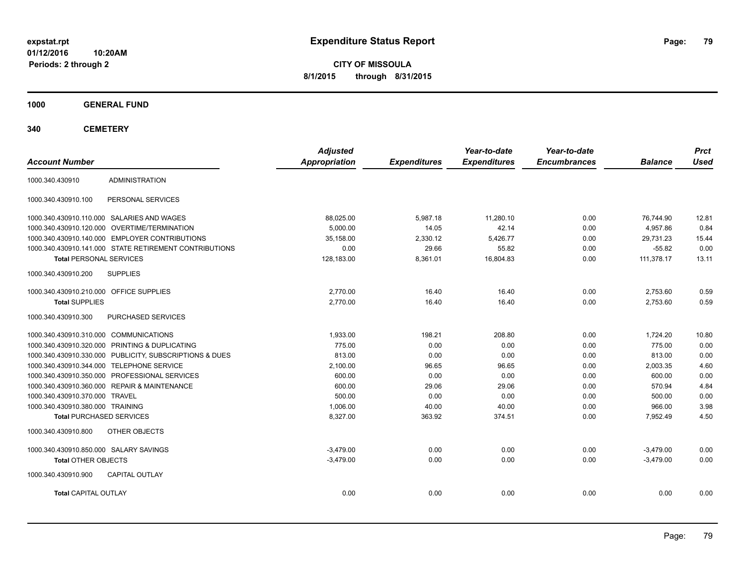**CITY OF MISSOULA 8/1/2015 through 8/31/2015**

**1000 GENERAL FUND**

| <b>Account Number</b>                   |                                                         | <b>Adjusted</b><br><b>Appropriation</b> | <b>Expenditures</b> | Year-to-date<br><b>Expenditures</b> | Year-to-date<br><b>Encumbrances</b> | <b>Balance</b> | <b>Prct</b><br><b>Used</b> |
|-----------------------------------------|---------------------------------------------------------|-----------------------------------------|---------------------|-------------------------------------|-------------------------------------|----------------|----------------------------|
| 1000.340.430910                         | <b>ADMINISTRATION</b>                                   |                                         |                     |                                     |                                     |                |                            |
| 1000.340.430910.100                     | PERSONAL SERVICES                                       |                                         |                     |                                     |                                     |                |                            |
|                                         | 1000.340.430910.110.000 SALARIES AND WAGES              | 88,025.00                               | 5,987.18            | 11,280.10                           | 0.00                                | 76,744.90      | 12.81                      |
|                                         | 1000.340.430910.120.000 OVERTIME/TERMINATION            | 5.000.00                                | 14.05               | 42.14                               | 0.00                                | 4.957.86       | 0.84                       |
|                                         | 1000.340.430910.140.000 EMPLOYER CONTRIBUTIONS          | 35,158.00                               | 2,330.12            | 5,426.77                            | 0.00                                | 29.731.23      | 15.44                      |
|                                         | 1000.340.430910.141.000 STATE RETIREMENT CONTRIBUTIONS  | 0.00                                    | 29.66               | 55.82                               | 0.00                                | $-55.82$       | 0.00                       |
| <b>Total PERSONAL SERVICES</b>          |                                                         | 128,183.00                              | 8,361.01            | 16,804.83                           | 0.00                                | 111,378.17     | 13.11                      |
| 1000.340.430910.200                     | <b>SUPPLIES</b>                                         |                                         |                     |                                     |                                     |                |                            |
| 1000.340.430910.210.000 OFFICE SUPPLIES |                                                         | 2.770.00                                | 16.40               | 16.40                               | 0.00                                | 2,753.60       | 0.59                       |
| <b>Total SUPPLIES</b>                   |                                                         | 2,770.00                                | 16.40               | 16.40                               | 0.00                                | 2,753.60       | 0.59                       |
| 1000.340.430910.300                     | PURCHASED SERVICES                                      |                                         |                     |                                     |                                     |                |                            |
| 1000.340.430910.310.000 COMMUNICATIONS  |                                                         | 1,933.00                                | 198.21              | 208.80                              | 0.00                                | 1,724.20       | 10.80                      |
|                                         | 1000.340.430910.320.000 PRINTING & DUPLICATING          | 775.00                                  | 0.00                | 0.00                                | 0.00                                | 775.00         | 0.00                       |
|                                         | 1000.340.430910.330.000 PUBLICITY, SUBSCRIPTIONS & DUES | 813.00                                  | 0.00                | 0.00                                | 0.00                                | 813.00         | 0.00                       |
|                                         | 1000.340.430910.344.000 TELEPHONE SERVICE               | 2,100.00                                | 96.65               | 96.65                               | 0.00                                | 2,003.35       | 4.60                       |
|                                         | 1000.340.430910.350.000 PROFESSIONAL SERVICES           | 600.00                                  | 0.00                | 0.00                                | 0.00                                | 600.00         | 0.00                       |
|                                         | 1000.340.430910.360.000 REPAIR & MAINTENANCE            | 600.00                                  | 29.06               | 29.06                               | 0.00                                | 570.94         | 4.84                       |
| 1000.340.430910.370.000 TRAVEL          |                                                         | 500.00                                  | 0.00                | 0.00                                | 0.00                                | 500.00         | 0.00                       |
| 1000.340.430910.380.000 TRAINING        |                                                         | 1,006.00                                | 40.00               | 40.00                               | 0.00                                | 966.00         | 3.98                       |
| <b>Total PURCHASED SERVICES</b>         |                                                         | 8,327.00                                | 363.92              | 374.51                              | 0.00                                | 7,952.49       | 4.50                       |
| 1000.340.430910.800                     | OTHER OBJECTS                                           |                                         |                     |                                     |                                     |                |                            |
| 1000.340.430910.850.000 SALARY SAVINGS  |                                                         | $-3.479.00$                             | 0.00                | 0.00                                | 0.00                                | $-3,479.00$    | 0.00                       |
| <b>Total OTHER OBJECTS</b>              |                                                         | $-3,479.00$                             | 0.00                | 0.00                                | 0.00                                | $-3,479.00$    | 0.00                       |
| 1000.340.430910.900                     | CAPITAL OUTLAY                                          |                                         |                     |                                     |                                     |                |                            |
| <b>Total CAPITAL OUTLAY</b>             |                                                         | 0.00                                    | 0.00                | 0.00                                | 0.00                                | 0.00           | 0.00                       |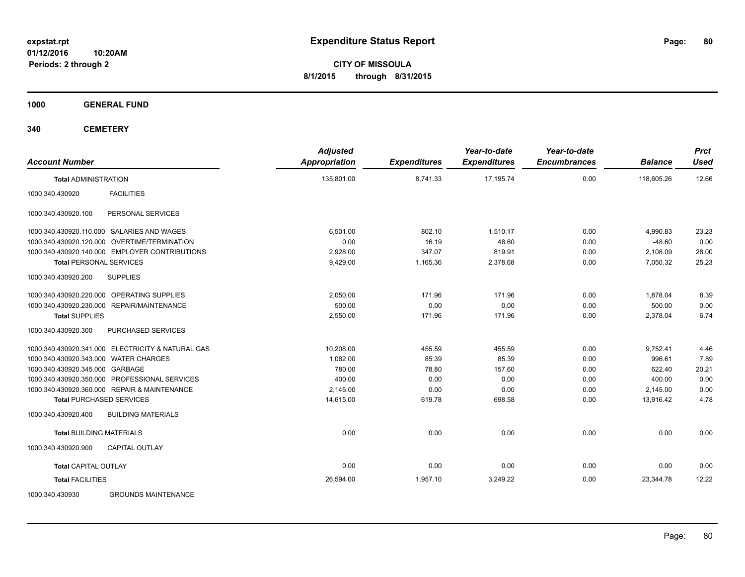**CITY OF MISSOULA 8/1/2015 through 8/31/2015**

**1000 GENERAL FUND**

| <b>Account Number</b>                             | <b>Adjusted</b><br><b>Appropriation</b> | <b>Expenditures</b> | Year-to-date<br><b>Expenditures</b> | Year-to-date<br><b>Encumbrances</b> | <b>Balance</b> | <b>Prct</b><br><b>Used</b> |
|---------------------------------------------------|-----------------------------------------|---------------------|-------------------------------------|-------------------------------------|----------------|----------------------------|
| <b>Total ADMINISTRATION</b>                       | 135,801.00                              | 8,741.33            | 17.195.74                           | 0.00                                | 118.605.26     | 12.66                      |
| <b>FACILITIES</b><br>1000.340.430920              |                                         |                     |                                     |                                     |                |                            |
| PERSONAL SERVICES<br>1000.340.430920.100          |                                         |                     |                                     |                                     |                |                            |
| 1000.340.430920.110.000 SALARIES AND WAGES        | 6.501.00                                | 802.10              | 1.510.17                            | 0.00                                | 4,990.83       | 23.23                      |
| 1000.340.430920.120.000 OVERTIME/TERMINATION      | 0.00                                    | 16.19               | 48.60                               | 0.00                                | $-48.60$       | 0.00                       |
| 1000.340.430920.140.000 EMPLOYER CONTRIBUTIONS    | 2,928.00                                | 347.07              | 819.91                              | 0.00                                | 2,108.09       | 28.00                      |
| <b>Total PERSONAL SERVICES</b>                    | 9,429.00                                | 1,165.36            | 2,378.68                            | 0.00                                | 7,050.32       | 25.23                      |
| 1000.340.430920.200<br><b>SUPPLIES</b>            |                                         |                     |                                     |                                     |                |                            |
| 1000.340.430920.220.000 OPERATING SUPPLIES        | 2,050.00                                | 171.96              | 171.96                              | 0.00                                | 1,878.04       | 8.39                       |
| 1000.340.430920.230.000 REPAIR/MAINTENANCE        | 500.00                                  | 0.00                | 0.00                                | 0.00                                | 500.00         | 0.00                       |
| <b>Total SUPPLIES</b>                             | 2,550.00                                | 171.96              | 171.96                              | 0.00                                | 2,378.04       | 6.74                       |
| 1000.340.430920.300<br>PURCHASED SERVICES         |                                         |                     |                                     |                                     |                |                            |
| 1000.340.430920.341.000 ELECTRICITY & NATURAL GAS | 10,208.00                               | 455.59              | 455.59                              | 0.00                                | 9,752.41       | 4.46                       |
| 1000.340.430920.343.000 WATER CHARGES             | 1.082.00                                | 85.39               | 85.39                               | 0.00                                | 996.61         | 7.89                       |
| 1000.340.430920.345.000 GARBAGE                   | 780.00                                  | 78.80               | 157.60                              | 0.00                                | 622.40         | 20.21                      |
| 1000.340.430920.350.000 PROFESSIONAL SERVICES     | 400.00                                  | 0.00                | 0.00                                | 0.00                                | 400.00         | 0.00                       |
| 1000.340.430920.360.000 REPAIR & MAINTENANCE      | 2,145.00                                | 0.00                | 0.00                                | 0.00                                | 2,145.00       | 0.00                       |
| <b>Total PURCHASED SERVICES</b>                   | 14,615.00                               | 619.78              | 698.58                              | 0.00                                | 13,916.42      | 4.78                       |
| <b>BUILDING MATERIALS</b><br>1000.340.430920.400  |                                         |                     |                                     |                                     |                |                            |
| <b>Total BUILDING MATERIALS</b>                   | 0.00                                    | 0.00                | 0.00                                | 0.00                                | 0.00           | 0.00                       |
| 1000.340.430920.900<br>CAPITAL OUTLAY             |                                         |                     |                                     |                                     |                |                            |
| <b>Total CAPITAL OUTLAY</b>                       | 0.00                                    | 0.00                | 0.00                                | 0.00                                | 0.00           | 0.00                       |
| <b>Total FACILITIES</b>                           | 26,594.00                               | 1,957.10            | 3.249.22                            | 0.00                                | 23.344.78      | 12.22                      |
| 1000.340.430930<br><b>GROUNDS MAINTENANCE</b>     |                                         |                     |                                     |                                     |                |                            |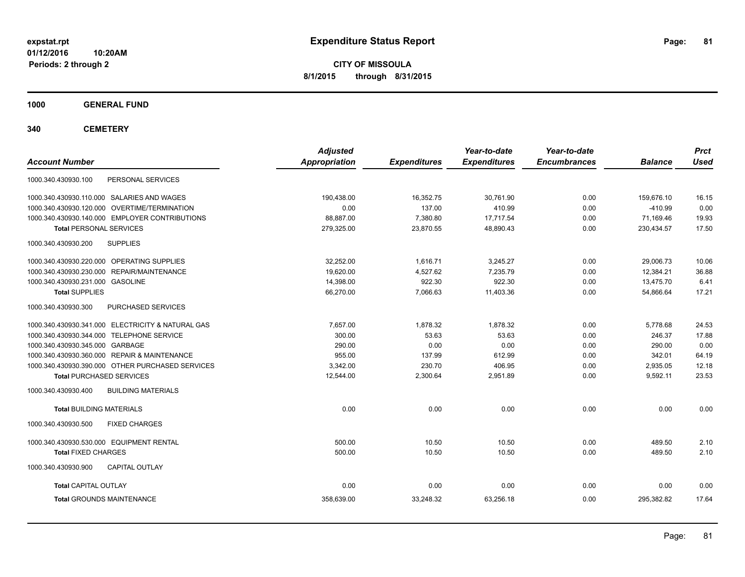**CITY OF MISSOULA 8/1/2015 through 8/31/2015**

**1000 GENERAL FUND**

| <b>Account Number</b>                             | <b>Adjusted</b><br><b>Appropriation</b> | <b>Expenditures</b> | Year-to-date<br><b>Expenditures</b> | Year-to-date<br><b>Encumbrances</b> | <b>Balance</b> | <b>Prct</b><br><b>Used</b> |
|---------------------------------------------------|-----------------------------------------|---------------------|-------------------------------------|-------------------------------------|----------------|----------------------------|
| 1000.340.430930.100<br>PERSONAL SERVICES          |                                         |                     |                                     |                                     |                |                            |
| 1000.340.430930.110.000 SALARIES AND WAGES        | 190.438.00                              | 16,352.75           | 30.761.90                           | 0.00                                | 159.676.10     | 16.15                      |
| 1000.340.430930.120.000 OVERTIME/TERMINATION      | 0.00                                    | 137.00              | 410.99                              | 0.00                                | $-410.99$      | 0.00                       |
| 1000.340.430930.140.000 EMPLOYER CONTRIBUTIONS    | 88,887.00                               | 7,380.80            | 17.717.54                           | 0.00                                | 71.169.46      | 19.93                      |
| <b>Total PERSONAL SERVICES</b>                    | 279,325.00                              | 23,870.55           | 48,890.43                           | 0.00                                | 230,434.57     | 17.50                      |
| 1000.340.430930.200<br><b>SUPPLIES</b>            |                                         |                     |                                     |                                     |                |                            |
| 1000.340.430930.220.000 OPERATING SUPPLIES        | 32.252.00                               | 1,616.71            | 3,245.27                            | 0.00                                | 29.006.73      | 10.06                      |
| 1000.340.430930.230.000 REPAIR/MAINTENANCE        | 19,620.00                               | 4,527.62            | 7,235.79                            | 0.00                                | 12,384.21      | 36.88                      |
| 1000.340.430930.231.000 GASOLINE                  | 14,398.00                               | 922.30              | 922.30                              | 0.00                                | 13.475.70      | 6.41                       |
| <b>Total SUPPLIES</b>                             | 66,270.00                               | 7,066.63            | 11,403.36                           | 0.00                                | 54,866.64      | 17.21                      |
| 1000.340.430930.300<br>PURCHASED SERVICES         |                                         |                     |                                     |                                     |                |                            |
| 1000.340.430930.341.000 ELECTRICITY & NATURAL GAS | 7.657.00                                | 1,878.32            | 1.878.32                            | 0.00                                | 5.778.68       | 24.53                      |
| 1000.340.430930.344.000 TELEPHONE SERVICE         | 300.00                                  | 53.63               | 53.63                               | 0.00                                | 246.37         | 17.88                      |
| 1000.340.430930.345.000 GARBAGE                   | 290.00                                  | 0.00                | 0.00                                | 0.00                                | 290.00         | 0.00                       |
| 1000.340.430930.360.000 REPAIR & MAINTENANCE      | 955.00                                  | 137.99              | 612.99                              | 0.00                                | 342.01         | 64.19                      |
| 1000.340.430930.390.000 OTHER PURCHASED SERVICES  | 3.342.00                                | 230.70              | 406.95                              | 0.00                                | 2.935.05       | 12.18                      |
| <b>Total PURCHASED SERVICES</b>                   | 12.544.00                               | 2,300.64            | 2,951.89                            | 0.00                                | 9,592.11       | 23.53                      |
| 1000.340.430930.400<br><b>BUILDING MATERIALS</b>  |                                         |                     |                                     |                                     |                |                            |
| <b>Total BUILDING MATERIALS</b>                   | 0.00                                    | 0.00                | 0.00                                | 0.00                                | 0.00           | 0.00                       |
| 1000.340.430930.500<br><b>FIXED CHARGES</b>       |                                         |                     |                                     |                                     |                |                            |
| 1000.340.430930.530.000 EQUIPMENT RENTAL          | 500.00                                  | 10.50               | 10.50                               | 0.00                                | 489.50         | 2.10                       |
| <b>Total FIXED CHARGES</b>                        | 500.00                                  | 10.50               | 10.50                               | 0.00                                | 489.50         | 2.10                       |
| 1000.340.430930.900<br><b>CAPITAL OUTLAY</b>      |                                         |                     |                                     |                                     |                |                            |
| <b>Total CAPITAL OUTLAY</b>                       | 0.00                                    | 0.00                | 0.00                                | 0.00                                | 0.00           | 0.00                       |
| <b>Total GROUNDS MAINTENANCE</b>                  | 358,639.00                              | 33,248.32           | 63,256.18                           | 0.00                                | 295,382.82     | 17.64                      |
|                                                   |                                         |                     |                                     |                                     |                |                            |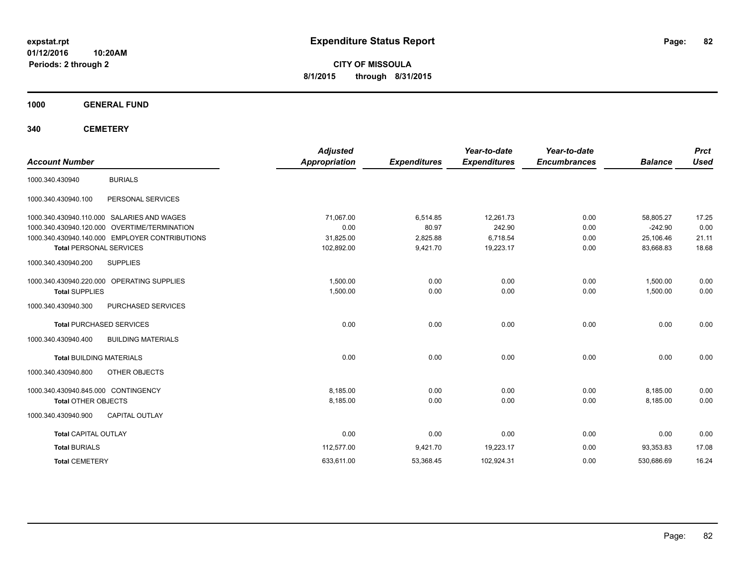**CITY OF MISSOULA 8/1/2015 through 8/31/2015**

**1000 GENERAL FUND**

| <b>Account Number</b>               |                                                | <b>Adjusted</b><br><b>Appropriation</b> | <b>Expenditures</b> | Year-to-date<br><b>Expenditures</b> | Year-to-date<br><b>Encumbrances</b> | <b>Balance</b> | <b>Prct</b><br><b>Used</b> |
|-------------------------------------|------------------------------------------------|-----------------------------------------|---------------------|-------------------------------------|-------------------------------------|----------------|----------------------------|
| 1000.340.430940                     | <b>BURIALS</b>                                 |                                         |                     |                                     |                                     |                |                            |
| 1000.340.430940.100                 | PERSONAL SERVICES                              |                                         |                     |                                     |                                     |                |                            |
|                                     | 1000.340.430940.110.000 SALARIES AND WAGES     | 71,067.00                               | 6,514.85            | 12,261.73                           | 0.00                                | 58,805.27      | 17.25                      |
|                                     | 1000.340.430940.120.000 OVERTIME/TERMINATION   | 0.00                                    | 80.97               | 242.90                              | 0.00                                | $-242.90$      | 0.00                       |
|                                     | 1000.340.430940.140.000 EMPLOYER CONTRIBUTIONS | 31,825.00                               | 2,825.88            | 6,718.54                            | 0.00                                | 25,106.46      | 21.11                      |
| <b>Total PERSONAL SERVICES</b>      |                                                | 102,892.00                              | 9,421.70            | 19,223.17                           | 0.00                                | 83,668.83      | 18.68                      |
| 1000.340.430940.200                 | <b>SUPPLIES</b>                                |                                         |                     |                                     |                                     |                |                            |
|                                     | 1000.340.430940.220.000 OPERATING SUPPLIES     | 1,500.00                                | 0.00                | 0.00                                | 0.00                                | 1,500.00       | 0.00                       |
| <b>Total SUPPLIES</b>               |                                                | 1,500.00                                | 0.00                | 0.00                                | 0.00                                | 1,500.00       | 0.00                       |
| 1000.340.430940.300                 | PURCHASED SERVICES                             |                                         |                     |                                     |                                     |                |                            |
|                                     | <b>Total PURCHASED SERVICES</b>                | 0.00                                    | 0.00                | 0.00                                | 0.00                                | 0.00           | 0.00                       |
| 1000.340.430940.400                 | <b>BUILDING MATERIALS</b>                      |                                         |                     |                                     |                                     |                |                            |
| <b>Total BUILDING MATERIALS</b>     |                                                | 0.00                                    | 0.00                | 0.00                                | 0.00                                | 0.00           | 0.00                       |
| 1000.340.430940.800                 | OTHER OBJECTS                                  |                                         |                     |                                     |                                     |                |                            |
| 1000.340.430940.845.000 CONTINGENCY |                                                | 8,185.00                                | 0.00                | 0.00                                | 0.00                                | 8,185.00       | 0.00                       |
| <b>Total OTHER OBJECTS</b>          |                                                | 8,185.00                                | 0.00                | 0.00                                | 0.00                                | 8,185.00       | 0.00                       |
| 1000.340.430940.900                 | <b>CAPITAL OUTLAY</b>                          |                                         |                     |                                     |                                     |                |                            |
| <b>Total CAPITAL OUTLAY</b>         |                                                | 0.00                                    | 0.00                | 0.00                                | 0.00                                | 0.00           | 0.00                       |
| <b>Total BURIALS</b>                |                                                | 112,577.00                              | 9,421.70            | 19,223.17                           | 0.00                                | 93.353.83      | 17.08                      |
| <b>Total CEMETERY</b>               |                                                | 633,611.00                              | 53,368.45           | 102,924.31                          | 0.00                                | 530,686.69     | 16.24                      |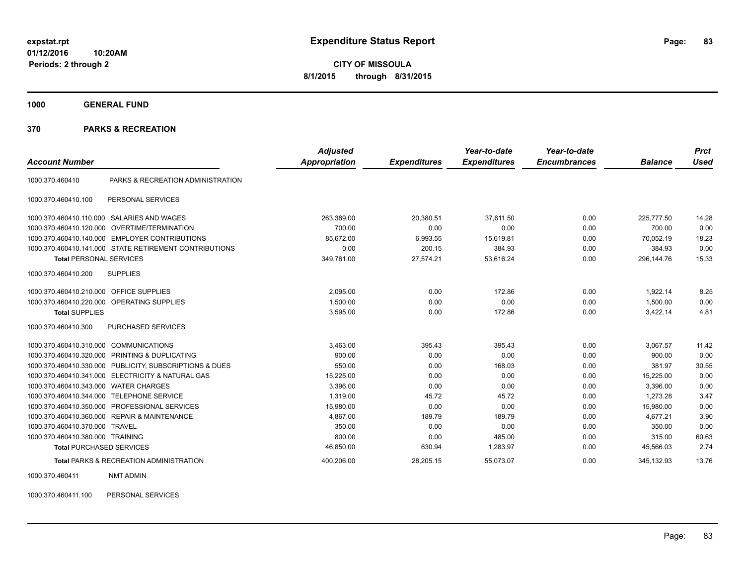**CITY OF MISSOULA 8/1/2015 through 8/31/2015**

**1000 GENERAL FUND**

#### **370 PARKS & RECREATION**

| <b>Account Number</b>            |                                                        | <b>Adjusted</b><br>Appropriation | <b>Expenditures</b> | Year-to-date<br><b>Expenditures</b> | Year-to-date<br><b>Encumbrances</b> | <b>Balance</b> | <b>Prct</b><br><b>Used</b> |
|----------------------------------|--------------------------------------------------------|----------------------------------|---------------------|-------------------------------------|-------------------------------------|----------------|----------------------------|
| 1000.370.460410                  | PARKS & RECREATION ADMINISTRATION                      |                                  |                     |                                     |                                     |                |                            |
|                                  |                                                        |                                  |                     |                                     |                                     |                |                            |
| 1000.370.460410.100              | PERSONAL SERVICES                                      |                                  |                     |                                     |                                     |                |                            |
| 1000.370.460410.110.000          | SALARIES AND WAGES                                     | 263,389.00                       | 20,380.51           | 37,611.50                           | 0.00                                | 225.777.50     | 14.28                      |
| 1000.370.460410.120.000          | <b>OVERTIME/TERMINATION</b>                            | 700.00                           | 0.00                | 0.00                                | 0.00                                | 700.00         | 0.00                       |
| 1000.370.460410.140.000          | <b>EMPLOYER CONTRIBUTIONS</b>                          | 85,672.00                        | 6,993.55            | 15,619.81                           | 0.00                                | 70,052.19      | 18.23                      |
|                                  | 1000.370.460410.141.000 STATE RETIREMENT CONTRIBUTIONS | 0.00                             | 200.15              | 384.93                              | 0.00                                | $-384.93$      | 0.00                       |
| <b>Total PERSONAL SERVICES</b>   |                                                        | 349,761.00                       | 27,574.21           | 53,616.24                           | 0.00                                | 296,144.76     | 15.33                      |
| 1000.370.460410.200              | <b>SUPPLIES</b>                                        |                                  |                     |                                     |                                     |                |                            |
| 1000.370.460410.210.000          | <b>OFFICE SUPPLIES</b>                                 | 2,095.00                         | 0.00                | 172.86                              | 0.00                                | 1,922.14       | 8.25                       |
| 1000.370.460410.220.000          | <b>OPERATING SUPPLIES</b>                              | 1,500.00                         | 0.00                | 0.00                                | 0.00                                | 1,500.00       | 0.00                       |
| <b>Total SUPPLIES</b>            |                                                        | 3,595.00                         | 0.00                | 172.86                              | 0.00                                | 3,422.14       | 4.81                       |
| 1000.370.460410.300              | PURCHASED SERVICES                                     |                                  |                     |                                     |                                     |                |                            |
| 1000.370.460410.310.000          | <b>COMMUNICATIONS</b>                                  | 3,463.00                         | 395.43              | 395.43                              | 0.00                                | 3,067.57       | 11.42                      |
| 1000.370.460410.320.000          | PRINTING & DUPLICATING                                 | 900.00                           | 0.00                | 0.00                                | 0.00                                | 900.00         | 0.00                       |
| 1000.370.460410.330.000          | PUBLICITY, SUBSCRIPTIONS & DUES                        | 550.00                           | 0.00                | 168.03                              | 0.00                                | 381.97         | 30.55                      |
|                                  | 1000.370.460410.341.000 ELECTRICITY & NATURAL GAS      | 15,225.00                        | 0.00                | 0.00                                | 0.00                                | 15,225.00      | 0.00                       |
| 1000.370.460410.343.000          | <b>WATER CHARGES</b>                                   | 3.396.00                         | 0.00                | 0.00                                | 0.00                                | 3.396.00       | 0.00                       |
| 1000.370.460410.344.000          | <b>TELEPHONE SERVICE</b>                               | 1,319.00                         | 45.72               | 45.72                               | 0.00                                | 1,273.28       | 3.47                       |
| 1000.370.460410.350.000          | PROFESSIONAL SERVICES                                  | 15,980.00                        | 0.00                | 0.00                                | 0.00                                | 15,980.00      | 0.00                       |
| 1000.370.460410.360.000          | <b>REPAIR &amp; MAINTENANCE</b>                        | 4,867.00                         | 189.79              | 189.79                              | 0.00                                | 4,677.21       | 3.90                       |
| 1000.370.460410.370.000          | <b>TRAVEL</b>                                          | 350.00                           | 0.00                | 0.00                                | 0.00                                | 350.00         | 0.00                       |
| 1000.370.460410.380.000 TRAINING |                                                        | 800.00                           | 0.00                | 485.00                              | 0.00                                | 315.00         | 60.63                      |
| <b>Total PURCHASED SERVICES</b>  |                                                        | 46,850.00                        | 630.94              | 1,283.97                            | 0.00                                | 45,566.03      | 2.74                       |
|                                  | <b>Total PARKS &amp; RECREATION ADMINISTRATION</b>     | 400.206.00                       | 28,205.15           | 55.073.07                           | 0.00                                | 345.132.93     | 13.76                      |

1000.370.460411 NMT ADMIN

1000.370.460411.100 PERSONAL SERVICES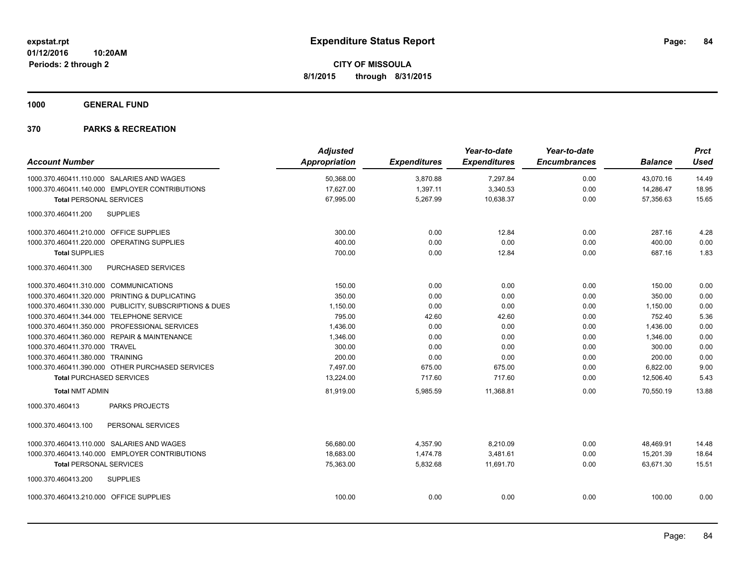**1000 GENERAL FUND**

|                                           |                                                         | <b>Adjusted</b>      |                     | Year-to-date        | Year-to-date        |                | <b>Prct</b> |
|-------------------------------------------|---------------------------------------------------------|----------------------|---------------------|---------------------|---------------------|----------------|-------------|
| <b>Account Number</b>                     |                                                         | <b>Appropriation</b> | <b>Expenditures</b> | <b>Expenditures</b> | <b>Encumbrances</b> | <b>Balance</b> | <b>Used</b> |
|                                           | 1000.370.460411.110.000 SALARIES AND WAGES              | 50,368.00            | 3,870.88            | 7,297.84            | 0.00                | 43,070.16      | 14.49       |
|                                           | 1000.370.460411.140.000 EMPLOYER CONTRIBUTIONS          | 17,627.00            | 1,397.11            | 3,340.53            | 0.00                | 14,286.47      | 18.95       |
| <b>Total PERSONAL SERVICES</b>            |                                                         | 67,995.00            | 5,267.99            | 10,638.37           | 0.00                | 57,356.63      | 15.65       |
| 1000.370.460411.200                       | <b>SUPPLIES</b>                                         |                      |                     |                     |                     |                |             |
| 1000.370.460411.210.000 OFFICE SUPPLIES   |                                                         | 300.00               | 0.00                | 12.84               | 0.00                | 287.16         | 4.28        |
|                                           | 1000.370.460411.220.000 OPERATING SUPPLIES              | 400.00               | 0.00                | 0.00                | 0.00                | 400.00         | 0.00        |
| <b>Total SUPPLIES</b>                     |                                                         | 700.00               | 0.00                | 12.84               | 0.00                | 687.16         | 1.83        |
| 1000.370.460411.300                       | PURCHASED SERVICES                                      |                      |                     |                     |                     |                |             |
| 1000.370.460411.310.000 COMMUNICATIONS    |                                                         | 150.00               | 0.00                | 0.00                | 0.00                | 150.00         | 0.00        |
|                                           | 1000.370.460411.320.000 PRINTING & DUPLICATING          | 350.00               | 0.00                | 0.00                | 0.00                | 350.00         | 0.00        |
|                                           | 1000.370.460411.330.000 PUBLICITY, SUBSCRIPTIONS & DUES | 1,150.00             | 0.00                | 0.00                | 0.00                | 1,150.00       | 0.00        |
| 1000.370.460411.344.000 TELEPHONE SERVICE |                                                         | 795.00               | 42.60               | 42.60               | 0.00                | 752.40         | 5.36        |
|                                           | 1000.370.460411.350.000 PROFESSIONAL SERVICES           | 1,436.00             | 0.00                | 0.00                | 0.00                | 1,436.00       | 0.00        |
|                                           | 1000.370.460411.360.000 REPAIR & MAINTENANCE            | 1,346.00             | 0.00                | 0.00                | 0.00                | 1,346.00       | 0.00        |
| 1000.370.460411.370.000 TRAVEL            |                                                         | 300.00               | 0.00                | 0.00                | 0.00                | 300.00         | 0.00        |
| 1000.370.460411.380.000 TRAINING          |                                                         | 200.00               | 0.00                | 0.00                | 0.00                | 200.00         | 0.00        |
|                                           | 1000.370.460411.390.000 OTHER PURCHASED SERVICES        | 7,497.00             | 675.00              | 675.00              | 0.00                | 6,822.00       | 9.00        |
| <b>Total PURCHASED SERVICES</b>           |                                                         | 13,224.00            | 717.60              | 717.60              | 0.00                | 12,506.40      | 5.43        |
| <b>Total NMT ADMIN</b>                    |                                                         | 81,919.00            | 5,985.59            | 11,368.81           | 0.00                | 70,550.19      | 13.88       |
| 1000.370.460413                           | <b>PARKS PROJECTS</b>                                   |                      |                     |                     |                     |                |             |
| 1000.370.460413.100                       | PERSONAL SERVICES                                       |                      |                     |                     |                     |                |             |
|                                           | 1000.370.460413.110.000 SALARIES AND WAGES              | 56,680.00            | 4,357.90            | 8,210.09            | 0.00                | 48,469.91      | 14.48       |
|                                           | 1000.370.460413.140.000 EMPLOYER CONTRIBUTIONS          | 18,683.00            | 1,474.78            | 3,481.61            | 0.00                | 15.201.39      | 18.64       |
| <b>Total PERSONAL SERVICES</b>            |                                                         | 75,363.00            | 5,832.68            | 11,691.70           | 0.00                | 63,671.30      | 15.51       |
| 1000.370.460413.200                       | <b>SUPPLIES</b>                                         |                      |                     |                     |                     |                |             |
| 1000.370.460413.210.000 OFFICE SUPPLIES   |                                                         | 100.00               | 0.00                | 0.00                | 0.00                | 100.00         | 0.00        |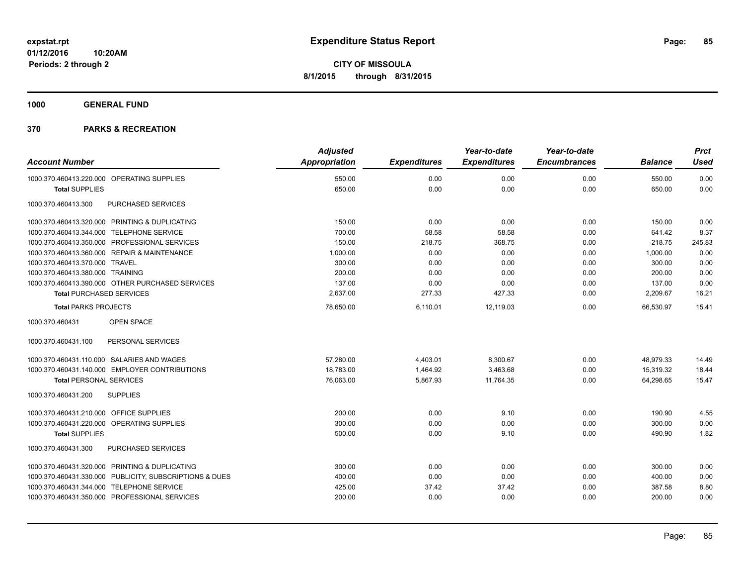**1000 GENERAL FUND**

|                                                         | <b>Adjusted</b>      |                     | Year-to-date        | Year-to-date        |                | <b>Prct</b> |
|---------------------------------------------------------|----------------------|---------------------|---------------------|---------------------|----------------|-------------|
| <b>Account Number</b>                                   | <b>Appropriation</b> | <b>Expenditures</b> | <b>Expenditures</b> | <b>Encumbrances</b> | <b>Balance</b> | <b>Used</b> |
| 1000.370.460413.220.000 OPERATING SUPPLIES              | 550.00               | 0.00                | 0.00                | 0.00                | 550.00         | 0.00        |
| <b>Total SUPPLIES</b>                                   | 650.00               | 0.00                | 0.00                | 0.00                | 650.00         | 0.00        |
| PURCHASED SERVICES<br>1000.370.460413.300               |                      |                     |                     |                     |                |             |
| 1000.370.460413.320.000 PRINTING & DUPLICATING          | 150.00               | 0.00                | 0.00                | 0.00                | 150.00         | 0.00        |
| 1000.370.460413.344.000 TELEPHONE SERVICE               | 700.00               | 58.58               | 58.58               | 0.00                | 641.42         | 8.37        |
| 1000.370.460413.350.000 PROFESSIONAL SERVICES           | 150.00               | 218.75              | 368.75              | 0.00                | $-218.75$      | 245.83      |
| 1000.370.460413.360.000 REPAIR & MAINTENANCE            | 1,000.00             | 0.00                | 0.00                | 0.00                | 1,000.00       | 0.00        |
| 1000.370.460413.370.000 TRAVEL                          | 300.00               | 0.00                | 0.00                | 0.00                | 300.00         | 0.00        |
| 1000.370.460413.380.000 TRAINING                        | 200.00               | 0.00                | 0.00                | 0.00                | 200.00         | 0.00        |
| 1000.370.460413.390.000 OTHER PURCHASED SERVICES        | 137.00               | 0.00                | 0.00                | 0.00                | 137.00         | 0.00        |
| <b>Total PURCHASED SERVICES</b>                         | 2,637.00             | 277.33              | 427.33              | 0.00                | 2,209.67       | 16.21       |
| <b>Total PARKS PROJECTS</b>                             | 78,650.00            | 6,110.01            | 12,119.03           | 0.00                | 66,530.97      | 15.41       |
| OPEN SPACE<br>1000.370.460431                           |                      |                     |                     |                     |                |             |
| 1000.370.460431.100<br>PERSONAL SERVICES                |                      |                     |                     |                     |                |             |
| 1000.370.460431.110.000 SALARIES AND WAGES              | 57,280.00            | 4,403.01            | 8,300.67            | 0.00                | 48,979.33      | 14.49       |
| 1000.370.460431.140.000 EMPLOYER CONTRIBUTIONS          | 18,783.00            | 1,464.92            | 3,463.68            | 0.00                | 15,319.32      | 18.44       |
| <b>Total PERSONAL SERVICES</b>                          | 76,063.00            | 5,867.93            | 11,764.35           | 0.00                | 64,298.65      | 15.47       |
| <b>SUPPLIES</b><br>1000.370.460431.200                  |                      |                     |                     |                     |                |             |
| 1000.370.460431.210.000 OFFICE SUPPLIES                 | 200.00               | 0.00                | 9.10                | 0.00                | 190.90         | 4.55        |
| 1000.370.460431.220.000 OPERATING SUPPLIES              | 300.00               | 0.00                | 0.00                | 0.00                | 300.00         | 0.00        |
| <b>Total SUPPLIES</b>                                   | 500.00               | 0.00                | 9.10                | 0.00                | 490.90         | 1.82        |
| PURCHASED SERVICES<br>1000.370.460431.300               |                      |                     |                     |                     |                |             |
| 1000.370.460431.320.000 PRINTING & DUPLICATING          | 300.00               | 0.00                | 0.00                | 0.00                | 300.00         | 0.00        |
| 1000.370.460431.330.000 PUBLICITY, SUBSCRIPTIONS & DUES | 400.00               | 0.00                | 0.00                | 0.00                | 400.00         | 0.00        |
| 1000.370.460431.344.000 TELEPHONE SERVICE               | 425.00               | 37.42               | 37.42               | 0.00                | 387.58         | 8.80        |
| 1000.370.460431.350.000 PROFESSIONAL SERVICES           | 200.00               | 0.00                | 0.00                | 0.00                | 200.00         | 0.00        |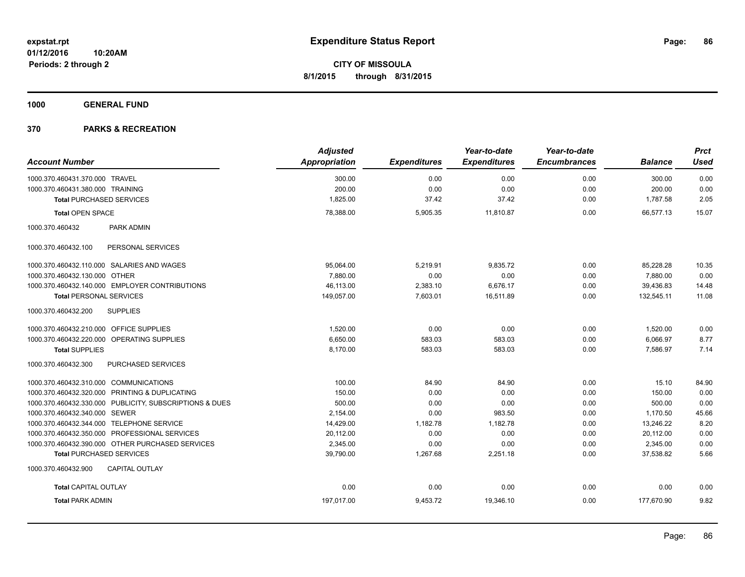**1000 GENERAL FUND**

|                                                |                                                         | <b>Adjusted</b>      |                     | Year-to-date        | Year-to-date        |                | <b>Prct</b> |
|------------------------------------------------|---------------------------------------------------------|----------------------|---------------------|---------------------|---------------------|----------------|-------------|
| <b>Account Number</b>                          |                                                         | <b>Appropriation</b> | <b>Expenditures</b> | <b>Expenditures</b> | <b>Encumbrances</b> | <b>Balance</b> | <b>Used</b> |
| 1000.370.460431.370.000 TRAVEL                 |                                                         | 300.00               | 0.00                | 0.00                | 0.00                | 300.00         | 0.00        |
| 1000.370.460431.380.000 TRAINING               |                                                         | 200.00               | 0.00                | 0.00                | 0.00                | 200.00         | 0.00        |
| <b>Total PURCHASED SERVICES</b>                |                                                         | 1,825.00             | 37.42               | 37.42               | 0.00                | 1,787.58       | 2.05        |
| <b>Total OPEN SPACE</b>                        |                                                         | 78,388.00            | 5,905.35            | 11,810.87           | 0.00                | 66,577.13      | 15.07       |
| 1000.370.460432                                | <b>PARK ADMIN</b>                                       |                      |                     |                     |                     |                |             |
| 1000.370.460432.100                            | PERSONAL SERVICES                                       |                      |                     |                     |                     |                |             |
| 1000.370.460432.110.000 SALARIES AND WAGES     |                                                         | 95,064.00            | 5,219.91            | 9,835.72            | 0.00                | 85,228.28      | 10.35       |
| 1000.370.460432.130.000 OTHER                  |                                                         | 7.880.00             | 0.00                | 0.00                | 0.00                | 7,880.00       | 0.00        |
| 1000.370.460432.140.000 EMPLOYER CONTRIBUTIONS |                                                         | 46.113.00            | 2,383.10            | 6.676.17            | 0.00                | 39.436.83      | 14.48       |
| <b>Total PERSONAL SERVICES</b>                 |                                                         | 149,057.00           | 7,603.01            | 16,511.89           | 0.00                | 132,545.11     | 11.08       |
| 1000.370.460432.200                            | <b>SUPPLIES</b>                                         |                      |                     |                     |                     |                |             |
| 1000.370.460432.210.000 OFFICE SUPPLIES        |                                                         | 1,520.00             | 0.00                | 0.00                | 0.00                | 1,520.00       | 0.00        |
| 1000.370.460432.220.000 OPERATING SUPPLIES     |                                                         | 6.650.00             | 583.03              | 583.03              | 0.00                | 6,066.97       | 8.77        |
| <b>Total SUPPLIES</b>                          |                                                         | 8,170.00             | 583.03              | 583.03              | 0.00                | 7.586.97       | 7.14        |
| 1000.370.460432.300                            | PURCHASED SERVICES                                      |                      |                     |                     |                     |                |             |
| 1000.370.460432.310.000 COMMUNICATIONS         |                                                         | 100.00               | 84.90               | 84.90               | 0.00                | 15.10          | 84.90       |
| 1000.370.460432.320.000 PRINTING & DUPLICATING |                                                         | 150.00               | 0.00                | 0.00                | 0.00                | 150.00         | 0.00        |
|                                                | 1000.370.460432.330.000 PUBLICITY, SUBSCRIPTIONS & DUES | 500.00               | 0.00                | 0.00                | 0.00                | 500.00         | 0.00        |
| 1000.370.460432.340.000 SEWER                  |                                                         | 2,154.00             | 0.00                | 983.50              | 0.00                | 1,170.50       | 45.66       |
| 1000.370.460432.344.000 TELEPHONE SERVICE      |                                                         | 14,429.00            | 1,182.78            | 1,182.78            | 0.00                | 13,246.22      | 8.20        |
| 1000.370.460432.350.000 PROFESSIONAL SERVICES  |                                                         | 20,112.00            | 0.00                | 0.00                | 0.00                | 20,112.00      | 0.00        |
|                                                | 1000.370.460432.390.000 OTHER PURCHASED SERVICES        | 2,345.00             | 0.00                | 0.00                | 0.00                | 2,345.00       | 0.00        |
| <b>Total PURCHASED SERVICES</b>                |                                                         | 39,790.00            | 1,267.68            | 2,251.18            | 0.00                | 37,538.82      | 5.66        |
| 1000.370.460432.900                            | <b>CAPITAL OUTLAY</b>                                   |                      |                     |                     |                     |                |             |
| <b>Total CAPITAL OUTLAY</b>                    |                                                         | 0.00                 | 0.00                | 0.00                | 0.00                | 0.00           | 0.00        |
| <b>Total PARK ADMIN</b>                        |                                                         | 197,017.00           | 9,453.72            | 19,346.10           | 0.00                | 177,670.90     | 9.82        |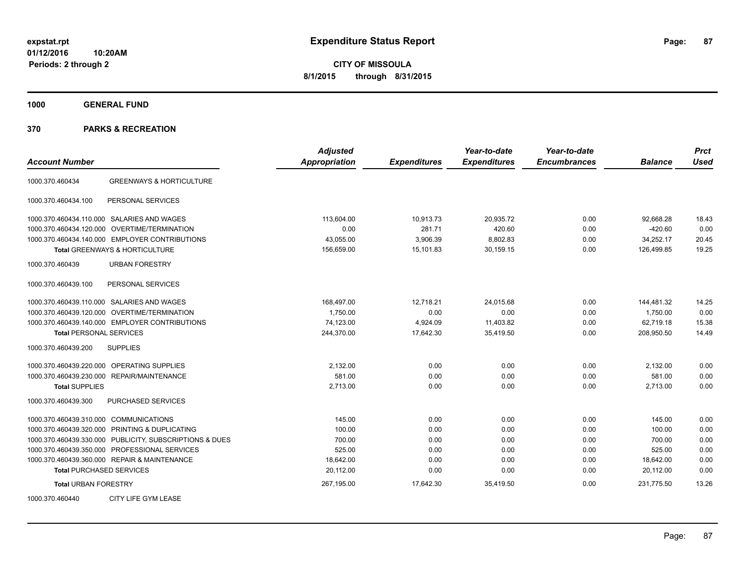**CITY OF MISSOULA 8/1/2015 through 8/31/2015**

**1000 GENERAL FUND**

| <b>Account Number</b>                                   | <b>Adjusted</b><br>Appropriation | <b>Expenditures</b> | Year-to-date<br><b>Expenditures</b> | Year-to-date<br><b>Encumbrances</b> | <b>Balance</b> | <b>Prct</b><br><b>Used</b> |
|---------------------------------------------------------|----------------------------------|---------------------|-------------------------------------|-------------------------------------|----------------|----------------------------|
| <b>GREENWAYS &amp; HORTICULTURE</b><br>1000.370.460434  |                                  |                     |                                     |                                     |                |                            |
| PERSONAL SERVICES<br>1000.370.460434.100                |                                  |                     |                                     |                                     |                |                            |
| 1000.370.460434.110.000 SALARIES AND WAGES              | 113,604.00                       | 10,913.73           | 20,935.72                           | 0.00                                | 92,668.28      | 18.43                      |
| 1000.370.460434.120.000 OVERTIME/TERMINATION            | 0.00                             | 281.71              | 420.60                              | 0.00                                | $-420.60$      | 0.00                       |
| 1000.370.460434.140.000 EMPLOYER CONTRIBUTIONS          | 43,055.00                        | 3,906.39            | 8,802.83                            | 0.00                                | 34,252.17      | 20.45                      |
| <b>Total GREENWAYS &amp; HORTICULTURE</b>               | 156,659.00                       | 15,101.83           | 30,159.15                           | 0.00                                | 126,499.85     | 19.25                      |
| <b>URBAN FORESTRY</b><br>1000.370.460439                |                                  |                     |                                     |                                     |                |                            |
| PERSONAL SERVICES<br>1000.370.460439.100                |                                  |                     |                                     |                                     |                |                            |
| 1000.370.460439.110.000 SALARIES AND WAGES              | 168,497.00                       | 12,718.21           | 24,015.68                           | 0.00                                | 144,481.32     | 14.25                      |
| 1000.370.460439.120.000 OVERTIME/TERMINATION            | 1,750.00                         | 0.00                | 0.00                                | 0.00                                | 1,750.00       | 0.00                       |
| 1000.370.460439.140.000 EMPLOYER CONTRIBUTIONS          | 74,123.00                        | 4,924.09            | 11,403.82                           | 0.00                                | 62,719.18      | 15.38                      |
| <b>Total PERSONAL SERVICES</b>                          | 244,370.00                       | 17,642.30           | 35,419.50                           | 0.00                                | 208,950.50     | 14.49                      |
| 1000.370.460439.200<br><b>SUPPLIES</b>                  |                                  |                     |                                     |                                     |                |                            |
| <b>OPERATING SUPPLIES</b><br>1000.370.460439.220.000    | 2,132.00                         | 0.00                | 0.00                                | 0.00                                | 2,132.00       | 0.00                       |
| 1000.370.460439.230.000 REPAIR/MAINTENANCE              | 581.00                           | 0.00                | 0.00                                | 0.00                                | 581.00         | 0.00                       |
| <b>Total SUPPLIES</b>                                   | 2,713.00                         | 0.00                | 0.00                                | 0.00                                | 2,713.00       | 0.00                       |
| 1000.370.460439.300<br>PURCHASED SERVICES               |                                  |                     |                                     |                                     |                |                            |
| 1000.370.460439.310.000 COMMUNICATIONS                  | 145.00                           | 0.00                | 0.00                                | 0.00                                | 145.00         | 0.00                       |
| 1000.370.460439.320.000 PRINTING & DUPLICATING          | 100.00                           | 0.00                | 0.00                                | 0.00                                | 100.00         | 0.00                       |
| 1000.370.460439.330.000 PUBLICITY, SUBSCRIPTIONS & DUES | 700.00                           | 0.00                | 0.00                                | 0.00                                | 700.00         | 0.00                       |
| 1000.370.460439.350.000 PROFESSIONAL SERVICES           | 525.00                           | 0.00                | 0.00                                | 0.00                                | 525.00         | 0.00                       |
| 1000.370.460439.360.000 REPAIR & MAINTENANCE            | 18,642.00                        | 0.00                | 0.00                                | 0.00                                | 18,642.00      | 0.00                       |
| <b>Total PURCHASED SERVICES</b>                         | 20,112.00                        | 0.00                | 0.00                                | 0.00                                | 20,112.00      | 0.00                       |
| <b>Total URBAN FORESTRY</b>                             | 267,195.00                       | 17,642.30           | 35,419.50                           | 0.00                                | 231,775.50     | 13.26                      |
| 1000.370.460440<br>CITY LIFE GYM LEASE                  |                                  |                     |                                     |                                     |                |                            |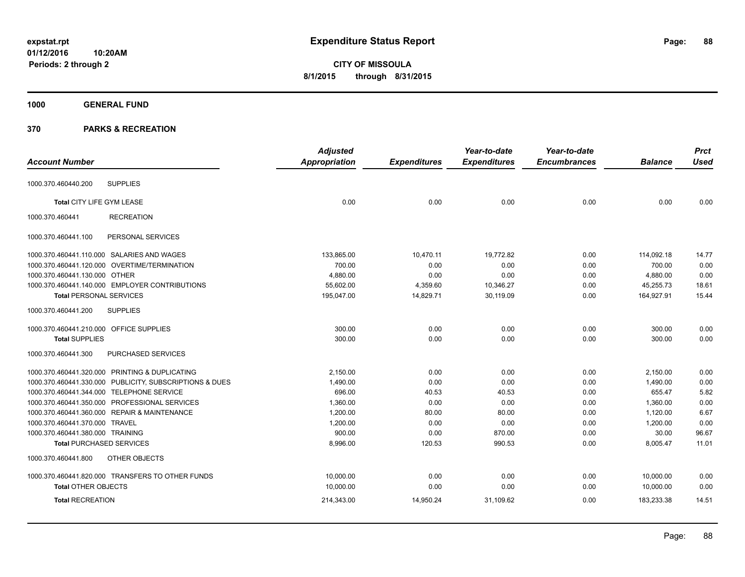**CITY OF MISSOULA 8/1/2015 through 8/31/2015**

## **1000 GENERAL FUND**

|                                         |                                                         | Adjusted             |                     | Year-to-date        | Year-to-date        |                | <b>Prct</b> |
|-----------------------------------------|---------------------------------------------------------|----------------------|---------------------|---------------------|---------------------|----------------|-------------|
| <b>Account Number</b>                   |                                                         | <b>Appropriation</b> | <b>Expenditures</b> | <b>Expenditures</b> | <b>Encumbrances</b> | <b>Balance</b> | <b>Used</b> |
| 1000.370.460440.200                     | <b>SUPPLIES</b>                                         |                      |                     |                     |                     |                |             |
| Total CITY LIFE GYM LEASE               |                                                         | 0.00                 | 0.00                | 0.00                | 0.00                | 0.00           | 0.00        |
| 1000.370.460441                         | <b>RECREATION</b>                                       |                      |                     |                     |                     |                |             |
| 1000.370.460441.100                     | PERSONAL SERVICES                                       |                      |                     |                     |                     |                |             |
|                                         | 1000.370.460441.110.000 SALARIES AND WAGES              | 133,865.00           | 10,470.11           | 19,772.82           | 0.00                | 114,092.18     | 14.77       |
|                                         | 1000.370.460441.120.000 OVERTIME/TERMINATION            | 700.00               | 0.00                | 0.00                | 0.00                | 700.00         | 0.00        |
| 1000.370.460441.130.000 OTHER           |                                                         | 4,880.00             | 0.00                | 0.00                | 0.00                | 4,880.00       | 0.00        |
|                                         | 1000.370.460441.140.000 EMPLOYER CONTRIBUTIONS          | 55,602.00            | 4,359.60            | 10,346.27           | 0.00                | 45,255.73      | 18.61       |
| <b>Total PERSONAL SERVICES</b>          |                                                         | 195,047.00           | 14,829.71           | 30.119.09           | 0.00                | 164,927.91     | 15.44       |
| 1000.370.460441.200                     | <b>SUPPLIES</b>                                         |                      |                     |                     |                     |                |             |
| 1000.370.460441.210.000 OFFICE SUPPLIES |                                                         | 300.00               | 0.00                | 0.00                | 0.00                | 300.00         | 0.00        |
| <b>Total SUPPLIES</b>                   |                                                         | 300.00               | 0.00                | 0.00                | 0.00                | 300.00         | 0.00        |
| 1000.370.460441.300                     | PURCHASED SERVICES                                      |                      |                     |                     |                     |                |             |
|                                         | 1000.370.460441.320.000 PRINTING & DUPLICATING          | 2,150.00             | 0.00                | 0.00                | 0.00                | 2,150.00       | 0.00        |
|                                         | 1000.370.460441.330.000 PUBLICITY, SUBSCRIPTIONS & DUES | 1,490.00             | 0.00                | 0.00                | 0.00                | 1,490.00       | 0.00        |
|                                         | 1000.370.460441.344.000 TELEPHONE SERVICE               | 696.00               | 40.53               | 40.53               | 0.00                | 655.47         | 5.82        |
|                                         | 1000.370.460441.350.000 PROFESSIONAL SERVICES           | 1,360.00             | 0.00                | 0.00                | 0.00                | 1,360.00       | 0.00        |
|                                         | 1000.370.460441.360.000 REPAIR & MAINTENANCE            | 1,200.00             | 80.00               | 80.00               | 0.00                | 1,120.00       | 6.67        |
| 1000.370.460441.370.000 TRAVEL          |                                                         | 1,200.00             | 0.00                | 0.00                | 0.00                | 1,200.00       | 0.00        |
| 1000.370.460441.380.000 TRAINING        |                                                         | 900.00               | 0.00                | 870.00              | 0.00                | 30.00          | 96.67       |
| <b>Total PURCHASED SERVICES</b>         |                                                         | 8,996.00             | 120.53              | 990.53              | 0.00                | 8,005.47       | 11.01       |
| 1000.370.460441.800                     | OTHER OBJECTS                                           |                      |                     |                     |                     |                |             |
|                                         | 1000.370.460441.820.000 TRANSFERS TO OTHER FUNDS        | 10,000.00            | 0.00                | 0.00                | 0.00                | 10,000.00      | 0.00        |
| <b>Total OTHER OBJECTS</b>              |                                                         | 10,000.00            | 0.00                | 0.00                | 0.00                | 10,000.00      | 0.00        |
| <b>Total RECREATION</b>                 |                                                         | 214,343.00           | 14,950.24           | 31,109.62           | 0.00                | 183,233.38     | 14.51       |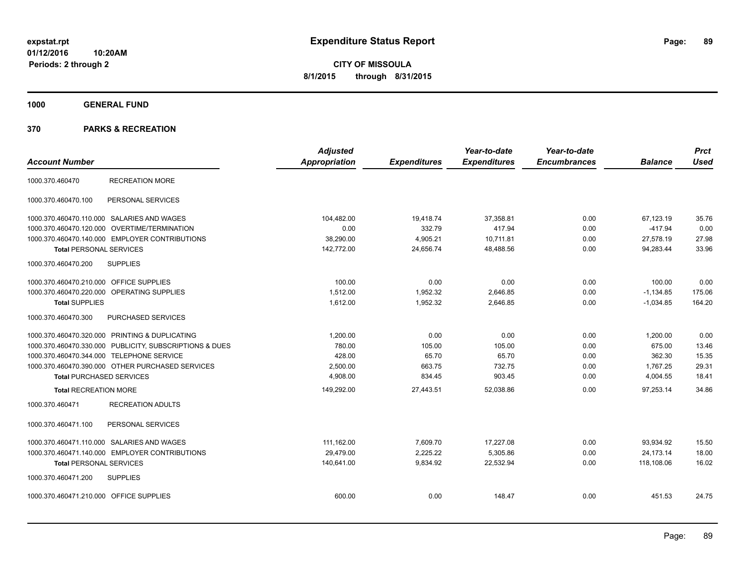**1000 GENERAL FUND**

| <b>Account Number</b>                   |                                                         | <b>Adjusted</b><br>Appropriation | <b>Expenditures</b> | Year-to-date<br><b>Expenditures</b> | Year-to-date<br><b>Encumbrances</b> | <b>Balance</b> | <b>Prct</b><br><b>Used</b> |
|-----------------------------------------|---------------------------------------------------------|----------------------------------|---------------------|-------------------------------------|-------------------------------------|----------------|----------------------------|
| 1000.370.460470                         | <b>RECREATION MORE</b>                                  |                                  |                     |                                     |                                     |                |                            |
| 1000.370.460470.100                     | PERSONAL SERVICES                                       |                                  |                     |                                     |                                     |                |                            |
|                                         | 1000.370.460470.110.000 SALARIES AND WAGES              | 104,482.00                       | 19,418.74           | 37,358.81                           | 0.00                                | 67,123.19      | 35.76                      |
|                                         | 1000.370.460470.120.000 OVERTIME/TERMINATION            | 0.00                             | 332.79              | 417.94                              | 0.00                                | $-417.94$      | 0.00                       |
|                                         | 1000.370.460470.140.000 EMPLOYER CONTRIBUTIONS          | 38,290.00                        | 4,905.21            | 10,711.81                           | 0.00                                | 27,578.19      | 27.98                      |
| <b>Total PERSONAL SERVICES</b>          |                                                         | 142,772.00                       | 24,656.74           | 48,488.56                           | 0.00                                | 94,283.44      | 33.96                      |
| 1000.370.460470.200                     | <b>SUPPLIES</b>                                         |                                  |                     |                                     |                                     |                |                            |
| 1000.370.460470.210.000 OFFICE SUPPLIES |                                                         | 100.00                           | 0.00                | 0.00                                | 0.00                                | 100.00         | 0.00                       |
|                                         | 1000.370.460470.220.000 OPERATING SUPPLIES              | 1,512.00                         | 1,952.32            | 2,646.85                            | 0.00                                | $-1,134.85$    | 175.06                     |
| <b>Total SUPPLIES</b>                   |                                                         | 1,612.00                         | 1,952.32            | 2,646.85                            | 0.00                                | $-1,034.85$    | 164.20                     |
| 1000.370.460470.300                     | PURCHASED SERVICES                                      |                                  |                     |                                     |                                     |                |                            |
|                                         | 1000.370.460470.320.000 PRINTING & DUPLICATING          | 1.200.00                         | 0.00                | 0.00                                | 0.00                                | 1,200.00       | 0.00                       |
|                                         | 1000.370.460470.330.000 PUBLICITY, SUBSCRIPTIONS & DUES | 780.00                           | 105.00              | 105.00                              | 0.00                                | 675.00         | 13.46                      |
|                                         | 1000.370.460470.344.000 TELEPHONE SERVICE               | 428.00                           | 65.70               | 65.70                               | 0.00                                | 362.30         | 15.35                      |
|                                         | 1000.370.460470.390.000 OTHER PURCHASED SERVICES        | 2,500.00                         | 663.75              | 732.75                              | 0.00                                | 1,767.25       | 29.31                      |
| <b>Total PURCHASED SERVICES</b>         |                                                         | 4,908.00                         | 834.45              | 903.45                              | 0.00                                | 4,004.55       | 18.41                      |
| <b>Total RECREATION MORE</b>            |                                                         | 149,292.00                       | 27,443.51           | 52.038.86                           | 0.00                                | 97.253.14      | 34.86                      |
| 1000.370.460471                         | <b>RECREATION ADULTS</b>                                |                                  |                     |                                     |                                     |                |                            |
| 1000.370.460471.100                     | PERSONAL SERVICES                                       |                                  |                     |                                     |                                     |                |                            |
|                                         | 1000.370.460471.110.000 SALARIES AND WAGES              | 111,162.00                       | 7,609.70            | 17,227.08                           | 0.00                                | 93,934.92      | 15.50                      |
|                                         | 1000.370.460471.140.000 EMPLOYER CONTRIBUTIONS          | 29.479.00                        | 2.225.22            | 5,305.86                            | 0.00                                | 24.173.14      | 18.00                      |
| <b>Total PERSONAL SERVICES</b>          |                                                         | 140,641.00                       | 9,834.92            | 22,532.94                           | 0.00                                | 118,108.06     | 16.02                      |
| 1000.370.460471.200                     | <b>SUPPLIES</b>                                         |                                  |                     |                                     |                                     |                |                            |
| 1000.370.460471.210.000 OFFICE SUPPLIES |                                                         | 600.00                           | 0.00                | 148.47                              | 0.00                                | 451.53         | 24.75                      |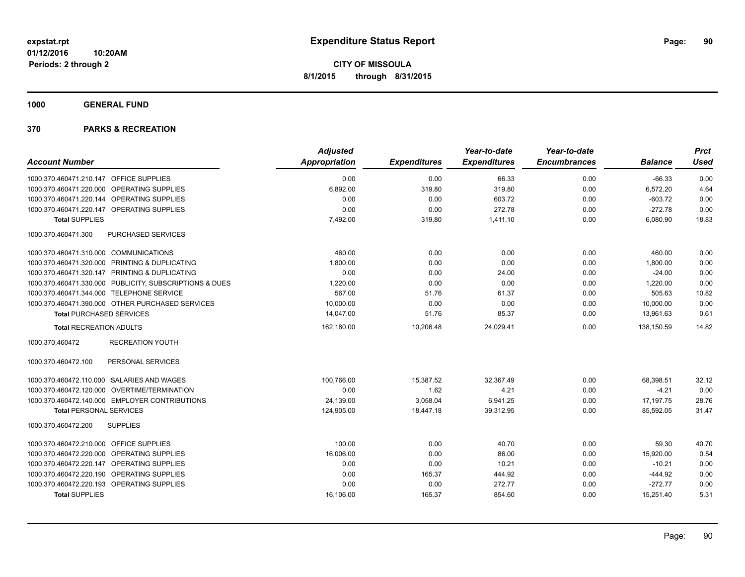**1000 GENERAL FUND**

|                                                         | <b>Adjusted</b>      |                     | Year-to-date        | Year-to-date        |                | <b>Prct</b> |
|---------------------------------------------------------|----------------------|---------------------|---------------------|---------------------|----------------|-------------|
| <b>Account Number</b>                                   | <b>Appropriation</b> | <b>Expenditures</b> | <b>Expenditures</b> | <b>Encumbrances</b> | <b>Balance</b> | <b>Used</b> |
| 1000.370.460471.210.147 OFFICE SUPPLIES                 | 0.00                 | 0.00                | 66.33               | 0.00                | $-66.33$       | 0.00        |
| 1000.370.460471.220.000 OPERATING SUPPLIES              | 6,892.00             | 319.80              | 319.80              | 0.00                | 6,572.20       | 4.64        |
| 1000.370.460471.220.144 OPERATING SUPPLIES              | 0.00                 | 0.00                | 603.72              | 0.00                | $-603.72$      | 0.00        |
| 1000.370.460471.220.147 OPERATING SUPPLIES              | 0.00                 | 0.00                | 272.78              | 0.00                | $-272.78$      | 0.00        |
| <b>Total SUPPLIES</b>                                   | 7,492.00             | 319.80              | 1,411.10            | 0.00                | 6,080.90       | 18.83       |
| 1000.370.460471.300<br>PURCHASED SERVICES               |                      |                     |                     |                     |                |             |
| 1000.370.460471.310.000 COMMUNICATIONS                  | 460.00               | 0.00                | 0.00                | 0.00                | 460.00         | 0.00        |
| 1000.370.460471.320.000 PRINTING & DUPLICATING          | 1,800.00             | 0.00                | 0.00                | 0.00                | 1,800.00       | 0.00        |
| 1000.370.460471.320.147 PRINTING & DUPLICATING          | 0.00                 | 0.00                | 24.00               | 0.00                | $-24.00$       | 0.00        |
| 1000.370.460471.330.000 PUBLICITY, SUBSCRIPTIONS & DUES | 1,220.00             | 0.00                | 0.00                | 0.00                | 1,220.00       | 0.00        |
| 1000.370.460471.344.000 TELEPHONE SERVICE               | 567.00               | 51.76               | 61.37               | 0.00                | 505.63         | 10.82       |
| 1000.370.460471.390.000 OTHER PURCHASED SERVICES        | 10,000.00            | 0.00                | 0.00                | 0.00                | 10,000.00      | 0.00        |
| <b>Total PURCHASED SERVICES</b>                         | 14,047.00            | 51.76               | 85.37               | 0.00                | 13,961.63      | 0.61        |
| <b>Total RECREATION ADULTS</b>                          | 162,180.00           | 10,206.48           | 24,029.41           | 0.00                | 138.150.59     | 14.82       |
| 1000.370.460472<br><b>RECREATION YOUTH</b>              |                      |                     |                     |                     |                |             |
| 1000.370.460472.100<br>PERSONAL SERVICES                |                      |                     |                     |                     |                |             |
| 1000.370.460472.110.000 SALARIES AND WAGES              | 100,766.00           | 15,387.52           | 32,367.49           | 0.00                | 68,398.51      | 32.12       |
| 1000.370.460472.120.000 OVERTIME/TERMINATION            | 0.00                 | 1.62                | 4.21                | 0.00                | $-4.21$        | 0.00        |
| 1000.370.460472.140.000 EMPLOYER CONTRIBUTIONS          | 24,139.00            | 3,058.04            | 6,941.25            | 0.00                | 17,197.75      | 28.76       |
| <b>Total PERSONAL SERVICES</b>                          | 124,905.00           | 18,447.18           | 39,312.95           | 0.00                | 85,592.05      | 31.47       |
| 1000.370.460472.200<br><b>SUPPLIES</b>                  |                      |                     |                     |                     |                |             |
| 1000.370.460472.210.000 OFFICE SUPPLIES                 | 100.00               | 0.00                | 40.70               | 0.00                | 59.30          | 40.70       |
| 1000.370.460472.220.000 OPERATING SUPPLIES              | 16,006.00            | 0.00                | 86.00               | 0.00                | 15,920.00      | 0.54        |
| 1000.370.460472.220.147 OPERATING SUPPLIES              | 0.00                 | 0.00                | 10.21               | 0.00                | $-10.21$       | 0.00        |
| 1000.370.460472.220.190 OPERATING SUPPLIES              | 0.00                 | 165.37              | 444.92              | 0.00                | $-444.92$      | 0.00        |
| 1000.370.460472.220.193 OPERATING SUPPLIES              | 0.00                 | 0.00                | 272.77              | 0.00                | $-272.77$      | 0.00        |
| <b>Total SUPPLIES</b>                                   | 16,106.00            | 165.37              | 854.60              | 0.00                | 15,251.40      | 5.31        |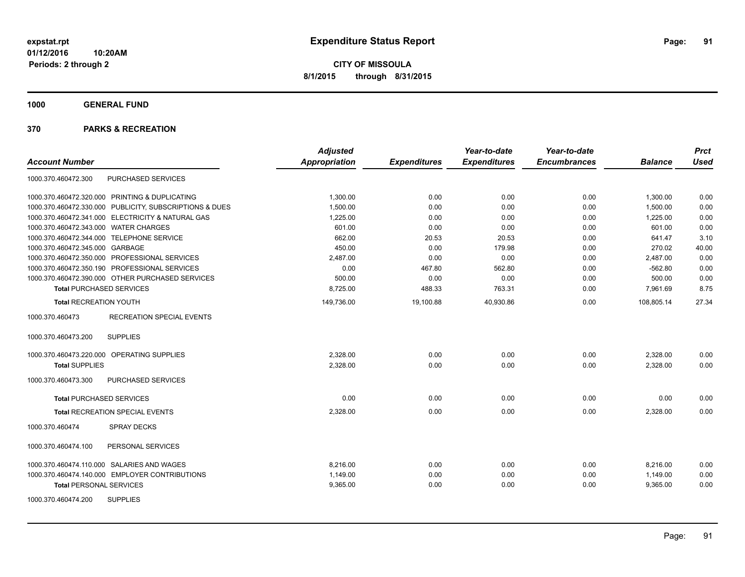**1000 GENERAL FUND**

| <b>Account Number</b>                                   | <b>Adjusted</b><br>Appropriation | <b>Expenditures</b> | Year-to-date<br><b>Expenditures</b> | Year-to-date<br><b>Encumbrances</b> | <b>Balance</b> | <b>Prct</b><br><b>Used</b> |
|---------------------------------------------------------|----------------------------------|---------------------|-------------------------------------|-------------------------------------|----------------|----------------------------|
| PURCHASED SERVICES<br>1000.370.460472.300               |                                  |                     |                                     |                                     |                |                            |
| 1000.370.460472.320.000 PRINTING & DUPLICATING          | 1,300.00                         | 0.00                | 0.00                                | 0.00                                | 1,300.00       | 0.00                       |
| 1000.370.460472.330.000 PUBLICITY, SUBSCRIPTIONS & DUES | 1,500.00                         | 0.00                | 0.00                                | 0.00                                | 1,500.00       | 0.00                       |
| 1000.370.460472.341.000 ELECTRICITY & NATURAL GAS       | 1,225.00                         | 0.00                | 0.00                                | 0.00                                | 1,225.00       | 0.00                       |
| 1000.370.460472.343.000 WATER CHARGES                   | 601.00                           | 0.00                | 0.00                                | 0.00                                | 601.00         | 0.00                       |
| 1000.370.460472.344.000 TELEPHONE SERVICE               | 662.00                           | 20.53               | 20.53                               | 0.00                                | 641.47         | 3.10                       |
| 1000.370.460472.345.000 GARBAGE                         | 450.00                           | 0.00                | 179.98                              | 0.00                                | 270.02         | 40.00                      |
| 1000.370.460472.350.000 PROFESSIONAL SERVICES           | 2.487.00                         | 0.00                | 0.00                                | 0.00                                | 2,487.00       | 0.00                       |
| 1000.370.460472.350.190 PROFESSIONAL SERVICES           | 0.00                             | 467.80              | 562.80                              | 0.00                                | $-562.80$      | 0.00                       |
| 1000.370.460472.390.000 OTHER PURCHASED SERVICES        | 500.00                           | 0.00                | 0.00                                | 0.00                                | 500.00         | 0.00                       |
| <b>Total PURCHASED SERVICES</b>                         | 8,725.00                         | 488.33              | 763.31                              | 0.00                                | 7,961.69       | 8.75                       |
| <b>Total RECREATION YOUTH</b>                           | 149,736.00                       | 19,100.88           | 40,930.86                           | 0.00                                | 108,805.14     | 27.34                      |
| 1000.370.460473<br><b>RECREATION SPECIAL EVENTS</b>     |                                  |                     |                                     |                                     |                |                            |
| <b>SUPPLIES</b><br>1000.370.460473.200                  |                                  |                     |                                     |                                     |                |                            |
| 1000.370.460473.220.000 OPERATING SUPPLIES              | 2,328.00                         | 0.00                | 0.00                                | 0.00                                | 2,328.00       | 0.00                       |
| <b>Total SUPPLIES</b>                                   | 2,328.00                         | 0.00                | 0.00                                | 0.00                                | 2,328.00       | 0.00                       |
| PURCHASED SERVICES<br>1000.370.460473.300               |                                  |                     |                                     |                                     |                |                            |
| <b>Total PURCHASED SERVICES</b>                         | 0.00                             | 0.00                | 0.00                                | 0.00                                | 0.00           | 0.00                       |
| <b>Total RECREATION SPECIAL EVENTS</b>                  | 2,328.00                         | 0.00                | 0.00                                | 0.00                                | 2,328.00       | 0.00                       |
| 1000.370.460474<br><b>SPRAY DECKS</b>                   |                                  |                     |                                     |                                     |                |                            |
| PERSONAL SERVICES<br>1000.370.460474.100                |                                  |                     |                                     |                                     |                |                            |
| 1000.370.460474.110.000 SALARIES AND WAGES              | 8.216.00                         | 0.00                | 0.00                                | 0.00                                | 8,216.00       | 0.00                       |
| 1000.370.460474.140.000 EMPLOYER CONTRIBUTIONS          | 1,149.00                         | 0.00                | 0.00                                | 0.00                                | 1,149.00       | 0.00                       |
| <b>Total PERSONAL SERVICES</b>                          | 9,365.00                         | 0.00                | 0.00                                | 0.00                                | 9,365.00       | 0.00                       |
| <b>SUPPLIES</b><br>1000.370.460474.200                  |                                  |                     |                                     |                                     |                |                            |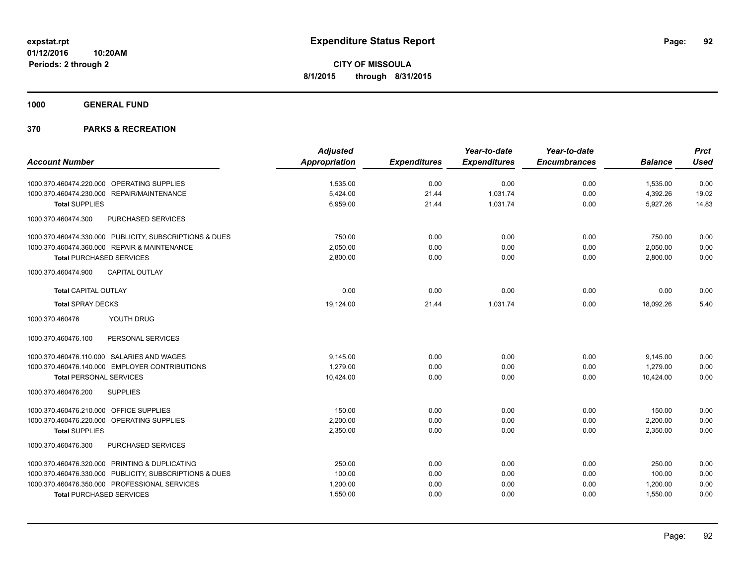**1000 GENERAL FUND**

|                                                         | <b>Adjusted</b> |                     | Year-to-date        | Year-to-date        |                | <b>Prct</b> |
|---------------------------------------------------------|-----------------|---------------------|---------------------|---------------------|----------------|-------------|
| <b>Account Number</b>                                   | Appropriation   | <b>Expenditures</b> | <b>Expenditures</b> | <b>Encumbrances</b> | <b>Balance</b> | <b>Used</b> |
| 1000.370.460474.220.000 OPERATING SUPPLIES              | 1,535.00        | 0.00                | 0.00                | 0.00                | 1,535.00       | 0.00        |
| 1000.370.460474.230.000 REPAIR/MAINTENANCE              | 5,424.00        | 21.44               | 1,031.74            | 0.00                | 4,392.26       | 19.02       |
| <b>Total SUPPLIES</b>                                   | 6,959.00        | 21.44               | 1,031.74            | 0.00                | 5,927.26       | 14.83       |
| 1000.370.460474.300<br>PURCHASED SERVICES               |                 |                     |                     |                     |                |             |
| 1000.370.460474.330.000 PUBLICITY, SUBSCRIPTIONS & DUES | 750.00          | 0.00                | 0.00                | 0.00                | 750.00         | 0.00        |
| 1000.370.460474.360.000 REPAIR & MAINTENANCE            | 2,050.00        | 0.00                | 0.00                | 0.00                | 2,050.00       | 0.00        |
| <b>Total PURCHASED SERVICES</b>                         | 2,800.00        | 0.00                | 0.00                | 0.00                | 2,800.00       | 0.00        |
| CAPITAL OUTLAY<br>1000.370.460474.900                   |                 |                     |                     |                     |                |             |
| <b>Total CAPITAL OUTLAY</b>                             | 0.00            | 0.00                | 0.00                | 0.00                | 0.00           | 0.00        |
| <b>Total SPRAY DECKS</b>                                | 19,124.00       | 21.44               | 1.031.74            | 0.00                | 18.092.26      | 5.40        |
| 1000.370.460476<br>YOUTH DRUG                           |                 |                     |                     |                     |                |             |
| 1000.370.460476.100<br>PERSONAL SERVICES                |                 |                     |                     |                     |                |             |
| 1000.370.460476.110.000 SALARIES AND WAGES              | 9,145.00        | 0.00                | 0.00                | 0.00                | 9,145.00       | 0.00        |
| 1000.370.460476.140.000 EMPLOYER CONTRIBUTIONS          | 1,279.00        | 0.00                | 0.00                | 0.00                | 1,279.00       | 0.00        |
| <b>Total PERSONAL SERVICES</b>                          | 10,424.00       | 0.00                | 0.00                | 0.00                | 10,424.00      | 0.00        |
| 1000.370.460476.200<br><b>SUPPLIES</b>                  |                 |                     |                     |                     |                |             |
| 1000.370.460476.210.000 OFFICE SUPPLIES                 | 150.00          | 0.00                | 0.00                | 0.00                | 150.00         | 0.00        |
| 1000.370.460476.220.000 OPERATING SUPPLIES              | 2.200.00        | 0.00                | 0.00                | 0.00                | 2,200.00       | 0.00        |
| <b>Total SUPPLIES</b>                                   | 2,350.00        | 0.00                | 0.00                | 0.00                | 2,350.00       | 0.00        |
| PURCHASED SERVICES<br>1000.370.460476.300               |                 |                     |                     |                     |                |             |
| 1000.370.460476.320.000 PRINTING & DUPLICATING          | 250.00          | 0.00                | 0.00                | 0.00                | 250.00         | 0.00        |
| 1000.370.460476.330.000 PUBLICITY, SUBSCRIPTIONS & DUES | 100.00          | 0.00                | 0.00                | 0.00                | 100.00         | 0.00        |
| 1000.370.460476.350.000 PROFESSIONAL SERVICES           | 1,200.00        | 0.00                | 0.00                | 0.00                | 1,200.00       | 0.00        |
| <b>Total PURCHASED SERVICES</b>                         | 1,550.00        | 0.00                | 0.00                | 0.00                | 1,550.00       | 0.00        |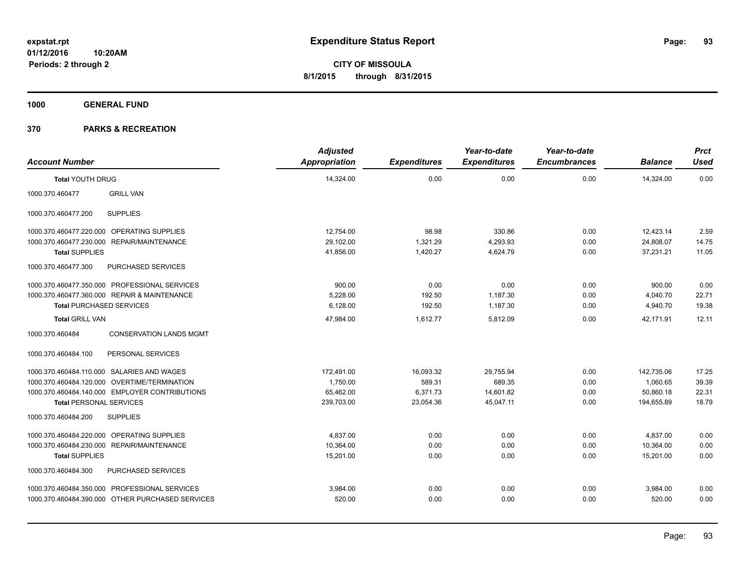**1000 GENERAL FUND**

| <b>Account Number</b>           |                                                  | <b>Adjusted</b><br><b>Appropriation</b> | <b>Expenditures</b> | Year-to-date<br><b>Expenditures</b> | Year-to-date<br><b>Encumbrances</b> | <b>Balance</b> | <b>Prct</b><br><b>Used</b> |
|---------------------------------|--------------------------------------------------|-----------------------------------------|---------------------|-------------------------------------|-------------------------------------|----------------|----------------------------|
| <b>Total YOUTH DRUG</b>         |                                                  | 14,324.00                               | 0.00                | 0.00                                | 0.00                                | 14,324.00      | 0.00                       |
| 1000.370.460477                 | <b>GRILL VAN</b>                                 |                                         |                     |                                     |                                     |                |                            |
| 1000.370.460477.200             | <b>SUPPLIES</b>                                  |                                         |                     |                                     |                                     |                |                            |
|                                 | 1000.370.460477.220.000 OPERATING SUPPLIES       | 12,754.00                               | 98.98               | 330.86                              | 0.00                                | 12,423.14      | 2.59                       |
| 1000.370.460477.230.000         | <b>REPAIR/MAINTENANCE</b>                        | 29,102.00                               | 1,321.29            | 4,293.93                            | 0.00                                | 24,808.07      | 14.75                      |
| <b>Total SUPPLIES</b>           |                                                  | 41,856.00                               | 1,420.27            | 4,624.79                            | 0.00                                | 37,231.21      | 11.05                      |
| 1000.370.460477.300             | PURCHASED SERVICES                               |                                         |                     |                                     |                                     |                |                            |
|                                 | 1000.370.460477.350.000 PROFESSIONAL SERVICES    | 900.00                                  | 0.00                | 0.00                                | 0.00                                | 900.00         | 0.00                       |
|                                 | 1000.370.460477.360.000 REPAIR & MAINTENANCE     | 5,228.00                                | 192.50              | 1,187.30                            | 0.00                                | 4,040.70       | 22.71                      |
| <b>Total PURCHASED SERVICES</b> |                                                  | 6,128.00                                | 192.50              | 1,187.30                            | 0.00                                | 4,940.70       | 19.38                      |
| <b>Total GRILL VAN</b>          |                                                  | 47,984.00                               | 1,612.77            | 5,812.09                            | 0.00                                | 42,171.91      | 12.11                      |
| 1000.370.460484                 | <b>CONSERVATION LANDS MGMT</b>                   |                                         |                     |                                     |                                     |                |                            |
| 1000.370.460484.100             | PERSONAL SERVICES                                |                                         |                     |                                     |                                     |                |                            |
|                                 | 1000.370.460484.110.000 SALARIES AND WAGES       | 172,491.00                              | 16,093.32           | 29,755.94                           | 0.00                                | 142,735.06     | 17.25                      |
|                                 | 1000.370.460484.120.000 OVERTIME/TERMINATION     | 1,750.00                                | 589.31              | 689.35                              | 0.00                                | 1,060.65       | 39.39                      |
|                                 | 1000.370.460484.140.000 EMPLOYER CONTRIBUTIONS   | 65,462.00                               | 6,371.73            | 14.601.82                           | 0.00                                | 50,860.18      | 22.31                      |
| <b>Total PERSONAL SERVICES</b>  |                                                  | 239,703.00                              | 23,054.36           | 45,047.11                           | 0.00                                | 194,655.89     | 18.79                      |
| 1000.370.460484.200             | <b>SUPPLIES</b>                                  |                                         |                     |                                     |                                     |                |                            |
| 1000.370.460484.220.000         | OPERATING SUPPLIES                               | 4,837.00                                | 0.00                | 0.00                                | 0.00                                | 4,837.00       | 0.00                       |
| 1000.370.460484.230.000         | <b>REPAIR/MAINTENANCE</b>                        | 10,364.00                               | 0.00                | 0.00                                | 0.00                                | 10,364.00      | 0.00                       |
| <b>Total SUPPLIES</b>           |                                                  | 15,201.00                               | 0.00                | 0.00                                | 0.00                                | 15,201.00      | 0.00                       |
| 1000.370.460484.300             | PURCHASED SERVICES                               |                                         |                     |                                     |                                     |                |                            |
|                                 | 1000.370.460484.350.000 PROFESSIONAL SERVICES    | 3,984.00                                | 0.00                | 0.00                                | 0.00                                | 3,984.00       | 0.00                       |
|                                 | 1000.370.460484.390.000 OTHER PURCHASED SERVICES | 520.00                                  | 0.00                | 0.00                                | 0.00                                | 520.00         | 0.00                       |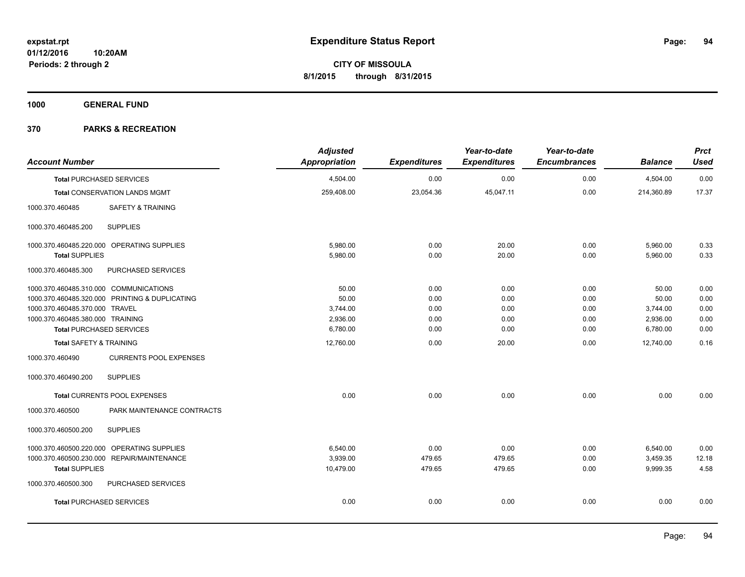**1000 GENERAL FUND**

| <b>Account Number</b>                            | <b>Adjusted</b><br><b>Appropriation</b> | <b>Expenditures</b> | Year-to-date<br><b>Expenditures</b> | Year-to-date<br><b>Encumbrances</b> | <b>Balance</b> | <b>Prct</b><br><b>Used</b> |
|--------------------------------------------------|-----------------------------------------|---------------------|-------------------------------------|-------------------------------------|----------------|----------------------------|
| <b>Total PURCHASED SERVICES</b>                  | 4,504.00                                | 0.00                | 0.00                                | 0.00                                | 4,504.00       | 0.00                       |
| Total CONSERVATION LANDS MGMT                    | 259,408.00                              | 23,054.36           | 45,047.11                           | 0.00                                | 214,360.89     | 17.37                      |
| <b>SAFETY &amp; TRAINING</b><br>1000.370.460485  |                                         |                     |                                     |                                     |                |                            |
| <b>SUPPLIES</b><br>1000.370.460485.200           |                                         |                     |                                     |                                     |                |                            |
| 1000.370.460485.220.000 OPERATING SUPPLIES       | 5.980.00                                | 0.00                | 20.00                               | 0.00                                | 5,960.00       | 0.33                       |
| <b>Total SUPPLIES</b>                            | 5,980.00                                | 0.00                | 20.00                               | 0.00                                | 5,960.00       | 0.33                       |
| PURCHASED SERVICES<br>1000.370.460485.300        |                                         |                     |                                     |                                     |                |                            |
| 1000.370.460485.310.000 COMMUNICATIONS           | 50.00                                   | 0.00                | 0.00                                | 0.00                                | 50.00          | 0.00                       |
| 1000.370.460485.320.000 PRINTING & DUPLICATING   | 50.00                                   | 0.00                | 0.00                                | 0.00                                | 50.00          | 0.00                       |
| 1000.370.460485.370.000 TRAVEL                   | 3,744.00                                | 0.00                | 0.00                                | 0.00                                | 3,744.00       | 0.00                       |
| 1000.370.460485.380.000 TRAINING                 | 2,936.00                                | 0.00                | 0.00                                | 0.00                                | 2,936.00       | 0.00                       |
| <b>Total PURCHASED SERVICES</b>                  | 6,780.00                                | 0.00                | 0.00                                | 0.00                                | 6,780.00       | 0.00                       |
| <b>Total SAFETY &amp; TRAINING</b>               | 12,760.00                               | 0.00                | 20.00                               | 0.00                                | 12,740.00      | 0.16                       |
| 1000.370.460490<br><b>CURRENTS POOL EXPENSES</b> |                                         |                     |                                     |                                     |                |                            |
| 1000.370.460490.200<br><b>SUPPLIES</b>           |                                         |                     |                                     |                                     |                |                            |
| Total CURRENTS POOL EXPENSES                     | 0.00                                    | 0.00                | 0.00                                | 0.00                                | 0.00           | 0.00                       |
| 1000.370.460500<br>PARK MAINTENANCE CONTRACTS    |                                         |                     |                                     |                                     |                |                            |
| 1000.370.460500.200<br><b>SUPPLIES</b>           |                                         |                     |                                     |                                     |                |                            |
| 1000.370.460500.220.000 OPERATING SUPPLIES       | 6,540.00                                | 0.00                | 0.00                                | 0.00                                | 6,540.00       | 0.00                       |
| 1000.370.460500.230.000 REPAIR/MAINTENANCE       | 3,939.00                                | 479.65              | 479.65                              | 0.00                                | 3,459.35       | 12.18                      |
| <b>Total SUPPLIES</b>                            | 10,479.00                               | 479.65              | 479.65                              | 0.00                                | 9,999.35       | 4.58                       |
| 1000.370.460500.300<br>PURCHASED SERVICES        |                                         |                     |                                     |                                     |                |                            |
| <b>Total PURCHASED SERVICES</b>                  | 0.00                                    | 0.00                | 0.00                                | 0.00                                | 0.00           | 0.00                       |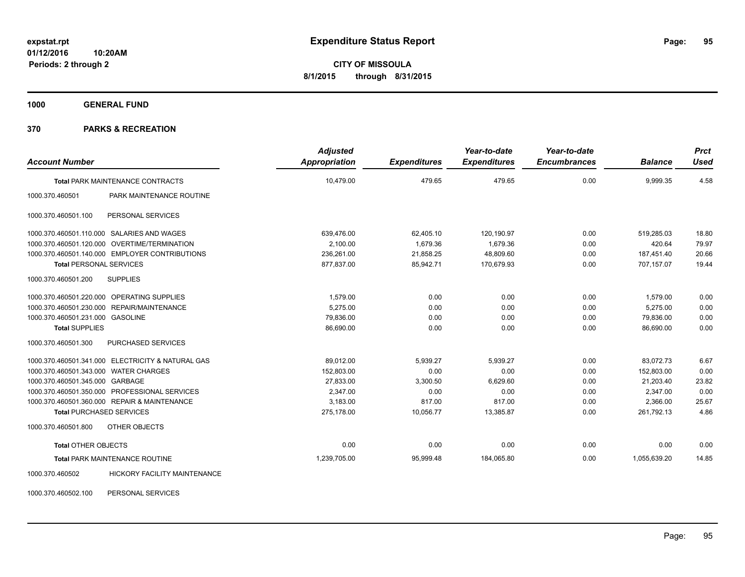**1000 GENERAL FUND**

## **370 PARKS & RECREATION**

| <b>Account Number</b>                 |                                                   | <b>Adjusted</b><br>Appropriation | <b>Expenditures</b> | Year-to-date<br><b>Expenditures</b> | Year-to-date<br><b>Encumbrances</b> | <b>Balance</b> | <b>Prct</b><br><b>Used</b> |
|---------------------------------------|---------------------------------------------------|----------------------------------|---------------------|-------------------------------------|-------------------------------------|----------------|----------------------------|
|                                       | <b>Total PARK MAINTENANCE CONTRACTS</b>           | 10,479.00                        | 479.65              | 479.65                              | 0.00                                | 9,999.35       | 4.58                       |
| 1000.370.460501                       | PARK MAINTENANCE ROUTINE                          |                                  |                     |                                     |                                     |                |                            |
| 1000.370.460501.100                   | PERSONAL SERVICES                                 |                                  |                     |                                     |                                     |                |                            |
|                                       | 1000.370.460501.110.000 SALARIES AND WAGES        | 639,476.00                       | 62,405.10           | 120,190.97                          | 0.00                                | 519,285.03     | 18.80                      |
|                                       | 1000.370.460501.120.000 OVERTIME/TERMINATION      | 2.100.00                         | 1,679.36            | 1,679.36                            | 0.00                                | 420.64         | 79.97                      |
|                                       | 1000.370.460501.140.000 EMPLOYER CONTRIBUTIONS    | 236,261.00                       | 21,858.25           | 48,809.60                           | 0.00                                | 187,451.40     | 20.66                      |
| <b>Total PERSONAL SERVICES</b>        |                                                   | 877,837.00                       | 85,942.71           | 170,679.93                          | 0.00                                | 707,157.07     | 19.44                      |
| 1000.370.460501.200                   | <b>SUPPLIES</b>                                   |                                  |                     |                                     |                                     |                |                            |
|                                       | 1000.370.460501.220.000 OPERATING SUPPLIES        | 1,579.00                         | 0.00                | 0.00                                | 0.00                                | 1,579.00       | 0.00                       |
|                                       | 1000.370.460501.230.000 REPAIR/MAINTENANCE        | 5,275.00                         | 0.00                | 0.00                                | 0.00                                | 5,275.00       | 0.00                       |
| 1000.370.460501.231.000 GASOLINE      |                                                   | 79,836.00                        | 0.00                | 0.00                                | 0.00                                | 79,836.00      | 0.00                       |
| <b>Total SUPPLIES</b>                 |                                                   | 86,690.00                        | 0.00                | 0.00                                | 0.00                                | 86,690.00      | 0.00                       |
| 1000.370.460501.300                   | PURCHASED SERVICES                                |                                  |                     |                                     |                                     |                |                            |
|                                       | 1000.370.460501.341.000 ELECTRICITY & NATURAL GAS | 89,012.00                        | 5,939.27            | 5,939.27                            | 0.00                                | 83,072.73      | 6.67                       |
| 1000.370.460501.343.000 WATER CHARGES |                                                   | 152,803.00                       | 0.00                | 0.00                                | 0.00                                | 152,803.00     | 0.00                       |
| 1000.370.460501.345.000 GARBAGE       |                                                   | 27,833.00                        | 3,300.50            | 6,629.60                            | 0.00                                | 21,203.40      | 23.82                      |
|                                       | 1000.370.460501.350.000 PROFESSIONAL SERVICES     | 2,347.00                         | 0.00                | 0.00                                | 0.00                                | 2,347.00       | 0.00                       |
|                                       | 1000.370.460501.360.000 REPAIR & MAINTENANCE      | 3,183.00                         | 817.00              | 817.00                              | 0.00                                | 2,366.00       | 25.67                      |
| <b>Total PURCHASED SERVICES</b>       |                                                   | 275,178.00                       | 10,056.77           | 13,385.87                           | 0.00                                | 261,792.13     | 4.86                       |
| 1000.370.460501.800                   | OTHER OBJECTS                                     |                                  |                     |                                     |                                     |                |                            |
| <b>Total OTHER OBJECTS</b>            |                                                   | 0.00                             | 0.00                | 0.00                                | 0.00                                | 0.00           | 0.00                       |
|                                       | Total PARK MAINTENANCE ROUTINE                    | 1,239,705.00                     | 95,999.48           | 184,065.80                          | 0.00                                | 1,055,639.20   | 14.85                      |
| 1000.370.460502                       | <b>HICKORY FACILITY MAINTENANCE</b>               |                                  |                     |                                     |                                     |                |                            |

1000.370.460502.100 PERSONAL SERVICES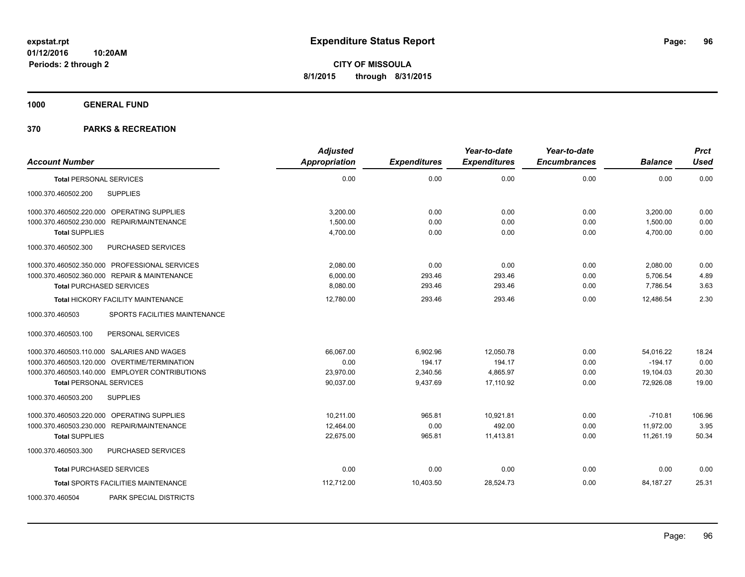**1000 GENERAL FUND**

|                                                  | <b>Adjusted</b> |                     | Year-to-date        | Year-to-date        |                | <b>Prct</b> |
|--------------------------------------------------|-----------------|---------------------|---------------------|---------------------|----------------|-------------|
| <b>Account Number</b>                            | Appropriation   | <b>Expenditures</b> | <b>Expenditures</b> | <b>Encumbrances</b> | <b>Balance</b> | <b>Used</b> |
| <b>Total PERSONAL SERVICES</b>                   | 0.00            | 0.00                | 0.00                | 0.00                | 0.00           | 0.00        |
| 1000.370.460502.200<br><b>SUPPLIES</b>           |                 |                     |                     |                     |                |             |
| 1000.370.460502.220.000 OPERATING SUPPLIES       | 3,200.00        | 0.00                | 0.00                | 0.00                | 3,200.00       | 0.00        |
| 1000.370.460502.230.000<br>REPAIR/MAINTENANCE    | 1,500.00        | 0.00                | 0.00                | 0.00                | 1,500.00       | 0.00        |
| <b>Total SUPPLIES</b>                            | 4,700.00        | 0.00                | 0.00                | 0.00                | 4,700.00       | 0.00        |
| 1000.370.460502.300<br>PURCHASED SERVICES        |                 |                     |                     |                     |                |             |
| 1000.370.460502.350.000 PROFESSIONAL SERVICES    | 2,080.00        | 0.00                | 0.00                | 0.00                | 2,080.00       | 0.00        |
| 1000.370.460502.360.000 REPAIR & MAINTENANCE     | 6,000.00        | 293.46              | 293.46              | 0.00                | 5,706.54       | 4.89        |
| <b>Total PURCHASED SERVICES</b>                  | 8,080.00        | 293.46              | 293.46              | 0.00                | 7,786.54       | 3.63        |
| <b>Total HICKORY FACILITY MAINTENANCE</b>        | 12,780.00       | 293.46              | 293.46              | 0.00                | 12,486.54      | 2.30        |
| 1000.370.460503<br>SPORTS FACILITIES MAINTENANCE |                 |                     |                     |                     |                |             |
| PERSONAL SERVICES<br>1000.370.460503.100         |                 |                     |                     |                     |                |             |
| 1000.370.460503.110.000 SALARIES AND WAGES       | 66.067.00       | 6,902.96            | 12.050.78           | 0.00                | 54,016.22      | 18.24       |
| 1000.370.460503.120.000 OVERTIME/TERMINATION     | 0.00            | 194.17              | 194.17              | 0.00                | $-194.17$      | 0.00        |
| 1000.370.460503.140.000 EMPLOYER CONTRIBUTIONS   | 23,970.00       | 2,340.56            | 4,865.97            | 0.00                | 19,104.03      | 20.30       |
| <b>Total PERSONAL SERVICES</b>                   | 90,037.00       | 9,437.69            | 17,110.92           | 0.00                | 72,926.08      | 19.00       |
| 1000.370.460503.200<br><b>SUPPLIES</b>           |                 |                     |                     |                     |                |             |
| OPERATING SUPPLIES<br>1000.370.460503.220.000    | 10,211.00       | 965.81              | 10,921.81           | 0.00                | $-710.81$      | 106.96      |
| 1000.370.460503.230.000 REPAIR/MAINTENANCE       | 12,464.00       | 0.00                | 492.00              | 0.00                | 11,972.00      | 3.95        |
| <b>Total SUPPLIES</b>                            | 22.675.00       | 965.81              | 11.413.81           | 0.00                | 11.261.19      | 50.34       |
| 1000.370.460503.300<br>PURCHASED SERVICES        |                 |                     |                     |                     |                |             |
| <b>Total PURCHASED SERVICES</b>                  | 0.00            | 0.00                | 0.00                | 0.00                | 0.00           | 0.00        |
| <b>Total SPORTS FACILITIES MAINTENANCE</b>       | 112,712.00      | 10,403.50           | 28,524.73           | 0.00                | 84,187.27      | 25.31       |
| PARK SPECIAL DISTRICTS<br>1000.370.460504        |                 |                     |                     |                     |                |             |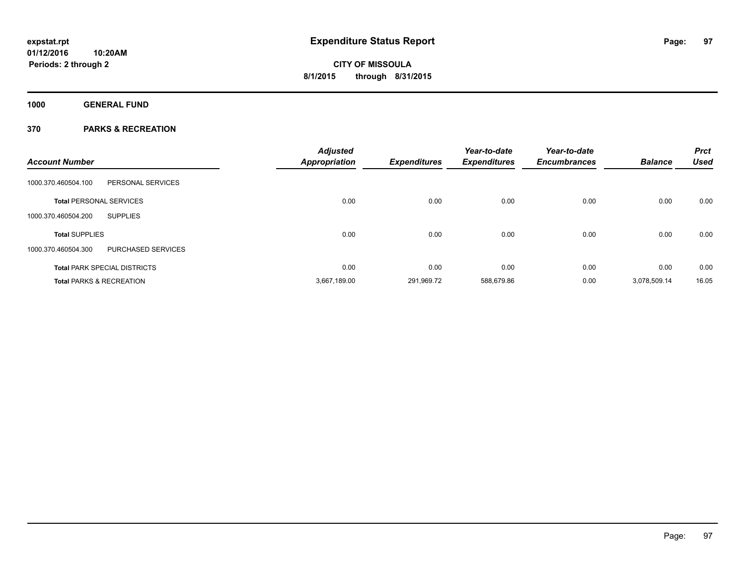**Periods: 2 through 2**

# **CITY OF MISSOULA 8/1/2015 through 8/31/2015**

**1000 GENERAL FUND**

|                                                  | <b>Adjusted</b>      |                     | Year-to-date        | Year-to-date        |                | <b>Prct</b> |
|--------------------------------------------------|----------------------|---------------------|---------------------|---------------------|----------------|-------------|
| <b>Account Number</b>                            | <b>Appropriation</b> | <b>Expenditures</b> | <b>Expenditures</b> | <b>Encumbrances</b> | <b>Balance</b> | <b>Used</b> |
| 1000.370.460504.100<br>PERSONAL SERVICES         |                      |                     |                     |                     |                |             |
| <b>Total PERSONAL SERVICES</b>                   | 0.00                 | 0.00                | 0.00                | 0.00                | 0.00           | 0.00        |
| 1000.370.460504.200<br><b>SUPPLIES</b>           |                      |                     |                     |                     |                |             |
| <b>Total SUPPLIES</b>                            | 0.00                 | 0.00                | 0.00                | 0.00                | 0.00           | 0.00        |
| 1000.370.460504.300<br><b>PURCHASED SERVICES</b> |                      |                     |                     |                     |                |             |
| <b>Total PARK SPECIAL DISTRICTS</b>              | 0.00                 | 0.00                | 0.00                | 0.00                | 0.00           | 0.00        |
| <b>Total PARKS &amp; RECREATION</b>              | 3,667,189.00         | 291,969.72          | 588,679.86          | 0.00                | 3,078,509.14   | 16.05       |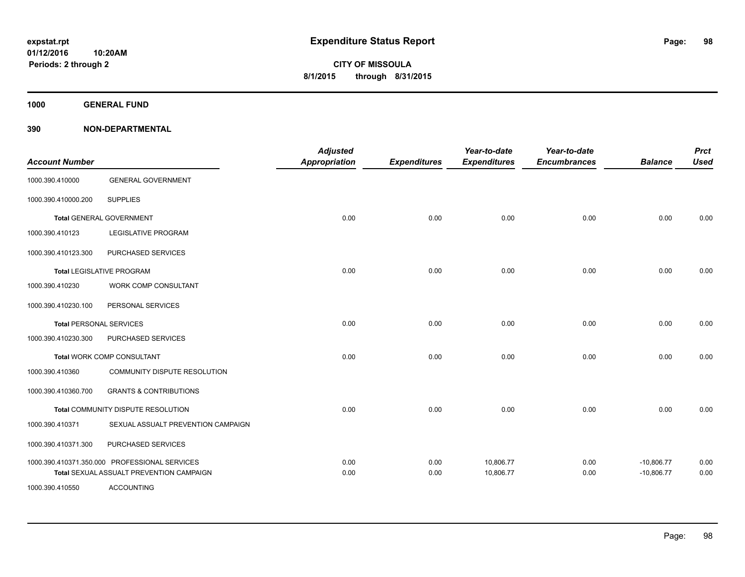**1000 GENERAL FUND**

| <b>Account Number</b> |                                                                                           | <b>Adjusted</b><br>Appropriation | <b>Expenditures</b> | Year-to-date<br><b>Expenditures</b> | Year-to-date<br><b>Encumbrances</b> | <b>Balance</b>               | <b>Prct</b><br><b>Used</b> |
|-----------------------|-------------------------------------------------------------------------------------------|----------------------------------|---------------------|-------------------------------------|-------------------------------------|------------------------------|----------------------------|
| 1000.390.410000       | <b>GENERAL GOVERNMENT</b>                                                                 |                                  |                     |                                     |                                     |                              |                            |
| 1000.390.410000.200   | <b>SUPPLIES</b>                                                                           |                                  |                     |                                     |                                     |                              |                            |
|                       | <b>Total GENERAL GOVERNMENT</b>                                                           | 0.00                             | 0.00                | 0.00                                | 0.00                                | 0.00                         | 0.00                       |
| 1000.390.410123       | LEGISLATIVE PROGRAM                                                                       |                                  |                     |                                     |                                     |                              |                            |
| 1000.390.410123.300   | PURCHASED SERVICES                                                                        |                                  |                     |                                     |                                     |                              |                            |
|                       | <b>Total LEGISLATIVE PROGRAM</b>                                                          | 0.00                             | 0.00                | 0.00                                | 0.00                                | 0.00                         | 0.00                       |
| 1000.390.410230       | WORK COMP CONSULTANT                                                                      |                                  |                     |                                     |                                     |                              |                            |
| 1000.390.410230.100   | PERSONAL SERVICES                                                                         |                                  |                     |                                     |                                     |                              |                            |
|                       | <b>Total PERSONAL SERVICES</b>                                                            | 0.00                             | 0.00                | 0.00                                | 0.00                                | 0.00                         | 0.00                       |
| 1000.390.410230.300   | PURCHASED SERVICES                                                                        |                                  |                     |                                     |                                     |                              |                            |
|                       | <b>Total WORK COMP CONSULTANT</b>                                                         | 0.00                             | 0.00                | 0.00                                | 0.00                                | 0.00                         | 0.00                       |
| 1000.390.410360       | COMMUNITY DISPUTE RESOLUTION                                                              |                                  |                     |                                     |                                     |                              |                            |
| 1000.390.410360.700   | <b>GRANTS &amp; CONTRIBUTIONS</b>                                                         |                                  |                     |                                     |                                     |                              |                            |
|                       | Total COMMUNITY DISPUTE RESOLUTION                                                        | 0.00                             | 0.00                | 0.00                                | 0.00                                | 0.00                         | 0.00                       |
| 1000.390.410371       | SEXUAL ASSUALT PREVENTION CAMPAIGN                                                        |                                  |                     |                                     |                                     |                              |                            |
| 1000.390.410371.300   | PURCHASED SERVICES                                                                        |                                  |                     |                                     |                                     |                              |                            |
|                       | 1000.390.410371.350.000 PROFESSIONAL SERVICES<br>Total SEXUAL ASSUALT PREVENTION CAMPAIGN | 0.00<br>0.00                     | 0.00<br>0.00        | 10,806.77<br>10,806.77              | 0.00<br>0.00                        | $-10,806.77$<br>$-10,806.77$ | 0.00<br>0.00               |
| 1000.390.410550       | <b>ACCOUNTING</b>                                                                         |                                  |                     |                                     |                                     |                              |                            |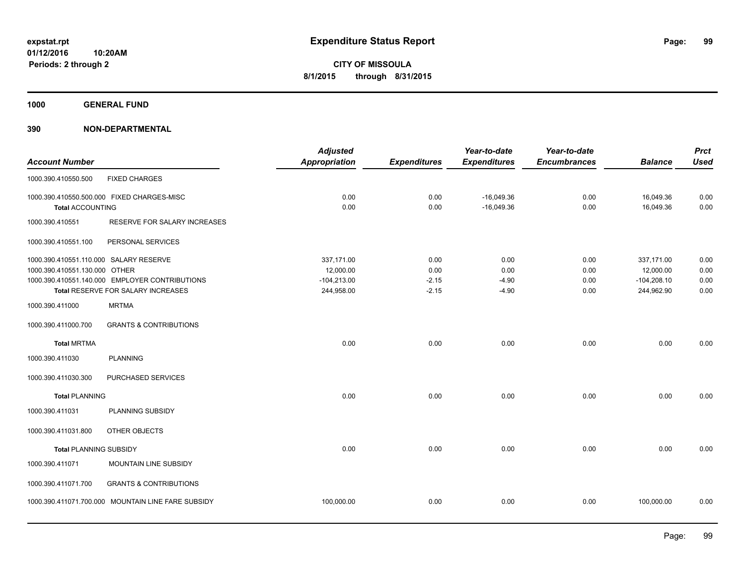**1000 GENERAL FUND**

| <b>Account Number</b>                                                   |                                                                                      | <b>Adjusted</b><br><b>Appropriation</b>                | <b>Expenditures</b>                | Year-to-date<br><b>Expenditures</b> | Year-to-date<br><b>Encumbrances</b> | <b>Balance</b>                                         | <b>Prct</b><br><b>Used</b>   |
|-------------------------------------------------------------------------|--------------------------------------------------------------------------------------|--------------------------------------------------------|------------------------------------|-------------------------------------|-------------------------------------|--------------------------------------------------------|------------------------------|
| 1000.390.410550.500                                                     | <b>FIXED CHARGES</b>                                                                 |                                                        |                                    |                                     |                                     |                                                        |                              |
| <b>Total ACCOUNTING</b>                                                 | 1000.390.410550.500.000 FIXED CHARGES-MISC                                           | 0.00<br>0.00                                           | 0.00<br>0.00                       | $-16,049.36$<br>$-16,049.36$        | 0.00<br>0.00                        | 16,049.36<br>16,049.36                                 | 0.00<br>0.00                 |
| 1000.390.410551                                                         | RESERVE FOR SALARY INCREASES                                                         |                                                        |                                    |                                     |                                     |                                                        |                              |
| 1000.390.410551.100                                                     | PERSONAL SERVICES                                                                    |                                                        |                                    |                                     |                                     |                                                        |                              |
| 1000.390.410551.110.000 SALARY RESERVE<br>1000.390.410551.130.000 OTHER | 1000.390.410551.140.000 EMPLOYER CONTRIBUTIONS<br>Total RESERVE FOR SALARY INCREASES | 337,171.00<br>12,000.00<br>$-104,213.00$<br>244,958.00 | 0.00<br>0.00<br>$-2.15$<br>$-2.15$ | 0.00<br>0.00<br>$-4.90$<br>$-4.90$  | 0.00<br>0.00<br>0.00<br>0.00        | 337,171.00<br>12,000.00<br>$-104,208.10$<br>244,962.90 | 0.00<br>0.00<br>0.00<br>0.00 |
| 1000.390.411000                                                         | <b>MRTMA</b>                                                                         |                                                        |                                    |                                     |                                     |                                                        |                              |
| 1000.390.411000.700                                                     | <b>GRANTS &amp; CONTRIBUTIONS</b>                                                    |                                                        |                                    |                                     |                                     |                                                        |                              |
| <b>Total MRTMA</b>                                                      |                                                                                      | 0.00                                                   | 0.00                               | 0.00                                | 0.00                                | 0.00                                                   | 0.00                         |
| 1000.390.411030                                                         | <b>PLANNING</b>                                                                      |                                                        |                                    |                                     |                                     |                                                        |                              |
| 1000.390.411030.300                                                     | PURCHASED SERVICES                                                                   |                                                        |                                    |                                     |                                     |                                                        |                              |
| <b>Total PLANNING</b>                                                   |                                                                                      | 0.00                                                   | 0.00                               | 0.00                                | 0.00                                | 0.00                                                   | 0.00                         |
| 1000.390.411031                                                         | PLANNING SUBSIDY                                                                     |                                                        |                                    |                                     |                                     |                                                        |                              |
| 1000.390.411031.800                                                     | OTHER OBJECTS                                                                        |                                                        |                                    |                                     |                                     |                                                        |                              |
| <b>Total PLANNING SUBSIDY</b>                                           |                                                                                      | 0.00                                                   | 0.00                               | 0.00                                | 0.00                                | 0.00                                                   | 0.00                         |
| 1000.390.411071                                                         | MOUNTAIN LINE SUBSIDY                                                                |                                                        |                                    |                                     |                                     |                                                        |                              |
| 1000.390.411071.700                                                     | <b>GRANTS &amp; CONTRIBUTIONS</b>                                                    |                                                        |                                    |                                     |                                     |                                                        |                              |
|                                                                         | 1000.390.411071.700.000 MOUNTAIN LINE FARE SUBSIDY                                   | 100,000.00                                             | 0.00                               | 0.00                                | 0.00                                | 100,000.00                                             | 0.00                         |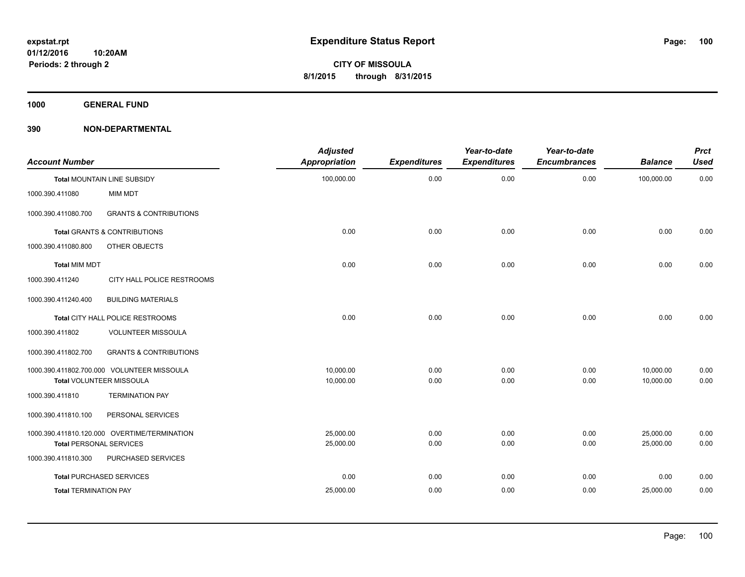**1000 GENERAL FUND**

| <b>Account Number</b>          |                                              | <b>Adjusted</b><br><b>Appropriation</b> | <b>Expenditures</b> | Year-to-date<br><b>Expenditures</b> | Year-to-date<br><b>Encumbrances</b> | <b>Balance</b> | <b>Prct</b><br><b>Used</b> |
|--------------------------------|----------------------------------------------|-----------------------------------------|---------------------|-------------------------------------|-------------------------------------|----------------|----------------------------|
|                                | Total MOUNTAIN LINE SUBSIDY                  | 100,000.00                              | 0.00                | 0.00                                | 0.00                                | 100,000.00     | 0.00                       |
| 1000.390.411080                | MIM MDT                                      |                                         |                     |                                     |                                     |                |                            |
| 1000.390.411080.700            | <b>GRANTS &amp; CONTRIBUTIONS</b>            |                                         |                     |                                     |                                     |                |                            |
|                                | <b>Total GRANTS &amp; CONTRIBUTIONS</b>      | 0.00                                    | 0.00                | 0.00                                | 0.00                                | 0.00           | 0.00                       |
| 1000.390.411080.800            | OTHER OBJECTS                                |                                         |                     |                                     |                                     |                |                            |
| <b>Total MIM MDT</b>           |                                              | 0.00                                    | 0.00                | 0.00                                | 0.00                                | 0.00           | 0.00                       |
| 1000.390.411240                | CITY HALL POLICE RESTROOMS                   |                                         |                     |                                     |                                     |                |                            |
| 1000.390.411240.400            | <b>BUILDING MATERIALS</b>                    |                                         |                     |                                     |                                     |                |                            |
|                                | Total CITY HALL POLICE RESTROOMS             | 0.00                                    | 0.00                | 0.00                                | 0.00                                | 0.00           | 0.00                       |
| 1000.390.411802                | <b>VOLUNTEER MISSOULA</b>                    |                                         |                     |                                     |                                     |                |                            |
| 1000.390.411802.700            | <b>GRANTS &amp; CONTRIBUTIONS</b>            |                                         |                     |                                     |                                     |                |                            |
|                                | 1000.390.411802.700.000 VOLUNTEER MISSOULA   | 10.000.00                               | 0.00                | 0.00                                | 0.00                                | 10,000.00      | 0.00                       |
|                                | Total VOLUNTEER MISSOULA                     | 10,000.00                               | 0.00                | 0.00                                | 0.00                                | 10,000.00      | 0.00                       |
| 1000.390.411810                | <b>TERMINATION PAY</b>                       |                                         |                     |                                     |                                     |                |                            |
| 1000.390.411810.100            | PERSONAL SERVICES                            |                                         |                     |                                     |                                     |                |                            |
|                                | 1000.390.411810.120.000 OVERTIME/TERMINATION | 25,000.00                               | 0.00                | 0.00                                | 0.00                                | 25,000.00      | 0.00                       |
| <b>Total PERSONAL SERVICES</b> |                                              | 25,000.00                               | 0.00                | 0.00                                | 0.00                                | 25,000.00      | 0.00                       |
| 1000.390.411810.300            | PURCHASED SERVICES                           |                                         |                     |                                     |                                     |                |                            |
|                                | <b>Total PURCHASED SERVICES</b>              | 0.00                                    | 0.00                | 0.00                                | 0.00                                | 0.00           | 0.00                       |
| <b>Total TERMINATION PAY</b>   |                                              | 25,000.00                               | 0.00                | 0.00                                | 0.00                                | 25,000.00      | 0.00                       |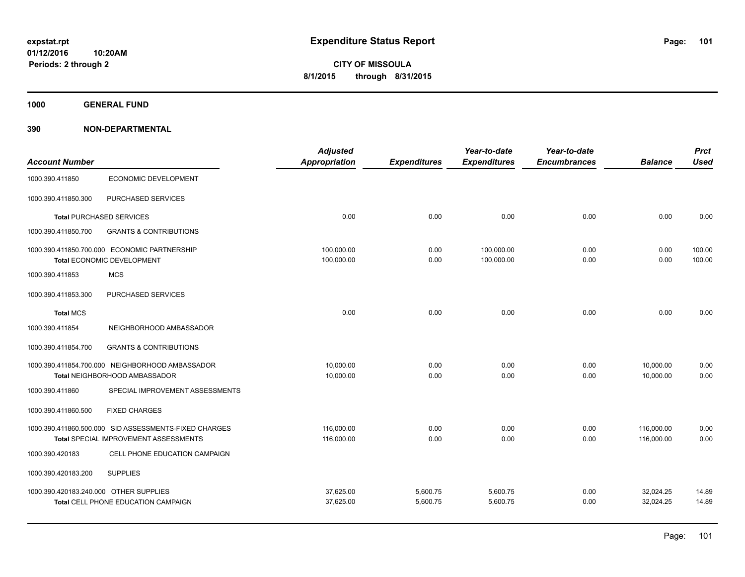**1000 GENERAL FUND**

|                                        |                                                       | <b>Adjusted</b> |                     | Year-to-date        | Year-to-date        |                | <b>Prct</b> |
|----------------------------------------|-------------------------------------------------------|-----------------|---------------------|---------------------|---------------------|----------------|-------------|
| <b>Account Number</b>                  |                                                       | Appropriation   | <b>Expenditures</b> | <b>Expenditures</b> | <b>Encumbrances</b> | <b>Balance</b> | <b>Used</b> |
| 1000.390.411850                        | <b>ECONOMIC DEVELOPMENT</b>                           |                 |                     |                     |                     |                |             |
| 1000.390.411850.300                    | PURCHASED SERVICES                                    |                 |                     |                     |                     |                |             |
|                                        | <b>Total PURCHASED SERVICES</b>                       | 0.00            | 0.00                | 0.00                | 0.00                | 0.00           | 0.00        |
| 1000.390.411850.700                    | <b>GRANTS &amp; CONTRIBUTIONS</b>                     |                 |                     |                     |                     |                |             |
|                                        | 1000.390.411850.700.000 ECONOMIC PARTNERSHIP          | 100,000.00      | 0.00                | 100,000.00          | 0.00                | 0.00           | 100.00      |
|                                        | Total ECONOMIC DEVELOPMENT                            | 100,000.00      | 0.00                | 100,000.00          | 0.00                | 0.00           | 100.00      |
| 1000.390.411853                        | <b>MCS</b>                                            |                 |                     |                     |                     |                |             |
| 1000.390.411853.300                    | <b>PURCHASED SERVICES</b>                             |                 |                     |                     |                     |                |             |
| <b>Total MCS</b>                       |                                                       | 0.00            | 0.00                | 0.00                | 0.00                | 0.00           | 0.00        |
| 1000.390.411854                        | NEIGHBORHOOD AMBASSADOR                               |                 |                     |                     |                     |                |             |
| 1000.390.411854.700                    | <b>GRANTS &amp; CONTRIBUTIONS</b>                     |                 |                     |                     |                     |                |             |
|                                        | 1000.390.411854.700.000 NEIGHBORHOOD AMBASSADOR       | 10,000.00       | 0.00                | 0.00                | 0.00                | 10,000.00      | 0.00        |
|                                        | Total NEIGHBORHOOD AMBASSADOR                         | 10,000.00       | 0.00                | 0.00                | 0.00                | 10,000.00      | 0.00        |
| 1000.390.411860                        | SPECIAL IMPROVEMENT ASSESSMENTS                       |                 |                     |                     |                     |                |             |
| 1000.390.411860.500                    | <b>FIXED CHARGES</b>                                  |                 |                     |                     |                     |                |             |
|                                        | 1000.390.411860.500.000 SID ASSESSMENTS-FIXED CHARGES | 116,000.00      | 0.00                | 0.00                | 0.00                | 116,000.00     | 0.00        |
|                                        | Total SPECIAL IMPROVEMENT ASSESSMENTS                 | 116,000.00      | 0.00                | 0.00                | 0.00                | 116,000.00     | 0.00        |
| 1000.390.420183                        | CELL PHONE EDUCATION CAMPAIGN                         |                 |                     |                     |                     |                |             |
| 1000.390.420183.200                    | <b>SUPPLIES</b>                                       |                 |                     |                     |                     |                |             |
| 1000.390.420183.240.000 OTHER SUPPLIES |                                                       | 37,625.00       | 5,600.75            | 5,600.75            | 0.00                | 32,024.25      | 14.89       |
|                                        | Total CELL PHONE EDUCATION CAMPAIGN                   | 37,625.00       | 5,600.75            | 5,600.75            | 0.00                | 32,024.25      | 14.89       |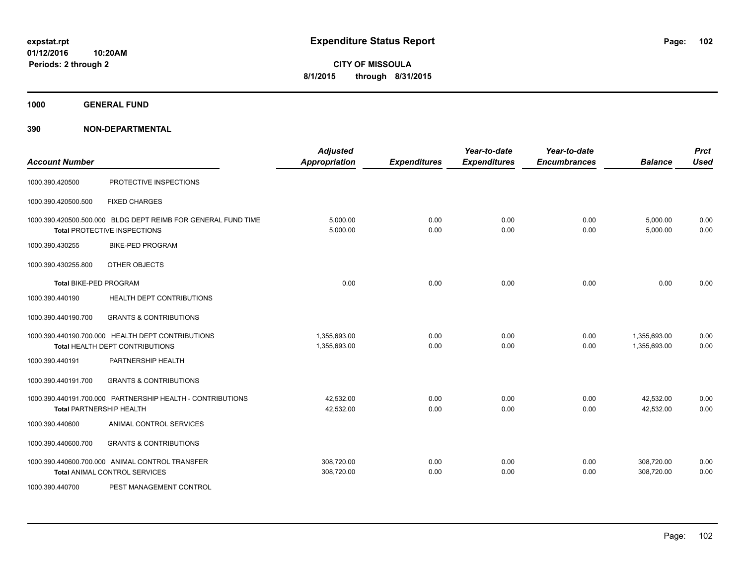**1000 GENERAL FUND**

| <b>Account Number</b>  |                                                                                               | <b>Adjusted</b><br><b>Appropriation</b> | <b>Expenditures</b> | Year-to-date<br><b>Expenditures</b> | Year-to-date<br><b>Encumbrances</b> | <b>Balance</b>               | <b>Prct</b><br><b>Used</b> |
|------------------------|-----------------------------------------------------------------------------------------------|-----------------------------------------|---------------------|-------------------------------------|-------------------------------------|------------------------------|----------------------------|
| 1000.390.420500        | PROTECTIVE INSPECTIONS                                                                        |                                         |                     |                                     |                                     |                              |                            |
| 1000.390.420500.500    | <b>FIXED CHARGES</b>                                                                          |                                         |                     |                                     |                                     |                              |                            |
|                        | 1000.390.420500.500.000 BLDG DEPT REIMB FOR GENERAL FUND TIME<br>Total PROTECTIVE INSPECTIONS | 5,000.00<br>5,000.00                    | 0.00<br>0.00        | 0.00<br>0.00                        | 0.00<br>0.00                        | 5,000.00<br>5,000.00         | 0.00<br>0.00               |
| 1000.390.430255        | <b>BIKE-PED PROGRAM</b>                                                                       |                                         |                     |                                     |                                     |                              |                            |
| 1000.390.430255.800    | OTHER OBJECTS                                                                                 |                                         |                     |                                     |                                     |                              |                            |
| Total BIKE-PED PROGRAM |                                                                                               | 0.00                                    | 0.00                | 0.00                                | 0.00                                | 0.00                         | 0.00                       |
| 1000.390.440190        | HEALTH DEPT CONTRIBUTIONS                                                                     |                                         |                     |                                     |                                     |                              |                            |
| 1000.390.440190.700    | <b>GRANTS &amp; CONTRIBUTIONS</b>                                                             |                                         |                     |                                     |                                     |                              |                            |
|                        | 1000.390.440190.700.000 HEALTH DEPT CONTRIBUTIONS<br>Total HEALTH DEPT CONTRIBUTIONS          | 1,355,693.00<br>1,355,693.00            | 0.00<br>0.00        | 0.00<br>0.00                        | 0.00<br>0.00                        | 1,355,693.00<br>1,355,693.00 | 0.00<br>0.00               |
| 1000.390.440191        | PARTNERSHIP HEALTH                                                                            |                                         |                     |                                     |                                     |                              |                            |
| 1000.390.440191.700    | <b>GRANTS &amp; CONTRIBUTIONS</b>                                                             |                                         |                     |                                     |                                     |                              |                            |
|                        | 1000.390.440191.700.000 PARTNERSHIP HEALTH - CONTRIBUTIONS<br><b>Total PARTNERSHIP HEALTH</b> | 42,532.00<br>42,532.00                  | 0.00<br>0.00        | 0.00<br>0.00                        | 0.00<br>0.00                        | 42,532.00<br>42,532.00       | 0.00<br>0.00               |
| 1000.390.440600        | ANIMAL CONTROL SERVICES                                                                       |                                         |                     |                                     |                                     |                              |                            |
| 1000.390.440600.700    | <b>GRANTS &amp; CONTRIBUTIONS</b>                                                             |                                         |                     |                                     |                                     |                              |                            |
|                        | 1000.390.440600.700.000 ANIMAL CONTROL TRANSFER<br><b>Total ANIMAL CONTROL SERVICES</b>       | 308,720.00<br>308,720.00                | 0.00<br>0.00        | 0.00<br>0.00                        | 0.00<br>0.00                        | 308,720.00<br>308,720.00     | 0.00<br>0.00               |
| 1000.390.440700        | PEST MANAGEMENT CONTROL                                                                       |                                         |                     |                                     |                                     |                              |                            |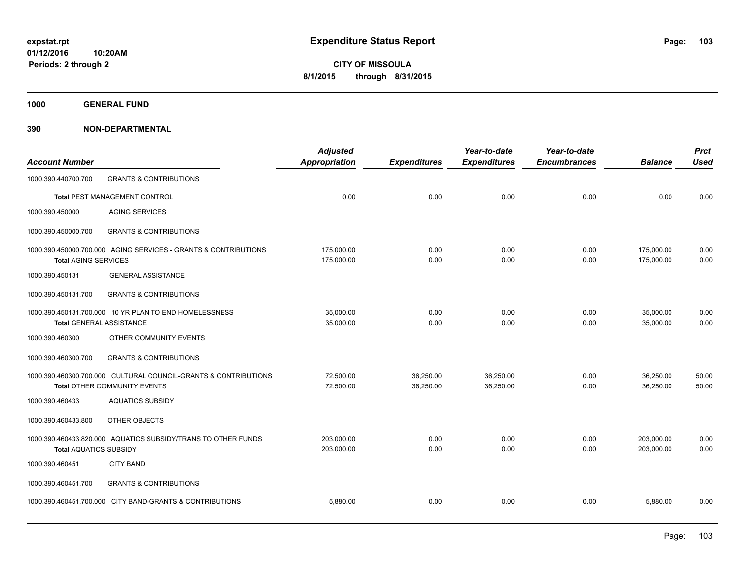**1000 GENERAL FUND**

| <b>Account Number</b>           |                                                                                                        | <b>Adjusted</b><br><b>Appropriation</b> | <b>Expenditures</b>    | Year-to-date<br><b>Expenditures</b> | Year-to-date<br><b>Encumbrances</b> | <b>Balance</b>           | <b>Prct</b><br><b>Used</b> |
|---------------------------------|--------------------------------------------------------------------------------------------------------|-----------------------------------------|------------------------|-------------------------------------|-------------------------------------|--------------------------|----------------------------|
| 1000.390.440700.700             | <b>GRANTS &amp; CONTRIBUTIONS</b>                                                                      |                                         |                        |                                     |                                     |                          |                            |
|                                 | Total PEST MANAGEMENT CONTROL                                                                          | 0.00                                    | 0.00                   | 0.00                                | 0.00                                | 0.00                     | 0.00                       |
| 1000.390.450000                 | <b>AGING SERVICES</b>                                                                                  |                                         |                        |                                     |                                     |                          |                            |
| 1000.390.450000.700             | <b>GRANTS &amp; CONTRIBUTIONS</b>                                                                      |                                         |                        |                                     |                                     |                          |                            |
| <b>Total AGING SERVICES</b>     | 1000.390.450000.700.000 AGING SERVICES - GRANTS & CONTRIBUTIONS                                        | 175,000.00<br>175,000.00                | 0.00<br>0.00           | 0.00<br>0.00                        | 0.00<br>0.00                        | 175,000.00<br>175,000.00 | 0.00<br>0.00               |
| 1000.390.450131                 | <b>GENERAL ASSISTANCE</b>                                                                              |                                         |                        |                                     |                                     |                          |                            |
| 1000.390.450131.700             | <b>GRANTS &amp; CONTRIBUTIONS</b>                                                                      |                                         |                        |                                     |                                     |                          |                            |
| <b>Total GENERAL ASSISTANCE</b> | 1000.390.450131.700.000 10 YR PLAN TO END HOMELESSNESS                                                 | 35,000.00<br>35,000.00                  | 0.00<br>0.00           | 0.00<br>0.00                        | 0.00<br>0.00                        | 35,000.00<br>35,000.00   | 0.00<br>0.00               |
| 1000.390.460300                 | OTHER COMMUNITY EVENTS                                                                                 |                                         |                        |                                     |                                     |                          |                            |
| 1000.390.460300.700             | <b>GRANTS &amp; CONTRIBUTIONS</b>                                                                      |                                         |                        |                                     |                                     |                          |                            |
|                                 | 1000.390.460300.700.000 CULTURAL COUNCIL-GRANTS & CONTRIBUTIONS<br><b>Total OTHER COMMUNITY EVENTS</b> | 72.500.00<br>72,500.00                  | 36,250.00<br>36,250.00 | 36,250.00<br>36,250.00              | 0.00<br>0.00                        | 36,250.00<br>36,250.00   | 50.00<br>50.00             |
| 1000.390.460433                 | <b>AQUATICS SUBSIDY</b>                                                                                |                                         |                        |                                     |                                     |                          |                            |
| 1000.390.460433.800             | OTHER OBJECTS                                                                                          |                                         |                        |                                     |                                     |                          |                            |
| <b>Total AQUATICS SUBSIDY</b>   | 1000.390.460433.820.000 AQUATICS SUBSIDY/TRANS TO OTHER FUNDS                                          | 203,000.00<br>203,000.00                | 0.00<br>0.00           | 0.00<br>0.00                        | 0.00<br>0.00                        | 203,000.00<br>203.000.00 | 0.00<br>0.00               |
| 1000.390.460451                 | <b>CITY BAND</b>                                                                                       |                                         |                        |                                     |                                     |                          |                            |
| 1000.390.460451.700             | <b>GRANTS &amp; CONTRIBUTIONS</b>                                                                      |                                         |                        |                                     |                                     |                          |                            |
|                                 | 1000.390.460451.700.000 CITY BAND-GRANTS & CONTRIBUTIONS                                               | 5,880.00                                | 0.00                   | 0.00                                | 0.00                                | 5,880.00                 | 0.00                       |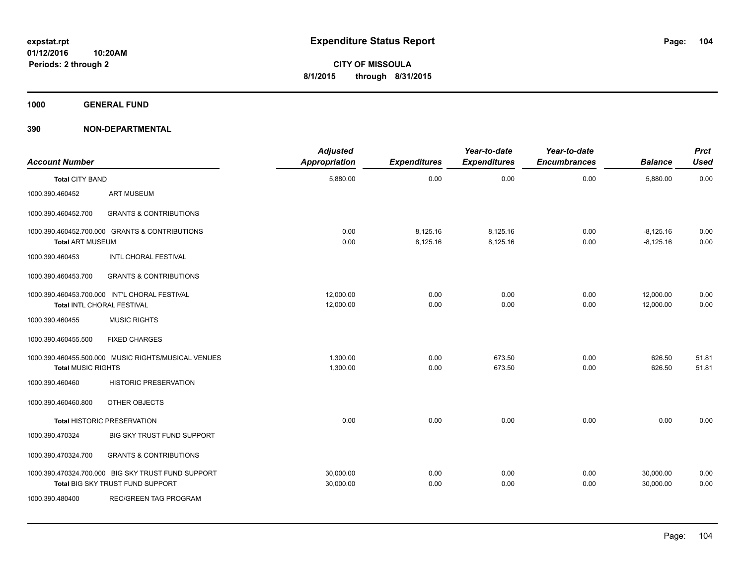**1000 GENERAL FUND**

| <b>Account Number</b>     |                                                                                        | <b>Adjusted</b><br>Appropriation | <b>Expenditures</b>  | Year-to-date<br><b>Expenditures</b> | Year-to-date<br><b>Encumbrances</b> | <b>Balance</b>             | <b>Prct</b><br><b>Used</b> |
|---------------------------|----------------------------------------------------------------------------------------|----------------------------------|----------------------|-------------------------------------|-------------------------------------|----------------------------|----------------------------|
| <b>Total CITY BAND</b>    |                                                                                        | 5,880.00                         | 0.00                 | 0.00                                | 0.00                                | 5,880.00                   | 0.00                       |
| 1000.390.460452           | <b>ART MUSEUM</b>                                                                      |                                  |                      |                                     |                                     |                            |                            |
| 1000.390.460452.700       | <b>GRANTS &amp; CONTRIBUTIONS</b>                                                      |                                  |                      |                                     |                                     |                            |                            |
| <b>Total ART MUSEUM</b>   | 1000.390.460452.700.000 GRANTS & CONTRIBUTIONS                                         | 0.00<br>0.00                     | 8,125.16<br>8,125.16 | 8,125.16<br>8,125.16                | 0.00<br>0.00                        | $-8,125.16$<br>$-8,125.16$ | 0.00<br>0.00               |
| 1000.390.460453           | INTL CHORAL FESTIVAL                                                                   |                                  |                      |                                     |                                     |                            |                            |
| 1000.390.460453.700       | <b>GRANTS &amp; CONTRIBUTIONS</b>                                                      |                                  |                      |                                     |                                     |                            |                            |
|                           | 1000.390.460453.700.000 INT'L CHORAL FESTIVAL<br>Total INTL CHORAL FESTIVAL            | 12,000.00<br>12,000.00           | 0.00<br>0.00         | 0.00<br>0.00                        | 0.00<br>0.00                        | 12,000.00<br>12,000.00     | 0.00<br>0.00               |
| 1000.390.460455           | <b>MUSIC RIGHTS</b>                                                                    |                                  |                      |                                     |                                     |                            |                            |
| 1000.390.460455.500       | <b>FIXED CHARGES</b>                                                                   |                                  |                      |                                     |                                     |                            |                            |
| <b>Total MUSIC RIGHTS</b> | 1000.390.460455.500.000 MUSIC RIGHTS/MUSICAL VENUES                                    | 1,300.00<br>1,300.00             | 0.00<br>0.00         | 673.50<br>673.50                    | 0.00<br>0.00                        | 626.50<br>626.50           | 51.81<br>51.81             |
| 1000.390.460460           | <b>HISTORIC PRESERVATION</b>                                                           |                                  |                      |                                     |                                     |                            |                            |
| 1000.390.460460.800       | OTHER OBJECTS                                                                          |                                  |                      |                                     |                                     |                            |                            |
|                           | <b>Total HISTORIC PRESERVATION</b>                                                     | 0.00                             | 0.00                 | 0.00                                | 0.00                                | 0.00                       | 0.00                       |
| 1000.390.470324           | BIG SKY TRUST FUND SUPPORT                                                             |                                  |                      |                                     |                                     |                            |                            |
| 1000.390.470324.700       | <b>GRANTS &amp; CONTRIBUTIONS</b>                                                      |                                  |                      |                                     |                                     |                            |                            |
|                           | 1000.390.470324.700.000 BIG SKY TRUST FUND SUPPORT<br>Total BIG SKY TRUST FUND SUPPORT | 30,000.00<br>30,000.00           | 0.00<br>0.00         | 0.00<br>0.00                        | 0.00<br>0.00                        | 30,000.00<br>30,000.00     | 0.00<br>0.00               |
| 1000.390.480400           | <b>REC/GREEN TAG PROGRAM</b>                                                           |                                  |                      |                                     |                                     |                            |                            |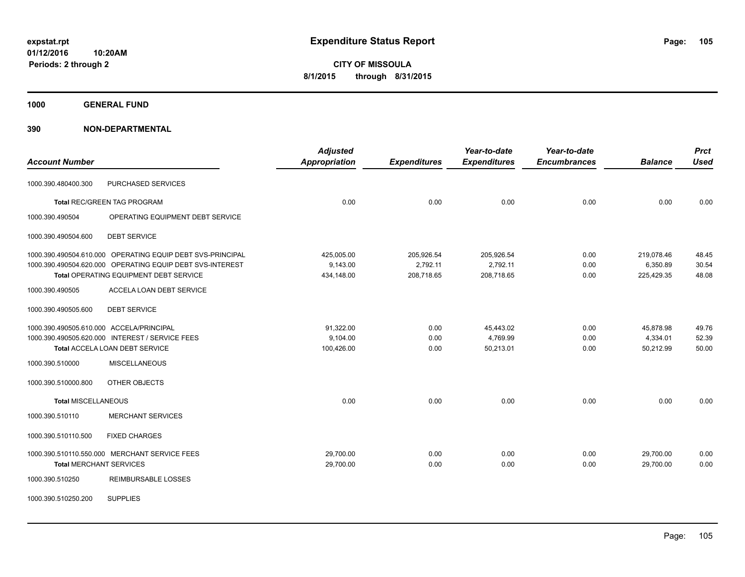**1000 GENERAL FUND**

| <b>Account Number</b>                    |                                                            | <b>Adjusted</b><br><b>Appropriation</b> | <b>Expenditures</b> | Year-to-date<br><b>Expenditures</b> | Year-to-date<br><b>Encumbrances</b> | <b>Balance</b> | <b>Prct</b><br><b>Used</b> |
|------------------------------------------|------------------------------------------------------------|-----------------------------------------|---------------------|-------------------------------------|-------------------------------------|----------------|----------------------------|
| 1000.390.480400.300                      | PURCHASED SERVICES                                         |                                         |                     |                                     |                                     |                |                            |
|                                          | <b>Total REC/GREEN TAG PROGRAM</b>                         | 0.00                                    | 0.00                | 0.00                                | 0.00                                | 0.00           | 0.00                       |
| 1000.390.490504                          | OPERATING EQUIPMENT DEBT SERVICE                           |                                         |                     |                                     |                                     |                |                            |
| 1000.390.490504.600                      | <b>DEBT SERVICE</b>                                        |                                         |                     |                                     |                                     |                |                            |
|                                          | 1000.390.490504.610.000 OPERATING EQUIP DEBT SVS-PRINCIPAL | 425,005.00                              | 205,926.54          | 205,926.54                          | 0.00                                | 219,078.46     | 48.45                      |
|                                          | 1000.390.490504.620.000 OPERATING EQUIP DEBT SVS-INTEREST  | 9,143.00                                | 2,792.11            | 2,792.11                            | 0.00                                | 6,350.89       | 30.54                      |
|                                          | Total OPERATING EQUIPMENT DEBT SERVICE                     | 434,148.00                              | 208,718.65          | 208,718.65                          | 0.00                                | 225,429.35     | 48.08                      |
| 1000.390.490505                          | <b>ACCELA LOAN DEBT SERVICE</b>                            |                                         |                     |                                     |                                     |                |                            |
| 1000.390.490505.600                      | <b>DEBT SERVICE</b>                                        |                                         |                     |                                     |                                     |                |                            |
| 1000.390.490505.610.000 ACCELA/PRINCIPAL |                                                            | 91,322.00                               | 0.00                | 45,443.02                           | 0.00                                | 45,878.98      | 49.76                      |
|                                          | 1000.390.490505.620.000 INTEREST / SERVICE FEES            | 9,104.00                                | 0.00                | 4,769.99                            | 0.00                                | 4,334.01       | 52.39                      |
|                                          | <b>Total ACCELA LOAN DEBT SERVICE</b>                      | 100,426.00                              | 0.00                | 50,213.01                           | 0.00                                | 50,212.99      | 50.00                      |
| 1000.390.510000                          | <b>MISCELLANEOUS</b>                                       |                                         |                     |                                     |                                     |                |                            |
| 1000.390.510000.800                      | OTHER OBJECTS                                              |                                         |                     |                                     |                                     |                |                            |
| <b>Total MISCELLANEOUS</b>               |                                                            | 0.00                                    | 0.00                | 0.00                                | 0.00                                | 0.00           | 0.00                       |
| 1000.390.510110                          | <b>MERCHANT SERVICES</b>                                   |                                         |                     |                                     |                                     |                |                            |
| 1000.390.510110.500                      | <b>FIXED CHARGES</b>                                       |                                         |                     |                                     |                                     |                |                            |
|                                          | 1000.390.510110.550.000 MERCHANT SERVICE FEES              | 29,700.00                               | 0.00                | 0.00                                | 0.00                                | 29,700.00      | 0.00                       |
| <b>Total MERCHANT SERVICES</b>           |                                                            | 29,700.00                               | 0.00                | 0.00                                | 0.00                                | 29,700.00      | 0.00                       |
| 1000.390.510250                          | <b>REIMBURSABLE LOSSES</b>                                 |                                         |                     |                                     |                                     |                |                            |
| 1000.390.510250.200                      | <b>SUPPLIES</b>                                            |                                         |                     |                                     |                                     |                |                            |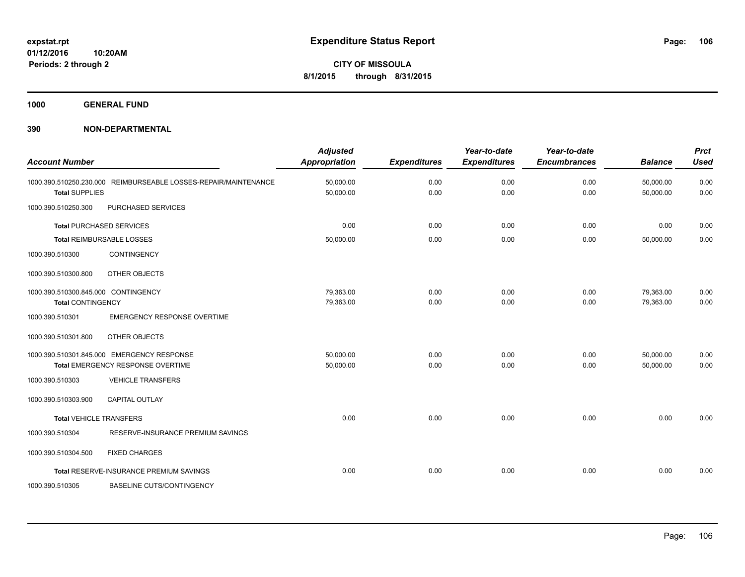**1000 GENERAL FUND**

| <b>Account Number</b>                                           |                                                                                 | <b>Adjusted</b><br><b>Appropriation</b> | <b>Expenditures</b> | Year-to-date<br><b>Expenditures</b> | Year-to-date<br><b>Encumbrances</b> | <b>Balance</b>         | <b>Prct</b><br><b>Used</b> |
|-----------------------------------------------------------------|---------------------------------------------------------------------------------|-----------------------------------------|---------------------|-------------------------------------|-------------------------------------|------------------------|----------------------------|
| <b>Total SUPPLIES</b>                                           | 1000.390.510250.230.000 REIMBURSEABLE LOSSES-REPAIR/MAINTENANCE                 | 50,000.00<br>50,000.00                  | 0.00<br>0.00        | 0.00<br>0.00                        | 0.00<br>0.00                        | 50,000.00<br>50,000.00 | 0.00<br>0.00               |
| 1000.390.510250.300                                             | PURCHASED SERVICES                                                              |                                         |                     |                                     |                                     |                        |                            |
|                                                                 | <b>Total PURCHASED SERVICES</b>                                                 | 0.00                                    | 0.00                | 0.00                                | 0.00                                | 0.00                   | 0.00                       |
|                                                                 | Total REIMBURSABLE LOSSES                                                       | 50,000.00                               | 0.00                | 0.00                                | 0.00                                | 50,000.00              | 0.00                       |
| 1000.390.510300                                                 | <b>CONTINGENCY</b>                                                              |                                         |                     |                                     |                                     |                        |                            |
| 1000.390.510300.800                                             | OTHER OBJECTS                                                                   |                                         |                     |                                     |                                     |                        |                            |
| 1000.390.510300.845.000 CONTINGENCY<br><b>Total CONTINGENCY</b> |                                                                                 | 79,363.00<br>79,363.00                  | 0.00<br>0.00        | 0.00<br>0.00                        | 0.00<br>0.00                        | 79,363.00<br>79,363.00 | 0.00<br>0.00               |
| 1000.390.510301                                                 | <b>EMERGENCY RESPONSE OVERTIME</b>                                              |                                         |                     |                                     |                                     |                        |                            |
| 1000.390.510301.800                                             | OTHER OBJECTS                                                                   |                                         |                     |                                     |                                     |                        |                            |
|                                                                 | 1000.390.510301.845.000 EMERGENCY RESPONSE<br>Total EMERGENCY RESPONSE OVERTIME | 50,000.00<br>50,000.00                  | 0.00<br>0.00        | 0.00<br>0.00                        | 0.00<br>0.00                        | 50,000.00<br>50,000.00 | 0.00<br>0.00               |
| 1000.390.510303                                                 | <b>VEHICLE TRANSFERS</b>                                                        |                                         |                     |                                     |                                     |                        |                            |
| 1000.390.510303.900                                             | <b>CAPITAL OUTLAY</b>                                                           |                                         |                     |                                     |                                     |                        |                            |
| <b>Total VEHICLE TRANSFERS</b>                                  |                                                                                 | 0.00                                    | 0.00                | 0.00                                | 0.00                                | 0.00                   | 0.00                       |
| 1000.390.510304                                                 | RESERVE-INSURANCE PREMIUM SAVINGS                                               |                                         |                     |                                     |                                     |                        |                            |
| 1000.390.510304.500                                             | <b>FIXED CHARGES</b>                                                            |                                         |                     |                                     |                                     |                        |                            |
|                                                                 | Total RESERVE-INSURANCE PREMIUM SAVINGS                                         | 0.00                                    | 0.00                | 0.00                                | 0.00                                | 0.00                   | 0.00                       |
| 1000.390.510305                                                 | <b>BASELINE CUTS/CONTINGENCY</b>                                                |                                         |                     |                                     |                                     |                        |                            |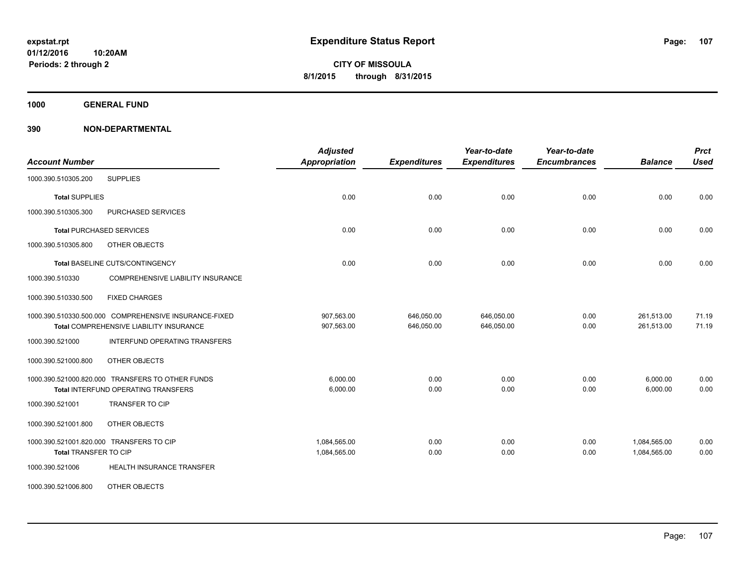**1000 GENERAL FUND**

| <b>Account Number</b>                                                                                   | <b>Adjusted</b><br><b>Appropriation</b> | <b>Expenditures</b>      | Year-to-date<br><b>Expenditures</b> | Year-to-date<br><b>Encumbrances</b> | <b>Balance</b>               | <b>Prct</b><br><b>Used</b> |
|---------------------------------------------------------------------------------------------------------|-----------------------------------------|--------------------------|-------------------------------------|-------------------------------------|------------------------------|----------------------------|
| <b>SUPPLIES</b><br>1000.390.510305.200                                                                  |                                         |                          |                                     |                                     |                              |                            |
| <b>Total SUPPLIES</b>                                                                                   | 0.00                                    | 0.00                     | 0.00                                | 0.00                                | 0.00                         | 0.00                       |
| 1000.390.510305.300<br>PURCHASED SERVICES                                                               |                                         |                          |                                     |                                     |                              |                            |
| <b>Total PURCHASED SERVICES</b>                                                                         | 0.00                                    | 0.00                     | 0.00                                | 0.00                                | 0.00                         | 0.00                       |
| OTHER OBJECTS<br>1000.390.510305.800                                                                    |                                         |                          |                                     |                                     |                              |                            |
| Total BASELINE CUTS/CONTINGENCY                                                                         | 0.00                                    | 0.00                     | 0.00                                | 0.00                                | 0.00                         | 0.00                       |
| 1000.390.510330<br>COMPREHENSIVE LIABILITY INSURANCE                                                    |                                         |                          |                                     |                                     |                              |                            |
| 1000.390.510330.500<br><b>FIXED CHARGES</b>                                                             |                                         |                          |                                     |                                     |                              |                            |
| 1000.390.510330.500.000 COMPREHENSIVE INSURANCE-FIXED<br><b>Total COMPREHENSIVE LIABILITY INSURANCE</b> | 907,563.00<br>907,563.00                | 646,050.00<br>646,050.00 | 646,050.00<br>646,050.00            | 0.00<br>0.00                        | 261,513.00<br>261,513.00     | 71.19<br>71.19             |
| 1000.390.521000<br>INTERFUND OPERATING TRANSFERS                                                        |                                         |                          |                                     |                                     |                              |                            |
| OTHER OBJECTS<br>1000.390.521000.800                                                                    |                                         |                          |                                     |                                     |                              |                            |
| 1000.390.521000.820.000 TRANSFERS TO OTHER FUNDS<br>Total INTERFUND OPERATING TRANSFERS                 | 6,000.00<br>6,000.00                    | 0.00<br>0.00             | 0.00<br>0.00                        | 0.00<br>0.00                        | 6,000.00<br>6,000.00         | 0.00<br>0.00               |
| 1000.390.521001<br><b>TRANSFER TO CIP</b>                                                               |                                         |                          |                                     |                                     |                              |                            |
| 1000.390.521001.800<br>OTHER OBJECTS                                                                    |                                         |                          |                                     |                                     |                              |                            |
| 1000.390.521001.820.000 TRANSFERS TO CIP<br><b>Total TRANSFER TO CIP</b>                                | 1,084,565.00<br>1,084,565.00            | 0.00<br>0.00             | 0.00<br>0.00                        | 0.00<br>0.00                        | 1,084,565.00<br>1,084,565.00 | 0.00<br>0.00               |
| 1000.390.521006<br>HEALTH INSURANCE TRANSFER                                                            |                                         |                          |                                     |                                     |                              |                            |
| OTHER OBJECTS<br>1000.390.521006.800                                                                    |                                         |                          |                                     |                                     |                              |                            |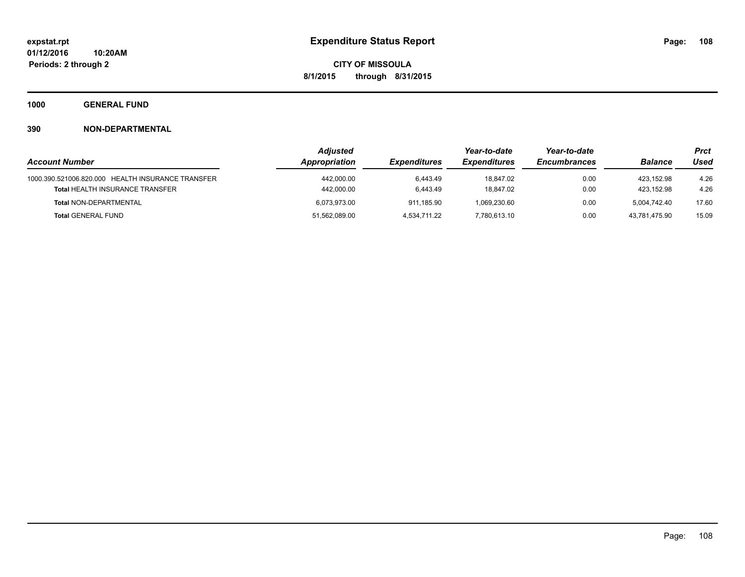**1000 GENERAL FUND**

|                                                   | <b>Adjusted</b>                      |                     | Year-to-date        | Year-to-date   |               | Prct  |
|---------------------------------------------------|--------------------------------------|---------------------|---------------------|----------------|---------------|-------|
| <b>Account Number</b>                             | Appropriation<br><b>Expenditures</b> | <b>Expenditures</b> | <b>Encumbrances</b> | <b>Balance</b> | Used          |       |
| 1000.390.521006.820.000 HEALTH INSURANCE TRANSFER | 442,000.00                           | 6.443.49            | 18.847.02           | 0.00           | 423.152.98    | 4.26  |
| <b>Total HEALTH INSURANCE TRANSFER</b>            | 442,000.00                           | 6.443.49            | 18.847.02           | 0.00           | 423.152.98    | 4.26  |
| <b>Total NON-DEPARTMENTAL</b>                     | 6.073.973.00                         | 911.185.90          | 1.069.230.60        | 0.00           | 5.004.742.40  | 17.60 |
| <b>Total GENERAL FUND</b>                         | 51,562,089.00                        | 4.534.711.22        | 7,780,613.10        | 0.00           | 43.781.475.90 | 15.09 |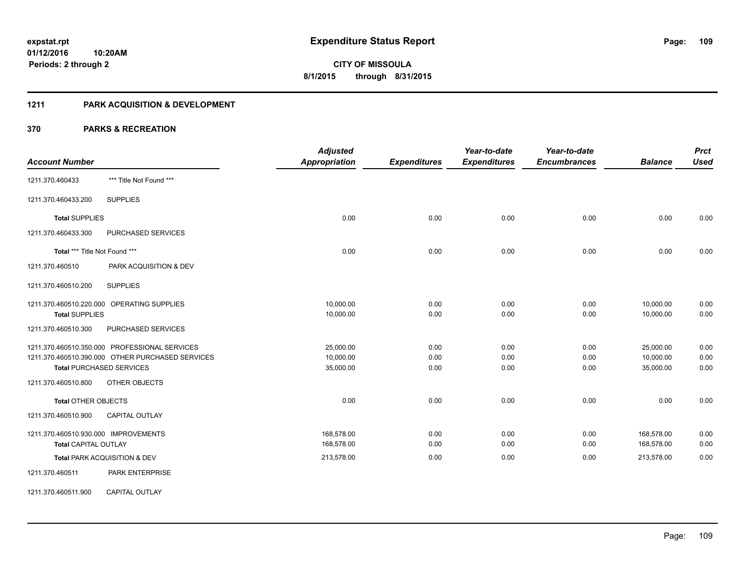#### **1211 PARK ACQUISITION & DEVELOPMENT**

|                                               |                                                  | <b>Adjusted</b>      |                     | Year-to-date        | Year-to-date        |                | <b>Prct</b> |
|-----------------------------------------------|--------------------------------------------------|----------------------|---------------------|---------------------|---------------------|----------------|-------------|
| <b>Account Number</b>                         |                                                  | <b>Appropriation</b> | <b>Expenditures</b> | <b>Expenditures</b> | <b>Encumbrances</b> | <b>Balance</b> | <b>Used</b> |
| 1211.370.460433                               | *** Title Not Found ***                          |                      |                     |                     |                     |                |             |
| 1211.370.460433.200                           | <b>SUPPLIES</b>                                  |                      |                     |                     |                     |                |             |
| <b>Total SUPPLIES</b>                         |                                                  | 0.00                 | 0.00                | 0.00                | 0.00                | 0.00           | 0.00        |
| 1211.370.460433.300                           | PURCHASED SERVICES                               |                      |                     |                     |                     |                |             |
| Total *** Title Not Found ***                 |                                                  | 0.00                 | 0.00                | 0.00                | 0.00                | 0.00           | 0.00        |
| 1211.370.460510                               | PARK ACQUISITION & DEV                           |                      |                     |                     |                     |                |             |
| 1211.370.460510.200                           | <b>SUPPLIES</b>                                  |                      |                     |                     |                     |                |             |
| 1211.370.460510.220.000 OPERATING SUPPLIES    |                                                  | 10,000.00            | 0.00                | 0.00                | 0.00                | 10,000.00      | 0.00        |
| <b>Total SUPPLIES</b>                         |                                                  | 10,000.00            | 0.00                | 0.00                | 0.00                | 10,000.00      | 0.00        |
| 1211.370.460510.300                           | PURCHASED SERVICES                               |                      |                     |                     |                     |                |             |
| 1211.370.460510.350.000 PROFESSIONAL SERVICES |                                                  | 25,000.00            | 0.00                | 0.00                | 0.00                | 25,000.00      | 0.00        |
|                                               | 1211.370.460510.390.000 OTHER PURCHASED SERVICES | 10,000.00            | 0.00                | 0.00                | 0.00                | 10,000.00      | 0.00        |
| <b>Total PURCHASED SERVICES</b>               |                                                  | 35,000.00            | 0.00                | 0.00                | 0.00                | 35,000.00      | 0.00        |
| 1211.370.460510.800                           | OTHER OBJECTS                                    |                      |                     |                     |                     |                |             |
| <b>Total OTHER OBJECTS</b>                    |                                                  | 0.00                 | 0.00                | 0.00                | 0.00                | 0.00           | 0.00        |
| 1211.370.460510.900                           | CAPITAL OUTLAY                                   |                      |                     |                     |                     |                |             |
| 1211.370.460510.930.000 IMPROVEMENTS          |                                                  | 168,578.00           | 0.00                | 0.00                | 0.00                | 168,578.00     | 0.00        |
| <b>Total CAPITAL OUTLAY</b>                   |                                                  | 168,578.00           | 0.00                | 0.00                | 0.00                | 168,578.00     | 0.00        |
| Total PARK ACQUISITION & DEV                  |                                                  | 213,578.00           | 0.00                | 0.00                | 0.00                | 213,578.00     | 0.00        |
| 1211.370.460511                               | PARK ENTERPRISE                                  |                      |                     |                     |                     |                |             |
| 1211.370.460511.900                           | <b>CAPITAL OUTLAY</b>                            |                      |                     |                     |                     |                |             |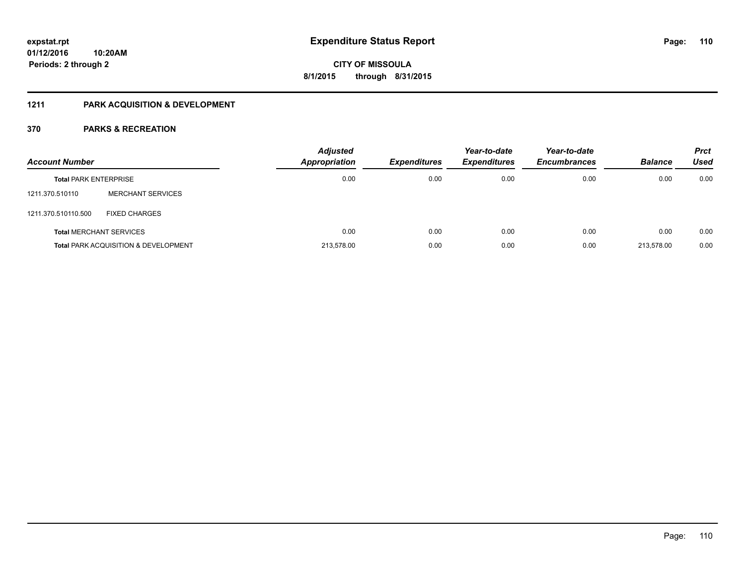## **1211 PARK ACQUISITION & DEVELOPMENT**

| <b>Account Number</b>        |                                                 | <b>Adjusted</b><br>Appropriation | <b>Expenditures</b> | Year-to-date<br><b>Expenditures</b> | Year-to-date<br><b>Encumbrances</b> | <b>Balance</b> | <b>Prct</b><br>Used |
|------------------------------|-------------------------------------------------|----------------------------------|---------------------|-------------------------------------|-------------------------------------|----------------|---------------------|
| <b>Total PARK ENTERPRISE</b> |                                                 | 0.00                             | 0.00                | 0.00                                | 0.00                                | 0.00           | 0.00                |
| 1211.370.510110              | <b>MERCHANT SERVICES</b>                        |                                  |                     |                                     |                                     |                |                     |
| 1211.370.510110.500          | <b>FIXED CHARGES</b>                            |                                  |                     |                                     |                                     |                |                     |
|                              | <b>Total MERCHANT SERVICES</b>                  | 0.00                             | 0.00                | 0.00                                | 0.00                                | 0.00           | 0.00                |
|                              | <b>Total PARK ACQUISITION &amp; DEVELOPMENT</b> | 213.578.00                       | 0.00                | 0.00                                | 0.00                                | 213.578.00     | 0.00                |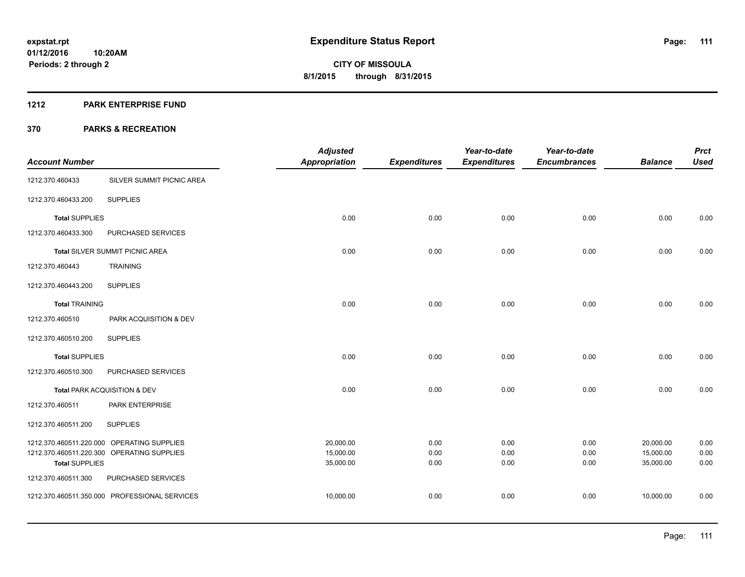#### **1212 PARK ENTERPRISE FUND**

|                         |                                            | <b>Adjusted</b>        |                     | Year-to-date        | Year-to-date        |                        | <b>Prct</b>  |
|-------------------------|--------------------------------------------|------------------------|---------------------|---------------------|---------------------|------------------------|--------------|
| <b>Account Number</b>   |                                            | <b>Appropriation</b>   | <b>Expenditures</b> | <b>Expenditures</b> | <b>Encumbrances</b> | <b>Balance</b>         | <b>Used</b>  |
| 1212.370.460433         | SILVER SUMMIT PICNIC AREA                  |                        |                     |                     |                     |                        |              |
| 1212.370.460433.200     | <b>SUPPLIES</b>                            |                        |                     |                     |                     |                        |              |
| <b>Total SUPPLIES</b>   |                                            | 0.00                   | 0.00                | 0.00                | 0.00                | 0.00                   | 0.00         |
| 1212.370.460433.300     | PURCHASED SERVICES                         |                        |                     |                     |                     |                        |              |
|                         | Total SILVER SUMMIT PICNIC AREA            | 0.00                   | 0.00                | 0.00                | 0.00                | 0.00                   | 0.00         |
| 1212.370.460443         | <b>TRAINING</b>                            |                        |                     |                     |                     |                        |              |
| 1212.370.460443.200     | <b>SUPPLIES</b>                            |                        |                     |                     |                     |                        |              |
| <b>Total TRAINING</b>   |                                            | 0.00                   | 0.00                | 0.00                | 0.00                | 0.00                   | 0.00         |
| 1212.370.460510         | PARK ACQUISITION & DEV                     |                        |                     |                     |                     |                        |              |
| 1212.370.460510.200     | <b>SUPPLIES</b>                            |                        |                     |                     |                     |                        |              |
| <b>Total SUPPLIES</b>   |                                            | 0.00                   | 0.00                | 0.00                | 0.00                | 0.00                   | 0.00         |
| 1212.370.460510.300     | PURCHASED SERVICES                         |                        |                     |                     |                     |                        |              |
|                         | Total PARK ACQUISITION & DEV               | 0.00                   | 0.00                | 0.00                | 0.00                | 0.00                   | 0.00         |
| 1212.370.460511         | PARK ENTERPRISE                            |                        |                     |                     |                     |                        |              |
| 1212.370.460511.200     | <b>SUPPLIES</b>                            |                        |                     |                     |                     |                        |              |
|                         | 1212.370.460511.220.000 OPERATING SUPPLIES | 20,000.00              | 0.00                | 0.00                | 0.00                | 20,000.00              | 0.00         |
| <b>Total SUPPLIES</b>   | 1212.370.460511.220.300 OPERATING SUPPLIES | 15,000.00<br>35,000.00 | 0.00<br>0.00        | 0.00<br>0.00        | 0.00<br>0.00        | 15,000.00<br>35,000.00 | 0.00<br>0.00 |
| 1212.370.460511.300     | PURCHASED SERVICES                         |                        |                     |                     |                     |                        |              |
| 1212.370.460511.350.000 | PROFESSIONAL SERVICES                      | 10,000.00              | 0.00                | 0.00                | 0.00                | 10,000.00              | 0.00         |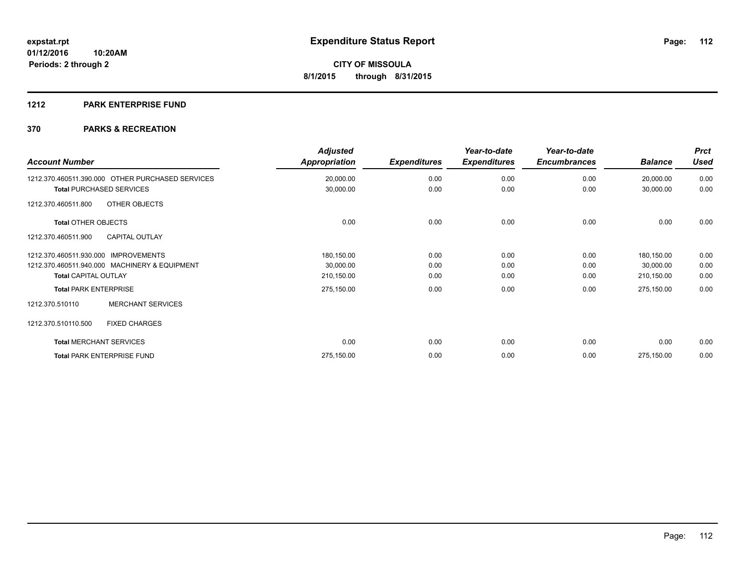## **1212 PARK ENTERPRISE FUND**

| <b>Account Number</b>                            | <b>Adjusted</b><br><b>Appropriation</b> | <b>Expenditures</b> | Year-to-date<br><b>Expenditures</b> | Year-to-date<br><b>Encumbrances</b> | <b>Balance</b> | <b>Prct</b><br><b>Used</b> |
|--------------------------------------------------|-----------------------------------------|---------------------|-------------------------------------|-------------------------------------|----------------|----------------------------|
| 1212.370.460511.390.000 OTHER PURCHASED SERVICES | 20,000.00                               | 0.00                | 0.00                                | 0.00                                | 20,000.00      | 0.00                       |
| <b>Total PURCHASED SERVICES</b>                  | 30,000.00                               | 0.00                | 0.00                                | 0.00                                | 30,000.00      | 0.00                       |
| OTHER OBJECTS<br>1212.370.460511.800             |                                         |                     |                                     |                                     |                |                            |
| <b>Total OTHER OBJECTS</b>                       | 0.00                                    | 0.00                | 0.00                                | 0.00                                | 0.00           | 0.00                       |
| <b>CAPITAL OUTLAY</b><br>1212.370.460511.900     |                                         |                     |                                     |                                     |                |                            |
| <b>IMPROVEMENTS</b><br>1212.370.460511.930.000   | 180,150.00                              | 0.00                | 0.00                                | 0.00                                | 180,150.00     | 0.00                       |
| 1212.370.460511.940.000 MACHINERY & EQUIPMENT    | 30,000.00                               | 0.00                | 0.00                                | 0.00                                | 30,000.00      | 0.00                       |
| <b>Total CAPITAL OUTLAY</b>                      | 210,150.00                              | 0.00                | 0.00                                | 0.00                                | 210,150.00     | 0.00                       |
| <b>Total PARK ENTERPRISE</b>                     | 275,150.00                              | 0.00                | 0.00                                | 0.00                                | 275,150.00     | 0.00                       |
| <b>MERCHANT SERVICES</b><br>1212.370.510110      |                                         |                     |                                     |                                     |                |                            |
| 1212.370.510110.500<br><b>FIXED CHARGES</b>      |                                         |                     |                                     |                                     |                |                            |
| <b>Total MERCHANT SERVICES</b>                   | 0.00                                    | 0.00                | 0.00                                | 0.00                                | 0.00           | 0.00                       |
| <b>Total PARK ENTERPRISE FUND</b>                | 275,150.00                              | 0.00                | 0.00                                | 0.00                                | 275,150.00     | 0.00                       |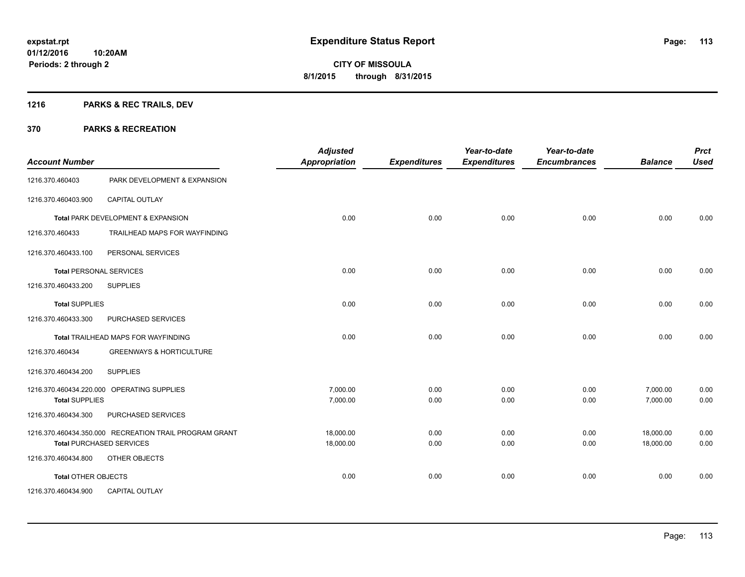## **1216 PARKS & REC TRAILS, DEV**

| <b>Account Number</b>          |                                                        | <b>Adjusted</b><br>Appropriation | <b>Expenditures</b> | Year-to-date<br><b>Expenditures</b> | Year-to-date<br><b>Encumbrances</b> | <b>Balance</b> | <b>Prct</b><br><b>Used</b> |
|--------------------------------|--------------------------------------------------------|----------------------------------|---------------------|-------------------------------------|-------------------------------------|----------------|----------------------------|
| 1216.370.460403                | PARK DEVELOPMENT & EXPANSION                           |                                  |                     |                                     |                                     |                |                            |
| 1216.370.460403.900            | <b>CAPITAL OUTLAY</b>                                  |                                  |                     |                                     |                                     |                |                            |
|                                | Total PARK DEVELOPMENT & EXPANSION                     | 0.00                             | 0.00                | 0.00                                | 0.00                                | 0.00           | 0.00                       |
| 1216.370.460433                | TRAILHEAD MAPS FOR WAYFINDING                          |                                  |                     |                                     |                                     |                |                            |
| 1216.370.460433.100            | PERSONAL SERVICES                                      |                                  |                     |                                     |                                     |                |                            |
| <b>Total PERSONAL SERVICES</b> |                                                        | 0.00                             | 0.00                | 0.00                                | 0.00                                | 0.00           | 0.00                       |
| 1216.370.460433.200            | <b>SUPPLIES</b>                                        |                                  |                     |                                     |                                     |                |                            |
| <b>Total SUPPLIES</b>          |                                                        | 0.00                             | 0.00                | 0.00                                | 0.00                                | 0.00           | 0.00                       |
| 1216.370.460433.300            | PURCHASED SERVICES                                     |                                  |                     |                                     |                                     |                |                            |
|                                | <b>Total TRAILHEAD MAPS FOR WAYFINDING</b>             | 0.00                             | 0.00                | 0.00                                | 0.00                                | 0.00           | 0.00                       |
| 1216.370.460434                | <b>GREENWAYS &amp; HORTICULTURE</b>                    |                                  |                     |                                     |                                     |                |                            |
| 1216.370.460434.200            | <b>SUPPLIES</b>                                        |                                  |                     |                                     |                                     |                |                            |
|                                | 1216.370.460434.220.000 OPERATING SUPPLIES             | 7,000.00                         | 0.00                | 0.00                                | 0.00                                | 7,000.00       | 0.00                       |
| <b>Total SUPPLIES</b>          |                                                        | 7,000.00                         | 0.00                | 0.00                                | 0.00                                | 7,000.00       | 0.00                       |
| 1216.370.460434.300            | PURCHASED SERVICES                                     |                                  |                     |                                     |                                     |                |                            |
|                                | 1216.370.460434.350.000 RECREATION TRAIL PROGRAM GRANT | 18,000.00                        | 0.00                | 0.00                                | 0.00                                | 18,000.00      | 0.00                       |
|                                | <b>Total PURCHASED SERVICES</b>                        | 18,000.00                        | 0.00                | 0.00                                | 0.00                                | 18,000.00      | 0.00                       |
| 1216.370.460434.800            | OTHER OBJECTS                                          |                                  |                     |                                     |                                     |                |                            |
| Total OTHER OBJECTS            |                                                        | 0.00                             | 0.00                | 0.00                                | 0.00                                | 0.00           | 0.00                       |
| 1216.370.460434.900            | <b>CAPITAL OUTLAY</b>                                  |                                  |                     |                                     |                                     |                |                            |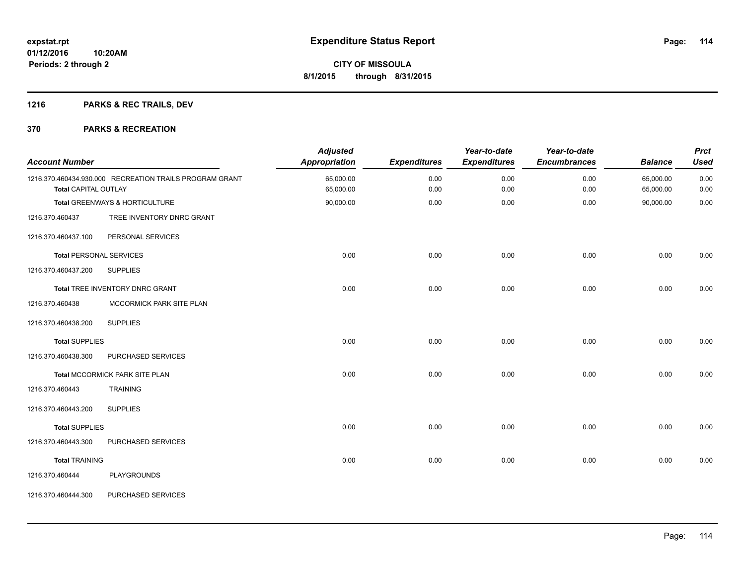## **1216 PARKS & REC TRAILS, DEV**

| <b>Account Number</b>          |                                                         | <b>Adjusted</b><br>Appropriation | <b>Expenditures</b> | Year-to-date<br><b>Expenditures</b> | Year-to-date<br><b>Encumbrances</b> | <b>Balance</b>         | <b>Prct</b><br><b>Used</b> |
|--------------------------------|---------------------------------------------------------|----------------------------------|---------------------|-------------------------------------|-------------------------------------|------------------------|----------------------------|
| <b>Total CAPITAL OUTLAY</b>    | 1216.370.460434.930.000 RECREATION TRAILS PROGRAM GRANT | 65,000.00<br>65,000.00           | 0.00<br>0.00        | 0.00<br>0.00                        | 0.00<br>0.00                        | 65,000.00<br>65,000.00 | 0.00<br>0.00               |
|                                | Total GREENWAYS & HORTICULTURE                          | 90,000.00                        | 0.00                | 0.00                                | 0.00                                | 90,000.00              | 0.00                       |
| 1216.370.460437                | TREE INVENTORY DNRC GRANT                               |                                  |                     |                                     |                                     |                        |                            |
| 1216.370.460437.100            | PERSONAL SERVICES                                       |                                  |                     |                                     |                                     |                        |                            |
| <b>Total PERSONAL SERVICES</b> |                                                         | 0.00                             | 0.00                | 0.00                                | 0.00                                | 0.00                   | 0.00                       |
| 1216.370.460437.200            | <b>SUPPLIES</b>                                         |                                  |                     |                                     |                                     |                        |                            |
|                                | Total TREE INVENTORY DNRC GRANT                         | 0.00                             | 0.00                | 0.00                                | 0.00                                | 0.00                   | 0.00                       |
| 1216.370.460438                | MCCORMICK PARK SITE PLAN                                |                                  |                     |                                     |                                     |                        |                            |
| 1216.370.460438.200            | <b>SUPPLIES</b>                                         |                                  |                     |                                     |                                     |                        |                            |
| <b>Total SUPPLIES</b>          |                                                         | 0.00                             | 0.00                | 0.00                                | 0.00                                | 0.00                   | 0.00                       |
| 1216.370.460438.300            | PURCHASED SERVICES                                      |                                  |                     |                                     |                                     |                        |                            |
|                                | Total MCCORMICK PARK SITE PLAN                          | 0.00                             | 0.00                | 0.00                                | 0.00                                | 0.00                   | 0.00                       |
| 1216.370.460443                | <b>TRAINING</b>                                         |                                  |                     |                                     |                                     |                        |                            |
| 1216.370.460443.200            | <b>SUPPLIES</b>                                         |                                  |                     |                                     |                                     |                        |                            |
| <b>Total SUPPLIES</b>          |                                                         | 0.00                             | 0.00                | 0.00                                | 0.00                                | 0.00                   | 0.00                       |
| 1216.370.460443.300            | PURCHASED SERVICES                                      |                                  |                     |                                     |                                     |                        |                            |
| <b>Total TRAINING</b>          |                                                         | 0.00                             | 0.00                | 0.00                                | 0.00                                | 0.00                   | 0.00                       |
| 1216.370.460444                | <b>PLAYGROUNDS</b>                                      |                                  |                     |                                     |                                     |                        |                            |
| 1216.370.460444.300            | PURCHASED SERVICES                                      |                                  |                     |                                     |                                     |                        |                            |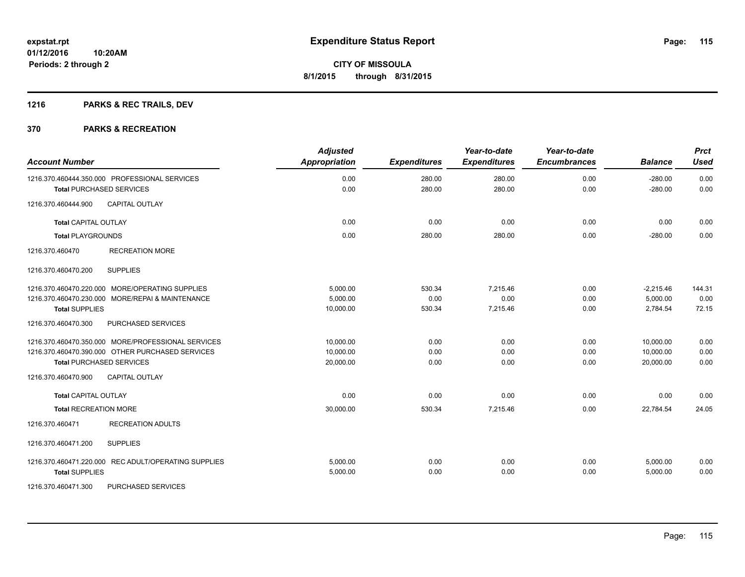## **1216 PARKS & REC TRAILS, DEV**

| <b>Account Number</b>                                | <b>Adjusted</b><br><b>Appropriation</b> | <b>Expenditures</b> | Year-to-date<br><b>Expenditures</b> | Year-to-date<br><b>Encumbrances</b> | <b>Balance</b>         | <b>Prct</b><br><b>Used</b> |
|------------------------------------------------------|-----------------------------------------|---------------------|-------------------------------------|-------------------------------------|------------------------|----------------------------|
| 1216.370.460444.350.000 PROFESSIONAL SERVICES        | 0.00<br>0.00                            | 280.00<br>280.00    | 280.00<br>280.00                    | 0.00<br>0.00                        | $-280.00$<br>$-280.00$ | 0.00<br>0.00               |
| <b>Total PURCHASED SERVICES</b>                      |                                         |                     |                                     |                                     |                        |                            |
| <b>CAPITAL OUTLAY</b><br>1216.370.460444.900         |                                         |                     |                                     |                                     |                        |                            |
| <b>Total CAPITAL OUTLAY</b>                          | 0.00                                    | 0.00                | 0.00                                | 0.00                                | 0.00                   | 0.00                       |
| <b>Total PLAYGROUNDS</b>                             | 0.00                                    | 280.00              | 280.00                              | 0.00                                | $-280.00$              | 0.00                       |
| 1216.370.460470<br><b>RECREATION MORE</b>            |                                         |                     |                                     |                                     |                        |                            |
| 1216.370.460470.200<br><b>SUPPLIES</b>               |                                         |                     |                                     |                                     |                        |                            |
| 1216.370.460470.220.000 MORE/OPERATING SUPPLIES      | 5,000.00                                | 530.34              | 7,215.46                            | 0.00                                | $-2,215.46$            | 144.31                     |
| 1216.370.460470.230.000 MORE/REPAI & MAINTENANCE     | 5,000.00                                | 0.00                | 0.00                                | 0.00                                | 5,000.00               | 0.00                       |
| <b>Total SUPPLIES</b>                                | 10,000.00                               | 530.34              | 7,215.46                            | 0.00                                | 2,784.54               | 72.15                      |
| 1216.370.460470.300<br>PURCHASED SERVICES            |                                         |                     |                                     |                                     |                        |                            |
| 1216.370.460470.350.000 MORE/PROFESSIONAL SERVICES   | 10,000.00                               | 0.00                | 0.00                                | 0.00                                | 10,000.00              | 0.00                       |
| 1216.370.460470.390.000 OTHER PURCHASED SERVICES     | 10,000.00                               | 0.00                | 0.00                                | 0.00                                | 10.000.00              | 0.00                       |
| <b>Total PURCHASED SERVICES</b>                      | 20,000.00                               | 0.00                | 0.00                                | 0.00                                | 20,000.00              | 0.00                       |
| <b>CAPITAL OUTLAY</b><br>1216.370.460470.900         |                                         |                     |                                     |                                     |                        |                            |
| <b>Total CAPITAL OUTLAY</b>                          | 0.00                                    | 0.00                | 0.00                                | 0.00                                | 0.00                   | 0.00                       |
| <b>Total RECREATION MORE</b>                         | 30,000.00                               | 530.34              | 7,215.46                            | 0.00                                | 22,784.54              | 24.05                      |
| 1216.370.460471<br><b>RECREATION ADULTS</b>          |                                         |                     |                                     |                                     |                        |                            |
| 1216.370.460471.200<br><b>SUPPLIES</b>               |                                         |                     |                                     |                                     |                        |                            |
| 1216.370.460471.220.000 REC ADULT/OPERATING SUPPLIES | 5.000.00                                | 0.00                | 0.00                                | 0.00                                | 5,000.00               | 0.00                       |
| <b>Total SUPPLIES</b>                                | 5,000.00                                | 0.00                | 0.00                                | 0.00                                | 5,000.00               | 0.00                       |
| 1216.370.460471.300<br>PURCHASED SERVICES            |                                         |                     |                                     |                                     |                        |                            |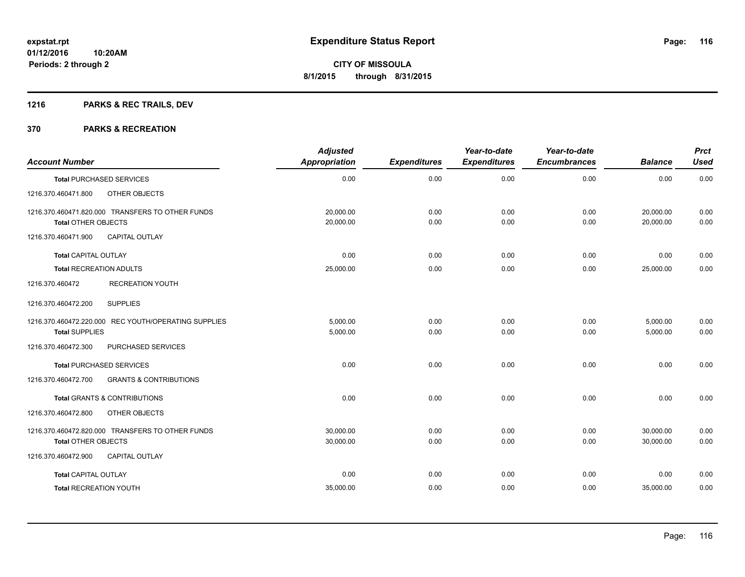## **1216 PARKS & REC TRAILS, DEV**

| <b>Account Number</b>                                                          | <b>Adjusted</b><br>Appropriation | <b>Expenditures</b> | Year-to-date<br><b>Expenditures</b> | Year-to-date<br><b>Encumbrances</b> | <b>Balance</b>         | <b>Prct</b><br><b>Used</b> |
|--------------------------------------------------------------------------------|----------------------------------|---------------------|-------------------------------------|-------------------------------------|------------------------|----------------------------|
| <b>Total PURCHASED SERVICES</b>                                                | 0.00                             | 0.00                | 0.00                                | 0.00                                | 0.00                   | 0.00                       |
| OTHER OBJECTS<br>1216.370.460471.800                                           |                                  |                     |                                     |                                     |                        |                            |
| 1216.370.460471.820.000 TRANSFERS TO OTHER FUNDS<br><b>Total OTHER OBJECTS</b> | 20,000.00<br>20,000.00           | 0.00<br>0.00        | 0.00<br>0.00                        | 0.00<br>0.00                        | 20,000.00<br>20,000.00 | 0.00<br>0.00               |
| 1216.370.460471.900<br><b>CAPITAL OUTLAY</b>                                   |                                  |                     |                                     |                                     |                        |                            |
| <b>Total CAPITAL OUTLAY</b>                                                    | 0.00                             | 0.00                | 0.00                                | 0.00                                | 0.00                   | 0.00                       |
| <b>Total RECREATION ADULTS</b>                                                 | 25,000.00                        | 0.00                | 0.00                                | 0.00                                | 25,000.00              | 0.00                       |
| <b>RECREATION YOUTH</b><br>1216.370.460472                                     |                                  |                     |                                     |                                     |                        |                            |
| <b>SUPPLIES</b><br>1216.370.460472.200                                         |                                  |                     |                                     |                                     |                        |                            |
| 1216.370.460472.220.000 REC YOUTH/OPERATING SUPPLIES<br><b>Total SUPPLIES</b>  | 5,000.00<br>5,000.00             | 0.00<br>0.00        | 0.00<br>0.00                        | 0.00<br>0.00                        | 5,000.00<br>5,000.00   | 0.00<br>0.00               |
| 1216.370.460472.300<br>PURCHASED SERVICES                                      |                                  |                     |                                     |                                     |                        |                            |
| <b>Total PURCHASED SERVICES</b>                                                | 0.00                             | 0.00                | 0.00                                | 0.00                                | 0.00                   | 0.00                       |
| 1216.370.460472.700<br><b>GRANTS &amp; CONTRIBUTIONS</b>                       |                                  |                     |                                     |                                     |                        |                            |
| <b>Total GRANTS &amp; CONTRIBUTIONS</b>                                        | 0.00                             | 0.00                | 0.00                                | 0.00                                | 0.00                   | 0.00                       |
| 1216.370.460472.800<br>OTHER OBJECTS                                           |                                  |                     |                                     |                                     |                        |                            |
| 1216.370.460472.820.000 TRANSFERS TO OTHER FUNDS<br><b>Total OTHER OBJECTS</b> | 30,000.00<br>30,000.00           | 0.00<br>0.00        | 0.00<br>0.00                        | 0.00<br>0.00                        | 30,000.00<br>30,000.00 | 0.00<br>0.00               |
| 1216.370.460472.900<br>CAPITAL OUTLAY                                          |                                  |                     |                                     |                                     |                        |                            |
| <b>Total CAPITAL OUTLAY</b>                                                    | 0.00                             | 0.00                | 0.00                                | 0.00                                | 0.00                   | 0.00                       |
| <b>Total RECREATION YOUTH</b>                                                  | 35,000.00                        | 0.00                | 0.00                                | 0.00                                | 35,000.00              | 0.00                       |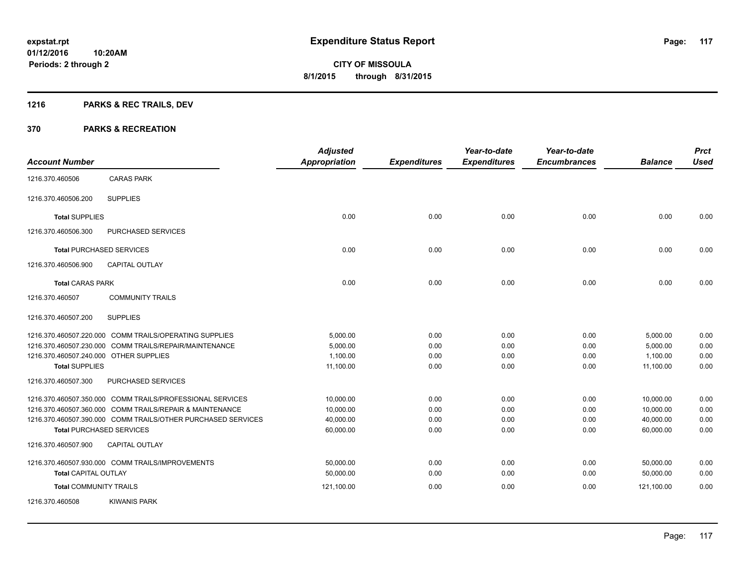## **1216 PARKS & REC TRAILS, DEV**

|                                                                 |                                                                                                                                                                                                                          | <b>Adjusted</b>                                  |                              | Year-to-date                 | Year-to-date                 |                                                  | <b>Prct</b>                  |
|-----------------------------------------------------------------|--------------------------------------------------------------------------------------------------------------------------------------------------------------------------------------------------------------------------|--------------------------------------------------|------------------------------|------------------------------|------------------------------|--------------------------------------------------|------------------------------|
| <b>Account Number</b>                                           |                                                                                                                                                                                                                          | <b>Appropriation</b>                             | <b>Expenditures</b>          | <b>Expenditures</b>          | <b>Encumbrances</b>          | <b>Balance</b>                                   | <b>Used</b>                  |
| 1216.370.460506                                                 | <b>CARAS PARK</b>                                                                                                                                                                                                        |                                                  |                              |                              |                              |                                                  |                              |
| 1216.370.460506.200                                             | <b>SUPPLIES</b>                                                                                                                                                                                                          |                                                  |                              |                              |                              |                                                  |                              |
| <b>Total SUPPLIES</b>                                           |                                                                                                                                                                                                                          | 0.00                                             | 0.00                         | 0.00                         | 0.00                         | 0.00                                             | 0.00                         |
| 1216.370.460506.300                                             | PURCHASED SERVICES                                                                                                                                                                                                       |                                                  |                              |                              |                              |                                                  |                              |
|                                                                 | <b>Total PURCHASED SERVICES</b>                                                                                                                                                                                          | 0.00                                             | 0.00                         | 0.00                         | 0.00                         | 0.00                                             | 0.00                         |
| 1216.370.460506.900                                             | <b>CAPITAL OUTLAY</b>                                                                                                                                                                                                    |                                                  |                              |                              |                              |                                                  |                              |
| <b>Total CARAS PARK</b>                                         |                                                                                                                                                                                                                          | 0.00                                             | 0.00                         | 0.00                         | 0.00                         | 0.00                                             | 0.00                         |
| 1216.370.460507                                                 | <b>COMMUNITY TRAILS</b>                                                                                                                                                                                                  |                                                  |                              |                              |                              |                                                  |                              |
| 1216.370.460507.200                                             | <b>SUPPLIES</b>                                                                                                                                                                                                          |                                                  |                              |                              |                              |                                                  |                              |
| 1216.370.460507.240.000 OTHER SUPPLIES<br><b>Total SUPPLIES</b> | 1216.370.460507.220.000 COMM TRAILS/OPERATING SUPPLIES<br>1216.370.460507.230.000 COMM TRAILS/REPAIR/MAINTENANCE                                                                                                         | 5,000.00<br>5,000.00<br>1,100.00<br>11,100.00    | 0.00<br>0.00<br>0.00<br>0.00 | 0.00<br>0.00<br>0.00<br>0.00 | 0.00<br>0.00<br>0.00<br>0.00 | 5,000.00<br>5,000.00<br>1,100.00<br>11,100.00    | 0.00<br>0.00<br>0.00<br>0.00 |
| 1216.370.460507.300                                             | PURCHASED SERVICES                                                                                                                                                                                                       |                                                  |                              |                              |                              |                                                  |                              |
|                                                                 | 1216.370.460507.350.000 COMM TRAILS/PROFESSIONAL SERVICES<br>1216.370.460507.360.000 COMM TRAILS/REPAIR & MAINTENANCE<br>1216.370.460507.390.000 COMM TRAILS/OTHER PURCHASED SERVICES<br><b>Total PURCHASED SERVICES</b> | 10,000.00<br>10,000.00<br>40.000.00<br>60,000.00 | 0.00<br>0.00<br>0.00<br>0.00 | 0.00<br>0.00<br>0.00<br>0.00 | 0.00<br>0.00<br>0.00<br>0.00 | 10,000.00<br>10,000.00<br>40.000.00<br>60,000.00 | 0.00<br>0.00<br>0.00<br>0.00 |
| 1216.370.460507.900                                             | <b>CAPITAL OUTLAY</b>                                                                                                                                                                                                    |                                                  |                              |                              |                              |                                                  |                              |
| <b>Total CAPITAL OUTLAY</b>                                     | 1216.370.460507.930.000 COMM TRAILS/IMPROVEMENTS                                                                                                                                                                         | 50,000.00<br>50,000.00                           | 0.00<br>0.00                 | 0.00<br>0.00                 | 0.00<br>0.00                 | 50,000.00<br>50,000.00                           | 0.00<br>0.00                 |
| <b>Total COMMUNITY TRAILS</b><br>1216.370.460508                | <b>KIWANIS PARK</b>                                                                                                                                                                                                      | 121,100.00                                       | 0.00                         | 0.00                         | 0.00                         | 121,100.00                                       | 0.00                         |
|                                                                 |                                                                                                                                                                                                                          |                                                  |                              |                              |                              |                                                  |                              |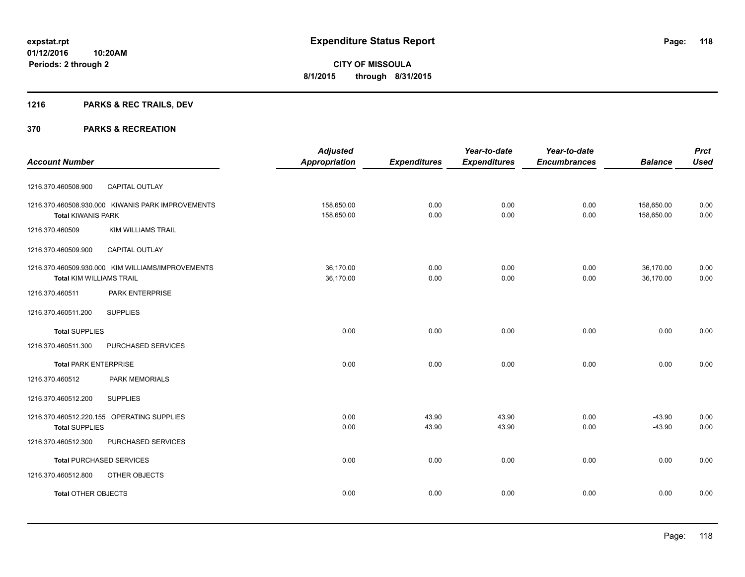## **1216 PARKS & REC TRAILS, DEV**

|                                                   | <b>Adjusted</b>      |                     | Year-to-date        | Year-to-date        |                | <b>Prct</b> |
|---------------------------------------------------|----------------------|---------------------|---------------------|---------------------|----------------|-------------|
| <b>Account Number</b>                             | <b>Appropriation</b> | <b>Expenditures</b> | <b>Expenditures</b> | <b>Encumbrances</b> | <b>Balance</b> | <b>Used</b> |
|                                                   |                      |                     |                     |                     |                |             |
| 1216.370.460508.900<br><b>CAPITAL OUTLAY</b>      |                      |                     |                     |                     |                |             |
| 1216.370.460508.930.000 KIWANIS PARK IMPROVEMENTS | 158,650.00           | 0.00                | 0.00                | 0.00                | 158,650.00     | 0.00        |
| <b>Total KIWANIS PARK</b>                         | 158,650.00           | 0.00                | 0.00                | 0.00                | 158,650.00     | 0.00        |
| 1216.370.460509<br><b>KIM WILLIAMS TRAIL</b>      |                      |                     |                     |                     |                |             |
| <b>CAPITAL OUTLAY</b><br>1216.370.460509.900      |                      |                     |                     |                     |                |             |
| 1216.370.460509.930.000 KIM WILLIAMS/IMPROVEMENTS | 36,170.00            | 0.00                | 0.00                | 0.00                | 36,170.00      | 0.00        |
| <b>Total KIM WILLIAMS TRAIL</b>                   | 36,170.00            | 0.00                | 0.00                | 0.00                | 36,170.00      | 0.00        |
| 1216.370.460511<br>PARK ENTERPRISE                |                      |                     |                     |                     |                |             |
| <b>SUPPLIES</b><br>1216.370.460511.200            |                      |                     |                     |                     |                |             |
| <b>Total SUPPLIES</b>                             | 0.00                 | 0.00                | 0.00                | 0.00                | 0.00           | 0.00        |
| 1216.370.460511.300<br>PURCHASED SERVICES         |                      |                     |                     |                     |                |             |
| <b>Total PARK ENTERPRISE</b>                      | 0.00                 | 0.00                | 0.00                | 0.00                | 0.00           | 0.00        |
| PARK MEMORIALS<br>1216.370.460512                 |                      |                     |                     |                     |                |             |
| <b>SUPPLIES</b><br>1216.370.460512.200            |                      |                     |                     |                     |                |             |
| 1216.370.460512.220.155 OPERATING SUPPLIES        | 0.00                 | 43.90               | 43.90               | 0.00                | $-43.90$       | 0.00        |
| <b>Total SUPPLIES</b>                             | 0.00                 | 43.90               | 43.90               | 0.00                | $-43.90$       | 0.00        |
| 1216.370.460512.300<br>PURCHASED SERVICES         |                      |                     |                     |                     |                |             |
| <b>Total PURCHASED SERVICES</b>                   | 0.00                 | 0.00                | 0.00                | 0.00                | 0.00           | 0.00        |
| OTHER OBJECTS<br>1216.370.460512.800              |                      |                     |                     |                     |                |             |
| <b>Total OTHER OBJECTS</b>                        | 0.00                 | 0.00                | 0.00                | 0.00                | 0.00           | 0.00        |
|                                                   |                      |                     |                     |                     |                |             |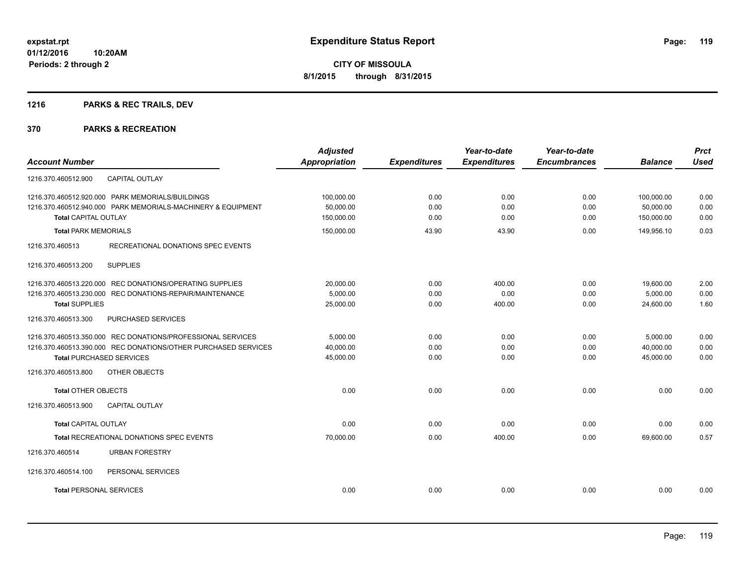## **1216 PARKS & REC TRAILS, DEV**

|                                                                | <b>Adjusted</b>      |                     | Year-to-date        | Year-to-date        |                | <b>Prct</b><br><b>Used</b> |
|----------------------------------------------------------------|----------------------|---------------------|---------------------|---------------------|----------------|----------------------------|
| <b>Account Number</b>                                          | <b>Appropriation</b> | <b>Expenditures</b> | <b>Expenditures</b> | <b>Encumbrances</b> | <b>Balance</b> |                            |
| CAPITAL OUTLAY<br>1216.370.460512.900                          |                      |                     |                     |                     |                |                            |
| 1216.370.460512.920.000 PARK MEMORIALS/BUILDINGS               | 100,000.00           | 0.00                | 0.00                | 0.00                | 100,000.00     | 0.00                       |
| 1216.370.460512.940.000 PARK MEMORIALS-MACHINERY & EQUIPMENT   | 50,000.00            | 0.00                | 0.00                | 0.00                | 50,000.00      | 0.00                       |
| <b>Total CAPITAL OUTLAY</b>                                    | 150,000.00           | 0.00                | 0.00                | 0.00                | 150,000.00     | 0.00                       |
| <b>Total PARK MEMORIALS</b>                                    | 150,000.00           | 43.90               | 43.90               | 0.00                | 149,956.10     | 0.03                       |
| 1216.370.460513<br>RECREATIONAL DONATIONS SPEC EVENTS          |                      |                     |                     |                     |                |                            |
| <b>SUPPLIES</b><br>1216.370.460513.200                         |                      |                     |                     |                     |                |                            |
| 1216.370.460513.220.000 REC DONATIONS/OPERATING SUPPLIES       | 20,000.00            | 0.00                | 400.00              | 0.00                | 19,600.00      | 2.00                       |
| 1216.370.460513.230.000 REC DONATIONS-REPAIR/MAINTENANCE       | 5,000.00             | 0.00                | 0.00                | 0.00                | 5,000.00       | 0.00                       |
| <b>Total SUPPLIES</b>                                          | 25,000.00            | 0.00                | 400.00              | 0.00                | 24,600.00      | 1.60                       |
| 1216.370.460513.300<br>PURCHASED SERVICES                      |                      |                     |                     |                     |                |                            |
| 1216.370.460513.350.000 REC DONATIONS/PROFESSIONAL SERVICES    | 5.000.00             | 0.00                | 0.00                | 0.00                | 5,000.00       | 0.00                       |
| 1216.370.460513.390.000 REC DONATIONS/OTHER PURCHASED SERVICES | 40,000.00            | 0.00                | 0.00                | 0.00                | 40,000.00      | 0.00                       |
| <b>Total PURCHASED SERVICES</b>                                | 45,000.00            | 0.00                | 0.00                | 0.00                | 45,000.00      | 0.00                       |
| 1216.370.460513.800<br>OTHER OBJECTS                           |                      |                     |                     |                     |                |                            |
| <b>Total OTHER OBJECTS</b>                                     | 0.00                 | 0.00                | 0.00                | 0.00                | 0.00           | 0.00                       |
| <b>CAPITAL OUTLAY</b><br>1216.370.460513.900                   |                      |                     |                     |                     |                |                            |
| <b>Total CAPITAL OUTLAY</b>                                    | 0.00                 | 0.00                | 0.00                | 0.00                | 0.00           | 0.00                       |
| <b>Total RECREATIONAL DONATIONS SPEC EVENTS</b>                | 70,000.00            | 0.00                | 400.00              | 0.00                | 69,600.00      | 0.57                       |
| 1216.370.460514<br><b>URBAN FORESTRY</b>                       |                      |                     |                     |                     |                |                            |
| PERSONAL SERVICES<br>1216.370.460514.100                       |                      |                     |                     |                     |                |                            |
| <b>Total PERSONAL SERVICES</b>                                 | 0.00                 | 0.00                | 0.00                | 0.00                | 0.00           | 0.00                       |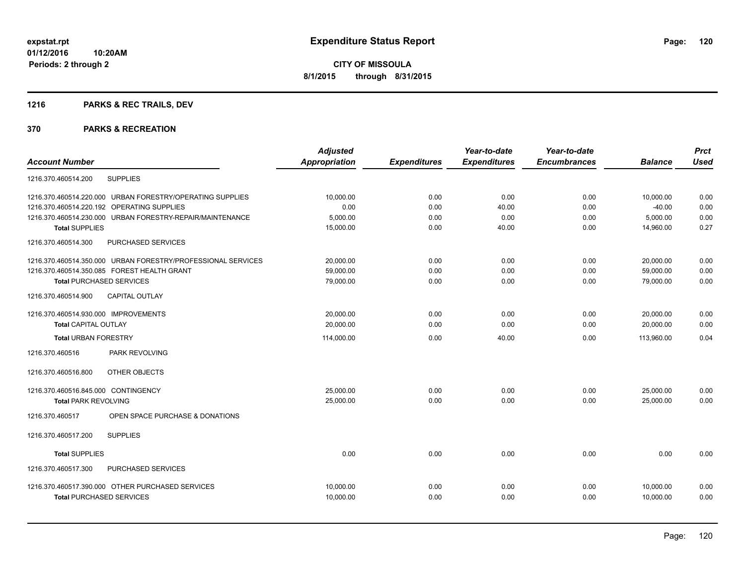## **1216 PARKS & REC TRAILS, DEV**

|                                                              | <b>Adjusted</b>      |                     | Year-to-date        | Year-to-date        |                | <b>Prct</b> |
|--------------------------------------------------------------|----------------------|---------------------|---------------------|---------------------|----------------|-------------|
| <b>Account Number</b>                                        | <b>Appropriation</b> | <b>Expenditures</b> | <b>Expenditures</b> | <b>Encumbrances</b> | <b>Balance</b> | <b>Used</b> |
| <b>SUPPLIES</b><br>1216.370.460514.200                       |                      |                     |                     |                     |                |             |
| 1216.370.460514.220.000 URBAN FORESTRY/OPERATING SUPPLIES    | 10,000.00            | 0.00                | 0.00                | 0.00                | 10,000.00      | 0.00        |
| 1216.370.460514.220.192 OPERATING SUPPLIES                   | 0.00                 | 0.00                | 40.00               | 0.00                | $-40.00$       | 0.00        |
| 1216.370.460514.230.000 URBAN FORESTRY-REPAIR/MAINTENANCE    | 5,000.00             | 0.00                | 0.00                | 0.00                | 5,000.00       | 0.00        |
| <b>Total SUPPLIES</b>                                        | 15,000.00            | 0.00                | 40.00               | 0.00                | 14,960.00      | 0.27        |
| 1216.370.460514.300<br>PURCHASED SERVICES                    |                      |                     |                     |                     |                |             |
| 1216.370.460514.350.000 URBAN FORESTRY/PROFESSIONAL SERVICES | 20,000.00            | 0.00                | 0.00                | 0.00                | 20,000.00      | 0.00        |
| 1216.370.460514.350.085 FOREST HEALTH GRANT                  | 59,000.00            | 0.00                | 0.00                | 0.00                | 59,000.00      | 0.00        |
| <b>Total PURCHASED SERVICES</b>                              | 79,000.00            | 0.00                | 0.00                | 0.00                | 79,000.00      | 0.00        |
| 1216.370.460514.900<br><b>CAPITAL OUTLAY</b>                 |                      |                     |                     |                     |                |             |
| 1216.370.460514.930.000 IMPROVEMENTS                         | 20,000.00            | 0.00                | 0.00                | 0.00                | 20,000.00      | 0.00        |
| <b>Total CAPITAL OUTLAY</b>                                  | 20.000.00            | 0.00                | 0.00                | 0.00                | 20,000.00      | 0.00        |
| <b>Total URBAN FORESTRY</b>                                  | 114,000.00           | 0.00                | 40.00               | 0.00                | 113.960.00     | 0.04        |
| PARK REVOLVING<br>1216.370.460516                            |                      |                     |                     |                     |                |             |
| OTHER OBJECTS<br>1216.370.460516.800                         |                      |                     |                     |                     |                |             |
| 1216.370.460516.845.000 CONTINGENCY                          | 25,000.00            | 0.00                | 0.00                | 0.00                | 25,000.00      | 0.00        |
| <b>Total PARK REVOLVING</b>                                  | 25,000.00            | 0.00                | 0.00                | 0.00                | 25,000.00      | 0.00        |
| 1216.370.460517<br>OPEN SPACE PURCHASE & DONATIONS           |                      |                     |                     |                     |                |             |
| 1216.370.460517.200<br><b>SUPPLIES</b>                       |                      |                     |                     |                     |                |             |
| <b>Total SUPPLIES</b>                                        | 0.00                 | 0.00                | 0.00                | 0.00                | 0.00           | 0.00        |
| PURCHASED SERVICES<br>1216.370.460517.300                    |                      |                     |                     |                     |                |             |
| 1216.370.460517.390.000 OTHER PURCHASED SERVICES             | 10.000.00            | 0.00                | 0.00                | 0.00                | 10.000.00      | 0.00        |
| <b>Total PURCHASED SERVICES</b>                              | 10,000.00            | 0.00                | 0.00                | 0.00                | 10,000.00      | 0.00        |
|                                                              |                      |                     |                     |                     |                |             |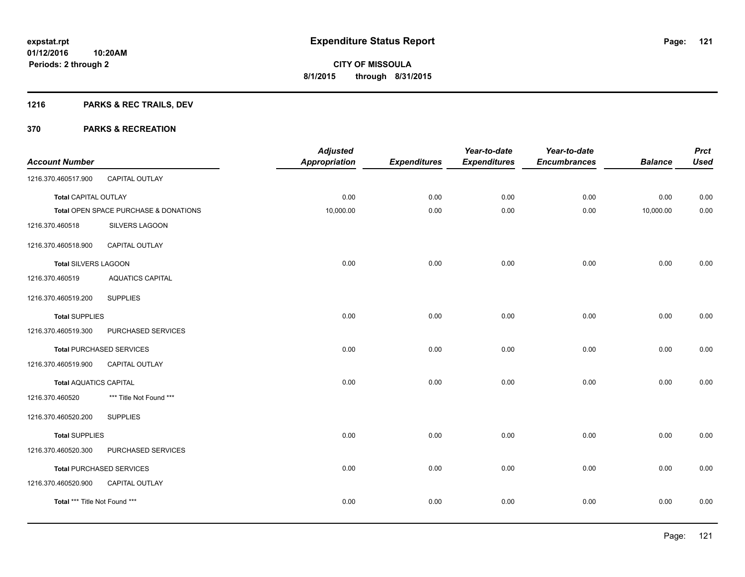## **1216 PARKS & REC TRAILS, DEV**

| <b>Account Number</b>         |                                       | <b>Adjusted</b><br><b>Appropriation</b> | <b>Expenditures</b> | Year-to-date<br><b>Expenditures</b> | Year-to-date<br><b>Encumbrances</b> | <b>Balance</b> | <b>Prct</b><br><b>Used</b> |
|-------------------------------|---------------------------------------|-----------------------------------------|---------------------|-------------------------------------|-------------------------------------|----------------|----------------------------|
| 1216.370.460517.900           | CAPITAL OUTLAY                        |                                         |                     |                                     |                                     |                |                            |
| Total CAPITAL OUTLAY          |                                       | 0.00                                    | 0.00                | 0.00                                | 0.00                                | 0.00           | 0.00                       |
|                               | Total OPEN SPACE PURCHASE & DONATIONS | 10,000.00                               | 0.00                | 0.00                                | 0.00                                | 10,000.00      | 0.00                       |
| 1216.370.460518               | SILVERS LAGOON                        |                                         |                     |                                     |                                     |                |                            |
| 1216.370.460518.900           | CAPITAL OUTLAY                        |                                         |                     |                                     |                                     |                |                            |
| Total SILVERS LAGOON          |                                       | 0.00                                    | 0.00                | 0.00                                | 0.00                                | 0.00           | 0.00                       |
| 1216.370.460519               | <b>AQUATICS CAPITAL</b>               |                                         |                     |                                     |                                     |                |                            |
| 1216.370.460519.200           | <b>SUPPLIES</b>                       |                                         |                     |                                     |                                     |                |                            |
| <b>Total SUPPLIES</b>         |                                       | 0.00                                    | 0.00                | 0.00                                | 0.00                                | 0.00           | 0.00                       |
| 1216.370.460519.300           | PURCHASED SERVICES                    |                                         |                     |                                     |                                     |                |                            |
|                               | <b>Total PURCHASED SERVICES</b>       | 0.00                                    | 0.00                | 0.00                                | 0.00                                | 0.00           | 0.00                       |
| 1216.370.460519.900           | CAPITAL OUTLAY                        |                                         |                     |                                     |                                     |                |                            |
| <b>Total AQUATICS CAPITAL</b> |                                       | 0.00                                    | 0.00                | 0.00                                | 0.00                                | 0.00           | 0.00                       |
| 1216.370.460520               | *** Title Not Found ***               |                                         |                     |                                     |                                     |                |                            |
| 1216.370.460520.200           | <b>SUPPLIES</b>                       |                                         |                     |                                     |                                     |                |                            |
| <b>Total SUPPLIES</b>         |                                       | 0.00                                    | 0.00                | 0.00                                | 0.00                                | 0.00           | 0.00                       |
| 1216.370.460520.300           | PURCHASED SERVICES                    |                                         |                     |                                     |                                     |                |                            |
|                               | <b>Total PURCHASED SERVICES</b>       | 0.00                                    | 0.00                | 0.00                                | 0.00                                | 0.00           | 0.00                       |
| 1216.370.460520.900           | CAPITAL OUTLAY                        |                                         |                     |                                     |                                     |                |                            |
| Total *** Title Not Found *** |                                       | 0.00                                    | 0.00                | 0.00                                | 0.00                                | 0.00           | 0.00                       |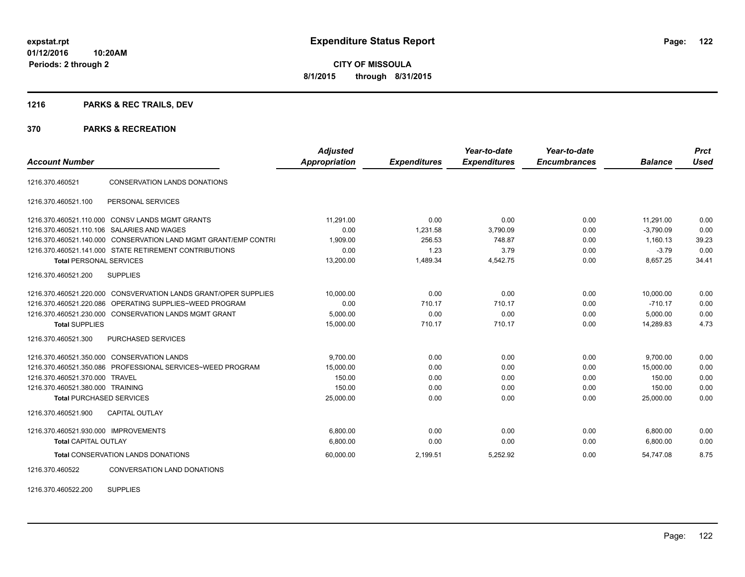**Periods: 2 through 2**

**CITY OF MISSOULA 8/1/2015 through 8/31/2015**

## **1216 PARKS & REC TRAILS, DEV**

#### **370 PARKS & RECREATION**

| <b>Account Number</b>                |                                                                 | <b>Adjusted</b><br>Appropriation | <b>Expenditures</b> | Year-to-date<br><b>Expenditures</b> | Year-to-date<br><b>Encumbrances</b> | <b>Balance</b> | <b>Prct</b><br><b>Used</b> |
|--------------------------------------|-----------------------------------------------------------------|----------------------------------|---------------------|-------------------------------------|-------------------------------------|----------------|----------------------------|
| 1216.370.460521                      | CONSERVATION LANDS DONATIONS                                    |                                  |                     |                                     |                                     |                |                            |
| 1216.370.460521.100                  | PERSONAL SERVICES                                               |                                  |                     |                                     |                                     |                |                            |
|                                      | 1216.370.460521.110.000 CONSV LANDS MGMT GRANTS                 | 11.291.00                        | 0.00                | 0.00                                | 0.00                                | 11.291.00      | 0.00                       |
|                                      | 1216.370.460521.110.106 SALARIES AND WAGES                      | 0.00                             | 1,231.58            | 3,790.09                            | 0.00                                | $-3,790.09$    | 0.00                       |
|                                      | 1216.370.460521.140.000 CONSERVATION LAND MGMT GRANT/EMP CONTRI | 1.909.00                         | 256.53              | 748.87                              | 0.00                                | 1.160.13       | 39.23                      |
|                                      | 1216.370.460521.141.000 STATE RETIREMENT CONTRIBUTIONS          | 0.00                             | 1.23                | 3.79                                | 0.00                                | $-3.79$        | 0.00                       |
| <b>Total PERSONAL SERVICES</b>       |                                                                 | 13,200.00                        | 1,489.34            | 4,542.75                            | 0.00                                | 8,657.25       | 34.41                      |
| 1216.370.460521.200                  | <b>SUPPLIES</b>                                                 |                                  |                     |                                     |                                     |                |                            |
|                                      | 1216.370.460521.220.000 CONSVERVATION LANDS GRANT/OPER SUPPLIES | 10,000.00                        | 0.00                | 0.00                                | 0.00                                | 10,000.00      | 0.00                       |
| 1216.370.460521.220.086              | OPERATING SUPPLIES~WEED PROGRAM                                 | 0.00                             | 710.17              | 710.17                              | 0.00                                | $-710.17$      | 0.00                       |
|                                      | 1216.370.460521.230.000 CONSERVATION LANDS MGMT GRANT           | 5,000.00                         | 0.00                | 0.00                                | 0.00                                | 5,000.00       | 0.00                       |
| <b>Total SUPPLIES</b>                |                                                                 | 15,000.00                        | 710.17              | 710.17                              | 0.00                                | 14.289.83      | 4.73                       |
| 1216.370.460521.300                  | PURCHASED SERVICES                                              |                                  |                     |                                     |                                     |                |                            |
|                                      | 1216.370.460521.350.000 CONSERVATION LANDS                      | 9,700.00                         | 0.00                | 0.00                                | 0.00                                | 9,700.00       | 0.00                       |
|                                      | 1216.370.460521.350.086 PROFESSIONAL SERVICES~WEED PROGRAM      | 15,000.00                        | 0.00                | 0.00                                | 0.00                                | 15,000.00      | 0.00                       |
| 1216.370.460521.370.000 TRAVEL       |                                                                 | 150.00                           | 0.00                | 0.00                                | 0.00                                | 150.00         | 0.00                       |
| 1216.370.460521.380.000 TRAINING     |                                                                 | 150.00                           | 0.00                | 0.00                                | 0.00                                | 150.00         | 0.00                       |
| <b>Total PURCHASED SERVICES</b>      |                                                                 | 25,000.00                        | 0.00                | 0.00                                | 0.00                                | 25,000.00      | 0.00                       |
| 1216.370.460521.900                  | <b>CAPITAL OUTLAY</b>                                           |                                  |                     |                                     |                                     |                |                            |
| 1216.370.460521.930.000 IMPROVEMENTS |                                                                 | 6,800.00                         | 0.00                | 0.00                                | 0.00                                | 6,800.00       | 0.00                       |
| <b>Total CAPITAL OUTLAY</b>          |                                                                 | 6,800.00                         | 0.00                | 0.00                                | 0.00                                | 6,800.00       | 0.00                       |
|                                      | Total CONSERVATION LANDS DONATIONS                              | 60,000.00                        | 2,199.51            | 5,252.92                            | 0.00                                | 54,747.08      | 8.75                       |
| 1216.370.460522                      | <b>CONVERSATION LAND DONATIONS</b>                              |                                  |                     |                                     |                                     |                |                            |

1216.370.460522.200 SUPPLIES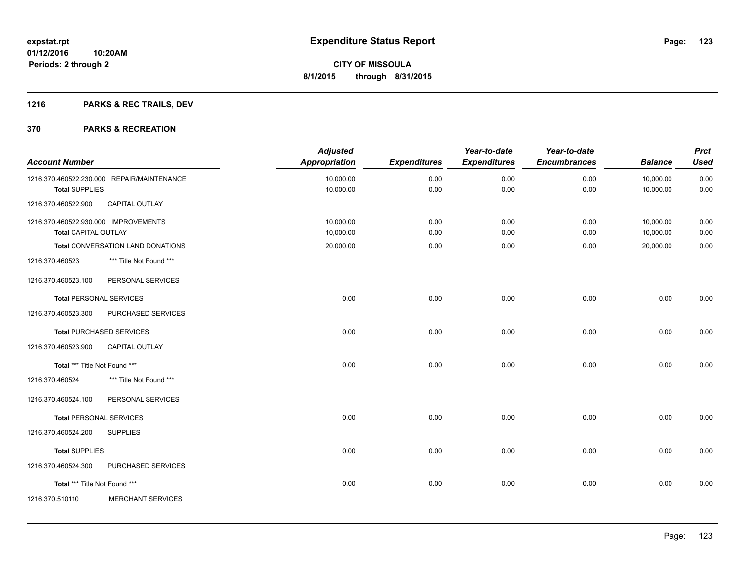## **1216 PARKS & REC TRAILS, DEV**

| <b>Account Number</b>                                               |                                            | <b>Adjusted</b><br><b>Appropriation</b> | <b>Expenditures</b> | Year-to-date<br><b>Expenditures</b> | Year-to-date<br><b>Encumbrances</b> | <b>Balance</b>         | <b>Prct</b><br><b>Used</b> |
|---------------------------------------------------------------------|--------------------------------------------|-----------------------------------------|---------------------|-------------------------------------|-------------------------------------|------------------------|----------------------------|
| <b>Total SUPPLIES</b>                                               | 1216.370.460522.230.000 REPAIR/MAINTENANCE | 10,000.00<br>10,000.00                  | 0.00<br>0.00        | 0.00<br>0.00                        | 0.00<br>0.00                        | 10,000.00<br>10,000.00 | 0.00<br>0.00               |
| 1216.370.460522.900                                                 | <b>CAPITAL OUTLAY</b>                      |                                         |                     |                                     |                                     |                        |                            |
| 1216.370.460522.930.000 IMPROVEMENTS<br><b>Total CAPITAL OUTLAY</b> |                                            | 10,000.00<br>10,000.00                  | 0.00<br>0.00        | 0.00<br>0.00                        | 0.00<br>0.00                        | 10,000.00<br>10,000.00 | 0.00<br>0.00               |
|                                                                     | Total CONVERSATION LAND DONATIONS          | 20,000.00                               | 0.00                | 0.00                                | 0.00                                | 20,000.00              | 0.00                       |
| 1216.370.460523                                                     | *** Title Not Found ***                    |                                         |                     |                                     |                                     |                        |                            |
| 1216.370.460523.100                                                 | PERSONAL SERVICES                          |                                         |                     |                                     |                                     |                        |                            |
| <b>Total PERSONAL SERVICES</b>                                      |                                            | 0.00                                    | 0.00                | 0.00                                | 0.00                                | 0.00                   | 0.00                       |
| 1216.370.460523.300                                                 | PURCHASED SERVICES                         |                                         |                     |                                     |                                     |                        |                            |
|                                                                     | Total PURCHASED SERVICES                   | 0.00                                    | 0.00                | 0.00                                | 0.00                                | 0.00                   | 0.00                       |
| 1216.370.460523.900                                                 | <b>CAPITAL OUTLAY</b>                      |                                         |                     |                                     |                                     |                        |                            |
| Total *** Title Not Found ***                                       |                                            | 0.00                                    | 0.00                | 0.00                                | 0.00                                | 0.00                   | 0.00                       |
| 1216.370.460524                                                     | *** Title Not Found ***                    |                                         |                     |                                     |                                     |                        |                            |
| 1216.370.460524.100                                                 | PERSONAL SERVICES                          |                                         |                     |                                     |                                     |                        |                            |
| <b>Total PERSONAL SERVICES</b>                                      |                                            | 0.00                                    | 0.00                | 0.00                                | 0.00                                | 0.00                   | 0.00                       |
| 1216.370.460524.200                                                 | <b>SUPPLIES</b>                            |                                         |                     |                                     |                                     |                        |                            |
| <b>Total SUPPLIES</b>                                               |                                            | 0.00                                    | 0.00                | 0.00                                | 0.00                                | 0.00                   | 0.00                       |
| 1216.370.460524.300                                                 | PURCHASED SERVICES                         |                                         |                     |                                     |                                     |                        |                            |
| Total *** Title Not Found ***                                       |                                            | 0.00                                    | 0.00                | 0.00                                | 0.00                                | 0.00                   | 0.00                       |
| 1216.370.510110                                                     | <b>MERCHANT SERVICES</b>                   |                                         |                     |                                     |                                     |                        |                            |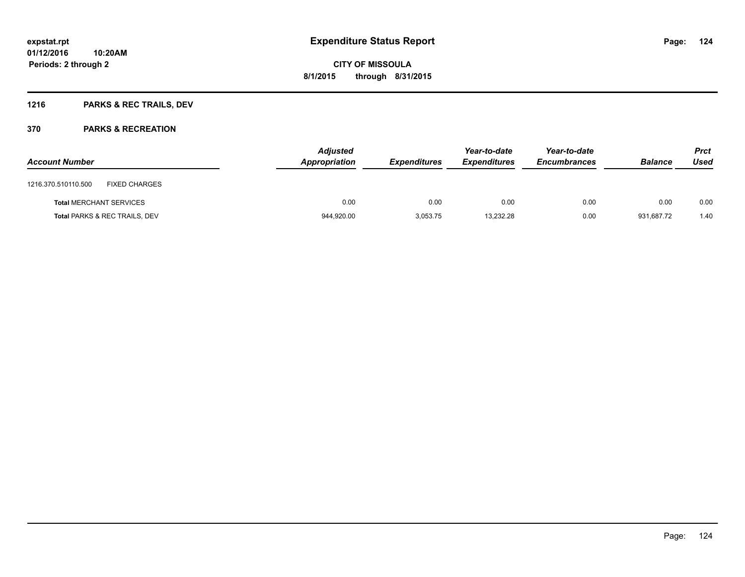## **1216 PARKS & REC TRAILS, DEV**

| <b>Account Number</b>          |                               | <b>Adjusted</b><br>Appropriation | <i><b>Expenditures</b></i> | Year-to-date<br><b>Expenditures</b> | Year-to-date<br><b>Encumbrances</b> | <b>Balance</b> | <b>Prct</b><br>Used |
|--------------------------------|-------------------------------|----------------------------------|----------------------------|-------------------------------------|-------------------------------------|----------------|---------------------|
| 1216.370.510110.500            | <b>FIXED CHARGES</b>          |                                  |                            |                                     |                                     |                |                     |
| <b>Total MERCHANT SERVICES</b> |                               | 0.00                             | 0.00                       | 0.00                                | 0.00                                | 0.00           | 0.00                |
|                                | Total PARKS & REC TRAILS, DEV | 944,920.00                       | 3,053.75                   | 13,232.28                           | 0.00                                | 931,687.72     | 1.40                |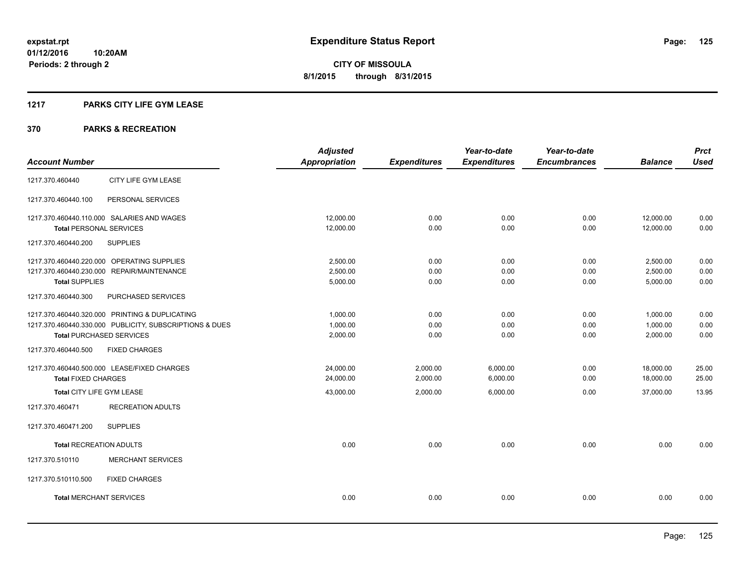## **1217 PARKS CITY LIFE GYM LEASE**

|                                                         | <b>Adjusted</b>      |                     | Year-to-date        | Year-to-date        |                | <b>Prct</b> |
|---------------------------------------------------------|----------------------|---------------------|---------------------|---------------------|----------------|-------------|
| <b>Account Number</b>                                   | <b>Appropriation</b> | <b>Expenditures</b> | <b>Expenditures</b> | <b>Encumbrances</b> | <b>Balance</b> | <b>Used</b> |
| CITY LIFE GYM LEASE<br>1217.370.460440                  |                      |                     |                     |                     |                |             |
| 1217.370.460440.100<br>PERSONAL SERVICES                |                      |                     |                     |                     |                |             |
| 1217.370.460440.110.000 SALARIES AND WAGES              | 12,000.00            | 0.00                | 0.00                | 0.00                | 12,000.00      | 0.00        |
| <b>Total PERSONAL SERVICES</b>                          | 12,000.00            | 0.00                | 0.00                | 0.00                | 12,000.00      | 0.00        |
| 1217.370.460440.200<br><b>SUPPLIES</b>                  |                      |                     |                     |                     |                |             |
| 1217.370.460440.220.000 OPERATING SUPPLIES              | 2,500.00             | 0.00                | 0.00                | 0.00                | 2,500.00       | 0.00        |
| 1217.370.460440.230.000 REPAIR/MAINTENANCE              | 2,500.00             | 0.00                | 0.00                | 0.00                | 2,500.00       | 0.00        |
| <b>Total SUPPLIES</b>                                   | 5,000.00             | 0.00                | 0.00                | 0.00                | 5,000.00       | 0.00        |
| PURCHASED SERVICES<br>1217.370.460440.300               |                      |                     |                     |                     |                |             |
| 1217.370.460440.320.000 PRINTING & DUPLICATING          | 1,000.00             | 0.00                | 0.00                | 0.00                | 1,000.00       | 0.00        |
| 1217.370.460440.330.000 PUBLICITY, SUBSCRIPTIONS & DUES | 1,000.00             | 0.00                | 0.00                | 0.00                | 1,000.00       | 0.00        |
| <b>Total PURCHASED SERVICES</b>                         | 2,000.00             | 0.00                | 0.00                | 0.00                | 2,000.00       | 0.00        |
| 1217.370.460440.500<br><b>FIXED CHARGES</b>             |                      |                     |                     |                     |                |             |
| 1217.370.460440.500.000 LEASE/FIXED CHARGES             | 24,000.00            | 2,000.00            | 6,000.00            | 0.00                | 18,000.00      | 25.00       |
| <b>Total FIXED CHARGES</b>                              | 24,000.00            | 2,000.00            | 6,000.00            | 0.00                | 18,000.00      | 25.00       |
| Total CITY LIFE GYM LEASE                               | 43,000.00            | 2,000.00            | 6,000.00            | 0.00                | 37,000.00      | 13.95       |
| 1217.370.460471<br><b>RECREATION ADULTS</b>             |                      |                     |                     |                     |                |             |
| <b>SUPPLIES</b><br>1217.370.460471.200                  |                      |                     |                     |                     |                |             |
| <b>Total RECREATION ADULTS</b>                          | 0.00                 | 0.00                | 0.00                | 0.00                | 0.00           | 0.00        |
| 1217.370.510110<br><b>MERCHANT SERVICES</b>             |                      |                     |                     |                     |                |             |
| <b>FIXED CHARGES</b><br>1217.370.510110.500             |                      |                     |                     |                     |                |             |
| <b>Total MERCHANT SERVICES</b>                          | 0.00                 | 0.00                | 0.00                | 0.00                | 0.00           | 0.00        |
|                                                         |                      |                     |                     |                     |                |             |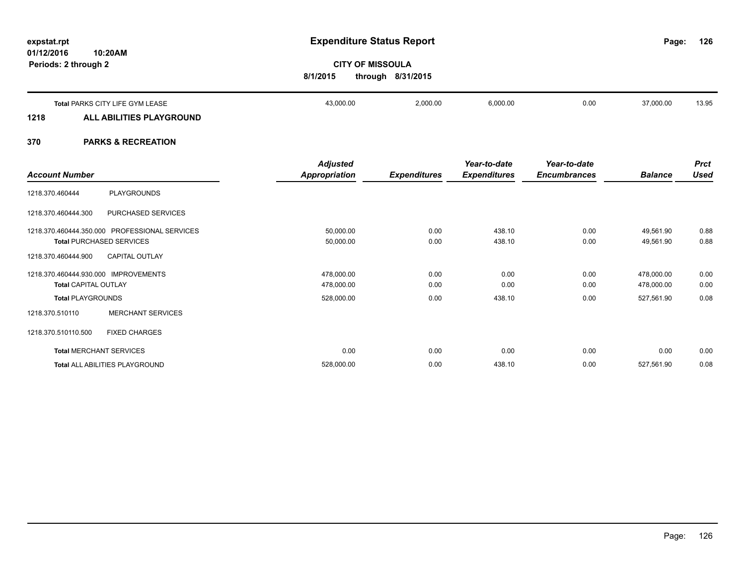**01/12/2016 10:20AM Periods: 2 through 2**

**126**

# **CITY OF MISSOULA 8/1/2015 through 8/31/2015**

|      | Total PARKS CITY LIFE GYM LEASE                                                 | 43,000.00 | 2,000.00 | 6,000.00 | 0.00 | 37,000.00 | 13.95 |
|------|---------------------------------------------------------------------------------|-----------|----------|----------|------|-----------|-------|
| 1218 | ALL ABILITIES PLAYGROUND                                                        |           |          |          |      |           |       |
|      | ,但是,我们的人们都会不会不会。""你们的人们,你们的人们都会不会不会。""你们的人们,你们的人们也不会不会不会。""你们的人们,你们的人们的人们,你们的人们 |           |          |          |      |           |       |

|                                      |                                               | <b>Adjusted</b>      |                     | Year-to-date        | Year-to-date        |                | <b>Prct</b> |
|--------------------------------------|-----------------------------------------------|----------------------|---------------------|---------------------|---------------------|----------------|-------------|
| <b>Account Number</b>                |                                               | <b>Appropriation</b> | <b>Expenditures</b> | <b>Expenditures</b> | <b>Encumbrances</b> | <b>Balance</b> | Used        |
| 1218.370.460444                      | PLAYGROUNDS                                   |                      |                     |                     |                     |                |             |
| 1218.370.460444.300                  | PURCHASED SERVICES                            |                      |                     |                     |                     |                |             |
|                                      | 1218.370.460444.350.000 PROFESSIONAL SERVICES | 50,000.00            | 0.00                | 438.10              | 0.00                | 49,561.90      | 0.88        |
|                                      | <b>Total PURCHASED SERVICES</b>               | 50,000.00            | 0.00                | 438.10              | 0.00                | 49,561.90      | 0.88        |
| 1218.370.460444.900                  | <b>CAPITAL OUTLAY</b>                         |                      |                     |                     |                     |                |             |
| 1218.370.460444.930.000 IMPROVEMENTS |                                               | 478,000.00           | 0.00                | 0.00                | 0.00                | 478,000.00     | 0.00        |
| <b>Total CAPITAL OUTLAY</b>          |                                               | 478,000.00           | 0.00                | 0.00                | 0.00                | 478,000.00     | 0.00        |
| <b>Total PLAYGROUNDS</b>             |                                               | 528,000.00           | 0.00                | 438.10              | 0.00                | 527,561.90     | 0.08        |
| 1218.370.510110                      | <b>MERCHANT SERVICES</b>                      |                      |                     |                     |                     |                |             |
| 1218.370.510110.500                  | <b>FIXED CHARGES</b>                          |                      |                     |                     |                     |                |             |
|                                      | <b>Total MERCHANT SERVICES</b>                | 0.00                 | 0.00                | 0.00                | 0.00                | 0.00           | 0.00        |
|                                      | Total ALL ABILITIES PLAYGROUND                | 528,000.00           | 0.00                | 438.10              | 0.00                | 527,561.90     | 0.08        |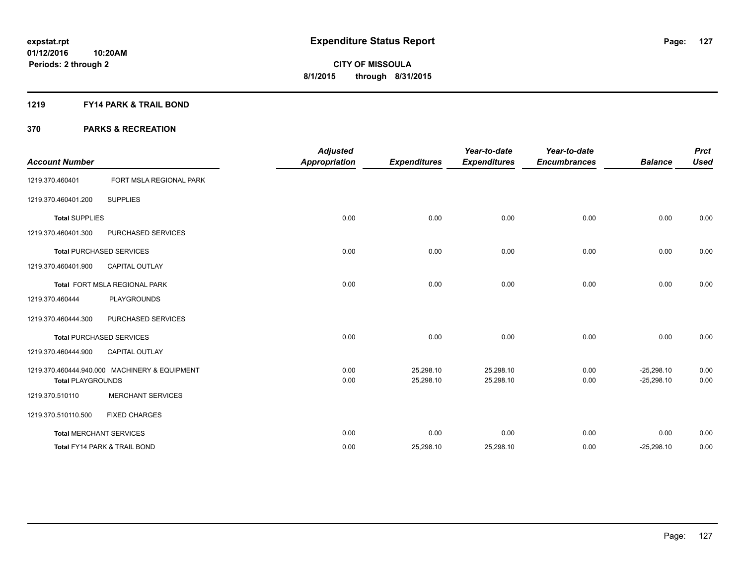## **1219 FY14 PARK & TRAIL BOND**

| <b>Account Number</b>    |                                               | <b>Adjusted</b><br><b>Appropriation</b> | <b>Expenditures</b>    | Year-to-date<br><b>Expenditures</b> | Year-to-date<br><b>Encumbrances</b> | <b>Balance</b>               | <b>Prct</b><br><b>Used</b> |
|--------------------------|-----------------------------------------------|-----------------------------------------|------------------------|-------------------------------------|-------------------------------------|------------------------------|----------------------------|
| 1219.370.460401          | FORT MSLA REGIONAL PARK                       |                                         |                        |                                     |                                     |                              |                            |
| 1219.370.460401.200      | <b>SUPPLIES</b>                               |                                         |                        |                                     |                                     |                              |                            |
| <b>Total SUPPLIES</b>    |                                               | 0.00                                    | 0.00                   | 0.00                                | 0.00                                | 0.00                         | 0.00                       |
| 1219.370.460401.300      | PURCHASED SERVICES                            |                                         |                        |                                     |                                     |                              |                            |
|                          | <b>Total PURCHASED SERVICES</b>               | 0.00                                    | 0.00                   | 0.00                                | 0.00                                | 0.00                         | 0.00                       |
| 1219.370.460401.900      | <b>CAPITAL OUTLAY</b>                         |                                         |                        |                                     |                                     |                              |                            |
|                          | Total FORT MSLA REGIONAL PARK                 | 0.00                                    | 0.00                   | 0.00                                | 0.00                                | 0.00                         | 0.00                       |
| 1219.370.460444          | <b>PLAYGROUNDS</b>                            |                                         |                        |                                     |                                     |                              |                            |
| 1219.370.460444.300      | PURCHASED SERVICES                            |                                         |                        |                                     |                                     |                              |                            |
|                          | <b>Total PURCHASED SERVICES</b>               | 0.00                                    | 0.00                   | 0.00                                | 0.00                                | 0.00                         | 0.00                       |
| 1219.370.460444.900      | <b>CAPITAL OUTLAY</b>                         |                                         |                        |                                     |                                     |                              |                            |
| <b>Total PLAYGROUNDS</b> | 1219.370.460444.940.000 MACHINERY & EQUIPMENT | 0.00<br>0.00                            | 25,298.10<br>25,298.10 | 25,298.10<br>25,298.10              | 0.00<br>0.00                        | $-25,298.10$<br>$-25,298.10$ | 0.00<br>0.00               |
| 1219.370.510110          | <b>MERCHANT SERVICES</b>                      |                                         |                        |                                     |                                     |                              |                            |
| 1219.370.510110.500      | <b>FIXED CHARGES</b>                          |                                         |                        |                                     |                                     |                              |                            |
|                          | <b>Total MERCHANT SERVICES</b>                | 0.00                                    | 0.00                   | 0.00                                | 0.00                                | 0.00                         | 0.00                       |
|                          | Total FY14 PARK & TRAIL BOND                  | 0.00                                    | 25,298.10              | 25,298.10                           | 0.00                                | $-25,298.10$                 | 0.00                       |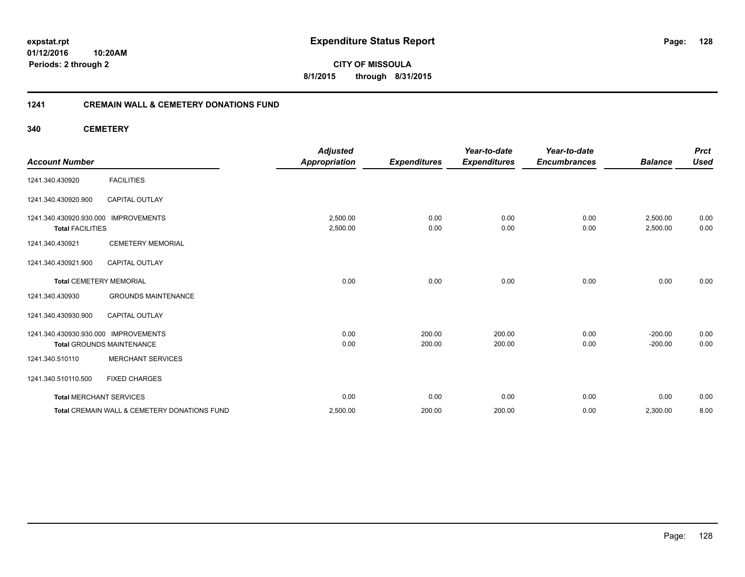**01/12/2016 10:20AM Periods: 2 through 2**

**CITY OF MISSOULA 8/1/2015 through 8/31/2015**

## **1241 CREMAIN WALL & CEMETERY DONATIONS FUND**

**340 CEMETERY**

| <b>Account Number</b>                                           |                                              | <b>Adjusted</b><br><b>Appropriation</b> | <b>Expenditures</b> | Year-to-date<br><b>Expenditures</b> | Year-to-date<br><b>Encumbrances</b> | <b>Balance</b>       | <b>Prct</b><br><b>Used</b> |
|-----------------------------------------------------------------|----------------------------------------------|-----------------------------------------|---------------------|-------------------------------------|-------------------------------------|----------------------|----------------------------|
| 1241.340.430920                                                 | <b>FACILITIES</b>                            |                                         |                     |                                     |                                     |                      |                            |
| 1241.340.430920.900                                             | <b>CAPITAL OUTLAY</b>                        |                                         |                     |                                     |                                     |                      |                            |
| 1241.340.430920.930.000 IMPROVEMENTS<br><b>Total FACILITIES</b> |                                              | 2,500.00<br>2,500.00                    | 0.00<br>0.00        | 0.00<br>0.00                        | 0.00<br>0.00                        | 2,500.00<br>2,500.00 | 0.00<br>0.00               |
| 1241.340.430921                                                 | <b>CEMETERY MEMORIAL</b>                     |                                         |                     |                                     |                                     |                      |                            |
| 1241.340.430921.900                                             | <b>CAPITAL OUTLAY</b>                        |                                         |                     |                                     |                                     |                      |                            |
| <b>Total CEMETERY MEMORIAL</b>                                  |                                              | 0.00                                    | 0.00                | 0.00                                | 0.00                                | 0.00                 | 0.00                       |
| 1241.340.430930                                                 | <b>GROUNDS MAINTENANCE</b>                   |                                         |                     |                                     |                                     |                      |                            |
| 1241.340.430930.900                                             | <b>CAPITAL OUTLAY</b>                        |                                         |                     |                                     |                                     |                      |                            |
| 1241.340.430930.930.000 IMPROVEMENTS                            |                                              | 0.00                                    | 200.00              | 200.00                              | 0.00                                | $-200.00$            | 0.00                       |
|                                                                 | <b>Total GROUNDS MAINTENANCE</b>             | 0.00                                    | 200.00              | 200.00                              | 0.00                                | $-200.00$            | 0.00                       |
| 1241.340.510110                                                 | <b>MERCHANT SERVICES</b>                     |                                         |                     |                                     |                                     |                      |                            |
| 1241.340.510110.500                                             | <b>FIXED CHARGES</b>                         |                                         |                     |                                     |                                     |                      |                            |
| <b>Total MERCHANT SERVICES</b>                                  |                                              | 0.00                                    | 0.00                | 0.00                                | 0.00                                | 0.00                 | 0.00                       |
|                                                                 | Total CREMAIN WALL & CEMETERY DONATIONS FUND | 2,500.00                                | 200.00              | 200.00                              | 0.00                                | 2,300.00             | 8.00                       |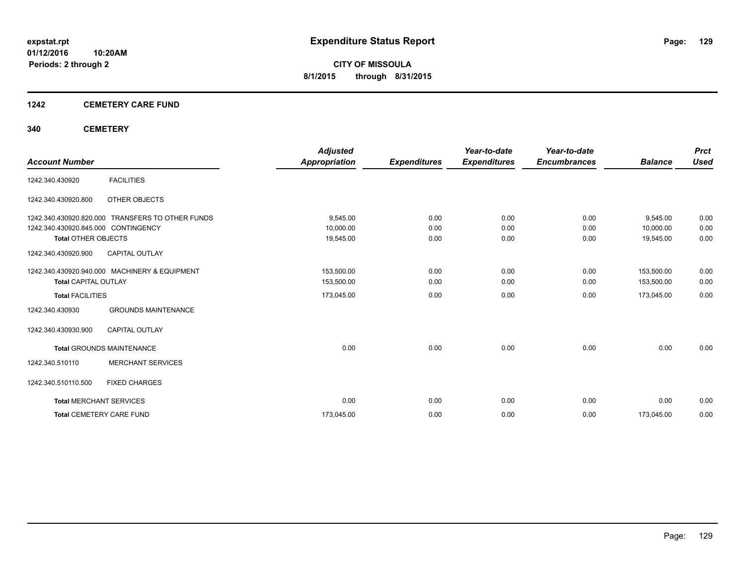## **1242 CEMETERY CARE FUND**

## **340 CEMETERY**

|                                     |                                                  | <b>Adjusted</b>      |                     | Year-to-date        | Year-to-date        |                | <b>Prct</b> |
|-------------------------------------|--------------------------------------------------|----------------------|---------------------|---------------------|---------------------|----------------|-------------|
| <b>Account Number</b>               |                                                  | <b>Appropriation</b> | <b>Expenditures</b> | <b>Expenditures</b> | <b>Encumbrances</b> | <b>Balance</b> | <b>Used</b> |
| 1242.340.430920                     | <b>FACILITIES</b>                                |                      |                     |                     |                     |                |             |
| 1242.340.430920.800                 | OTHER OBJECTS                                    |                      |                     |                     |                     |                |             |
|                                     | 1242.340.430920.820.000 TRANSFERS TO OTHER FUNDS | 9,545.00             | 0.00                | 0.00                | 0.00                | 9,545.00       | 0.00        |
| 1242.340.430920.845.000 CONTINGENCY |                                                  | 10,000.00            | 0.00                | 0.00                | 0.00                | 10,000.00      | 0.00        |
| <b>Total OTHER OBJECTS</b>          |                                                  | 19,545.00            | 0.00                | 0.00                | 0.00                | 19,545.00      | 0.00        |
| 1242.340.430920.900                 | <b>CAPITAL OUTLAY</b>                            |                      |                     |                     |                     |                |             |
|                                     | 1242.340.430920.940.000 MACHINERY & EQUIPMENT    | 153,500.00           | 0.00                | 0.00                | 0.00                | 153,500.00     | 0.00        |
| <b>Total CAPITAL OUTLAY</b>         |                                                  | 153,500.00           | 0.00                | 0.00                | 0.00                | 153,500.00     | 0.00        |
| <b>Total FACILITIES</b>             |                                                  | 173,045.00           | 0.00                | 0.00                | 0.00                | 173,045.00     | 0.00        |
| 1242.340.430930                     | <b>GROUNDS MAINTENANCE</b>                       |                      |                     |                     |                     |                |             |
| 1242.340.430930.900                 | <b>CAPITAL OUTLAY</b>                            |                      |                     |                     |                     |                |             |
|                                     | <b>Total GROUNDS MAINTENANCE</b>                 | 0.00                 | 0.00                | 0.00                | 0.00                | 0.00           | 0.00        |
| 1242.340.510110                     | <b>MERCHANT SERVICES</b>                         |                      |                     |                     |                     |                |             |
| 1242.340.510110.500                 | <b>FIXED CHARGES</b>                             |                      |                     |                     |                     |                |             |
| <b>Total MERCHANT SERVICES</b>      |                                                  | 0.00                 | 0.00                | 0.00                | 0.00                | 0.00           | 0.00        |
|                                     | <b>Total CEMETERY CARE FUND</b>                  | 173,045.00           | 0.00                | 0.00                | 0.00                | 173,045.00     | 0.00        |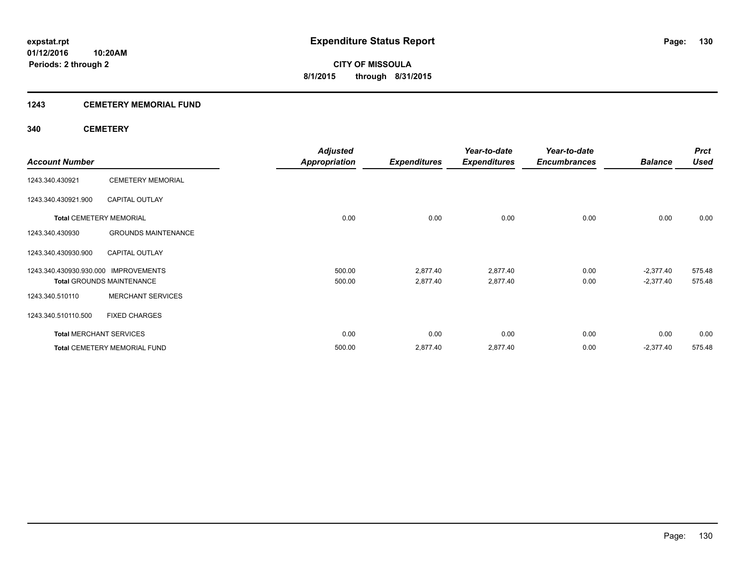## **1243 CEMETERY MEMORIAL FUND**

## **340 CEMETERY**

|                                      |                                     | <b>Adjusted</b>      |                     | Year-to-date        | Year-to-date        |                | <b>Prct</b> |
|--------------------------------------|-------------------------------------|----------------------|---------------------|---------------------|---------------------|----------------|-------------|
| <b>Account Number</b>                |                                     | <b>Appropriation</b> | <b>Expenditures</b> | <b>Expenditures</b> | <b>Encumbrances</b> | <b>Balance</b> | <b>Used</b> |
| 1243.340.430921                      | <b>CEMETERY MEMORIAL</b>            |                      |                     |                     |                     |                |             |
| 1243.340.430921.900                  | <b>CAPITAL OUTLAY</b>               |                      |                     |                     |                     |                |             |
|                                      | <b>Total CEMETERY MEMORIAL</b>      | 0.00                 | 0.00                | 0.00                | 0.00                | 0.00           | 0.00        |
| 1243.340.430930                      | <b>GROUNDS MAINTENANCE</b>          |                      |                     |                     |                     |                |             |
| 1243.340.430930.900                  | <b>CAPITAL OUTLAY</b>               |                      |                     |                     |                     |                |             |
| 1243.340.430930.930.000 IMPROVEMENTS |                                     | 500.00               | 2,877.40            | 2,877.40            | 0.00                | $-2,377.40$    | 575.48      |
|                                      | <b>Total GROUNDS MAINTENANCE</b>    | 500.00               | 2,877.40            | 2,877.40            | 0.00                | $-2,377.40$    | 575.48      |
| 1243.340.510110                      | <b>MERCHANT SERVICES</b>            |                      |                     |                     |                     |                |             |
| 1243.340.510110.500                  | <b>FIXED CHARGES</b>                |                      |                     |                     |                     |                |             |
| <b>Total MERCHANT SERVICES</b>       |                                     | 0.00                 | 0.00                | 0.00                | 0.00                | 0.00           | 0.00        |
|                                      | <b>Total CEMETERY MEMORIAL FUND</b> | 500.00               | 2,877.40            | 2,877.40            | 0.00                | $-2,377.40$    | 575.48      |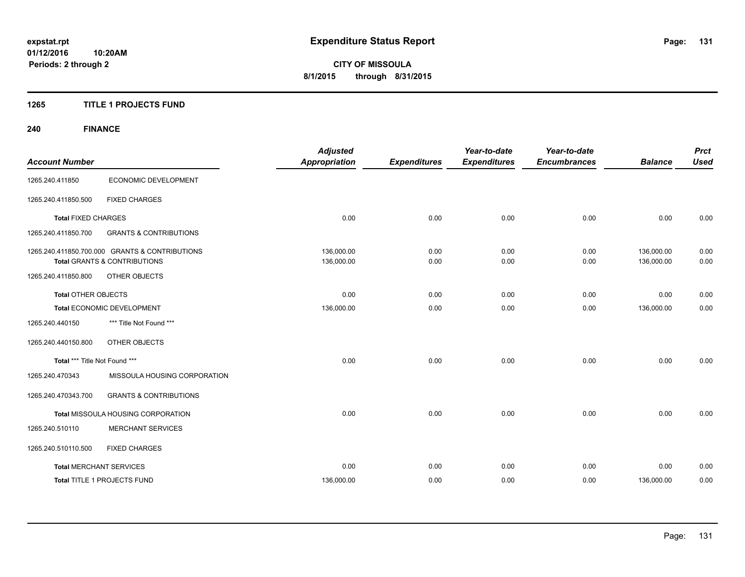## **1265 TITLE 1 PROJECTS FUND**

## **240 FINANCE**

| <b>Account Number</b>          |                                                                                           | <b>Adjusted</b><br><b>Appropriation</b> | <b>Expenditures</b> | Year-to-date<br><b>Expenditures</b> | Year-to-date<br><b>Encumbrances</b> | <b>Balance</b>           | <b>Prct</b><br><b>Used</b> |
|--------------------------------|-------------------------------------------------------------------------------------------|-----------------------------------------|---------------------|-------------------------------------|-------------------------------------|--------------------------|----------------------------|
| 1265.240.411850                | ECONOMIC DEVELOPMENT                                                                      |                                         |                     |                                     |                                     |                          |                            |
| 1265.240.411850.500            | <b>FIXED CHARGES</b>                                                                      |                                         |                     |                                     |                                     |                          |                            |
| <b>Total FIXED CHARGES</b>     |                                                                                           | 0.00                                    | 0.00                | 0.00                                | 0.00                                | 0.00                     | 0.00                       |
| 1265.240.411850.700            | <b>GRANTS &amp; CONTRIBUTIONS</b>                                                         |                                         |                     |                                     |                                     |                          |                            |
|                                | 1265.240.411850.700.000 GRANTS & CONTRIBUTIONS<br><b>Total GRANTS &amp; CONTRIBUTIONS</b> | 136,000.00<br>136,000.00                | 0.00<br>0.00        | 0.00<br>0.00                        | 0.00<br>0.00                        | 136,000.00<br>136,000.00 | 0.00<br>0.00               |
| 1265.240.411850.800            | <b>OTHER OBJECTS</b>                                                                      |                                         |                     |                                     |                                     |                          |                            |
| <b>Total OTHER OBJECTS</b>     |                                                                                           | 0.00                                    | 0.00                | 0.00                                | 0.00                                | 0.00                     | 0.00                       |
|                                | Total ECONOMIC DEVELOPMENT                                                                | 136,000.00                              | 0.00                | 0.00                                | 0.00                                | 136,000.00               | 0.00                       |
| 1265.240.440150                | *** Title Not Found ***                                                                   |                                         |                     |                                     |                                     |                          |                            |
| 1265.240.440150.800            | OTHER OBJECTS                                                                             |                                         |                     |                                     |                                     |                          |                            |
| Total *** Title Not Found ***  |                                                                                           | 0.00                                    | 0.00                | 0.00                                | 0.00                                | 0.00                     | 0.00                       |
| 1265.240.470343                | MISSOULA HOUSING CORPORATION                                                              |                                         |                     |                                     |                                     |                          |                            |
| 1265.240.470343.700            | <b>GRANTS &amp; CONTRIBUTIONS</b>                                                         |                                         |                     |                                     |                                     |                          |                            |
|                                | Total MISSOULA HOUSING CORPORATION                                                        | 0.00                                    | 0.00                | 0.00                                | 0.00                                | 0.00                     | 0.00                       |
| 1265.240.510110                | <b>MERCHANT SERVICES</b>                                                                  |                                         |                     |                                     |                                     |                          |                            |
| 1265.240.510110.500            | <b>FIXED CHARGES</b>                                                                      |                                         |                     |                                     |                                     |                          |                            |
| <b>Total MERCHANT SERVICES</b> |                                                                                           | 0.00                                    | 0.00                | 0.00                                | 0.00                                | 0.00                     | 0.00                       |
|                                | Total TITLE 1 PROJECTS FUND                                                               | 136,000.00                              | 0.00                | 0.00                                | 0.00                                | 136,000.00               | 0.00                       |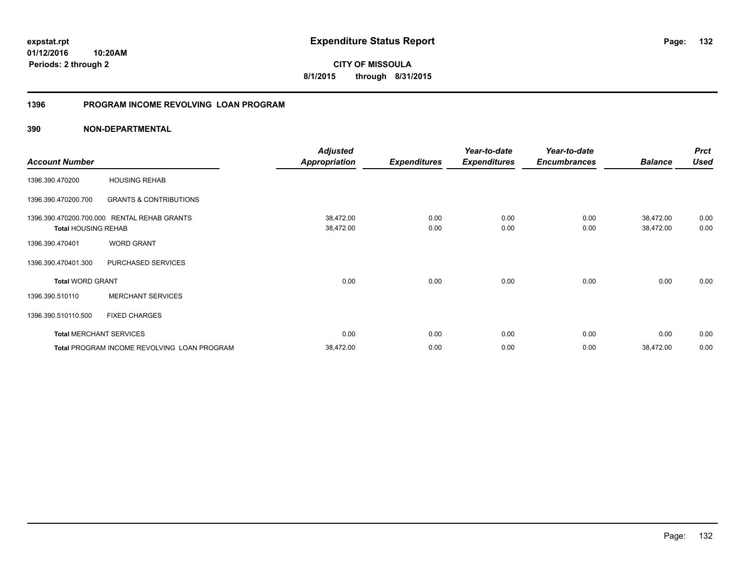**01/12/2016 10:20AM Periods: 2 through 2**

**CITY OF MISSOULA 8/1/2015 through 8/31/2015**

## **1396 PROGRAM INCOME REVOLVING LOAN PROGRAM**

|                                |                                             | <b>Adjusted</b>      |                     | Year-to-date        | Year-to-date        |                | <b>Prct</b> |
|--------------------------------|---------------------------------------------|----------------------|---------------------|---------------------|---------------------|----------------|-------------|
| <b>Account Number</b>          |                                             | <b>Appropriation</b> | <b>Expenditures</b> | <b>Expenditures</b> | <b>Encumbrances</b> | <b>Balance</b> | <b>Used</b> |
| 1396.390.470200                | <b>HOUSING REHAB</b>                        |                      |                     |                     |                     |                |             |
| 1396.390.470200.700            | <b>GRANTS &amp; CONTRIBUTIONS</b>           |                      |                     |                     |                     |                |             |
| 1396.390.470200.700.000        | <b>RENTAL REHAB GRANTS</b>                  | 38,472.00            | 0.00                | 0.00                | 0.00                | 38,472.00      | 0.00        |
| <b>Total HOUSING REHAB</b>     |                                             | 38,472.00            | 0.00                | 0.00                | 0.00                | 38,472.00      | 0.00        |
| 1396.390.470401                | <b>WORD GRANT</b>                           |                      |                     |                     |                     |                |             |
| 1396.390.470401.300            | PURCHASED SERVICES                          |                      |                     |                     |                     |                |             |
| <b>Total WORD GRANT</b>        |                                             | 0.00                 | 0.00                | 0.00                | 0.00                | 0.00           | 0.00        |
| 1396.390.510110                | <b>MERCHANT SERVICES</b>                    |                      |                     |                     |                     |                |             |
| 1396.390.510110.500            | <b>FIXED CHARGES</b>                        |                      |                     |                     |                     |                |             |
| <b>Total MERCHANT SERVICES</b> |                                             | 0.00                 | 0.00                | 0.00                | 0.00                | 0.00           | 0.00        |
|                                | Total PROGRAM INCOME REVOLVING LOAN PROGRAM | 38,472.00            | 0.00                | 0.00                | 0.00                | 38,472.00      | 0.00        |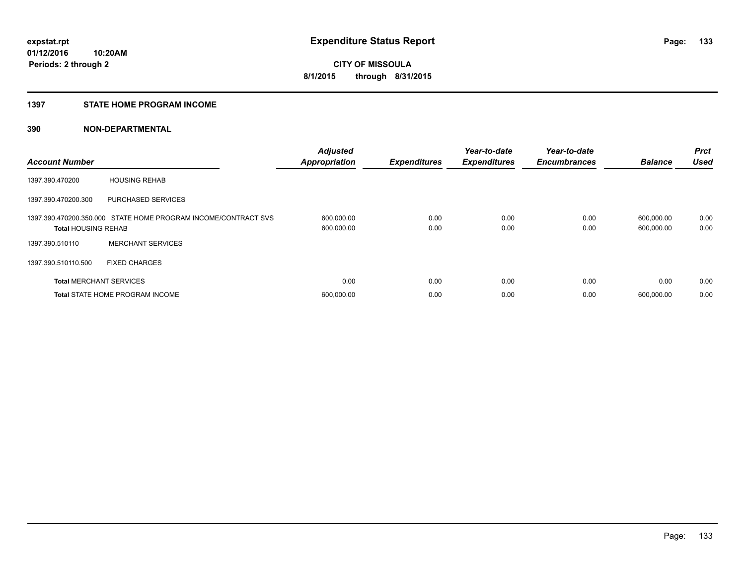#### **1397 STATE HOME PROGRAM INCOME**

| <b>Account Number</b>          |                                                                | <b>Adjusted</b><br><b>Appropriation</b> | <b>Expenditures</b> | Year-to-date<br><b>Expenditures</b> | Year-to-date<br><b>Encumbrances</b> | <b>Balance</b>           | <b>Prct</b><br><b>Used</b> |
|--------------------------------|----------------------------------------------------------------|-----------------------------------------|---------------------|-------------------------------------|-------------------------------------|--------------------------|----------------------------|
| 1397.390.470200                | <b>HOUSING REHAB</b>                                           |                                         |                     |                                     |                                     |                          |                            |
| 1397.390.470200.300            | <b>PURCHASED SERVICES</b>                                      |                                         |                     |                                     |                                     |                          |                            |
| <b>Total HOUSING REHAB</b>     | 1397.390.470200.350.000 STATE HOME PROGRAM INCOME/CONTRACT SVS | 600,000.00<br>600,000.00                | 0.00<br>0.00        | 0.00<br>0.00                        | 0.00<br>0.00                        | 600,000.00<br>600,000.00 | 0.00<br>0.00               |
| 1397.390.510110                | <b>MERCHANT SERVICES</b>                                       |                                         |                     |                                     |                                     |                          |                            |
| 1397.390.510110.500            | <b>FIXED CHARGES</b>                                           |                                         |                     |                                     |                                     |                          |                            |
| <b>Total MERCHANT SERVICES</b> |                                                                | 0.00                                    | 0.00                | 0.00                                | 0.00                                | 0.00                     | 0.00                       |
|                                | <b>Total STATE HOME PROGRAM INCOME</b>                         | 600,000.00                              | 0.00                | 0.00                                | 0.00                                | 600.000.00               | 0.00                       |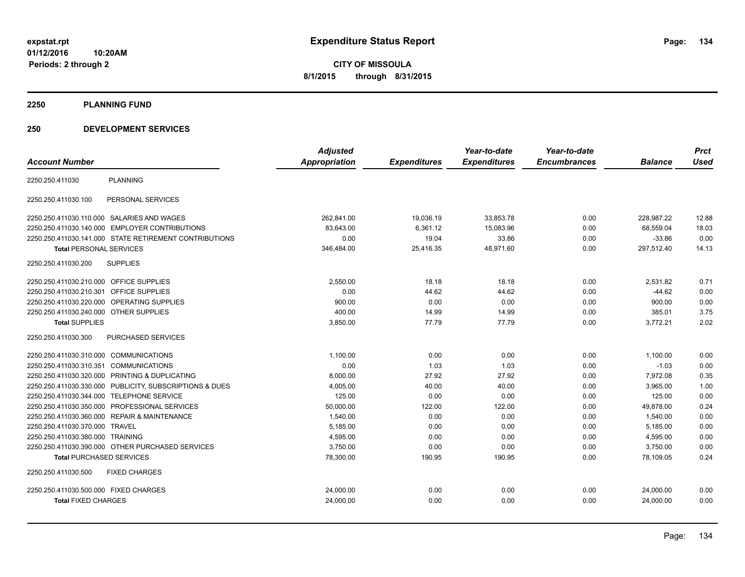**2250 PLANNING FUND**

## **250 DEVELOPMENT SERVICES**

| <b>Account Number</b>                                   | <b>Adjusted</b><br><b>Appropriation</b> | <b>Expenditures</b> | Year-to-date<br><b>Expenditures</b> | Year-to-date<br><b>Encumbrances</b> | <b>Balance</b> | <b>Prct</b><br><b>Used</b> |
|---------------------------------------------------------|-----------------------------------------|---------------------|-------------------------------------|-------------------------------------|----------------|----------------------------|
| <b>PLANNING</b><br>2250.250.411030                      |                                         |                     |                                     |                                     |                |                            |
| 2250.250.411030.100<br>PERSONAL SERVICES                |                                         |                     |                                     |                                     |                |                            |
| 2250.250.411030.110.000 SALARIES AND WAGES              | 262,841.00                              | 19,036.19           | 33,853.78                           | 0.00                                | 228,987.22     | 12.88                      |
| 2250.250.411030.140.000 EMPLOYER CONTRIBUTIONS          | 83.643.00                               | 6,361.12            | 15,083.96                           | 0.00                                | 68.559.04      | 18.03                      |
| 2250.250.411030.141.000 STATE RETIREMENT CONTRIBUTIONS  | 0.00                                    | 19.04               | 33.86                               | 0.00                                | $-33.86$       | 0.00                       |
| <b>Total PERSONAL SERVICES</b>                          | 346.484.00                              | 25.416.35           | 48.971.60                           | 0.00                                | 297.512.40     | 14.13                      |
| 2250.250.411030.200<br><b>SUPPLIES</b>                  |                                         |                     |                                     |                                     |                |                            |
| 2250.250.411030.210.000 OFFICE SUPPLIES                 | 2,550.00                                | 18.18               | 18.18                               | 0.00                                | 2,531.82       | 0.71                       |
| 2250.250.411030.210.301 OFFICE SUPPLIES                 | 0.00                                    | 44.62               | 44.62                               | 0.00                                | $-44.62$       | 0.00                       |
| OPERATING SUPPLIES<br>2250.250.411030.220.000           | 900.00                                  | 0.00                | 0.00                                | 0.00                                | 900.00         | 0.00                       |
| 2250.250.411030.240.000 OTHER SUPPLIES                  | 400.00                                  | 14.99               | 14.99                               | 0.00                                | 385.01         | 3.75                       |
| <b>Total SUPPLIES</b>                                   | 3,850.00                                | 77.79               | 77.79                               | 0.00                                | 3,772.21       | 2.02                       |
| 2250.250.411030.300<br><b>PURCHASED SERVICES</b>        |                                         |                     |                                     |                                     |                |                            |
| 2250.250.411030.310.000 COMMUNICATIONS                  | 1,100.00                                | 0.00                | 0.00                                | 0.00                                | 1,100.00       | 0.00                       |
| 2250.250.411030.310.351 COMMUNICATIONS                  | 0.00                                    | 1.03                | 1.03                                | 0.00                                | $-1.03$        | 0.00                       |
| 2250.250.411030.320.000 PRINTING & DUPLICATING          | 8,000.00                                | 27.92               | 27.92                               | 0.00                                | 7,972.08       | 0.35                       |
| 2250.250.411030.330.000 PUBLICITY, SUBSCRIPTIONS & DUES | 4,005.00                                | 40.00               | 40.00                               | 0.00                                | 3,965.00       | 1.00                       |
| 2250.250.411030.344.000 TELEPHONE SERVICE               | 125.00                                  | 0.00                | 0.00                                | 0.00                                | 125.00         | 0.00                       |
| 2250.250.411030.350.000 PROFESSIONAL SERVICES           | 50.000.00                               | 122.00              | 122.00                              | 0.00                                | 49,878.00      | 0.24                       |
| 2250.250.411030.360.000 REPAIR & MAINTENANCE            | 1,540.00                                | 0.00                | 0.00                                | 0.00                                | 1,540.00       | 0.00                       |
| 2250.250.411030.370.000 TRAVEL                          | 5,185.00                                | 0.00                | 0.00                                | 0.00                                | 5,185.00       | 0.00                       |
| 2250.250.411030.380.000 TRAINING                        | 4,595.00                                | 0.00                | 0.00                                | 0.00                                | 4,595.00       | 0.00                       |
| 2250.250.411030.390.000 OTHER PURCHASED SERVICES        | 3,750.00                                | 0.00                | 0.00                                | 0.00                                | 3,750.00       | 0.00                       |
| <b>Total PURCHASED SERVICES</b>                         | 78,300.00                               | 190.95              | 190.95                              | 0.00                                | 78,109.05      | 0.24                       |
| <b>FIXED CHARGES</b><br>2250.250.411030.500             |                                         |                     |                                     |                                     |                |                            |
| 2250.250.411030.500.000 FIXED CHARGES                   | 24,000.00                               | 0.00                | 0.00                                | 0.00                                | 24,000.00      | 0.00                       |
| <b>Total FIXED CHARGES</b>                              | 24,000.00                               | 0.00                | 0.00                                | 0.00                                | 24,000.00      | 0.00                       |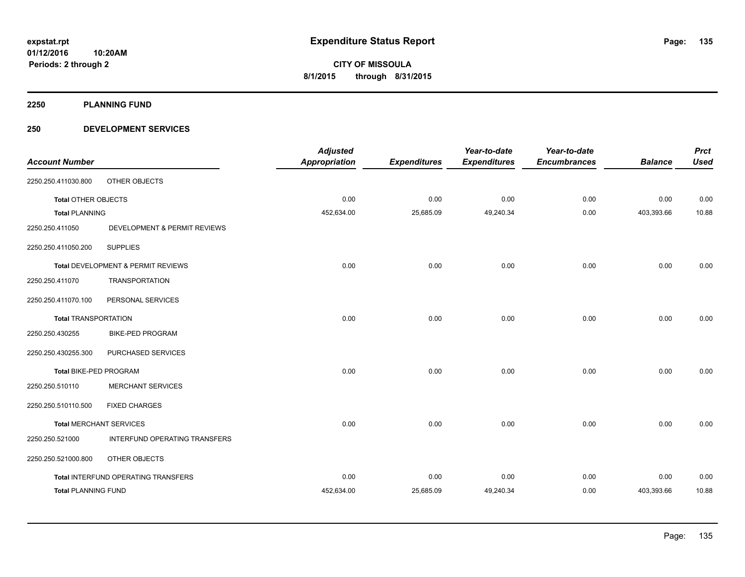**2250 PLANNING FUND**

## **250 DEVELOPMENT SERVICES**

|                             |                                     | <b>Adjusted</b>      |                     | Year-to-date        | Year-to-date        |                | <b>Prct</b> |
|-----------------------------|-------------------------------------|----------------------|---------------------|---------------------|---------------------|----------------|-------------|
| <b>Account Number</b>       |                                     | <b>Appropriation</b> | <b>Expenditures</b> | <b>Expenditures</b> | <b>Encumbrances</b> | <b>Balance</b> | <b>Used</b> |
| 2250.250.411030.800         | OTHER OBJECTS                       |                      |                     |                     |                     |                |             |
| <b>Total OTHER OBJECTS</b>  |                                     | 0.00                 | 0.00                | 0.00                | 0.00                | 0.00           | 0.00        |
| <b>Total PLANNING</b>       |                                     | 452,634.00           | 25,685.09           | 49,240.34           | 0.00                | 403,393.66     | 10.88       |
| 2250.250.411050             | DEVELOPMENT & PERMIT REVIEWS        |                      |                     |                     |                     |                |             |
| 2250.250.411050.200         | <b>SUPPLIES</b>                     |                      |                     |                     |                     |                |             |
|                             | Total DEVELOPMENT & PERMIT REVIEWS  | 0.00                 | 0.00                | 0.00                | 0.00                | 0.00           | 0.00        |
| 2250.250.411070             | <b>TRANSPORTATION</b>               |                      |                     |                     |                     |                |             |
| 2250.250.411070.100         | PERSONAL SERVICES                   |                      |                     |                     |                     |                |             |
| <b>Total TRANSPORTATION</b> |                                     | 0.00                 | 0.00                | 0.00                | 0.00                | 0.00           | 0.00        |
| 2250.250.430255             | <b>BIKE-PED PROGRAM</b>             |                      |                     |                     |                     |                |             |
| 2250.250.430255.300         | PURCHASED SERVICES                  |                      |                     |                     |                     |                |             |
| Total BIKE-PED PROGRAM      |                                     | 0.00                 | 0.00                | 0.00                | 0.00                | 0.00           | 0.00        |
| 2250.250.510110             | <b>MERCHANT SERVICES</b>            |                      |                     |                     |                     |                |             |
| 2250.250.510110.500         | <b>FIXED CHARGES</b>                |                      |                     |                     |                     |                |             |
|                             | <b>Total MERCHANT SERVICES</b>      | 0.00                 | 0.00                | 0.00                | 0.00                | 0.00           | 0.00        |
| 2250.250.521000             | INTERFUND OPERATING TRANSFERS       |                      |                     |                     |                     |                |             |
| 2250.250.521000.800         | OTHER OBJECTS                       |                      |                     |                     |                     |                |             |
|                             | Total INTERFUND OPERATING TRANSFERS | 0.00                 | 0.00                | 0.00                | 0.00                | 0.00           | 0.00        |
| <b>Total PLANNING FUND</b>  |                                     | 452,634.00           | 25,685.09           | 49,240.34           | 0.00                | 403,393.66     | 10.88       |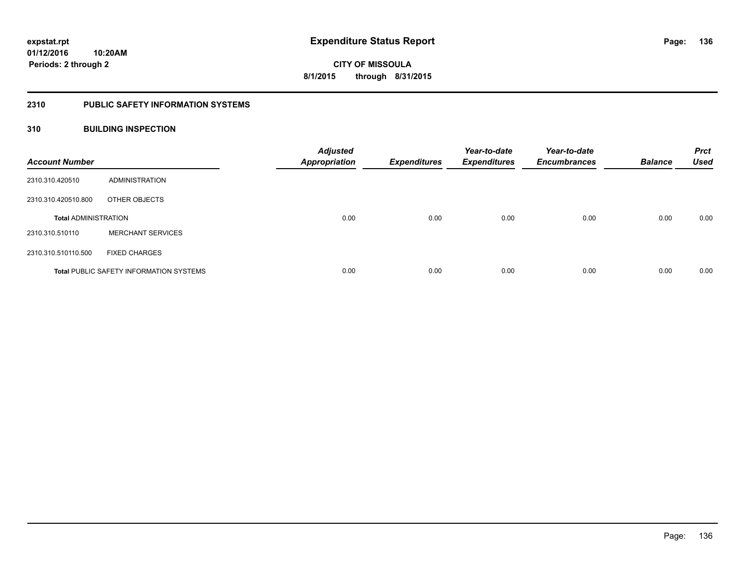## **2310 PUBLIC SAFETY INFORMATION SYSTEMS**

## **310 BUILDING INSPECTION**

| <b>Account Number</b>       |                                                | <b>Adjusted</b><br><b>Appropriation</b> | <b>Expenditures</b> | Year-to-date<br><b>Expenditures</b> | Year-to-date<br><b>Encumbrances</b> | <b>Balance</b> | <b>Prct</b><br><b>Used</b> |
|-----------------------------|------------------------------------------------|-----------------------------------------|---------------------|-------------------------------------|-------------------------------------|----------------|----------------------------|
| 2310.310.420510             | ADMINISTRATION                                 |                                         |                     |                                     |                                     |                |                            |
| 2310.310.420510.800         | OTHER OBJECTS                                  |                                         |                     |                                     |                                     |                |                            |
| <b>Total ADMINISTRATION</b> |                                                | 0.00                                    | 0.00                | 0.00                                | 0.00                                | 0.00           | 0.00                       |
| 2310.310.510110             | <b>MERCHANT SERVICES</b>                       |                                         |                     |                                     |                                     |                |                            |
| 2310.310.510110.500         | <b>FIXED CHARGES</b>                           |                                         |                     |                                     |                                     |                |                            |
|                             | <b>Total PUBLIC SAFETY INFORMATION SYSTEMS</b> | 0.00                                    | 0.00                | 0.00                                | 0.00                                | 0.00           | 0.00                       |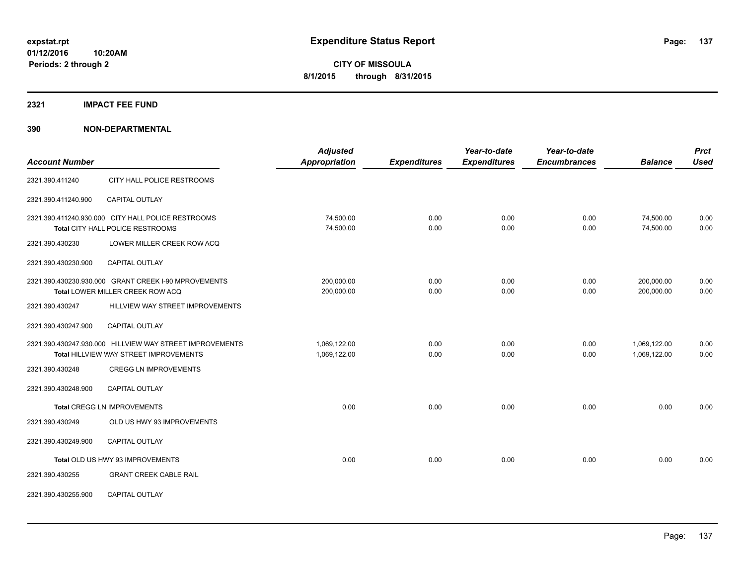## **2321 IMPACT FEE FUND**

| <b>Account Number</b> |                                                                                                    | <b>Adjusted</b><br><b>Appropriation</b> | <b>Expenditures</b> | Year-to-date<br><b>Expenditures</b> | Year-to-date<br><b>Encumbrances</b> | <b>Balance</b>               | <b>Prct</b><br><b>Used</b> |
|-----------------------|----------------------------------------------------------------------------------------------------|-----------------------------------------|---------------------|-------------------------------------|-------------------------------------|------------------------------|----------------------------|
| 2321.390.411240       | CITY HALL POLICE RESTROOMS                                                                         |                                         |                     |                                     |                                     |                              |                            |
| 2321.390.411240.900   | <b>CAPITAL OUTLAY</b>                                                                              |                                         |                     |                                     |                                     |                              |                            |
|                       | 2321.390.411240.930.000 CITY HALL POLICE RESTROOMS<br>Total CITY HALL POLICE RESTROOMS             | 74,500.00<br>74,500.00                  | 0.00<br>0.00        | 0.00<br>0.00                        | 0.00<br>0.00                        | 74,500.00<br>74,500.00       | 0.00<br>0.00               |
| 2321.390.430230       | LOWER MILLER CREEK ROW ACQ                                                                         |                                         |                     |                                     |                                     |                              |                            |
| 2321.390.430230.900   | CAPITAL OUTLAY                                                                                     |                                         |                     |                                     |                                     |                              |                            |
|                       | 2321.390.430230.930.000 GRANT CREEK I-90 MPROVEMENTS<br>Total LOWER MILLER CREEK ROW ACQ           | 200,000.00<br>200,000.00                | 0.00<br>0.00        | 0.00<br>0.00                        | 0.00<br>0.00                        | 200,000.00<br>200,000.00     | 0.00<br>0.00               |
| 2321.390.430247       | HILLVIEW WAY STREET IMPROVEMENTS                                                                   |                                         |                     |                                     |                                     |                              |                            |
| 2321.390.430247.900   | CAPITAL OUTLAY                                                                                     |                                         |                     |                                     |                                     |                              |                            |
|                       | 2321.390.430247.930.000 HILLVIEW WAY STREET IMPROVEMENTS<br>Total HILLVIEW WAY STREET IMPROVEMENTS | 1,069,122.00<br>1,069,122.00            | 0.00<br>0.00        | 0.00<br>0.00                        | 0.00<br>0.00                        | 1,069,122.00<br>1,069,122.00 | 0.00<br>0.00               |
| 2321.390.430248       | <b>CREGG LN IMPROVEMENTS</b>                                                                       |                                         |                     |                                     |                                     |                              |                            |
| 2321.390.430248.900   | <b>CAPITAL OUTLAY</b>                                                                              |                                         |                     |                                     |                                     |                              |                            |
|                       | <b>Total CREGG LN IMPROVEMENTS</b>                                                                 | 0.00                                    | 0.00                | 0.00                                | 0.00                                | 0.00                         | 0.00                       |
| 2321.390.430249       | OLD US HWY 93 IMPROVEMENTS                                                                         |                                         |                     |                                     |                                     |                              |                            |
| 2321.390.430249.900   | <b>CAPITAL OUTLAY</b>                                                                              |                                         |                     |                                     |                                     |                              |                            |
|                       | Total OLD US HWY 93 IMPROVEMENTS                                                                   | 0.00                                    | 0.00                | 0.00                                | 0.00                                | 0.00                         | 0.00                       |
| 2321.390.430255       | <b>GRANT CREEK CABLE RAIL</b>                                                                      |                                         |                     |                                     |                                     |                              |                            |
| 2321.390.430255.900   | <b>CAPITAL OUTLAY</b>                                                                              |                                         |                     |                                     |                                     |                              |                            |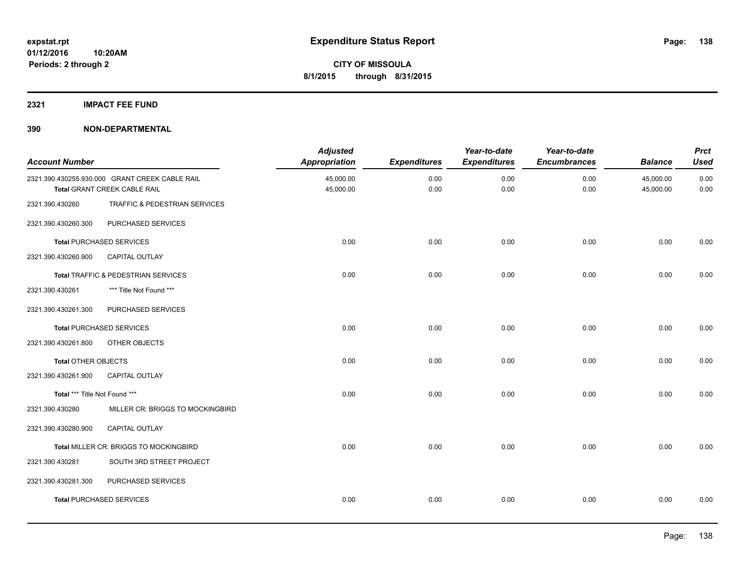## **2321 IMPACT FEE FUND**

| <b>Account Number</b>         |                                                                                       | <b>Adjusted</b><br><b>Appropriation</b> | <b>Expenditures</b> | Year-to-date<br><b>Expenditures</b> | Year-to-date<br><b>Encumbrances</b> | <b>Balance</b>         | <b>Prct</b><br><b>Used</b> |
|-------------------------------|---------------------------------------------------------------------------------------|-----------------------------------------|---------------------|-------------------------------------|-------------------------------------|------------------------|----------------------------|
|                               | 2321.390.430255.930.000 GRANT CREEK CABLE RAIL<br><b>Total GRANT CREEK CABLE RAIL</b> | 45,000.00<br>45,000.00                  | 0.00<br>0.00        | 0.00<br>0.00                        | 0.00<br>0.00                        | 45,000.00<br>45,000.00 | 0.00<br>0.00               |
| 2321.390.430260               | TRAFFIC & PEDESTRIAN SERVICES                                                         |                                         |                     |                                     |                                     |                        |                            |
| 2321.390.430260.300           | PURCHASED SERVICES                                                                    |                                         |                     |                                     |                                     |                        |                            |
|                               | <b>Total PURCHASED SERVICES</b>                                                       | 0.00                                    | 0.00                | 0.00                                | 0.00                                | 0.00                   | 0.00                       |
| 2321.390.430260.900           | CAPITAL OUTLAY                                                                        |                                         |                     |                                     |                                     |                        |                            |
|                               | Total TRAFFIC & PEDESTRIAN SERVICES                                                   | 0.00                                    | 0.00                | 0.00                                | 0.00                                | 0.00                   | 0.00                       |
| 2321.390.430261               | *** Title Not Found ***                                                               |                                         |                     |                                     |                                     |                        |                            |
| 2321.390.430261.300           | PURCHASED SERVICES                                                                    |                                         |                     |                                     |                                     |                        |                            |
|                               | <b>Total PURCHASED SERVICES</b>                                                       | 0.00                                    | 0.00                | 0.00                                | 0.00                                | 0.00                   | 0.00                       |
| 2321.390.430261.800           | OTHER OBJECTS                                                                         |                                         |                     |                                     |                                     |                        |                            |
| <b>Total OTHER OBJECTS</b>    |                                                                                       | 0.00                                    | 0.00                | 0.00                                | 0.00                                | 0.00                   | 0.00                       |
| 2321.390.430261.900           | CAPITAL OUTLAY                                                                        |                                         |                     |                                     |                                     |                        |                            |
| Total *** Title Not Found *** |                                                                                       | 0.00                                    | 0.00                | 0.00                                | 0.00                                | 0.00                   | 0.00                       |
| 2321.390.430280               | MILLER CR: BRIGGS TO MOCKINGBIRD                                                      |                                         |                     |                                     |                                     |                        |                            |
| 2321.390.430280.900           | <b>CAPITAL OUTLAY</b>                                                                 |                                         |                     |                                     |                                     |                        |                            |
|                               | Total MILLER CR: BRIGGS TO MOCKINGBIRD                                                | 0.00                                    | 0.00                | 0.00                                | 0.00                                | 0.00                   | 0.00                       |
| 2321.390.430281               | SOUTH 3RD STREET PROJECT                                                              |                                         |                     |                                     |                                     |                        |                            |
| 2321.390.430281.300           | PURCHASED SERVICES                                                                    |                                         |                     |                                     |                                     |                        |                            |
|                               | <b>Total PURCHASED SERVICES</b>                                                       | 0.00                                    | 0.00                | 0.00                                | 0.00                                | 0.00                   | 0.00                       |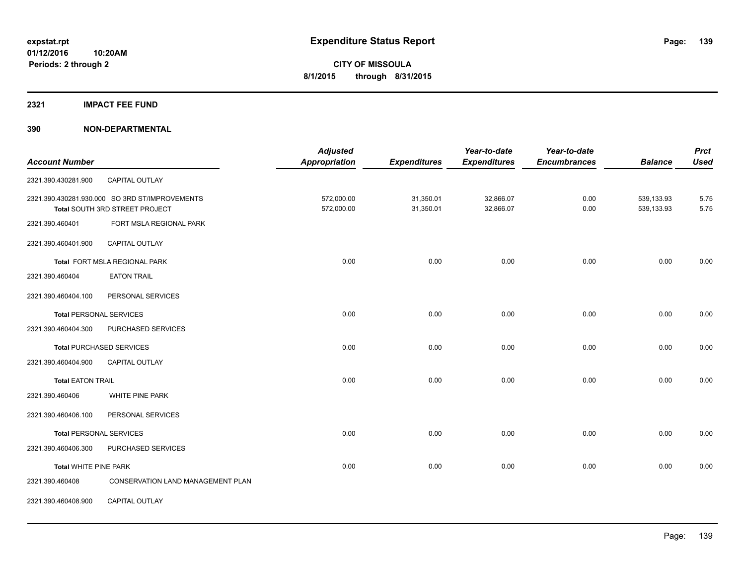## **2321 IMPACT FEE FUND**

|                                |                                                | <b>Adjusted</b> |                     | Year-to-date        | Year-to-date        |                | <b>Prct</b> |
|--------------------------------|------------------------------------------------|-----------------|---------------------|---------------------|---------------------|----------------|-------------|
| <b>Account Number</b>          |                                                | Appropriation   | <b>Expenditures</b> | <b>Expenditures</b> | <b>Encumbrances</b> | <b>Balance</b> | <b>Used</b> |
| 2321.390.430281.900            | CAPITAL OUTLAY                                 |                 |                     |                     |                     |                |             |
|                                | 2321.390.430281.930.000 SO 3RD ST/IMPROVEMENTS | 572,000.00      | 31,350.01           | 32,866.07           | 0.00                | 539,133.93     | 5.75        |
|                                | Total SOUTH 3RD STREET PROJECT                 | 572,000.00      | 31,350.01           | 32,866.07           | 0.00                | 539,133.93     | 5.75        |
| 2321.390.460401                | FORT MSLA REGIONAL PARK                        |                 |                     |                     |                     |                |             |
| 2321.390.460401.900            | <b>CAPITAL OUTLAY</b>                          |                 |                     |                     |                     |                |             |
|                                | Total FORT MSLA REGIONAL PARK                  | 0.00            | 0.00                | 0.00                | 0.00                | 0.00           | 0.00        |
| 2321.390.460404                | <b>EATON TRAIL</b>                             |                 |                     |                     |                     |                |             |
| 2321.390.460404.100            | PERSONAL SERVICES                              |                 |                     |                     |                     |                |             |
| <b>Total PERSONAL SERVICES</b> |                                                | 0.00            | 0.00                | 0.00                | 0.00                | 0.00           | 0.00        |
| 2321.390.460404.300            | PURCHASED SERVICES                             |                 |                     |                     |                     |                |             |
|                                | <b>Total PURCHASED SERVICES</b>                | 0.00            | 0.00                | 0.00                | 0.00                | 0.00           | 0.00        |
| 2321.390.460404.900            | CAPITAL OUTLAY                                 |                 |                     |                     |                     |                |             |
| <b>Total EATON TRAIL</b>       |                                                | 0.00            | 0.00                | 0.00                | 0.00                | 0.00           | 0.00        |
| 2321.390.460406                | WHITE PINE PARK                                |                 |                     |                     |                     |                |             |
| 2321.390.460406.100            | PERSONAL SERVICES                              |                 |                     |                     |                     |                |             |
| <b>Total PERSONAL SERVICES</b> |                                                | 0.00            | 0.00                | 0.00                | 0.00                | 0.00           | 0.00        |
| 2321.390.460406.300            | PURCHASED SERVICES                             |                 |                     |                     |                     |                |             |
| <b>Total WHITE PINE PARK</b>   |                                                | 0.00            | 0.00                | 0.00                | 0.00                | 0.00           | 0.00        |
| 2321.390.460408                | CONSERVATION LAND MANAGEMENT PLAN              |                 |                     |                     |                     |                |             |
| 2321.390.460408.900            | CAPITAL OUTLAY                                 |                 |                     |                     |                     |                |             |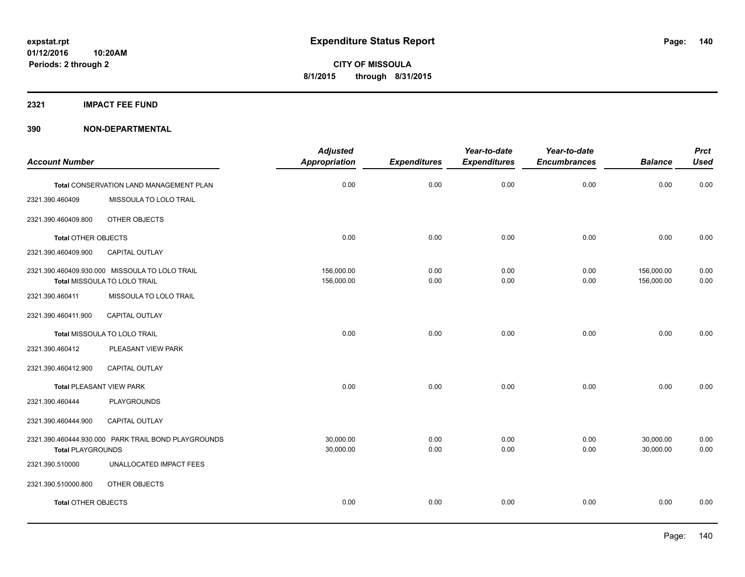**2321 IMPACT FEE FUND**

| <b>Account Number</b>           |                                                                                | <b>Adjusted</b><br>Appropriation | <b>Expenditures</b> | Year-to-date<br><b>Expenditures</b> | Year-to-date<br><b>Encumbrances</b> | <b>Balance</b>           | <b>Prct</b><br><b>Used</b> |
|---------------------------------|--------------------------------------------------------------------------------|----------------------------------|---------------------|-------------------------------------|-------------------------------------|--------------------------|----------------------------|
|                                 |                                                                                |                                  |                     |                                     |                                     |                          |                            |
|                                 | Total CONSERVATION LAND MANAGEMENT PLAN                                        | 0.00                             | 0.00                | 0.00                                | 0.00                                | 0.00                     | 0.00                       |
| 2321.390.460409                 | MISSOULA TO LOLO TRAIL                                                         |                                  |                     |                                     |                                     |                          |                            |
| 2321.390.460409.800             | OTHER OBJECTS                                                                  |                                  |                     |                                     |                                     |                          |                            |
| <b>Total OTHER OBJECTS</b>      |                                                                                | 0.00                             | 0.00                | 0.00                                | 0.00                                | 0.00                     | 0.00                       |
| 2321.390.460409.900             | CAPITAL OUTLAY                                                                 |                                  |                     |                                     |                                     |                          |                            |
|                                 | 2321.390.460409.930.000 MISSOULA TO LOLO TRAIL<br>Total MISSOULA TO LOLO TRAIL | 156,000.00<br>156,000.00         | 0.00<br>0.00        | 0.00<br>0.00                        | 0.00<br>0.00                        | 156,000.00<br>156,000.00 | 0.00<br>0.00               |
| 2321.390.460411                 | MISSOULA TO LOLO TRAIL                                                         |                                  |                     |                                     |                                     |                          |                            |
| 2321.390.460411.900             | CAPITAL OUTLAY                                                                 |                                  |                     |                                     |                                     |                          |                            |
|                                 | Total MISSOULA TO LOLO TRAIL                                                   | 0.00                             | 0.00                | 0.00                                | 0.00                                | 0.00                     | 0.00                       |
| 2321.390.460412                 | PLEASANT VIEW PARK                                                             |                                  |                     |                                     |                                     |                          |                            |
| 2321.390.460412.900             | <b>CAPITAL OUTLAY</b>                                                          |                                  |                     |                                     |                                     |                          |                            |
| <b>Total PLEASANT VIEW PARK</b> |                                                                                | 0.00                             | 0.00                | 0.00                                | 0.00                                | 0.00                     | 0.00                       |
| 2321.390.460444                 | <b>PLAYGROUNDS</b>                                                             |                                  |                     |                                     |                                     |                          |                            |
| 2321.390.460444.900             | CAPITAL OUTLAY                                                                 |                                  |                     |                                     |                                     |                          |                            |
| <b>Total PLAYGROUNDS</b>        | 2321.390.460444.930.000 PARK TRAIL BOND PLAYGROUNDS                            | 30,000.00<br>30,000.00           | 0.00<br>0.00        | 0.00<br>0.00                        | 0.00<br>0.00                        | 30,000.00<br>30,000.00   | 0.00<br>0.00               |
| 2321.390.510000                 | UNALLOCATED IMPACT FEES                                                        |                                  |                     |                                     |                                     |                          |                            |
| 2321.390.510000.800             | <b>OTHER OBJECTS</b>                                                           |                                  |                     |                                     |                                     |                          |                            |
| <b>Total OTHER OBJECTS</b>      |                                                                                | 0.00                             | 0.00                | 0.00                                | 0.00                                | 0.00                     | 0.00                       |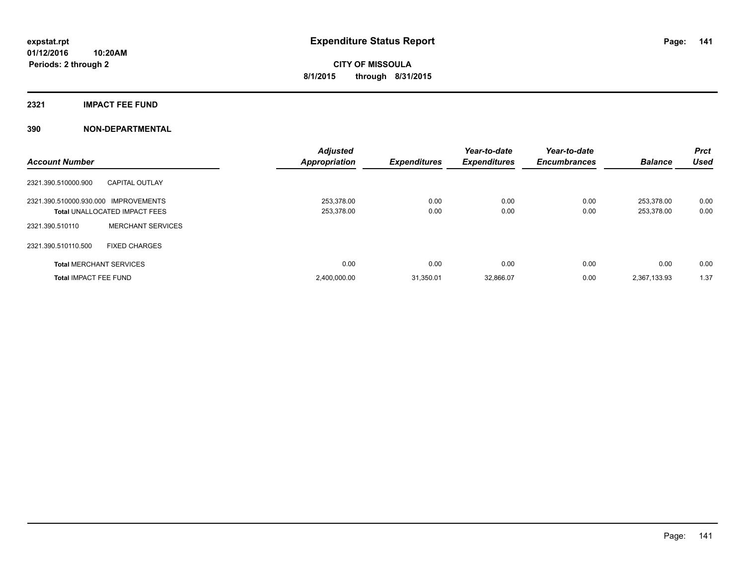## **2321 IMPACT FEE FUND**

| <b>Account Number</b>                |                                      | <b>Adjusted</b><br><b>Appropriation</b> | <b>Expenditures</b> | Year-to-date<br><b>Expenditures</b> | Year-to-date<br><b>Encumbrances</b> | <b>Balance</b>           | <b>Prct</b><br>Used |
|--------------------------------------|--------------------------------------|-----------------------------------------|---------------------|-------------------------------------|-------------------------------------|--------------------------|---------------------|
| 2321.390.510000.900                  | <b>CAPITAL OUTLAY</b>                |                                         |                     |                                     |                                     |                          |                     |
| 2321.390.510000.930.000 IMPROVEMENTS | <b>Total UNALLOCATED IMPACT FEES</b> | 253.378.00<br>253,378.00                | 0.00<br>0.00        | 0.00<br>0.00                        | 0.00<br>0.00                        | 253.378.00<br>253,378.00 | 0.00<br>0.00        |
| 2321.390.510110                      | <b>MERCHANT SERVICES</b>             |                                         |                     |                                     |                                     |                          |                     |
| 2321.390.510110.500                  | <b>FIXED CHARGES</b>                 |                                         |                     |                                     |                                     |                          |                     |
|                                      | <b>Total MERCHANT SERVICES</b>       | 0.00                                    | 0.00                | 0.00                                | 0.00                                | 0.00                     | 0.00                |
| <b>Total IMPACT FEE FUND</b>         |                                      | 2,400,000.00                            | 31.350.01           | 32,866.07                           | 0.00                                | 2,367,133.93             | 1.37                |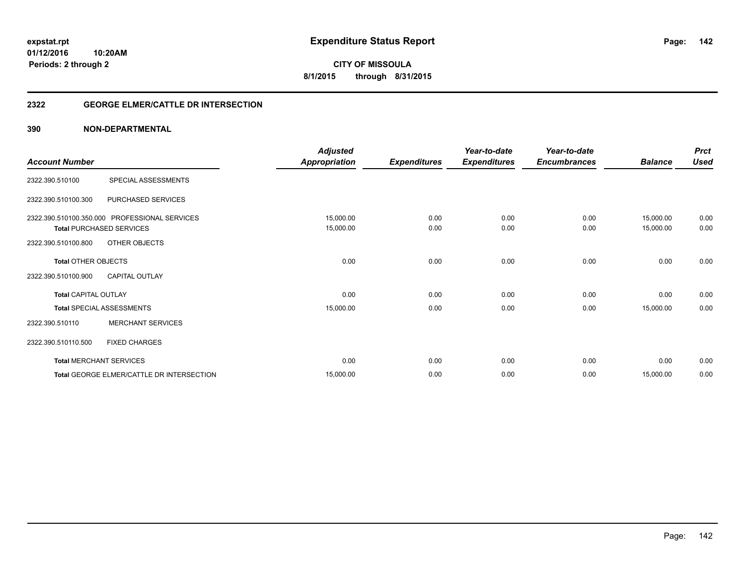**Periods: 2 through 2**

**CITY OF MISSOULA 8/1/2015 through 8/31/2015**

## **2322 GEORGE ELMER/CATTLE DR INTERSECTION**

## **390 NON-DEPARTMENTAL**

**10:20AM**

| <b>Account Number</b>                             |                                                                                                   | <b>Adjusted</b><br><b>Appropriation</b> | <b>Expenditures</b> | Year-to-date<br><b>Expenditures</b> | Year-to-date<br><b>Encumbrances</b> | <b>Balance</b>         | <b>Prct</b><br><b>Used</b> |
|---------------------------------------------------|---------------------------------------------------------------------------------------------------|-----------------------------------------|---------------------|-------------------------------------|-------------------------------------|------------------------|----------------------------|
| 2322.390.510100                                   | SPECIAL ASSESSMENTS                                                                               |                                         |                     |                                     |                                     |                        |                            |
| 2322.390.510100.300                               | PURCHASED SERVICES                                                                                |                                         |                     |                                     |                                     |                        |                            |
| 2322.390.510100.800                               | 2322.390.510100.350.000 PROFESSIONAL SERVICES<br><b>Total PURCHASED SERVICES</b><br>OTHER OBJECTS | 15,000.00<br>15,000.00                  | 0.00<br>0.00        | 0.00<br>0.00                        | 0.00<br>0.00                        | 15,000.00<br>15,000.00 | 0.00<br>0.00               |
| <b>Total OTHER OBJECTS</b><br>2322.390.510100.900 | <b>CAPITAL OUTLAY</b>                                                                             | 0.00                                    | 0.00                | 0.00                                | 0.00                                | 0.00                   | 0.00                       |
| <b>Total CAPITAL OUTLAY</b>                       |                                                                                                   | 0.00                                    | 0.00                | 0.00                                | 0.00                                | 0.00                   | 0.00                       |
| 2322.390.510110                                   | <b>Total SPECIAL ASSESSMENTS</b><br><b>MERCHANT SERVICES</b>                                      | 15,000.00                               | 0.00                | 0.00                                | 0.00                                | 15,000.00              | 0.00                       |
| 2322.390.510110.500                               | <b>FIXED CHARGES</b>                                                                              |                                         |                     |                                     |                                     |                        |                            |
|                                                   | <b>Total MERCHANT SERVICES</b>                                                                    | 0.00                                    | 0.00                | 0.00                                | 0.00                                | 0.00                   | 0.00                       |
|                                                   | Total GEORGE ELMER/CATTLE DR INTERSECTION                                                         | 15,000.00                               | 0.00                | 0.00                                | 0.00                                | 15,000.00              | 0.00                       |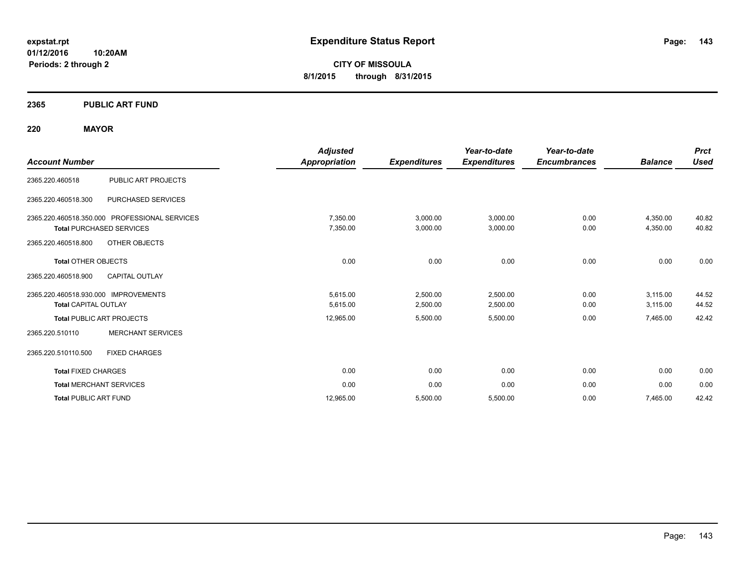**01/12/2016 10:20AM Periods: 2 through 2**

**CITY OF MISSOULA 8/1/2015 through 8/31/2015**

## **2365 PUBLIC ART FUND**

## **220 MAYOR**

| <b>Account Number</b>                                                                                                           | <b>Adjusted</b><br>Appropriation | <b>Expenditures</b>  | Year-to-date<br><b>Expenditures</b> | Year-to-date<br><b>Encumbrances</b> | <b>Balance</b>       | <b>Prct</b><br>Used |
|---------------------------------------------------------------------------------------------------------------------------------|----------------------------------|----------------------|-------------------------------------|-------------------------------------|----------------------|---------------------|
| PUBLIC ART PROJECTS<br>2365.220.460518                                                                                          |                                  |                      |                                     |                                     |                      |                     |
| 2365.220.460518.300<br><b>PURCHASED SERVICES</b>                                                                                |                                  |                      |                                     |                                     |                      |                     |
| 2365.220.460518.350.000 PROFESSIONAL SERVICES<br><b>Total PURCHASED SERVICES</b><br><b>OTHER OBJECTS</b><br>2365.220.460518.800 | 7,350.00<br>7,350.00             | 3,000.00<br>3,000.00 | 3,000.00<br>3,000.00                | 0.00<br>0.00                        | 4,350.00<br>4,350.00 | 40.82<br>40.82      |
| <b>Total OTHER OBJECTS</b><br>2365.220.460518.900<br><b>CAPITAL OUTLAY</b>                                                      | 0.00                             | 0.00                 | 0.00                                | 0.00                                | 0.00                 | 0.00                |
| 2365.220.460518.930.000 IMPROVEMENTS<br><b>Total CAPITAL OUTLAY</b>                                                             | 5,615.00<br>5,615.00             | 2,500.00<br>2,500.00 | 2,500.00<br>2,500.00                | 0.00<br>0.00                        | 3,115.00<br>3,115.00 | 44.52<br>44.52      |
| <b>Total PUBLIC ART PROJECTS</b>                                                                                                | 12,965.00                        | 5,500.00             | 5,500.00                            | 0.00                                | 7,465.00             | 42.42               |
| <b>MERCHANT SERVICES</b><br>2365.220.510110                                                                                     |                                  |                      |                                     |                                     |                      |                     |
| <b>FIXED CHARGES</b><br>2365.220.510110.500                                                                                     |                                  |                      |                                     |                                     |                      |                     |
| <b>Total FIXED CHARGES</b>                                                                                                      | 0.00                             | 0.00                 | 0.00                                | 0.00                                | 0.00                 | 0.00                |
| <b>Total MERCHANT SERVICES</b>                                                                                                  | 0.00                             | 0.00                 | 0.00                                | 0.00                                | 0.00                 | 0.00                |
| <b>Total PUBLIC ART FUND</b>                                                                                                    | 12.965.00                        | 5,500.00             | 5,500.00                            | 0.00                                | 7,465.00             | 42.42               |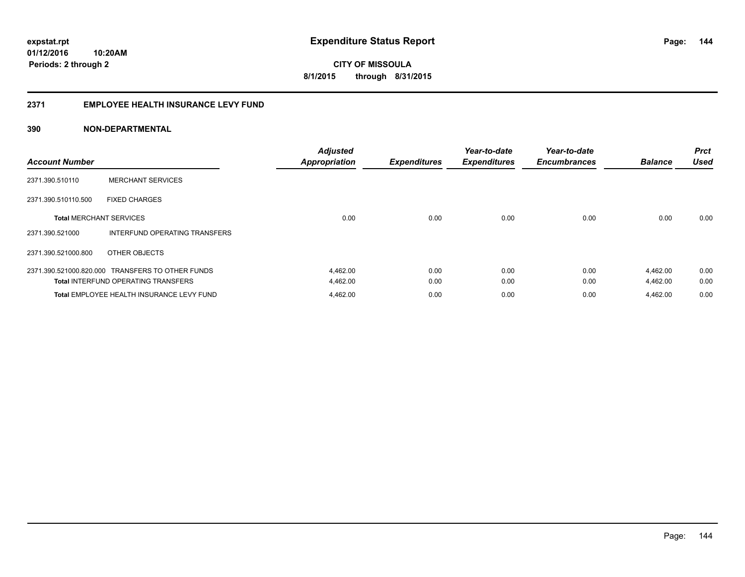## **2371 EMPLOYEE HEALTH INSURANCE LEVY FUND**

| <b>Account Number</b>          |                                                  | <b>Adjusted</b><br><b>Appropriation</b> | <b>Expenditures</b> | Year-to-date<br><b>Expenditures</b> | Year-to-date<br><b>Encumbrances</b> | <b>Balance</b> | <b>Prct</b><br><b>Used</b> |
|--------------------------------|--------------------------------------------------|-----------------------------------------|---------------------|-------------------------------------|-------------------------------------|----------------|----------------------------|
| 2371.390.510110                | <b>MERCHANT SERVICES</b>                         |                                         |                     |                                     |                                     |                |                            |
| 2371.390.510110.500            | <b>FIXED CHARGES</b>                             |                                         |                     |                                     |                                     |                |                            |
| <b>Total MERCHANT SERVICES</b> |                                                  | 0.00                                    | 0.00                | 0.00                                | 0.00                                | 0.00           | 0.00                       |
| 2371.390.521000                | INTERFUND OPERATING TRANSFERS                    |                                         |                     |                                     |                                     |                |                            |
| 2371.390.521000.800            | OTHER OBJECTS                                    |                                         |                     |                                     |                                     |                |                            |
|                                | 2371.390.521000.820.000 TRANSFERS TO OTHER FUNDS | 4,462.00                                | 0.00                | 0.00                                | 0.00                                | 4,462.00       | 0.00                       |
|                                | <b>Total INTERFUND OPERATING TRANSFERS</b>       | 4,462.00                                | 0.00                | 0.00                                | 0.00                                | 4,462.00       | 0.00                       |
|                                | Total EMPLOYEE HEALTH INSURANCE LEVY FUND        | 4,462.00                                | 0.00                | 0.00                                | 0.00                                | 4,462.00       | 0.00                       |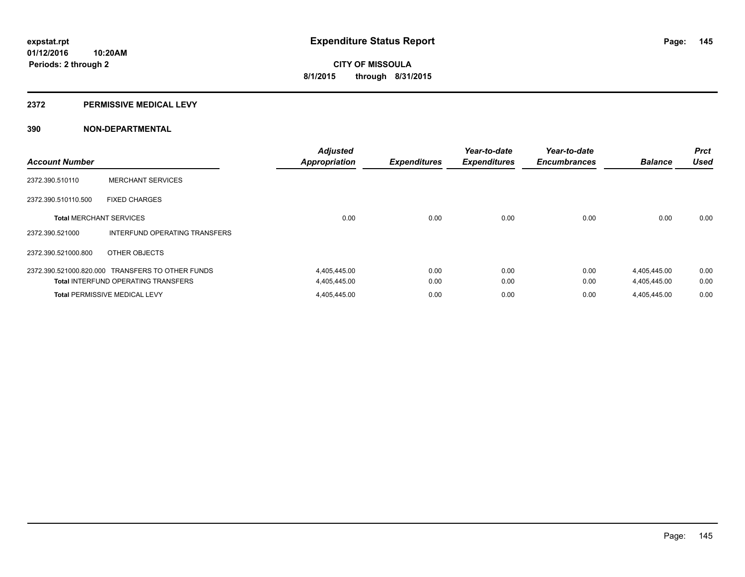### **2372 PERMISSIVE MEDICAL LEVY**

# **390 NON-DEPARTMENTAL**

| <b>Account Number</b>          |                                                  | <b>Adjusted</b><br><b>Appropriation</b> | <b>Expenditures</b> | Year-to-date<br><b>Expenditures</b> | Year-to-date<br><b>Encumbrances</b> | <b>Balance</b> | <b>Prct</b><br><b>Used</b> |
|--------------------------------|--------------------------------------------------|-----------------------------------------|---------------------|-------------------------------------|-------------------------------------|----------------|----------------------------|
| 2372.390.510110                | <b>MERCHANT SERVICES</b>                         |                                         |                     |                                     |                                     |                |                            |
| 2372.390.510110.500            | <b>FIXED CHARGES</b>                             |                                         |                     |                                     |                                     |                |                            |
| <b>Total MERCHANT SERVICES</b> |                                                  | 0.00                                    | 0.00                | 0.00                                | 0.00                                | 0.00           | 0.00                       |
| 2372.390.521000                | INTERFUND OPERATING TRANSFERS                    |                                         |                     |                                     |                                     |                |                            |
| 2372.390.521000.800            | OTHER OBJECTS                                    |                                         |                     |                                     |                                     |                |                            |
|                                | 2372.390.521000.820.000 TRANSFERS TO OTHER FUNDS | 4,405,445.00                            | 0.00                | 0.00                                | 0.00                                | 4,405,445.00   | 0.00                       |
|                                | <b>Total INTERFUND OPERATING TRANSFERS</b>       | 4,405,445.00                            | 0.00                | 0.00                                | 0.00                                | 4,405,445.00   | 0.00                       |
|                                | <b>Total PERMISSIVE MEDICAL LEVY</b>             | 4,405,445.00                            | 0.00                | 0.00                                | 0.00                                | 4.405.445.00   | 0.00                       |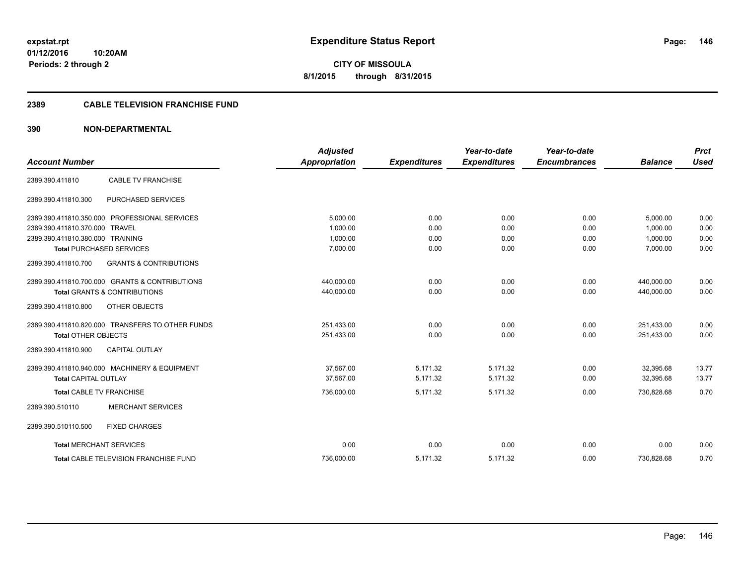**Periods: 2 through 2**

**CITY OF MISSOULA 8/1/2015 through 8/31/2015**

## **2389 CABLE TELEVISION FRANCHISE FUND**

# **390 NON-DEPARTMENTAL**

**10:20AM**

|                                  |                                                  | <b>Adjusted</b>      |                     | Year-to-date        | Year-to-date        |                | <b>Prct</b> |
|----------------------------------|--------------------------------------------------|----------------------|---------------------|---------------------|---------------------|----------------|-------------|
| <b>Account Number</b>            |                                                  | <b>Appropriation</b> | <b>Expenditures</b> | <b>Expenditures</b> | <b>Encumbrances</b> | <b>Balance</b> | <b>Used</b> |
| 2389.390.411810                  | <b>CABLE TV FRANCHISE</b>                        |                      |                     |                     |                     |                |             |
| 2389.390.411810.300              | PURCHASED SERVICES                               |                      |                     |                     |                     |                |             |
|                                  | 2389.390.411810.350.000 PROFESSIONAL SERVICES    | 5.000.00             | 0.00                | 0.00                | 0.00                | 5,000.00       | 0.00        |
| 2389.390.411810.370.000 TRAVEL   |                                                  | 1,000.00             | 0.00                | 0.00                | 0.00                | 1,000.00       | 0.00        |
| 2389.390.411810.380.000 TRAINING |                                                  | 1.000.00             | 0.00                | 0.00                | 0.00                | 1.000.00       | 0.00        |
|                                  | <b>Total PURCHASED SERVICES</b>                  | 7,000.00             | 0.00                | 0.00                | 0.00                | 7,000.00       | 0.00        |
| 2389.390.411810.700              | <b>GRANTS &amp; CONTRIBUTIONS</b>                |                      |                     |                     |                     |                |             |
|                                  | 2389.390.411810.700.000 GRANTS & CONTRIBUTIONS   | 440,000.00           | 0.00                | 0.00                | 0.00                | 440,000.00     | 0.00        |
|                                  | <b>Total GRANTS &amp; CONTRIBUTIONS</b>          | 440,000.00           | 0.00                | 0.00                | 0.00                | 440,000.00     | 0.00        |
| 2389.390.411810.800              | OTHER OBJECTS                                    |                      |                     |                     |                     |                |             |
|                                  | 2389.390.411810.820.000 TRANSFERS TO OTHER FUNDS | 251,433.00           | 0.00                | 0.00                | 0.00                | 251,433.00     | 0.00        |
| <b>Total OTHER OBJECTS</b>       |                                                  | 251,433.00           | 0.00                | 0.00                | 0.00                | 251,433.00     | 0.00        |
| 2389.390.411810.900              | <b>CAPITAL OUTLAY</b>                            |                      |                     |                     |                     |                |             |
|                                  | 2389.390.411810.940.000 MACHINERY & EQUIPMENT    | 37.567.00            | 5.171.32            | 5.171.32            | 0.00                | 32.395.68      | 13.77       |
| <b>Total CAPITAL OUTLAY</b>      |                                                  | 37,567.00            | 5,171.32            | 5,171.32            | 0.00                | 32,395.68      | 13.77       |
| <b>Total CABLE TV FRANCHISE</b>  |                                                  | 736,000.00           | 5,171.32            | 5.171.32            | 0.00                | 730.828.68     | 0.70        |
| 2389.390.510110                  | <b>MERCHANT SERVICES</b>                         |                      |                     |                     |                     |                |             |
| 2389.390.510110.500              | <b>FIXED CHARGES</b>                             |                      |                     |                     |                     |                |             |
| <b>Total MERCHANT SERVICES</b>   |                                                  | 0.00                 | 0.00                | 0.00                | 0.00                | 0.00           | 0.00        |
|                                  | <b>Total CABLE TELEVISION FRANCHISE FUND</b>     | 736.000.00           | 5,171.32            | 5.171.32            | 0.00                | 730.828.68     | 0.70        |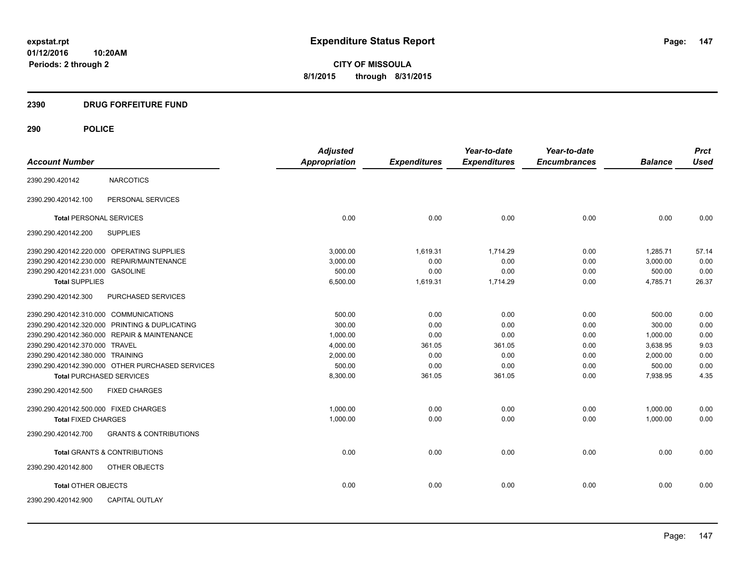**CITY OF MISSOULA 8/1/2015 through 8/31/2015**

# **2390 DRUG FORFEITURE FUND**

| <b>Account Number</b>                  |                                                  | <b>Adjusted</b><br><b>Appropriation</b> | <b>Expenditures</b> | Year-to-date<br><b>Expenditures</b> | Year-to-date<br><b>Encumbrances</b> | <b>Balance</b> | <b>Prct</b><br><b>Used</b> |
|----------------------------------------|--------------------------------------------------|-----------------------------------------|---------------------|-------------------------------------|-------------------------------------|----------------|----------------------------|
|                                        |                                                  |                                         |                     |                                     |                                     |                |                            |
| 2390.290.420142                        | <b>NARCOTICS</b>                                 |                                         |                     |                                     |                                     |                |                            |
| 2390.290.420142.100                    | PERSONAL SERVICES                                |                                         |                     |                                     |                                     |                |                            |
| <b>Total PERSONAL SERVICES</b>         |                                                  | 0.00                                    | 0.00                | 0.00                                | 0.00                                | 0.00           | 0.00                       |
| 2390.290.420142.200                    | <b>SUPPLIES</b>                                  |                                         |                     |                                     |                                     |                |                            |
|                                        | 2390.290.420142.220.000 OPERATING SUPPLIES       | 3.000.00                                | 1,619.31            | 1,714.29                            | 0.00                                | 1,285.71       | 57.14                      |
|                                        | 2390.290.420142.230.000 REPAIR/MAINTENANCE       | 3,000.00                                | 0.00                | 0.00                                | 0.00                                | 3,000.00       | 0.00                       |
| 2390.290.420142.231.000 GASOLINE       |                                                  | 500.00                                  | 0.00                | 0.00                                | 0.00                                | 500.00         | 0.00                       |
| <b>Total SUPPLIES</b>                  |                                                  | 6,500.00                                | 1,619.31            | 1,714.29                            | 0.00                                | 4,785.71       | 26.37                      |
| 2390.290.420142.300                    | PURCHASED SERVICES                               |                                         |                     |                                     |                                     |                |                            |
| 2390.290.420142.310.000 COMMUNICATIONS |                                                  | 500.00                                  | 0.00                | 0.00                                | 0.00                                | 500.00         | 0.00                       |
|                                        | 2390.290.420142.320.000 PRINTING & DUPLICATING   | 300.00                                  | 0.00                | 0.00                                | 0.00                                | 300.00         | 0.00                       |
|                                        | 2390.290.420142.360.000 REPAIR & MAINTENANCE     | 1,000.00                                | 0.00                | 0.00                                | 0.00                                | 1,000.00       | 0.00                       |
| 2390.290.420142.370.000 TRAVEL         |                                                  | 4,000.00                                | 361.05              | 361.05                              | 0.00                                | 3,638.95       | 9.03                       |
| 2390.290.420142.380.000 TRAINING       |                                                  | 2,000.00                                | 0.00                | 0.00                                | 0.00                                | 2,000.00       | 0.00                       |
|                                        | 2390.290.420142.390.000 OTHER PURCHASED SERVICES | 500.00                                  | 0.00                | 0.00                                | 0.00                                | 500.00         | 0.00                       |
| <b>Total PURCHASED SERVICES</b>        |                                                  | 8,300.00                                | 361.05              | 361.05                              | 0.00                                | 7,938.95       | 4.35                       |
| 2390.290.420142.500                    | <b>FIXED CHARGES</b>                             |                                         |                     |                                     |                                     |                |                            |
| 2390.290.420142.500.000 FIXED CHARGES  |                                                  | 1,000.00                                | 0.00                | 0.00                                | 0.00                                | 1,000.00       | 0.00                       |
| <b>Total FIXED CHARGES</b>             |                                                  | 1,000.00                                | 0.00                | 0.00                                | 0.00                                | 1,000.00       | 0.00                       |
| 2390.290.420142.700                    | <b>GRANTS &amp; CONTRIBUTIONS</b>                |                                         |                     |                                     |                                     |                |                            |
|                                        | <b>Total GRANTS &amp; CONTRIBUTIONS</b>          | 0.00                                    | 0.00                | 0.00                                | 0.00                                | 0.00           | 0.00                       |
| 2390.290.420142.800                    | OTHER OBJECTS                                    |                                         |                     |                                     |                                     |                |                            |
| <b>Total OTHER OBJECTS</b>             |                                                  | 0.00                                    | 0.00                | 0.00                                | 0.00                                | 0.00           | 0.00                       |
| 2390.290.420142.900                    | <b>CAPITAL OUTLAY</b>                            |                                         |                     |                                     |                                     |                |                            |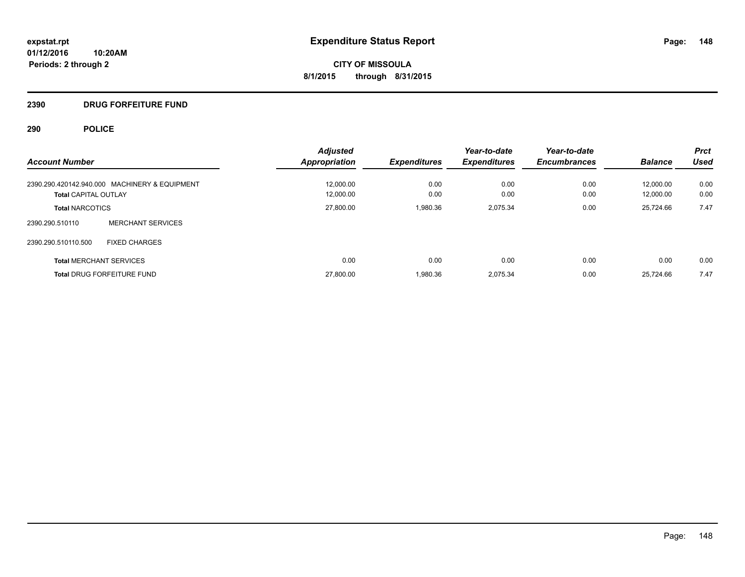# **2390 DRUG FORFEITURE FUND**

|                                               | <b>Adjusted</b>      |                     | Year-to-date        | Year-to-date        |                | <b>Prct</b> |
|-----------------------------------------------|----------------------|---------------------|---------------------|---------------------|----------------|-------------|
| <b>Account Number</b>                         | <b>Appropriation</b> | <b>Expenditures</b> | <b>Expenditures</b> | <b>Encumbrances</b> | <b>Balance</b> | <b>Used</b> |
| 2390.290.420142.940.000 MACHINERY & EQUIPMENT | 12,000.00            | 0.00                | 0.00                | 0.00                | 12.000.00      | 0.00        |
| <b>Total CAPITAL OUTLAY</b>                   | 12.000.00            | 0.00                | 0.00                | 0.00                | 12.000.00      | 0.00        |
| <b>Total NARCOTICS</b>                        | 27,800.00            | 1,980.36            | 2.075.34            | 0.00                | 25.724.66      | 7.47        |
| <b>MERCHANT SERVICES</b><br>2390.290.510110   |                      |                     |                     |                     |                |             |
| <b>FIXED CHARGES</b><br>2390.290.510110.500   |                      |                     |                     |                     |                |             |
| <b>Total MERCHANT SERVICES</b>                | 0.00                 | 0.00                | 0.00                | 0.00                | 0.00           | 0.00        |
| <b>Total DRUG FORFEITURE FUND</b>             | 27,800.00            | 1,980.36            | 2.075.34            | 0.00                | 25.724.66      | 7.47        |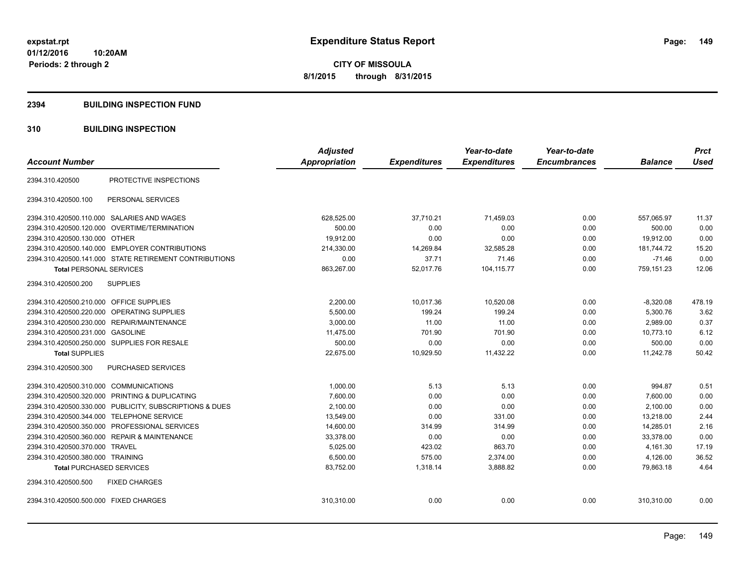### **2394 BUILDING INSPECTION FUND**

# **310 BUILDING INSPECTION**

| <b>Account Number</b>                                   | <b>Adjusted</b><br><b>Appropriation</b> | <b>Expenditures</b> | Year-to-date<br><b>Expenditures</b> | Year-to-date<br><b>Encumbrances</b> | <b>Balance</b> | <b>Prct</b><br><b>Used</b> |
|---------------------------------------------------------|-----------------------------------------|---------------------|-------------------------------------|-------------------------------------|----------------|----------------------------|
| PROTECTIVE INSPECTIONS<br>2394.310.420500               |                                         |                     |                                     |                                     |                |                            |
| PERSONAL SERVICES<br>2394.310.420500.100                |                                         |                     |                                     |                                     |                |                            |
| 2394.310.420500.110.000 SALARIES AND WAGES              | 628,525.00                              | 37,710.21           | 71,459.03                           | 0.00                                | 557,065.97     | 11.37                      |
| 2394.310.420500.120.000 OVERTIME/TERMINATION            | 500.00                                  | 0.00                | 0.00                                | 0.00                                | 500.00         | 0.00                       |
| 2394.310.420500.130.000 OTHER                           | 19,912.00                               | 0.00                | 0.00                                | 0.00                                | 19,912.00      | 0.00                       |
| 2394.310.420500.140.000 EMPLOYER CONTRIBUTIONS          | 214,330.00                              | 14,269.84           | 32,585.28                           | 0.00                                | 181,744.72     | 15.20                      |
| 2394.310.420500.141.000 STATE RETIREMENT CONTRIBUTIONS  | 0.00                                    | 37.71               | 71.46                               | 0.00                                | $-71.46$       | 0.00                       |
| <b>Total PERSONAL SERVICES</b>                          | 863,267.00                              | 52,017.76           | 104,115.77                          | 0.00                                | 759,151.23     | 12.06                      |
| 2394.310.420500.200<br><b>SUPPLIES</b>                  |                                         |                     |                                     |                                     |                |                            |
| 2394.310.420500.210.000<br><b>OFFICE SUPPLIES</b>       | 2,200.00                                | 10,017.36           | 10,520.08                           | 0.00                                | $-8,320.08$    | 478.19                     |
| 2394.310.420500.220.000<br><b>OPERATING SUPPLIES</b>    | 5,500.00                                | 199.24              | 199.24                              | 0.00                                | 5,300.76       | 3.62                       |
| 2394.310.420500.230.000 REPAIR/MAINTENANCE              | 3,000.00                                | 11.00               | 11.00                               | 0.00                                | 2.989.00       | 0.37                       |
| 2394.310.420500.231.000 GASOLINE                        | 11,475.00                               | 701.90              | 701.90                              | 0.00                                | 10,773.10      | 6.12                       |
| 2394.310.420500.250.000 SUPPLIES FOR RESALE             | 500.00                                  | 0.00                | 0.00                                | 0.00                                | 500.00         | 0.00                       |
| <b>Total SUPPLIES</b>                                   | 22,675.00                               | 10,929.50           | 11,432.22                           | 0.00                                | 11,242.78      | 50.42                      |
| 2394.310.420500.300<br><b>PURCHASED SERVICES</b>        |                                         |                     |                                     |                                     |                |                            |
| 2394.310.420500.310.000 COMMUNICATIONS                  | 1,000.00                                | 5.13                | 5.13                                | 0.00                                | 994.87         | 0.51                       |
| 2394.310.420500.320.000 PRINTING & DUPLICATING          | 7,600.00                                | 0.00                | 0.00                                | 0.00                                | 7,600.00       | 0.00                       |
| 2394.310.420500.330.000 PUBLICITY, SUBSCRIPTIONS & DUES | 2.100.00                                | 0.00                | 0.00                                | 0.00                                | 2.100.00       | 0.00                       |
| <b>TELEPHONE SERVICE</b><br>2394.310.420500.344.000     | 13,549.00                               | 0.00                | 331.00                              | 0.00                                | 13,218.00      | 2.44                       |
| 2394.310.420500.350.000<br>PROFESSIONAL SERVICES        | 14,600.00                               | 314.99              | 314.99                              | 0.00                                | 14,285.01      | 2.16                       |
| 2394.310.420500.360.000 REPAIR & MAINTENANCE            | 33,378.00                               | 0.00                | 0.00                                | 0.00                                | 33,378.00      | 0.00                       |
| 2394.310.420500.370.000 TRAVEL                          | 5,025.00                                | 423.02              | 863.70                              | 0.00                                | 4,161.30       | 17.19                      |
| 2394.310.420500.380.000 TRAINING                        | 6,500.00                                | 575.00              | 2,374.00                            | 0.00                                | 4,126.00       | 36.52                      |
| <b>Total PURCHASED SERVICES</b>                         | 83,752.00                               | 1,318.14            | 3,888.82                            | 0.00                                | 79,863.18      | 4.64                       |
| 2394.310.420500.500<br><b>FIXED CHARGES</b>             |                                         |                     |                                     |                                     |                |                            |
| 2394.310.420500.500.000 FIXED CHARGES                   | 310,310.00                              | 0.00                | 0.00                                | 0.00                                | 310,310.00     | 0.00                       |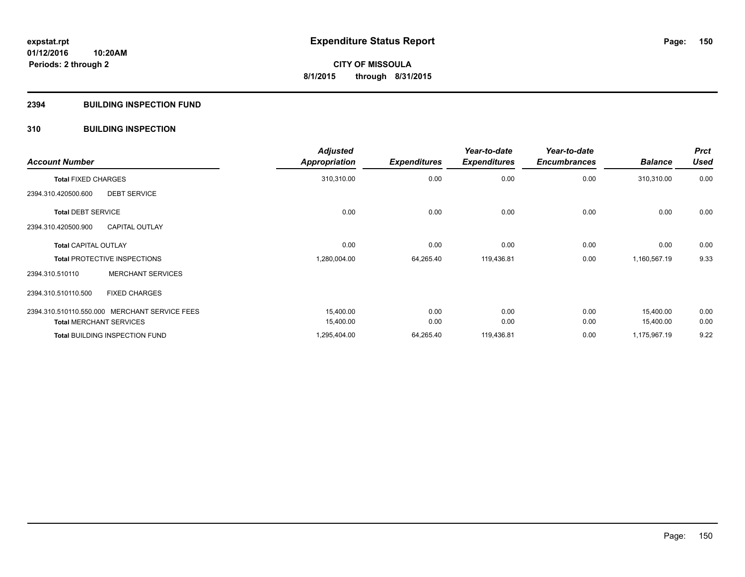# **2394 BUILDING INSPECTION FUND**

# **310 BUILDING INSPECTION**

| <b>Account Number</b>                         |                          | <b>Adjusted</b><br><b>Appropriation</b> | <b>Expenditures</b> | Year-to-date<br><b>Expenditures</b> | Year-to-date<br><b>Encumbrances</b> | <b>Balance</b> | <b>Prct</b><br><b>Used</b> |
|-----------------------------------------------|--------------------------|-----------------------------------------|---------------------|-------------------------------------|-------------------------------------|----------------|----------------------------|
| <b>Total FIXED CHARGES</b>                    |                          | 310,310.00                              | 0.00                | 0.00                                | 0.00                                | 310,310.00     | 0.00                       |
| 2394.310.420500.600                           | <b>DEBT SERVICE</b>      |                                         |                     |                                     |                                     |                |                            |
| <b>Total DEBT SERVICE</b>                     |                          | 0.00                                    | 0.00                | 0.00                                | 0.00                                | 0.00           | 0.00                       |
| 2394.310.420500.900                           | <b>CAPITAL OUTLAY</b>    |                                         |                     |                                     |                                     |                |                            |
| <b>Total CAPITAL OUTLAY</b>                   |                          | 0.00                                    | 0.00                | 0.00                                | 0.00                                | 0.00           | 0.00                       |
| <b>Total PROTECTIVE INSPECTIONS</b>           |                          | 1,280,004.00                            | 64,265.40           | 119,436.81                          | 0.00                                | 1,160,567.19   | 9.33                       |
| 2394.310.510110                               | <b>MERCHANT SERVICES</b> |                                         |                     |                                     |                                     |                |                            |
| 2394.310.510110.500                           | <b>FIXED CHARGES</b>     |                                         |                     |                                     |                                     |                |                            |
| 2394.310.510110.550.000 MERCHANT SERVICE FEES |                          | 15,400.00                               | 0.00                | 0.00                                | 0.00                                | 15,400.00      | 0.00                       |
| <b>Total MERCHANT SERVICES</b>                |                          | 15,400.00                               | 0.00                | 0.00                                | 0.00                                | 15,400.00      | 0.00                       |
| <b>Total BUILDING INSPECTION FUND</b>         |                          | 1,295,404.00                            | 64,265.40           | 119,436.81                          | 0.00                                | 1,175,967.19   | 9.22                       |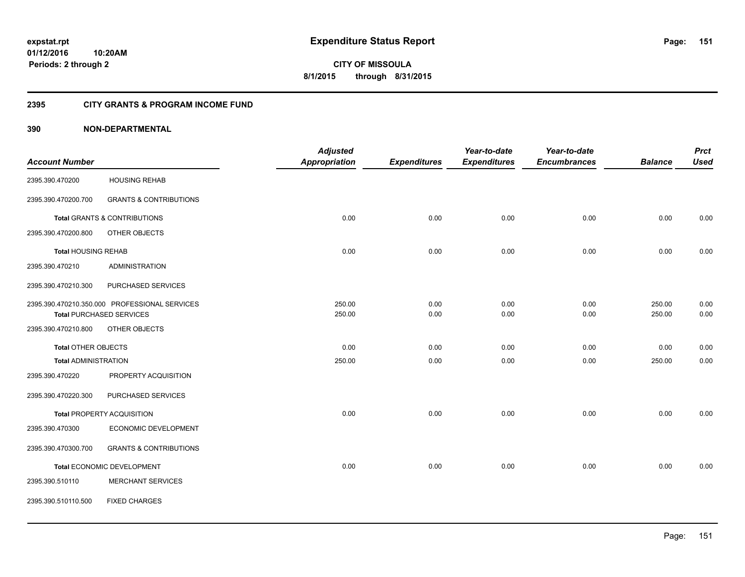**Periods: 2 through 2**

**151**

**CITY OF MISSOULA 8/1/2015 through 8/31/2015**

### **2395 CITY GRANTS & PROGRAM INCOME FUND**

# **390 NON-DEPARTMENTAL**

**10:20AM**

|                             |                                               | <b>Adjusted</b>      |                     | Year-to-date        | Year-to-date        |                | <b>Prct</b> |
|-----------------------------|-----------------------------------------------|----------------------|---------------------|---------------------|---------------------|----------------|-------------|
| <b>Account Number</b>       |                                               | <b>Appropriation</b> | <b>Expenditures</b> | <b>Expenditures</b> | <b>Encumbrances</b> | <b>Balance</b> | <b>Used</b> |
| 2395.390.470200             | <b>HOUSING REHAB</b>                          |                      |                     |                     |                     |                |             |
| 2395.390.470200.700         | <b>GRANTS &amp; CONTRIBUTIONS</b>             |                      |                     |                     |                     |                |             |
|                             | Total GRANTS & CONTRIBUTIONS                  | 0.00                 | 0.00                | 0.00                | 0.00                | 0.00           | 0.00        |
| 2395.390.470200.800         | OTHER OBJECTS                                 |                      |                     |                     |                     |                |             |
| <b>Total HOUSING REHAB</b>  |                                               | 0.00                 | 0.00                | 0.00                | 0.00                | 0.00           | 0.00        |
| 2395.390.470210             | <b>ADMINISTRATION</b>                         |                      |                     |                     |                     |                |             |
| 2395.390.470210.300         | PURCHASED SERVICES                            |                      |                     |                     |                     |                |             |
|                             | 2395.390.470210.350.000 PROFESSIONAL SERVICES | 250.00               | 0.00                | 0.00                | 0.00                | 250.00         | 0.00        |
|                             | <b>Total PURCHASED SERVICES</b>               | 250.00               | 0.00                | 0.00                | 0.00                | 250.00         | 0.00        |
| 2395.390.470210.800         | OTHER OBJECTS                                 |                      |                     |                     |                     |                |             |
| <b>Total OTHER OBJECTS</b>  |                                               | 0.00                 | 0.00                | 0.00                | 0.00                | 0.00           | 0.00        |
| <b>Total ADMINISTRATION</b> |                                               | 250.00               | 0.00                | 0.00                | 0.00                | 250.00         | 0.00        |
| 2395.390.470220             | PROPERTY ACQUISITION                          |                      |                     |                     |                     |                |             |
| 2395.390.470220.300         | PURCHASED SERVICES                            |                      |                     |                     |                     |                |             |
|                             | Total PROPERTY ACQUISITION                    | 0.00                 | 0.00                | 0.00                | 0.00                | 0.00           | 0.00        |
| 2395.390.470300             | ECONOMIC DEVELOPMENT                          |                      |                     |                     |                     |                |             |
| 2395.390.470300.700         | <b>GRANTS &amp; CONTRIBUTIONS</b>             |                      |                     |                     |                     |                |             |
|                             | Total ECONOMIC DEVELOPMENT                    | 0.00                 | 0.00                | 0.00                | 0.00                | 0.00           | 0.00        |
| 2395.390.510110             | <b>MERCHANT SERVICES</b>                      |                      |                     |                     |                     |                |             |
| 2395.390.510110.500         | <b>FIXED CHARGES</b>                          |                      |                     |                     |                     |                |             |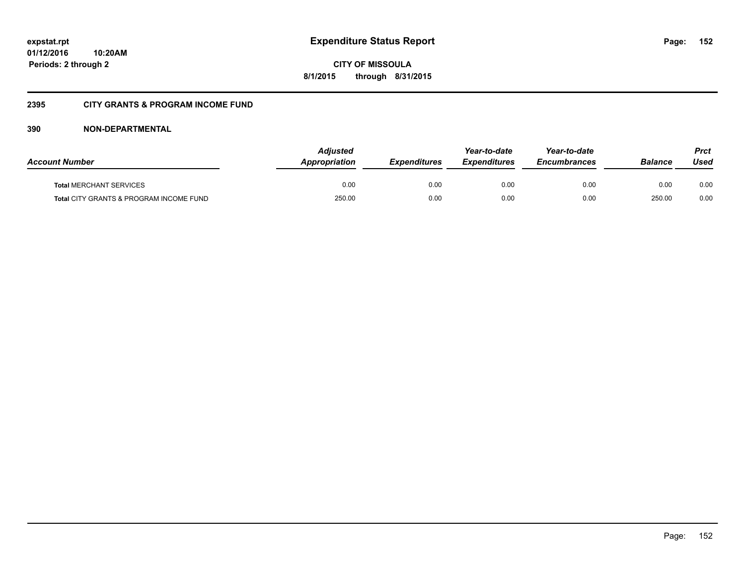**CITY OF MISSOULA 8/1/2015 through 8/31/2015**

# **2395 CITY GRANTS & PROGRAM INCOME FUND**

# **390 NON-DEPARTMENTAL**

| <b>Account Number</b>                   | Adjusted<br><b>Appropriation</b> | <b>Expenditures</b> | Year-to-date<br><b>Expenditures</b> | Year-to-date<br><b>Encumbrances</b> | Balance | Prct<br>Used |
|-----------------------------------------|----------------------------------|---------------------|-------------------------------------|-------------------------------------|---------|--------------|
| <b>Total MERCHANT SERVICES</b>          | 0.00                             | 0.00                | 0.00                                | 0.00                                | 0.00    | 0.00         |
| Total CITY GRANTS & PROGRAM INCOME FUND | 250.00                           | 0.00                | 0.00                                | 0.00                                | 250.00  | 0.00         |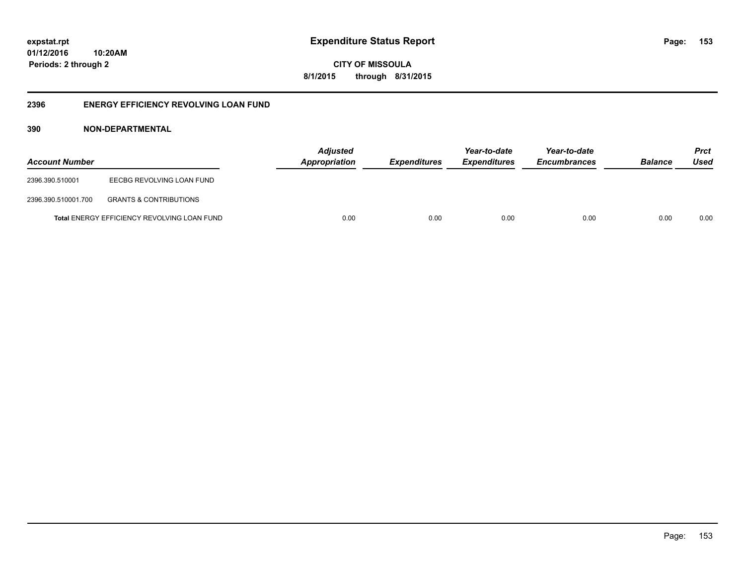**CITY OF MISSOULA 8/1/2015 through 8/31/2015**

# **2396 ENERGY EFFICIENCY REVOLVING LOAN FUND**

# **390 NON-DEPARTMENTAL**

| <b>Account Number</b> |                                                    | <b>Adjusted</b><br>Appropriation | <b>Expenditures</b> | Year-to-date<br><i><b>Expenditures</b></i> | Year-to-date<br><b>Encumbrances</b> | <b>Balance</b> | <b>Prct</b><br>Used |
|-----------------------|----------------------------------------------------|----------------------------------|---------------------|--------------------------------------------|-------------------------------------|----------------|---------------------|
| 2396.390.510001       | EECBG REVOLVING LOAN FUND                          |                                  |                     |                                            |                                     |                |                     |
| 2396.390.510001.700   | <b>GRANTS &amp; CONTRIBUTIONS</b>                  |                                  |                     |                                            |                                     |                |                     |
|                       | <b>Total ENERGY EFFICIENCY REVOLVING LOAN FUND</b> | 0.00                             | 0.00                | 0.00                                       | 0.00                                | 0.00           | 0.00                |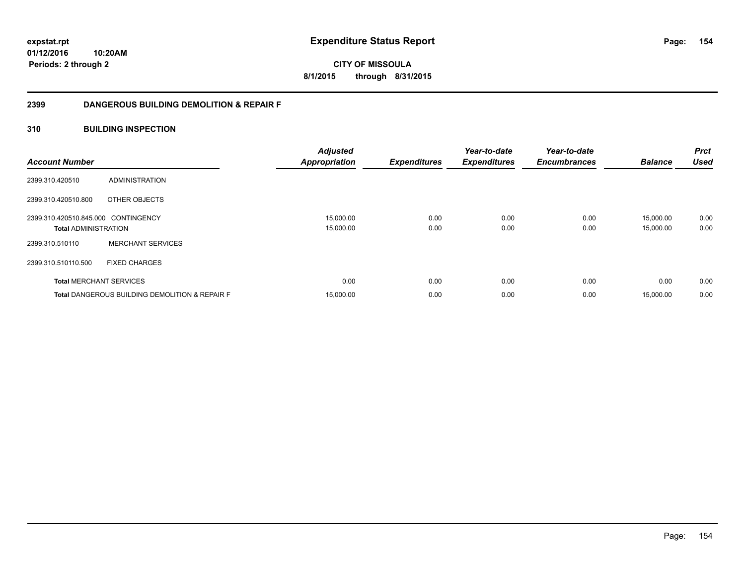**CITY OF MISSOULA 8/1/2015 through 8/31/2015**

# **2399 DANGEROUS BUILDING DEMOLITION & REPAIR F**

# **310 BUILDING INSPECTION**

| <b>Account Number</b>                                              |                                                           | <b>Adjusted</b><br><b>Appropriation</b> | <b>Expenditures</b> | Year-to-date<br><b>Expenditures</b> | Year-to-date<br><b>Encumbrances</b> | <b>Balance</b>         | <b>Prct</b><br><b>Used</b> |
|--------------------------------------------------------------------|-----------------------------------------------------------|-----------------------------------------|---------------------|-------------------------------------|-------------------------------------|------------------------|----------------------------|
| 2399.310.420510                                                    | ADMINISTRATION                                            |                                         |                     |                                     |                                     |                        |                            |
| 2399.310.420510.800                                                | OTHER OBJECTS                                             |                                         |                     |                                     |                                     |                        |                            |
| 2399.310.420510.845.000 CONTINGENCY<br><b>Total ADMINISTRATION</b> |                                                           | 15,000.00<br>15,000.00                  | 0.00<br>0.00        | 0.00<br>0.00                        | 0.00<br>0.00                        | 15,000.00<br>15,000.00 | 0.00<br>0.00               |
| 2399.310.510110                                                    | <b>MERCHANT SERVICES</b>                                  |                                         |                     |                                     |                                     |                        |                            |
| 2399.310.510110.500                                                | <b>FIXED CHARGES</b>                                      |                                         |                     |                                     |                                     |                        |                            |
| <b>Total MERCHANT SERVICES</b>                                     |                                                           | 0.00                                    | 0.00                | 0.00                                | 0.00                                | 0.00                   | 0.00                       |
|                                                                    | <b>Total DANGEROUS BUILDING DEMOLITION &amp; REPAIR F</b> | 15,000.00                               | 0.00                | 0.00                                | 0.00                                | 15,000.00              | 0.00                       |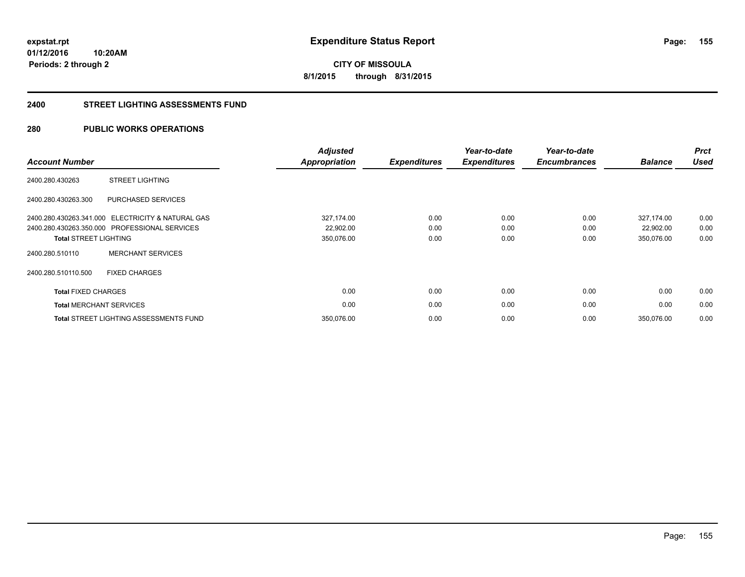**155**

**01/12/2016 10:20AM Periods: 2 through 2**

**CITY OF MISSOULA 8/1/2015 through 8/31/2015**

### **2400 STREET LIGHTING ASSESSMENTS FUND**

# **280 PUBLIC WORKS OPERATIONS**

| <b>Account Number</b>        |                                                   | <b>Adjusted</b><br><b>Appropriation</b> | <b>Expenditures</b> | Year-to-date<br><b>Expenditures</b> | Year-to-date<br><b>Encumbrances</b> | <b>Balance</b> | <b>Prct</b><br><b>Used</b> |
|------------------------------|---------------------------------------------------|-----------------------------------------|---------------------|-------------------------------------|-------------------------------------|----------------|----------------------------|
| 2400.280.430263              | <b>STREET LIGHTING</b>                            |                                         |                     |                                     |                                     |                |                            |
| 2400.280.430263.300          | PURCHASED SERVICES                                |                                         |                     |                                     |                                     |                |                            |
|                              | 2400.280.430263.341.000 ELECTRICITY & NATURAL GAS | 327,174.00                              | 0.00                | 0.00                                | 0.00                                | 327,174.00     | 0.00                       |
|                              | 2400.280.430263.350.000 PROFESSIONAL SERVICES     | 22,902.00                               | 0.00                | 0.00                                | 0.00                                | 22,902.00      | 0.00                       |
| <b>Total STREET LIGHTING</b> |                                                   | 350,076.00                              | 0.00                | 0.00                                | 0.00                                | 350,076.00     | 0.00                       |
| 2400.280.510110              | <b>MERCHANT SERVICES</b>                          |                                         |                     |                                     |                                     |                |                            |
| 2400.280.510110.500          | <b>FIXED CHARGES</b>                              |                                         |                     |                                     |                                     |                |                            |
| <b>Total FIXED CHARGES</b>   |                                                   | 0.00                                    | 0.00                | 0.00                                | 0.00                                | 0.00           | 0.00                       |
|                              | <b>Total MERCHANT SERVICES</b>                    | 0.00                                    | 0.00                | 0.00                                | 0.00                                | 0.00           | 0.00                       |
|                              | <b>Total STREET LIGHTING ASSESSMENTS FUND</b>     | 350,076.00                              | 0.00                | 0.00                                | 0.00                                | 350.076.00     | 0.00                       |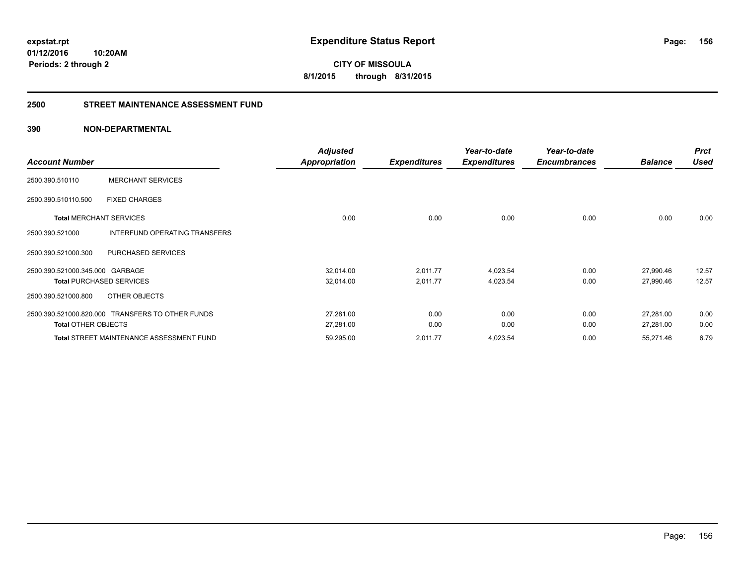**CITY OF MISSOULA 8/1/2015 through 8/31/2015**

# **2500 STREET MAINTENANCE ASSESSMENT FUND**

# **390 NON-DEPARTMENTAL**

| <b>Account Number</b>           |                                                  | <b>Adjusted</b><br>Appropriation | <b>Expenditures</b> | Year-to-date<br><b>Expenditures</b> | Year-to-date<br><b>Encumbrances</b> | <b>Balance</b> | <b>Prct</b><br><b>Used</b> |
|---------------------------------|--------------------------------------------------|----------------------------------|---------------------|-------------------------------------|-------------------------------------|----------------|----------------------------|
|                                 |                                                  |                                  |                     |                                     |                                     |                |                            |
| 2500.390.510110                 | <b>MERCHANT SERVICES</b>                         |                                  |                     |                                     |                                     |                |                            |
| 2500.390.510110.500             | <b>FIXED CHARGES</b>                             |                                  |                     |                                     |                                     |                |                            |
| <b>Total MERCHANT SERVICES</b>  |                                                  | 0.00                             | 0.00                | 0.00                                | 0.00                                | 0.00           | 0.00                       |
| 2500.390.521000                 | INTERFUND OPERATING TRANSFERS                    |                                  |                     |                                     |                                     |                |                            |
| 2500.390.521000.300             | PURCHASED SERVICES                               |                                  |                     |                                     |                                     |                |                            |
| 2500.390.521000.345.000 GARBAGE |                                                  | 32,014.00                        | 2,011.77            | 4,023.54                            | 0.00                                | 27,990.46      | 12.57                      |
|                                 | <b>Total PURCHASED SERVICES</b>                  | 32,014.00                        | 2,011.77            | 4,023.54                            | 0.00                                | 27,990.46      | 12.57                      |
| 2500.390.521000.800             | OTHER OBJECTS                                    |                                  |                     |                                     |                                     |                |                            |
|                                 | 2500.390.521000.820.000 TRANSFERS TO OTHER FUNDS | 27,281.00                        | 0.00                | 0.00                                | 0.00                                | 27,281.00      | 0.00                       |
| <b>Total OTHER OBJECTS</b>      |                                                  | 27,281.00                        | 0.00                | 0.00                                | 0.00                                | 27,281.00      | 0.00                       |
|                                 | <b>Total STREET MAINTENANCE ASSESSMENT FUND</b>  | 59,295.00                        | 2,011.77            | 4,023.54                            | 0.00                                | 55,271.46      | 6.79                       |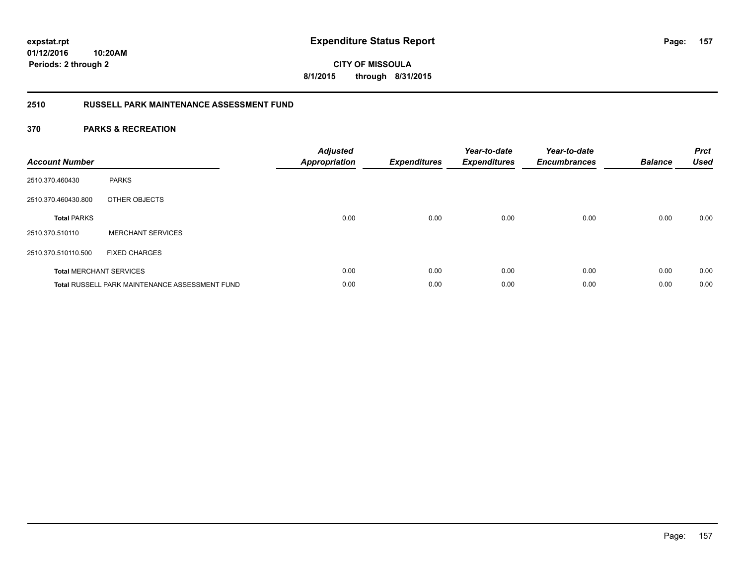**CITY OF MISSOULA 8/1/2015 through 8/31/2015**

# **2510 RUSSELL PARK MAINTENANCE ASSESSMENT FUND**

| <b>Account Number</b> |                                                       | <b>Adjusted</b><br><b>Appropriation</b> | <b>Expenditures</b> | Year-to-date<br><b>Expenditures</b> | Year-to-date<br><b>Encumbrances</b> | <b>Balance</b> | <b>Prct</b><br><b>Used</b> |
|-----------------------|-------------------------------------------------------|-----------------------------------------|---------------------|-------------------------------------|-------------------------------------|----------------|----------------------------|
| 2510.370.460430       | <b>PARKS</b>                                          |                                         |                     |                                     |                                     |                |                            |
| 2510.370.460430.800   | OTHER OBJECTS                                         |                                         |                     |                                     |                                     |                |                            |
| <b>Total PARKS</b>    |                                                       | 0.00                                    | 0.00                | 0.00                                | 0.00                                | 0.00           | 0.00                       |
| 2510.370.510110       | <b>MERCHANT SERVICES</b>                              |                                         |                     |                                     |                                     |                |                            |
| 2510.370.510110.500   | <b>FIXED CHARGES</b>                                  |                                         |                     |                                     |                                     |                |                            |
|                       | <b>Total MERCHANT SERVICES</b>                        | 0.00                                    | 0.00                | 0.00                                | 0.00                                | 0.00           | 0.00                       |
|                       | <b>Total RUSSELL PARK MAINTENANCE ASSESSMENT FUND</b> | 0.00                                    | 0.00                | 0.00                                | 0.00                                | 0.00           | 0.00                       |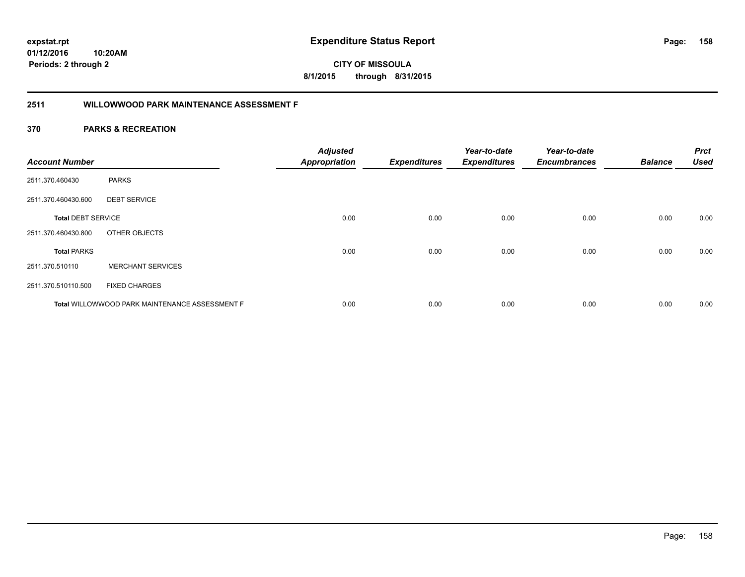**158**

**01/12/2016 10:20AM Periods: 2 through 2**

# **CITY OF MISSOULA 8/1/2015 through 8/31/2015**

# **2511 WILLOWWOOD PARK MAINTENANCE ASSESSMENT F**

| <b>Account Number</b>     |                                                       | <b>Adjusted</b><br><b>Appropriation</b> | <b>Expenditures</b> | Year-to-date<br><b>Expenditures</b> | Year-to-date<br><b>Encumbrances</b> | <b>Balance</b> | <b>Prct</b><br><b>Used</b> |
|---------------------------|-------------------------------------------------------|-----------------------------------------|---------------------|-------------------------------------|-------------------------------------|----------------|----------------------------|
| 2511.370.460430           | <b>PARKS</b>                                          |                                         |                     |                                     |                                     |                |                            |
| 2511.370.460430.600       | <b>DEBT SERVICE</b>                                   |                                         |                     |                                     |                                     |                |                            |
| <b>Total DEBT SERVICE</b> |                                                       | 0.00                                    | 0.00                | 0.00                                | 0.00                                | 0.00           | 0.00                       |
| 2511.370.460430.800       | OTHER OBJECTS                                         |                                         |                     |                                     |                                     |                |                            |
| <b>Total PARKS</b>        |                                                       | 0.00                                    | 0.00                | 0.00                                | 0.00                                | 0.00           | 0.00                       |
| 2511.370.510110           | <b>MERCHANT SERVICES</b>                              |                                         |                     |                                     |                                     |                |                            |
| 2511.370.510110.500       | <b>FIXED CHARGES</b>                                  |                                         |                     |                                     |                                     |                |                            |
|                           | <b>Total WILLOWWOOD PARK MAINTENANCE ASSESSMENT F</b> | 0.00                                    | 0.00                | 0.00                                | 0.00                                | 0.00           | 0.00                       |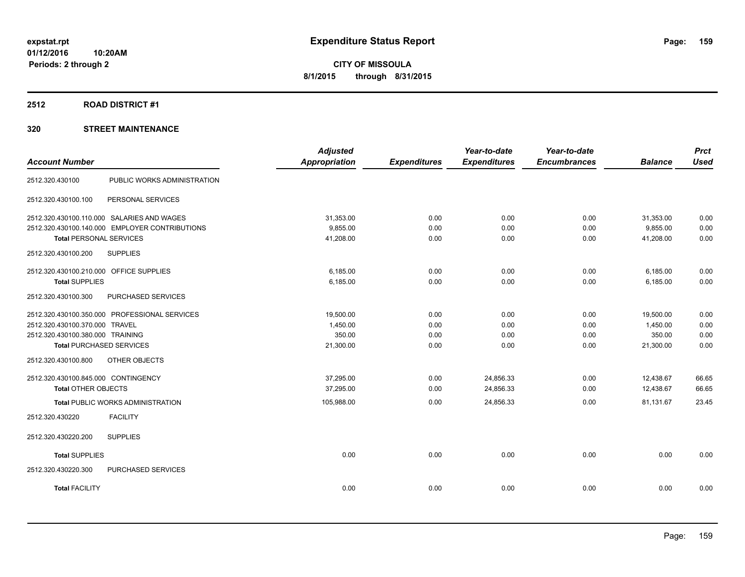### **2512 ROAD DISTRICT #1**

|                                                | <b>Adjusted</b>      |                     | Year-to-date        | Year-to-date        |                | <b>Prct</b> |
|------------------------------------------------|----------------------|---------------------|---------------------|---------------------|----------------|-------------|
| <b>Account Number</b>                          | <b>Appropriation</b> | <b>Expenditures</b> | <b>Expenditures</b> | <b>Encumbrances</b> | <b>Balance</b> | <b>Used</b> |
| PUBLIC WORKS ADMINISTRATION<br>2512.320.430100 |                      |                     |                     |                     |                |             |
| 2512.320.430100.100<br>PERSONAL SERVICES       |                      |                     |                     |                     |                |             |
| 2512.320.430100.110.000 SALARIES AND WAGES     | 31,353.00            | 0.00                | 0.00                | 0.00                | 31,353.00      | 0.00        |
| 2512.320.430100.140.000 EMPLOYER CONTRIBUTIONS | 9.855.00             | 0.00                | 0.00                | 0.00                | 9.855.00       | 0.00        |
| <b>Total PERSONAL SERVICES</b>                 | 41,208.00            | 0.00                | 0.00                | 0.00                | 41.208.00      | 0.00        |
| 2512.320.430100.200<br><b>SUPPLIES</b>         |                      |                     |                     |                     |                |             |
| 2512.320.430100.210.000 OFFICE SUPPLIES        | 6.185.00             | 0.00                | 0.00                | 0.00                | 6,185.00       | 0.00        |
| <b>Total SUPPLIES</b>                          | 6,185.00             | 0.00                | 0.00                | 0.00                | 6,185.00       | 0.00        |
| 2512.320.430100.300<br>PURCHASED SERVICES      |                      |                     |                     |                     |                |             |
| 2512.320.430100.350.000 PROFESSIONAL SERVICES  | 19.500.00            | 0.00                | 0.00                | 0.00                | 19,500.00      | 0.00        |
| 2512.320.430100.370.000 TRAVEL                 | 1,450.00             | 0.00                | 0.00                | 0.00                | 1,450.00       | 0.00        |
| 2512.320.430100.380.000 TRAINING               | 350.00               | 0.00                | 0.00                | 0.00                | 350.00         | 0.00        |
| <b>Total PURCHASED SERVICES</b>                | 21,300.00            | 0.00                | 0.00                | 0.00                | 21,300.00      | 0.00        |
| OTHER OBJECTS<br>2512.320.430100.800           |                      |                     |                     |                     |                |             |
| 2512.320.430100.845.000 CONTINGENCY            | 37,295.00            | 0.00                | 24,856.33           | 0.00                | 12,438.67      | 66.65       |
| <b>Total OTHER OBJECTS</b>                     | 37,295.00            | 0.00                | 24,856.33           | 0.00                | 12,438.67      | 66.65       |
| <b>Total PUBLIC WORKS ADMINISTRATION</b>       | 105,988.00           | 0.00                | 24,856.33           | 0.00                | 81,131.67      | 23.45       |
| <b>FACILITY</b><br>2512.320.430220             |                      |                     |                     |                     |                |             |
| <b>SUPPLIES</b><br>2512.320.430220.200         |                      |                     |                     |                     |                |             |
| <b>Total SUPPLIES</b>                          | 0.00                 | 0.00                | 0.00                | 0.00                | 0.00           | 0.00        |
| 2512.320.430220.300<br>PURCHASED SERVICES      |                      |                     |                     |                     |                |             |
| <b>Total FACILITY</b>                          | 0.00                 | 0.00                | 0.00                | 0.00                | 0.00           | 0.00        |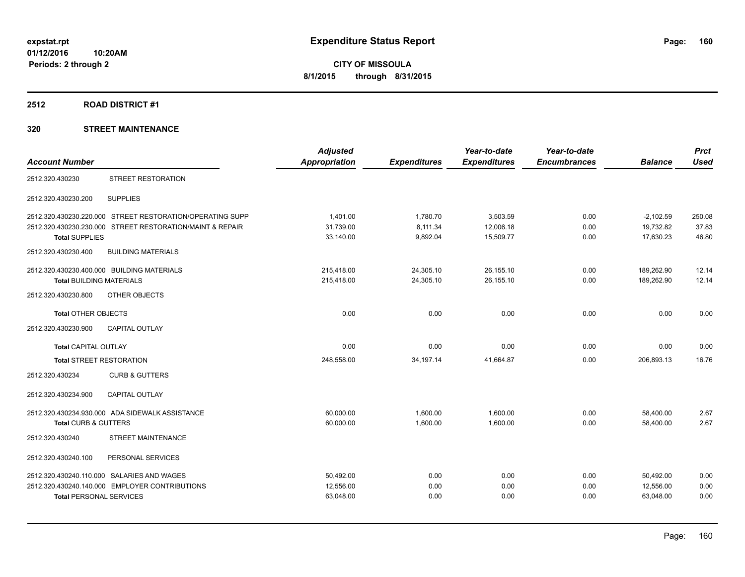# **2512 ROAD DISTRICT #1**

|                                 |                                                           | <b>Adjusted</b>      |                     | Year-to-date        | Year-to-date        |                | <b>Prct</b> |
|---------------------------------|-----------------------------------------------------------|----------------------|---------------------|---------------------|---------------------|----------------|-------------|
| <b>Account Number</b>           |                                                           | <b>Appropriation</b> | <b>Expenditures</b> | <b>Expenditures</b> | <b>Encumbrances</b> | <b>Balance</b> | <b>Used</b> |
| 2512.320.430230                 | <b>STREET RESTORATION</b>                                 |                      |                     |                     |                     |                |             |
| 2512.320.430230.200             | <b>SUPPLIES</b>                                           |                      |                     |                     |                     |                |             |
|                                 | 2512.320.430230.220.000 STREET RESTORATION/OPERATING SUPP | 1.401.00             | 1,780.70            | 3,503.59            | 0.00                | $-2,102.59$    | 250.08      |
|                                 | 2512.320.430230.230.000 STREET RESTORATION/MAINT & REPAIR | 31,739.00            | 8,111.34            | 12,006.18           | 0.00                | 19,732.82      | 37.83       |
| <b>Total SUPPLIES</b>           |                                                           | 33,140.00            | 9,892.04            | 15,509.77           | 0.00                | 17.630.23      | 46.80       |
| 2512.320.430230.400             | <b>BUILDING MATERIALS</b>                                 |                      |                     |                     |                     |                |             |
|                                 | 2512.320.430230.400.000 BUILDING MATERIALS                | 215,418.00           | 24,305.10           | 26,155.10           | 0.00                | 189,262.90     | 12.14       |
| <b>Total BUILDING MATERIALS</b> |                                                           | 215,418.00           | 24,305.10           | 26,155.10           | 0.00                | 189.262.90     | 12.14       |
| 2512.320.430230.800             | OTHER OBJECTS                                             |                      |                     |                     |                     |                |             |
| <b>Total OTHER OBJECTS</b>      |                                                           | 0.00                 | 0.00                | 0.00                | 0.00                | 0.00           | 0.00        |
| 2512.320.430230.900             | <b>CAPITAL OUTLAY</b>                                     |                      |                     |                     |                     |                |             |
| <b>Total CAPITAL OUTLAY</b>     |                                                           | 0.00                 | 0.00                | 0.00                | 0.00                | 0.00           | 0.00        |
| <b>Total STREET RESTORATION</b> |                                                           | 248,558.00           | 34,197.14           | 41,664.87           | 0.00                | 206,893.13     | 16.76       |
| 2512.320.430234                 | <b>CURB &amp; GUTTERS</b>                                 |                      |                     |                     |                     |                |             |
| 2512.320.430234.900             | <b>CAPITAL OUTLAY</b>                                     |                      |                     |                     |                     |                |             |
|                                 | 2512.320.430234.930.000 ADA SIDEWALK ASSISTANCE           | 60,000.00            | 1,600.00            | 1,600.00            | 0.00                | 58,400.00      | 2.67        |
| <b>Total CURB &amp; GUTTERS</b> |                                                           | 60,000.00            | 1,600.00            | 1,600.00            | 0.00                | 58,400.00      | 2.67        |
| 2512.320.430240                 | STREET MAINTENANCE                                        |                      |                     |                     |                     |                |             |
| 2512.320.430240.100             | PERSONAL SERVICES                                         |                      |                     |                     |                     |                |             |
|                                 | 2512.320.430240.110.000 SALARIES AND WAGES                | 50,492.00            | 0.00                | 0.00                | 0.00                | 50,492.00      | 0.00        |
|                                 | 2512.320.430240.140.000 EMPLOYER CONTRIBUTIONS            | 12,556.00            | 0.00                | 0.00                | 0.00                | 12,556.00      | 0.00        |
| <b>Total PERSONAL SERVICES</b>  |                                                           | 63,048.00            | 0.00                | 0.00                | 0.00                | 63,048.00      | 0.00        |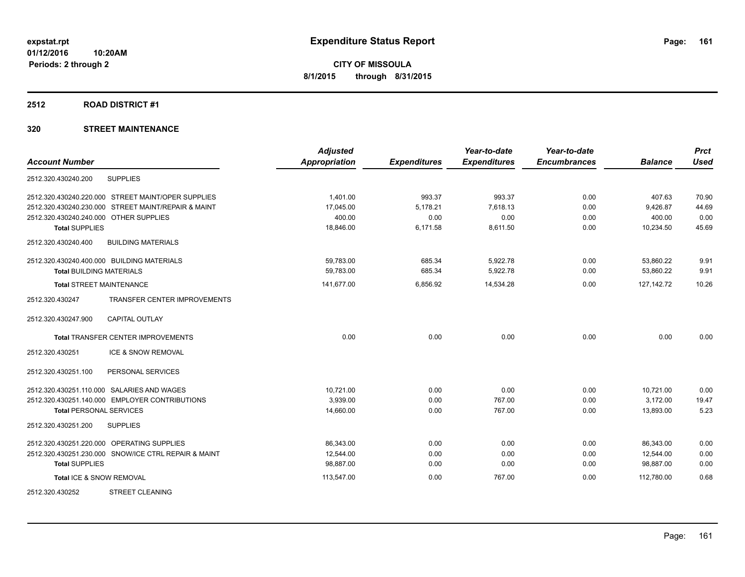### **2512 ROAD DISTRICT #1**

|                                                      | <b>Adjusted</b>      |                     | Year-to-date        | Year-to-date        |                | <b>Prct</b> |
|------------------------------------------------------|----------------------|---------------------|---------------------|---------------------|----------------|-------------|
| <b>Account Number</b>                                | <b>Appropriation</b> | <b>Expenditures</b> | <b>Expenditures</b> | <b>Encumbrances</b> | <b>Balance</b> | <b>Used</b> |
| 2512.320.430240.200<br><b>SUPPLIES</b>               |                      |                     |                     |                     |                |             |
| 2512.320.430240.220.000 STREET MAINT/OPER SUPPLIES   | 1,401.00             | 993.37              | 993.37              | 0.00                | 407.63         | 70.90       |
| 2512.320.430240.230.000 STREET MAINT/REPAIR & MAINT  | 17,045.00            | 5,178.21            | 7,618.13            | 0.00                | 9,426.87       | 44.69       |
| 2512.320.430240.240.000 OTHER SUPPLIES               | 400.00               | 0.00                | 0.00                | 0.00                | 400.00         | 0.00        |
| <b>Total SUPPLIES</b>                                | 18,846.00            | 6,171.58            | 8,611.50            | 0.00                | 10,234.50      | 45.69       |
| 2512.320.430240.400<br><b>BUILDING MATERIALS</b>     |                      |                     |                     |                     |                |             |
| 2512.320.430240.400.000 BUILDING MATERIALS           | 59,783.00            | 685.34              | 5,922.78            | 0.00                | 53,860.22      | 9.91        |
| <b>Total BUILDING MATERIALS</b>                      | 59,783.00            | 685.34              | 5,922.78            | 0.00                | 53,860.22      | 9.91        |
| <b>Total STREET MAINTENANCE</b>                      | 141,677.00           | 6,856.92            | 14,534.28           | 0.00                | 127, 142. 72   | 10.26       |
| TRANSFER CENTER IMPROVEMENTS<br>2512.320.430247      |                      |                     |                     |                     |                |             |
| 2512.320.430247.900<br><b>CAPITAL OUTLAY</b>         |                      |                     |                     |                     |                |             |
| <b>Total TRANSFER CENTER IMPROVEMENTS</b>            | 0.00                 | 0.00                | 0.00                | 0.00                | 0.00           | 0.00        |
| ICE & SNOW REMOVAL<br>2512.320.430251                |                      |                     |                     |                     |                |             |
| 2512.320.430251.100<br>PERSONAL SERVICES             |                      |                     |                     |                     |                |             |
| 2512.320.430251.110.000 SALARIES AND WAGES           | 10,721.00            | 0.00                | 0.00                | 0.00                | 10,721.00      | 0.00        |
| 2512.320.430251.140.000 EMPLOYER CONTRIBUTIONS       | 3,939.00             | 0.00                | 767.00              | 0.00                | 3,172.00       | 19.47       |
| <b>Total PERSONAL SERVICES</b>                       | 14,660.00            | 0.00                | 767.00              | 0.00                | 13,893.00      | 5.23        |
| 2512.320.430251.200<br><b>SUPPLIES</b>               |                      |                     |                     |                     |                |             |
| 2512.320.430251.220.000 OPERATING SUPPLIES           | 86.343.00            | 0.00                | 0.00                | 0.00                | 86.343.00      | 0.00        |
| 2512.320.430251.230.000 SNOW/ICE CTRL REPAIR & MAINT | 12.544.00            | 0.00                | 0.00                | 0.00                | 12,544.00      | 0.00        |
| <b>Total SUPPLIES</b>                                | 98,887.00            | 0.00                | 0.00                | 0.00                | 98,887.00      | 0.00        |
| Total ICE & SNOW REMOVAL                             | 113,547.00           | 0.00                | 767.00              | 0.00                | 112.780.00     | 0.68        |
| <b>STREET CLEANING</b><br>2512.320.430252            |                      |                     |                     |                     |                |             |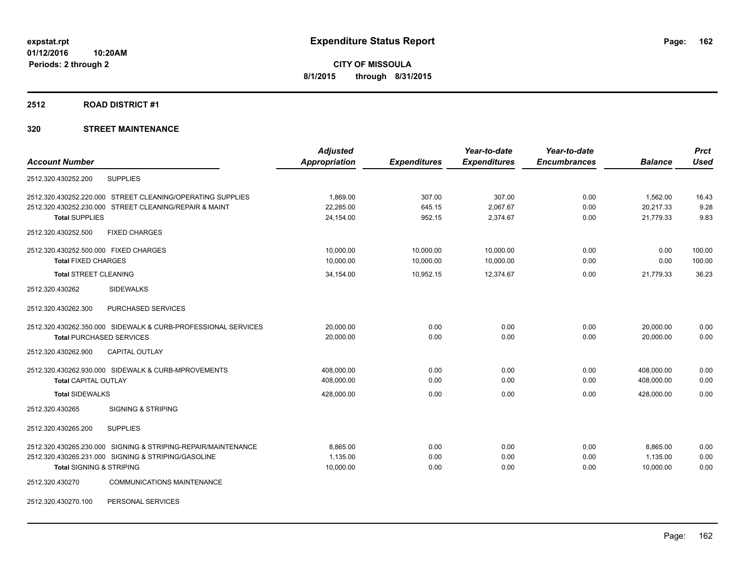### **2512 ROAD DISTRICT #1**

|                                                               | <b>Adjusted</b>      |                     | Year-to-date        | Year-to-date        |                | <b>Prct</b> |
|---------------------------------------------------------------|----------------------|---------------------|---------------------|---------------------|----------------|-------------|
| <b>Account Number</b>                                         | <b>Appropriation</b> | <b>Expenditures</b> | <b>Expenditures</b> | <b>Encumbrances</b> | <b>Balance</b> | <b>Used</b> |
| 2512.320.430252.200<br><b>SUPPLIES</b>                        |                      |                     |                     |                     |                |             |
| 2512.320.430252.220.000 STREET CLEANING/OPERATING SUPPLIES    | 1,869.00             | 307.00              | 307.00              | 0.00                | 1,562.00       | 16.43       |
| 2512.320.430252.230.000 STREET CLEANING/REPAIR & MAINT        | 22,285.00            | 645.15              | 2,067.67            | 0.00                | 20,217.33      | 9.28        |
| <b>Total SUPPLIES</b>                                         | 24,154.00            | 952.15              | 2,374.67            | 0.00                | 21,779.33      | 9.83        |
| 2512.320.430252.500<br><b>FIXED CHARGES</b>                   |                      |                     |                     |                     |                |             |
| 2512.320.430252.500.000 FIXED CHARGES                         | 10,000.00            | 10,000.00           | 10,000.00           | 0.00                | 0.00           | 100.00      |
| <b>Total FIXED CHARGES</b>                                    | 10,000.00            | 10,000.00           | 10,000.00           | 0.00                | 0.00           | 100.00      |
| <b>Total STREET CLEANING</b>                                  | 34,154.00            | 10,952.15           | 12,374.67           | 0.00                | 21,779.33      | 36.23       |
| <b>SIDEWALKS</b><br>2512.320.430262                           |                      |                     |                     |                     |                |             |
| PURCHASED SERVICES<br>2512.320.430262.300                     |                      |                     |                     |                     |                |             |
| 2512.320.430262.350.000 SIDEWALK & CURB-PROFESSIONAL SERVICES | 20,000.00            | 0.00                | 0.00                | 0.00                | 20,000.00      | 0.00        |
| <b>Total PURCHASED SERVICES</b>                               | 20,000.00            | 0.00                | 0.00                | 0.00                | 20.000.00      | 0.00        |
| 2512.320.430262.900<br><b>CAPITAL OUTLAY</b>                  |                      |                     |                     |                     |                |             |
| 2512.320.430262.930.000 SIDEWALK & CURB-MPROVEMENTS           | 408,000.00           | 0.00                | 0.00                | 0.00                | 408,000.00     | 0.00        |
| <b>Total CAPITAL OUTLAY</b>                                   | 408,000.00           | 0.00                | 0.00                | 0.00                | 408,000.00     | 0.00        |
| <b>Total SIDEWALKS</b>                                        | 428,000.00           | 0.00                | 0.00                | 0.00                | 428.000.00     | 0.00        |
| <b>SIGNING &amp; STRIPING</b><br>2512.320.430265              |                      |                     |                     |                     |                |             |
| 2512.320.430265.200<br><b>SUPPLIES</b>                        |                      |                     |                     |                     |                |             |
| 2512.320.430265.230.000 SIGNING & STRIPING-REPAIR/MAINTENANCE | 8,865.00             | 0.00                | 0.00                | 0.00                | 8,865.00       | 0.00        |
| 2512.320.430265.231.000 SIGNING & STRIPING/GASOLINE           | 1,135.00             | 0.00                | 0.00                | 0.00                | 1,135.00       | 0.00        |
| <b>Total SIGNING &amp; STRIPING</b>                           | 10,000.00            | 0.00                | 0.00                | 0.00                | 10,000.00      | 0.00        |
| <b>COMMUNICATIONS MAINTENANCE</b><br>2512.320.430270          |                      |                     |                     |                     |                |             |
|                                                               |                      |                     |                     |                     |                |             |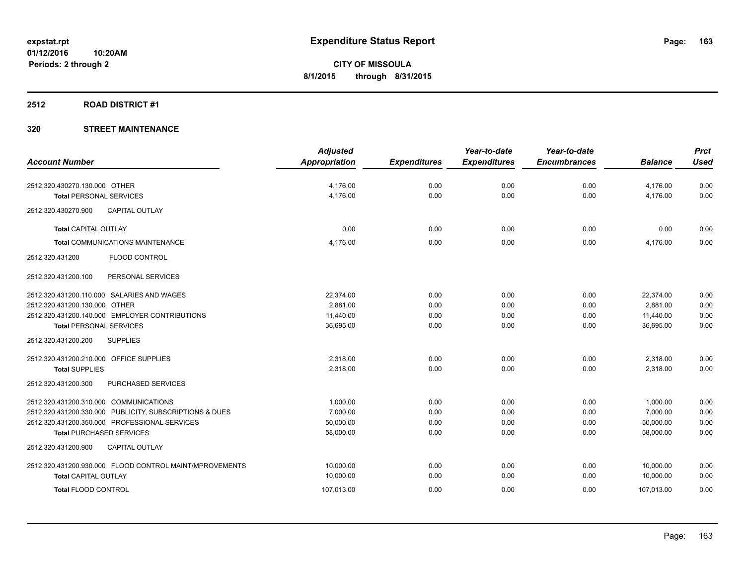## **2512 ROAD DISTRICT #1**

|                                                         | <b>Adjusted</b> |                     | Year-to-date        | Year-to-date        |                | <b>Prct</b> |
|---------------------------------------------------------|-----------------|---------------------|---------------------|---------------------|----------------|-------------|
| <b>Account Number</b>                                   | Appropriation   | <b>Expenditures</b> | <b>Expenditures</b> | <b>Encumbrances</b> | <b>Balance</b> | <b>Used</b> |
| 2512.320.430270.130.000 OTHER                           | 4,176.00        | 0.00                | 0.00                | 0.00                | 4,176.00       | 0.00        |
| <b>Total PERSONAL SERVICES</b>                          | 4,176.00        | 0.00                | 0.00                | 0.00                | 4,176.00       | 0.00        |
| <b>CAPITAL OUTLAY</b><br>2512.320.430270.900            |                 |                     |                     |                     |                |             |
| <b>Total CAPITAL OUTLAY</b>                             | 0.00            | 0.00                | 0.00                | 0.00                | 0.00           | 0.00        |
| <b>Total COMMUNICATIONS MAINTENANCE</b>                 | 4.176.00        | 0.00                | 0.00                | 0.00                | 4,176.00       | 0.00        |
| <b>FLOOD CONTROL</b><br>2512.320.431200                 |                 |                     |                     |                     |                |             |
| PERSONAL SERVICES<br>2512.320.431200.100                |                 |                     |                     |                     |                |             |
| 2512.320.431200.110.000 SALARIES AND WAGES              | 22,374.00       | 0.00                | 0.00                | 0.00                | 22,374.00      | 0.00        |
| 2512.320.431200.130.000 OTHER                           | 2.881.00        | 0.00                | 0.00                | 0.00                | 2,881.00       | 0.00        |
| 2512.320.431200.140.000 EMPLOYER CONTRIBUTIONS          | 11,440.00       | 0.00                | 0.00                | 0.00                | 11,440.00      | 0.00        |
| <b>Total PERSONAL SERVICES</b>                          | 36,695.00       | 0.00                | 0.00                | 0.00                | 36,695.00      | 0.00        |
| <b>SUPPLIES</b><br>2512.320.431200.200                  |                 |                     |                     |                     |                |             |
| 2512.320.431200.210.000 OFFICE SUPPLIES                 | 2,318.00        | 0.00                | 0.00                | 0.00                | 2,318.00       | 0.00        |
| <b>Total SUPPLIES</b>                                   | 2,318.00        | 0.00                | 0.00                | 0.00                | 2,318.00       | 0.00        |
| 2512.320.431200.300<br>PURCHASED SERVICES               |                 |                     |                     |                     |                |             |
| 2512.320.431200.310.000 COMMUNICATIONS                  | 1,000.00        | 0.00                | 0.00                | 0.00                | 1,000.00       | 0.00        |
| 2512.320.431200.330.000 PUBLICITY, SUBSCRIPTIONS & DUES | 7,000.00        | 0.00                | 0.00                | 0.00                | 7,000.00       | 0.00        |
| 2512.320.431200.350.000 PROFESSIONAL SERVICES           | 50,000.00       | 0.00                | 0.00                | 0.00                | 50,000.00      | 0.00        |
| <b>Total PURCHASED SERVICES</b>                         | 58,000.00       | 0.00                | 0.00                | 0.00                | 58,000.00      | 0.00        |
| <b>CAPITAL OUTLAY</b><br>2512.320.431200.900            |                 |                     |                     |                     |                |             |
| 2512.320.431200.930.000 FLOOD CONTROL MAINT/MPROVEMENTS | 10,000.00       | 0.00                | 0.00                | 0.00                | 10,000.00      | 0.00        |
| <b>Total CAPITAL OUTLAY</b>                             | 10,000.00       | 0.00                | 0.00                | 0.00                | 10,000.00      | 0.00        |
| <b>Total FLOOD CONTROL</b>                              | 107,013.00      | 0.00                | 0.00                | 0.00                | 107,013.00     | 0.00        |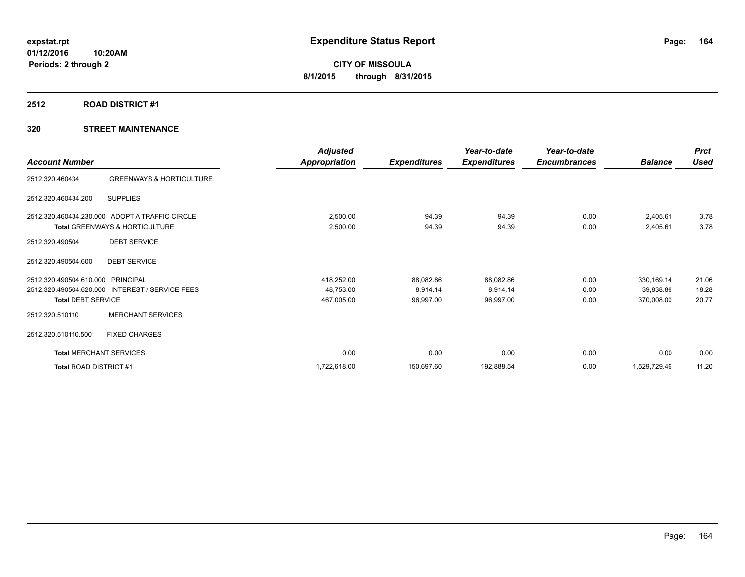## **2512 ROAD DISTRICT #1**

|                                |                                                | <b>Adjusted</b>      |                     | Year-to-date        | Year-to-date        |                | <b>Prct</b> |
|--------------------------------|------------------------------------------------|----------------------|---------------------|---------------------|---------------------|----------------|-------------|
| <b>Account Number</b>          |                                                | <b>Appropriation</b> | <b>Expenditures</b> | <b>Expenditures</b> | <b>Encumbrances</b> | <b>Balance</b> | <b>Used</b> |
| 2512.320.460434                | <b>GREENWAYS &amp; HORTICULTURE</b>            |                      |                     |                     |                     |                |             |
| 2512.320.460434.200            | <b>SUPPLIES</b>                                |                      |                     |                     |                     |                |             |
|                                | 2512.320.460434.230.000 ADOPT A TRAFFIC CIRCLE | 2,500.00             | 94.39               | 94.39               | 0.00                | 2,405.61       | 3.78        |
|                                | <b>Total GREENWAYS &amp; HORTICULTURE</b>      | 2,500.00             | 94.39               | 94.39               | 0.00                | 2,405.61       | 3.78        |
| 2512.320.490504                | <b>DEBT SERVICE</b>                            |                      |                     |                     |                     |                |             |
| 2512.320.490504.600            | <b>DEBT SERVICE</b>                            |                      |                     |                     |                     |                |             |
| 2512.320.490504.610.000        | PRINCIPAL                                      | 418,252.00           | 88,082.86           | 88,082.86           | 0.00                | 330, 169. 14   | 21.06       |
| 2512.320.490504.620.000        | <b>INTEREST / SERVICE FEES</b>                 | 48,753.00            | 8,914.14            | 8,914.14            | 0.00                | 39,838.86      | 18.28       |
| <b>Total DEBT SERVICE</b>      |                                                | 467,005.00           | 96,997.00           | 96,997.00           | 0.00                | 370,008.00     | 20.77       |
| 2512.320.510110                | <b>MERCHANT SERVICES</b>                       |                      |                     |                     |                     |                |             |
| 2512.320.510110.500            | <b>FIXED CHARGES</b>                           |                      |                     |                     |                     |                |             |
| <b>Total MERCHANT SERVICES</b> |                                                | 0.00                 | 0.00                | 0.00                | 0.00                | 0.00           | 0.00        |
| Total ROAD DISTRICT #1         |                                                | 1,722,618.00         | 150,697.60          | 192,888.54          | 0.00                | 1,529,729.46   | 11.20       |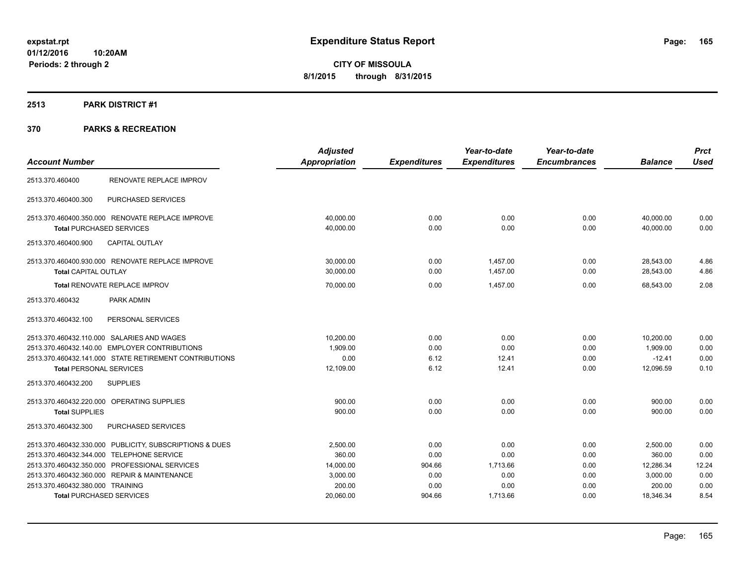# **2513 PARK DISTRICT #1**

|                                                         | <b>Adjusted</b>      |                     | Year-to-date        | Year-to-date        |                | <b>Prct</b> |
|---------------------------------------------------------|----------------------|---------------------|---------------------|---------------------|----------------|-------------|
| <b>Account Number</b>                                   | <b>Appropriation</b> | <b>Expenditures</b> | <b>Expenditures</b> | <b>Encumbrances</b> | <b>Balance</b> | <b>Used</b> |
| RENOVATE REPLACE IMPROV<br>2513.370.460400              |                      |                     |                     |                     |                |             |
| PURCHASED SERVICES<br>2513.370.460400.300               |                      |                     |                     |                     |                |             |
| 2513.370.460400.350.000 RENOVATE REPLACE IMPROVE        | 40,000.00            | 0.00                | 0.00                | 0.00                | 40,000.00      | 0.00        |
| <b>Total PURCHASED SERVICES</b>                         | 40,000.00            | 0.00                | 0.00                | 0.00                | 40,000.00      | 0.00        |
| <b>CAPITAL OUTLAY</b><br>2513.370.460400.900            |                      |                     |                     |                     |                |             |
| 2513.370.460400.930.000 RENOVATE REPLACE IMPROVE        | 30,000.00            | 0.00                | 1.457.00            | 0.00                | 28,543.00      | 4.86        |
| Total CAPITAL OUTLAY                                    | 30,000.00            | 0.00                | 1,457.00            | 0.00                | 28,543.00      | 4.86        |
| Total RENOVATE REPLACE IMPROV                           | 70,000.00            | 0.00                | 1.457.00            | 0.00                | 68.543.00      | 2.08        |
| PARK ADMIN<br>2513.370.460432                           |                      |                     |                     |                     |                |             |
| PERSONAL SERVICES<br>2513.370.460432.100                |                      |                     |                     |                     |                |             |
| 2513.370.460432.110.000 SALARIES AND WAGES              | 10,200.00            | 0.00                | 0.00                | 0.00                | 10,200.00      | 0.00        |
| 2513.370.460432.140.00 EMPLOYER CONTRIBUTIONS           | 1,909.00             | 0.00                | 0.00                | 0.00                | 1,909.00       | 0.00        |
| 2513.370.460432.141.000 STATE RETIREMENT CONTRIBUTIONS  | 0.00                 | 6.12                | 12.41               | 0.00                | $-12.41$       | 0.00        |
| <b>Total PERSONAL SERVICES</b>                          | 12,109.00            | 6.12                | 12.41               | 0.00                | 12,096.59      | 0.10        |
| <b>SUPPLIES</b><br>2513.370.460432.200                  |                      |                     |                     |                     |                |             |
| 2513.370.460432.220.000 OPERATING SUPPLIES              | 900.00               | 0.00                | 0.00                | 0.00                | 900.00         | 0.00        |
| <b>Total SUPPLIES</b>                                   | 900.00               | 0.00                | 0.00                | 0.00                | 900.00         | 0.00        |
| PURCHASED SERVICES<br>2513.370.460432.300               |                      |                     |                     |                     |                |             |
| 2513.370.460432.330.000 PUBLICITY, SUBSCRIPTIONS & DUES | 2,500.00             | 0.00                | 0.00                | 0.00                | 2,500.00       | 0.00        |
| 2513.370.460432.344.000 TELEPHONE SERVICE               | 360.00               | 0.00                | 0.00                | 0.00                | 360.00         | 0.00        |
| 2513.370.460432.350.000 PROFESSIONAL SERVICES           | 14,000.00            | 904.66              | 1.713.66            | 0.00                | 12,286.34      | 12.24       |
| 2513.370.460432.360.000 REPAIR & MAINTENANCE            | 3,000.00             | 0.00                | 0.00                | 0.00                | 3,000.00       | 0.00        |
| 2513.370.460432.380.000 TRAINING                        | 200.00               | 0.00                | 0.00                | 0.00                | 200.00         | 0.00        |
| <b>Total PURCHASED SERVICES</b>                         | 20,060.00            | 904.66              | 1,713.66            | 0.00                | 18,346.34      | 8.54        |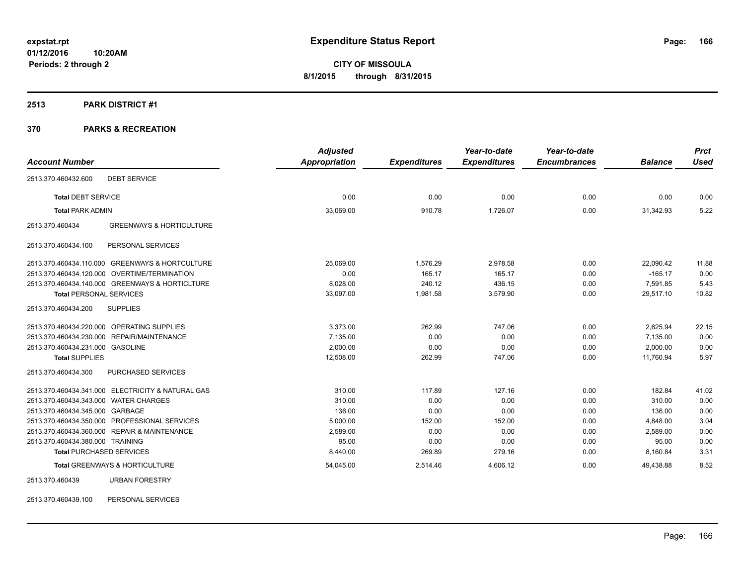#### **2513 PARK DISTRICT #1**

# **370 PARKS & RECREATION**

|                                                        | <b>Adjusted</b> |                     | Year-to-date        | Year-to-date        |                | <b>Prct</b> |
|--------------------------------------------------------|-----------------|---------------------|---------------------|---------------------|----------------|-------------|
| <b>Account Number</b>                                  | Appropriation   | <b>Expenditures</b> | <b>Expenditures</b> | <b>Encumbrances</b> | <b>Balance</b> | <b>Used</b> |
| <b>DEBT SERVICE</b><br>2513.370.460432.600             |                 |                     |                     |                     |                |             |
| <b>Total DEBT SERVICE</b>                              | 0.00            | 0.00                | 0.00                | 0.00                | 0.00           | 0.00        |
| <b>Total PARK ADMIN</b>                                | 33,069.00       | 910.78              | 1,726.07            | 0.00                | 31,342.93      | 5.22        |
| <b>GREENWAYS &amp; HORTICULTURE</b><br>2513.370.460434 |                 |                     |                     |                     |                |             |
| PERSONAL SERVICES<br>2513.370.460434.100               |                 |                     |                     |                     |                |             |
| 2513.370.460434.110.000 GREENWAYS & HORTCULTURE        | 25,069.00       | 1,576.29            | 2,978.58            | 0.00                | 22,090.42      | 11.88       |
| 2513.370.460434.120.000 OVERTIME/TERMINATION           | 0.00            | 165.17              | 165.17              | 0.00                | $-165.17$      | 0.00        |
| 2513.370.460434.140.000 GREENWAYS & HORTICLTURE        | 8,028.00        | 240.12              | 436.15              | 0.00                | 7,591.85       | 5.43        |
| <b>Total PERSONAL SERVICES</b>                         | 33,097.00       | 1,981.58            | 3,579.90            | 0.00                | 29,517.10      | 10.82       |
| 2513.370.460434.200<br><b>SUPPLIES</b>                 |                 |                     |                     |                     |                |             |
| 2513.370.460434.220.000 OPERATING SUPPLIES             | 3,373.00        | 262.99              | 747.06              | 0.00                | 2,625.94       | 22.15       |
| 2513.370.460434.230.000 REPAIR/MAINTENANCE             | 7,135.00        | 0.00                | 0.00                | 0.00                | 7,135.00       | 0.00        |
| 2513.370.460434.231.000 GASOLINE                       | 2.000.00        | 0.00                | 0.00                | 0.00                | 2,000.00       | 0.00        |
| <b>Total SUPPLIES</b>                                  | 12,508.00       | 262.99              | 747.06              | 0.00                | 11,760.94      | 5.97        |
| PURCHASED SERVICES<br>2513.370.460434.300              |                 |                     |                     |                     |                |             |
| 2513.370.460434.341.000 ELECTRICITY & NATURAL GAS      | 310.00          | 117.89              | 127.16              | 0.00                | 182.84         | 41.02       |
| 2513.370.460434.343.000 WATER CHARGES                  | 310.00          | 0.00                | 0.00                | 0.00                | 310.00         | 0.00        |
| 2513.370.460434.345.000 GARBAGE                        | 136.00          | 0.00                | 0.00                | 0.00                | 136.00         | 0.00        |
| 2513.370.460434.350.000 PROFESSIONAL SERVICES          | 5,000.00        | 152.00              | 152.00              | 0.00                | 4,848.00       | 3.04        |
| 2513.370.460434.360.000 REPAIR & MAINTENANCE           | 2,589.00        | 0.00                | 0.00                | 0.00                | 2,589.00       | 0.00        |
| 2513.370.460434.380.000 TRAINING                       | 95.00           | 0.00                | 0.00                | 0.00                | 95.00          | 0.00        |
| <b>Total PURCHASED SERVICES</b>                        | 8,440.00        | 269.89              | 279.16              | 0.00                | 8,160.84       | 3.31        |
| Total GREENWAYS & HORTICULTURE                         | 54,045.00       | 2,514.46            | 4,606.12            | 0.00                | 49,438.88      | 8.52        |
| 2513.370.460439<br><b>URBAN FORESTRY</b>               |                 |                     |                     |                     |                |             |

2513.370.460439.100 PERSONAL SERVICES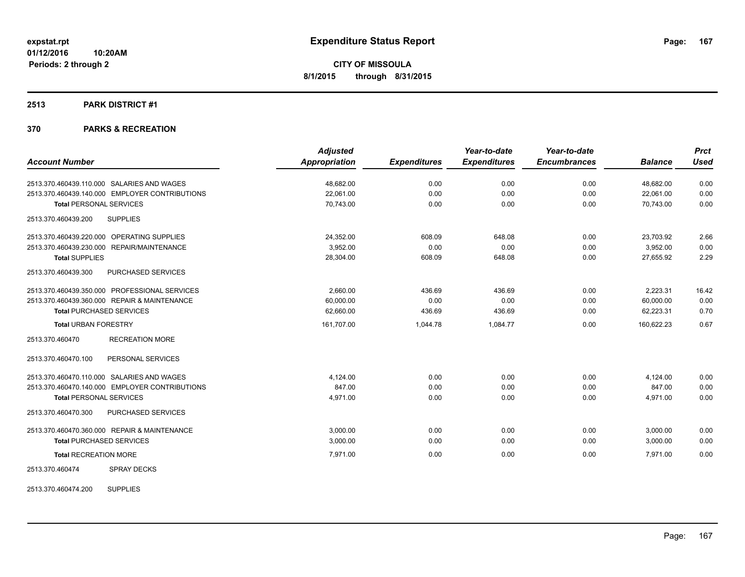### **2513 PARK DISTRICT #1**

# **370 PARKS & RECREATION**

|                                                | <b>Adjusted</b>      |                     | Year-to-date        | Year-to-date        |                | <b>Prct</b> |
|------------------------------------------------|----------------------|---------------------|---------------------|---------------------|----------------|-------------|
| <b>Account Number</b>                          | <b>Appropriation</b> | <b>Expenditures</b> | <b>Expenditures</b> | <b>Encumbrances</b> | <b>Balance</b> | <b>Used</b> |
| 2513.370.460439.110.000 SALARIES AND WAGES     | 48,682.00            | 0.00                | 0.00                | 0.00                | 48,682.00      | 0.00        |
| 2513.370.460439.140.000 EMPLOYER CONTRIBUTIONS | 22,061.00            | 0.00                | 0.00                | 0.00                | 22,061.00      | 0.00        |
| <b>Total PERSONAL SERVICES</b>                 | 70,743.00            | 0.00                | 0.00                | 0.00                | 70,743.00      | 0.00        |
| 2513.370.460439.200<br><b>SUPPLIES</b>         |                      |                     |                     |                     |                |             |
| 2513.370.460439.220.000 OPERATING SUPPLIES     | 24,352.00            | 608.09              | 648.08              | 0.00                | 23,703.92      | 2.66        |
| 2513.370.460439.230.000 REPAIR/MAINTENANCE     | 3,952.00             | 0.00                | 0.00                | 0.00                | 3,952.00       | 0.00        |
| <b>Total SUPPLIES</b>                          | 28,304.00            | 608.09              | 648.08              | 0.00                | 27,655.92      | 2.29        |
| 2513.370.460439.300<br>PURCHASED SERVICES      |                      |                     |                     |                     |                |             |
| 2513.370.460439.350.000 PROFESSIONAL SERVICES  | 2.660.00             | 436.69              | 436.69              | 0.00                | 2,223.31       | 16.42       |
| 2513.370.460439.360.000 REPAIR & MAINTENANCE   | 60,000.00            | 0.00                | 0.00                | 0.00                | 60,000.00      | 0.00        |
| <b>Total PURCHASED SERVICES</b>                | 62,660.00            | 436.69              | 436.69              | 0.00                | 62,223.31      | 0.70        |
| <b>Total URBAN FORESTRY</b>                    | 161,707.00           | 1,044.78            | 1,084.77            | 0.00                | 160,622.23     | 0.67        |
| 2513.370.460470<br><b>RECREATION MORE</b>      |                      |                     |                     |                     |                |             |
| PERSONAL SERVICES<br>2513.370.460470.100       |                      |                     |                     |                     |                |             |
| 2513.370.460470.110.000 SALARIES AND WAGES     | 4,124.00             | 0.00                | 0.00                | 0.00                | 4,124.00       | 0.00        |
| 2513.370.460470.140.000 EMPLOYER CONTRIBUTIONS | 847.00               | 0.00                | 0.00                | 0.00                | 847.00         | 0.00        |
| <b>Total PERSONAL SERVICES</b>                 | 4,971.00             | 0.00                | 0.00                | 0.00                | 4,971.00       | 0.00        |
| PURCHASED SERVICES<br>2513.370.460470.300      |                      |                     |                     |                     |                |             |
| 2513.370.460470.360.000 REPAIR & MAINTENANCE   | 3,000.00             | 0.00                | 0.00                | 0.00                | 3,000.00       | 0.00        |
| <b>Total PURCHASED SERVICES</b>                | 3,000.00             | 0.00                | 0.00                | 0.00                | 3,000.00       | 0.00        |
| <b>Total RECREATION MORE</b>                   | 7,971.00             | 0.00                | 0.00                | 0.00                | 7,971.00       | 0.00        |
| 2513.370.460474<br><b>SPRAY DECKS</b>          |                      |                     |                     |                     |                |             |

2513.370.460474.200 SUPPLIES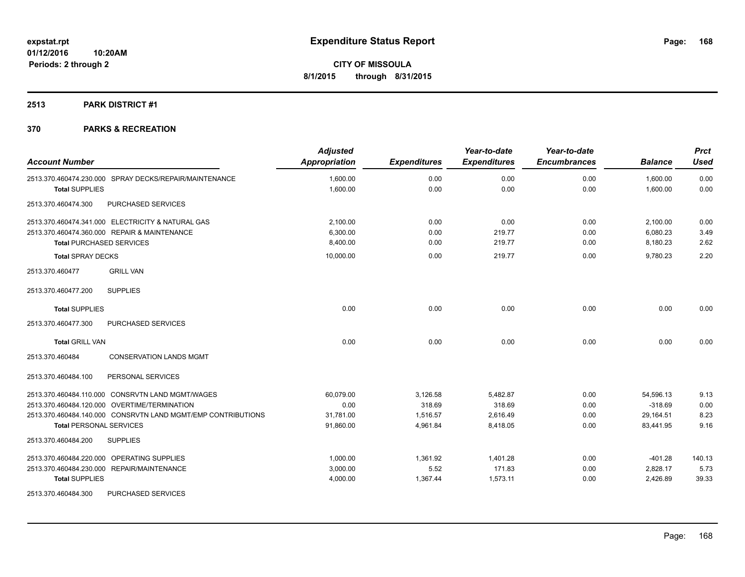# **2513 PARK DISTRICT #1**

| <b>Account Number</b>                                        | <b>Adjusted</b><br>Appropriation | <b>Expenditures</b> | Year-to-date<br><b>Expenditures</b> | Year-to-date<br><b>Encumbrances</b> | <b>Balance</b> | <b>Prct</b><br><b>Used</b> |
|--------------------------------------------------------------|----------------------------------|---------------------|-------------------------------------|-------------------------------------|----------------|----------------------------|
| 2513.370.460474.230.000 SPRAY DECKS/REPAIR/MAINTENANCE       | 1,600.00                         | 0.00                | 0.00                                | 0.00                                | 1,600.00       | 0.00                       |
| <b>Total SUPPLIES</b>                                        | 1,600.00                         | 0.00                | 0.00                                | 0.00                                | 1,600.00       | 0.00                       |
| <b>PURCHASED SERVICES</b><br>2513.370.460474.300             |                                  |                     |                                     |                                     |                |                            |
| 2513.370.460474.341.000 ELECTRICITY & NATURAL GAS            | 2,100.00                         | 0.00                | 0.00                                | 0.00                                | 2,100.00       | 0.00                       |
| 2513.370.460474.360.000 REPAIR & MAINTENANCE                 | 6,300.00                         | 0.00                | 219.77                              | 0.00                                | 6,080.23       | 3.49                       |
| <b>Total PURCHASED SERVICES</b>                              | 8,400.00                         | 0.00                | 219.77                              | 0.00                                | 8,180.23       | 2.62                       |
| <b>Total SPRAY DECKS</b>                                     | 10,000.00                        | 0.00                | 219.77                              | 0.00                                | 9,780.23       | 2.20                       |
| 2513.370.460477<br><b>GRILL VAN</b>                          |                                  |                     |                                     |                                     |                |                            |
| <b>SUPPLIES</b><br>2513.370.460477.200                       |                                  |                     |                                     |                                     |                |                            |
| <b>Total SUPPLIES</b>                                        | 0.00                             | 0.00                | 0.00                                | 0.00                                | 0.00           | 0.00                       |
| PURCHASED SERVICES<br>2513.370.460477.300                    |                                  |                     |                                     |                                     |                |                            |
| <b>Total GRILL VAN</b>                                       | 0.00                             | 0.00                | 0.00                                | 0.00                                | 0.00           | 0.00                       |
| <b>CONSERVATION LANDS MGMT</b><br>2513.370.460484            |                                  |                     |                                     |                                     |                |                            |
| PERSONAL SERVICES<br>2513.370.460484.100                     |                                  |                     |                                     |                                     |                |                            |
| 2513.370.460484.110.000 CONSRVTN LAND MGMT/WAGES             | 60.079.00                        | 3,126.58            | 5,482.87                            | 0.00                                | 54,596.13      | 9.13                       |
| 2513.370.460484.120.000 OVERTIME/TERMINATION                 | 0.00                             | 318.69              | 318.69                              | 0.00                                | $-318.69$      | 0.00                       |
| 2513.370.460484.140.000 CONSRVTN LAND MGMT/EMP CONTRIBUTIONS | 31,781.00                        | 1,516.57            | 2,616.49                            | 0.00                                | 29,164.51      | 8.23                       |
| <b>Total PERSONAL SERVICES</b>                               | 91,860.00                        | 4,961.84            | 8,418.05                            | 0.00                                | 83,441.95      | 9.16                       |
| <b>SUPPLIES</b><br>2513.370.460484.200                       |                                  |                     |                                     |                                     |                |                            |
| 2513.370.460484.220.000 OPERATING SUPPLIES                   | 1.000.00                         | 1,361.92            | 1,401.28                            | 0.00                                | $-401.28$      | 140.13                     |
| 2513.370.460484.230.000 REPAIR/MAINTENANCE                   | 3,000.00                         | 5.52                | 171.83                              | 0.00                                | 2,828.17       | 5.73                       |
| <b>Total SUPPLIES</b>                                        | 4,000.00                         | 1,367.44            | 1,573.11                            | 0.00                                | 2,426.89       | 39.33                      |
| 2513.370.460484.300<br>PURCHASED SERVICES                    |                                  |                     |                                     |                                     |                |                            |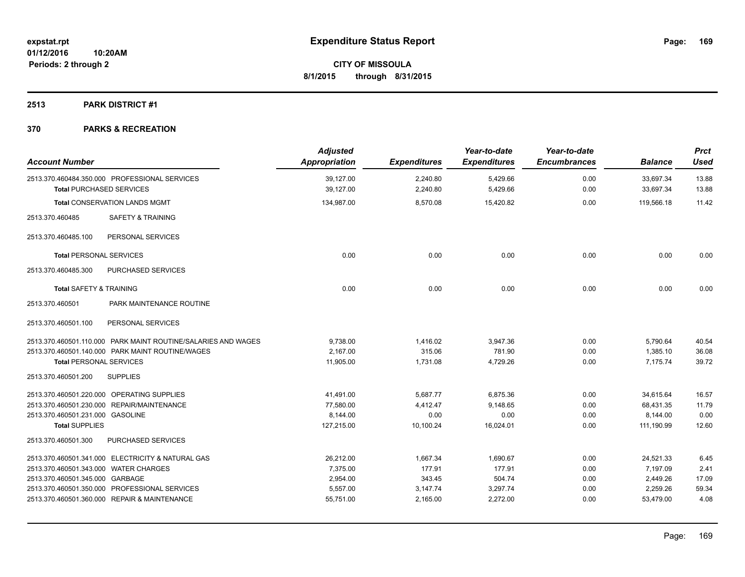# **2513 PARK DISTRICT #1**

| <b>Account Number</b>                 |                                                                                  | <b>Adjusted</b><br>Appropriation | <b>Expenditures</b>  | Year-to-date<br><b>Expenditures</b> | Year-to-date<br><b>Encumbrances</b> | <b>Balance</b>         | <b>Prct</b><br><b>Used</b> |
|---------------------------------------|----------------------------------------------------------------------------------|----------------------------------|----------------------|-------------------------------------|-------------------------------------|------------------------|----------------------------|
|                                       | 2513.370.460484.350.000 PROFESSIONAL SERVICES<br><b>Total PURCHASED SERVICES</b> | 39,127.00<br>39,127.00           | 2,240.80<br>2,240.80 | 5,429.66<br>5,429.66                | 0.00<br>0.00                        | 33,697.34<br>33,697.34 | 13.88<br>13.88             |
|                                       | <b>Total CONSERVATION LANDS MGMT</b>                                             | 134,987.00                       | 8,570.08             | 15,420.82                           | 0.00                                | 119,566.18             | 11.42                      |
| 2513.370.460485                       | <b>SAFETY &amp; TRAINING</b>                                                     |                                  |                      |                                     |                                     |                        |                            |
| 2513.370.460485.100                   | PERSONAL SERVICES                                                                |                                  |                      |                                     |                                     |                        |                            |
| <b>Total PERSONAL SERVICES</b>        |                                                                                  | 0.00                             | 0.00                 | 0.00                                | 0.00                                | 0.00                   | 0.00                       |
| 2513.370.460485.300                   | <b>PURCHASED SERVICES</b>                                                        |                                  |                      |                                     |                                     |                        |                            |
| Total SAFETY & TRAINING               |                                                                                  | 0.00                             | 0.00                 | 0.00                                | 0.00                                | 0.00                   | 0.00                       |
| 2513.370.460501                       | PARK MAINTENANCE ROUTINE                                                         |                                  |                      |                                     |                                     |                        |                            |
| 2513.370.460501.100                   | PERSONAL SERVICES                                                                |                                  |                      |                                     |                                     |                        |                            |
|                                       | 2513.370.460501.110.000 PARK MAINT ROUTINE/SALARIES AND WAGES                    | 9,738.00                         | 1,416.02             | 3,947.36                            | 0.00                                | 5,790.64               | 40.54                      |
|                                       | 2513.370.460501.140.000 PARK MAINT ROUTINE/WAGES                                 | 2,167.00                         | 315.06               | 781.90                              | 0.00                                | 1,385.10               | 36.08                      |
| <b>Total PERSONAL SERVICES</b>        |                                                                                  | 11,905.00                        | 1,731.08             | 4,729.26                            | 0.00                                | 7,175.74               | 39.72                      |
| 2513.370.460501.200                   | <b>SUPPLIES</b>                                                                  |                                  |                      |                                     |                                     |                        |                            |
|                                       | 2513.370.460501.220.000 OPERATING SUPPLIES                                       | 41,491.00                        | 5,687.77             | 6,875.36                            | 0.00                                | 34,615.64              | 16.57                      |
|                                       | 2513.370.460501.230.000 REPAIR/MAINTENANCE                                       | 77,580.00                        | 4,412.47             | 9,148.65                            | 0.00                                | 68,431.35              | 11.79                      |
| 2513.370.460501.231.000 GASOLINE      |                                                                                  | 8.144.00                         | 0.00                 | 0.00                                | 0.00                                | 8,144.00               | 0.00                       |
| <b>Total SUPPLIES</b>                 |                                                                                  | 127,215.00                       | 10,100.24            | 16,024.01                           | 0.00                                | 111,190.99             | 12.60                      |
| 2513.370.460501.300                   | PURCHASED SERVICES                                                               |                                  |                      |                                     |                                     |                        |                            |
|                                       | 2513.370.460501.341.000 ELECTRICITY & NATURAL GAS                                | 26.212.00                        | 1,667.34             | 1.690.67                            | 0.00                                | 24,521.33              | 6.45                       |
| 2513.370.460501.343.000 WATER CHARGES |                                                                                  | 7,375.00                         | 177.91               | 177.91                              | 0.00                                | 7,197.09               | 2.41                       |
| 2513.370.460501.345.000 GARBAGE       |                                                                                  | 2,954.00                         | 343.45               | 504.74                              | 0.00                                | 2,449.26               | 17.09                      |
|                                       | 2513.370.460501.350.000 PROFESSIONAL SERVICES                                    | 5,557.00                         | 3,147.74             | 3,297.74                            | 0.00                                | 2,259.26               | 59.34                      |
|                                       | 2513.370.460501.360.000 REPAIR & MAINTENANCE                                     | 55,751.00                        | 2,165.00             | 2,272.00                            | 0.00                                | 53,479.00              | 4.08                       |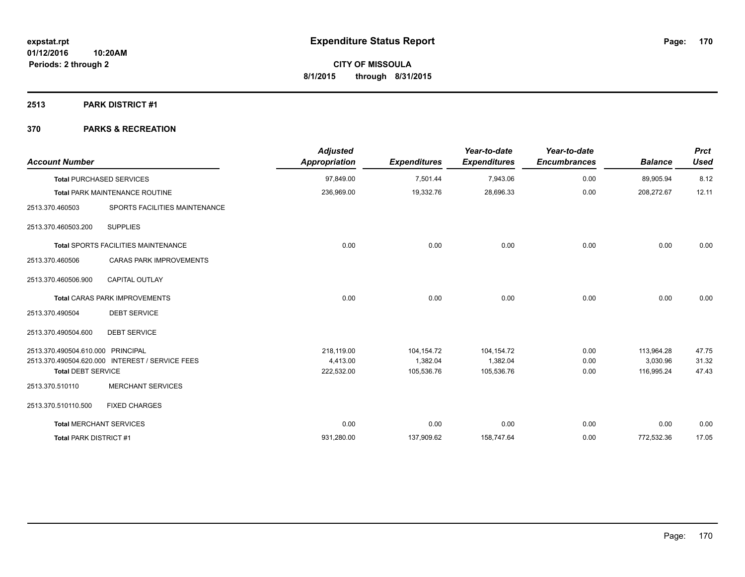## **2513 PARK DISTRICT #1**

| <b>Account Number</b>             |                                                 | <b>Adjusted</b><br><b>Appropriation</b> | <b>Expenditures</b> | Year-to-date<br><b>Expenditures</b> | Year-to-date<br><b>Encumbrances</b> | <b>Balance</b> | <b>Prct</b><br><b>Used</b> |
|-----------------------------------|-------------------------------------------------|-----------------------------------------|---------------------|-------------------------------------|-------------------------------------|----------------|----------------------------|
|                                   | <b>Total PURCHASED SERVICES</b>                 | 97,849.00                               | 7,501.44            | 7,943.06                            | 0.00                                | 89,905.94      | 8.12                       |
|                                   | Total PARK MAINTENANCE ROUTINE                  | 236,969.00                              | 19,332.76           | 28,696.33                           | 0.00                                | 208,272.67     | 12.11                      |
| 2513.370.460503                   | SPORTS FACILITIES MAINTENANCE                   |                                         |                     |                                     |                                     |                |                            |
| 2513.370.460503.200               | <b>SUPPLIES</b>                                 |                                         |                     |                                     |                                     |                |                            |
|                                   | Total SPORTS FACILITIES MAINTENANCE             | 0.00                                    | 0.00                | 0.00                                | 0.00                                | 0.00           | 0.00                       |
| 2513.370.460506                   | <b>CARAS PARK IMPROVEMENTS</b>                  |                                         |                     |                                     |                                     |                |                            |
| 2513.370.460506.900               | <b>CAPITAL OUTLAY</b>                           |                                         |                     |                                     |                                     |                |                            |
|                                   | <b>Total CARAS PARK IMPROVEMENTS</b>            | 0.00                                    | 0.00                | 0.00                                | 0.00                                | 0.00           | 0.00                       |
| 2513.370.490504                   | <b>DEBT SERVICE</b>                             |                                         |                     |                                     |                                     |                |                            |
| 2513.370.490504.600               | <b>DEBT SERVICE</b>                             |                                         |                     |                                     |                                     |                |                            |
| 2513.370.490504.610.000 PRINCIPAL |                                                 | 218,119.00                              | 104,154.72          | 104,154.72                          | 0.00                                | 113,964.28     | 47.75                      |
|                                   | 2513.370.490504.620.000 INTEREST / SERVICE FEES | 4,413.00                                | 1.382.04            | 1,382.04                            | 0.00                                | 3,030.96       | 31.32                      |
| <b>Total DEBT SERVICE</b>         |                                                 | 222,532.00                              | 105,536.76          | 105,536.76                          | 0.00                                | 116,995.24     | 47.43                      |
| 2513.370.510110                   | <b>MERCHANT SERVICES</b>                        |                                         |                     |                                     |                                     |                |                            |
| 2513.370.510110.500               | <b>FIXED CHARGES</b>                            |                                         |                     |                                     |                                     |                |                            |
|                                   | <b>Total MERCHANT SERVICES</b>                  | 0.00                                    | 0.00                | 0.00                                | 0.00                                | 0.00           | 0.00                       |
| <b>Total PARK DISTRICT #1</b>     |                                                 | 931,280.00                              | 137,909.62          | 158,747.64                          | 0.00                                | 772,532.36     | 17.05                      |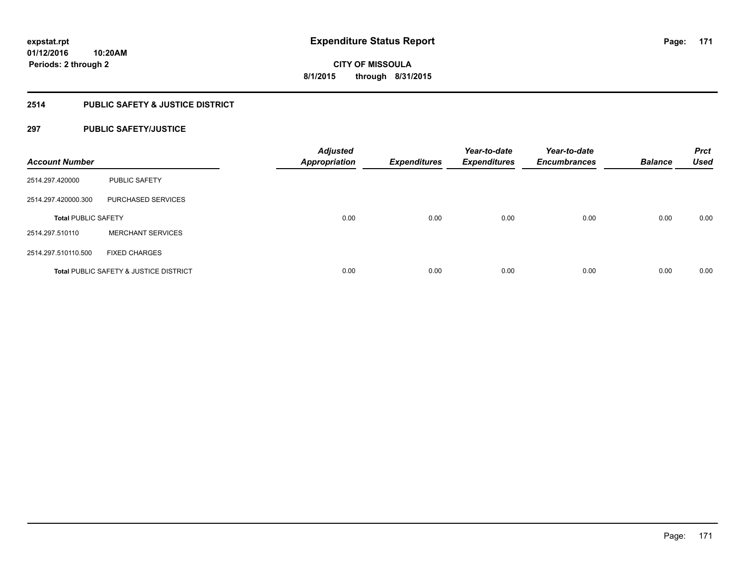# **2514 PUBLIC SAFETY & JUSTICE DISTRICT**

# **297 PUBLIC SAFETY/JUSTICE**

| <b>Account Number</b>      |                                                   | <b>Adjusted</b><br><b>Appropriation</b> | <b>Expenditures</b> | Year-to-date<br><b>Expenditures</b> | Year-to-date<br><b>Encumbrances</b> | <b>Balance</b> | <b>Prct</b><br><b>Used</b> |
|----------------------------|---------------------------------------------------|-----------------------------------------|---------------------|-------------------------------------|-------------------------------------|----------------|----------------------------|
| 2514.297.420000            | <b>PUBLIC SAFETY</b>                              |                                         |                     |                                     |                                     |                |                            |
| 2514.297.420000.300        | PURCHASED SERVICES                                |                                         |                     |                                     |                                     |                |                            |
| <b>Total PUBLIC SAFETY</b> |                                                   | 0.00                                    | 0.00                | 0.00                                | 0.00                                | 0.00           | 0.00                       |
| 2514.297.510110            | <b>MERCHANT SERVICES</b>                          |                                         |                     |                                     |                                     |                |                            |
| 2514.297.510110.500        | <b>FIXED CHARGES</b>                              |                                         |                     |                                     |                                     |                |                            |
|                            | <b>Total PUBLIC SAFETY &amp; JUSTICE DISTRICT</b> | 0.00                                    | 0.00                | 0.00                                | 0.00                                | 0.00           | 0.00                       |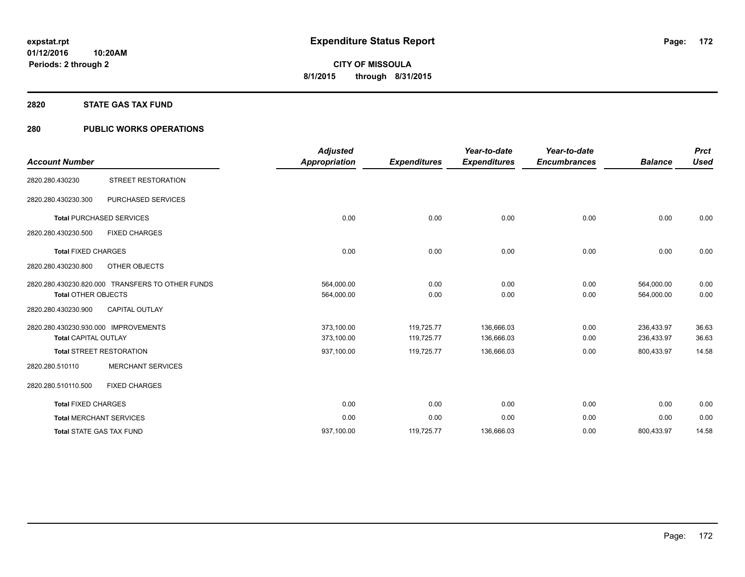## **2820 STATE GAS TAX FUND**

# **280 PUBLIC WORKS OPERATIONS**

| <b>Account Number</b>                                               |                                                  | <b>Adjusted</b><br><b>Appropriation</b> | <b>Expenditures</b>      | Year-to-date<br><b>Expenditures</b> | Year-to-date<br><b>Encumbrances</b> | <b>Balance</b>           | <b>Prct</b><br><b>Used</b> |
|---------------------------------------------------------------------|--------------------------------------------------|-----------------------------------------|--------------------------|-------------------------------------|-------------------------------------|--------------------------|----------------------------|
| 2820.280.430230                                                     | STREET RESTORATION                               |                                         |                          |                                     |                                     |                          |                            |
| 2820.280.430230.300                                                 | PURCHASED SERVICES                               |                                         |                          |                                     |                                     |                          |                            |
|                                                                     | <b>Total PURCHASED SERVICES</b>                  | 0.00                                    | 0.00                     | 0.00                                | 0.00                                | 0.00                     | 0.00                       |
| 2820.280.430230.500                                                 | <b>FIXED CHARGES</b>                             |                                         |                          |                                     |                                     |                          |                            |
| <b>Total FIXED CHARGES</b>                                          |                                                  | 0.00                                    | 0.00                     | 0.00                                | 0.00                                | 0.00                     | 0.00                       |
| 2820.280.430230.800                                                 | OTHER OBJECTS                                    |                                         |                          |                                     |                                     |                          |                            |
| <b>Total OTHER OBJECTS</b>                                          | 2820.280.430230.820.000 TRANSFERS TO OTHER FUNDS | 564,000.00<br>564,000.00                | 0.00<br>0.00             | 0.00<br>0.00                        | 0.00<br>0.00                        | 564,000.00<br>564,000.00 | 0.00<br>0.00               |
| 2820.280.430230.900                                                 | <b>CAPITAL OUTLAY</b>                            |                                         |                          |                                     |                                     |                          |                            |
| 2820.280.430230.930.000 IMPROVEMENTS<br><b>Total CAPITAL OUTLAY</b> |                                                  | 373,100.00<br>373,100.00                | 119,725.77<br>119,725.77 | 136,666.03<br>136,666.03            | 0.00<br>0.00                        | 236.433.97<br>236,433.97 | 36.63<br>36.63             |
| <b>Total STREET RESTORATION</b>                                     |                                                  | 937,100.00                              | 119,725.77               | 136,666.03                          | 0.00                                | 800,433.97               | 14.58                      |
| 2820.280.510110                                                     | <b>MERCHANT SERVICES</b>                         |                                         |                          |                                     |                                     |                          |                            |
| 2820.280.510110.500                                                 | <b>FIXED CHARGES</b>                             |                                         |                          |                                     |                                     |                          |                            |
| <b>Total FIXED CHARGES</b>                                          |                                                  | 0.00                                    | 0.00                     | 0.00                                | 0.00                                | 0.00                     | 0.00                       |
| <b>Total MERCHANT SERVICES</b>                                      |                                                  | 0.00                                    | 0.00                     | 0.00                                | 0.00                                | 0.00                     | 0.00                       |
| <b>Total STATE GAS TAX FUND</b>                                     |                                                  | 937,100.00                              | 119,725.77               | 136,666.03                          | 0.00                                | 800,433.97               | 14.58                      |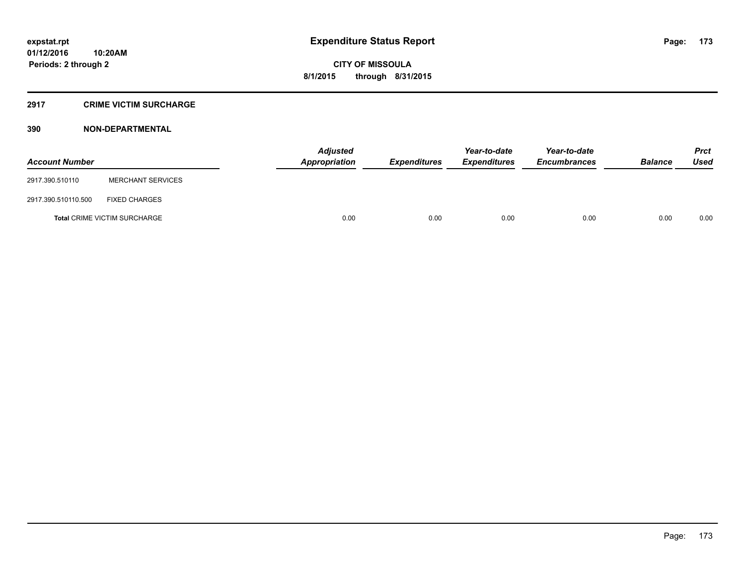## **2917 CRIME VICTIM SURCHARGE**

# **390 NON-DEPARTMENTAL**

| <b>Account Number</b> |                                     | Adjusted<br>Appropriation | <b>Expenditures</b> | Year-to-date<br><b>Expenditures</b> | Year-to-date<br><b>Encumbrances</b> | <b>Balance</b> | <b>Prct</b><br><b>Used</b> |
|-----------------------|-------------------------------------|---------------------------|---------------------|-------------------------------------|-------------------------------------|----------------|----------------------------|
| 2917.390.510110       | <b>MERCHANT SERVICES</b>            |                           |                     |                                     |                                     |                |                            |
| 2917.390.510110.500   | <b>FIXED CHARGES</b>                |                           |                     |                                     |                                     |                |                            |
|                       | <b>Total CRIME VICTIM SURCHARGE</b> | 0.00                      | 0.00                | 0.00                                | 0.00                                | 0.00           | 0.00                       |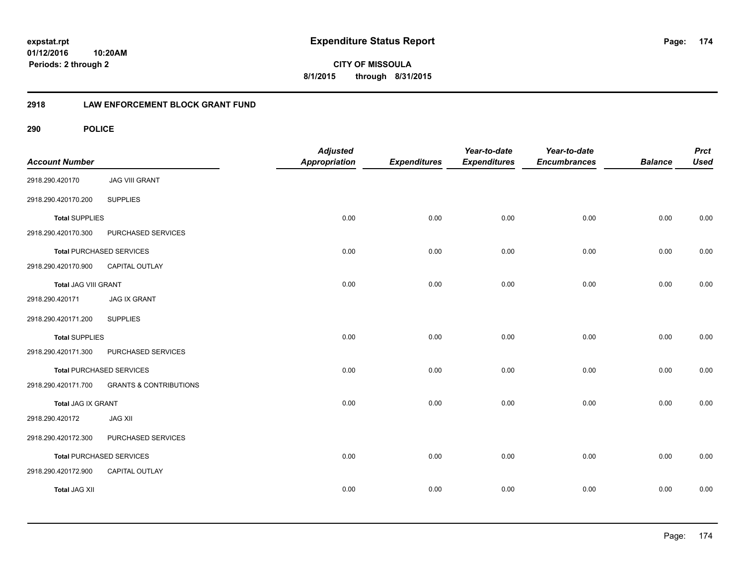**CITY OF MISSOULA 8/1/2015 through 8/31/2015**

# **2918 LAW ENFORCEMENT BLOCK GRANT FUND**

| <b>Account Number</b> |                                   | <b>Adjusted</b><br>Appropriation | <b>Expenditures</b> | Year-to-date<br><b>Expenditures</b> | Year-to-date<br><b>Encumbrances</b> | <b>Balance</b> | <b>Prct</b><br><b>Used</b> |
|-----------------------|-----------------------------------|----------------------------------|---------------------|-------------------------------------|-------------------------------------|----------------|----------------------------|
| 2918.290.420170       | <b>JAG VIII GRANT</b>             |                                  |                     |                                     |                                     |                |                            |
| 2918.290.420170.200   | <b>SUPPLIES</b>                   |                                  |                     |                                     |                                     |                |                            |
| <b>Total SUPPLIES</b> |                                   | 0.00                             | 0.00                | 0.00                                | 0.00                                | 0.00           | 0.00                       |
| 2918.290.420170.300   | PURCHASED SERVICES                |                                  |                     |                                     |                                     |                |                            |
|                       | <b>Total PURCHASED SERVICES</b>   | 0.00                             | 0.00                | 0.00                                | 0.00                                | 0.00           | 0.00                       |
| 2918.290.420170.900   | CAPITAL OUTLAY                    |                                  |                     |                                     |                                     |                |                            |
| Total JAG VIII GRANT  |                                   | 0.00                             | 0.00                | 0.00                                | 0.00                                | 0.00           | 0.00                       |
| 2918.290.420171       | <b>JAG IX GRANT</b>               |                                  |                     |                                     |                                     |                |                            |
| 2918.290.420171.200   | <b>SUPPLIES</b>                   |                                  |                     |                                     |                                     |                |                            |
| <b>Total SUPPLIES</b> |                                   | 0.00                             | 0.00                | 0.00                                | 0.00                                | 0.00           | 0.00                       |
| 2918.290.420171.300   | PURCHASED SERVICES                |                                  |                     |                                     |                                     |                |                            |
|                       | <b>Total PURCHASED SERVICES</b>   | 0.00                             | 0.00                | 0.00                                | 0.00                                | 0.00           | 0.00                       |
| 2918.290.420171.700   | <b>GRANTS &amp; CONTRIBUTIONS</b> |                                  |                     |                                     |                                     |                |                            |
| Total JAG IX GRANT    |                                   | 0.00                             | 0.00                | 0.00                                | 0.00                                | 0.00           | 0.00                       |
| 2918.290.420172       | <b>JAG XII</b>                    |                                  |                     |                                     |                                     |                |                            |
| 2918.290.420172.300   | PURCHASED SERVICES                |                                  |                     |                                     |                                     |                |                            |
|                       | <b>Total PURCHASED SERVICES</b>   | 0.00                             | 0.00                | 0.00                                | 0.00                                | 0.00           | 0.00                       |
| 2918.290.420172.900   | CAPITAL OUTLAY                    |                                  |                     |                                     |                                     |                |                            |
| <b>Total JAG XII</b>  |                                   | 0.00                             | 0.00                | 0.00                                | 0.00                                | 0.00           | 0.00                       |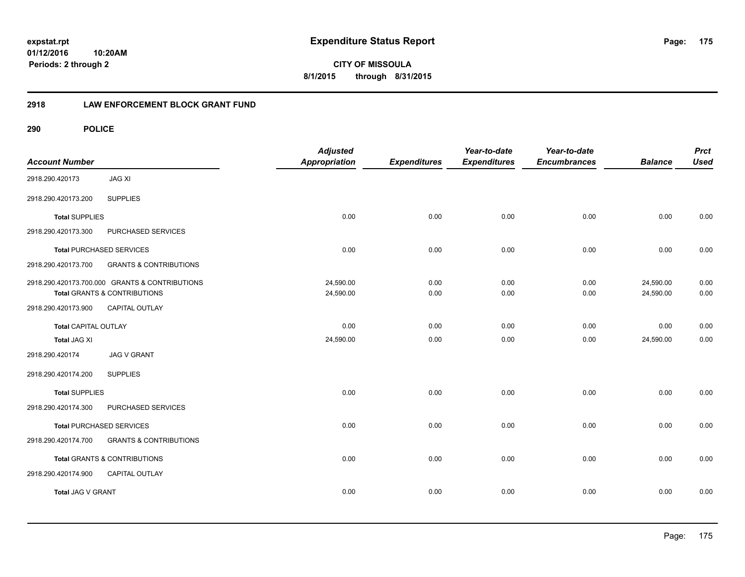**CITY OF MISSOULA 8/1/2015 through 8/31/2015**

# **2918 LAW ENFORCEMENT BLOCK GRANT FUND**

| <b>Account Number</b>       |                                                                                           | <b>Adjusted</b><br>Appropriation | <b>Expenditures</b> | Year-to-date<br><b>Expenditures</b> | Year-to-date<br><b>Encumbrances</b> | <b>Balance</b>         | <b>Prct</b><br><b>Used</b> |
|-----------------------------|-------------------------------------------------------------------------------------------|----------------------------------|---------------------|-------------------------------------|-------------------------------------|------------------------|----------------------------|
| 2918.290.420173             | <b>JAG XI</b>                                                                             |                                  |                     |                                     |                                     |                        |                            |
| 2918.290.420173.200         | <b>SUPPLIES</b>                                                                           |                                  |                     |                                     |                                     |                        |                            |
| <b>Total SUPPLIES</b>       |                                                                                           | 0.00                             | 0.00                | 0.00                                | 0.00                                | 0.00                   | 0.00                       |
| 2918.290.420173.300         | PURCHASED SERVICES                                                                        |                                  |                     |                                     |                                     |                        |                            |
|                             | <b>Total PURCHASED SERVICES</b>                                                           | 0.00                             | 0.00                | 0.00                                | 0.00                                | 0.00                   | 0.00                       |
| 2918.290.420173.700         | <b>GRANTS &amp; CONTRIBUTIONS</b>                                                         |                                  |                     |                                     |                                     |                        |                            |
|                             | 2918.290.420173.700.000 GRANTS & CONTRIBUTIONS<br><b>Total GRANTS &amp; CONTRIBUTIONS</b> | 24,590.00<br>24,590.00           | 0.00<br>0.00        | 0.00<br>0.00                        | 0.00<br>0.00                        | 24,590.00<br>24,590.00 | 0.00<br>0.00               |
| 2918.290.420173.900         | CAPITAL OUTLAY                                                                            |                                  |                     |                                     |                                     |                        |                            |
| <b>Total CAPITAL OUTLAY</b> |                                                                                           | 0.00                             | 0.00                | 0.00                                | 0.00                                | 0.00                   | 0.00                       |
| <b>Total JAG XI</b>         |                                                                                           | 24,590.00                        | 0.00                | 0.00                                | 0.00                                | 24,590.00              | 0.00                       |
| 2918.290.420174             | <b>JAG V GRANT</b>                                                                        |                                  |                     |                                     |                                     |                        |                            |
| 2918.290.420174.200         | <b>SUPPLIES</b>                                                                           |                                  |                     |                                     |                                     |                        |                            |
| <b>Total SUPPLIES</b>       |                                                                                           | 0.00                             | 0.00                | 0.00                                | 0.00                                | 0.00                   | 0.00                       |
| 2918.290.420174.300         | PURCHASED SERVICES                                                                        |                                  |                     |                                     |                                     |                        |                            |
|                             | <b>Total PURCHASED SERVICES</b>                                                           | 0.00                             | 0.00                | 0.00                                | 0.00                                | 0.00                   | 0.00                       |
| 2918.290.420174.700         | <b>GRANTS &amp; CONTRIBUTIONS</b>                                                         |                                  |                     |                                     |                                     |                        |                            |
|                             | Total GRANTS & CONTRIBUTIONS                                                              | 0.00                             | 0.00                | 0.00                                | 0.00                                | 0.00                   | 0.00                       |
| 2918.290.420174.900         | CAPITAL OUTLAY                                                                            |                                  |                     |                                     |                                     |                        |                            |
| Total JAG V GRANT           |                                                                                           | 0.00                             | 0.00                | 0.00                                | 0.00                                | 0.00                   | 0.00                       |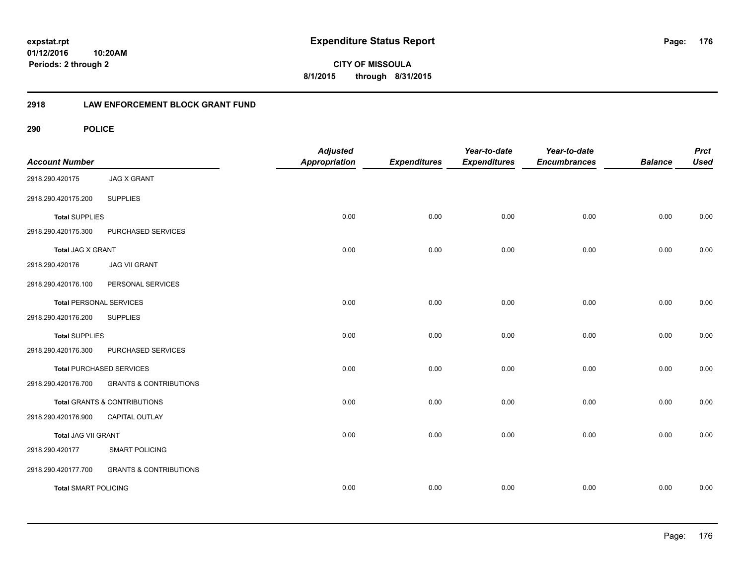**CITY OF MISSOULA 8/1/2015 through 8/31/2015**

# **2918 LAW ENFORCEMENT BLOCK GRANT FUND**

| <b>Account Number</b>          |                                   | <b>Adjusted</b><br><b>Appropriation</b> | <b>Expenditures</b> | Year-to-date<br><b>Expenditures</b> | Year-to-date<br><b>Encumbrances</b> | <b>Balance</b> | <b>Prct</b><br><b>Used</b> |
|--------------------------------|-----------------------------------|-----------------------------------------|---------------------|-------------------------------------|-------------------------------------|----------------|----------------------------|
| 2918.290.420175                | <b>JAG X GRANT</b>                |                                         |                     |                                     |                                     |                |                            |
| 2918.290.420175.200            | <b>SUPPLIES</b>                   |                                         |                     |                                     |                                     |                |                            |
| <b>Total SUPPLIES</b>          |                                   | 0.00                                    | 0.00                | 0.00                                | 0.00                                | 0.00           | 0.00                       |
| 2918.290.420175.300            | PURCHASED SERVICES                |                                         |                     |                                     |                                     |                |                            |
| Total JAG X GRANT              |                                   | 0.00                                    | 0.00                | 0.00                                | 0.00                                | 0.00           | 0.00                       |
| 2918.290.420176                | <b>JAG VII GRANT</b>              |                                         |                     |                                     |                                     |                |                            |
| 2918.290.420176.100            | PERSONAL SERVICES                 |                                         |                     |                                     |                                     |                |                            |
| <b>Total PERSONAL SERVICES</b> |                                   | 0.00                                    | 0.00                | 0.00                                | 0.00                                | 0.00           | 0.00                       |
| 2918.290.420176.200            | <b>SUPPLIES</b>                   |                                         |                     |                                     |                                     |                |                            |
| <b>Total SUPPLIES</b>          |                                   | 0.00                                    | 0.00                | 0.00                                | 0.00                                | 0.00           | 0.00                       |
| 2918.290.420176.300            | PURCHASED SERVICES                |                                         |                     |                                     |                                     |                |                            |
|                                | <b>Total PURCHASED SERVICES</b>   | 0.00                                    | 0.00                | 0.00                                | 0.00                                | 0.00           | 0.00                       |
| 2918.290.420176.700            | <b>GRANTS &amp; CONTRIBUTIONS</b> |                                         |                     |                                     |                                     |                |                            |
|                                | Total GRANTS & CONTRIBUTIONS      | 0.00                                    | 0.00                | 0.00                                | 0.00                                | 0.00           | 0.00                       |
| 2918.290.420176.900            | CAPITAL OUTLAY                    |                                         |                     |                                     |                                     |                |                            |
| Total JAG VII GRANT            |                                   | 0.00                                    | 0.00                | 0.00                                | 0.00                                | 0.00           | 0.00                       |
| 2918.290.420177                | <b>SMART POLICING</b>             |                                         |                     |                                     |                                     |                |                            |
| 2918.290.420177.700            | <b>GRANTS &amp; CONTRIBUTIONS</b> |                                         |                     |                                     |                                     |                |                            |
| <b>Total SMART POLICING</b>    |                                   | 0.00                                    | 0.00                | 0.00                                | 0.00                                | 0.00           | 0.00                       |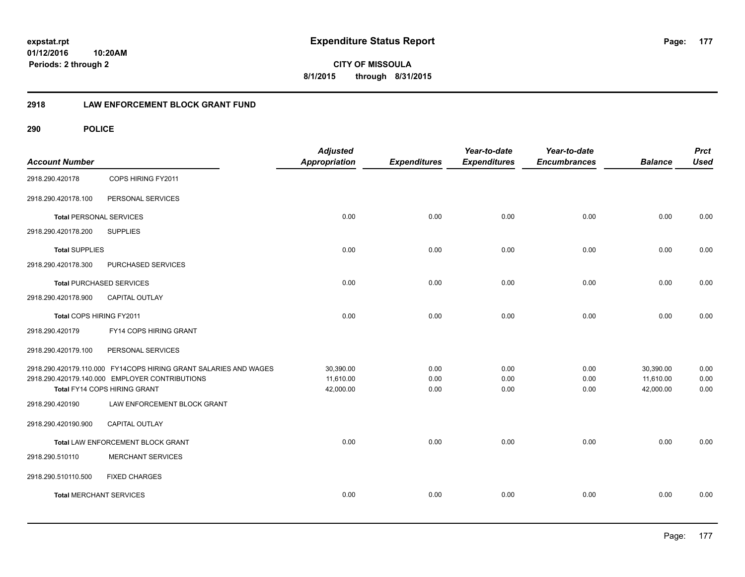**CITY OF MISSOULA 8/1/2015 through 8/31/2015**

# **2918 LAW ENFORCEMENT BLOCK GRANT FUND**

| <b>Account Number</b>          |                                                                  | <b>Adjusted</b><br><b>Appropriation</b> | <b>Expenditures</b> | Year-to-date<br><b>Expenditures</b> | Year-to-date<br><b>Encumbrances</b> | <b>Balance</b> | <b>Prct</b><br><b>Used</b> |
|--------------------------------|------------------------------------------------------------------|-----------------------------------------|---------------------|-------------------------------------|-------------------------------------|----------------|----------------------------|
| 2918.290.420178                | COPS HIRING FY2011                                               |                                         |                     |                                     |                                     |                |                            |
| 2918.290.420178.100            | PERSONAL SERVICES                                                |                                         |                     |                                     |                                     |                |                            |
| <b>Total PERSONAL SERVICES</b> |                                                                  | 0.00                                    | 0.00                | 0.00                                | 0.00                                | 0.00           | 0.00                       |
| 2918.290.420178.200            | <b>SUPPLIES</b>                                                  |                                         |                     |                                     |                                     |                |                            |
| <b>Total SUPPLIES</b>          |                                                                  | 0.00                                    | 0.00                | 0.00                                | 0.00                                | 0.00           | 0.00                       |
| 2918.290.420178.300            | PURCHASED SERVICES                                               |                                         |                     |                                     |                                     |                |                            |
|                                | <b>Total PURCHASED SERVICES</b>                                  | 0.00                                    | 0.00                | 0.00                                | 0.00                                | 0.00           | 0.00                       |
| 2918.290.420178.900            | <b>CAPITAL OUTLAY</b>                                            |                                         |                     |                                     |                                     |                |                            |
| Total COPS HIRING FY2011       |                                                                  | 0.00                                    | 0.00                | 0.00                                | 0.00                                | 0.00           | 0.00                       |
| 2918.290.420179                | FY14 COPS HIRING GRANT                                           |                                         |                     |                                     |                                     |                |                            |
| 2918.290.420179.100            | PERSONAL SERVICES                                                |                                         |                     |                                     |                                     |                |                            |
|                                | 2918.290.420179.110.000 FY14COPS HIRING GRANT SALARIES AND WAGES | 30,390.00                               | 0.00                | 0.00                                | 0.00                                | 30,390.00      | 0.00                       |
|                                | 2918.290.420179.140.000 EMPLOYER CONTRIBUTIONS                   | 11,610.00                               | 0.00                | 0.00                                | 0.00                                | 11,610.00      | 0.00                       |
|                                | Total FY14 COPS HIRING GRANT                                     | 42,000.00                               | 0.00                | 0.00                                | 0.00                                | 42,000.00      | 0.00                       |
| 2918.290.420190                | LAW ENFORCEMENT BLOCK GRANT                                      |                                         |                     |                                     |                                     |                |                            |
| 2918.290.420190.900            | CAPITAL OUTLAY                                                   |                                         |                     |                                     |                                     |                |                            |
|                                | Total LAW ENFORCEMENT BLOCK GRANT                                | 0.00                                    | 0.00                | 0.00                                | 0.00                                | 0.00           | 0.00                       |
| 2918.290.510110                | <b>MERCHANT SERVICES</b>                                         |                                         |                     |                                     |                                     |                |                            |
| 2918.290.510110.500            | <b>FIXED CHARGES</b>                                             |                                         |                     |                                     |                                     |                |                            |
| <b>Total MERCHANT SERVICES</b> |                                                                  | 0.00                                    | 0.00                | 0.00                                | 0.00                                | 0.00           | 0.00                       |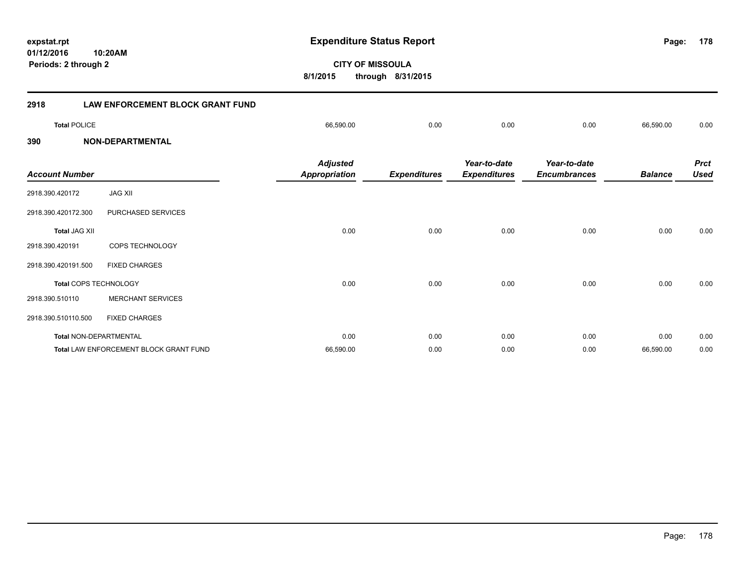**CITY OF MISSOULA 8/1/2015 through 8/31/2015 Periods: 2 through 2 2918 LAW ENFORCEMENT BLOCK GRANT FUND Total** POLICE 66,590.00 0.00 0.00 0.00 66,590.00 0.00 **390 NON-DEPARTMENTAL** *Prct Balance Used Year-to-date Encumbrances Year-to-date Expenditures Expenditures Adjusted Account Number Appropriation* 2918.390.420172 JAG XII 2918.390.420172.300 PURCHASED SERVICES **Total** JAG XII 0.00 0.00 0.00 0.00 0.00 0.00 2918.390.420191 COPS TECHNOLOGY 2918.390.420191.500 FIXED CHARGES **Total** COPS TECHNOLOGY 0.00 0.00 0.00 0.00 0.00 0.00 2918.390.510110 MERCHANT SERVICES 2918.390.510110.500 FIXED CHARGES

**Total** NON-DEPARTMENTAL 0.00 0.00 0.00 0.00 0.00 0.00 **Total** LAW ENFORCEMENT BLOCK GRANT FUND 66,590.00 0.00 0.00 0.00 66,590.00 0.00

# **expstat.rpt Expenditure Status Report**

**178**

**01/12/2016 10:20AM**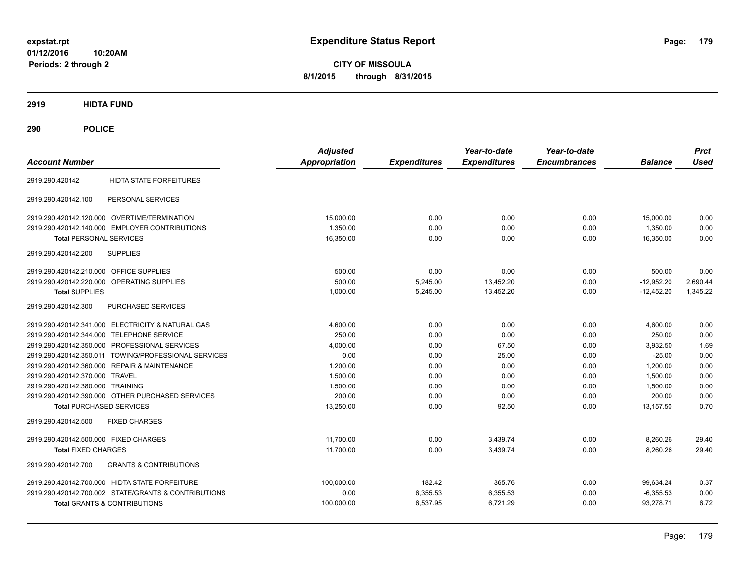**CITY OF MISSOULA 8/1/2015 through 8/31/2015**

**2919 HIDTA FUND**

| <b>Account Number</b>                                    | <b>Adjusted</b><br><b>Appropriation</b> | <b>Expenditures</b> | Year-to-date<br><b>Expenditures</b> | Year-to-date<br><b>Encumbrances</b> | <b>Balance</b> | <b>Prct</b><br><b>Used</b> |
|----------------------------------------------------------|-----------------------------------------|---------------------|-------------------------------------|-------------------------------------|----------------|----------------------------|
| <b>HIDTA STATE FORFEITURES</b><br>2919.290.420142        |                                         |                     |                                     |                                     |                |                            |
| PERSONAL SERVICES<br>2919.290.420142.100                 |                                         |                     |                                     |                                     |                |                            |
| 2919.290.420142.120.000 OVERTIME/TERMINATION             | 15,000.00                               | 0.00                | 0.00                                | 0.00                                | 15,000.00      | 0.00                       |
| 2919.290.420142.140.000 EMPLOYER CONTRIBUTIONS           | 1,350.00                                | 0.00                | 0.00                                | 0.00                                | 1,350.00       | 0.00                       |
| <b>Total PERSONAL SERVICES</b>                           | 16,350.00                               | 0.00                | 0.00                                | 0.00                                | 16,350.00      | 0.00                       |
| <b>SUPPLIES</b><br>2919.290.420142.200                   |                                         |                     |                                     |                                     |                |                            |
| 2919.290.420142.210.000 OFFICE SUPPLIES                  | 500.00                                  | 0.00                | 0.00                                | 0.00                                | 500.00         | 0.00                       |
| 2919.290.420142.220.000 OPERATING SUPPLIES               | 500.00                                  | 5,245.00            | 13,452.20                           | 0.00                                | $-12,952.20$   | 2,690.44                   |
| <b>Total SUPPLIES</b>                                    | 1,000.00                                | 5,245.00            | 13.452.20                           | 0.00                                | $-12.452.20$   | 1,345.22                   |
| PURCHASED SERVICES<br>2919.290.420142.300                |                                         |                     |                                     |                                     |                |                            |
| 2919.290.420142.341.000 ELECTRICITY & NATURAL GAS        | 4,600.00                                | 0.00                | 0.00                                | 0.00                                | 4,600.00       | 0.00                       |
| 2919.290.420142.344.000 TELEPHONE SERVICE                | 250.00                                  | 0.00                | 0.00                                | 0.00                                | 250.00         | 0.00                       |
| 2919.290.420142.350.000 PROFESSIONAL SERVICES            | 4,000.00                                | 0.00                | 67.50                               | 0.00                                | 3,932.50       | 1.69                       |
| 2919.290.420142.350.011 TOWING/PROFESSIONAL SERVICES     | 0.00                                    | 0.00                | 25.00                               | 0.00                                | $-25.00$       | 0.00                       |
| 2919.290.420142.360.000 REPAIR & MAINTENANCE             | 1,200.00                                | 0.00                | 0.00                                | 0.00                                | 1,200.00       | 0.00                       |
| 2919.290.420142.370.000 TRAVEL                           | 1,500.00                                | 0.00                | 0.00                                | 0.00                                | 1,500.00       | 0.00                       |
| 2919.290.420142.380.000 TRAINING                         | 1,500.00                                | 0.00                | 0.00                                | 0.00                                | 1,500.00       | 0.00                       |
| 2919.290.420142.390.000 OTHER PURCHASED SERVICES         | 200.00                                  | 0.00                | 0.00                                | 0.00                                | 200.00         | 0.00                       |
| <b>Total PURCHASED SERVICES</b>                          | 13,250.00                               | 0.00                | 92.50                               | 0.00                                | 13,157.50      | 0.70                       |
| <b>FIXED CHARGES</b><br>2919.290.420142.500              |                                         |                     |                                     |                                     |                |                            |
| 2919.290.420142.500.000 FIXED CHARGES                    | 11,700.00                               | 0.00                | 3,439.74                            | 0.00                                | 8,260.26       | 29.40                      |
| <b>Total FIXED CHARGES</b>                               | 11,700.00                               | 0.00                | 3,439.74                            | 0.00                                | 8,260.26       | 29.40                      |
| <b>GRANTS &amp; CONTRIBUTIONS</b><br>2919.290.420142.700 |                                         |                     |                                     |                                     |                |                            |
| 2919.290.420142.700.000 HIDTA STATE FORFEITURE           | 100.000.00                              | 182.42              | 365.76                              | 0.00                                | 99,634.24      | 0.37                       |
| 2919.290.420142.700.002 STATE/GRANTS & CONTRIBUTIONS     | 0.00                                    | 6,355.53            | 6,355.53                            | 0.00                                | $-6,355.53$    | 0.00                       |
| <b>Total GRANTS &amp; CONTRIBUTIONS</b>                  | 100,000.00                              | 6,537.95            | 6,721.29                            | 0.00                                | 93,278.71      | 6.72                       |
|                                                          |                                         |                     |                                     |                                     |                |                            |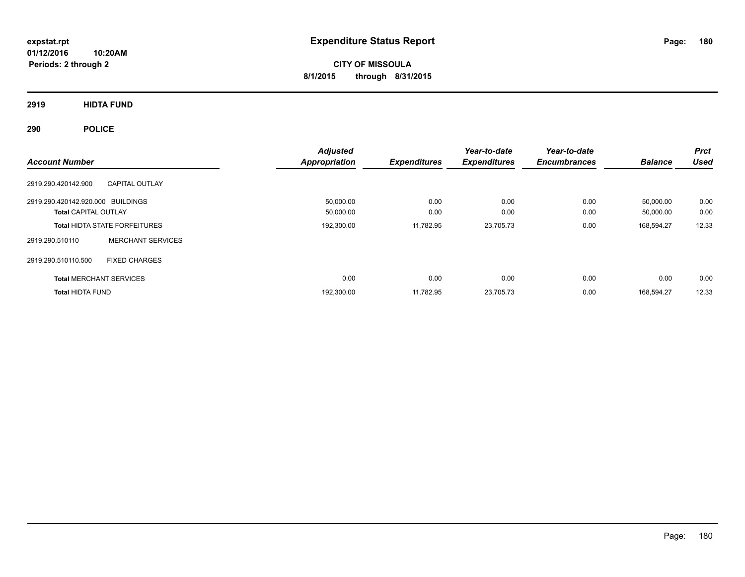**CITY OF MISSOULA 8/1/2015 through 8/31/2015**

**2919 HIDTA FUND**

| <b>Account Number</b>                                            | <b>Adjusted</b><br><b>Appropriation</b> | <b>Expenditures</b> | Year-to-date<br><b>Expenditures</b> | Year-to-date<br><b>Encumbrances</b> | <b>Balance</b>         | <b>Prct</b><br><b>Used</b> |
|------------------------------------------------------------------|-----------------------------------------|---------------------|-------------------------------------|-------------------------------------|------------------------|----------------------------|
| 2919.290.420142.900<br><b>CAPITAL OUTLAY</b>                     |                                         |                     |                                     |                                     |                        |                            |
| 2919.290.420142.920.000 BUILDINGS<br><b>Total CAPITAL OUTLAY</b> | 50,000.00<br>50,000.00                  | 0.00<br>0.00        | 0.00<br>0.00                        | 0.00<br>0.00                        | 50,000.00<br>50,000.00 | 0.00<br>0.00               |
| <b>Total HIDTA STATE FORFEITURES</b>                             | 192,300.00                              | 11,782.95           | 23,705.73                           | 0.00                                | 168,594.27             | 12.33                      |
| <b>MERCHANT SERVICES</b><br>2919.290.510110                      |                                         |                     |                                     |                                     |                        |                            |
| <b>FIXED CHARGES</b><br>2919.290.510110.500                      |                                         |                     |                                     |                                     |                        |                            |
| <b>Total MERCHANT SERVICES</b>                                   | 0.00                                    | 0.00                | 0.00                                | 0.00                                | 0.00                   | 0.00                       |
| <b>Total HIDTA FUND</b>                                          | 192,300.00                              | 11,782.95           | 23,705.73                           | 0.00                                | 168.594.27             | 12.33                      |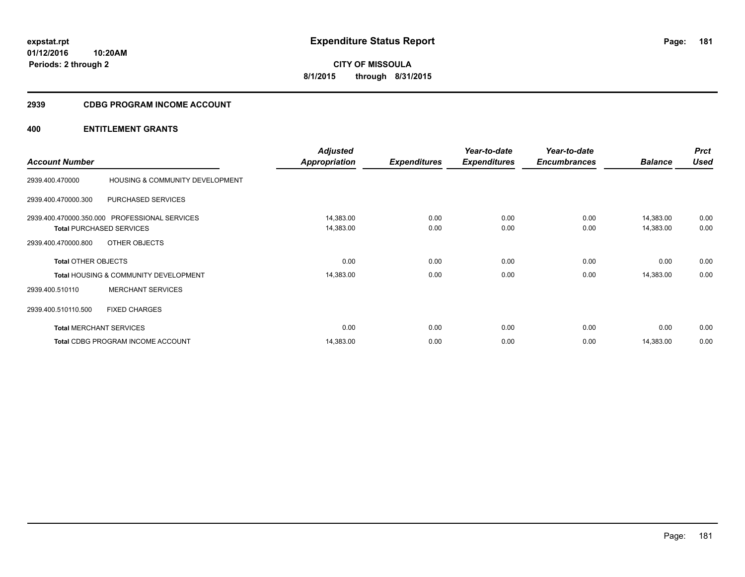**01/12/2016 10:20AM Periods: 2 through 2**

# **CITY OF MISSOULA 8/1/2015 through 8/31/2015**

#### **2939 CDBG PROGRAM INCOME ACCOUNT**

| <b>Account Number</b>      |                                                                                  | <b>Adjusted</b><br><b>Appropriation</b> | <b>Expenditures</b> | Year-to-date<br><b>Expenditures</b> | Year-to-date<br><b>Encumbrances</b> | <b>Balance</b>         | <b>Prct</b><br><b>Used</b> |
|----------------------------|----------------------------------------------------------------------------------|-----------------------------------------|---------------------|-------------------------------------|-------------------------------------|------------------------|----------------------------|
| 2939.400.470000            | HOUSING & COMMUNITY DEVELOPMENT                                                  |                                         |                     |                                     |                                     |                        |                            |
| 2939.400.470000.300        | PURCHASED SERVICES                                                               |                                         |                     |                                     |                                     |                        |                            |
|                            | 2939.400.470000.350.000 PROFESSIONAL SERVICES<br><b>Total PURCHASED SERVICES</b> | 14,383.00<br>14,383.00                  | 0.00<br>0.00        | 0.00<br>0.00                        | 0.00<br>0.00                        | 14,383.00<br>14,383.00 | 0.00<br>0.00               |
| 2939.400.470000.800        | OTHER OBJECTS                                                                    |                                         |                     |                                     |                                     |                        |                            |
| <b>Total OTHER OBJECTS</b> |                                                                                  | 0.00                                    | 0.00                | 0.00                                | 0.00                                | 0.00                   | 0.00                       |
|                            | <b>Total HOUSING &amp; COMMUNITY DEVELOPMENT</b>                                 | 14,383.00                               | 0.00                | 0.00                                | 0.00                                | 14,383.00              | 0.00                       |
| 2939.400.510110            | <b>MERCHANT SERVICES</b>                                                         |                                         |                     |                                     |                                     |                        |                            |
| 2939.400.510110.500        | <b>FIXED CHARGES</b>                                                             |                                         |                     |                                     |                                     |                        |                            |
|                            | <b>Total MERCHANT SERVICES</b>                                                   | 0.00                                    | 0.00                | 0.00                                | 0.00                                | 0.00                   | 0.00                       |
|                            | <b>Total CDBG PROGRAM INCOME ACCOUNT</b>                                         | 14,383.00                               | 0.00                | 0.00                                | 0.00                                | 14,383.00              | 0.00                       |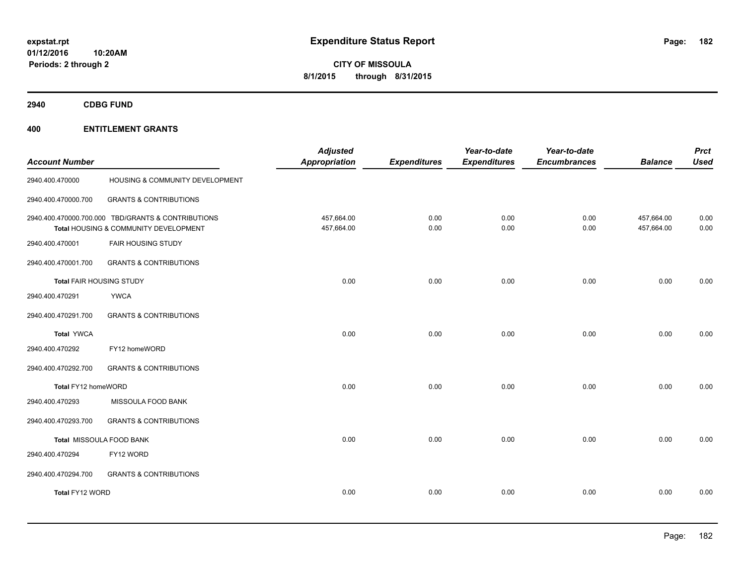**2940 CDBG FUND**

| <b>Account Number</b>           |                                                                                             | <b>Adjusted</b><br><b>Appropriation</b> | <b>Expenditures</b> | Year-to-date<br><b>Expenditures</b> | Year-to-date<br><b>Encumbrances</b> | <b>Balance</b>           | <b>Prct</b><br><b>Used</b> |
|---------------------------------|---------------------------------------------------------------------------------------------|-----------------------------------------|---------------------|-------------------------------------|-------------------------------------|--------------------------|----------------------------|
| 2940.400.470000                 | HOUSING & COMMUNITY DEVELOPMENT                                                             |                                         |                     |                                     |                                     |                          |                            |
| 2940.400.470000.700             | <b>GRANTS &amp; CONTRIBUTIONS</b>                                                           |                                         |                     |                                     |                                     |                          |                            |
|                                 | 2940.400.470000.700.000 TBD/GRANTS & CONTRIBUTIONS<br>Total HOUSING & COMMUNITY DEVELOPMENT | 457,664.00<br>457,664.00                | 0.00<br>0.00        | 0.00<br>0.00                        | 0.00<br>0.00                        | 457,664.00<br>457,664.00 | 0.00<br>0.00               |
| 2940.400.470001                 | <b>FAIR HOUSING STUDY</b>                                                                   |                                         |                     |                                     |                                     |                          |                            |
| 2940.400.470001.700             | <b>GRANTS &amp; CONTRIBUTIONS</b>                                                           |                                         |                     |                                     |                                     |                          |                            |
| <b>Total FAIR HOUSING STUDY</b> |                                                                                             | 0.00                                    | 0.00                | 0.00                                | 0.00                                | 0.00                     | 0.00                       |
| 2940.400.470291                 | <b>YWCA</b>                                                                                 |                                         |                     |                                     |                                     |                          |                            |
| 2940.400.470291.700             | <b>GRANTS &amp; CONTRIBUTIONS</b>                                                           |                                         |                     |                                     |                                     |                          |                            |
| <b>Total YWCA</b>               |                                                                                             | 0.00                                    | 0.00                | 0.00                                | 0.00                                | 0.00                     | 0.00                       |
| 2940.400.470292                 | FY12 homeWORD                                                                               |                                         |                     |                                     |                                     |                          |                            |
| 2940.400.470292.700             | <b>GRANTS &amp; CONTRIBUTIONS</b>                                                           |                                         |                     |                                     |                                     |                          |                            |
| Total FY12 homeWORD             |                                                                                             | 0.00                                    | 0.00                | 0.00                                | 0.00                                | 0.00                     | 0.00                       |
| 2940.400.470293                 | MISSOULA FOOD BANK                                                                          |                                         |                     |                                     |                                     |                          |                            |
| 2940.400.470293.700             | <b>GRANTS &amp; CONTRIBUTIONS</b>                                                           |                                         |                     |                                     |                                     |                          |                            |
|                                 | Total MISSOULA FOOD BANK                                                                    | 0.00                                    | 0.00                | 0.00                                | 0.00                                | 0.00                     | 0.00                       |
| 2940.400.470294                 | FY12 WORD                                                                                   |                                         |                     |                                     |                                     |                          |                            |
| 2940.400.470294.700             | <b>GRANTS &amp; CONTRIBUTIONS</b>                                                           |                                         |                     |                                     |                                     |                          |                            |
| Total FY12 WORD                 |                                                                                             | 0.00                                    | 0.00                | 0.00                                | 0.00                                | 0.00                     | 0.00                       |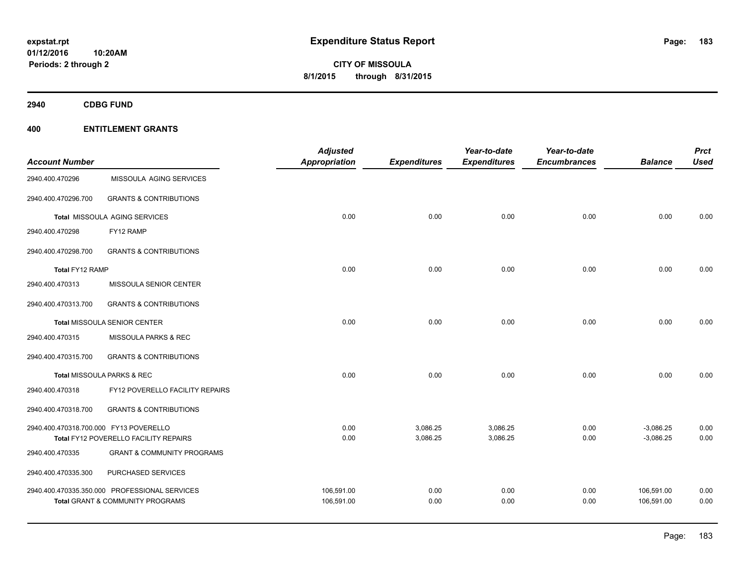**2940 CDBG FUND**

|                                        |                                               | <b>Adjusted</b>      |                     | Year-to-date        | Year-to-date        |                | <b>Prct</b> |
|----------------------------------------|-----------------------------------------------|----------------------|---------------------|---------------------|---------------------|----------------|-------------|
| <b>Account Number</b>                  |                                               | <b>Appropriation</b> | <b>Expenditures</b> | <b>Expenditures</b> | <b>Encumbrances</b> | <b>Balance</b> | <b>Used</b> |
| 2940.400.470296                        | MISSOULA AGING SERVICES                       |                      |                     |                     |                     |                |             |
| 2940.400.470296.700                    | <b>GRANTS &amp; CONTRIBUTIONS</b>             |                      |                     |                     |                     |                |             |
|                                        | Total MISSOULA AGING SERVICES                 | 0.00                 | 0.00                | 0.00                | 0.00                | 0.00           | 0.00        |
| 2940.400.470298                        | FY12 RAMP                                     |                      |                     |                     |                     |                |             |
| 2940.400.470298.700                    | <b>GRANTS &amp; CONTRIBUTIONS</b>             |                      |                     |                     |                     |                |             |
| Total FY12 RAMP                        |                                               | 0.00                 | 0.00                | 0.00                | 0.00                | 0.00           | 0.00        |
| 2940.400.470313                        | MISSOULA SENIOR CENTER                        |                      |                     |                     |                     |                |             |
| 2940.400.470313.700                    | <b>GRANTS &amp; CONTRIBUTIONS</b>             |                      |                     |                     |                     |                |             |
|                                        | Total MISSOULA SENIOR CENTER                  | 0.00                 | 0.00                | 0.00                | 0.00                | 0.00           | 0.00        |
| 2940.400.470315                        | MISSOULA PARKS & REC                          |                      |                     |                     |                     |                |             |
| 2940.400.470315.700                    | <b>GRANTS &amp; CONTRIBUTIONS</b>             |                      |                     |                     |                     |                |             |
|                                        | Total MISSOULA PARKS & REC                    | 0.00                 | 0.00                | 0.00                | 0.00                | 0.00           | 0.00        |
| 2940.400.470318                        | FY12 POVERELLO FACILITY REPAIRS               |                      |                     |                     |                     |                |             |
| 2940.400.470318.700                    | <b>GRANTS &amp; CONTRIBUTIONS</b>             |                      |                     |                     |                     |                |             |
| 2940.400.470318.700.000 FY13 POVERELLO |                                               | 0.00                 | 3,086.25            | 3,086.25            | 0.00                | $-3,086.25$    | 0.00        |
|                                        | Total FY12 POVERELLO FACILITY REPAIRS         | 0.00                 | 3,086.25            | 3,086.25            | 0.00                | $-3,086.25$    | 0.00        |
| 2940.400.470335                        | <b>GRANT &amp; COMMUNITY PROGRAMS</b>         |                      |                     |                     |                     |                |             |
| 2940.400.470335.300                    | PURCHASED SERVICES                            |                      |                     |                     |                     |                |             |
|                                        | 2940.400.470335.350.000 PROFESSIONAL SERVICES | 106,591.00           | 0.00                | 0.00                | 0.00                | 106,591.00     | 0.00        |
|                                        | <b>Total GRANT &amp; COMMUNITY PROGRAMS</b>   | 106,591.00           | 0.00                | 0.00                | 0.00                | 106,591.00     | 0.00        |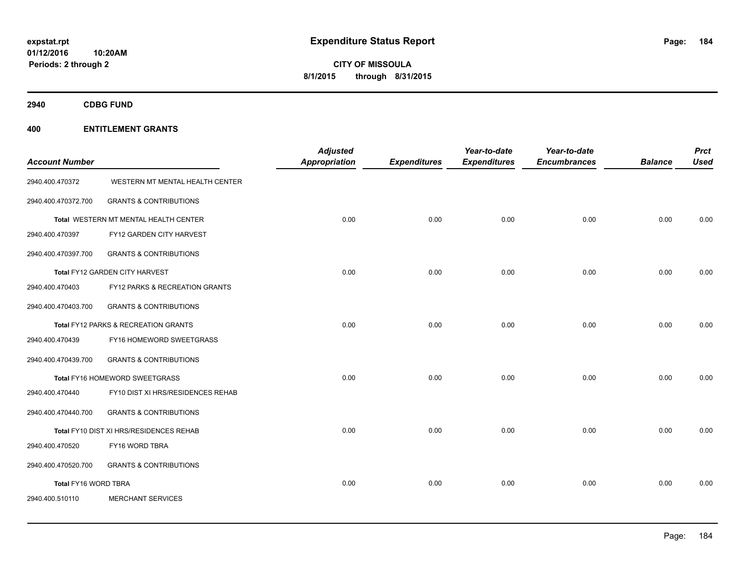**01/12/2016 10:20AM Periods: 2 through 2**

**CITY OF MISSOULA 8/1/2015 through 8/31/2015**

**2940 CDBG FUND**

| <b>Account Number</b> |                                         | <b>Adjusted</b><br><b>Appropriation</b> | <b>Expenditures</b> | Year-to-date<br><b>Expenditures</b> | Year-to-date<br><b>Encumbrances</b> | <b>Balance</b> | <b>Prct</b><br><b>Used</b> |
|-----------------------|-----------------------------------------|-----------------------------------------|---------------------|-------------------------------------|-------------------------------------|----------------|----------------------------|
| 2940.400.470372       | WESTERN MT MENTAL HEALTH CENTER         |                                         |                     |                                     |                                     |                |                            |
| 2940.400.470372.700   | <b>GRANTS &amp; CONTRIBUTIONS</b>       |                                         |                     |                                     |                                     |                |                            |
|                       | Total WESTERN MT MENTAL HEALTH CENTER   | 0.00                                    | 0.00                | 0.00                                | 0.00                                | 0.00           | 0.00                       |
| 2940.400.470397       | FY12 GARDEN CITY HARVEST                |                                         |                     |                                     |                                     |                |                            |
| 2940.400.470397.700   | <b>GRANTS &amp; CONTRIBUTIONS</b>       |                                         |                     |                                     |                                     |                |                            |
|                       | Total FY12 GARDEN CITY HARVEST          | 0.00                                    | 0.00                | 0.00                                | 0.00                                | 0.00           | 0.00                       |
| 2940.400.470403       | FY12 PARKS & RECREATION GRANTS          |                                         |                     |                                     |                                     |                |                            |
| 2940.400.470403.700   | <b>GRANTS &amp; CONTRIBUTIONS</b>       |                                         |                     |                                     |                                     |                |                            |
|                       | Total FY12 PARKS & RECREATION GRANTS    | 0.00                                    | 0.00                | 0.00                                | 0.00                                | 0.00           | 0.00                       |
| 2940.400.470439       | FY16 HOMEWORD SWEETGRASS                |                                         |                     |                                     |                                     |                |                            |
| 2940.400.470439.700   | <b>GRANTS &amp; CONTRIBUTIONS</b>       |                                         |                     |                                     |                                     |                |                            |
|                       | Total FY16 HOMEWORD SWEETGRASS          | 0.00                                    | 0.00                | 0.00                                | 0.00                                | 0.00           | 0.00                       |
| 2940.400.470440       | FY10 DIST XI HRS/RESIDENCES REHAB       |                                         |                     |                                     |                                     |                |                            |
| 2940.400.470440.700   | <b>GRANTS &amp; CONTRIBUTIONS</b>       |                                         |                     |                                     |                                     |                |                            |
|                       | Total FY10 DIST XI HRS/RESIDENCES REHAB | 0.00                                    | 0.00                | 0.00                                | 0.00                                | 0.00           | 0.00                       |
| 2940.400.470520       | FY16 WORD TBRA                          |                                         |                     |                                     |                                     |                |                            |
| 2940.400.470520.700   | <b>GRANTS &amp; CONTRIBUTIONS</b>       |                                         |                     |                                     |                                     |                |                            |
| Total FY16 WORD TBRA  |                                         | 0.00                                    | 0.00                | 0.00                                | 0.00                                | 0.00           | 0.00                       |
| 2940.400.510110       | <b>MERCHANT SERVICES</b>                |                                         |                     |                                     |                                     |                |                            |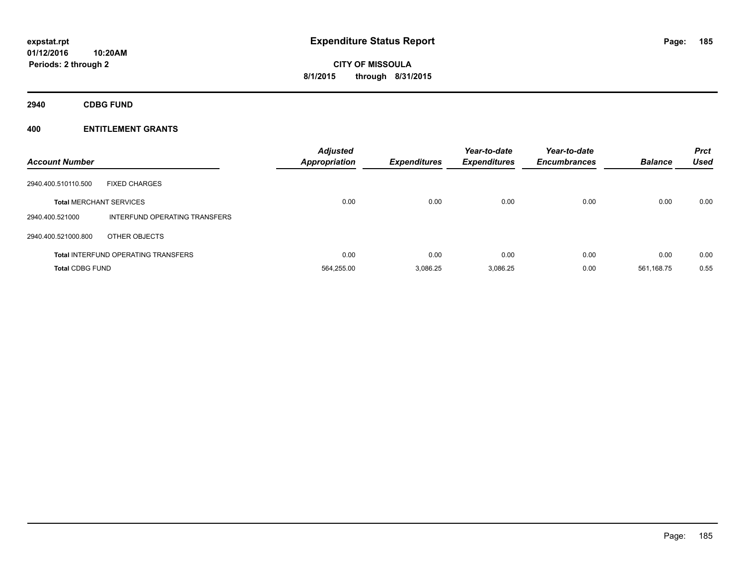**2940 CDBG FUND**

| <b>Account Number</b>          |                                            | <b>Adjusted</b><br><b>Appropriation</b> | <b>Expenditures</b> | Year-to-date<br><b>Expenditures</b> | Year-to-date<br><b>Encumbrances</b> | <b>Balance</b> | <b>Prct</b><br><b>Used</b> |
|--------------------------------|--------------------------------------------|-----------------------------------------|---------------------|-------------------------------------|-------------------------------------|----------------|----------------------------|
| 2940.400.510110.500            | <b>FIXED CHARGES</b>                       |                                         |                     |                                     |                                     |                |                            |
| <b>Total MERCHANT SERVICES</b> |                                            | 0.00                                    | 0.00                | 0.00                                | 0.00                                | 0.00           | 0.00                       |
| 2940.400.521000                | INTERFUND OPERATING TRANSFERS              |                                         |                     |                                     |                                     |                |                            |
| 2940.400.521000.800            | OTHER OBJECTS                              |                                         |                     |                                     |                                     |                |                            |
|                                | <b>Total INTERFUND OPERATING TRANSFERS</b> | 0.00                                    | 0.00                | 0.00                                | 0.00                                | 0.00           | 0.00                       |
| <b>Total CDBG FUND</b>         |                                            | 564,255.00                              | 3.086.25            | 3,086.25                            | 0.00                                | 561.168.75     | 0.55                       |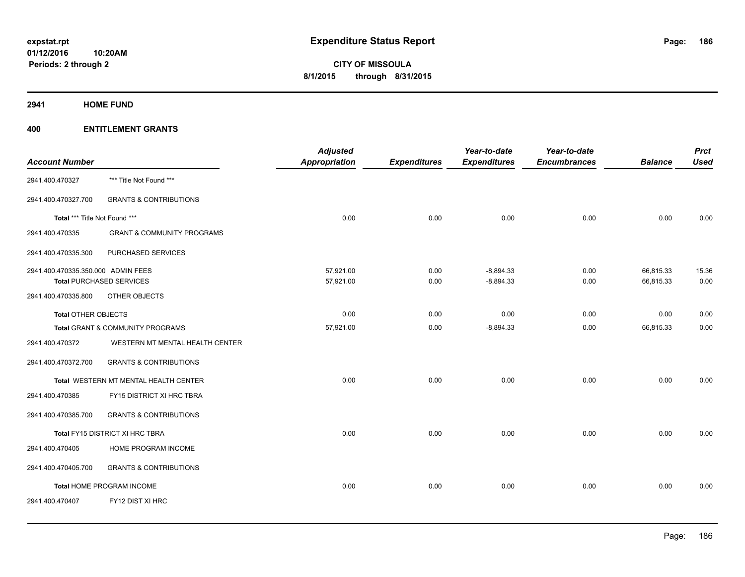**2941 HOME FUND**

| <b>Account Number</b>              |                                       | <b>Adjusted</b><br><b>Appropriation</b> | <b>Expenditures</b> | Year-to-date<br><b>Expenditures</b> | Year-to-date<br><b>Encumbrances</b> | <b>Balance</b> | <b>Prct</b><br><b>Used</b> |
|------------------------------------|---------------------------------------|-----------------------------------------|---------------------|-------------------------------------|-------------------------------------|----------------|----------------------------|
| 2941.400.470327                    | *** Title Not Found ***               |                                         |                     |                                     |                                     |                |                            |
| 2941.400.470327.700                | <b>GRANTS &amp; CONTRIBUTIONS</b>     |                                         |                     |                                     |                                     |                |                            |
| Total *** Title Not Found ***      |                                       | 0.00                                    | 0.00                | 0.00                                | 0.00                                | 0.00           | 0.00                       |
| 2941.400.470335                    | <b>GRANT &amp; COMMUNITY PROGRAMS</b> |                                         |                     |                                     |                                     |                |                            |
| 2941.400.470335.300                | PURCHASED SERVICES                    |                                         |                     |                                     |                                     |                |                            |
| 2941.400.470335.350.000 ADMIN FEES |                                       | 57,921.00                               | 0.00                | $-8,894.33$                         | 0.00                                | 66,815.33      | 15.36                      |
|                                    | <b>Total PURCHASED SERVICES</b>       | 57,921.00                               | 0.00                | $-8,894.33$                         | 0.00                                | 66,815.33      | 0.00                       |
| 2941.400.470335.800                | OTHER OBJECTS                         |                                         |                     |                                     |                                     |                |                            |
| <b>Total OTHER OBJECTS</b>         |                                       | 0.00                                    | 0.00                | 0.00                                | 0.00                                | 0.00           | 0.00                       |
|                                    | Total GRANT & COMMUNITY PROGRAMS      | 57,921.00                               | 0.00                | $-8,894.33$                         | 0.00                                | 66,815.33      | 0.00                       |
| 2941.400.470372                    | WESTERN MT MENTAL HEALTH CENTER       |                                         |                     |                                     |                                     |                |                            |
| 2941.400.470372.700                | <b>GRANTS &amp; CONTRIBUTIONS</b>     |                                         |                     |                                     |                                     |                |                            |
|                                    | Total WESTERN MT MENTAL HEALTH CENTER | 0.00                                    | 0.00                | 0.00                                | 0.00                                | 0.00           | 0.00                       |
| 2941.400.470385                    | FY15 DISTRICT XI HRC TBRA             |                                         |                     |                                     |                                     |                |                            |
| 2941.400.470385.700                | <b>GRANTS &amp; CONTRIBUTIONS</b>     |                                         |                     |                                     |                                     |                |                            |
|                                    | Total FY15 DISTRICT XI HRC TBRA       | 0.00                                    | 0.00                | 0.00                                | 0.00                                | 0.00           | 0.00                       |
| 2941.400.470405                    | HOME PROGRAM INCOME                   |                                         |                     |                                     |                                     |                |                            |
| 2941.400.470405.700                | <b>GRANTS &amp; CONTRIBUTIONS</b>     |                                         |                     |                                     |                                     |                |                            |
|                                    | Total HOME PROGRAM INCOME             | 0.00                                    | 0.00                | 0.00                                | 0.00                                | 0.00           | 0.00                       |
| 2941.400.470407                    | FY12 DIST XI HRC                      |                                         |                     |                                     |                                     |                |                            |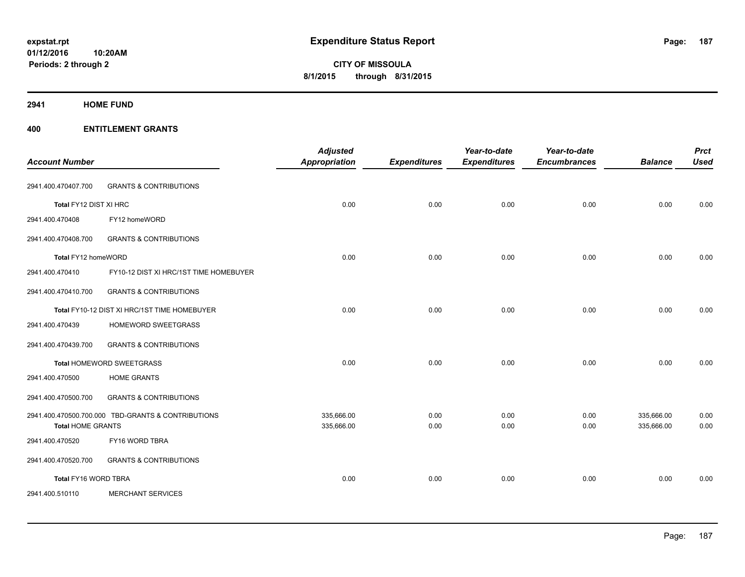#### **2941 HOME FUND**

|                          |                                                    | <b>Adjusted</b>          |                     | Year-to-date        | Year-to-date        |                          | <b>Prct</b>  |
|--------------------------|----------------------------------------------------|--------------------------|---------------------|---------------------|---------------------|--------------------------|--------------|
| <b>Account Number</b>    |                                                    | Appropriation            | <b>Expenditures</b> | <b>Expenditures</b> | <b>Encumbrances</b> | <b>Balance</b>           | <b>Used</b>  |
| 2941.400.470407.700      | <b>GRANTS &amp; CONTRIBUTIONS</b>                  |                          |                     |                     |                     |                          |              |
| Total FY12 DIST XI HRC   |                                                    | 0.00                     | 0.00                | 0.00                | 0.00                | 0.00                     | 0.00         |
| 2941.400.470408          | FY12 homeWORD                                      |                          |                     |                     |                     |                          |              |
| 2941.400.470408.700      | <b>GRANTS &amp; CONTRIBUTIONS</b>                  |                          |                     |                     |                     |                          |              |
| Total FY12 homeWORD      |                                                    | 0.00                     | 0.00                | 0.00                | 0.00                | 0.00                     | 0.00         |
| 2941.400.470410          | FY10-12 DIST XI HRC/1ST TIME HOMEBUYER             |                          |                     |                     |                     |                          |              |
| 2941.400.470410.700      | <b>GRANTS &amp; CONTRIBUTIONS</b>                  |                          |                     |                     |                     |                          |              |
|                          | Total FY10-12 DIST XI HRC/1ST TIME HOMEBUYER       | 0.00                     | 0.00                | 0.00                | 0.00                | 0.00                     | 0.00         |
| 2941.400.470439          | HOMEWORD SWEETGRASS                                |                          |                     |                     |                     |                          |              |
| 2941.400.470439.700      | <b>GRANTS &amp; CONTRIBUTIONS</b>                  |                          |                     |                     |                     |                          |              |
|                          | <b>Total HOMEWORD SWEETGRASS</b>                   | 0.00                     | 0.00                | 0.00                | 0.00                | 0.00                     | 0.00         |
| 2941.400.470500          | <b>HOME GRANTS</b>                                 |                          |                     |                     |                     |                          |              |
| 2941.400.470500.700      | <b>GRANTS &amp; CONTRIBUTIONS</b>                  |                          |                     |                     |                     |                          |              |
| <b>Total HOME GRANTS</b> | 2941.400.470500.700.000 TBD-GRANTS & CONTRIBUTIONS | 335,666.00<br>335,666.00 | 0.00<br>0.00        | 0.00<br>0.00        | 0.00<br>0.00        | 335,666.00<br>335,666.00 | 0.00<br>0.00 |
| 2941.400.470520          | FY16 WORD TBRA                                     |                          |                     |                     |                     |                          |              |
| 2941.400.470520.700      | <b>GRANTS &amp; CONTRIBUTIONS</b>                  |                          |                     |                     |                     |                          |              |
| Total FY16 WORD TBRA     |                                                    | 0.00                     | 0.00                | 0.00                | 0.00                | 0.00                     | 0.00         |
| 2941.400.510110          | <b>MERCHANT SERVICES</b>                           |                          |                     |                     |                     |                          |              |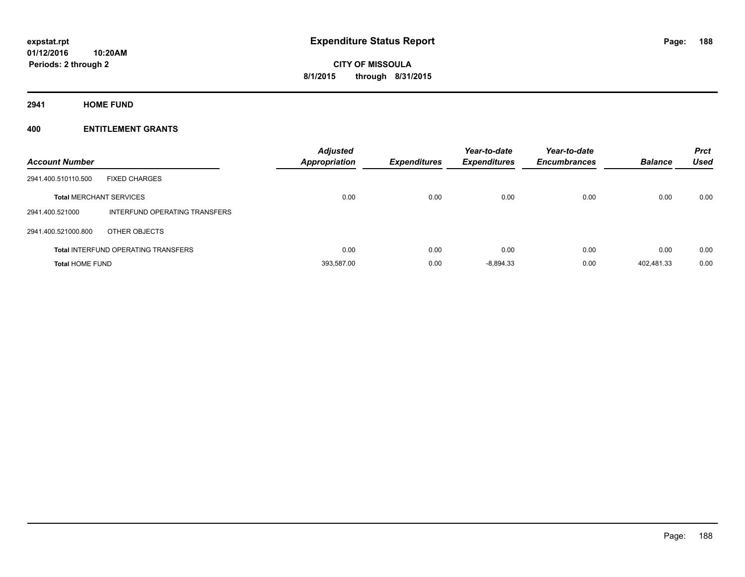**2941 HOME FUND**

| <b>Account Number</b>          |                                            | <b>Adjusted</b><br><b>Appropriation</b> | <b>Expenditures</b> | Year-to-date<br><b>Expenditures</b> | Year-to-date<br><b>Encumbrances</b> | <b>Balance</b> | <b>Prct</b><br><b>Used</b> |
|--------------------------------|--------------------------------------------|-----------------------------------------|---------------------|-------------------------------------|-------------------------------------|----------------|----------------------------|
| 2941.400.510110.500            | <b>FIXED CHARGES</b>                       |                                         |                     |                                     |                                     |                |                            |
| <b>Total MERCHANT SERVICES</b> |                                            | 0.00                                    | 0.00                | 0.00                                | 0.00                                | 0.00           | 0.00                       |
| 2941.400.521000                | INTERFUND OPERATING TRANSFERS              |                                         |                     |                                     |                                     |                |                            |
| 2941.400.521000.800            | OTHER OBJECTS                              |                                         |                     |                                     |                                     |                |                            |
|                                | <b>Total INTERFUND OPERATING TRANSFERS</b> | 0.00                                    | 0.00                | 0.00                                | 0.00                                | 0.00           | 0.00                       |
| <b>Total HOME FUND</b>         |                                            | 393.587.00                              | 0.00                | $-8.894.33$                         | 0.00                                | 402.481.33     | 0.00                       |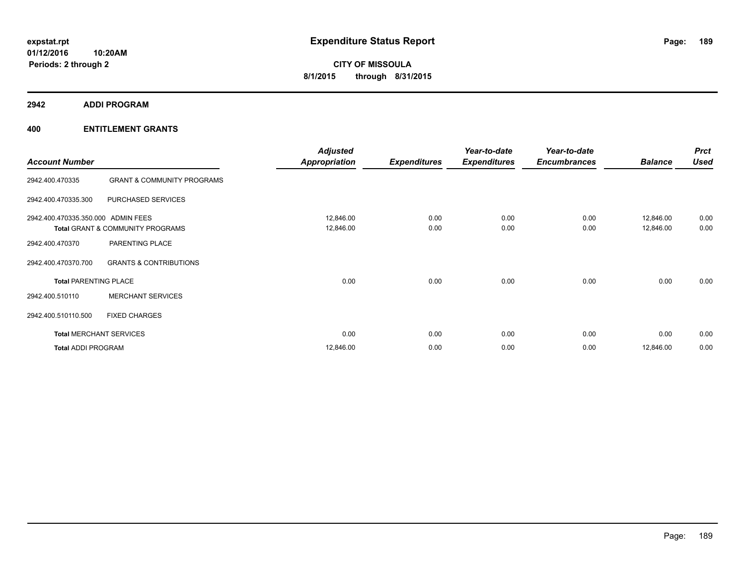**2942 ADDI PROGRAM**

|                                    |                                       | <b>Adjusted</b>      |                     | Year-to-date        | Year-to-date        |                | <b>Prct</b> |
|------------------------------------|---------------------------------------|----------------------|---------------------|---------------------|---------------------|----------------|-------------|
| <b>Account Number</b>              |                                       | <b>Appropriation</b> | <b>Expenditures</b> | <b>Expenditures</b> | <b>Encumbrances</b> | <b>Balance</b> | <b>Used</b> |
| 2942.400.470335                    | <b>GRANT &amp; COMMUNITY PROGRAMS</b> |                      |                     |                     |                     |                |             |
| 2942.400.470335.300                | PURCHASED SERVICES                    |                      |                     |                     |                     |                |             |
| 2942.400.470335.350.000 ADMIN FEES |                                       | 12,846.00            | 0.00                | 0.00                | 0.00                | 12,846.00      | 0.00        |
|                                    | Total GRANT & COMMUNITY PROGRAMS      | 12,846.00            | 0.00                | 0.00                | 0.00                | 12,846.00      | 0.00        |
| 2942.400.470370                    | PARENTING PLACE                       |                      |                     |                     |                     |                |             |
| 2942.400.470370.700                | <b>GRANTS &amp; CONTRIBUTIONS</b>     |                      |                     |                     |                     |                |             |
| <b>Total PARENTING PLACE</b>       |                                       | 0.00                 | 0.00                | 0.00                | 0.00                | 0.00           | 0.00        |
| 2942.400.510110                    | <b>MERCHANT SERVICES</b>              |                      |                     |                     |                     |                |             |
| 2942.400.510110.500                | <b>FIXED CHARGES</b>                  |                      |                     |                     |                     |                |             |
| <b>Total MERCHANT SERVICES</b>     |                                       | 0.00                 | 0.00                | 0.00                | 0.00                | 0.00           | 0.00        |
| <b>Total ADDI PROGRAM</b>          |                                       | 12,846.00            | 0.00                | 0.00                | 0.00                | 12,846.00      | 0.00        |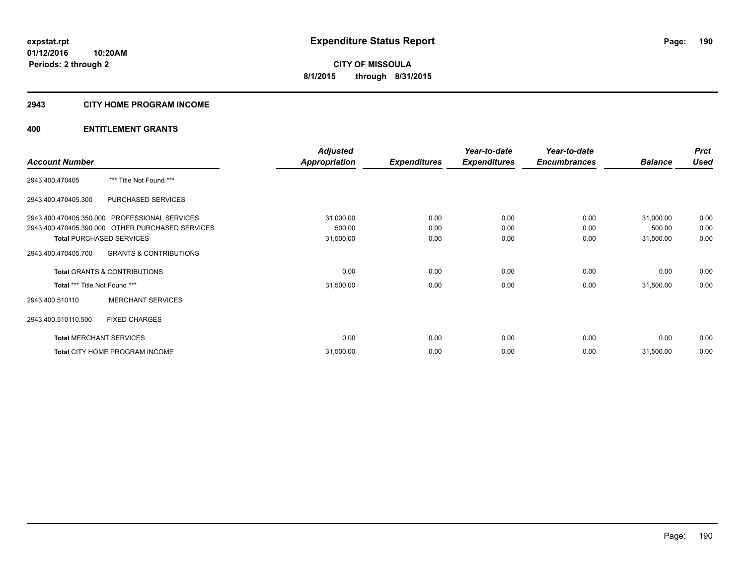#### **2943 CITY HOME PROGRAM INCOME**

|                               |                                                  | <b>Adjusted</b>      |                     | Year-to-date        | Year-to-date        |                | <b>Prct</b> |
|-------------------------------|--------------------------------------------------|----------------------|---------------------|---------------------|---------------------|----------------|-------------|
| <b>Account Number</b>         |                                                  | <b>Appropriation</b> | <b>Expenditures</b> | <b>Expenditures</b> | <b>Encumbrances</b> | <b>Balance</b> | <b>Used</b> |
| 2943.400.470405               | *** Title Not Found ***                          |                      |                     |                     |                     |                |             |
| 2943.400.470405.300           | PURCHASED SERVICES                               |                      |                     |                     |                     |                |             |
|                               | 2943.400.470405.350.000 PROFESSIONAL SERVICES    | 31,000.00            | 0.00                | 0.00                | 0.00                | 31,000.00      | 0.00        |
|                               | 2943.400.470405.390.000 OTHER PURCHASED SERVICES | 500.00               | 0.00                | 0.00                | 0.00                | 500.00         | 0.00        |
|                               | <b>Total PURCHASED SERVICES</b>                  | 31,500.00            | 0.00                | 0.00                | 0.00                | 31,500.00      | 0.00        |
| 2943.400.470405.700           | <b>GRANTS &amp; CONTRIBUTIONS</b>                |                      |                     |                     |                     |                |             |
|                               | <b>Total GRANTS &amp; CONTRIBUTIONS</b>          | 0.00                 | 0.00                | 0.00                | 0.00                | 0.00           | 0.00        |
| Total *** Title Not Found *** |                                                  | 31,500.00            | 0.00                | 0.00                | 0.00                | 31,500.00      | 0.00        |
| 2943.400.510110               | <b>MERCHANT SERVICES</b>                         |                      |                     |                     |                     |                |             |
| 2943.400.510110.500           | <b>FIXED CHARGES</b>                             |                      |                     |                     |                     |                |             |
|                               | <b>Total MERCHANT SERVICES</b>                   | 0.00                 | 0.00                | 0.00                | 0.00                | 0.00           | 0.00        |
|                               | Total CITY HOME PROGRAM INCOME                   | 31,500.00            | 0.00                | 0.00                | 0.00                | 31,500.00      | 0.00        |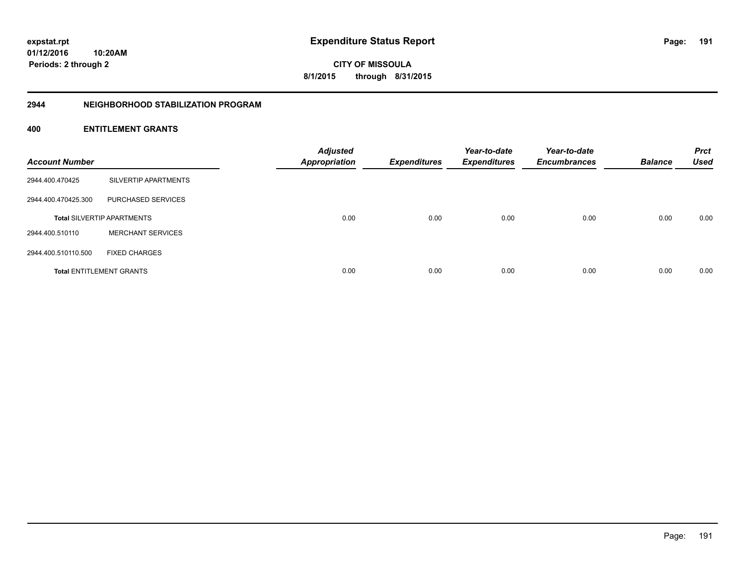**01/12/2016 10:20AM Periods: 2 through 2**

**CITY OF MISSOULA 8/1/2015 through 8/31/2015**

#### **2944 NEIGHBORHOOD STABILIZATION PROGRAM**

| <b>Account Number</b> |                                   | <b>Adjusted</b><br>Appropriation | <b>Expenditures</b> | Year-to-date<br><b>Expenditures</b> | Year-to-date<br><b>Encumbrances</b> | <b>Balance</b> | <b>Prct</b><br><b>Used</b> |
|-----------------------|-----------------------------------|----------------------------------|---------------------|-------------------------------------|-------------------------------------|----------------|----------------------------|
| 2944.400.470425       | SILVERTIP APARTMENTS              |                                  |                     |                                     |                                     |                |                            |
| 2944.400.470425.300   | PURCHASED SERVICES                |                                  |                     |                                     |                                     |                |                            |
|                       | <b>Total SILVERTIP APARTMENTS</b> | 0.00                             | 0.00                | 0.00                                | 0.00                                | 0.00           | 0.00                       |
| 2944.400.510110       | <b>MERCHANT SERVICES</b>          |                                  |                     |                                     |                                     |                |                            |
| 2944.400.510110.500   | <b>FIXED CHARGES</b>              |                                  |                     |                                     |                                     |                |                            |
|                       | <b>Total ENTITLEMENT GRANTS</b>   | 0.00                             | 0.00                | 0.00                                | 0.00                                | 0.00           | 0.00                       |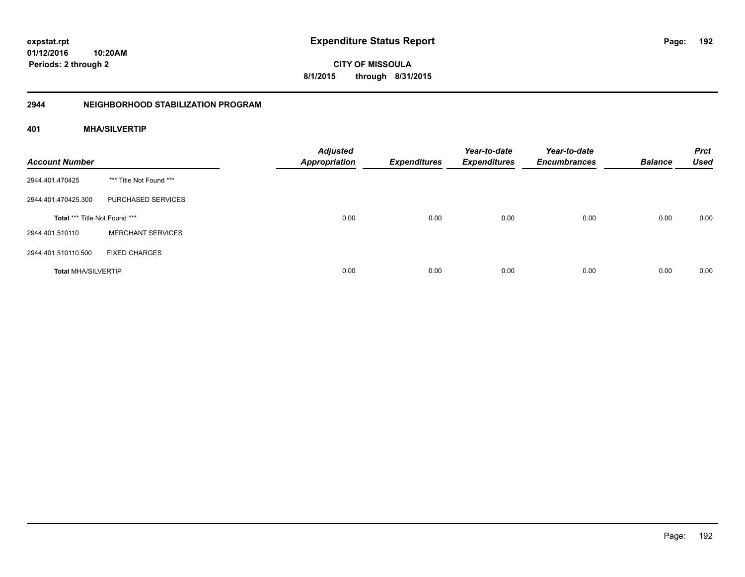# **01/12/2016**

**192**

**10:20AM Periods: 2 through 2**

**CITY OF MISSOULA 8/1/2015 through 8/31/2015**

#### **2944 NEIGHBORHOOD STABILIZATION PROGRAM**

#### **401 MHA/SILVERTIP**

| <b>Account Number</b>         |                          | <b>Adjusted</b><br><b>Appropriation</b> | <b>Expenditures</b> | Year-to-date<br><b>Expenditures</b> | Year-to-date<br><b>Encumbrances</b> | <b>Balance</b> | <b>Prct</b><br><b>Used</b> |
|-------------------------------|--------------------------|-----------------------------------------|---------------------|-------------------------------------|-------------------------------------|----------------|----------------------------|
| 2944.401.470425               | *** Title Not Found ***  |                                         |                     |                                     |                                     |                |                            |
| 2944.401.470425.300           | PURCHASED SERVICES       |                                         |                     |                                     |                                     |                |                            |
| Total *** Title Not Found *** |                          | 0.00                                    | 0.00                | 0.00                                | 0.00                                | 0.00           | 0.00                       |
| 2944.401.510110               | <b>MERCHANT SERVICES</b> |                                         |                     |                                     |                                     |                |                            |
| 2944.401.510110.500           | <b>FIXED CHARGES</b>     |                                         |                     |                                     |                                     |                |                            |
| <b>Total MHA/SILVERTIP</b>    |                          | 0.00                                    | 0.00                | 0.00                                | 0.00                                | 0.00           | 0.00                       |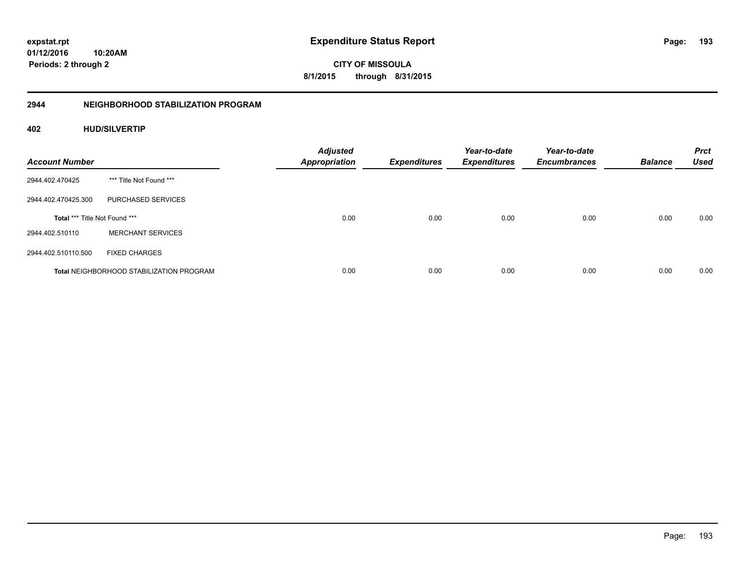**193**

**01/12/2016 10:20AM Periods: 2 through 2**

**CITY OF MISSOULA 8/1/2015 through 8/31/2015**

#### **2944 NEIGHBORHOOD STABILIZATION PROGRAM**

#### **402 HUD/SILVERTIP**

| <b>Account Number</b>                |                                                 | <b>Adjusted</b><br><b>Appropriation</b> | <b>Expenditures</b> | Year-to-date<br><b>Expenditures</b> | Year-to-date<br><b>Encumbrances</b> | <b>Balance</b> | <b>Prct</b><br><b>Used</b> |
|--------------------------------------|-------------------------------------------------|-----------------------------------------|---------------------|-------------------------------------|-------------------------------------|----------------|----------------------------|
| 2944.402.470425                      | *** Title Not Found ***                         |                                         |                     |                                     |                                     |                |                            |
| 2944.402.470425.300                  | PURCHASED SERVICES                              |                                         |                     |                                     |                                     |                |                            |
| <b>Total *** Title Not Found ***</b> |                                                 | 0.00                                    | 0.00                | 0.00                                | 0.00                                | 0.00           | 0.00                       |
| 2944.402.510110                      | <b>MERCHANT SERVICES</b>                        |                                         |                     |                                     |                                     |                |                            |
| 2944.402.510110.500                  | <b>FIXED CHARGES</b>                            |                                         |                     |                                     |                                     |                |                            |
|                                      | <b>Total NEIGHBORHOOD STABILIZATION PROGRAM</b> | 0.00                                    | 0.00                | 0.00                                | 0.00                                | 0.00           | 0.00                       |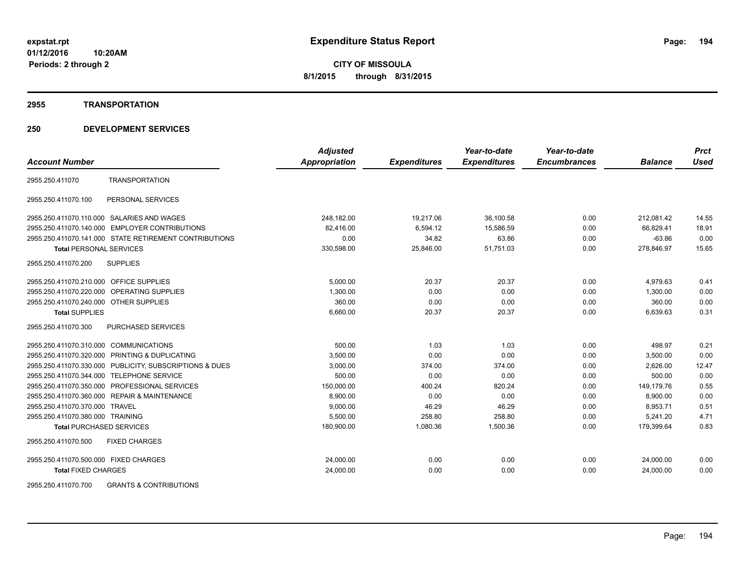#### **2955 TRANSPORTATION**

#### **250 DEVELOPMENT SERVICES**

|                                                         | <b>Adjusted</b>      |                     | Year-to-date        | Year-to-date        |                | <b>Prct</b> |
|---------------------------------------------------------|----------------------|---------------------|---------------------|---------------------|----------------|-------------|
| <b>Account Number</b>                                   | <b>Appropriation</b> | <b>Expenditures</b> | <b>Expenditures</b> | <b>Encumbrances</b> | <b>Balance</b> | <b>Used</b> |
| <b>TRANSPORTATION</b><br>2955.250.411070                |                      |                     |                     |                     |                |             |
| PERSONAL SERVICES<br>2955.250.411070.100                |                      |                     |                     |                     |                |             |
| 2955.250.411070.110.000 SALARIES AND WAGES              | 248,182.00           | 19,217.06           | 36,100.58           | 0.00                | 212,081.42     | 14.55       |
| 2955.250.411070.140.000 EMPLOYER CONTRIBUTIONS          | 82.416.00            | 6,594.12            | 15,586.59           | 0.00                | 66.829.41      | 18.91       |
| 2955.250.411070.141.000 STATE RETIREMENT CONTRIBUTIONS  | 0.00                 | 34.82               | 63.86               | 0.00                | $-63.86$       | 0.00        |
| <b>Total PERSONAL SERVICES</b>                          | 330,598.00           | 25,846.00           | 51.751.03           | 0.00                | 278,846.97     | 15.65       |
| 2955.250.411070.200<br><b>SUPPLIES</b>                  |                      |                     |                     |                     |                |             |
| 2955.250.411070.210.000 OFFICE SUPPLIES                 | 5,000.00             | 20.37               | 20.37               | 0.00                | 4,979.63       | 0.41        |
| 2955.250.411070.220.000 OPERATING SUPPLIES              | 1,300.00             | 0.00                | 0.00                | 0.00                | 1,300.00       | 0.00        |
| 2955.250.411070.240.000 OTHER SUPPLIES                  | 360.00               | 0.00                | 0.00                | 0.00                | 360.00         | 0.00        |
| <b>Total SUPPLIES</b>                                   | 6,660.00             | 20.37               | 20.37               | 0.00                | 6,639.63       | 0.31        |
| 2955.250.411070.300<br><b>PURCHASED SERVICES</b>        |                      |                     |                     |                     |                |             |
| 2955.250.411070.310.000 COMMUNICATIONS                  | 500.00               | 1.03                | 1.03                | 0.00                | 498.97         | 0.21        |
| 2955.250.411070.320.000 PRINTING & DUPLICATING          | 3,500.00             | 0.00                | 0.00                | 0.00                | 3,500.00       | 0.00        |
| 2955.250.411070.330.000 PUBLICITY, SUBSCRIPTIONS & DUES | 3,000.00             | 374.00              | 374.00              | 0.00                | 2,626.00       | 12.47       |
| 2955.250.411070.344.000 TELEPHONE SERVICE               | 500.00               | 0.00                | 0.00                | 0.00                | 500.00         | 0.00        |
| 2955.250.411070.350.000 PROFESSIONAL SERVICES           | 150,000.00           | 400.24              | 820.24              | 0.00                | 149.179.76     | 0.55        |
| 2955.250.411070.360.000 REPAIR & MAINTENANCE            | 8,900.00             | 0.00                | 0.00                | 0.00                | 8,900.00       | 0.00        |
| 2955.250.411070.370.000 TRAVEL                          | 9,000.00             | 46.29               | 46.29               | 0.00                | 8,953.71       | 0.51        |
| 2955.250.411070.380.000 TRAINING                        | 5,500.00             | 258.80              | 258.80              | 0.00                | 5,241.20       | 4.71        |
| <b>Total PURCHASED SERVICES</b>                         | 180,900.00           | 1,080.36            | 1,500.36            | 0.00                | 179,399.64     | 0.83        |
| 2955.250.411070.500<br><b>FIXED CHARGES</b>             |                      |                     |                     |                     |                |             |
| 2955.250.411070.500.000 FIXED CHARGES                   | 24,000.00            | 0.00                | 0.00                | 0.00                | 24,000.00      | 0.00        |
| <b>Total FIXED CHARGES</b>                              | 24,000.00            | 0.00                | 0.00                | 0.00                | 24,000.00      | 0.00        |
|                                                         |                      |                     |                     |                     |                |             |

2955.250.411070.700 GRANTS & CONTRIBUTIONS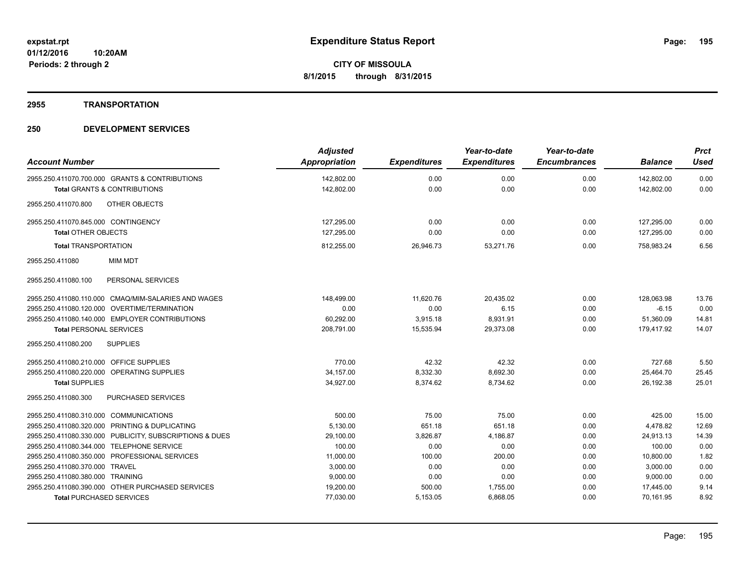### **2955 TRANSPORTATION**

| <b>Account Number</b>                                   | <b>Adjusted</b><br>Appropriation | <b>Expenditures</b> | Year-to-date<br><b>Expenditures</b> | Year-to-date<br><b>Encumbrances</b> | <b>Balance</b> | <b>Prct</b><br><b>Used</b> |
|---------------------------------------------------------|----------------------------------|---------------------|-------------------------------------|-------------------------------------|----------------|----------------------------|
| 2955.250.411070.700.000 GRANTS & CONTRIBUTIONS          | 142,802.00                       | 0.00                | 0.00                                | 0.00                                | 142,802.00     | 0.00                       |
| <b>Total GRANTS &amp; CONTRIBUTIONS</b>                 | 142,802.00                       | 0.00                | 0.00                                | 0.00                                | 142,802.00     | 0.00                       |
|                                                         |                                  |                     |                                     |                                     |                |                            |
| OTHER OBJECTS<br>2955.250.411070.800                    |                                  |                     |                                     |                                     |                |                            |
| 2955.250.411070.845.000 CONTINGENCY                     | 127,295.00                       | 0.00                | 0.00                                | 0.00                                | 127,295.00     | 0.00                       |
| <b>Total OTHER OBJECTS</b>                              | 127,295.00                       | 0.00                | 0.00                                | 0.00                                | 127,295.00     | 0.00                       |
| <b>Total TRANSPORTATION</b>                             | 812,255.00                       | 26,946.73           | 53,271.76                           | 0.00                                | 758,983.24     | 6.56                       |
| <b>MIM MDT</b><br>2955.250.411080                       |                                  |                     |                                     |                                     |                |                            |
| 2955.250.411080.100<br>PERSONAL SERVICES                |                                  |                     |                                     |                                     |                |                            |
| 2955.250.411080.110.000 CMAQ/MIM-SALARIES AND WAGES     | 148,499.00                       | 11,620.76           | 20,435.02                           | 0.00                                | 128,063.98     | 13.76                      |
| 2955.250.411080.120.000 OVERTIME/TERMINATION            | 0.00                             | 0.00                | 6.15                                | 0.00                                | $-6.15$        | 0.00                       |
| 2955.250.411080.140.000 EMPLOYER CONTRIBUTIONS          | 60,292.00                        | 3,915.18            | 8,931.91                            | 0.00                                | 51,360.09      | 14.81                      |
| <b>Total PERSONAL SERVICES</b>                          | 208,791.00                       | 15,535.94           | 29,373.08                           | 0.00                                | 179,417.92     | 14.07                      |
| 2955.250.411080.200<br><b>SUPPLIES</b>                  |                                  |                     |                                     |                                     |                |                            |
| 2955.250.411080.210.000 OFFICE SUPPLIES                 | 770.00                           | 42.32               | 42.32                               | 0.00                                | 727.68         | 5.50                       |
| 2955.250.411080.220.000 OPERATING SUPPLIES              | 34,157.00                        | 8,332.30            | 8,692.30                            | 0.00                                | 25,464.70      | 25.45                      |
| <b>Total SUPPLIES</b>                                   | 34,927.00                        | 8,374.62            | 8,734.62                            | 0.00                                | 26,192.38      | 25.01                      |
| 2955.250.411080.300<br><b>PURCHASED SERVICES</b>        |                                  |                     |                                     |                                     |                |                            |
| 2955.250.411080.310.000 COMMUNICATIONS                  | 500.00                           | 75.00               | 75.00                               | 0.00                                | 425.00         | 15.00                      |
| 2955.250.411080.320.000 PRINTING & DUPLICATING          | 5,130.00                         | 651.18              | 651.18                              | 0.00                                | 4.478.82       | 12.69                      |
| 2955.250.411080.330.000 PUBLICITY, SUBSCRIPTIONS & DUES | 29,100.00                        | 3,826.87            | 4,186.87                            | 0.00                                | 24,913.13      | 14.39                      |
| 2955.250.411080.344.000 TELEPHONE SERVICE               | 100.00                           | 0.00                | 0.00                                | 0.00                                | 100.00         | 0.00                       |
| 2955.250.411080.350.000 PROFESSIONAL SERVICES           | 11,000.00                        | 100.00              | 200.00                              | 0.00                                | 10,800.00      | 1.82                       |
| 2955.250.411080.370.000 TRAVEL                          | 3,000.00                         | 0.00                | 0.00                                | 0.00                                | 3,000.00       | 0.00                       |
| 2955.250.411080.380.000 TRAINING                        | 9,000.00                         | 0.00                | 0.00                                | 0.00                                | 9,000.00       | 0.00                       |
| 2955.250.411080.390.000 OTHER PURCHASED SERVICES        | 19,200.00                        | 500.00              | 1,755.00                            | 0.00                                | 17,445.00      | 9.14                       |
| <b>Total PURCHASED SERVICES</b>                         | 77,030.00                        | 5,153.05            | 6,868.05                            | 0.00                                | 70,161.95      | 8.92                       |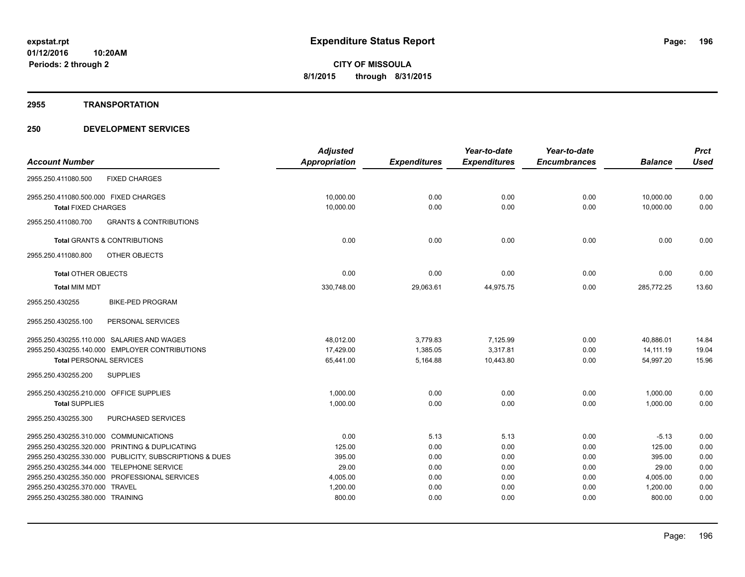#### **2955 TRANSPORTATION**

|                                                          | <b>Adjusted</b>      |                     | Year-to-date        | Year-to-date        |                | <b>Prct</b> |
|----------------------------------------------------------|----------------------|---------------------|---------------------|---------------------|----------------|-------------|
| <b>Account Number</b>                                    | <b>Appropriation</b> | <b>Expenditures</b> | <b>Expenditures</b> | <b>Encumbrances</b> | <b>Balance</b> | <b>Used</b> |
| 2955.250.411080.500<br><b>FIXED CHARGES</b>              |                      |                     |                     |                     |                |             |
| 2955.250.411080.500.000 FIXED CHARGES                    | 10,000.00            | 0.00                | 0.00                | 0.00                | 10,000.00      | 0.00        |
| <b>Total FIXED CHARGES</b>                               | 10,000.00            | 0.00                | 0.00                | 0.00                | 10.000.00      | 0.00        |
| <b>GRANTS &amp; CONTRIBUTIONS</b><br>2955.250.411080.700 |                      |                     |                     |                     |                |             |
| <b>Total GRANTS &amp; CONTRIBUTIONS</b>                  | 0.00                 | 0.00                | 0.00                | 0.00                | 0.00           | 0.00        |
| OTHER OBJECTS<br>2955.250.411080.800                     |                      |                     |                     |                     |                |             |
| <b>Total OTHER OBJECTS</b>                               | 0.00                 | 0.00                | 0.00                | 0.00                | 0.00           | 0.00        |
| <b>Total MIM MDT</b>                                     | 330,748.00           | 29,063.61           | 44,975.75           | 0.00                | 285,772.25     | 13.60       |
| <b>BIKE-PED PROGRAM</b><br>2955.250.430255               |                      |                     |                     |                     |                |             |
| 2955.250.430255.100<br>PERSONAL SERVICES                 |                      |                     |                     |                     |                |             |
| 2955.250.430255.110.000 SALARIES AND WAGES               | 48,012.00            | 3,779.83            | 7,125.99            | 0.00                | 40,886.01      | 14.84       |
| 2955.250.430255.140.000 EMPLOYER CONTRIBUTIONS           | 17,429.00            | 1,385.05            | 3,317.81            | 0.00                | 14.111.19      | 19.04       |
| <b>Total PERSONAL SERVICES</b>                           | 65,441.00            | 5,164.88            | 10,443.80           | 0.00                | 54,997.20      | 15.96       |
| 2955.250.430255.200<br><b>SUPPLIES</b>                   |                      |                     |                     |                     |                |             |
| 2955.250.430255.210.000 OFFICE SUPPLIES                  | 1,000.00             | 0.00                | 0.00                | 0.00                | 1,000.00       | 0.00        |
| <b>Total SUPPLIES</b>                                    | 1,000.00             | 0.00                | 0.00                | 0.00                | 1,000.00       | 0.00        |
| 2955.250.430255.300<br>PURCHASED SERVICES                |                      |                     |                     |                     |                |             |
| 2955.250.430255.310.000 COMMUNICATIONS                   | 0.00                 | 5.13                | 5.13                | 0.00                | $-5.13$        | 0.00        |
| 2955.250.430255.320.000 PRINTING & DUPLICATING           | 125.00               | 0.00                | 0.00                | 0.00                | 125.00         | 0.00        |
| 2955.250.430255.330.000 PUBLICITY, SUBSCRIPTIONS & DUES  | 395.00               | 0.00                | 0.00                | 0.00                | 395.00         | 0.00        |
| 2955.250.430255.344.000 TELEPHONE SERVICE                | 29.00                | 0.00                | 0.00                | 0.00                | 29.00          | 0.00        |
| 2955.250.430255.350.000 PROFESSIONAL SERVICES            | 4,005.00             | 0.00                | 0.00                | 0.00                | 4,005.00       | 0.00        |
| 2955.250.430255.370.000 TRAVEL                           | 1,200.00             | 0.00                | 0.00                | 0.00                | 1,200.00       | 0.00        |
| 2955.250.430255.380.000 TRAINING                         | 800.00               | 0.00                | 0.00                | 0.00                | 800.00         | 0.00        |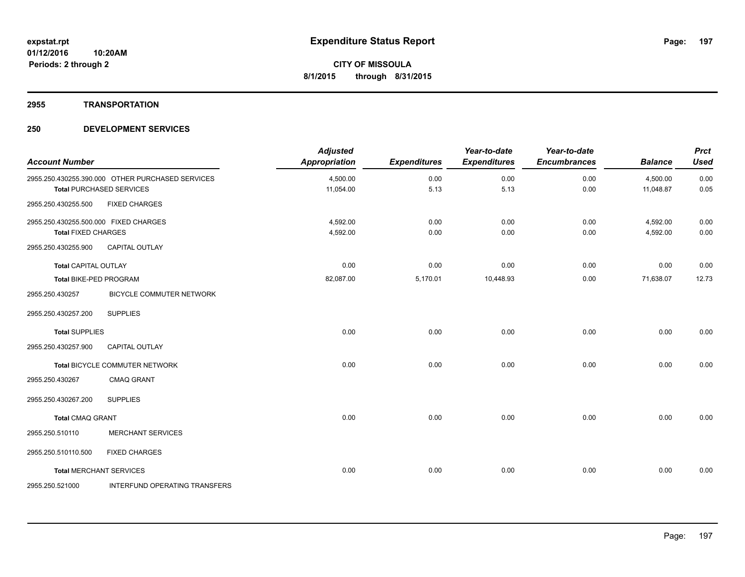#### **2955 TRANSPORTATION**

| <b>Account Number</b>                 |                                                  | <b>Adjusted</b><br><b>Appropriation</b> | <b>Expenditures</b> | Year-to-date<br><b>Expenditures</b> | Year-to-date<br><b>Encumbrances</b> | <b>Balance</b> | <b>Prct</b><br><b>Used</b> |
|---------------------------------------|--------------------------------------------------|-----------------------------------------|---------------------|-------------------------------------|-------------------------------------|----------------|----------------------------|
|                                       | 2955.250.430255.390.000 OTHER PURCHASED SERVICES | 4,500.00                                | 0.00                | 0.00                                | 0.00                                | 4,500.00       | 0.00                       |
|                                       | <b>Total PURCHASED SERVICES</b>                  | 11,054.00                               | 5.13                | 5.13                                | 0.00                                | 11,048.87      | 0.05                       |
| 2955.250.430255.500                   | <b>FIXED CHARGES</b>                             |                                         |                     |                                     |                                     |                |                            |
| 2955.250.430255.500.000 FIXED CHARGES |                                                  | 4,592.00                                | 0.00                | 0.00                                | 0.00                                | 4,592.00       | 0.00                       |
| <b>Total FIXED CHARGES</b>            |                                                  | 4,592.00                                | 0.00                | 0.00                                | 0.00                                | 4,592.00       | 0.00                       |
| 2955.250.430255.900                   | <b>CAPITAL OUTLAY</b>                            |                                         |                     |                                     |                                     |                |                            |
| <b>Total CAPITAL OUTLAY</b>           |                                                  | 0.00                                    | 0.00                | 0.00                                | 0.00                                | 0.00           | 0.00                       |
| Total BIKE-PED PROGRAM                |                                                  | 82,087.00                               | 5,170.01            | 10,448.93                           | 0.00                                | 71,638.07      | 12.73                      |
| 2955.250.430257                       | BICYCLE COMMUTER NETWORK                         |                                         |                     |                                     |                                     |                |                            |
| 2955.250.430257.200                   | <b>SUPPLIES</b>                                  |                                         |                     |                                     |                                     |                |                            |
| <b>Total SUPPLIES</b>                 |                                                  | 0.00                                    | 0.00                | 0.00                                | 0.00                                | 0.00           | 0.00                       |
| 2955.250.430257.900                   | <b>CAPITAL OUTLAY</b>                            |                                         |                     |                                     |                                     |                |                            |
|                                       | <b>Total BICYCLE COMMUTER NETWORK</b>            | 0.00                                    | 0.00                | 0.00                                | 0.00                                | 0.00           | 0.00                       |
| 2955.250.430267                       | <b>CMAQ GRANT</b>                                |                                         |                     |                                     |                                     |                |                            |
| 2955.250.430267.200                   | <b>SUPPLIES</b>                                  |                                         |                     |                                     |                                     |                |                            |
| <b>Total CMAQ GRANT</b>               |                                                  | 0.00                                    | 0.00                | 0.00                                | 0.00                                | 0.00           | 0.00                       |
| 2955.250.510110                       | <b>MERCHANT SERVICES</b>                         |                                         |                     |                                     |                                     |                |                            |
| 2955.250.510110.500                   | <b>FIXED CHARGES</b>                             |                                         |                     |                                     |                                     |                |                            |
| <b>Total MERCHANT SERVICES</b>        |                                                  | 0.00                                    | 0.00                | 0.00                                | 0.00                                | 0.00           | 0.00                       |
| 2955.250.521000                       | INTERFUND OPERATING TRANSFERS                    |                                         |                     |                                     |                                     |                |                            |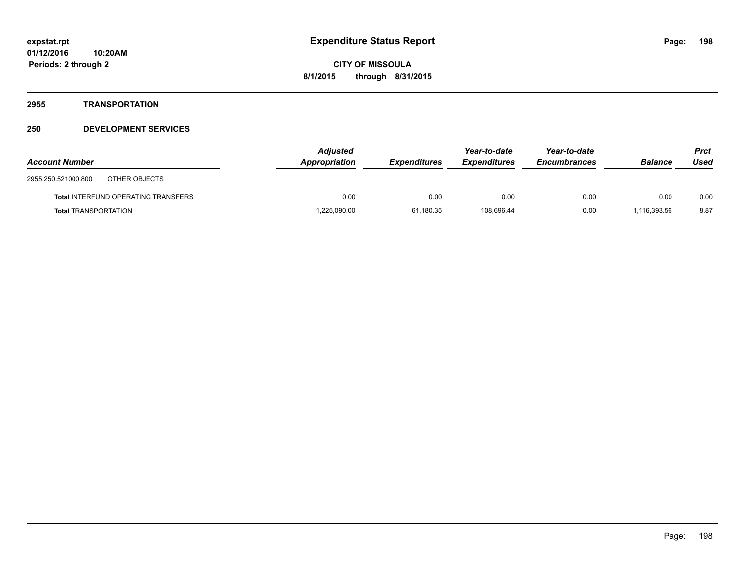#### **2955 TRANSPORTATION**

| <b>Account Number</b>                      | <b>Adjusted</b><br>Appropriation | <b>Expenditures</b> | Year-to-date<br><b>Expenditures</b> | Year-to-date<br><b>Encumbrances</b> | <b>Balance</b> | Prct<br>Used |
|--------------------------------------------|----------------------------------|---------------------|-------------------------------------|-------------------------------------|----------------|--------------|
| 2955.250.521000.800<br>OTHER OBJECTS       |                                  |                     |                                     |                                     |                |              |
| <b>Total INTERFUND OPERATING TRANSFERS</b> | 0.00                             | 0.00                | 0.00                                | 0.00                                | 0.00           | 0.00         |
| <b>Total TRANSPORTATION</b>                | 1,225,090.00                     | 61,180.35           | 108.696.44                          | 0.00                                | 1,116,393.56   | 8.87         |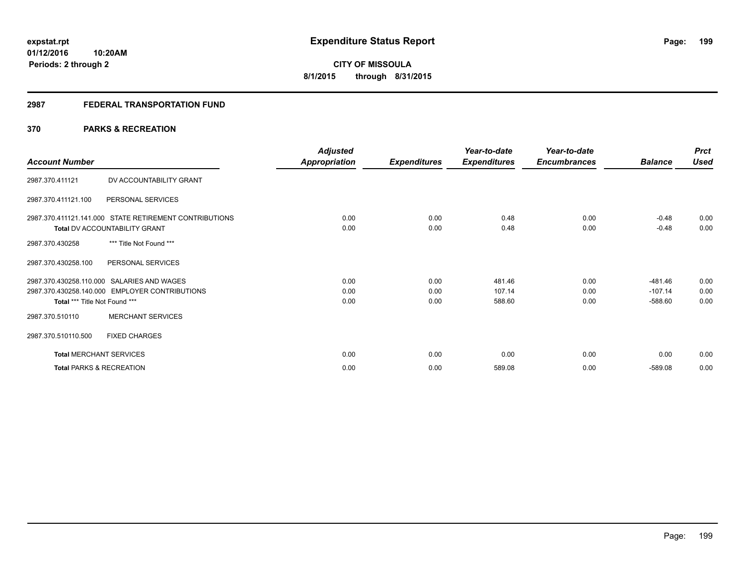#### **2987 FEDERAL TRANSPORTATION FUND**

#### **370 PARKS & RECREATION**

| <b>Account Number</b>               |                                                                                                | <b>Adjusted</b><br>Appropriation | <b>Expenditures</b>  | Year-to-date<br><b>Expenditures</b> | Year-to-date<br><b>Encumbrances</b> | <b>Balance</b>                      | <b>Prct</b><br><b>Used</b> |
|-------------------------------------|------------------------------------------------------------------------------------------------|----------------------------------|----------------------|-------------------------------------|-------------------------------------|-------------------------------------|----------------------------|
| 2987.370.411121                     | DV ACCOUNTABILITY GRANT                                                                        |                                  |                      |                                     |                                     |                                     |                            |
| 2987.370.411121.100                 | PERSONAL SERVICES                                                                              |                                  |                      |                                     |                                     |                                     |                            |
|                                     | 2987.370.411121.141.000 STATE RETIREMENT CONTRIBUTIONS<br><b>Total DV ACCOUNTABILITY GRANT</b> | 0.00<br>0.00                     | 0.00<br>0.00         | 0.48<br>0.48                        | 0.00<br>0.00                        | $-0.48$<br>$-0.48$                  | 0.00<br>0.00               |
| 2987.370.430258                     | *** Title Not Found ***                                                                        |                                  |                      |                                     |                                     |                                     |                            |
| 2987.370.430258.100                 | PERSONAL SERVICES                                                                              |                                  |                      |                                     |                                     |                                     |                            |
| Total *** Title Not Found ***       | 2987.370.430258.110.000 SALARIES AND WAGES<br>2987.370.430258.140.000 EMPLOYER CONTRIBUTIONS   | 0.00<br>0.00<br>0.00             | 0.00<br>0.00<br>0.00 | 481.46<br>107.14<br>588.60          | 0.00<br>0.00<br>0.00                | $-481.46$<br>$-107.14$<br>$-588.60$ | 0.00<br>0.00<br>0.00       |
| 2987.370.510110                     | <b>MERCHANT SERVICES</b>                                                                       |                                  |                      |                                     |                                     |                                     |                            |
| 2987.370.510110.500                 | <b>FIXED CHARGES</b>                                                                           |                                  |                      |                                     |                                     |                                     |                            |
| <b>Total MERCHANT SERVICES</b>      |                                                                                                | 0.00                             | 0.00                 | 0.00                                | 0.00                                | 0.00                                | 0.00                       |
| <b>Total PARKS &amp; RECREATION</b> |                                                                                                | 0.00                             | 0.00                 | 589.08                              | 0.00                                | $-589.08$                           | 0.00                       |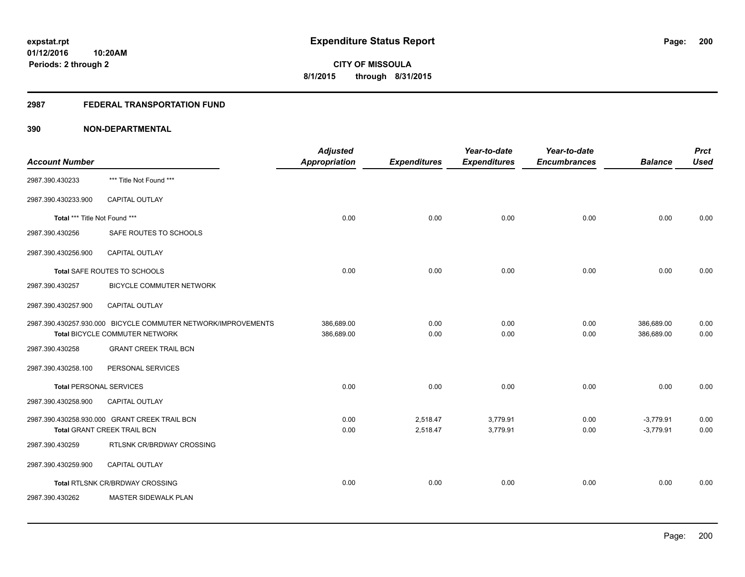#### **2987 FEDERAL TRANSPORTATION FUND**

|                                |                                                               | <b>Adjusted</b>      |                     | Year-to-date        | Year-to-date        |                | <b>Prct</b> |
|--------------------------------|---------------------------------------------------------------|----------------------|---------------------|---------------------|---------------------|----------------|-------------|
| <b>Account Number</b>          |                                                               | <b>Appropriation</b> | <b>Expenditures</b> | <b>Expenditures</b> | <b>Encumbrances</b> | <b>Balance</b> | <b>Used</b> |
| 2987.390.430233                | *** Title Not Found ***                                       |                      |                     |                     |                     |                |             |
| 2987.390.430233.900            | CAPITAL OUTLAY                                                |                      |                     |                     |                     |                |             |
| Total *** Title Not Found ***  |                                                               | 0.00                 | 0.00                | 0.00                | 0.00                | 0.00           | 0.00        |
| 2987.390.430256                | SAFE ROUTES TO SCHOOLS                                        |                      |                     |                     |                     |                |             |
| 2987.390.430256.900            | <b>CAPITAL OUTLAY</b>                                         |                      |                     |                     |                     |                |             |
|                                | Total SAFE ROUTES TO SCHOOLS                                  | 0.00                 | 0.00                | 0.00                | 0.00                | 0.00           | 0.00        |
| 2987.390.430257                | <b>BICYCLE COMMUTER NETWORK</b>                               |                      |                     |                     |                     |                |             |
| 2987.390.430257.900            | CAPITAL OUTLAY                                                |                      |                     |                     |                     |                |             |
|                                | 2987.390.430257.930.000 BICYCLE COMMUTER NETWORK/IMPROVEMENTS | 386,689.00           | 0.00                | 0.00                | 0.00                | 386,689.00     | 0.00        |
|                                | Total BICYCLE COMMUTER NETWORK                                | 386,689.00           | 0.00                | 0.00                | 0.00                | 386.689.00     | 0.00        |
| 2987.390.430258                | <b>GRANT CREEK TRAIL BCN</b>                                  |                      |                     |                     |                     |                |             |
| 2987.390.430258.100            | PERSONAL SERVICES                                             |                      |                     |                     |                     |                |             |
| <b>Total PERSONAL SERVICES</b> |                                                               | 0.00                 | 0.00                | 0.00                | 0.00                | 0.00           | 0.00        |
| 2987.390.430258.900            | CAPITAL OUTLAY                                                |                      |                     |                     |                     |                |             |
|                                | 2987.390.430258.930.000 GRANT CREEK TRAIL BCN                 | 0.00                 | 2,518.47            | 3,779.91            | 0.00                | $-3,779.91$    | 0.00        |
|                                | Total GRANT CREEK TRAIL BCN                                   | 0.00                 | 2,518.47            | 3,779.91            | 0.00                | $-3,779.91$    | 0.00        |
| 2987.390.430259                | RTLSNK CR/BRDWAY CROSSING                                     |                      |                     |                     |                     |                |             |
| 2987.390.430259.900            | <b>CAPITAL OUTLAY</b>                                         |                      |                     |                     |                     |                |             |
|                                | Total RTLSNK CR/BRDWAY CROSSING                               | 0.00                 | 0.00                | 0.00                | 0.00                | 0.00           | 0.00        |
| 2987.390.430262                | MASTER SIDEWALK PLAN                                          |                      |                     |                     |                     |                |             |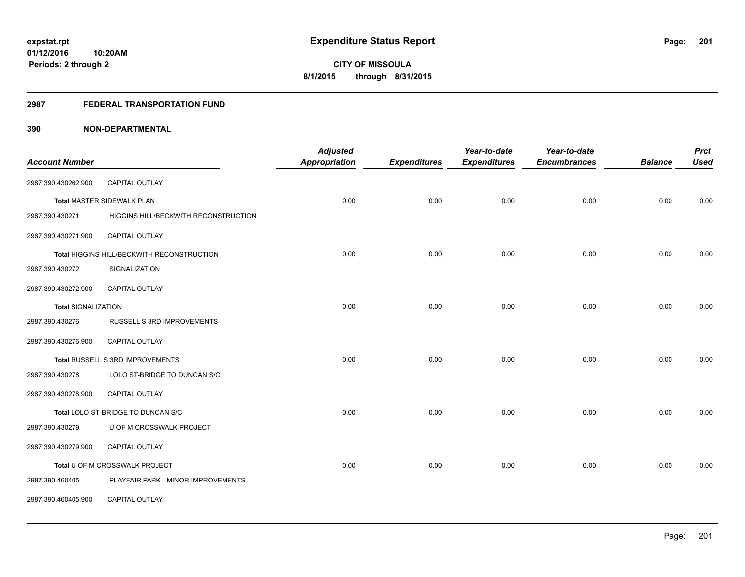#### **2987 FEDERAL TRANSPORTATION FUND**

| <b>Account Number</b>      |                                            | <b>Adjusted</b><br><b>Appropriation</b> | <b>Expenditures</b> | Year-to-date<br><b>Expenditures</b> | Year-to-date<br><b>Encumbrances</b> | <b>Balance</b> | <b>Prct</b><br><b>Used</b> |
|----------------------------|--------------------------------------------|-----------------------------------------|---------------------|-------------------------------------|-------------------------------------|----------------|----------------------------|
|                            |                                            |                                         |                     |                                     |                                     |                |                            |
| 2987.390.430262.900        | CAPITAL OUTLAY                             |                                         |                     |                                     |                                     |                |                            |
|                            | <b>Total MASTER SIDEWALK PLAN</b>          | 0.00                                    | 0.00                | 0.00                                | 0.00                                | 0.00           | 0.00                       |
| 2987.390.430271            | HIGGINS HILL/BECKWITH RECONSTRUCTION       |                                         |                     |                                     |                                     |                |                            |
| 2987.390.430271.900        | CAPITAL OUTLAY                             |                                         |                     |                                     |                                     |                |                            |
|                            | Total HIGGINS HILL/BECKWITH RECONSTRUCTION | 0.00                                    | 0.00                | 0.00                                | 0.00                                | 0.00           | 0.00                       |
| 2987.390.430272            | SIGNALIZATION                              |                                         |                     |                                     |                                     |                |                            |
| 2987.390.430272.900        | <b>CAPITAL OUTLAY</b>                      |                                         |                     |                                     |                                     |                |                            |
| <b>Total SIGNALIZATION</b> |                                            | 0.00                                    | 0.00                | 0.00                                | 0.00                                | 0.00           | 0.00                       |
| 2987.390.430276            | RUSSELL S 3RD IMPROVEMENTS                 |                                         |                     |                                     |                                     |                |                            |
| 2987.390.430276.900        | <b>CAPITAL OUTLAY</b>                      |                                         |                     |                                     |                                     |                |                            |
|                            | Total RUSSELL S 3RD IMPROVEMENTS           | 0.00                                    | 0.00                | 0.00                                | 0.00                                | 0.00           | 0.00                       |
| 2987.390.430278            | LOLO ST-BRIDGE TO DUNCAN S/C               |                                         |                     |                                     |                                     |                |                            |
| 2987.390.430278.900        | <b>CAPITAL OUTLAY</b>                      |                                         |                     |                                     |                                     |                |                            |
|                            | Total LOLO ST-BRIDGE TO DUNCAN S/C         | 0.00                                    | 0.00                | 0.00                                | 0.00                                | 0.00           | 0.00                       |
| 2987.390.430279            | U OF M CROSSWALK PROJECT                   |                                         |                     |                                     |                                     |                |                            |
| 2987.390.430279.900        | CAPITAL OUTLAY                             |                                         |                     |                                     |                                     |                |                            |
|                            | Total U OF M CROSSWALK PROJECT             | 0.00                                    | 0.00                | 0.00                                | 0.00                                | 0.00           | 0.00                       |
| 2987.390.460405            | PLAYFAIR PARK - MINOR IMPROVEMENTS         |                                         |                     |                                     |                                     |                |                            |
| 2987.390.460405.900        | CAPITAL OUTLAY                             |                                         |                     |                                     |                                     |                |                            |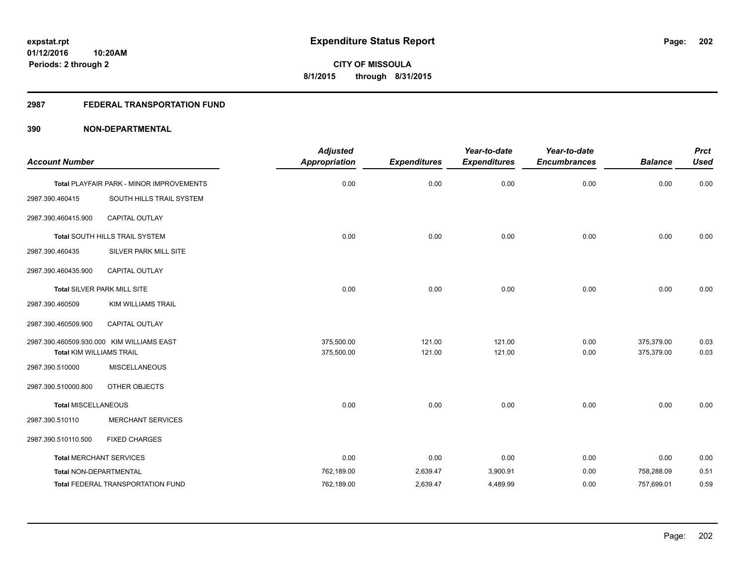#### **2987 FEDERAL TRANSPORTATION FUND**

| <b>Account Number</b>           |                                           | <b>Adjusted</b><br><b>Appropriation</b> | <b>Expenditures</b> | Year-to-date<br><b>Expenditures</b> | Year-to-date<br><b>Encumbrances</b> | <b>Balance</b> | <b>Prct</b><br><b>Used</b> |
|---------------------------------|-------------------------------------------|-----------------------------------------|---------------------|-------------------------------------|-------------------------------------|----------------|----------------------------|
|                                 |                                           |                                         |                     |                                     |                                     |                |                            |
|                                 | Total PLAYFAIR PARK - MINOR IMPROVEMENTS  | 0.00                                    | 0.00                | 0.00                                | 0.00                                | 0.00           | 0.00                       |
| 2987.390.460415                 | SOUTH HILLS TRAIL SYSTEM                  |                                         |                     |                                     |                                     |                |                            |
| 2987.390.460415.900             | CAPITAL OUTLAY                            |                                         |                     |                                     |                                     |                |                            |
|                                 | Total SOUTH HILLS TRAIL SYSTEM            | 0.00                                    | 0.00                | 0.00                                | 0.00                                | 0.00           | 0.00                       |
| 2987.390.460435                 | <b>SILVER PARK MILL SITE</b>              |                                         |                     |                                     |                                     |                |                            |
| 2987.390.460435.900             | CAPITAL OUTLAY                            |                                         |                     |                                     |                                     |                |                            |
|                                 | Total SILVER PARK MILL SITE               | 0.00                                    | 0.00                | 0.00                                | 0.00                                | 0.00           | 0.00                       |
| 2987.390.460509                 | <b>KIM WILLIAMS TRAIL</b>                 |                                         |                     |                                     |                                     |                |                            |
| 2987.390.460509.900             | CAPITAL OUTLAY                            |                                         |                     |                                     |                                     |                |                            |
|                                 | 2987.390.460509.930.000 KIM WILLIAMS EAST | 375,500.00                              | 121.00              | 121.00                              | 0.00                                | 375,379.00     | 0.03                       |
| <b>Total KIM WILLIAMS TRAIL</b> |                                           | 375,500.00                              | 121.00              | 121.00                              | 0.00                                | 375,379.00     | 0.03                       |
| 2987.390.510000                 | <b>MISCELLANEOUS</b>                      |                                         |                     |                                     |                                     |                |                            |
| 2987.390.510000.800             | OTHER OBJECTS                             |                                         |                     |                                     |                                     |                |                            |
| <b>Total MISCELLANEOUS</b>      |                                           | 0.00                                    | 0.00                | 0.00                                | 0.00                                | 0.00           | 0.00                       |
| 2987.390.510110                 | <b>MERCHANT SERVICES</b>                  |                                         |                     |                                     |                                     |                |                            |
| 2987.390.510110.500             | <b>FIXED CHARGES</b>                      |                                         |                     |                                     |                                     |                |                            |
| <b>Total MERCHANT SERVICES</b>  |                                           | 0.00                                    | 0.00                | 0.00                                | 0.00                                | 0.00           | 0.00                       |
| Total NON-DEPARTMENTAL          |                                           | 762,189.00                              | 2,639.47            | 3,900.91                            | 0.00                                | 758,288.09     | 0.51                       |
|                                 | <b>Total FEDERAL TRANSPORTATION FUND</b>  | 762,189.00                              | 2,639.47            | 4,489.99                            | 0.00                                | 757,699.01     | 0.59                       |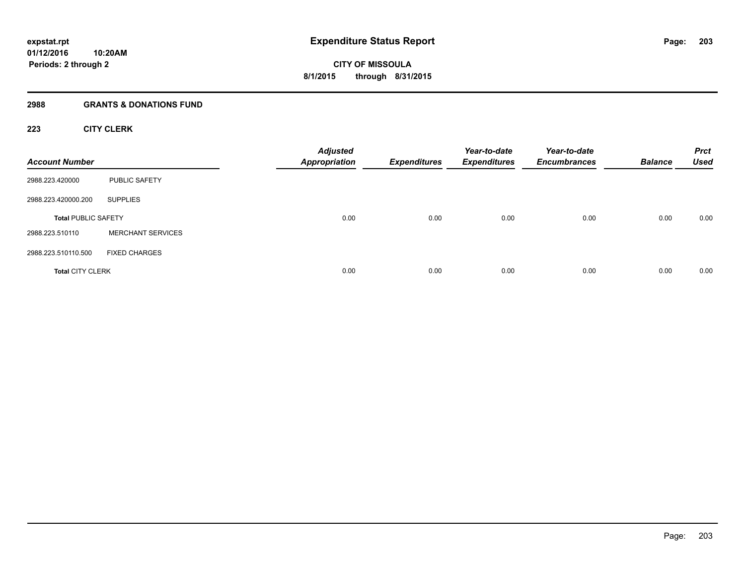#### **2988 GRANTS & DONATIONS FUND**

#### **223 CITY CLERK**

| <b>Account Number</b>      |                          | <b>Adjusted</b><br><b>Appropriation</b> | <b>Expenditures</b> | Year-to-date<br><b>Expenditures</b> | Year-to-date<br><b>Encumbrances</b> | <b>Balance</b> | <b>Prct</b><br><b>Used</b> |
|----------------------------|--------------------------|-----------------------------------------|---------------------|-------------------------------------|-------------------------------------|----------------|----------------------------|
| 2988.223.420000            | PUBLIC SAFETY            |                                         |                     |                                     |                                     |                |                            |
| 2988.223.420000.200        | <b>SUPPLIES</b>          |                                         |                     |                                     |                                     |                |                            |
| <b>Total PUBLIC SAFETY</b> |                          | 0.00                                    | 0.00                | 0.00                                | 0.00                                | 0.00           | 0.00                       |
| 2988.223.510110            | <b>MERCHANT SERVICES</b> |                                         |                     |                                     |                                     |                |                            |
| 2988.223.510110.500        | <b>FIXED CHARGES</b>     |                                         |                     |                                     |                                     |                |                            |
| <b>Total CITY CLERK</b>    |                          | 0.00                                    | 0.00                | 0.00                                | 0.00                                | 0.00           | 0.00                       |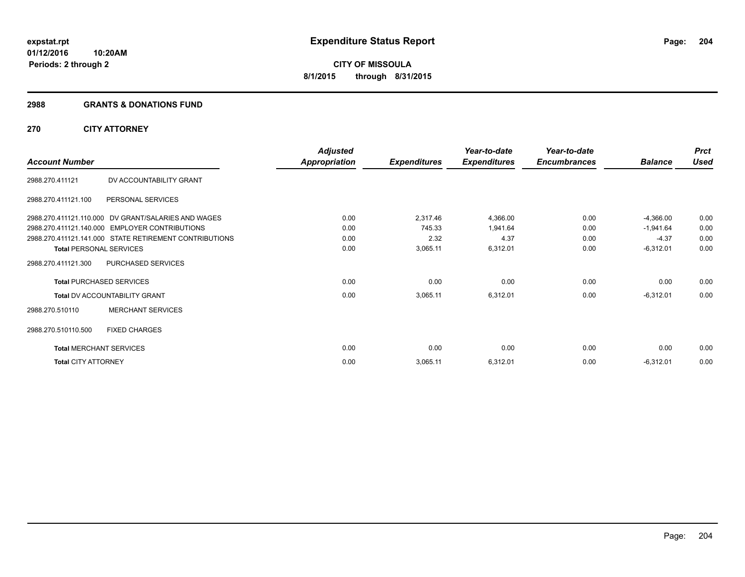#### **2988 GRANTS & DONATIONS FUND**

#### **270 CITY ATTORNEY**

|                                      |                                                        | Adjusted      |                     | Year-to-date        | Year-to-date        |                | <b>Prct</b> |
|--------------------------------------|--------------------------------------------------------|---------------|---------------------|---------------------|---------------------|----------------|-------------|
| <b>Account Number</b>                |                                                        | Appropriation | <b>Expenditures</b> | <b>Expenditures</b> | <b>Encumbrances</b> | <b>Balance</b> | <b>Used</b> |
| 2988.270.411121                      | DV ACCOUNTABILITY GRANT                                |               |                     |                     |                     |                |             |
| 2988.270.411121.100                  | PERSONAL SERVICES                                      |               |                     |                     |                     |                |             |
|                                      | 2988.270.411121.110.000 DV GRANT/SALARIES AND WAGES    | 0.00          | 2,317.46            | 4,366.00            | 0.00                | $-4,366.00$    | 0.00        |
|                                      | 2988.270.411121.140.000 EMPLOYER CONTRIBUTIONS         | 0.00          | 745.33              | 1,941.64            | 0.00                | $-1,941.64$    | 0.00        |
|                                      | 2988.270.411121.141.000 STATE RETIREMENT CONTRIBUTIONS | 0.00          | 2.32                | 4.37                | 0.00                | $-4.37$        | 0.00        |
| <b>Total PERSONAL SERVICES</b>       |                                                        | 0.00          | 3,065.11            | 6,312.01            | 0.00                | $-6,312.01$    | 0.00        |
| 2988.270.411121.300                  | PURCHASED SERVICES                                     |               |                     |                     |                     |                |             |
| <b>Total PURCHASED SERVICES</b>      |                                                        | 0.00          | 0.00                | 0.00                | 0.00                | 0.00           | 0.00        |
| <b>Total DV ACCOUNTABILITY GRANT</b> |                                                        | 0.00          | 3,065.11            | 6,312.01            | 0.00                | $-6,312.01$    | 0.00        |
| 2988.270.510110                      | <b>MERCHANT SERVICES</b>                               |               |                     |                     |                     |                |             |
| 2988.270.510110.500                  | <b>FIXED CHARGES</b>                                   |               |                     |                     |                     |                |             |
| <b>Total MERCHANT SERVICES</b>       |                                                        | 0.00          | 0.00                | 0.00                | 0.00                | 0.00           | 0.00        |
| <b>Total CITY ATTORNEY</b>           |                                                        | 0.00          | 3,065.11            | 6,312.01            | 0.00                | $-6,312.01$    | 0.00        |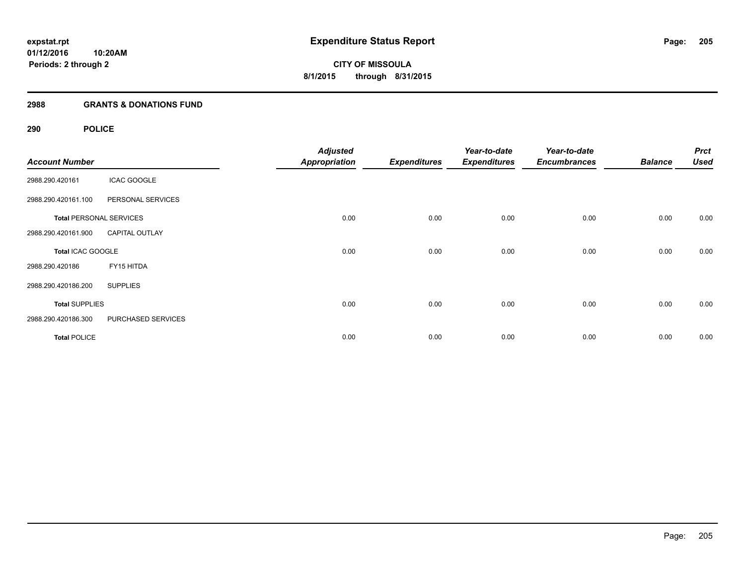#### **2988 GRANTS & DONATIONS FUND**

#### **290 POLICE**

| <b>Account Number</b> |                                | <b>Adjusted</b><br><b>Appropriation</b> | <b>Expenditures</b> | Year-to-date<br><b>Expenditures</b> | Year-to-date<br><b>Encumbrances</b> | <b>Balance</b> | <b>Prct</b><br><b>Used</b> |
|-----------------------|--------------------------------|-----------------------------------------|---------------------|-------------------------------------|-------------------------------------|----------------|----------------------------|
| 2988.290.420161       | <b>ICAC GOOGLE</b>             |                                         |                     |                                     |                                     |                |                            |
| 2988.290.420161.100   | PERSONAL SERVICES              |                                         |                     |                                     |                                     |                |                            |
|                       | <b>Total PERSONAL SERVICES</b> | 0.00                                    | 0.00                | 0.00                                | 0.00                                | 0.00           | 0.00                       |
| 2988.290.420161.900   | <b>CAPITAL OUTLAY</b>          |                                         |                     |                                     |                                     |                |                            |
| Total ICAC GOOGLE     |                                | 0.00                                    | 0.00                | 0.00                                | 0.00                                | 0.00           | 0.00                       |
| 2988.290.420186       | FY15 HITDA                     |                                         |                     |                                     |                                     |                |                            |
| 2988.290.420186.200   | <b>SUPPLIES</b>                |                                         |                     |                                     |                                     |                |                            |
| <b>Total SUPPLIES</b> |                                | 0.00                                    | 0.00                | 0.00                                | 0.00                                | 0.00           | 0.00                       |
| 2988.290.420186.300   | PURCHASED SERVICES             |                                         |                     |                                     |                                     |                |                            |
| <b>Total POLICE</b>   |                                | 0.00                                    | 0.00                | 0.00                                | 0.00                                | 0.00           | 0.00                       |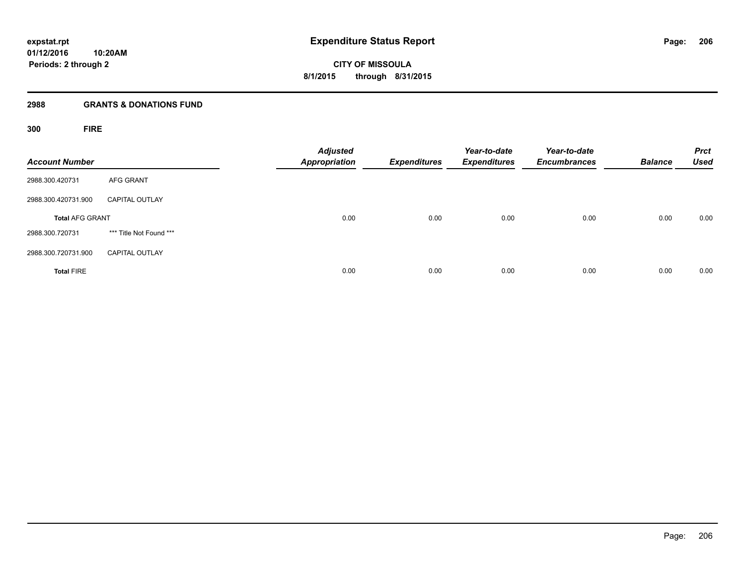#### **2988 GRANTS & DONATIONS FUND**

**300 FIRE**

| <b>Account Number</b>  |                         | <b>Adjusted</b><br><b>Appropriation</b> | <b>Expenditures</b> | Year-to-date<br><b>Expenditures</b> | Year-to-date<br><b>Encumbrances</b> | <b>Balance</b> | <b>Prct</b><br><b>Used</b> |
|------------------------|-------------------------|-----------------------------------------|---------------------|-------------------------------------|-------------------------------------|----------------|----------------------------|
| 2988.300.420731        | <b>AFG GRANT</b>        |                                         |                     |                                     |                                     |                |                            |
| 2988.300.420731.900    | <b>CAPITAL OUTLAY</b>   |                                         |                     |                                     |                                     |                |                            |
| <b>Total AFG GRANT</b> |                         | 0.00                                    | 0.00                | 0.00                                | 0.00                                | 0.00           | 0.00                       |
| 2988.300.720731        | *** Title Not Found *** |                                         |                     |                                     |                                     |                |                            |
| 2988.300.720731.900    | <b>CAPITAL OUTLAY</b>   |                                         |                     |                                     |                                     |                |                            |
| <b>Total FIRE</b>      |                         | 0.00                                    | 0.00                | 0.00                                | 0.00                                | 0.00           | 0.00                       |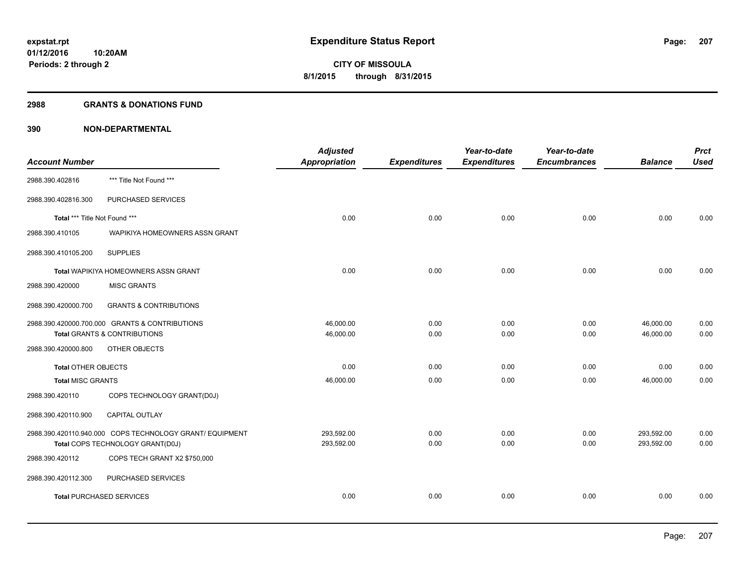#### **2988 GRANTS & DONATIONS FUND**

| <b>Account Number</b>         |                                                          | <b>Adjusted</b><br>Appropriation | <b>Expenditures</b> | Year-to-date<br><b>Expenditures</b> | Year-to-date<br><b>Encumbrances</b> | <b>Balance</b> | <b>Prct</b><br><b>Used</b> |
|-------------------------------|----------------------------------------------------------|----------------------------------|---------------------|-------------------------------------|-------------------------------------|----------------|----------------------------|
| 2988.390.402816               | *** Title Not Found ***                                  |                                  |                     |                                     |                                     |                |                            |
| 2988.390.402816.300           | PURCHASED SERVICES                                       |                                  |                     |                                     |                                     |                |                            |
| Total *** Title Not Found *** |                                                          | 0.00                             | 0.00                | 0.00                                | 0.00                                | 0.00           | 0.00                       |
| 2988.390.410105               | WAPIKIYA HOMEOWNERS ASSN GRANT                           |                                  |                     |                                     |                                     |                |                            |
| 2988.390.410105.200           | <b>SUPPLIES</b>                                          |                                  |                     |                                     |                                     |                |                            |
|                               | Total WAPIKIYA HOMEOWNERS ASSN GRANT                     | 0.00                             | 0.00                | 0.00                                | 0.00                                | 0.00           | 0.00                       |
| 2988.390.420000               | <b>MISC GRANTS</b>                                       |                                  |                     |                                     |                                     |                |                            |
| 2988.390.420000.700           | <b>GRANTS &amp; CONTRIBUTIONS</b>                        |                                  |                     |                                     |                                     |                |                            |
|                               | 2988.390.420000.700.000 GRANTS & CONTRIBUTIONS           | 46.000.00                        | 0.00                | 0.00                                | 0.00                                | 46,000.00      | 0.00                       |
|                               | <b>Total GRANTS &amp; CONTRIBUTIONS</b>                  | 46,000.00                        | 0.00                | 0.00                                | 0.00                                | 46,000.00      | 0.00                       |
| 2988.390.420000.800           | OTHER OBJECTS                                            |                                  |                     |                                     |                                     |                |                            |
| Total OTHER OBJECTS           |                                                          | 0.00                             | 0.00                | 0.00                                | 0.00                                | 0.00           | 0.00                       |
| <b>Total MISC GRANTS</b>      |                                                          | 46,000.00                        | 0.00                | 0.00                                | 0.00                                | 46,000.00      | 0.00                       |
| 2988.390.420110               | COPS TECHNOLOGY GRANT(D0J)                               |                                  |                     |                                     |                                     |                |                            |
| 2988.390.420110.900           | <b>CAPITAL OUTLAY</b>                                    |                                  |                     |                                     |                                     |                |                            |
|                               | 2988.390.420110.940.000 COPS TECHNOLOGY GRANT/ EQUIPMENT | 293,592.00                       | 0.00                | 0.00                                | 0.00                                | 293,592.00     | 0.00                       |
|                               | Total COPS TECHNOLOGY GRANT(D0J)                         | 293,592.00                       | 0.00                | 0.00                                | 0.00                                | 293,592.00     | 0.00                       |
| 2988.390.420112               | COPS TECH GRANT X2 \$750,000                             |                                  |                     |                                     |                                     |                |                            |
| 2988.390.420112.300           | PURCHASED SERVICES                                       |                                  |                     |                                     |                                     |                |                            |
|                               | <b>Total PURCHASED SERVICES</b>                          | 0.00                             | 0.00                | 0.00                                | 0.00                                | 0.00           | 0.00                       |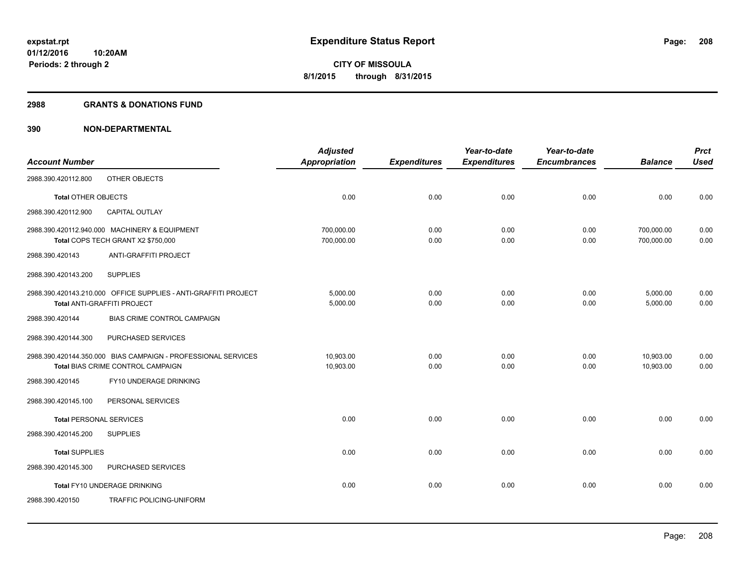#### **2988 GRANTS & DONATIONS FUND**

|                                |                                                                                                       | <b>Adjusted</b>          |                     | Year-to-date        | Year-to-date        |                          | <b>Prct</b>  |
|--------------------------------|-------------------------------------------------------------------------------------------------------|--------------------------|---------------------|---------------------|---------------------|--------------------------|--------------|
| <b>Account Number</b>          |                                                                                                       | <b>Appropriation</b>     | <b>Expenditures</b> | <b>Expenditures</b> | <b>Encumbrances</b> | <b>Balance</b>           | <b>Used</b>  |
| 2988.390.420112.800            | OTHER OBJECTS                                                                                         |                          |                     |                     |                     |                          |              |
| <b>Total OTHER OBJECTS</b>     |                                                                                                       | 0.00                     | 0.00                | 0.00                | 0.00                | 0.00                     | 0.00         |
| 2988.390.420112.900            | CAPITAL OUTLAY                                                                                        |                          |                     |                     |                     |                          |              |
|                                | 2988.390.420112.940.000 MACHINERY & EQUIPMENT<br>Total COPS TECH GRANT X2 \$750,000                   | 700,000.00<br>700,000.00 | 0.00<br>0.00        | 0.00<br>0.00        | 0.00<br>0.00        | 700,000.00<br>700,000.00 | 0.00<br>0.00 |
| 2988.390.420143                | ANTI-GRAFFITI PROJECT                                                                                 |                          |                     |                     |                     |                          |              |
| 2988.390.420143.200            | <b>SUPPLIES</b>                                                                                       |                          |                     |                     |                     |                          |              |
|                                | 2988.390.420143.210.000 OFFICE SUPPLIES - ANTI-GRAFFITI PROJECT<br><b>Total ANTI-GRAFFITI PROJECT</b> | 5,000.00<br>5,000.00     | 0.00<br>0.00        | 0.00<br>0.00        | 0.00<br>0.00        | 5,000.00<br>5,000.00     | 0.00<br>0.00 |
| 2988.390.420144                | BIAS CRIME CONTROL CAMPAIGN                                                                           |                          |                     |                     |                     |                          |              |
| 2988.390.420144.300            | PURCHASED SERVICES                                                                                    |                          |                     |                     |                     |                          |              |
|                                | 2988.390.420144.350.000 BIAS CAMPAIGN - PROFESSIONAL SERVICES<br>Total BIAS CRIME CONTROL CAMPAIGN    | 10,903.00<br>10,903.00   | 0.00<br>0.00        | 0.00<br>0.00        | 0.00<br>0.00        | 10,903.00<br>10.903.00   | 0.00<br>0.00 |
| 2988.390.420145                | FY10 UNDERAGE DRINKING                                                                                |                          |                     |                     |                     |                          |              |
| 2988.390.420145.100            | PERSONAL SERVICES                                                                                     |                          |                     |                     |                     |                          |              |
| <b>Total PERSONAL SERVICES</b> |                                                                                                       | 0.00                     | 0.00                | 0.00                | 0.00                | 0.00                     | 0.00         |
| 2988.390.420145.200            | <b>SUPPLIES</b>                                                                                       |                          |                     |                     |                     |                          |              |
| <b>Total SUPPLIES</b>          |                                                                                                       | 0.00                     | 0.00                | 0.00                | 0.00                | 0.00                     | 0.00         |
| 2988.390.420145.300            | PURCHASED SERVICES                                                                                    |                          |                     |                     |                     |                          |              |
|                                | Total FY10 UNDERAGE DRINKING                                                                          | 0.00                     | 0.00                | 0.00                | 0.00                | 0.00                     | 0.00         |
| 2988.390.420150                | TRAFFIC POLICING-UNIFORM                                                                              |                          |                     |                     |                     |                          |              |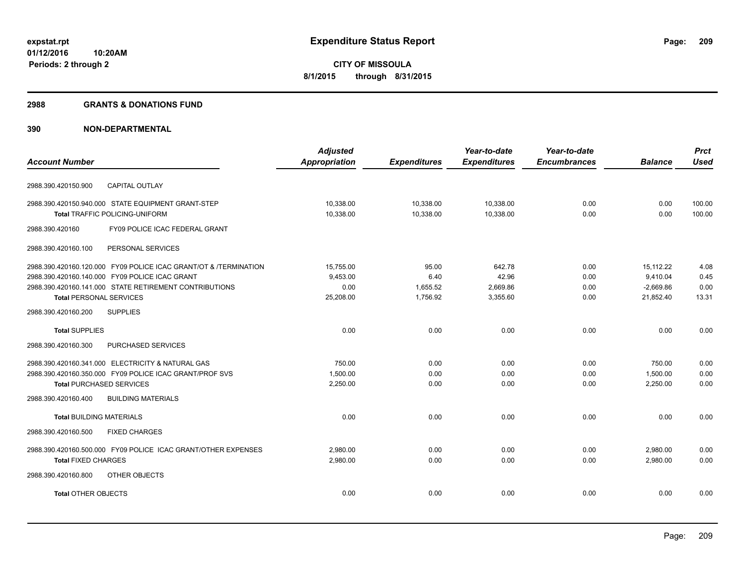#### **2988 GRANTS & DONATIONS FUND**

|                                                                  | <b>Adjusted</b>      |                     | Year-to-date        | Year-to-date        |                | <b>Prct</b> |
|------------------------------------------------------------------|----------------------|---------------------|---------------------|---------------------|----------------|-------------|
| <b>Account Number</b>                                            | <b>Appropriation</b> | <b>Expenditures</b> | <b>Expenditures</b> | <b>Encumbrances</b> | <b>Balance</b> | <b>Used</b> |
| <b>CAPITAL OUTLAY</b><br>2988.390.420150.900                     |                      |                     |                     |                     |                |             |
| 2988.390.420150.940.000 STATE EQUIPMENT GRANT-STEP               | 10,338.00            | 10,338.00           | 10,338.00           | 0.00                | 0.00           | 100.00      |
| Total TRAFFIC POLICING-UNIFORM                                   | 10,338.00            | 10,338.00           | 10,338.00           | 0.00                | 0.00           | 100.00      |
| 2988.390.420160<br>FY09 POLICE ICAC FEDERAL GRANT                |                      |                     |                     |                     |                |             |
| 2988.390.420160.100<br>PERSONAL SERVICES                         |                      |                     |                     |                     |                |             |
| 2988.390.420160.120.000 FY09 POLICE ICAC GRANT/OT & /TERMINATION | 15,755.00            | 95.00               | 642.78              | 0.00                | 15,112.22      | 4.08        |
| 2988.390.420160.140.000 FY09 POLICE ICAC GRANT                   | 9,453.00             | 6.40                | 42.96               | 0.00                | 9,410.04       | 0.45        |
| 2988.390.420160.141.000 STATE RETIREMENT CONTRIBUTIONS           | 0.00                 | 1.655.52            | 2.669.86            | 0.00                | $-2.669.86$    | 0.00        |
| <b>Total PERSONAL SERVICES</b>                                   | 25,208.00            | 1,756.92            | 3,355.60            | 0.00                | 21.852.40      | 13.31       |
| 2988.390.420160.200<br><b>SUPPLIES</b>                           |                      |                     |                     |                     |                |             |
| <b>Total SUPPLIES</b>                                            | 0.00                 | 0.00                | 0.00                | 0.00                | 0.00           | 0.00        |
| PURCHASED SERVICES<br>2988.390.420160.300                        |                      |                     |                     |                     |                |             |
| 2988.390.420160.341.000 ELECTRICITY & NATURAL GAS                | 750.00               | 0.00                | 0.00                | 0.00                | 750.00         | 0.00        |
| 2988.390.420160.350.000 FY09 POLICE ICAC GRANT/PROF SVS          | 1,500.00             | 0.00                | 0.00                | 0.00                | 1,500.00       | 0.00        |
| <b>Total PURCHASED SERVICES</b>                                  | 2,250.00             | 0.00                | 0.00                | 0.00                | 2,250.00       | 0.00        |
| <b>BUILDING MATERIALS</b><br>2988.390.420160.400                 |                      |                     |                     |                     |                |             |
| <b>Total BUILDING MATERIALS</b>                                  | 0.00                 | 0.00                | 0.00                | 0.00                | 0.00           | 0.00        |
| 2988.390.420160.500<br><b>FIXED CHARGES</b>                      |                      |                     |                     |                     |                |             |
| 2988.390.420160.500.000 FY09 POLICE ICAC GRANT/OTHER EXPENSES    | 2.980.00             | 0.00                | 0.00                | 0.00                | 2,980.00       | 0.00        |
| <b>Total FIXED CHARGES</b>                                       | 2,980.00             | 0.00                | 0.00                | 0.00                | 2,980.00       | 0.00        |
| 2988.390.420160.800<br>OTHER OBJECTS                             |                      |                     |                     |                     |                |             |
| <b>Total OTHER OBJECTS</b>                                       | 0.00                 | 0.00                | 0.00                | 0.00                | 0.00           | 0.00        |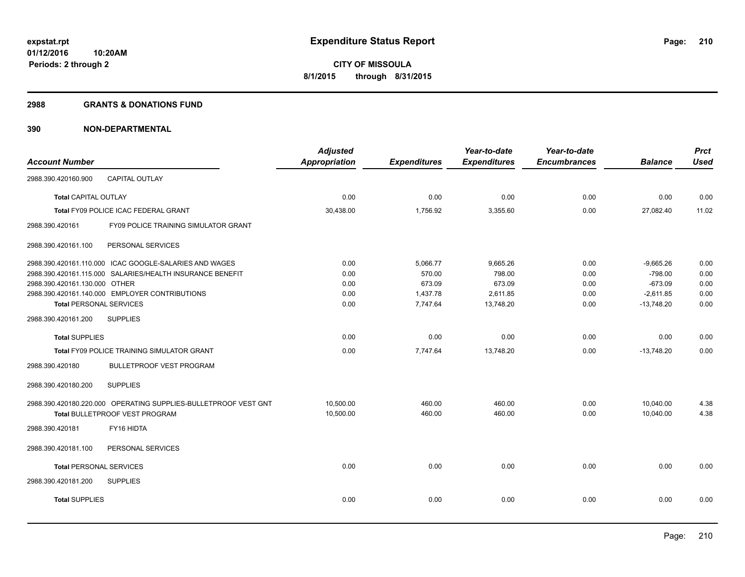#### **2988 GRANTS & DONATIONS FUND**

|                                                                 | <b>Adjusted</b>      |                     | Year-to-date        | Year-to-date        |                | <b>Prct</b> |
|-----------------------------------------------------------------|----------------------|---------------------|---------------------|---------------------|----------------|-------------|
| <b>Account Number</b>                                           | <b>Appropriation</b> | <b>Expenditures</b> | <b>Expenditures</b> | <b>Encumbrances</b> | <b>Balance</b> | <b>Used</b> |
| <b>CAPITAL OUTLAY</b><br>2988.390.420160.900                    |                      |                     |                     |                     |                |             |
| <b>Total CAPITAL OUTLAY</b>                                     | 0.00                 | 0.00                | 0.00                | 0.00                | 0.00           | 0.00        |
| Total FY09 POLICE ICAC FEDERAL GRANT                            | 30,438.00            | 1,756.92            | 3,355.60            | 0.00                | 27,082.40      | 11.02       |
| 2988.390.420161<br>FY09 POLICE TRAINING SIMULATOR GRANT         |                      |                     |                     |                     |                |             |
| 2988.390.420161.100<br>PERSONAL SERVICES                        |                      |                     |                     |                     |                |             |
| 2988.390.420161.110.000 ICAC GOOGLE-SALARIES AND WAGES          | 0.00                 | 5,066.77            | 9,665.26            | 0.00                | $-9.665.26$    | 0.00        |
| 2988.390.420161.115.000 SALARIES/HEALTH INSURANCE BENEFIT       | 0.00                 | 570.00              | 798.00              | 0.00                | $-798.00$      | 0.00        |
| 2988.390.420161.130.000 OTHER                                   | 0.00                 | 673.09              | 673.09              | 0.00                | $-673.09$      | 0.00        |
| 2988.390.420161.140.000 EMPLOYER CONTRIBUTIONS                  | 0.00                 | 1,437.78            | 2,611.85            | 0.00                | $-2,611.85$    | 0.00        |
| <b>Total PERSONAL SERVICES</b>                                  | 0.00                 | 7,747.64            | 13,748.20           | 0.00                | $-13,748.20$   | 0.00        |
| 2988.390.420161.200<br><b>SUPPLIES</b>                          |                      |                     |                     |                     |                |             |
| <b>Total SUPPLIES</b>                                           | 0.00                 | 0.00                | 0.00                | 0.00                | 0.00           | 0.00        |
| Total FY09 POLICE TRAINING SIMULATOR GRANT                      | 0.00                 | 7,747.64            | 13,748.20           | 0.00                | $-13.748.20$   | 0.00        |
| <b>BULLETPROOF VEST PROGRAM</b><br>2988.390.420180              |                      |                     |                     |                     |                |             |
| <b>SUPPLIES</b><br>2988.390.420180.200                          |                      |                     |                     |                     |                |             |
| 2988.390.420180.220.000 OPERATING SUPPLIES-BULLETPROOF VEST GNT | 10,500.00            | 460.00              | 460.00              | 0.00                | 10,040.00      | 4.38        |
| Total BULLETPROOF VEST PROGRAM                                  | 10,500.00            | 460.00              | 460.00              | 0.00                | 10,040.00      | 4.38        |
| 2988.390.420181<br>FY16 HIDTA                                   |                      |                     |                     |                     |                |             |
| PERSONAL SERVICES<br>2988.390.420181.100                        |                      |                     |                     |                     |                |             |
| <b>Total PERSONAL SERVICES</b>                                  | 0.00                 | 0.00                | 0.00                | 0.00                | 0.00           | 0.00        |
| 2988.390.420181.200<br><b>SUPPLIES</b>                          |                      |                     |                     |                     |                |             |
| <b>Total SUPPLIES</b>                                           | 0.00                 | 0.00                | 0.00                | 0.00                | 0.00           | 0.00        |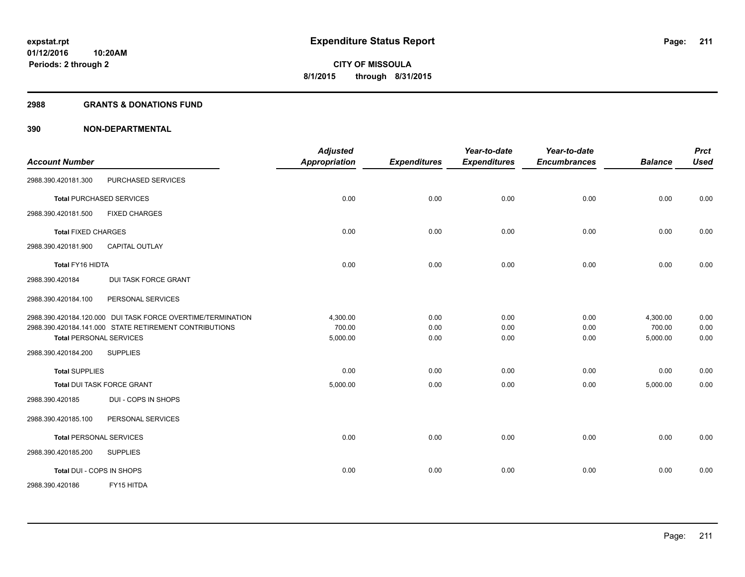#### **2988 GRANTS & DONATIONS FUND**

| <b>Account Number</b>                                                                    | <b>Adjusted</b><br><b>Appropriation</b> | <b>Expenditures</b> | Year-to-date<br><b>Expenditures</b> | Year-to-date<br><b>Encumbrances</b> | <b>Balance</b>     | <b>Prct</b><br><b>Used</b> |
|------------------------------------------------------------------------------------------|-----------------------------------------|---------------------|-------------------------------------|-------------------------------------|--------------------|----------------------------|
| PURCHASED SERVICES<br>2988.390.420181.300                                                |                                         |                     |                                     |                                     |                    |                            |
| <b>Total PURCHASED SERVICES</b>                                                          | 0.00                                    | 0.00                | 0.00                                | 0.00                                | 0.00               | 0.00                       |
| <b>FIXED CHARGES</b><br>2988.390.420181.500                                              |                                         |                     |                                     |                                     |                    |                            |
| <b>Total FIXED CHARGES</b>                                                               | 0.00                                    | 0.00                | 0.00                                | 0.00                                | 0.00               | 0.00                       |
| 2988.390.420181.900<br><b>CAPITAL OUTLAY</b>                                             |                                         |                     |                                     |                                     |                    |                            |
| Total FY16 HIDTA                                                                         | 0.00                                    | 0.00                | 0.00                                | 0.00                                | 0.00               | 0.00                       |
| DUI TASK FORCE GRANT<br>2988.390.420184                                                  |                                         |                     |                                     |                                     |                    |                            |
| PERSONAL SERVICES<br>2988.390.420184.100                                                 |                                         |                     |                                     |                                     |                    |                            |
| 2988.390.420184.120.000 DUI TASK FORCE OVERTIME/TERMINATION                              | 4,300.00                                | 0.00                | 0.00                                | 0.00                                | 4,300.00           | 0.00                       |
| 2988.390.420184.141.000 STATE RETIREMENT CONTRIBUTIONS<br><b>Total PERSONAL SERVICES</b> | 700.00<br>5,000.00                      | 0.00<br>0.00        | 0.00<br>0.00                        | 0.00<br>0.00                        | 700.00<br>5,000.00 | 0.00<br>0.00               |
| 2988.390.420184.200<br><b>SUPPLIES</b>                                                   |                                         |                     |                                     |                                     |                    |                            |
| <b>Total SUPPLIES</b>                                                                    | 0.00                                    | 0.00                | 0.00                                | 0.00                                | 0.00               | 0.00                       |
| Total DUI TASK FORCE GRANT                                                               | 5,000.00                                | 0.00                | 0.00                                | 0.00                                | 5,000.00           | 0.00                       |
| DUI - COPS IN SHOPS<br>2988.390.420185                                                   |                                         |                     |                                     |                                     |                    |                            |
| 2988.390.420185.100<br>PERSONAL SERVICES                                                 |                                         |                     |                                     |                                     |                    |                            |
| <b>Total PERSONAL SERVICES</b>                                                           | 0.00                                    | 0.00                | 0.00                                | 0.00                                | 0.00               | 0.00                       |
| 2988.390.420185.200<br><b>SUPPLIES</b>                                                   |                                         |                     |                                     |                                     |                    |                            |
| Total DUI - COPS IN SHOPS                                                                | 0.00                                    | 0.00                | 0.00                                | 0.00                                | 0.00               | 0.00                       |
| FY15 HITDA<br>2988.390.420186                                                            |                                         |                     |                                     |                                     |                    |                            |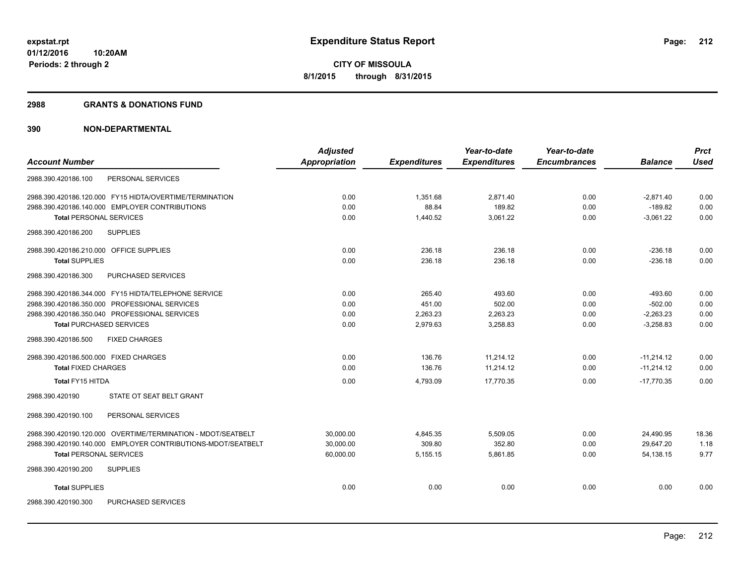#### **2988 GRANTS & DONATIONS FUND**

|                                                              | <b>Adjusted</b>      |                     | Year-to-date        | Year-to-date        |                | <b>Prct</b> |
|--------------------------------------------------------------|----------------------|---------------------|---------------------|---------------------|----------------|-------------|
| <b>Account Number</b>                                        | <b>Appropriation</b> | <b>Expenditures</b> | <b>Expenditures</b> | <b>Encumbrances</b> | <b>Balance</b> | <b>Used</b> |
| PERSONAL SERVICES<br>2988.390.420186.100                     |                      |                     |                     |                     |                |             |
| 2988.390.420186.120.000 FY15 HIDTA/OVERTIME/TERMINATION      | 0.00                 | 1.351.68            | 2,871.40            | 0.00                | $-2.871.40$    | 0.00        |
| 2988.390.420186.140.000 EMPLOYER CONTRIBUTIONS               | 0.00                 | 88.84               | 189.82              | 0.00                | $-189.82$      | 0.00        |
| <b>Total PERSONAL SERVICES</b>                               | 0.00                 | 1,440.52            | 3,061.22            | 0.00                | $-3.061.22$    | 0.00        |
| <b>SUPPLIES</b><br>2988.390.420186.200                       |                      |                     |                     |                     |                |             |
| 2988.390.420186.210.000 OFFICE SUPPLIES                      | 0.00                 | 236.18              | 236.18              | 0.00                | $-236.18$      | 0.00        |
| <b>Total SUPPLIES</b>                                        | 0.00                 | 236.18              | 236.18              | 0.00                | $-236.18$      | 0.00        |
| PURCHASED SERVICES<br>2988.390.420186.300                    |                      |                     |                     |                     |                |             |
| 2988.390.420186.344.000 FY15 HIDTA/TELEPHONE SERVICE         | 0.00                 | 265.40              | 493.60              | 0.00                | $-493.60$      | 0.00        |
| 2988.390.420186.350.000 PROFESSIONAL SERVICES                | 0.00                 | 451.00              | 502.00              | 0.00                | $-502.00$      | 0.00        |
| 2988.390.420186.350.040 PROFESSIONAL SERVICES                | 0.00                 | 2,263.23            | 2,263.23            | 0.00                | $-2,263.23$    | 0.00        |
| <b>Total PURCHASED SERVICES</b>                              | 0.00                 | 2,979.63            | 3,258.83            | 0.00                | $-3,258.83$    | 0.00        |
| 2988.390.420186.500<br><b>FIXED CHARGES</b>                  |                      |                     |                     |                     |                |             |
| 2988.390.420186.500.000 FIXED CHARGES                        | 0.00                 | 136.76              | 11,214.12           | 0.00                | $-11,214.12$   | 0.00        |
| <b>Total FIXED CHARGES</b>                                   | 0.00                 | 136.76              | 11,214.12           | 0.00                | $-11,214.12$   | 0.00        |
| Total FY15 HITDA                                             | 0.00                 | 4,793.09            | 17,770.35           | 0.00                | $-17,770.35$   | 0.00        |
| STATE OT SEAT BELT GRANT<br>2988.390.420190                  |                      |                     |                     |                     |                |             |
| PERSONAL SERVICES<br>2988.390.420190.100                     |                      |                     |                     |                     |                |             |
| 2988.390.420190.120.000 OVERTIME/TERMINATION - MDOT/SEATBELT | 30,000.00            | 4,845.35            | 5,509.05            | 0.00                | 24,490.95      | 18.36       |
| 2988.390.420190.140.000 EMPLOYER CONTRIBUTIONS-MDOT/SEATBELT | 30,000.00            | 309.80              | 352.80              | 0.00                | 29,647.20      | 1.18        |
| <b>Total PERSONAL SERVICES</b>                               | 60,000.00            | 5,155.15            | 5,861.85            | 0.00                | 54,138.15      | 9.77        |
| 2988.390.420190.200<br><b>SUPPLIES</b>                       |                      |                     |                     |                     |                |             |
| <b>Total SUPPLIES</b>                                        | 0.00                 | 0.00                | 0.00                | 0.00                | 0.00           | 0.00        |
| PURCHASED SERVICES<br>2988.390.420190.300                    |                      |                     |                     |                     |                |             |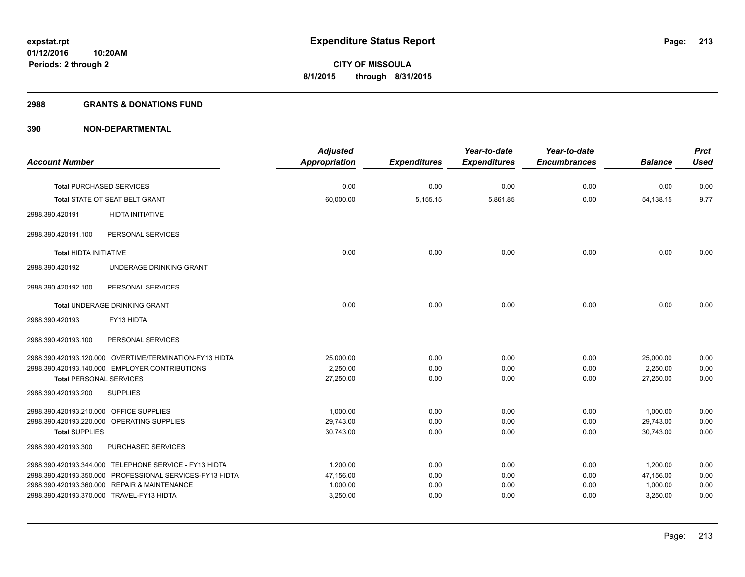#### **2988 GRANTS & DONATIONS FUND**

|                                         |                                                          | <b>Adjusted</b> |                     | Year-to-date        | Year-to-date        |                | <b>Prct</b> |
|-----------------------------------------|----------------------------------------------------------|-----------------|---------------------|---------------------|---------------------|----------------|-------------|
| <b>Account Number</b>                   |                                                          | Appropriation   | <b>Expenditures</b> | <b>Expenditures</b> | <b>Encumbrances</b> | <b>Balance</b> | <b>Used</b> |
|                                         |                                                          |                 |                     |                     |                     |                |             |
|                                         | <b>Total PURCHASED SERVICES</b>                          | 0.00            | 0.00                | 0.00                | 0.00                | 0.00           | 0.00        |
|                                         | Total STATE OT SEAT BELT GRANT                           | 60,000.00       | 5,155.15            | 5,861.85            | 0.00                | 54,138.15      | 9.77        |
| 2988.390.420191                         | <b>HIDTA INITIATIVE</b>                                  |                 |                     |                     |                     |                |             |
| 2988.390.420191.100                     | PERSONAL SERVICES                                        |                 |                     |                     |                     |                |             |
| <b>Total HIDTA INITIATIVE</b>           |                                                          | 0.00            | 0.00                | 0.00                | 0.00                | 0.00           | 0.00        |
| 2988.390.420192                         | UNDERAGE DRINKING GRANT                                  |                 |                     |                     |                     |                |             |
| 2988.390.420192.100                     | PERSONAL SERVICES                                        |                 |                     |                     |                     |                |             |
|                                         | Total UNDERAGE DRINKING GRANT                            | 0.00            | 0.00                | 0.00                | 0.00                | 0.00           | 0.00        |
| 2988.390.420193                         | FY13 HIDTA                                               |                 |                     |                     |                     |                |             |
| 2988.390.420193.100                     | PERSONAL SERVICES                                        |                 |                     |                     |                     |                |             |
|                                         | 2988.390.420193.120.000 OVERTIME/TERMINATION-FY13 HIDTA  | 25,000.00       | 0.00                | 0.00                | 0.00                | 25,000.00      | 0.00        |
|                                         | 2988.390.420193.140.000 EMPLOYER CONTRIBUTIONS           | 2.250.00        | 0.00                | 0.00                | 0.00                | 2,250.00       | 0.00        |
| <b>Total PERSONAL SERVICES</b>          |                                                          | 27,250.00       | 0.00                | 0.00                | 0.00                | 27,250.00      | 0.00        |
| 2988.390.420193.200                     | <b>SUPPLIES</b>                                          |                 |                     |                     |                     |                |             |
| 2988.390.420193.210.000 OFFICE SUPPLIES |                                                          | 1.000.00        | 0.00                | 0.00                | 0.00                | 1.000.00       | 0.00        |
|                                         | 2988.390.420193.220.000 OPERATING SUPPLIES               | 29,743.00       | 0.00                | 0.00                | 0.00                | 29,743.00      | 0.00        |
| <b>Total SUPPLIES</b>                   |                                                          | 30,743.00       | 0.00                | 0.00                | 0.00                | 30,743.00      | 0.00        |
| 2988.390.420193.300                     | PURCHASED SERVICES                                       |                 |                     |                     |                     |                |             |
|                                         | 2988.390.420193.344.000 TELEPHONE SERVICE - FY13 HIDTA   | 1,200.00        | 0.00                | 0.00                | 0.00                | 1,200.00       | 0.00        |
|                                         | 2988.390.420193.350.000 PROFESSIONAL SERVICES-FY13 HIDTA | 47,156.00       | 0.00                | 0.00                | 0.00                | 47,156.00      | 0.00        |
|                                         | 2988.390.420193.360.000 REPAIR & MAINTENANCE             | 1,000.00        | 0.00                | 0.00                | 0.00                | 1,000.00       | 0.00        |
|                                         | 2988.390.420193.370.000 TRAVEL-FY13 HIDTA                | 3,250.00        | 0.00                | 0.00                | 0.00                | 3,250.00       | 0.00        |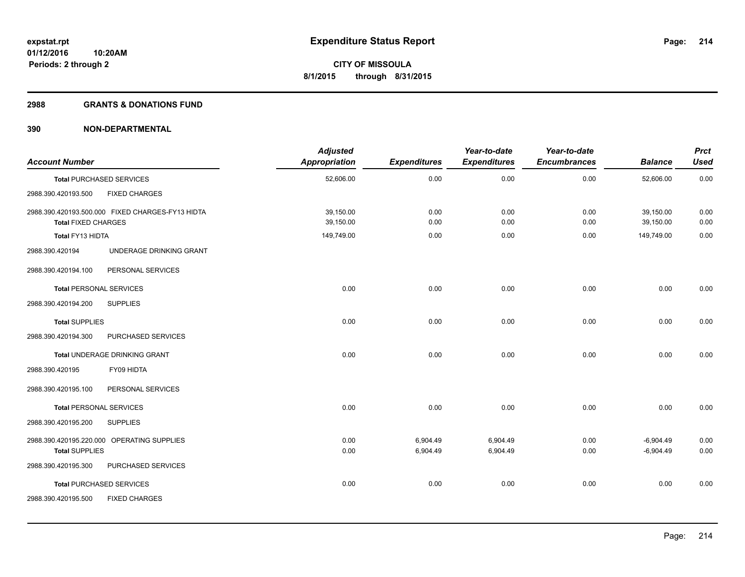#### **2988 GRANTS & DONATIONS FUND**

| <b>Account Number</b>          |                                                  | <b>Adjusted</b><br>Appropriation | <b>Expenditures</b>  | Year-to-date<br><b>Expenditures</b> | Year-to-date<br><b>Encumbrances</b> | <b>Balance</b>             | <b>Prct</b><br><b>Used</b> |
|--------------------------------|--------------------------------------------------|----------------------------------|----------------------|-------------------------------------|-------------------------------------|----------------------------|----------------------------|
|                                | <b>Total PURCHASED SERVICES</b>                  | 52,606.00                        | 0.00                 | 0.00                                | 0.00                                | 52,606.00                  | 0.00                       |
| 2988.390.420193.500            | <b>FIXED CHARGES</b>                             |                                  |                      |                                     |                                     |                            |                            |
| <b>Total FIXED CHARGES</b>     | 2988.390.420193.500.000 FIXED CHARGES-FY13 HIDTA | 39,150.00<br>39,150.00           | 0.00<br>0.00         | 0.00<br>0.00                        | 0.00<br>0.00                        | 39,150.00<br>39,150.00     | 0.00<br>0.00               |
| Total FY13 HIDTA               |                                                  | 149,749.00                       | 0.00                 | 0.00                                | 0.00                                | 149,749.00                 | 0.00                       |
| 2988.390.420194                | UNDERAGE DRINKING GRANT                          |                                  |                      |                                     |                                     |                            |                            |
| 2988.390.420194.100            | PERSONAL SERVICES                                |                                  |                      |                                     |                                     |                            |                            |
| <b>Total PERSONAL SERVICES</b> |                                                  | 0.00                             | 0.00                 | 0.00                                | 0.00                                | 0.00                       | 0.00                       |
| 2988.390.420194.200            | <b>SUPPLIES</b>                                  |                                  |                      |                                     |                                     |                            |                            |
| <b>Total SUPPLIES</b>          |                                                  | 0.00                             | 0.00                 | 0.00                                | 0.00                                | 0.00                       | 0.00                       |
| 2988.390.420194.300            | PURCHASED SERVICES                               |                                  |                      |                                     |                                     |                            |                            |
|                                | Total UNDERAGE DRINKING GRANT                    | 0.00                             | 0.00                 | 0.00                                | 0.00                                | 0.00                       | 0.00                       |
| 2988.390.420195                | FY09 HIDTA                                       |                                  |                      |                                     |                                     |                            |                            |
| 2988.390.420195.100            | PERSONAL SERVICES                                |                                  |                      |                                     |                                     |                            |                            |
| <b>Total PERSONAL SERVICES</b> |                                                  | 0.00                             | 0.00                 | 0.00                                | 0.00                                | 0.00                       | 0.00                       |
| 2988.390.420195.200            | <b>SUPPLIES</b>                                  |                                  |                      |                                     |                                     |                            |                            |
| <b>Total SUPPLIES</b>          | 2988.390.420195.220.000 OPERATING SUPPLIES       | 0.00<br>0.00                     | 6,904.49<br>6,904.49 | 6,904.49<br>6,904.49                | 0.00<br>0.00                        | $-6,904.49$<br>$-6,904.49$ | 0.00<br>0.00               |
| 2988.390.420195.300            | PURCHASED SERVICES                               |                                  |                      |                                     |                                     |                            |                            |
|                                | <b>Total PURCHASED SERVICES</b>                  | 0.00                             | 0.00                 | 0.00                                | 0.00                                | 0.00                       | 0.00                       |
| 2988.390.420195.500            | <b>FIXED CHARGES</b>                             |                                  |                      |                                     |                                     |                            |                            |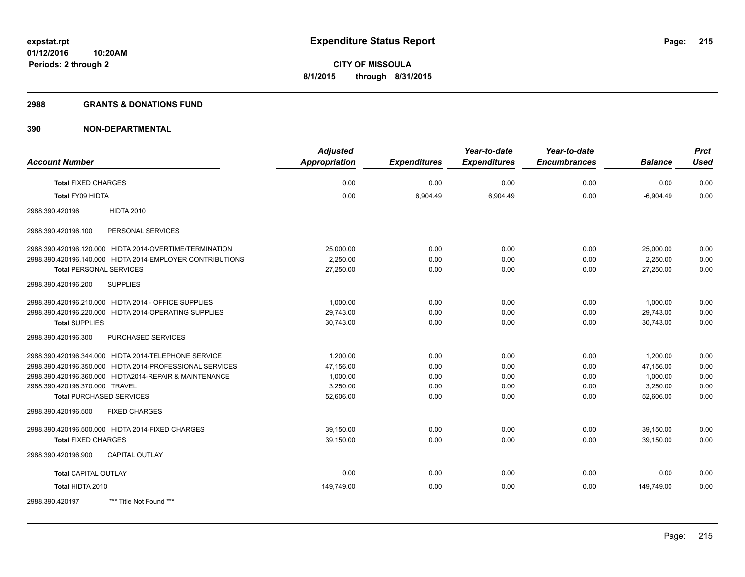#### **2988 GRANTS & DONATIONS FUND**

|                                                           | <b>Adjusted</b>      |                     | Year-to-date        | Year-to-date        |                | <b>Prct</b> |
|-----------------------------------------------------------|----------------------|---------------------|---------------------|---------------------|----------------|-------------|
| <b>Account Number</b>                                     | <b>Appropriation</b> | <b>Expenditures</b> | <b>Expenditures</b> | <b>Encumbrances</b> | <b>Balance</b> | <b>Used</b> |
| <b>Total FIXED CHARGES</b>                                | 0.00                 | 0.00                | 0.00                | 0.00                | 0.00           | 0.00        |
| Total FY09 HIDTA                                          | 0.00                 | 6,904.49            | 6,904.49            | 0.00                | $-6,904.49$    | 0.00        |
| <b>HIDTA 2010</b><br>2988.390.420196                      |                      |                     |                     |                     |                |             |
| PERSONAL SERVICES<br>2988.390.420196.100                  |                      |                     |                     |                     |                |             |
| 2988.390.420196.120.000 HIDTA 2014-OVERTIME/TERMINATION   | 25,000.00            | 0.00                | 0.00                | 0.00                | 25,000.00      | 0.00        |
| 2988.390.420196.140.000 HIDTA 2014-EMPLOYER CONTRIBUTIONS | 2,250.00             | 0.00                | 0.00                | 0.00                | 2,250.00       | 0.00        |
| <b>Total PERSONAL SERVICES</b>                            | 27,250.00            | 0.00                | 0.00                | 0.00                | 27,250.00      | 0.00        |
| 2988.390.420196.200<br><b>SUPPLIES</b>                    |                      |                     |                     |                     |                |             |
| 2988.390.420196.210.000 HIDTA 2014 - OFFICE SUPPLIES      | 1,000.00             | 0.00                | 0.00                | 0.00                | 1,000.00       | 0.00        |
| 2988.390.420196.220.000 HIDTA 2014-OPERATING SUPPLIES     | 29,743.00            | 0.00                | 0.00                | 0.00                | 29,743.00      | 0.00        |
| <b>Total SUPPLIES</b>                                     | 30,743.00            | 0.00                | 0.00                | 0.00                | 30,743.00      | 0.00        |
| 2988.390.420196.300<br>PURCHASED SERVICES                 |                      |                     |                     |                     |                |             |
| 2988.390.420196.344.000 HIDTA 2014-TELEPHONE SERVICE      | 1,200.00             | 0.00                | 0.00                | 0.00                | 1,200.00       | 0.00        |
| 2988.390.420196.350.000 HIDTA 2014-PROFESSIONAL SERVICES  | 47,156.00            | 0.00                | 0.00                | 0.00                | 47,156.00      | 0.00        |
| 2988.390.420196.360.000 HIDTA2014-REPAIR & MAINTENANCE    | 1,000.00             | 0.00                | 0.00                | 0.00                | 1,000.00       | 0.00        |
| 2988.390.420196.370.000 TRAVEL                            | 3,250.00             | 0.00                | 0.00                | 0.00                | 3,250.00       | 0.00        |
| <b>Total PURCHASED SERVICES</b>                           | 52,606.00            | 0.00                | 0.00                | 0.00                | 52,606.00      | 0.00        |
| <b>FIXED CHARGES</b><br>2988.390.420196.500               |                      |                     |                     |                     |                |             |
| 2988.390.420196.500.000 HIDTA 2014-FIXED CHARGES          | 39,150.00            | 0.00                | 0.00                | 0.00                | 39,150.00      | 0.00        |
| <b>Total FIXED CHARGES</b>                                | 39,150.00            | 0.00                | 0.00                | 0.00                | 39.150.00      | 0.00        |
| 2988.390.420196.900<br><b>CAPITAL OUTLAY</b>              |                      |                     |                     |                     |                |             |
| <b>Total CAPITAL OUTLAY</b>                               | 0.00                 | 0.00                | 0.00                | 0.00                | 0.00           | 0.00        |
| Total HIDTA 2010                                          | 149,749.00           | 0.00                | 0.00                | 0.00                | 149,749.00     | 0.00        |
| 2988.390.420197<br>*** Title Not Found ***                |                      |                     |                     |                     |                |             |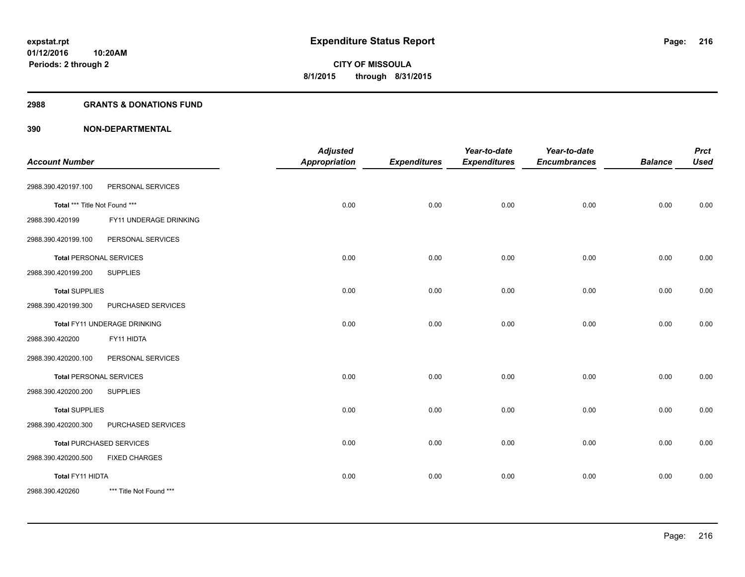#### **2988 GRANTS & DONATIONS FUND**

| <b>Account Number</b>          |                                 | <b>Adjusted</b><br><b>Appropriation</b> | <b>Expenditures</b> | Year-to-date<br><b>Expenditures</b> | Year-to-date<br><b>Encumbrances</b> | <b>Balance</b> | <b>Prct</b><br><b>Used</b> |
|--------------------------------|---------------------------------|-----------------------------------------|---------------------|-------------------------------------|-------------------------------------|----------------|----------------------------|
|                                |                                 |                                         |                     |                                     |                                     |                |                            |
| 2988.390.420197.100            | PERSONAL SERVICES               |                                         |                     |                                     |                                     |                |                            |
| Total *** Title Not Found ***  |                                 | 0.00                                    | 0.00                | 0.00                                | 0.00                                | 0.00           | 0.00                       |
| 2988.390.420199                | FY11 UNDERAGE DRINKING          |                                         |                     |                                     |                                     |                |                            |
| 2988.390.420199.100            | PERSONAL SERVICES               |                                         |                     |                                     |                                     |                |                            |
| <b>Total PERSONAL SERVICES</b> |                                 | 0.00                                    | 0.00                | 0.00                                | 0.00                                | 0.00           | 0.00                       |
| 2988.390.420199.200            | <b>SUPPLIES</b>                 |                                         |                     |                                     |                                     |                |                            |
| <b>Total SUPPLIES</b>          |                                 | 0.00                                    | 0.00                | 0.00                                | 0.00                                | 0.00           | 0.00                       |
| 2988.390.420199.300            | PURCHASED SERVICES              |                                         |                     |                                     |                                     |                |                            |
|                                | Total FY11 UNDERAGE DRINKING    | 0.00                                    | 0.00                | 0.00                                | 0.00                                | 0.00           | 0.00                       |
| 2988.390.420200                | FY11 HIDTA                      |                                         |                     |                                     |                                     |                |                            |
| 2988.390.420200.100            | PERSONAL SERVICES               |                                         |                     |                                     |                                     |                |                            |
| <b>Total PERSONAL SERVICES</b> |                                 | 0.00                                    | 0.00                | 0.00                                | 0.00                                | 0.00           | 0.00                       |
| 2988.390.420200.200            | <b>SUPPLIES</b>                 |                                         |                     |                                     |                                     |                |                            |
| <b>Total SUPPLIES</b>          |                                 | 0.00                                    | 0.00                | 0.00                                | 0.00                                | 0.00           | 0.00                       |
| 2988.390.420200.300            | PURCHASED SERVICES              |                                         |                     |                                     |                                     |                |                            |
|                                | <b>Total PURCHASED SERVICES</b> | 0.00                                    | 0.00                | 0.00                                | 0.00                                | 0.00           | 0.00                       |
| 2988.390.420200.500            | <b>FIXED CHARGES</b>            |                                         |                     |                                     |                                     |                |                            |
| Total FY11 HIDTA               |                                 | 0.00                                    | 0.00                | 0.00                                | 0.00                                | 0.00           | 0.00                       |
| 2988.390.420260                | *** Title Not Found ***         |                                         |                     |                                     |                                     |                |                            |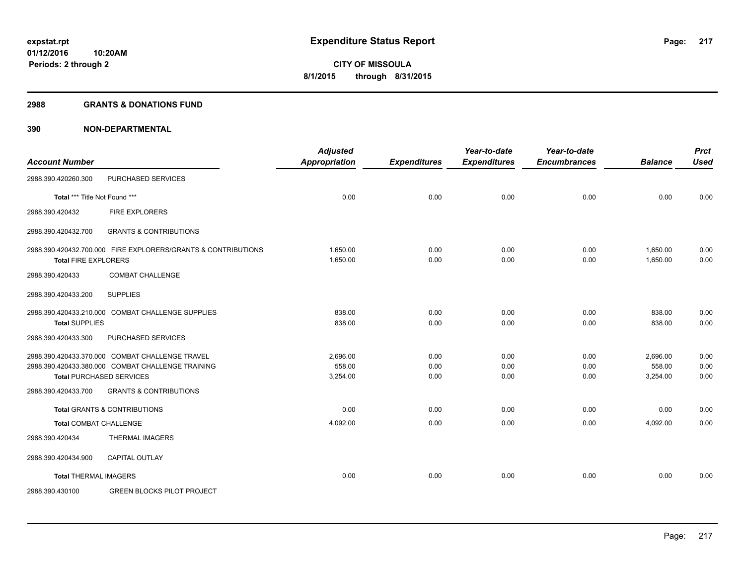#### **2988 GRANTS & DONATIONS FUND**

|                                                   |                                                               | <b>Adjusted</b>      |                     | Year-to-date        | Year-to-date        |                      | <b>Prct</b>  |
|---------------------------------------------------|---------------------------------------------------------------|----------------------|---------------------|---------------------|---------------------|----------------------|--------------|
| <b>Account Number</b>                             |                                                               | <b>Appropriation</b> | <b>Expenditures</b> | <b>Expenditures</b> | <b>Encumbrances</b> | <b>Balance</b>       | <b>Used</b>  |
| 2988.390.420260.300                               | PURCHASED SERVICES                                            |                      |                     |                     |                     |                      |              |
| Total *** Title Not Found ***                     |                                                               | 0.00                 | 0.00                | 0.00                | 0.00                | 0.00                 | 0.00         |
| 2988.390.420432<br><b>FIRE EXPLORERS</b>          |                                                               |                      |                     |                     |                     |                      |              |
| 2988.390.420432.700                               | <b>GRANTS &amp; CONTRIBUTIONS</b>                             |                      |                     |                     |                     |                      |              |
| <b>Total FIRE EXPLORERS</b>                       | 2988.390.420432.700.000 FIRE EXPLORERS/GRANTS & CONTRIBUTIONS | 1,650.00<br>1,650.00 | 0.00<br>0.00        | 0.00<br>0.00        | 0.00<br>0.00        | 1,650.00<br>1,650.00 | 0.00<br>0.00 |
|                                                   |                                                               |                      |                     |                     |                     |                      |              |
| 2988.390.420433                                   | <b>COMBAT CHALLENGE</b>                                       |                      |                     |                     |                     |                      |              |
| <b>SUPPLIES</b><br>2988.390.420433.200            |                                                               |                      |                     |                     |                     |                      |              |
| 2988.390.420433.210.000 COMBAT CHALLENGE SUPPLIES |                                                               | 838.00               | 0.00                | 0.00                | 0.00                | 838.00               | 0.00         |
| <b>Total SUPPLIES</b>                             |                                                               | 838.00               | 0.00                | 0.00                | 0.00                | 838.00               | 0.00         |
| 2988.390.420433.300                               | PURCHASED SERVICES                                            |                      |                     |                     |                     |                      |              |
| 2988.390.420433.370.000 COMBAT CHALLENGE TRAVEL   |                                                               | 2,696.00             | 0.00                | 0.00                | 0.00                | 2,696.00             | 0.00         |
| 2988.390.420433.380.000 COMBAT CHALLENGE TRAINING |                                                               | 558.00               | 0.00                | 0.00                | 0.00                | 558.00               | 0.00         |
| <b>Total PURCHASED SERVICES</b>                   |                                                               | 3,254.00             | 0.00                | 0.00                | 0.00                | 3,254.00             | 0.00         |
| 2988.390.420433.700                               | <b>GRANTS &amp; CONTRIBUTIONS</b>                             |                      |                     |                     |                     |                      |              |
| <b>Total GRANTS &amp; CONTRIBUTIONS</b>           |                                                               | 0.00                 | 0.00                | 0.00                | 0.00                | 0.00                 | 0.00         |
| <b>Total COMBAT CHALLENGE</b>                     |                                                               | 4,092.00             | 0.00                | 0.00                | 0.00                | 4,092.00             | 0.00         |
| <b>THERMAL IMAGERS</b><br>2988.390.420434         |                                                               |                      |                     |                     |                     |                      |              |
| <b>CAPITAL OUTLAY</b><br>2988.390.420434.900      |                                                               |                      |                     |                     |                     |                      |              |
| <b>Total THERMAL IMAGERS</b>                      |                                                               | 0.00                 | 0.00                | 0.00                | 0.00                | 0.00                 | 0.00         |
| 2988.390.430100                                   | <b>GREEN BLOCKS PILOT PROJECT</b>                             |                      |                     |                     |                     |                      |              |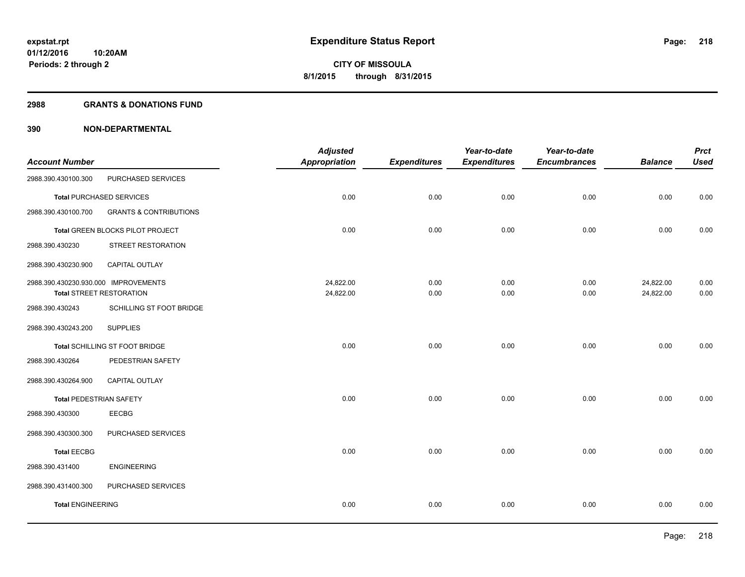#### **2988 GRANTS & DONATIONS FUND**

| <b>Account Number</b>                |                                   | <b>Adjusted</b><br><b>Appropriation</b> | <b>Expenditures</b> | Year-to-date<br><b>Expenditures</b> | Year-to-date<br><b>Encumbrances</b> | <b>Balance</b> | <b>Prct</b><br><b>Used</b> |
|--------------------------------------|-----------------------------------|-----------------------------------------|---------------------|-------------------------------------|-------------------------------------|----------------|----------------------------|
| 2988.390.430100.300                  | PURCHASED SERVICES                |                                         |                     |                                     |                                     |                |                            |
|                                      | <b>Total PURCHASED SERVICES</b>   | 0.00                                    | 0.00                | 0.00                                | 0.00                                | 0.00           | 0.00                       |
| 2988.390.430100.700                  | <b>GRANTS &amp; CONTRIBUTIONS</b> |                                         |                     |                                     |                                     |                |                            |
|                                      | Total GREEN BLOCKS PILOT PROJECT  | 0.00                                    | 0.00                | 0.00                                | 0.00                                | 0.00           | 0.00                       |
| 2988.390.430230                      | STREET RESTORATION                |                                         |                     |                                     |                                     |                |                            |
| 2988.390.430230.900                  | <b>CAPITAL OUTLAY</b>             |                                         |                     |                                     |                                     |                |                            |
| 2988.390.430230.930.000 IMPROVEMENTS |                                   | 24,822.00                               | 0.00                | 0.00                                | 0.00                                | 24,822.00      | 0.00                       |
|                                      | <b>Total STREET RESTORATION</b>   | 24,822.00                               | 0.00                | 0.00                                | 0.00                                | 24,822.00      | 0.00                       |
| 2988.390.430243                      | SCHILLING ST FOOT BRIDGE          |                                         |                     |                                     |                                     |                |                            |
| 2988.390.430243.200                  | <b>SUPPLIES</b>                   |                                         |                     |                                     |                                     |                |                            |
|                                      | Total SCHILLING ST FOOT BRIDGE    | 0.00                                    | 0.00                | 0.00                                | 0.00                                | 0.00           | 0.00                       |
| 2988.390.430264                      | PEDESTRIAN SAFETY                 |                                         |                     |                                     |                                     |                |                            |
| 2988.390.430264.900                  | <b>CAPITAL OUTLAY</b>             |                                         |                     |                                     |                                     |                |                            |
| <b>Total PEDESTRIAN SAFETY</b>       |                                   | 0.00                                    | 0.00                | 0.00                                | 0.00                                | 0.00           | 0.00                       |
| 2988.390.430300                      | <b>EECBG</b>                      |                                         |                     |                                     |                                     |                |                            |
| 2988.390.430300.300                  | PURCHASED SERVICES                |                                         |                     |                                     |                                     |                |                            |
| <b>Total EECBG</b>                   |                                   | 0.00                                    | 0.00                | 0.00                                | 0.00                                | 0.00           | 0.00                       |
| 2988.390.431400                      | <b>ENGINEERING</b>                |                                         |                     |                                     |                                     |                |                            |
| 2988.390.431400.300                  | PURCHASED SERVICES                |                                         |                     |                                     |                                     |                |                            |
| <b>Total ENGINEERING</b>             |                                   | 0.00                                    | 0.00                | 0.00                                | 0.00                                | 0.00           | 0.00                       |
|                                      |                                   |                                         |                     |                                     |                                     |                |                            |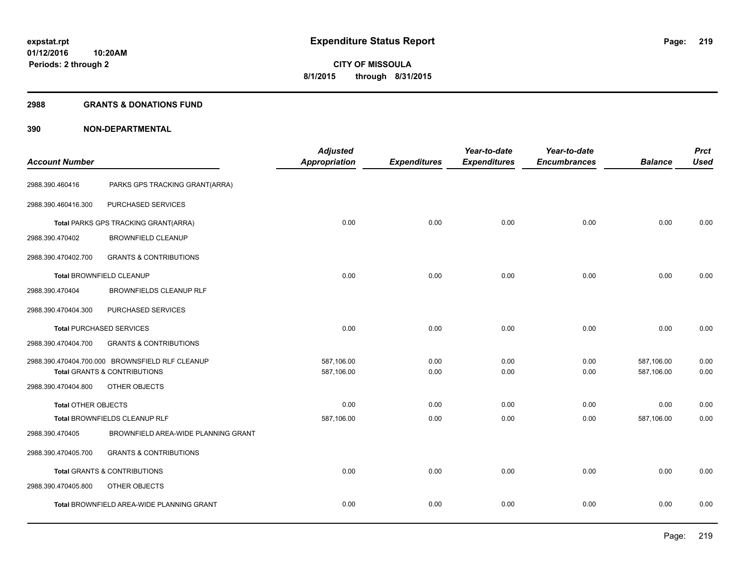#### **2988 GRANTS & DONATIONS FUND**

| <b>Account Number</b>      |                                                  | <b>Adjusted</b><br><b>Appropriation</b> | <b>Expenditures</b> | Year-to-date<br><b>Expenditures</b> | Year-to-date<br><b>Encumbrances</b> | <b>Balance</b> | <b>Prct</b><br><b>Used</b> |
|----------------------------|--------------------------------------------------|-----------------------------------------|---------------------|-------------------------------------|-------------------------------------|----------------|----------------------------|
|                            |                                                  |                                         |                     |                                     |                                     |                |                            |
| 2988.390.460416            | PARKS GPS TRACKING GRANT(ARRA)                   |                                         |                     |                                     |                                     |                |                            |
| 2988.390.460416.300        | PURCHASED SERVICES                               |                                         |                     |                                     |                                     |                |                            |
|                            | Total PARKS GPS TRACKING GRANT(ARRA)             | 0.00                                    | 0.00                | 0.00                                | 0.00                                | 0.00           | 0.00                       |
| 2988.390.470402            | <b>BROWNFIELD CLEANUP</b>                        |                                         |                     |                                     |                                     |                |                            |
| 2988.390.470402.700        | <b>GRANTS &amp; CONTRIBUTIONS</b>                |                                         |                     |                                     |                                     |                |                            |
|                            | Total BROWNFIELD CLEANUP                         | 0.00                                    | 0.00                | 0.00                                | 0.00                                | 0.00           | 0.00                       |
| 2988.390.470404            | <b>BROWNFIELDS CLEANUP RLF</b>                   |                                         |                     |                                     |                                     |                |                            |
| 2988.390.470404.300        | PURCHASED SERVICES                               |                                         |                     |                                     |                                     |                |                            |
|                            | <b>Total PURCHASED SERVICES</b>                  | 0.00                                    | 0.00                | 0.00                                | 0.00                                | 0.00           | 0.00                       |
| 2988.390.470404.700        | <b>GRANTS &amp; CONTRIBUTIONS</b>                |                                         |                     |                                     |                                     |                |                            |
|                            | 2988.390.470404.700.000 BROWNSFIELD RLF CLEANUP  | 587.106.00                              | 0.00                | 0.00                                | 0.00                                | 587,106.00     | 0.00                       |
|                            | <b>Total GRANTS &amp; CONTRIBUTIONS</b>          | 587,106.00                              | 0.00                | 0.00                                | 0.00                                | 587,106.00     | 0.00                       |
| 2988.390.470404.800        | OTHER OBJECTS                                    |                                         |                     |                                     |                                     |                |                            |
| <b>Total OTHER OBJECTS</b> |                                                  | 0.00                                    | 0.00                | 0.00                                | 0.00                                | 0.00           | 0.00                       |
|                            | Total BROWNFIELDS CLEANUP RLF                    | 587,106.00                              | 0.00                | 0.00                                | 0.00                                | 587,106.00     | 0.00                       |
| 2988.390.470405            | BROWNFIELD AREA-WIDE PLANNING GRANT              |                                         |                     |                                     |                                     |                |                            |
| 2988.390.470405.700        | <b>GRANTS &amp; CONTRIBUTIONS</b>                |                                         |                     |                                     |                                     |                |                            |
|                            | <b>Total GRANTS &amp; CONTRIBUTIONS</b>          | 0.00                                    | 0.00                | 0.00                                | 0.00                                | 0.00           | 0.00                       |
| 2988.390.470405.800        | OTHER OBJECTS                                    |                                         |                     |                                     |                                     |                |                            |
|                            | <b>Total BROWNFIELD AREA-WIDE PLANNING GRANT</b> | 0.00                                    | 0.00                | 0.00                                | 0.00                                | 0.00           | 0.00                       |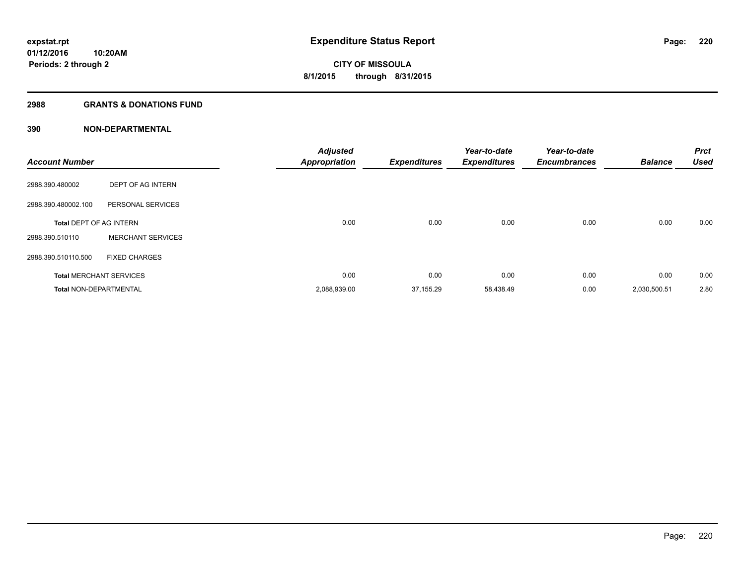### **2988 GRANTS & DONATIONS FUND**

| <b>Account Number</b>          |                                | <b>Adjusted</b><br><b>Appropriation</b> | <b>Expenditures</b> | Year-to-date<br><b>Expenditures</b> | Year-to-date<br><b>Encumbrances</b> | <b>Balance</b> | <b>Prct</b><br><b>Used</b> |
|--------------------------------|--------------------------------|-----------------------------------------|---------------------|-------------------------------------|-------------------------------------|----------------|----------------------------|
| 2988.390.480002                | DEPT OF AG INTERN              |                                         |                     |                                     |                                     |                |                            |
| 2988.390.480002.100            | PERSONAL SERVICES              |                                         |                     |                                     |                                     |                |                            |
| <b>Total DEPT OF AG INTERN</b> |                                | 0.00                                    | 0.00                | 0.00                                | 0.00                                | 0.00           | 0.00                       |
| 2988.390.510110                | <b>MERCHANT SERVICES</b>       |                                         |                     |                                     |                                     |                |                            |
| 2988.390.510110.500            | <b>FIXED CHARGES</b>           |                                         |                     |                                     |                                     |                |                            |
|                                | <b>Total MERCHANT SERVICES</b> | 0.00                                    | 0.00                | 0.00                                | 0.00                                | 0.00           | 0.00                       |
| <b>Total NON-DEPARTMENTAL</b>  |                                | 2,088,939.00                            | 37,155.29           | 58,438.49                           | 0.00                                | 2,030,500.51   | 2.80                       |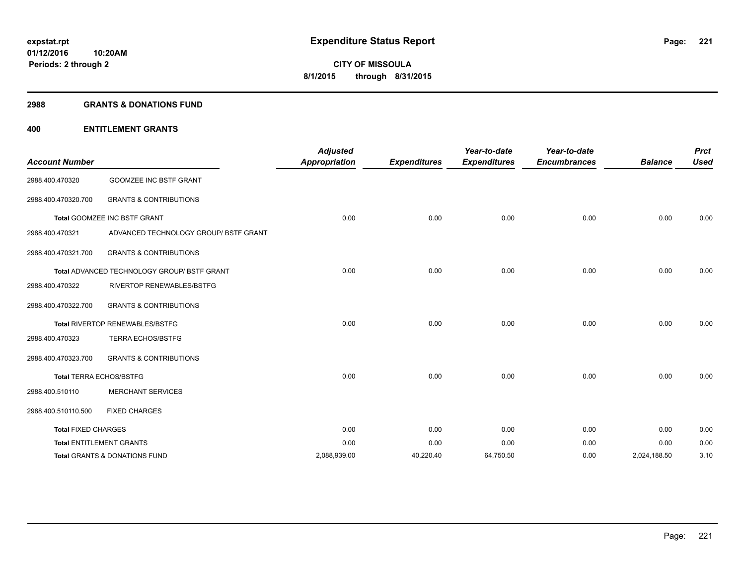#### **2988 GRANTS & DONATIONS FUND**

### **400 ENTITLEMENT GRANTS**

| <b>Account Number</b>      |                                                    | <b>Adjusted</b><br><b>Appropriation</b> | <b>Expenditures</b> | Year-to-date<br><b>Expenditures</b> | Year-to-date<br><b>Encumbrances</b> | <b>Balance</b> | <b>Prct</b><br><b>Used</b> |
|----------------------------|----------------------------------------------------|-----------------------------------------|---------------------|-------------------------------------|-------------------------------------|----------------|----------------------------|
| 2988.400.470320            | <b>GOOMZEE INC BSTF GRANT</b>                      |                                         |                     |                                     |                                     |                |                            |
| 2988.400.470320.700        | <b>GRANTS &amp; CONTRIBUTIONS</b>                  |                                         |                     |                                     |                                     |                |                            |
|                            | Total GOOMZEE INC BSTF GRANT                       | 0.00                                    | 0.00                | 0.00                                | 0.00                                | 0.00           | 0.00                       |
| 2988.400.470321            | ADVANCED TECHNOLOGY GROUP/ BSTF GRANT              |                                         |                     |                                     |                                     |                |                            |
| 2988.400.470321.700        | <b>GRANTS &amp; CONTRIBUTIONS</b>                  |                                         |                     |                                     |                                     |                |                            |
|                            | <b>Total ADVANCED TECHNOLOGY GROUP/ BSTF GRANT</b> | 0.00                                    | 0.00                | 0.00                                | 0.00                                | 0.00           | 0.00                       |
| 2988.400.470322            | <b>RIVERTOP RENEWABLES/BSTFG</b>                   |                                         |                     |                                     |                                     |                |                            |
| 2988.400.470322.700        | <b>GRANTS &amp; CONTRIBUTIONS</b>                  |                                         |                     |                                     |                                     |                |                            |
|                            | Total RIVERTOP RENEWABLES/BSTFG                    | 0.00                                    | 0.00                | 0.00                                | 0.00                                | 0.00           | 0.00                       |
| 2988.400.470323            | <b>TERRA ECHOS/BSTFG</b>                           |                                         |                     |                                     |                                     |                |                            |
| 2988.400.470323.700        | <b>GRANTS &amp; CONTRIBUTIONS</b>                  |                                         |                     |                                     |                                     |                |                            |
|                            | <b>Total TERRA ECHOS/BSTFG</b>                     | 0.00                                    | 0.00                | 0.00                                | 0.00                                | 0.00           | 0.00                       |
| 2988.400.510110            | <b>MERCHANT SERVICES</b>                           |                                         |                     |                                     |                                     |                |                            |
| 2988.400.510110.500        | <b>FIXED CHARGES</b>                               |                                         |                     |                                     |                                     |                |                            |
| <b>Total FIXED CHARGES</b> |                                                    | 0.00                                    | 0.00                | 0.00                                | 0.00                                | 0.00           | 0.00                       |
|                            | <b>Total ENTITLEMENT GRANTS</b>                    | 0.00                                    | 0.00                | 0.00                                | 0.00                                | 0.00           | 0.00                       |
|                            | Total GRANTS & DONATIONS FUND                      | 2,088,939.00                            | 40,220.40           | 64,750.50                           | 0.00                                | 2,024,188.50   | 3.10                       |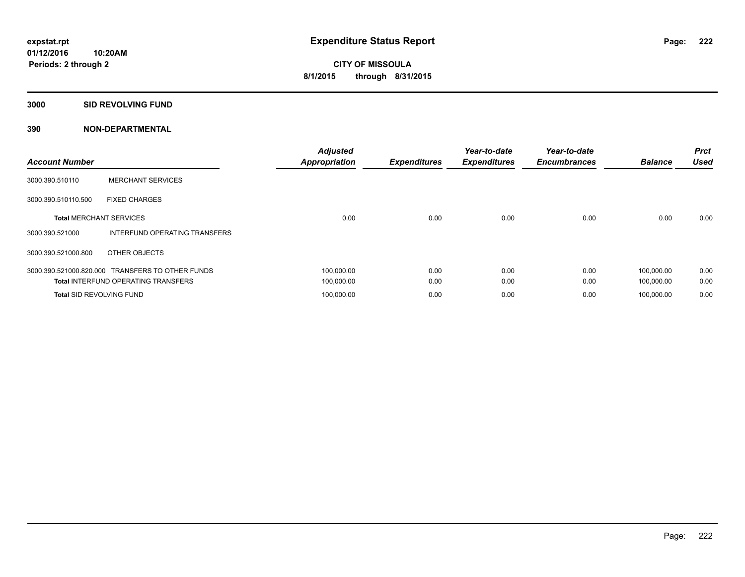#### **3000 SID REVOLVING FUND**

| <b>Account Number</b>           |                                                  | <b>Adjusted</b><br><b>Appropriation</b> | <b>Expenditures</b> | Year-to-date<br><b>Expenditures</b> | Year-to-date<br><b>Encumbrances</b> | <b>Balance</b> | <b>Prct</b><br><b>Used</b> |
|---------------------------------|--------------------------------------------------|-----------------------------------------|---------------------|-------------------------------------|-------------------------------------|----------------|----------------------------|
| 3000.390.510110                 | <b>MERCHANT SERVICES</b>                         |                                         |                     |                                     |                                     |                |                            |
| 3000.390.510110.500             | <b>FIXED CHARGES</b>                             |                                         |                     |                                     |                                     |                |                            |
| <b>Total MERCHANT SERVICES</b>  |                                                  | 0.00                                    | 0.00                | 0.00                                | 0.00                                | 0.00           | 0.00                       |
| 3000.390.521000                 | INTERFUND OPERATING TRANSFERS                    |                                         |                     |                                     |                                     |                |                            |
| 3000.390.521000.800             | OTHER OBJECTS                                    |                                         |                     |                                     |                                     |                |                            |
|                                 | 3000.390.521000.820.000 TRANSFERS TO OTHER FUNDS | 100,000.00                              | 0.00                | 0.00                                | 0.00                                | 100,000.00     | 0.00                       |
|                                 | <b>Total INTERFUND OPERATING TRANSFERS</b>       | 100,000.00                              | 0.00                | 0.00                                | 0.00                                | 100,000.00     | 0.00                       |
| <b>Total SID REVOLVING FUND</b> |                                                  | 100,000.00                              | 0.00                | 0.00                                | 0.00                                | 100.000.00     | 0.00                       |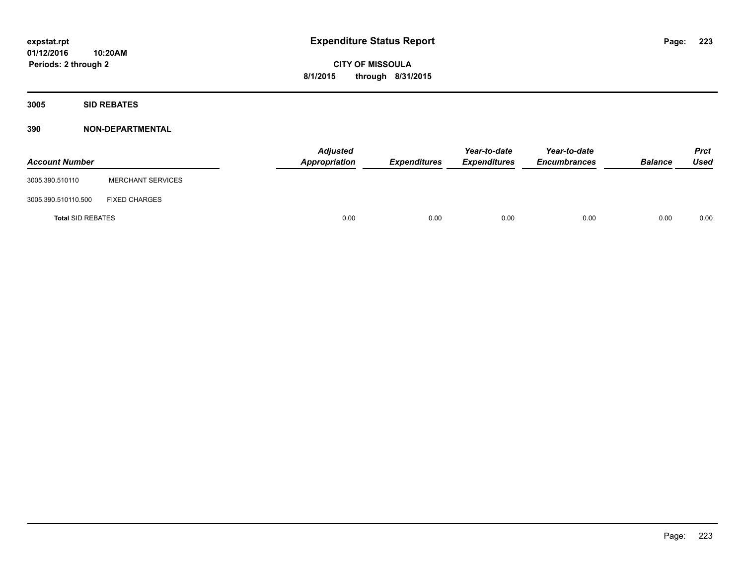**3005 SID REBATES**

| <b>Account Number</b>    |                          | <b>Adjusted</b><br>Appropriation | Expenditures | Year-to-date<br><b>Expenditures</b> | Year-to-date<br><b>Encumbrances</b> | <b>Balance</b> | <b>Prct</b><br>Used |
|--------------------------|--------------------------|----------------------------------|--------------|-------------------------------------|-------------------------------------|----------------|---------------------|
| 3005.390.510110          | <b>MERCHANT SERVICES</b> |                                  |              |                                     |                                     |                |                     |
| 3005.390.510110.500      | <b>FIXED CHARGES</b>     |                                  |              |                                     |                                     |                |                     |
| <b>Total SID REBATES</b> |                          | 0.00                             | 0.00         | 0.00                                | 0.00                                | 0.00           | 0.00                |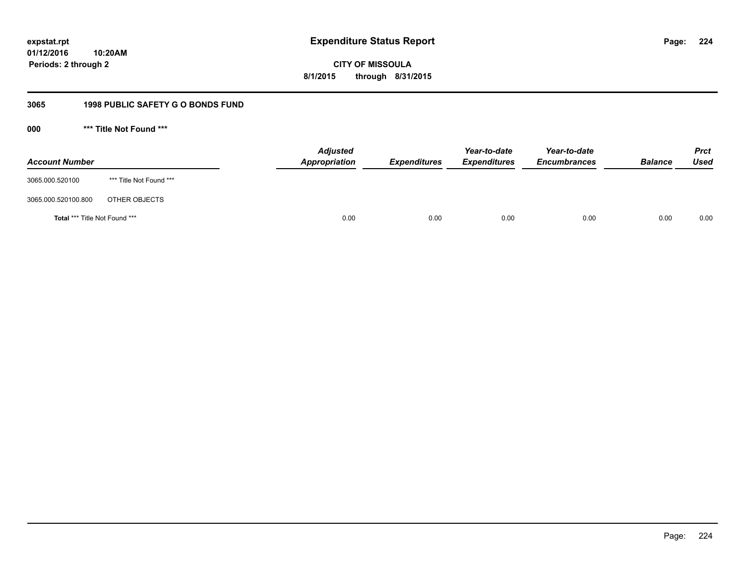**224**

**01/12/2016 10:20AM Periods: 2 through 2**

## **CITY OF MISSOULA 8/1/2015 through 8/31/2015**

### **3065 1998 PUBLIC SAFETY G O BONDS FUND**

**000 \*\*\* Title Not Found \*\*\***

| <b>Account Number</b>         |                         | <b>Adjusted</b><br>Appropriation | <b>Expenditures</b> | Year-to-date<br><b>Expenditures</b> | Year-to-date<br><b>Encumbrances</b> | <b>Balance</b> | <b>Prct</b><br><b>Used</b> |
|-------------------------------|-------------------------|----------------------------------|---------------------|-------------------------------------|-------------------------------------|----------------|----------------------------|
| 3065.000.520100               | *** Title Not Found *** |                                  |                     |                                     |                                     |                |                            |
| 3065.000.520100.800           | OTHER OBJECTS           |                                  |                     |                                     |                                     |                |                            |
| Total *** Title Not Found *** |                         | 0.00                             | 0.00                | 0.00                                | 0.00                                | 0.00           | 0.00                       |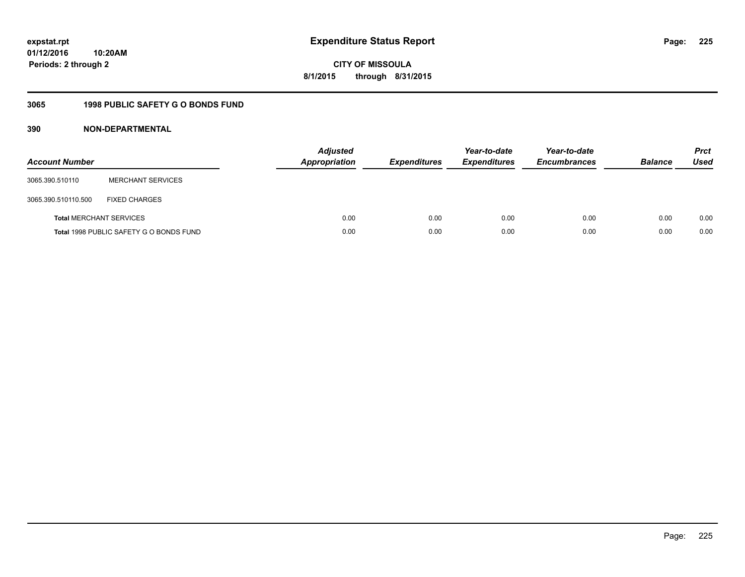**225**

**01/12/2016 10:20AM Periods: 2 through 2**

**CITY OF MISSOULA 8/1/2015 through 8/31/2015**

### **3065 1998 PUBLIC SAFETY G O BONDS FUND**

| <b>Account Number</b>          |                                         | <b>Adjusted</b><br>Appropriation | <b>Expenditures</b> | Year-to-date<br><b>Expenditures</b> | Year-to-date<br><b>Encumbrances</b> | <b>Balance</b> | <b>Prct</b><br>Used |
|--------------------------------|-----------------------------------------|----------------------------------|---------------------|-------------------------------------|-------------------------------------|----------------|---------------------|
| 3065.390.510110                | <b>MERCHANT SERVICES</b>                |                                  |                     |                                     |                                     |                |                     |
| 3065.390.510110.500            | <b>FIXED CHARGES</b>                    |                                  |                     |                                     |                                     |                |                     |
| <b>Total MERCHANT SERVICES</b> |                                         | 0.00                             | 0.00                | 0.00                                | 0.00                                | 0.00           | 0.00                |
|                                | Total 1998 PUBLIC SAFETY G O BONDS FUND | 0.00                             | 0.00                | 0.00                                | 0.00                                | 0.00           | 0.00                |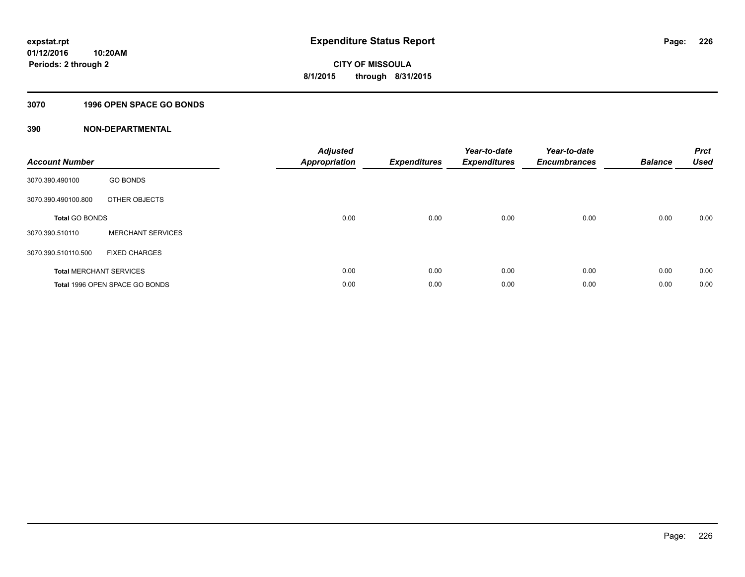### **3070 1996 OPEN SPACE GO BONDS**

| <b>Account Number</b> |                                       | <b>Adjusted</b><br><b>Appropriation</b> | <b>Expenditures</b> | Year-to-date<br><b>Expenditures</b> | Year-to-date<br><b>Encumbrances</b> | <b>Balance</b> | <b>Prct</b><br><b>Used</b> |
|-----------------------|---------------------------------------|-----------------------------------------|---------------------|-------------------------------------|-------------------------------------|----------------|----------------------------|
| 3070.390.490100       | <b>GO BONDS</b>                       |                                         |                     |                                     |                                     |                |                            |
| 3070.390.490100.800   | OTHER OBJECTS                         |                                         |                     |                                     |                                     |                |                            |
| <b>Total GO BONDS</b> |                                       | 0.00                                    | 0.00                | 0.00                                | 0.00                                | 0.00           | 0.00                       |
| 3070.390.510110       | <b>MERCHANT SERVICES</b>              |                                         |                     |                                     |                                     |                |                            |
| 3070.390.510110.500   | <b>FIXED CHARGES</b>                  |                                         |                     |                                     |                                     |                |                            |
|                       | <b>Total MERCHANT SERVICES</b>        | 0.00                                    | 0.00                | 0.00                                | 0.00                                | 0.00           | 0.00                       |
|                       | <b>Total 1996 OPEN SPACE GO BONDS</b> | 0.00                                    | 0.00                | 0.00                                | 0.00                                | 0.00           | 0.00                       |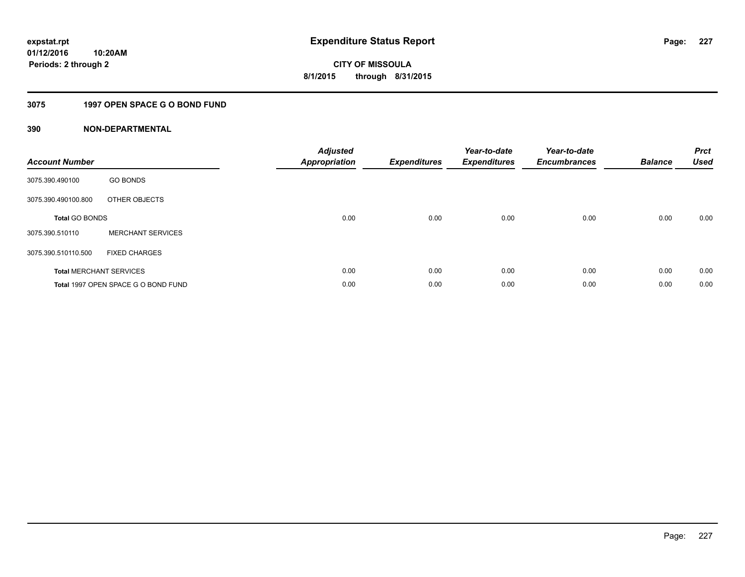### **3075 1997 OPEN SPACE G O BOND FUND**

| <b>Account Number</b> |                                     | <b>Adjusted</b><br><b>Appropriation</b> | <b>Expenditures</b> | Year-to-date<br><b>Expenditures</b> | Year-to-date<br><b>Encumbrances</b> | <b>Balance</b> | <b>Prct</b><br><b>Used</b> |
|-----------------------|-------------------------------------|-----------------------------------------|---------------------|-------------------------------------|-------------------------------------|----------------|----------------------------|
| 3075.390.490100       | <b>GO BONDS</b>                     |                                         |                     |                                     |                                     |                |                            |
| 3075.390.490100.800   | OTHER OBJECTS                       |                                         |                     |                                     |                                     |                |                            |
| <b>Total GO BONDS</b> |                                     | 0.00                                    | 0.00                | 0.00                                | 0.00                                | 0.00           | 0.00                       |
| 3075.390.510110       | <b>MERCHANT SERVICES</b>            |                                         |                     |                                     |                                     |                |                            |
| 3075.390.510110.500   | <b>FIXED CHARGES</b>                |                                         |                     |                                     |                                     |                |                            |
|                       | <b>Total MERCHANT SERVICES</b>      | 0.00                                    | 0.00                | 0.00                                | 0.00                                | 0.00           | 0.00                       |
|                       | Total 1997 OPEN SPACE G O BOND FUND | 0.00                                    | 0.00                | 0.00                                | 0.00                                | 0.00           | 0.00                       |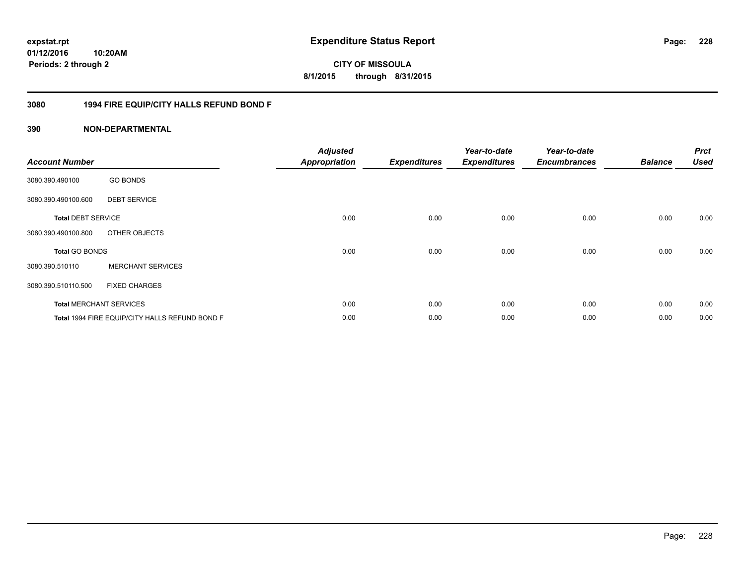# **01/12/2016**

**228**

**10:20AM Periods: 2 through 2**

# **CITY OF MISSOULA 8/1/2015 through 8/31/2015**

### **3080 1994 FIRE EQUIP/CITY HALLS REFUND BOND F**

| <b>Account Number</b>     |                                                | <b>Adjusted</b><br><b>Appropriation</b> | <b>Expenditures</b> | Year-to-date<br><b>Expenditures</b> | Year-to-date<br><b>Encumbrances</b> | <b>Balance</b> | <b>Prct</b><br><b>Used</b> |
|---------------------------|------------------------------------------------|-----------------------------------------|---------------------|-------------------------------------|-------------------------------------|----------------|----------------------------|
| 3080.390.490100           | <b>GO BONDS</b>                                |                                         |                     |                                     |                                     |                |                            |
| 3080.390.490100.600       | <b>DEBT SERVICE</b>                            |                                         |                     |                                     |                                     |                |                            |
| <b>Total DEBT SERVICE</b> |                                                | 0.00                                    | 0.00                | 0.00                                | 0.00                                | 0.00           | 0.00                       |
| 3080.390.490100.800       | OTHER OBJECTS                                  |                                         |                     |                                     |                                     |                |                            |
| <b>Total GO BONDS</b>     |                                                | 0.00                                    | 0.00                | 0.00                                | 0.00                                | 0.00           | 0.00                       |
| 3080.390.510110           | <b>MERCHANT SERVICES</b>                       |                                         |                     |                                     |                                     |                |                            |
| 3080.390.510110.500       | <b>FIXED CHARGES</b>                           |                                         |                     |                                     |                                     |                |                            |
|                           | <b>Total MERCHANT SERVICES</b>                 | 0.00                                    | 0.00                | 0.00                                | 0.00                                | 0.00           | 0.00                       |
|                           | Total 1994 FIRE EQUIP/CITY HALLS REFUND BOND F | 0.00                                    | 0.00                | 0.00                                | 0.00                                | 0.00           | 0.00                       |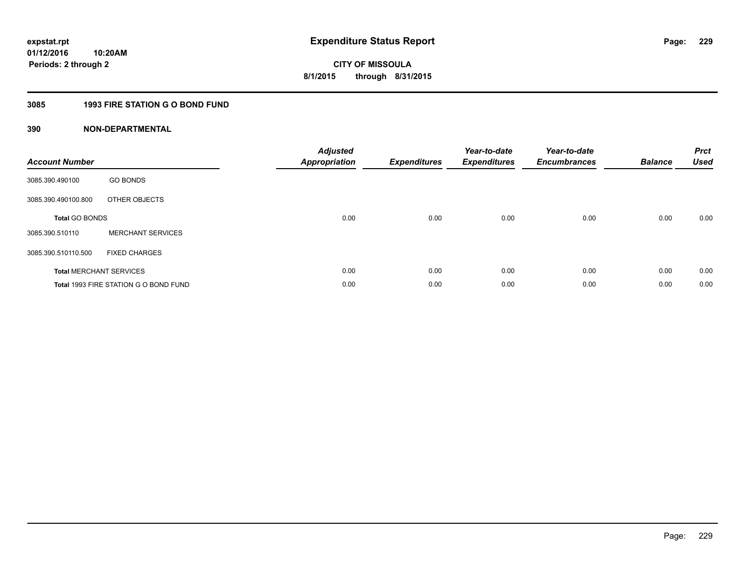### **3085 1993 FIRE STATION G O BOND FUND**

| <b>Account Number</b> |                                       | <b>Adjusted</b><br><b>Appropriation</b> | <b>Expenditures</b> | Year-to-date<br><b>Expenditures</b> | Year-to-date<br><b>Encumbrances</b> | <b>Balance</b> | <b>Prct</b><br><b>Used</b> |
|-----------------------|---------------------------------------|-----------------------------------------|---------------------|-------------------------------------|-------------------------------------|----------------|----------------------------|
| 3085.390.490100       | <b>GO BONDS</b>                       |                                         |                     |                                     |                                     |                |                            |
| 3085.390.490100.800   | OTHER OBJECTS                         |                                         |                     |                                     |                                     |                |                            |
| <b>Total GO BONDS</b> |                                       | 0.00                                    | 0.00                | 0.00                                | 0.00                                | 0.00           | 0.00                       |
| 3085.390.510110       | <b>MERCHANT SERVICES</b>              |                                         |                     |                                     |                                     |                |                            |
| 3085.390.510110.500   | <b>FIXED CHARGES</b>                  |                                         |                     |                                     |                                     |                |                            |
|                       | <b>Total MERCHANT SERVICES</b>        | 0.00                                    | 0.00                | 0.00                                | 0.00                                | 0.00           | 0.00                       |
|                       | Total 1993 FIRE STATION G O BOND FUND | 0.00                                    | 0.00                | 0.00                                | 0.00                                | 0.00           | 0.00                       |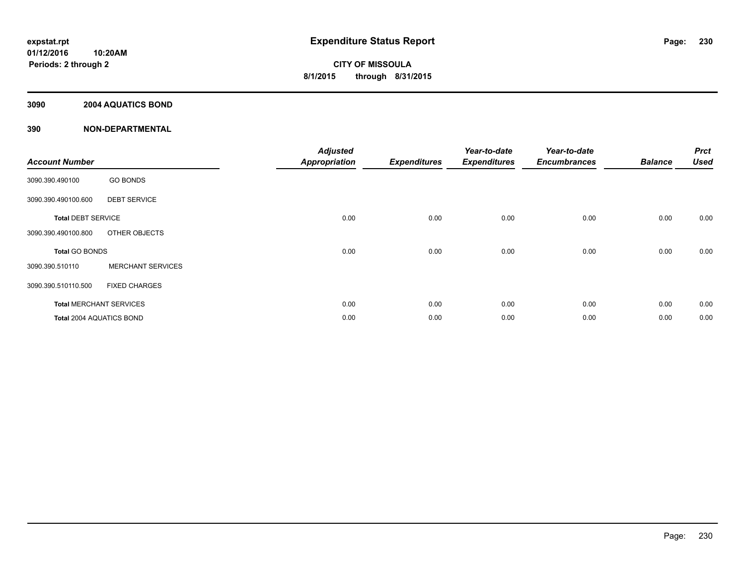### **3090 2004 AQUATICS BOND**

|                           |                                | <b>Adjusted</b>      |                     | Year-to-date        | Year-to-date        |                | <b>Prct</b> |
|---------------------------|--------------------------------|----------------------|---------------------|---------------------|---------------------|----------------|-------------|
| <b>Account Number</b>     |                                | <b>Appropriation</b> | <b>Expenditures</b> | <b>Expenditures</b> | <b>Encumbrances</b> | <b>Balance</b> | <b>Used</b> |
| 3090.390.490100           | <b>GO BONDS</b>                |                      |                     |                     |                     |                |             |
| 3090.390.490100.600       | <b>DEBT SERVICE</b>            |                      |                     |                     |                     |                |             |
| <b>Total DEBT SERVICE</b> |                                | 0.00                 | 0.00                | 0.00                | 0.00                | 0.00           | 0.00        |
| 3090.390.490100.800       | OTHER OBJECTS                  |                      |                     |                     |                     |                |             |
| Total GO BONDS            |                                | 0.00                 | 0.00                | 0.00                | 0.00                | 0.00           | 0.00        |
| 3090.390.510110           | <b>MERCHANT SERVICES</b>       |                      |                     |                     |                     |                |             |
| 3090.390.510110.500       | <b>FIXED CHARGES</b>           |                      |                     |                     |                     |                |             |
|                           | <b>Total MERCHANT SERVICES</b> | 0.00                 | 0.00                | 0.00                | 0.00                | 0.00           | 0.00        |
| Total 2004 AQUATICS BOND  |                                | 0.00                 | 0.00                | 0.00                | 0.00                | 0.00           | 0.00        |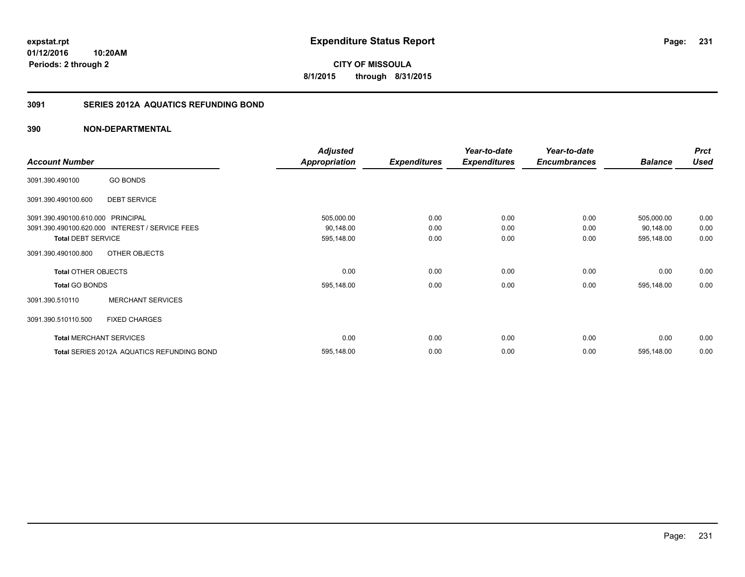**231**

**01/12/2016 10:20AM Periods: 2 through 2**

**CITY OF MISSOULA 8/1/2015 through 8/31/2015**

### **3091 SERIES 2012A AQUATICS REFUNDING BOND**

|                                   |                                                 | <b>Adjusted</b>      |                     | Year-to-date        | Year-to-date        |                | <b>Prct</b> |
|-----------------------------------|-------------------------------------------------|----------------------|---------------------|---------------------|---------------------|----------------|-------------|
| <b>Account Number</b>             |                                                 | <b>Appropriation</b> | <b>Expenditures</b> | <b>Expenditures</b> | <b>Encumbrances</b> | <b>Balance</b> | <b>Used</b> |
| 3091.390.490100                   | <b>GO BONDS</b>                                 |                      |                     |                     |                     |                |             |
| 3091.390.490100.600               | <b>DEBT SERVICE</b>                             |                      |                     |                     |                     |                |             |
| 3091.390.490100.610.000 PRINCIPAL |                                                 | 505,000.00           | 0.00                | 0.00                | 0.00                | 505,000.00     | 0.00        |
|                                   | 3091.390.490100.620.000 INTEREST / SERVICE FEES | 90,148.00            | 0.00                | 0.00                | 0.00                | 90,148.00      | 0.00        |
| <b>Total DEBT SERVICE</b>         |                                                 | 595,148.00           | 0.00                | 0.00                | 0.00                | 595,148.00     | 0.00        |
| 3091.390.490100.800               | OTHER OBJECTS                                   |                      |                     |                     |                     |                |             |
| <b>Total OTHER OBJECTS</b>        |                                                 | 0.00                 | 0.00                | 0.00                | 0.00                | 0.00           | 0.00        |
| <b>Total GO BONDS</b>             |                                                 | 595,148.00           | 0.00                | 0.00                | 0.00                | 595,148.00     | 0.00        |
| 3091.390.510110                   | <b>MERCHANT SERVICES</b>                        |                      |                     |                     |                     |                |             |
| 3091.390.510110.500               | <b>FIXED CHARGES</b>                            |                      |                     |                     |                     |                |             |
|                                   | <b>Total MERCHANT SERVICES</b>                  | 0.00                 | 0.00                | 0.00                | 0.00                | 0.00           | 0.00        |
|                                   | Total SERIES 2012A AQUATICS REFUNDING BOND      | 595,148.00           | 0.00                | 0.00                | 0.00                | 595,148.00     | 0.00        |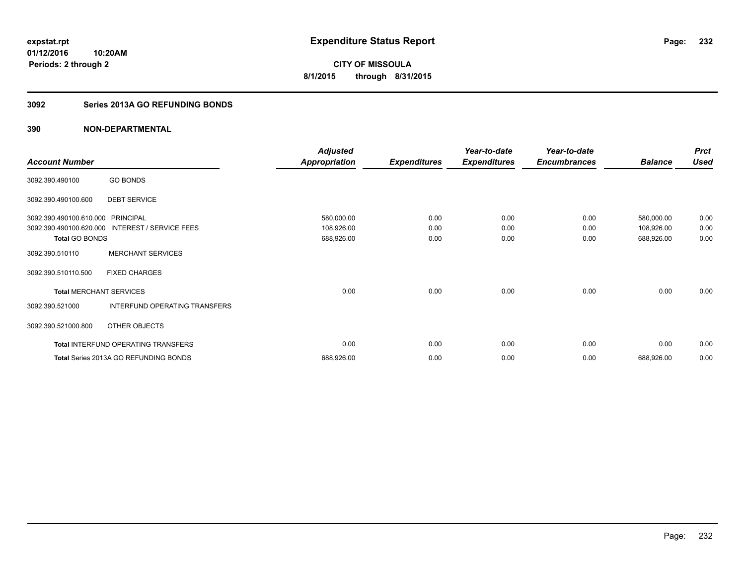**Periods: 2 through 2**

**CITY OF MISSOULA 8/1/2015 through 8/31/2015**

### **3092 Series 2013A GO REFUNDING BONDS**

### **390 NON-DEPARTMENTAL**

**10:20AM**

|                                |                                            | <b>Adjusted</b>      |                     | Year-to-date        | Year-to-date        |                | <b>Prct</b> |
|--------------------------------|--------------------------------------------|----------------------|---------------------|---------------------|---------------------|----------------|-------------|
| <b>Account Number</b>          |                                            | <b>Appropriation</b> | <b>Expenditures</b> | <b>Expenditures</b> | <b>Encumbrances</b> | <b>Balance</b> | <b>Used</b> |
| 3092.390.490100                | <b>GO BONDS</b>                            |                      |                     |                     |                     |                |             |
| 3092.390.490100.600            | <b>DEBT SERVICE</b>                        |                      |                     |                     |                     |                |             |
| 3092.390.490100.610.000        | <b>PRINCIPAL</b>                           | 580,000.00           | 0.00                | 0.00                | 0.00                | 580,000.00     | 0.00        |
| 3092.390.490100.620.000        | <b>INTEREST / SERVICE FEES</b>             | 108,926.00           | 0.00                | 0.00                | 0.00                | 108,926.00     | 0.00        |
| <b>Total GO BONDS</b>          |                                            | 688,926.00           | 0.00                | 0.00                | 0.00                | 688,926.00     | 0.00        |
| 3092.390.510110                | <b>MERCHANT SERVICES</b>                   |                      |                     |                     |                     |                |             |
| 3092.390.510110.500            | <b>FIXED CHARGES</b>                       |                      |                     |                     |                     |                |             |
| <b>Total MERCHANT SERVICES</b> |                                            | 0.00                 | 0.00                | 0.00                | 0.00                | 0.00           | 0.00        |
| 3092.390.521000                | INTERFUND OPERATING TRANSFERS              |                      |                     |                     |                     |                |             |
| 3092.390.521000.800            | OTHER OBJECTS                              |                      |                     |                     |                     |                |             |
|                                | <b>Total INTERFUND OPERATING TRANSFERS</b> | 0.00                 | 0.00                | 0.00                | 0.00                | 0.00           | 0.00        |
|                                | Total Series 2013A GO REFUNDING BONDS      | 688,926.00           | 0.00                | 0.00                | 0.00                | 688,926.00     | 0.00        |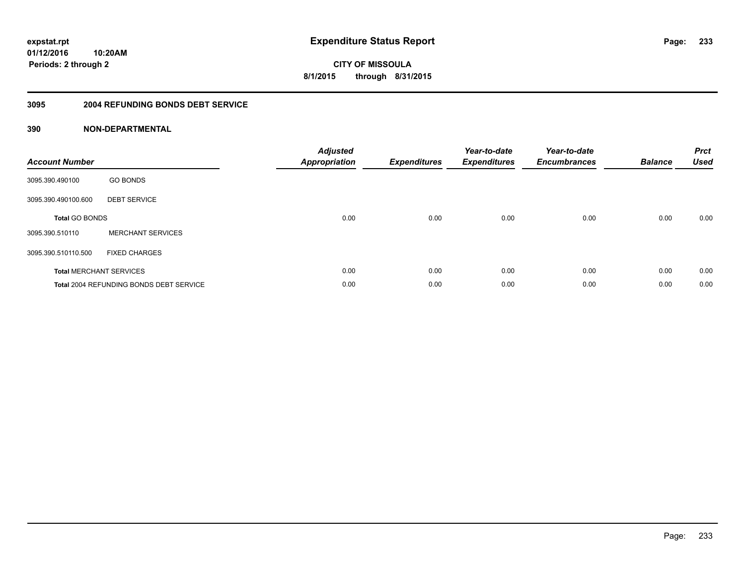**233**

**01/12/2016 10:20AM Periods: 2 through 2**

**CITY OF MISSOULA 8/1/2015 through 8/31/2015**

#### **3095 2004 REFUNDING BONDS DEBT SERVICE**

| <b>Account Number</b> |                                                | <b>Adjusted</b><br><b>Appropriation</b> | <b>Expenditures</b> | Year-to-date<br><b>Expenditures</b> | Year-to-date<br><b>Encumbrances</b> | <b>Balance</b> | <b>Prct</b><br><b>Used</b> |
|-----------------------|------------------------------------------------|-----------------------------------------|---------------------|-------------------------------------|-------------------------------------|----------------|----------------------------|
| 3095.390.490100       | <b>GO BONDS</b>                                |                                         |                     |                                     |                                     |                |                            |
| 3095.390.490100.600   | <b>DEBT SERVICE</b>                            |                                         |                     |                                     |                                     |                |                            |
| <b>Total GO BONDS</b> |                                                | 0.00                                    | 0.00                | 0.00                                | 0.00                                | 0.00           | 0.00                       |
| 3095.390.510110       | <b>MERCHANT SERVICES</b>                       |                                         |                     |                                     |                                     |                |                            |
| 3095.390.510110.500   | <b>FIXED CHARGES</b>                           |                                         |                     |                                     |                                     |                |                            |
|                       | <b>Total MERCHANT SERVICES</b>                 | 0.00                                    | 0.00                | 0.00                                | 0.00                                | 0.00           | 0.00                       |
|                       | <b>Total 2004 REFUNDING BONDS DEBT SERVICE</b> | 0.00                                    | 0.00                | 0.00                                | 0.00                                | 0.00           | 0.00                       |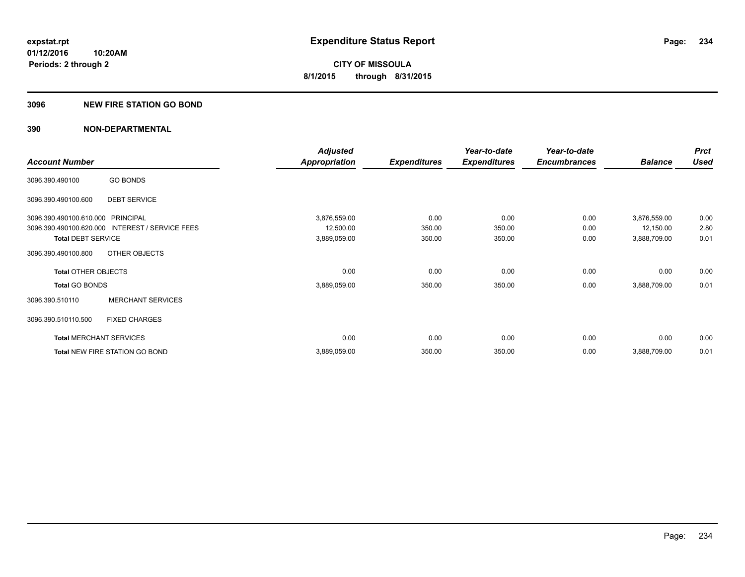#### **3096 NEW FIRE STATION GO BOND**

|                                   |                                                 | <b>Adjusted</b>      |                     | Year-to-date        | Year-to-date        |                | <b>Prct</b> |
|-----------------------------------|-------------------------------------------------|----------------------|---------------------|---------------------|---------------------|----------------|-------------|
| <b>Account Number</b>             |                                                 | <b>Appropriation</b> | <b>Expenditures</b> | <b>Expenditures</b> | <b>Encumbrances</b> | <b>Balance</b> | <b>Used</b> |
| 3096.390.490100                   | <b>GO BONDS</b>                                 |                      |                     |                     |                     |                |             |
| 3096.390.490100.600               | <b>DEBT SERVICE</b>                             |                      |                     |                     |                     |                |             |
| 3096.390.490100.610.000 PRINCIPAL |                                                 | 3,876,559.00         | 0.00                | 0.00                | 0.00                | 3,876,559.00   | 0.00        |
|                                   | 3096.390.490100.620.000 INTEREST / SERVICE FEES | 12,500.00            | 350.00              | 350.00              | 0.00                | 12,150.00      | 2.80        |
| <b>Total DEBT SERVICE</b>         |                                                 | 3,889,059.00         | 350.00              | 350.00              | 0.00                | 3,888,709.00   | 0.01        |
| 3096.390.490100.800               | OTHER OBJECTS                                   |                      |                     |                     |                     |                |             |
| <b>Total OTHER OBJECTS</b>        |                                                 | 0.00                 | 0.00                | 0.00                | 0.00                | 0.00           | 0.00        |
| <b>Total GO BONDS</b>             |                                                 | 3,889,059.00         | 350.00              | 350.00              | 0.00                | 3,888,709.00   | 0.01        |
| 3096.390.510110                   | <b>MERCHANT SERVICES</b>                        |                      |                     |                     |                     |                |             |
| 3096.390.510110.500               | <b>FIXED CHARGES</b>                            |                      |                     |                     |                     |                |             |
|                                   | <b>Total MERCHANT SERVICES</b>                  | 0.00                 | 0.00                | 0.00                | 0.00                | 0.00           | 0.00        |
|                                   | Total NEW FIRE STATION GO BOND                  | 3,889,059.00         | 350.00              | 350.00              | 0.00                | 3,888,709.00   | 0.01        |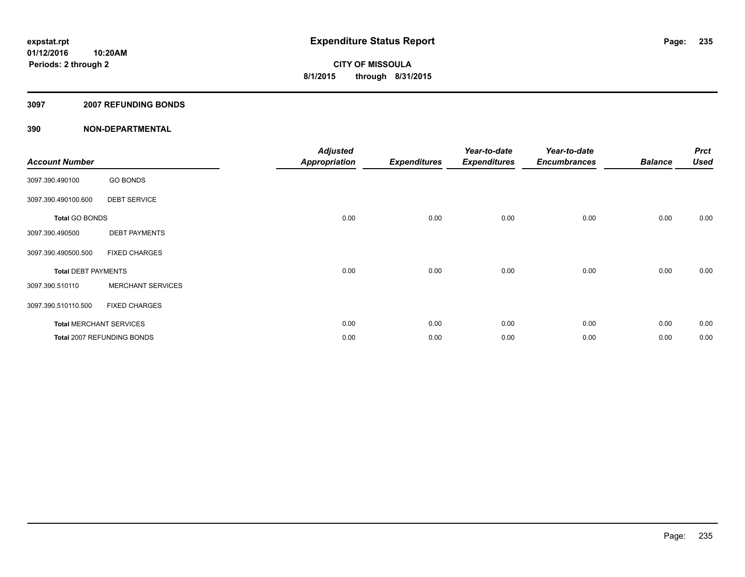#### **3097 2007 REFUNDING BONDS**

| <b>Account Number</b>      |                                | <b>Adjusted</b><br><b>Appropriation</b> | <b>Expenditures</b> | Year-to-date<br><b>Expenditures</b> | Year-to-date<br><b>Encumbrances</b> | <b>Balance</b> | <b>Prct</b><br><b>Used</b> |
|----------------------------|--------------------------------|-----------------------------------------|---------------------|-------------------------------------|-------------------------------------|----------------|----------------------------|
| 3097.390.490100            | <b>GO BONDS</b>                |                                         |                     |                                     |                                     |                |                            |
| 3097.390.490100.600        | <b>DEBT SERVICE</b>            |                                         |                     |                                     |                                     |                |                            |
| <b>Total GO BONDS</b>      |                                | 0.00                                    | 0.00                | 0.00                                | 0.00                                | 0.00           | 0.00                       |
| 3097.390.490500            | <b>DEBT PAYMENTS</b>           |                                         |                     |                                     |                                     |                |                            |
| 3097.390.490500.500        | <b>FIXED CHARGES</b>           |                                         |                     |                                     |                                     |                |                            |
| <b>Total DEBT PAYMENTS</b> |                                | 0.00                                    | 0.00                | 0.00                                | 0.00                                | 0.00           | 0.00                       |
| 3097.390.510110            | <b>MERCHANT SERVICES</b>       |                                         |                     |                                     |                                     |                |                            |
| 3097.390.510110.500        | <b>FIXED CHARGES</b>           |                                         |                     |                                     |                                     |                |                            |
|                            | <b>Total MERCHANT SERVICES</b> | 0.00                                    | 0.00                | 0.00                                | 0.00                                | 0.00           | 0.00                       |
|                            | Total 2007 REFUNDING BONDS     | 0.00                                    | 0.00                | 0.00                                | 0.00                                | 0.00           | 0.00                       |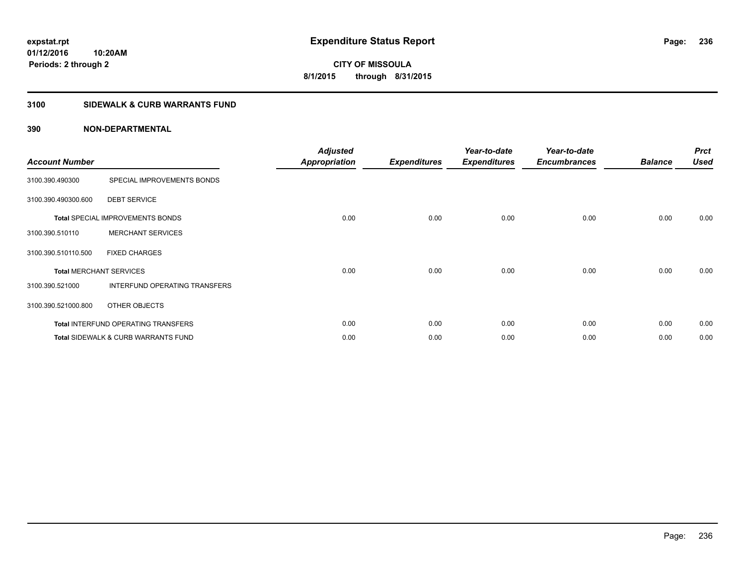### **3100 SIDEWALK & CURB WARRANTS FUND**

| <b>Account Number</b>          |                                                | <b>Adjusted</b><br><b>Appropriation</b> | <b>Expenditures</b> | Year-to-date<br><b>Expenditures</b> | Year-to-date<br><b>Encumbrances</b> | <b>Balance</b> | <b>Prct</b><br>Used |
|--------------------------------|------------------------------------------------|-----------------------------------------|---------------------|-------------------------------------|-------------------------------------|----------------|---------------------|
| 3100.390.490300                | SPECIAL IMPROVEMENTS BONDS                     |                                         |                     |                                     |                                     |                |                     |
| 3100.390.490300.600            | <b>DEBT SERVICE</b>                            |                                         |                     |                                     |                                     |                |                     |
|                                | <b>Total SPECIAL IMPROVEMENTS BONDS</b>        | 0.00                                    | 0.00                | 0.00                                | 0.00                                | 0.00           | 0.00                |
| 3100.390.510110                | <b>MERCHANT SERVICES</b>                       |                                         |                     |                                     |                                     |                |                     |
| 3100.390.510110.500            | <b>FIXED CHARGES</b>                           |                                         |                     |                                     |                                     |                |                     |
| <b>Total MERCHANT SERVICES</b> |                                                | 0.00                                    | 0.00                | 0.00                                | 0.00                                | 0.00           | 0.00                |
| 3100.390.521000                | INTERFUND OPERATING TRANSFERS                  |                                         |                     |                                     |                                     |                |                     |
| 3100.390.521000.800            | OTHER OBJECTS                                  |                                         |                     |                                     |                                     |                |                     |
|                                | Total INTERFUND OPERATING TRANSFERS            | 0.00                                    | 0.00                | 0.00                                | 0.00                                | 0.00           | 0.00                |
|                                | <b>Total SIDEWALK &amp; CURB WARRANTS FUND</b> | 0.00                                    | 0.00                | 0.00                                | 0.00                                | 0.00           | 0.00                |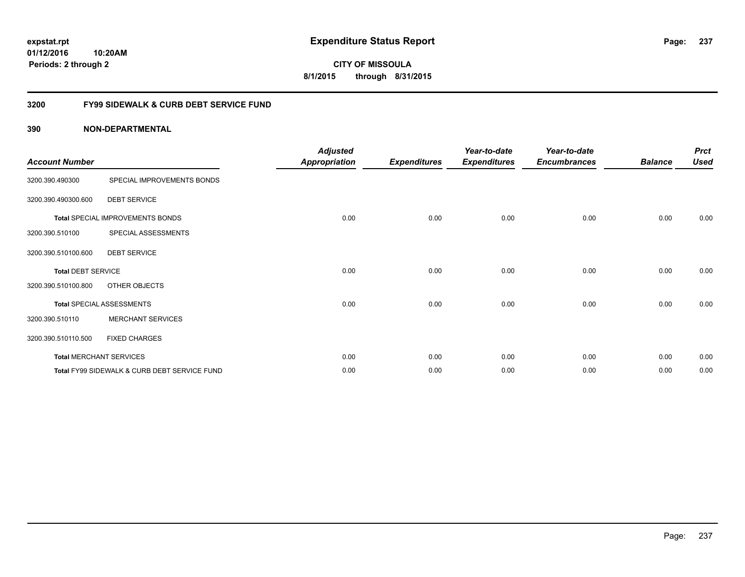**01/12/2016 10:20AM Periods: 2 through 2**

**CITY OF MISSOULA 8/1/2015 through 8/31/2015**

### **3200 FY99 SIDEWALK & CURB DEBT SERVICE FUND**

| <b>Account Number</b>     |                                              | <b>Adjusted</b><br><b>Appropriation</b> | <b>Expenditures</b> | Year-to-date<br><b>Expenditures</b> | Year-to-date<br><b>Encumbrances</b> | <b>Balance</b> | <b>Prct</b><br><b>Used</b> |
|---------------------------|----------------------------------------------|-----------------------------------------|---------------------|-------------------------------------|-------------------------------------|----------------|----------------------------|
| 3200.390.490300           | SPECIAL IMPROVEMENTS BONDS                   |                                         |                     |                                     |                                     |                |                            |
| 3200.390.490300.600       | <b>DEBT SERVICE</b>                          |                                         |                     |                                     |                                     |                |                            |
|                           | <b>Total SPECIAL IMPROVEMENTS BONDS</b>      | 0.00                                    | 0.00                | 0.00                                | 0.00                                | 0.00           | 0.00                       |
| 3200.390.510100           | SPECIAL ASSESSMENTS                          |                                         |                     |                                     |                                     |                |                            |
| 3200.390.510100.600       | <b>DEBT SERVICE</b>                          |                                         |                     |                                     |                                     |                |                            |
| <b>Total DEBT SERVICE</b> |                                              | 0.00                                    | 0.00                | 0.00                                | 0.00                                | 0.00           | 0.00                       |
| 3200.390.510100.800       | OTHER OBJECTS                                |                                         |                     |                                     |                                     |                |                            |
|                           | <b>Total SPECIAL ASSESSMENTS</b>             | 0.00                                    | 0.00                | 0.00                                | 0.00                                | 0.00           | 0.00                       |
| 3200.390.510110           | <b>MERCHANT SERVICES</b>                     |                                         |                     |                                     |                                     |                |                            |
| 3200.390.510110.500       | <b>FIXED CHARGES</b>                         |                                         |                     |                                     |                                     |                |                            |
|                           | <b>Total MERCHANT SERVICES</b>               | 0.00                                    | 0.00                | 0.00                                | 0.00                                | 0.00           | 0.00                       |
|                           | Total FY99 SIDEWALK & CURB DEBT SERVICE FUND | 0.00                                    | 0.00                | 0.00                                | 0.00                                | 0.00           | 0.00                       |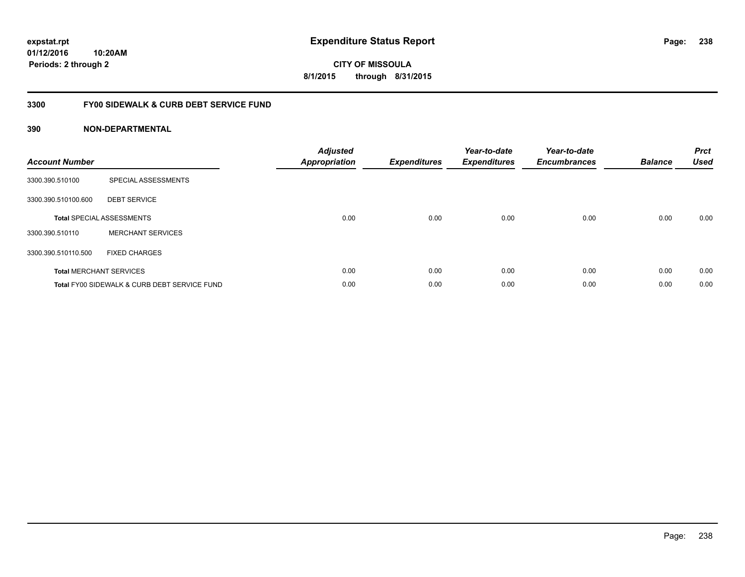**01/12/2016 10:20AM Periods: 2 through 2**

**CITY OF MISSOULA 8/1/2015 through 8/31/2015**

### **3300 FY00 SIDEWALK & CURB DEBT SERVICE FUND**

| <b>Account Number</b> |                                              | <b>Adjusted</b><br>Appropriation | <b>Expenditures</b> | Year-to-date<br><b>Expenditures</b> | Year-to-date<br><b>Encumbrances</b> | <b>Balance</b> | <b>Prct</b><br><b>Used</b> |
|-----------------------|----------------------------------------------|----------------------------------|---------------------|-------------------------------------|-------------------------------------|----------------|----------------------------|
| 3300.390.510100       | SPECIAL ASSESSMENTS                          |                                  |                     |                                     |                                     |                |                            |
| 3300.390.510100.600   | <b>DEBT SERVICE</b>                          |                                  |                     |                                     |                                     |                |                            |
|                       | <b>Total SPECIAL ASSESSMENTS</b>             | 0.00                             | 0.00                | 0.00                                | 0.00                                | 0.00           | 0.00                       |
| 3300.390.510110       | <b>MERCHANT SERVICES</b>                     |                                  |                     |                                     |                                     |                |                            |
| 3300.390.510110.500   | <b>FIXED CHARGES</b>                         |                                  |                     |                                     |                                     |                |                            |
|                       | <b>Total MERCHANT SERVICES</b>               | 0.00                             | 0.00                | 0.00                                | 0.00                                | 0.00           | 0.00                       |
|                       | Total FY00 SIDEWALK & CURB DEBT SERVICE FUND | 0.00                             | 0.00                | 0.00                                | 0.00                                | 0.00           | 0.00                       |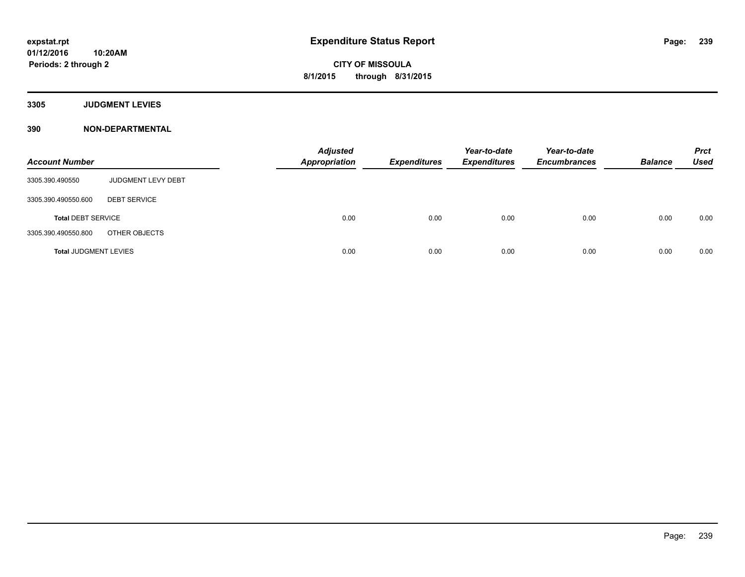**3305 JUDGMENT LEVIES**

| <b>Account Number</b>        |                     | <b>Adjusted</b><br><b>Appropriation</b> | <b>Expenditures</b> | Year-to-date<br><b>Expenditures</b> | Year-to-date<br><b>Encumbrances</b> | <b>Balance</b> | <b>Prct</b><br><b>Used</b> |
|------------------------------|---------------------|-----------------------------------------|---------------------|-------------------------------------|-------------------------------------|----------------|----------------------------|
| 3305.390.490550              | JUDGMENT LEVY DEBT  |                                         |                     |                                     |                                     |                |                            |
| 3305.390.490550.600          | <b>DEBT SERVICE</b> |                                         |                     |                                     |                                     |                |                            |
| <b>Total DEBT SERVICE</b>    |                     | 0.00                                    | 0.00                | 0.00                                | 0.00                                | 0.00           | 0.00                       |
| 3305.390.490550.800          | OTHER OBJECTS       |                                         |                     |                                     |                                     |                |                            |
| <b>Total JUDGMENT LEVIES</b> |                     | 0.00                                    | 0.00                | 0.00                                | 0.00                                | 0.00           | 0.00                       |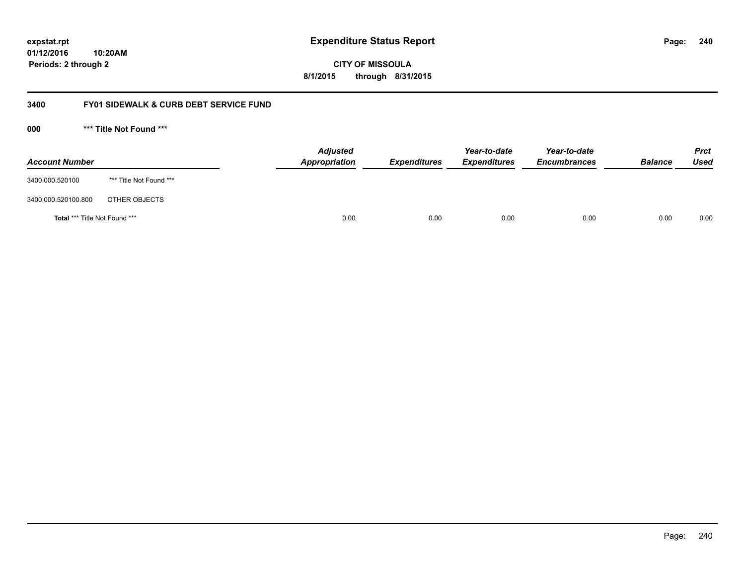**240**

**01/12/2016 10:20AM Periods: 2 through 2**

**CITY OF MISSOULA 8/1/2015 through 8/31/2015**

### **3400 FY01 SIDEWALK & CURB DEBT SERVICE FUND**

**000 \*\*\* Title Not Found \*\*\***

| <b>Account Number</b>         |                         | <b>Adjusted</b><br>Appropriation | <b>Expenditures</b> | Year-to-date<br><b>Expenditures</b> | Year-to-date<br><b>Encumbrances</b> | <b>Balance</b> | <b>Prct</b><br>Used |
|-------------------------------|-------------------------|----------------------------------|---------------------|-------------------------------------|-------------------------------------|----------------|---------------------|
| 3400.000.520100               | *** Title Not Found *** |                                  |                     |                                     |                                     |                |                     |
| 3400.000.520100.800           | OTHER OBJECTS           |                                  |                     |                                     |                                     |                |                     |
| Total *** Title Not Found *** |                         | 0.00                             | 0.00                | 0.00                                | 0.00                                | 0.00           | 0.00                |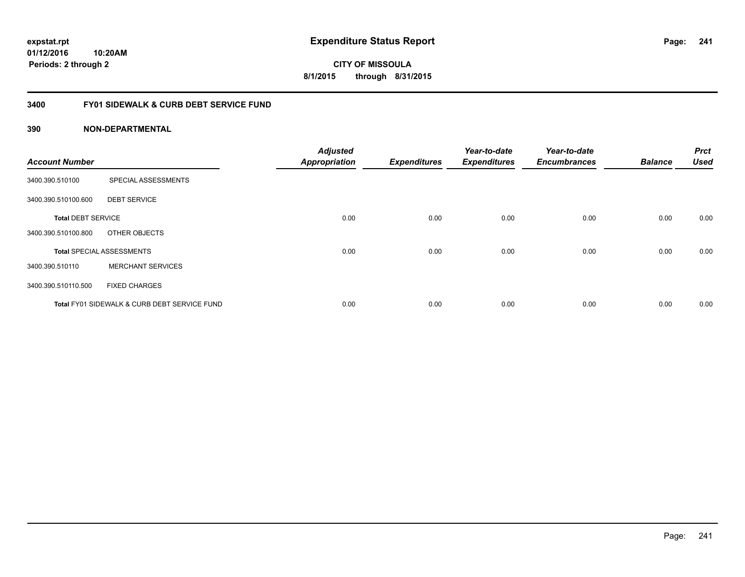**01/12/2016 10:20AM Periods: 2 through 2**

**CITY OF MISSOULA 8/1/2015 through 8/31/2015**

### **3400 FY01 SIDEWALK & CURB DEBT SERVICE FUND**

| <b>Account Number</b>     |                                              | <b>Adjusted</b><br><b>Appropriation</b> | <b>Expenditures</b> | Year-to-date<br><b>Expenditures</b> | Year-to-date<br><b>Encumbrances</b> | <b>Balance</b> | <b>Prct</b><br><b>Used</b> |
|---------------------------|----------------------------------------------|-----------------------------------------|---------------------|-------------------------------------|-------------------------------------|----------------|----------------------------|
|                           |                                              |                                         |                     |                                     |                                     |                |                            |
| 3400.390.510100           | SPECIAL ASSESSMENTS                          |                                         |                     |                                     |                                     |                |                            |
| 3400.390.510100.600       | <b>DEBT SERVICE</b>                          |                                         |                     |                                     |                                     |                |                            |
| <b>Total DEBT SERVICE</b> |                                              | 0.00                                    | 0.00                | 0.00                                | 0.00                                | 0.00           | 0.00                       |
| 3400.390.510100.800       | OTHER OBJECTS                                |                                         |                     |                                     |                                     |                |                            |
|                           | <b>Total SPECIAL ASSESSMENTS</b>             | 0.00                                    | 0.00                | 0.00                                | 0.00                                | 0.00           | 0.00                       |
| 3400.390.510110           | <b>MERCHANT SERVICES</b>                     |                                         |                     |                                     |                                     |                |                            |
| 3400.390.510110.500       | <b>FIXED CHARGES</b>                         |                                         |                     |                                     |                                     |                |                            |
|                           | Total FY01 SIDEWALK & CURB DEBT SERVICE FUND | 0.00                                    | 0.00                | 0.00                                | 0.00                                | 0.00           | 0.00                       |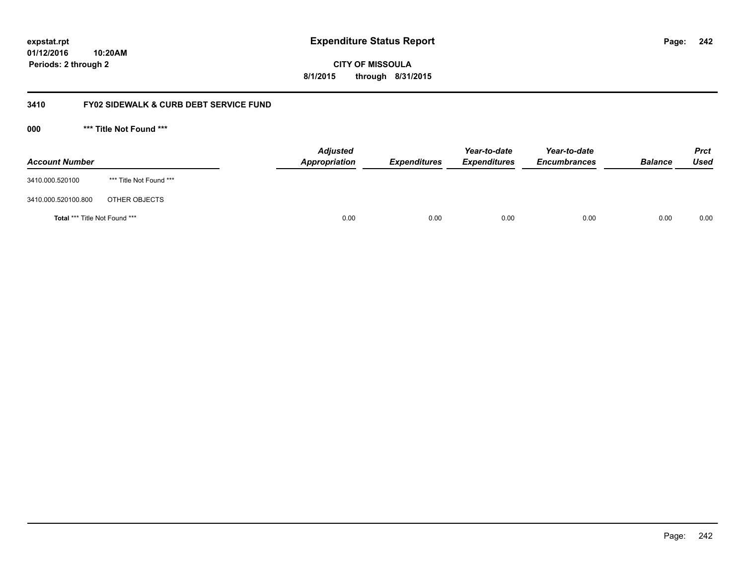**242**

**01/12/2016 10:20AM Periods: 2 through 2**

**CITY OF MISSOULA 8/1/2015 through 8/31/2015**

### **3410 FY02 SIDEWALK & CURB DEBT SERVICE FUND**

**000 \*\*\* Title Not Found \*\*\***

| <b>Account Number</b>         |                         | <b>Adjusted</b><br>Appropriation | <b>Expenditures</b> | Year-to-date<br><b>Expenditures</b> | Year-to-date<br><b>Encumbrances</b> | <b>Balance</b> | <b>Prct</b><br><b>Used</b> |
|-------------------------------|-------------------------|----------------------------------|---------------------|-------------------------------------|-------------------------------------|----------------|----------------------------|
| 3410.000.520100               | *** Title Not Found *** |                                  |                     |                                     |                                     |                |                            |
| 3410.000.520100.800           | OTHER OBJECTS           |                                  |                     |                                     |                                     |                |                            |
| Total *** Title Not Found *** |                         | 0.00                             | 0.00                | 0.00                                | 0.00                                | 0.00           | 0.00                       |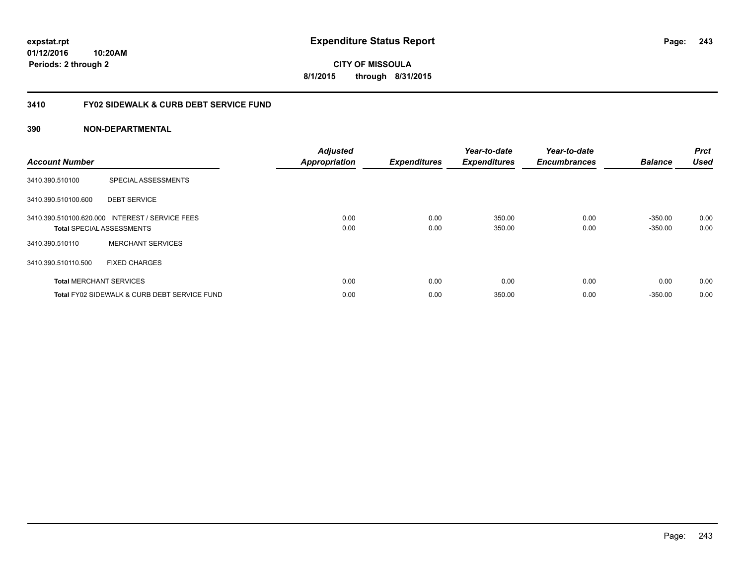**01/12/2016 10:20AM Periods: 2 through 2**

**CITY OF MISSOULA 8/1/2015 through 8/31/2015**

### **3410 FY02 SIDEWALK & CURB DEBT SERVICE FUND**

| <b>Account Number</b> |                                                 | <b>Adjusted</b><br><b>Appropriation</b> | <b>Expenditures</b> | Year-to-date<br><b>Expenditures</b> | Year-to-date<br><b>Encumbrances</b> | <b>Balance</b> | <b>Prct</b><br><b>Used</b> |
|-----------------------|-------------------------------------------------|-----------------------------------------|---------------------|-------------------------------------|-------------------------------------|----------------|----------------------------|
| 3410.390.510100       | SPECIAL ASSESSMENTS                             |                                         |                     |                                     |                                     |                |                            |
| 3410.390.510100.600   | <b>DEBT SERVICE</b>                             |                                         |                     |                                     |                                     |                |                            |
|                       | 3410.390.510100.620.000 INTEREST / SERVICE FEES | 0.00                                    | 0.00                | 350.00                              | 0.00                                | $-350.00$      | 0.00                       |
|                       | <b>Total SPECIAL ASSESSMENTS</b>                | 0.00                                    | 0.00                | 350.00                              | 0.00                                | $-350.00$      | 0.00                       |
| 3410.390.510110       | <b>MERCHANT SERVICES</b>                        |                                         |                     |                                     |                                     |                |                            |
| 3410.390.510110.500   | <b>FIXED CHARGES</b>                            |                                         |                     |                                     |                                     |                |                            |
|                       | <b>Total MERCHANT SERVICES</b>                  | 0.00                                    | 0.00                | 0.00                                | 0.00                                | 0.00           | 0.00                       |
|                       | Total FY02 SIDEWALK & CURB DEBT SERVICE FUND    | 0.00                                    | 0.00                | 350.00                              | 0.00                                | $-350.00$      | 0.00                       |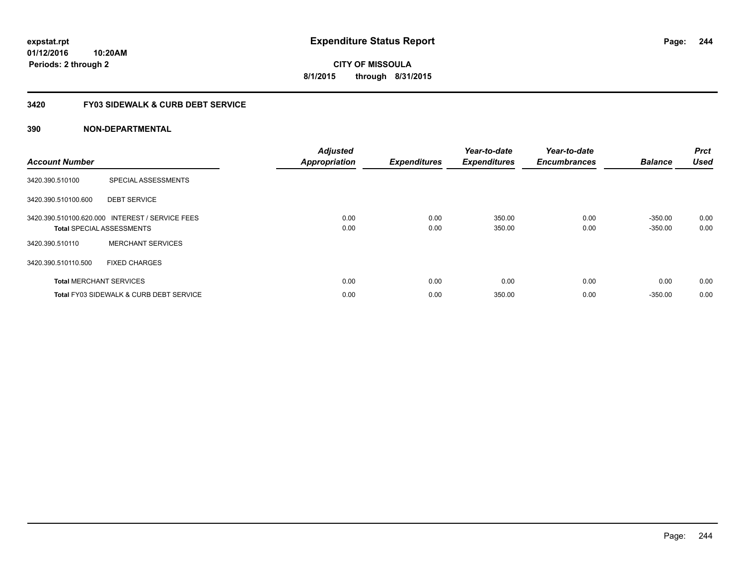**01/12/2016 10:20AM Periods: 2 through 2**

**CITY OF MISSOULA 8/1/2015 through 8/31/2015**

### **3420 FY03 SIDEWALK & CURB DEBT SERVICE**

| <b>Account Number</b> |                                                                                     | <b>Adjusted</b><br><b>Appropriation</b> | <b>Expenditures</b> | Year-to-date<br><b>Expenditures</b> | Year-to-date<br><b>Encumbrances</b> | <b>Balance</b>         | <b>Prct</b><br><b>Used</b> |
|-----------------------|-------------------------------------------------------------------------------------|-----------------------------------------|---------------------|-------------------------------------|-------------------------------------|------------------------|----------------------------|
| 3420.390.510100       | SPECIAL ASSESSMENTS                                                                 |                                         |                     |                                     |                                     |                        |                            |
| 3420.390.510100.600   | <b>DEBT SERVICE</b>                                                                 |                                         |                     |                                     |                                     |                        |                            |
|                       | 3420.390.510100.620.000 INTEREST / SERVICE FEES<br><b>Total SPECIAL ASSESSMENTS</b> | 0.00<br>0.00                            | 0.00<br>0.00        | 350.00<br>350.00                    | 0.00<br>0.00                        | $-350.00$<br>$-350.00$ | 0.00<br>0.00               |
| 3420.390.510110       | <b>MERCHANT SERVICES</b>                                                            |                                         |                     |                                     |                                     |                        |                            |
| 3420.390.510110.500   | <b>FIXED CHARGES</b>                                                                |                                         |                     |                                     |                                     |                        |                            |
|                       | <b>Total MERCHANT SERVICES</b>                                                      | 0.00                                    | 0.00                | 0.00                                | 0.00                                | 0.00                   | 0.00                       |
|                       | <b>Total FY03 SIDEWALK &amp; CURB DEBT SERVICE</b>                                  | 0.00                                    | 0.00                | 350.00                              | 0.00                                | $-350.00$              | 0.00                       |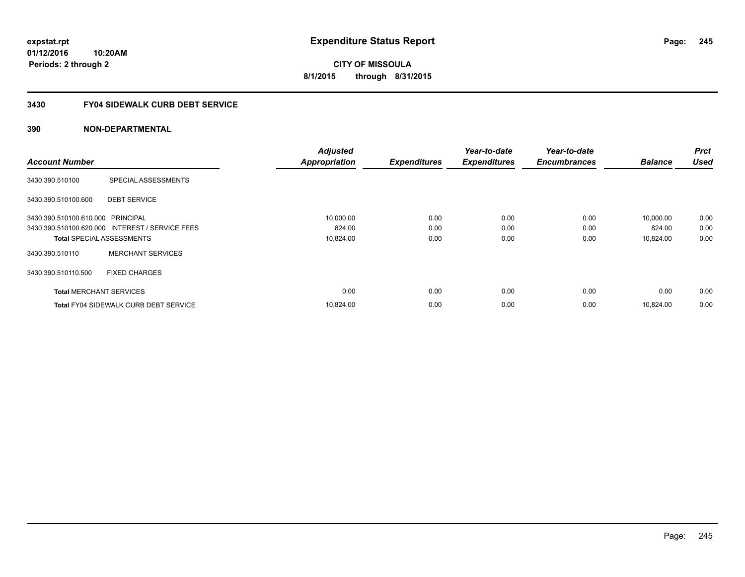**Periods: 2 through 2**

**CITY OF MISSOULA 8/1/2015 through 8/31/2015**

#### **3430 FY04 SIDEWALK CURB DEBT SERVICE**

### **390 NON-DEPARTMENTAL**

**10:20AM**

|                                   |                                                 | <b>Adjusted</b>      |                     | Year-to-date        | Year-to-date        |                | <b>Prct</b> |
|-----------------------------------|-------------------------------------------------|----------------------|---------------------|---------------------|---------------------|----------------|-------------|
| <b>Account Number</b>             |                                                 | <b>Appropriation</b> | <b>Expenditures</b> | <b>Expenditures</b> | <b>Encumbrances</b> | <b>Balance</b> | <b>Used</b> |
| 3430.390.510100                   | SPECIAL ASSESSMENTS                             |                      |                     |                     |                     |                |             |
| 3430.390.510100.600               | <b>DEBT SERVICE</b>                             |                      |                     |                     |                     |                |             |
| 3430.390.510100.610.000 PRINCIPAL |                                                 | 10,000.00            | 0.00                | 0.00                | 0.00                | 10,000.00      | 0.00        |
|                                   | 3430.390.510100.620.000 INTEREST / SERVICE FEES | 824.00               | 0.00                | 0.00                | 0.00                | 824.00         | 0.00        |
| <b>Total SPECIAL ASSESSMENTS</b>  |                                                 | 10,824.00            | 0.00                | 0.00                | 0.00                | 10,824.00      | 0.00        |
| 3430.390.510110                   | <b>MERCHANT SERVICES</b>                        |                      |                     |                     |                     |                |             |
| 3430.390.510110.500               | <b>FIXED CHARGES</b>                            |                      |                     |                     |                     |                |             |
| <b>Total MERCHANT SERVICES</b>    |                                                 | 0.00                 | 0.00                | 0.00                | 0.00                | 0.00           | 0.00        |
|                                   | <b>Total FY04 SIDEWALK CURB DEBT SERVICE</b>    | 10,824.00            | 0.00                | 0.00                | 0.00                | 10,824.00      | 0.00        |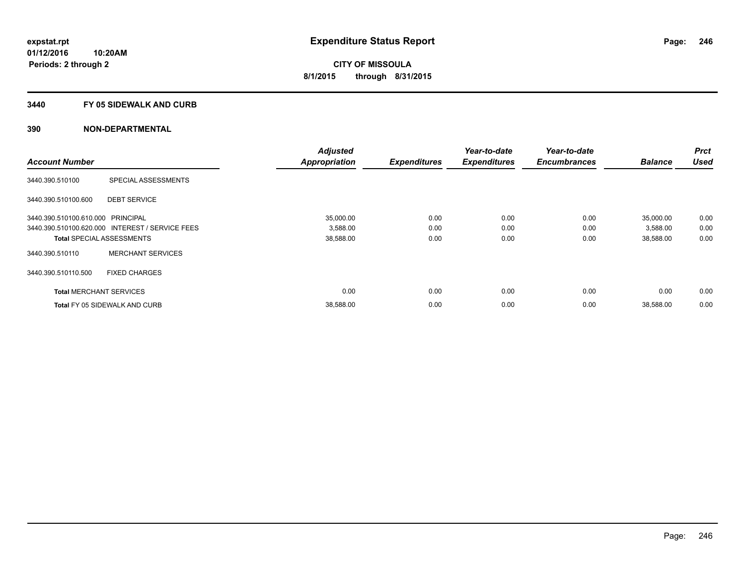#### **3440 FY 05 SIDEWALK AND CURB**

|                                   |                                                 | <b>Adjusted</b>      |                     | Year-to-date        | Year-to-date        |                | <b>Prct</b> |
|-----------------------------------|-------------------------------------------------|----------------------|---------------------|---------------------|---------------------|----------------|-------------|
| <b>Account Number</b>             |                                                 | <b>Appropriation</b> | <b>Expenditures</b> | <b>Expenditures</b> | <b>Encumbrances</b> | <b>Balance</b> | <b>Used</b> |
| 3440.390.510100                   | SPECIAL ASSESSMENTS                             |                      |                     |                     |                     |                |             |
| 3440.390.510100.600               | <b>DEBT SERVICE</b>                             |                      |                     |                     |                     |                |             |
| 3440.390.510100.610.000 PRINCIPAL |                                                 | 35,000.00            | 0.00                | 0.00                | 0.00                | 35,000.00      | 0.00        |
|                                   | 3440.390.510100.620.000 INTEREST / SERVICE FEES | 3,588.00             | 0.00                | 0.00                | 0.00                | 3,588.00       | 0.00        |
|                                   | <b>Total SPECIAL ASSESSMENTS</b>                | 38,588.00            | 0.00                | 0.00                | 0.00                | 38,588.00      | 0.00        |
| 3440.390.510110                   | <b>MERCHANT SERVICES</b>                        |                      |                     |                     |                     |                |             |
| 3440.390.510110.500               | <b>FIXED CHARGES</b>                            |                      |                     |                     |                     |                |             |
| <b>Total MERCHANT SERVICES</b>    |                                                 | 0.00                 | 0.00                | 0.00                | 0.00                | 0.00           | 0.00        |
|                                   | <b>Total FY 05 SIDEWALK AND CURB</b>            | 38,588.00            | 0.00                | 0.00                | 0.00                | 38,588.00      | 0.00        |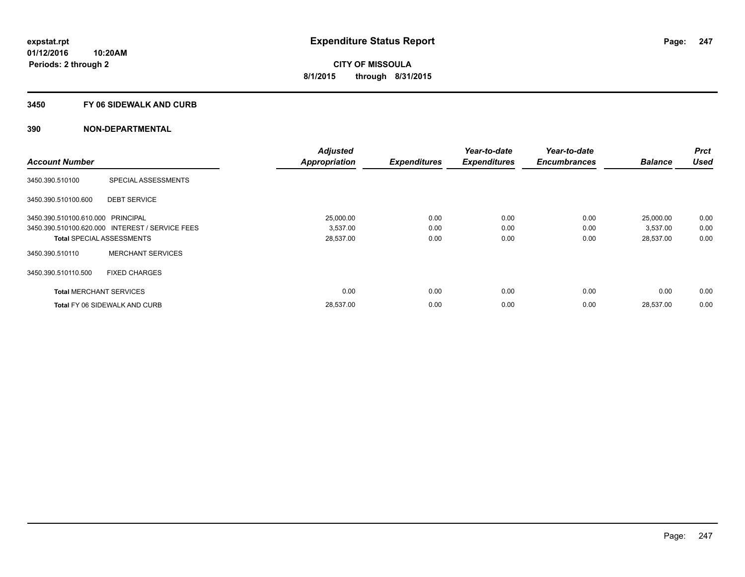#### **3450 FY 06 SIDEWALK AND CURB**

| <b>Account Number</b>             |                                                 | <b>Adjusted</b>      |                     | Year-to-date        | Year-to-date<br><b>Encumbrances</b> | <b>Balance</b> | <b>Prct</b><br><b>Used</b> |
|-----------------------------------|-------------------------------------------------|----------------------|---------------------|---------------------|-------------------------------------|----------------|----------------------------|
|                                   |                                                 | <b>Appropriation</b> | <b>Expenditures</b> | <b>Expenditures</b> |                                     |                |                            |
| 3450.390.510100                   | SPECIAL ASSESSMENTS                             |                      |                     |                     |                                     |                |                            |
| 3450.390.510100.600               | <b>DEBT SERVICE</b>                             |                      |                     |                     |                                     |                |                            |
| 3450.390.510100.610.000 PRINCIPAL |                                                 | 25,000.00            | 0.00                | 0.00                | 0.00                                | 25,000.00      | 0.00                       |
|                                   | 3450.390.510100.620.000 INTEREST / SERVICE FEES | 3,537.00             | 0.00                | 0.00                | 0.00                                | 3,537.00       | 0.00                       |
| <b>Total SPECIAL ASSESSMENTS</b>  |                                                 | 28,537.00            | 0.00                | 0.00                | 0.00                                | 28,537.00      | 0.00                       |
| 3450.390.510110                   | <b>MERCHANT SERVICES</b>                        |                      |                     |                     |                                     |                |                            |
| 3450.390.510110.500               | <b>FIXED CHARGES</b>                            |                      |                     |                     |                                     |                |                            |
| <b>Total MERCHANT SERVICES</b>    |                                                 | 0.00                 | 0.00                | 0.00                | 0.00                                | 0.00           | 0.00                       |
|                                   | <b>Total FY 06 SIDEWALK AND CURB</b>            | 28,537.00            | 0.00                | 0.00                | 0.00                                | 28,537.00      | 0.00                       |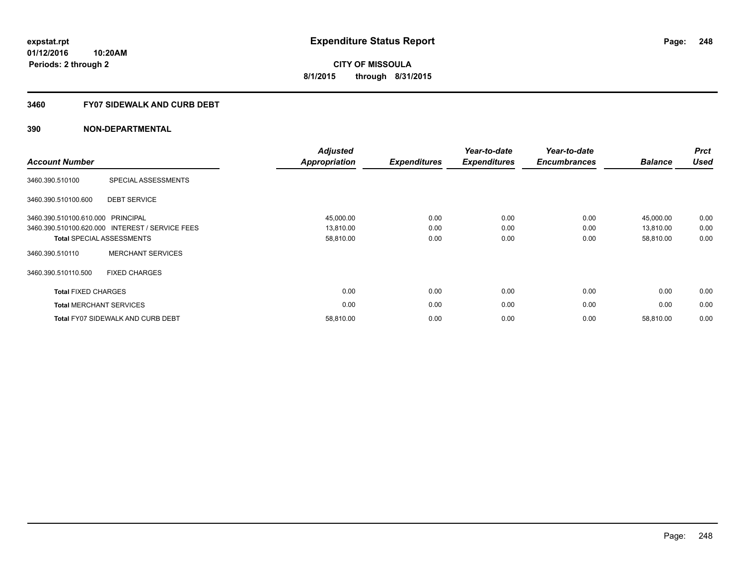#### **3460 FY07 SIDEWALK AND CURB DEBT**

| <b>Account Number</b>             |                                                 | <b>Adjusted</b><br><b>Appropriation</b> | <b>Expenditures</b> | Year-to-date<br><b>Expenditures</b> | Year-to-date<br><b>Encumbrances</b> | <b>Balance</b> | <b>Prct</b><br><b>Used</b> |
|-----------------------------------|-------------------------------------------------|-----------------------------------------|---------------------|-------------------------------------|-------------------------------------|----------------|----------------------------|
| 3460.390.510100                   | SPECIAL ASSESSMENTS                             |                                         |                     |                                     |                                     |                |                            |
| 3460.390.510100.600               | <b>DEBT SERVICE</b>                             |                                         |                     |                                     |                                     |                |                            |
| 3460.390.510100.610.000 PRINCIPAL |                                                 | 45,000.00                               | 0.00                | 0.00                                | 0.00                                | 45,000.00      | 0.00                       |
|                                   | 3460.390.510100.620.000 INTEREST / SERVICE FEES | 13,810.00                               | 0.00                | 0.00                                | 0.00                                | 13,810.00      | 0.00                       |
|                                   | <b>Total SPECIAL ASSESSMENTS</b>                | 58,810.00                               | 0.00                | 0.00                                | 0.00                                | 58,810.00      | 0.00                       |
| 3460.390.510110                   | <b>MERCHANT SERVICES</b>                        |                                         |                     |                                     |                                     |                |                            |
| 3460.390.510110.500               | <b>FIXED CHARGES</b>                            |                                         |                     |                                     |                                     |                |                            |
| <b>Total FIXED CHARGES</b>        |                                                 | 0.00                                    | 0.00                | 0.00                                | 0.00                                | 0.00           | 0.00                       |
|                                   | <b>Total MERCHANT SERVICES</b>                  | 0.00                                    | 0.00                | 0.00                                | 0.00                                | 0.00           | 0.00                       |
|                                   | <b>Total FY07 SIDEWALK AND CURB DEBT</b>        | 58,810.00                               | 0.00                | 0.00                                | 0.00                                | 58,810.00      | 0.00                       |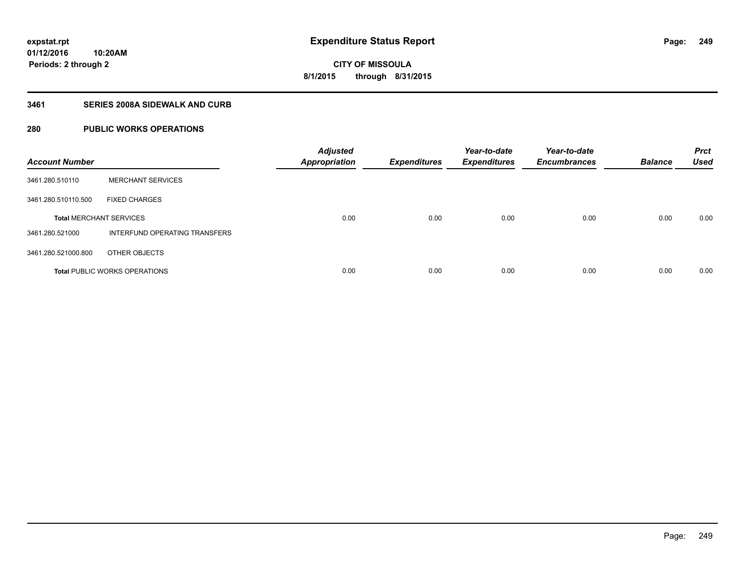### **3461 SERIES 2008A SIDEWALK AND CURB**

### **280 PUBLIC WORKS OPERATIONS**

| <b>Account Number</b>          |                                      | <b>Adjusted</b><br><b>Appropriation</b> | <b>Expenditures</b> | Year-to-date<br><b>Expenditures</b> | Year-to-date<br><b>Encumbrances</b> | <b>Balance</b> | <b>Prct</b><br><b>Used</b> |
|--------------------------------|--------------------------------------|-----------------------------------------|---------------------|-------------------------------------|-------------------------------------|----------------|----------------------------|
| 3461.280.510110                | <b>MERCHANT SERVICES</b>             |                                         |                     |                                     |                                     |                |                            |
| 3461.280.510110.500            | <b>FIXED CHARGES</b>                 |                                         |                     |                                     |                                     |                |                            |
| <b>Total MERCHANT SERVICES</b> |                                      | 0.00                                    | 0.00                | 0.00                                | 0.00                                | 0.00           | 0.00                       |
| 3461.280.521000                | INTERFUND OPERATING TRANSFERS        |                                         |                     |                                     |                                     |                |                            |
| 3461.280.521000.800            | OTHER OBJECTS                        |                                         |                     |                                     |                                     |                |                            |
|                                | <b>Total PUBLIC WORKS OPERATIONS</b> | 0.00                                    | 0.00                | 0.00                                | 0.00                                | 0.00           | 0.00                       |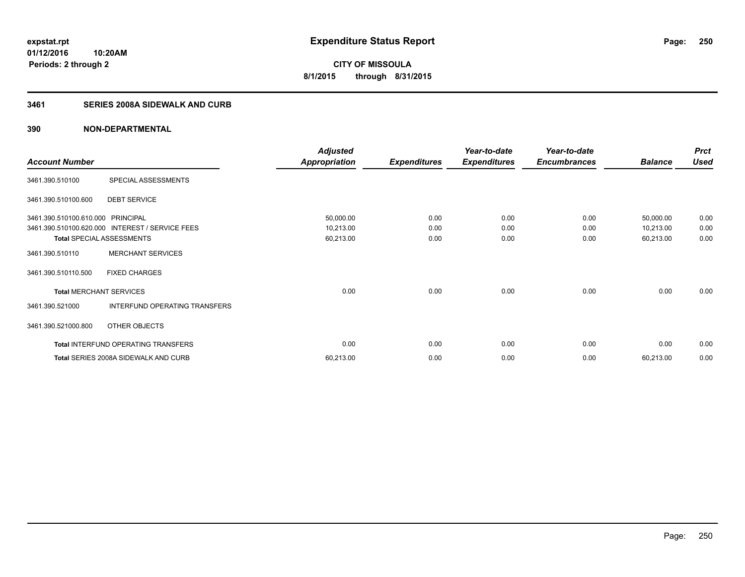**Periods: 2 through 2**

**CITY OF MISSOULA 8/1/2015 through 8/31/2015**

### **3461 SERIES 2008A SIDEWALK AND CURB**

|                                   |                                                 | <b>Adjusted</b>      |                     | Year-to-date        | Year-to-date        |                | <b>Prct</b> |
|-----------------------------------|-------------------------------------------------|----------------------|---------------------|---------------------|---------------------|----------------|-------------|
| <b>Account Number</b>             |                                                 | <b>Appropriation</b> | <b>Expenditures</b> | <b>Expenditures</b> | <b>Encumbrances</b> | <b>Balance</b> | <b>Used</b> |
| 3461.390.510100                   | SPECIAL ASSESSMENTS                             |                      |                     |                     |                     |                |             |
| 3461.390.510100.600               | <b>DEBT SERVICE</b>                             |                      |                     |                     |                     |                |             |
| 3461.390.510100.610.000 PRINCIPAL |                                                 | 50,000.00            | 0.00                | 0.00                | 0.00                | 50,000.00      | 0.00        |
|                                   | 3461.390.510100.620.000 INTEREST / SERVICE FEES | 10,213.00            | 0.00                | 0.00                | 0.00                | 10,213.00      | 0.00        |
|                                   | <b>Total SPECIAL ASSESSMENTS</b>                | 60,213.00            | 0.00                | 0.00                | 0.00                | 60,213.00      | 0.00        |
| 3461.390.510110                   | <b>MERCHANT SERVICES</b>                        |                      |                     |                     |                     |                |             |
| 3461.390.510110.500               | <b>FIXED CHARGES</b>                            |                      |                     |                     |                     |                |             |
| <b>Total MERCHANT SERVICES</b>    |                                                 | 0.00                 | 0.00                | 0.00                | 0.00                | 0.00           | 0.00        |
| 3461.390.521000                   | INTERFUND OPERATING TRANSFERS                   |                      |                     |                     |                     |                |             |
| 3461.390.521000.800               | OTHER OBJECTS                                   |                      |                     |                     |                     |                |             |
|                                   | <b>Total INTERFUND OPERATING TRANSFERS</b>      | 0.00                 | 0.00                | 0.00                | 0.00                | 0.00           | 0.00        |
|                                   | Total SERIES 2008A SIDEWALK AND CURB            | 60,213.00            | 0.00                | 0.00                | 0.00                | 60,213.00      | 0.00        |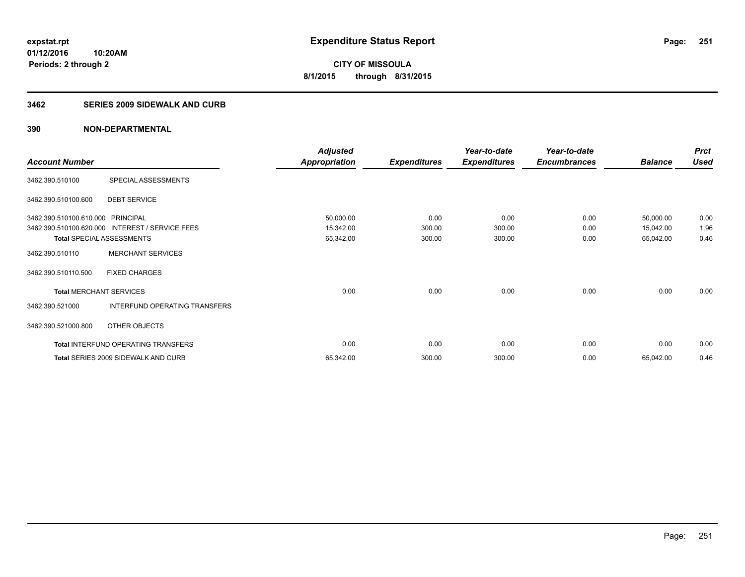#### **3462 SERIES 2009 SIDEWALK AND CURB**

|                                   |                                                 | <b>Adjusted</b>      |                     | Year-to-date        | Year-to-date        |                | <b>Prct</b> |
|-----------------------------------|-------------------------------------------------|----------------------|---------------------|---------------------|---------------------|----------------|-------------|
| <b>Account Number</b>             |                                                 | <b>Appropriation</b> | <b>Expenditures</b> | <b>Expenditures</b> | <b>Encumbrances</b> | <b>Balance</b> | <b>Used</b> |
| 3462.390.510100                   | SPECIAL ASSESSMENTS                             |                      |                     |                     |                     |                |             |
| 3462.390.510100.600               | <b>DEBT SERVICE</b>                             |                      |                     |                     |                     |                |             |
| 3462.390.510100.610.000 PRINCIPAL |                                                 | 50,000.00            | 0.00                | 0.00                | 0.00                | 50,000.00      | 0.00        |
|                                   | 3462.390.510100.620.000 INTEREST / SERVICE FEES | 15,342.00            | 300.00              | 300.00              | 0.00                | 15,042.00      | 1.96        |
| <b>Total SPECIAL ASSESSMENTS</b>  |                                                 | 65,342.00            | 300.00              | 300.00              | 0.00                | 65,042.00      | 0.46        |
| 3462.390.510110                   | <b>MERCHANT SERVICES</b>                        |                      |                     |                     |                     |                |             |
| 3462.390.510110.500               | <b>FIXED CHARGES</b>                            |                      |                     |                     |                     |                |             |
| <b>Total MERCHANT SERVICES</b>    |                                                 | 0.00                 | 0.00                | 0.00                | 0.00                | 0.00           | 0.00        |
| 3462.390.521000                   | INTERFUND OPERATING TRANSFERS                   |                      |                     |                     |                     |                |             |
| 3462.390.521000.800               | OTHER OBJECTS                                   |                      |                     |                     |                     |                |             |
|                                   | Total INTERFUND OPERATING TRANSFERS             | 0.00                 | 0.00                | 0.00                | 0.00                | 0.00           | 0.00        |
|                                   | <b>Total SERIES 2009 SIDEWALK AND CURB</b>      | 65,342.00            | 300.00              | 300.00              | 0.00                | 65,042.00      | 0.46        |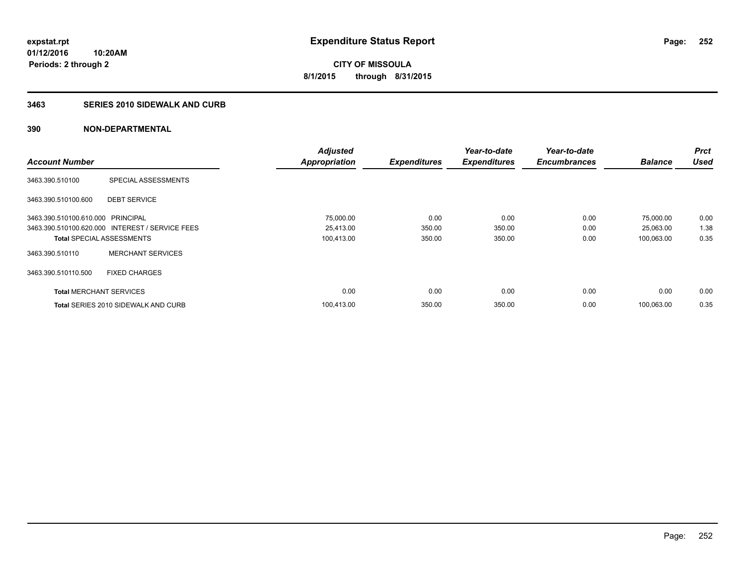### **3463 SERIES 2010 SIDEWALK AND CURB**

|                                   |                                                 | <b>Adjusted</b>      |                     | Year-to-date        | Year-to-date        |                | <b>Prct</b><br><b>Used</b> |
|-----------------------------------|-------------------------------------------------|----------------------|---------------------|---------------------|---------------------|----------------|----------------------------|
| <b>Account Number</b>             |                                                 | <b>Appropriation</b> | <b>Expenditures</b> | <b>Expenditures</b> | <b>Encumbrances</b> | <b>Balance</b> |                            |
| 3463.390.510100                   | SPECIAL ASSESSMENTS                             |                      |                     |                     |                     |                |                            |
| 3463.390.510100.600               | <b>DEBT SERVICE</b>                             |                      |                     |                     |                     |                |                            |
| 3463.390.510100.610.000 PRINCIPAL |                                                 | 75,000.00            | 0.00                | 0.00                | 0.00                | 75,000.00      | 0.00                       |
|                                   | 3463.390.510100.620.000 INTEREST / SERVICE FEES | 25,413.00            | 350.00              | 350.00              | 0.00                | 25,063.00      | 1.38                       |
| <b>Total SPECIAL ASSESSMENTS</b>  |                                                 | 100,413.00           | 350.00              | 350.00              | 0.00                | 100.063.00     | 0.35                       |
| 3463.390.510110                   | <b>MERCHANT SERVICES</b>                        |                      |                     |                     |                     |                |                            |
| 3463.390.510110.500               | <b>FIXED CHARGES</b>                            |                      |                     |                     |                     |                |                            |
| <b>Total MERCHANT SERVICES</b>    |                                                 | 0.00                 | 0.00                | 0.00                | 0.00                | 0.00           | 0.00                       |
|                                   | <b>Total SERIES 2010 SIDEWALK AND CURB</b>      | 100.413.00           | 350.00              | 350.00              | 0.00                | 100.063.00     | 0.35                       |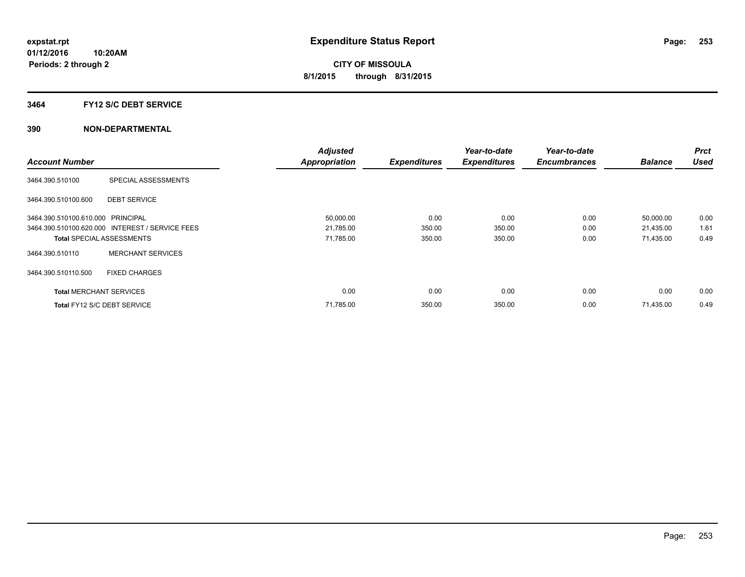### **3464 FY12 S/C DEBT SERVICE**

|                                   |                                                 | <b>Adjusted</b>      |                     | Year-to-date        | Year-to-date        |                | <b>Prct</b> |
|-----------------------------------|-------------------------------------------------|----------------------|---------------------|---------------------|---------------------|----------------|-------------|
| <b>Account Number</b>             |                                                 | <b>Appropriation</b> | <b>Expenditures</b> | <b>Expenditures</b> | <b>Encumbrances</b> | <b>Balance</b> | <b>Used</b> |
| 3464.390.510100                   | SPECIAL ASSESSMENTS                             |                      |                     |                     |                     |                |             |
| 3464.390.510100.600               | <b>DEBT SERVICE</b>                             |                      |                     |                     |                     |                |             |
| 3464.390.510100.610.000 PRINCIPAL |                                                 | 50,000.00            | 0.00                | 0.00                | 0.00                | 50,000.00      | 0.00        |
|                                   | 3464.390.510100.620.000 INTEREST / SERVICE FEES | 21,785.00            | 350.00              | 350.00              | 0.00                | 21,435.00      | 1.61        |
| <b>Total SPECIAL ASSESSMENTS</b>  |                                                 | 71,785.00            | 350.00              | 350.00              | 0.00                | 71,435.00      | 0.49        |
| 3464.390.510110                   | <b>MERCHANT SERVICES</b>                        |                      |                     |                     |                     |                |             |
| 3464.390.510110.500               | <b>FIXED CHARGES</b>                            |                      |                     |                     |                     |                |             |
| <b>Total MERCHANT SERVICES</b>    |                                                 | 0.00                 | 0.00                | 0.00                | 0.00                | 0.00           | 0.00        |
| Total FY12 S/C DEBT SERVICE       |                                                 | 71,785.00            | 350.00              | 350.00              | 0.00                | 71,435.00      | 0.49        |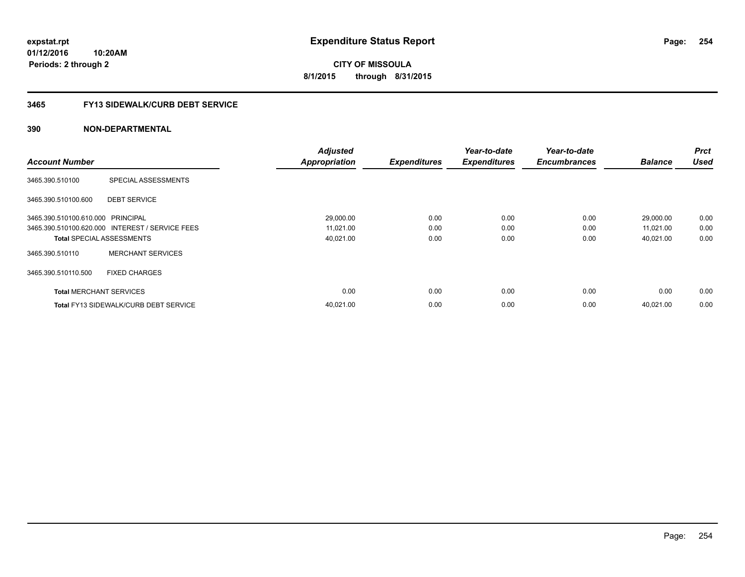**01/12/2016 10:20AM Periods: 2 through 2**

**CITY OF MISSOULA 8/1/2015 through 8/31/2015**

## **3465 FY13 SIDEWALK/CURB DEBT SERVICE**

|                                   |                                                 | <b>Adjusted</b>      |                     | Year-to-date        | Year-to-date        |                | <b>Prct</b> |
|-----------------------------------|-------------------------------------------------|----------------------|---------------------|---------------------|---------------------|----------------|-------------|
| <b>Account Number</b>             |                                                 | <b>Appropriation</b> | <b>Expenditures</b> | <b>Expenditures</b> | <b>Encumbrances</b> | <b>Balance</b> | <b>Used</b> |
| 3465.390.510100                   | SPECIAL ASSESSMENTS                             |                      |                     |                     |                     |                |             |
| 3465.390.510100.600               | <b>DEBT SERVICE</b>                             |                      |                     |                     |                     |                |             |
| 3465.390.510100.610.000 PRINCIPAL |                                                 | 29,000.00            | 0.00                | 0.00                | 0.00                | 29,000.00      | 0.00        |
|                                   | 3465.390.510100.620.000 INTEREST / SERVICE FEES | 11,021.00            | 0.00                | 0.00                | 0.00                | 11,021.00      | 0.00        |
| <b>Total SPECIAL ASSESSMENTS</b>  |                                                 | 40,021.00            | 0.00                | 0.00                | 0.00                | 40,021.00      | 0.00        |
| 3465.390.510110                   | <b>MERCHANT SERVICES</b>                        |                      |                     |                     |                     |                |             |
| 3465.390.510110.500               | <b>FIXED CHARGES</b>                            |                      |                     |                     |                     |                |             |
| <b>Total MERCHANT SERVICES</b>    |                                                 | 0.00                 | 0.00                | 0.00                | 0.00                | 0.00           | 0.00        |
|                                   | <b>Total FY13 SIDEWALK/CURB DEBT SERVICE</b>    | 40,021.00            | 0.00                | 0.00                | 0.00                | 40.021.00      | 0.00        |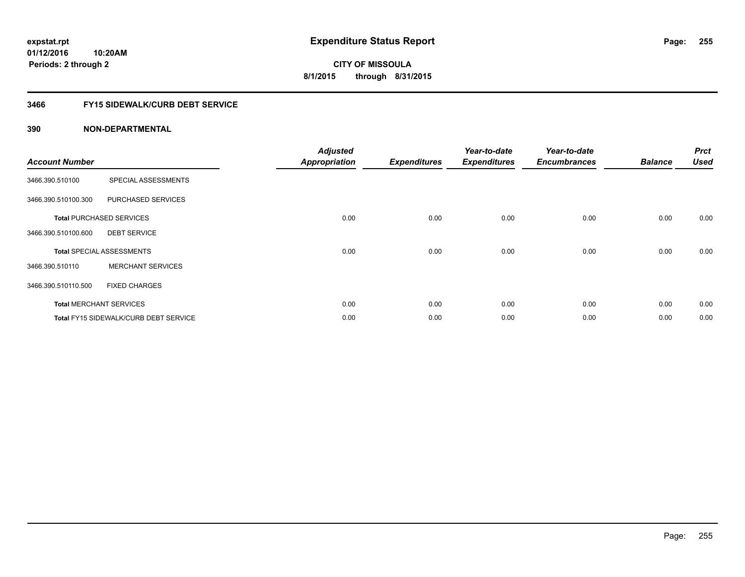## **3466 FY15 SIDEWALK/CURB DEBT SERVICE**

| <b>Account Number</b> |                                              | <b>Adjusted</b><br><b>Appropriation</b> | <b>Expenditures</b> | Year-to-date<br><b>Expenditures</b> | Year-to-date<br><b>Encumbrances</b> | <b>Balance</b> | <b>Prct</b><br><b>Used</b> |
|-----------------------|----------------------------------------------|-----------------------------------------|---------------------|-------------------------------------|-------------------------------------|----------------|----------------------------|
| 3466.390.510100       | SPECIAL ASSESSMENTS                          |                                         |                     |                                     |                                     |                |                            |
| 3466.390.510100.300   | PURCHASED SERVICES                           |                                         |                     |                                     |                                     |                |                            |
|                       | <b>Total PURCHASED SERVICES</b>              | 0.00                                    | 0.00                | 0.00                                | 0.00                                | 0.00           | 0.00                       |
| 3466.390.510100.600   | <b>DEBT SERVICE</b>                          |                                         |                     |                                     |                                     |                |                            |
|                       | <b>Total SPECIAL ASSESSMENTS</b>             | 0.00                                    | 0.00                | 0.00                                | 0.00                                | 0.00           | 0.00                       |
| 3466.390.510110       | <b>MERCHANT SERVICES</b>                     |                                         |                     |                                     |                                     |                |                            |
| 3466.390.510110.500   | <b>FIXED CHARGES</b>                         |                                         |                     |                                     |                                     |                |                            |
|                       | <b>Total MERCHANT SERVICES</b>               | 0.00                                    | 0.00                | 0.00                                | 0.00                                | 0.00           | 0.00                       |
|                       | <b>Total FY15 SIDEWALK/CURB DEBT SERVICE</b> | 0.00                                    | 0.00                | 0.00                                | 0.00                                | 0.00           | 0.00                       |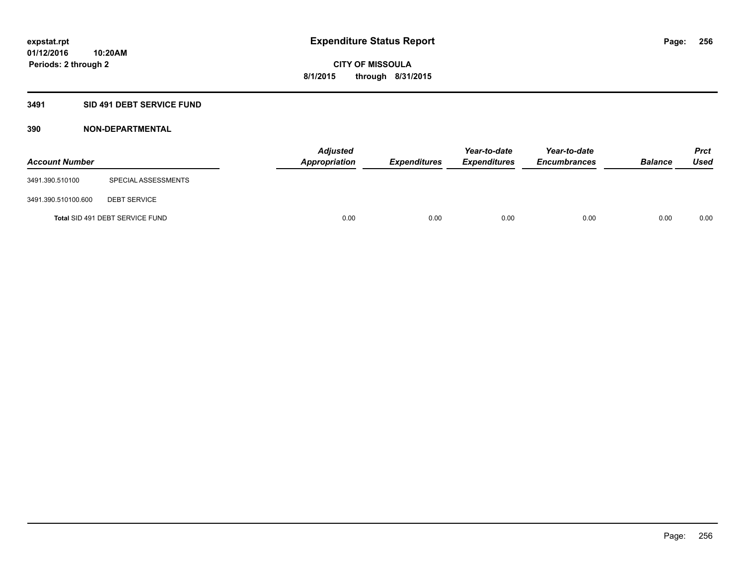## **3491 SID 491 DEBT SERVICE FUND**

| <b>Account Number</b> |                                 | <b>Adjusted</b><br><b>Appropriation</b> | <b>Expenditures</b> | Year-to-date<br><b>Expenditures</b> | Year-to-date<br><b>Encumbrances</b> | <b>Balance</b> | Prct<br><b>Used</b> |
|-----------------------|---------------------------------|-----------------------------------------|---------------------|-------------------------------------|-------------------------------------|----------------|---------------------|
| 3491.390.510100       | SPECIAL ASSESSMENTS             |                                         |                     |                                     |                                     |                |                     |
| 3491.390.510100.600   | <b>DEBT SERVICE</b>             |                                         |                     |                                     |                                     |                |                     |
|                       | Total SID 491 DEBT SERVICE FUND | 0.00                                    | 0.00                | 0.00                                | 0.00                                | 0.00           | 0.00                |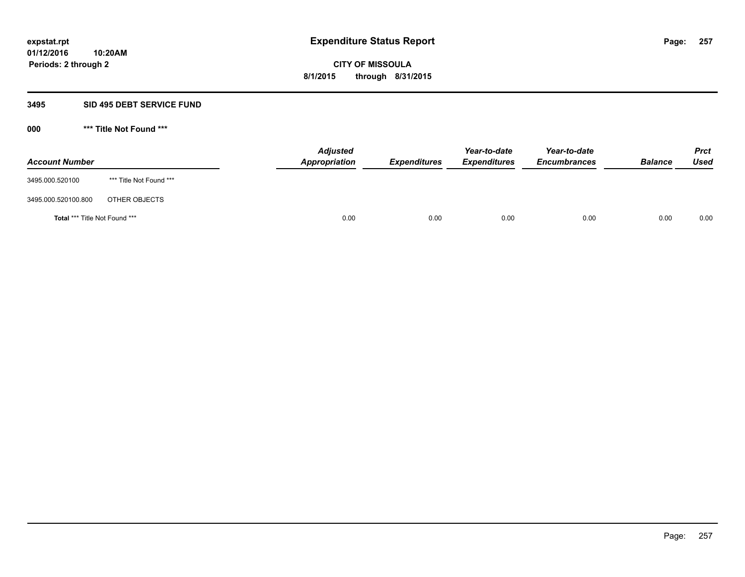#### **3495 SID 495 DEBT SERVICE FUND**

| <b>Account Number</b>                |                         | <b>Adjusted</b><br><b>Appropriation</b> | <b>Expenditures</b> | Year-to-date<br><b>Expenditures</b> | Year-to-date<br><b>Encumbrances</b> | <b>Balance</b> | <b>Prct</b><br><b>Used</b> |
|--------------------------------------|-------------------------|-----------------------------------------|---------------------|-------------------------------------|-------------------------------------|----------------|----------------------------|
| 3495.000.520100                      | *** Title Not Found *** |                                         |                     |                                     |                                     |                |                            |
| 3495.000.520100.800                  | OTHER OBJECTS           |                                         |                     |                                     |                                     |                |                            |
| <b>Total *** Title Not Found ***</b> |                         | 0.00                                    | 0.00                | 0.00                                | 0.00                                | 0.00           | 0.00                       |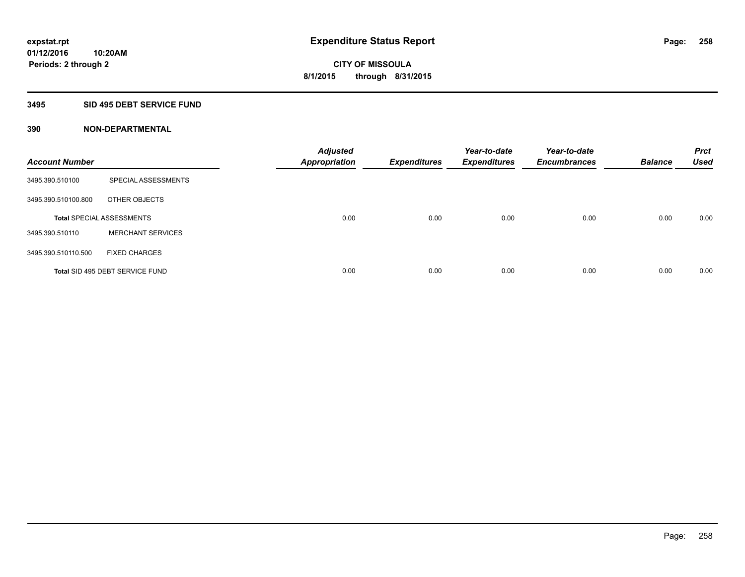### **3495 SID 495 DEBT SERVICE FUND**

| <b>Account Number</b> |                                  | <b>Adjusted</b><br><b>Appropriation</b> | <b>Expenditures</b> | Year-to-date<br><b>Expenditures</b> | Year-to-date<br><b>Encumbrances</b> | <b>Balance</b> | <b>Prct</b><br><b>Used</b> |
|-----------------------|----------------------------------|-----------------------------------------|---------------------|-------------------------------------|-------------------------------------|----------------|----------------------------|
| 3495.390.510100       | SPECIAL ASSESSMENTS              |                                         |                     |                                     |                                     |                |                            |
| 3495.390.510100.800   | OTHER OBJECTS                    |                                         |                     |                                     |                                     |                |                            |
|                       | <b>Total SPECIAL ASSESSMENTS</b> | 0.00                                    | 0.00                | 0.00                                | 0.00                                | 0.00           | 0.00                       |
| 3495.390.510110       | <b>MERCHANT SERVICES</b>         |                                         |                     |                                     |                                     |                |                            |
| 3495.390.510110.500   | <b>FIXED CHARGES</b>             |                                         |                     |                                     |                                     |                |                            |
|                       | Total SID 495 DEBT SERVICE FUND  | 0.00                                    | 0.00                | 0.00                                | 0.00                                | 0.00           | 0.00                       |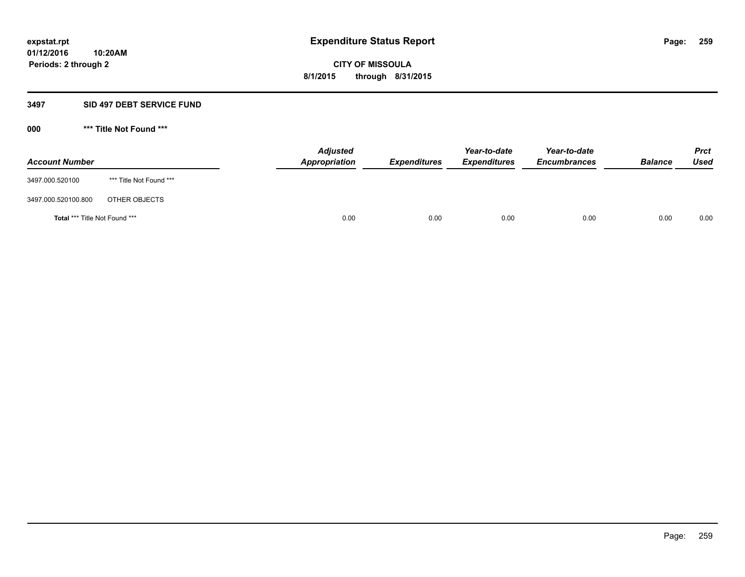#### **3497 SID 497 DEBT SERVICE FUND**

| <b>Account Number</b>                |                         | <b>Adjusted</b><br><b>Appropriation</b> | <b>Expenditures</b> | Year-to-date<br><b>Expenditures</b> | Year-to-date<br><b>Encumbrances</b> | <b>Balance</b> | <b>Prct</b><br><b>Used</b> |
|--------------------------------------|-------------------------|-----------------------------------------|---------------------|-------------------------------------|-------------------------------------|----------------|----------------------------|
| 3497.000.520100                      | *** Title Not Found *** |                                         |                     |                                     |                                     |                |                            |
| 3497.000.520100.800                  | OTHER OBJECTS           |                                         |                     |                                     |                                     |                |                            |
| <b>Total *** Title Not Found ***</b> |                         | 0.00                                    | 0.00                | 0.00                                | 0.00                                | 0.00           | 0.00                       |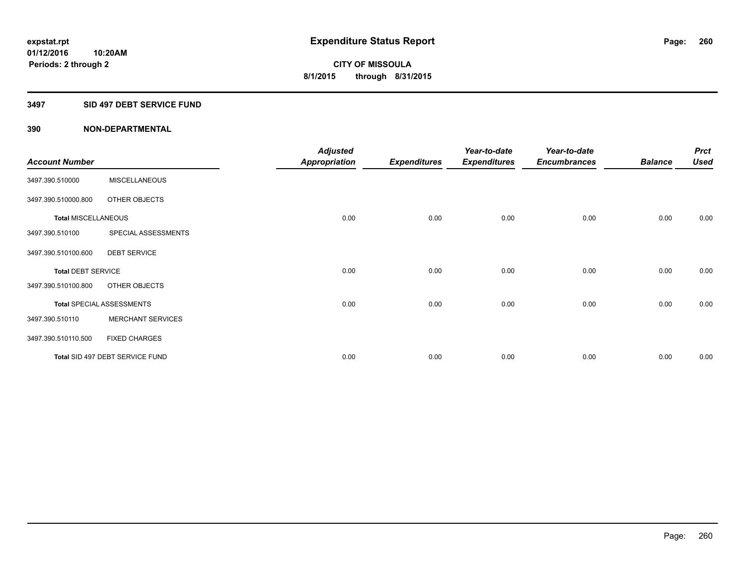#### **3497 SID 497 DEBT SERVICE FUND**

|                            |                                  | <b>Adjusted</b>      |                     | Year-to-date        | Year-to-date        |                | <b>Prct</b> |
|----------------------------|----------------------------------|----------------------|---------------------|---------------------|---------------------|----------------|-------------|
| <b>Account Number</b>      |                                  | <b>Appropriation</b> | <b>Expenditures</b> | <b>Expenditures</b> | <b>Encumbrances</b> | <b>Balance</b> | <b>Used</b> |
| 3497.390.510000            | <b>MISCELLANEOUS</b>             |                      |                     |                     |                     |                |             |
| 3497.390.510000.800        | OTHER OBJECTS                    |                      |                     |                     |                     |                |             |
| <b>Total MISCELLANEOUS</b> |                                  | 0.00                 | 0.00                | 0.00                | 0.00                | 0.00           | 0.00        |
| 3497.390.510100            | SPECIAL ASSESSMENTS              |                      |                     |                     |                     |                |             |
| 3497.390.510100.600        | <b>DEBT SERVICE</b>              |                      |                     |                     |                     |                |             |
| <b>Total DEBT SERVICE</b>  |                                  | 0.00                 | 0.00                | 0.00                | 0.00                | 0.00           | 0.00        |
| 3497.390.510100.800        | OTHER OBJECTS                    |                      |                     |                     |                     |                |             |
|                            | <b>Total SPECIAL ASSESSMENTS</b> | 0.00                 | 0.00                | 0.00                | 0.00                | 0.00           | 0.00        |
| 3497.390.510110            | <b>MERCHANT SERVICES</b>         |                      |                     |                     |                     |                |             |
| 3497.390.510110.500        | <b>FIXED CHARGES</b>             |                      |                     |                     |                     |                |             |
|                            | Total SID 497 DEBT SERVICE FUND  | 0.00                 | 0.00                | 0.00                | 0.00                | 0.00           | 0.00        |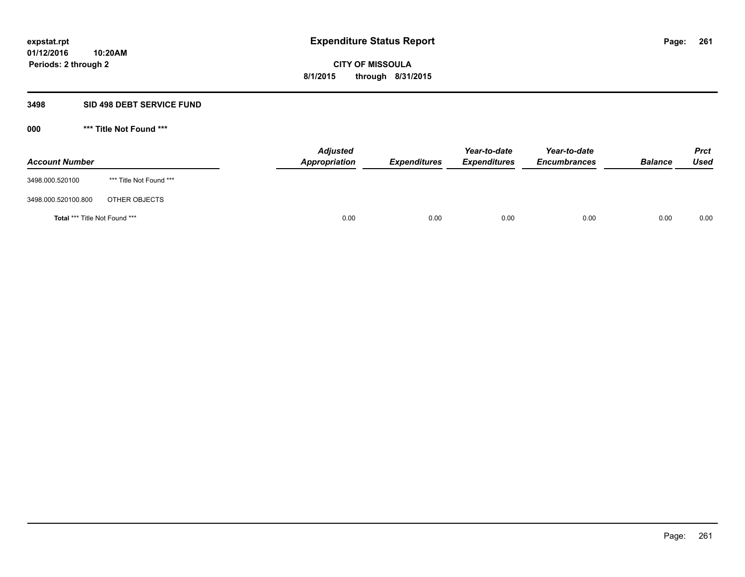#### **3498 SID 498 DEBT SERVICE FUND**

| <b>Account Number</b>                |                         | <b>Adjusted</b><br>Appropriation | <b>Expenditures</b> | Year-to-date<br><b>Expenditures</b> | Year-to-date<br><b>Encumbrances</b> | <b>Balance</b> | <b>Prct</b><br><b>Used</b> |
|--------------------------------------|-------------------------|----------------------------------|---------------------|-------------------------------------|-------------------------------------|----------------|----------------------------|
| 3498.000.520100                      | *** Title Not Found *** |                                  |                     |                                     |                                     |                |                            |
| 3498.000.520100.800                  | OTHER OBJECTS           |                                  |                     |                                     |                                     |                |                            |
| <b>Total *** Title Not Found ***</b> |                         | 0.00                             | 0.00                | 0.00                                | 0.00                                | 0.00           | 0.00                       |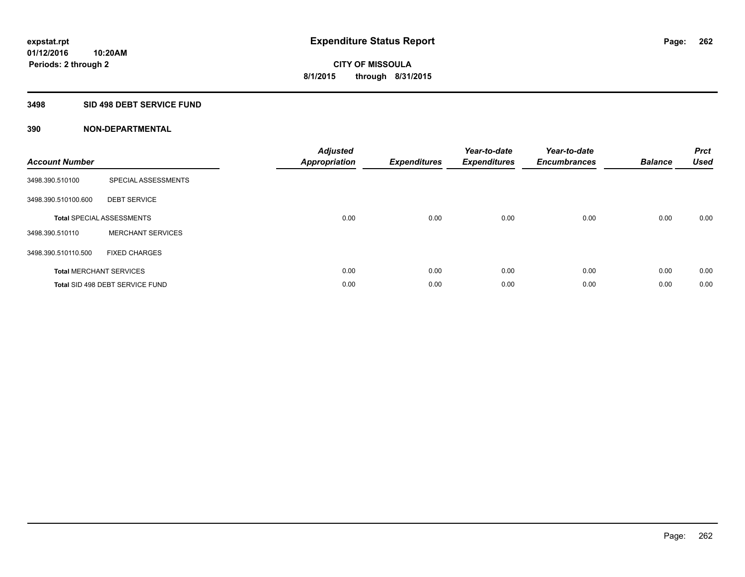### **3498 SID 498 DEBT SERVICE FUND**

| <b>Account Number</b> |                                  | <b>Adjusted</b><br>Appropriation | <b>Expenditures</b> | Year-to-date<br><b>Expenditures</b> | Year-to-date<br><b>Encumbrances</b> | <b>Balance</b> | <b>Prct</b><br><b>Used</b> |
|-----------------------|----------------------------------|----------------------------------|---------------------|-------------------------------------|-------------------------------------|----------------|----------------------------|
| 3498.390.510100       | SPECIAL ASSESSMENTS              |                                  |                     |                                     |                                     |                |                            |
| 3498.390.510100.600   | <b>DEBT SERVICE</b>              |                                  |                     |                                     |                                     |                |                            |
|                       | <b>Total SPECIAL ASSESSMENTS</b> | 0.00                             | 0.00                | 0.00                                | 0.00                                | 0.00           | 0.00                       |
| 3498.390.510110       | <b>MERCHANT SERVICES</b>         |                                  |                     |                                     |                                     |                |                            |
| 3498.390.510110.500   | <b>FIXED CHARGES</b>             |                                  |                     |                                     |                                     |                |                            |
|                       | <b>Total MERCHANT SERVICES</b>   | 0.00                             | 0.00                | 0.00                                | 0.00                                | 0.00           | 0.00                       |
|                       | Total SID 498 DEBT SERVICE FUND  | 0.00                             | 0.00                | 0.00                                | 0.00                                | 0.00           | 0.00                       |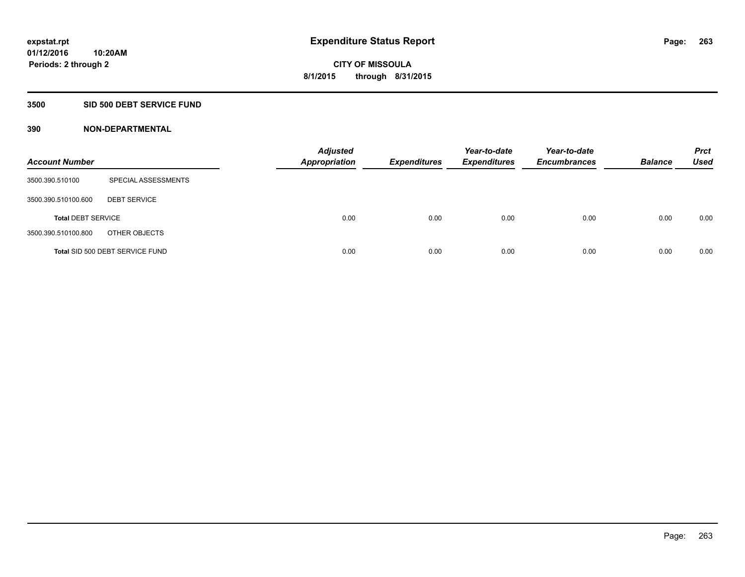### **3500 SID 500 DEBT SERVICE FUND**

| <b>Account Number</b>     |                                 | <b>Adjusted</b><br><b>Appropriation</b> | <b>Expenditures</b> | Year-to-date<br><b>Expenditures</b> | Year-to-date<br><b>Encumbrances</b> | <b>Balance</b> | <b>Prct</b><br><b>Used</b> |
|---------------------------|---------------------------------|-----------------------------------------|---------------------|-------------------------------------|-------------------------------------|----------------|----------------------------|
| 3500.390.510100           | SPECIAL ASSESSMENTS             |                                         |                     |                                     |                                     |                |                            |
| 3500.390.510100.600       | <b>DEBT SERVICE</b>             |                                         |                     |                                     |                                     |                |                            |
| <b>Total DEBT SERVICE</b> |                                 | 0.00                                    | 0.00                | 0.00                                | 0.00                                | 0.00           | 0.00                       |
| 3500.390.510100.800       | OTHER OBJECTS                   |                                         |                     |                                     |                                     |                |                            |
|                           | Total SID 500 DEBT SERVICE FUND | 0.00                                    | 0.00                | 0.00                                | 0.00                                | 0.00           | 0.00                       |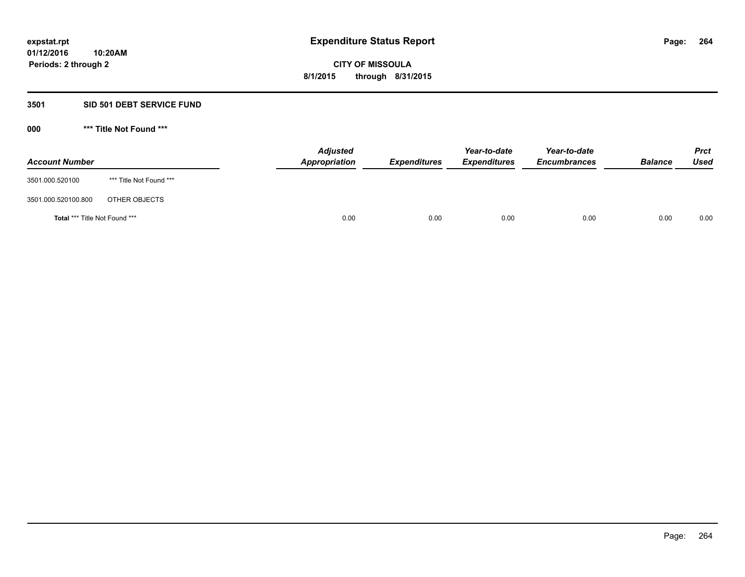### **3501 SID 501 DEBT SERVICE FUND**

| <b>Account Number</b>         |                         | <b>Adjusted</b><br>Appropriation | <b>Expenditures</b> | Year-to-date<br><b>Expenditures</b> | Year-to-date<br><b>Encumbrances</b> | <b>Balance</b> | <b>Prct</b><br><b>Used</b> |
|-------------------------------|-------------------------|----------------------------------|---------------------|-------------------------------------|-------------------------------------|----------------|----------------------------|
| 3501.000.520100               | *** Title Not Found *** |                                  |                     |                                     |                                     |                |                            |
| 3501.000.520100.800           | OTHER OBJECTS           |                                  |                     |                                     |                                     |                |                            |
| Total *** Title Not Found *** |                         | 0.00                             | 0.00                | 0.00                                | 0.00                                | 0.00           | 0.00                       |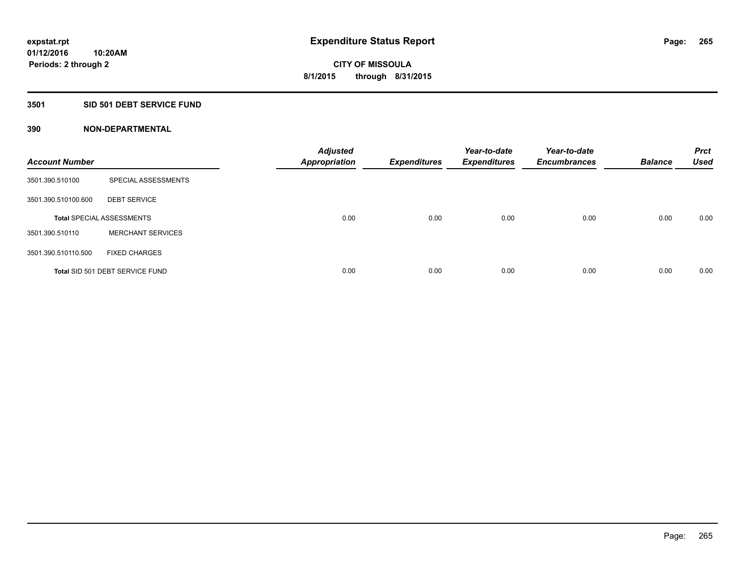## **3501 SID 501 DEBT SERVICE FUND**

| <b>Account Number</b> |                                  | <b>Adjusted</b><br><b>Appropriation</b> | <b>Expenditures</b> | Year-to-date<br><b>Expenditures</b> | Year-to-date<br><b>Encumbrances</b> | <b>Balance</b> | <b>Prct</b><br><b>Used</b> |
|-----------------------|----------------------------------|-----------------------------------------|---------------------|-------------------------------------|-------------------------------------|----------------|----------------------------|
| 3501.390.510100       | SPECIAL ASSESSMENTS              |                                         |                     |                                     |                                     |                |                            |
| 3501.390.510100.600   | <b>DEBT SERVICE</b>              |                                         |                     |                                     |                                     |                |                            |
|                       | <b>Total SPECIAL ASSESSMENTS</b> | 0.00                                    | 0.00                | 0.00                                | 0.00                                | 0.00           | 0.00                       |
| 3501.390.510110       | <b>MERCHANT SERVICES</b>         |                                         |                     |                                     |                                     |                |                            |
| 3501.390.510110.500   | <b>FIXED CHARGES</b>             |                                         |                     |                                     |                                     |                |                            |
|                       | Total SID 501 DEBT SERVICE FUND  | 0.00                                    | 0.00                | 0.00                                | 0.00                                | 0.00           | 0.00                       |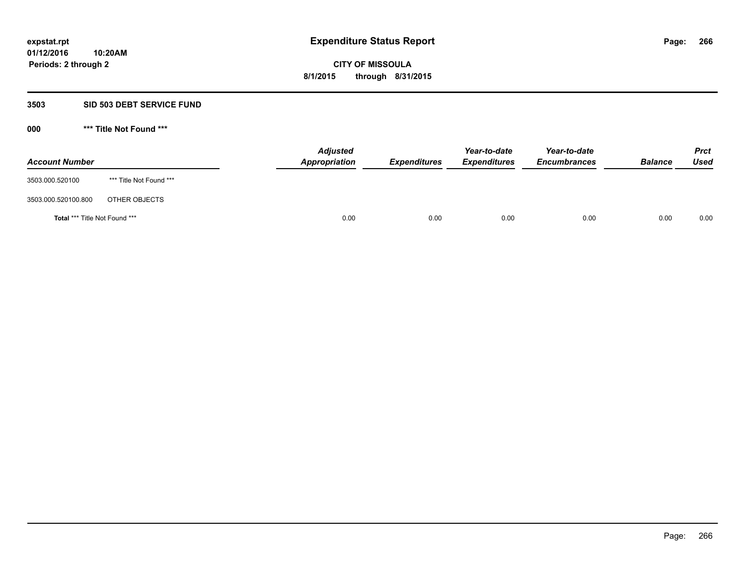#### **3503 SID 503 DEBT SERVICE FUND**

| <b>Account Number</b>         |                         | <b>Adjusted</b><br>Appropriation | <b>Expenditures</b> | Year-to-date<br><b>Expenditures</b> | Year-to-date<br><b>Encumbrances</b> | <b>Balance</b> | <b>Prct</b><br><b>Used</b> |
|-------------------------------|-------------------------|----------------------------------|---------------------|-------------------------------------|-------------------------------------|----------------|----------------------------|
| 3503.000.520100               | *** Title Not Found *** |                                  |                     |                                     |                                     |                |                            |
| 3503.000.520100.800           | OTHER OBJECTS           |                                  |                     |                                     |                                     |                |                            |
| Total *** Title Not Found *** |                         | 0.00                             | 0.00                | 0.00                                | 0.00                                | 0.00           | 0.00                       |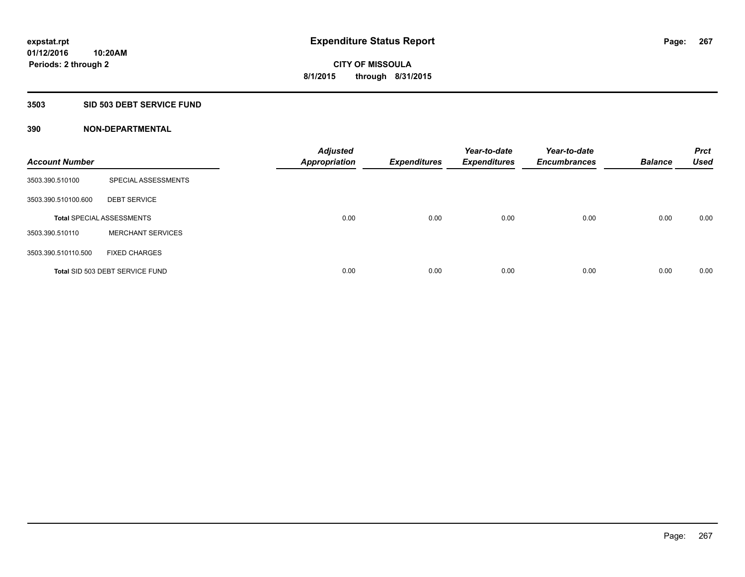## **3503 SID 503 DEBT SERVICE FUND**

| <b>Account Number</b> |                                  | <b>Adjusted</b><br>Appropriation | <b>Expenditures</b> | Year-to-date<br><b>Expenditures</b> | Year-to-date<br><b>Encumbrances</b> | <b>Balance</b> | <b>Prct</b><br><b>Used</b> |
|-----------------------|----------------------------------|----------------------------------|---------------------|-------------------------------------|-------------------------------------|----------------|----------------------------|
| 3503.390.510100       | SPECIAL ASSESSMENTS              |                                  |                     |                                     |                                     |                |                            |
| 3503.390.510100.600   | <b>DEBT SERVICE</b>              |                                  |                     |                                     |                                     |                |                            |
|                       | <b>Total SPECIAL ASSESSMENTS</b> | 0.00                             | 0.00                | 0.00                                | 0.00                                | 0.00           | 0.00                       |
| 3503.390.510110       | <b>MERCHANT SERVICES</b>         |                                  |                     |                                     |                                     |                |                            |
| 3503.390.510110.500   | <b>FIXED CHARGES</b>             |                                  |                     |                                     |                                     |                |                            |
|                       | Total SID 503 DEBT SERVICE FUND  | 0.00                             | 0.00                | 0.00                                | 0.00                                | 0.00           | 0.00                       |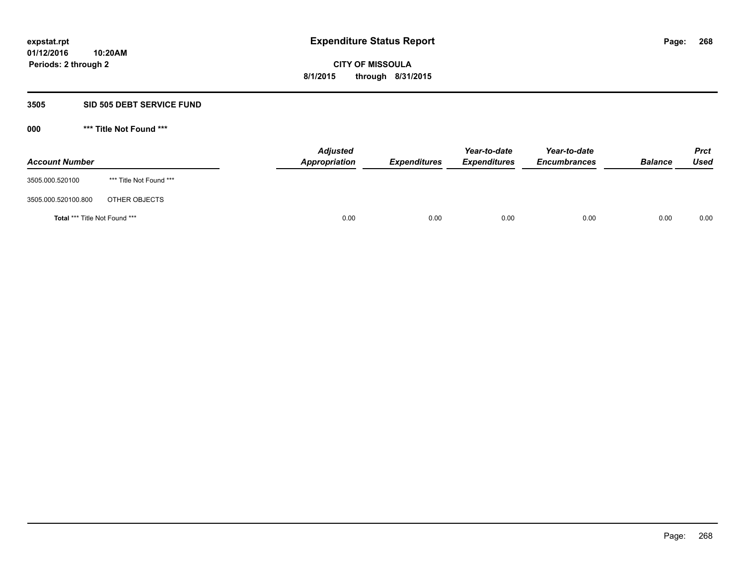#### **3505 SID 505 DEBT SERVICE FUND**

| <b>Account Number</b>         |                         | <b>Adjusted</b><br>Appropriation | <b>Expenditures</b> | Year-to-date<br><b>Expenditures</b> | Year-to-date<br><b>Encumbrances</b> | <b>Balance</b> | <b>Prct</b><br><b>Used</b> |
|-------------------------------|-------------------------|----------------------------------|---------------------|-------------------------------------|-------------------------------------|----------------|----------------------------|
| 3505.000.520100               | *** Title Not Found *** |                                  |                     |                                     |                                     |                |                            |
| 3505.000.520100.800           | OTHER OBJECTS           |                                  |                     |                                     |                                     |                |                            |
| Total *** Title Not Found *** |                         | 0.00                             | 0.00                | 0.00                                | 0.00                                | 0.00           | 0.00                       |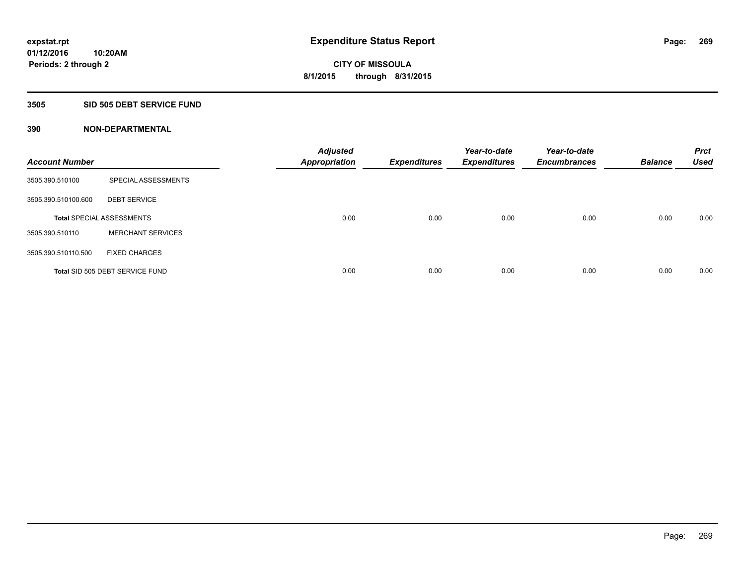### **3505 SID 505 DEBT SERVICE FUND**

| <b>Account Number</b> |                                  | <b>Adjusted</b><br>Appropriation | <b>Expenditures</b> | Year-to-date<br><b>Expenditures</b> | Year-to-date<br><b>Encumbrances</b> | <b>Balance</b> | <b>Prct</b><br><b>Used</b> |
|-----------------------|----------------------------------|----------------------------------|---------------------|-------------------------------------|-------------------------------------|----------------|----------------------------|
| 3505.390.510100       | SPECIAL ASSESSMENTS              |                                  |                     |                                     |                                     |                |                            |
| 3505.390.510100.600   | <b>DEBT SERVICE</b>              |                                  |                     |                                     |                                     |                |                            |
|                       | <b>Total SPECIAL ASSESSMENTS</b> | 0.00                             | 0.00                | 0.00                                | 0.00                                | 0.00           | 0.00                       |
| 3505.390.510110       | <b>MERCHANT SERVICES</b>         |                                  |                     |                                     |                                     |                |                            |
| 3505.390.510110.500   | <b>FIXED CHARGES</b>             |                                  |                     |                                     |                                     |                |                            |
|                       | Total SID 505 DEBT SERVICE FUND  | 0.00                             | 0.00                | 0.00                                | 0.00                                | 0.00           | 0.00                       |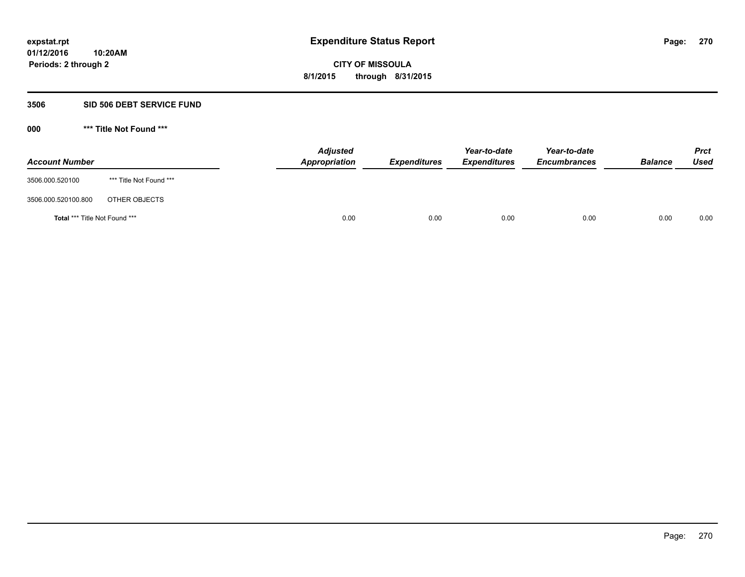#### **3506 SID 506 DEBT SERVICE FUND**

| <b>Account Number</b>         |                         | <b>Adjusted</b><br>Appropriation | <b>Expenditures</b> | Year-to-date<br><b>Expenditures</b> | Year-to-date<br><b>Encumbrances</b> | <b>Balance</b> | <b>Prct</b><br><b>Used</b> |
|-------------------------------|-------------------------|----------------------------------|---------------------|-------------------------------------|-------------------------------------|----------------|----------------------------|
| 3506.000.520100               | *** Title Not Found *** |                                  |                     |                                     |                                     |                |                            |
| 3506.000.520100.800           | OTHER OBJECTS           |                                  |                     |                                     |                                     |                |                            |
| Total *** Title Not Found *** |                         | 0.00                             | 0.00                | 0.00                                | 0.00                                | 0.00           | 0.00                       |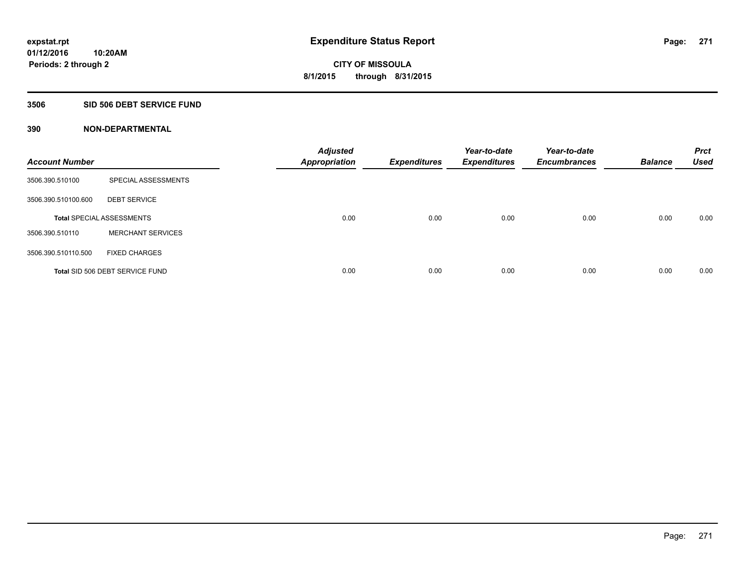### **3506 SID 506 DEBT SERVICE FUND**

| <b>Account Number</b> |                                  | <b>Adjusted</b><br><b>Appropriation</b> | <b>Expenditures</b> | Year-to-date<br><b>Expenditures</b> | Year-to-date<br><b>Encumbrances</b> | <b>Balance</b> | <b>Prct</b><br><b>Used</b> |
|-----------------------|----------------------------------|-----------------------------------------|---------------------|-------------------------------------|-------------------------------------|----------------|----------------------------|
| 3506.390.510100       | SPECIAL ASSESSMENTS              |                                         |                     |                                     |                                     |                |                            |
| 3506.390.510100.600   | <b>DEBT SERVICE</b>              |                                         |                     |                                     |                                     |                |                            |
|                       | <b>Total SPECIAL ASSESSMENTS</b> | 0.00                                    | 0.00                | 0.00                                | 0.00                                | 0.00           | 0.00                       |
| 3506.390.510110       | <b>MERCHANT SERVICES</b>         |                                         |                     |                                     |                                     |                |                            |
| 3506.390.510110.500   | <b>FIXED CHARGES</b>             |                                         |                     |                                     |                                     |                |                            |
|                       | Total SID 506 DEBT SERVICE FUND  | 0.00                                    | 0.00                | 0.00                                | 0.00                                | 0.00           | 0.00                       |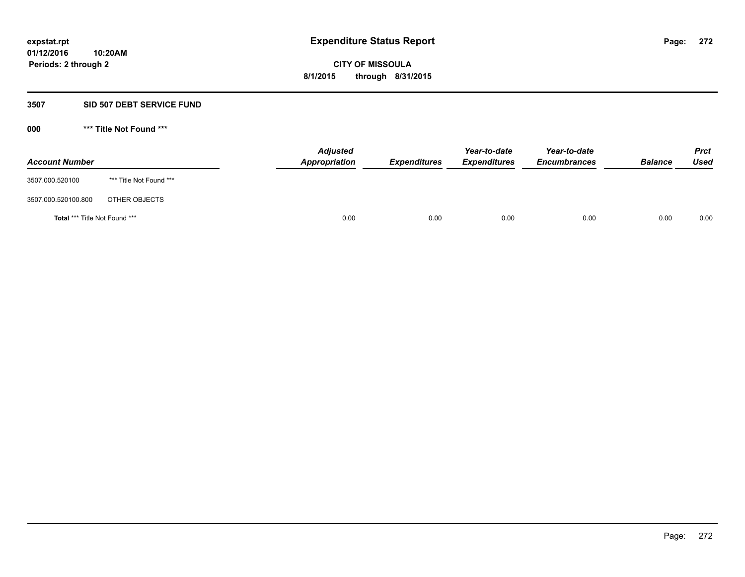### **3507 SID 507 DEBT SERVICE FUND**

| <b>Account Number</b>                |                         | <b>Adjusted</b><br><b>Appropriation</b> | <b>Expenditures</b> | Year-to-date<br><b>Expenditures</b> | Year-to-date<br><b>Encumbrances</b> | <b>Balance</b> | <b>Prct</b><br><b>Used</b> |
|--------------------------------------|-------------------------|-----------------------------------------|---------------------|-------------------------------------|-------------------------------------|----------------|----------------------------|
| 3507.000.520100                      | *** Title Not Found *** |                                         |                     |                                     |                                     |                |                            |
| 3507.000.520100.800                  | OTHER OBJECTS           |                                         |                     |                                     |                                     |                |                            |
| <b>Total *** Title Not Found ***</b> |                         | 0.00                                    | 0.00                | 0.00                                | 0.00                                | 0.00           | 0.00                       |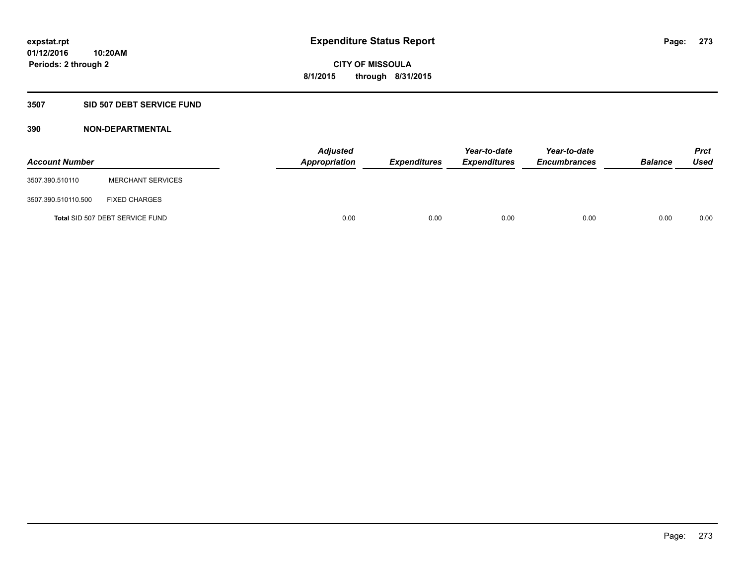### **3507 SID 507 DEBT SERVICE FUND**

| <b>Account Number</b> |                                 | <b>Adjusted</b><br>Appropriation | <b>Expenditures</b> | Year-to-date<br><b>Expenditures</b> | Year-to-date<br><b>Encumbrances</b> | <b>Balance</b> | <b>Prct</b><br><b>Used</b> |
|-----------------------|---------------------------------|----------------------------------|---------------------|-------------------------------------|-------------------------------------|----------------|----------------------------|
| 3507.390.510110       | <b>MERCHANT SERVICES</b>        |                                  |                     |                                     |                                     |                |                            |
| 3507.390.510110.500   | <b>FIXED CHARGES</b>            |                                  |                     |                                     |                                     |                |                            |
|                       | Total SID 507 DEBT SERVICE FUND | 0.00                             | 0.00                | 0.00                                | 0.00                                | 0.00           | 0.00                       |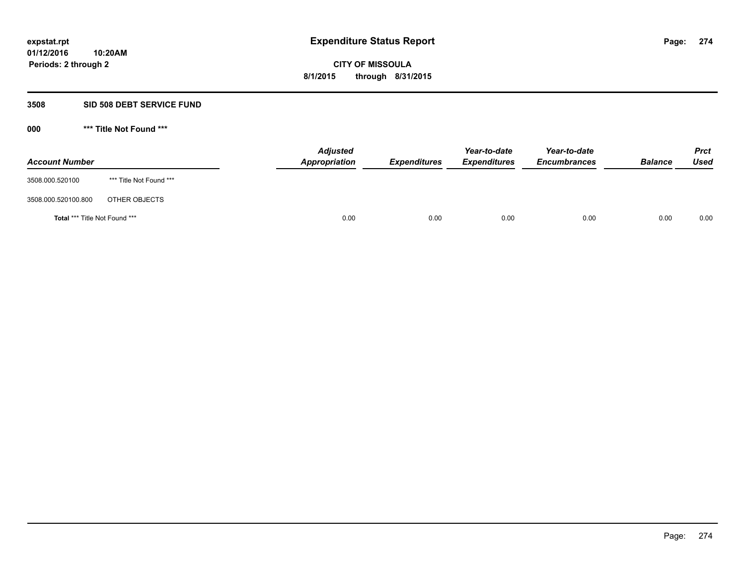#### **3508 SID 508 DEBT SERVICE FUND**

| <b>Account Number</b>                |                         | <b>Adjusted</b><br><b>Appropriation</b> | <b>Expenditures</b> | Year-to-date<br><b>Expenditures</b> | Year-to-date<br><b>Encumbrances</b> | <b>Balance</b> | <b>Prct</b><br><b>Used</b> |
|--------------------------------------|-------------------------|-----------------------------------------|---------------------|-------------------------------------|-------------------------------------|----------------|----------------------------|
| 3508.000.520100                      | *** Title Not Found *** |                                         |                     |                                     |                                     |                |                            |
| 3508.000.520100.800                  | OTHER OBJECTS           |                                         |                     |                                     |                                     |                |                            |
| <b>Total *** Title Not Found ***</b> |                         | 0.00                                    | 0.00                | 0.00                                | 0.00                                | 0.00           | 0.00                       |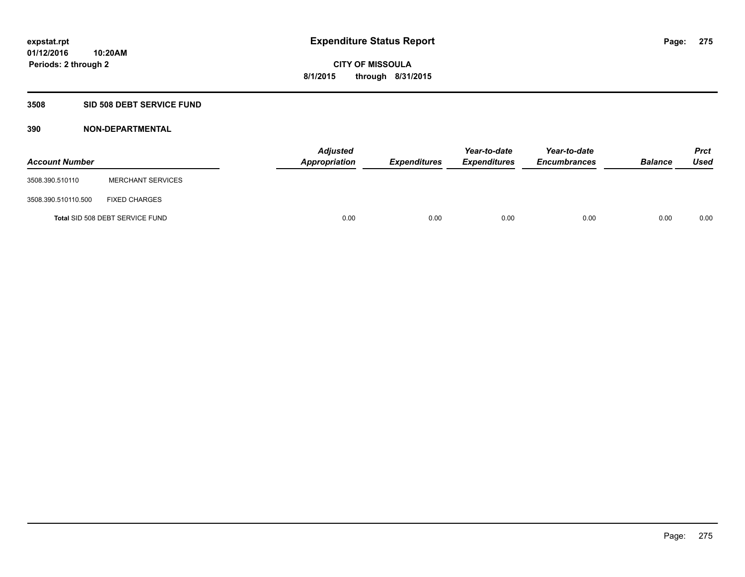## **3508 SID 508 DEBT SERVICE FUND**

| <b>Account Number</b> |                                 | <b>Adjusted</b><br>Appropriation | <b>Expenditures</b> | Year-to-date<br><b>Expenditures</b> | Year-to-date<br><b>Encumbrances</b> | <b>Balance</b> | <b>Prct</b><br><b>Used</b> |
|-----------------------|---------------------------------|----------------------------------|---------------------|-------------------------------------|-------------------------------------|----------------|----------------------------|
| 3508.390.510110       | <b>MERCHANT SERVICES</b>        |                                  |                     |                                     |                                     |                |                            |
| 3508.390.510110.500   | <b>FIXED CHARGES</b>            |                                  |                     |                                     |                                     |                |                            |
|                       | Total SID 508 DEBT SERVICE FUND | 0.00                             | 0.00                | 0.00                                | 0.00                                | 0.00           | 0.00                       |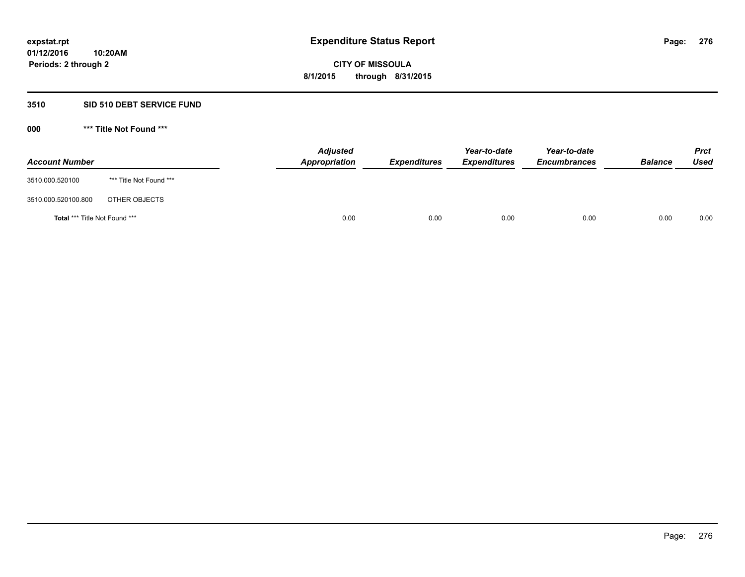### **3510 SID 510 DEBT SERVICE FUND**

| <b>Account Number</b>                |                         | <b>Adjusted</b><br><b>Appropriation</b> | <b>Expenditures</b> | Year-to-date<br><b>Expenditures</b> | Year-to-date<br><b>Encumbrances</b> | <b>Balance</b> | <b>Prct</b><br><b>Used</b> |
|--------------------------------------|-------------------------|-----------------------------------------|---------------------|-------------------------------------|-------------------------------------|----------------|----------------------------|
| 3510.000.520100                      | *** Title Not Found *** |                                         |                     |                                     |                                     |                |                            |
| 3510.000.520100.800                  | OTHER OBJECTS           |                                         |                     |                                     |                                     |                |                            |
| <b>Total *** Title Not Found ***</b> |                         | 0.00                                    | 0.00                | 0.00                                | 0.00                                | 0.00           | 0.00                       |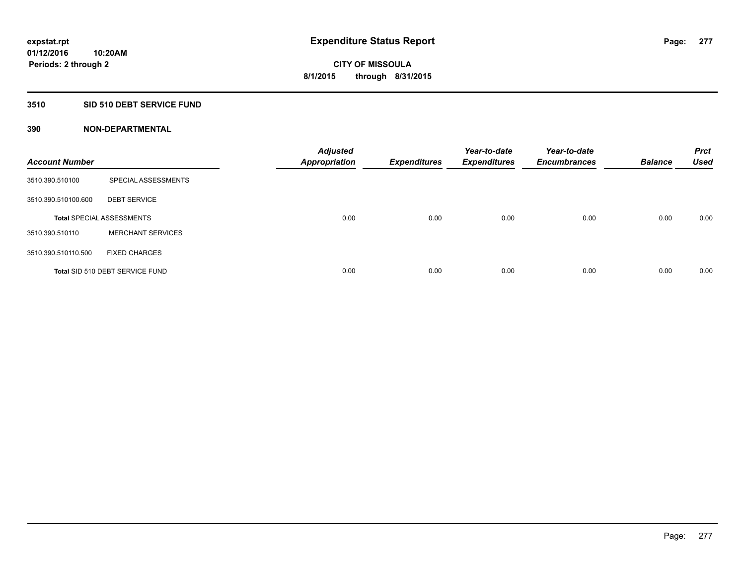#### **3510 SID 510 DEBT SERVICE FUND**

| <b>Account Number</b> |                                  | <b>Adjusted</b><br><b>Appropriation</b> | <b>Expenditures</b> | Year-to-date<br><b>Expenditures</b> | Year-to-date<br><b>Encumbrances</b> | <b>Balance</b> | <b>Prct</b><br><b>Used</b> |
|-----------------------|----------------------------------|-----------------------------------------|---------------------|-------------------------------------|-------------------------------------|----------------|----------------------------|
| 3510.390.510100       | SPECIAL ASSESSMENTS              |                                         |                     |                                     |                                     |                |                            |
| 3510.390.510100.600   | <b>DEBT SERVICE</b>              |                                         |                     |                                     |                                     |                |                            |
|                       | <b>Total SPECIAL ASSESSMENTS</b> | 0.00                                    | 0.00                | 0.00                                | 0.00                                | 0.00           | 0.00                       |
| 3510.390.510110       | <b>MERCHANT SERVICES</b>         |                                         |                     |                                     |                                     |                |                            |
| 3510.390.510110.500   | <b>FIXED CHARGES</b>             |                                         |                     |                                     |                                     |                |                            |
|                       | Total SID 510 DEBT SERVICE FUND  | 0.00                                    | 0.00                | 0.00                                | 0.00                                | 0.00           | 0.00                       |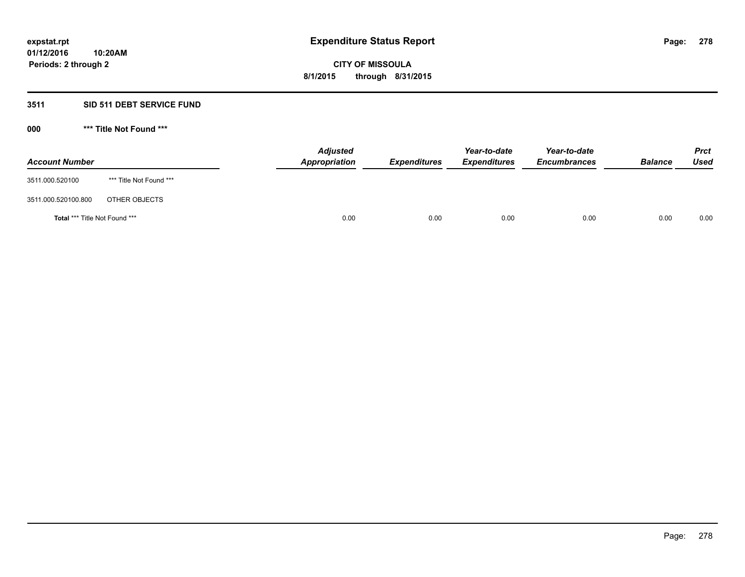## **3511 SID 511 DEBT SERVICE FUND**

| <b>Account Number</b>                |                         | <b>Adjusted</b><br><b>Appropriation</b> | <b>Expenditures</b> | Year-to-date<br><b>Expenditures</b> | Year-to-date<br><b>Encumbrances</b> | <b>Balance</b> | <b>Prct</b><br><b>Used</b> |
|--------------------------------------|-------------------------|-----------------------------------------|---------------------|-------------------------------------|-------------------------------------|----------------|----------------------------|
| 3511.000.520100                      | *** Title Not Found *** |                                         |                     |                                     |                                     |                |                            |
| 3511.000.520100.800                  | OTHER OBJECTS           |                                         |                     |                                     |                                     |                |                            |
| <b>Total *** Title Not Found ***</b> |                         | 0.00                                    | 0.00                | 0.00                                | 0.00                                | 0.00           | 0.00                       |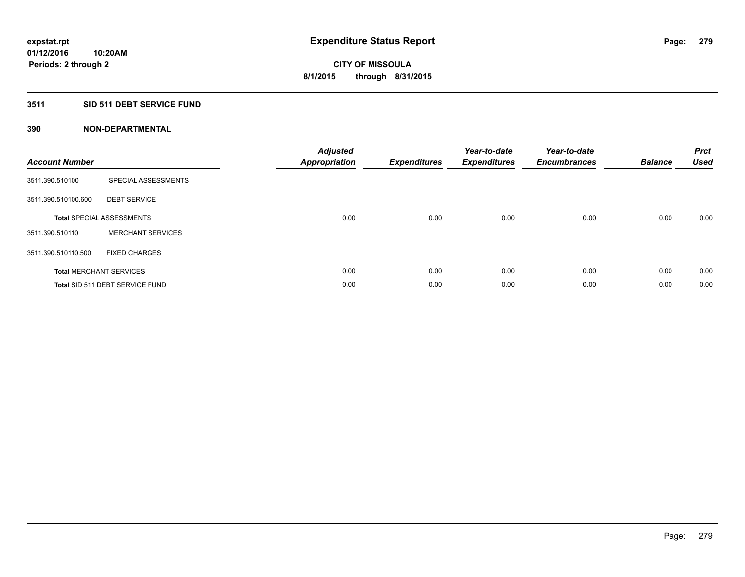## **3511 SID 511 DEBT SERVICE FUND**

| <b>Account Number</b> |                                  | <b>Adjusted</b><br>Appropriation | <b>Expenditures</b> | Year-to-date<br><b>Expenditures</b> | Year-to-date<br><b>Encumbrances</b> | <b>Balance</b> | <b>Prct</b><br><b>Used</b> |
|-----------------------|----------------------------------|----------------------------------|---------------------|-------------------------------------|-------------------------------------|----------------|----------------------------|
| 3511.390.510100       | SPECIAL ASSESSMENTS              |                                  |                     |                                     |                                     |                |                            |
| 3511.390.510100.600   | <b>DEBT SERVICE</b>              |                                  |                     |                                     |                                     |                |                            |
|                       | <b>Total SPECIAL ASSESSMENTS</b> | 0.00                             | 0.00                | 0.00                                | 0.00                                | 0.00           | 0.00                       |
| 3511.390.510110       | <b>MERCHANT SERVICES</b>         |                                  |                     |                                     |                                     |                |                            |
| 3511.390.510110.500   | <b>FIXED CHARGES</b>             |                                  |                     |                                     |                                     |                |                            |
|                       | <b>Total MERCHANT SERVICES</b>   | 0.00                             | 0.00                | 0.00                                | 0.00                                | 0.00           | 0.00                       |
|                       | Total SID 511 DEBT SERVICE FUND  | 0.00                             | 0.00                | 0.00                                | 0.00                                | 0.00           | 0.00                       |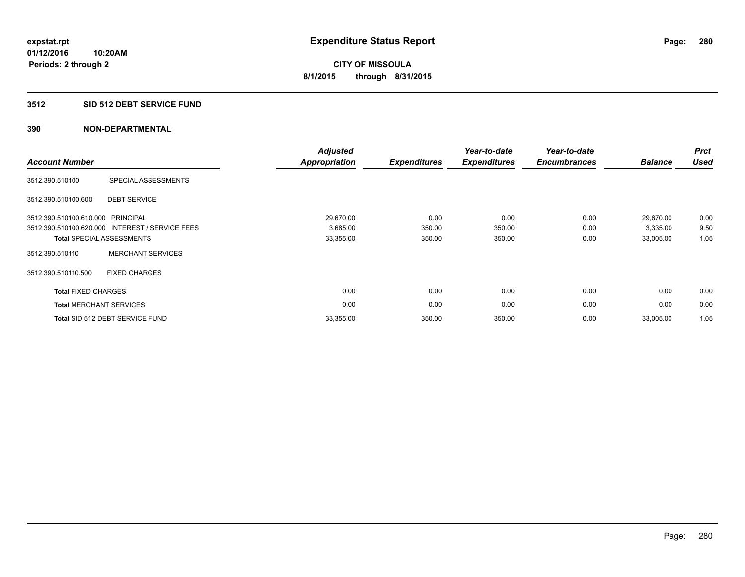#### **3512 SID 512 DEBT SERVICE FUND**

| <b>Account Number</b>             |                                                 | <b>Adjusted</b><br><b>Appropriation</b> | <b>Expenditures</b> | Year-to-date<br><b>Expenditures</b> | Year-to-date<br><b>Encumbrances</b> | <b>Balance</b> | <b>Prct</b><br><b>Used</b> |
|-----------------------------------|-------------------------------------------------|-----------------------------------------|---------------------|-------------------------------------|-------------------------------------|----------------|----------------------------|
| 3512.390.510100                   | SPECIAL ASSESSMENTS                             |                                         |                     |                                     |                                     |                |                            |
| 3512.390.510100.600               | <b>DEBT SERVICE</b>                             |                                         |                     |                                     |                                     |                |                            |
| 3512.390.510100.610.000 PRINCIPAL |                                                 | 29,670.00                               | 0.00                | 0.00                                | 0.00                                | 29,670.00      | 0.00                       |
|                                   | 3512.390.510100.620.000 INTEREST / SERVICE FEES | 3,685.00                                | 350.00              | 350.00                              | 0.00                                | 3,335.00       | 9.50                       |
|                                   | <b>Total SPECIAL ASSESSMENTS</b>                | 33,355.00                               | 350.00              | 350.00                              | 0.00                                | 33,005.00      | 1.05                       |
| 3512.390.510110                   | <b>MERCHANT SERVICES</b>                        |                                         |                     |                                     |                                     |                |                            |
| 3512.390.510110.500               | <b>FIXED CHARGES</b>                            |                                         |                     |                                     |                                     |                |                            |
| <b>Total FIXED CHARGES</b>        |                                                 | 0.00                                    | 0.00                | 0.00                                | 0.00                                | 0.00           | 0.00                       |
|                                   | <b>Total MERCHANT SERVICES</b>                  | 0.00                                    | 0.00                | 0.00                                | 0.00                                | 0.00           | 0.00                       |
|                                   | Total SID 512 DEBT SERVICE FUND                 | 33,355.00                               | 350.00              | 350.00                              | 0.00                                | 33,005.00      | 1.05                       |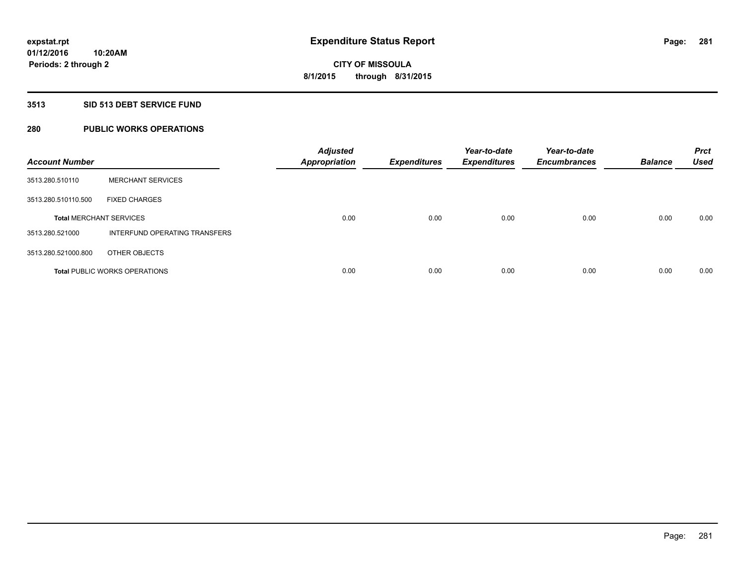### **3513 SID 513 DEBT SERVICE FUND**

## **280 PUBLIC WORKS OPERATIONS**

| <b>Account Number</b>          |                                      | <b>Adjusted</b><br><b>Appropriation</b> | <b>Expenditures</b> | Year-to-date<br><b>Expenditures</b> | Year-to-date<br><b>Encumbrances</b> | <b>Balance</b> | <b>Prct</b><br><b>Used</b> |
|--------------------------------|--------------------------------------|-----------------------------------------|---------------------|-------------------------------------|-------------------------------------|----------------|----------------------------|
| 3513.280.510110                | <b>MERCHANT SERVICES</b>             |                                         |                     |                                     |                                     |                |                            |
| 3513.280.510110.500            | <b>FIXED CHARGES</b>                 |                                         |                     |                                     |                                     |                |                            |
| <b>Total MERCHANT SERVICES</b> |                                      | 0.00                                    | 0.00                | 0.00                                | 0.00                                | 0.00           | 0.00                       |
| 3513.280.521000                | INTERFUND OPERATING TRANSFERS        |                                         |                     |                                     |                                     |                |                            |
| 3513.280.521000.800            | OTHER OBJECTS                        |                                         |                     |                                     |                                     |                |                            |
|                                | <b>Total PUBLIC WORKS OPERATIONS</b> | 0.00                                    | 0.00                | 0.00                                | 0.00                                | 0.00           | 0.00                       |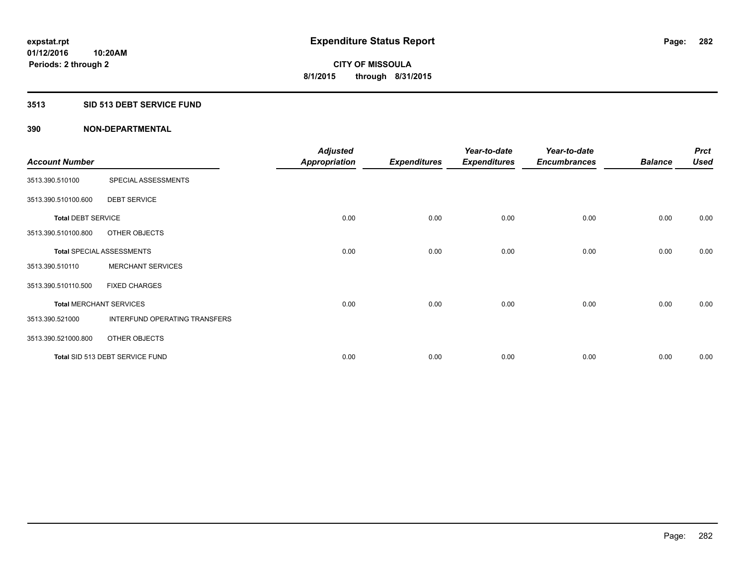### **3513 SID 513 DEBT SERVICE FUND**

|                                |                                  | <b>Adjusted</b>      |                     | Year-to-date        | Year-to-date        |                | <b>Prct</b> |
|--------------------------------|----------------------------------|----------------------|---------------------|---------------------|---------------------|----------------|-------------|
| <b>Account Number</b>          |                                  | <b>Appropriation</b> | <b>Expenditures</b> | <b>Expenditures</b> | <b>Encumbrances</b> | <b>Balance</b> | <b>Used</b> |
| 3513.390.510100                | SPECIAL ASSESSMENTS              |                      |                     |                     |                     |                |             |
| 3513.390.510100.600            | <b>DEBT SERVICE</b>              |                      |                     |                     |                     |                |             |
| <b>Total DEBT SERVICE</b>      |                                  | 0.00                 | 0.00                | 0.00                | 0.00                | 0.00           | 0.00        |
| 3513.390.510100.800            | OTHER OBJECTS                    |                      |                     |                     |                     |                |             |
|                                | <b>Total SPECIAL ASSESSMENTS</b> | 0.00                 | 0.00                | 0.00                | 0.00                | 0.00           | 0.00        |
| 3513.390.510110                | <b>MERCHANT SERVICES</b>         |                      |                     |                     |                     |                |             |
| 3513.390.510110.500            | <b>FIXED CHARGES</b>             |                      |                     |                     |                     |                |             |
| <b>Total MERCHANT SERVICES</b> |                                  | 0.00                 | 0.00                | 0.00                | 0.00                | 0.00           | 0.00        |
| 3513.390.521000                | INTERFUND OPERATING TRANSFERS    |                      |                     |                     |                     |                |             |
| 3513.390.521000.800            | OTHER OBJECTS                    |                      |                     |                     |                     |                |             |
|                                | Total SID 513 DEBT SERVICE FUND  | 0.00                 | 0.00                | 0.00                | 0.00                | 0.00           | 0.00        |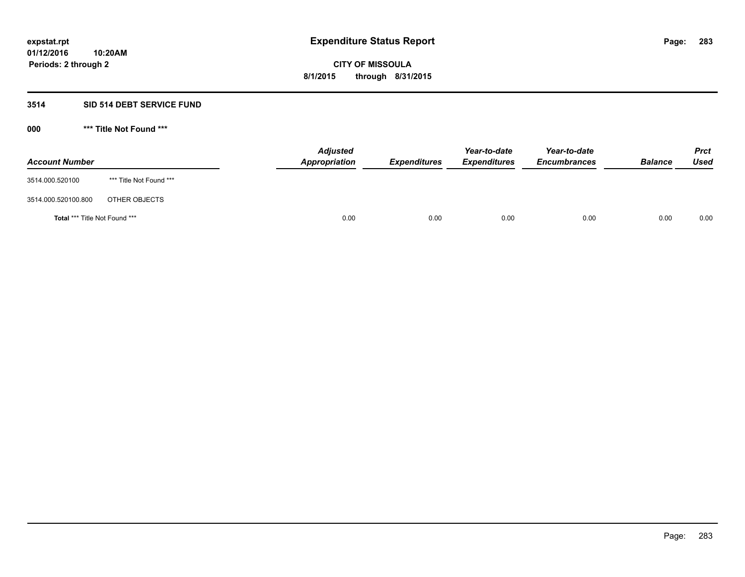### **3514 SID 514 DEBT SERVICE FUND**

| <b>Account Number</b>                |                         | <b>Adjusted</b><br>Appropriation | <b>Expenditures</b> | Year-to-date<br><b>Expenditures</b> | Year-to-date<br><b>Encumbrances</b> | <b>Balance</b> | <b>Prct</b><br>Used |
|--------------------------------------|-------------------------|----------------------------------|---------------------|-------------------------------------|-------------------------------------|----------------|---------------------|
| 3514.000.520100                      | *** Title Not Found *** |                                  |                     |                                     |                                     |                |                     |
| 3514.000.520100.800                  | OTHER OBJECTS           |                                  |                     |                                     |                                     |                |                     |
| <b>Total *** Title Not Found ***</b> |                         | 0.00                             | 0.00                | 0.00                                | 0.00                                | 0.00           | 0.00                |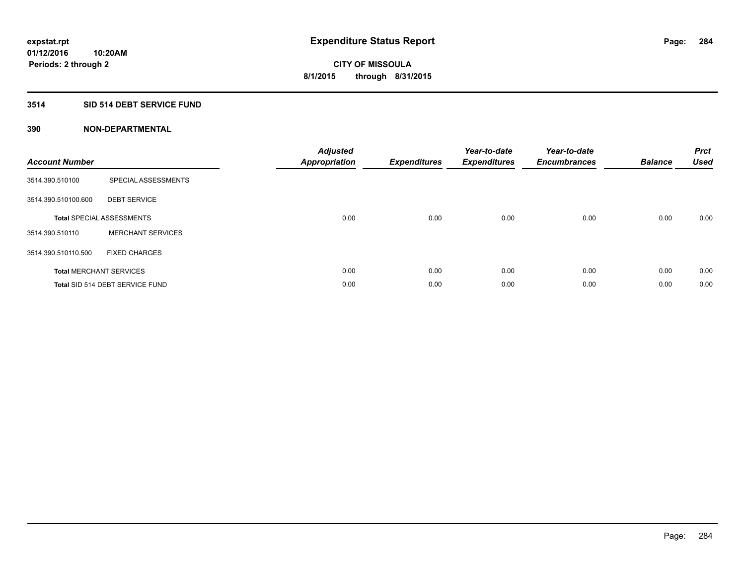## **3514 SID 514 DEBT SERVICE FUND**

| <b>Account Number</b> |                                  | <b>Adjusted</b><br>Appropriation | <b>Expenditures</b> | Year-to-date<br><b>Expenditures</b> | Year-to-date<br><b>Encumbrances</b> | <b>Balance</b> | <b>Prct</b><br><b>Used</b> |
|-----------------------|----------------------------------|----------------------------------|---------------------|-------------------------------------|-------------------------------------|----------------|----------------------------|
| 3514.390.510100       | SPECIAL ASSESSMENTS              |                                  |                     |                                     |                                     |                |                            |
| 3514.390.510100.600   | <b>DEBT SERVICE</b>              |                                  |                     |                                     |                                     |                |                            |
|                       | <b>Total SPECIAL ASSESSMENTS</b> | 0.00                             | 0.00                | 0.00                                | 0.00                                | 0.00           | 0.00                       |
| 3514.390.510110       | <b>MERCHANT SERVICES</b>         |                                  |                     |                                     |                                     |                |                            |
| 3514.390.510110.500   | <b>FIXED CHARGES</b>             |                                  |                     |                                     |                                     |                |                            |
|                       | <b>Total MERCHANT SERVICES</b>   | 0.00                             | 0.00                | 0.00                                | 0.00                                | 0.00           | 0.00                       |
|                       | Total SID 514 DEBT SERVICE FUND  | 0.00                             | 0.00                | 0.00                                | 0.00                                | 0.00           | 0.00                       |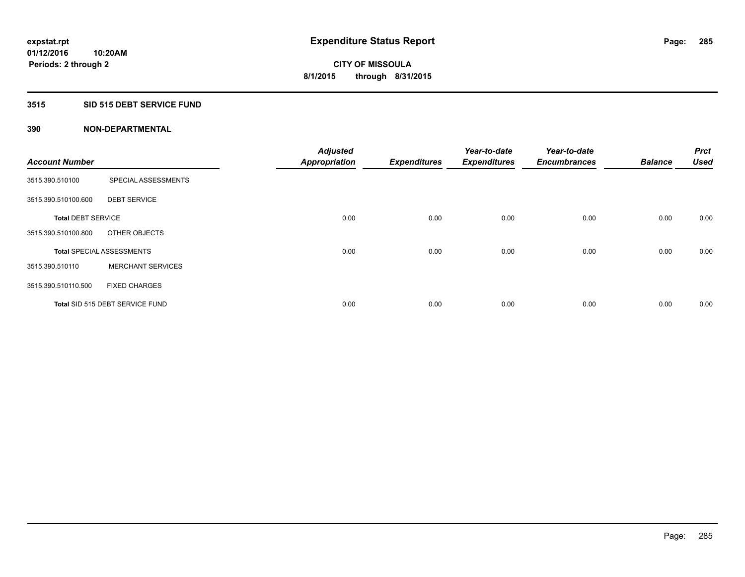## **3515 SID 515 DEBT SERVICE FUND**

| <b>Account Number</b>     |                                  | <b>Adjusted</b>      |                     | Year-to-date        | Year-to-date<br><b>Encumbrances</b> | <b>Balance</b> | <b>Prct</b><br><b>Used</b> |
|---------------------------|----------------------------------|----------------------|---------------------|---------------------|-------------------------------------|----------------|----------------------------|
|                           |                                  | <b>Appropriation</b> | <b>Expenditures</b> | <b>Expenditures</b> |                                     |                |                            |
| 3515.390.510100           | SPECIAL ASSESSMENTS              |                      |                     |                     |                                     |                |                            |
| 3515.390.510100.600       | <b>DEBT SERVICE</b>              |                      |                     |                     |                                     |                |                            |
| <b>Total DEBT SERVICE</b> |                                  | 0.00                 | 0.00                | 0.00                | 0.00                                | 0.00           | 0.00                       |
| 3515.390.510100.800       | OTHER OBJECTS                    |                      |                     |                     |                                     |                |                            |
|                           | <b>Total SPECIAL ASSESSMENTS</b> | 0.00                 | 0.00                | 0.00                | 0.00                                | 0.00           | 0.00                       |
| 3515.390.510110           | <b>MERCHANT SERVICES</b>         |                      |                     |                     |                                     |                |                            |
| 3515.390.510110.500       | <b>FIXED CHARGES</b>             |                      |                     |                     |                                     |                |                            |
|                           | Total SID 515 DEBT SERVICE FUND  | 0.00                 | 0.00                | 0.00                | 0.00                                | 0.00           | 0.00                       |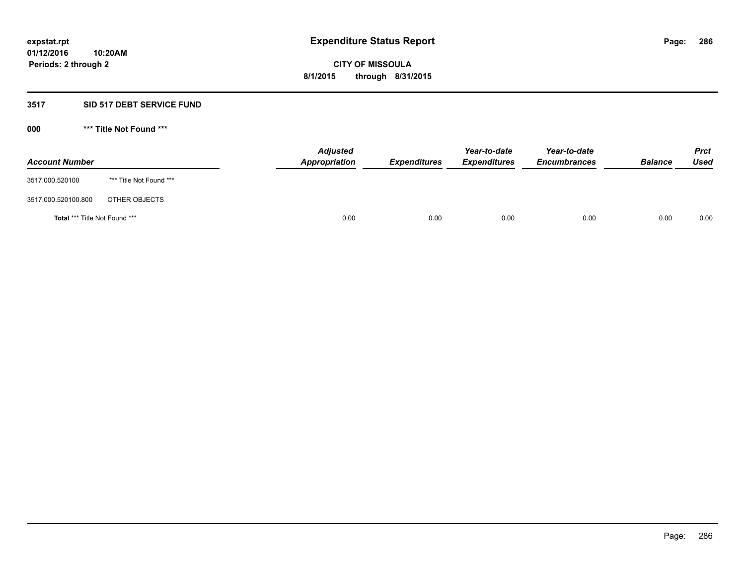### **3517 SID 517 DEBT SERVICE FUND**

| <b>Account Number</b>                |                         | <b>Adjusted</b><br><b>Appropriation</b> | <b>Expenditures</b> | Year-to-date<br><b>Expenditures</b> | Year-to-date<br><b>Encumbrances</b> | <b>Balance</b> | <b>Prct</b><br><b>Used</b> |
|--------------------------------------|-------------------------|-----------------------------------------|---------------------|-------------------------------------|-------------------------------------|----------------|----------------------------|
| 3517.000.520100                      | *** Title Not Found *** |                                         |                     |                                     |                                     |                |                            |
| 3517.000.520100.800                  | OTHER OBJECTS           |                                         |                     |                                     |                                     |                |                            |
| <b>Total *** Title Not Found ***</b> |                         | 0.00                                    | 0.00                | 0.00                                | 0.00                                | 0.00           | 0.00                       |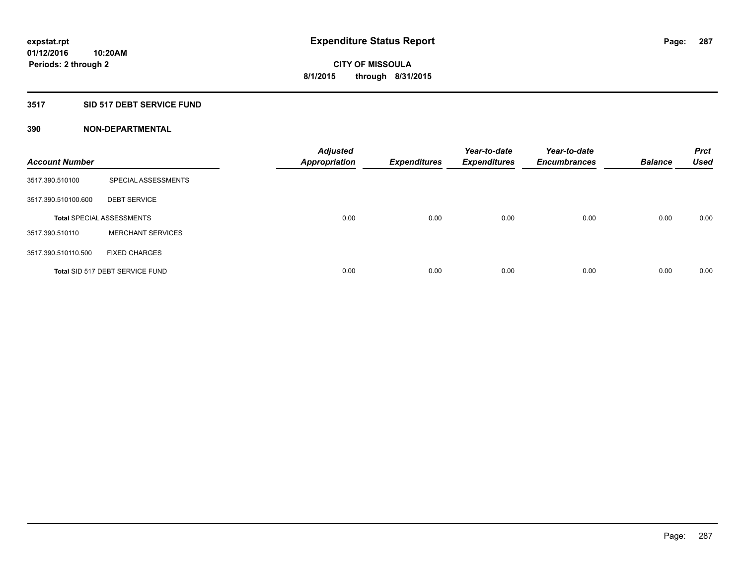## **3517 SID 517 DEBT SERVICE FUND**

| <b>Account Number</b> |                                  | <b>Adjusted</b><br><b>Appropriation</b> | <b>Expenditures</b> | Year-to-date<br><b>Expenditures</b> | Year-to-date<br><b>Encumbrances</b> | <b>Balance</b> | <b>Prct</b><br>Used |
|-----------------------|----------------------------------|-----------------------------------------|---------------------|-------------------------------------|-------------------------------------|----------------|---------------------|
| 3517.390.510100       | SPECIAL ASSESSMENTS              |                                         |                     |                                     |                                     |                |                     |
| 3517.390.510100.600   | <b>DEBT SERVICE</b>              |                                         |                     |                                     |                                     |                |                     |
|                       | <b>Total SPECIAL ASSESSMENTS</b> | 0.00                                    | 0.00                | 0.00                                | 0.00                                | 0.00           | 0.00                |
| 3517.390.510110       | <b>MERCHANT SERVICES</b>         |                                         |                     |                                     |                                     |                |                     |
| 3517.390.510110.500   | <b>FIXED CHARGES</b>             |                                         |                     |                                     |                                     |                |                     |
|                       | Total SID 517 DEBT SERVICE FUND  | 0.00                                    | 0.00                | 0.00                                | 0.00                                | 0.00           | 0.00                |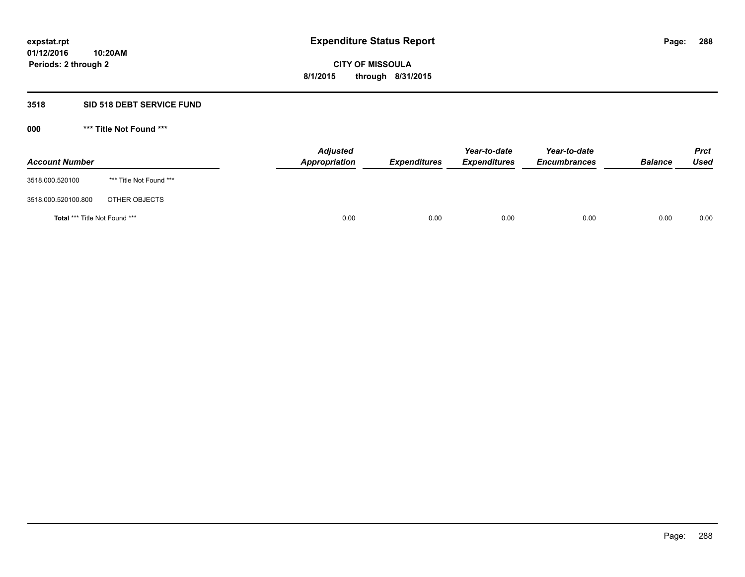### **3518 SID 518 DEBT SERVICE FUND**

| <b>Account Number</b>         |                         | <b>Adjusted</b><br>Appropriation | <b>Expenditures</b> | Year-to-date<br><b>Expenditures</b> | Year-to-date<br><b>Encumbrances</b> | <b>Balance</b> | <b>Prct</b><br>Used |
|-------------------------------|-------------------------|----------------------------------|---------------------|-------------------------------------|-------------------------------------|----------------|---------------------|
| 3518.000.520100               | *** Title Not Found *** |                                  |                     |                                     |                                     |                |                     |
| 3518.000.520100.800           | OTHER OBJECTS           |                                  |                     |                                     |                                     |                |                     |
| Total *** Title Not Found *** |                         | 0.00                             | 0.00                | 0.00                                | 0.00                                | 0.00           | 0.00                |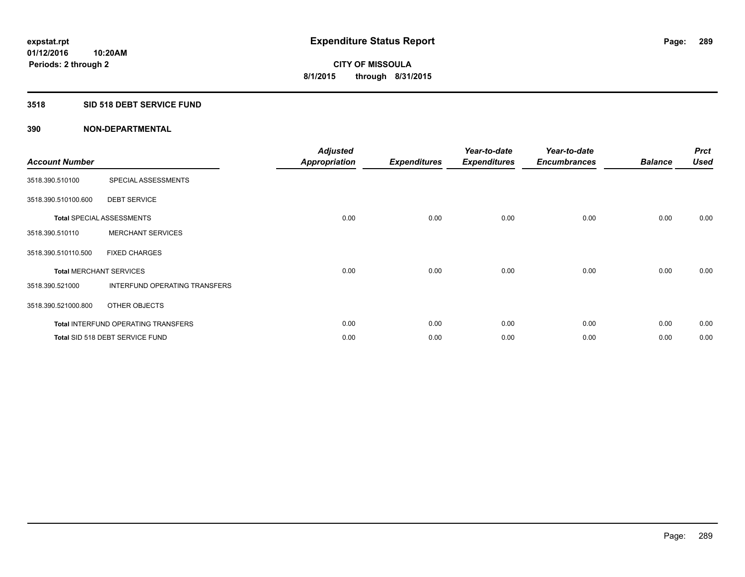## **3518 SID 518 DEBT SERVICE FUND**

| <b>Account Number</b>          |                                            | <b>Adjusted</b><br><b>Appropriation</b> | <b>Expenditures</b> | Year-to-date<br><b>Expenditures</b> | Year-to-date<br><b>Encumbrances</b> | <b>Balance</b> | <b>Prct</b><br><b>Used</b> |
|--------------------------------|--------------------------------------------|-----------------------------------------|---------------------|-------------------------------------|-------------------------------------|----------------|----------------------------|
| 3518.390.510100                | SPECIAL ASSESSMENTS                        |                                         |                     |                                     |                                     |                |                            |
| 3518.390.510100.600            | <b>DEBT SERVICE</b>                        |                                         |                     |                                     |                                     |                |                            |
|                                | <b>Total SPECIAL ASSESSMENTS</b>           | 0.00                                    | 0.00                | 0.00                                | 0.00                                | 0.00           | 0.00                       |
| 3518.390.510110                | <b>MERCHANT SERVICES</b>                   |                                         |                     |                                     |                                     |                |                            |
| 3518.390.510110.500            | <b>FIXED CHARGES</b>                       |                                         |                     |                                     |                                     |                |                            |
| <b>Total MERCHANT SERVICES</b> |                                            | 0.00                                    | 0.00                | 0.00                                | 0.00                                | 0.00           | 0.00                       |
| 3518.390.521000                | INTERFUND OPERATING TRANSFERS              |                                         |                     |                                     |                                     |                |                            |
| 3518.390.521000.800            | OTHER OBJECTS                              |                                         |                     |                                     |                                     |                |                            |
|                                | <b>Total INTERFUND OPERATING TRANSFERS</b> | 0.00                                    | 0.00                | 0.00                                | 0.00                                | 0.00           | 0.00                       |
|                                | Total SID 518 DEBT SERVICE FUND            | 0.00                                    | 0.00                | 0.00                                | 0.00                                | 0.00           | 0.00                       |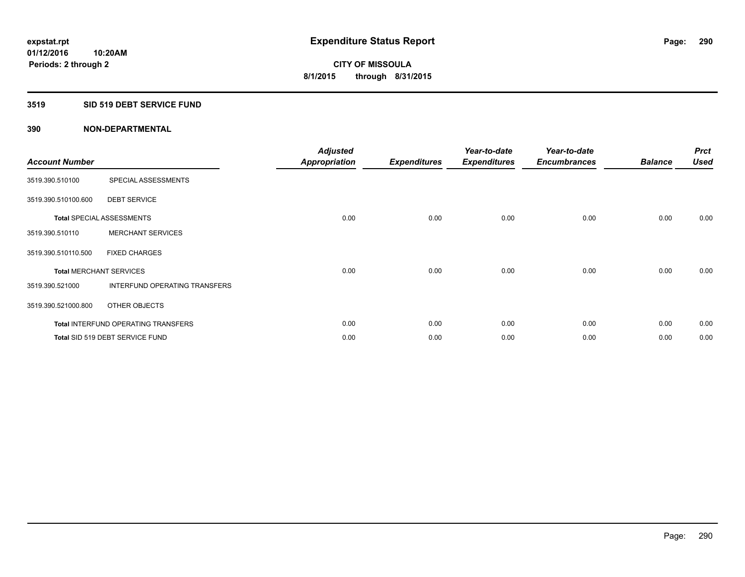## **3519 SID 519 DEBT SERVICE FUND**

| <b>Account Number</b>          |                                            | <b>Adjusted</b><br><b>Appropriation</b> | <b>Expenditures</b> | Year-to-date<br><b>Expenditures</b> | Year-to-date<br><b>Encumbrances</b> | <b>Balance</b> | <b>Prct</b><br><b>Used</b> |
|--------------------------------|--------------------------------------------|-----------------------------------------|---------------------|-------------------------------------|-------------------------------------|----------------|----------------------------|
| 3519.390.510100                | SPECIAL ASSESSMENTS                        |                                         |                     |                                     |                                     |                |                            |
| 3519.390.510100.600            | <b>DEBT SERVICE</b>                        |                                         |                     |                                     |                                     |                |                            |
|                                | <b>Total SPECIAL ASSESSMENTS</b>           | 0.00                                    | 0.00                | 0.00                                | 0.00                                | 0.00           | 0.00                       |
| 3519.390.510110                | <b>MERCHANT SERVICES</b>                   |                                         |                     |                                     |                                     |                |                            |
| 3519.390.510110.500            | <b>FIXED CHARGES</b>                       |                                         |                     |                                     |                                     |                |                            |
| <b>Total MERCHANT SERVICES</b> |                                            | 0.00                                    | 0.00                | 0.00                                | 0.00                                | 0.00           | 0.00                       |
| 3519.390.521000                | INTERFUND OPERATING TRANSFERS              |                                         |                     |                                     |                                     |                |                            |
| 3519.390.521000.800            | OTHER OBJECTS                              |                                         |                     |                                     |                                     |                |                            |
|                                | <b>Total INTERFUND OPERATING TRANSFERS</b> | 0.00                                    | 0.00                | 0.00                                | 0.00                                | 0.00           | 0.00                       |
|                                | Total SID 519 DEBT SERVICE FUND            | 0.00                                    | 0.00                | 0.00                                | 0.00                                | 0.00           | 0.00                       |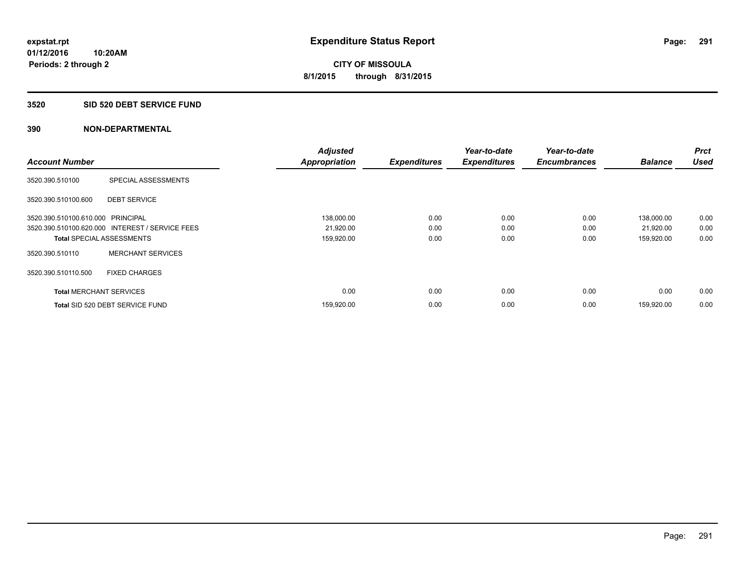#### **3520 SID 520 DEBT SERVICE FUND**

| <b>Account Number</b>             |                                                 | <b>Adjusted</b><br><b>Appropriation</b> | <b>Expenditures</b> | Year-to-date<br><b>Expenditures</b> | Year-to-date<br><b>Encumbrances</b> | <b>Balance</b> | <b>Prct</b><br><b>Used</b> |
|-----------------------------------|-------------------------------------------------|-----------------------------------------|---------------------|-------------------------------------|-------------------------------------|----------------|----------------------------|
|                                   |                                                 |                                         |                     |                                     |                                     |                |                            |
| 3520.390.510100                   | SPECIAL ASSESSMENTS                             |                                         |                     |                                     |                                     |                |                            |
| 3520.390.510100.600               | <b>DEBT SERVICE</b>                             |                                         |                     |                                     |                                     |                |                            |
| 3520.390.510100.610.000 PRINCIPAL |                                                 | 138,000.00                              | 0.00                | 0.00                                | 0.00                                | 138,000.00     | 0.00                       |
|                                   | 3520.390.510100.620.000 INTEREST / SERVICE FEES | 21,920.00                               | 0.00                | 0.00                                | 0.00                                | 21,920.00      | 0.00                       |
| <b>Total SPECIAL ASSESSMENTS</b>  |                                                 | 159,920.00                              | 0.00                | 0.00                                | 0.00                                | 159,920.00     | 0.00                       |
| 3520.390.510110                   | <b>MERCHANT SERVICES</b>                        |                                         |                     |                                     |                                     |                |                            |
| 3520.390.510110.500               | <b>FIXED CHARGES</b>                            |                                         |                     |                                     |                                     |                |                            |
| <b>Total MERCHANT SERVICES</b>    |                                                 | 0.00                                    | 0.00                | 0.00                                | 0.00                                | 0.00           | 0.00                       |
|                                   | Total SID 520 DEBT SERVICE FUND                 | 159,920.00                              | 0.00                | 0.00                                | 0.00                                | 159,920.00     | 0.00                       |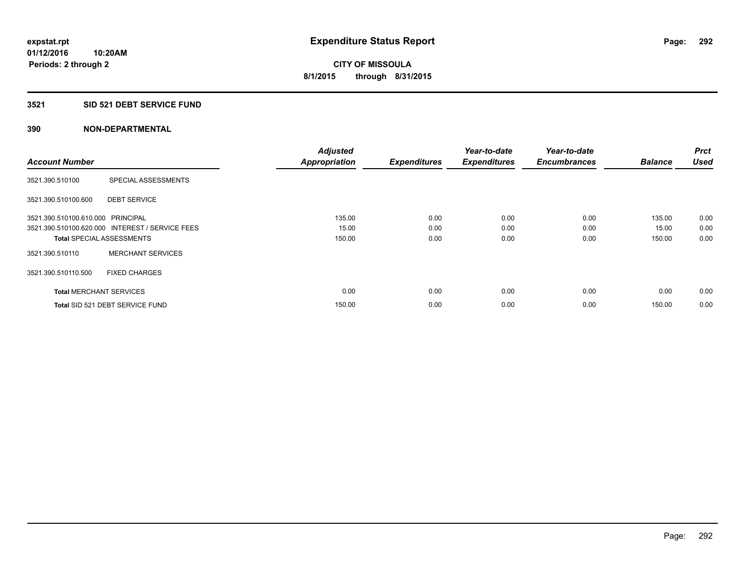## **3521 SID 521 DEBT SERVICE FUND**

| <b>Account Number</b>             |                                                 | <b>Adjusted</b><br><b>Appropriation</b> | <b>Expenditures</b> | Year-to-date<br><b>Expenditures</b> | Year-to-date<br><b>Encumbrances</b> | <b>Balance</b> | <b>Prct</b><br><b>Used</b> |
|-----------------------------------|-------------------------------------------------|-----------------------------------------|---------------------|-------------------------------------|-------------------------------------|----------------|----------------------------|
|                                   |                                                 |                                         |                     |                                     |                                     |                |                            |
| 3521.390.510100                   | SPECIAL ASSESSMENTS                             |                                         |                     |                                     |                                     |                |                            |
| 3521.390.510100.600               | <b>DEBT SERVICE</b>                             |                                         |                     |                                     |                                     |                |                            |
| 3521.390.510100.610.000 PRINCIPAL |                                                 | 135.00                                  | 0.00                | 0.00                                | 0.00                                | 135.00         | 0.00                       |
|                                   | 3521.390.510100.620.000 INTEREST / SERVICE FEES | 15.00                                   | 0.00                | 0.00                                | 0.00                                | 15.00          | 0.00                       |
| <b>Total SPECIAL ASSESSMENTS</b>  |                                                 | 150.00                                  | 0.00                | 0.00                                | 0.00                                | 150.00         | 0.00                       |
| 3521.390.510110                   | <b>MERCHANT SERVICES</b>                        |                                         |                     |                                     |                                     |                |                            |
| 3521.390.510110.500               | <b>FIXED CHARGES</b>                            |                                         |                     |                                     |                                     |                |                            |
| <b>Total MERCHANT SERVICES</b>    |                                                 | 0.00                                    | 0.00                | 0.00                                | 0.00                                | 0.00           | 0.00                       |
|                                   | Total SID 521 DEBT SERVICE FUND                 | 150.00                                  | 0.00                | 0.00                                | 0.00                                | 150.00         | 0.00                       |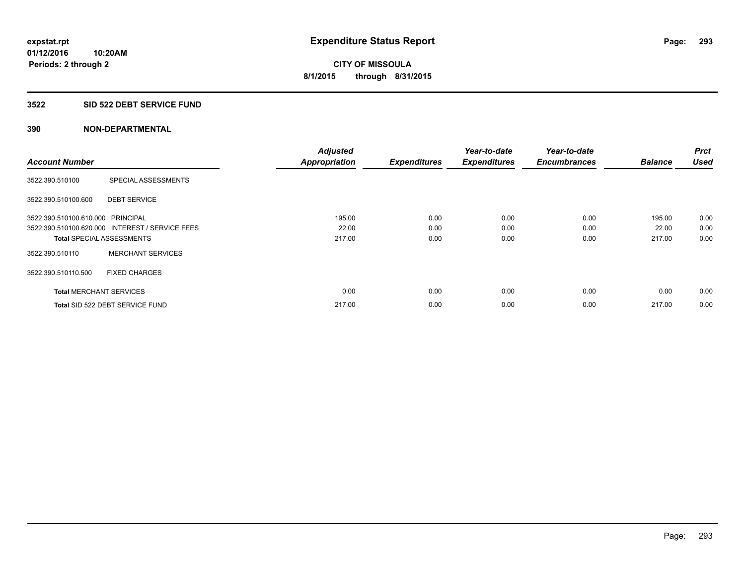#### **3522 SID 522 DEBT SERVICE FUND**

| <b>Account Number</b>             |                                                 | <b>Adjusted</b><br><b>Appropriation</b> | <b>Expenditures</b> | Year-to-date<br><b>Expenditures</b> | Year-to-date<br><b>Encumbrances</b> | <b>Balance</b> | <b>Prct</b><br><b>Used</b> |
|-----------------------------------|-------------------------------------------------|-----------------------------------------|---------------------|-------------------------------------|-------------------------------------|----------------|----------------------------|
|                                   |                                                 |                                         |                     |                                     |                                     |                |                            |
| 3522.390.510100                   | SPECIAL ASSESSMENTS                             |                                         |                     |                                     |                                     |                |                            |
| 3522.390.510100.600               | <b>DEBT SERVICE</b>                             |                                         |                     |                                     |                                     |                |                            |
| 3522.390.510100.610.000 PRINCIPAL |                                                 | 195.00                                  | 0.00                | 0.00                                | 0.00                                | 195.00         | 0.00                       |
|                                   | 3522.390.510100.620.000 INTEREST / SERVICE FEES | 22.00                                   | 0.00                | 0.00                                | 0.00                                | 22.00          | 0.00                       |
| <b>Total SPECIAL ASSESSMENTS</b>  |                                                 | 217.00                                  | 0.00                | 0.00                                | 0.00                                | 217.00         | 0.00                       |
| 3522.390.510110                   | <b>MERCHANT SERVICES</b>                        |                                         |                     |                                     |                                     |                |                            |
| 3522.390.510110.500               | <b>FIXED CHARGES</b>                            |                                         |                     |                                     |                                     |                |                            |
| <b>Total MERCHANT SERVICES</b>    |                                                 | 0.00                                    | 0.00                | 0.00                                | 0.00                                | 0.00           | 0.00                       |
|                                   | Total SID 522 DEBT SERVICE FUND                 | 217.00                                  | 0.00                | 0.00                                | 0.00                                | 217.00         | 0.00                       |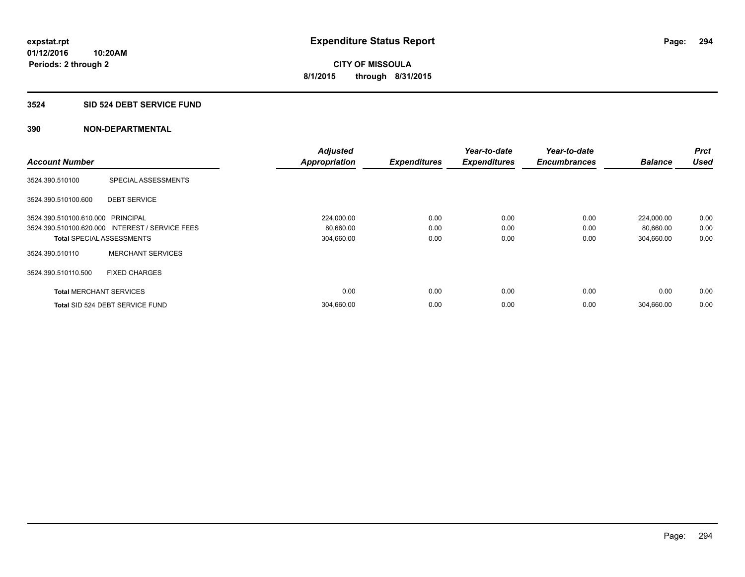#### **3524 SID 524 DEBT SERVICE FUND**

|                                   |                                                 | <b>Adjusted</b>      |                     | Year-to-date        | Year-to-date        |                | <b>Prct</b> |
|-----------------------------------|-------------------------------------------------|----------------------|---------------------|---------------------|---------------------|----------------|-------------|
| <b>Account Number</b>             |                                                 | <b>Appropriation</b> | <b>Expenditures</b> | <b>Expenditures</b> | <b>Encumbrances</b> | <b>Balance</b> | <b>Used</b> |
| 3524.390.510100                   | SPECIAL ASSESSMENTS                             |                      |                     |                     |                     |                |             |
| 3524.390.510100.600               | <b>DEBT SERVICE</b>                             |                      |                     |                     |                     |                |             |
| 3524.390.510100.610.000 PRINCIPAL |                                                 | 224,000.00           | 0.00                | 0.00                | 0.00                | 224,000.00     | 0.00        |
|                                   | 3524.390.510100.620.000 INTEREST / SERVICE FEES | 80,660.00            | 0.00                | 0.00                | 0.00                | 80,660.00      | 0.00        |
| <b>Total SPECIAL ASSESSMENTS</b>  |                                                 | 304,660.00           | 0.00                | 0.00                | 0.00                | 304,660.00     | 0.00        |
| 3524.390.510110                   | <b>MERCHANT SERVICES</b>                        |                      |                     |                     |                     |                |             |
| 3524.390.510110.500               | <b>FIXED CHARGES</b>                            |                      |                     |                     |                     |                |             |
| <b>Total MERCHANT SERVICES</b>    |                                                 | 0.00                 | 0.00                | 0.00                | 0.00                | 0.00           | 0.00        |
|                                   | Total SID 524 DEBT SERVICE FUND                 | 304,660.00           | 0.00                | 0.00                | 0.00                | 304,660.00     | 0.00        |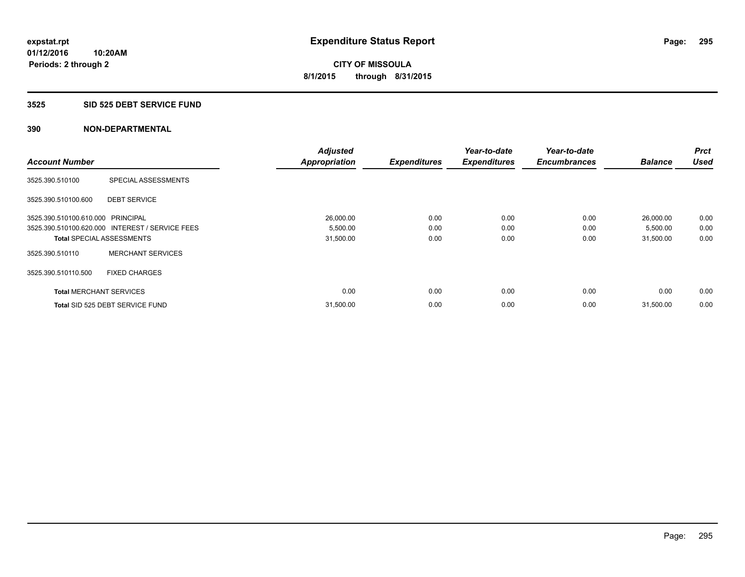#### **3525 SID 525 DEBT SERVICE FUND**

|                                   |                                                 | <b>Adjusted</b>      |                     | Year-to-date        | Year-to-date        |                | <b>Prct</b> |
|-----------------------------------|-------------------------------------------------|----------------------|---------------------|---------------------|---------------------|----------------|-------------|
| <b>Account Number</b>             |                                                 | <b>Appropriation</b> | <b>Expenditures</b> | <b>Expenditures</b> | <b>Encumbrances</b> | <b>Balance</b> | <b>Used</b> |
| 3525.390.510100                   | SPECIAL ASSESSMENTS                             |                      |                     |                     |                     |                |             |
| 3525.390.510100.600               | <b>DEBT SERVICE</b>                             |                      |                     |                     |                     |                |             |
| 3525.390.510100.610.000 PRINCIPAL |                                                 | 26,000.00            | 0.00                | 0.00                | 0.00                | 26,000.00      | 0.00        |
|                                   | 3525.390.510100.620.000 INTEREST / SERVICE FEES | 5,500.00             | 0.00                | 0.00                | 0.00                | 5,500.00       | 0.00        |
| <b>Total SPECIAL ASSESSMENTS</b>  |                                                 | 31,500.00            | 0.00                | 0.00                | 0.00                | 31,500.00      | 0.00        |
| 3525.390.510110                   | <b>MERCHANT SERVICES</b>                        |                      |                     |                     |                     |                |             |
| 3525.390.510110.500               | <b>FIXED CHARGES</b>                            |                      |                     |                     |                     |                |             |
| <b>Total MERCHANT SERVICES</b>    |                                                 | 0.00                 | 0.00                | 0.00                | 0.00                | 0.00           | 0.00        |
|                                   | Total SID 525 DEBT SERVICE FUND                 | 31,500.00            | 0.00                | 0.00                | 0.00                | 31,500.00      | 0.00        |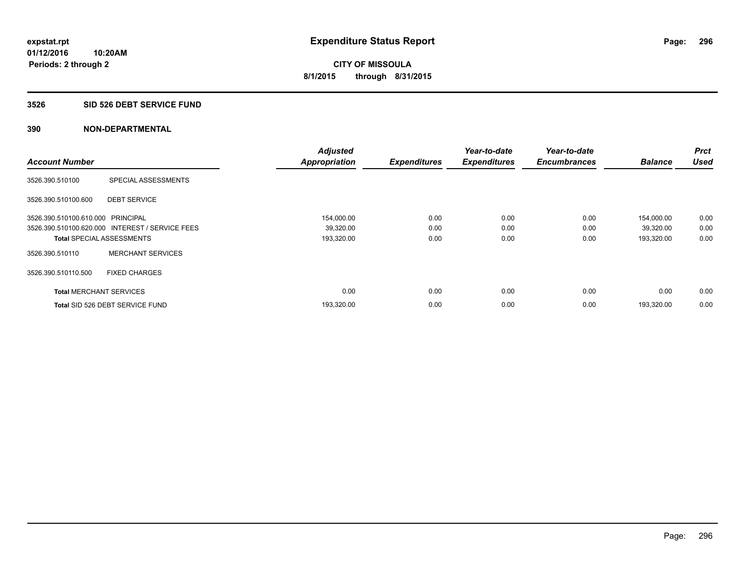#### **3526 SID 526 DEBT SERVICE FUND**

| <b>Account Number</b>             |                                                 | <b>Adjusted</b><br><b>Appropriation</b> | <b>Expenditures</b> | Year-to-date<br><b>Expenditures</b> | Year-to-date<br><b>Encumbrances</b> | <b>Balance</b> | <b>Prct</b><br><b>Used</b> |
|-----------------------------------|-------------------------------------------------|-----------------------------------------|---------------------|-------------------------------------|-------------------------------------|----------------|----------------------------|
|                                   |                                                 |                                         |                     |                                     |                                     |                |                            |
| 3526.390.510100                   | SPECIAL ASSESSMENTS                             |                                         |                     |                                     |                                     |                |                            |
| 3526.390.510100.600               | <b>DEBT SERVICE</b>                             |                                         |                     |                                     |                                     |                |                            |
| 3526.390.510100.610.000 PRINCIPAL |                                                 | 154,000.00                              | 0.00                | 0.00                                | 0.00                                | 154,000.00     | 0.00                       |
|                                   | 3526.390.510100.620.000 INTEREST / SERVICE FEES | 39,320.00                               | 0.00                | 0.00                                | 0.00                                | 39,320.00      | 0.00                       |
| <b>Total SPECIAL ASSESSMENTS</b>  |                                                 | 193,320.00                              | 0.00                | 0.00                                | 0.00                                | 193,320.00     | 0.00                       |
| 3526.390.510110                   | <b>MERCHANT SERVICES</b>                        |                                         |                     |                                     |                                     |                |                            |
| 3526.390.510110.500               | <b>FIXED CHARGES</b>                            |                                         |                     |                                     |                                     |                |                            |
| <b>Total MERCHANT SERVICES</b>    |                                                 | 0.00                                    | 0.00                | 0.00                                | 0.00                                | 0.00           | 0.00                       |
|                                   | Total SID 526 DEBT SERVICE FUND                 | 193,320.00                              | 0.00                | 0.00                                | 0.00                                | 193.320.00     | 0.00                       |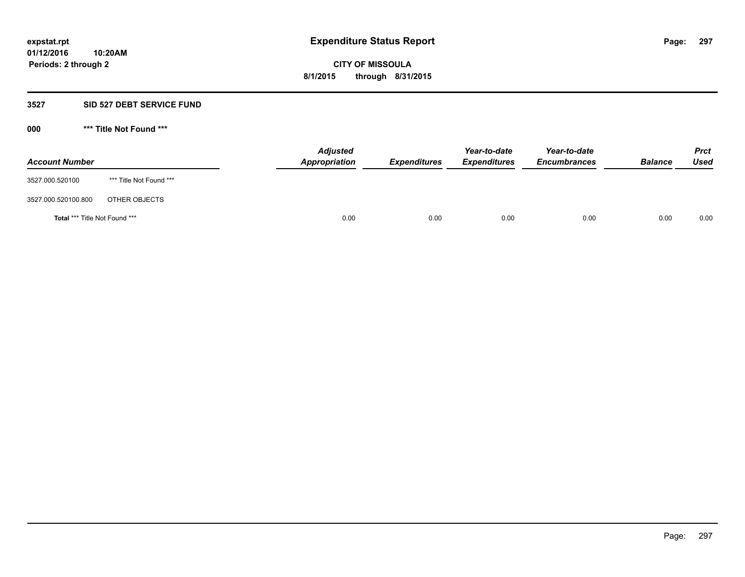#### **3527 SID 527 DEBT SERVICE FUND**

**000 \*\*\* Title Not Found \*\*\***

| <b>Account Number</b>         |                         | <b>Adjusted</b><br>Appropriation | <b>Expenditures</b> | Year-to-date<br><b>Expenditures</b> | Year-to-date<br><b>Encumbrances</b> | <b>Balance</b> | <b>Prct</b><br><b>Used</b> |
|-------------------------------|-------------------------|----------------------------------|---------------------|-------------------------------------|-------------------------------------|----------------|----------------------------|
| 3527.000.520100               | *** Title Not Found *** |                                  |                     |                                     |                                     |                |                            |
| 3527.000.520100.800           | OTHER OBJECTS           |                                  |                     |                                     |                                     |                |                            |
| Total *** Title Not Found *** |                         | 0.00                             | 0.00                | 0.00                                | 0.00                                | 0.00           | 0.00                       |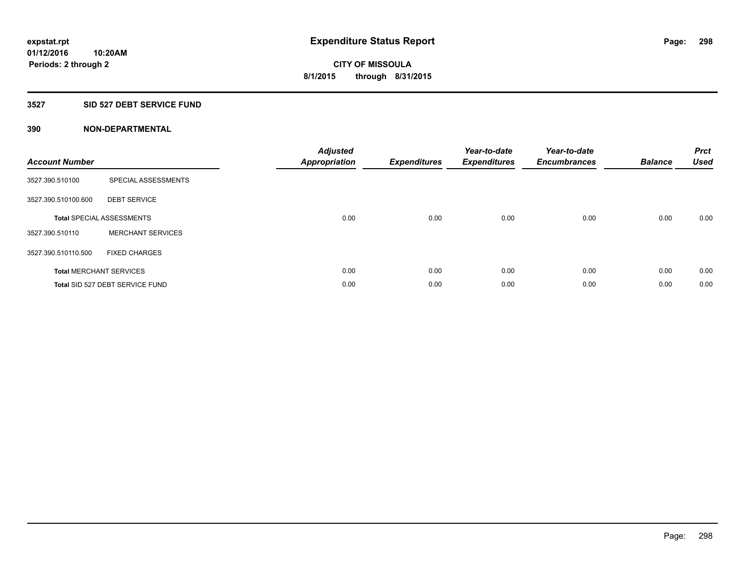## **3527 SID 527 DEBT SERVICE FUND**

| <b>Account Number</b> |                                  | <b>Adjusted</b><br><b>Appropriation</b> | <b>Expenditures</b> | Year-to-date<br><b>Expenditures</b> | Year-to-date<br><b>Encumbrances</b> | <b>Balance</b> | <b>Prct</b><br><b>Used</b> |
|-----------------------|----------------------------------|-----------------------------------------|---------------------|-------------------------------------|-------------------------------------|----------------|----------------------------|
| 3527.390.510100       | SPECIAL ASSESSMENTS              |                                         |                     |                                     |                                     |                |                            |
| 3527.390.510100.600   | <b>DEBT SERVICE</b>              |                                         |                     |                                     |                                     |                |                            |
|                       | <b>Total SPECIAL ASSESSMENTS</b> | 0.00                                    | 0.00                | 0.00                                | 0.00                                | 0.00           | 0.00                       |
| 3527.390.510110       | <b>MERCHANT SERVICES</b>         |                                         |                     |                                     |                                     |                |                            |
| 3527.390.510110.500   | <b>FIXED CHARGES</b>             |                                         |                     |                                     |                                     |                |                            |
|                       | <b>Total MERCHANT SERVICES</b>   | 0.00                                    | 0.00                | 0.00                                | 0.00                                | 0.00           | 0.00                       |
|                       | Total SID 527 DEBT SERVICE FUND  | 0.00                                    | 0.00                | 0.00                                | 0.00                                | 0.00           | 0.00                       |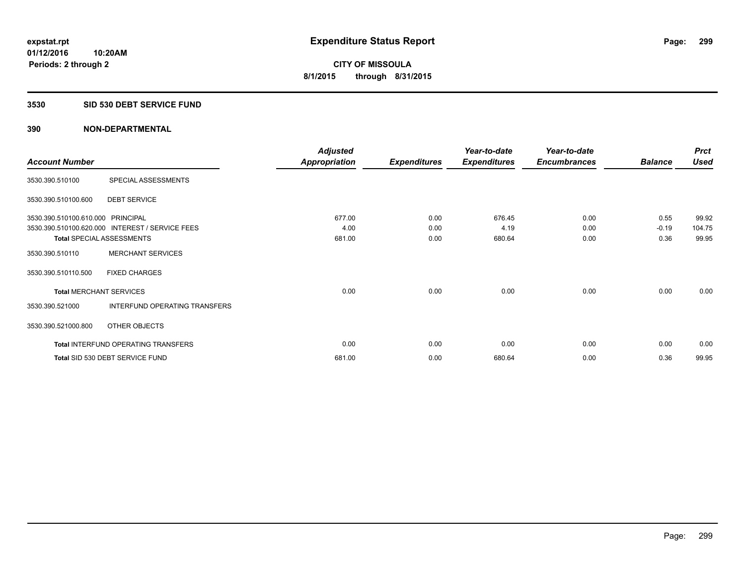## **3530 SID 530 DEBT SERVICE FUND**

|                                   |                                                 | <b>Adjusted</b>      |                     | Year-to-date        | Year-to-date        |                | <b>Prct</b> |
|-----------------------------------|-------------------------------------------------|----------------------|---------------------|---------------------|---------------------|----------------|-------------|
| <b>Account Number</b>             |                                                 | <b>Appropriation</b> | <b>Expenditures</b> | <b>Expenditures</b> | <b>Encumbrances</b> | <b>Balance</b> | <b>Used</b> |
| 3530.390.510100                   | SPECIAL ASSESSMENTS                             |                      |                     |                     |                     |                |             |
| 3530.390.510100.600               | <b>DEBT SERVICE</b>                             |                      |                     |                     |                     |                |             |
| 3530.390.510100.610.000 PRINCIPAL |                                                 | 677.00               | 0.00                | 676.45              | 0.00                | 0.55           | 99.92       |
|                                   | 3530.390.510100.620.000 INTEREST / SERVICE FEES | 4.00                 | 0.00                | 4.19                | 0.00                | $-0.19$        | 104.75      |
| <b>Total SPECIAL ASSESSMENTS</b>  |                                                 | 681.00               | 0.00                | 680.64              | 0.00                | 0.36           | 99.95       |
| 3530.390.510110                   | <b>MERCHANT SERVICES</b>                        |                      |                     |                     |                     |                |             |
| 3530.390.510110.500               | <b>FIXED CHARGES</b>                            |                      |                     |                     |                     |                |             |
| <b>Total MERCHANT SERVICES</b>    |                                                 | 0.00                 | 0.00                | 0.00                | 0.00                | 0.00           | 0.00        |
| 3530.390.521000                   | INTERFUND OPERATING TRANSFERS                   |                      |                     |                     |                     |                |             |
| 3530.390.521000.800               | OTHER OBJECTS                                   |                      |                     |                     |                     |                |             |
|                                   | Total INTERFUND OPERATING TRANSFERS             | 0.00                 | 0.00                | 0.00                | 0.00                | 0.00           | 0.00        |
|                                   | Total SID 530 DEBT SERVICE FUND                 | 681.00               | 0.00                | 680.64              | 0.00                | 0.36           | 99.95       |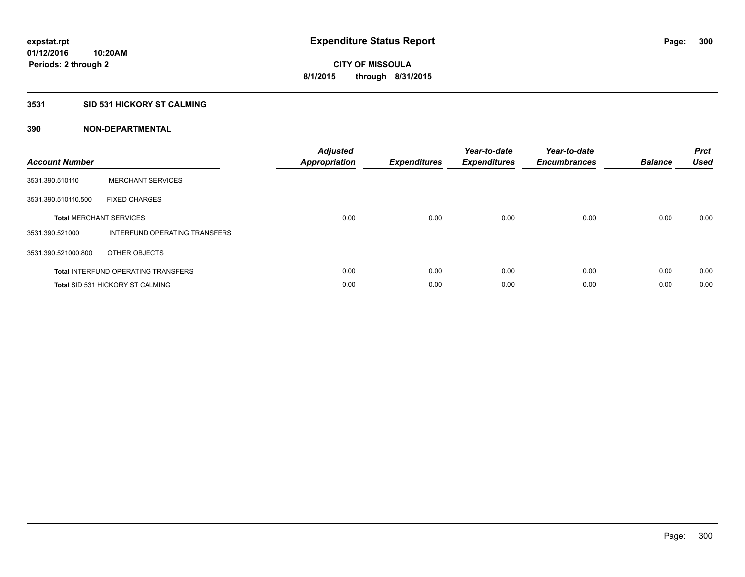## **3531 SID 531 HICKORY ST CALMING**

| <b>Account Number</b> |                                            | <b>Adjusted</b><br>Appropriation | <b>Expenditures</b> | Year-to-date<br><b>Expenditures</b> | Year-to-date<br><b>Encumbrances</b> | <b>Balance</b> | <b>Prct</b><br><b>Used</b> |
|-----------------------|--------------------------------------------|----------------------------------|---------------------|-------------------------------------|-------------------------------------|----------------|----------------------------|
| 3531.390.510110       | <b>MERCHANT SERVICES</b>                   |                                  |                     |                                     |                                     |                |                            |
| 3531.390.510110.500   | <b>FIXED CHARGES</b>                       |                                  |                     |                                     |                                     |                |                            |
|                       | <b>Total MERCHANT SERVICES</b>             | 0.00                             | 0.00                | 0.00                                | 0.00                                | 0.00           | 0.00                       |
| 3531.390.521000       | INTERFUND OPERATING TRANSFERS              |                                  |                     |                                     |                                     |                |                            |
| 3531.390.521000.800   | OTHER OBJECTS                              |                                  |                     |                                     |                                     |                |                            |
|                       | <b>Total INTERFUND OPERATING TRANSFERS</b> | 0.00                             | 0.00                | 0.00                                | 0.00                                | 0.00           | 0.00                       |
|                       | <b>Total SID 531 HICKORY ST CALMING</b>    | 0.00                             | 0.00                | 0.00                                | 0.00                                | 0.00           | 0.00                       |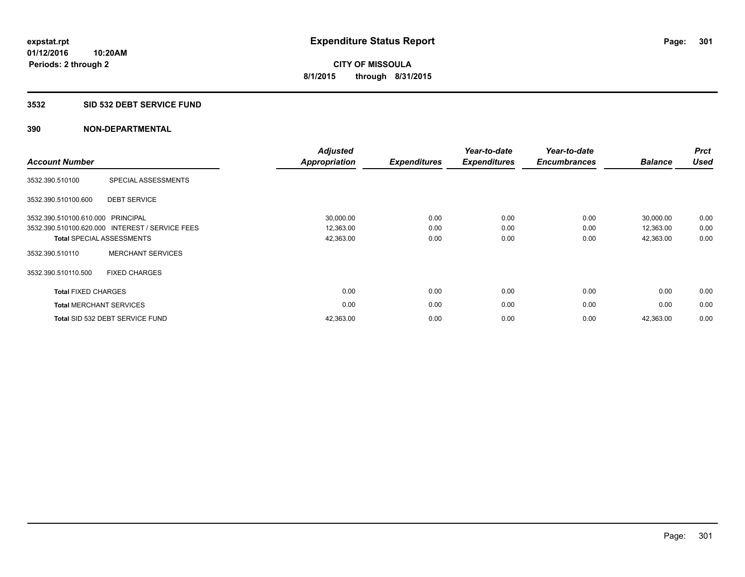## **3532 SID 532 DEBT SERVICE FUND**

| <b>Account Number</b>          |                                                 | <b>Adjusted</b><br>Appropriation | <b>Expenditures</b> | Year-to-date<br><b>Expenditures</b> | Year-to-date<br><b>Encumbrances</b> | <b>Balance</b> | <b>Prct</b><br><b>Used</b> |
|--------------------------------|-------------------------------------------------|----------------------------------|---------------------|-------------------------------------|-------------------------------------|----------------|----------------------------|
| 3532.390.510100                | SPECIAL ASSESSMENTS                             |                                  |                     |                                     |                                     |                |                            |
| 3532.390.510100.600            | <b>DEBT SERVICE</b>                             |                                  |                     |                                     |                                     |                |                            |
| 3532.390.510100.610.000        | <b>PRINCIPAL</b>                                | 30,000.00                        | 0.00                | 0.00                                | 0.00                                | 30.000.00      | 0.00                       |
|                                | 3532.390.510100.620.000 INTEREST / SERVICE FEES | 12,363.00                        | 0.00                | 0.00                                | 0.00                                | 12,363.00      | 0.00                       |
|                                | <b>Total SPECIAL ASSESSMENTS</b>                | 42,363.00                        | 0.00                | 0.00                                | 0.00                                | 42,363.00      | 0.00                       |
| 3532.390.510110                | <b>MERCHANT SERVICES</b>                        |                                  |                     |                                     |                                     |                |                            |
| 3532.390.510110.500            | <b>FIXED CHARGES</b>                            |                                  |                     |                                     |                                     |                |                            |
| <b>Total FIXED CHARGES</b>     |                                                 | 0.00                             | 0.00                | 0.00                                | 0.00                                | 0.00           | 0.00                       |
| <b>Total MERCHANT SERVICES</b> |                                                 | 0.00                             | 0.00                | 0.00                                | 0.00                                | 0.00           | 0.00                       |
|                                | Total SID 532 DEBT SERVICE FUND                 | 42,363.00                        | 0.00                | 0.00                                | 0.00                                | 42,363.00      | 0.00                       |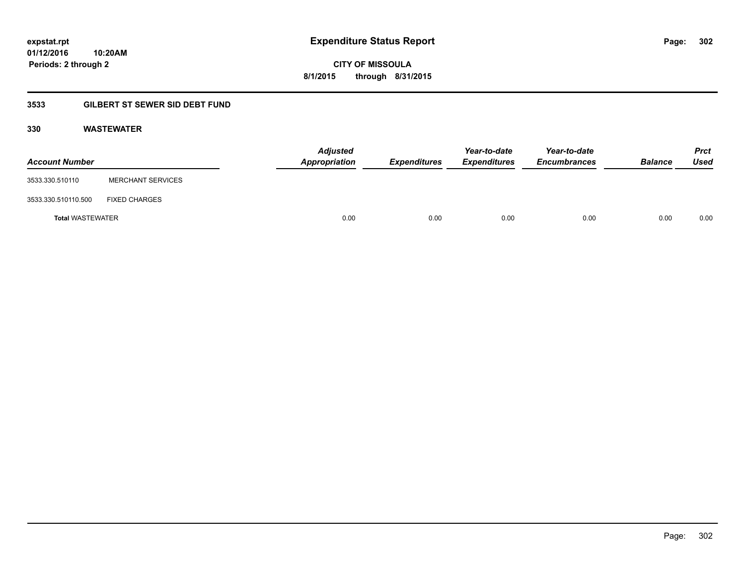**CITY OF MISSOULA 8/1/2015 through 8/31/2015**

## **3533 GILBERT ST SEWER SID DEBT FUND**

## **330 WASTEWATER**

| <b>Account Number</b>   |                          | Adjusted<br>Appropriation | <b>Expenditures</b> | Year-to-date<br><b>Expenditures</b> | Year-to-date<br><b>Encumbrances</b> | <b>Balance</b> | <b>Prct</b><br>Used |
|-------------------------|--------------------------|---------------------------|---------------------|-------------------------------------|-------------------------------------|----------------|---------------------|
| 3533.330.510110         | <b>MERCHANT SERVICES</b> |                           |                     |                                     |                                     |                |                     |
| 3533.330.510110.500     | <b>FIXED CHARGES</b>     |                           |                     |                                     |                                     |                |                     |
| <b>Total WASTEWATER</b> |                          | 0.00                      | 0.00                | 0.00                                | 0.00                                | 0.00           | 0.00                |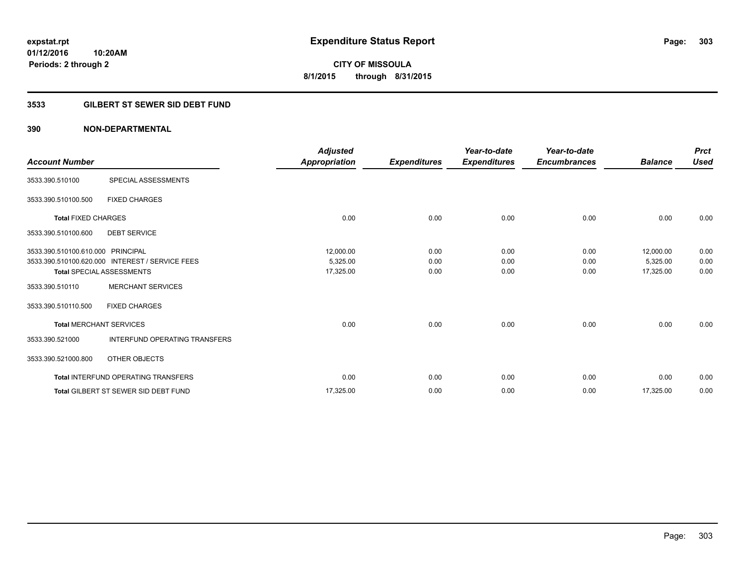**CITY OF MISSOULA 8/1/2015 through 8/31/2015**

## **3533 GILBERT ST SEWER SID DEBT FUND**

## **390 NON-DEPARTMENTAL**

| <b>Account Number</b>             |                                                 | <b>Adjusted</b><br>Appropriation | <b>Expenditures</b> | Year-to-date<br><b>Expenditures</b> | Year-to-date<br><b>Encumbrances</b> | <b>Balance</b> | <b>Prct</b><br><b>Used</b> |
|-----------------------------------|-------------------------------------------------|----------------------------------|---------------------|-------------------------------------|-------------------------------------|----------------|----------------------------|
| 3533.390.510100                   | SPECIAL ASSESSMENTS                             |                                  |                     |                                     |                                     |                |                            |
| 3533.390.510100.500               | <b>FIXED CHARGES</b>                            |                                  |                     |                                     |                                     |                |                            |
| <b>Total FIXED CHARGES</b>        |                                                 | 0.00                             | 0.00                | 0.00                                | 0.00                                | 0.00           | 0.00                       |
| 3533.390.510100.600               | <b>DEBT SERVICE</b>                             |                                  |                     |                                     |                                     |                |                            |
| 3533.390.510100.610.000 PRINCIPAL |                                                 | 12,000.00                        | 0.00                | 0.00                                | 0.00                                | 12,000.00      | 0.00                       |
|                                   | 3533.390.510100.620.000 INTEREST / SERVICE FEES | 5,325.00                         | 0.00                | 0.00                                | 0.00                                | 5,325.00       | 0.00                       |
|                                   | <b>Total SPECIAL ASSESSMENTS</b>                | 17,325.00                        | 0.00                | 0.00                                | 0.00                                | 17,325.00      | 0.00                       |
| 3533.390.510110                   | <b>MERCHANT SERVICES</b>                        |                                  |                     |                                     |                                     |                |                            |
| 3533.390.510110.500               | <b>FIXED CHARGES</b>                            |                                  |                     |                                     |                                     |                |                            |
|                                   | <b>Total MERCHANT SERVICES</b>                  | 0.00                             | 0.00                | 0.00                                | 0.00                                | 0.00           | 0.00                       |
| 3533.390.521000                   | <b>INTERFUND OPERATING TRANSFERS</b>            |                                  |                     |                                     |                                     |                |                            |
| 3533.390.521000.800               | OTHER OBJECTS                                   |                                  |                     |                                     |                                     |                |                            |
|                                   | <b>Total INTERFUND OPERATING TRANSFERS</b>      | 0.00                             | 0.00                | 0.00                                | 0.00                                | 0.00           | 0.00                       |
|                                   | <b>Total GILBERT ST SEWER SID DEBT FUND</b>     | 17,325.00                        | 0.00                | 0.00                                | 0.00                                | 17,325.00      | 0.00                       |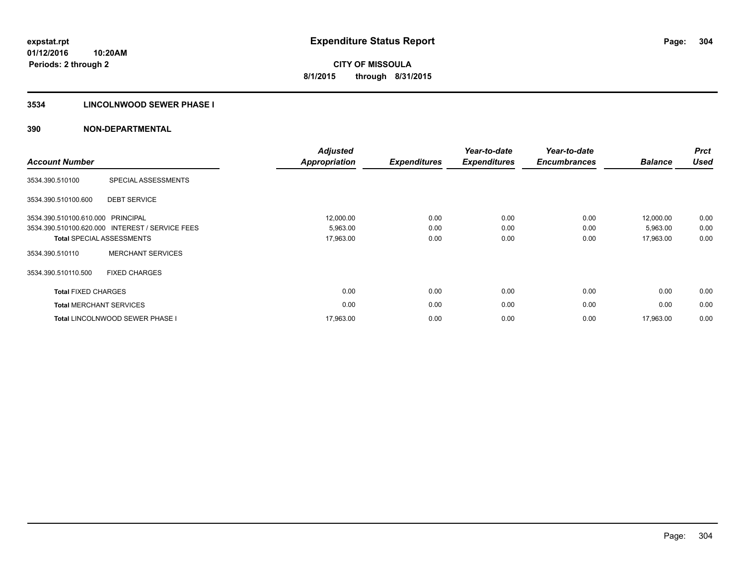## **3534 LINCOLNWOOD SEWER PHASE I**

| <b>Account Number</b>          |                                                 | <b>Adjusted</b><br><b>Appropriation</b> | <b>Expenditures</b> | Year-to-date<br><b>Expenditures</b> | Year-to-date<br><b>Encumbrances</b> | <b>Balance</b> | <b>Prct</b><br><b>Used</b> |
|--------------------------------|-------------------------------------------------|-----------------------------------------|---------------------|-------------------------------------|-------------------------------------|----------------|----------------------------|
| 3534.390.510100                | SPECIAL ASSESSMENTS                             |                                         |                     |                                     |                                     |                |                            |
| 3534.390.510100.600            | <b>DEBT SERVICE</b>                             |                                         |                     |                                     |                                     |                |                            |
| 3534.390.510100.610.000        | PRINCIPAL                                       | 12,000.00                               | 0.00                | 0.00                                | 0.00                                | 12,000.00      | 0.00                       |
|                                | 3534.390.510100.620.000 INTEREST / SERVICE FEES | 5,963.00                                | 0.00                | 0.00                                | 0.00                                | 5,963.00       | 0.00                       |
|                                | <b>Total SPECIAL ASSESSMENTS</b>                | 17,963.00                               | 0.00                | 0.00                                | 0.00                                | 17,963.00      | 0.00                       |
| 3534.390.510110                | <b>MERCHANT SERVICES</b>                        |                                         |                     |                                     |                                     |                |                            |
| 3534.390.510110.500            | <b>FIXED CHARGES</b>                            |                                         |                     |                                     |                                     |                |                            |
| <b>Total FIXED CHARGES</b>     |                                                 | 0.00                                    | 0.00                | 0.00                                | 0.00                                | 0.00           | 0.00                       |
| <b>Total MERCHANT SERVICES</b> |                                                 | 0.00                                    | 0.00                | 0.00                                | 0.00                                | 0.00           | 0.00                       |
|                                | <b>Total LINCOLNWOOD SEWER PHASE I</b>          | 17,963.00                               | 0.00                | 0.00                                | 0.00                                | 17,963.00      | 0.00                       |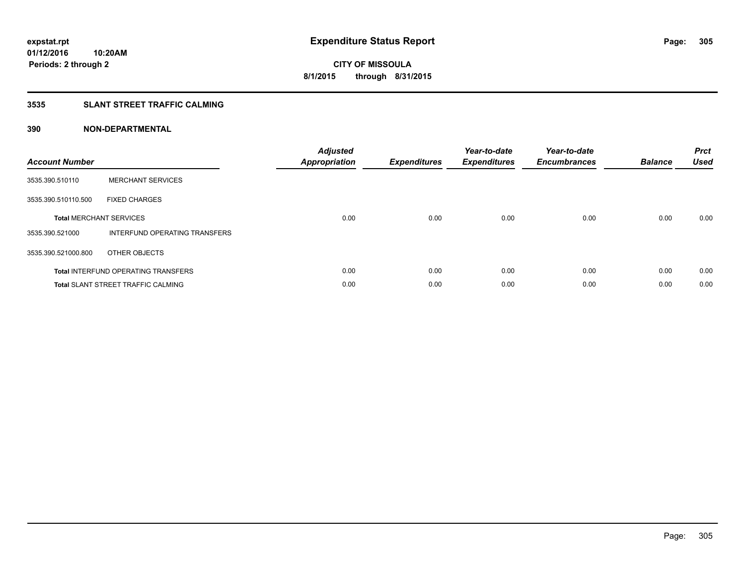## **3535 SLANT STREET TRAFFIC CALMING**

| <b>Account Number</b> |                                            | <b>Adjusted</b><br><b>Appropriation</b> | <b>Expenditures</b> | Year-to-date<br><b>Expenditures</b> | Year-to-date<br><b>Encumbrances</b> | <b>Balance</b> | <b>Prct</b><br><b>Used</b> |
|-----------------------|--------------------------------------------|-----------------------------------------|---------------------|-------------------------------------|-------------------------------------|----------------|----------------------------|
| 3535.390.510110       | <b>MERCHANT SERVICES</b>                   |                                         |                     |                                     |                                     |                |                            |
| 3535.390.510110.500   | <b>FIXED CHARGES</b>                       |                                         |                     |                                     |                                     |                |                            |
|                       | <b>Total MERCHANT SERVICES</b>             | 0.00                                    | 0.00                | 0.00                                | 0.00                                | 0.00           | 0.00                       |
| 3535.390.521000       | INTERFUND OPERATING TRANSFERS              |                                         |                     |                                     |                                     |                |                            |
| 3535.390.521000.800   | OTHER OBJECTS                              |                                         |                     |                                     |                                     |                |                            |
|                       | <b>Total INTERFUND OPERATING TRANSFERS</b> | 0.00                                    | 0.00                | 0.00                                | 0.00                                | 0.00           | 0.00                       |
|                       | <b>Total SLANT STREET TRAFFIC CALMING</b>  | 0.00                                    | 0.00                | 0.00                                | 0.00                                | 0.00           | 0.00                       |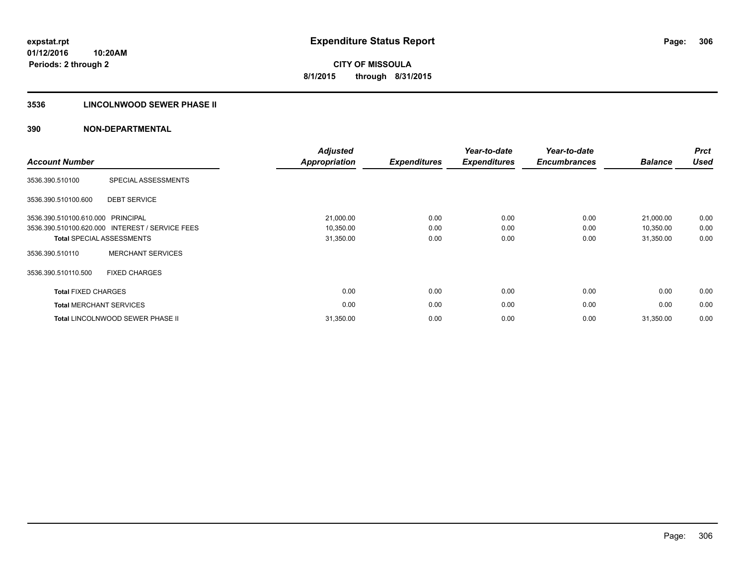## **3536 LINCOLNWOOD SEWER PHASE II**

| <b>Account Number</b>             |                                                 | <b>Adjusted</b><br><b>Appropriation</b> | <b>Expenditures</b> | Year-to-date<br><b>Expenditures</b> | Year-to-date<br><b>Encumbrances</b> | <b>Balance</b> | <b>Prct</b><br><b>Used</b> |
|-----------------------------------|-------------------------------------------------|-----------------------------------------|---------------------|-------------------------------------|-------------------------------------|----------------|----------------------------|
| 3536.390.510100                   | SPECIAL ASSESSMENTS                             |                                         |                     |                                     |                                     |                |                            |
| 3536.390.510100.600               | <b>DEBT SERVICE</b>                             |                                         |                     |                                     |                                     |                |                            |
| 3536.390.510100.610.000 PRINCIPAL |                                                 | 21,000.00                               | 0.00                | 0.00                                | 0.00                                | 21,000.00      | 0.00                       |
|                                   | 3536.390.510100.620.000 INTEREST / SERVICE FEES | 10,350.00                               | 0.00                | 0.00                                | 0.00                                | 10,350.00      | 0.00                       |
|                                   | <b>Total SPECIAL ASSESSMENTS</b>                | 31,350.00                               | 0.00                | 0.00                                | 0.00                                | 31,350.00      | 0.00                       |
| 3536.390.510110                   | <b>MERCHANT SERVICES</b>                        |                                         |                     |                                     |                                     |                |                            |
| 3536.390.510110.500               | <b>FIXED CHARGES</b>                            |                                         |                     |                                     |                                     |                |                            |
| <b>Total FIXED CHARGES</b>        |                                                 | 0.00                                    | 0.00                | 0.00                                | 0.00                                | 0.00           | 0.00                       |
|                                   | <b>Total MERCHANT SERVICES</b>                  | 0.00                                    | 0.00                | 0.00                                | 0.00                                | 0.00           | 0.00                       |
|                                   | <b>Total LINCOLNWOOD SEWER PHASE II</b>         | 31,350.00                               | 0.00                | 0.00                                | 0.00                                | 31,350.00      | 0.00                       |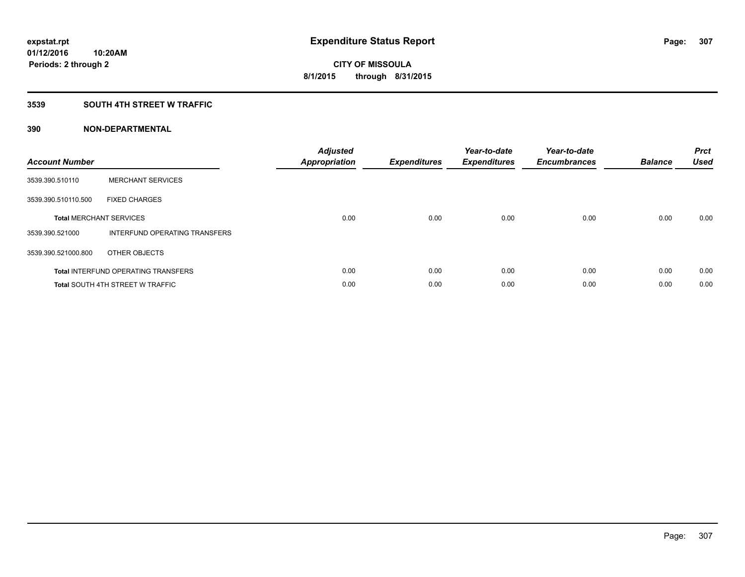## **3539 SOUTH 4TH STREET W TRAFFIC**

| <b>Account Number</b> |                                            | <b>Adjusted</b><br>Appropriation | <b>Expenditures</b> | Year-to-date<br><b>Expenditures</b> | Year-to-date<br><b>Encumbrances</b> | <b>Balance</b> | <b>Prct</b><br><b>Used</b> |
|-----------------------|--------------------------------------------|----------------------------------|---------------------|-------------------------------------|-------------------------------------|----------------|----------------------------|
| 3539.390.510110       | <b>MERCHANT SERVICES</b>                   |                                  |                     |                                     |                                     |                |                            |
| 3539.390.510110.500   | <b>FIXED CHARGES</b>                       |                                  |                     |                                     |                                     |                |                            |
|                       | <b>Total MERCHANT SERVICES</b>             | 0.00                             | 0.00                | 0.00                                | 0.00                                | 0.00           | 0.00                       |
| 3539.390.521000       | INTERFUND OPERATING TRANSFERS              |                                  |                     |                                     |                                     |                |                            |
| 3539.390.521000.800   | OTHER OBJECTS                              |                                  |                     |                                     |                                     |                |                            |
|                       | <b>Total INTERFUND OPERATING TRANSFERS</b> | 0.00                             | 0.00                | 0.00                                | 0.00                                | 0.00           | 0.00                       |
|                       | <b>Total SOUTH 4TH STREET W TRAFFIC</b>    | 0.00                             | 0.00                | 0.00                                | 0.00                                | 0.00           | 0.00                       |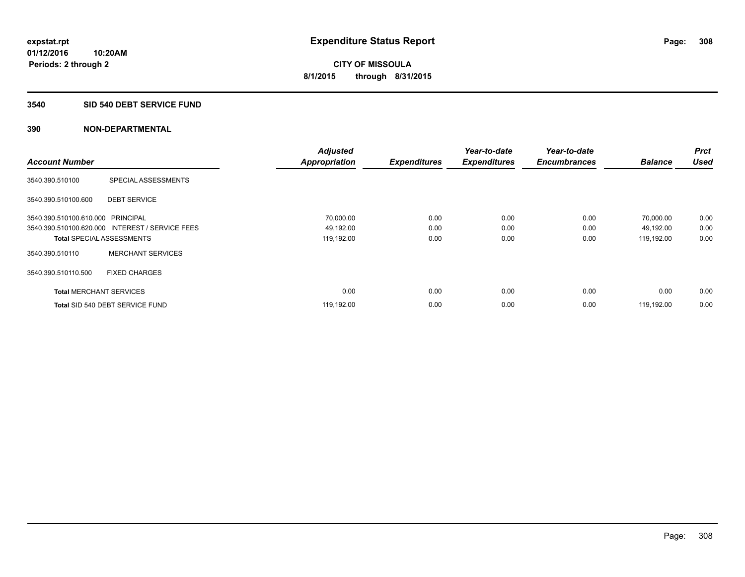#### **3540 SID 540 DEBT SERVICE FUND**

|                                   |                                                 | <b>Adjusted</b>      |                     | Year-to-date        | Year-to-date        |                | <b>Prct</b><br><b>Used</b> |
|-----------------------------------|-------------------------------------------------|----------------------|---------------------|---------------------|---------------------|----------------|----------------------------|
| <b>Account Number</b>             |                                                 | <b>Appropriation</b> | <b>Expenditures</b> | <b>Expenditures</b> | <b>Encumbrances</b> | <b>Balance</b> |                            |
| 3540.390.510100                   | SPECIAL ASSESSMENTS                             |                      |                     |                     |                     |                |                            |
| 3540.390.510100.600               | <b>DEBT SERVICE</b>                             |                      |                     |                     |                     |                |                            |
| 3540.390.510100.610.000 PRINCIPAL |                                                 | 70,000.00            | 0.00                | 0.00                | 0.00                | 70,000.00      | 0.00                       |
|                                   | 3540.390.510100.620.000 INTEREST / SERVICE FEES | 49,192.00            | 0.00                | 0.00                | 0.00                | 49,192.00      | 0.00                       |
| <b>Total SPECIAL ASSESSMENTS</b>  |                                                 | 119,192.00           | 0.00                | 0.00                | 0.00                | 119,192.00     | 0.00                       |
| 3540.390.510110                   | <b>MERCHANT SERVICES</b>                        |                      |                     |                     |                     |                |                            |
| 3540.390.510110.500               | <b>FIXED CHARGES</b>                            |                      |                     |                     |                     |                |                            |
| <b>Total MERCHANT SERVICES</b>    |                                                 | 0.00                 | 0.00                | 0.00                | 0.00                | 0.00           | 0.00                       |
|                                   | Total SID 540 DEBT SERVICE FUND                 | 119,192.00           | 0.00                | 0.00                | 0.00                | 119.192.00     | 0.00                       |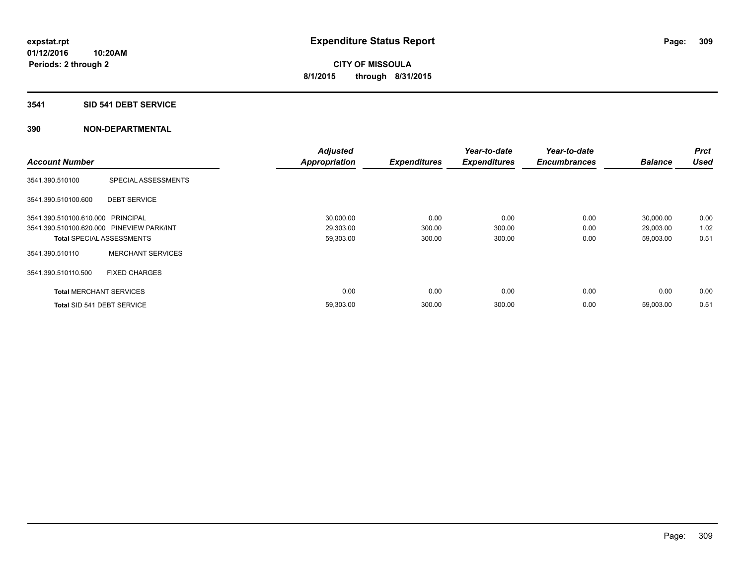## **3541 SID 541 DEBT SERVICE**

|                                           |                                  | <b>Adjusted</b>      |                     | Year-to-date        | Year-to-date        |                | <b>Prct</b> |
|-------------------------------------------|----------------------------------|----------------------|---------------------|---------------------|---------------------|----------------|-------------|
| <b>Account Number</b>                     |                                  | <b>Appropriation</b> | <b>Expenditures</b> | <b>Expenditures</b> | <b>Encumbrances</b> | <b>Balance</b> | <b>Used</b> |
| 3541.390.510100                           | SPECIAL ASSESSMENTS              |                      |                     |                     |                     |                |             |
| 3541.390.510100.600                       | <b>DEBT SERVICE</b>              |                      |                     |                     |                     |                |             |
| 3541.390.510100.610.000 PRINCIPAL         |                                  | 30,000.00            | 0.00                | 0.00                | 0.00                | 30,000.00      | 0.00        |
| 3541.390.510100.620.000 PINEVIEW PARK/INT |                                  | 29,303.00            | 300.00              | 300.00              | 0.00                | 29,003.00      | 1.02        |
|                                           | <b>Total SPECIAL ASSESSMENTS</b> | 59,303.00            | 300.00              | 300.00              | 0.00                | 59,003.00      | 0.51        |
| 3541.390.510110                           | <b>MERCHANT SERVICES</b>         |                      |                     |                     |                     |                |             |
| 3541.390.510110.500                       | <b>FIXED CHARGES</b>             |                      |                     |                     |                     |                |             |
| <b>Total MERCHANT SERVICES</b>            |                                  | 0.00                 | 0.00                | 0.00                | 0.00                | 0.00           | 0.00        |
| Total SID 541 DEBT SERVICE                |                                  | 59,303.00            | 300.00              | 300.00              | 0.00                | 59,003.00      | 0.51        |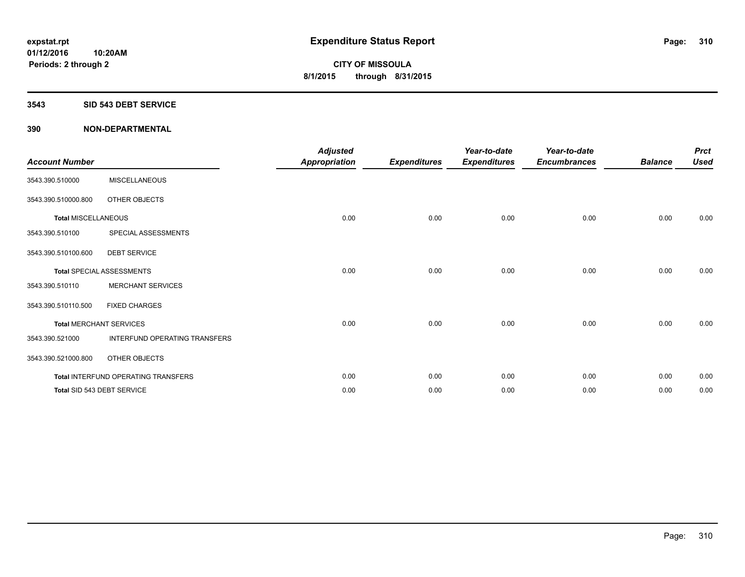#### **3543 SID 543 DEBT SERVICE**

| <b>Account Number</b>      |                                     | <b>Adjusted</b><br><b>Appropriation</b> | <b>Expenditures</b> | Year-to-date<br><b>Expenditures</b> | Year-to-date<br><b>Encumbrances</b> | <b>Balance</b> | <b>Prct</b><br><b>Used</b> |
|----------------------------|-------------------------------------|-----------------------------------------|---------------------|-------------------------------------|-------------------------------------|----------------|----------------------------|
| 3543.390.510000            | <b>MISCELLANEOUS</b>                |                                         |                     |                                     |                                     |                |                            |
| 3543.390.510000.800        | OTHER OBJECTS                       |                                         |                     |                                     |                                     |                |                            |
| <b>Total MISCELLANEOUS</b> |                                     | 0.00                                    | 0.00                | 0.00                                | 0.00                                | 0.00           | 0.00                       |
| 3543.390.510100            | SPECIAL ASSESSMENTS                 |                                         |                     |                                     |                                     |                |                            |
| 3543.390.510100.600        | <b>DEBT SERVICE</b>                 |                                         |                     |                                     |                                     |                |                            |
|                            | <b>Total SPECIAL ASSESSMENTS</b>    | 0.00                                    | 0.00                | 0.00                                | 0.00                                | 0.00           | 0.00                       |
| 3543.390.510110            | <b>MERCHANT SERVICES</b>            |                                         |                     |                                     |                                     |                |                            |
| 3543.390.510110.500        | <b>FIXED CHARGES</b>                |                                         |                     |                                     |                                     |                |                            |
|                            | <b>Total MERCHANT SERVICES</b>      | 0.00                                    | 0.00                | 0.00                                | 0.00                                | 0.00           | 0.00                       |
| 3543.390.521000            | INTERFUND OPERATING TRANSFERS       |                                         |                     |                                     |                                     |                |                            |
| 3543.390.521000.800        | OTHER OBJECTS                       |                                         |                     |                                     |                                     |                |                            |
|                            | Total INTERFUND OPERATING TRANSFERS | 0.00                                    | 0.00                | 0.00                                | 0.00                                | 0.00           | 0.00                       |
|                            | Total SID 543 DEBT SERVICE          | 0.00                                    | 0.00                | 0.00                                | 0.00                                | 0.00           | 0.00                       |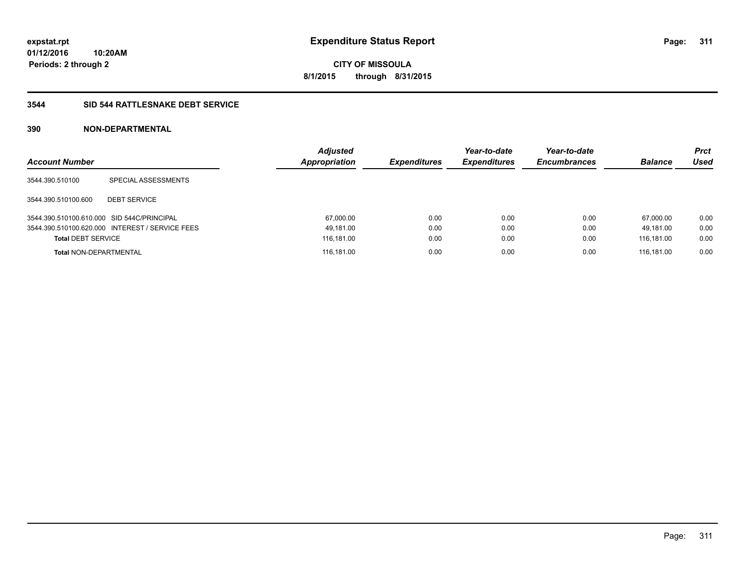**CITY OF MISSOULA 8/1/2015 through 8/31/2015**

## **3544 SID 544 RATTLESNAKE DEBT SERVICE**

## **390 NON-DEPARTMENTAL**

| <b>Account Number</b>                      |                                                 | <b>Adjusted</b><br>Appropriation | <b>Expenditures</b> | Year-to-date<br><b>Expenditures</b> | Year-to-date<br><b>Encumbrances</b> | <b>Balance</b> | <b>Prct</b><br>Used |
|--------------------------------------------|-------------------------------------------------|----------------------------------|---------------------|-------------------------------------|-------------------------------------|----------------|---------------------|
| 3544.390.510100                            | SPECIAL ASSESSMENTS                             |                                  |                     |                                     |                                     |                |                     |
| 3544.390.510100.600                        | <b>DEBT SERVICE</b>                             |                                  |                     |                                     |                                     |                |                     |
| 3544.390.510100.610.000 SID 544C/PRINCIPAL |                                                 | 67,000.00                        | 0.00                | 0.00                                | 0.00                                | 67.000.00      | 0.00                |
|                                            | 3544.390.510100.620.000 INTEREST / SERVICE FEES | 49,181.00                        | 0.00                | 0.00                                | 0.00                                | 49.181.00      | 0.00                |
| <b>Total DEBT SERVICE</b>                  |                                                 | 116,181.00                       | 0.00                | 0.00                                | 0.00                                | 116.181.00     | 0.00                |
| <b>Total NON-DEPARTMENTAL</b>              |                                                 | 116,181.00                       | 0.00                | 0.00                                | 0.00                                | 116.181.00     | 0.00                |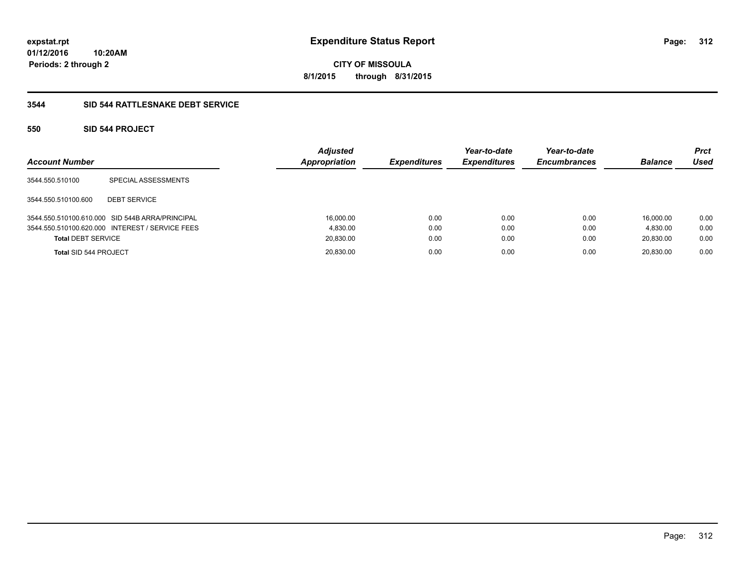**CITY OF MISSOULA 8/1/2015 through 8/31/2015**

## **3544 SID 544 RATTLESNAKE DEBT SERVICE**

## **550 SID 544 PROJECT**

| <b>Account Number</b>     |                                                 | <b>Adjusted</b><br><b>Appropriation</b> | <b>Expenditures</b> | Year-to-date<br><b>Expenditures</b> | Year-to-date<br><b>Encumbrances</b> | <b>Balance</b> | Prct<br>Used |
|---------------------------|-------------------------------------------------|-----------------------------------------|---------------------|-------------------------------------|-------------------------------------|----------------|--------------|
| 3544.550.510100           | SPECIAL ASSESSMENTS                             |                                         |                     |                                     |                                     |                |              |
| 3544.550.510100.600       | <b>DEBT SERVICE</b>                             |                                         |                     |                                     |                                     |                |              |
|                           | 3544.550.510100.610.000 SID 544B ARRA/PRINCIPAL | 16,000.00                               | 0.00                | 0.00                                | 0.00                                | 16.000.00      | 0.00         |
|                           | 3544.550.510100.620.000 INTEREST / SERVICE FEES | 4.830.00                                | 0.00                | 0.00                                | 0.00                                | 4.830.00       | 0.00         |
| <b>Total DEBT SERVICE</b> |                                                 | 20,830.00                               | 0.00                | 0.00                                | 0.00                                | 20.830.00      | 0.00         |
| Total SID 544 PROJECT     |                                                 | 20,830.00                               | 0.00                | 0.00                                | 0.00                                | 20.830.00      | 0.00         |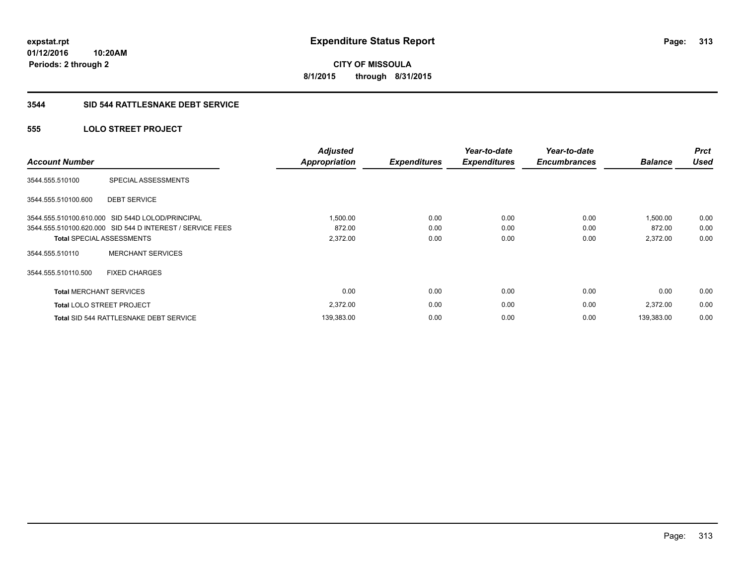# **CITY OF MISSOULA 8/1/2015 through 8/31/2015**

## **3544 SID 544 RATTLESNAKE DEBT SERVICE**

## **555 LOLO STREET PROJECT**

| <b>Account Number</b>          |                                                           | <b>Adjusted</b><br><b>Appropriation</b> | <b>Expenditures</b> | Year-to-date<br><b>Expenditures</b> | Year-to-date<br><b>Encumbrances</b> | <b>Balance</b> | <b>Prct</b><br><b>Used</b> |
|--------------------------------|-----------------------------------------------------------|-----------------------------------------|---------------------|-------------------------------------|-------------------------------------|----------------|----------------------------|
| 3544.555.510100                | SPECIAL ASSESSMENTS                                       |                                         |                     |                                     |                                     |                |                            |
| 3544.555.510100.600            | <b>DEBT SERVICE</b>                                       |                                         |                     |                                     |                                     |                |                            |
|                                | 3544.555.510100.610.000 SID 544D LOLOD/PRINCIPAL          | 1,500.00                                | 0.00                | 0.00                                | 0.00                                | 1,500.00       | 0.00                       |
|                                | 3544.555.510100.620.000 SID 544 D INTEREST / SERVICE FEES | 872.00                                  | 0.00                | 0.00                                | 0.00                                | 872.00         | 0.00                       |
|                                | <b>Total SPECIAL ASSESSMENTS</b>                          | 2,372.00                                | 0.00                | 0.00                                | 0.00                                | 2,372.00       | 0.00                       |
| 3544.555.510110                | <b>MERCHANT SERVICES</b>                                  |                                         |                     |                                     |                                     |                |                            |
| 3544.555.510110.500            | <b>FIXED CHARGES</b>                                      |                                         |                     |                                     |                                     |                |                            |
| <b>Total MERCHANT SERVICES</b> |                                                           | 0.00                                    | 0.00                | 0.00                                | 0.00                                | 0.00           | 0.00                       |
|                                | <b>Total LOLO STREET PROJECT</b>                          | 2,372.00                                | 0.00                | 0.00                                | 0.00                                | 2,372.00       | 0.00                       |
|                                | Total SID 544 RATTLESNAKE DEBT SERVICE                    | 139,383.00                              | 0.00                | 0.00                                | 0.00                                | 139.383.00     | 0.00                       |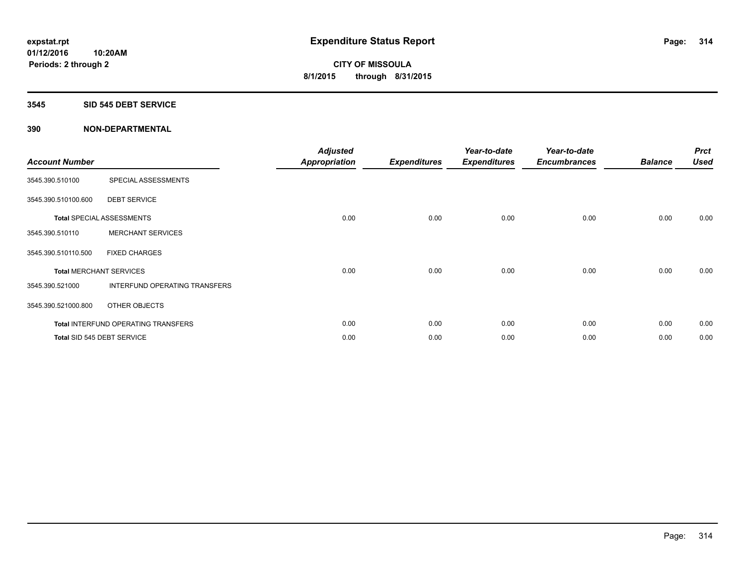#### **3545 SID 545 DEBT SERVICE**

| <b>Account Number</b> |                                            | <b>Adjusted</b><br><b>Appropriation</b> | <b>Expenditures</b> | Year-to-date<br><b>Expenditures</b> | Year-to-date<br><b>Encumbrances</b> | <b>Balance</b> | <b>Prct</b><br><b>Used</b> |
|-----------------------|--------------------------------------------|-----------------------------------------|---------------------|-------------------------------------|-------------------------------------|----------------|----------------------------|
| 3545.390.510100       | SPECIAL ASSESSMENTS                        |                                         |                     |                                     |                                     |                |                            |
| 3545.390.510100.600   | <b>DEBT SERVICE</b>                        |                                         |                     |                                     |                                     |                |                            |
|                       | <b>Total SPECIAL ASSESSMENTS</b>           | 0.00                                    | 0.00                | 0.00                                | 0.00                                | 0.00           | 0.00                       |
| 3545.390.510110       | <b>MERCHANT SERVICES</b>                   |                                         |                     |                                     |                                     |                |                            |
| 3545.390.510110.500   | <b>FIXED CHARGES</b>                       |                                         |                     |                                     |                                     |                |                            |
|                       | <b>Total MERCHANT SERVICES</b>             | 0.00                                    | 0.00                | 0.00                                | 0.00                                | 0.00           | 0.00                       |
| 3545.390.521000       | INTERFUND OPERATING TRANSFERS              |                                         |                     |                                     |                                     |                |                            |
| 3545.390.521000.800   | OTHER OBJECTS                              |                                         |                     |                                     |                                     |                |                            |
|                       | <b>Total INTERFUND OPERATING TRANSFERS</b> | 0.00                                    | 0.00                | 0.00                                | 0.00                                | 0.00           | 0.00                       |
|                       | Total SID 545 DEBT SERVICE                 | 0.00                                    | 0.00                | 0.00                                | 0.00                                | 0.00           | 0.00                       |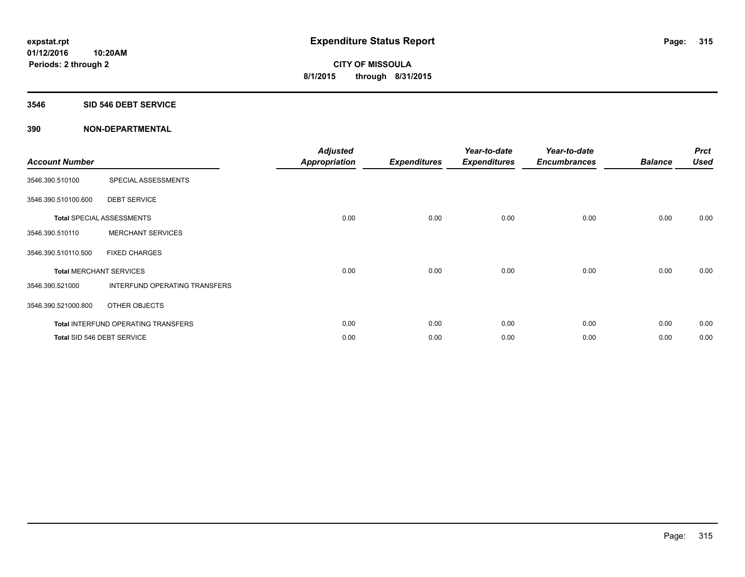#### **3546 SID 546 DEBT SERVICE**

| <b>Account Number</b> |                                            | <b>Adjusted</b><br><b>Appropriation</b> | <b>Expenditures</b> | Year-to-date<br><b>Expenditures</b> | Year-to-date<br><b>Encumbrances</b> | <b>Balance</b> | <b>Prct</b><br><b>Used</b> |
|-----------------------|--------------------------------------------|-----------------------------------------|---------------------|-------------------------------------|-------------------------------------|----------------|----------------------------|
| 3546.390.510100       | SPECIAL ASSESSMENTS                        |                                         |                     |                                     |                                     |                |                            |
| 3546.390.510100.600   | <b>DEBT SERVICE</b>                        |                                         |                     |                                     |                                     |                |                            |
|                       | <b>Total SPECIAL ASSESSMENTS</b>           | 0.00                                    | 0.00                | 0.00                                | 0.00                                | 0.00           | 0.00                       |
| 3546.390.510110       | <b>MERCHANT SERVICES</b>                   |                                         |                     |                                     |                                     |                |                            |
| 3546.390.510110.500   | <b>FIXED CHARGES</b>                       |                                         |                     |                                     |                                     |                |                            |
|                       | <b>Total MERCHANT SERVICES</b>             | 0.00                                    | 0.00                | 0.00                                | 0.00                                | 0.00           | 0.00                       |
| 3546.390.521000       | INTERFUND OPERATING TRANSFERS              |                                         |                     |                                     |                                     |                |                            |
| 3546.390.521000.800   | OTHER OBJECTS                              |                                         |                     |                                     |                                     |                |                            |
|                       | <b>Total INTERFUND OPERATING TRANSFERS</b> | 0.00                                    | 0.00                | 0.00                                | 0.00                                | 0.00           | 0.00                       |
|                       | Total SID 546 DEBT SERVICE                 | 0.00                                    | 0.00                | 0.00                                | 0.00                                | 0.00           | 0.00                       |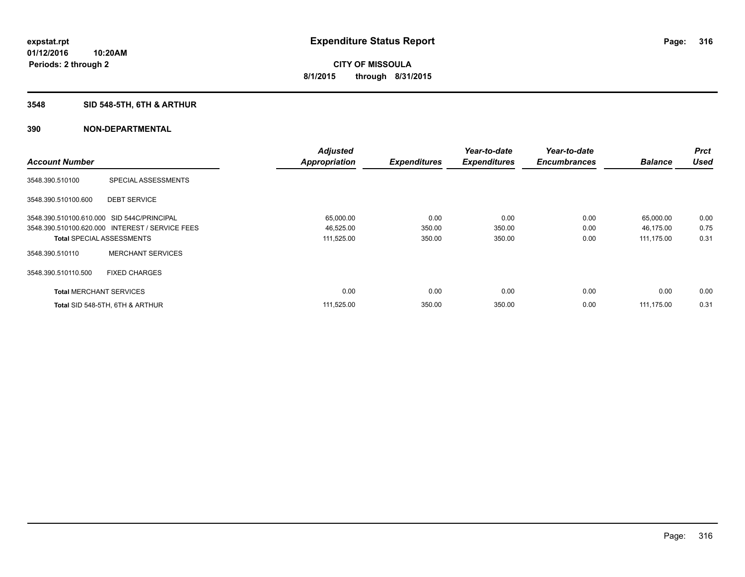## **3548 SID 548-5TH, 6TH & ARTHUR**

|                                            |                                                 | <b>Adjusted</b>      |                     | Year-to-date        | Year-to-date        |                | <b>Prct</b> |
|--------------------------------------------|-------------------------------------------------|----------------------|---------------------|---------------------|---------------------|----------------|-------------|
| <b>Account Number</b>                      |                                                 | <b>Appropriation</b> | <b>Expenditures</b> | <b>Expenditures</b> | <b>Encumbrances</b> | <b>Balance</b> | <b>Used</b> |
| 3548.390.510100                            | SPECIAL ASSESSMENTS                             |                      |                     |                     |                     |                |             |
| 3548.390.510100.600                        | <b>DEBT SERVICE</b>                             |                      |                     |                     |                     |                |             |
| 3548.390.510100.610.000 SID 544C/PRINCIPAL |                                                 | 65,000.00            | 0.00                | 0.00                | 0.00                | 65,000.00      | 0.00        |
|                                            | 3548.390.510100.620.000 INTEREST / SERVICE FEES | 46,525.00            | 350.00              | 350.00              | 0.00                | 46,175.00      | 0.75        |
| <b>Total SPECIAL ASSESSMENTS</b>           |                                                 | 111,525.00           | 350.00              | 350.00              | 0.00                | 111,175.00     | 0.31        |
| 3548.390.510110                            | <b>MERCHANT SERVICES</b>                        |                      |                     |                     |                     |                |             |
| 3548.390.510110.500                        | <b>FIXED CHARGES</b>                            |                      |                     |                     |                     |                |             |
| <b>Total MERCHANT SERVICES</b>             |                                                 | 0.00                 | 0.00                | 0.00                | 0.00                | 0.00           | 0.00        |
|                                            | Total SID 548-5TH, 6TH & ARTHUR                 | 111,525.00           | 350.00              | 350.00              | 0.00                | 111.175.00     | 0.31        |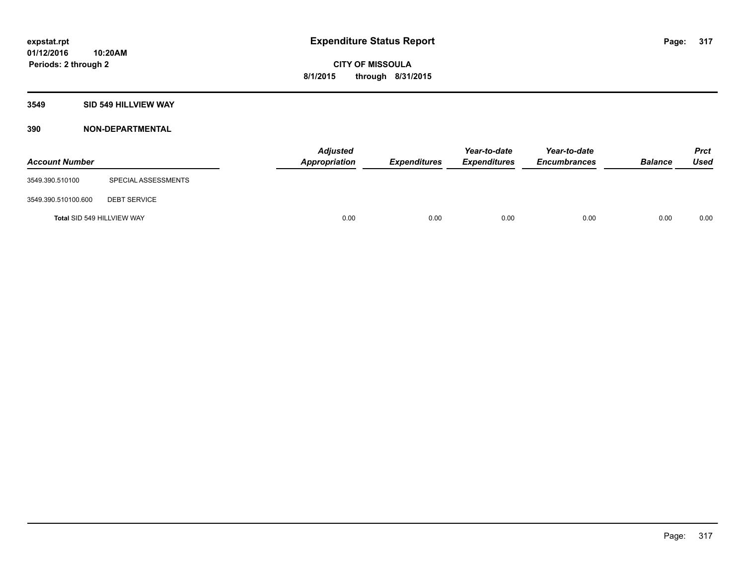## **3549 SID 549 HILLVIEW WAY**

| <b>Account Number</b>      |                     | <b>Adjusted</b><br>Appropriation | <b>Expenditures</b> | Year-to-date<br><b>Expenditures</b> | Year-to-date<br><b>Encumbrances</b> | <b>Balance</b> | <b>Prct</b><br><b>Used</b> |
|----------------------------|---------------------|----------------------------------|---------------------|-------------------------------------|-------------------------------------|----------------|----------------------------|
| 3549.390.510100            | SPECIAL ASSESSMENTS |                                  |                     |                                     |                                     |                |                            |
| 3549.390.510100.600        | <b>DEBT SERVICE</b> |                                  |                     |                                     |                                     |                |                            |
| Total SID 549 HILLVIEW WAY |                     | 0.00                             | 0.00                | 0.00                                | 0.00                                | 0.00           | 0.00                       |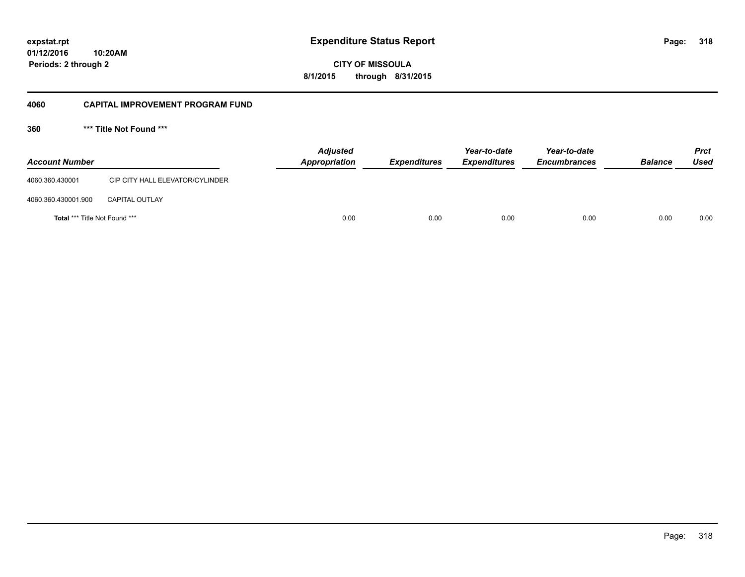**318**

**01/12/2016 10:20AM Periods: 2 through 2**

**CITY OF MISSOULA 8/1/2015 through 8/31/2015**

#### **4060 CAPITAL IMPROVEMENT PROGRAM FUND**

**360 \*\*\* Title Not Found \*\*\***

| <b>Account Number</b>                |                                 | <b>Adjusted</b><br>Appropriation | <b>Expenditures</b> | Year-to-date<br><b>Expenditures</b> | Year-to-date<br><b>Encumbrances</b> | <b>Balance</b> | <b>Prct</b><br><b>Used</b> |
|--------------------------------------|---------------------------------|----------------------------------|---------------------|-------------------------------------|-------------------------------------|----------------|----------------------------|
| 4060.360.430001                      | CIP CITY HALL ELEVATOR/CYLINDER |                                  |                     |                                     |                                     |                |                            |
| 4060.360.430001.900                  | <b>CAPITAL OUTLAY</b>           |                                  |                     |                                     |                                     |                |                            |
| <b>Total *** Title Not Found ***</b> |                                 | 0.00                             | 0.00                | 0.00                                | 0.00                                | 0.00           | 0.00                       |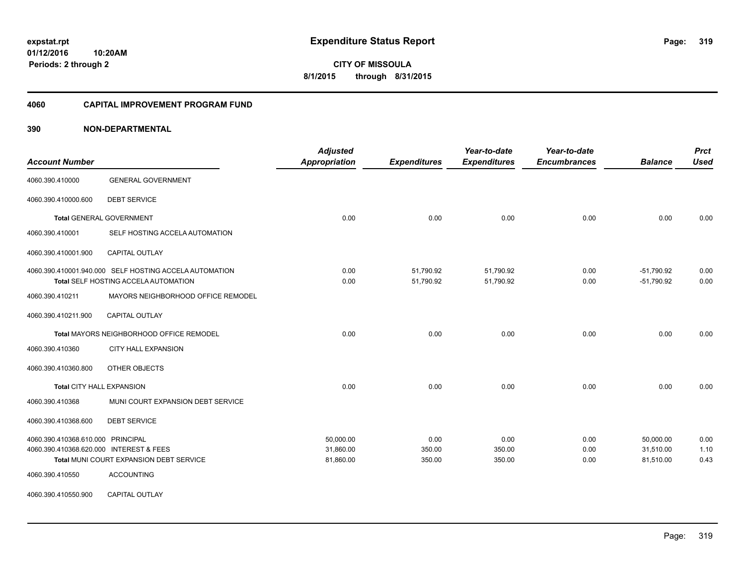**CITY OF MISSOULA 8/1/2015 through 8/31/2015**

#### **4060 CAPITAL IMPROVEMENT PROGRAM FUND**

## **390 NON-DEPARTMENTAL**

| <b>Account Number</b>                                                        |                                                                                                | <b>Adjusted</b><br><b>Appropriation</b> | <b>Expenditures</b>      | Year-to-date<br><b>Expenditures</b> | Year-to-date<br><b>Encumbrances</b> | <b>Balance</b>                      | <b>Prct</b><br><b>Used</b> |
|------------------------------------------------------------------------------|------------------------------------------------------------------------------------------------|-----------------------------------------|--------------------------|-------------------------------------|-------------------------------------|-------------------------------------|----------------------------|
| 4060.390.410000                                                              | <b>GENERAL GOVERNMENT</b>                                                                      |                                         |                          |                                     |                                     |                                     |                            |
| 4060.390.410000.600                                                          | <b>DEBT SERVICE</b>                                                                            |                                         |                          |                                     |                                     |                                     |                            |
|                                                                              | <b>Total GENERAL GOVERNMENT</b>                                                                | 0.00                                    | 0.00                     | 0.00                                | 0.00                                | 0.00                                | 0.00                       |
| 4060.390.410001                                                              | SELF HOSTING ACCELA AUTOMATION                                                                 |                                         |                          |                                     |                                     |                                     |                            |
| 4060.390.410001.900                                                          | CAPITAL OUTLAY                                                                                 |                                         |                          |                                     |                                     |                                     |                            |
|                                                                              | 4060.390.410001.940.000 SELF HOSTING ACCELA AUTOMATION<br>Total SELF HOSTING ACCELA AUTOMATION | 0.00<br>0.00                            | 51,790.92<br>51,790.92   | 51,790.92<br>51,790.92              | 0.00<br>0.00                        | $-51,790.92$<br>$-51,790.92$        | 0.00<br>0.00               |
| 4060.390.410211                                                              | MAYORS NEIGHBORHOOD OFFICE REMODEL                                                             |                                         |                          |                                     |                                     |                                     |                            |
| 4060.390.410211.900                                                          | <b>CAPITAL OUTLAY</b>                                                                          |                                         |                          |                                     |                                     |                                     |                            |
|                                                                              | Total MAYORS NEIGHBORHOOD OFFICE REMODEL                                                       | 0.00                                    | 0.00                     | 0.00                                | 0.00                                | 0.00                                | 0.00                       |
| 4060.390.410360                                                              | <b>CITY HALL EXPANSION</b>                                                                     |                                         |                          |                                     |                                     |                                     |                            |
| 4060.390.410360.800                                                          | OTHER OBJECTS                                                                                  |                                         |                          |                                     |                                     |                                     |                            |
|                                                                              | <b>Total CITY HALL EXPANSION</b>                                                               | 0.00                                    | 0.00                     | 0.00                                | 0.00                                | 0.00                                | 0.00                       |
| 4060.390.410368                                                              | MUNI COURT EXPANSION DEBT SERVICE                                                              |                                         |                          |                                     |                                     |                                     |                            |
| 4060.390.410368.600                                                          | <b>DEBT SERVICE</b>                                                                            |                                         |                          |                                     |                                     |                                     |                            |
| 4060.390.410368.610.000 PRINCIPAL<br>4060.390.410368.620.000 INTEREST & FEES | Total MUNI COURT EXPANSION DEBT SERVICE                                                        | 50.000.00<br>31,860.00<br>81,860.00     | 0.00<br>350.00<br>350.00 | 0.00<br>350.00<br>350.00            | 0.00<br>0.00<br>0.00                | 50.000.00<br>31,510.00<br>81,510.00 | 0.00<br>1.10<br>0.43       |
| 4060.390.410550                                                              | <b>ACCOUNTING</b>                                                                              |                                         |                          |                                     |                                     |                                     |                            |
| 4060.390.410550.900                                                          | CAPITAL OUTLAY                                                                                 |                                         |                          |                                     |                                     |                                     |                            |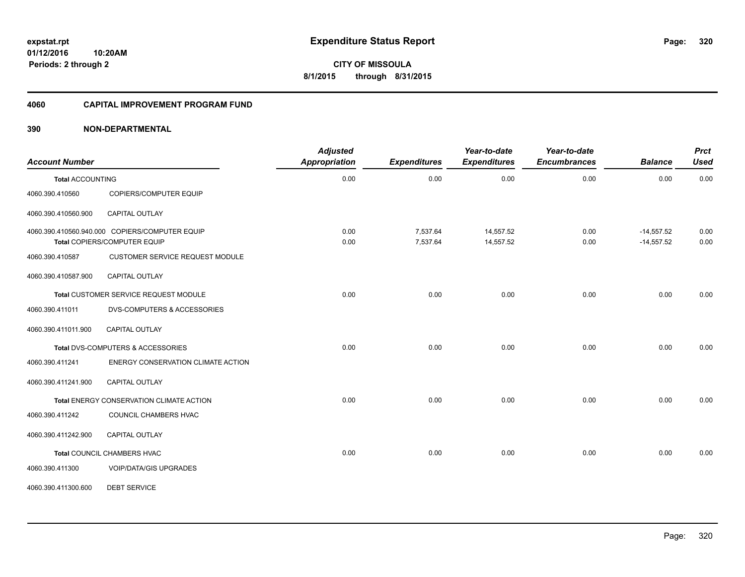**CITY OF MISSOULA 8/1/2015 through 8/31/2015**

#### **4060 CAPITAL IMPROVEMENT PROGRAM FUND**

## **390 NON-DEPARTMENTAL**

| <b>Account Number</b>   |                                                                                | <b>Adjusted</b><br><b>Appropriation</b> | <b>Expenditures</b>  | Year-to-date<br><b>Expenditures</b> | Year-to-date<br><b>Encumbrances</b> | <b>Balance</b>               | <b>Prct</b><br><b>Used</b> |
|-------------------------|--------------------------------------------------------------------------------|-----------------------------------------|----------------------|-------------------------------------|-------------------------------------|------------------------------|----------------------------|
| <b>Total ACCOUNTING</b> |                                                                                | 0.00                                    | 0.00                 | 0.00                                | 0.00                                | 0.00                         | 0.00                       |
| 4060.390.410560         | COPIERS/COMPUTER EQUIP                                                         |                                         |                      |                                     |                                     |                              |                            |
| 4060.390.410560.900     | CAPITAL OUTLAY                                                                 |                                         |                      |                                     |                                     |                              |                            |
|                         | 4060.390.410560.940.000 COPIERS/COMPUTER EQUIP<br>Total COPIERS/COMPUTER EQUIP | 0.00<br>0.00                            | 7,537.64<br>7,537.64 | 14,557.52<br>14,557.52              | 0.00<br>0.00                        | $-14,557.52$<br>$-14,557.52$ | 0.00<br>0.00               |
| 4060.390.410587         | CUSTOMER SERVICE REQUEST MODULE                                                |                                         |                      |                                     |                                     |                              |                            |
| 4060.390.410587.900     | CAPITAL OUTLAY                                                                 |                                         |                      |                                     |                                     |                              |                            |
|                         | Total CUSTOMER SERVICE REQUEST MODULE                                          | 0.00                                    | 0.00                 | 0.00                                | 0.00                                | 0.00                         | 0.00                       |
| 4060.390.411011         | <b>DVS-COMPUTERS &amp; ACCESSORIES</b>                                         |                                         |                      |                                     |                                     |                              |                            |
| 4060.390.411011.900     | <b>CAPITAL OUTLAY</b>                                                          |                                         |                      |                                     |                                     |                              |                            |
|                         | Total DVS-COMPUTERS & ACCESSORIES                                              | 0.00                                    | 0.00                 | 0.00                                | 0.00                                | 0.00                         | 0.00                       |
| 4060.390.411241         | ENERGY CONSERVATION CLIMATE ACTION                                             |                                         |                      |                                     |                                     |                              |                            |
| 4060.390.411241.900     | <b>CAPITAL OUTLAY</b>                                                          |                                         |                      |                                     |                                     |                              |                            |
|                         | Total ENERGY CONSERVATION CLIMATE ACTION                                       | 0.00                                    | 0.00                 | 0.00                                | 0.00                                | 0.00                         | 0.00                       |
| 4060.390.411242         | COUNCIL CHAMBERS HVAC                                                          |                                         |                      |                                     |                                     |                              |                            |
| 4060.390.411242.900     | CAPITAL OUTLAY                                                                 |                                         |                      |                                     |                                     |                              |                            |
|                         | Total COUNCIL CHAMBERS HVAC                                                    | 0.00                                    | 0.00                 | 0.00                                | 0.00                                | 0.00                         | 0.00                       |
| 4060.390.411300         | <b>VOIP/DATA/GIS UPGRADES</b>                                                  |                                         |                      |                                     |                                     |                              |                            |
| 4060.390.411300.600     | <b>DEBT SERVICE</b>                                                            |                                         |                      |                                     |                                     |                              |                            |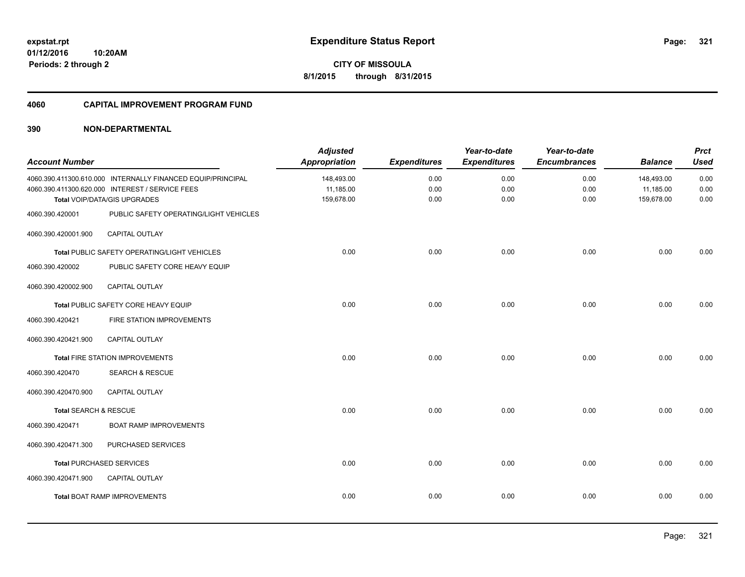**321**

**CITY OF MISSOULA 8/1/2015 through 8/31/2015**

#### **4060 CAPITAL IMPROVEMENT PROGRAM FUND**

## **390 NON-DEPARTMENTAL**

| <b>Account Number</b> |                                                                                 | <b>Adjusted</b><br><b>Appropriation</b> | <b>Expenditures</b> | Year-to-date<br><b>Expenditures</b> | Year-to-date<br><b>Encumbrances</b> | <b>Balance</b>          | <b>Prct</b><br><b>Used</b> |
|-----------------------|---------------------------------------------------------------------------------|-----------------------------------------|---------------------|-------------------------------------|-------------------------------------|-------------------------|----------------------------|
|                       | 4060.390.411300.610.000 INTERNALLY FINANCED EQUIP/PRINCIPAL                     | 148,493.00                              | 0.00                | 0.00                                | 0.00                                | 148,493.00              | 0.00                       |
|                       | 4060.390.411300.620.000 INTEREST / SERVICE FEES<br>Total VOIP/DATA/GIS UPGRADES | 11,185.00<br>159,678.00                 | 0.00<br>0.00        | 0.00<br>0.00                        | 0.00<br>0.00                        | 11,185.00<br>159,678.00 | 0.00<br>0.00               |
|                       |                                                                                 |                                         |                     |                                     |                                     |                         |                            |
| 4060.390.420001       | PUBLIC SAFETY OPERATING/LIGHT VEHICLES                                          |                                         |                     |                                     |                                     |                         |                            |
| 4060.390.420001.900   | CAPITAL OUTLAY                                                                  |                                         |                     |                                     |                                     |                         |                            |
|                       | Total PUBLIC SAFETY OPERATING/LIGHT VEHICLES                                    | 0.00                                    | 0.00                | 0.00                                | 0.00                                | 0.00                    | 0.00                       |
| 4060.390.420002       | PUBLIC SAFETY CORE HEAVY EQUIP                                                  |                                         |                     |                                     |                                     |                         |                            |
| 4060.390.420002.900   | CAPITAL OUTLAY                                                                  |                                         |                     |                                     |                                     |                         |                            |
|                       | Total PUBLIC SAFETY CORE HEAVY EQUIP                                            | 0.00                                    | 0.00                | 0.00                                | 0.00                                | 0.00                    | 0.00                       |
| 4060.390.420421       | FIRE STATION IMPROVEMENTS                                                       |                                         |                     |                                     |                                     |                         |                            |
| 4060.390.420421.900   | <b>CAPITAL OUTLAY</b>                                                           |                                         |                     |                                     |                                     |                         |                            |
|                       | Total FIRE STATION IMPROVEMENTS                                                 | 0.00                                    | 0.00                | 0.00                                | 0.00                                | 0.00                    | 0.00                       |
| 4060.390.420470       | <b>SEARCH &amp; RESCUE</b>                                                      |                                         |                     |                                     |                                     |                         |                            |
| 4060.390.420470.900   | <b>CAPITAL OUTLAY</b>                                                           |                                         |                     |                                     |                                     |                         |                            |
| Total SEARCH & RESCUE |                                                                                 | 0.00                                    | 0.00                | 0.00                                | 0.00                                | 0.00                    | 0.00                       |
| 4060.390.420471       | <b>BOAT RAMP IMPROVEMENTS</b>                                                   |                                         |                     |                                     |                                     |                         |                            |
| 4060.390.420471.300   | PURCHASED SERVICES                                                              |                                         |                     |                                     |                                     |                         |                            |
|                       | <b>Total PURCHASED SERVICES</b>                                                 | 0.00                                    | 0.00                | 0.00                                | 0.00                                | 0.00                    | 0.00                       |
| 4060.390.420471.900   | <b>CAPITAL OUTLAY</b>                                                           |                                         |                     |                                     |                                     |                         |                            |
|                       | <b>Total BOAT RAMP IMPROVEMENTS</b>                                             | 0.00                                    | 0.00                | 0.00                                | 0.00                                | 0.00                    | 0.00                       |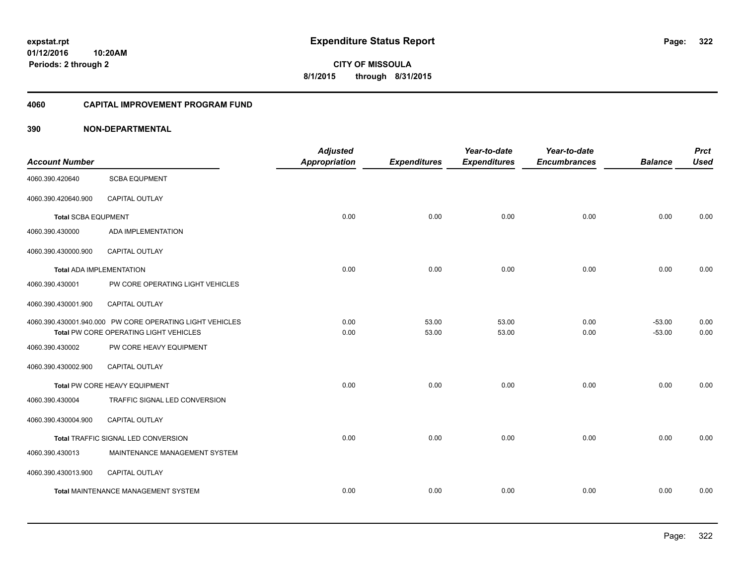**CITY OF MISSOULA 8/1/2015 through 8/31/2015**

## **4060 CAPITAL IMPROVEMENT PROGRAM FUND**

| <b>Account Number</b>           |                                                          | <b>Adjusted</b><br><b>Appropriation</b> | <b>Expenditures</b> | Year-to-date<br><b>Expenditures</b> | Year-to-date<br><b>Encumbrances</b> | <b>Balance</b> | <b>Prct</b><br><b>Used</b> |
|---------------------------------|----------------------------------------------------------|-----------------------------------------|---------------------|-------------------------------------|-------------------------------------|----------------|----------------------------|
| 4060.390.420640                 | <b>SCBA EQUPMENT</b>                                     |                                         |                     |                                     |                                     |                |                            |
| 4060.390.420640.900             | CAPITAL OUTLAY                                           |                                         |                     |                                     |                                     |                |                            |
| <b>Total SCBA EQUPMENT</b>      |                                                          | 0.00                                    | 0.00                | 0.00                                | 0.00                                | 0.00           | 0.00                       |
| 4060.390.430000                 | ADA IMPLEMENTATION                                       |                                         |                     |                                     |                                     |                |                            |
| 4060.390.430000.900             | CAPITAL OUTLAY                                           |                                         |                     |                                     |                                     |                |                            |
| <b>Total ADA IMPLEMENTATION</b> |                                                          | 0.00                                    | 0.00                | 0.00                                | 0.00                                | 0.00           | 0.00                       |
| 4060.390.430001                 | PW CORE OPERATING LIGHT VEHICLES                         |                                         |                     |                                     |                                     |                |                            |
| 4060.390.430001.900             | CAPITAL OUTLAY                                           |                                         |                     |                                     |                                     |                |                            |
|                                 | 4060.390.430001.940.000 PW CORE OPERATING LIGHT VEHICLES | 0.00                                    | 53.00               | 53.00                               | 0.00                                | $-53.00$       | 0.00                       |
|                                 | Total PW CORE OPERATING LIGHT VEHICLES                   | 0.00                                    | 53.00               | 53.00                               | 0.00                                | $-53.00$       | 0.00                       |
| 4060.390.430002                 | PW CORE HEAVY EQUIPMENT                                  |                                         |                     |                                     |                                     |                |                            |
| 4060.390.430002.900             | <b>CAPITAL OUTLAY</b>                                    |                                         |                     |                                     |                                     |                |                            |
|                                 | Total PW CORE HEAVY EQUIPMENT                            | 0.00                                    | 0.00                | 0.00                                | 0.00                                | 0.00           | 0.00                       |
| 4060.390.430004                 | TRAFFIC SIGNAL LED CONVERSION                            |                                         |                     |                                     |                                     |                |                            |
| 4060.390.430004.900             | <b>CAPITAL OUTLAY</b>                                    |                                         |                     |                                     |                                     |                |                            |
|                                 | Total TRAFFIC SIGNAL LED CONVERSION                      | 0.00                                    | 0.00                | 0.00                                | 0.00                                | 0.00           | 0.00                       |
| 4060.390.430013                 | MAINTENANCE MANAGEMENT SYSTEM                            |                                         |                     |                                     |                                     |                |                            |
| 4060.390.430013.900             | <b>CAPITAL OUTLAY</b>                                    |                                         |                     |                                     |                                     |                |                            |
|                                 | Total MAINTENANCE MANAGEMENT SYSTEM                      | 0.00                                    | 0.00                | 0.00                                | 0.00                                | 0.00           | 0.00                       |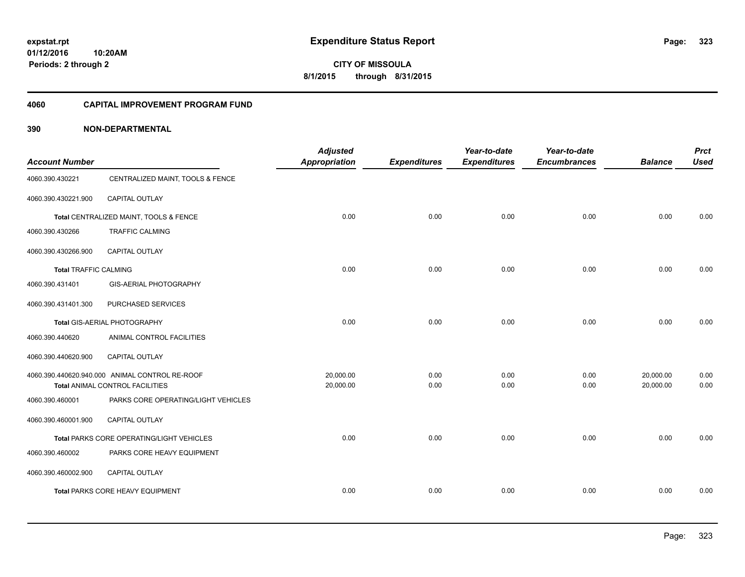**CITY OF MISSOULA 8/1/2015 through 8/31/2015**

#### **4060 CAPITAL IMPROVEMENT PROGRAM FUND**

| <b>Account Number</b>        |                                                | <b>Adjusted</b><br>Appropriation | <b>Expenditures</b> | Year-to-date<br><b>Expenditures</b> | Year-to-date<br><b>Encumbrances</b> | <b>Balance</b> | <b>Prct</b><br><b>Used</b> |
|------------------------------|------------------------------------------------|----------------------------------|---------------------|-------------------------------------|-------------------------------------|----------------|----------------------------|
| 4060.390.430221              | CENTRALIZED MAINT, TOOLS & FENCE               |                                  |                     |                                     |                                     |                |                            |
| 4060.390.430221.900          | CAPITAL OUTLAY                                 |                                  |                     |                                     |                                     |                |                            |
|                              | Total CENTRALIZED MAINT, TOOLS & FENCE         | 0.00                             | 0.00                | 0.00                                | 0.00                                | 0.00           | 0.00                       |
| 4060.390.430266              | <b>TRAFFIC CALMING</b>                         |                                  |                     |                                     |                                     |                |                            |
| 4060.390.430266.900          | <b>CAPITAL OUTLAY</b>                          |                                  |                     |                                     |                                     |                |                            |
| <b>Total TRAFFIC CALMING</b> |                                                | 0.00                             | 0.00                | 0.00                                | 0.00                                | 0.00           | 0.00                       |
| 4060.390.431401              | GIS-AERIAL PHOTOGRAPHY                         |                                  |                     |                                     |                                     |                |                            |
| 4060.390.431401.300          | PURCHASED SERVICES                             |                                  |                     |                                     |                                     |                |                            |
|                              | Total GIS-AERIAL PHOTOGRAPHY                   | 0.00                             | 0.00                | 0.00                                | 0.00                                | 0.00           | 0.00                       |
| 4060.390.440620              | ANIMAL CONTROL FACILITIES                      |                                  |                     |                                     |                                     |                |                            |
| 4060.390.440620.900          | CAPITAL OUTLAY                                 |                                  |                     |                                     |                                     |                |                            |
|                              | 4060.390.440620.940.000 ANIMAL CONTROL RE-ROOF | 20,000.00                        | 0.00                | 0.00                                | 0.00                                | 20,000.00      | 0.00                       |
|                              | Total ANIMAL CONTROL FACILITIES                | 20,000.00                        | 0.00                | 0.00                                | 0.00                                | 20,000.00      | 0.00                       |
| 4060.390.460001              | PARKS CORE OPERATING/LIGHT VEHICLES            |                                  |                     |                                     |                                     |                |                            |
| 4060.390.460001.900          | CAPITAL OUTLAY                                 |                                  |                     |                                     |                                     |                |                            |
|                              | Total PARKS CORE OPERATING/LIGHT VEHICLES      | 0.00                             | 0.00                | 0.00                                | 0.00                                | 0.00           | 0.00                       |
| 4060.390.460002              | PARKS CORE HEAVY EQUIPMENT                     |                                  |                     |                                     |                                     |                |                            |
| 4060.390.460002.900          | <b>CAPITAL OUTLAY</b>                          |                                  |                     |                                     |                                     |                |                            |
|                              | Total PARKS CORE HEAVY EQUIPMENT               | 0.00                             | 0.00                | 0.00                                | 0.00                                | 0.00           | 0.00                       |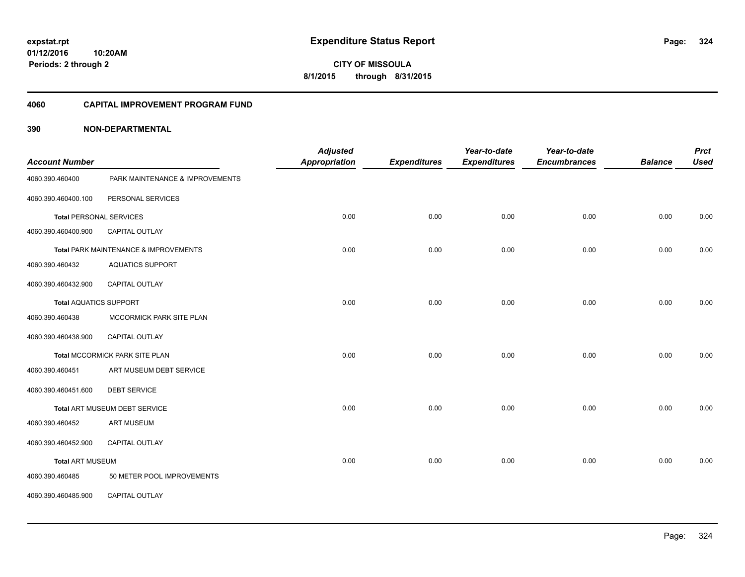**CITY OF MISSOULA 8/1/2015 through 8/31/2015**

#### **4060 CAPITAL IMPROVEMENT PROGRAM FUND**

| <b>Account Number</b>          |                                       | <b>Adjusted</b><br><b>Appropriation</b> | <b>Expenditures</b> | Year-to-date<br><b>Expenditures</b> | Year-to-date<br><b>Encumbrances</b> | <b>Balance</b> | <b>Prct</b><br><b>Used</b> |
|--------------------------------|---------------------------------------|-----------------------------------------|---------------------|-------------------------------------|-------------------------------------|----------------|----------------------------|
| 4060.390.460400                | PARK MAINTENANCE & IMPROVEMENTS       |                                         |                     |                                     |                                     |                |                            |
| 4060.390.460400.100            | PERSONAL SERVICES                     |                                         |                     |                                     |                                     |                |                            |
| <b>Total PERSONAL SERVICES</b> |                                       | 0.00                                    | 0.00                | 0.00                                | 0.00                                | 0.00           | 0.00                       |
| 4060.390.460400.900            | CAPITAL OUTLAY                        |                                         |                     |                                     |                                     |                |                            |
|                                | Total PARK MAINTENANCE & IMPROVEMENTS | 0.00                                    | 0.00                | 0.00                                | 0.00                                | 0.00           | 0.00                       |
| 4060.390.460432                | <b>AQUATICS SUPPORT</b>               |                                         |                     |                                     |                                     |                |                            |
| 4060.390.460432.900            | CAPITAL OUTLAY                        |                                         |                     |                                     |                                     |                |                            |
| <b>Total AQUATICS SUPPORT</b>  |                                       | 0.00                                    | 0.00                | 0.00                                | 0.00                                | 0.00           | 0.00                       |
| 4060.390.460438                | MCCORMICK PARK SITE PLAN              |                                         |                     |                                     |                                     |                |                            |
| 4060.390.460438.900            | CAPITAL OUTLAY                        |                                         |                     |                                     |                                     |                |                            |
|                                | Total MCCORMICK PARK SITE PLAN        | 0.00                                    | 0.00                | 0.00                                | 0.00                                | 0.00           | 0.00                       |
| 4060.390.460451                | ART MUSEUM DEBT SERVICE               |                                         |                     |                                     |                                     |                |                            |
| 4060.390.460451.600            | <b>DEBT SERVICE</b>                   |                                         |                     |                                     |                                     |                |                            |
|                                | Total ART MUSEUM DEBT SERVICE         | 0.00                                    | 0.00                | 0.00                                | 0.00                                | 0.00           | 0.00                       |
| 4060.390.460452                | <b>ART MUSEUM</b>                     |                                         |                     |                                     |                                     |                |                            |
| 4060.390.460452.900            | <b>CAPITAL OUTLAY</b>                 |                                         |                     |                                     |                                     |                |                            |
| <b>Total ART MUSEUM</b>        |                                       | 0.00                                    | 0.00                | 0.00                                | 0.00                                | 0.00           | 0.00                       |
| 4060.390.460485                | 50 METER POOL IMPROVEMENTS            |                                         |                     |                                     |                                     |                |                            |
| 4060.390.460485.900            | <b>CAPITAL OUTLAY</b>                 |                                         |                     |                                     |                                     |                |                            |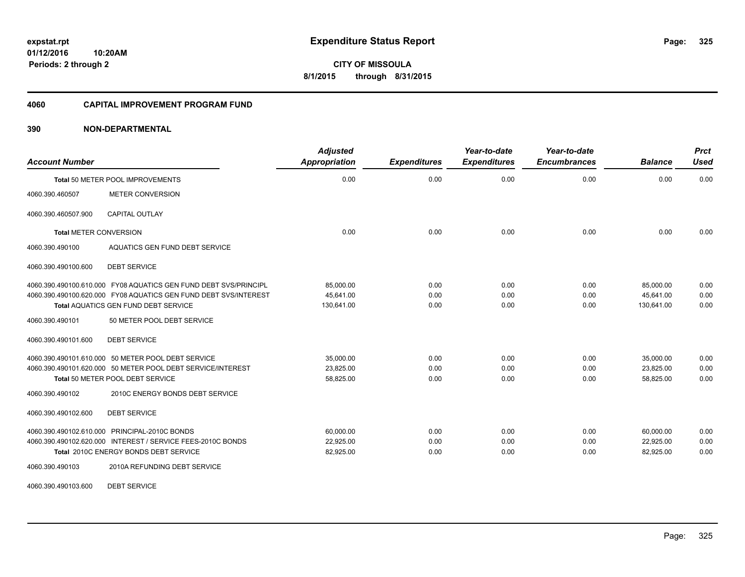**Periods: 2 through 2**

**CITY OF MISSOULA 8/1/2015 through 8/31/2015**

#### **4060 CAPITAL IMPROVEMENT PROGRAM FUND**

## **390 NON-DEPARTMENTAL**

**10:20AM**

| <b>Account Number</b>         |                                                                                                                                                                                     | <b>Adjusted</b><br><b>Appropriation</b> | <b>Expenditures</b>  | Year-to-date<br><b>Expenditures</b> | Year-to-date<br><b>Encumbrances</b> | <b>Balance</b>                       | <b>Prct</b><br><b>Used</b> |
|-------------------------------|-------------------------------------------------------------------------------------------------------------------------------------------------------------------------------------|-----------------------------------------|----------------------|-------------------------------------|-------------------------------------|--------------------------------------|----------------------------|
|                               | Total 50 METER POOL IMPROVEMENTS                                                                                                                                                    | 0.00                                    | 0.00                 | 0.00                                | 0.00                                | 0.00                                 | 0.00                       |
| 4060.390.460507               | <b>METER CONVERSION</b>                                                                                                                                                             |                                         |                      |                                     |                                     |                                      |                            |
| 4060.390.460507.900           | <b>CAPITAL OUTLAY</b>                                                                                                                                                               |                                         |                      |                                     |                                     |                                      |                            |
| <b>Total METER CONVERSION</b> |                                                                                                                                                                                     | 0.00                                    | 0.00                 | 0.00                                | 0.00                                | 0.00                                 | 0.00                       |
| 4060.390.490100               | <b>AQUATICS GEN FUND DEBT SERVICE</b>                                                                                                                                               |                                         |                      |                                     |                                     |                                      |                            |
| 4060.390.490100.600           | <b>DEBT SERVICE</b>                                                                                                                                                                 |                                         |                      |                                     |                                     |                                      |                            |
|                               | 4060.390.490100.610.000 FY08 AQUATICS GEN FUND DEBT SVS/PRINCIPL<br>4060.390.490100.620.000 FY08 AQUATICS GEN FUND DEBT SVS/INTEREST<br><b>Total AQUATICS GEN FUND DEBT SERVICE</b> | 85,000.00<br>45.641.00<br>130,641.00    | 0.00<br>0.00<br>0.00 | 0.00<br>0.00<br>0.00                | 0.00<br>0.00<br>0.00                | 85,000.00<br>45.641.00<br>130,641.00 | 0.00<br>0.00<br>0.00       |
| 4060.390.490101               | 50 METER POOL DEBT SERVICE                                                                                                                                                          |                                         |                      |                                     |                                     |                                      |                            |
| 4060.390.490101.600           | <b>DEBT SERVICE</b>                                                                                                                                                                 |                                         |                      |                                     |                                     |                                      |                            |
|                               | 4060.390.490101.610.000 50 METER POOL DEBT SERVICE<br>4060.390.490101.620.000 50 METER POOL DEBT SERVICE/INTEREST<br>Total 50 METER POOL DEBT SERVICE                               | 35.000.00<br>23,825.00<br>58,825.00     | 0.00<br>0.00<br>0.00 | 0.00<br>0.00<br>0.00                | 0.00<br>0.00<br>0.00                | 35.000.00<br>23,825.00<br>58.825.00  | 0.00<br>0.00<br>0.00       |
| 4060.390.490102               | 2010C ENERGY BONDS DEBT SERVICE                                                                                                                                                     |                                         |                      |                                     |                                     |                                      |                            |
| 4060.390.490102.600           | <b>DEBT SERVICE</b>                                                                                                                                                                 |                                         |                      |                                     |                                     |                                      |                            |
|                               | 4060.390.490102.610.000 PRINCIPAL-2010C BONDS<br>4060.390.490102.620.000 INTEREST / SERVICE FEES-2010C BONDS<br>Total 2010C ENERGY BONDS DEBT SERVICE                               | 60.000.00<br>22,925.00<br>82,925.00     | 0.00<br>0.00<br>0.00 | 0.00<br>0.00<br>0.00                | 0.00<br>0.00<br>0.00                | 60.000.00<br>22,925.00<br>82,925.00  | 0.00<br>0.00<br>0.00       |
| 4060.390.490103               | 2010A REFUNDING DEBT SERVICE                                                                                                                                                        |                                         |                      |                                     |                                     |                                      |                            |

4060.390.490103.600 DEBT SERVICE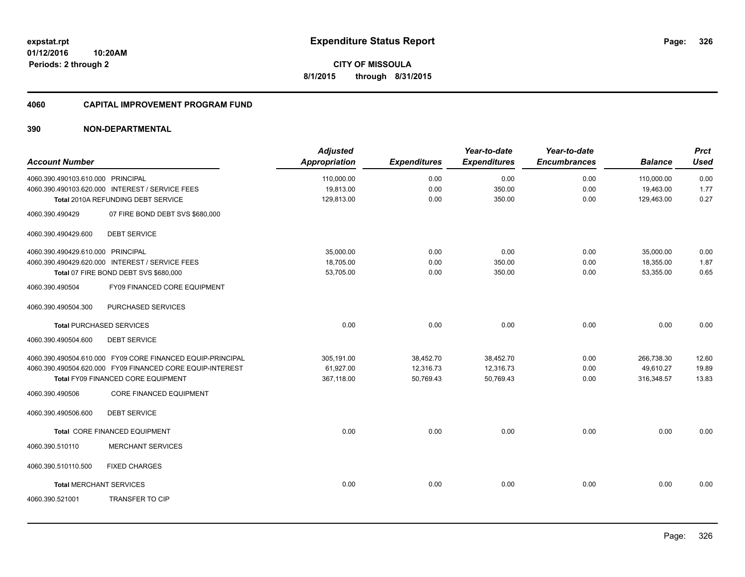**Periods: 2 through 2**

**CITY OF MISSOULA 8/1/2015 through 8/31/2015**

#### **4060 CAPITAL IMPROVEMENT PROGRAM FUND**

|                                                            | <b>Adjusted</b>      |                     | Year-to-date        | Year-to-date        |                | <b>Prct</b> |
|------------------------------------------------------------|----------------------|---------------------|---------------------|---------------------|----------------|-------------|
| <b>Account Number</b>                                      | <b>Appropriation</b> | <b>Expenditures</b> | <b>Expenditures</b> | <b>Encumbrances</b> | <b>Balance</b> | <b>Used</b> |
| 4060.390.490103.610.000 PRINCIPAL                          | 110,000.00           | 0.00                | 0.00                | 0.00                | 110,000.00     | 0.00        |
| 4060.390.490103.620.000 INTEREST / SERVICE FEES            | 19,813.00            | 0.00                | 350.00              | 0.00                | 19,463.00      | 1.77        |
| Total 2010A REFUNDING DEBT SERVICE                         | 129,813.00           | 0.00                | 350.00              | 0.00                | 129,463.00     | 0.27        |
| 4060.390.490429<br>07 FIRE BOND DEBT SVS \$680,000         |                      |                     |                     |                     |                |             |
| <b>DEBT SERVICE</b><br>4060.390.490429.600                 |                      |                     |                     |                     |                |             |
| 4060.390.490429.610.000 PRINCIPAL                          | 35,000.00            | 0.00                | 0.00                | 0.00                | 35,000.00      | 0.00        |
| 4060.390.490429.620.000 INTEREST / SERVICE FEES            | 18,705.00            | 0.00                | 350.00              | 0.00                | 18,355.00      | 1.87        |
| Total 07 FIRE BOND DEBT SVS \$680,000                      | 53,705.00            | 0.00                | 350.00              | 0.00                | 53,355.00      | 0.65        |
| 4060.390.490504<br>FY09 FINANCED CORE EQUIPMENT            |                      |                     |                     |                     |                |             |
| PURCHASED SERVICES<br>4060.390.490504.300                  |                      |                     |                     |                     |                |             |
| <b>Total PURCHASED SERVICES</b>                            | 0.00                 | 0.00                | 0.00                | 0.00                | 0.00           | 0.00        |
| 4060.390.490504.600<br><b>DEBT SERVICE</b>                 |                      |                     |                     |                     |                |             |
| 4060.390.490504.610.000 FY09 CORE FINANCED EQUIP-PRINCIPAL | 305,191.00           | 38,452.70           | 38,452.70           | 0.00                | 266,738.30     | 12.60       |
| 4060.390.490504.620.000 FY09 FINANCED CORE EQUIP-INTEREST  | 61,927.00            | 12,316.73           | 12,316.73           | 0.00                | 49,610.27      | 19.89       |
| Total FY09 FINANCED CORE EQUIPMENT                         | 367,118.00           | 50,769.43           | 50,769.43           | 0.00                | 316,348.57     | 13.83       |
| <b>CORE FINANCED EQUIPMENT</b><br>4060.390.490506          |                      |                     |                     |                     |                |             |
| 4060.390.490506.600<br><b>DEBT SERVICE</b>                 |                      |                     |                     |                     |                |             |
| Total CORE FINANCED EQUIPMENT                              | 0.00                 | 0.00                | 0.00                | 0.00                | 0.00           | 0.00        |
| <b>MERCHANT SERVICES</b><br>4060.390.510110                |                      |                     |                     |                     |                |             |
| 4060.390.510110.500<br><b>FIXED CHARGES</b>                |                      |                     |                     |                     |                |             |
| <b>Total MERCHANT SERVICES</b>                             | 0.00                 | 0.00                | 0.00                | 0.00                | 0.00           | 0.00        |
| <b>TRANSFER TO CIP</b><br>4060.390.521001                  |                      |                     |                     |                     |                |             |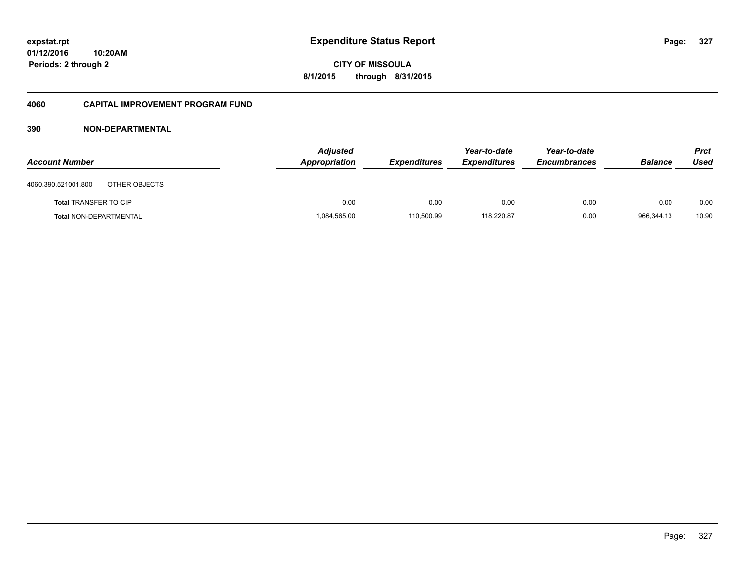#### **01/12/2016 10:20AM**

**Periods: 2 through 2**

**327**

**CITY OF MISSOULA 8/1/2015 through 8/31/2015**

#### **4060 CAPITAL IMPROVEMENT PROGRAM FUND**

| <b>Account Number</b>                | <b>Adjusted</b><br>Appropriation | <b>Expenditures</b> | Year-to-date<br><b>Expenditures</b> | Year-to-date<br><b>Encumbrances</b> | <b>Balance</b> | <b>Prct</b><br>Used |
|--------------------------------------|----------------------------------|---------------------|-------------------------------------|-------------------------------------|----------------|---------------------|
| 4060.390.521001.800<br>OTHER OBJECTS |                                  |                     |                                     |                                     |                |                     |
| <b>Total TRANSFER TO CIP</b>         | 0.00                             | 0.00                | 0.00                                | 0.00                                | 0.00           | 0.00                |
| <b>Total NON-DEPARTMENTAL</b>        | 1,084,565.00                     | 110,500.99          | 118,220.87                          | 0.00                                | 966,344.13     | 10.90               |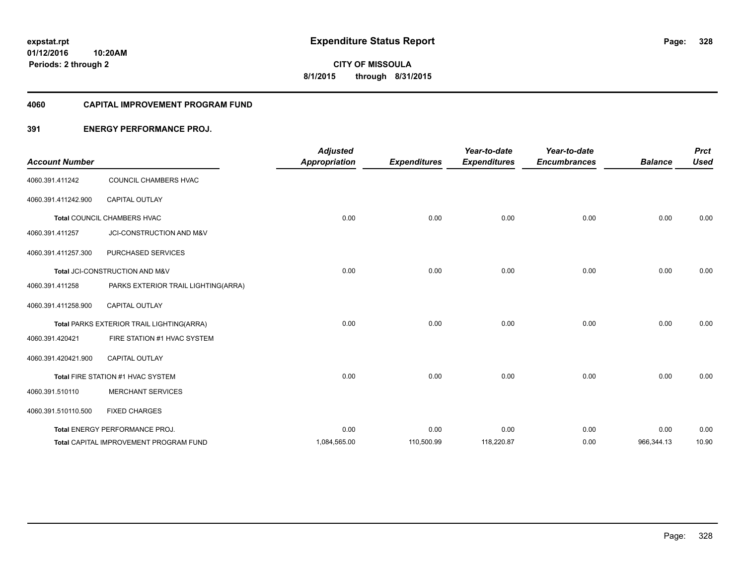#### **4060 CAPITAL IMPROVEMENT PROGRAM FUND**

## **391 ENERGY PERFORMANCE PROJ.**

| <b>Account Number</b> |                                           | <b>Adjusted</b><br><b>Appropriation</b> | <b>Expenditures</b> | Year-to-date<br><b>Expenditures</b> | Year-to-date<br><b>Encumbrances</b> | <b>Balance</b> | <b>Prct</b><br><b>Used</b> |
|-----------------------|-------------------------------------------|-----------------------------------------|---------------------|-------------------------------------|-------------------------------------|----------------|----------------------------|
| 4060.391.411242       | COUNCIL CHAMBERS HVAC                     |                                         |                     |                                     |                                     |                |                            |
| 4060.391.411242.900   | <b>CAPITAL OUTLAY</b>                     |                                         |                     |                                     |                                     |                |                            |
|                       | <b>Total COUNCIL CHAMBERS HVAC</b>        | 0.00                                    | 0.00                | 0.00                                | 0.00                                | 0.00           | 0.00                       |
| 4060.391.411257       | JCI-CONSTRUCTION AND M&V                  |                                         |                     |                                     |                                     |                |                            |
| 4060.391.411257.300   | PURCHASED SERVICES                        |                                         |                     |                                     |                                     |                |                            |
|                       | Total JCI-CONSTRUCTION AND M&V            | 0.00                                    | 0.00                | 0.00                                | 0.00                                | 0.00           | 0.00                       |
| 4060.391.411258       | PARKS EXTERIOR TRAIL LIGHTING(ARRA)       |                                         |                     |                                     |                                     |                |                            |
| 4060.391.411258.900   | <b>CAPITAL OUTLAY</b>                     |                                         |                     |                                     |                                     |                |                            |
|                       | Total PARKS EXTERIOR TRAIL LIGHTING(ARRA) | 0.00                                    | 0.00                | 0.00                                | 0.00                                | 0.00           | 0.00                       |
| 4060.391.420421       | FIRE STATION #1 HVAC SYSTEM               |                                         |                     |                                     |                                     |                |                            |
| 4060.391.420421.900   | <b>CAPITAL OUTLAY</b>                     |                                         |                     |                                     |                                     |                |                            |
|                       | Total FIRE STATION #1 HVAC SYSTEM         | 0.00                                    | 0.00                | 0.00                                | 0.00                                | 0.00           | 0.00                       |
| 4060.391.510110       | <b>MERCHANT SERVICES</b>                  |                                         |                     |                                     |                                     |                |                            |
| 4060.391.510110.500   | <b>FIXED CHARGES</b>                      |                                         |                     |                                     |                                     |                |                            |
|                       | Total ENERGY PERFORMANCE PROJ.            | 0.00                                    | 0.00                | 0.00                                | 0.00                                | 0.00           | 0.00                       |
|                       | Total CAPITAL IMPROVEMENT PROGRAM FUND    | 1,084,565.00                            | 110,500.99          | 118,220.87                          | 0.00                                | 966,344.13     | 10.90                      |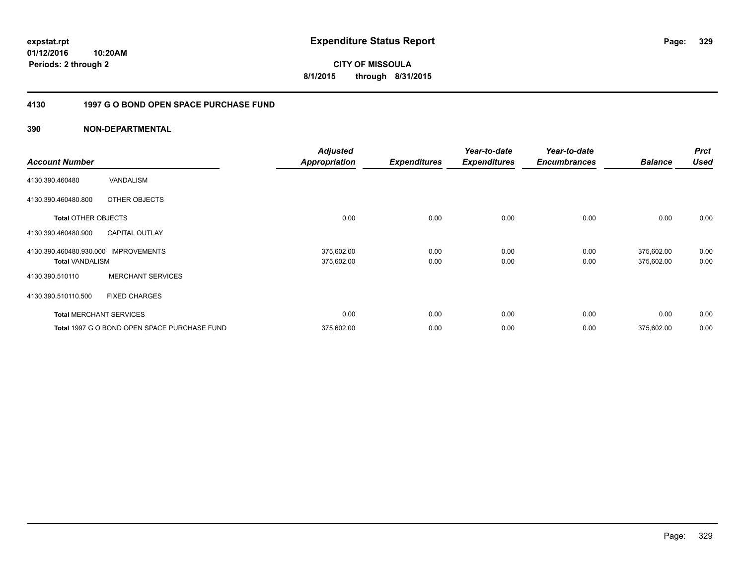**01/12/2016 10:20AM Periods: 2 through 2**

**CITY OF MISSOULA 8/1/2015 through 8/31/2015**

## **4130 1997 G O BOND OPEN SPACE PURCHASE FUND**

| <b>Account Number</b>                             |                                              | <b>Adjusted</b><br><b>Appropriation</b> | <b>Expenditures</b> | Year-to-date<br><b>Expenditures</b> | Year-to-date<br><b>Encumbrances</b> | <b>Balance</b>           | <b>Prct</b><br><b>Used</b> |
|---------------------------------------------------|----------------------------------------------|-----------------------------------------|---------------------|-------------------------------------|-------------------------------------|--------------------------|----------------------------|
| 4130.390.460480                                   | VANDALISM                                    |                                         |                     |                                     |                                     |                          |                            |
| 4130.390.460480.800                               | OTHER OBJECTS                                |                                         |                     |                                     |                                     |                          |                            |
| <b>Total OTHER OBJECTS</b>                        |                                              | 0.00                                    | 0.00                | 0.00                                | 0.00                                | 0.00                     | 0.00                       |
| 4130.390.460480.900                               | <b>CAPITAL OUTLAY</b>                        |                                         |                     |                                     |                                     |                          |                            |
| 4130.390.460480.930.000<br><b>Total VANDALISM</b> | <b>IMPROVEMENTS</b>                          | 375,602.00<br>375,602.00                | 0.00<br>0.00        | 0.00<br>0.00                        | 0.00<br>0.00                        | 375,602.00<br>375,602.00 | 0.00<br>0.00               |
| 4130.390.510110                                   | <b>MERCHANT SERVICES</b>                     |                                         |                     |                                     |                                     |                          |                            |
| 4130.390.510110.500                               | <b>FIXED CHARGES</b>                         |                                         |                     |                                     |                                     |                          |                            |
|                                                   | <b>Total MERCHANT SERVICES</b>               | 0.00                                    | 0.00                | 0.00                                | 0.00                                | 0.00                     | 0.00                       |
|                                                   | Total 1997 G O BOND OPEN SPACE PURCHASE FUND | 375,602.00                              | 0.00                | 0.00                                | 0.00                                | 375,602.00               | 0.00                       |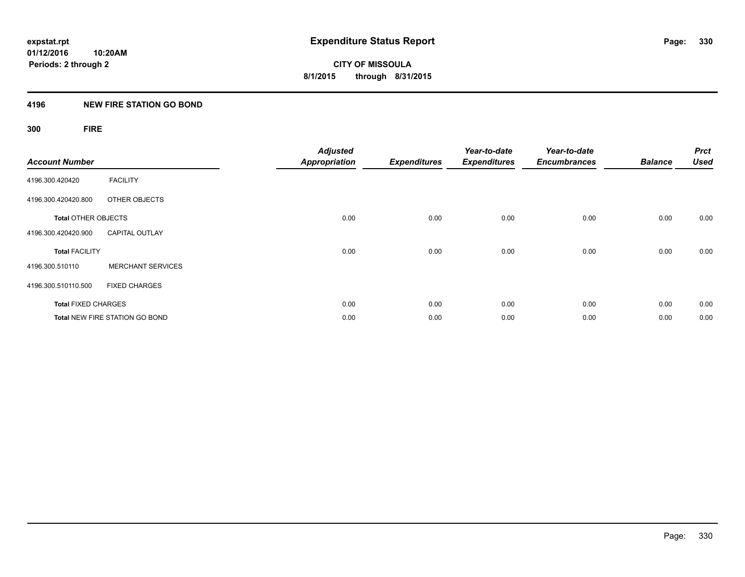## **4196 NEW FIRE STATION GO BOND**

## **300 FIRE**

| <b>Account Number</b>      |                                       | <b>Adjusted</b><br><b>Appropriation</b> | <b>Expenditures</b> | Year-to-date<br><b>Expenditures</b> | Year-to-date<br><b>Encumbrances</b> | <b>Balance</b> | <b>Prct</b><br><b>Used</b> |
|----------------------------|---------------------------------------|-----------------------------------------|---------------------|-------------------------------------|-------------------------------------|----------------|----------------------------|
| 4196.300.420420            | <b>FACILITY</b>                       |                                         |                     |                                     |                                     |                |                            |
| 4196.300.420420.800        | OTHER OBJECTS                         |                                         |                     |                                     |                                     |                |                            |
| <b>Total OTHER OBJECTS</b> |                                       | 0.00                                    | 0.00                | 0.00                                | 0.00                                | 0.00           | 0.00                       |
| 4196.300.420420.900        | <b>CAPITAL OUTLAY</b>                 |                                         |                     |                                     |                                     |                |                            |
| <b>Total FACILITY</b>      |                                       | 0.00                                    | 0.00                | 0.00                                | 0.00                                | 0.00           | 0.00                       |
| 4196.300.510110            | <b>MERCHANT SERVICES</b>              |                                         |                     |                                     |                                     |                |                            |
| 4196.300.510110.500        | <b>FIXED CHARGES</b>                  |                                         |                     |                                     |                                     |                |                            |
| <b>Total FIXED CHARGES</b> |                                       | 0.00                                    | 0.00                | 0.00                                | 0.00                                | 0.00           | 0.00                       |
|                            | <b>Total NEW FIRE STATION GO BOND</b> | 0.00                                    | 0.00                | 0.00                                | 0.00                                | 0.00           | 0.00                       |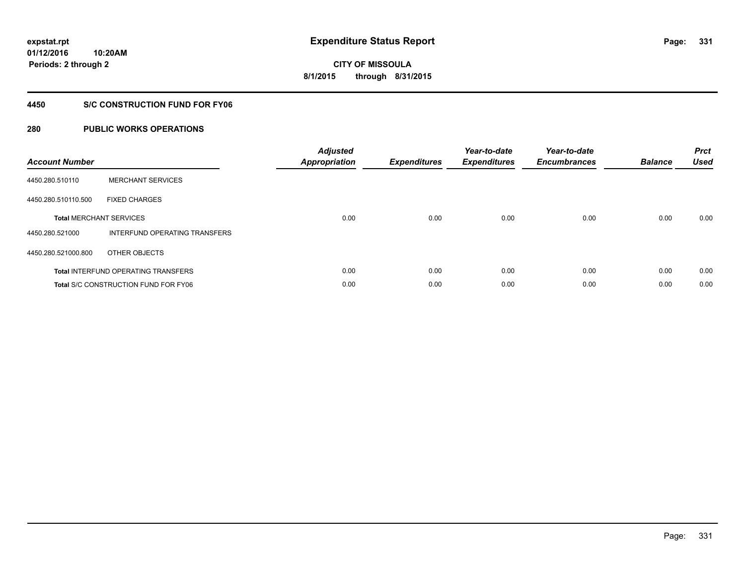**331**

**01/12/2016 10:20AM Periods: 2 through 2**

**CITY OF MISSOULA 8/1/2015 through 8/31/2015**

## **4450 S/C CONSTRUCTION FUND FOR FY06**

| <b>Account Number</b> |                                             | <b>Adjusted</b><br>Appropriation | <b>Expenditures</b> | Year-to-date<br><b>Expenditures</b> | Year-to-date<br><b>Encumbrances</b> | <b>Balance</b> | <b>Prct</b><br><b>Used</b> |
|-----------------------|---------------------------------------------|----------------------------------|---------------------|-------------------------------------|-------------------------------------|----------------|----------------------------|
| 4450.280.510110       | <b>MERCHANT SERVICES</b>                    |                                  |                     |                                     |                                     |                |                            |
| 4450.280.510110.500   | <b>FIXED CHARGES</b>                        |                                  |                     |                                     |                                     |                |                            |
|                       | <b>Total MERCHANT SERVICES</b>              | 0.00                             | 0.00                | 0.00                                | 0.00                                | 0.00           | 0.00                       |
| 4450.280.521000       | INTERFUND OPERATING TRANSFERS               |                                  |                     |                                     |                                     |                |                            |
| 4450.280.521000.800   | OTHER OBJECTS                               |                                  |                     |                                     |                                     |                |                            |
|                       | <b>Total INTERFUND OPERATING TRANSFERS</b>  | 0.00                             | 0.00                | 0.00                                | 0.00                                | 0.00           | 0.00                       |
|                       | <b>Total S/C CONSTRUCTION FUND FOR FY06</b> | 0.00                             | 0.00                | 0.00                                | 0.00                                | 0.00           | 0.00                       |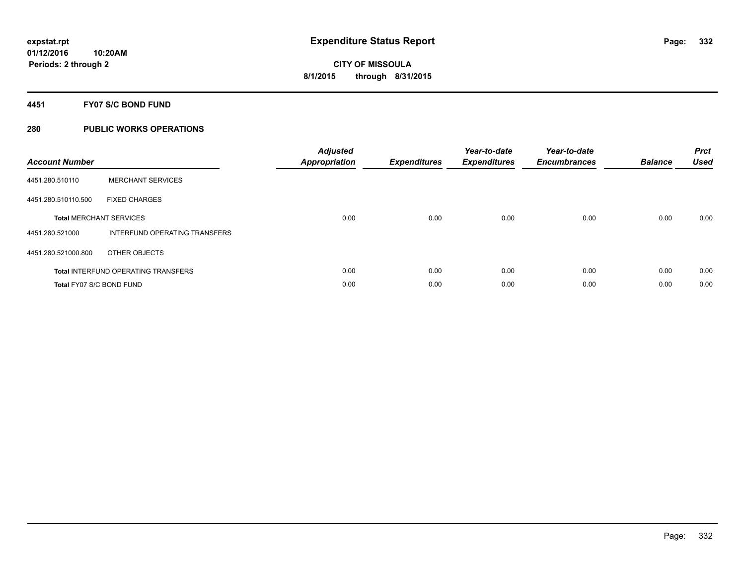## **4451 FY07 S/C BOND FUND**

| <b>Account Number</b>    |                                            | <b>Adjusted</b><br>Appropriation | <b>Expenditures</b> | Year-to-date<br><b>Expenditures</b> | Year-to-date<br><b>Encumbrances</b> | <b>Balance</b> | <b>Prct</b><br><b>Used</b> |
|--------------------------|--------------------------------------------|----------------------------------|---------------------|-------------------------------------|-------------------------------------|----------------|----------------------------|
| 4451.280.510110          | <b>MERCHANT SERVICES</b>                   |                                  |                     |                                     |                                     |                |                            |
| 4451.280.510110.500      | <b>FIXED CHARGES</b>                       |                                  |                     |                                     |                                     |                |                            |
|                          | <b>Total MERCHANT SERVICES</b>             | 0.00                             | 0.00                | 0.00                                | 0.00                                | 0.00           | 0.00                       |
| 4451.280.521000          | INTERFUND OPERATING TRANSFERS              |                                  |                     |                                     |                                     |                |                            |
| 4451.280.521000.800      | OTHER OBJECTS                              |                                  |                     |                                     |                                     |                |                            |
|                          | <b>Total INTERFUND OPERATING TRANSFERS</b> | 0.00                             | 0.00                | 0.00                                | 0.00                                | 0.00           | 0.00                       |
| Total FY07 S/C BOND FUND |                                            | 0.00                             | 0.00                | 0.00                                | 0.00                                | 0.00           | 0.00                       |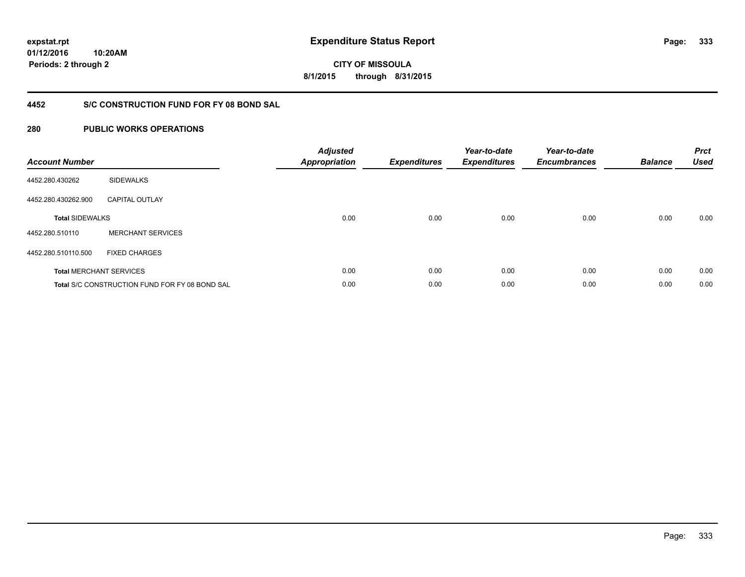**01/12/2016 10:20AM Periods: 2 through 2**

**CITY OF MISSOULA 8/1/2015 through 8/31/2015**

## **4452 S/C CONSTRUCTION FUND FOR FY 08 BOND SAL**

| <b>Account Number</b>  |                                                       | <b>Adjusted</b><br><b>Appropriation</b> | <b>Expenditures</b> | Year-to-date<br><b>Expenditures</b> | Year-to-date<br><b>Encumbrances</b> | <b>Balance</b> | <b>Prct</b><br><b>Used</b> |
|------------------------|-------------------------------------------------------|-----------------------------------------|---------------------|-------------------------------------|-------------------------------------|----------------|----------------------------|
| 4452.280.430262        | <b>SIDEWALKS</b>                                      |                                         |                     |                                     |                                     |                |                            |
| 4452.280.430262.900    | <b>CAPITAL OUTLAY</b>                                 |                                         |                     |                                     |                                     |                |                            |
| <b>Total SIDEWALKS</b> |                                                       | 0.00                                    | 0.00                | 0.00                                | 0.00                                | 0.00           | 0.00                       |
| 4452.280.510110        | <b>MERCHANT SERVICES</b>                              |                                         |                     |                                     |                                     |                |                            |
| 4452.280.510110.500    | <b>FIXED CHARGES</b>                                  |                                         |                     |                                     |                                     |                |                            |
|                        | <b>Total MERCHANT SERVICES</b>                        | 0.00                                    | 0.00                | 0.00                                | 0.00                                | 0.00           | 0.00                       |
|                        | <b>Total S/C CONSTRUCTION FUND FOR FY 08 BOND SAL</b> | 0.00                                    | 0.00                | 0.00                                | 0.00                                | 0.00           | 0.00                       |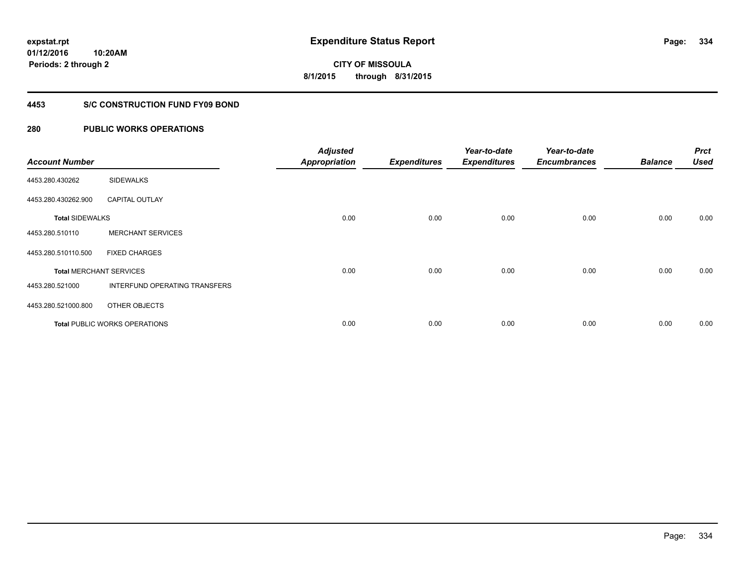**01/12/2016 10:20AM Periods: 2 through 2**

# **CITY OF MISSOULA 8/1/2015 through 8/31/2015**

## **4453 S/C CONSTRUCTION FUND FY09 BOND**

| <b>Account Number</b>  |                                      | <b>Adjusted</b><br><b>Appropriation</b> | <b>Expenditures</b> | Year-to-date<br><b>Expenditures</b> | Year-to-date<br><b>Encumbrances</b> | <b>Balance</b> | <b>Prct</b><br><b>Used</b> |
|------------------------|--------------------------------------|-----------------------------------------|---------------------|-------------------------------------|-------------------------------------|----------------|----------------------------|
| 4453.280.430262        | <b>SIDEWALKS</b>                     |                                         |                     |                                     |                                     |                |                            |
| 4453.280.430262.900    | <b>CAPITAL OUTLAY</b>                |                                         |                     |                                     |                                     |                |                            |
| <b>Total SIDEWALKS</b> |                                      | 0.00                                    | 0.00                | 0.00                                | 0.00                                | 0.00           | 0.00                       |
| 4453.280.510110        | <b>MERCHANT SERVICES</b>             |                                         |                     |                                     |                                     |                |                            |
| 4453.280.510110.500    | <b>FIXED CHARGES</b>                 |                                         |                     |                                     |                                     |                |                            |
|                        | <b>Total MERCHANT SERVICES</b>       | 0.00                                    | 0.00                | 0.00                                | 0.00                                | 0.00           | 0.00                       |
| 4453.280.521000        | <b>INTERFUND OPERATING TRANSFERS</b> |                                         |                     |                                     |                                     |                |                            |
| 4453.280.521000.800    | OTHER OBJECTS                        |                                         |                     |                                     |                                     |                |                            |
|                        | <b>Total PUBLIC WORKS OPERATIONS</b> | 0.00                                    | 0.00                | 0.00                                | 0.00                                | 0.00           | 0.00                       |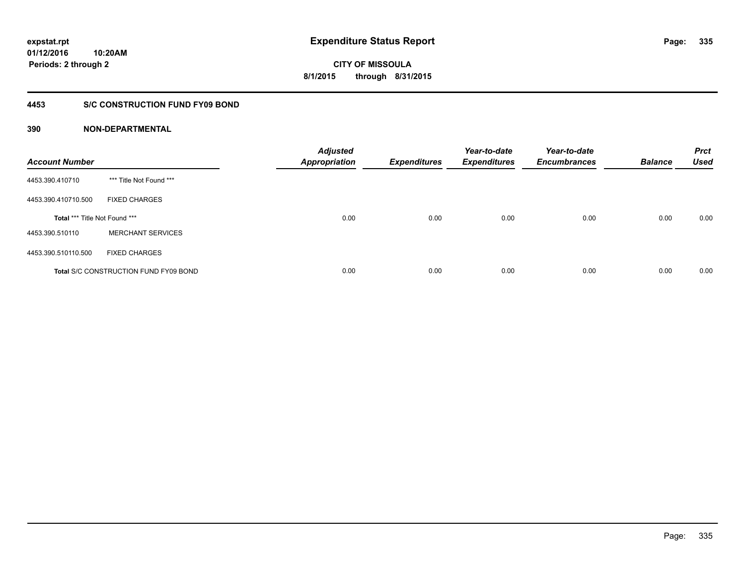## **4453 S/C CONSTRUCTION FUND FY09 BOND**

| <b>Account Number</b>         |                                              | <b>Adjusted</b><br><b>Appropriation</b> | <b>Expenditures</b> | Year-to-date<br><b>Expenditures</b> | Year-to-date<br><b>Encumbrances</b> | <b>Balance</b> | <b>Prct</b><br><b>Used</b> |
|-------------------------------|----------------------------------------------|-----------------------------------------|---------------------|-------------------------------------|-------------------------------------|----------------|----------------------------|
| 4453.390.410710               | *** Title Not Found ***                      |                                         |                     |                                     |                                     |                |                            |
| 4453.390.410710.500           | <b>FIXED CHARGES</b>                         |                                         |                     |                                     |                                     |                |                            |
| Total *** Title Not Found *** |                                              | 0.00                                    | 0.00                | 0.00                                | 0.00                                | 0.00           | 0.00                       |
| 4453.390.510110               | <b>MERCHANT SERVICES</b>                     |                                         |                     |                                     |                                     |                |                            |
| 4453.390.510110.500           | <b>FIXED CHARGES</b>                         |                                         |                     |                                     |                                     |                |                            |
|                               | <b>Total S/C CONSTRUCTION FUND FY09 BOND</b> | 0.00                                    | 0.00                | 0.00                                | 0.00                                | 0.00           | 0.00                       |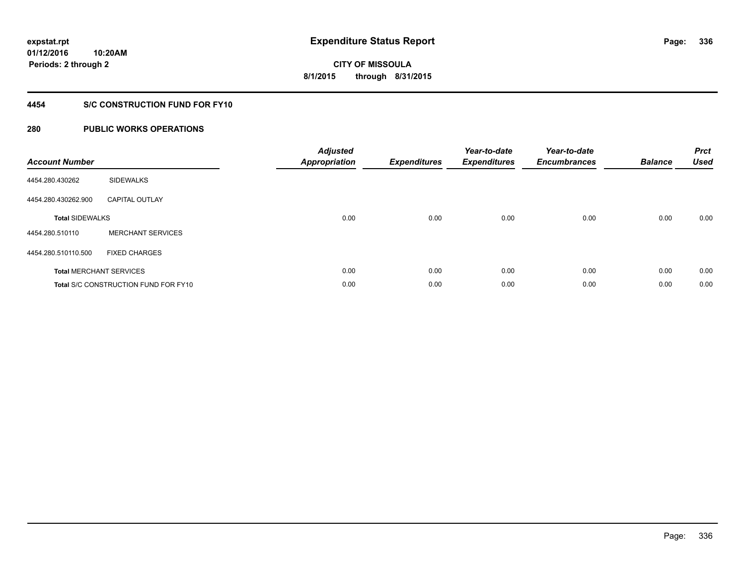**336**

**01/12/2016 10:20AM Periods: 2 through 2**

**CITY OF MISSOULA 8/1/2015 through 8/31/2015**

## **4454 S/C CONSTRUCTION FUND FOR FY10**

| <b>Account Number</b>  |                                             | <b>Adjusted</b><br><b>Appropriation</b> | <b>Expenditures</b> | Year-to-date<br><b>Expenditures</b> | Year-to-date<br><b>Encumbrances</b> | <b>Balance</b> | <b>Prct</b><br><b>Used</b> |
|------------------------|---------------------------------------------|-----------------------------------------|---------------------|-------------------------------------|-------------------------------------|----------------|----------------------------|
| 4454.280.430262        | <b>SIDEWALKS</b>                            |                                         |                     |                                     |                                     |                |                            |
| 4454.280.430262.900    | <b>CAPITAL OUTLAY</b>                       |                                         |                     |                                     |                                     |                |                            |
| <b>Total SIDEWALKS</b> |                                             | 0.00                                    | 0.00                | 0.00                                | 0.00                                | 0.00           | 0.00                       |
| 4454.280.510110        | <b>MERCHANT SERVICES</b>                    |                                         |                     |                                     |                                     |                |                            |
| 4454.280.510110.500    | <b>FIXED CHARGES</b>                        |                                         |                     |                                     |                                     |                |                            |
|                        | <b>Total MERCHANT SERVICES</b>              | 0.00                                    | 0.00                | 0.00                                | 0.00                                | 0.00           | 0.00                       |
|                        | <b>Total S/C CONSTRUCTION FUND FOR FY10</b> | 0.00                                    | 0.00                | 0.00                                | 0.00                                | 0.00           | 0.00                       |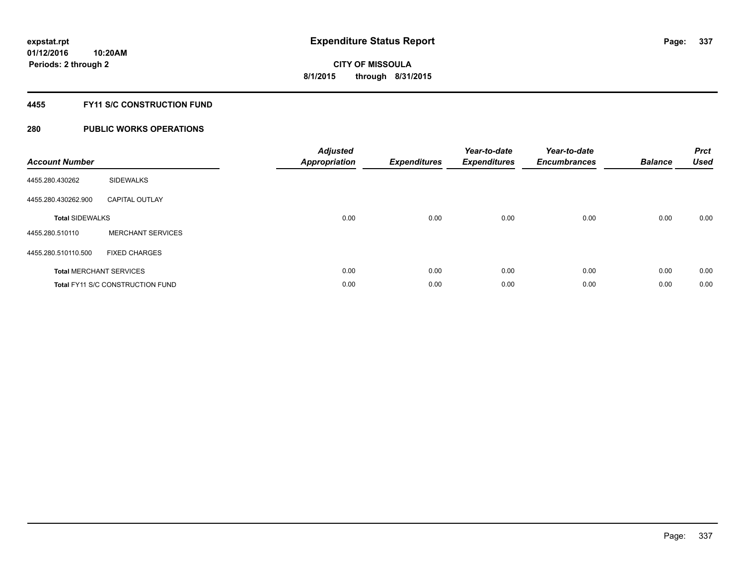## **4455 FY11 S/C CONSTRUCTION FUND**

| <b>Account Number</b>  |                                         | <b>Adjusted</b><br>Appropriation | <b>Expenditures</b> | Year-to-date<br><b>Expenditures</b> | Year-to-date<br><b>Encumbrances</b> | <b>Balance</b> | <b>Prct</b><br><b>Used</b> |
|------------------------|-----------------------------------------|----------------------------------|---------------------|-------------------------------------|-------------------------------------|----------------|----------------------------|
| 4455.280.430262        | <b>SIDEWALKS</b>                        |                                  |                     |                                     |                                     |                |                            |
| 4455.280.430262.900    | <b>CAPITAL OUTLAY</b>                   |                                  |                     |                                     |                                     |                |                            |
| <b>Total SIDEWALKS</b> |                                         | 0.00                             | 0.00                | 0.00                                | 0.00                                | 0.00           | 0.00                       |
| 4455.280.510110        | <b>MERCHANT SERVICES</b>                |                                  |                     |                                     |                                     |                |                            |
| 4455.280.510110.500    | <b>FIXED CHARGES</b>                    |                                  |                     |                                     |                                     |                |                            |
|                        | <b>Total MERCHANT SERVICES</b>          | 0.00                             | 0.00                | 0.00                                | 0.00                                | 0.00           | 0.00                       |
|                        | <b>Total FY11 S/C CONSTRUCTION FUND</b> | 0.00                             | 0.00                | 0.00                                | 0.00                                | 0.00           | 0.00                       |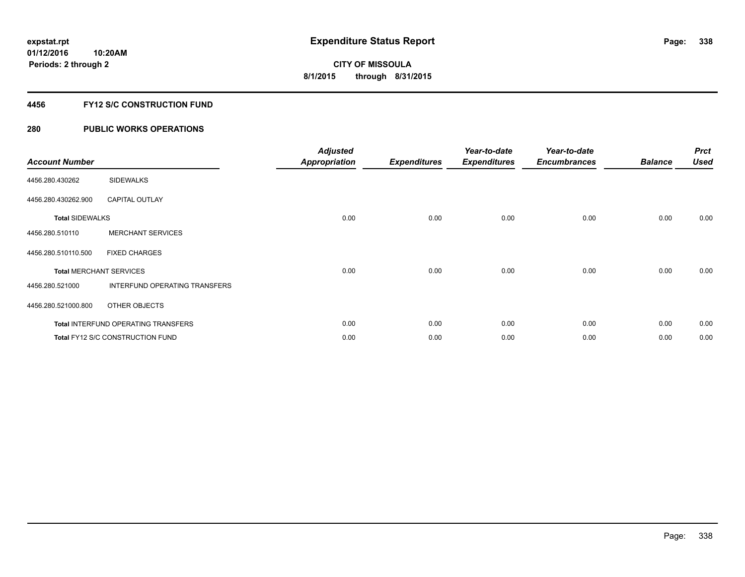## **4456 FY12 S/C CONSTRUCTION FUND**

| <b>Account Number</b>  |                                            | <b>Adjusted</b><br><b>Appropriation</b> | <b>Expenditures</b> | Year-to-date<br><b>Expenditures</b> | Year-to-date<br><b>Encumbrances</b> | <b>Balance</b> | <b>Prct</b><br><b>Used</b> |
|------------------------|--------------------------------------------|-----------------------------------------|---------------------|-------------------------------------|-------------------------------------|----------------|----------------------------|
| 4456.280.430262        | <b>SIDEWALKS</b>                           |                                         |                     |                                     |                                     |                |                            |
| 4456.280.430262.900    | <b>CAPITAL OUTLAY</b>                      |                                         |                     |                                     |                                     |                |                            |
| <b>Total SIDEWALKS</b> |                                            | 0.00                                    | 0.00                | 0.00                                | 0.00                                | 0.00           | 0.00                       |
| 4456.280.510110        | <b>MERCHANT SERVICES</b>                   |                                         |                     |                                     |                                     |                |                            |
| 4456.280.510110.500    | <b>FIXED CHARGES</b>                       |                                         |                     |                                     |                                     |                |                            |
|                        | <b>Total MERCHANT SERVICES</b>             | 0.00                                    | 0.00                | 0.00                                | 0.00                                | 0.00           | 0.00                       |
| 4456.280.521000        | INTERFUND OPERATING TRANSFERS              |                                         |                     |                                     |                                     |                |                            |
| 4456.280.521000.800    | OTHER OBJECTS                              |                                         |                     |                                     |                                     |                |                            |
|                        | <b>Total INTERFUND OPERATING TRANSFERS</b> | 0.00                                    | 0.00                | 0.00                                | 0.00                                | 0.00           | 0.00                       |
|                        | Total FY12 S/C CONSTRUCTION FUND           | 0.00                                    | 0.00                | 0.00                                | 0.00                                | 0.00           | 0.00                       |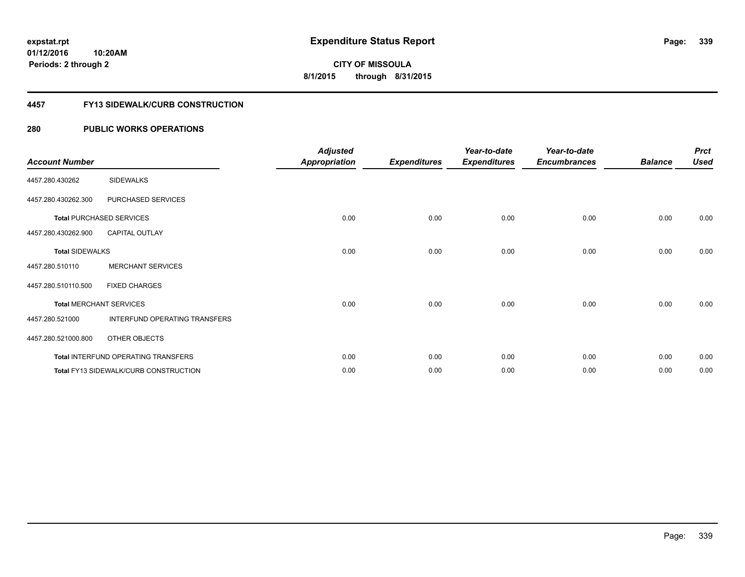**Periods: 2 through 2**

**339**

**CITY OF MISSOULA 8/1/2015 through 8/31/2015**

#### **4457 FY13 SIDEWALK/CURB CONSTRUCTION**

| <b>Account Number</b>  |                                              | <b>Adjusted</b><br><b>Appropriation</b> | <b>Expenditures</b> | Year-to-date<br><b>Expenditures</b> | Year-to-date<br><b>Encumbrances</b> | <b>Balance</b> | <b>Prct</b><br><b>Used</b> |
|------------------------|----------------------------------------------|-----------------------------------------|---------------------|-------------------------------------|-------------------------------------|----------------|----------------------------|
| 4457.280.430262        | <b>SIDEWALKS</b>                             |                                         |                     |                                     |                                     |                |                            |
| 4457.280.430262.300    | PURCHASED SERVICES                           |                                         |                     |                                     |                                     |                |                            |
|                        | <b>Total PURCHASED SERVICES</b>              | 0.00                                    | 0.00                | 0.00                                | 0.00                                | 0.00           | 0.00                       |
| 4457.280.430262.900    | <b>CAPITAL OUTLAY</b>                        |                                         |                     |                                     |                                     |                |                            |
| <b>Total SIDEWALKS</b> |                                              | 0.00                                    | 0.00                | 0.00                                | 0.00                                | 0.00           | 0.00                       |
| 4457.280.510110        | <b>MERCHANT SERVICES</b>                     |                                         |                     |                                     |                                     |                |                            |
| 4457.280.510110.500    | <b>FIXED CHARGES</b>                         |                                         |                     |                                     |                                     |                |                            |
|                        | <b>Total MERCHANT SERVICES</b>               | 0.00                                    | 0.00                | 0.00                                | 0.00                                | 0.00           | 0.00                       |
| 4457.280.521000        | INTERFUND OPERATING TRANSFERS                |                                         |                     |                                     |                                     |                |                            |
| 4457.280.521000.800    | OTHER OBJECTS                                |                                         |                     |                                     |                                     |                |                            |
|                        | Total INTERFUND OPERATING TRANSFERS          | 0.00                                    | 0.00                | 0.00                                | 0.00                                | 0.00           | 0.00                       |
|                        | <b>Total FY13 SIDEWALK/CURB CONSTRUCTION</b> | 0.00                                    | 0.00                | 0.00                                | 0.00                                | 0.00           | 0.00                       |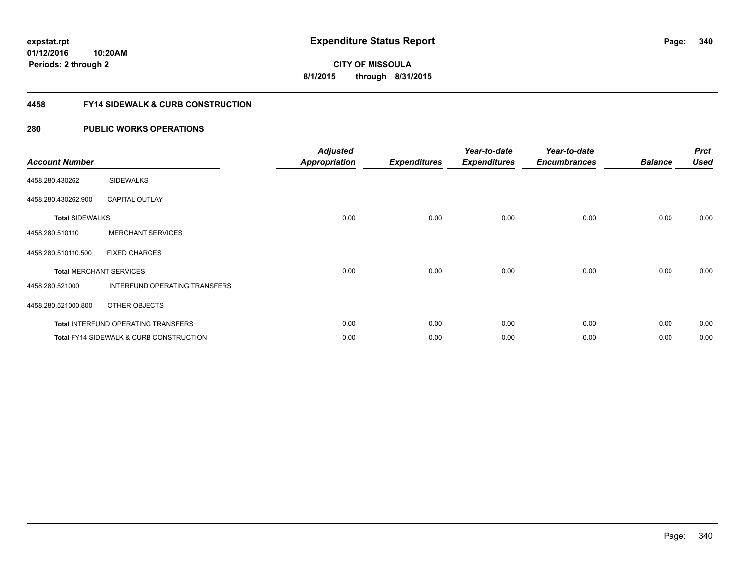**340**

**01/12/2016 10:20AM Periods: 2 through 2**

**CITY OF MISSOULA 8/1/2015 through 8/31/2015**

## **4458 FY14 SIDEWALK & CURB CONSTRUCTION**

| <b>Account Number</b>  |                                                    | <b>Adjusted</b><br><b>Appropriation</b> | <b>Expenditures</b> | Year-to-date<br><b>Expenditures</b> | Year-to-date<br><b>Encumbrances</b> | <b>Balance</b> | <b>Prct</b><br><b>Used</b> |
|------------------------|----------------------------------------------------|-----------------------------------------|---------------------|-------------------------------------|-------------------------------------|----------------|----------------------------|
| 4458.280.430262        | <b>SIDEWALKS</b>                                   |                                         |                     |                                     |                                     |                |                            |
| 4458.280.430262.900    | <b>CAPITAL OUTLAY</b>                              |                                         |                     |                                     |                                     |                |                            |
| <b>Total SIDEWALKS</b> |                                                    | 0.00                                    | 0.00                | 0.00                                | 0.00                                | 0.00           | 0.00                       |
| 4458.280.510110        | <b>MERCHANT SERVICES</b>                           |                                         |                     |                                     |                                     |                |                            |
| 4458.280.510110.500    | <b>FIXED CHARGES</b>                               |                                         |                     |                                     |                                     |                |                            |
|                        | <b>Total MERCHANT SERVICES</b>                     | 0.00                                    | 0.00                | 0.00                                | 0.00                                | 0.00           | 0.00                       |
| 4458.280.521000        | INTERFUND OPERATING TRANSFERS                      |                                         |                     |                                     |                                     |                |                            |
| 4458.280.521000.800    | OTHER OBJECTS                                      |                                         |                     |                                     |                                     |                |                            |
|                        | Total INTERFUND OPERATING TRANSFERS                | 0.00                                    | 0.00                | 0.00                                | 0.00                                | 0.00           | 0.00                       |
|                        | <b>Total FY14 SIDEWALK &amp; CURB CONSTRUCTION</b> | 0.00                                    | 0.00                | 0.00                                | 0.00                                | 0.00           | 0.00                       |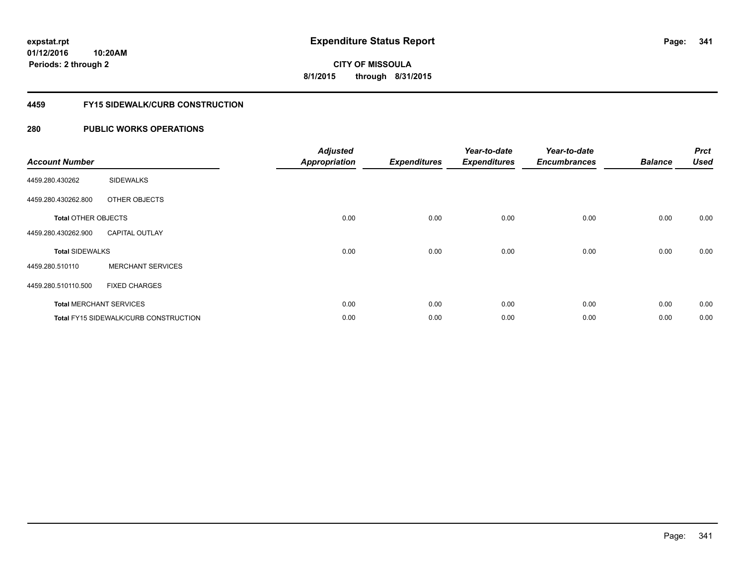**Periods: 2 through 2**

# **CITY OF MISSOULA 8/1/2015 through 8/31/2015**

## **4459 FY15 SIDEWALK/CURB CONSTRUCTION**

| <b>Account Number</b>      |                                       | <b>Adjusted</b><br><b>Appropriation</b> | <b>Expenditures</b> | Year-to-date<br><b>Expenditures</b> | Year-to-date<br><b>Encumbrances</b> | <b>Balance</b> | <b>Prct</b><br><b>Used</b> |
|----------------------------|---------------------------------------|-----------------------------------------|---------------------|-------------------------------------|-------------------------------------|----------------|----------------------------|
| 4459.280.430262            | <b>SIDEWALKS</b>                      |                                         |                     |                                     |                                     |                |                            |
| 4459.280.430262.800        | OTHER OBJECTS                         |                                         |                     |                                     |                                     |                |                            |
| <b>Total OTHER OBJECTS</b> |                                       | 0.00                                    | 0.00                | 0.00                                | 0.00                                | 0.00           | 0.00                       |
| 4459.280.430262.900        | <b>CAPITAL OUTLAY</b>                 |                                         |                     |                                     |                                     |                |                            |
| <b>Total SIDEWALKS</b>     |                                       | 0.00                                    | 0.00                | 0.00                                | 0.00                                | 0.00           | 0.00                       |
| 4459.280.510110            | <b>MERCHANT SERVICES</b>              |                                         |                     |                                     |                                     |                |                            |
| 4459.280.510110.500        | <b>FIXED CHARGES</b>                  |                                         |                     |                                     |                                     |                |                            |
|                            | <b>Total MERCHANT SERVICES</b>        | 0.00                                    | 0.00                | 0.00                                | 0.00                                | 0.00           | 0.00                       |
|                            | Total FY15 SIDEWALK/CURB CONSTRUCTION | 0.00                                    | 0.00                | 0.00                                | 0.00                                | 0.00           | 0.00                       |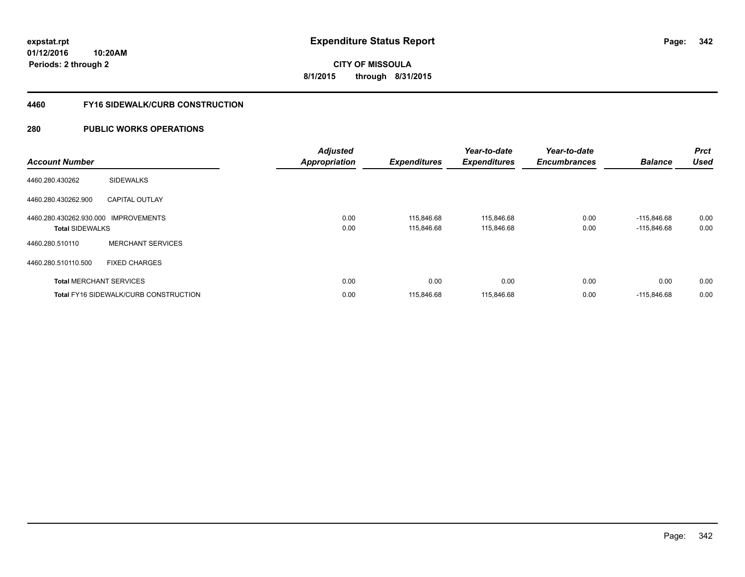**342**

**01/12/2016 10:20AM Periods: 2 through 2**

**CITY OF MISSOULA 8/1/2015 through 8/31/2015**

## **4460 FY16 SIDEWALK/CURB CONSTRUCTION**

| <b>Account Number</b>                                          |                                              | <b>Adjusted</b><br><b>Appropriation</b> | <b>Expenditures</b>      | Year-to-date<br><b>Expenditures</b> | Year-to-date<br><b>Encumbrances</b> | <b>Balance</b>                 | <b>Prct</b><br><b>Used</b> |
|----------------------------------------------------------------|----------------------------------------------|-----------------------------------------|--------------------------|-------------------------------------|-------------------------------------|--------------------------------|----------------------------|
| 4460.280.430262                                                | <b>SIDEWALKS</b>                             |                                         |                          |                                     |                                     |                                |                            |
| 4460.280.430262.900                                            | <b>CAPITAL OUTLAY</b>                        |                                         |                          |                                     |                                     |                                |                            |
| 4460.280.430262.930.000 IMPROVEMENTS<br><b>Total SIDEWALKS</b> |                                              | 0.00<br>0.00                            | 115,846.68<br>115,846.68 | 115,846.68<br>115,846.68            | 0.00<br>0.00                        | $-115,846.68$<br>$-115,846.68$ | 0.00<br>0.00               |
| 4460.280.510110                                                | <b>MERCHANT SERVICES</b>                     |                                         |                          |                                     |                                     |                                |                            |
| 4460.280.510110.500                                            | <b>FIXED CHARGES</b>                         |                                         |                          |                                     |                                     |                                |                            |
|                                                                | <b>Total MERCHANT SERVICES</b>               | 0.00                                    | 0.00                     | 0.00                                | 0.00                                | 0.00                           | 0.00                       |
|                                                                | <b>Total FY16 SIDEWALK/CURB CONSTRUCTION</b> | 0.00                                    | 115,846.68               | 115,846.68                          | 0.00                                | $-115,846.68$                  | 0.00                       |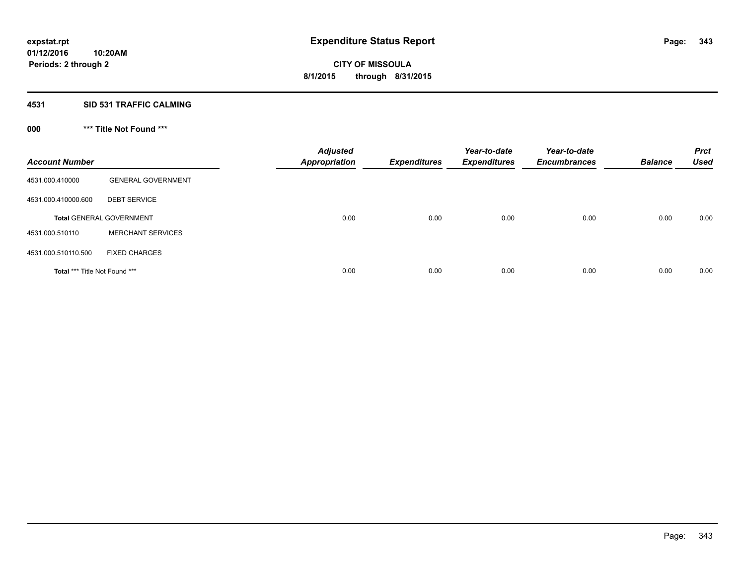#### **4531 SID 531 TRAFFIC CALMING**

## **000 \*\*\* Title Not Found \*\*\***

| <b>Account Number</b>         |                                 | <b>Adjusted</b><br><b>Appropriation</b> | <b>Expenditures</b> | Year-to-date<br><b>Expenditures</b> | Year-to-date<br><b>Encumbrances</b> | <b>Balance</b> | <b>Prct</b><br><b>Used</b> |
|-------------------------------|---------------------------------|-----------------------------------------|---------------------|-------------------------------------|-------------------------------------|----------------|----------------------------|
| 4531.000.410000               | <b>GENERAL GOVERNMENT</b>       |                                         |                     |                                     |                                     |                |                            |
| 4531.000.410000.600           | <b>DEBT SERVICE</b>             |                                         |                     |                                     |                                     |                |                            |
|                               | <b>Total GENERAL GOVERNMENT</b> | 0.00                                    | 0.00                | 0.00                                | 0.00                                | 0.00           | 0.00                       |
| 4531.000.510110               | <b>MERCHANT SERVICES</b>        |                                         |                     |                                     |                                     |                |                            |
| 4531.000.510110.500           | <b>FIXED CHARGES</b>            |                                         |                     |                                     |                                     |                |                            |
| Total *** Title Not Found *** |                                 | 0.00                                    | 0.00                | 0.00                                | 0.00                                | 0.00           | 0.00                       |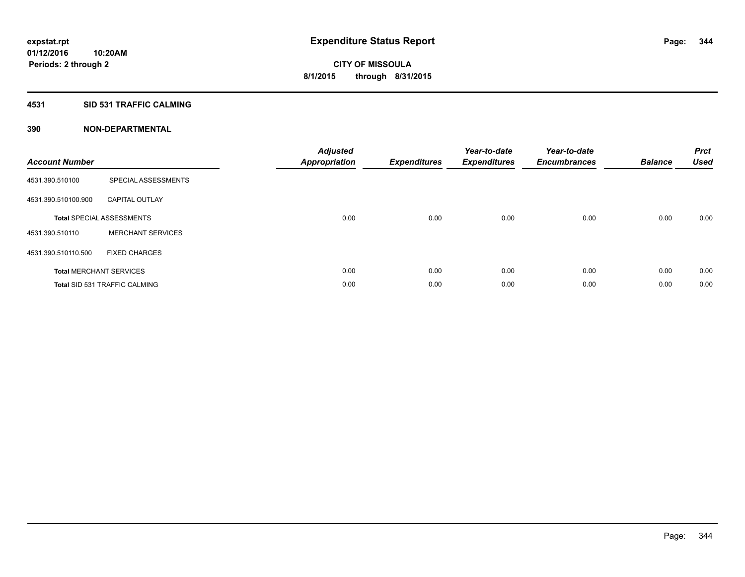## **4531 SID 531 TRAFFIC CALMING**

| <b>Account Number</b> |                                      | <b>Adjusted</b><br>Appropriation | <b>Expenditures</b> | Year-to-date<br><b>Expenditures</b> | Year-to-date<br><b>Encumbrances</b> | <b>Balance</b> | <b>Prct</b><br><b>Used</b> |
|-----------------------|--------------------------------------|----------------------------------|---------------------|-------------------------------------|-------------------------------------|----------------|----------------------------|
| 4531.390.510100       | SPECIAL ASSESSMENTS                  |                                  |                     |                                     |                                     |                |                            |
| 4531.390.510100.900   | <b>CAPITAL OUTLAY</b>                |                                  |                     |                                     |                                     |                |                            |
|                       | <b>Total SPECIAL ASSESSMENTS</b>     | 0.00                             | 0.00                | 0.00                                | 0.00                                | 0.00           | 0.00                       |
| 4531.390.510110       | <b>MERCHANT SERVICES</b>             |                                  |                     |                                     |                                     |                |                            |
| 4531.390.510110.500   | <b>FIXED CHARGES</b>                 |                                  |                     |                                     |                                     |                |                            |
|                       | <b>Total MERCHANT SERVICES</b>       | 0.00                             | 0.00                | 0.00                                | 0.00                                | 0.00           | 0.00                       |
|                       | <b>Total SID 531 TRAFFIC CALMING</b> | 0.00                             | 0.00                | 0.00                                | 0.00                                | 0.00           | 0.00                       |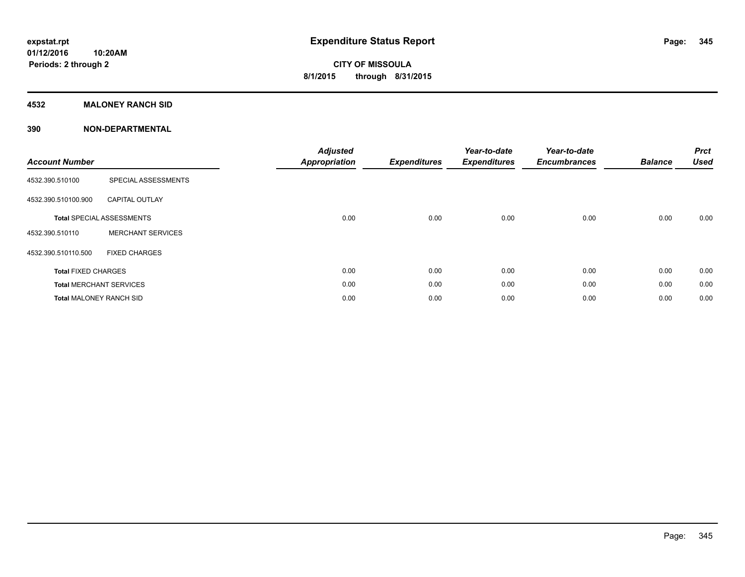## **4532 MALONEY RANCH SID**

| <b>Account Number</b>          |                                  | <b>Adjusted</b><br><b>Appropriation</b> | <b>Expenditures</b> | Year-to-date<br><b>Expenditures</b> | Year-to-date<br><b>Encumbrances</b> | <b>Balance</b> | <b>Prct</b><br><b>Used</b> |
|--------------------------------|----------------------------------|-----------------------------------------|---------------------|-------------------------------------|-------------------------------------|----------------|----------------------------|
| 4532.390.510100                | SPECIAL ASSESSMENTS              |                                         |                     |                                     |                                     |                |                            |
| 4532.390.510100.900            | <b>CAPITAL OUTLAY</b>            |                                         |                     |                                     |                                     |                |                            |
|                                | <b>Total SPECIAL ASSESSMENTS</b> | 0.00                                    | 0.00                | 0.00                                | 0.00                                | 0.00           | 0.00                       |
| 4532.390.510110                | <b>MERCHANT SERVICES</b>         |                                         |                     |                                     |                                     |                |                            |
| 4532.390.510110.500            | <b>FIXED CHARGES</b>             |                                         |                     |                                     |                                     |                |                            |
| <b>Total FIXED CHARGES</b>     |                                  | 0.00                                    | 0.00                | 0.00                                | 0.00                                | 0.00           | 0.00                       |
|                                | <b>Total MERCHANT SERVICES</b>   | 0.00                                    | 0.00                | 0.00                                | 0.00                                | 0.00           | 0.00                       |
| <b>Total MALONEY RANCH SID</b> |                                  | 0.00                                    | 0.00                | 0.00                                | 0.00                                | 0.00           | 0.00                       |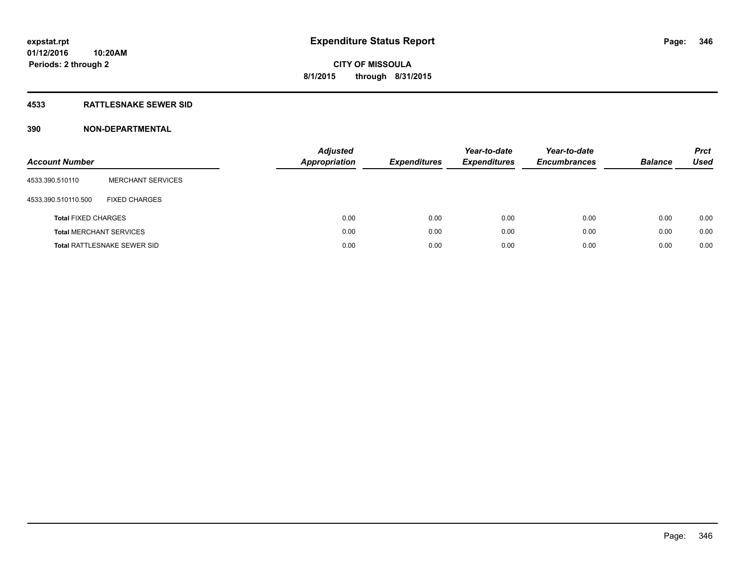## **4533 RATTLESNAKE SEWER SID**

| <b>Account Number</b>      |                                    | <b>Adjusted</b><br><b>Appropriation</b> | <b>Expenditures</b> | Year-to-date<br><b>Expenditures</b> | Year-to-date<br><b>Encumbrances</b> | <b>Balance</b> | <b>Prct</b><br><b>Used</b> |
|----------------------------|------------------------------------|-----------------------------------------|---------------------|-------------------------------------|-------------------------------------|----------------|----------------------------|
| 4533.390.510110            | <b>MERCHANT SERVICES</b>           |                                         |                     |                                     |                                     |                |                            |
| 4533.390.510110.500        | <b>FIXED CHARGES</b>               |                                         |                     |                                     |                                     |                |                            |
| <b>Total FIXED CHARGES</b> |                                    |                                         | 0.00<br>0.00        | 0.00                                | 0.00                                | 0.00           | 0.00                       |
|                            | <b>Total MERCHANT SERVICES</b>     |                                         | 0.00<br>0.00        | 0.00                                | 0.00                                | 0.00           | 0.00                       |
|                            | <b>Total RATTLESNAKE SEWER SID</b> |                                         | 0.00<br>0.00        | 0.00                                | 0.00                                | 0.00           | 0.00                       |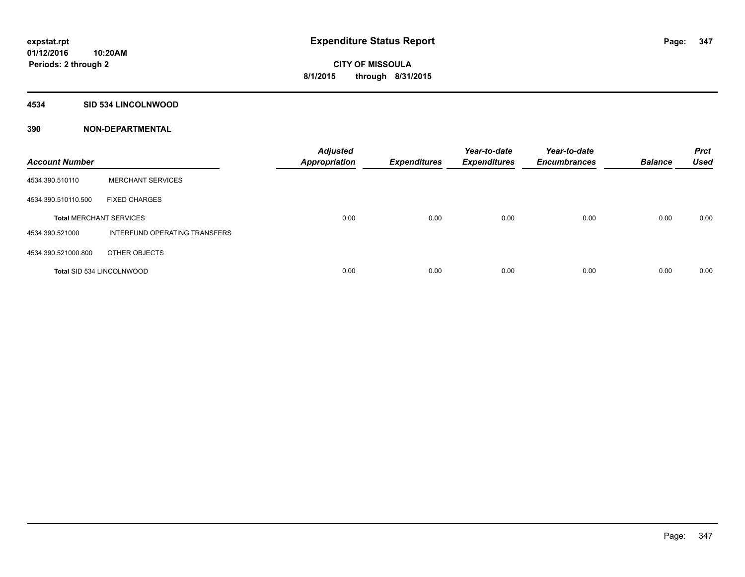## **4534 SID 534 LINCOLNWOOD**

| <b>Account Number</b>            |                               | <b>Adjusted</b><br><b>Appropriation</b> | <b>Expenditures</b> | Year-to-date<br><b>Expenditures</b> | Year-to-date<br><b>Encumbrances</b> | <b>Balance</b> | <b>Prct</b><br><b>Used</b> |
|----------------------------------|-------------------------------|-----------------------------------------|---------------------|-------------------------------------|-------------------------------------|----------------|----------------------------|
| 4534.390.510110                  | <b>MERCHANT SERVICES</b>      |                                         |                     |                                     |                                     |                |                            |
| 4534.390.510110.500              | <b>FIXED CHARGES</b>          |                                         |                     |                                     |                                     |                |                            |
| <b>Total MERCHANT SERVICES</b>   |                               | 0.00                                    | 0.00                | 0.00                                | 0.00                                | 0.00           | 0.00                       |
| 4534.390.521000                  | INTERFUND OPERATING TRANSFERS |                                         |                     |                                     |                                     |                |                            |
| 4534.390.521000.800              | OTHER OBJECTS                 |                                         |                     |                                     |                                     |                |                            |
| <b>Total SID 534 LINCOLNWOOD</b> |                               | 0.00                                    | 0.00                | 0.00                                | 0.00                                | 0.00           | 0.00                       |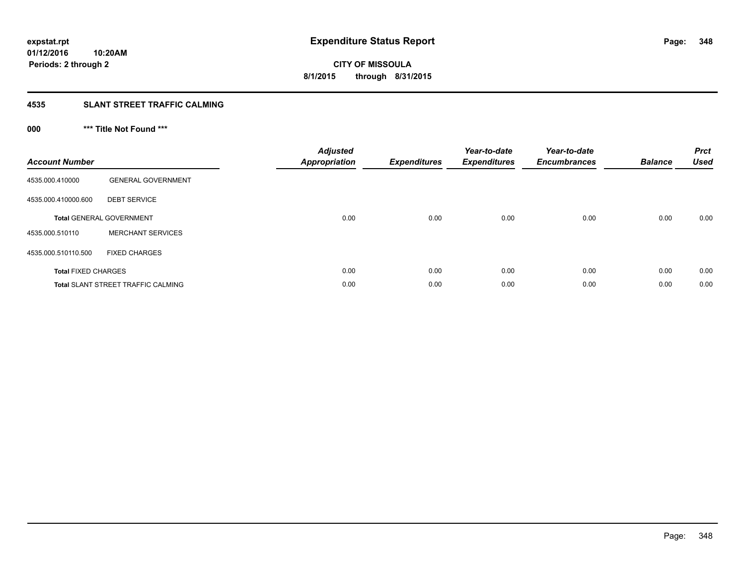## **4535 SLANT STREET TRAFFIC CALMING**

## **000 \*\*\* Title Not Found \*\*\***

| <b>Account Number</b>      |                                           | <b>Adjusted</b><br>Appropriation | <b>Expenditures</b> | Year-to-date<br><b>Expenditures</b> | Year-to-date<br><b>Encumbrances</b> | <b>Balance</b> | <b>Prct</b><br><b>Used</b> |
|----------------------------|-------------------------------------------|----------------------------------|---------------------|-------------------------------------|-------------------------------------|----------------|----------------------------|
| 4535.000.410000            | <b>GENERAL GOVERNMENT</b>                 |                                  |                     |                                     |                                     |                |                            |
| 4535.000.410000.600        | <b>DEBT SERVICE</b>                       |                                  |                     |                                     |                                     |                |                            |
|                            | <b>Total GENERAL GOVERNMENT</b>           | 0.00                             | 0.00                | 0.00                                | 0.00                                | 0.00           | 0.00                       |
| 4535.000.510110            | <b>MERCHANT SERVICES</b>                  |                                  |                     |                                     |                                     |                |                            |
| 4535.000.510110.500        | <b>FIXED CHARGES</b>                      |                                  |                     |                                     |                                     |                |                            |
| <b>Total FIXED CHARGES</b> |                                           | 0.00                             | 0.00                | 0.00                                | 0.00                                | 0.00           | 0.00                       |
|                            | <b>Total SLANT STREET TRAFFIC CALMING</b> | 0.00                             | 0.00                | 0.00                                | 0.00                                | 0.00           | 0.00                       |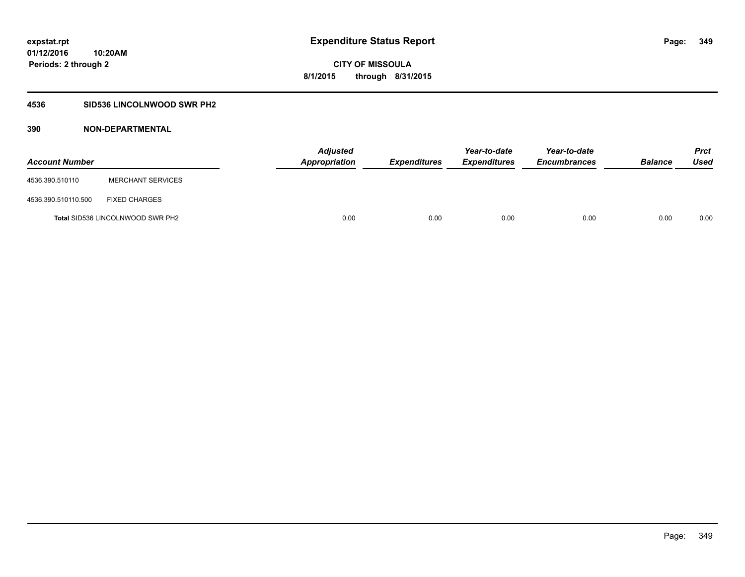## **4536 SID536 LINCOLNWOOD SWR PH2**

| <b>Account Number</b> |                                         | <b>Adjusted</b><br><b>Appropriation</b> | <b>Expenditures</b> | Year-to-date<br><b>Expenditures</b> | Year-to-date<br><b>Encumbrances</b> | <b>Balance</b> | <b>Prct</b><br><b>Used</b> |
|-----------------------|-----------------------------------------|-----------------------------------------|---------------------|-------------------------------------|-------------------------------------|----------------|----------------------------|
| 4536.390.510110       | <b>MERCHANT SERVICES</b>                |                                         |                     |                                     |                                     |                |                            |
| 4536.390.510110.500   | <b>FIXED CHARGES</b>                    |                                         |                     |                                     |                                     |                |                            |
|                       | <b>Total SID536 LINCOLNWOOD SWR PH2</b> | 0.00                                    | 0.00                | 0.00                                | 0.00                                | 0.00           | 0.00                       |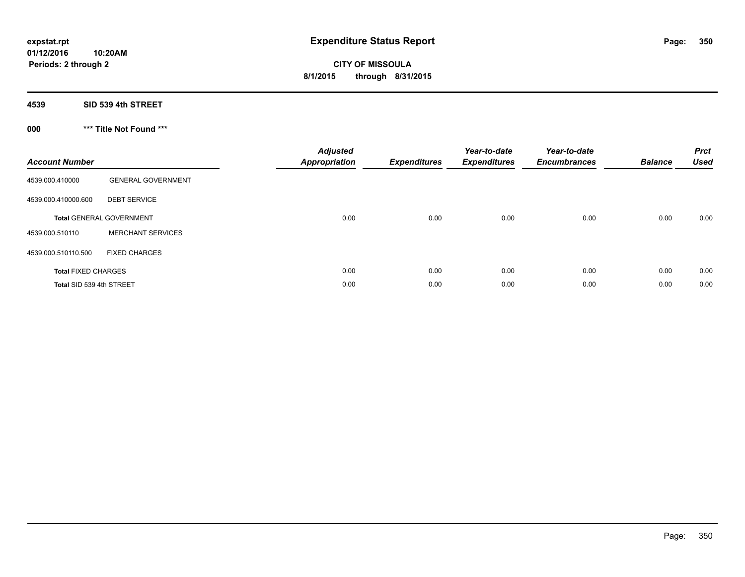## **4539 SID 539 4th STREET**

## **000 \*\*\* Title Not Found \*\*\***

| <b>Account Number</b>      |                                 | <b>Adjusted</b><br>Appropriation | <b>Expenditures</b> | Year-to-date<br><b>Expenditures</b> | Year-to-date<br><b>Encumbrances</b> | <b>Balance</b> | <b>Prct</b><br><b>Used</b> |
|----------------------------|---------------------------------|----------------------------------|---------------------|-------------------------------------|-------------------------------------|----------------|----------------------------|
| 4539.000.410000            | <b>GENERAL GOVERNMENT</b>       |                                  |                     |                                     |                                     |                |                            |
| 4539.000.410000.600        | <b>DEBT SERVICE</b>             |                                  |                     |                                     |                                     |                |                            |
|                            | <b>Total GENERAL GOVERNMENT</b> | 0.00                             | 0.00                | 0.00                                | 0.00                                | 0.00           | 0.00                       |
| 4539.000.510110            | <b>MERCHANT SERVICES</b>        |                                  |                     |                                     |                                     |                |                            |
| 4539.000.510110.500        | <b>FIXED CHARGES</b>            |                                  |                     |                                     |                                     |                |                            |
| <b>Total FIXED CHARGES</b> |                                 | 0.00                             | 0.00                | 0.00                                | 0.00                                | 0.00           | 0.00                       |
| Total SID 539 4th STREET   |                                 | 0.00                             | 0.00                | 0.00                                | 0.00                                | 0.00           | 0.00                       |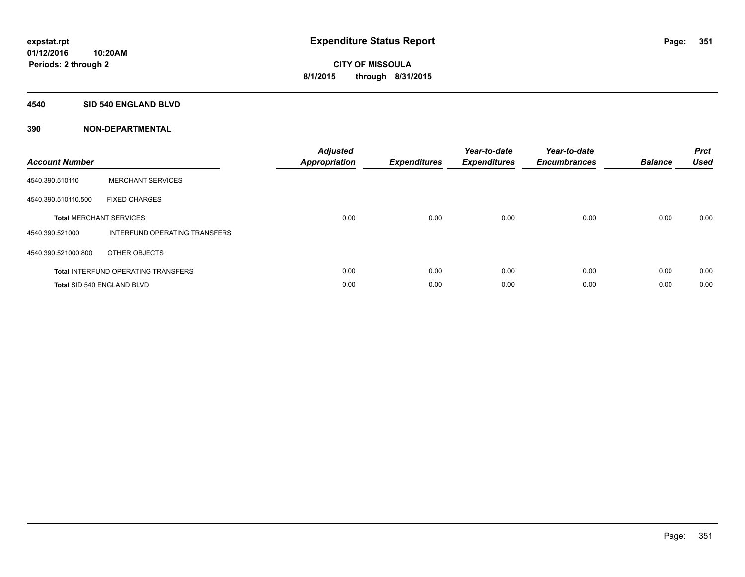## **4540 SID 540 ENGLAND BLVD**

| <b>Account Number</b> |                                            | <b>Adjusted</b><br>Appropriation | <b>Expenditures</b> | Year-to-date<br><b>Expenditures</b> | Year-to-date<br><b>Encumbrances</b> | <b>Balance</b> | <b>Prct</b><br><b>Used</b> |
|-----------------------|--------------------------------------------|----------------------------------|---------------------|-------------------------------------|-------------------------------------|----------------|----------------------------|
| 4540.390.510110       | <b>MERCHANT SERVICES</b>                   |                                  |                     |                                     |                                     |                |                            |
| 4540.390.510110.500   | <b>FIXED CHARGES</b>                       |                                  |                     |                                     |                                     |                |                            |
|                       | <b>Total MERCHANT SERVICES</b>             | 0.00                             | 0.00                | 0.00                                | 0.00                                | 0.00           | 0.00                       |
| 4540.390.521000       | INTERFUND OPERATING TRANSFERS              |                                  |                     |                                     |                                     |                |                            |
| 4540.390.521000.800   | OTHER OBJECTS                              |                                  |                     |                                     |                                     |                |                            |
|                       | <b>Total INTERFUND OPERATING TRANSFERS</b> | 0.00                             | 0.00                | 0.00                                | 0.00                                | 0.00           | 0.00                       |
|                       | Total SID 540 ENGLAND BLVD                 | 0.00                             | 0.00                | 0.00                                | 0.00                                | 0.00           | 0.00                       |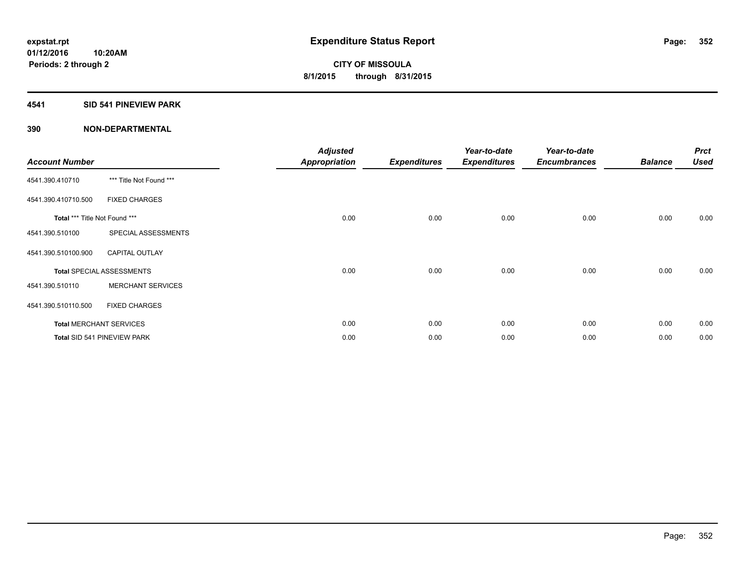## **4541 SID 541 PINEVIEW PARK**

| <b>Account Number</b>         |                                  | <b>Adjusted</b><br><b>Appropriation</b> | <b>Expenditures</b> | Year-to-date<br><b>Expenditures</b> | Year-to-date<br><b>Encumbrances</b> | <b>Balance</b> | <b>Prct</b><br><b>Used</b> |
|-------------------------------|----------------------------------|-----------------------------------------|---------------------|-------------------------------------|-------------------------------------|----------------|----------------------------|
| 4541.390.410710               | *** Title Not Found ***          |                                         |                     |                                     |                                     |                |                            |
| 4541.390.410710.500           | <b>FIXED CHARGES</b>             |                                         |                     |                                     |                                     |                |                            |
| Total *** Title Not Found *** |                                  | 0.00                                    | 0.00                | 0.00                                | 0.00                                | 0.00           | 0.00                       |
| 4541.390.510100               | SPECIAL ASSESSMENTS              |                                         |                     |                                     |                                     |                |                            |
| 4541.390.510100.900           | <b>CAPITAL OUTLAY</b>            |                                         |                     |                                     |                                     |                |                            |
|                               | <b>Total SPECIAL ASSESSMENTS</b> | 0.00                                    | 0.00                | 0.00                                | 0.00                                | 0.00           | 0.00                       |
| 4541.390.510110               | <b>MERCHANT SERVICES</b>         |                                         |                     |                                     |                                     |                |                            |
| 4541.390.510110.500           | <b>FIXED CHARGES</b>             |                                         |                     |                                     |                                     |                |                            |
|                               | <b>Total MERCHANT SERVICES</b>   | 0.00                                    | 0.00                | 0.00                                | 0.00                                | 0.00           | 0.00                       |
|                               | Total SID 541 PINEVIEW PARK      | 0.00                                    | 0.00                | 0.00                                | 0.00                                | 0.00           | 0.00                       |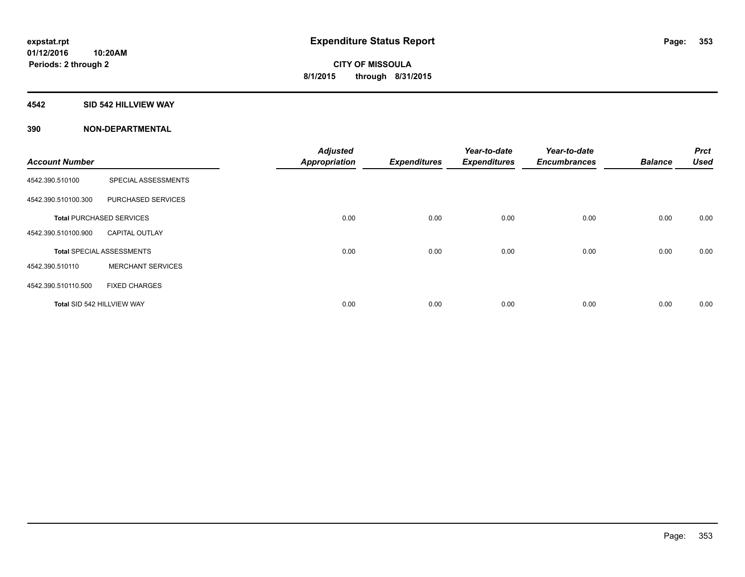## **4542 SID 542 HILLVIEW WAY**

|                            |                                  | <b>Adjusted</b>      |                     | Year-to-date        | Year-to-date        |                | <b>Prct</b> |
|----------------------------|----------------------------------|----------------------|---------------------|---------------------|---------------------|----------------|-------------|
| <b>Account Number</b>      |                                  | <b>Appropriation</b> | <b>Expenditures</b> | <b>Expenditures</b> | <b>Encumbrances</b> | <b>Balance</b> | <b>Used</b> |
| 4542.390.510100            | SPECIAL ASSESSMENTS              |                      |                     |                     |                     |                |             |
| 4542.390.510100.300        | PURCHASED SERVICES               |                      |                     |                     |                     |                |             |
|                            | <b>Total PURCHASED SERVICES</b>  | 0.00                 | 0.00                | 0.00                | 0.00                | 0.00           | 0.00        |
| 4542.390.510100.900        | <b>CAPITAL OUTLAY</b>            |                      |                     |                     |                     |                |             |
|                            | <b>Total SPECIAL ASSESSMENTS</b> | 0.00                 | 0.00                | 0.00                | 0.00                | 0.00           | 0.00        |
| 4542.390.510110            | <b>MERCHANT SERVICES</b>         |                      |                     |                     |                     |                |             |
| 4542.390.510110.500        | <b>FIXED CHARGES</b>             |                      |                     |                     |                     |                |             |
| Total SID 542 HILLVIEW WAY |                                  | 0.00                 | 0.00                | 0.00                | 0.00                | 0.00           | 0.00        |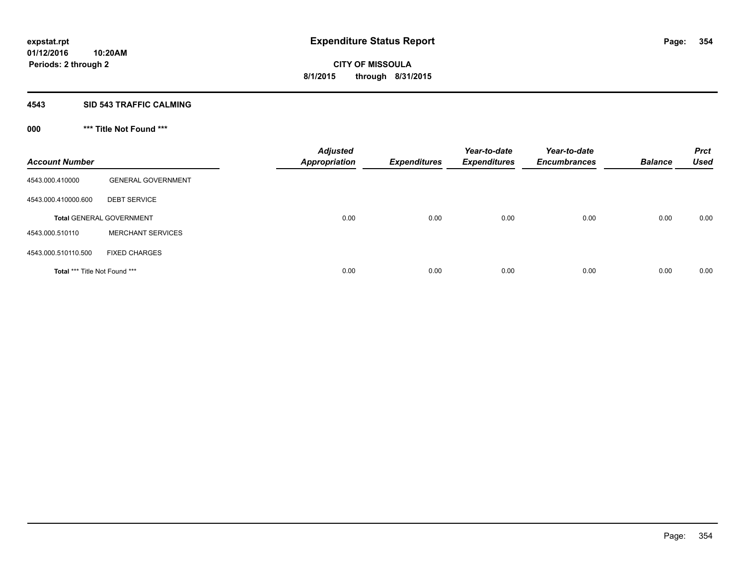## **4543 SID 543 TRAFFIC CALMING**

## **000 \*\*\* Title Not Found \*\*\***

| <b>Account Number</b>         |                                 | <b>Adjusted</b><br><b>Appropriation</b> | <b>Expenditures</b> | Year-to-date<br><b>Expenditures</b> | Year-to-date<br><b>Encumbrances</b> | <b>Balance</b> | <b>Prct</b><br><b>Used</b> |
|-------------------------------|---------------------------------|-----------------------------------------|---------------------|-------------------------------------|-------------------------------------|----------------|----------------------------|
| 4543.000.410000               | <b>GENERAL GOVERNMENT</b>       |                                         |                     |                                     |                                     |                |                            |
| 4543.000.410000.600           | <b>DEBT SERVICE</b>             |                                         |                     |                                     |                                     |                |                            |
|                               | <b>Total GENERAL GOVERNMENT</b> | 0.00                                    | 0.00                | 0.00                                | 0.00                                | 0.00           | 0.00                       |
| 4543.000.510110               | <b>MERCHANT SERVICES</b>        |                                         |                     |                                     |                                     |                |                            |
| 4543.000.510110.500           | <b>FIXED CHARGES</b>            |                                         |                     |                                     |                                     |                |                            |
| Total *** Title Not Found *** |                                 | 0.00                                    | 0.00                | 0.00                                | 0.00                                | 0.00           | 0.00                       |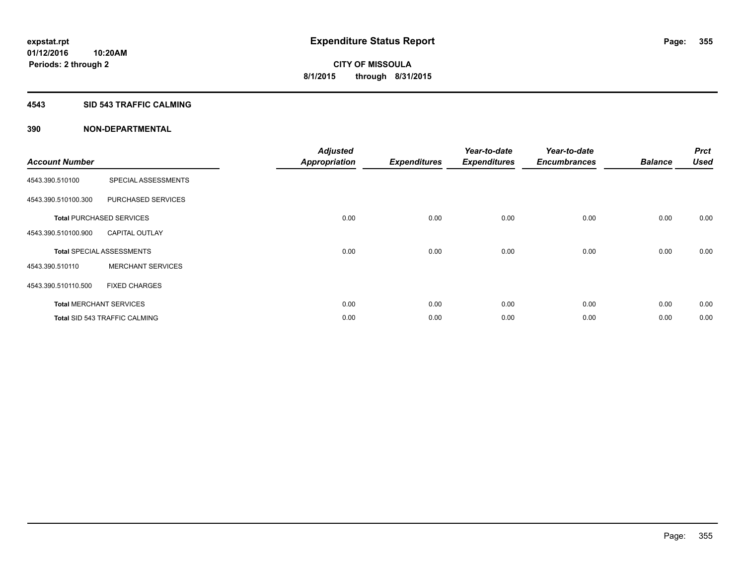#### **4543 SID 543 TRAFFIC CALMING**

|                       |                                      | <b>Adjusted</b>      |                     | Year-to-date        | Year-to-date        |                | <b>Prct</b> |
|-----------------------|--------------------------------------|----------------------|---------------------|---------------------|---------------------|----------------|-------------|
| <b>Account Number</b> |                                      | <b>Appropriation</b> | <b>Expenditures</b> | <b>Expenditures</b> | <b>Encumbrances</b> | <b>Balance</b> | <b>Used</b> |
| 4543.390.510100       | SPECIAL ASSESSMENTS                  |                      |                     |                     |                     |                |             |
| 4543.390.510100.300   | PURCHASED SERVICES                   |                      |                     |                     |                     |                |             |
|                       | <b>Total PURCHASED SERVICES</b>      | 0.00                 | 0.00                | 0.00                | 0.00                | 0.00           | 0.00        |
| 4543.390.510100.900   | <b>CAPITAL OUTLAY</b>                |                      |                     |                     |                     |                |             |
|                       | <b>Total SPECIAL ASSESSMENTS</b>     | 0.00                 | 0.00                | 0.00                | 0.00                | 0.00           | 0.00        |
| 4543.390.510110       | <b>MERCHANT SERVICES</b>             |                      |                     |                     |                     |                |             |
| 4543.390.510110.500   | <b>FIXED CHARGES</b>                 |                      |                     |                     |                     |                |             |
|                       | <b>Total MERCHANT SERVICES</b>       | 0.00                 | 0.00                | 0.00                | 0.00                | 0.00           | 0.00        |
|                       | <b>Total SID 543 TRAFFIC CALMING</b> | 0.00                 | 0.00                | 0.00                | 0.00                | 0.00           | 0.00        |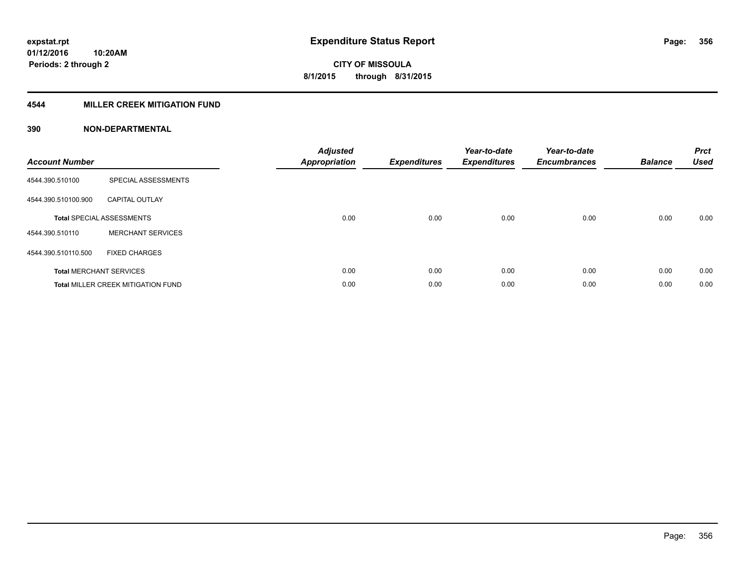## **4544 MILLER CREEK MITIGATION FUND**

| <b>Account Number</b> |                                           | <b>Adjusted</b><br><b>Appropriation</b> | <b>Expenditures</b> | Year-to-date<br><b>Expenditures</b> | Year-to-date<br><b>Encumbrances</b> | <b>Balance</b> | <b>Prct</b><br><b>Used</b> |
|-----------------------|-------------------------------------------|-----------------------------------------|---------------------|-------------------------------------|-------------------------------------|----------------|----------------------------|
| 4544.390.510100       | SPECIAL ASSESSMENTS                       |                                         |                     |                                     |                                     |                |                            |
| 4544.390.510100.900   | <b>CAPITAL OUTLAY</b>                     |                                         |                     |                                     |                                     |                |                            |
|                       | <b>Total SPECIAL ASSESSMENTS</b>          | 0.00                                    | 0.00                | 0.00                                | 0.00                                | 0.00           | 0.00                       |
| 4544.390.510110       | <b>MERCHANT SERVICES</b>                  |                                         |                     |                                     |                                     |                |                            |
| 4544.390.510110.500   | <b>FIXED CHARGES</b>                      |                                         |                     |                                     |                                     |                |                            |
|                       | <b>Total MERCHANT SERVICES</b>            | 0.00                                    | 0.00                | 0.00                                | 0.00                                | 0.00           | 0.00                       |
|                       | <b>Total MILLER CREEK MITIGATION FUND</b> | 0.00                                    | 0.00                | 0.00                                | 0.00                                | 0.00           | 0.00                       |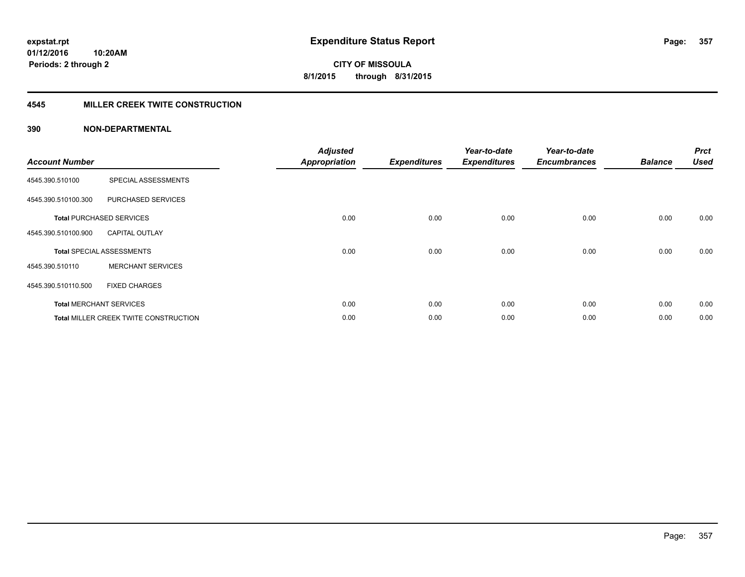## **4545 MILLER CREEK TWITE CONSTRUCTION**

| <b>Account Number</b> |                                              | <b>Adjusted</b><br><b>Appropriation</b> | <b>Expenditures</b> | Year-to-date<br><b>Expenditures</b> | Year-to-date<br><b>Encumbrances</b> | <b>Balance</b> | <b>Prct</b><br><b>Used</b> |
|-----------------------|----------------------------------------------|-----------------------------------------|---------------------|-------------------------------------|-------------------------------------|----------------|----------------------------|
| 4545.390.510100       | SPECIAL ASSESSMENTS                          |                                         |                     |                                     |                                     |                |                            |
| 4545.390.510100.300   | PURCHASED SERVICES                           |                                         |                     |                                     |                                     |                |                            |
|                       | <b>Total PURCHASED SERVICES</b>              | 0.00                                    | 0.00                | 0.00                                | 0.00                                | 0.00           | 0.00                       |
| 4545.390.510100.900   | <b>CAPITAL OUTLAY</b>                        |                                         |                     |                                     |                                     |                |                            |
|                       | <b>Total SPECIAL ASSESSMENTS</b>             | 0.00                                    | 0.00                | 0.00                                | 0.00                                | 0.00           | 0.00                       |
| 4545.390.510110       | <b>MERCHANT SERVICES</b>                     |                                         |                     |                                     |                                     |                |                            |
| 4545.390.510110.500   | <b>FIXED CHARGES</b>                         |                                         |                     |                                     |                                     |                |                            |
|                       | <b>Total MERCHANT SERVICES</b>               | 0.00                                    | 0.00                | 0.00                                | 0.00                                | 0.00           | 0.00                       |
|                       | <b>Total MILLER CREEK TWITE CONSTRUCTION</b> | 0.00                                    | 0.00                | 0.00                                | 0.00                                | 0.00           | 0.00                       |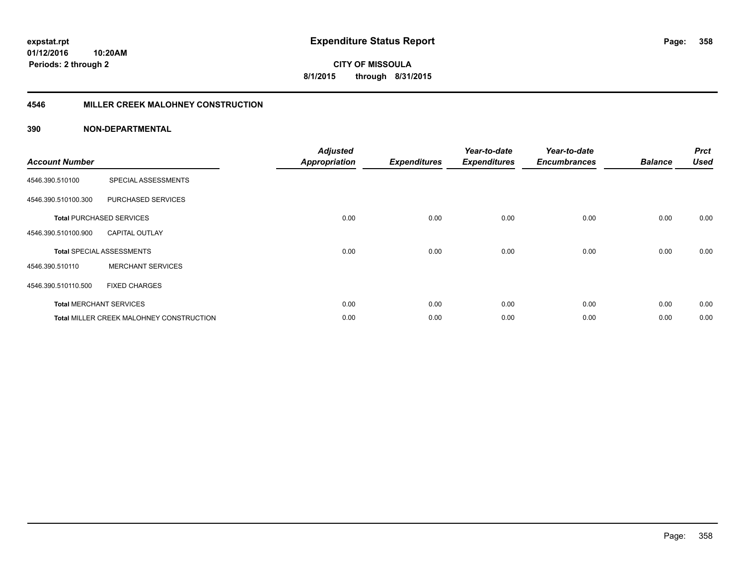**Periods: 2 through 2**

**CITY OF MISSOULA 8/1/2015 through 8/31/2015**

## **4546 MILLER CREEK MALOHNEY CONSTRUCTION**

| <b>Account Number</b> |                                          | <b>Adjusted</b><br><b>Appropriation</b> | <b>Expenditures</b> | Year-to-date<br><b>Expenditures</b> | Year-to-date<br><b>Encumbrances</b> | <b>Balance</b> | <b>Prct</b><br><b>Used</b> |
|-----------------------|------------------------------------------|-----------------------------------------|---------------------|-------------------------------------|-------------------------------------|----------------|----------------------------|
| 4546.390.510100       | SPECIAL ASSESSMENTS                      |                                         |                     |                                     |                                     |                |                            |
| 4546.390.510100.300   | PURCHASED SERVICES                       |                                         |                     |                                     |                                     |                |                            |
|                       | <b>Total PURCHASED SERVICES</b>          | 0.00                                    | 0.00                | 0.00                                | 0.00                                | 0.00           | 0.00                       |
| 4546.390.510100.900   | <b>CAPITAL OUTLAY</b>                    |                                         |                     |                                     |                                     |                |                            |
|                       | <b>Total SPECIAL ASSESSMENTS</b>         | 0.00                                    | 0.00                | 0.00                                | 0.00                                | 0.00           | 0.00                       |
| 4546.390.510110       | <b>MERCHANT SERVICES</b>                 |                                         |                     |                                     |                                     |                |                            |
| 4546.390.510110.500   | <b>FIXED CHARGES</b>                     |                                         |                     |                                     |                                     |                |                            |
|                       | <b>Total MERCHANT SERVICES</b>           | 0.00                                    | 0.00                | 0.00                                | 0.00                                | 0.00           | 0.00                       |
|                       | Total MILLER CREEK MALOHNEY CONSTRUCTION | 0.00                                    | 0.00                | 0.00                                | 0.00                                | 0.00           | 0.00                       |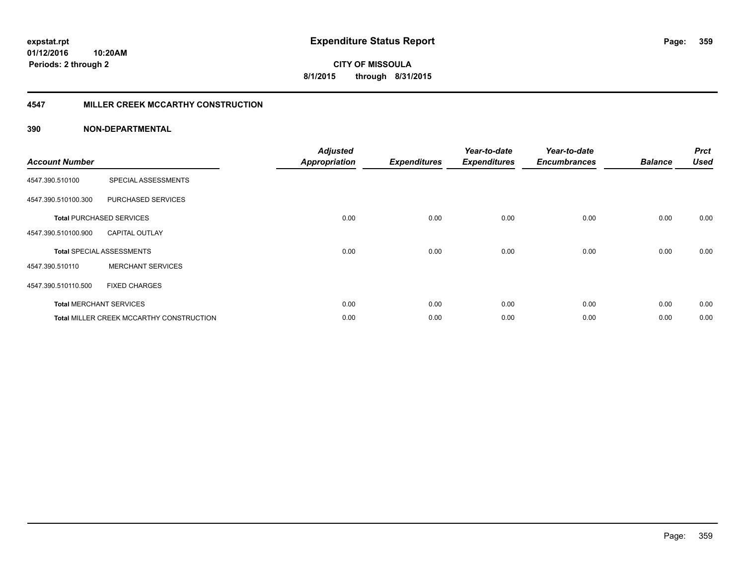## **4547 MILLER CREEK MCCARTHY CONSTRUCTION**

| <b>Account Number</b> |                                                 | <b>Adjusted</b><br><b>Appropriation</b> | <b>Expenditures</b> | Year-to-date<br><b>Expenditures</b> | Year-to-date<br><b>Encumbrances</b> | <b>Balance</b> | <b>Prct</b><br>Used |
|-----------------------|-------------------------------------------------|-----------------------------------------|---------------------|-------------------------------------|-------------------------------------|----------------|---------------------|
| 4547.390.510100       | SPECIAL ASSESSMENTS                             |                                         |                     |                                     |                                     |                |                     |
| 4547.390.510100.300   | PURCHASED SERVICES                              |                                         |                     |                                     |                                     |                |                     |
|                       | <b>Total PURCHASED SERVICES</b>                 | 0.00                                    | 0.00                | 0.00                                | 0.00                                | 0.00           | 0.00                |
| 4547.390.510100.900   | <b>CAPITAL OUTLAY</b>                           |                                         |                     |                                     |                                     |                |                     |
|                       | <b>Total SPECIAL ASSESSMENTS</b>                | 0.00                                    | 0.00                | 0.00                                | 0.00                                | 0.00           | 0.00                |
| 4547.390.510110       | <b>MERCHANT SERVICES</b>                        |                                         |                     |                                     |                                     |                |                     |
| 4547.390.510110.500   | <b>FIXED CHARGES</b>                            |                                         |                     |                                     |                                     |                |                     |
|                       | <b>Total MERCHANT SERVICES</b>                  | 0.00                                    | 0.00                | 0.00                                | 0.00                                | 0.00           | 0.00                |
|                       | <b>Total MILLER CREEK MCCARTHY CONSTRUCTION</b> | 0.00                                    | 0.00                | 0.00                                | 0.00                                | 0.00           | 0.00                |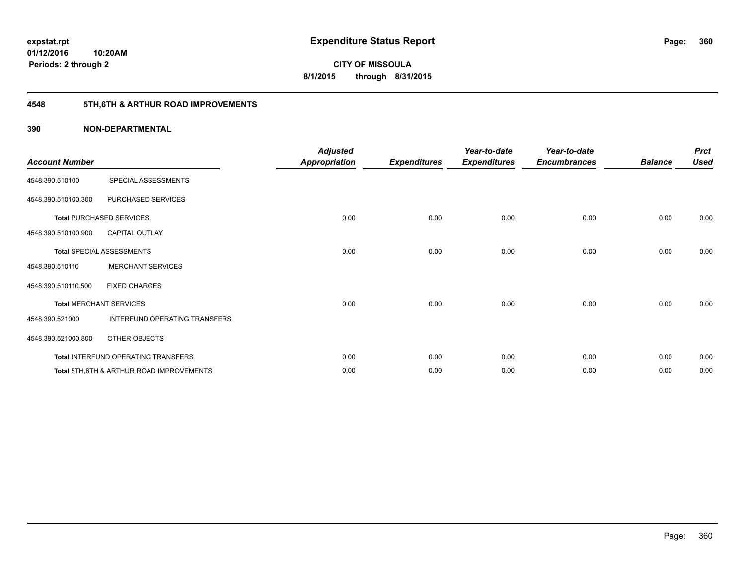## **4548 5TH,6TH & ARTHUR ROAD IMPROVEMENTS**

| <b>Account Number</b> |                                                     | <b>Adjusted</b><br><b>Appropriation</b> | <b>Expenditures</b> | Year-to-date<br><b>Expenditures</b> | Year-to-date<br><b>Encumbrances</b> | <b>Balance</b> | <b>Prct</b><br><b>Used</b> |
|-----------------------|-----------------------------------------------------|-----------------------------------------|---------------------|-------------------------------------|-------------------------------------|----------------|----------------------------|
| 4548.390.510100       | SPECIAL ASSESSMENTS                                 |                                         |                     |                                     |                                     |                |                            |
| 4548.390.510100.300   | PURCHASED SERVICES                                  |                                         |                     |                                     |                                     |                |                            |
|                       | <b>Total PURCHASED SERVICES</b>                     | 0.00                                    | 0.00                | 0.00                                | 0.00                                | 0.00           | 0.00                       |
| 4548.390.510100.900   | <b>CAPITAL OUTLAY</b>                               |                                         |                     |                                     |                                     |                |                            |
|                       | <b>Total SPECIAL ASSESSMENTS</b>                    | 0.00                                    | 0.00                | 0.00                                | 0.00                                | 0.00           | 0.00                       |
| 4548.390.510110       | <b>MERCHANT SERVICES</b>                            |                                         |                     |                                     |                                     |                |                            |
| 4548.390.510110.500   | <b>FIXED CHARGES</b>                                |                                         |                     |                                     |                                     |                |                            |
|                       | <b>Total MERCHANT SERVICES</b>                      | 0.00                                    | 0.00                | 0.00                                | 0.00                                | 0.00           | 0.00                       |
| 4548.390.521000       | INTERFUND OPERATING TRANSFERS                       |                                         |                     |                                     |                                     |                |                            |
| 4548.390.521000.800   | OTHER OBJECTS                                       |                                         |                     |                                     |                                     |                |                            |
|                       | Total INTERFUND OPERATING TRANSFERS                 | 0.00                                    | 0.00                | 0.00                                | 0.00                                | 0.00           | 0.00                       |
|                       | <b>Total 5TH.6TH &amp; ARTHUR ROAD IMPROVEMENTS</b> | 0.00                                    | 0.00                | 0.00                                | 0.00                                | 0.00           | 0.00                       |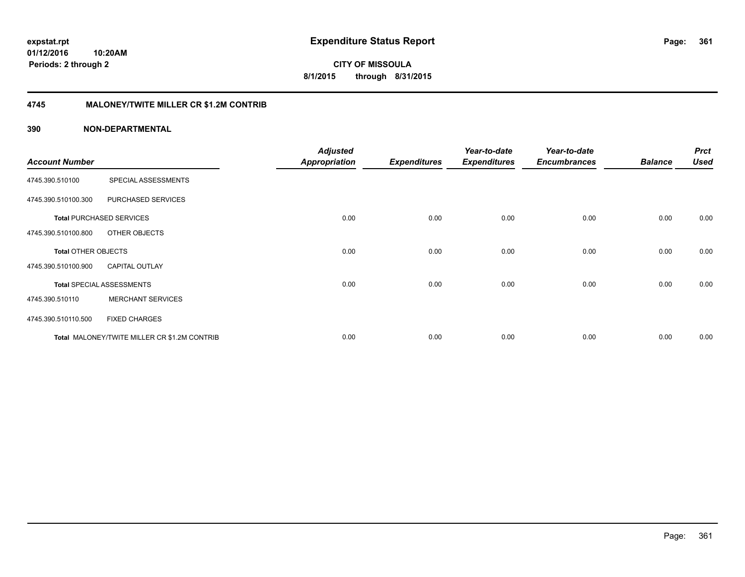**361**

**01/12/2016 10:20AM Periods: 2 through 2**

**CITY OF MISSOULA 8/1/2015 through 8/31/2015**

## **4745 MALONEY/TWITE MILLER CR \$1.2M CONTRIB**

|                            |                                              | <b>Adjusted</b>      |                     | Year-to-date        | Year-to-date        |                | <b>Prct</b> |
|----------------------------|----------------------------------------------|----------------------|---------------------|---------------------|---------------------|----------------|-------------|
| <b>Account Number</b>      |                                              | <b>Appropriation</b> | <b>Expenditures</b> | <b>Expenditures</b> | <b>Encumbrances</b> | <b>Balance</b> | <b>Used</b> |
| 4745.390.510100            | SPECIAL ASSESSMENTS                          |                      |                     |                     |                     |                |             |
| 4745.390.510100.300        | PURCHASED SERVICES                           |                      |                     |                     |                     |                |             |
|                            | <b>Total PURCHASED SERVICES</b>              | 0.00                 | 0.00                | 0.00                | 0.00                | 0.00           | 0.00        |
| 4745.390.510100.800        | OTHER OBJECTS                                |                      |                     |                     |                     |                |             |
| <b>Total OTHER OBJECTS</b> |                                              | 0.00                 | 0.00                | 0.00                | 0.00                | 0.00           | 0.00        |
| 4745.390.510100.900        | <b>CAPITAL OUTLAY</b>                        |                      |                     |                     |                     |                |             |
|                            | <b>Total SPECIAL ASSESSMENTS</b>             | 0.00                 | 0.00                | 0.00                | 0.00                | 0.00           | 0.00        |
| 4745.390.510110            | <b>MERCHANT SERVICES</b>                     |                      |                     |                     |                     |                |             |
| 4745.390.510110.500        | <b>FIXED CHARGES</b>                         |                      |                     |                     |                     |                |             |
|                            | Total MALONEY/TWITE MILLER CR \$1.2M CONTRIB | 0.00                 | 0.00                | 0.00                | 0.00                | 0.00           | 0.00        |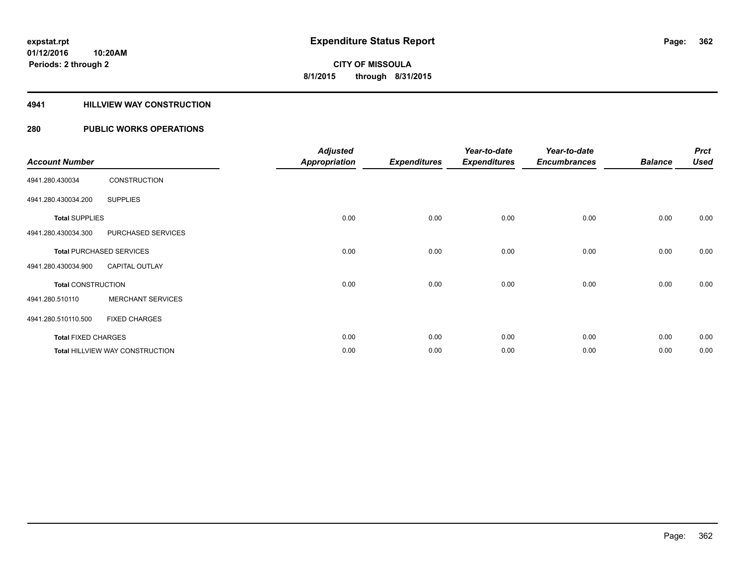## **4941 HILLVIEW WAY CONSTRUCTION**

## **280 PUBLIC WORKS OPERATIONS**

|                            |                                        | <b>Adjusted</b> |                     | Year-to-date        | Year-to-date        |                | <b>Prct</b> |
|----------------------------|----------------------------------------|-----------------|---------------------|---------------------|---------------------|----------------|-------------|
| <b>Account Number</b>      |                                        | Appropriation   | <b>Expenditures</b> | <b>Expenditures</b> | <b>Encumbrances</b> | <b>Balance</b> | <b>Used</b> |
| 4941.280.430034            | <b>CONSTRUCTION</b>                    |                 |                     |                     |                     |                |             |
| 4941.280.430034.200        | <b>SUPPLIES</b>                        |                 |                     |                     |                     |                |             |
| <b>Total SUPPLIES</b>      |                                        | 0.00            | 0.00                | 0.00                | 0.00                | 0.00           | 0.00        |
| 4941.280.430034.300        | PURCHASED SERVICES                     |                 |                     |                     |                     |                |             |
|                            | <b>Total PURCHASED SERVICES</b>        | 0.00            | 0.00                | 0.00                | 0.00                | 0.00           | 0.00        |
| 4941.280.430034.900        | <b>CAPITAL OUTLAY</b>                  |                 |                     |                     |                     |                |             |
| <b>Total CONSTRUCTION</b>  |                                        | 0.00            | 0.00                | 0.00                | 0.00                | 0.00           | 0.00        |
| 4941.280.510110            | <b>MERCHANT SERVICES</b>               |                 |                     |                     |                     |                |             |
| 4941.280.510110.500        | <b>FIXED CHARGES</b>                   |                 |                     |                     |                     |                |             |
| <b>Total FIXED CHARGES</b> |                                        | 0.00            | 0.00                | 0.00                | 0.00                | 0.00           | 0.00        |
|                            | <b>Total HILLVIEW WAY CONSTRUCTION</b> | 0.00            | 0.00                | 0.00                | 0.00                | 0.00           | 0.00        |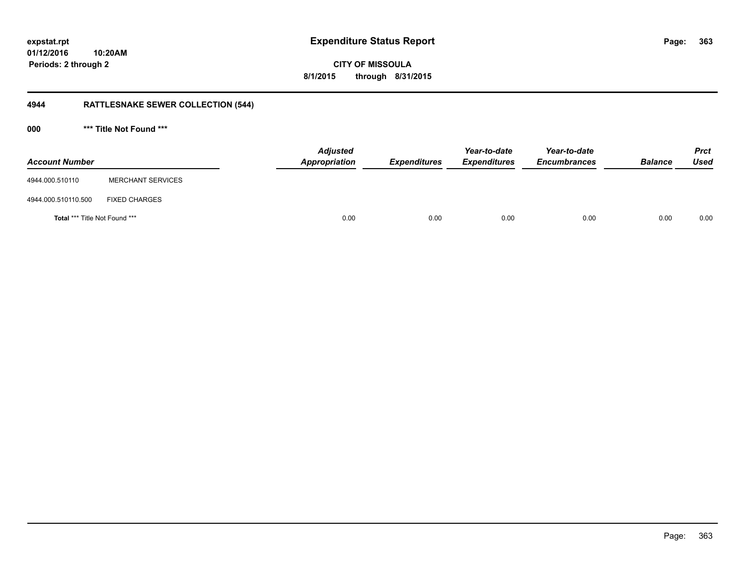**01/12/2016 10:20AM Periods: 2 through 2**

**363**

**CITY OF MISSOULA 8/1/2015 through 8/31/2015**

## **4944 RATTLESNAKE SEWER COLLECTION (544)**

**000 \*\*\* Title Not Found \*\*\***

| <b>Account Number</b>         |                          | <b>Adjusted</b><br>Appropriation | <b>Expenditures</b> | Year-to-date<br><b>Expenditures</b> | Year-to-date<br><b>Encumbrances</b> | <b>Balance</b> | <b>Prct</b><br><b>Used</b> |
|-------------------------------|--------------------------|----------------------------------|---------------------|-------------------------------------|-------------------------------------|----------------|----------------------------|
| 4944.000.510110               | <b>MERCHANT SERVICES</b> |                                  |                     |                                     |                                     |                |                            |
| 4944.000.510110.500           | <b>FIXED CHARGES</b>     |                                  |                     |                                     |                                     |                |                            |
| Total *** Title Not Found *** |                          | 0.00                             | 0.00                | 0.00                                | 0.00                                | 0.00           | 0.00                       |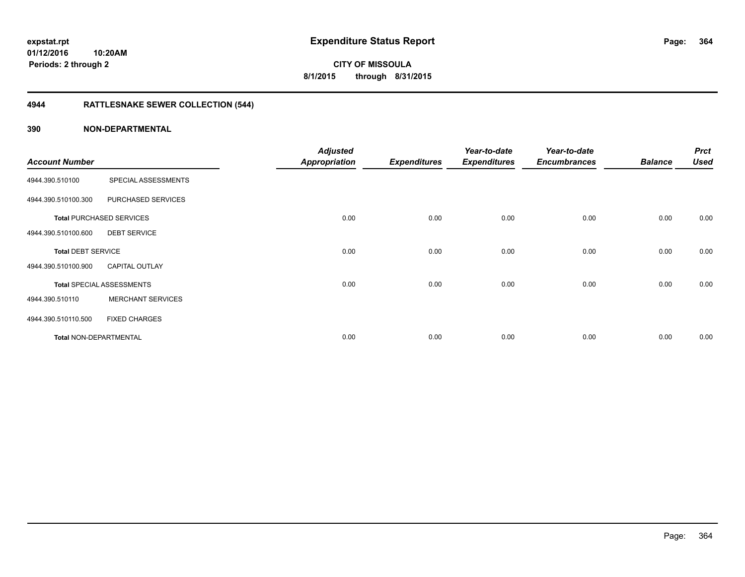## **4944 RATTLESNAKE SEWER COLLECTION (544)**

|                               |                                  | <b>Adjusted</b>      |                     | Year-to-date        | Year-to-date        |                | <b>Prct</b> |
|-------------------------------|----------------------------------|----------------------|---------------------|---------------------|---------------------|----------------|-------------|
| <b>Account Number</b>         |                                  | <b>Appropriation</b> | <b>Expenditures</b> | <b>Expenditures</b> | <b>Encumbrances</b> | <b>Balance</b> | <b>Used</b> |
| 4944.390.510100               | SPECIAL ASSESSMENTS              |                      |                     |                     |                     |                |             |
| 4944.390.510100.300           | PURCHASED SERVICES               |                      |                     |                     |                     |                |             |
|                               | <b>Total PURCHASED SERVICES</b>  | 0.00                 | 0.00                | 0.00                | 0.00                | 0.00           | 0.00        |
| 4944.390.510100.600           | <b>DEBT SERVICE</b>              |                      |                     |                     |                     |                |             |
| <b>Total DEBT SERVICE</b>     |                                  | 0.00                 | 0.00                | 0.00                | 0.00                | 0.00           | 0.00        |
| 4944.390.510100.900           | <b>CAPITAL OUTLAY</b>            |                      |                     |                     |                     |                |             |
|                               | <b>Total SPECIAL ASSESSMENTS</b> | 0.00                 | 0.00                | 0.00                | 0.00                | 0.00           | 0.00        |
| 4944.390.510110               | <b>MERCHANT SERVICES</b>         |                      |                     |                     |                     |                |             |
| 4944.390.510110.500           | <b>FIXED CHARGES</b>             |                      |                     |                     |                     |                |             |
| <b>Total NON-DEPARTMENTAL</b> |                                  | 0.00                 | 0.00                | 0.00                | 0.00                | 0.00           | 0.00        |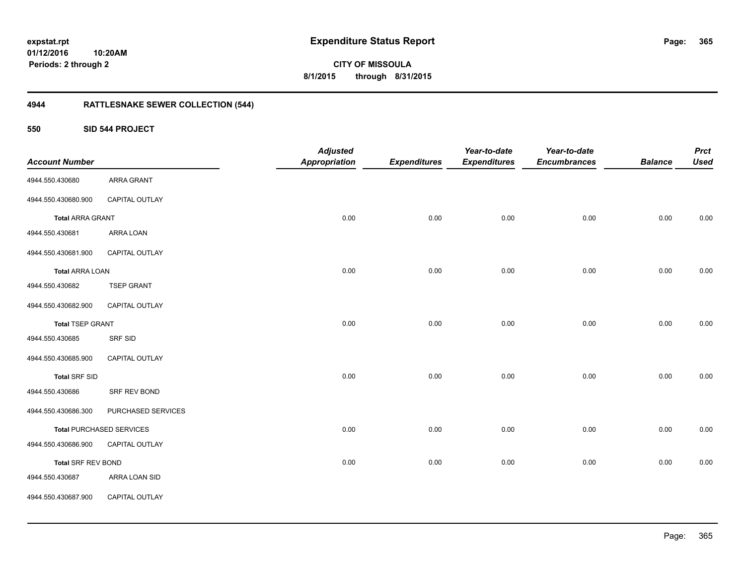**01/12/2016 10:20AM Periods: 2 through 2**

**CITY OF MISSOULA 8/1/2015 through 8/31/2015**

## **4944 RATTLESNAKE SEWER COLLECTION (544)**

**550 SID 544 PROJECT**

| <b>Account Number</b>     |                                 | <b>Adjusted</b><br><b>Appropriation</b> | <b>Expenditures</b> | Year-to-date<br><b>Expenditures</b> | Year-to-date<br><b>Encumbrances</b> | <b>Balance</b> | <b>Prct</b><br><b>Used</b> |
|---------------------------|---------------------------------|-----------------------------------------|---------------------|-------------------------------------|-------------------------------------|----------------|----------------------------|
| 4944.550.430680           | ARRA GRANT                      |                                         |                     |                                     |                                     |                |                            |
| 4944.550.430680.900       | CAPITAL OUTLAY                  |                                         |                     |                                     |                                     |                |                            |
| <b>Total ARRA GRANT</b>   |                                 | 0.00                                    | 0.00                | 0.00                                | 0.00                                | 0.00           | 0.00                       |
| 4944.550.430681           | ARRA LOAN                       |                                         |                     |                                     |                                     |                |                            |
| 4944.550.430681.900       | CAPITAL OUTLAY                  |                                         |                     |                                     |                                     |                |                            |
| <b>Total ARRA LOAN</b>    |                                 | 0.00                                    | 0.00                | 0.00                                | 0.00                                | 0.00           | 0.00                       |
| 4944.550.430682           | <b>TSEP GRANT</b>               |                                         |                     |                                     |                                     |                |                            |
| 4944.550.430682.900       | CAPITAL OUTLAY                  |                                         |                     |                                     |                                     |                |                            |
| <b>Total TSEP GRANT</b>   |                                 | 0.00                                    | 0.00                | 0.00                                | 0.00                                | 0.00           | 0.00                       |
| 4944.550.430685           | SRF SID                         |                                         |                     |                                     |                                     |                |                            |
| 4944.550.430685.900       | CAPITAL OUTLAY                  |                                         |                     |                                     |                                     |                |                            |
| <b>Total SRF SID</b>      |                                 | 0.00                                    | 0.00                | 0.00                                | 0.00                                | 0.00           | 0.00                       |
| 4944.550.430686           | SRF REV BOND                    |                                         |                     |                                     |                                     |                |                            |
| 4944.550.430686.300       | PURCHASED SERVICES              |                                         |                     |                                     |                                     |                |                            |
|                           | <b>Total PURCHASED SERVICES</b> | 0.00                                    | 0.00                | 0.00                                | 0.00                                | 0.00           | 0.00                       |
| 4944.550.430686.900       | CAPITAL OUTLAY                  |                                         |                     |                                     |                                     |                |                            |
| <b>Total SRF REV BOND</b> |                                 | 0.00                                    | 0.00                | 0.00                                | 0.00                                | 0.00           | 0.00                       |
| 4944.550.430687           | ARRA LOAN SID                   |                                         |                     |                                     |                                     |                |                            |
| 4944.550.430687.900       | CAPITAL OUTLAY                  |                                         |                     |                                     |                                     |                |                            |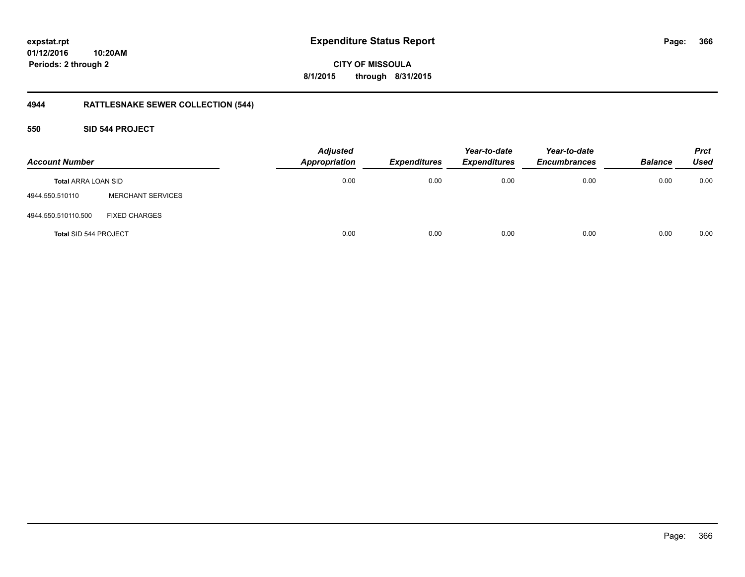**366**

**01/12/2016 10:20AM Periods: 2 through 2**

**CITY OF MISSOULA 8/1/2015 through 8/31/2015**

## **4944 RATTLESNAKE SEWER COLLECTION (544)**

**550 SID 544 PROJECT**

| <b>Account Number</b>      |                          | <b>Adjusted</b><br><b>Appropriation</b> | <b>Expenditures</b> | Year-to-date<br><b>Expenditures</b> | Year-to-date<br><b>Encumbrances</b> | <b>Balance</b> | <b>Prct</b><br><b>Used</b> |
|----------------------------|--------------------------|-----------------------------------------|---------------------|-------------------------------------|-------------------------------------|----------------|----------------------------|
| <b>Total ARRA LOAN SID</b> |                          | 0.00                                    | 0.00                | 0.00                                | 0.00                                | 0.00           | 0.00                       |
| 4944.550.510110            | <b>MERCHANT SERVICES</b> |                                         |                     |                                     |                                     |                |                            |
| 4944.550.510110.500        | <b>FIXED CHARGES</b>     |                                         |                     |                                     |                                     |                |                            |
| Total SID 544 PROJECT      |                          | 0.00                                    | 0.00                | 0.00                                | 0.00                                | 0.00           | 0.00                       |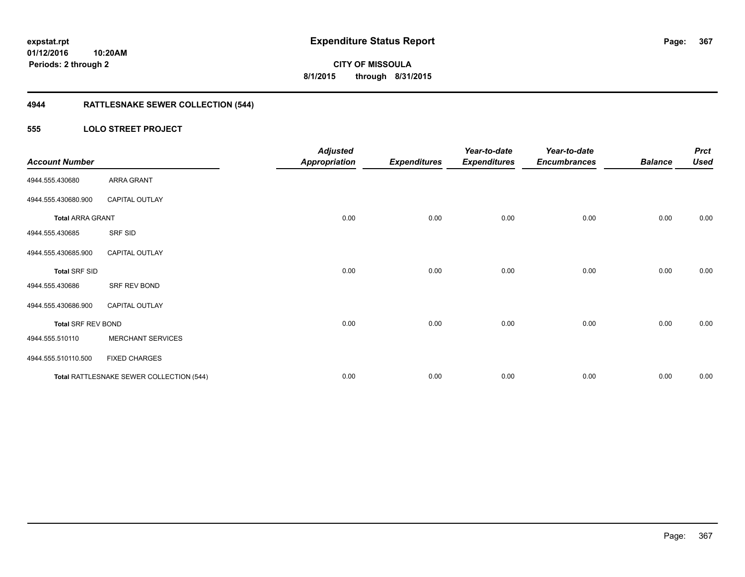**Periods: 2 through 2**

**CITY OF MISSOULA 8/1/2015 through 8/31/2015**

## **4944 RATTLESNAKE SEWER COLLECTION (544)**

## **555 LOLO STREET PROJECT**

| <b>Account Number</b>     |                                          | <b>Adjusted</b><br><b>Appropriation</b> | <b>Expenditures</b> | Year-to-date<br><b>Expenditures</b> | Year-to-date<br><b>Encumbrances</b> | <b>Balance</b> | <b>Prct</b><br><b>Used</b> |
|---------------------------|------------------------------------------|-----------------------------------------|---------------------|-------------------------------------|-------------------------------------|----------------|----------------------------|
| 4944.555.430680           | ARRA GRANT                               |                                         |                     |                                     |                                     |                |                            |
| 4944.555.430680.900       | <b>CAPITAL OUTLAY</b>                    |                                         |                     |                                     |                                     |                |                            |
| <b>Total ARRA GRANT</b>   |                                          | 0.00                                    | 0.00                | 0.00                                | 0.00                                | 0.00           | 0.00                       |
| 4944.555.430685           | SRF SID                                  |                                         |                     |                                     |                                     |                |                            |
| 4944.555.430685.900       | <b>CAPITAL OUTLAY</b>                    |                                         |                     |                                     |                                     |                |                            |
| <b>Total SRF SID</b>      |                                          | 0.00                                    | 0.00                | 0.00                                | 0.00                                | 0.00           | 0.00                       |
| 4944.555.430686           | SRF REV BOND                             |                                         |                     |                                     |                                     |                |                            |
| 4944.555.430686.900       | <b>CAPITAL OUTLAY</b>                    |                                         |                     |                                     |                                     |                |                            |
| <b>Total SRF REV BOND</b> |                                          | 0.00                                    | 0.00                | 0.00                                | 0.00                                | 0.00           | 0.00                       |
| 4944.555.510110           | <b>MERCHANT SERVICES</b>                 |                                         |                     |                                     |                                     |                |                            |
| 4944.555.510110.500       | <b>FIXED CHARGES</b>                     |                                         |                     |                                     |                                     |                |                            |
|                           | Total RATTLESNAKE SEWER COLLECTION (544) | 0.00                                    | 0.00                | 0.00                                | 0.00                                | 0.00           | 0.00                       |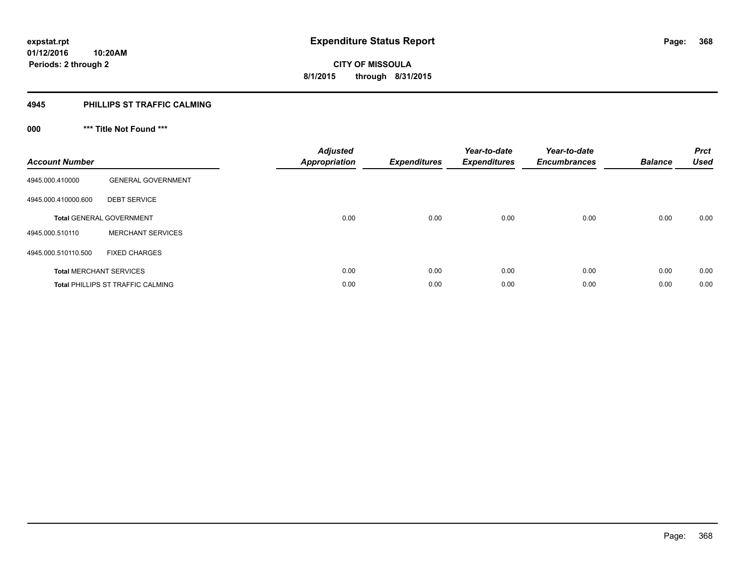## **4945 PHILLIPS ST TRAFFIC CALMING**

## **000 \*\*\* Title Not Found \*\*\***

| <b>Account Number</b> |                                          | <b>Adjusted</b><br><b>Appropriation</b> | <b>Expenditures</b> | Year-to-date<br><b>Expenditures</b> | Year-to-date<br><b>Encumbrances</b> | <b>Balance</b> | <b>Prct</b><br><b>Used</b> |
|-----------------------|------------------------------------------|-----------------------------------------|---------------------|-------------------------------------|-------------------------------------|----------------|----------------------------|
| 4945.000.410000       | <b>GENERAL GOVERNMENT</b>                |                                         |                     |                                     |                                     |                |                            |
| 4945.000.410000.600   | <b>DEBT SERVICE</b>                      |                                         |                     |                                     |                                     |                |                            |
|                       | <b>Total GENERAL GOVERNMENT</b>          | 0.00                                    | 0.00                | 0.00                                | 0.00                                | 0.00           | 0.00                       |
| 4945.000.510110       | <b>MERCHANT SERVICES</b>                 |                                         |                     |                                     |                                     |                |                            |
| 4945.000.510110.500   | <b>FIXED CHARGES</b>                     |                                         |                     |                                     |                                     |                |                            |
|                       | <b>Total MERCHANT SERVICES</b>           | 0.00                                    | 0.00                | 0.00                                | 0.00                                | 0.00           | 0.00                       |
|                       | <b>Total PHILLIPS ST TRAFFIC CALMING</b> | 0.00                                    | 0.00                | 0.00                                | 0.00                                | 0.00           | 0.00                       |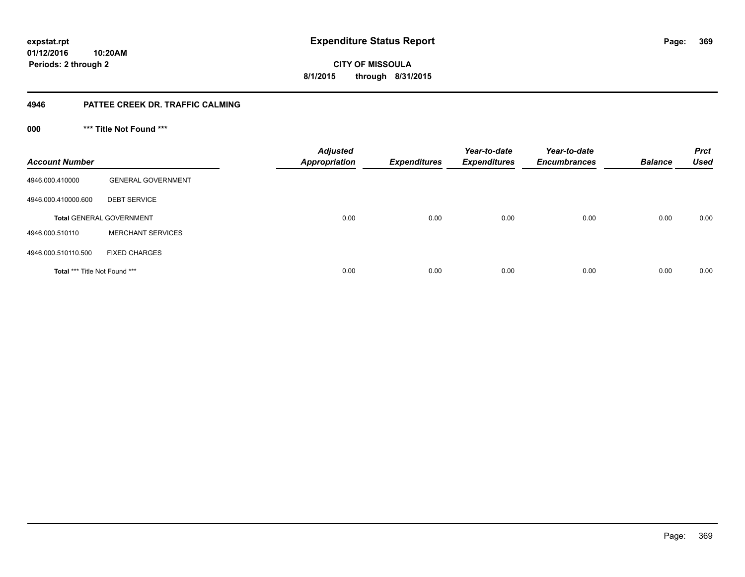## **01/12/2016 10:20AM Periods: 2 through 2**

**369**

**CITY OF MISSOULA 8/1/2015 through 8/31/2015**

## **4946 PATTEE CREEK DR. TRAFFIC CALMING**

**000 \*\*\* Title Not Found \*\*\***

| <b>Account Number</b>         |                                 | <b>Adjusted</b><br><b>Appropriation</b> | <b>Expenditures</b> | Year-to-date<br><b>Expenditures</b> | Year-to-date<br><b>Encumbrances</b> | <b>Balance</b> | <b>Prct</b><br><b>Used</b> |
|-------------------------------|---------------------------------|-----------------------------------------|---------------------|-------------------------------------|-------------------------------------|----------------|----------------------------|
| 4946.000.410000               | <b>GENERAL GOVERNMENT</b>       |                                         |                     |                                     |                                     |                |                            |
| 4946.000.410000.600           | <b>DEBT SERVICE</b>             |                                         |                     |                                     |                                     |                |                            |
|                               | <b>Total GENERAL GOVERNMENT</b> | 0.00                                    | 0.00                | 0.00                                | 0.00                                | 0.00           | 0.00                       |
| 4946.000.510110               | <b>MERCHANT SERVICES</b>        |                                         |                     |                                     |                                     |                |                            |
| 4946.000.510110.500           | <b>FIXED CHARGES</b>            |                                         |                     |                                     |                                     |                |                            |
| Total *** Title Not Found *** |                                 | 0.00                                    | 0.00                | 0.00                                | 0.00                                | 0.00           | 0.00                       |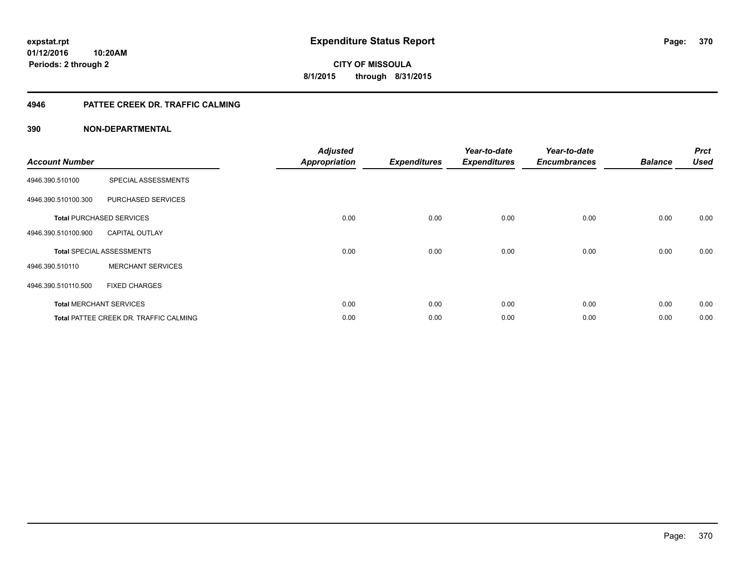## **4946 PATTEE CREEK DR. TRAFFIC CALMING**

| <b>Account Number</b> |                                               | <b>Adjusted</b><br><b>Appropriation</b> | <b>Expenditures</b> | Year-to-date<br><b>Expenditures</b> | Year-to-date<br><b>Encumbrances</b> | <b>Balance</b> | <b>Prct</b><br><b>Used</b> |
|-----------------------|-----------------------------------------------|-----------------------------------------|---------------------|-------------------------------------|-------------------------------------|----------------|----------------------------|
| 4946.390.510100       | SPECIAL ASSESSMENTS                           |                                         |                     |                                     |                                     |                |                            |
| 4946.390.510100.300   | PURCHASED SERVICES                            |                                         |                     |                                     |                                     |                |                            |
|                       | <b>Total PURCHASED SERVICES</b>               | 0.00                                    | 0.00                | 0.00                                | 0.00                                | 0.00           | 0.00                       |
| 4946.390.510100.900   | <b>CAPITAL OUTLAY</b>                         |                                         |                     |                                     |                                     |                |                            |
|                       | <b>Total SPECIAL ASSESSMENTS</b>              | 0.00                                    | 0.00                | 0.00                                | 0.00                                | 0.00           | 0.00                       |
| 4946.390.510110       | <b>MERCHANT SERVICES</b>                      |                                         |                     |                                     |                                     |                |                            |
| 4946.390.510110.500   | <b>FIXED CHARGES</b>                          |                                         |                     |                                     |                                     |                |                            |
|                       | <b>Total MERCHANT SERVICES</b>                | 0.00                                    | 0.00                | 0.00                                | 0.00                                | 0.00           | 0.00                       |
|                       | <b>Total PATTEE CREEK DR. TRAFFIC CALMING</b> | 0.00                                    | 0.00                | 0.00                                | 0.00                                | 0.00           | 0.00                       |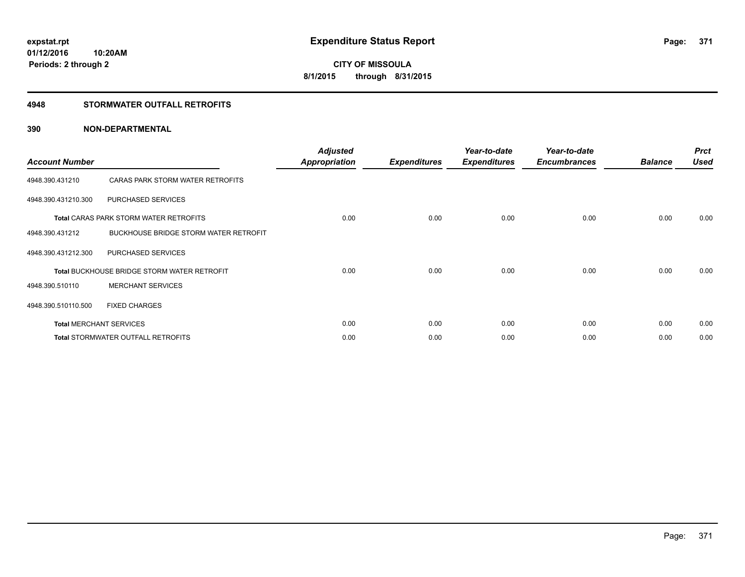## **4948 STORMWATER OUTFALL RETROFITS**

| <b>Account Number</b> |                                                    | <b>Adjusted</b><br><b>Appropriation</b> | <b>Expenditures</b> | Year-to-date<br><b>Expenditures</b> | Year-to-date<br><b>Encumbrances</b> | <b>Balance</b> | <b>Prct</b><br><b>Used</b> |
|-----------------------|----------------------------------------------------|-----------------------------------------|---------------------|-------------------------------------|-------------------------------------|----------------|----------------------------|
| 4948.390.431210       | CARAS PARK STORM WATER RETROFITS                   |                                         |                     |                                     |                                     |                |                            |
| 4948.390.431210.300   | PURCHASED SERVICES                                 |                                         |                     |                                     |                                     |                |                            |
|                       | <b>Total CARAS PARK STORM WATER RETROFITS</b>      | 0.00                                    | 0.00                | 0.00                                | 0.00                                | 0.00           | 0.00                       |
| 4948.390.431212       | BUCKHOUSE BRIDGE STORM WATER RETROFIT              |                                         |                     |                                     |                                     |                |                            |
| 4948.390.431212.300   | PURCHASED SERVICES                                 |                                         |                     |                                     |                                     |                |                            |
|                       | <b>Total BUCKHOUSE BRIDGE STORM WATER RETROFIT</b> | 0.00                                    | 0.00                | 0.00                                | 0.00                                | 0.00           | 0.00                       |
| 4948.390.510110       | <b>MERCHANT SERVICES</b>                           |                                         |                     |                                     |                                     |                |                            |
| 4948.390.510110.500   | <b>FIXED CHARGES</b>                               |                                         |                     |                                     |                                     |                |                            |
|                       | <b>Total MERCHANT SERVICES</b>                     | 0.00                                    | 0.00                | 0.00                                | 0.00                                | 0.00           | 0.00                       |
|                       | <b>Total STORMWATER OUTFALL RETROFITS</b>          | 0.00                                    | 0.00                | 0.00                                | 0.00                                | 0.00           | 0.00                       |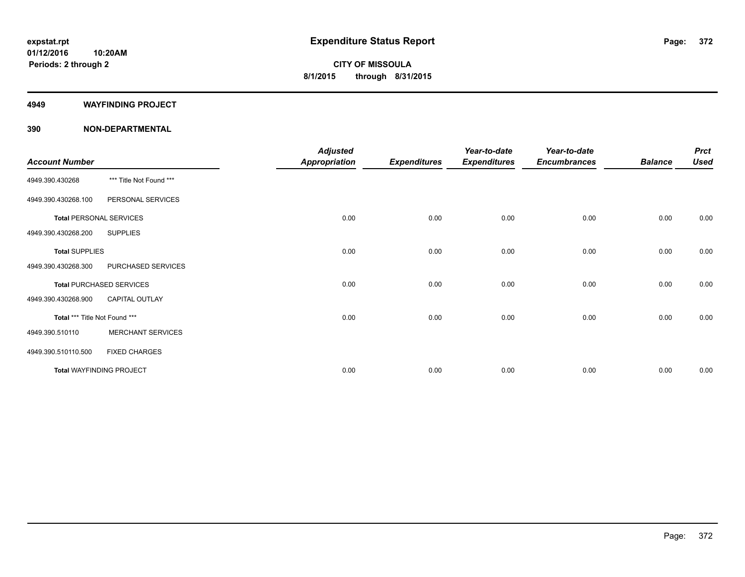#### **4949 WAYFINDING PROJECT**

| <b>Account Number</b>         |                                 | <b>Adjusted</b><br><b>Appropriation</b> | <b>Expenditures</b> | Year-to-date<br><b>Expenditures</b> | Year-to-date<br><b>Encumbrances</b> | <b>Balance</b> | <b>Prct</b><br><b>Used</b> |
|-------------------------------|---------------------------------|-----------------------------------------|---------------------|-------------------------------------|-------------------------------------|----------------|----------------------------|
| 4949.390.430268               | *** Title Not Found ***         |                                         |                     |                                     |                                     |                |                            |
| 4949.390.430268.100           | PERSONAL SERVICES               |                                         |                     |                                     |                                     |                |                            |
|                               | <b>Total PERSONAL SERVICES</b>  | 0.00                                    | 0.00                | 0.00                                | 0.00                                | 0.00           | 0.00                       |
| 4949.390.430268.200           | <b>SUPPLIES</b>                 |                                         |                     |                                     |                                     |                |                            |
| <b>Total SUPPLIES</b>         |                                 | 0.00                                    | 0.00                | 0.00                                | 0.00                                | 0.00           | 0.00                       |
| 4949.390.430268.300           | PURCHASED SERVICES              |                                         |                     |                                     |                                     |                |                            |
|                               | <b>Total PURCHASED SERVICES</b> | 0.00                                    | 0.00                | 0.00                                | 0.00                                | 0.00           | 0.00                       |
| 4949.390.430268.900           | <b>CAPITAL OUTLAY</b>           |                                         |                     |                                     |                                     |                |                            |
| Total *** Title Not Found *** |                                 | 0.00                                    | 0.00                | 0.00                                | 0.00                                | 0.00           | 0.00                       |
| 4949.390.510110               | <b>MERCHANT SERVICES</b>        |                                         |                     |                                     |                                     |                |                            |
| 4949.390.510110.500           | <b>FIXED CHARGES</b>            |                                         |                     |                                     |                                     |                |                            |
|                               | <b>Total WAYFINDING PROJECT</b> | 0.00                                    | 0.00                | 0.00                                | 0.00                                | 0.00           | 0.00                       |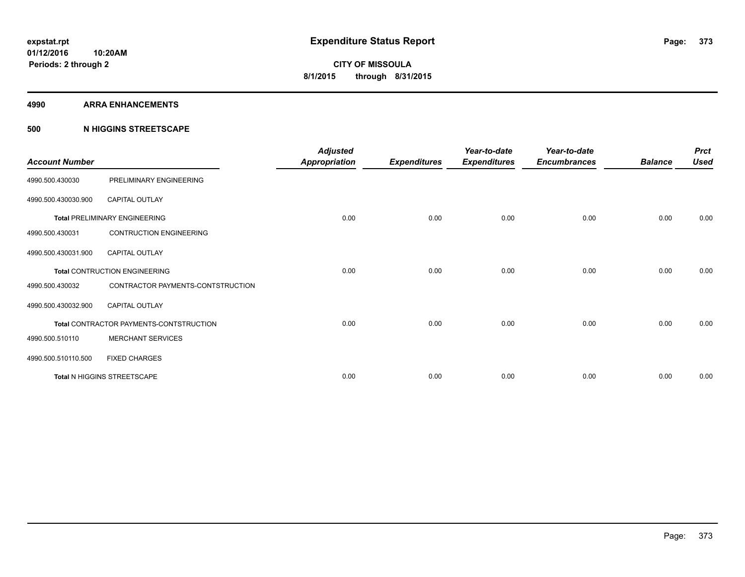#### **4990 ARRA ENHANCEMENTS**

## **500 N HIGGINS STREETSCAPE**

| <b>Account Number</b> |                                         | <b>Adjusted</b><br><b>Appropriation</b> | <b>Expenditures</b> | Year-to-date<br><b>Expenditures</b> | Year-to-date<br><b>Encumbrances</b> | <b>Balance</b> | <b>Prct</b><br><b>Used</b> |
|-----------------------|-----------------------------------------|-----------------------------------------|---------------------|-------------------------------------|-------------------------------------|----------------|----------------------------|
| 4990.500.430030       | PRELIMINARY ENGINEERING                 |                                         |                     |                                     |                                     |                |                            |
| 4990.500.430030.900   | <b>CAPITAL OUTLAY</b>                   |                                         |                     |                                     |                                     |                |                            |
|                       | <b>Total PRELIMINARY ENGINEERING</b>    | 0.00                                    | 0.00                | 0.00                                | 0.00                                | 0.00           | 0.00                       |
| 4990.500.430031       | <b>CONTRUCTION ENGINEERING</b>          |                                         |                     |                                     |                                     |                |                            |
| 4990.500.430031.900   | <b>CAPITAL OUTLAY</b>                   |                                         |                     |                                     |                                     |                |                            |
|                       | <b>Total CONTRUCTION ENGINEERING</b>    | 0.00                                    | 0.00                | 0.00                                | 0.00                                | 0.00           | 0.00                       |
| 4990.500.430032       | CONTRACTOR PAYMENTS-CONTSTRUCTION       |                                         |                     |                                     |                                     |                |                            |
| 4990.500.430032.900   | <b>CAPITAL OUTLAY</b>                   |                                         |                     |                                     |                                     |                |                            |
|                       | Total CONTRACTOR PAYMENTS-CONTSTRUCTION | 0.00                                    | 0.00                | 0.00                                | 0.00                                | 0.00           | 0.00                       |
| 4990.500.510110       | <b>MERCHANT SERVICES</b>                |                                         |                     |                                     |                                     |                |                            |
| 4990.500.510110.500   | <b>FIXED CHARGES</b>                    |                                         |                     |                                     |                                     |                |                            |
|                       | Total N HIGGINS STREETSCAPE             | 0.00                                    | 0.00                | 0.00                                | 0.00                                | 0.00           | 0.00                       |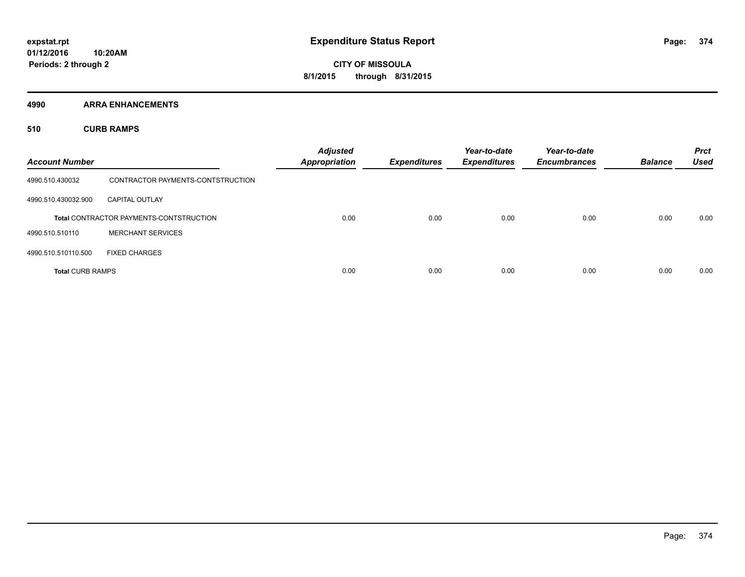**4990 ARRA ENHANCEMENTS**

**510 CURB RAMPS**

| <b>Account Number</b>   |                                                | <b>Adjusted</b><br><b>Appropriation</b> | <b>Expenditures</b> | Year-to-date<br><b>Expenditures</b> | Year-to-date<br><b>Encumbrances</b> | <b>Balance</b> | <b>Prct</b><br><b>Used</b> |
|-------------------------|------------------------------------------------|-----------------------------------------|---------------------|-------------------------------------|-------------------------------------|----------------|----------------------------|
| 4990.510.430032         | CONTRACTOR PAYMENTS-CONTSTRUCTION              |                                         |                     |                                     |                                     |                |                            |
| 4990.510.430032.900     | <b>CAPITAL OUTLAY</b>                          |                                         |                     |                                     |                                     |                |                            |
|                         | <b>Total CONTRACTOR PAYMENTS-CONTSTRUCTION</b> | 0.00                                    | 0.00                | 0.00                                | 0.00                                | 0.00           | 0.00                       |
| 4990.510.510110         | <b>MERCHANT SERVICES</b>                       |                                         |                     |                                     |                                     |                |                            |
| 4990.510.510110.500     | <b>FIXED CHARGES</b>                           |                                         |                     |                                     |                                     |                |                            |
| <b>Total CURB RAMPS</b> |                                                | 0.00                                    | 0.00                | 0.00                                | 0.00                                | 0.00           | 0.00                       |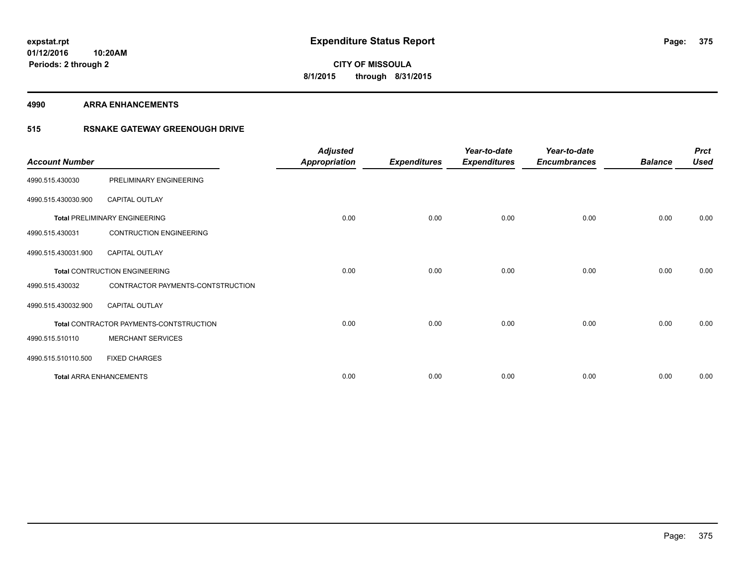**4990 ARRA ENHANCEMENTS**

## **515 RSNAKE GATEWAY GREENOUGH DRIVE**

| <b>Account Number</b> |                                         | <b>Adjusted</b><br>Appropriation | <b>Expenditures</b> | Year-to-date<br><b>Expenditures</b> | Year-to-date<br><b>Encumbrances</b> | <b>Balance</b> | <b>Prct</b><br><b>Used</b> |
|-----------------------|-----------------------------------------|----------------------------------|---------------------|-------------------------------------|-------------------------------------|----------------|----------------------------|
| 4990.515.430030       | PRELIMINARY ENGINEERING                 |                                  |                     |                                     |                                     |                |                            |
| 4990.515.430030.900   | CAPITAL OUTLAY                          |                                  |                     |                                     |                                     |                |                            |
|                       | <b>Total PRELIMINARY ENGINEERING</b>    | 0.00                             | 0.00                | 0.00                                | 0.00                                | 0.00           | 0.00                       |
| 4990.515.430031       | <b>CONTRUCTION ENGINEERING</b>          |                                  |                     |                                     |                                     |                |                            |
| 4990.515.430031.900   | <b>CAPITAL OUTLAY</b>                   |                                  |                     |                                     |                                     |                |                            |
|                       | <b>Total CONTRUCTION ENGINEERING</b>    | 0.00                             | 0.00                | 0.00                                | 0.00                                | 0.00           | 0.00                       |
| 4990.515.430032       | CONTRACTOR PAYMENTS-CONTSTRUCTION       |                                  |                     |                                     |                                     |                |                            |
| 4990.515.430032.900   | <b>CAPITAL OUTLAY</b>                   |                                  |                     |                                     |                                     |                |                            |
|                       | Total CONTRACTOR PAYMENTS-CONTSTRUCTION | 0.00                             | 0.00                | 0.00                                | 0.00                                | 0.00           | 0.00                       |
| 4990.515.510110       | <b>MERCHANT SERVICES</b>                |                                  |                     |                                     |                                     |                |                            |
| 4990.515.510110.500   | <b>FIXED CHARGES</b>                    |                                  |                     |                                     |                                     |                |                            |
|                       | <b>Total ARRA ENHANCEMENTS</b>          | 0.00                             | 0.00                | 0.00                                | 0.00                                | 0.00           | 0.00                       |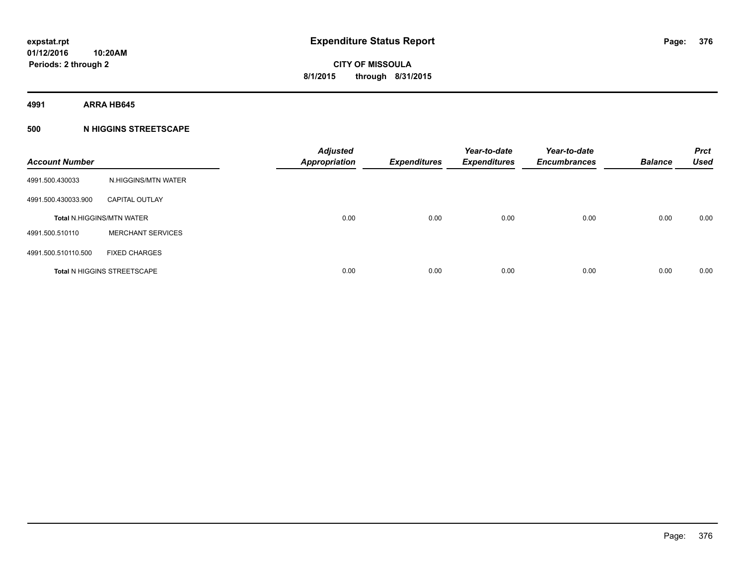**4991 ARRA HB645**

## **500 N HIGGINS STREETSCAPE**

| <b>Account Number</b> |                                    | <b>Adjusted</b><br><b>Appropriation</b> | <b>Expenditures</b> | Year-to-date<br><b>Expenditures</b> | Year-to-date<br><b>Encumbrances</b> | <b>Balance</b> | <b>Prct</b><br><b>Used</b> |
|-----------------------|------------------------------------|-----------------------------------------|---------------------|-------------------------------------|-------------------------------------|----------------|----------------------------|
| 4991.500.430033       | N.HIGGINS/MTN WATER                |                                         |                     |                                     |                                     |                |                            |
| 4991.500.430033.900   | <b>CAPITAL OUTLAY</b>              |                                         |                     |                                     |                                     |                |                            |
|                       | <b>Total N.HIGGINS/MTN WATER</b>   | 0.00                                    | 0.00                | 0.00                                | 0.00                                | 0.00           | 0.00                       |
| 4991.500.510110       | <b>MERCHANT SERVICES</b>           |                                         |                     |                                     |                                     |                |                            |
| 4991.500.510110.500   | <b>FIXED CHARGES</b>               |                                         |                     |                                     |                                     |                |                            |
|                       | <b>Total N HIGGINS STREETSCAPE</b> | 0.00                                    | 0.00                | 0.00                                | 0.00                                | 0.00           | 0.00                       |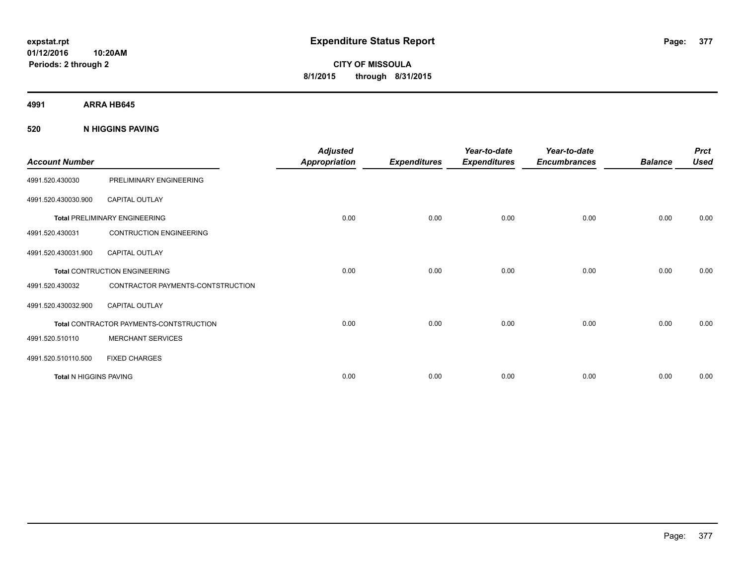**4991 ARRA HB645**

## **520 N HIGGINS PAVING**

| <b>Account Number</b>  |                                                | <b>Adjusted</b><br><b>Appropriation</b> | <b>Expenditures</b> | Year-to-date<br><b>Expenditures</b> | Year-to-date<br><b>Encumbrances</b> | <b>Balance</b> | <b>Prct</b><br><b>Used</b> |
|------------------------|------------------------------------------------|-----------------------------------------|---------------------|-------------------------------------|-------------------------------------|----------------|----------------------------|
| 4991.520.430030        | PRELIMINARY ENGINEERING                        |                                         |                     |                                     |                                     |                |                            |
| 4991.520.430030.900    | <b>CAPITAL OUTLAY</b>                          |                                         |                     |                                     |                                     |                |                            |
|                        | <b>Total PRELIMINARY ENGINEERING</b>           | 0.00                                    | 0.00                | 0.00                                | 0.00                                | 0.00           | 0.00                       |
| 4991.520.430031        | <b>CONTRUCTION ENGINEERING</b>                 |                                         |                     |                                     |                                     |                |                            |
| 4991.520.430031.900    | <b>CAPITAL OUTLAY</b>                          |                                         |                     |                                     |                                     |                |                            |
|                        | <b>Total CONTRUCTION ENGINEERING</b>           | 0.00                                    | 0.00                | 0.00                                | 0.00                                | 0.00           | 0.00                       |
| 4991.520.430032        | CONTRACTOR PAYMENTS-CONTSTRUCTION              |                                         |                     |                                     |                                     |                |                            |
| 4991.520.430032.900    | <b>CAPITAL OUTLAY</b>                          |                                         |                     |                                     |                                     |                |                            |
|                        | <b>Total CONTRACTOR PAYMENTS-CONTSTRUCTION</b> | 0.00                                    | 0.00                | 0.00                                | 0.00                                | 0.00           | 0.00                       |
| 4991.520.510110        | <b>MERCHANT SERVICES</b>                       |                                         |                     |                                     |                                     |                |                            |
| 4991.520.510110.500    | <b>FIXED CHARGES</b>                           |                                         |                     |                                     |                                     |                |                            |
| Total N HIGGINS PAVING |                                                | 0.00                                    | 0.00                | 0.00                                | 0.00                                | 0.00           | 0.00                       |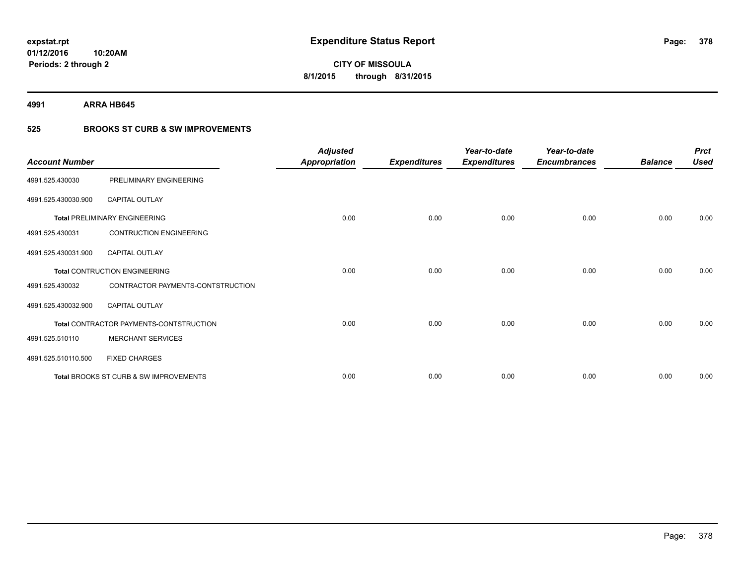**4991 ARRA HB645**

## **525 BROOKS ST CURB & SW IMPROVEMENTS**

| <b>Account Number</b> |                                         | <b>Adjusted</b><br><b>Appropriation</b> | <b>Expenditures</b> | Year-to-date<br><b>Expenditures</b> | Year-to-date<br><b>Encumbrances</b> | <b>Balance</b> | <b>Prct</b><br><b>Used</b> |
|-----------------------|-----------------------------------------|-----------------------------------------|---------------------|-------------------------------------|-------------------------------------|----------------|----------------------------|
| 4991.525.430030       | PRELIMINARY ENGINEERING                 |                                         |                     |                                     |                                     |                |                            |
| 4991.525.430030.900   | <b>CAPITAL OUTLAY</b>                   |                                         |                     |                                     |                                     |                |                            |
|                       | <b>Total PRELIMINARY ENGINEERING</b>    | 0.00                                    | 0.00                | 0.00                                | 0.00                                | 0.00           | 0.00                       |
| 4991.525.430031       | <b>CONTRUCTION ENGINEERING</b>          |                                         |                     |                                     |                                     |                |                            |
| 4991.525.430031.900   | <b>CAPITAL OUTLAY</b>                   |                                         |                     |                                     |                                     |                |                            |
|                       | <b>Total CONTRUCTION ENGINEERING</b>    | 0.00                                    | 0.00                | 0.00                                | 0.00                                | 0.00           | 0.00                       |
| 4991.525.430032       | CONTRACTOR PAYMENTS-CONTSTRUCTION       |                                         |                     |                                     |                                     |                |                            |
| 4991.525.430032.900   | <b>CAPITAL OUTLAY</b>                   |                                         |                     |                                     |                                     |                |                            |
|                       | Total CONTRACTOR PAYMENTS-CONTSTRUCTION | 0.00                                    | 0.00                | 0.00                                | 0.00                                | 0.00           | 0.00                       |
| 4991.525.510110       | <b>MERCHANT SERVICES</b>                |                                         |                     |                                     |                                     |                |                            |
| 4991.525.510110.500   | <b>FIXED CHARGES</b>                    |                                         |                     |                                     |                                     |                |                            |
|                       | Total BROOKS ST CURB & SW IMPROVEMENTS  | 0.00                                    | 0.00                | 0.00                                | 0.00                                | 0.00           | 0.00                       |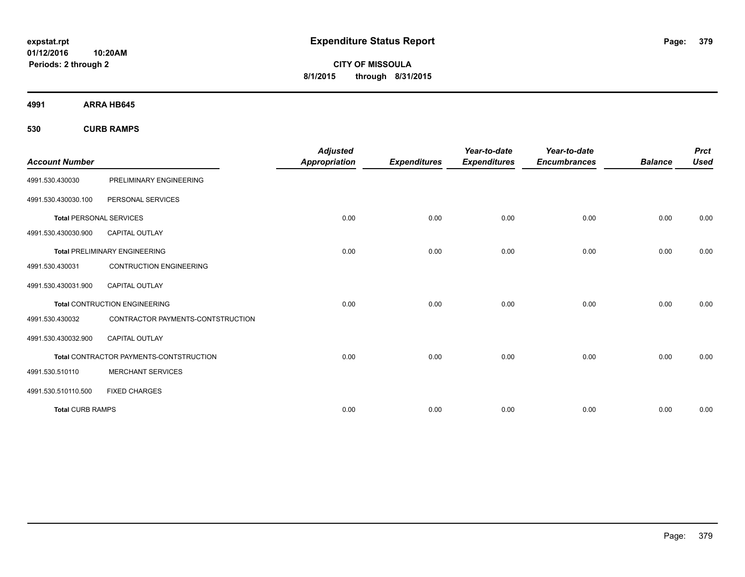**01/12/2016 10:20AM Periods: 2 through 2**

**CITY OF MISSOULA 8/1/2015 through 8/31/2015**

**4991 ARRA HB645**

**530 CURB RAMPS**

|                                |                                         | <b>Adjusted</b>      |                     | Year-to-date        | Year-to-date        |                | <b>Prct</b> |
|--------------------------------|-----------------------------------------|----------------------|---------------------|---------------------|---------------------|----------------|-------------|
| <b>Account Number</b>          |                                         | <b>Appropriation</b> | <b>Expenditures</b> | <b>Expenditures</b> | <b>Encumbrances</b> | <b>Balance</b> | <b>Used</b> |
| 4991.530.430030                | PRELIMINARY ENGINEERING                 |                      |                     |                     |                     |                |             |
| 4991.530.430030.100            | PERSONAL SERVICES                       |                      |                     |                     |                     |                |             |
| <b>Total PERSONAL SERVICES</b> |                                         | 0.00                 | 0.00                | 0.00                | 0.00                | 0.00           | 0.00        |
| 4991.530.430030.900            | <b>CAPITAL OUTLAY</b>                   |                      |                     |                     |                     |                |             |
|                                | <b>Total PRELIMINARY ENGINEERING</b>    | 0.00                 | 0.00                | 0.00                | 0.00                | 0.00           | 0.00        |
| 4991.530.430031                | <b>CONTRUCTION ENGINEERING</b>          |                      |                     |                     |                     |                |             |
| 4991.530.430031.900            | CAPITAL OUTLAY                          |                      |                     |                     |                     |                |             |
|                                | <b>Total CONTRUCTION ENGINEERING</b>    | 0.00                 | 0.00                | 0.00                | 0.00                | 0.00           | 0.00        |
| 4991.530.430032                | CONTRACTOR PAYMENTS-CONTSTRUCTION       |                      |                     |                     |                     |                |             |
| 4991.530.430032.900            | <b>CAPITAL OUTLAY</b>                   |                      |                     |                     |                     |                |             |
|                                | Total CONTRACTOR PAYMENTS-CONTSTRUCTION | 0.00                 | 0.00                | 0.00                | 0.00                | 0.00           | 0.00        |
| 4991.530.510110                | <b>MERCHANT SERVICES</b>                |                      |                     |                     |                     |                |             |
| 4991.530.510110.500            | <b>FIXED CHARGES</b>                    |                      |                     |                     |                     |                |             |
| <b>Total CURB RAMPS</b>        |                                         | 0.00                 | 0.00                | 0.00                | 0.00                | 0.00           | 0.00        |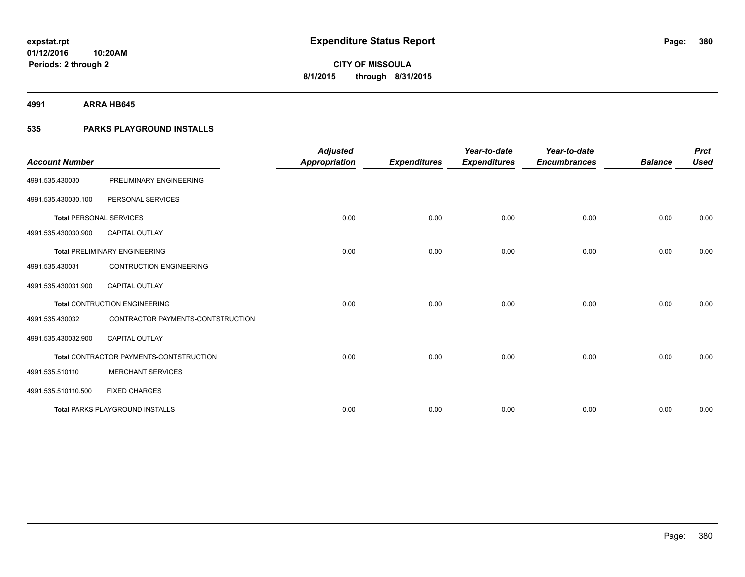**4991 ARRA HB645**

## **535 PARKS PLAYGROUND INSTALLS**

| <b>Account Number</b>          |                                         | <b>Adjusted</b><br><b>Appropriation</b> | <b>Expenditures</b> | Year-to-date<br><b>Expenditures</b> | Year-to-date<br><b>Encumbrances</b> | <b>Balance</b> | <b>Prct</b><br><b>Used</b> |
|--------------------------------|-----------------------------------------|-----------------------------------------|---------------------|-------------------------------------|-------------------------------------|----------------|----------------------------|
| 4991.535.430030                | PRELIMINARY ENGINEERING                 |                                         |                     |                                     |                                     |                |                            |
| 4991.535.430030.100            | PERSONAL SERVICES                       |                                         |                     |                                     |                                     |                |                            |
| <b>Total PERSONAL SERVICES</b> |                                         | 0.00                                    | 0.00                | 0.00                                | 0.00                                | 0.00           | 0.00                       |
| 4991.535.430030.900            | <b>CAPITAL OUTLAY</b>                   |                                         |                     |                                     |                                     |                |                            |
|                                | <b>Total PRELIMINARY ENGINEERING</b>    | 0.00                                    | 0.00                | 0.00                                | 0.00                                | 0.00           | 0.00                       |
| 4991.535.430031                | <b>CONTRUCTION ENGINEERING</b>          |                                         |                     |                                     |                                     |                |                            |
| 4991.535.430031.900            | <b>CAPITAL OUTLAY</b>                   |                                         |                     |                                     |                                     |                |                            |
|                                | <b>Total CONTRUCTION ENGINEERING</b>    | 0.00                                    | 0.00                | 0.00                                | 0.00                                | 0.00           | 0.00                       |
| 4991.535.430032                | CONTRACTOR PAYMENTS-CONTSTRUCTION       |                                         |                     |                                     |                                     |                |                            |
| 4991.535.430032.900            | <b>CAPITAL OUTLAY</b>                   |                                         |                     |                                     |                                     |                |                            |
|                                | Total CONTRACTOR PAYMENTS-CONTSTRUCTION | 0.00                                    | 0.00                | 0.00                                | 0.00                                | 0.00           | 0.00                       |
| 4991.535.510110                | <b>MERCHANT SERVICES</b>                |                                         |                     |                                     |                                     |                |                            |
| 4991.535.510110.500            | <b>FIXED CHARGES</b>                    |                                         |                     |                                     |                                     |                |                            |
|                                | <b>Total PARKS PLAYGROUND INSTALLS</b>  | 0.00                                    | 0.00                | 0.00                                | 0.00                                | 0.00           | 0.00                       |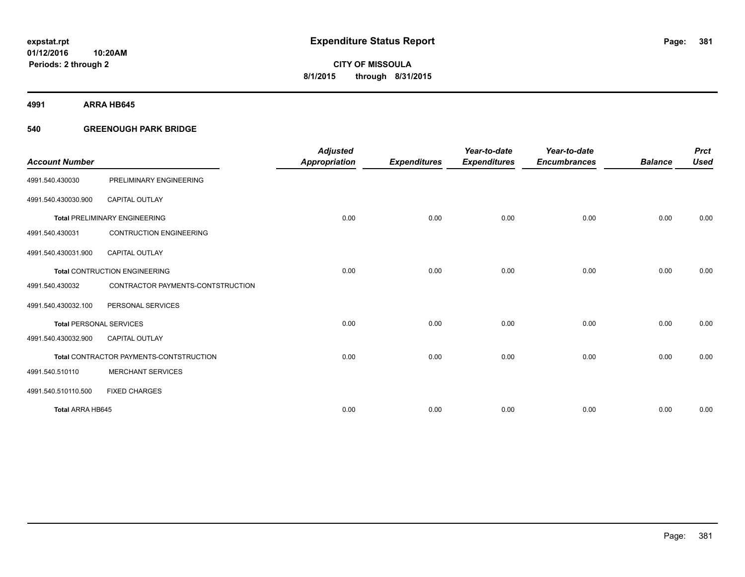**4991 ARRA HB645**

## **540 GREENOUGH PARK BRIDGE**

|                                |                                         | <b>Adjusted</b> |                     | Year-to-date        | Year-to-date        |                | <b>Prct</b> |
|--------------------------------|-----------------------------------------|-----------------|---------------------|---------------------|---------------------|----------------|-------------|
| <b>Account Number</b>          |                                         | Appropriation   | <b>Expenditures</b> | <b>Expenditures</b> | <b>Encumbrances</b> | <b>Balance</b> | <b>Used</b> |
| 4991.540.430030                | PRELIMINARY ENGINEERING                 |                 |                     |                     |                     |                |             |
| 4991.540.430030.900            | <b>CAPITAL OUTLAY</b>                   |                 |                     |                     |                     |                |             |
|                                | <b>Total PRELIMINARY ENGINEERING</b>    | 0.00            | 0.00                | 0.00                | 0.00                | 0.00           | 0.00        |
| 4991.540.430031                | <b>CONTRUCTION ENGINEERING</b>          |                 |                     |                     |                     |                |             |
| 4991.540.430031.900            | <b>CAPITAL OUTLAY</b>                   |                 |                     |                     |                     |                |             |
|                                | <b>Total CONTRUCTION ENGINEERING</b>    | 0.00            | 0.00                | 0.00                | 0.00                | 0.00           | 0.00        |
| 4991.540.430032                | CONTRACTOR PAYMENTS-CONTSTRUCTION       |                 |                     |                     |                     |                |             |
| 4991.540.430032.100            | PERSONAL SERVICES                       |                 |                     |                     |                     |                |             |
| <b>Total PERSONAL SERVICES</b> |                                         | 0.00            | 0.00                | 0.00                | 0.00                | 0.00           | 0.00        |
| 4991.540.430032.900            | <b>CAPITAL OUTLAY</b>                   |                 |                     |                     |                     |                |             |
|                                | Total CONTRACTOR PAYMENTS-CONTSTRUCTION | 0.00            | 0.00                | 0.00                | 0.00                | 0.00           | 0.00        |
| 4991.540.510110                | <b>MERCHANT SERVICES</b>                |                 |                     |                     |                     |                |             |
| 4991.540.510110.500            | <b>FIXED CHARGES</b>                    |                 |                     |                     |                     |                |             |
| Total ARRA HB645               |                                         | 0.00            | 0.00                | 0.00                | 0.00                | 0.00           | 0.00        |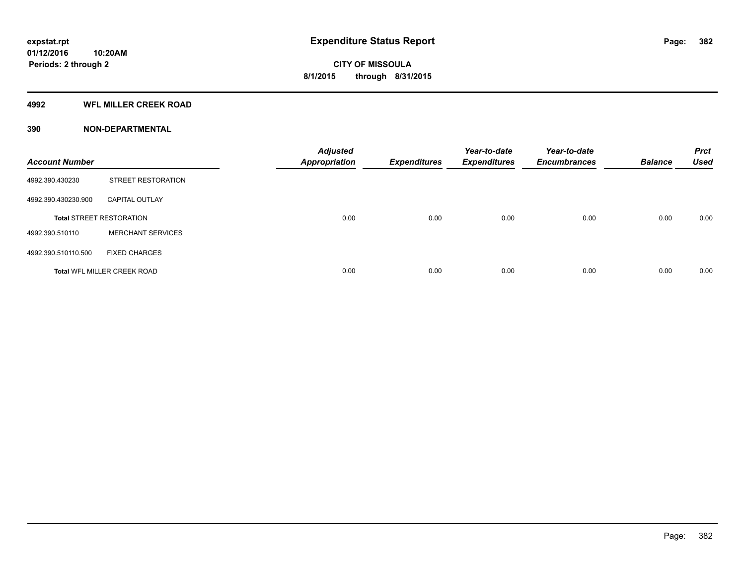## **4992 WFL MILLER CREEK ROAD**

| <b>Account Number</b> |                                    | <b>Adjusted</b><br><b>Appropriation</b> | <b>Expenditures</b> | Year-to-date<br><b>Expenditures</b> | Year-to-date<br><b>Encumbrances</b> | <b>Balance</b> | <b>Prct</b><br><b>Used</b> |
|-----------------------|------------------------------------|-----------------------------------------|---------------------|-------------------------------------|-------------------------------------|----------------|----------------------------|
| 4992.390.430230       | <b>STREET RESTORATION</b>          |                                         |                     |                                     |                                     |                |                            |
| 4992.390.430230.900   | <b>CAPITAL OUTLAY</b>              |                                         |                     |                                     |                                     |                |                            |
|                       | <b>Total STREET RESTORATION</b>    | 0.00                                    | 0.00                | 0.00                                | 0.00                                | 0.00           | 0.00                       |
| 4992.390.510110       | <b>MERCHANT SERVICES</b>           |                                         |                     |                                     |                                     |                |                            |
| 4992.390.510110.500   | <b>FIXED CHARGES</b>               |                                         |                     |                                     |                                     |                |                            |
|                       | <b>Total WFL MILLER CREEK ROAD</b> | 0.00                                    | 0.00                | 0.00                                | 0.00                                | 0.00           | 0.00                       |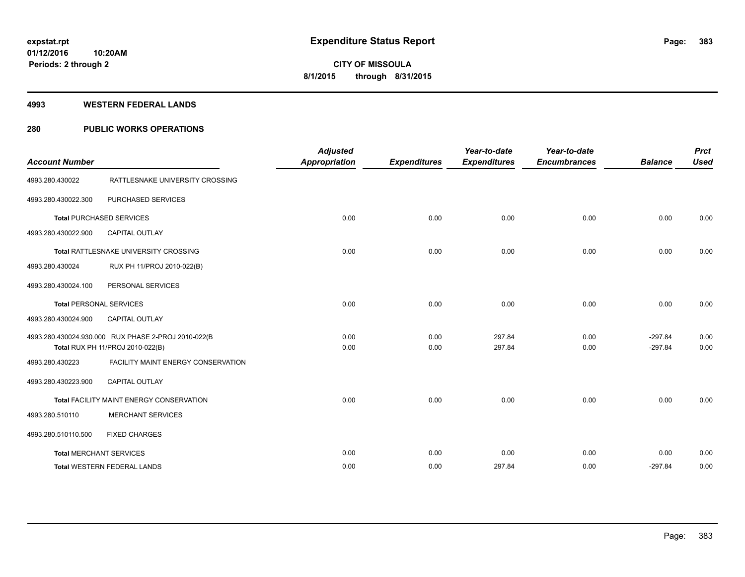#### **4993 WESTERN FEDERAL LANDS**

## **280 PUBLIC WORKS OPERATIONS**

| <b>Account Number</b>          |                                                     | <b>Adjusted</b><br><b>Appropriation</b> | <b>Expenditures</b> | Year-to-date<br><b>Expenditures</b> | Year-to-date<br><b>Encumbrances</b> | <b>Balance</b> | <b>Prct</b><br><b>Used</b> |
|--------------------------------|-----------------------------------------------------|-----------------------------------------|---------------------|-------------------------------------|-------------------------------------|----------------|----------------------------|
|                                |                                                     |                                         |                     |                                     |                                     |                |                            |
| 4993.280.430022                | RATTLESNAKE UNIVERSITY CROSSING                     |                                         |                     |                                     |                                     |                |                            |
| 4993.280.430022.300            | PURCHASED SERVICES                                  |                                         |                     |                                     |                                     |                |                            |
|                                | <b>Total PURCHASED SERVICES</b>                     | 0.00                                    | 0.00                | 0.00                                | 0.00                                | 0.00           | 0.00                       |
| 4993.280.430022.900            | <b>CAPITAL OUTLAY</b>                               |                                         |                     |                                     |                                     |                |                            |
|                                | Total RATTLESNAKE UNIVERSITY CROSSING               | 0.00                                    | 0.00                | 0.00                                | 0.00                                | 0.00           | 0.00                       |
| 4993.280.430024                | RUX PH 11/PROJ 2010-022(B)                          |                                         |                     |                                     |                                     |                |                            |
| 4993.280.430024.100            | PERSONAL SERVICES                                   |                                         |                     |                                     |                                     |                |                            |
| <b>Total PERSONAL SERVICES</b> |                                                     | 0.00                                    | 0.00                | 0.00                                | 0.00                                | 0.00           | 0.00                       |
| 4993.280.430024.900            | <b>CAPITAL OUTLAY</b>                               |                                         |                     |                                     |                                     |                |                            |
|                                | 4993.280.430024.930.000 RUX PHASE 2-PROJ 2010-022(B | 0.00                                    | 0.00                | 297.84                              | 0.00                                | $-297.84$      | 0.00                       |
|                                | Total RUX PH 11/PROJ 2010-022(B)                    | 0.00                                    | 0.00                | 297.84                              | 0.00                                | $-297.84$      | 0.00                       |
| 4993.280.430223                | FACILITY MAINT ENERGY CONSERVATION                  |                                         |                     |                                     |                                     |                |                            |
| 4993.280.430223.900            | <b>CAPITAL OUTLAY</b>                               |                                         |                     |                                     |                                     |                |                            |
|                                | Total FACILITY MAINT ENERGY CONSERVATION            | 0.00                                    | 0.00                | 0.00                                | 0.00                                | 0.00           | 0.00                       |
| 4993.280.510110                | <b>MERCHANT SERVICES</b>                            |                                         |                     |                                     |                                     |                |                            |
| 4993.280.510110.500            | <b>FIXED CHARGES</b>                                |                                         |                     |                                     |                                     |                |                            |
|                                | <b>Total MERCHANT SERVICES</b>                      | 0.00                                    | 0.00                | 0.00                                | 0.00                                | 0.00           | 0.00                       |
|                                | <b>Total WESTERN FEDERAL LANDS</b>                  | 0.00                                    | 0.00                | 297.84                              | 0.00                                | $-297.84$      | 0.00                       |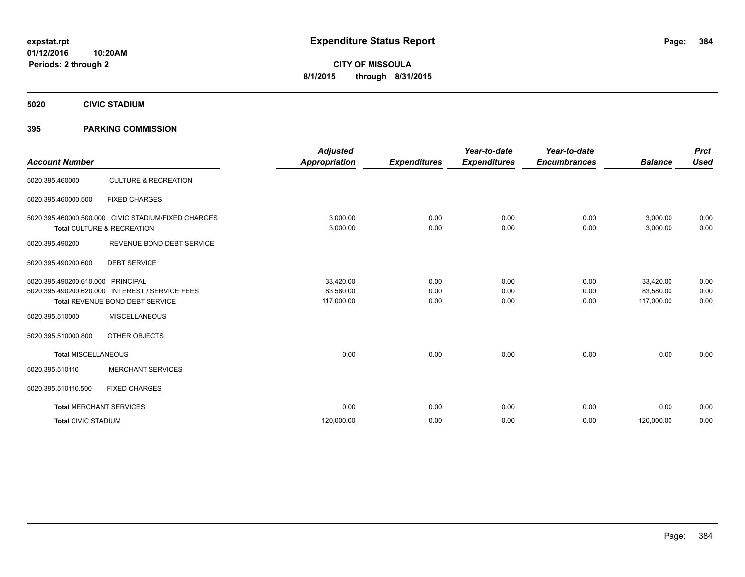**5020 CIVIC STADIUM**

## **395 PARKING COMMISSION**

| <b>Account Number</b>      |                                                                                                               | <b>Adjusted</b><br><b>Appropriation</b> | <b>Expenditures</b>  | Year-to-date<br><b>Expenditures</b> | Year-to-date<br><b>Encumbrances</b> | <b>Balance</b>                       | <b>Prct</b><br><b>Used</b> |
|----------------------------|---------------------------------------------------------------------------------------------------------------|-----------------------------------------|----------------------|-------------------------------------|-------------------------------------|--------------------------------------|----------------------------|
| 5020.395.460000            | <b>CULTURE &amp; RECREATION</b>                                                                               |                                         |                      |                                     |                                     |                                      |                            |
| 5020.395.460000.500        | <b>FIXED CHARGES</b>                                                                                          |                                         |                      |                                     |                                     |                                      |                            |
|                            | 5020.395.460000.500.000 CIVIC STADIUM/FIXED CHARGES<br>Total CULTURE & RECREATION                             | 3,000.00<br>3,000.00                    | 0.00<br>0.00         | 0.00<br>0.00                        | 0.00<br>0.00                        | 3,000.00<br>3,000.00                 | 0.00<br>0.00               |
| 5020.395.490200            | REVENUE BOND DEBT SERVICE                                                                                     |                                         |                      |                                     |                                     |                                      |                            |
| 5020.395.490200.600        | <b>DEBT SERVICE</b>                                                                                           |                                         |                      |                                     |                                     |                                      |                            |
| 5020.395.490200.610.000    | <b>PRINCIPAL</b><br>5020.395.490200.620.000 INTEREST / SERVICE FEES<br><b>Total REVENUE BOND DEBT SERVICE</b> | 33,420.00<br>83,580.00<br>117,000.00    | 0.00<br>0.00<br>0.00 | 0.00<br>0.00<br>0.00                | 0.00<br>0.00<br>0.00                | 33,420.00<br>83,580.00<br>117,000.00 | 0.00<br>0.00<br>0.00       |
| 5020.395.510000            | <b>MISCELLANEOUS</b>                                                                                          |                                         |                      |                                     |                                     |                                      |                            |
| 5020.395.510000.800        | OTHER OBJECTS                                                                                                 |                                         |                      |                                     |                                     |                                      |                            |
| <b>Total MISCELLANEOUS</b> |                                                                                                               | 0.00                                    | 0.00                 | 0.00                                | 0.00                                | 0.00                                 | 0.00                       |
| 5020.395.510110            | <b>MERCHANT SERVICES</b>                                                                                      |                                         |                      |                                     |                                     |                                      |                            |
| 5020.395.510110.500        | <b>FIXED CHARGES</b>                                                                                          |                                         |                      |                                     |                                     |                                      |                            |
|                            | <b>Total MERCHANT SERVICES</b>                                                                                | 0.00                                    | 0.00                 | 0.00                                | 0.00                                | 0.00                                 | 0.00                       |
| <b>Total CIVIC STADIUM</b> |                                                                                                               | 120,000.00                              | 0.00                 | 0.00                                | 0.00                                | 120,000.00                           | 0.00                       |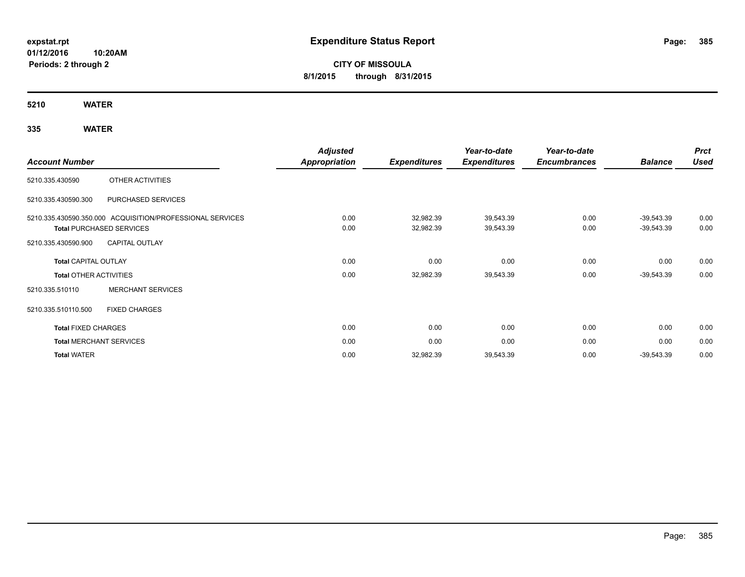**01/12/2016 10:20AM Periods: 2 through 2**

# **CITY OF MISSOULA 8/1/2015 through 8/31/2015**

**5210 WATER**

## **335 WATER**

|                                                                                                                                                                                                                                                                                                                                            |                                | <b>Adjusted</b>     |                     | Year-to-date        | Year-to-date   |              | <b>Prct</b> |
|--------------------------------------------------------------------------------------------------------------------------------------------------------------------------------------------------------------------------------------------------------------------------------------------------------------------------------------------|--------------------------------|---------------------|---------------------|---------------------|----------------|--------------|-------------|
| <b>Account Number</b><br>OTHER ACTIVITIES<br>PURCHASED SERVICES<br>5210.335.430590.350.000 ACQUISITION/PROFESSIONAL SERVICES<br><b>Total PURCHASED SERVICES</b><br><b>CAPITAL OUTLAY</b><br><b>Total CAPITAL OUTLAY</b><br><b>Total OTHER ACTIVITIES</b><br><b>MERCHANT SERVICES</b><br><b>FIXED CHARGES</b><br><b>Total FIXED CHARGES</b> | <b>Appropriation</b>           | <b>Expenditures</b> | <b>Expenditures</b> | <b>Encumbrances</b> | <b>Balance</b> | <b>Used</b>  |             |
| 5210.335.430590                                                                                                                                                                                                                                                                                                                            |                                |                     |                     |                     |                |              |             |
| 5210.335.430590.300                                                                                                                                                                                                                                                                                                                        |                                |                     |                     |                     |                |              |             |
|                                                                                                                                                                                                                                                                                                                                            |                                | 0.00                | 32,982.39           | 39,543.39           | 0.00           | $-39,543.39$ | 0.00        |
|                                                                                                                                                                                                                                                                                                                                            |                                | 0.00                | 32,982.39           | 39,543.39           | 0.00           | $-39,543.39$ | 0.00        |
| 5210.335.430590.900                                                                                                                                                                                                                                                                                                                        |                                |                     |                     |                     |                |              |             |
|                                                                                                                                                                                                                                                                                                                                            |                                | 0.00                | 0.00                | 0.00                | 0.00           | 0.00         | 0.00        |
|                                                                                                                                                                                                                                                                                                                                            |                                | 0.00                | 32,982.39           | 39,543.39           | 0.00           | $-39,543.39$ | 0.00        |
| 5210.335.510110                                                                                                                                                                                                                                                                                                                            |                                |                     |                     |                     |                |              |             |
| 5210.335.510110.500                                                                                                                                                                                                                                                                                                                        |                                |                     |                     |                     |                |              |             |
|                                                                                                                                                                                                                                                                                                                                            |                                | 0.00                | 0.00                | 0.00                | 0.00           | 0.00         | 0.00        |
|                                                                                                                                                                                                                                                                                                                                            | <b>Total MERCHANT SERVICES</b> | 0.00                | 0.00                | 0.00                | 0.00           | 0.00         | 0.00        |
| <b>Total WATER</b>                                                                                                                                                                                                                                                                                                                         |                                | 0.00                | 32,982.39           | 39,543.39           | 0.00           | $-39,543.39$ | 0.00        |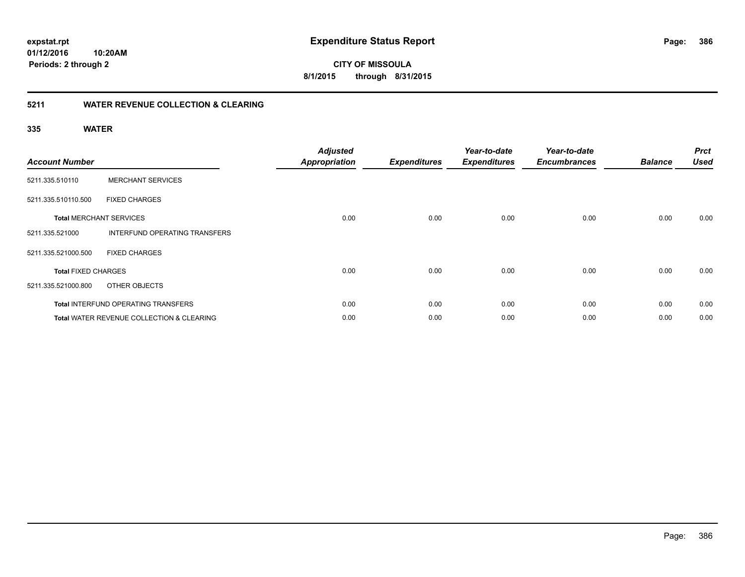**386**

**01/12/2016 10:20AM Periods: 2 through 2**

**CITY OF MISSOULA 8/1/2015 through 8/31/2015**

## **5211 WATER REVENUE COLLECTION & CLEARING**

## **335 WATER**

| <b>Account Number</b>      |                                                      | <b>Adjusted</b><br><b>Appropriation</b> | <b>Expenditures</b> | Year-to-date<br><b>Expenditures</b> | Year-to-date<br><b>Encumbrances</b> | <b>Balance</b> | <b>Prct</b><br><b>Used</b> |
|----------------------------|------------------------------------------------------|-----------------------------------------|---------------------|-------------------------------------|-------------------------------------|----------------|----------------------------|
| 5211.335.510110            | <b>MERCHANT SERVICES</b>                             |                                         |                     |                                     |                                     |                |                            |
| 5211.335.510110.500        | <b>FIXED CHARGES</b>                                 |                                         |                     |                                     |                                     |                |                            |
|                            | <b>Total MERCHANT SERVICES</b>                       | 0.00                                    | 0.00                | 0.00                                | 0.00                                | 0.00           | 0.00                       |
| 5211.335.521000            | INTERFUND OPERATING TRANSFERS                        |                                         |                     |                                     |                                     |                |                            |
| 5211.335.521000.500        | <b>FIXED CHARGES</b>                                 |                                         |                     |                                     |                                     |                |                            |
| <b>Total FIXED CHARGES</b> |                                                      | 0.00                                    | 0.00                | 0.00                                | 0.00                                | 0.00           | 0.00                       |
| 5211.335.521000.800        | OTHER OBJECTS                                        |                                         |                     |                                     |                                     |                |                            |
|                            | Total INTERFUND OPERATING TRANSFERS                  | 0.00                                    | 0.00                | 0.00                                | 0.00                                | 0.00           | 0.00                       |
|                            | <b>Total WATER REVENUE COLLECTION &amp; CLEARING</b> | 0.00                                    | 0.00                | 0.00                                | 0.00                                | 0.00           | 0.00                       |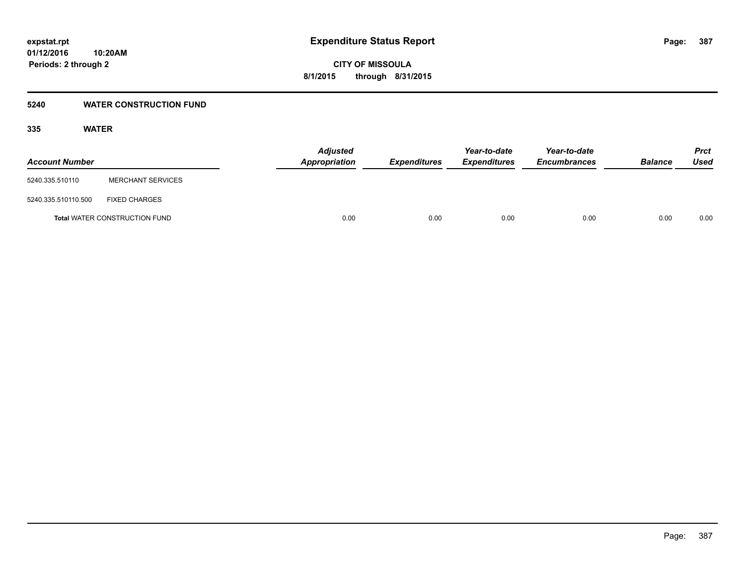## **5240 WATER CONSTRUCTION FUND**

## **335 WATER**

| <b>Account Number</b> |                                      | <b>Adjusted</b><br><b>Appropriation</b> | <b>Expenditures</b> | Year-to-date<br><b>Expenditures</b> | Year-to-date<br><b>Encumbrances</b> | <b>Balance</b> | Prct<br><b>Used</b> |
|-----------------------|--------------------------------------|-----------------------------------------|---------------------|-------------------------------------|-------------------------------------|----------------|---------------------|
| 5240.335.510110       | <b>MERCHANT SERVICES</b>             |                                         |                     |                                     |                                     |                |                     |
| 5240.335.510110.500   | <b>FIXED CHARGES</b>                 |                                         |                     |                                     |                                     |                |                     |
|                       | <b>Total WATER CONSTRUCTION FUND</b> | 0.00                                    | 0.00                | 0.00                                | 0.00                                | 0.00           | 0.00                |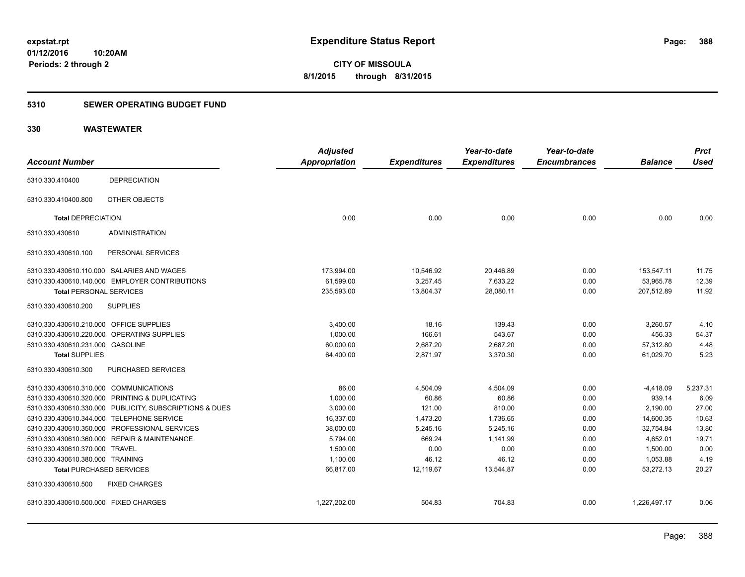**Periods: 2 through 2**

**CITY OF MISSOULA 8/1/2015 through 8/31/2015**

## **5310 SEWER OPERATING BUDGET FUND**

|                                            |                                                         | <b>Adjusted</b> |                     | Year-to-date        | Year-to-date        |                | <b>Prct</b> |
|--------------------------------------------|---------------------------------------------------------|-----------------|---------------------|---------------------|---------------------|----------------|-------------|
| <b>Account Number</b>                      |                                                         | Appropriation   | <b>Expenditures</b> | <b>Expenditures</b> | <b>Encumbrances</b> | <b>Balance</b> | <b>Used</b> |
| 5310.330.410400                            | <b>DEPRECIATION</b>                                     |                 |                     |                     |                     |                |             |
| 5310.330.410400.800                        | OTHER OBJECTS                                           |                 |                     |                     |                     |                |             |
| <b>Total DEPRECIATION</b>                  |                                                         | 0.00            | 0.00                | 0.00                | 0.00                | 0.00           | 0.00        |
| 5310.330.430610                            | <b>ADMINISTRATION</b>                                   |                 |                     |                     |                     |                |             |
| 5310.330.430610.100                        | PERSONAL SERVICES                                       |                 |                     |                     |                     |                |             |
|                                            | 5310.330.430610.110.000 SALARIES AND WAGES              | 173,994.00      | 10,546.92           | 20,446.89           | 0.00                | 153,547.11     | 11.75       |
|                                            | 5310.330.430610.140.000 EMPLOYER CONTRIBUTIONS          | 61,599.00       | 3,257.45            | 7,633.22            | 0.00                | 53,965.78      | 12.39       |
| <b>Total PERSONAL SERVICES</b>             |                                                         | 235,593.00      | 13,804.37           | 28,080.11           | 0.00                | 207,512.89     | 11.92       |
| 5310.330.430610.200                        | <b>SUPPLIES</b>                                         |                 |                     |                     |                     |                |             |
| 5310.330.430610.210.000 OFFICE SUPPLIES    |                                                         | 3,400.00        | 18.16               | 139.43              | 0.00                | 3,260.57       | 4.10        |
| 5310.330.430610.220.000 OPERATING SUPPLIES |                                                         | 1,000.00        | 166.61              | 543.67              | 0.00                | 456.33         | 54.37       |
| 5310.330.430610.231.000 GASOLINE           |                                                         | 60,000.00       | 2,687.20            | 2,687.20            | 0.00                | 57,312.80      | 4.48        |
| <b>Total SUPPLIES</b>                      |                                                         | 64,400.00       | 2,871.97            | 3,370.30            | 0.00                | 61,029.70      | 5.23        |
| 5310.330.430610.300                        | PURCHASED SERVICES                                      |                 |                     |                     |                     |                |             |
| 5310.330.430610.310.000 COMMUNICATIONS     |                                                         | 86.00           | 4,504.09            | 4,504.09            | 0.00                | $-4,418.09$    | 5,237.31    |
|                                            | 5310.330.430610.320.000 PRINTING & DUPLICATING          | 1,000.00        | 60.86               | 60.86               | 0.00                | 939.14         | 6.09        |
|                                            | 5310.330.430610.330.000 PUBLICITY, SUBSCRIPTIONS & DUES | 3,000.00        | 121.00              | 810.00              | 0.00                | 2,190.00       | 27.00       |
| 5310.330.430610.344.000 TELEPHONE SERVICE  |                                                         | 16,337.00       | 1,473.20            | 1,736.65            | 0.00                | 14,600.35      | 10.63       |
|                                            | 5310.330.430610.350.000 PROFESSIONAL SERVICES           | 38,000.00       | 5,245.16            | 5,245.16            | 0.00                | 32,754.84      | 13.80       |
|                                            | 5310.330.430610.360.000 REPAIR & MAINTENANCE            | 5,794.00        | 669.24              | 1,141.99            | 0.00                | 4,652.01       | 19.71       |
| 5310.330.430610.370.000 TRAVEL             |                                                         | 1,500.00        | 0.00                | 0.00                | 0.00                | 1,500.00       | 0.00        |
| 5310.330.430610.380.000 TRAINING           |                                                         | 1,100.00        | 46.12               | 46.12               | 0.00                | 1,053.88       | 4.19        |
| <b>Total PURCHASED SERVICES</b>            |                                                         | 66,817.00       | 12,119.67           | 13,544.87           | 0.00                | 53,272.13      | 20.27       |
| 5310.330.430610.500                        | <b>FIXED CHARGES</b>                                    |                 |                     |                     |                     |                |             |
| 5310.330.430610.500.000 FIXED CHARGES      |                                                         | 1,227,202.00    | 504.83              | 704.83              | 0.00                | 1,226,497.17   | 0.06        |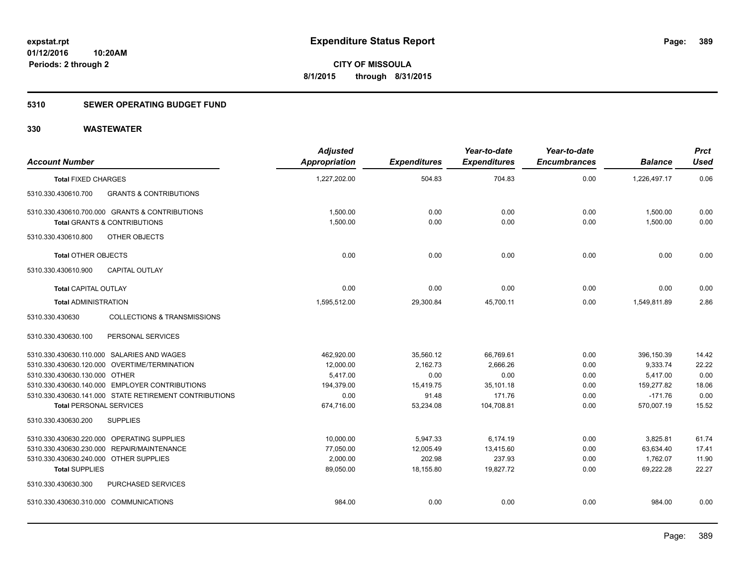## **5310 SEWER OPERATING BUDGET FUND**

| <b>Account Number</b>                                     | <b>Adjusted</b><br>Appropriation | <b>Expenditures</b> | Year-to-date<br><b>Expenditures</b> | Year-to-date<br><b>Encumbrances</b> | <b>Balance</b> | <b>Prct</b><br><b>Used</b> |
|-----------------------------------------------------------|----------------------------------|---------------------|-------------------------------------|-------------------------------------|----------------|----------------------------|
| <b>Total FIXED CHARGES</b>                                | 1,227,202.00                     | 504.83              | 704.83                              | 0.00                                | 1,226,497.17   | 0.06                       |
| 5310.330.430610.700<br><b>GRANTS &amp; CONTRIBUTIONS</b>  |                                  |                     |                                     |                                     |                |                            |
| 5310.330.430610.700.000 GRANTS & CONTRIBUTIONS            | 1,500.00                         | 0.00                | 0.00                                | 0.00                                | 1,500.00       | 0.00                       |
| <b>Total GRANTS &amp; CONTRIBUTIONS</b>                   | 1,500.00                         | 0.00                | 0.00                                | 0.00                                | 1,500.00       | 0.00                       |
| 5310.330.430610.800<br>OTHER OBJECTS                      |                                  |                     |                                     |                                     |                |                            |
| <b>Total OTHER OBJECTS</b>                                | 0.00                             | 0.00                | 0.00                                | 0.00                                | 0.00           | 0.00                       |
| 5310.330.430610.900<br><b>CAPITAL OUTLAY</b>              |                                  |                     |                                     |                                     |                |                            |
| <b>Total CAPITAL OUTLAY</b>                               | 0.00                             | 0.00                | 0.00                                | 0.00                                | 0.00           | 0.00                       |
| <b>Total ADMINISTRATION</b>                               | 1,595,512.00                     | 29,300.84           | 45,700.11                           | 0.00                                | 1,549,811.89   | 2.86                       |
| <b>COLLECTIONS &amp; TRANSMISSIONS</b><br>5310.330.430630 |                                  |                     |                                     |                                     |                |                            |
| PERSONAL SERVICES<br>5310.330.430630.100                  |                                  |                     |                                     |                                     |                |                            |
| 5310.330.430630.110.000 SALARIES AND WAGES                | 462,920.00                       | 35,560.12           | 66,769.61                           | 0.00                                | 396,150.39     | 14.42                      |
| 5310.330.430630.120.000 OVERTIME/TERMINATION              | 12,000.00                        | 2,162.73            | 2.666.26                            | 0.00                                | 9,333.74       | 22.22                      |
| 5310.330.430630.130.000 OTHER                             | 5,417.00                         | 0.00                | 0.00                                | 0.00                                | 5,417.00       | 0.00                       |
| 5310.330.430630.140.000 EMPLOYER CONTRIBUTIONS            | 194,379.00                       | 15,419.75           | 35,101.18                           | 0.00                                | 159,277.82     | 18.06                      |
| 5310.330.430630.141.000 STATE RETIREMENT CONTRIBUTIONS    | 0.00                             | 91.48               | 171.76                              | 0.00                                | $-171.76$      | 0.00                       |
| <b>Total PERSONAL SERVICES</b>                            | 674,716.00                       | 53,234.08           | 104,708.81                          | 0.00                                | 570,007.19     | 15.52                      |
| 5310.330.430630.200<br><b>SUPPLIES</b>                    |                                  |                     |                                     |                                     |                |                            |
| 5310.330.430630.220.000 OPERATING SUPPLIES                | 10,000.00                        | 5,947.33            | 6,174.19                            | 0.00                                | 3,825.81       | 61.74                      |
| 5310.330.430630.230.000 REPAIR/MAINTENANCE                | 77,050.00                        | 12,005.49           | 13,415.60                           | 0.00                                | 63,634.40      | 17.41                      |
| 5310.330.430630.240.000 OTHER SUPPLIES                    | 2,000.00                         | 202.98              | 237.93                              | 0.00                                | 1,762.07       | 11.90                      |
| <b>Total SUPPLIES</b>                                     | 89,050.00                        | 18,155.80           | 19,827.72                           | 0.00                                | 69,222.28      | 22.27                      |
| 5310.330.430630.300<br><b>PURCHASED SERVICES</b>          |                                  |                     |                                     |                                     |                |                            |
| 5310.330.430630.310.000 COMMUNICATIONS                    | 984.00                           | 0.00                | 0.00                                | 0.00                                | 984.00         | 0.00                       |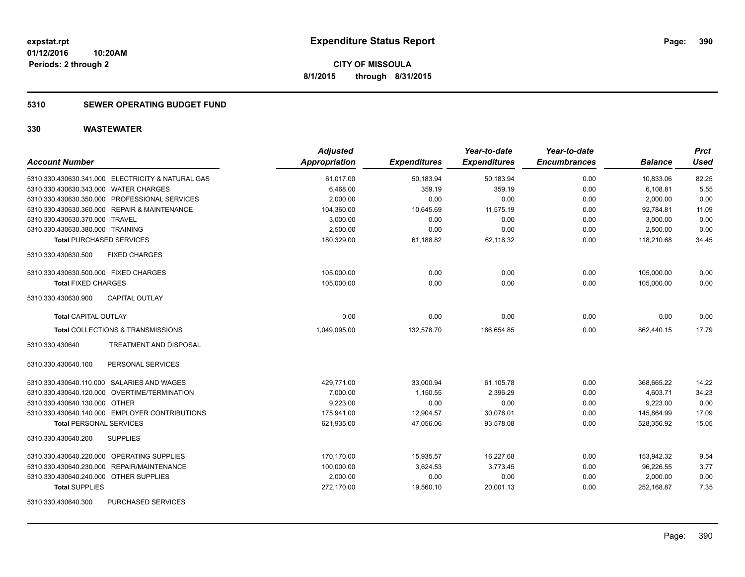## **5310 SEWER OPERATING BUDGET FUND**

| <b>Account Number</b>                             | <b>Adjusted</b><br>Appropriation | <b>Expenditures</b> | Year-to-date<br><b>Expenditures</b> | Year-to-date<br><b>Encumbrances</b> | <b>Balance</b> | <b>Prct</b><br><b>Used</b> |
|---------------------------------------------------|----------------------------------|---------------------|-------------------------------------|-------------------------------------|----------------|----------------------------|
| 5310.330.430630.341.000 ELECTRICITY & NATURAL GAS | 61,017.00                        | 50,183.94           | 50,183.94                           | 0.00                                | 10,833.06      | 82.25                      |
| 5310.330.430630.343.000 WATER CHARGES             | 6,468.00                         | 359.19              | 359.19                              | 0.00                                | 6,108.81       | 5.55                       |
| 5310.330.430630.350.000 PROFESSIONAL SERVICES     | 2,000.00                         | 0.00                | 0.00                                | 0.00                                | 2,000.00       | 0.00                       |
| 5310.330.430630.360.000 REPAIR & MAINTENANCE      | 104,360.00                       | 10,645.69           | 11,575.19                           | 0.00                                | 92,784.81      | 11.09                      |
| 5310.330.430630.370.000 TRAVEL                    | 3,000.00                         | 0.00                | 0.00                                | 0.00                                | 3,000.00       | 0.00                       |
| 5310.330.430630.380.000 TRAINING                  | 2,500.00                         | 0.00                | 0.00                                | 0.00                                | 2,500.00       | 0.00                       |
| <b>Total PURCHASED SERVICES</b>                   | 180,329.00                       | 61,188.82           | 62,118.32                           | 0.00                                | 118,210.68     | 34.45                      |
| 5310.330.430630.500<br><b>FIXED CHARGES</b>       |                                  |                     |                                     |                                     |                |                            |
| 5310.330.430630.500.000 FIXED CHARGES             | 105,000.00                       | 0.00                | 0.00                                | 0.00                                | 105,000.00     | 0.00                       |
| <b>Total FIXED CHARGES</b>                        | 105,000.00                       | 0.00                | 0.00                                | 0.00                                | 105,000.00     | 0.00                       |
| CAPITAL OUTLAY<br>5310.330.430630.900             |                                  |                     |                                     |                                     |                |                            |
| <b>Total CAPITAL OUTLAY</b>                       | 0.00                             | 0.00                | 0.00                                | 0.00                                | 0.00           | 0.00                       |
| Total COLLECTIONS & TRANSMISSIONS                 | 1,049,095.00                     | 132,578.70          | 186,654.85                          | 0.00                                | 862,440.15     | 17.79                      |
| 5310.330.430640<br>TREATMENT AND DISPOSAL         |                                  |                     |                                     |                                     |                |                            |
| PERSONAL SERVICES<br>5310.330.430640.100          |                                  |                     |                                     |                                     |                |                            |
| 5310.330.430640.110.000 SALARIES AND WAGES        | 429.771.00                       | 33,000.94           | 61,105.78                           | 0.00                                | 368,665.22     | 14.22                      |
| 5310.330.430640.120.000 OVERTIME/TERMINATION      | 7.000.00                         | 1,150.55            | 2.396.29                            | 0.00                                | 4,603.71       | 34.23                      |
| 5310.330.430640.130.000 OTHER                     | 9.223.00                         | 0.00                | 0.00                                | 0.00                                | 9.223.00       | 0.00                       |
| 5310.330.430640.140.000 EMPLOYER CONTRIBUTIONS    | 175,941.00                       | 12,904.57           | 30,076.01                           | 0.00                                | 145,864.99     | 17.09                      |
| <b>Total PERSONAL SERVICES</b>                    | 621,935.00                       | 47,056.06           | 93,578.08                           | 0.00                                | 528,356.92     | 15.05                      |
| 5310.330.430640.200<br><b>SUPPLIES</b>            |                                  |                     |                                     |                                     |                |                            |
| 5310.330.430640.220.000 OPERATING SUPPLIES        | 170,170.00                       | 15,935.57           | 16,227.68                           | 0.00                                | 153,942.32     | 9.54                       |
| REPAIR/MAINTENANCE<br>5310.330.430640.230.000     | 100,000.00                       | 3,624.53            | 3,773.45                            | 0.00                                | 96,226.55      | 3.77                       |
| 5310.330.430640.240.000 OTHER SUPPLIES            | 2,000.00                         | 0.00                | 0.00                                | 0.00                                | 2,000.00       | 0.00                       |
| <b>Total SUPPLIES</b>                             | 272,170.00                       | 19,560.10           | 20,001.13                           | 0.00                                | 252,168.87     | 7.35                       |
| <b>PURCHASED SERVICES</b><br>5310.330.430640.300  |                                  |                     |                                     |                                     |                |                            |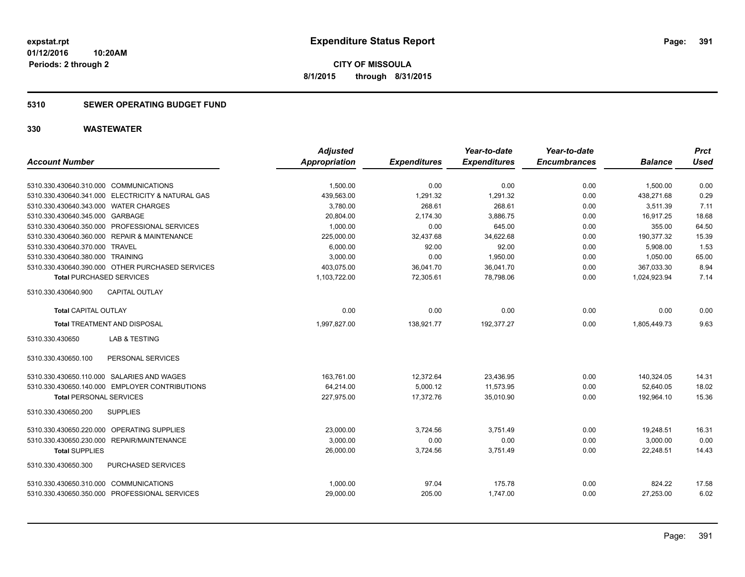**01/12/2016 10:20AM Periods: 2 through 2**

**CITY OF MISSOULA 8/1/2015 through 8/31/2015**

## **5310 SEWER OPERATING BUDGET FUND**

|                                        |                                                   | <b>Adjusted</b> |                     | Year-to-date        | Year-to-date        |                | <b>Prct</b> |
|----------------------------------------|---------------------------------------------------|-----------------|---------------------|---------------------|---------------------|----------------|-------------|
| <b>Account Number</b>                  |                                                   | Appropriation   | <b>Expenditures</b> | <b>Expenditures</b> | <b>Encumbrances</b> | <b>Balance</b> | <b>Used</b> |
| 5310.330.430640.310.000 COMMUNICATIONS |                                                   | 1,500.00        | 0.00                | 0.00                | 0.00                | 1,500.00       | 0.00        |
|                                        | 5310.330.430640.341.000 ELECTRICITY & NATURAL GAS | 439,563.00      | 1,291.32            | 1,291.32            | 0.00                | 438.271.68     | 0.29        |
| 5310.330.430640.343.000 WATER CHARGES  |                                                   | 3,780.00        | 268.61              | 268.61              | 0.00                | 3,511.39       | 7.11        |
| 5310.330.430640.345.000 GARBAGE        |                                                   | 20,804.00       | 2,174.30            | 3,886.75            | 0.00                | 16,917.25      | 18.68       |
|                                        | 5310.330.430640.350.000 PROFESSIONAL SERVICES     | 1,000.00        | 0.00                | 645.00              | 0.00                | 355.00         | 64.50       |
|                                        | 5310.330.430640.360.000 REPAIR & MAINTENANCE      | 225,000.00      | 32,437.68           | 34,622.68           | 0.00                | 190,377.32     | 15.39       |
| 5310.330.430640.370.000 TRAVEL         |                                                   | 6,000.00        | 92.00               | 92.00               | 0.00                | 5,908.00       | 1.53        |
| 5310.330.430640.380.000 TRAINING       |                                                   | 3,000.00        | 0.00                | 1,950.00            | 0.00                | 1,050.00       | 65.00       |
|                                        | 5310.330.430640.390.000 OTHER PURCHASED SERVICES  | 403,075.00      | 36,041.70           | 36,041.70           | 0.00                | 367,033.30     | 8.94        |
| <b>Total PURCHASED SERVICES</b>        |                                                   | 1,103,722.00    | 72,305.61           | 78,798.06           | 0.00                | 1,024,923.94   | 7.14        |
| 5310.330.430640.900                    | <b>CAPITAL OUTLAY</b>                             |                 |                     |                     |                     |                |             |
| <b>Total CAPITAL OUTLAY</b>            |                                                   | 0.00            | 0.00                | 0.00                | 0.00                | 0.00           | 0.00        |
|                                        | Total TREATMENT AND DISPOSAL                      | 1,997,827.00    | 138,921.77          | 192,377.27          | 0.00                | 1,805,449.73   | 9.63        |
| 5310.330.430650                        | <b>LAB &amp; TESTING</b>                          |                 |                     |                     |                     |                |             |
| 5310.330.430650.100                    | PERSONAL SERVICES                                 |                 |                     |                     |                     |                |             |
|                                        | 5310.330.430650.110.000 SALARIES AND WAGES        | 163,761.00      | 12,372.64           | 23,436.95           | 0.00                | 140,324.05     | 14.31       |
|                                        | 5310.330.430650.140.000 EMPLOYER CONTRIBUTIONS    | 64,214.00       | 5,000.12            | 11,573.95           | 0.00                | 52,640.05      | 18.02       |
| <b>Total PERSONAL SERVICES</b>         |                                                   | 227,975.00      | 17,372.76           | 35,010.90           | 0.00                | 192,964.10     | 15.36       |
| 5310.330.430650.200                    | <b>SUPPLIES</b>                                   |                 |                     |                     |                     |                |             |
|                                        | 5310.330.430650.220.000 OPERATING SUPPLIES        | 23,000.00       | 3,724.56            | 3,751.49            | 0.00                | 19,248.51      | 16.31       |
|                                        | 5310.330.430650.230.000 REPAIR/MAINTENANCE        | 3,000.00        | 0.00                | 0.00                | 0.00                | 3,000.00       | 0.00        |
| <b>Total SUPPLIES</b>                  |                                                   | 26,000.00       | 3,724.56            | 3,751.49            | 0.00                | 22,248.51      | 14.43       |
| 5310.330.430650.300                    | PURCHASED SERVICES                                |                 |                     |                     |                     |                |             |
| 5310.330.430650.310.000 COMMUNICATIONS |                                                   | 1,000.00        | 97.04               | 175.78              | 0.00                | 824.22         | 17.58       |
|                                        | 5310.330.430650.350.000 PROFESSIONAL SERVICES     | 29,000.00       | 205.00              | 1,747.00            | 0.00                | 27,253.00      | 6.02        |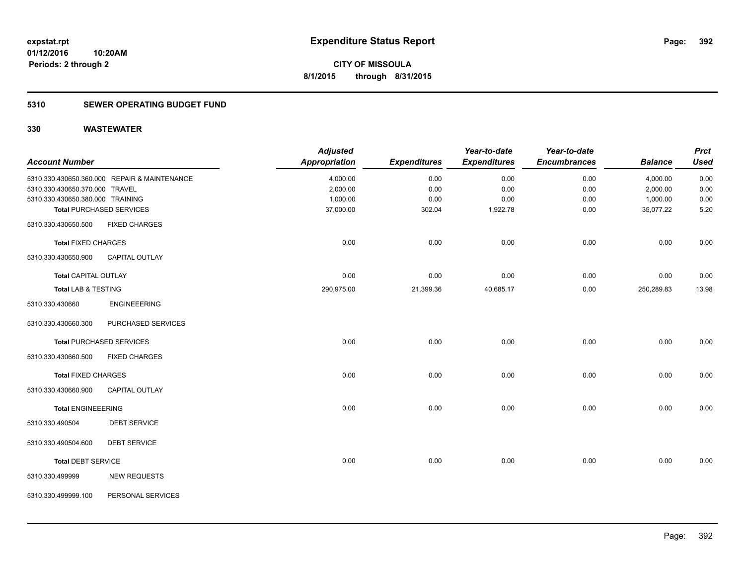## **5310 SEWER OPERATING BUDGET FUND**

|                                  |                                              | <b>Adjusted</b> |                     | Year-to-date        | Year-to-date        |                | <b>Prct</b> |
|----------------------------------|----------------------------------------------|-----------------|---------------------|---------------------|---------------------|----------------|-------------|
| <b>Account Number</b>            |                                              | Appropriation   | <b>Expenditures</b> | <b>Expenditures</b> | <b>Encumbrances</b> | <b>Balance</b> | <b>Used</b> |
|                                  | 5310.330.430650.360.000 REPAIR & MAINTENANCE | 4,000.00        | 0.00                | 0.00                | 0.00                | 4,000.00       | 0.00        |
| 5310.330.430650.370.000 TRAVEL   |                                              | 2,000.00        | 0.00                | 0.00                | 0.00                | 2,000.00       | 0.00        |
| 5310.330.430650.380.000 TRAINING |                                              | 1,000.00        | 0.00                | 0.00                | 0.00                | 1,000.00       | 0.00        |
|                                  | <b>Total PURCHASED SERVICES</b>              | 37,000.00       | 302.04              | 1,922.78            | 0.00                | 35,077.22      | 5.20        |
| 5310.330.430650.500              | <b>FIXED CHARGES</b>                         |                 |                     |                     |                     |                |             |
| <b>Total FIXED CHARGES</b>       |                                              | 0.00            | 0.00                | 0.00                | 0.00                | 0.00           | 0.00        |
| 5310.330.430650.900              | <b>CAPITAL OUTLAY</b>                        |                 |                     |                     |                     |                |             |
| <b>Total CAPITAL OUTLAY</b>      |                                              | 0.00            | 0.00                | 0.00                | 0.00                | 0.00           | 0.00        |
| Total LAB & TESTING              |                                              | 290,975.00      | 21,399.36           | 40,685.17           | 0.00                | 250,289.83     | 13.98       |
| 5310.330.430660                  | <b>ENGINEEERING</b>                          |                 |                     |                     |                     |                |             |
| 5310.330.430660.300              | PURCHASED SERVICES                           |                 |                     |                     |                     |                |             |
|                                  | <b>Total PURCHASED SERVICES</b>              | 0.00            | 0.00                | 0.00                | 0.00                | 0.00           | 0.00        |
| 5310.330.430660.500              | <b>FIXED CHARGES</b>                         |                 |                     |                     |                     |                |             |
| <b>Total FIXED CHARGES</b>       |                                              | 0.00            | 0.00                | 0.00                | 0.00                | 0.00           | 0.00        |
| 5310.330.430660.900              | <b>CAPITAL OUTLAY</b>                        |                 |                     |                     |                     |                |             |
| <b>Total ENGINEEERING</b>        |                                              | 0.00            | 0.00                | 0.00                | 0.00                | 0.00           | 0.00        |
| 5310.330.490504                  | <b>DEBT SERVICE</b>                          |                 |                     |                     |                     |                |             |
| 5310.330.490504.600              | <b>DEBT SERVICE</b>                          |                 |                     |                     |                     |                |             |
| <b>Total DEBT SERVICE</b>        |                                              | 0.00            | 0.00                | 0.00                | 0.00                | 0.00           | 0.00        |
| 5310.330.499999                  | <b>NEW REQUESTS</b>                          |                 |                     |                     |                     |                |             |
| 5310.330.499999.100              | PERSONAL SERVICES                            |                 |                     |                     |                     |                |             |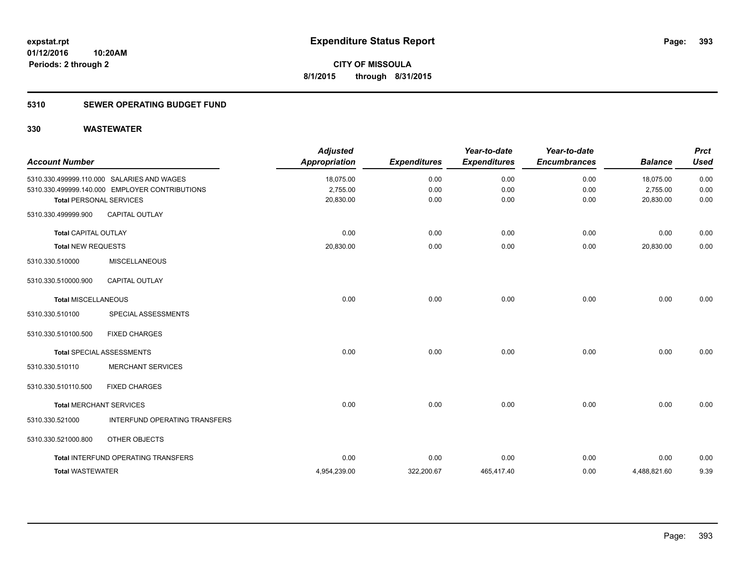## **5310 SEWER OPERATING BUDGET FUND**

| <b>Account Number</b>       |                                                                                              | <b>Adjusted</b><br><b>Appropriation</b> | <b>Expenditures</b> | Year-to-date<br><b>Expenditures</b> | Year-to-date<br><b>Encumbrances</b> | <b>Balance</b>        | <b>Prct</b><br><b>Used</b> |
|-----------------------------|----------------------------------------------------------------------------------------------|-----------------------------------------|---------------------|-------------------------------------|-------------------------------------|-----------------------|----------------------------|
|                             | 5310.330.499999.110.000 SALARIES AND WAGES<br>5310.330.499999.140.000 EMPLOYER CONTRIBUTIONS | 18,075.00<br>2,755.00                   | 0.00<br>0.00        | 0.00<br>0.00                        | 0.00<br>0.00                        | 18,075.00<br>2,755.00 | 0.00<br>0.00               |
|                             | <b>Total PERSONAL SERVICES</b>                                                               | 20,830.00                               | 0.00                | 0.00                                | 0.00                                | 20,830.00             | 0.00                       |
| 5310.330.499999.900         | <b>CAPITAL OUTLAY</b>                                                                        |                                         |                     |                                     |                                     |                       |                            |
| <b>Total CAPITAL OUTLAY</b> |                                                                                              | 0.00                                    | 0.00                | 0.00                                | 0.00                                | 0.00                  | 0.00                       |
| <b>Total NEW REQUESTS</b>   |                                                                                              | 20,830.00                               | 0.00                | 0.00                                | 0.00                                | 20,830.00             | 0.00                       |
| 5310.330.510000             | <b>MISCELLANEOUS</b>                                                                         |                                         |                     |                                     |                                     |                       |                            |
| 5310.330.510000.900         | <b>CAPITAL OUTLAY</b>                                                                        |                                         |                     |                                     |                                     |                       |                            |
| <b>Total MISCELLANEOUS</b>  |                                                                                              | 0.00                                    | 0.00                | 0.00                                | 0.00                                | 0.00                  | 0.00                       |
| 5310.330.510100             | SPECIAL ASSESSMENTS                                                                          |                                         |                     |                                     |                                     |                       |                            |
| 5310.330.510100.500         | <b>FIXED CHARGES</b>                                                                         |                                         |                     |                                     |                                     |                       |                            |
|                             | <b>Total SPECIAL ASSESSMENTS</b>                                                             | 0.00                                    | 0.00                | 0.00                                | 0.00                                | 0.00                  | 0.00                       |
| 5310.330.510110             | <b>MERCHANT SERVICES</b>                                                                     |                                         |                     |                                     |                                     |                       |                            |
| 5310.330.510110.500         | <b>FIXED CHARGES</b>                                                                         |                                         |                     |                                     |                                     |                       |                            |
|                             | <b>Total MERCHANT SERVICES</b>                                                               | 0.00                                    | 0.00                | 0.00                                | 0.00                                | 0.00                  | 0.00                       |
| 5310.330.521000             | INTERFUND OPERATING TRANSFERS                                                                |                                         |                     |                                     |                                     |                       |                            |
| 5310.330.521000.800         | OTHER OBJECTS                                                                                |                                         |                     |                                     |                                     |                       |                            |
|                             | <b>Total INTERFUND OPERATING TRANSFERS</b>                                                   | 0.00                                    | 0.00                | 0.00                                | 0.00                                | 0.00                  | 0.00                       |
| <b>Total WASTEWATER</b>     |                                                                                              | 4,954,239.00                            | 322,200.67          | 465,417.40                          | 0.00                                | 4,488,821.60          | 9.39                       |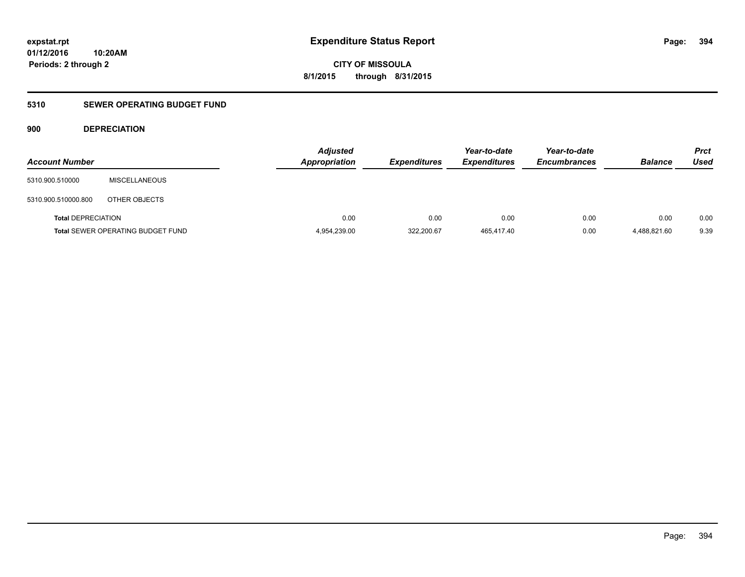#### **01/12/2016 10:20AM**

**Periods: 2 through 2**

**CITY OF MISSOULA 8/1/2015 through 8/31/2015**

## **5310 SEWER OPERATING BUDGET FUND**

## **900 DEPRECIATION**

| <b>Account Number</b>     |                                          | <b>Adjusted</b><br>Appropriation | <b>Expenditures</b> | Year-to-date<br><b>Expenditures</b> | Year-to-date<br><b>Encumbrances</b> | <b>Balance</b> | <b>Prct</b><br>Used |
|---------------------------|------------------------------------------|----------------------------------|---------------------|-------------------------------------|-------------------------------------|----------------|---------------------|
| 5310.900.510000           | <b>MISCELLANEOUS</b>                     |                                  |                     |                                     |                                     |                |                     |
| 5310.900.510000.800       | OTHER OBJECTS                            |                                  |                     |                                     |                                     |                |                     |
| <b>Total DEPRECIATION</b> |                                          | 0.00                             | 0.00                | 0.00                                | 0.00                                | 0.00           | 0.00                |
|                           | <b>Total SEWER OPERATING BUDGET FUND</b> | 4,954,239.00                     | 322,200.67          | 465,417.40                          | 0.00                                | 4.488.821.60   | 9.39                |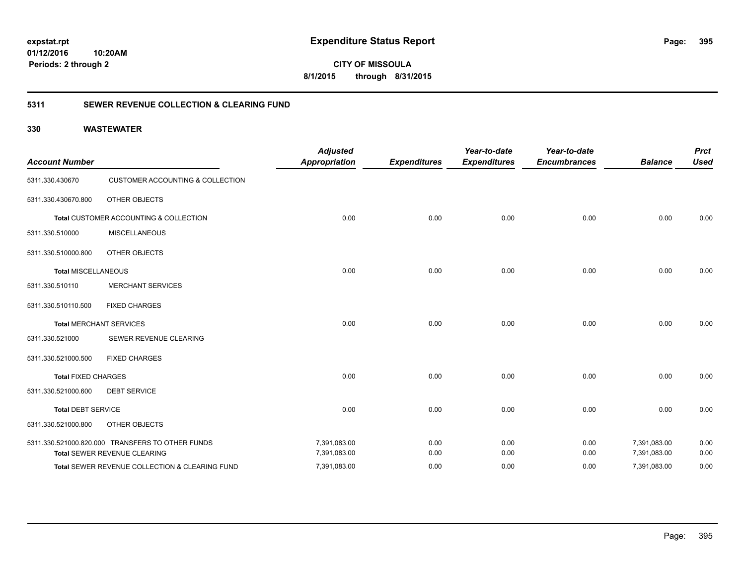**01/12/2016 10:20AM Periods: 2 through 2**

**CITY OF MISSOULA 8/1/2015 through 8/31/2015**

## **5311 SEWER REVENUE COLLECTION & CLEARING FUND**

| <b>Account Number</b>      |                                                  | <b>Adjusted</b><br><b>Appropriation</b> | <b>Expenditures</b> | Year-to-date<br><b>Expenditures</b> | Year-to-date<br><b>Encumbrances</b> | <b>Balance</b> | <b>Prct</b><br><b>Used</b> |
|----------------------------|--------------------------------------------------|-----------------------------------------|---------------------|-------------------------------------|-------------------------------------|----------------|----------------------------|
| 5311.330.430670            | <b>CUSTOMER ACCOUNTING &amp; COLLECTION</b>      |                                         |                     |                                     |                                     |                |                            |
| 5311.330.430670.800        | OTHER OBJECTS                                    |                                         |                     |                                     |                                     |                |                            |
|                            | Total CUSTOMER ACCOUNTING & COLLECTION           | 0.00                                    | 0.00                | 0.00                                | 0.00                                | 0.00           | 0.00                       |
| 5311.330.510000            | <b>MISCELLANEOUS</b>                             |                                         |                     |                                     |                                     |                |                            |
| 5311.330.510000.800        | OTHER OBJECTS                                    |                                         |                     |                                     |                                     |                |                            |
| <b>Total MISCELLANEOUS</b> |                                                  | 0.00                                    | 0.00                | 0.00                                | 0.00                                | 0.00           | 0.00                       |
| 5311.330.510110            | <b>MERCHANT SERVICES</b>                         |                                         |                     |                                     |                                     |                |                            |
| 5311.330.510110.500        | <b>FIXED CHARGES</b>                             |                                         |                     |                                     |                                     |                |                            |
|                            | <b>Total MERCHANT SERVICES</b>                   | 0.00                                    | 0.00                | 0.00                                | 0.00                                | 0.00           | 0.00                       |
| 5311.330.521000            | SEWER REVENUE CLEARING                           |                                         |                     |                                     |                                     |                |                            |
| 5311.330.521000.500        | <b>FIXED CHARGES</b>                             |                                         |                     |                                     |                                     |                |                            |
| <b>Total FIXED CHARGES</b> |                                                  | 0.00                                    | 0.00                | 0.00                                | 0.00                                | 0.00           | 0.00                       |
| 5311.330.521000.600        | <b>DEBT SERVICE</b>                              |                                         |                     |                                     |                                     |                |                            |
| <b>Total DEBT SERVICE</b>  |                                                  | 0.00                                    | 0.00                | 0.00                                | 0.00                                | 0.00           | 0.00                       |
| 5311.330.521000.800        | OTHER OBJECTS                                    |                                         |                     |                                     |                                     |                |                            |
|                            | 5311.330.521000.820.000 TRANSFERS TO OTHER FUNDS | 7,391,083.00                            | 0.00                | 0.00                                | 0.00                                | 7,391,083.00   | 0.00                       |
|                            | Total SEWER REVENUE CLEARING                     | 7,391,083.00                            | 0.00                | 0.00                                | 0.00                                | 7,391,083.00   | 0.00                       |
|                            | Total SEWER REVENUE COLLECTION & CLEARING FUND   | 7,391,083.00                            | 0.00                | 0.00                                | 0.00                                | 7,391,083.00   | 0.00                       |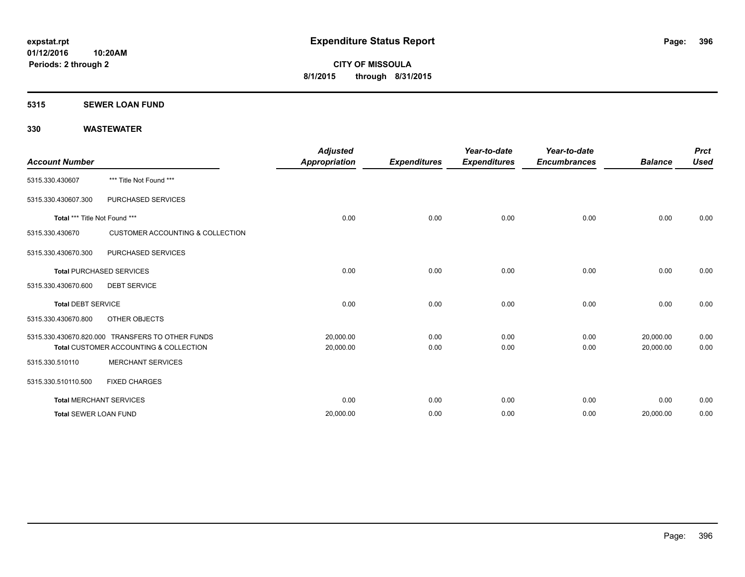#### **5315 SEWER LOAN FUND**

| <b>Account Number</b>           |                                                                                                       | <b>Adjusted</b><br><b>Appropriation</b> | <b>Expenditures</b> | Year-to-date<br><b>Expenditures</b> | Year-to-date<br><b>Encumbrances</b> | <b>Balance</b>         | <b>Prct</b><br><b>Used</b> |
|---------------------------------|-------------------------------------------------------------------------------------------------------|-----------------------------------------|---------------------|-------------------------------------|-------------------------------------|------------------------|----------------------------|
| 5315.330.430607                 | *** Title Not Found ***                                                                               |                                         |                     |                                     |                                     |                        |                            |
| 5315.330.430607.300             | <b>PURCHASED SERVICES</b>                                                                             |                                         |                     |                                     |                                     |                        |                            |
| Total *** Title Not Found ***   |                                                                                                       | 0.00                                    | 0.00                | 0.00                                | 0.00                                | 0.00                   | 0.00                       |
| 5315.330.430670                 | <b>CUSTOMER ACCOUNTING &amp; COLLECTION</b>                                                           |                                         |                     |                                     |                                     |                        |                            |
| 5315.330.430670.300             | PURCHASED SERVICES                                                                                    |                                         |                     |                                     |                                     |                        |                            |
| <b>Total PURCHASED SERVICES</b> |                                                                                                       | 0.00                                    | 0.00                | 0.00                                | 0.00                                | 0.00                   | 0.00                       |
| 5315.330.430670.600             | <b>DEBT SERVICE</b>                                                                                   |                                         |                     |                                     |                                     |                        |                            |
| <b>Total DEBT SERVICE</b>       |                                                                                                       | 0.00                                    | 0.00                | 0.00                                | 0.00                                | 0.00                   | 0.00                       |
| 5315.330.430670.800             | OTHER OBJECTS                                                                                         |                                         |                     |                                     |                                     |                        |                            |
|                                 | 5315.330.430670.820.000 TRANSFERS TO OTHER FUNDS<br><b>Total CUSTOMER ACCOUNTING &amp; COLLECTION</b> | 20,000.00<br>20,000.00                  | 0.00<br>0.00        | 0.00<br>0.00                        | 0.00<br>0.00                        | 20,000.00<br>20,000.00 | 0.00<br>0.00               |
| 5315.330.510110                 | <b>MERCHANT SERVICES</b>                                                                              |                                         |                     |                                     |                                     |                        |                            |
| 5315.330.510110.500             | <b>FIXED CHARGES</b>                                                                                  |                                         |                     |                                     |                                     |                        |                            |
|                                 | <b>Total MERCHANT SERVICES</b>                                                                        | 0.00                                    | 0.00                | 0.00                                | 0.00                                | 0.00                   | 0.00                       |
| <b>Total SEWER LOAN FUND</b>    |                                                                                                       | 20,000.00                               | 0.00                | 0.00                                | 0.00                                | 20,000.00              | 0.00                       |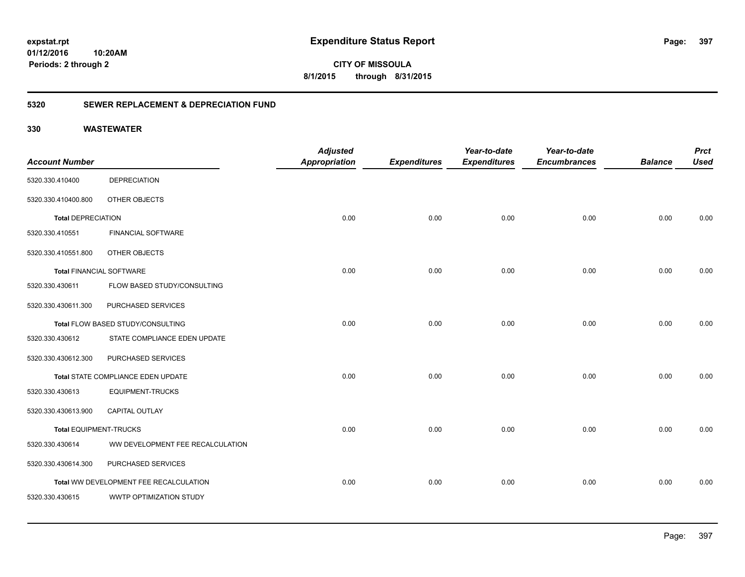**397**

**CITY OF MISSOULA 8/1/2015 through 8/31/2015**

### **5320 SEWER REPLACEMENT & DEPRECIATION FUND**

|                                 |                                        | <b>Adjusted</b>      |                     | Year-to-date        | Year-to-date        |                | <b>Prct</b> |
|---------------------------------|----------------------------------------|----------------------|---------------------|---------------------|---------------------|----------------|-------------|
| <b>Account Number</b>           |                                        | <b>Appropriation</b> | <b>Expenditures</b> | <b>Expenditures</b> | <b>Encumbrances</b> | <b>Balance</b> | <b>Used</b> |
| 5320.330.410400                 | <b>DEPRECIATION</b>                    |                      |                     |                     |                     |                |             |
| 5320.330.410400.800             | OTHER OBJECTS                          |                      |                     |                     |                     |                |             |
| <b>Total DEPRECIATION</b>       |                                        | 0.00                 | 0.00                | 0.00                | 0.00                | 0.00           | 0.00        |
| 5320.330.410551                 | <b>FINANCIAL SOFTWARE</b>              |                      |                     |                     |                     |                |             |
| 5320.330.410551.800             | OTHER OBJECTS                          |                      |                     |                     |                     |                |             |
| <b>Total FINANCIAL SOFTWARE</b> |                                        | 0.00                 | 0.00                | 0.00                | 0.00                | 0.00           | 0.00        |
| 5320.330.430611                 | FLOW BASED STUDY/CONSULTING            |                      |                     |                     |                     |                |             |
| 5320.330.430611.300             | PURCHASED SERVICES                     |                      |                     |                     |                     |                |             |
|                                 | Total FLOW BASED STUDY/CONSULTING      | 0.00                 | 0.00                | 0.00                | 0.00                | 0.00           | 0.00        |
| 5320.330.430612                 | STATE COMPLIANCE EDEN UPDATE           |                      |                     |                     |                     |                |             |
| 5320.330.430612.300             | PURCHASED SERVICES                     |                      |                     |                     |                     |                |             |
|                                 | Total STATE COMPLIANCE EDEN UPDATE     | 0.00                 | 0.00                | 0.00                | 0.00                | 0.00           | 0.00        |
| 5320.330.430613                 | <b>EQUIPMENT-TRUCKS</b>                |                      |                     |                     |                     |                |             |
| 5320.330.430613.900             | CAPITAL OUTLAY                         |                      |                     |                     |                     |                |             |
| <b>Total EQUIPMENT-TRUCKS</b>   |                                        | 0.00                 | 0.00                | 0.00                | 0.00                | 0.00           | 0.00        |
| 5320.330.430614                 | WW DEVELOPMENT FEE RECALCULATION       |                      |                     |                     |                     |                |             |
| 5320.330.430614.300             | PURCHASED SERVICES                     |                      |                     |                     |                     |                |             |
|                                 | Total WW DEVELOPMENT FEE RECALCULATION | 0.00                 | 0.00                | 0.00                | 0.00                | 0.00           | 0.00        |
| 5320.330.430615                 | WWTP OPTIMIZATION STUDY                |                      |                     |                     |                     |                |             |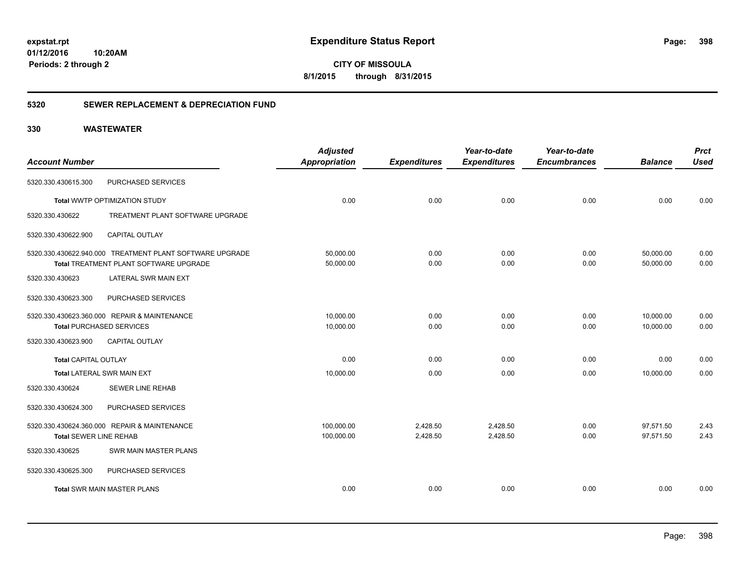**CITY OF MISSOULA 8/1/2015 through 8/31/2015**

### **5320 SEWER REPLACEMENT & DEPRECIATION FUND**

|                               |                                                          | <b>Adjusted</b>      |                     | Year-to-date        | Year-to-date        |                | <b>Prct</b> |
|-------------------------------|----------------------------------------------------------|----------------------|---------------------|---------------------|---------------------|----------------|-------------|
| <b>Account Number</b>         |                                                          | <b>Appropriation</b> | <b>Expenditures</b> | <b>Expenditures</b> | <b>Encumbrances</b> | <b>Balance</b> | <b>Used</b> |
| 5320.330.430615.300           | PURCHASED SERVICES                                       |                      |                     |                     |                     |                |             |
|                               | Total WWTP OPTIMIZATION STUDY                            | 0.00                 | 0.00                | 0.00                | 0.00                | 0.00           | 0.00        |
| 5320.330.430622               | TREATMENT PLANT SOFTWARE UPGRADE                         |                      |                     |                     |                     |                |             |
| 5320.330.430622.900           | <b>CAPITAL OUTLAY</b>                                    |                      |                     |                     |                     |                |             |
|                               | 5320.330.430622.940.000 TREATMENT PLANT SOFTWARE UPGRADE | 50,000.00            | 0.00                | 0.00                | 0.00                | 50,000.00      | 0.00        |
|                               | <b>Total TREATMENT PLANT SOFTWARE UPGRADE</b>            | 50,000.00            | 0.00                | 0.00                | 0.00                | 50,000.00      | 0.00        |
| 5320.330.430623               | LATERAL SWR MAIN EXT                                     |                      |                     |                     |                     |                |             |
| 5320.330.430623.300           | PURCHASED SERVICES                                       |                      |                     |                     |                     |                |             |
|                               | 5320.330.430623.360.000 REPAIR & MAINTENANCE             | 10,000.00            | 0.00                | 0.00                | 0.00                | 10,000.00      | 0.00        |
|                               | <b>Total PURCHASED SERVICES</b>                          | 10,000.00            | 0.00                | 0.00                | 0.00                | 10,000.00      | 0.00        |
| 5320.330.430623.900           | <b>CAPITAL OUTLAY</b>                                    |                      |                     |                     |                     |                |             |
| <b>Total CAPITAL OUTLAY</b>   |                                                          | 0.00                 | 0.00                | 0.00                | 0.00                | 0.00           | 0.00        |
|                               | <b>Total LATERAL SWR MAIN EXT</b>                        | 10,000.00            | 0.00                | 0.00                | 0.00                | 10,000.00      | 0.00        |
| 5320.330.430624               | <b>SEWER LINE REHAB</b>                                  |                      |                     |                     |                     |                |             |
| 5320.330.430624.300           | PURCHASED SERVICES                                       |                      |                     |                     |                     |                |             |
|                               | 5320.330.430624.360.000 REPAIR & MAINTENANCE             | 100,000.00           | 2,428.50            | 2,428.50            | 0.00                | 97,571.50      | 2.43        |
| <b>Total SEWER LINE REHAB</b> |                                                          | 100,000.00           | 2,428.50            | 2,428.50            | 0.00                | 97,571.50      | 2.43        |
| 5320.330.430625               | SWR MAIN MASTER PLANS                                    |                      |                     |                     |                     |                |             |
| 5320.330.430625.300           | PURCHASED SERVICES                                       |                      |                     |                     |                     |                |             |
|                               | <b>Total SWR MAIN MASTER PLANS</b>                       | 0.00                 | 0.00                | 0.00                | 0.00                | 0.00           | 0.00        |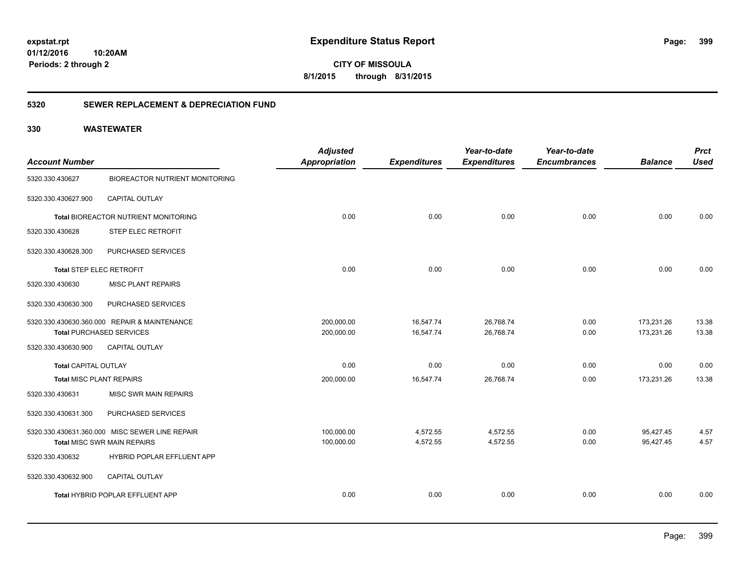**CITY OF MISSOULA 8/1/2015 through 8/31/2015**

### **5320 SEWER REPLACEMENT & DEPRECIATION FUND**

|                                 |                                                | <b>Adjusted</b>      |                     | Year-to-date        | Year-to-date        |                | <b>Prct</b> |
|---------------------------------|------------------------------------------------|----------------------|---------------------|---------------------|---------------------|----------------|-------------|
| <b>Account Number</b>           |                                                | <b>Appropriation</b> | <b>Expenditures</b> | <b>Expenditures</b> | <b>Encumbrances</b> | <b>Balance</b> | <b>Used</b> |
| 5320.330.430627                 | <b>BIOREACTOR NUTRIENT MONITORING</b>          |                      |                     |                     |                     |                |             |
| 5320.330.430627.900             | CAPITAL OUTLAY                                 |                      |                     |                     |                     |                |             |
|                                 | Total BIOREACTOR NUTRIENT MONITORING           | 0.00                 | 0.00                | 0.00                | 0.00                | 0.00           | 0.00        |
| 5320.330.430628                 | STEP ELEC RETROFIT                             |                      |                     |                     |                     |                |             |
| 5320.330.430628.300             | PURCHASED SERVICES                             |                      |                     |                     |                     |                |             |
| Total STEP ELEC RETROFIT        |                                                | 0.00                 | 0.00                | 0.00                | 0.00                | 0.00           | 0.00        |
| 5320.330.430630                 | <b>MISC PLANT REPAIRS</b>                      |                      |                     |                     |                     |                |             |
| 5320.330.430630.300             | PURCHASED SERVICES                             |                      |                     |                     |                     |                |             |
|                                 | 5320.330.430630.360.000 REPAIR & MAINTENANCE   | 200,000.00           | 16,547.74           | 26,768.74           | 0.00                | 173,231.26     | 13.38       |
|                                 | <b>Total PURCHASED SERVICES</b>                | 200,000.00           | 16,547.74           | 26,768.74           | 0.00                | 173,231.26     | 13.38       |
| 5320.330.430630.900             | <b>CAPITAL OUTLAY</b>                          |                      |                     |                     |                     |                |             |
| <b>Total CAPITAL OUTLAY</b>     |                                                | 0.00                 | 0.00                | 0.00                | 0.00                | 0.00           | 0.00        |
| <b>Total MISC PLANT REPAIRS</b> |                                                | 200,000.00           | 16,547.74           | 26,768.74           | 0.00                | 173,231.26     | 13.38       |
| 5320.330.430631                 | <b>MISC SWR MAIN REPAIRS</b>                   |                      |                     |                     |                     |                |             |
| 5320.330.430631.300             | PURCHASED SERVICES                             |                      |                     |                     |                     |                |             |
|                                 | 5320.330.430631.360.000 MISC SEWER LINE REPAIR | 100,000.00           | 4,572.55            | 4,572.55            | 0.00                | 95,427.45      | 4.57        |
|                                 | <b>Total MISC SWR MAIN REPAIRS</b>             | 100,000.00           | 4,572.55            | 4,572.55            | 0.00                | 95.427.45      | 4.57        |
| 5320.330.430632                 | HYBRID POPLAR EFFLUENT APP                     |                      |                     |                     |                     |                |             |
| 5320.330.430632.900             | CAPITAL OUTLAY                                 |                      |                     |                     |                     |                |             |
|                                 | Total HYBRID POPLAR EFFLUENT APP               | 0.00                 | 0.00                | 0.00                | 0.00                | 0.00           | 0.00        |
|                                 |                                                |                      |                     |                     |                     |                |             |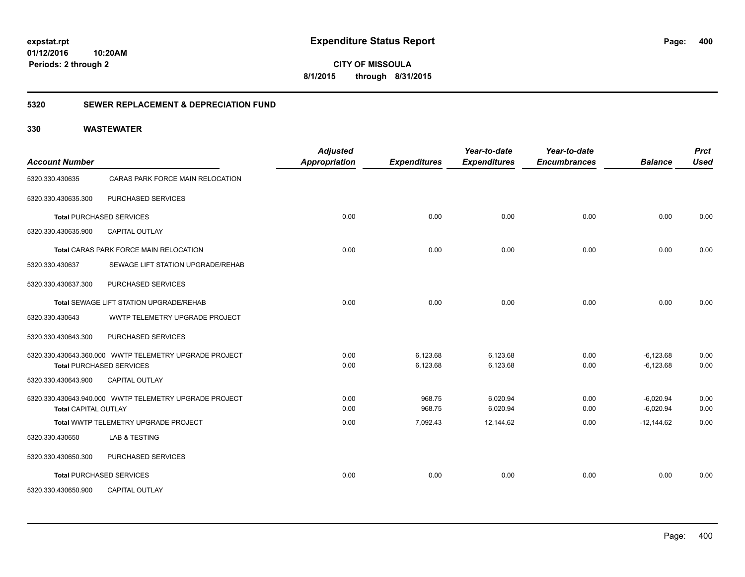**CITY OF MISSOULA 8/1/2015 through 8/31/2015**

### **5320 SEWER REPLACEMENT & DEPRECIATION FUND**

| <b>Account Number</b>       |                                                        | <b>Adjusted</b><br><b>Appropriation</b> | <b>Expenditures</b> | Year-to-date<br><b>Expenditures</b> | Year-to-date<br><b>Encumbrances</b> | <b>Balance</b> | <b>Prct</b><br><b>Used</b> |
|-----------------------------|--------------------------------------------------------|-----------------------------------------|---------------------|-------------------------------------|-------------------------------------|----------------|----------------------------|
| 5320.330.430635             | CARAS PARK FORCE MAIN RELOCATION                       |                                         |                     |                                     |                                     |                |                            |
| 5320.330.430635.300         | PURCHASED SERVICES                                     |                                         |                     |                                     |                                     |                |                            |
|                             | <b>Total PURCHASED SERVICES</b>                        | 0.00                                    | 0.00                | 0.00                                | 0.00                                | 0.00           | 0.00                       |
| 5320.330.430635.900         | CAPITAL OUTLAY                                         |                                         |                     |                                     |                                     |                |                            |
|                             | Total CARAS PARK FORCE MAIN RELOCATION                 | 0.00                                    | 0.00                | 0.00                                | 0.00                                | 0.00           | 0.00                       |
| 5320.330.430637             | SEWAGE LIFT STATION UPGRADE/REHAB                      |                                         |                     |                                     |                                     |                |                            |
| 5320.330.430637.300         | PURCHASED SERVICES                                     |                                         |                     |                                     |                                     |                |                            |
|                             | Total SEWAGE LIFT STATION UPGRADE/REHAB                | 0.00                                    | 0.00                | 0.00                                | 0.00                                | 0.00           | 0.00                       |
| 5320.330.430643             | WWTP TELEMETRY UPGRADE PROJECT                         |                                         |                     |                                     |                                     |                |                            |
| 5320.330.430643.300         | PURCHASED SERVICES                                     |                                         |                     |                                     |                                     |                |                            |
|                             | 5320.330.430643.360.000 WWTP TELEMETRY UPGRADE PROJECT | 0.00                                    | 6,123.68            | 6,123.68                            | 0.00                                | $-6,123.68$    | 0.00                       |
|                             | <b>Total PURCHASED SERVICES</b>                        | 0.00                                    | 6,123.68            | 6,123.68                            | 0.00                                | $-6,123.68$    | 0.00                       |
| 5320.330.430643.900         | CAPITAL OUTLAY                                         |                                         |                     |                                     |                                     |                |                            |
|                             | 5320.330.430643.940.000 WWTP TELEMETRY UPGRADE PROJECT | 0.00                                    | 968.75              | 6,020.94                            | 0.00                                | $-6,020.94$    | 0.00                       |
| <b>Total CAPITAL OUTLAY</b> |                                                        | 0.00                                    | 968.75              | 6,020.94                            | 0.00                                | $-6,020.94$    | 0.00                       |
|                             | Total WWTP TELEMETRY UPGRADE PROJECT                   | 0.00                                    | 7,092.43            | 12,144.62                           | 0.00                                | $-12,144.62$   | 0.00                       |
| 5320.330.430650             | <b>LAB &amp; TESTING</b>                               |                                         |                     |                                     |                                     |                |                            |
| 5320.330.430650.300         | PURCHASED SERVICES                                     |                                         |                     |                                     |                                     |                |                            |
|                             | <b>Total PURCHASED SERVICES</b>                        | 0.00                                    | 0.00                | 0.00                                | 0.00                                | 0.00           | 0.00                       |
| 5320.330.430650.900         | <b>CAPITAL OUTLAY</b>                                  |                                         |                     |                                     |                                     |                |                            |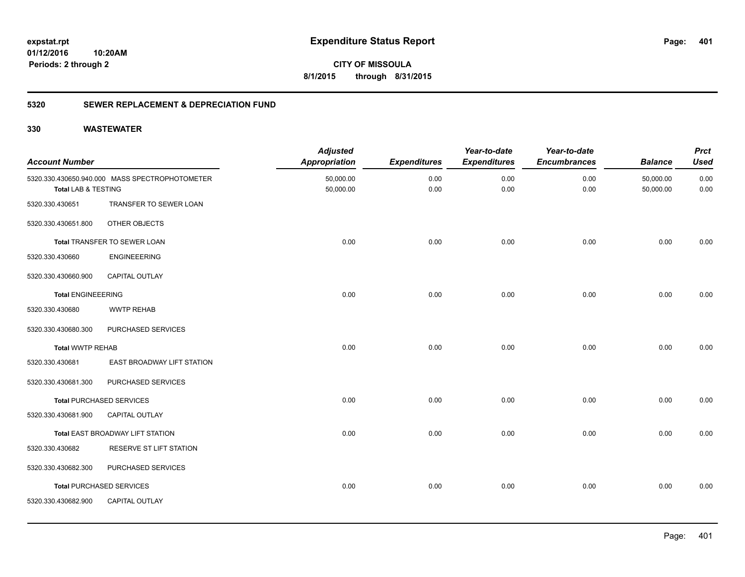**401**

**CITY OF MISSOULA 8/1/2015 through 8/31/2015**

### **5320 SEWER REPLACEMENT & DEPRECIATION FUND**

| <b>Account Number</b>     |                                                | <b>Adjusted</b><br><b>Appropriation</b> | <b>Expenditures</b> | Year-to-date<br><b>Expenditures</b> | Year-to-date<br><b>Encumbrances</b> | <b>Balance</b>         | <b>Prct</b><br><b>Used</b> |
|---------------------------|------------------------------------------------|-----------------------------------------|---------------------|-------------------------------------|-------------------------------------|------------------------|----------------------------|
| Total LAB & TESTING       | 5320.330.430650.940.000 MASS SPECTROPHOTOMETER | 50,000.00<br>50,000.00                  | 0.00<br>0.00        | 0.00<br>0.00                        | 0.00<br>0.00                        | 50,000.00<br>50,000.00 | 0.00<br>0.00               |
| 5320.330.430651           | TRANSFER TO SEWER LOAN                         |                                         |                     |                                     |                                     |                        |                            |
| 5320.330.430651.800       | OTHER OBJECTS                                  |                                         |                     |                                     |                                     |                        |                            |
|                           | Total TRANSFER TO SEWER LOAN                   | 0.00                                    | 0.00                | 0.00                                | 0.00                                | 0.00                   | 0.00                       |
| 5320.330.430660           | <b>ENGINEEERING</b>                            |                                         |                     |                                     |                                     |                        |                            |
| 5320.330.430660.900       | CAPITAL OUTLAY                                 |                                         |                     |                                     |                                     |                        |                            |
| <b>Total ENGINEEERING</b> |                                                | 0.00                                    | 0.00                | 0.00                                | 0.00                                | 0.00                   | 0.00                       |
| 5320.330.430680           | <b>WWTP REHAB</b>                              |                                         |                     |                                     |                                     |                        |                            |
| 5320.330.430680.300       | PURCHASED SERVICES                             |                                         |                     |                                     |                                     |                        |                            |
| <b>Total WWTP REHAB</b>   |                                                | 0.00                                    | 0.00                | 0.00                                | 0.00                                | 0.00                   | 0.00                       |
| 5320.330.430681           | EAST BROADWAY LIFT STATION                     |                                         |                     |                                     |                                     |                        |                            |
| 5320.330.430681.300       | PURCHASED SERVICES                             |                                         |                     |                                     |                                     |                        |                            |
|                           | <b>Total PURCHASED SERVICES</b>                | 0.00                                    | 0.00                | 0.00                                | 0.00                                | 0.00                   | 0.00                       |
| 5320.330.430681.900       | <b>CAPITAL OUTLAY</b>                          |                                         |                     |                                     |                                     |                        |                            |
|                           | Total EAST BROADWAY LIFT STATION               | 0.00                                    | 0.00                | 0.00                                | 0.00                                | 0.00                   | 0.00                       |
| 5320.330.430682           | RESERVE ST LIFT STATION                        |                                         |                     |                                     |                                     |                        |                            |
| 5320.330.430682.300       | PURCHASED SERVICES                             |                                         |                     |                                     |                                     |                        |                            |
|                           | <b>Total PURCHASED SERVICES</b>                | 0.00                                    | 0.00                | 0.00                                | 0.00                                | 0.00                   | 0.00                       |
| 5320.330.430682.900       | CAPITAL OUTLAY                                 |                                         |                     |                                     |                                     |                        |                            |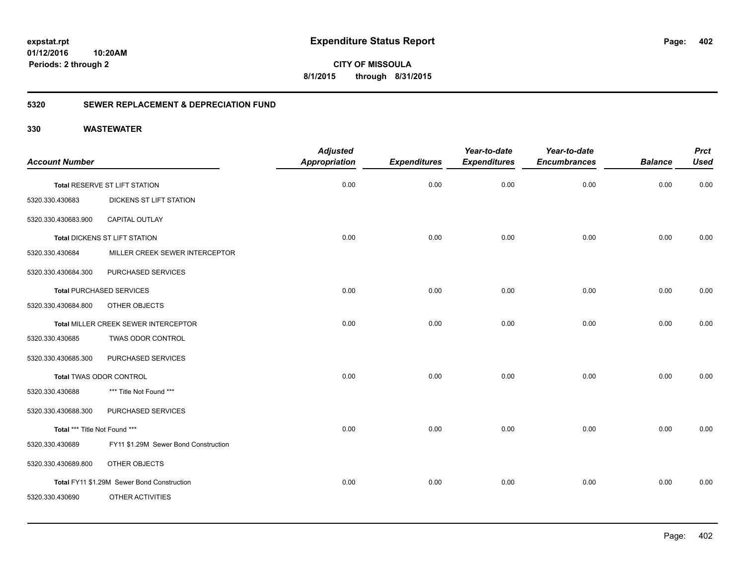**CITY OF MISSOULA 8/1/2015 through 8/31/2015**

### **5320 SEWER REPLACEMENT & DEPRECIATION FUND**

| <b>Account Number</b>         |                                            | <b>Adjusted</b><br><b>Appropriation</b> | <b>Expenditures</b> | Year-to-date<br><b>Expenditures</b> | Year-to-date<br><b>Encumbrances</b> | <b>Balance</b> | <b>Prct</b><br><b>Used</b> |
|-------------------------------|--------------------------------------------|-----------------------------------------|---------------------|-------------------------------------|-------------------------------------|----------------|----------------------------|
|                               | Total RESERVE ST LIFT STATION              | 0.00                                    | 0.00                | 0.00                                | 0.00                                | 0.00           | 0.00                       |
| 5320.330.430683               | <b>DICKENS ST LIFT STATION</b>             |                                         |                     |                                     |                                     |                |                            |
| 5320.330.430683.900           | <b>CAPITAL OUTLAY</b>                      |                                         |                     |                                     |                                     |                |                            |
|                               | Total DICKENS ST LIFT STATION              | 0.00                                    | 0.00                | 0.00                                | 0.00                                | 0.00           | 0.00                       |
| 5320.330.430684               | MILLER CREEK SEWER INTERCEPTOR             |                                         |                     |                                     |                                     |                |                            |
| 5320.330.430684.300           | PURCHASED SERVICES                         |                                         |                     |                                     |                                     |                |                            |
|                               | <b>Total PURCHASED SERVICES</b>            | 0.00                                    | 0.00                | 0.00                                | 0.00                                | 0.00           | 0.00                       |
| 5320.330.430684.800           | OTHER OBJECTS                              |                                         |                     |                                     |                                     |                |                            |
|                               | Total MILLER CREEK SEWER INTERCEPTOR       | 0.00                                    | 0.00                | 0.00                                | 0.00                                | 0.00           | 0.00                       |
| 5320.330.430685               | TWAS ODOR CONTROL                          |                                         |                     |                                     |                                     |                |                            |
| 5320.330.430685.300           | PURCHASED SERVICES                         |                                         |                     |                                     |                                     |                |                            |
|                               | Total TWAS ODOR CONTROL                    | 0.00                                    | 0.00                | 0.00                                | 0.00                                | 0.00           | 0.00                       |
| 5320.330.430688               | *** Title Not Found ***                    |                                         |                     |                                     |                                     |                |                            |
| 5320.330.430688.300           | PURCHASED SERVICES                         |                                         |                     |                                     |                                     |                |                            |
| Total *** Title Not Found *** |                                            | 0.00                                    | 0.00                | 0.00                                | 0.00                                | 0.00           | 0.00                       |
| 5320.330.430689               | FY11 \$1.29M Sewer Bond Construction       |                                         |                     |                                     |                                     |                |                            |
| 5320.330.430689.800           | OTHER OBJECTS                              |                                         |                     |                                     |                                     |                |                            |
|                               | Total FY11 \$1.29M Sewer Bond Construction | 0.00                                    | 0.00                | 0.00                                | 0.00                                | 0.00           | 0.00                       |
| 5320.330.430690               | OTHER ACTIVITIES                           |                                         |                     |                                     |                                     |                |                            |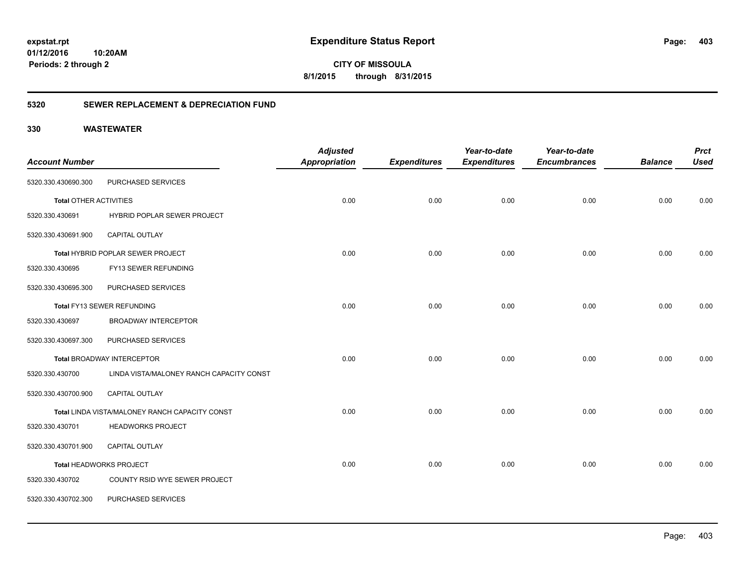**CITY OF MISSOULA 8/1/2015 through 8/31/2015**

### **5320 SEWER REPLACEMENT & DEPRECIATION FUND**

|                               |                                                | <b>Adjusted</b>      |                     | Year-to-date        | Year-to-date        |                | <b>Prct</b> |
|-------------------------------|------------------------------------------------|----------------------|---------------------|---------------------|---------------------|----------------|-------------|
| <b>Account Number</b>         |                                                | <b>Appropriation</b> | <b>Expenditures</b> | <b>Expenditures</b> | <b>Encumbrances</b> | <b>Balance</b> | <b>Used</b> |
| 5320.330.430690.300           | PURCHASED SERVICES                             |                      |                     |                     |                     |                |             |
| <b>Total OTHER ACTIVITIES</b> |                                                | 0.00                 | 0.00                | 0.00                | 0.00                | 0.00           | 0.00        |
| 5320.330.430691               | HYBRID POPLAR SEWER PROJECT                    |                      |                     |                     |                     |                |             |
| 5320.330.430691.900           | CAPITAL OUTLAY                                 |                      |                     |                     |                     |                |             |
|                               | Total HYBRID POPLAR SEWER PROJECT              | 0.00                 | 0.00                | 0.00                | 0.00                | 0.00           | 0.00        |
| 5320.330.430695               | FY13 SEWER REFUNDING                           |                      |                     |                     |                     |                |             |
| 5320.330.430695.300           | PURCHASED SERVICES                             |                      |                     |                     |                     |                |             |
|                               | Total FY13 SEWER REFUNDING                     | 0.00                 | 0.00                | 0.00                | 0.00                | 0.00           | 0.00        |
| 5320.330.430697               | <b>BROADWAY INTERCEPTOR</b>                    |                      |                     |                     |                     |                |             |
| 5320.330.430697.300           | PURCHASED SERVICES                             |                      |                     |                     |                     |                |             |
|                               | <b>Total BROADWAY INTERCEPTOR</b>              | 0.00                 | 0.00                | 0.00                | 0.00                | 0.00           | 0.00        |
| 5320.330.430700               | LINDA VISTA/MALONEY RANCH CAPACITY CONST       |                      |                     |                     |                     |                |             |
| 5320.330.430700.900           | <b>CAPITAL OUTLAY</b>                          |                      |                     |                     |                     |                |             |
|                               | Total LINDA VISTA/MALONEY RANCH CAPACITY CONST | 0.00                 | 0.00                | 0.00                | 0.00                | 0.00           | 0.00        |
| 5320.330.430701               | <b>HEADWORKS PROJECT</b>                       |                      |                     |                     |                     |                |             |
| 5320.330.430701.900           | CAPITAL OUTLAY                                 |                      |                     |                     |                     |                |             |
|                               | Total HEADWORKS PROJECT                        | 0.00                 | 0.00                | 0.00                | 0.00                | 0.00           | 0.00        |
| 5320.330.430702               | COUNTY RSID WYE SEWER PROJECT                  |                      |                     |                     |                     |                |             |
| 5320.330.430702.300           | PURCHASED SERVICES                             |                      |                     |                     |                     |                |             |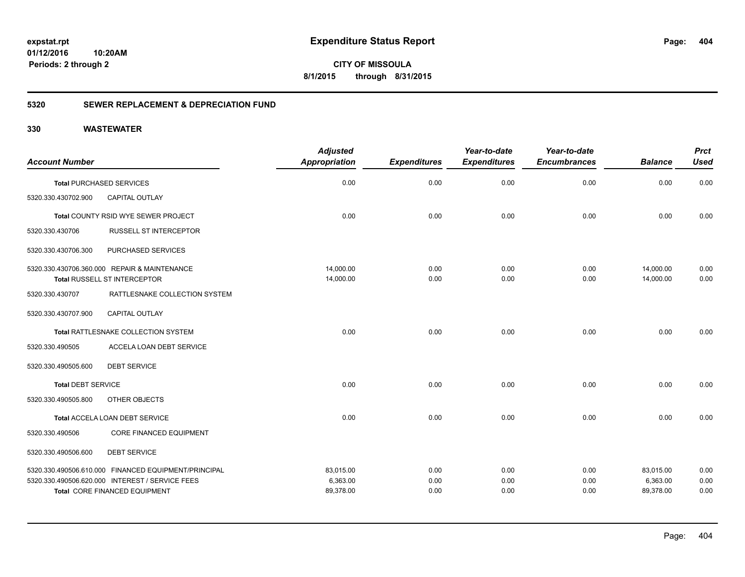**CITY OF MISSOULA 8/1/2015 through 8/31/2015**

### **5320 SEWER REPLACEMENT & DEPRECIATION FUND**

|                           |                                                      | <b>Adjusted</b>      |                     | Year-to-date        | Year-to-date        |                | <b>Prct</b> |
|---------------------------|------------------------------------------------------|----------------------|---------------------|---------------------|---------------------|----------------|-------------|
| <b>Account Number</b>     |                                                      | <b>Appropriation</b> | <b>Expenditures</b> | <b>Expenditures</b> | <b>Encumbrances</b> | <b>Balance</b> | <b>Used</b> |
|                           | <b>Total PURCHASED SERVICES</b>                      | 0.00                 | 0.00                | 0.00                | 0.00                | 0.00           | 0.00        |
| 5320.330.430702.900       | CAPITAL OUTLAY                                       |                      |                     |                     |                     |                |             |
|                           | Total COUNTY RSID WYE SEWER PROJECT                  | 0.00                 | 0.00                | 0.00                | 0.00                | 0.00           | 0.00        |
| 5320.330.430706           | <b>RUSSELL ST INTERCEPTOR</b>                        |                      |                     |                     |                     |                |             |
| 5320.330.430706.300       | PURCHASED SERVICES                                   |                      |                     |                     |                     |                |             |
|                           | 5320.330.430706.360.000 REPAIR & MAINTENANCE         | 14,000.00            | 0.00                | 0.00                | 0.00                | 14,000.00      | 0.00        |
|                           | Total RUSSELL ST INTERCEPTOR                         | 14,000.00            | 0.00                | 0.00                | 0.00                | 14,000.00      | 0.00        |
| 5320.330.430707           | RATTLESNAKE COLLECTION SYSTEM                        |                      |                     |                     |                     |                |             |
| 5320.330.430707.900       | <b>CAPITAL OUTLAY</b>                                |                      |                     |                     |                     |                |             |
|                           | Total RATTLESNAKE COLLECTION SYSTEM                  | 0.00                 | 0.00                | 0.00                | 0.00                | 0.00           | 0.00        |
| 5320.330.490505           | ACCELA LOAN DEBT SERVICE                             |                      |                     |                     |                     |                |             |
| 5320.330.490505.600       | <b>DEBT SERVICE</b>                                  |                      |                     |                     |                     |                |             |
| <b>Total DEBT SERVICE</b> |                                                      | 0.00                 | 0.00                | 0.00                | 0.00                | 0.00           | 0.00        |
| 5320.330.490505.800       | OTHER OBJECTS                                        |                      |                     |                     |                     |                |             |
|                           | Total ACCELA LOAN DEBT SERVICE                       | 0.00                 | 0.00                | 0.00                | 0.00                | 0.00           | 0.00        |
| 5320.330.490506           | <b>CORE FINANCED EQUIPMENT</b>                       |                      |                     |                     |                     |                |             |
| 5320.330.490506.600       | <b>DEBT SERVICE</b>                                  |                      |                     |                     |                     |                |             |
|                           | 5320.330.490506.610.000 FINANCED EQUIPMENT/PRINCIPAL | 83,015.00            | 0.00                | 0.00                | 0.00                | 83,015.00      | 0.00        |
|                           | 5320.330.490506.620.000 INTEREST / SERVICE FEES      | 6,363.00             | 0.00                | 0.00                | 0.00                | 6,363.00       | 0.00        |
|                           | <b>Total CORE FINANCED EQUIPMENT</b>                 | 89,378.00            | 0.00                | 0.00                | 0.00                | 89,378.00      | 0.00        |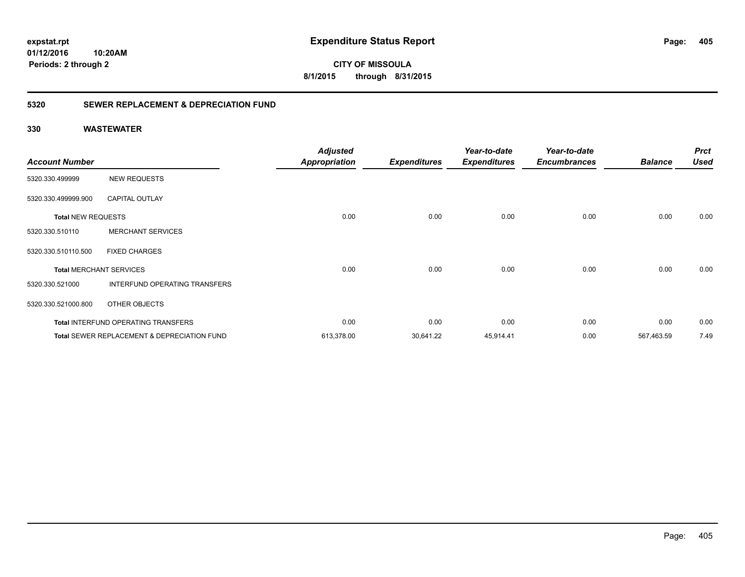**CITY OF MISSOULA 8/1/2015 through 8/31/2015**

### **5320 SEWER REPLACEMENT & DEPRECIATION FUND**

|                           |                                                        | <b>Adjusted</b>      |                     | Year-to-date        | Year-to-date        | <b>Balance</b> | <b>Prct</b><br><b>Used</b> |
|---------------------------|--------------------------------------------------------|----------------------|---------------------|---------------------|---------------------|----------------|----------------------------|
| <b>Account Number</b>     |                                                        | <b>Appropriation</b> | <b>Expenditures</b> | <b>Expenditures</b> | <b>Encumbrances</b> |                |                            |
| 5320.330.499999           | <b>NEW REQUESTS</b>                                    |                      |                     |                     |                     |                |                            |
| 5320.330.499999.900       | <b>CAPITAL OUTLAY</b>                                  |                      |                     |                     |                     |                |                            |
| <b>Total NEW REQUESTS</b> |                                                        | 0.00                 | 0.00                | 0.00                | 0.00                | 0.00           | 0.00                       |
| 5320.330.510110           | <b>MERCHANT SERVICES</b>                               |                      |                     |                     |                     |                |                            |
| 5320.330.510110.500       | <b>FIXED CHARGES</b>                                   |                      |                     |                     |                     |                |                            |
|                           | <b>Total MERCHANT SERVICES</b>                         | 0.00                 | 0.00                | 0.00                | 0.00                | 0.00           | 0.00                       |
| 5320.330.521000           | INTERFUND OPERATING TRANSFERS                          |                      |                     |                     |                     |                |                            |
| 5320.330.521000.800       | OTHER OBJECTS                                          |                      |                     |                     |                     |                |                            |
|                           | <b>Total INTERFUND OPERATING TRANSFERS</b>             | 0.00                 | 0.00                | 0.00                | 0.00                | 0.00           | 0.00                       |
|                           | <b>Total SEWER REPLACEMENT &amp; DEPRECIATION FUND</b> | 613,378.00           | 30,641.22           | 45,914.41           | 0.00                | 567,463.59     | 7.49                       |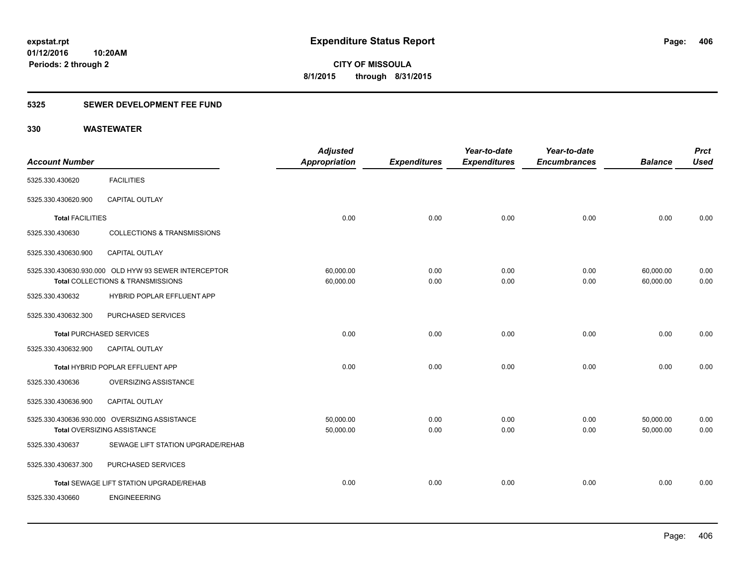### **5325 SEWER DEVELOPMENT FEE FUND**

| <b>Account Number</b>   |                                                                                           | <b>Adjusted</b><br>Appropriation | <b>Expenditures</b> | Year-to-date<br><b>Expenditures</b> | Year-to-date<br><b>Encumbrances</b> | <b>Balance</b>         | <b>Prct</b><br><b>Used</b> |
|-------------------------|-------------------------------------------------------------------------------------------|----------------------------------|---------------------|-------------------------------------|-------------------------------------|------------------------|----------------------------|
| 5325.330.430620         | <b>FACILITIES</b>                                                                         |                                  |                     |                                     |                                     |                        |                            |
| 5325.330.430620.900     | <b>CAPITAL OUTLAY</b>                                                                     |                                  |                     |                                     |                                     |                        |                            |
| <b>Total FACILITIES</b> |                                                                                           | 0.00                             | 0.00                | 0.00                                | 0.00                                | 0.00                   | 0.00                       |
| 5325.330.430630         | <b>COLLECTIONS &amp; TRANSMISSIONS</b>                                                    |                                  |                     |                                     |                                     |                        |                            |
| 5325.330.430630.900     | CAPITAL OUTLAY                                                                            |                                  |                     |                                     |                                     |                        |                            |
|                         | 5325.330.430630.930.000 OLD HYW 93 SEWER INTERCEPTOR<br>Total COLLECTIONS & TRANSMISSIONS | 60,000.00<br>60,000.00           | 0.00<br>0.00        | 0.00<br>0.00                        | 0.00<br>0.00                        | 60,000.00<br>60,000.00 | 0.00<br>0.00               |
| 5325.330.430632         | HYBRID POPLAR EFFLUENT APP                                                                |                                  |                     |                                     |                                     |                        |                            |
| 5325.330.430632.300     | PURCHASED SERVICES                                                                        |                                  |                     |                                     |                                     |                        |                            |
|                         | <b>Total PURCHASED SERVICES</b>                                                           | 0.00                             | 0.00                | 0.00                                | 0.00                                | 0.00                   | 0.00                       |
| 5325.330.430632.900     | <b>CAPITAL OUTLAY</b>                                                                     |                                  |                     |                                     |                                     |                        |                            |
|                         | Total HYBRID POPLAR EFFLUENT APP                                                          | 0.00                             | 0.00                | 0.00                                | 0.00                                | 0.00                   | 0.00                       |
| 5325.330.430636         | <b>OVERSIZING ASSISTANCE</b>                                                              |                                  |                     |                                     |                                     |                        |                            |
| 5325.330.430636.900     | CAPITAL OUTLAY                                                                            |                                  |                     |                                     |                                     |                        |                            |
|                         | 5325.330.430636.930.000 OVERSIZING ASSISTANCE<br>Total OVERSIZING ASSISTANCE              | 50,000.00<br>50,000.00           | 0.00<br>0.00        | 0.00<br>0.00                        | 0.00<br>0.00                        | 50,000.00<br>50,000.00 | 0.00<br>0.00               |
| 5325.330.430637         | SEWAGE LIFT STATION UPGRADE/REHAB                                                         |                                  |                     |                                     |                                     |                        |                            |
| 5325.330.430637.300     | PURCHASED SERVICES                                                                        |                                  |                     |                                     |                                     |                        |                            |
|                         | Total SEWAGE LIFT STATION UPGRADE/REHAB                                                   | 0.00                             | 0.00                | 0.00                                | 0.00                                | 0.00                   | 0.00                       |
| 5325.330.430660         | <b>ENGINEEERING</b>                                                                       |                                  |                     |                                     |                                     |                        |                            |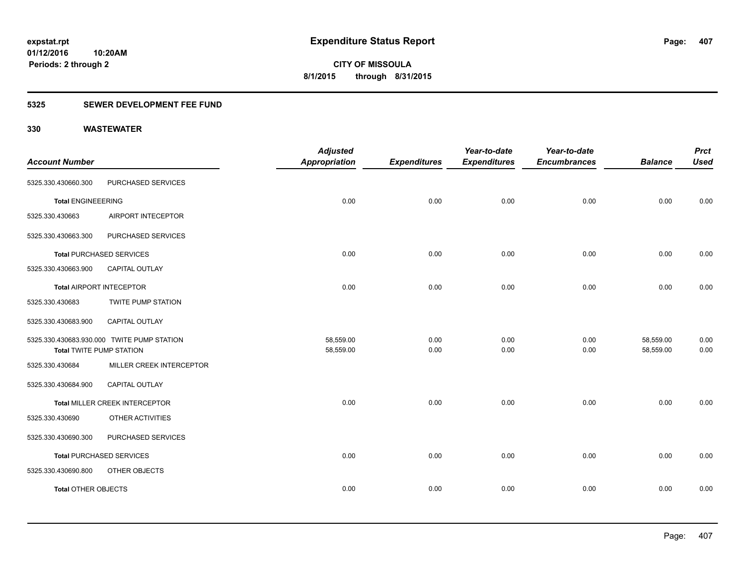### **5325 SEWER DEVELOPMENT FEE FUND**

| <b>Account Number</b>           |                                            | <b>Adjusted</b><br><b>Appropriation</b> | <b>Expenditures</b> | Year-to-date<br><b>Expenditures</b> | Year-to-date<br><b>Encumbrances</b> | <b>Balance</b>         | <b>Prct</b><br><b>Used</b> |
|---------------------------------|--------------------------------------------|-----------------------------------------|---------------------|-------------------------------------|-------------------------------------|------------------------|----------------------------|
| 5325.330.430660.300             | PURCHASED SERVICES                         |                                         |                     |                                     |                                     |                        |                            |
| <b>Total ENGINEEERING</b>       |                                            | 0.00                                    | 0.00                | 0.00                                | 0.00                                | 0.00                   | 0.00                       |
| 5325.330.430663                 | AIRPORT INTECEPTOR                         |                                         |                     |                                     |                                     |                        |                            |
| 5325.330.430663.300             | PURCHASED SERVICES                         |                                         |                     |                                     |                                     |                        |                            |
|                                 | <b>Total PURCHASED SERVICES</b>            | 0.00                                    | 0.00                | 0.00                                | 0.00                                | 0.00                   | 0.00                       |
| 5325.330.430663.900             | <b>CAPITAL OUTLAY</b>                      |                                         |                     |                                     |                                     |                        |                            |
|                                 | <b>Total AIRPORT INTECEPTOR</b>            | 0.00                                    | 0.00                | 0.00                                | 0.00                                | 0.00                   | 0.00                       |
| 5325.330.430683                 | <b>TWITE PUMP STATION</b>                  |                                         |                     |                                     |                                     |                        |                            |
| 5325.330.430683.900             | <b>CAPITAL OUTLAY</b>                      |                                         |                     |                                     |                                     |                        |                            |
| <b>Total TWITE PUMP STATION</b> | 5325.330.430683.930.000 TWITE PUMP STATION | 58,559.00<br>58,559.00                  | 0.00<br>0.00        | 0.00<br>0.00                        | 0.00<br>0.00                        | 58,559.00<br>58,559.00 | 0.00<br>0.00               |
| 5325.330.430684                 | MILLER CREEK INTERCEPTOR                   |                                         |                     |                                     |                                     |                        |                            |
| 5325.330.430684.900             | CAPITAL OUTLAY                             |                                         |                     |                                     |                                     |                        |                            |
|                                 | Total MILLER CREEK INTERCEPTOR             | 0.00                                    | 0.00                | 0.00                                | 0.00                                | 0.00                   | 0.00                       |
| 5325.330.430690                 | OTHER ACTIVITIES                           |                                         |                     |                                     |                                     |                        |                            |
| 5325.330.430690.300             | PURCHASED SERVICES                         |                                         |                     |                                     |                                     |                        |                            |
|                                 | <b>Total PURCHASED SERVICES</b>            | 0.00                                    | 0.00                | 0.00                                | 0.00                                | 0.00                   | 0.00                       |
| 5325.330.430690.800             | OTHER OBJECTS                              |                                         |                     |                                     |                                     |                        |                            |
| <b>Total OTHER OBJECTS</b>      |                                            | 0.00                                    | 0.00                | 0.00                                | 0.00                                | 0.00                   | 0.00                       |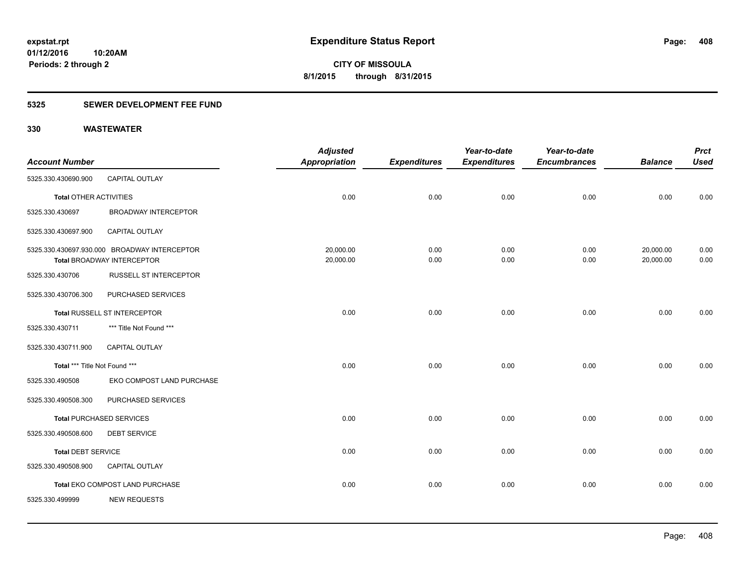### **5325 SEWER DEVELOPMENT FEE FUND**

|                               |                                              | <b>Adjusted</b>      |                     | Year-to-date        | Year-to-date        |                | <b>Prct</b> |
|-------------------------------|----------------------------------------------|----------------------|---------------------|---------------------|---------------------|----------------|-------------|
| <b>Account Number</b>         |                                              | <b>Appropriation</b> | <b>Expenditures</b> | <b>Expenditures</b> | <b>Encumbrances</b> | <b>Balance</b> | <b>Used</b> |
| 5325.330.430690.900           | CAPITAL OUTLAY                               |                      |                     |                     |                     |                |             |
| <b>Total OTHER ACTIVITIES</b> |                                              | 0.00                 | 0.00                | 0.00                | 0.00                | 0.00           | 0.00        |
| 5325.330.430697               | <b>BROADWAY INTERCEPTOR</b>                  |                      |                     |                     |                     |                |             |
| 5325.330.430697.900           | <b>CAPITAL OUTLAY</b>                        |                      |                     |                     |                     |                |             |
|                               | 5325.330.430697.930.000 BROADWAY INTERCEPTOR | 20,000.00            | 0.00                | 0.00                | 0.00                | 20,000.00      | 0.00        |
|                               | <b>Total BROADWAY INTERCEPTOR</b>            | 20,000.00            | 0.00                | 0.00                | 0.00                | 20,000.00      | 0.00        |
| 5325.330.430706               | <b>RUSSELL ST INTERCEPTOR</b>                |                      |                     |                     |                     |                |             |
| 5325.330.430706.300           | PURCHASED SERVICES                           |                      |                     |                     |                     |                |             |
|                               | <b>Total RUSSELL ST INTERCEPTOR</b>          | 0.00                 | 0.00                | 0.00                | 0.00                | 0.00           | 0.00        |
| 5325.330.430711               | *** Title Not Found ***                      |                      |                     |                     |                     |                |             |
| 5325.330.430711.900           | <b>CAPITAL OUTLAY</b>                        |                      |                     |                     |                     |                |             |
| Total *** Title Not Found *** |                                              | 0.00                 | 0.00                | 0.00                | 0.00                | 0.00           | 0.00        |
| 5325.330.490508               | EKO COMPOST LAND PURCHASE                    |                      |                     |                     |                     |                |             |
| 5325.330.490508.300           | PURCHASED SERVICES                           |                      |                     |                     |                     |                |             |
|                               | <b>Total PURCHASED SERVICES</b>              | 0.00                 | 0.00                | 0.00                | 0.00                | 0.00           | 0.00        |
| 5325.330.490508.600           | <b>DEBT SERVICE</b>                          |                      |                     |                     |                     |                |             |
| <b>Total DEBT SERVICE</b>     |                                              | 0.00                 | 0.00                | 0.00                | 0.00                | 0.00           | 0.00        |
| 5325.330.490508.900           | CAPITAL OUTLAY                               |                      |                     |                     |                     |                |             |
|                               | Total EKO COMPOST LAND PURCHASE              | 0.00                 | 0.00                | 0.00                | 0.00                | 0.00           | 0.00        |
| 5325.330.499999               | <b>NEW REQUESTS</b>                          |                      |                     |                     |                     |                |             |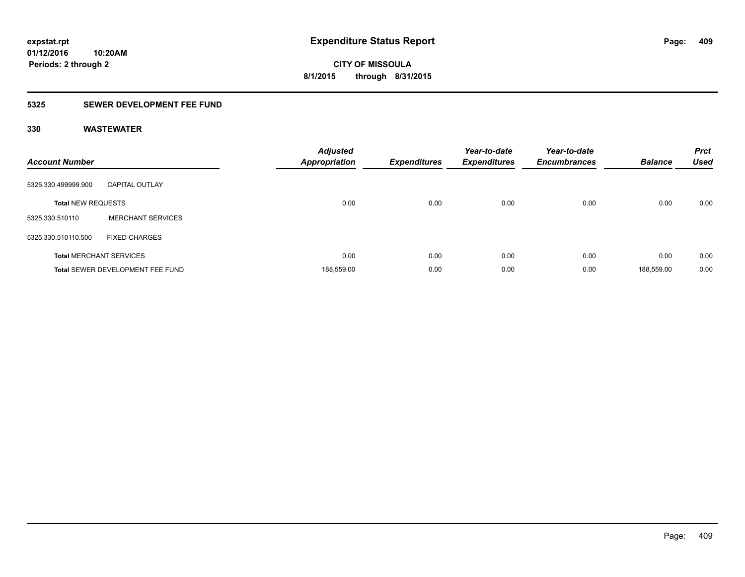### **5325 SEWER DEVELOPMENT FEE FUND**

| <b>Account Number</b>     |                                  | <b>Adjusted</b><br><b>Appropriation</b> | <b>Expenditures</b> | Year-to-date<br><b>Expenditures</b> | Year-to-date<br><b>Encumbrances</b> | <b>Balance</b> | <b>Prct</b><br><b>Used</b> |
|---------------------------|----------------------------------|-----------------------------------------|---------------------|-------------------------------------|-------------------------------------|----------------|----------------------------|
| 5325.330.499999.900       | <b>CAPITAL OUTLAY</b>            |                                         |                     |                                     |                                     |                |                            |
| <b>Total NEW REQUESTS</b> |                                  | 0.00                                    | 0.00                | 0.00                                | 0.00                                | 0.00           | 0.00                       |
| 5325.330.510110           | <b>MERCHANT SERVICES</b>         |                                         |                     |                                     |                                     |                |                            |
| 5325.330.510110.500       | <b>FIXED CHARGES</b>             |                                         |                     |                                     |                                     |                |                            |
|                           | <b>Total MERCHANT SERVICES</b>   | 0.00                                    | 0.00                | 0.00                                | 0.00                                | 0.00           | 0.00                       |
|                           | Total SEWER DEVELOPMENT FEE FUND | 188,559.00                              | 0.00                | 0.00                                | 0.00                                | 188.559.00     | 0.00                       |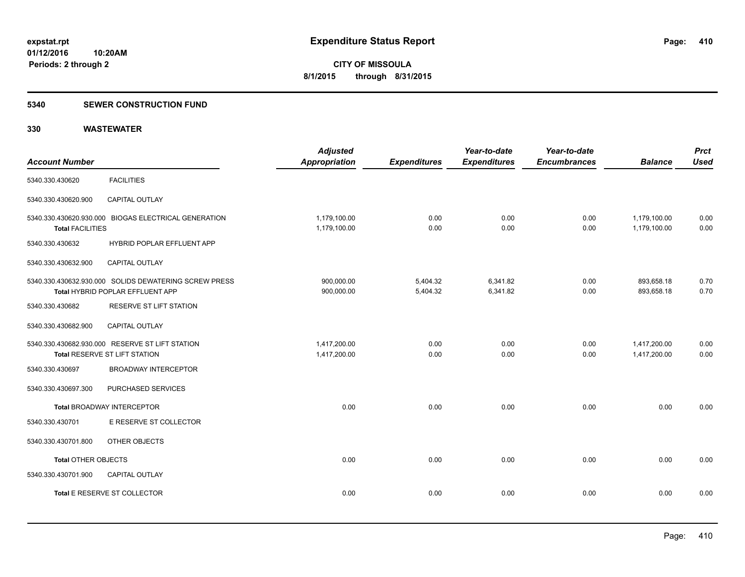#### **5340 SEWER CONSTRUCTION FUND**

| <b>Account Number</b>      |                                                                                           | <b>Adjusted</b><br><b>Appropriation</b> | <b>Expenditures</b>  | Year-to-date<br><b>Expenditures</b> | Year-to-date<br><b>Encumbrances</b> | <b>Balance</b>               | <b>Prct</b><br><b>Used</b> |
|----------------------------|-------------------------------------------------------------------------------------------|-----------------------------------------|----------------------|-------------------------------------|-------------------------------------|------------------------------|----------------------------|
| 5340.330.430620            | <b>FACILITIES</b>                                                                         |                                         |                      |                                     |                                     |                              |                            |
| 5340.330.430620.900        | CAPITAL OUTLAY                                                                            |                                         |                      |                                     |                                     |                              |                            |
| <b>Total FACILITIES</b>    | 5340.330.430620.930.000 BIOGAS ELECTRICAL GENERATION                                      | 1,179,100.00<br>1,179,100.00            | 0.00<br>0.00         | 0.00<br>0.00                        | 0.00<br>0.00                        | 1,179,100.00<br>1,179,100.00 | 0.00<br>0.00               |
| 5340.330.430632            | HYBRID POPLAR EFFLUENT APP                                                                |                                         |                      |                                     |                                     |                              |                            |
| 5340.330.430632.900        | <b>CAPITAL OUTLAY</b>                                                                     |                                         |                      |                                     |                                     |                              |                            |
|                            | 5340.330.430632.930.000 SOLIDS DEWATERING SCREW PRESS<br>Total HYBRID POPLAR EFFLUENT APP | 900,000.00<br>900,000.00                | 5,404.32<br>5,404.32 | 6,341.82<br>6,341.82                | 0.00<br>0.00                        | 893,658.18<br>893,658.18     | 0.70<br>0.70               |
| 5340.330.430682            | RESERVE ST LIFT STATION                                                                   |                                         |                      |                                     |                                     |                              |                            |
| 5340.330.430682.900        | <b>CAPITAL OUTLAY</b>                                                                     |                                         |                      |                                     |                                     |                              |                            |
|                            | 5340.330.430682.930.000 RESERVE ST LIFT STATION<br>Total RESERVE ST LIFT STATION          | 1,417,200.00<br>1,417,200.00            | 0.00<br>0.00         | 0.00<br>0.00                        | 0.00<br>0.00                        | 1,417,200.00<br>1,417,200.00 | 0.00<br>0.00               |
| 5340.330.430697            | <b>BROADWAY INTERCEPTOR</b>                                                               |                                         |                      |                                     |                                     |                              |                            |
| 5340.330.430697.300        | PURCHASED SERVICES                                                                        |                                         |                      |                                     |                                     |                              |                            |
|                            | <b>Total BROADWAY INTERCEPTOR</b>                                                         | 0.00                                    | 0.00                 | 0.00                                | 0.00                                | 0.00                         | 0.00                       |
| 5340.330.430701            | E RESERVE ST COLLECTOR                                                                    |                                         |                      |                                     |                                     |                              |                            |
| 5340.330.430701.800        | OTHER OBJECTS                                                                             |                                         |                      |                                     |                                     |                              |                            |
| <b>Total OTHER OBJECTS</b> |                                                                                           | 0.00                                    | 0.00                 | 0.00                                | 0.00                                | 0.00                         | 0.00                       |
| 5340.330.430701.900        | <b>CAPITAL OUTLAY</b>                                                                     |                                         |                      |                                     |                                     |                              |                            |
|                            | Total E RESERVE ST COLLECTOR                                                              | 0.00                                    | 0.00                 | 0.00                                | 0.00                                | 0.00                         | 0.00                       |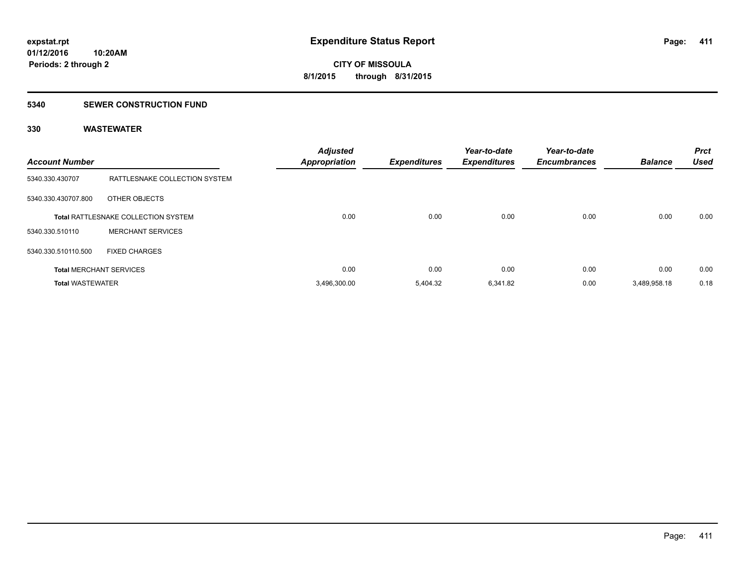#### **5340 SEWER CONSTRUCTION FUND**

| <b>Account Number</b>   |                                            | <b>Adjusted</b><br><b>Appropriation</b> | <b>Expenditures</b> | Year-to-date<br><b>Expenditures</b> | Year-to-date<br><b>Encumbrances</b> | <b>Balance</b> | <b>Prct</b><br><b>Used</b> |
|-------------------------|--------------------------------------------|-----------------------------------------|---------------------|-------------------------------------|-------------------------------------|----------------|----------------------------|
| 5340.330.430707         | RATTLESNAKE COLLECTION SYSTEM              |                                         |                     |                                     |                                     |                |                            |
| 5340.330.430707.800     | OTHER OBJECTS                              |                                         |                     |                                     |                                     |                |                            |
|                         | <b>Total RATTLESNAKE COLLECTION SYSTEM</b> | 0.00                                    | 0.00                | 0.00                                | 0.00                                | 0.00           | 0.00                       |
| 5340.330.510110         | <b>MERCHANT SERVICES</b>                   |                                         |                     |                                     |                                     |                |                            |
| 5340.330.510110.500     | <b>FIXED CHARGES</b>                       |                                         |                     |                                     |                                     |                |                            |
|                         | <b>Total MERCHANT SERVICES</b>             | 0.00                                    | 0.00                | 0.00                                | 0.00                                | 0.00           | 0.00                       |
| <b>Total WASTEWATER</b> |                                            | 3,496,300.00                            | 5.404.32            | 6,341.82                            | 0.00                                | 3,489,958.18   | 0.18                       |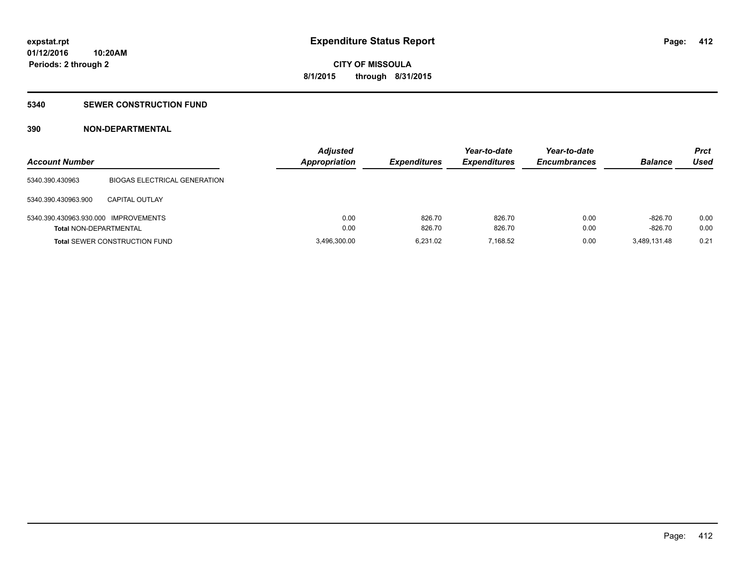### **5340 SEWER CONSTRUCTION FUND**

### **390 NON-DEPARTMENTAL**

| <b>Account Number</b>                |                                      | <b>Adjusted</b><br>Appropriation | <b>Expenditures</b> | Year-to-date<br><b>Expenditures</b> | Year-to-date<br><b>Encumbrances</b> | <b>Balance</b> | <b>Prct</b><br>Used |
|--------------------------------------|--------------------------------------|----------------------------------|---------------------|-------------------------------------|-------------------------------------|----------------|---------------------|
| 5340.390.430963                      | <b>BIOGAS ELECTRICAL GENERATION</b>  |                                  |                     |                                     |                                     |                |                     |
| 5340.390.430963.900                  | <b>CAPITAL OUTLAY</b>                |                                  |                     |                                     |                                     |                |                     |
| 5340.390.430963.930.000 IMPROVEMENTS |                                      | 0.00                             | 826.70              | 826.70                              | 0.00                                | $-826.70$      | 0.00                |
| <b>Total NON-DEPARTMENTAL</b>        |                                      | 0.00                             | 826.70              | 826.70                              | 0.00                                | $-826.70$      | 0.00                |
|                                      | <b>Total SEWER CONSTRUCTION FUND</b> | 3,496,300.00                     | 6.231.02            | 7.168.52                            | 0.00                                | 3.489.131.48   | 0.21                |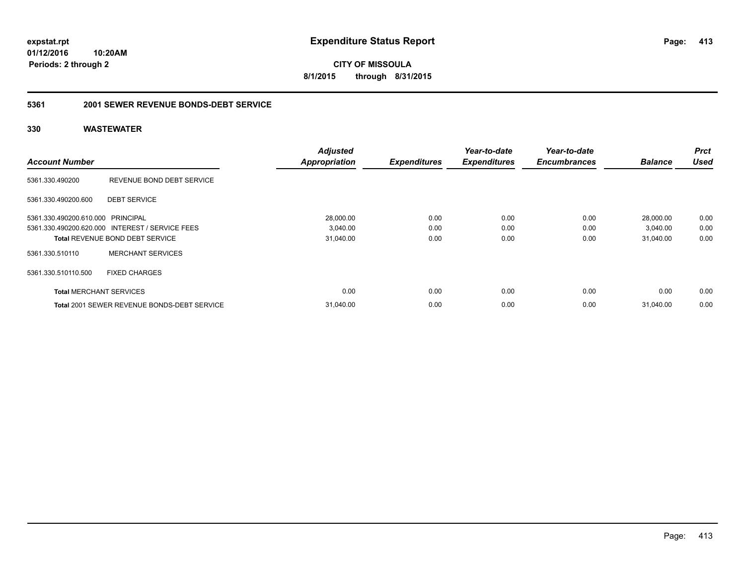**CITY OF MISSOULA 8/1/2015 through 8/31/2015**

### **5361 2001 SEWER REVENUE BONDS-DEBT SERVICE**

| <b>Account Number</b>             |                                                 | <b>Adjusted</b><br><b>Appropriation</b> | <b>Expenditures</b> | Year-to-date<br><b>Expenditures</b> | Year-to-date<br><b>Encumbrances</b> | <b>Balance</b> | <b>Prct</b><br><b>Used</b> |
|-----------------------------------|-------------------------------------------------|-----------------------------------------|---------------------|-------------------------------------|-------------------------------------|----------------|----------------------------|
|                                   |                                                 |                                         |                     |                                     |                                     |                |                            |
| 5361.330.490200                   | REVENUE BOND DEBT SERVICE                       |                                         |                     |                                     |                                     |                |                            |
| 5361.330.490200.600               | <b>DEBT SERVICE</b>                             |                                         |                     |                                     |                                     |                |                            |
| 5361.330.490200.610.000 PRINCIPAL |                                                 | 28,000.00                               | 0.00                | 0.00                                | 0.00                                | 28,000.00      | 0.00                       |
|                                   | 5361.330.490200.620.000 INTEREST / SERVICE FEES | 3,040.00                                | 0.00                | 0.00                                | 0.00                                | 3,040.00       | 0.00                       |
|                                   | <b>Total REVENUE BOND DEBT SERVICE</b>          | 31,040.00                               | 0.00                | 0.00                                | 0.00                                | 31.040.00      | 0.00                       |
| 5361.330.510110                   | <b>MERCHANT SERVICES</b>                        |                                         |                     |                                     |                                     |                |                            |
| 5361.330.510110.500               | <b>FIXED CHARGES</b>                            |                                         |                     |                                     |                                     |                |                            |
| <b>Total MERCHANT SERVICES</b>    |                                                 | 0.00                                    | 0.00                | 0.00                                | 0.00                                | 0.00           | 0.00                       |
|                                   | Total 2001 SEWER REVENUE BONDS-DEBT SERVICE     | 31.040.00                               | 0.00                | 0.00                                | 0.00                                | 31.040.00      | 0.00                       |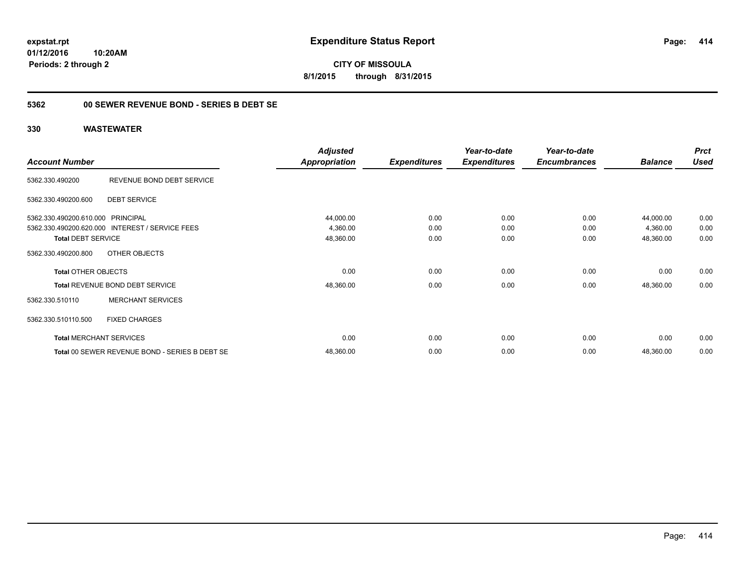**CITY OF MISSOULA 8/1/2015 through 8/31/2015**

### **5362 00 SEWER REVENUE BOND - SERIES B DEBT SE**

|                                   |                                                 | <b>Adjusted</b>      |                     | Year-to-date        | Year-to-date        |                | <b>Prct</b> |
|-----------------------------------|-------------------------------------------------|----------------------|---------------------|---------------------|---------------------|----------------|-------------|
| <b>Account Number</b>             |                                                 | <b>Appropriation</b> | <b>Expenditures</b> | <b>Expenditures</b> | <b>Encumbrances</b> | <b>Balance</b> | <b>Used</b> |
| 5362.330.490200                   | REVENUE BOND DEBT SERVICE                       |                      |                     |                     |                     |                |             |
| 5362.330.490200.600               | <b>DEBT SERVICE</b>                             |                      |                     |                     |                     |                |             |
| 5362.330.490200.610.000 PRINCIPAL |                                                 | 44,000.00            | 0.00                | 0.00                | 0.00                | 44,000.00      | 0.00        |
|                                   | 5362.330.490200.620.000 INTEREST / SERVICE FEES | 4,360.00             | 0.00                | 0.00                | 0.00                | 4,360.00       | 0.00        |
| <b>Total DEBT SERVICE</b>         |                                                 | 48,360.00            | 0.00                | 0.00                | 0.00                | 48,360.00      | 0.00        |
| 5362.330.490200.800               | OTHER OBJECTS                                   |                      |                     |                     |                     |                |             |
| <b>Total OTHER OBJECTS</b>        |                                                 | 0.00                 | 0.00                | 0.00                | 0.00                | 0.00           | 0.00        |
|                                   | <b>Total REVENUE BOND DEBT SERVICE</b>          | 48,360.00            | 0.00                | 0.00                | 0.00                | 48,360.00      | 0.00        |
| 5362.330.510110                   | <b>MERCHANT SERVICES</b>                        |                      |                     |                     |                     |                |             |
| 5362.330.510110.500               | <b>FIXED CHARGES</b>                            |                      |                     |                     |                     |                |             |
|                                   | <b>Total MERCHANT SERVICES</b>                  | 0.00                 | 0.00                | 0.00                | 0.00                | 0.00           | 0.00        |
|                                   | Total 00 SEWER REVENUE BOND - SERIES B DEBT SE  | 48,360.00            | 0.00                | 0.00                | 0.00                | 48,360.00      | 0.00        |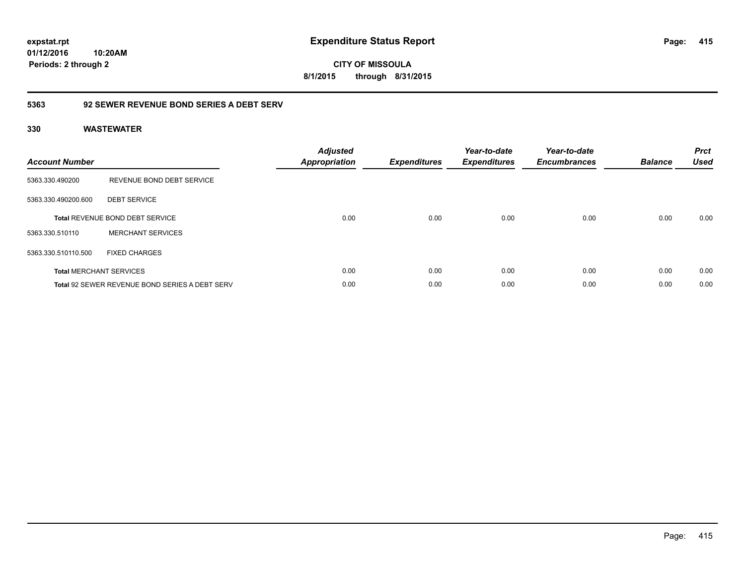**CITY OF MISSOULA 8/1/2015 through 8/31/2015**

### **5363 92 SEWER REVENUE BOND SERIES A DEBT SERV**

| <b>Account Number</b> |                                                       | <b>Adjusted</b><br>Appropriation | <b>Expenditures</b> | Year-to-date<br><b>Expenditures</b> | Year-to-date<br><b>Encumbrances</b> | <b>Balance</b> | <b>Prct</b><br><b>Used</b> |
|-----------------------|-------------------------------------------------------|----------------------------------|---------------------|-------------------------------------|-------------------------------------|----------------|----------------------------|
| 5363.330.490200       | REVENUE BOND DEBT SERVICE                             |                                  |                     |                                     |                                     |                |                            |
| 5363.330.490200.600   | <b>DEBT SERVICE</b>                                   |                                  |                     |                                     |                                     |                |                            |
|                       | Total REVENUE BOND DEBT SERVICE                       | 0.00                             | 0.00                | 0.00                                | 0.00                                | 0.00           | 0.00                       |
| 5363.330.510110       | <b>MERCHANT SERVICES</b>                              |                                  |                     |                                     |                                     |                |                            |
| 5363.330.510110.500   | <b>FIXED CHARGES</b>                                  |                                  |                     |                                     |                                     |                |                            |
|                       | <b>Total MERCHANT SERVICES</b>                        | 0.00                             | 0.00                | 0.00                                | 0.00                                | 0.00           | 0.00                       |
|                       | <b>Total 92 SEWER REVENUE BOND SERIES A DEBT SERV</b> | 0.00                             | 0.00                | 0.00                                | 0.00                                | 0.00           | 0.00                       |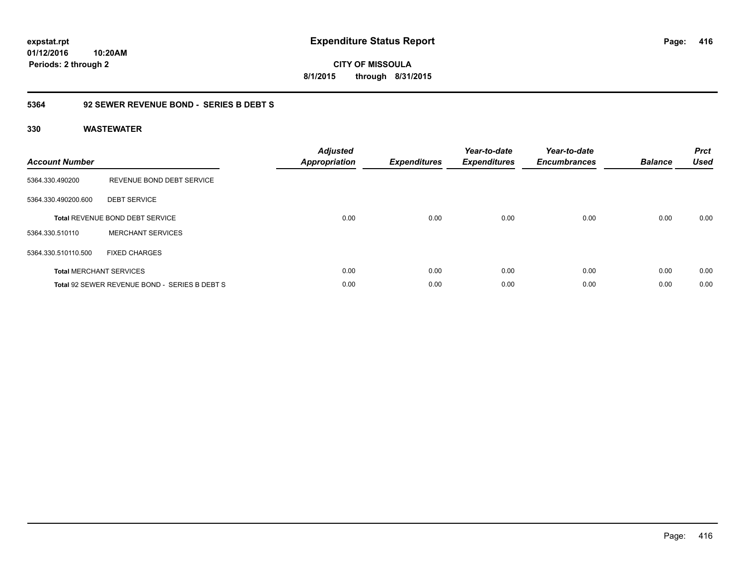**CITY OF MISSOULA 8/1/2015 through 8/31/2015**

### **5364 92 SEWER REVENUE BOND - SERIES B DEBT S**

| <b>Account Number</b> |                                               | <b>Adjusted</b><br>Appropriation | <b>Expenditures</b> | Year-to-date<br><b>Expenditures</b> | Year-to-date<br><b>Encumbrances</b> | <b>Balance</b> | <b>Prct</b><br><b>Used</b> |
|-----------------------|-----------------------------------------------|----------------------------------|---------------------|-------------------------------------|-------------------------------------|----------------|----------------------------|
| 5364.330.490200       | REVENUE BOND DEBT SERVICE                     |                                  |                     |                                     |                                     |                |                            |
| 5364.330.490200.600   | <b>DEBT SERVICE</b>                           |                                  |                     |                                     |                                     |                |                            |
|                       | <b>Total REVENUE BOND DEBT SERVICE</b>        | 0.00                             | 0.00                | 0.00                                | 0.00                                | 0.00           | 0.00                       |
| 5364.330.510110       | <b>MERCHANT SERVICES</b>                      |                                  |                     |                                     |                                     |                |                            |
| 5364.330.510110.500   | <b>FIXED CHARGES</b>                          |                                  |                     |                                     |                                     |                |                            |
|                       | <b>Total MERCHANT SERVICES</b>                | 0.00                             | 0.00                | 0.00                                | 0.00                                | 0.00           | 0.00                       |
|                       | Total 92 SEWER REVENUE BOND - SERIES B DEBT S | 0.00                             | 0.00                | 0.00                                | 0.00                                | 0.00           | 0.00                       |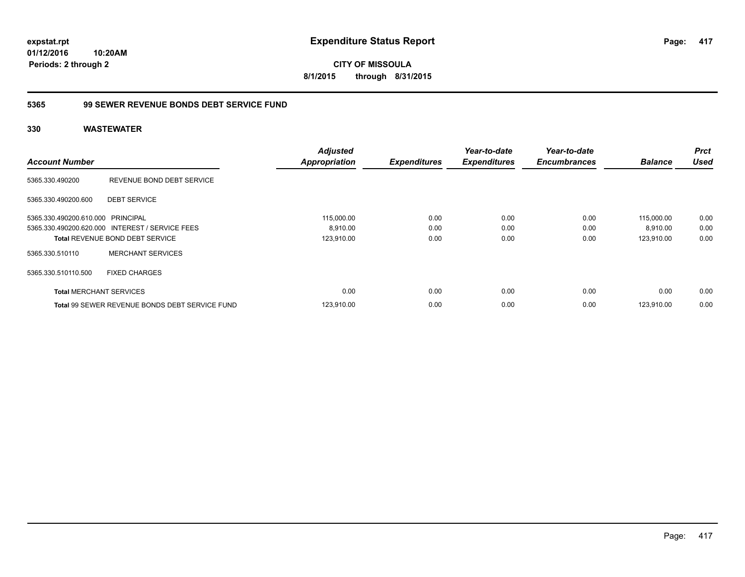**CITY OF MISSOULA 8/1/2015 through 8/31/2015**

### **5365 99 SEWER REVENUE BONDS DEBT SERVICE FUND**

|                                   |                                                       | <b>Adjusted</b>      |                     | Year-to-date        | Year-to-date        |                | <b>Prct</b> |
|-----------------------------------|-------------------------------------------------------|----------------------|---------------------|---------------------|---------------------|----------------|-------------|
| <b>Account Number</b>             |                                                       | <b>Appropriation</b> | <b>Expenditures</b> | <b>Expenditures</b> | <b>Encumbrances</b> | <b>Balance</b> | <b>Used</b> |
| 5365.330.490200                   | REVENUE BOND DEBT SERVICE                             |                      |                     |                     |                     |                |             |
| 5365.330.490200.600               | <b>DEBT SERVICE</b>                                   |                      |                     |                     |                     |                |             |
| 5365.330.490200.610.000 PRINCIPAL |                                                       | 115,000.00           | 0.00                | 0.00                | 0.00                | 115,000.00     | 0.00        |
|                                   | 5365.330.490200.620.000 INTEREST / SERVICE FEES       | 8,910.00             | 0.00                | 0.00                | 0.00                | 8,910.00       | 0.00        |
|                                   | <b>Total REVENUE BOND DEBT SERVICE</b>                | 123,910.00           | 0.00                | 0.00                | 0.00                | 123,910.00     | 0.00        |
| 5365.330.510110                   | <b>MERCHANT SERVICES</b>                              |                      |                     |                     |                     |                |             |
| 5365.330.510110.500               | <b>FIXED CHARGES</b>                                  |                      |                     |                     |                     |                |             |
| <b>Total MERCHANT SERVICES</b>    |                                                       | 0.00                 | 0.00                | 0.00                | 0.00                | 0.00           | 0.00        |
|                                   | <b>Total 99 SEWER REVENUE BONDS DEBT SERVICE FUND</b> | 123,910.00           | 0.00                | 0.00                | 0.00                | 123.910.00     | 0.00        |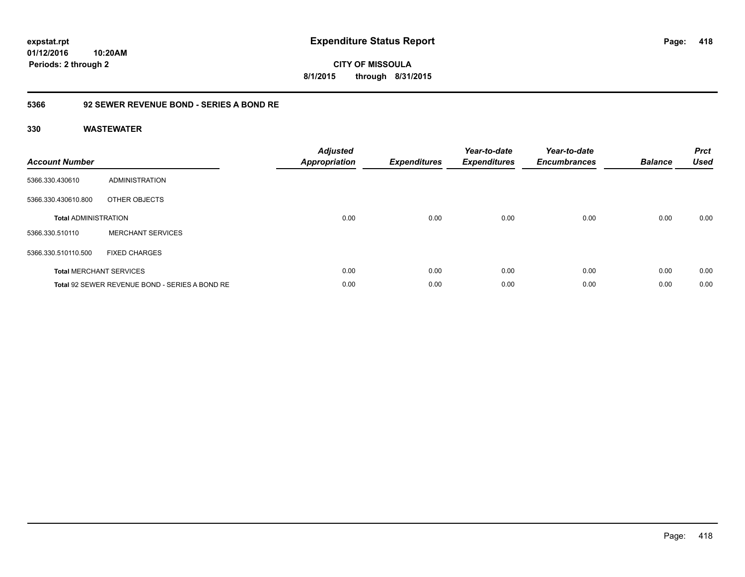**expstat.rpt Expenditure Status Report** 

**01/12/2016 10:20AM Periods: 2 through 2**

**CITY OF MISSOULA 8/1/2015 through 8/31/2015**

### **5366 92 SEWER REVENUE BOND - SERIES A BOND RE**

| <b>Account Number</b>       |                                                | <b>Adjusted</b><br>Appropriation | <b>Expenditures</b> | Year-to-date<br><b>Expenditures</b> | Year-to-date<br><b>Encumbrances</b> | <b>Balance</b> | <b>Prct</b><br><b>Used</b> |
|-----------------------------|------------------------------------------------|----------------------------------|---------------------|-------------------------------------|-------------------------------------|----------------|----------------------------|
| 5366.330.430610             | ADMINISTRATION                                 |                                  |                     |                                     |                                     |                |                            |
| 5366.330.430610.800         | OTHER OBJECTS                                  |                                  |                     |                                     |                                     |                |                            |
| <b>Total ADMINISTRATION</b> |                                                | 0.00                             | 0.00                | 0.00                                | 0.00                                | 0.00           | 0.00                       |
| 5366.330.510110             | <b>MERCHANT SERVICES</b>                       |                                  |                     |                                     |                                     |                |                            |
| 5366.330.510110.500         | <b>FIXED CHARGES</b>                           |                                  |                     |                                     |                                     |                |                            |
|                             | <b>Total MERCHANT SERVICES</b>                 | 0.00                             | 0.00                | 0.00                                | 0.00                                | 0.00           | 0.00                       |
|                             | Total 92 SEWER REVENUE BOND - SERIES A BOND RE | 0.00                             | 0.00                | 0.00                                | 0.00                                | 0.00           | 0.00                       |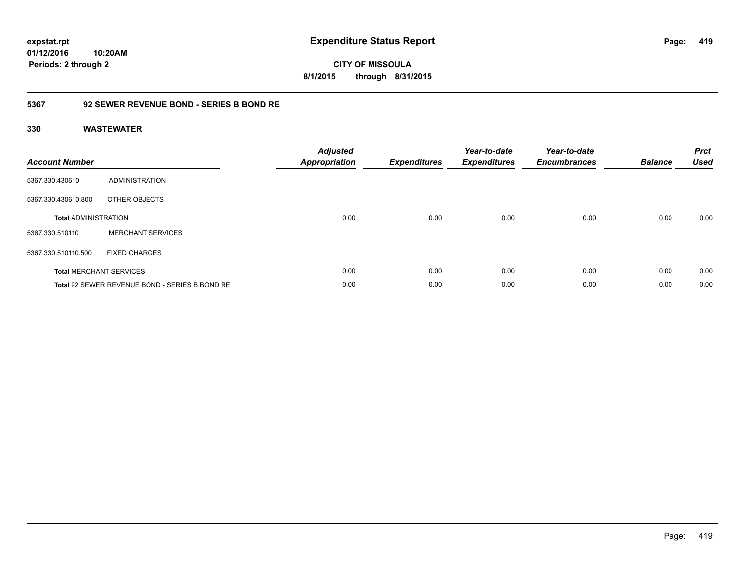**CITY OF MISSOULA 8/1/2015 through 8/31/2015**

### **5367 92 SEWER REVENUE BOND - SERIES B BOND RE**

| <b>Account Number</b>       |                                                | <b>Adjusted</b><br><b>Appropriation</b> | <b>Expenditures</b> | Year-to-date<br><b>Expenditures</b> | Year-to-date<br><b>Encumbrances</b> | <b>Balance</b> | <b>Prct</b><br><b>Used</b> |
|-----------------------------|------------------------------------------------|-----------------------------------------|---------------------|-------------------------------------|-------------------------------------|----------------|----------------------------|
| 5367.330.430610             | ADMINISTRATION                                 |                                         |                     |                                     |                                     |                |                            |
| 5367.330.430610.800         | OTHER OBJECTS                                  |                                         |                     |                                     |                                     |                |                            |
| <b>Total ADMINISTRATION</b> |                                                | 0.00                                    | 0.00                | 0.00                                | 0.00                                | 0.00           | 0.00                       |
| 5367.330.510110             | <b>MERCHANT SERVICES</b>                       |                                         |                     |                                     |                                     |                |                            |
| 5367.330.510110.500         | <b>FIXED CHARGES</b>                           |                                         |                     |                                     |                                     |                |                            |
|                             | <b>Total MERCHANT SERVICES</b>                 | 0.00                                    | 0.00                | 0.00                                | 0.00                                | 0.00           | 0.00                       |
|                             | Total 92 SEWER REVENUE BOND - SERIES B BOND RE | 0.00                                    | 0.00                | 0.00                                | 0.00                                | 0.00           | 0.00                       |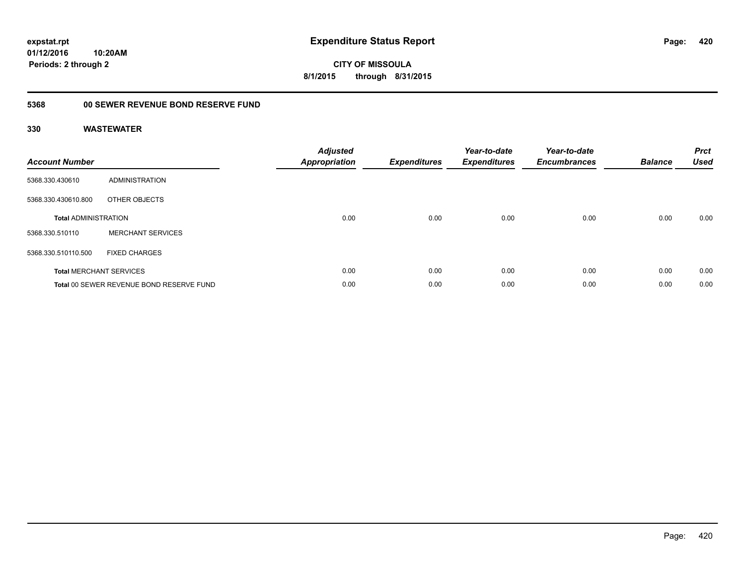**CITY OF MISSOULA 8/1/2015 through 8/31/2015**

## **5368 00 SEWER REVENUE BOND RESERVE FUND**

| <b>Account Number</b>       |                                          | <b>Adjusted</b><br>Appropriation | <b>Expenditures</b> | Year-to-date<br><b>Expenditures</b> | Year-to-date<br><b>Encumbrances</b> | <b>Balance</b> | <b>Prct</b><br><b>Used</b> |
|-----------------------------|------------------------------------------|----------------------------------|---------------------|-------------------------------------|-------------------------------------|----------------|----------------------------|
| 5368.330.430610             | ADMINISTRATION                           |                                  |                     |                                     |                                     |                |                            |
| 5368.330.430610.800         | OTHER OBJECTS                            |                                  |                     |                                     |                                     |                |                            |
| <b>Total ADMINISTRATION</b> |                                          | 0.00                             | 0.00                | 0.00                                | 0.00                                | 0.00           | 0.00                       |
| 5368.330.510110             | <b>MERCHANT SERVICES</b>                 |                                  |                     |                                     |                                     |                |                            |
| 5368.330.510110.500         | <b>FIXED CHARGES</b>                     |                                  |                     |                                     |                                     |                |                            |
|                             | <b>Total MERCHANT SERVICES</b>           | 0.00                             | 0.00                | 0.00                                | 0.00                                | 0.00           | 0.00                       |
|                             | Total 00 SEWER REVENUE BOND RESERVE FUND | 0.00                             | 0.00                | 0.00                                | 0.00                                | 0.00           | 0.00                       |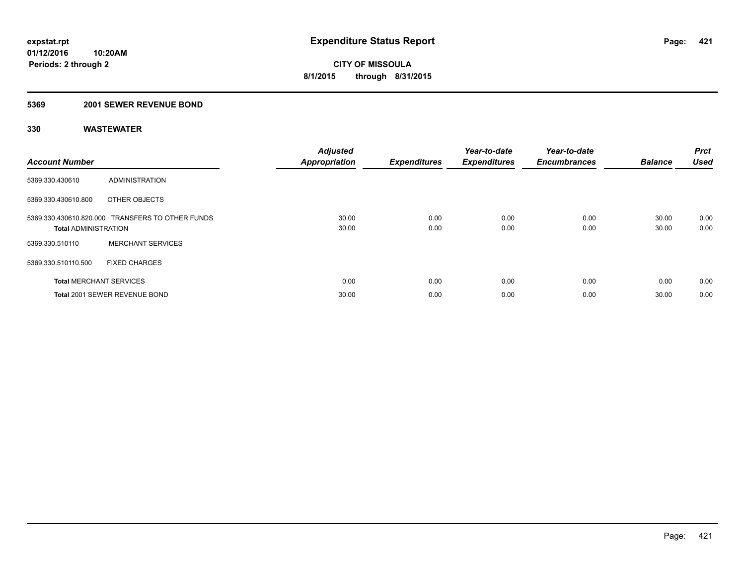#### **5369 2001 SEWER REVENUE BOND**

| <b>Account Number</b>          |                                                  | <b>Adjusted</b><br><b>Appropriation</b> | <b>Expenditures</b> | Year-to-date<br><b>Expenditures</b> | Year-to-date<br><b>Encumbrances</b> | <b>Balance</b> | Prct<br><b>Used</b> |
|--------------------------------|--------------------------------------------------|-----------------------------------------|---------------------|-------------------------------------|-------------------------------------|----------------|---------------------|
| 5369.330.430610                | ADMINISTRATION                                   |                                         |                     |                                     |                                     |                |                     |
| 5369.330.430610.800            | OTHER OBJECTS                                    |                                         |                     |                                     |                                     |                |                     |
| <b>Total ADMINISTRATION</b>    | 5369.330.430610.820.000 TRANSFERS TO OTHER FUNDS | 30.00<br>30.00                          | 0.00<br>0.00        | 0.00<br>0.00                        | 0.00<br>0.00                        | 30.00<br>30.00 | 0.00<br>0.00        |
| 5369.330.510110                | <b>MERCHANT SERVICES</b>                         |                                         |                     |                                     |                                     |                |                     |
| 5369.330.510110.500            | <b>FIXED CHARGES</b>                             |                                         |                     |                                     |                                     |                |                     |
| <b>Total MERCHANT SERVICES</b> |                                                  | 0.00                                    | 0.00                | 0.00                                | 0.00                                | 0.00           | 0.00                |
|                                | Total 2001 SEWER REVENUE BOND                    | 30.00                                   | 0.00                | 0.00                                | 0.00                                | 30.00          | 0.00                |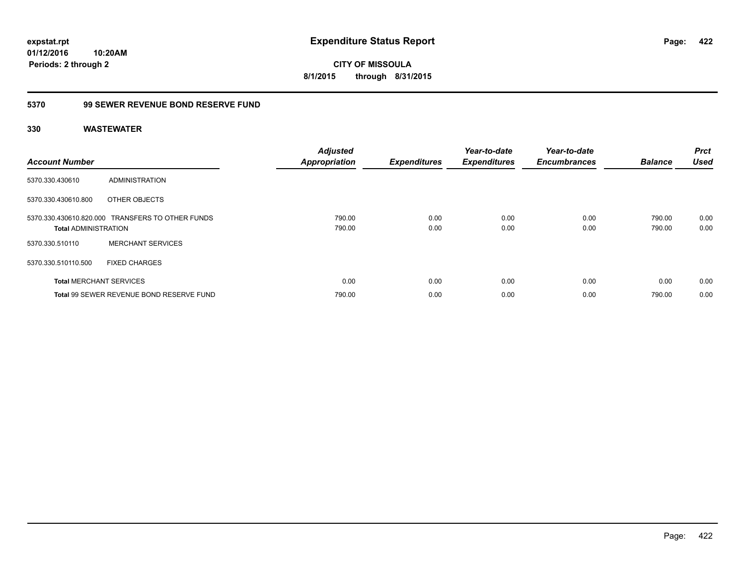**CITY OF MISSOULA 8/1/2015 through 8/31/2015**

### **5370 99 SEWER REVENUE BOND RESERVE FUND**

| <b>Account Number</b>          |                                                  | <b>Adjusted</b><br><b>Appropriation</b> | <b>Expenditures</b> | Year-to-date<br><b>Expenditures</b> | Year-to-date<br><b>Encumbrances</b> | <b>Balance</b>   | <b>Prct</b><br><b>Used</b> |
|--------------------------------|--------------------------------------------------|-----------------------------------------|---------------------|-------------------------------------|-------------------------------------|------------------|----------------------------|
| 5370.330.430610                | ADMINISTRATION                                   |                                         |                     |                                     |                                     |                  |                            |
| 5370.330.430610.800            | OTHER OBJECTS                                    |                                         |                     |                                     |                                     |                  |                            |
| <b>Total ADMINISTRATION</b>    | 5370.330.430610.820.000 TRANSFERS TO OTHER FUNDS | 790.00<br>790.00                        | 0.00<br>0.00        | 0.00<br>0.00                        | 0.00<br>0.00                        | 790.00<br>790.00 | 0.00<br>0.00               |
| 5370.330.510110                | <b>MERCHANT SERVICES</b>                         |                                         |                     |                                     |                                     |                  |                            |
| 5370.330.510110.500            | <b>FIXED CHARGES</b>                             |                                         |                     |                                     |                                     |                  |                            |
| <b>Total MERCHANT SERVICES</b> |                                                  | 0.00                                    | 0.00                | 0.00                                | 0.00                                | 0.00             | 0.00                       |
|                                | Total 99 SEWER REVENUE BOND RESERVE FUND         | 790.00                                  | 0.00                | 0.00                                | 0.00                                | 790.00           | 0.00                       |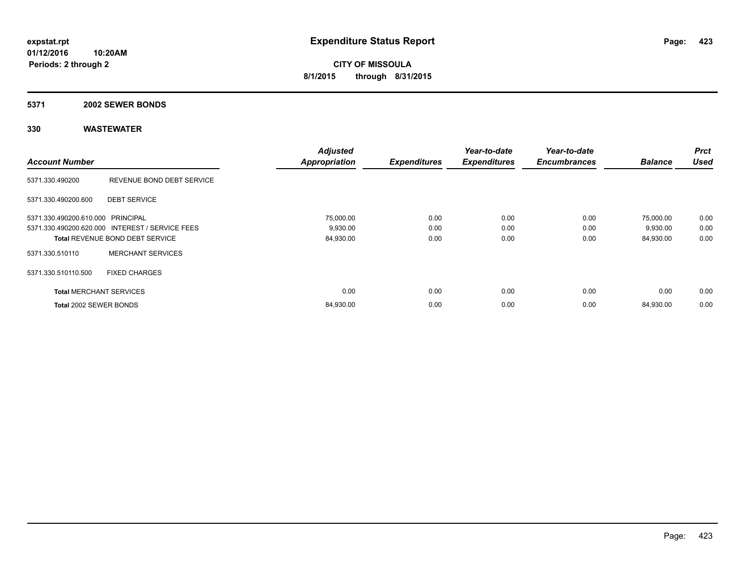#### **5371 2002 SEWER BONDS**

| <b>Account Number</b>             |                                                 | <b>Adjusted</b><br><b>Appropriation</b> | <b>Expenditures</b> | Year-to-date<br><b>Expenditures</b> | Year-to-date<br><b>Encumbrances</b> | <b>Balance</b> | <b>Prct</b><br><b>Used</b> |
|-----------------------------------|-------------------------------------------------|-----------------------------------------|---------------------|-------------------------------------|-------------------------------------|----------------|----------------------------|
|                                   |                                                 |                                         |                     |                                     |                                     |                |                            |
| 5371.330.490200                   | REVENUE BOND DEBT SERVICE                       |                                         |                     |                                     |                                     |                |                            |
| 5371.330.490200.600               | <b>DEBT SERVICE</b>                             |                                         |                     |                                     |                                     |                |                            |
| 5371.330.490200.610.000 PRINCIPAL |                                                 | 75,000.00                               | 0.00                | 0.00                                | 0.00                                | 75,000.00      | 0.00                       |
|                                   | 5371.330.490200.620.000 INTEREST / SERVICE FEES | 9,930.00                                | 0.00                | 0.00                                | 0.00                                | 9,930.00       | 0.00                       |
|                                   | <b>Total REVENUE BOND DEBT SERVICE</b>          | 84,930.00                               | 0.00                | 0.00                                | 0.00                                | 84,930.00      | 0.00                       |
| 5371.330.510110                   | <b>MERCHANT SERVICES</b>                        |                                         |                     |                                     |                                     |                |                            |
| 5371.330.510110.500               | <b>FIXED CHARGES</b>                            |                                         |                     |                                     |                                     |                |                            |
| <b>Total MERCHANT SERVICES</b>    |                                                 | 0.00                                    | 0.00                | 0.00                                | 0.00                                | 0.00           | 0.00                       |
| Total 2002 SEWER BONDS            |                                                 | 84,930.00                               | 0.00                | 0.00                                | 0.00                                | 84,930.00      | 0.00                       |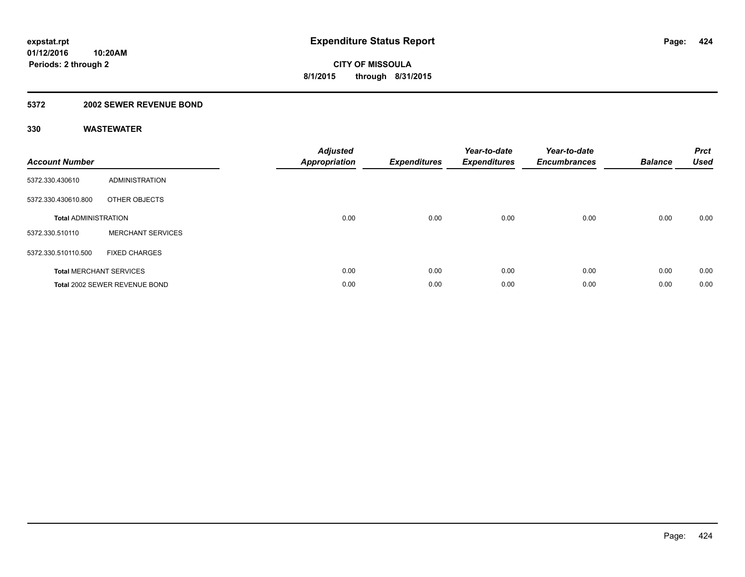### **5372 2002 SEWER REVENUE BOND**

| <b>Account Number</b>       |                                | <b>Adjusted</b><br>Appropriation | <b>Expenditures</b> | Year-to-date<br><b>Expenditures</b> | Year-to-date<br><b>Encumbrances</b> | <b>Balance</b> | <b>Prct</b><br><b>Used</b> |
|-----------------------------|--------------------------------|----------------------------------|---------------------|-------------------------------------|-------------------------------------|----------------|----------------------------|
| 5372.330.430610             | <b>ADMINISTRATION</b>          |                                  |                     |                                     |                                     |                |                            |
| 5372.330.430610.800         | OTHER OBJECTS                  |                                  |                     |                                     |                                     |                |                            |
| <b>Total ADMINISTRATION</b> |                                | 0.00                             | 0.00                | 0.00                                | 0.00                                | 0.00           | 0.00                       |
| 5372.330.510110             | <b>MERCHANT SERVICES</b>       |                                  |                     |                                     |                                     |                |                            |
| 5372.330.510110.500         | <b>FIXED CHARGES</b>           |                                  |                     |                                     |                                     |                |                            |
|                             | <b>Total MERCHANT SERVICES</b> | 0.00                             | 0.00                | 0.00                                | 0.00                                | 0.00           | 0.00                       |
|                             | Total 2002 SEWER REVENUE BOND  | 0.00                             | 0.00                | 0.00                                | 0.00                                | 0.00           | 0.00                       |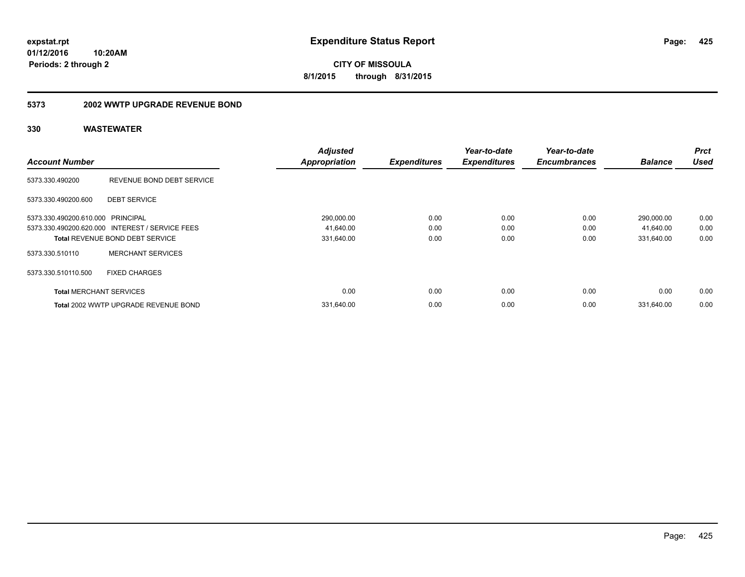**CITY OF MISSOULA 8/1/2015 through 8/31/2015**

#### **5373 2002 WWTP UPGRADE REVENUE BOND**

|                                   |                                                 | <b>Adjusted</b>      |                     | Year-to-date        | Year-to-date        |                | <b>Prct</b> |
|-----------------------------------|-------------------------------------------------|----------------------|---------------------|---------------------|---------------------|----------------|-------------|
| <b>Account Number</b>             |                                                 | <b>Appropriation</b> | <b>Expenditures</b> | <b>Expenditures</b> | <b>Encumbrances</b> | <b>Balance</b> | <b>Used</b> |
| 5373.330.490200                   | REVENUE BOND DEBT SERVICE                       |                      |                     |                     |                     |                |             |
| 5373.330.490200.600               | <b>DEBT SERVICE</b>                             |                      |                     |                     |                     |                |             |
| 5373.330.490200.610.000 PRINCIPAL |                                                 | 290,000.00           | 0.00                | 0.00                | 0.00                | 290,000.00     | 0.00        |
|                                   | 5373.330.490200.620.000 INTEREST / SERVICE FEES | 41,640.00            | 0.00                | 0.00                | 0.00                | 41,640.00      | 0.00        |
|                                   | <b>Total REVENUE BOND DEBT SERVICE</b>          | 331,640.00           | 0.00                | 0.00                | 0.00                | 331,640.00     | 0.00        |
| 5373.330.510110                   | <b>MERCHANT SERVICES</b>                        |                      |                     |                     |                     |                |             |
| 5373.330.510110.500               | <b>FIXED CHARGES</b>                            |                      |                     |                     |                     |                |             |
| <b>Total MERCHANT SERVICES</b>    |                                                 | 0.00                 | 0.00                | 0.00                | 0.00                | 0.00           | 0.00        |
|                                   | Total 2002 WWTP UPGRADE REVENUE BOND            | 331.640.00           | 0.00                | 0.00                | 0.00                | 331.640.00     | 0.00        |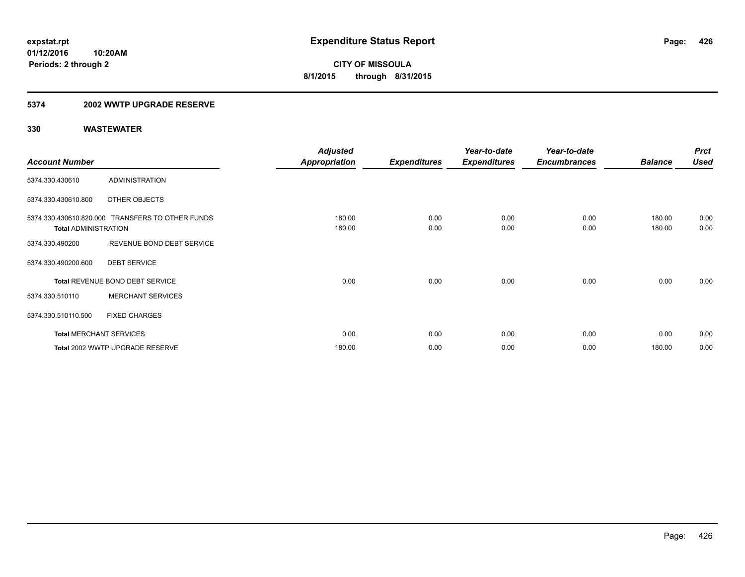### **5374 2002 WWTP UPGRADE RESERVE**

|                             |                                                  | <b>Adjusted</b> |                     | Year-to-date        | Year-to-date        |                | <b>Prct</b> |
|-----------------------------|--------------------------------------------------|-----------------|---------------------|---------------------|---------------------|----------------|-------------|
| <b>Account Number</b>       |                                                  | Appropriation   | <b>Expenditures</b> | <b>Expenditures</b> | <b>Encumbrances</b> | <b>Balance</b> | <b>Used</b> |
| 5374.330.430610             | <b>ADMINISTRATION</b>                            |                 |                     |                     |                     |                |             |
| 5374.330.430610.800         | OTHER OBJECTS                                    |                 |                     |                     |                     |                |             |
|                             | 5374.330.430610.820.000 TRANSFERS TO OTHER FUNDS | 180.00          | 0.00                | 0.00                | 0.00                | 180.00         | 0.00        |
| <b>Total ADMINISTRATION</b> |                                                  | 180.00          | 0.00                | 0.00                | 0.00                | 180.00         | 0.00        |
| 5374.330.490200             | REVENUE BOND DEBT SERVICE                        |                 |                     |                     |                     |                |             |
| 5374.330.490200.600         | <b>DEBT SERVICE</b>                              |                 |                     |                     |                     |                |             |
|                             | Total REVENUE BOND DEBT SERVICE                  | 0.00            | 0.00                | 0.00                | 0.00                | 0.00           | 0.00        |
| 5374.330.510110             | <b>MERCHANT SERVICES</b>                         |                 |                     |                     |                     |                |             |
| 5374.330.510110.500         | <b>FIXED CHARGES</b>                             |                 |                     |                     |                     |                |             |
|                             | <b>Total MERCHANT SERVICES</b>                   | 0.00            | 0.00                | 0.00                | 0.00                | 0.00           | 0.00        |
|                             | Total 2002 WWTP UPGRADE RESERVE                  | 180.00          | 0.00                | 0.00                | 0.00                | 180.00         | 0.00        |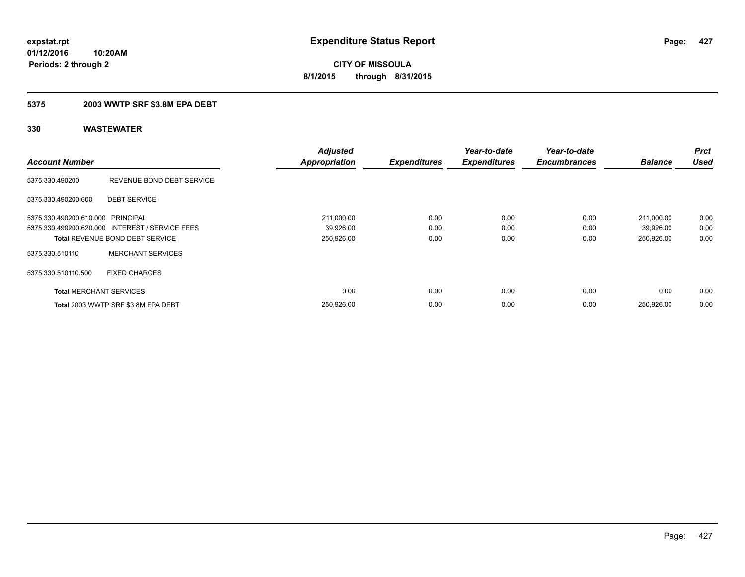### **5375 2003 WWTP SRF \$3.8M EPA DEBT**

|                                   |                                                 | <b>Adjusted</b>      |                     | Year-to-date        | Year-to-date        |                | <b>Prct</b> |
|-----------------------------------|-------------------------------------------------|----------------------|---------------------|---------------------|---------------------|----------------|-------------|
| <b>Account Number</b>             |                                                 | <b>Appropriation</b> | <b>Expenditures</b> | <b>Expenditures</b> | <b>Encumbrances</b> | <b>Balance</b> | <b>Used</b> |
| 5375.330.490200                   | REVENUE BOND DEBT SERVICE                       |                      |                     |                     |                     |                |             |
| 5375.330.490200.600               | <b>DEBT SERVICE</b>                             |                      |                     |                     |                     |                |             |
| 5375.330.490200.610.000 PRINCIPAL |                                                 | 211,000.00           | 0.00                | 0.00                | 0.00                | 211.000.00     | 0.00        |
|                                   | 5375.330.490200.620.000 INTEREST / SERVICE FEES | 39,926.00            | 0.00                | 0.00                | 0.00                | 39,926.00      | 0.00        |
|                                   | <b>Total REVENUE BOND DEBT SERVICE</b>          | 250,926.00           | 0.00                | 0.00                | 0.00                | 250,926.00     | 0.00        |
| 5375.330.510110                   | <b>MERCHANT SERVICES</b>                        |                      |                     |                     |                     |                |             |
| 5375.330.510110.500               | <b>FIXED CHARGES</b>                            |                      |                     |                     |                     |                |             |
| <b>Total MERCHANT SERVICES</b>    |                                                 | 0.00                 | 0.00                | 0.00                | 0.00                | 0.00           | 0.00        |
|                                   | Total 2003 WWTP SRF \$3.8M EPA DEBT             | 250,926.00           | 0.00                | 0.00                | 0.00                | 250,926.00     | 0.00        |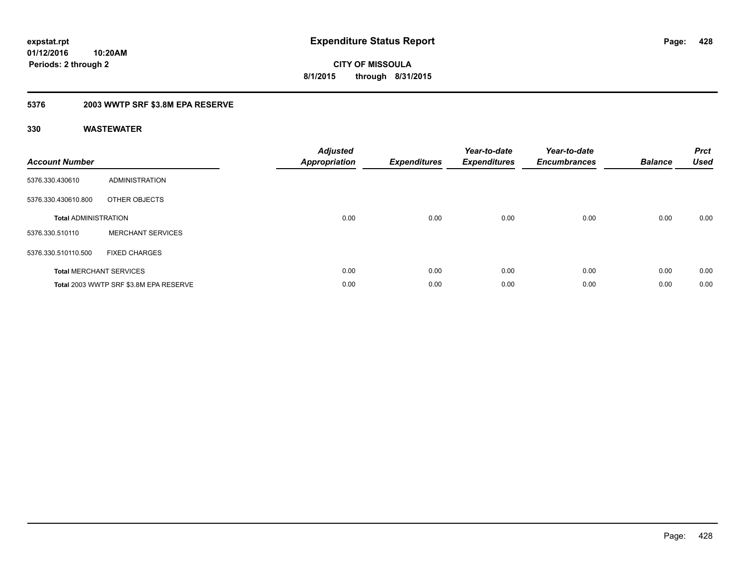**Periods: 2 through 2**

**CITY OF MISSOULA 8/1/2015 through 8/31/2015**

### **5376 2003 WWTP SRF \$3.8M EPA RESERVE**

**10:20AM**

| <b>Account Number</b>       |                                        | <b>Adjusted</b><br>Appropriation | <b>Expenditures</b> | Year-to-date<br><b>Expenditures</b> | Year-to-date<br><b>Encumbrances</b> | <b>Balance</b> | <b>Prct</b><br><b>Used</b> |
|-----------------------------|----------------------------------------|----------------------------------|---------------------|-------------------------------------|-------------------------------------|----------------|----------------------------|
| 5376.330.430610             | <b>ADMINISTRATION</b>                  |                                  |                     |                                     |                                     |                |                            |
| 5376.330.430610.800         | OTHER OBJECTS                          |                                  |                     |                                     |                                     |                |                            |
| <b>Total ADMINISTRATION</b> |                                        | 0.00                             | 0.00                | 0.00                                | 0.00                                | 0.00           | 0.00                       |
| 5376.330.510110             | <b>MERCHANT SERVICES</b>               |                                  |                     |                                     |                                     |                |                            |
| 5376.330.510110.500         | <b>FIXED CHARGES</b>                   |                                  |                     |                                     |                                     |                |                            |
|                             | <b>Total MERCHANT SERVICES</b>         | 0.00                             | 0.00                | 0.00                                | 0.00                                | 0.00           | 0.00                       |
|                             | Total 2003 WWTP SRF \$3.8M EPA RESERVE | 0.00                             | 0.00                | 0.00                                | 0.00                                | 0.00           | 0.00                       |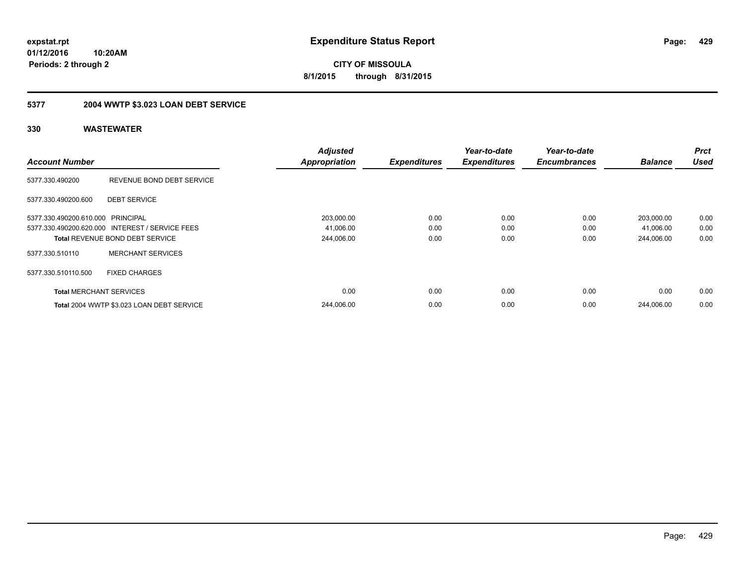**CITY OF MISSOULA 8/1/2015 through 8/31/2015**

## **5377 2004 WWTP \$3.023 LOAN DEBT SERVICE**

|                                   |                                                 | <b>Adjusted</b>      |                     | Year-to-date        | Year-to-date        |                | <b>Prct</b> |
|-----------------------------------|-------------------------------------------------|----------------------|---------------------|---------------------|---------------------|----------------|-------------|
| <b>Account Number</b>             |                                                 | <b>Appropriation</b> | <b>Expenditures</b> | <b>Expenditures</b> | <b>Encumbrances</b> | <b>Balance</b> | <b>Used</b> |
| 5377.330.490200                   | REVENUE BOND DEBT SERVICE                       |                      |                     |                     |                     |                |             |
| 5377.330.490200.600               | <b>DEBT SERVICE</b>                             |                      |                     |                     |                     |                |             |
| 5377.330.490200.610.000 PRINCIPAL |                                                 | 203,000.00           | 0.00                | 0.00                | 0.00                | 203,000.00     | 0.00        |
|                                   | 5377.330.490200.620.000 INTEREST / SERVICE FEES | 41,006.00            | 0.00                | 0.00                | 0.00                | 41,006.00      | 0.00        |
|                                   | <b>Total REVENUE BOND DEBT SERVICE</b>          | 244,006.00           | 0.00                | 0.00                | 0.00                | 244.006.00     | 0.00        |
| 5377.330.510110                   | <b>MERCHANT SERVICES</b>                        |                      |                     |                     |                     |                |             |
| 5377.330.510110.500               | <b>FIXED CHARGES</b>                            |                      |                     |                     |                     |                |             |
| <b>Total MERCHANT SERVICES</b>    |                                                 | 0.00                 | 0.00                | 0.00                | 0.00                | 0.00           | 0.00        |
|                                   | Total 2004 WWTP \$3.023 LOAN DEBT SERVICE       | 244.006.00           | 0.00                | 0.00                | 0.00                | 244.006.00     | 0.00        |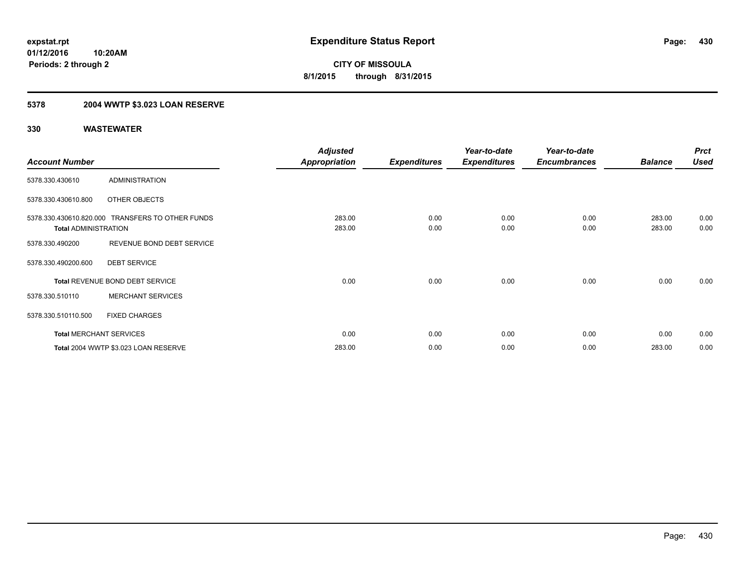## **5378 2004 WWTP \$3.023 LOAN RESERVE**

|                             |                                                  | <b>Adjusted</b>      |                     | Year-to-date        | Year-to-date        |                | <b>Prct</b> |
|-----------------------------|--------------------------------------------------|----------------------|---------------------|---------------------|---------------------|----------------|-------------|
| <b>Account Number</b>       |                                                  | <b>Appropriation</b> | <b>Expenditures</b> | <b>Expenditures</b> | <b>Encumbrances</b> | <b>Balance</b> | <b>Used</b> |
| 5378.330.430610             | <b>ADMINISTRATION</b>                            |                      |                     |                     |                     |                |             |
| 5378.330.430610.800         | OTHER OBJECTS                                    |                      |                     |                     |                     |                |             |
|                             | 5378.330.430610.820.000 TRANSFERS TO OTHER FUNDS | 283.00               | 0.00                | 0.00                | 0.00                | 283.00         | 0.00        |
| <b>Total ADMINISTRATION</b> |                                                  | 283.00               | 0.00                | 0.00                | 0.00                | 283.00         | 0.00        |
| 5378.330.490200             | REVENUE BOND DEBT SERVICE                        |                      |                     |                     |                     |                |             |
| 5378.330.490200.600         | <b>DEBT SERVICE</b>                              |                      |                     |                     |                     |                |             |
|                             | Total REVENUE BOND DEBT SERVICE                  | 0.00                 | 0.00                | 0.00                | 0.00                | 0.00           | 0.00        |
| 5378.330.510110             | <b>MERCHANT SERVICES</b>                         |                      |                     |                     |                     |                |             |
| 5378.330.510110.500         | <b>FIXED CHARGES</b>                             |                      |                     |                     |                     |                |             |
|                             | <b>Total MERCHANT SERVICES</b>                   | 0.00                 | 0.00                | 0.00                | 0.00                | 0.00           | 0.00        |
|                             | Total 2004 WWTP \$3.023 LOAN RESERVE             | 283.00               | 0.00                | 0.00                | 0.00                | 283.00         | 0.00        |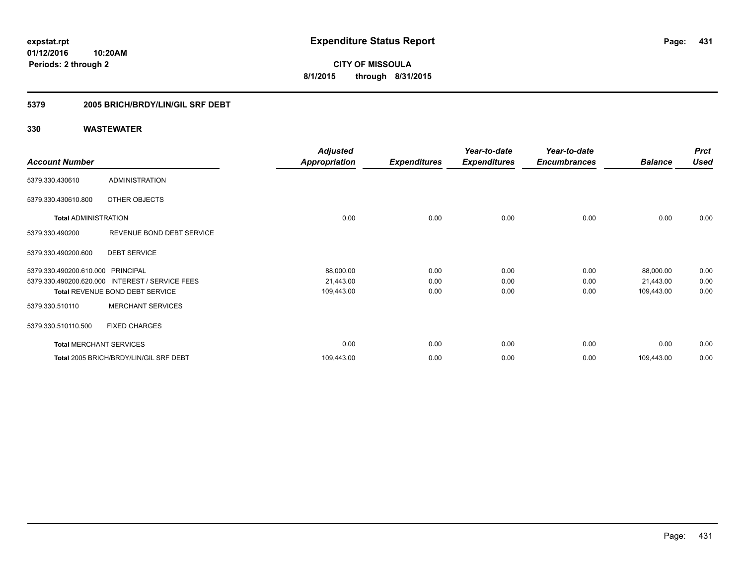**431**

**01/12/2016 10:20AM Periods: 2 through 2**

**CITY OF MISSOULA 8/1/2015 through 8/31/2015**

### **5379 2005 BRICH/BRDY/LIN/GIL SRF DEBT**

|                                   |                                        | <b>Adjusted</b>      |                     | Year-to-date        | Year-to-date        |                | <b>Prct</b> |
|-----------------------------------|----------------------------------------|----------------------|---------------------|---------------------|---------------------|----------------|-------------|
| <b>Account Number</b>             |                                        | <b>Appropriation</b> | <b>Expenditures</b> | <b>Expenditures</b> | <b>Encumbrances</b> | <b>Balance</b> | <b>Used</b> |
| 5379.330.430610                   | <b>ADMINISTRATION</b>                  |                      |                     |                     |                     |                |             |
| 5379.330.430610.800               | OTHER OBJECTS                          |                      |                     |                     |                     |                |             |
| <b>Total ADMINISTRATION</b>       |                                        | 0.00                 | 0.00                | 0.00                | 0.00                | 0.00           | 0.00        |
| 5379.330.490200                   | REVENUE BOND DEBT SERVICE              |                      |                     |                     |                     |                |             |
| 5379.330.490200.600               | <b>DEBT SERVICE</b>                    |                      |                     |                     |                     |                |             |
| 5379.330.490200.610.000 PRINCIPAL |                                        | 88,000.00            | 0.00                | 0.00                | 0.00                | 88,000.00      | 0.00        |
| 5379.330.490200.620.000           | <b>INTEREST / SERVICE FEES</b>         | 21,443.00            | 0.00                | 0.00                | 0.00                | 21,443.00      | 0.00        |
|                                   | <b>Total REVENUE BOND DEBT SERVICE</b> | 109,443.00           | 0.00                | 0.00                | 0.00                | 109,443.00     | 0.00        |
| 5379.330.510110                   | <b>MERCHANT SERVICES</b>               |                      |                     |                     |                     |                |             |
| 5379.330.510110.500               | <b>FIXED CHARGES</b>                   |                      |                     |                     |                     |                |             |
| <b>Total MERCHANT SERVICES</b>    |                                        | 0.00                 | 0.00                | 0.00                | 0.00                | 0.00           | 0.00        |
|                                   | Total 2005 BRICH/BRDY/LIN/GIL SRF DEBT | 109,443.00           | 0.00                | 0.00                | 0.00                | 109,443.00     | 0.00        |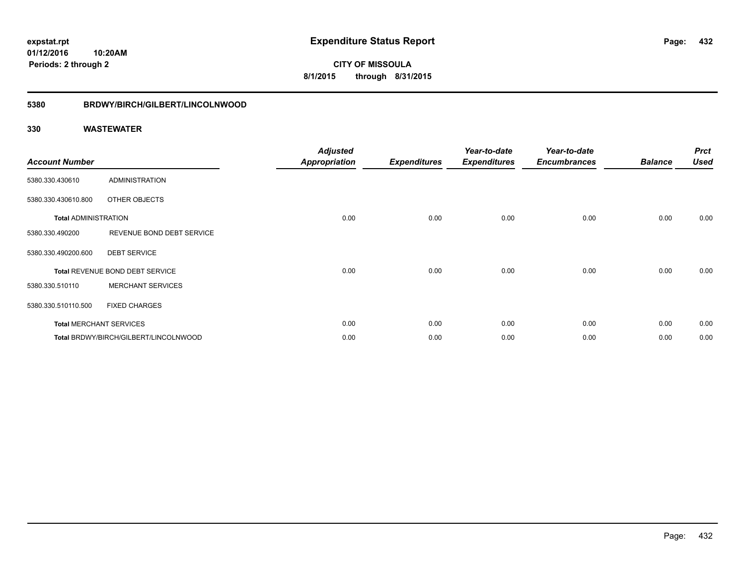**CITY OF MISSOULA 8/1/2015 through 8/31/2015**

# **5380 BRDWY/BIRCH/GILBERT/LINCOLNWOOD**

| <b>Account Number</b>       |                                       | <b>Adjusted</b><br><b>Appropriation</b> | <b>Expenditures</b> | Year-to-date<br><b>Expenditures</b> | Year-to-date<br><b>Encumbrances</b> | <b>Balance</b> | <b>Prct</b><br><b>Used</b> |
|-----------------------------|---------------------------------------|-----------------------------------------|---------------------|-------------------------------------|-------------------------------------|----------------|----------------------------|
| 5380.330.430610             | <b>ADMINISTRATION</b>                 |                                         |                     |                                     |                                     |                |                            |
| 5380.330.430610.800         | OTHER OBJECTS                         |                                         |                     |                                     |                                     |                |                            |
| <b>Total ADMINISTRATION</b> |                                       | 0.00                                    | 0.00                | 0.00                                | 0.00                                | 0.00           | 0.00                       |
| 5380.330.490200             | REVENUE BOND DEBT SERVICE             |                                         |                     |                                     |                                     |                |                            |
| 5380.330.490200.600         | <b>DEBT SERVICE</b>                   |                                         |                     |                                     |                                     |                |                            |
|                             | Total REVENUE BOND DEBT SERVICE       | 0.00                                    | 0.00                | 0.00                                | 0.00                                | 0.00           | 0.00                       |
| 5380.330.510110             | <b>MERCHANT SERVICES</b>              |                                         |                     |                                     |                                     |                |                            |
| 5380.330.510110.500         | <b>FIXED CHARGES</b>                  |                                         |                     |                                     |                                     |                |                            |
|                             | <b>Total MERCHANT SERVICES</b>        | 0.00                                    | 0.00                | 0.00                                | 0.00                                | 0.00           | 0.00                       |
|                             | Total BRDWY/BIRCH/GILBERT/LINCOLNWOOD | 0.00                                    | 0.00                | 0.00                                | 0.00                                | 0.00           | 0.00                       |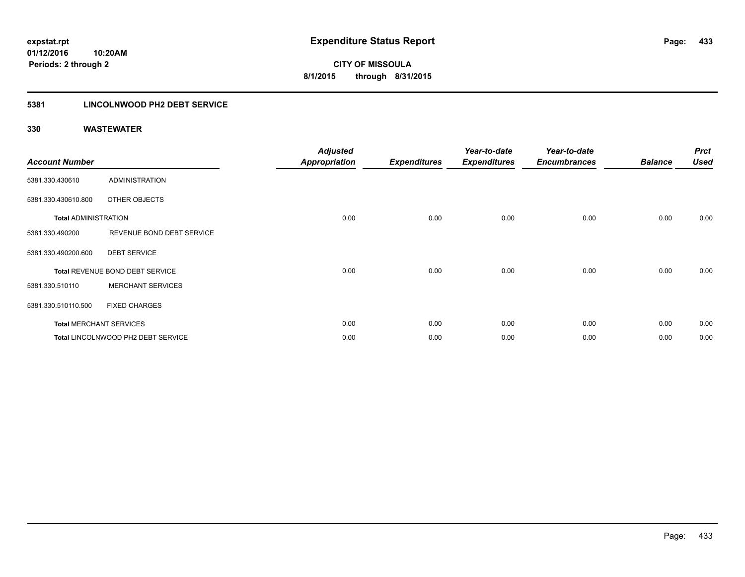### **5381 LINCOLNWOOD PH2 DEBT SERVICE**

| <b>Account Number</b>       |                                    | <b>Adjusted</b><br><b>Appropriation</b> | <b>Expenditures</b> | Year-to-date<br><b>Expenditures</b> | Year-to-date<br><b>Encumbrances</b> | <b>Balance</b> | <b>Prct</b><br><b>Used</b> |
|-----------------------------|------------------------------------|-----------------------------------------|---------------------|-------------------------------------|-------------------------------------|----------------|----------------------------|
| 5381.330.430610             | <b>ADMINISTRATION</b>              |                                         |                     |                                     |                                     |                |                            |
| 5381.330.430610.800         | OTHER OBJECTS                      |                                         |                     |                                     |                                     |                |                            |
| <b>Total ADMINISTRATION</b> |                                    | 0.00                                    | 0.00                | 0.00                                | 0.00                                | 0.00           | 0.00                       |
| 5381.330.490200             | REVENUE BOND DEBT SERVICE          |                                         |                     |                                     |                                     |                |                            |
| 5381.330.490200.600         | <b>DEBT SERVICE</b>                |                                         |                     |                                     |                                     |                |                            |
|                             | Total REVENUE BOND DEBT SERVICE    | 0.00                                    | 0.00                | 0.00                                | 0.00                                | 0.00           | 0.00                       |
| 5381.330.510110             | <b>MERCHANT SERVICES</b>           |                                         |                     |                                     |                                     |                |                            |
| 5381.330.510110.500         | <b>FIXED CHARGES</b>               |                                         |                     |                                     |                                     |                |                            |
|                             | <b>Total MERCHANT SERVICES</b>     | 0.00                                    | 0.00                | 0.00                                | 0.00                                | 0.00           | 0.00                       |
|                             | Total LINCOLNWOOD PH2 DEBT SERVICE | 0.00                                    | 0.00                | 0.00                                | 0.00                                | 0.00           | 0.00                       |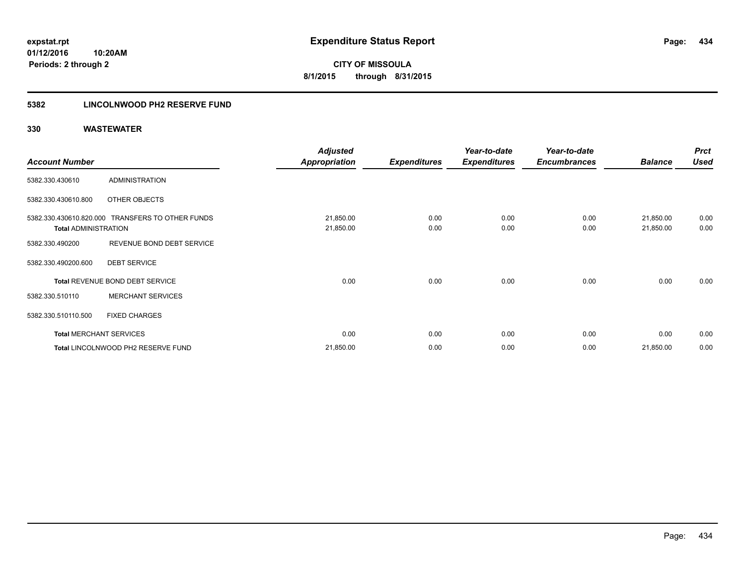**Periods: 2 through 2**

**CITY OF MISSOULA 8/1/2015 through 8/31/2015**

### **5382 LINCOLNWOOD PH2 RESERVE FUND**

|                             |                                                  | <b>Adjusted</b>        |                     | Year-to-date        | Year-to-date        |                        | <b>Prct</b>  |
|-----------------------------|--------------------------------------------------|------------------------|---------------------|---------------------|---------------------|------------------------|--------------|
| <b>Account Number</b>       |                                                  | <b>Appropriation</b>   | <b>Expenditures</b> | <b>Expenditures</b> | <b>Encumbrances</b> | <b>Balance</b>         | <b>Used</b>  |
| 5382.330.430610             | <b>ADMINISTRATION</b>                            |                        |                     |                     |                     |                        |              |
| 5382.330.430610.800         | OTHER OBJECTS                                    |                        |                     |                     |                     |                        |              |
| <b>Total ADMINISTRATION</b> | 5382.330.430610.820.000 TRANSFERS TO OTHER FUNDS | 21,850.00<br>21,850.00 | 0.00<br>0.00        | 0.00<br>0.00        | 0.00<br>0.00        | 21,850.00<br>21,850.00 | 0.00<br>0.00 |
| 5382.330.490200             | REVENUE BOND DEBT SERVICE                        |                        |                     |                     |                     |                        |              |
| 5382.330.490200.600         | <b>DEBT SERVICE</b>                              |                        |                     |                     |                     |                        |              |
|                             | Total REVENUE BOND DEBT SERVICE                  | 0.00                   | 0.00                | 0.00                | 0.00                | 0.00                   | 0.00         |
| 5382.330.510110             | <b>MERCHANT SERVICES</b>                         |                        |                     |                     |                     |                        |              |
| 5382.330.510110.500         | <b>FIXED CHARGES</b>                             |                        |                     |                     |                     |                        |              |
|                             | <b>Total MERCHANT SERVICES</b>                   | 0.00                   | 0.00                | 0.00                | 0.00                | 0.00                   | 0.00         |
|                             | Total LINCOLNWOOD PH2 RESERVE FUND               | 21,850.00              | 0.00                | 0.00                | 0.00                | 21,850.00              | 0.00         |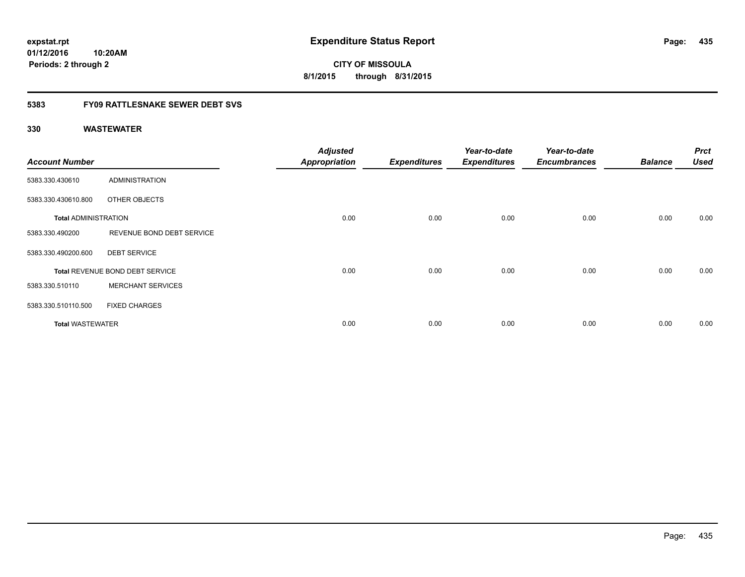**01/12/2016 10:20AM Periods: 2 through 2**

**CITY OF MISSOULA 8/1/2015 through 8/31/2015**

### **5383 FY09 RATTLESNAKE SEWER DEBT SVS**

| <b>Account Number</b>       |                                 | <b>Adjusted</b><br><b>Appropriation</b> | <b>Expenditures</b> | Year-to-date<br><b>Expenditures</b> | Year-to-date<br><b>Encumbrances</b> | <b>Balance</b> | <b>Prct</b><br><b>Used</b> |
|-----------------------------|---------------------------------|-----------------------------------------|---------------------|-------------------------------------|-------------------------------------|----------------|----------------------------|
| 5383.330.430610             | <b>ADMINISTRATION</b>           |                                         |                     |                                     |                                     |                |                            |
| 5383.330.430610.800         | OTHER OBJECTS                   |                                         |                     |                                     |                                     |                |                            |
| <b>Total ADMINISTRATION</b> |                                 | 0.00                                    | 0.00                | 0.00                                | 0.00                                | 0.00           | 0.00                       |
| 5383.330.490200             | REVENUE BOND DEBT SERVICE       |                                         |                     |                                     |                                     |                |                            |
| 5383.330.490200.600         | <b>DEBT SERVICE</b>             |                                         |                     |                                     |                                     |                |                            |
|                             | Total REVENUE BOND DEBT SERVICE | 0.00                                    | 0.00                | 0.00                                | 0.00                                | 0.00           | 0.00                       |
| 5383.330.510110             | <b>MERCHANT SERVICES</b>        |                                         |                     |                                     |                                     |                |                            |
| 5383.330.510110.500         | <b>FIXED CHARGES</b>            |                                         |                     |                                     |                                     |                |                            |
| <b>Total WASTEWATER</b>     |                                 | 0.00                                    | 0.00                | 0.00                                | 0.00                                | 0.00           | 0.00                       |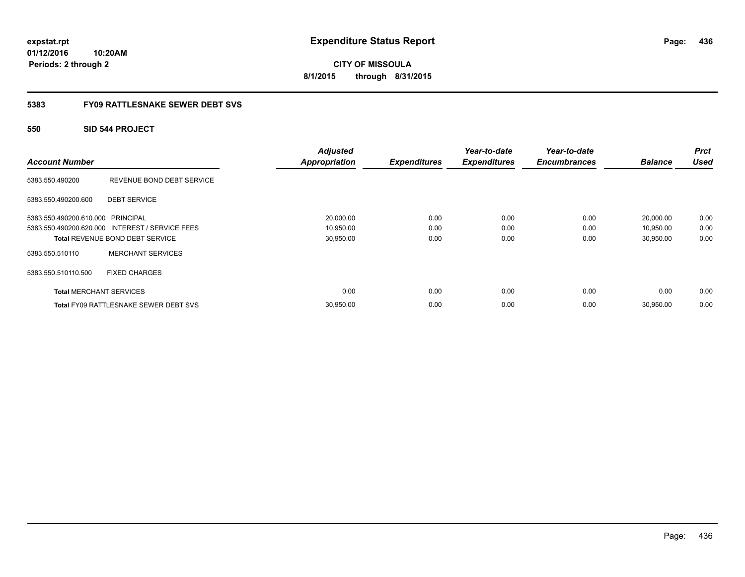**01/12/2016 10:20AM Periods: 2 through 2**

**CITY OF MISSOULA 8/1/2015 through 8/31/2015**

### **5383 FY09 RATTLESNAKE SEWER DEBT SVS**

### **550 SID 544 PROJECT**

| <b>Account Number</b>             |                                                 | <b>Adjusted</b><br><b>Appropriation</b> | <b>Expenditures</b> | Year-to-date<br><b>Expenditures</b> | Year-to-date<br><b>Encumbrances</b> | <b>Balance</b> | <b>Prct</b><br><b>Used</b> |
|-----------------------------------|-------------------------------------------------|-----------------------------------------|---------------------|-------------------------------------|-------------------------------------|----------------|----------------------------|
| 5383.550.490200                   | REVENUE BOND DEBT SERVICE                       |                                         |                     |                                     |                                     |                |                            |
| 5383.550.490200.600               | <b>DEBT SERVICE</b>                             |                                         |                     |                                     |                                     |                |                            |
| 5383.550.490200.610.000 PRINCIPAL |                                                 | 20,000.00                               | 0.00                | 0.00                                | 0.00                                | 20,000.00      | 0.00                       |
|                                   | 5383.550.490200.620.000 INTEREST / SERVICE FEES | 10,950.00                               | 0.00                | 0.00                                | 0.00                                | 10,950.00      | 0.00                       |
|                                   | Total REVENUE BOND DEBT SERVICE                 | 30,950.00                               | 0.00                | 0.00                                | 0.00                                | 30,950.00      | 0.00                       |
| 5383.550.510110                   | <b>MERCHANT SERVICES</b>                        |                                         |                     |                                     |                                     |                |                            |
| 5383.550.510110.500               | <b>FIXED CHARGES</b>                            |                                         |                     |                                     |                                     |                |                            |
| <b>Total MERCHANT SERVICES</b>    |                                                 | 0.00                                    | 0.00                | 0.00                                | 0.00                                | 0.00           | 0.00                       |
|                                   | <b>Total FY09 RATTLESNAKE SEWER DEBT SVS</b>    | 30,950.00                               | 0.00                | 0.00                                | 0.00                                | 30,950.00      | 0.00                       |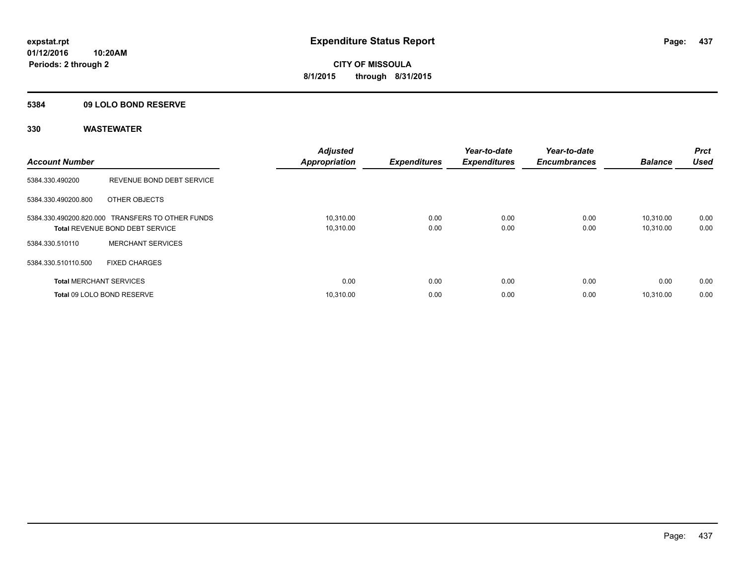### **5384 09 LOLO BOND RESERVE**

| <b>Account Number</b>          |                                                                                            | <b>Adjusted</b><br><b>Appropriation</b> | <b>Expenditures</b> | Year-to-date<br><b>Expenditures</b> | Year-to-date<br><b>Encumbrances</b> | <b>Balance</b>         | <b>Prct</b><br>Used |
|--------------------------------|--------------------------------------------------------------------------------------------|-----------------------------------------|---------------------|-------------------------------------|-------------------------------------|------------------------|---------------------|
| 5384.330.490200                | REVENUE BOND DEBT SERVICE                                                                  |                                         |                     |                                     |                                     |                        |                     |
| 5384.330.490200.800            | OTHER OBJECTS                                                                              |                                         |                     |                                     |                                     |                        |                     |
|                                | 5384.330.490200.820.000 TRANSFERS TO OTHER FUNDS<br><b>Total REVENUE BOND DEBT SERVICE</b> | 10,310.00<br>10,310.00                  | 0.00<br>0.00        | 0.00<br>0.00                        | 0.00<br>0.00                        | 10.310.00<br>10,310.00 | 0.00<br>0.00        |
| 5384.330.510110                | <b>MERCHANT SERVICES</b>                                                                   |                                         |                     |                                     |                                     |                        |                     |
| 5384.330.510110.500            | <b>FIXED CHARGES</b>                                                                       |                                         |                     |                                     |                                     |                        |                     |
| <b>Total MERCHANT SERVICES</b> |                                                                                            | 0.00                                    | 0.00                | 0.00                                | 0.00                                | 0.00                   | 0.00                |
|                                | Total 09 LOLO BOND RESERVE                                                                 | 10.310.00                               | 0.00                | 0.00                                | 0.00                                | 10.310.00              | 0.00                |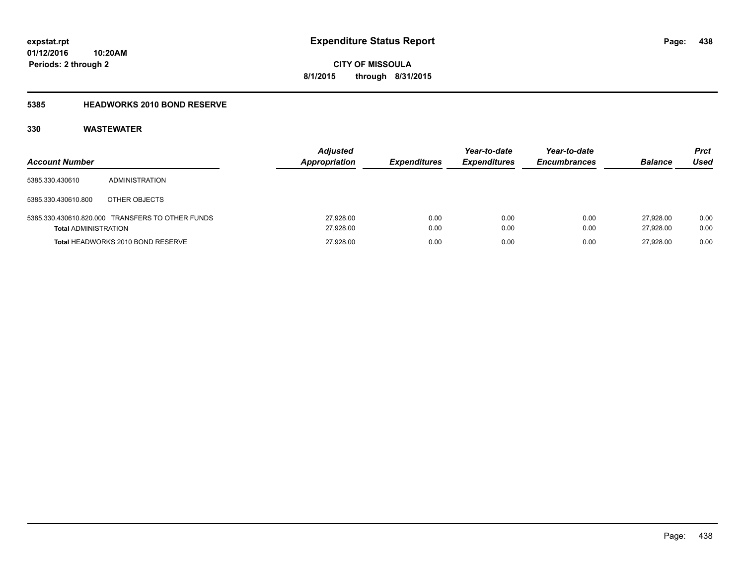### **5385 HEADWORKS 2010 BOND RESERVE**

| <b>Account Number</b>       |                                                  | <b>Adjusted</b>        | <b>Appropriation</b><br><b>Expenditures</b> | Year-to-date<br><b>Expenditures</b> | Year-to-date<br><b>Encumbrances</b> | <b>Balance</b>         | Prct<br>Used |
|-----------------------------|--------------------------------------------------|------------------------|---------------------------------------------|-------------------------------------|-------------------------------------|------------------------|--------------|
| 5385.330.430610             | ADMINISTRATION                                   |                        |                                             |                                     |                                     |                        |              |
| 5385.330.430610.800         | OTHER OBJECTS                                    |                        |                                             |                                     |                                     |                        |              |
| <b>Total ADMINISTRATION</b> | 5385.330.430610.820.000 TRANSFERS TO OTHER FUNDS | 27,928.00<br>27.928.00 | 0.00<br>0.00                                | 0.00<br>0.00                        | 0.00<br>0.00                        | 27.928.00<br>27.928.00 | 0.00<br>0.00 |
|                             | Total HEADWORKS 2010 BOND RESERVE                | 27.928.00              | 0.00                                        | 0.00                                | 0.00                                | 27.928.00              | 0.00         |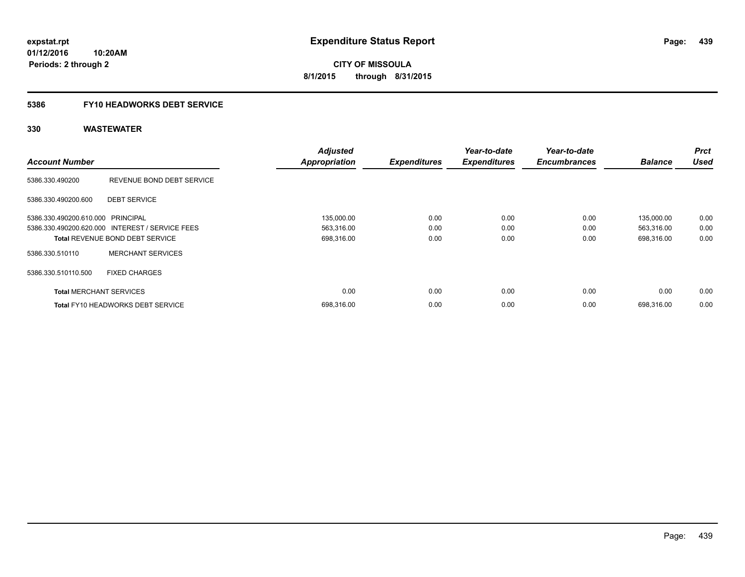**Periods: 2 through 2**

**CITY OF MISSOULA 8/1/2015 through 8/31/2015**

### **5386 FY10 HEADWORKS DEBT SERVICE**

| <b>Account Number</b>             |                                                 | <b>Adjusted</b><br><b>Appropriation</b> | <b>Expenditures</b> | Year-to-date<br><b>Expenditures</b> | Year-to-date<br><b>Encumbrances</b> | <b>Balance</b> | <b>Prct</b><br><b>Used</b> |
|-----------------------------------|-------------------------------------------------|-----------------------------------------|---------------------|-------------------------------------|-------------------------------------|----------------|----------------------------|
|                                   |                                                 |                                         |                     |                                     |                                     |                |                            |
| 5386.330.490200                   | REVENUE BOND DEBT SERVICE                       |                                         |                     |                                     |                                     |                |                            |
| 5386.330.490200.600               | <b>DEBT SERVICE</b>                             |                                         |                     |                                     |                                     |                |                            |
| 5386.330.490200.610.000 PRINCIPAL |                                                 | 135,000.00                              | 0.00                | 0.00                                | 0.00                                | 135,000.00     | 0.00                       |
|                                   | 5386.330.490200.620.000 INTEREST / SERVICE FEES | 563,316.00                              | 0.00                | 0.00                                | 0.00                                | 563,316.00     | 0.00                       |
|                                   | <b>Total REVENUE BOND DEBT SERVICE</b>          | 698,316.00                              | 0.00                | 0.00                                | 0.00                                | 698,316.00     | 0.00                       |
| 5386.330.510110                   | <b>MERCHANT SERVICES</b>                        |                                         |                     |                                     |                                     |                |                            |
| 5386.330.510110.500               | <b>FIXED CHARGES</b>                            |                                         |                     |                                     |                                     |                |                            |
| <b>Total MERCHANT SERVICES</b>    |                                                 | 0.00                                    | 0.00                | 0.00                                | 0.00                                | 0.00           | 0.00                       |
|                                   | <b>Total FY10 HEADWORKS DEBT SERVICE</b>        | 698,316.00                              | 0.00                | 0.00                                | 0.00                                | 698.316.00     | 0.00                       |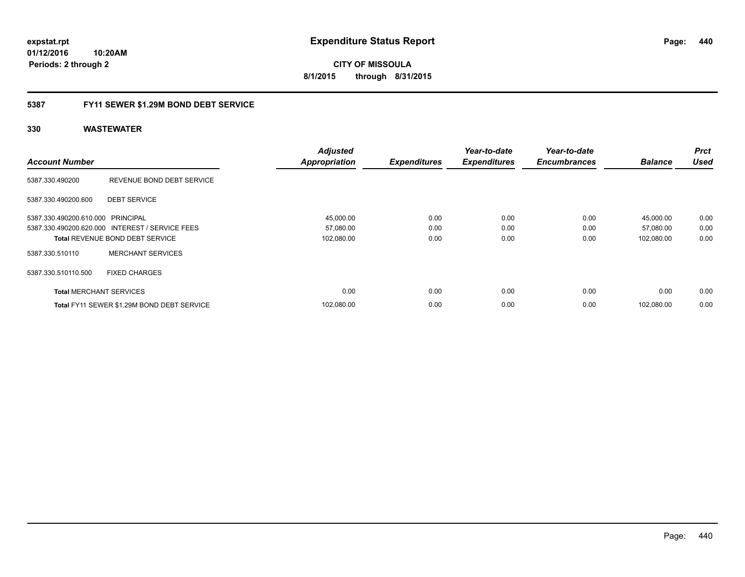**01/12/2016 10:20AM Periods: 2 through 2**

**CITY OF MISSOULA 8/1/2015 through 8/31/2015**

### **5387 FY11 SEWER \$1.29M BOND DEBT SERVICE**

|                                   |                                                 | <b>Adjusted</b>      |                     | Year-to-date        | Year-to-date        |                | <b>Prct</b> |
|-----------------------------------|-------------------------------------------------|----------------------|---------------------|---------------------|---------------------|----------------|-------------|
| <b>Account Number</b>             |                                                 | <b>Appropriation</b> | <b>Expenditures</b> | <b>Expenditures</b> | <b>Encumbrances</b> | <b>Balance</b> | <b>Used</b> |
| 5387.330.490200                   | REVENUE BOND DEBT SERVICE                       |                      |                     |                     |                     |                |             |
| 5387.330.490200.600               | <b>DEBT SERVICE</b>                             |                      |                     |                     |                     |                |             |
| 5387.330.490200.610.000 PRINCIPAL |                                                 | 45,000.00            | 0.00                | 0.00                | 0.00                | 45,000.00      | 0.00        |
|                                   | 5387.330.490200.620.000 INTEREST / SERVICE FEES | 57,080.00            | 0.00                | 0.00                | 0.00                | 57,080.00      | 0.00        |
|                                   | <b>Total REVENUE BOND DEBT SERVICE</b>          | 102,080.00           | 0.00                | 0.00                | 0.00                | 102,080.00     | 0.00        |
| 5387.330.510110                   | <b>MERCHANT SERVICES</b>                        |                      |                     |                     |                     |                |             |
| 5387.330.510110.500               | <b>FIXED CHARGES</b>                            |                      |                     |                     |                     |                |             |
| <b>Total MERCHANT SERVICES</b>    |                                                 | 0.00                 | 0.00                | 0.00                | 0.00                | 0.00           | 0.00        |
|                                   | Total FY11 SEWER \$1.29M BOND DEBT SERVICE      | 102,080.00           | 0.00                | 0.00                | 0.00                | 102.080.00     | 0.00        |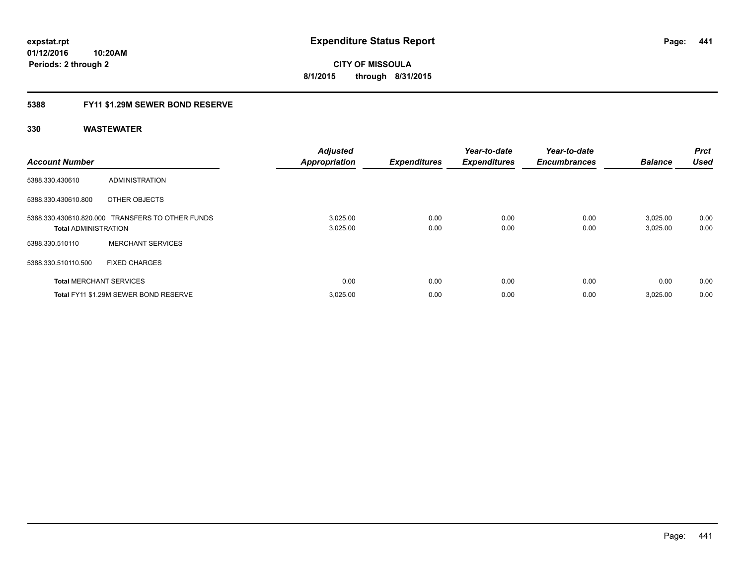### **5388 FY11 \$1.29M SEWER BOND RESERVE**

| <b>Account Number</b>          |                                                  | <b>Adjusted</b><br><b>Appropriation</b> | <b>Expenditures</b> | Year-to-date<br><b>Expenditures</b> | Year-to-date<br><b>Encumbrances</b> | <b>Balance</b>       | Prct<br><b>Used</b> |
|--------------------------------|--------------------------------------------------|-----------------------------------------|---------------------|-------------------------------------|-------------------------------------|----------------------|---------------------|
| 5388.330.430610                | <b>ADMINISTRATION</b>                            |                                         |                     |                                     |                                     |                      |                     |
| 5388.330.430610.800            | OTHER OBJECTS                                    |                                         |                     |                                     |                                     |                      |                     |
| <b>Total ADMINISTRATION</b>    | 5388.330.430610.820.000 TRANSFERS TO OTHER FUNDS | 3,025.00<br>3,025.00                    | 0.00<br>0.00        | 0.00<br>0.00                        | 0.00<br>0.00                        | 3,025.00<br>3,025.00 | 0.00<br>0.00        |
| 5388.330.510110                | <b>MERCHANT SERVICES</b>                         |                                         |                     |                                     |                                     |                      |                     |
| 5388.330.510110.500            | <b>FIXED CHARGES</b>                             |                                         |                     |                                     |                                     |                      |                     |
| <b>Total MERCHANT SERVICES</b> |                                                  | 0.00                                    | 0.00                | 0.00                                | 0.00                                | 0.00                 | 0.00                |
|                                | Total FY11 \$1.29M SEWER BOND RESERVE            | 3,025.00                                | 0.00                | 0.00                                | 0.00                                | 3,025.00             | 0.00                |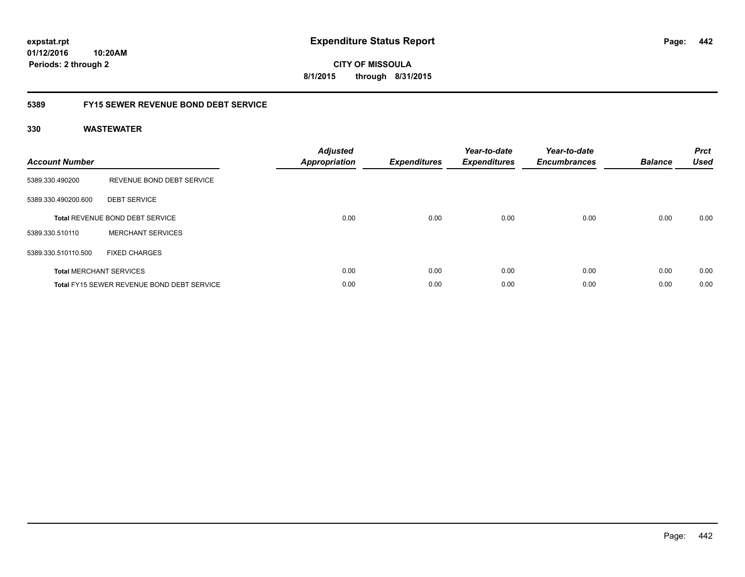### **5389 FY15 SEWER REVENUE BOND DEBT SERVICE**

| <b>Account Number</b> |                                                   | <b>Adjusted</b><br>Appropriation | <b>Expenditures</b> | Year-to-date<br><b>Expenditures</b> | Year-to-date<br><b>Encumbrances</b> | <b>Balance</b> | <b>Prct</b><br><b>Used</b> |
|-----------------------|---------------------------------------------------|----------------------------------|---------------------|-------------------------------------|-------------------------------------|----------------|----------------------------|
| 5389.330.490200       | REVENUE BOND DEBT SERVICE                         |                                  |                     |                                     |                                     |                |                            |
| 5389.330.490200.600   | <b>DEBT SERVICE</b>                               |                                  |                     |                                     |                                     |                |                            |
|                       | <b>Total REVENUE BOND DEBT SERVICE</b>            | 0.00                             | 0.00                | 0.00                                | 0.00                                | 0.00           | 0.00                       |
| 5389.330.510110       | <b>MERCHANT SERVICES</b>                          |                                  |                     |                                     |                                     |                |                            |
| 5389.330.510110.500   | <b>FIXED CHARGES</b>                              |                                  |                     |                                     |                                     |                |                            |
|                       | <b>Total MERCHANT SERVICES</b>                    | 0.00                             | 0.00                | 0.00                                | 0.00                                | 0.00           | 0.00                       |
|                       | <b>Total FY15 SEWER REVENUE BOND DEBT SERVICE</b> | 0.00                             | 0.00                | 0.00                                | 0.00                                | 0.00           | 0.00                       |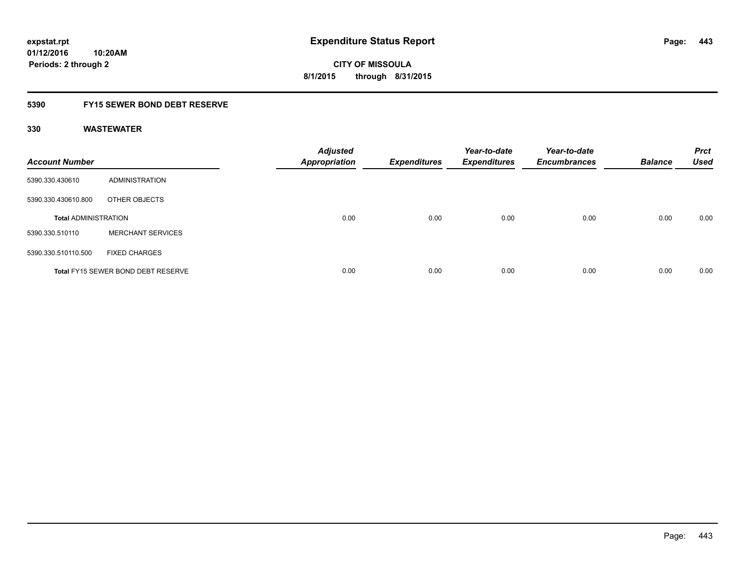### **5390 FY15 SEWER BOND DEBT RESERVE**

| <b>Account Number</b>       |                                           | <b>Adjusted</b><br><b>Appropriation</b> | <b>Expenditures</b> | Year-to-date<br>Expenditures | Year-to-date<br><b>Encumbrances</b> | <b>Balance</b> | <b>Prct</b><br><b>Used</b> |
|-----------------------------|-------------------------------------------|-----------------------------------------|---------------------|------------------------------|-------------------------------------|----------------|----------------------------|
| 5390.330.430610             | ADMINISTRATION                            |                                         |                     |                              |                                     |                |                            |
| 5390.330.430610.800         | OTHER OBJECTS                             |                                         |                     |                              |                                     |                |                            |
| <b>Total ADMINISTRATION</b> |                                           | 0.00                                    | 0.00                | 0.00                         | 0.00                                | 0.00           | 0.00                       |
| 5390.330.510110             | <b>MERCHANT SERVICES</b>                  |                                         |                     |                              |                                     |                |                            |
| 5390.330.510110.500         | <b>FIXED CHARGES</b>                      |                                         |                     |                              |                                     |                |                            |
|                             | <b>Total FY15 SEWER BOND DEBT RESERVE</b> | 0.00                                    | 0.00                | 0.00                         | 0.00                                | 0.00           | 0.00                       |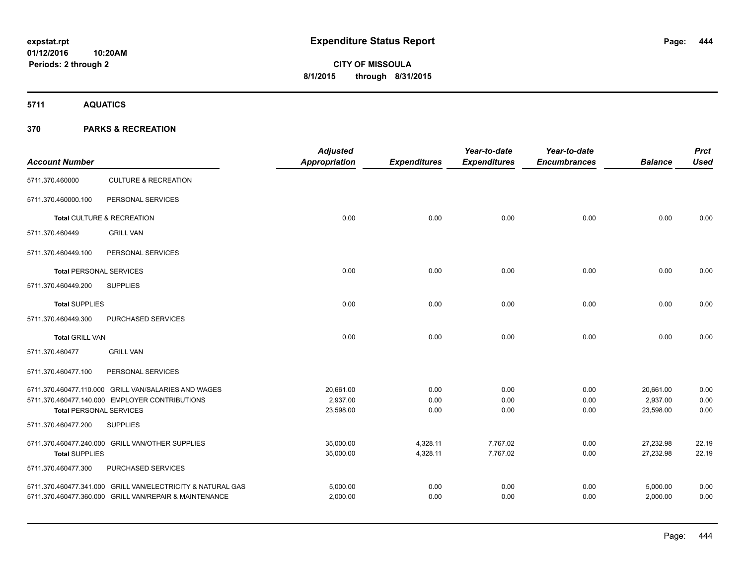**5711 AQUATICS**

| <b>Account Number</b>                                 |                                                             | <b>Adjusted</b><br>Appropriation | <b>Expenditures</b> | Year-to-date<br><b>Expenditures</b> | Year-to-date<br><b>Encumbrances</b> | <b>Balance</b> | <b>Prct</b><br><b>Used</b> |
|-------------------------------------------------------|-------------------------------------------------------------|----------------------------------|---------------------|-------------------------------------|-------------------------------------|----------------|----------------------------|
| 5711.370.460000                                       | <b>CULTURE &amp; RECREATION</b>                             |                                  |                     |                                     |                                     |                |                            |
| 5711.370.460000.100                                   | PERSONAL SERVICES                                           |                                  |                     |                                     |                                     |                |                            |
|                                                       | Total CULTURE & RECREATION                                  | 0.00                             | 0.00                | 0.00                                | 0.00                                | 0.00           | 0.00                       |
| 5711.370.460449                                       | <b>GRILL VAN</b>                                            |                                  |                     |                                     |                                     |                |                            |
| 5711.370.460449.100                                   | PERSONAL SERVICES                                           |                                  |                     |                                     |                                     |                |                            |
| <b>Total PERSONAL SERVICES</b>                        |                                                             | 0.00                             | 0.00                | 0.00                                | 0.00                                | 0.00           | 0.00                       |
| 5711.370.460449.200                                   | <b>SUPPLIES</b>                                             |                                  |                     |                                     |                                     |                |                            |
| <b>Total SUPPLIES</b>                                 |                                                             | 0.00                             | 0.00                | 0.00                                | 0.00                                | 0.00           | 0.00                       |
| 5711.370.460449.300                                   | PURCHASED SERVICES                                          |                                  |                     |                                     |                                     |                |                            |
| <b>Total GRILL VAN</b>                                |                                                             | 0.00                             | 0.00                | 0.00                                | 0.00                                | 0.00           | 0.00                       |
| 5711.370.460477                                       | <b>GRILL VAN</b>                                            |                                  |                     |                                     |                                     |                |                            |
| 5711.370.460477.100                                   | PERSONAL SERVICES                                           |                                  |                     |                                     |                                     |                |                            |
|                                                       | 5711.370.460477.110.000 GRILL VAN/SALARIES AND WAGES        | 20,661.00                        | 0.00                | 0.00                                | 0.00                                | 20,661.00      | 0.00                       |
|                                                       | 5711.370.460477.140.000 EMPLOYER CONTRIBUTIONS              | 2,937.00                         | 0.00                | 0.00                                | 0.00                                | 2,937.00       | 0.00                       |
| <b>Total PERSONAL SERVICES</b><br>5711.370.460477.200 | <b>SUPPLIES</b>                                             | 23,598.00                        | 0.00                | 0.00                                | 0.00                                | 23,598.00      | 0.00                       |
|                                                       |                                                             |                                  |                     |                                     |                                     |                |                            |
|                                                       | 5711.370.460477.240.000 GRILL VAN/OTHER SUPPLIES            | 35,000.00                        | 4,328.11            | 7,767.02                            | 0.00                                | 27,232.98      | 22.19                      |
| <b>Total SUPPLIES</b>                                 |                                                             | 35,000.00                        | 4,328.11            | 7,767.02                            | 0.00                                | 27,232.98      | 22.19                      |
| 5711.370.460477.300                                   | PURCHASED SERVICES                                          |                                  |                     |                                     |                                     |                |                            |
|                                                       | 5711.370.460477.341.000 GRILL VAN/ELECTRICITY & NATURAL GAS | 5,000.00                         | 0.00                | 0.00                                | 0.00                                | 5,000.00       | 0.00                       |
|                                                       | 5711.370.460477.360.000 GRILL VAN/REPAIR & MAINTENANCE      | 2,000.00                         | 0.00                | 0.00                                | 0.00                                | 2,000.00       | 0.00                       |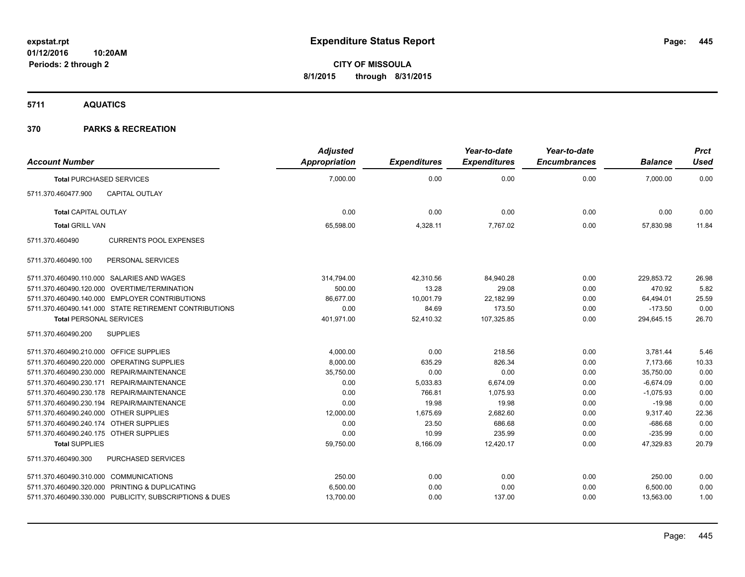**5711 AQUATICS**

| <b>Account Number</b>                   |                                                         | <b>Adjusted</b><br><b>Appropriation</b> | <b>Expenditures</b> | Year-to-date<br><b>Expenditures</b> | Year-to-date<br><b>Encumbrances</b> | <b>Balance</b> | Prct<br><b>Used</b> |
|-----------------------------------------|---------------------------------------------------------|-----------------------------------------|---------------------|-------------------------------------|-------------------------------------|----------------|---------------------|
| <b>Total PURCHASED SERVICES</b>         |                                                         | 7,000.00                                | 0.00                | 0.00                                | 0.00                                | 7,000.00       | 0.00                |
| 5711.370.460477.900                     | <b>CAPITAL OUTLAY</b>                                   |                                         |                     |                                     |                                     |                |                     |
| <b>Total CAPITAL OUTLAY</b>             |                                                         | 0.00                                    | 0.00                | 0.00                                | 0.00                                | 0.00           | 0.00                |
| <b>Total GRILL VAN</b>                  |                                                         | 65,598.00                               | 4,328.11            | 7,767.02                            | 0.00                                | 57,830.98      | 11.84               |
| 5711.370.460490                         | <b>CURRENTS POOL EXPENSES</b>                           |                                         |                     |                                     |                                     |                |                     |
| 5711.370.460490.100                     | PERSONAL SERVICES                                       |                                         |                     |                                     |                                     |                |                     |
|                                         | 5711.370.460490.110.000 SALARIES AND WAGES              | 314,794.00                              | 42,310.56           | 84,940.28                           | 0.00                                | 229.853.72     | 26.98               |
|                                         | 5711.370.460490.120.000 OVERTIME/TERMINATION            | 500.00                                  | 13.28               | 29.08                               | 0.00                                | 470.92         | 5.82                |
|                                         | 5711.370.460490.140.000 EMPLOYER CONTRIBUTIONS          | 86,677.00                               | 10,001.79           | 22,182.99                           | 0.00                                | 64,494.01      | 25.59               |
|                                         | 5711.370.460490.141.000 STATE RETIREMENT CONTRIBUTIONS  | 0.00                                    | 84.69               | 173.50                              | 0.00                                | $-173.50$      | 0.00                |
| <b>Total PERSONAL SERVICES</b>          |                                                         | 401,971.00                              | 52,410.32           | 107,325.85                          | 0.00                                | 294,645.15     | 26.70               |
| 5711.370.460490.200                     | <b>SUPPLIES</b>                                         |                                         |                     |                                     |                                     |                |                     |
| 5711.370.460490.210.000 OFFICE SUPPLIES |                                                         | 4,000.00                                | 0.00                | 218.56                              | 0.00                                | 3,781.44       | 5.46                |
|                                         | 5711.370.460490.220.000 OPERATING SUPPLIES              | 8,000.00                                | 635.29              | 826.34                              | 0.00                                | 7,173.66       | 10.33               |
|                                         | 5711.370.460490.230.000 REPAIR/MAINTENANCE              | 35,750.00                               | 0.00                | 0.00                                | 0.00                                | 35,750.00      | 0.00                |
|                                         | 5711.370.460490.230.171 REPAIR/MAINTENANCE              | 0.00                                    | 5,033.83            | 6,674.09                            | 0.00                                | $-6.674.09$    | 0.00                |
|                                         | 5711.370.460490.230.178 REPAIR/MAINTENANCE              | 0.00                                    | 766.81              | 1,075.93                            | 0.00                                | $-1,075.93$    | 0.00                |
|                                         | 5711.370.460490.230.194 REPAIR/MAINTENANCE              | 0.00                                    | 19.98               | 19.98                               | 0.00                                | $-19.98$       | 0.00                |
| 5711.370.460490.240.000 OTHER SUPPLIES  |                                                         | 12,000.00                               | 1,675.69            | 2,682.60                            | 0.00                                | 9,317.40       | 22.36               |
| 5711.370.460490.240.174 OTHER SUPPLIES  |                                                         | 0.00                                    | 23.50               | 686.68                              | 0.00                                | $-686.68$      | 0.00                |
| 5711.370.460490.240.175 OTHER SUPPLIES  |                                                         | 0.00                                    | 10.99               | 235.99                              | 0.00                                | $-235.99$      | 0.00                |
| <b>Total SUPPLIES</b>                   |                                                         | 59,750.00                               | 8,166.09            | 12,420.17                           | 0.00                                | 47,329.83      | 20.79               |
| 5711.370.460490.300                     | <b>PURCHASED SERVICES</b>                               |                                         |                     |                                     |                                     |                |                     |
| 5711.370.460490.310.000 COMMUNICATIONS  |                                                         | 250.00                                  | 0.00                | 0.00                                | 0.00                                | 250.00         | 0.00                |
|                                         | 5711.370.460490.320.000 PRINTING & DUPLICATING          | 6,500.00                                | 0.00                | 0.00                                | 0.00                                | 6,500.00       | 0.00                |
|                                         | 5711.370.460490.330.000 PUBLICITY, SUBSCRIPTIONS & DUES | 13,700.00                               | 0.00                | 137.00                              | 0.00                                | 13,563.00      | 1.00                |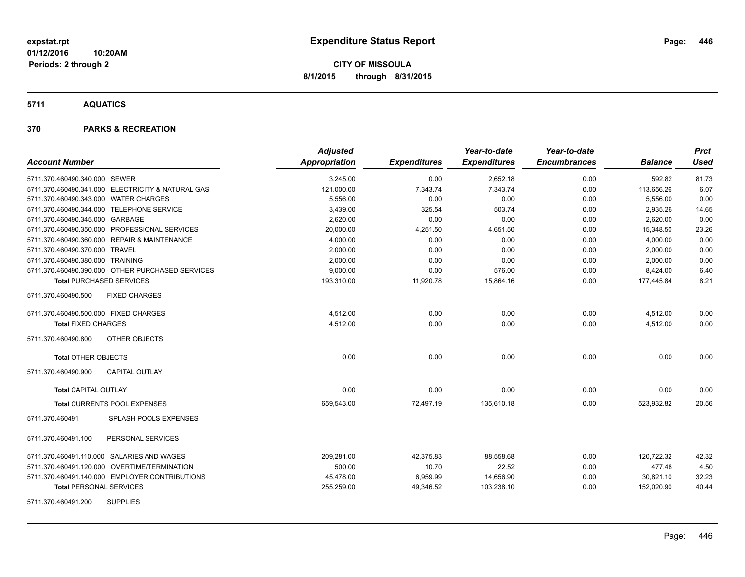**5711 AQUATICS**

| <b>Account Number</b>                             | <b>Adjusted</b><br><b>Appropriation</b> | <b>Expenditures</b> | Year-to-date<br><b>Expenditures</b> | Year-to-date<br><b>Encumbrances</b> | <b>Balance</b> | <b>Prct</b><br><b>Used</b> |
|---------------------------------------------------|-----------------------------------------|---------------------|-------------------------------------|-------------------------------------|----------------|----------------------------|
| 5711.370.460490.340.000 SEWER                     | 3,245.00                                | 0.00                | 2,652.18                            | 0.00                                | 592.82         | 81.73                      |
| 5711.370.460490.341.000 ELECTRICITY & NATURAL GAS | 121,000.00                              | 7,343.74            | 7,343.74                            | 0.00                                | 113,656.26     | 6.07                       |
| 5711.370.460490.343.000 WATER CHARGES             | 5,556.00                                | 0.00                | 0.00                                | 0.00                                | 5,556.00       | 0.00                       |
| 5711.370.460490.344.000 TELEPHONE SERVICE         | 3,439.00                                | 325.54              | 503.74                              | 0.00                                | 2,935.26       | 14.65                      |
| 5711.370.460490.345.000 GARBAGE                   | 2,620.00                                | 0.00                | 0.00                                | 0.00                                | 2,620.00       | 0.00                       |
| 5711.370.460490.350.000 PROFESSIONAL SERVICES     | 20,000.00                               | 4,251.50            | 4,651.50                            | 0.00                                | 15,348.50      | 23.26                      |
| 5711.370.460490.360.000 REPAIR & MAINTENANCE      | 4,000.00                                | 0.00                | 0.00                                | 0.00                                | 4,000.00       | 0.00                       |
| 5711.370.460490.370.000 TRAVEL                    | 2,000.00                                | 0.00                | 0.00                                | 0.00                                | 2,000.00       | 0.00                       |
| 5711.370.460490.380.000 TRAINING                  | 2,000.00                                | 0.00                | 0.00                                | 0.00                                | 2,000.00       | 0.00                       |
| 5711.370.460490.390.000 OTHER PURCHASED SERVICES  | 9,000.00                                | 0.00                | 576.00                              | 0.00                                | 8,424.00       | 6.40                       |
| <b>Total PURCHASED SERVICES</b>                   | 193,310.00                              | 11,920.78           | 15,864.16                           | 0.00                                | 177,445.84     | 8.21                       |
| 5711.370.460490.500<br><b>FIXED CHARGES</b>       |                                         |                     |                                     |                                     |                |                            |
| 5711.370.460490.500.000 FIXED CHARGES             | 4,512.00                                | 0.00                | 0.00                                | 0.00                                | 4,512.00       | 0.00                       |
| <b>Total FIXED CHARGES</b>                        | 4,512.00                                | 0.00                | 0.00                                | 0.00                                | 4,512.00       | 0.00                       |
| OTHER OBJECTS<br>5711.370.460490.800              |                                         |                     |                                     |                                     |                |                            |
| <b>Total OTHER OBJECTS</b>                        | 0.00                                    | 0.00                | 0.00                                | 0.00                                | 0.00           | 0.00                       |
| <b>CAPITAL OUTLAY</b><br>5711.370.460490.900      |                                         |                     |                                     |                                     |                |                            |
| <b>Total CAPITAL OUTLAY</b>                       | 0.00                                    | 0.00                | 0.00                                | 0.00                                | 0.00           | 0.00                       |
| <b>Total CURRENTS POOL EXPENSES</b>               | 659,543.00                              | 72,497.19           | 135,610.18                          | 0.00                                | 523,932.82     | 20.56                      |
| SPLASH POOLS EXPENSES<br>5711.370.460491          |                                         |                     |                                     |                                     |                |                            |
| 5711.370.460491.100<br>PERSONAL SERVICES          |                                         |                     |                                     |                                     |                |                            |
| 5711.370.460491.110.000 SALARIES AND WAGES        | 209,281.00                              | 42,375.83           | 88,558.68                           | 0.00                                | 120,722.32     | 42.32                      |
| 5711.370.460491.120.000 OVERTIME/TERMINATION      | 500.00                                  | 10.70               | 22.52                               | 0.00                                | 477.48         | 4.50                       |
| 5711.370.460491.140.000 EMPLOYER CONTRIBUTIONS    | 45,478.00                               | 6,959.99            | 14,656.90                           | 0.00                                | 30,821.10      | 32.23                      |
| <b>Total PERSONAL SERVICES</b>                    | 255,259.00                              | 49,346.52           | 103,238.10                          | 0.00                                | 152,020.90     | 40.44                      |
| <b>SUPPLIES</b><br>5711.370.460491.200            |                                         |                     |                                     |                                     |                |                            |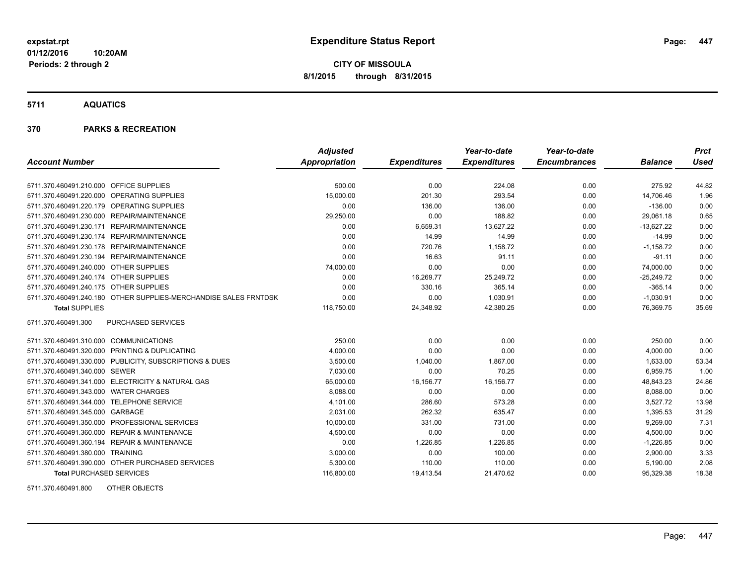**01/12/2016 10:20AM Periods: 2 through 2**

**CITY OF MISSOULA 8/1/2015 through 8/31/2015**

**5711 AQUATICS**

### **370 PARKS & RECREATION**

|                                                                  | <b>Adjusted</b>      |                     | Year-to-date        | Year-to-date        |                | <b>Prct</b> |
|------------------------------------------------------------------|----------------------|---------------------|---------------------|---------------------|----------------|-------------|
| <b>Account Number</b>                                            | <b>Appropriation</b> | <b>Expenditures</b> | <b>Expenditures</b> | <b>Encumbrances</b> | <b>Balance</b> | <b>Used</b> |
| 5711.370.460491.210.000 OFFICE SUPPLIES                          | 500.00               | 0.00                | 224.08              | 0.00                | 275.92         | 44.82       |
| 5711.370.460491.220.000 OPERATING SUPPLIES                       | 15,000.00            | 201.30              | 293.54              | 0.00                | 14,706.46      | 1.96        |
| 5711.370.460491.220.179 OPERATING SUPPLIES                       | 0.00                 | 136.00              | 136.00              | 0.00                | $-136.00$      | 0.00        |
| 5711.370.460491.230.000 REPAIR/MAINTENANCE                       | 29,250.00            | 0.00                | 188.82              | 0.00                | 29.061.18      | 0.65        |
| 5711.370.460491.230.171 REPAIR/MAINTENANCE                       | 0.00                 | 6,659.31            | 13,627.22           | 0.00                | $-13,627.22$   | 0.00        |
| 5711.370.460491.230.174 REPAIR/MAINTENANCE                       | 0.00                 | 14.99               | 14.99               | 0.00                | $-14.99$       | 0.00        |
| 5711.370.460491.230.178 REPAIR/MAINTENANCE                       | 0.00                 | 720.76              | 1.158.72            | 0.00                | $-1.158.72$    | 0.00        |
| 5711.370.460491.230.194 REPAIR/MAINTENANCE                       | 0.00                 | 16.63               | 91.11               | 0.00                | $-91.11$       | 0.00        |
| 5711.370.460491.240.000 OTHER SUPPLIES                           | 74,000.00            | 0.00                | 0.00                | 0.00                | 74,000.00      | 0.00        |
| 5711.370.460491.240.174 OTHER SUPPLIES                           | 0.00                 | 16,269.77           | 25,249.72           | 0.00                | $-25,249.72$   | 0.00        |
| 5711.370.460491.240.175 OTHER SUPPLIES                           | 0.00                 | 330.16              | 365.14              | 0.00                | $-365.14$      | 0.00        |
| 5711.370.460491.240.180 OTHER SUPPLIES-MERCHANDISE SALES FRNTDSK | 0.00                 | 0.00                | 1,030.91            | 0.00                | $-1,030.91$    | 0.00        |
| <b>Total SUPPLIES</b>                                            | 118,750.00           | 24,348.92           | 42,380.25           | 0.00                | 76,369.75      | 35.69       |
| <b>PURCHASED SERVICES</b><br>5711.370.460491.300                 |                      |                     |                     |                     |                |             |
| 5711.370.460491.310.000 COMMUNICATIONS                           | 250.00               | 0.00                | 0.00                | 0.00                | 250.00         | 0.00        |
| PRINTING & DUPLICATING<br>5711.370.460491.320.000                | 4,000.00             | 0.00                | 0.00                | 0.00                | 4,000.00       | 0.00        |
| 5711.370.460491.330.000 PUBLICITY, SUBSCRIPTIONS & DUES          | 3,500.00             | 1,040.00            | 1,867.00            | 0.00                | 1,633.00       | 53.34       |
| 5711.370.460491.340.000 SEWER                                    | 7,030.00             | 0.00                | 70.25               | 0.00                | 6,959.75       | 1.00        |
| 5711.370.460491.341.000 ELECTRICITY & NATURAL GAS                | 65,000.00            | 16,156.77           | 16,156.77           | 0.00                | 48,843.23      | 24.86       |
| 5711.370.460491.343.000 WATER CHARGES                            | 8,088.00             | 0.00                | 0.00                | 0.00                | 8,088.00       | 0.00        |
| 5711.370.460491.344.000 TELEPHONE SERVICE                        | 4,101.00             | 286.60              | 573.28              | 0.00                | 3,527.72       | 13.98       |
| 5711.370.460491.345.000 GARBAGE                                  | 2,031.00             | 262.32              | 635.47              | 0.00                | 1,395.53       | 31.29       |
| 5711.370.460491.350.000 PROFESSIONAL SERVICES                    | 10,000.00            | 331.00              | 731.00              | 0.00                | 9,269.00       | 7.31        |
| 5711.370.460491.360.000 REPAIR & MAINTENANCE                     | 4,500.00             | 0.00                | 0.00                | 0.00                | 4,500.00       | 0.00        |
| 5711.370.460491.360.194 REPAIR & MAINTENANCE                     | 0.00                 | 1,226.85            | 1,226.85            | 0.00                | $-1,226.85$    | 0.00        |
| 5711.370.460491.380.000 TRAINING                                 | 3,000.00             | 0.00                | 100.00              | 0.00                | 2,900.00       | 3.33        |
| 5711.370.460491.390.000 OTHER PURCHASED SERVICES                 | 5,300.00             | 110.00              | 110.00              | 0.00                | 5,190.00       | 2.08        |
| <b>Total PURCHASED SERVICES</b>                                  | 116,800.00           | 19,413.54           | 21,470.62           | 0.00                | 95,329.38      | 18.38       |

5711.370.460491.800 OTHER OBJECTS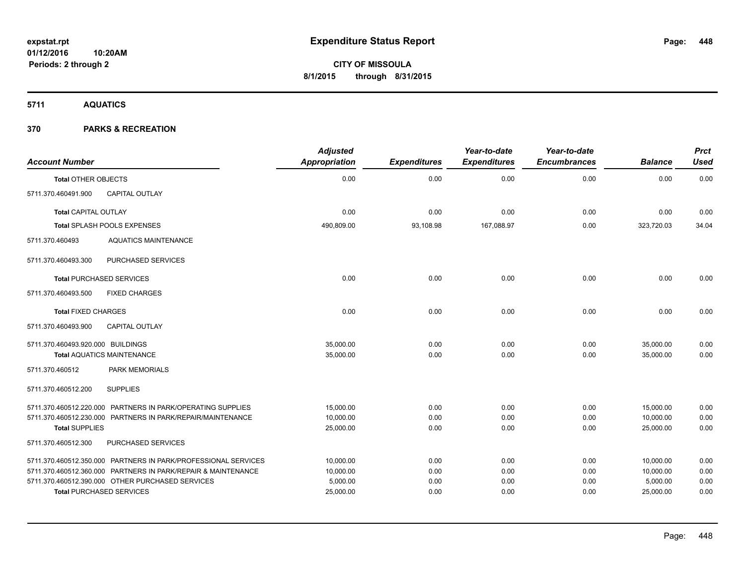**5711 AQUATICS**

| <b>Account Number</b>             |                                                                | <b>Adjusted</b><br>Appropriation | <b>Expenditures</b> | Year-to-date<br><b>Expenditures</b> | Year-to-date<br><b>Encumbrances</b> | <b>Balance</b> | <b>Prct</b><br><b>Used</b> |
|-----------------------------------|----------------------------------------------------------------|----------------------------------|---------------------|-------------------------------------|-------------------------------------|----------------|----------------------------|
| <b>Total OTHER OBJECTS</b>        |                                                                | 0.00                             | 0.00                | 0.00                                | 0.00                                | 0.00           | 0.00                       |
| 5711.370.460491.900               | <b>CAPITAL OUTLAY</b>                                          |                                  |                     |                                     |                                     |                |                            |
| <b>Total CAPITAL OUTLAY</b>       |                                                                | 0.00                             | 0.00                | 0.00                                | 0.00                                | 0.00           | 0.00                       |
|                                   | Total SPLASH POOLS EXPENSES                                    | 490,809.00                       | 93,108.98           | 167,088.97                          | 0.00                                | 323,720.03     | 34.04                      |
| 5711.370.460493                   | <b>AQUATICS MAINTENANCE</b>                                    |                                  |                     |                                     |                                     |                |                            |
| 5711.370.460493.300               | PURCHASED SERVICES                                             |                                  |                     |                                     |                                     |                |                            |
|                                   | <b>Total PURCHASED SERVICES</b>                                | 0.00                             | 0.00                | 0.00                                | 0.00                                | 0.00           | 0.00                       |
| 5711.370.460493.500               | <b>FIXED CHARGES</b>                                           |                                  |                     |                                     |                                     |                |                            |
| <b>Total FIXED CHARGES</b>        |                                                                | 0.00                             | 0.00                | 0.00                                | 0.00                                | 0.00           | 0.00                       |
| 5711.370.460493.900               | <b>CAPITAL OUTLAY</b>                                          |                                  |                     |                                     |                                     |                |                            |
| 5711.370.460493.920.000 BUILDINGS |                                                                | 35,000.00                        | 0.00                | 0.00                                | 0.00                                | 35,000.00      | 0.00                       |
|                                   | <b>Total AQUATICS MAINTENANCE</b>                              | 35,000.00                        | 0.00                | 0.00                                | 0.00                                | 35,000.00      | 0.00                       |
| 5711.370.460512                   | <b>PARK MEMORIALS</b>                                          |                                  |                     |                                     |                                     |                |                            |
| 5711.370.460512.200               | <b>SUPPLIES</b>                                                |                                  |                     |                                     |                                     |                |                            |
|                                   | 5711.370.460512.220.000 PARTNERS IN PARK/OPERATING SUPPLIES    | 15,000.00                        | 0.00                | 0.00                                | 0.00                                | 15,000.00      | 0.00                       |
|                                   | 5711.370.460512.230.000 PARTNERS IN PARK/REPAIR/MAINTENANCE    | 10,000.00                        | 0.00                | 0.00                                | 0.00                                | 10,000.00      | 0.00                       |
| <b>Total SUPPLIES</b>             |                                                                | 25,000.00                        | 0.00                | 0.00                                | 0.00                                | 25.000.00      | 0.00                       |
| 5711.370.460512.300               | PURCHASED SERVICES                                             |                                  |                     |                                     |                                     |                |                            |
|                                   | 5711.370.460512.350.000 PARTNERS IN PARK/PROFESSIONAL SERVICES | 10,000.00                        | 0.00                | 0.00                                | 0.00                                | 10,000.00      | 0.00                       |
|                                   | 5711.370.460512.360.000 PARTNERS IN PARK/REPAIR & MAINTENANCE  | 10,000.00                        | 0.00                | 0.00                                | 0.00                                | 10,000.00      | 0.00                       |
|                                   | 5711.370.460512.390.000 OTHER PURCHASED SERVICES               | 5,000.00                         | 0.00                | 0.00                                | 0.00                                | 5,000.00       | 0.00                       |
|                                   | <b>Total PURCHASED SERVICES</b>                                | 25,000.00                        | 0.00                | 0.00                                | 0.00                                | 25,000.00      | 0.00                       |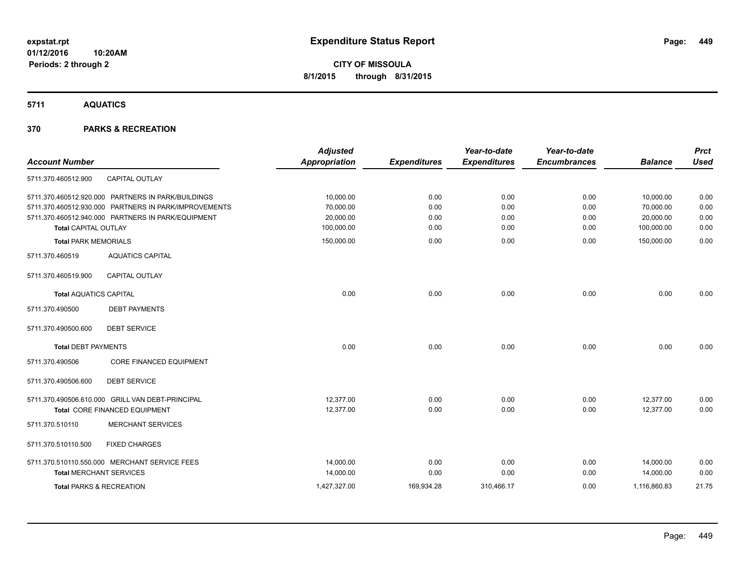**5711 AQUATICS**

| <b>Account Number</b>               |                                                       | <b>Adjusted</b><br><b>Appropriation</b> | <b>Expenditures</b> | Year-to-date<br><b>Expenditures</b> | Year-to-date<br><b>Encumbrances</b> | <b>Balance</b> | <b>Prct</b><br><b>Used</b> |
|-------------------------------------|-------------------------------------------------------|-----------------------------------------|---------------------|-------------------------------------|-------------------------------------|----------------|----------------------------|
| 5711.370.460512.900                 | <b>CAPITAL OUTLAY</b>                                 |                                         |                     |                                     |                                     |                |                            |
|                                     |                                                       |                                         |                     |                                     |                                     |                |                            |
|                                     | 5711.370.460512.920.000 PARTNERS IN PARK/BUILDINGS    | 10,000.00                               | 0.00                | 0.00                                | 0.00                                | 10,000.00      | 0.00                       |
|                                     | 5711.370.460512.930.000 PARTNERS IN PARK/IMPROVEMENTS | 70,000.00                               | 0.00                | 0.00                                | 0.00                                | 70,000.00      | 0.00                       |
|                                     | 5711.370.460512.940.000 PARTNERS IN PARK/EQUIPMENT    | 20,000.00                               | 0.00                | 0.00                                | 0.00                                | 20,000.00      | 0.00                       |
| <b>Total CAPITAL OUTLAY</b>         |                                                       | 100,000.00                              | 0.00                | 0.00                                | 0.00                                | 100,000.00     | 0.00                       |
| <b>Total PARK MEMORIALS</b>         |                                                       | 150,000.00                              | 0.00                | 0.00                                | 0.00                                | 150,000.00     | 0.00                       |
| 5711.370.460519                     | <b>AQUATICS CAPITAL</b>                               |                                         |                     |                                     |                                     |                |                            |
| 5711.370.460519.900                 | CAPITAL OUTLAY                                        |                                         |                     |                                     |                                     |                |                            |
| <b>Total AQUATICS CAPITAL</b>       |                                                       | 0.00                                    | 0.00                | 0.00                                | 0.00                                | 0.00           | 0.00                       |
| 5711.370.490500                     | <b>DEBT PAYMENTS</b>                                  |                                         |                     |                                     |                                     |                |                            |
| 5711.370.490500.600                 | <b>DEBT SERVICE</b>                                   |                                         |                     |                                     |                                     |                |                            |
| <b>Total DEBT PAYMENTS</b>          |                                                       | 0.00                                    | 0.00                | 0.00                                | 0.00                                | 0.00           | 0.00                       |
| 5711.370.490506                     | <b>CORE FINANCED EQUIPMENT</b>                        |                                         |                     |                                     |                                     |                |                            |
| 5711.370.490506.600                 | <b>DEBT SERVICE</b>                                   |                                         |                     |                                     |                                     |                |                            |
|                                     | 5711.370.490506.610.000 GRILL VAN DEBT-PRINCIPAL      | 12.377.00                               | 0.00                | 0.00                                | 0.00                                | 12,377.00      | 0.00                       |
|                                     | Total CORE FINANCED EQUIPMENT                         | 12,377.00                               | 0.00                | 0.00                                | 0.00                                | 12,377.00      | 0.00                       |
| 5711.370.510110                     | <b>MERCHANT SERVICES</b>                              |                                         |                     |                                     |                                     |                |                            |
| 5711.370.510110.500                 | <b>FIXED CHARGES</b>                                  |                                         |                     |                                     |                                     |                |                            |
|                                     | 5711.370.510110.550.000 MERCHANT SERVICE FEES         | 14,000.00                               | 0.00                | 0.00                                | 0.00                                | 14,000.00      | 0.00                       |
| <b>Total MERCHANT SERVICES</b>      |                                                       | 14,000.00                               | 0.00                | 0.00                                | 0.00                                | 14,000.00      | 0.00                       |
| <b>Total PARKS &amp; RECREATION</b> |                                                       | 1,427,327.00                            | 169,934.28          | 310,466.17                          | 0.00                                | 1,116,860.83   | 21.75                      |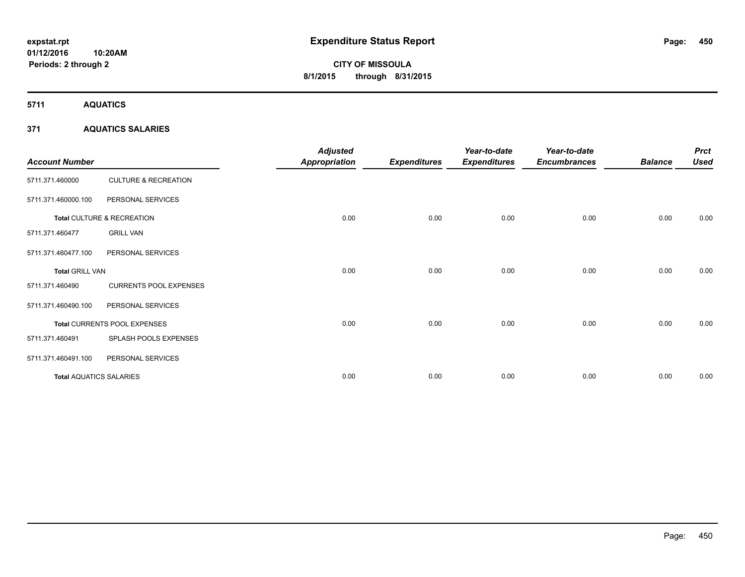**5711 AQUATICS**

### **371 AQUATICS SALARIES**

| <b>Account Number</b>          |                                 | <b>Adjusted</b><br><b>Appropriation</b> | <b>Expenditures</b> | Year-to-date<br><b>Expenditures</b> | Year-to-date<br><b>Encumbrances</b> | <b>Balance</b> | <b>Prct</b><br><b>Used</b> |
|--------------------------------|---------------------------------|-----------------------------------------|---------------------|-------------------------------------|-------------------------------------|----------------|----------------------------|
| 5711.371.460000                | <b>CULTURE &amp; RECREATION</b> |                                         |                     |                                     |                                     |                |                            |
| 5711.371.460000.100            | PERSONAL SERVICES               |                                         |                     |                                     |                                     |                |                            |
|                                | Total CULTURE & RECREATION      | 0.00                                    | 0.00                | 0.00                                | 0.00                                | 0.00           | 0.00                       |
| 5711.371.460477                | <b>GRILL VAN</b>                |                                         |                     |                                     |                                     |                |                            |
| 5711.371.460477.100            | PERSONAL SERVICES               |                                         |                     |                                     |                                     |                |                            |
| <b>Total GRILL VAN</b>         |                                 | 0.00                                    | 0.00                | 0.00                                | 0.00                                | 0.00           | 0.00                       |
| 5711.371.460490                | <b>CURRENTS POOL EXPENSES</b>   |                                         |                     |                                     |                                     |                |                            |
| 5711.371.460490.100            | PERSONAL SERVICES               |                                         |                     |                                     |                                     |                |                            |
|                                | Total CURRENTS POOL EXPENSES    | 0.00                                    | 0.00                | 0.00                                | 0.00                                | 0.00           | 0.00                       |
| 5711.371.460491                | SPLASH POOLS EXPENSES           |                                         |                     |                                     |                                     |                |                            |
| 5711.371.460491.100            | PERSONAL SERVICES               |                                         |                     |                                     |                                     |                |                            |
| <b>Total AQUATICS SALARIES</b> |                                 | 0.00                                    | 0.00                | 0.00                                | 0.00                                | 0.00           | 0.00                       |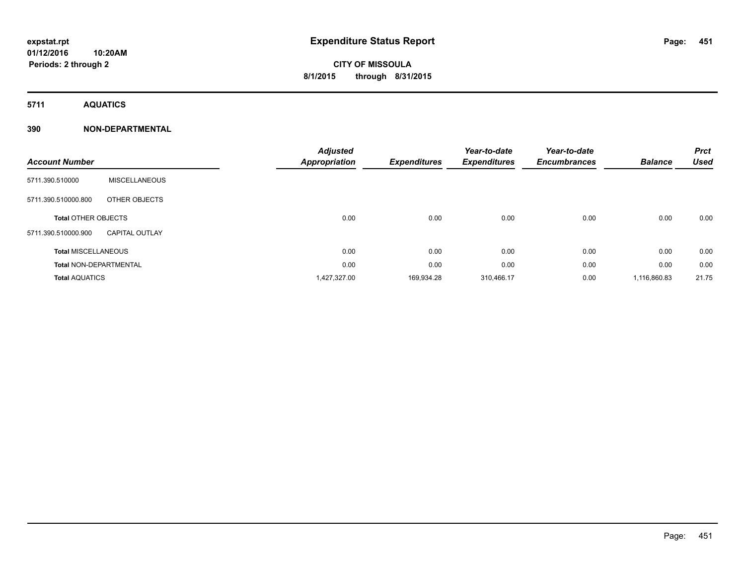**5711 AQUATICS**

**Periods: 2 through 2**

### **390 NON-DEPARTMENTAL**

**10:20AM**

|                               |                       | <b>Adjusted</b> |                     | Year-to-date        | Year-to-date        |                | <b>Prct</b> |
|-------------------------------|-----------------------|-----------------|---------------------|---------------------|---------------------|----------------|-------------|
| <b>Account Number</b>         |                       | Appropriation   | <b>Expenditures</b> | <b>Expenditures</b> | <b>Encumbrances</b> | <b>Balance</b> | <b>Used</b> |
| 5711.390.510000               | <b>MISCELLANEOUS</b>  |                 |                     |                     |                     |                |             |
| 5711.390.510000.800           | OTHER OBJECTS         |                 |                     |                     |                     |                |             |
| <b>Total OTHER OBJECTS</b>    |                       | 0.00            | 0.00                | 0.00                | 0.00                | 0.00           | 0.00        |
| 5711.390.510000.900           | <b>CAPITAL OUTLAY</b> |                 |                     |                     |                     |                |             |
| <b>Total MISCELLANEOUS</b>    |                       | 0.00            | 0.00                | 0.00                | 0.00                | 0.00           | 0.00        |
| <b>Total NON-DEPARTMENTAL</b> |                       | 0.00            | 0.00                | 0.00                | 0.00                | 0.00           | 0.00        |
| <b>Total AQUATICS</b>         |                       | 1,427,327.00    | 169,934.28          | 310,466.17          | 0.00                | 1,116,860.83   | 21.75       |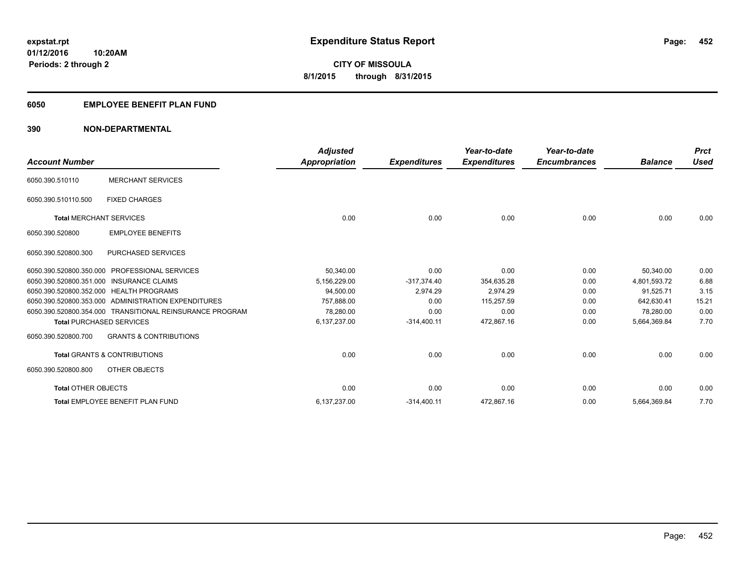### **6050 EMPLOYEE BENEFIT PLAN FUND**

### **390 NON-DEPARTMENTAL**

| <b>Account Number</b>                   |                                                          | <b>Adjusted</b><br><b>Appropriation</b> | <b>Expenditures</b> | Year-to-date<br><b>Expenditures</b> | Year-to-date<br><b>Encumbrances</b> | <b>Balance</b> | <b>Prct</b><br><b>Used</b> |
|-----------------------------------------|----------------------------------------------------------|-----------------------------------------|---------------------|-------------------------------------|-------------------------------------|----------------|----------------------------|
| 6050.390.510110                         | <b>MERCHANT SERVICES</b>                                 |                                         |                     |                                     |                                     |                |                            |
| 6050.390.510110.500                     | <b>FIXED CHARGES</b>                                     |                                         |                     |                                     |                                     |                |                            |
| <b>Total MERCHANT SERVICES</b>          |                                                          | 0.00                                    | 0.00                | 0.00                                | 0.00                                | 0.00           | 0.00                       |
| 6050.390.520800                         | <b>EMPLOYEE BENEFITS</b>                                 |                                         |                     |                                     |                                     |                |                            |
| 6050.390.520800.300                     | <b>PURCHASED SERVICES</b>                                |                                         |                     |                                     |                                     |                |                            |
| 6050.390.520800.350.000                 | <b>PROFESSIONAL SERVICES</b>                             | 50,340.00                               | 0.00                | 0.00                                | 0.00                                | 50,340.00      | 0.00                       |
| 6050.390.520800.351.000                 | <b>INSURANCE CLAIMS</b>                                  | 5,156,229.00                            | $-317,374.40$       | 354.635.28                          | 0.00                                | 4,801,593.72   | 6.88                       |
| 6050.390.520800.352.000 HEALTH PROGRAMS |                                                          | 94,500.00                               | 2,974.29            | 2.974.29                            | 0.00                                | 91,525.71      | 3.15                       |
|                                         | 6050.390.520800.353.000 ADMINISTRATION EXPENDITURES      | 757.888.00                              | 0.00                | 115.257.59                          | 0.00                                | 642.630.41     | 15.21                      |
|                                         | 6050.390.520800.354.000 TRANSITIONAL REINSURANCE PROGRAM | 78,280.00                               | 0.00                | 0.00                                | 0.00                                | 78,280.00      | 0.00                       |
| <b>Total PURCHASED SERVICES</b>         |                                                          | 6,137,237.00                            | $-314,400.11$       | 472,867.16                          | 0.00                                | 5,664,369.84   | 7.70                       |
| 6050.390.520800.700                     | <b>GRANTS &amp; CONTRIBUTIONS</b>                        |                                         |                     |                                     |                                     |                |                            |
|                                         | <b>Total GRANTS &amp; CONTRIBUTIONS</b>                  | 0.00                                    | 0.00                | 0.00                                | 0.00                                | 0.00           | 0.00                       |
| 6050.390.520800.800                     | OTHER OBJECTS                                            |                                         |                     |                                     |                                     |                |                            |
| <b>Total OTHER OBJECTS</b>              |                                                          | 0.00                                    | 0.00                | 0.00                                | 0.00                                | 0.00           | 0.00                       |
|                                         | Total EMPLOYEE BENEFIT PLAN FUND                         | 6,137,237.00                            | $-314,400.11$       | 472,867.16                          | 0.00                                | 5,664,369.84   | 7.70                       |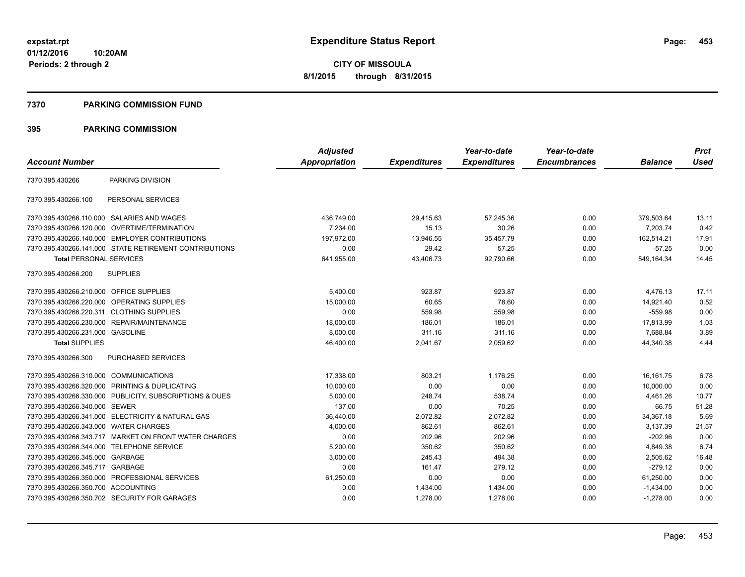**Periods: 2 through 2**

**CITY OF MISSOULA 8/1/2015 through 8/31/2015**

#### **7370 PARKING COMMISSION FUND**

|                                           |                                                         | <b>Adjusted</b>      |                     | Year-to-date        | Year-to-date        |                | <b>Prct</b> |
|-------------------------------------------|---------------------------------------------------------|----------------------|---------------------|---------------------|---------------------|----------------|-------------|
| <b>Account Number</b>                     |                                                         | <b>Appropriation</b> | <b>Expenditures</b> | <b>Expenditures</b> | <b>Encumbrances</b> | <b>Balance</b> | <b>Used</b> |
| 7370.395.430266                           | PARKING DIVISION                                        |                      |                     |                     |                     |                |             |
| 7370.395.430266.100                       | PERSONAL SERVICES                                       |                      |                     |                     |                     |                |             |
|                                           | 7370.395.430266.110.000 SALARIES AND WAGES              | 436,749.00           | 29,415.63           | 57,245.36           | 0.00                | 379,503.64     | 13.11       |
| 7370.395.430266.120.000                   | OVERTIME/TERMINATION                                    | 7,234.00             | 15.13               | 30.26               | 0.00                | 7,203.74       | 0.42        |
|                                           | 7370.395.430266.140.000 EMPLOYER CONTRIBUTIONS          | 197.972.00           | 13,946.55           | 35,457.79           | 0.00                | 162,514.21     | 17.91       |
|                                           | 7370.395.430266.141.000 STATE RETIREMENT CONTRIBUTIONS  | 0.00                 | 29.42               | 57.25               | 0.00                | $-57.25$       | 0.00        |
| <b>Total PERSONAL SERVICES</b>            |                                                         | 641,955.00           | 43,406.73           | 92,790.66           | 0.00                | 549,164.34     | 14.45       |
| 7370.395.430266.200                       | <b>SUPPLIES</b>                                         |                      |                     |                     |                     |                |             |
| 7370.395.430266.210.000 OFFICE SUPPLIES   |                                                         | 5,400.00             | 923.87              | 923.87              | 0.00                | 4,476.13       | 17.11       |
|                                           | 7370.395.430266.220.000 OPERATING SUPPLIES              | 15,000.00            | 60.65               | 78.60               | 0.00                | 14.921.40      | 0.52        |
| 7370.395.430266.220.311 CLOTHING SUPPLIES |                                                         | 0.00                 | 559.98              | 559.98              | 0.00                | $-559.98$      | 0.00        |
|                                           | 7370.395.430266.230.000 REPAIR/MAINTENANCE              | 18,000.00            | 186.01              | 186.01              | 0.00                | 17,813.99      | 1.03        |
| 7370.395.430266.231.000 GASOLINE          |                                                         | 8,000.00             | 311.16              | 311.16              | 0.00                | 7,688.84       | 3.89        |
| <b>Total SUPPLIES</b>                     |                                                         | 46,400.00            | 2,041.67            | 2,059.62            | 0.00                | 44,340.38      | 4.44        |
| 7370.395.430266.300                       | <b>PURCHASED SERVICES</b>                               |                      |                     |                     |                     |                |             |
| 7370.395.430266.310.000 COMMUNICATIONS    |                                                         | 17,338.00            | 803.21              | 1,176.25            | 0.00                | 16,161.75      | 6.78        |
|                                           | 7370.395.430266.320.000 PRINTING & DUPLICATING          | 10,000.00            | 0.00                | 0.00                | 0.00                | 10,000.00      | 0.00        |
|                                           | 7370.395.430266.330.000 PUBLICITY, SUBSCRIPTIONS & DUES | 5,000.00             | 248.74              | 538.74              | 0.00                | 4,461.26       | 10.77       |
| 7370.395.430266.340.000 SEWER             |                                                         | 137.00               | 0.00                | 70.25               | 0.00                | 66.75          | 51.28       |
|                                           | 7370.395.430266.341.000 ELECTRICITY & NATURAL GAS       | 36,440.00            | 2,072.82            | 2,072.82            | 0.00                | 34,367.18      | 5.69        |
| 7370.395.430266.343.000 WATER CHARGES     |                                                         | 4,000.00             | 862.61              | 862.61              | 0.00                | 3,137.39       | 21.57       |
|                                           | 7370.395.430266.343.717 MARKET ON FRONT WATER CHARGES   | 0.00                 | 202.96              | 202.96              | 0.00                | $-202.96$      | 0.00        |
| 7370.395.430266.344.000 TELEPHONE SERVICE |                                                         | 5,200.00             | 350.62              | 350.62              | 0.00                | 4,849.38       | 6.74        |
| 7370.395.430266.345.000 GARBAGE           |                                                         | 3,000.00             | 245.43              | 494.38              | 0.00                | 2,505.62       | 16.48       |
| 7370.395.430266.345.717 GARBAGE           |                                                         | 0.00                 | 161.47              | 279.12              | 0.00                | $-279.12$      | 0.00        |
|                                           | 7370.395.430266.350.000 PROFESSIONAL SERVICES           | 61,250.00            | 0.00                | 0.00                | 0.00                | 61,250.00      | 0.00        |
| 7370.395.430266.350.700 ACCOUNTING        |                                                         | 0.00                 | 1,434.00            | 1,434.00            | 0.00                | $-1,434.00$    | 0.00        |
|                                           | 7370.395.430266.350.702 SECURITY FOR GARAGES            | 0.00                 | 1.278.00            | 1.278.00            | 0.00                | $-1.278.00$    | 0.00        |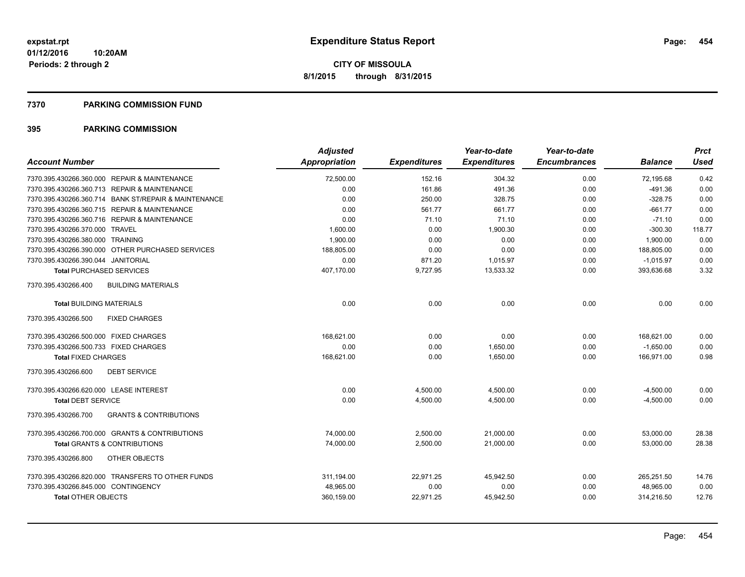#### **7370 PARKING COMMISSION FUND**

| <b>Account Number</b>                                    | <b>Adjusted</b><br>Appropriation | <b>Expenditures</b> | Year-to-date<br><b>Expenditures</b> | Year-to-date<br><b>Encumbrances</b> | <b>Balance</b> | <b>Prct</b><br><b>Used</b> |
|----------------------------------------------------------|----------------------------------|---------------------|-------------------------------------|-------------------------------------|----------------|----------------------------|
| 7370.395.430266.360.000 REPAIR & MAINTENANCE             | 72,500.00                        | 152.16              | 304.32                              | 0.00                                | 72,195.68      | 0.42                       |
| 7370.395.430266.360.713 REPAIR & MAINTENANCE             | 0.00                             | 161.86              | 491.36                              | 0.00                                | $-491.36$      | 0.00                       |
| 7370.395.430266.360.714 BANK ST/REPAIR & MAINTENANCE     | 0.00                             | 250.00              | 328.75                              | 0.00                                | $-328.75$      | 0.00                       |
| 7370.395.430266.360.715 REPAIR & MAINTENANCE             | 0.00                             | 561.77              | 661.77                              | 0.00                                | $-661.77$      | 0.00                       |
| 7370.395.430266.360.716 REPAIR & MAINTENANCE             | 0.00                             | 71.10               | 71.10                               | 0.00                                | $-71.10$       | 0.00                       |
| 7370.395.430266.370.000 TRAVEL                           | 1,600.00                         | 0.00                | 1,900.30                            | 0.00                                | $-300.30$      | 118.77                     |
| 7370.395.430266.380.000 TRAINING                         | 1,900.00                         | 0.00                | 0.00                                | 0.00                                | 1,900.00       | 0.00                       |
| 7370.395.430266.390.000 OTHER PURCHASED SERVICES         | 188,805.00                       | 0.00                | 0.00                                | 0.00                                | 188,805.00     | 0.00                       |
| 7370.395.430266.390.044 JANITORIAL                       | 0.00                             | 871.20              | 1,015.97                            | 0.00                                | $-1,015.97$    | 0.00                       |
| <b>Total PURCHASED SERVICES</b>                          | 407,170.00                       | 9,727.95            | 13,533.32                           | 0.00                                | 393,636.68     | 3.32                       |
| 7370.395.430266.400<br><b>BUILDING MATERIALS</b>         |                                  |                     |                                     |                                     |                |                            |
| <b>Total BUILDING MATERIALS</b>                          | 0.00                             | 0.00                | 0.00                                | 0.00                                | 0.00           | 0.00                       |
| 7370.395.430266.500<br><b>FIXED CHARGES</b>              |                                  |                     |                                     |                                     |                |                            |
| 7370.395.430266.500.000 FIXED CHARGES                    | 168,621.00                       | 0.00                | 0.00                                | 0.00                                | 168,621.00     | 0.00                       |
| 7370.395.430266.500.733 FIXED CHARGES                    | 0.00                             | 0.00                | 1,650.00                            | 0.00                                | $-1,650.00$    | 0.00                       |
| <b>Total FIXED CHARGES</b>                               | 168,621.00                       | 0.00                | 1,650.00                            | 0.00                                | 166,971.00     | 0.98                       |
| 7370.395.430266.600<br><b>DEBT SERVICE</b>               |                                  |                     |                                     |                                     |                |                            |
| 7370.395.430266.620.000 LEASE INTEREST                   | 0.00                             | 4,500.00            | 4,500.00                            | 0.00                                | $-4,500.00$    | 0.00                       |
| <b>Total DEBT SERVICE</b>                                | 0.00                             | 4,500.00            | 4,500.00                            | 0.00                                | $-4,500.00$    | 0.00                       |
| <b>GRANTS &amp; CONTRIBUTIONS</b><br>7370.395.430266.700 |                                  |                     |                                     |                                     |                |                            |
| 7370.395.430266.700.000 GRANTS & CONTRIBUTIONS           | 74,000.00                        | 2,500.00            | 21,000.00                           | 0.00                                | 53,000.00      | 28.38                      |
| <b>Total GRANTS &amp; CONTRIBUTIONS</b>                  | 74,000.00                        | 2,500.00            | 21,000.00                           | 0.00                                | 53,000.00      | 28.38                      |
| 7370.395.430266.800<br>OTHER OBJECTS                     |                                  |                     |                                     |                                     |                |                            |
| 7370.395.430266.820.000 TRANSFERS TO OTHER FUNDS         | 311,194.00                       | 22,971.25           | 45,942.50                           | 0.00                                | 265,251.50     | 14.76                      |
| 7370.395.430266.845.000 CONTINGENCY                      | 48,965.00                        | 0.00                | 0.00                                | 0.00                                | 48,965.00      | 0.00                       |
| <b>Total OTHER OBJECTS</b>                               | 360,159.00                       | 22,971.25           | 45,942.50                           | 0.00                                | 314,216.50     | 12.76                      |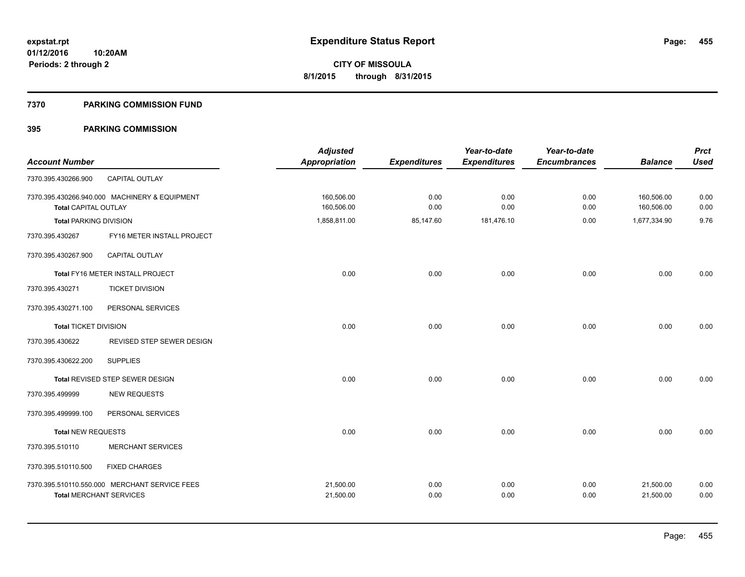#### **7370 PARKING COMMISSION FUND**

| <b>Account Number</b>          |                                               | <b>Adjusted</b><br>Appropriation | <b>Expenditures</b> | Year-to-date<br><b>Expenditures</b> | Year-to-date<br><b>Encumbrances</b> | <b>Balance</b>           | <b>Prct</b><br><b>Used</b> |
|--------------------------------|-----------------------------------------------|----------------------------------|---------------------|-------------------------------------|-------------------------------------|--------------------------|----------------------------|
| 7370.395.430266.900            | CAPITAL OUTLAY                                |                                  |                     |                                     |                                     |                          |                            |
| <b>Total CAPITAL OUTLAY</b>    | 7370.395.430266.940.000 MACHINERY & EQUIPMENT | 160,506.00<br>160,506.00         | 0.00<br>0.00        | 0.00<br>0.00                        | 0.00<br>0.00                        | 160,506.00<br>160,506.00 | 0.00<br>0.00               |
| <b>Total PARKING DIVISION</b>  |                                               | 1,858,811.00                     | 85,147.60           | 181,476.10                          | 0.00                                | 1,677,334.90             | 9.76                       |
| 7370.395.430267                | FY16 METER INSTALL PROJECT                    |                                  |                     |                                     |                                     |                          |                            |
| 7370.395.430267.900            | <b>CAPITAL OUTLAY</b>                         |                                  |                     |                                     |                                     |                          |                            |
|                                | Total FY16 METER INSTALL PROJECT              | 0.00                             | 0.00                | 0.00                                | 0.00                                | 0.00                     | 0.00                       |
| 7370.395.430271                | <b>TICKET DIVISION</b>                        |                                  |                     |                                     |                                     |                          |                            |
| 7370.395.430271.100            | PERSONAL SERVICES                             |                                  |                     |                                     |                                     |                          |                            |
| <b>Total TICKET DIVISION</b>   |                                               | 0.00                             | 0.00                | 0.00                                | 0.00                                | 0.00                     | 0.00                       |
| 7370.395.430622                | REVISED STEP SEWER DESIGN                     |                                  |                     |                                     |                                     |                          |                            |
| 7370.395.430622.200            | <b>SUPPLIES</b>                               |                                  |                     |                                     |                                     |                          |                            |
|                                | Total REVISED STEP SEWER DESIGN               | 0.00                             | 0.00                | 0.00                                | 0.00                                | 0.00                     | 0.00                       |
| 7370.395.499999                | <b>NEW REQUESTS</b>                           |                                  |                     |                                     |                                     |                          |                            |
| 7370.395.499999.100            | PERSONAL SERVICES                             |                                  |                     |                                     |                                     |                          |                            |
| <b>Total NEW REQUESTS</b>      |                                               | 0.00                             | 0.00                | 0.00                                | 0.00                                | 0.00                     | 0.00                       |
| 7370.395.510110                | <b>MERCHANT SERVICES</b>                      |                                  |                     |                                     |                                     |                          |                            |
| 7370.395.510110.500            | <b>FIXED CHARGES</b>                          |                                  |                     |                                     |                                     |                          |                            |
| <b>Total MERCHANT SERVICES</b> | 7370.395.510110.550.000 MERCHANT SERVICE FEES | 21,500.00<br>21,500.00           | 0.00<br>0.00        | 0.00<br>0.00                        | 0.00<br>0.00                        | 21,500.00<br>21,500.00   | 0.00<br>0.00               |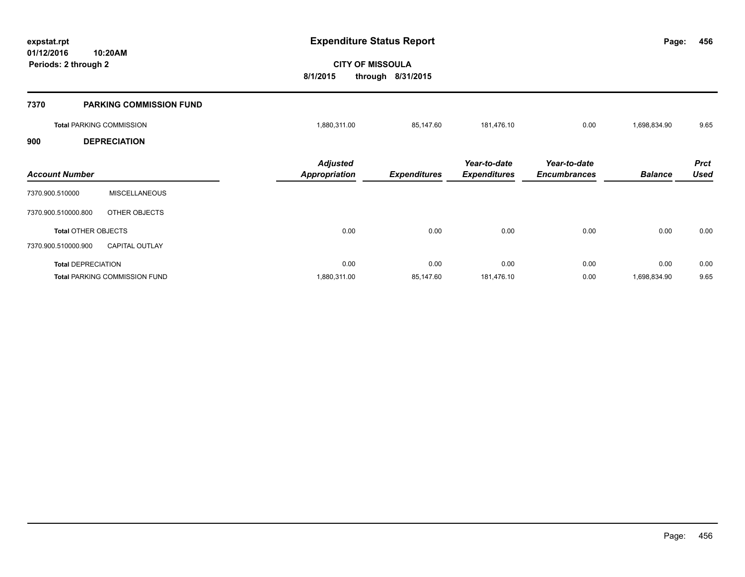**01/12/2016 10:20AM Periods: 2 through 2**

**456**

# **CITY OF MISSOULA 8/1/2015 through 8/31/2015**

| 7370                  | <b>PARKING COMMISSION FUND</b>  |                                         |                     |                                     |                                     |                |                            |
|-----------------------|---------------------------------|-----------------------------------------|---------------------|-------------------------------------|-------------------------------------|----------------|----------------------------|
|                       | <b>Total PARKING COMMISSION</b> | 1,880,311.00                            | 85,147.60           | 181,476.10                          | 0.00                                | 1,698,834.90   | 9.65                       |
| 900                   | <b>DEPRECIATION</b>             |                                         |                     |                                     |                                     |                |                            |
| <b>Account Number</b> |                                 | <b>Adjusted</b><br><b>Appropriation</b> | <b>Expenditures</b> | Year-to-date<br><b>Expenditures</b> | Year-to-date<br><b>Encumbrances</b> | <b>Balance</b> | <b>Prct</b><br><b>Used</b> |
| 7370.900.510000       | <b>MISCELLANEOUS</b>            |                                         |                     |                                     |                                     |                |                            |
| 7370.900.510000.800   | OTHER OBJECTS                   |                                         |                     |                                     |                                     |                |                            |
|                       | <b>Total OTHER OBJECTS</b>      | 0.00                                    | 0.00                | 0.00                                | 0.00                                | 0.00           | 0.00                       |
| 7370.900.510000.900   | <b>CAPITAL OUTLAY</b>           |                                         |                     |                                     |                                     |                |                            |
|                       | <b>Total DEPRECIATION</b>       | 0.00                                    | 0.00                | 0.00                                | 0.00                                | 0.00           | 0.00                       |
|                       | Total PARKING COMMISSION FUND   | 1,880,311.00                            | 85,147.60           | 181,476.10                          | 0.00                                | 1,698,834.90   | 9.65                       |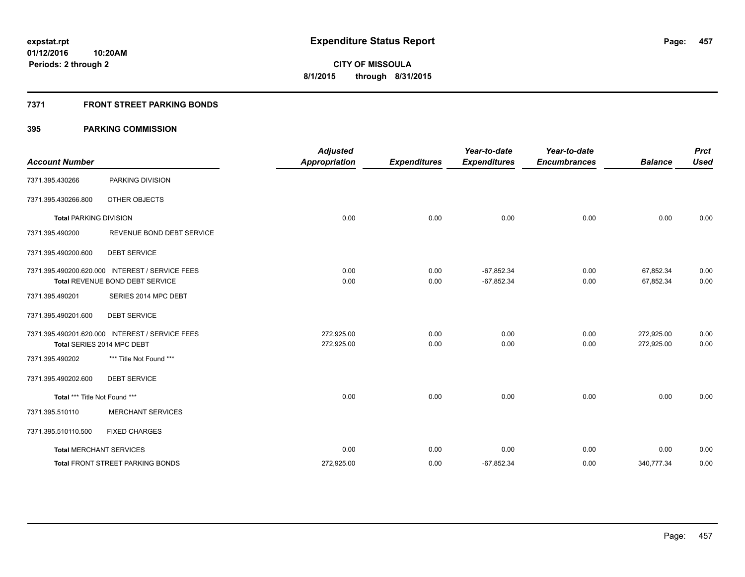### **7371 FRONT STREET PARKING BONDS**

| <b>Account Number</b>         |                                                                                           | <b>Adjusted</b><br><b>Appropriation</b> | <b>Expenditures</b> | Year-to-date<br><b>Expenditures</b> | Year-to-date<br><b>Encumbrances</b> | <b>Balance</b>           | <b>Prct</b><br><b>Used</b> |
|-------------------------------|-------------------------------------------------------------------------------------------|-----------------------------------------|---------------------|-------------------------------------|-------------------------------------|--------------------------|----------------------------|
| 7371.395.430266               | PARKING DIVISION                                                                          |                                         |                     |                                     |                                     |                          |                            |
| 7371.395.430266.800           | <b>OTHER OBJECTS</b>                                                                      |                                         |                     |                                     |                                     |                          |                            |
| <b>Total PARKING DIVISION</b> |                                                                                           | 0.00                                    | 0.00                | 0.00                                | 0.00                                | 0.00                     | 0.00                       |
| 7371.395.490200               | REVENUE BOND DEBT SERVICE                                                                 |                                         |                     |                                     |                                     |                          |                            |
| 7371.395.490200.600           | <b>DEBT SERVICE</b>                                                                       |                                         |                     |                                     |                                     |                          |                            |
|                               | 7371.395.490200.620.000 INTEREST / SERVICE FEES<br><b>Total REVENUE BOND DEBT SERVICE</b> | 0.00<br>0.00                            | 0.00<br>0.00        | $-67,852.34$<br>$-67,852.34$        | 0.00<br>0.00                        | 67,852.34<br>67,852.34   | 0.00<br>0.00               |
| 7371.395.490201               | SERIES 2014 MPC DEBT                                                                      |                                         |                     |                                     |                                     |                          |                            |
| 7371.395.490201.600           | <b>DEBT SERVICE</b>                                                                       |                                         |                     |                                     |                                     |                          |                            |
|                               | 7371.395.490201.620.000 INTEREST / SERVICE FEES<br>Total SERIES 2014 MPC DEBT             | 272,925.00<br>272,925.00                | 0.00<br>0.00        | 0.00<br>0.00                        | 0.00<br>0.00                        | 272,925.00<br>272,925.00 | 0.00<br>0.00               |
| 7371.395.490202               | *** Title Not Found ***                                                                   |                                         |                     |                                     |                                     |                          |                            |
| 7371.395.490202.600           | <b>DEBT SERVICE</b>                                                                       |                                         |                     |                                     |                                     |                          |                            |
| Total *** Title Not Found *** |                                                                                           | 0.00                                    | 0.00                | 0.00                                | 0.00                                | 0.00                     | 0.00                       |
| 7371.395.510110               | <b>MERCHANT SERVICES</b>                                                                  |                                         |                     |                                     |                                     |                          |                            |
| 7371.395.510110.500           | <b>FIXED CHARGES</b>                                                                      |                                         |                     |                                     |                                     |                          |                            |
|                               | <b>Total MERCHANT SERVICES</b>                                                            | 0.00                                    | 0.00                | 0.00                                | 0.00                                | 0.00                     | 0.00                       |
|                               | <b>Total FRONT STREET PARKING BONDS</b>                                                   | 272,925.00                              | 0.00                | $-67,852.34$                        | 0.00                                | 340,777.34               | 0.00                       |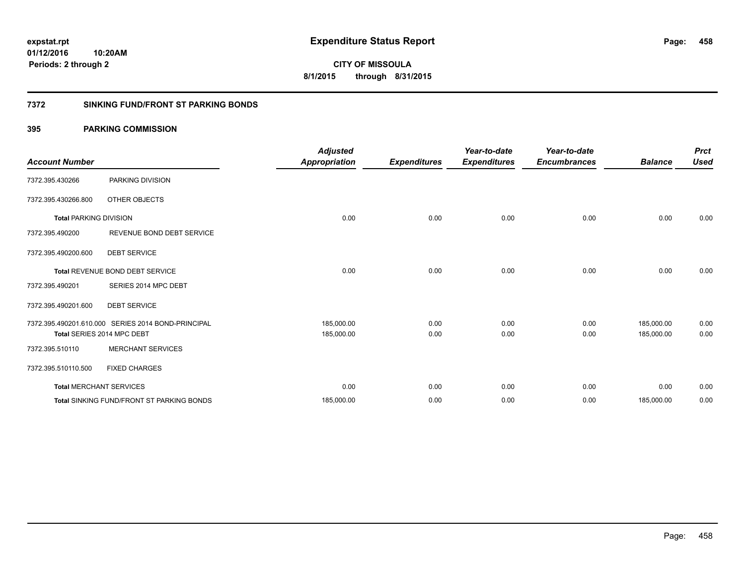**458**

**01/12/2016 10:20AM Periods: 2 through 2**

**CITY OF MISSOULA 8/1/2015 through 8/31/2015**

### **7372 SINKING FUND/FRONT ST PARKING BONDS**

| <b>Account Number</b>          |                                                    | <b>Adjusted</b><br><b>Appropriation</b> | <b>Expenditures</b> | Year-to-date<br><b>Expenditures</b> | Year-to-date<br><b>Encumbrances</b> | <b>Balance</b> | <b>Prct</b><br><b>Used</b> |
|--------------------------------|----------------------------------------------------|-----------------------------------------|---------------------|-------------------------------------|-------------------------------------|----------------|----------------------------|
| 7372.395.430266                | PARKING DIVISION                                   |                                         |                     |                                     |                                     |                |                            |
| 7372.395.430266.800            | OTHER OBJECTS                                      |                                         |                     |                                     |                                     |                |                            |
| <b>Total PARKING DIVISION</b>  |                                                    | 0.00                                    | 0.00                | 0.00                                | 0.00                                | 0.00           | 0.00                       |
| 7372.395.490200                | REVENUE BOND DEBT SERVICE                          |                                         |                     |                                     |                                     |                |                            |
| 7372.395.490200.600            | <b>DEBT SERVICE</b>                                |                                         |                     |                                     |                                     |                |                            |
|                                | <b>Total REVENUE BOND DEBT SERVICE</b>             | 0.00                                    | 0.00                | 0.00                                | 0.00                                | 0.00           | 0.00                       |
| 7372.395.490201                | SERIES 2014 MPC DEBT                               |                                         |                     |                                     |                                     |                |                            |
| 7372.395.490201.600            | <b>DEBT SERVICE</b>                                |                                         |                     |                                     |                                     |                |                            |
|                                | 7372.395.490201.610.000 SERIES 2014 BOND-PRINCIPAL | 185,000.00                              | 0.00                | 0.00                                | 0.00                                | 185,000.00     | 0.00                       |
|                                | Total SERIES 2014 MPC DEBT                         | 185,000.00                              | 0.00                | 0.00                                | 0.00                                | 185,000.00     | 0.00                       |
| 7372.395.510110                | <b>MERCHANT SERVICES</b>                           |                                         |                     |                                     |                                     |                |                            |
| 7372.395.510110.500            | <b>FIXED CHARGES</b>                               |                                         |                     |                                     |                                     |                |                            |
| <b>Total MERCHANT SERVICES</b> |                                                    | 0.00                                    | 0.00                | 0.00                                | 0.00                                | 0.00           | 0.00                       |
|                                | <b>Total SINKING FUND/FRONT ST PARKING BONDS</b>   | 185,000.00                              | 0.00                | 0.00                                | 0.00                                | 185,000.00     | 0.00                       |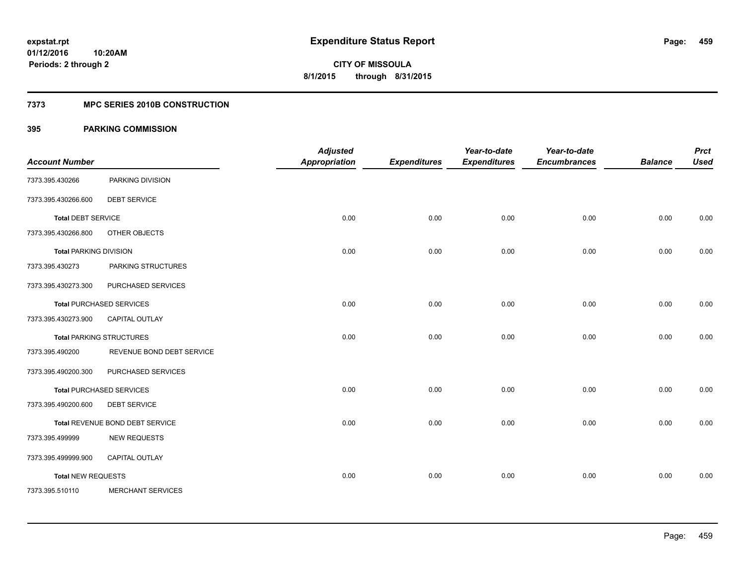#### **7373 MPC SERIES 2010B CONSTRUCTION**

| <b>Account Number</b>         |                                 | <b>Adjusted</b><br><b>Appropriation</b> | <b>Expenditures</b> | Year-to-date<br><b>Expenditures</b> | Year-to-date<br><b>Encumbrances</b> | <b>Balance</b> | <b>Prct</b><br><b>Used</b> |
|-------------------------------|---------------------------------|-----------------------------------------|---------------------|-------------------------------------|-------------------------------------|----------------|----------------------------|
| 7373.395.430266               | PARKING DIVISION                |                                         |                     |                                     |                                     |                |                            |
| 7373.395.430266.600           | <b>DEBT SERVICE</b>             |                                         |                     |                                     |                                     |                |                            |
| <b>Total DEBT SERVICE</b>     |                                 | 0.00                                    | 0.00                | 0.00                                | 0.00                                | 0.00           | 0.00                       |
| 7373.395.430266.800           | OTHER OBJECTS                   |                                         |                     |                                     |                                     |                |                            |
| <b>Total PARKING DIVISION</b> |                                 | 0.00                                    | 0.00                | 0.00                                | 0.00                                | 0.00           | 0.00                       |
| 7373.395.430273               | PARKING STRUCTURES              |                                         |                     |                                     |                                     |                |                            |
| 7373.395.430273.300           | PURCHASED SERVICES              |                                         |                     |                                     |                                     |                |                            |
|                               | <b>Total PURCHASED SERVICES</b> | 0.00                                    | 0.00                | 0.00                                | 0.00                                | 0.00           | 0.00                       |
| 7373.395.430273.900           | <b>CAPITAL OUTLAY</b>           |                                         |                     |                                     |                                     |                |                            |
|                               | <b>Total PARKING STRUCTURES</b> | 0.00                                    | 0.00                | 0.00                                | 0.00                                | 0.00           | 0.00                       |
| 7373.395.490200               | REVENUE BOND DEBT SERVICE       |                                         |                     |                                     |                                     |                |                            |
| 7373.395.490200.300           | PURCHASED SERVICES              |                                         |                     |                                     |                                     |                |                            |
|                               | <b>Total PURCHASED SERVICES</b> | 0.00                                    | 0.00                | 0.00                                | 0.00                                | 0.00           | 0.00                       |
| 7373.395.490200.600           | <b>DEBT SERVICE</b>             |                                         |                     |                                     |                                     |                |                            |
|                               | Total REVENUE BOND DEBT SERVICE | 0.00                                    | 0.00                | 0.00                                | 0.00                                | 0.00           | 0.00                       |
| 7373.395.499999               | <b>NEW REQUESTS</b>             |                                         |                     |                                     |                                     |                |                            |
| 7373.395.499999.900           | CAPITAL OUTLAY                  |                                         |                     |                                     |                                     |                |                            |
| <b>Total NEW REQUESTS</b>     |                                 | 0.00                                    | 0.00                | 0.00                                | 0.00                                | 0.00           | 0.00                       |
| 7373.395.510110               | <b>MERCHANT SERVICES</b>        |                                         |                     |                                     |                                     |                |                            |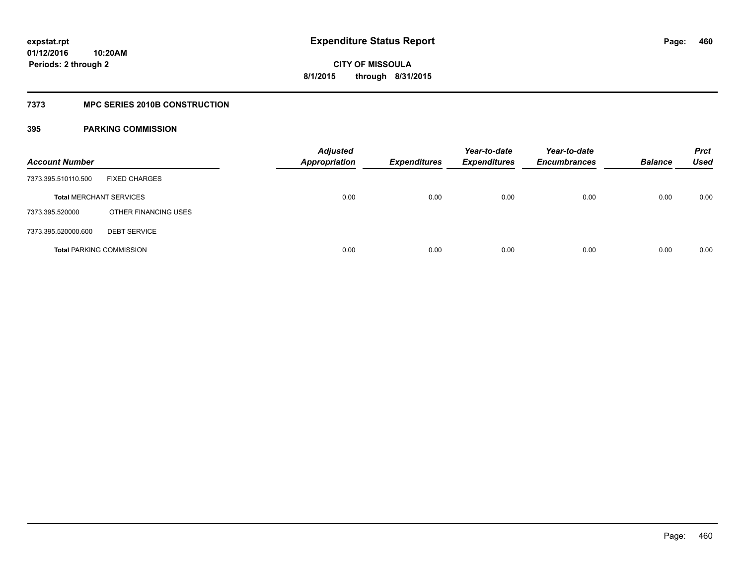#### **7373 MPC SERIES 2010B CONSTRUCTION**

| <b>Account Number</b>          |                                 | <b>Adjusted</b><br><b>Appropriation</b> | <b>Expenditures</b> | Year-to-date<br><b>Expenditures</b> | Year-to-date<br><b>Encumbrances</b> | <b>Balance</b> | <b>Prct</b><br>Used |
|--------------------------------|---------------------------------|-----------------------------------------|---------------------|-------------------------------------|-------------------------------------|----------------|---------------------|
| 7373.395.510110.500            | <b>FIXED CHARGES</b>            |                                         |                     |                                     |                                     |                |                     |
| <b>Total MERCHANT SERVICES</b> |                                 | 0.00                                    | 0.00                | 0.00                                | 0.00                                | 0.00           | 0.00                |
| 7373.395.520000                | OTHER FINANCING USES            |                                         |                     |                                     |                                     |                |                     |
| 7373.395.520000.600            | <b>DEBT SERVICE</b>             |                                         |                     |                                     |                                     |                |                     |
|                                | <b>Total PARKING COMMISSION</b> | 0.00                                    | 0.00                | 0.00                                | 0.00                                | 0.00           | 0.00                |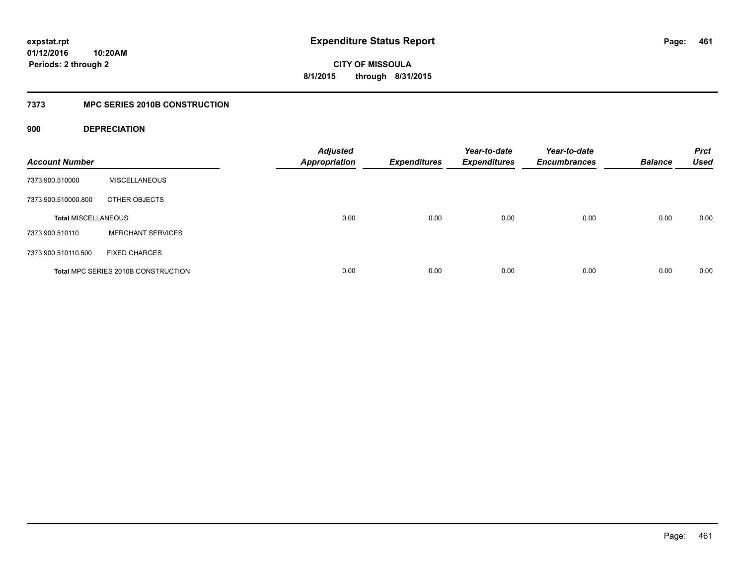## **01/12/2016 10:20AM Periods: 2 through 2**

**CITY OF MISSOULA 8/1/2015 through 8/31/2015**

### **7373 MPC SERIES 2010B CONSTRUCTION**

### **900 DEPRECIATION**

| <b>Account Number</b>      |                                     | <b>Adjusted</b><br><b>Appropriation</b> | <b>Expenditures</b> | Year-to-date<br><b>Expenditures</b> | Year-to-date<br><b>Encumbrances</b> | <b>Balance</b> | <b>Prct</b><br><b>Used</b> |
|----------------------------|-------------------------------------|-----------------------------------------|---------------------|-------------------------------------|-------------------------------------|----------------|----------------------------|
| 7373.900.510000            | <b>MISCELLANEOUS</b>                |                                         |                     |                                     |                                     |                |                            |
| 7373.900.510000.800        | OTHER OBJECTS                       |                                         |                     |                                     |                                     |                |                            |
| <b>Total MISCELLANEOUS</b> |                                     | 0.00                                    | 0.00                | 0.00                                | 0.00                                | 0.00           | 0.00                       |
| 7373.900.510110            | <b>MERCHANT SERVICES</b>            |                                         |                     |                                     |                                     |                |                            |
| 7373.900.510110.500        | <b>FIXED CHARGES</b>                |                                         |                     |                                     |                                     |                |                            |
|                            | Total MPC SERIES 2010B CONSTRUCTION | 0.00                                    | 0.00                | 0.00                                | 0.00                                | 0.00           | 0.00                       |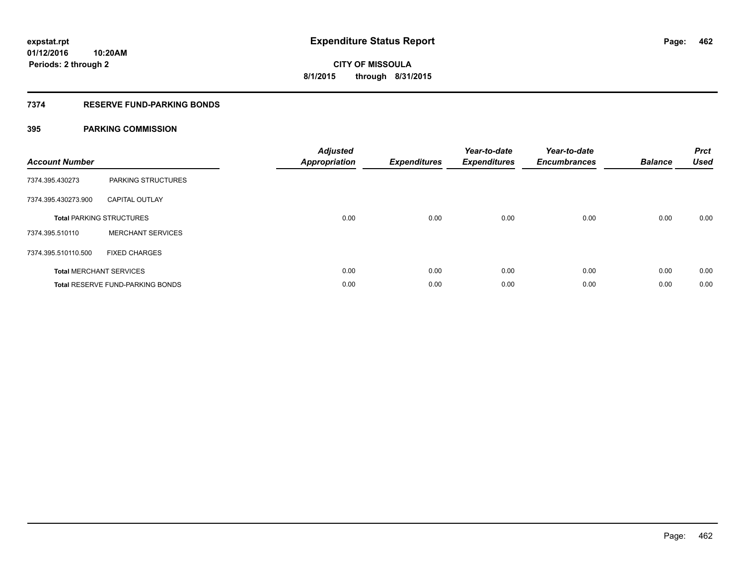### **7374 RESERVE FUND-PARKING BONDS**

| <b>Account Number</b> |                                         | <b>Adjusted</b><br><b>Appropriation</b> | <b>Expenditures</b> | Year-to-date<br><b>Expenditures</b> | Year-to-date<br><b>Encumbrances</b> | <b>Balance</b> | <b>Prct</b><br><b>Used</b> |
|-----------------------|-----------------------------------------|-----------------------------------------|---------------------|-------------------------------------|-------------------------------------|----------------|----------------------------|
| 7374.395.430273       | PARKING STRUCTURES                      |                                         |                     |                                     |                                     |                |                            |
| 7374.395.430273.900   | <b>CAPITAL OUTLAY</b>                   |                                         |                     |                                     |                                     |                |                            |
|                       | <b>Total PARKING STRUCTURES</b>         | 0.00                                    | 0.00                | 0.00                                | 0.00                                | 0.00           | 0.00                       |
| 7374.395.510110       | <b>MERCHANT SERVICES</b>                |                                         |                     |                                     |                                     |                |                            |
| 7374.395.510110.500   | <b>FIXED CHARGES</b>                    |                                         |                     |                                     |                                     |                |                            |
|                       | <b>Total MERCHANT SERVICES</b>          | 0.00                                    | 0.00                | 0.00                                | 0.00                                | 0.00           | 0.00                       |
|                       | <b>Total RESERVE FUND-PARKING BONDS</b> | 0.00                                    | 0.00                | 0.00                                | 0.00                                | 0.00           | 0.00                       |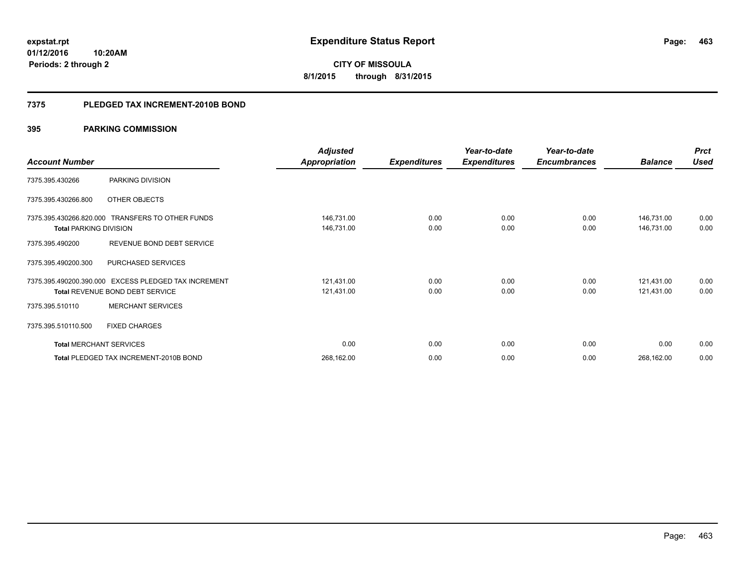**463**

**01/12/2016 10:20AM Periods: 2 through 2**

**CITY OF MISSOULA 8/1/2015 through 8/31/2015**

#### **7375 PLEDGED TAX INCREMENT-2010B BOND**

|                                                  |                                     | <b>Adjusted</b> |                     | Year-to-date        | Year-to-date        |                | <b>Prct</b> |
|--------------------------------------------------|-------------------------------------|-----------------|---------------------|---------------------|---------------------|----------------|-------------|
| <b>Account Number</b>                            |                                     | Appropriation   | <b>Expenditures</b> | <b>Expenditures</b> | <b>Encumbrances</b> | <b>Balance</b> | <b>Used</b> |
| 7375.395.430266                                  | PARKING DIVISION                    |                 |                     |                     |                     |                |             |
| 7375.395.430266.800                              | OTHER OBJECTS                       |                 |                     |                     |                     |                |             |
| 7375.395.430266.820.000 TRANSFERS TO OTHER FUNDS |                                     | 146,731.00      | 0.00                | 0.00                | 0.00                | 146,731.00     | 0.00        |
| <b>Total PARKING DIVISION</b>                    |                                     | 146,731.00      | 0.00                | 0.00                | 0.00                | 146,731.00     | 0.00        |
| 7375.395.490200                                  | REVENUE BOND DEBT SERVICE           |                 |                     |                     |                     |                |             |
| 7375.395.490200.300                              | <b>PURCHASED SERVICES</b>           |                 |                     |                     |                     |                |             |
| 7375.395.490200.390.000                          | <b>EXCESS PLEDGED TAX INCREMENT</b> | 121,431.00      | 0.00                | 0.00                | 0.00                | 121,431.00     | 0.00        |
| Total REVENUE BOND DEBT SERVICE                  |                                     | 121,431.00      | 0.00                | 0.00                | 0.00                | 121,431.00     | 0.00        |
| 7375.395.510110                                  | <b>MERCHANT SERVICES</b>            |                 |                     |                     |                     |                |             |
| 7375.395.510110.500                              | <b>FIXED CHARGES</b>                |                 |                     |                     |                     |                |             |
| <b>Total MERCHANT SERVICES</b>                   |                                     | 0.00            | 0.00                | 0.00                | 0.00                | 0.00           | 0.00        |
| Total PLEDGED TAX INCREMENT-2010B BOND           |                                     | 268,162.00      | 0.00                | 0.00                | 0.00                | 268,162.00     | 0.00        |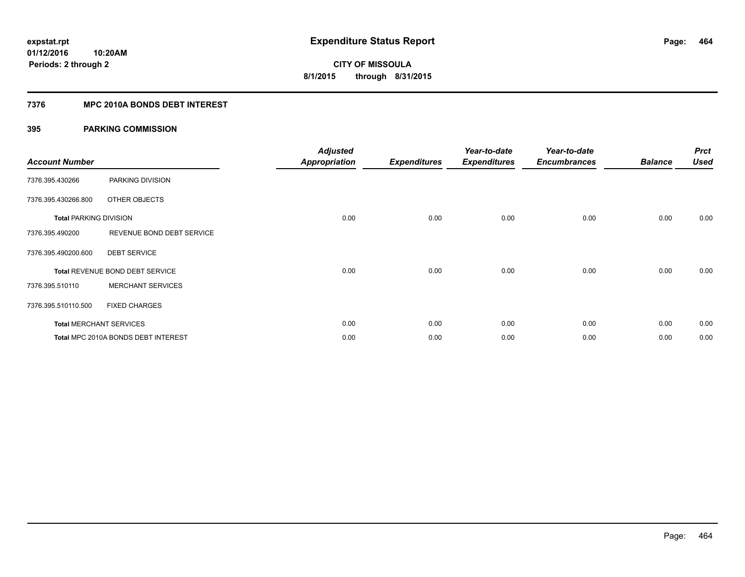### **7376 MPC 2010A BONDS DEBT INTEREST**

| <b>Account Number</b>         |                                     | <b>Adjusted</b><br><b>Appropriation</b> | <b>Expenditures</b> | Year-to-date<br><b>Expenditures</b> | Year-to-date<br><b>Encumbrances</b> | <b>Balance</b> | <b>Prct</b><br><b>Used</b> |
|-------------------------------|-------------------------------------|-----------------------------------------|---------------------|-------------------------------------|-------------------------------------|----------------|----------------------------|
| 7376.395.430266               | PARKING DIVISION                    |                                         |                     |                                     |                                     |                |                            |
| 7376.395.430266.800           | OTHER OBJECTS                       |                                         |                     |                                     |                                     |                |                            |
| <b>Total PARKING DIVISION</b> |                                     | 0.00                                    | 0.00                | 0.00                                | 0.00                                | 0.00           | 0.00                       |
| 7376.395.490200               | REVENUE BOND DEBT SERVICE           |                                         |                     |                                     |                                     |                |                            |
| 7376.395.490200.600           | <b>DEBT SERVICE</b>                 |                                         |                     |                                     |                                     |                |                            |
|                               | Total REVENUE BOND DEBT SERVICE     | 0.00                                    | 0.00                | 0.00                                | 0.00                                | 0.00           | 0.00                       |
| 7376.395.510110               | <b>MERCHANT SERVICES</b>            |                                         |                     |                                     |                                     |                |                            |
| 7376.395.510110.500           | <b>FIXED CHARGES</b>                |                                         |                     |                                     |                                     |                |                            |
|                               | <b>Total MERCHANT SERVICES</b>      | 0.00                                    | 0.00                | 0.00                                | 0.00                                | 0.00           | 0.00                       |
|                               | Total MPC 2010A BONDS DEBT INTEREST | 0.00                                    | 0.00                | 0.00                                | 0.00                                | 0.00           | 0.00                       |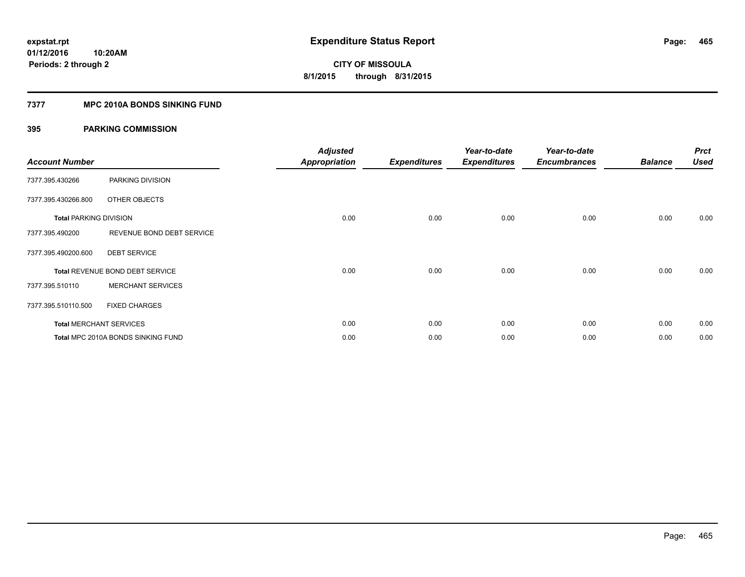#### **7377 MPC 2010A BONDS SINKING FUND**

| <b>Account Number</b>         |                                    | <b>Adjusted</b><br><b>Appropriation</b> | <b>Expenditures</b> | Year-to-date<br><b>Expenditures</b> | Year-to-date<br><b>Encumbrances</b> | <b>Balance</b> | <b>Prct</b><br><b>Used</b> |
|-------------------------------|------------------------------------|-----------------------------------------|---------------------|-------------------------------------|-------------------------------------|----------------|----------------------------|
| 7377.395.430266               | PARKING DIVISION                   |                                         |                     |                                     |                                     |                |                            |
| 7377.395.430266.800           | OTHER OBJECTS                      |                                         |                     |                                     |                                     |                |                            |
| <b>Total PARKING DIVISION</b> |                                    | 0.00                                    | 0.00                | 0.00                                | 0.00                                | 0.00           | 0.00                       |
| 7377.395.490200               | REVENUE BOND DEBT SERVICE          |                                         |                     |                                     |                                     |                |                            |
| 7377.395.490200.600           | <b>DEBT SERVICE</b>                |                                         |                     |                                     |                                     |                |                            |
|                               | Total REVENUE BOND DEBT SERVICE    | 0.00                                    | 0.00                | 0.00                                | 0.00                                | 0.00           | 0.00                       |
| 7377.395.510110               | <b>MERCHANT SERVICES</b>           |                                         |                     |                                     |                                     |                |                            |
| 7377.395.510110.500           | <b>FIXED CHARGES</b>               |                                         |                     |                                     |                                     |                |                            |
|                               | <b>Total MERCHANT SERVICES</b>     | 0.00                                    | 0.00                | 0.00                                | 0.00                                | 0.00           | 0.00                       |
|                               | Total MPC 2010A BONDS SINKING FUND | 0.00                                    | 0.00                | 0.00                                | 0.00                                | 0.00           | 0.00                       |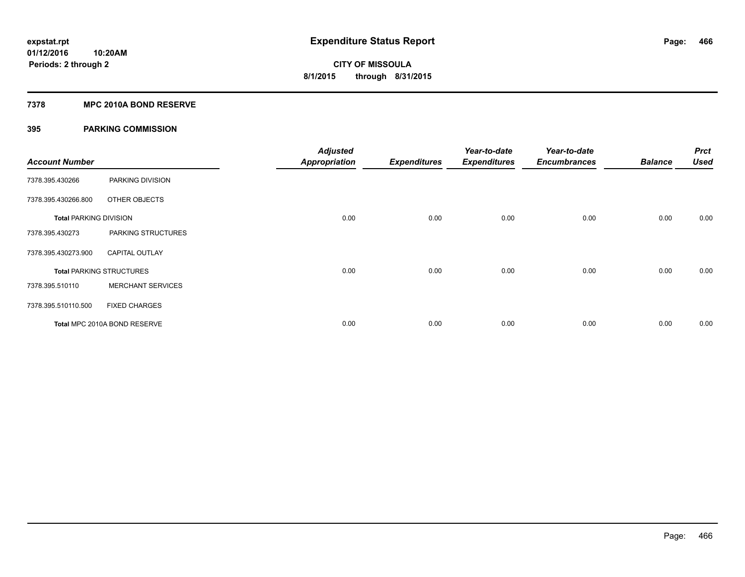#### **7378 MPC 2010A BOND RESERVE**

| <b>Account Number</b>         |                                 | <b>Adjusted</b><br><b>Appropriation</b> | <b>Expenditures</b> | Year-to-date<br><b>Expenditures</b> | Year-to-date<br><b>Encumbrances</b> | <b>Balance</b> | <b>Prct</b><br><b>Used</b> |
|-------------------------------|---------------------------------|-----------------------------------------|---------------------|-------------------------------------|-------------------------------------|----------------|----------------------------|
| 7378.395.430266               | PARKING DIVISION                |                                         |                     |                                     |                                     |                |                            |
| 7378.395.430266.800           | OTHER OBJECTS                   |                                         |                     |                                     |                                     |                |                            |
| <b>Total PARKING DIVISION</b> |                                 | 0.00                                    | 0.00                | 0.00                                | 0.00                                | 0.00           | 0.00                       |
| 7378.395.430273               | PARKING STRUCTURES              |                                         |                     |                                     |                                     |                |                            |
| 7378.395.430273.900           | <b>CAPITAL OUTLAY</b>           |                                         |                     |                                     |                                     |                |                            |
|                               | <b>Total PARKING STRUCTURES</b> | 0.00                                    | 0.00                | 0.00                                | 0.00                                | 0.00           | 0.00                       |
| 7378.395.510110               | <b>MERCHANT SERVICES</b>        |                                         |                     |                                     |                                     |                |                            |
| 7378.395.510110.500           | <b>FIXED CHARGES</b>            |                                         |                     |                                     |                                     |                |                            |
|                               | Total MPC 2010A BOND RESERVE    | 0.00                                    | 0.00                | 0.00                                | 0.00                                | 0.00           | 0.00                       |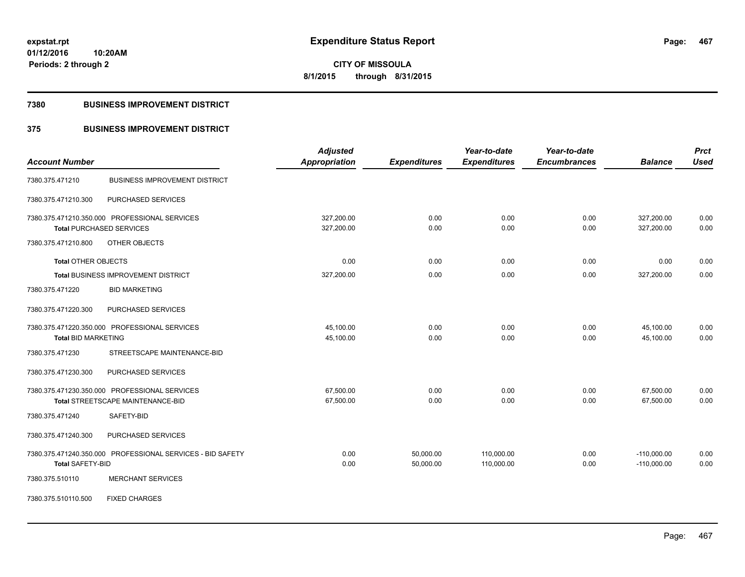**Periods: 2 through 2**

**CITY OF MISSOULA 8/1/2015 through 8/31/2015**

#### **7380 BUSINESS IMPROVEMENT DISTRICT**

**10:20AM**

## **375 BUSINESS IMPROVEMENT DISTRICT**

|                                               |                                                            | <b>Adjusted</b>      |                     | Year-to-date        | Year-to-date        |                | <b>Prct</b> |
|-----------------------------------------------|------------------------------------------------------------|----------------------|---------------------|---------------------|---------------------|----------------|-------------|
| <b>Account Number</b>                         |                                                            | <b>Appropriation</b> | <b>Expenditures</b> | <b>Expenditures</b> | <b>Encumbrances</b> | <b>Balance</b> | <b>Used</b> |
| 7380.375.471210                               | <b>BUSINESS IMPROVEMENT DISTRICT</b>                       |                      |                     |                     |                     |                |             |
| 7380.375.471210.300                           | PURCHASED SERVICES                                         |                      |                     |                     |                     |                |             |
| 7380.375.471210.350.000 PROFESSIONAL SERVICES |                                                            | 327,200.00           | 0.00                | 0.00                | 0.00                | 327,200.00     | 0.00        |
| <b>Total PURCHASED SERVICES</b>               |                                                            | 327,200.00           | 0.00                | 0.00                | 0.00                | 327,200.00     | 0.00        |
| 7380.375.471210.800                           | OTHER OBJECTS                                              |                      |                     |                     |                     |                |             |
| <b>Total OTHER OBJECTS</b>                    |                                                            | 0.00                 | 0.00                | 0.00                | 0.00                | 0.00           | 0.00        |
|                                               | Total BUSINESS IMPROVEMENT DISTRICT                        | 327,200.00           | 0.00                | 0.00                | 0.00                | 327,200.00     | 0.00        |
| 7380.375.471220                               | <b>BID MARKETING</b>                                       |                      |                     |                     |                     |                |             |
| 7380.375.471220.300                           | PURCHASED SERVICES                                         |                      |                     |                     |                     |                |             |
| 7380.375.471220.350.000 PROFESSIONAL SERVICES |                                                            | 45,100.00            | 0.00                | 0.00                | 0.00                | 45,100.00      | 0.00        |
| <b>Total BID MARKETING</b>                    |                                                            | 45,100.00            | 0.00                | 0.00                | 0.00                | 45,100.00      | 0.00        |
| 7380.375.471230                               | STREETSCAPE MAINTENANCE-BID                                |                      |                     |                     |                     |                |             |
| 7380.375.471230.300                           | PURCHASED SERVICES                                         |                      |                     |                     |                     |                |             |
| 7380.375.471230.350.000 PROFESSIONAL SERVICES |                                                            | 67,500.00            | 0.00                | 0.00                | 0.00                | 67,500.00      | 0.00        |
| <b>Total STREETSCAPE MAINTENANCE-BID</b>      |                                                            | 67,500.00            | 0.00                | 0.00                | 0.00                | 67,500.00      | 0.00        |
| 7380.375.471240                               | SAFETY-BID                                                 |                      |                     |                     |                     |                |             |
| 7380.375.471240.300                           | PURCHASED SERVICES                                         |                      |                     |                     |                     |                |             |
|                                               | 7380.375.471240.350.000 PROFESSIONAL SERVICES - BID SAFETY | 0.00                 | 50,000.00           | 110,000.00          | 0.00                | $-110,000.00$  | 0.00        |
| <b>Total SAFETY-BID</b>                       |                                                            | 0.00                 | 50,000.00           | 110,000.00          | 0.00                | $-110,000.00$  | 0.00        |
| 7380.375.510110                               | <b>MERCHANT SERVICES</b>                                   |                      |                     |                     |                     |                |             |
| 7380.375.510110.500                           | <b>FIXED CHARGES</b>                                       |                      |                     |                     |                     |                |             |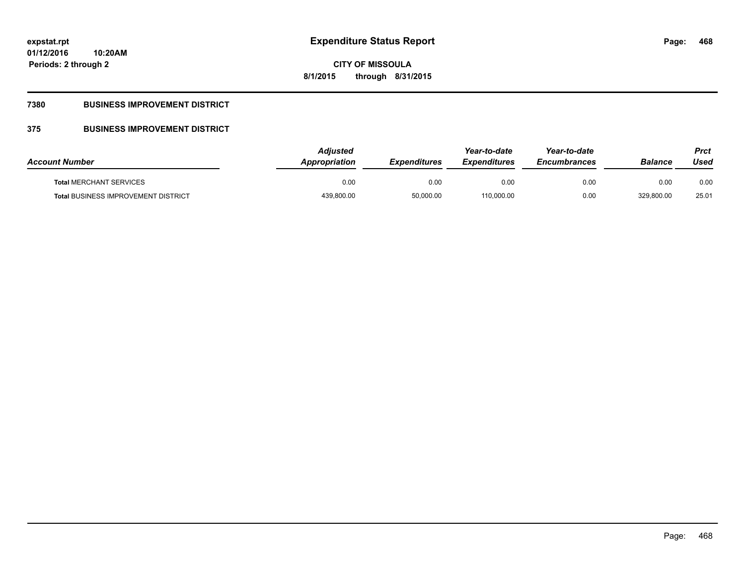**468**

**01/12/2016 10:20AM Periods: 2 through 2**

## **CITY OF MISSOULA 8/1/2015 through 8/31/2015**

## **7380 BUSINESS IMPROVEMENT DISTRICT**

## **375 BUSINESS IMPROVEMENT DISTRICT**

| <b>Account Number</b>                      | Adjusted<br>Appropriation | <b>Expenditures</b> | Year-to-date<br><b>Expenditures</b> | Year-to-date<br><b>Encumbrances</b> | <b>Balance</b> | Prct<br>Used |
|--------------------------------------------|---------------------------|---------------------|-------------------------------------|-------------------------------------|----------------|--------------|
| <b>Total MERCHANT SERVICES</b>             | 0.00                      | 0.00                | 0.00                                | 0.00                                | 0.00           | 0.00         |
| <b>Total BUSINESS IMPROVEMENT DISTRICT</b> | 439,800.00                | 50,000.00           | 110,000.00                          | 0.00                                | 329,800.00     | 25.01        |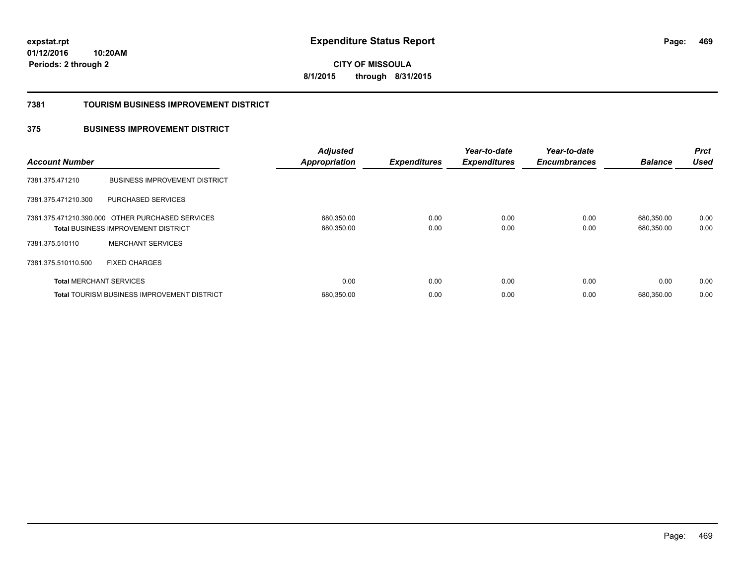**CITY OF MISSOULA 8/1/2015 through 8/31/2015**

### **7381 TOURISM BUSINESS IMPROVEMENT DISTRICT**

## **375 BUSINESS IMPROVEMENT DISTRICT**

| <b>Account Number</b>          |                                                                                                | <b>Adjusted</b><br><b>Appropriation</b> | <b>Expenditures</b> | Year-to-date<br><b>Expenditures</b> | Year-to-date<br><b>Encumbrances</b> | <b>Balance</b>           | <b>Prct</b><br><b>Used</b> |
|--------------------------------|------------------------------------------------------------------------------------------------|-----------------------------------------|---------------------|-------------------------------------|-------------------------------------|--------------------------|----------------------------|
| 7381.375.471210                | <b>BUSINESS IMPROVEMENT DISTRICT</b>                                                           |                                         |                     |                                     |                                     |                          |                            |
| 7381.375.471210.300            | PURCHASED SERVICES                                                                             |                                         |                     |                                     |                                     |                          |                            |
|                                | 7381.375.471210.390.000 OTHER PURCHASED SERVICES<br><b>Total BUSINESS IMPROVEMENT DISTRICT</b> | 680,350.00<br>680,350.00                | 0.00<br>0.00        | 0.00<br>0.00                        | 0.00<br>0.00                        | 680.350.00<br>680,350.00 | 0.00<br>0.00               |
| 7381.375.510110                | <b>MERCHANT SERVICES</b>                                                                       |                                         |                     |                                     |                                     |                          |                            |
| 7381.375.510110.500            | <b>FIXED CHARGES</b>                                                                           |                                         |                     |                                     |                                     |                          |                            |
| <b>Total MERCHANT SERVICES</b> |                                                                                                | 0.00                                    | 0.00                | 0.00                                | 0.00                                | 0.00                     | 0.00                       |
|                                | <b>Total TOURISM BUSINESS IMPROVEMENT DISTRICT</b>                                             | 680,350.00                              | 0.00                | 0.00                                | 0.00                                | 680.350.00               | 0.00                       |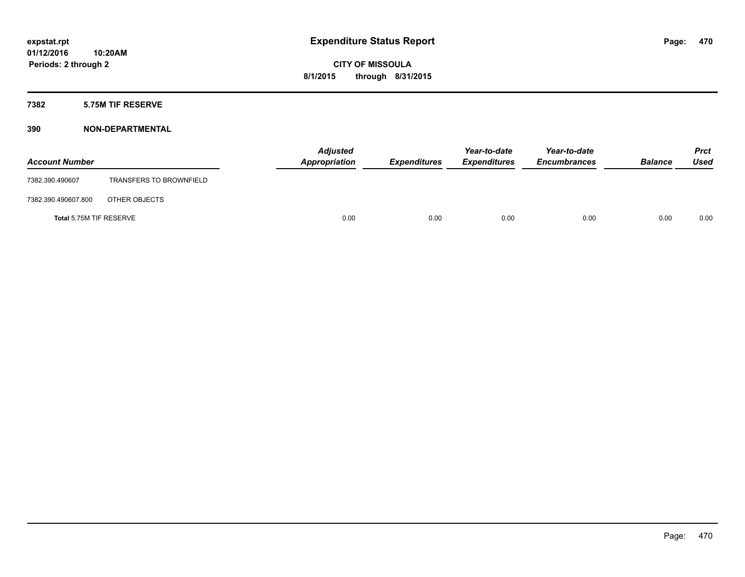## **7382 5.75M TIF RESERVE**

| <b>Account Number</b>   |                                | <b>Adjusted</b><br>Appropriation | <b>Expenditures</b> | Year-to-date<br><b>Expenditures</b> | Year-to-date<br><b>Encumbrances</b> | <b>Balance</b> | <b>Prct</b><br><b>Used</b> |
|-------------------------|--------------------------------|----------------------------------|---------------------|-------------------------------------|-------------------------------------|----------------|----------------------------|
| 7382.390.490607         | <b>TRANSFERS TO BROWNFIELD</b> |                                  |                     |                                     |                                     |                |                            |
| 7382.390.490607.800     | OTHER OBJECTS                  |                                  |                     |                                     |                                     |                |                            |
| Total 5.75M TIF RESERVE |                                | 0.00                             | 0.00                | 0.00                                | 0.00                                | 0.00           | 0.00                       |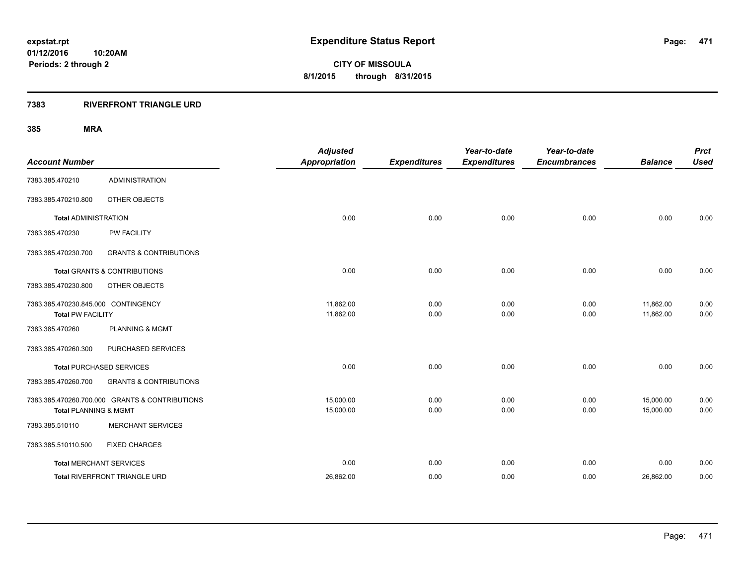**Periods: 2 through 2**

**CITY OF MISSOULA 8/1/2015 through 8/31/2015**

## **7383 RIVERFRONT TRIANGLE URD**

| <b>Account Number</b>                                           |                                                | <b>Adjusted</b><br>Appropriation | <b>Expenditures</b> | Year-to-date<br><b>Expenditures</b> | Year-to-date<br><b>Encumbrances</b> | <b>Balance</b>         | <b>Prct</b><br><b>Used</b> |
|-----------------------------------------------------------------|------------------------------------------------|----------------------------------|---------------------|-------------------------------------|-------------------------------------|------------------------|----------------------------|
| 7383.385.470210                                                 | <b>ADMINISTRATION</b>                          |                                  |                     |                                     |                                     |                        |                            |
| 7383.385.470210.800                                             | OTHER OBJECTS                                  |                                  |                     |                                     |                                     |                        |                            |
| <b>Total ADMINISTRATION</b>                                     |                                                | 0.00                             | 0.00                | 0.00                                | 0.00                                | 0.00                   | 0.00                       |
| 7383.385.470230                                                 | <b>PW FACILITY</b>                             |                                  |                     |                                     |                                     |                        |                            |
| 7383.385.470230.700                                             | <b>GRANTS &amp; CONTRIBUTIONS</b>              |                                  |                     |                                     |                                     |                        |                            |
|                                                                 | <b>Total GRANTS &amp; CONTRIBUTIONS</b>        | 0.00                             | 0.00                | 0.00                                | 0.00                                | 0.00                   | 0.00                       |
| 7383.385.470230.800                                             | OTHER OBJECTS                                  |                                  |                     |                                     |                                     |                        |                            |
| 7383.385.470230.845.000 CONTINGENCY<br><b>Total PW FACILITY</b> |                                                | 11,862.00<br>11,862.00           | 0.00<br>0.00        | 0.00<br>0.00                        | 0.00<br>0.00                        | 11,862.00<br>11,862.00 | 0.00<br>0.00               |
| 7383.385.470260                                                 | <b>PLANNING &amp; MGMT</b>                     |                                  |                     |                                     |                                     |                        |                            |
| 7383.385.470260.300                                             | PURCHASED SERVICES                             |                                  |                     |                                     |                                     |                        |                            |
|                                                                 | <b>Total PURCHASED SERVICES</b>                | 0.00                             | 0.00                | 0.00                                | 0.00                                | 0.00                   | 0.00                       |
| 7383.385.470260.700                                             | <b>GRANTS &amp; CONTRIBUTIONS</b>              |                                  |                     |                                     |                                     |                        |                            |
| <b>Total PLANNING &amp; MGMT</b>                                | 7383.385.470260.700.000 GRANTS & CONTRIBUTIONS | 15,000.00<br>15,000.00           | 0.00<br>0.00        | 0.00<br>0.00                        | 0.00<br>0.00                        | 15,000.00<br>15,000.00 | 0.00<br>0.00               |
| 7383.385.510110                                                 | <b>MERCHANT SERVICES</b>                       |                                  |                     |                                     |                                     |                        |                            |
| 7383.385.510110.500                                             | <b>FIXED CHARGES</b>                           |                                  |                     |                                     |                                     |                        |                            |
| <b>Total MERCHANT SERVICES</b>                                  |                                                | 0.00                             | 0.00                | 0.00                                | 0.00                                | 0.00                   | 0.00                       |
|                                                                 | Total RIVERFRONT TRIANGLE URD                  | 26,862.00                        | 0.00                | 0.00                                | 0.00                                | 26,862.00              | 0.00                       |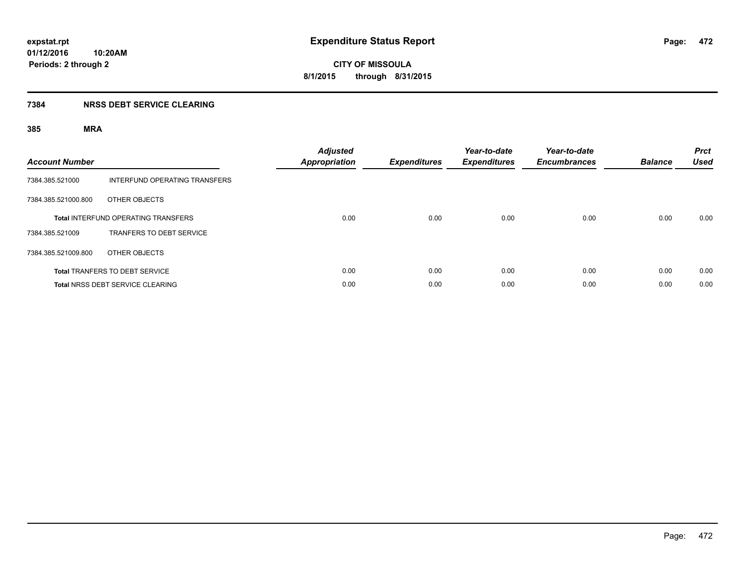## **7384 NRSS DEBT SERVICE CLEARING**

| <b>Account Number</b> |                                            | <b>Adjusted</b><br><b>Appropriation</b> | <b>Expenditures</b> | Year-to-date<br><b>Expenditures</b> | Year-to-date<br><b>Encumbrances</b> | <b>Balance</b> | <b>Prct</b><br><b>Used</b> |
|-----------------------|--------------------------------------------|-----------------------------------------|---------------------|-------------------------------------|-------------------------------------|----------------|----------------------------|
| 7384.385.521000       | INTERFUND OPERATING TRANSFERS              |                                         |                     |                                     |                                     |                |                            |
| 7384.385.521000.800   | OTHER OBJECTS                              |                                         |                     |                                     |                                     |                |                            |
|                       | <b>Total INTERFUND OPERATING TRANSFERS</b> | 0.00                                    | 0.00                | 0.00                                | 0.00                                | 0.00           | 0.00                       |
| 7384.385.521009       | <b>TRANFERS TO DEBT SERVICE</b>            |                                         |                     |                                     |                                     |                |                            |
| 7384.385.521009.800   | OTHER OBJECTS                              |                                         |                     |                                     |                                     |                |                            |
|                       | <b>Total TRANFERS TO DEBT SERVICE</b>      | 0.00                                    | 0.00                | 0.00                                | 0.00                                | 0.00           | 0.00                       |
|                       | Total NRSS DEBT SERVICE CLEARING           | 0.00                                    | 0.00                | 0.00                                | 0.00                                | 0.00           | 0.00                       |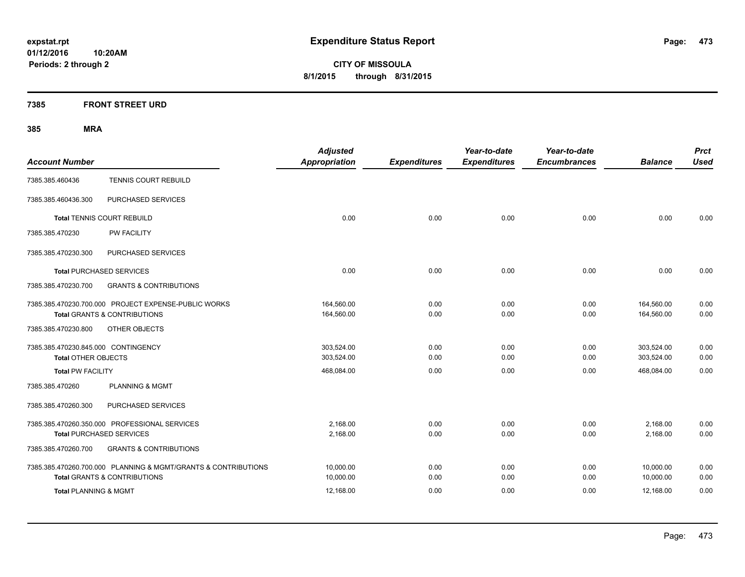**CITY OF MISSOULA 8/1/2015 through 8/31/2015**

## **7385 FRONT STREET URD**

| <b>Account Number</b>                                                                           | <b>Adjusted</b><br><b>Appropriation</b> | <b>Expenditures</b> | Year-to-date<br><b>Expenditures</b> | Year-to-date<br><b>Encumbrances</b> | <b>Balance</b>           | <b>Prct</b><br><b>Used</b> |
|-------------------------------------------------------------------------------------------------|-----------------------------------------|---------------------|-------------------------------------|-------------------------------------|--------------------------|----------------------------|
| TENNIS COURT REBUILD<br>7385.385.460436                                                         |                                         |                     |                                     |                                     |                          |                            |
| PURCHASED SERVICES<br>7385.385.460436.300                                                       |                                         |                     |                                     |                                     |                          |                            |
| <b>Total TENNIS COURT REBUILD</b>                                                               | 0.00                                    | 0.00                | 0.00                                | 0.00                                | 0.00                     | 0.00                       |
| PW FACILITY<br>7385.385.470230                                                                  |                                         |                     |                                     |                                     |                          |                            |
| 7385.385.470230.300<br>PURCHASED SERVICES                                                       |                                         |                     |                                     |                                     |                          |                            |
| <b>Total PURCHASED SERVICES</b>                                                                 | 0.00                                    | 0.00                | 0.00                                | 0.00                                | 0.00                     | 0.00                       |
| <b>GRANTS &amp; CONTRIBUTIONS</b><br>7385.385.470230.700                                        |                                         |                     |                                     |                                     |                          |                            |
| 7385.385.470230.700.000 PROJECT EXPENSE-PUBLIC WORKS<br><b>Total GRANTS &amp; CONTRIBUTIONS</b> | 164,560.00<br>164,560.00                | 0.00<br>0.00        | 0.00<br>0.00                        | 0.00<br>0.00                        | 164,560.00<br>164,560.00 | 0.00<br>0.00               |
| OTHER OBJECTS<br>7385.385.470230.800                                                            |                                         |                     |                                     |                                     |                          |                            |
| 7385.385.470230.845.000 CONTINGENCY<br><b>Total OTHER OBJECTS</b>                               | 303,524.00<br>303,524.00                | 0.00<br>0.00        | 0.00<br>0.00                        | 0.00<br>0.00                        | 303,524.00<br>303,524.00 | 0.00<br>0.00               |
| <b>Total PW FACILITY</b>                                                                        | 468,084.00                              | 0.00                | 0.00                                | 0.00                                | 468,084.00               | 0.00                       |
| 7385.385.470260<br><b>PLANNING &amp; MGMT</b>                                                   |                                         |                     |                                     |                                     |                          |                            |
| 7385.385.470260.300<br>PURCHASED SERVICES                                                       |                                         |                     |                                     |                                     |                          |                            |
| 7385.385.470260.350.000 PROFESSIONAL SERVICES<br><b>Total PURCHASED SERVICES</b>                | 2,168.00<br>2,168.00                    | 0.00<br>0.00        | 0.00<br>0.00                        | 0.00<br>0.00                        | 2,168.00<br>2,168.00     | 0.00<br>0.00               |
| 7385.385.470260.700<br><b>GRANTS &amp; CONTRIBUTIONS</b>                                        |                                         |                     |                                     |                                     |                          |                            |
| 7385.385.470260.700.000 PLANNING & MGMT/GRANTS & CONTRIBUTIONS                                  | 10,000.00                               | 0.00                | 0.00                                | 0.00                                | 10,000.00                | 0.00                       |
| <b>Total GRANTS &amp; CONTRIBUTIONS</b>                                                         | 10,000.00                               | 0.00                | 0.00                                | 0.00                                | 10,000.00                | 0.00                       |
| <b>Total PLANNING &amp; MGMT</b>                                                                | 12,168.00                               | 0.00                | 0.00                                | 0.00                                | 12,168.00                | 0.00                       |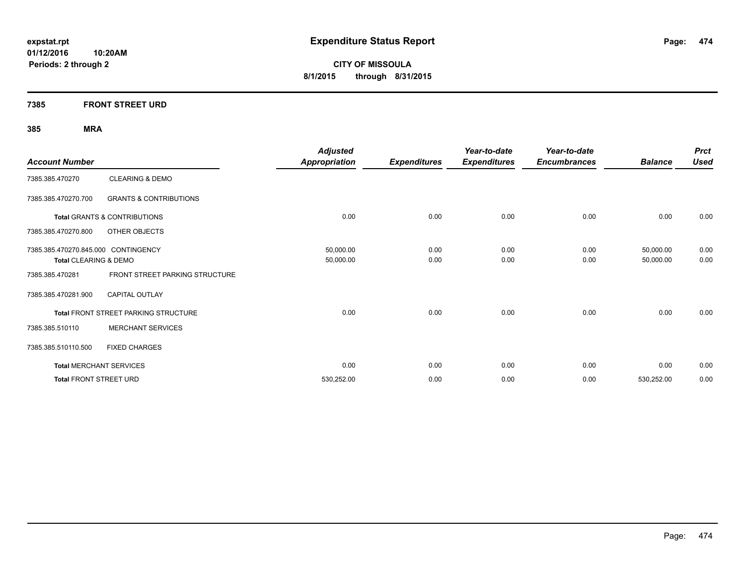**CITY OF MISSOULA 8/1/2015 through 8/31/2015**

## **7385 FRONT STREET URD**

| <b>Account Number</b>               |                                             | <b>Adjusted</b><br><b>Appropriation</b> | <b>Expenditures</b> | Year-to-date<br><b>Expenditures</b> | Year-to-date<br><b>Encumbrances</b> | <b>Balance</b> | <b>Prct</b><br><b>Used</b> |
|-------------------------------------|---------------------------------------------|-----------------------------------------|---------------------|-------------------------------------|-------------------------------------|----------------|----------------------------|
| 7385.385.470270                     | <b>CLEARING &amp; DEMO</b>                  |                                         |                     |                                     |                                     |                |                            |
| 7385.385.470270.700                 | <b>GRANTS &amp; CONTRIBUTIONS</b>           |                                         |                     |                                     |                                     |                |                            |
|                                     | <b>Total GRANTS &amp; CONTRIBUTIONS</b>     | 0.00                                    | 0.00                | 0.00                                | 0.00                                | 0.00           | 0.00                       |
| 7385.385.470270.800                 | OTHER OBJECTS                               |                                         |                     |                                     |                                     |                |                            |
| 7385.385.470270.845.000 CONTINGENCY |                                             | 50,000.00                               | 0.00                | 0.00                                | 0.00                                | 50,000.00      | 0.00                       |
| Total CLEARING & DEMO               |                                             | 50,000.00                               | 0.00                | 0.00                                | 0.00                                | 50,000.00      | 0.00                       |
| 7385.385.470281                     | FRONT STREET PARKING STRUCTURE              |                                         |                     |                                     |                                     |                |                            |
| 7385.385.470281.900                 | <b>CAPITAL OUTLAY</b>                       |                                         |                     |                                     |                                     |                |                            |
|                                     | <b>Total FRONT STREET PARKING STRUCTURE</b> | 0.00                                    | 0.00                | 0.00                                | 0.00                                | 0.00           | 0.00                       |
| 7385.385.510110                     | <b>MERCHANT SERVICES</b>                    |                                         |                     |                                     |                                     |                |                            |
| 7385.385.510110.500                 | <b>FIXED CHARGES</b>                        |                                         |                     |                                     |                                     |                |                            |
|                                     | <b>Total MERCHANT SERVICES</b>              | 0.00                                    | 0.00                | 0.00                                | 0.00                                | 0.00           | 0.00                       |
| <b>Total FRONT STREET URD</b>       |                                             | 530,252.00                              | 0.00                | 0.00                                | 0.00                                | 530,252.00     | 0.00                       |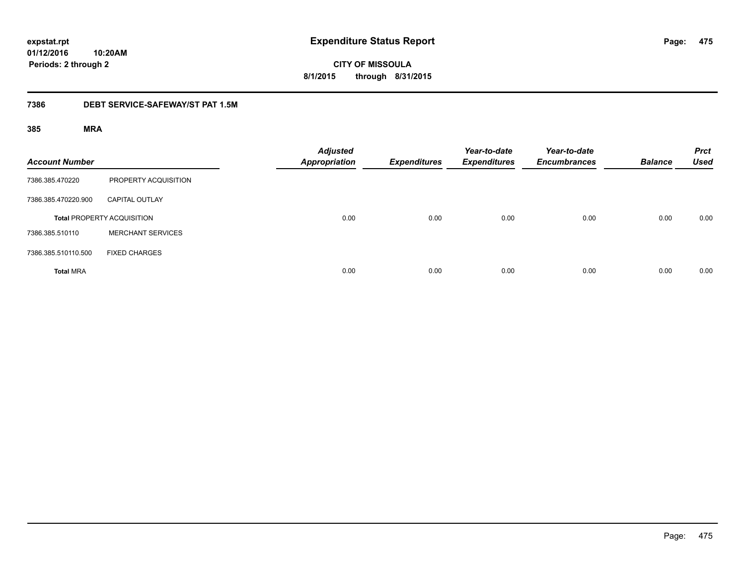**CITY OF MISSOULA 8/1/2015 through 8/31/2015**

## **7386 DEBT SERVICE-SAFEWAY/ST PAT 1.5M**

| <b>Account Number</b> |                                   | <b>Adjusted</b><br><b>Appropriation</b> | <b>Expenditures</b> | Year-to-date<br><b>Expenditures</b> | Year-to-date<br><b>Encumbrances</b> | <b>Balance</b> | <b>Prct</b><br><b>Used</b> |
|-----------------------|-----------------------------------|-----------------------------------------|---------------------|-------------------------------------|-------------------------------------|----------------|----------------------------|
| 7386.385.470220       | PROPERTY ACQUISITION              |                                         |                     |                                     |                                     |                |                            |
| 7386.385.470220.900   | <b>CAPITAL OUTLAY</b>             |                                         |                     |                                     |                                     |                |                            |
|                       | <b>Total PROPERTY ACQUISITION</b> | 0.00                                    | 0.00                | 0.00                                | 0.00                                | 0.00           | 0.00                       |
| 7386.385.510110       | <b>MERCHANT SERVICES</b>          |                                         |                     |                                     |                                     |                |                            |
| 7386.385.510110.500   | <b>FIXED CHARGES</b>              |                                         |                     |                                     |                                     |                |                            |
| <b>Total MRA</b>      |                                   | 0.00                                    | 0.00                | 0.00                                | 0.00                                | 0.00           | 0.00                       |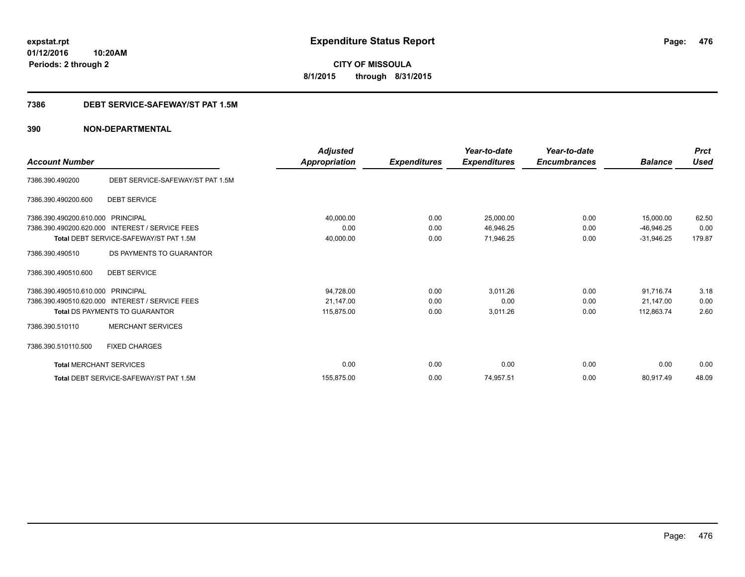**CITY OF MISSOULA 8/1/2015 through 8/31/2015**

## **7386 DEBT SERVICE-SAFEWAY/ST PAT 1.5M**

|                                |                                                 | <b>Adjusted</b> |                     | Year-to-date        | Year-to-date        |                | <b>Prct</b><br><b>Used</b> |
|--------------------------------|-------------------------------------------------|-----------------|---------------------|---------------------|---------------------|----------------|----------------------------|
| <b>Account Number</b>          |                                                 | Appropriation   | <b>Expenditures</b> | <b>Expenditures</b> | <b>Encumbrances</b> | <b>Balance</b> |                            |
| 7386.390.490200                | DEBT SERVICE-SAFEWAY/ST PAT 1.5M                |                 |                     |                     |                     |                |                            |
| 7386.390.490200.600            | <b>DEBT SERVICE</b>                             |                 |                     |                     |                     |                |                            |
| 7386.390.490200.610.000        | PRINCIPAL                                       | 40,000.00       | 0.00                | 25,000.00           | 0.00                | 15,000.00      | 62.50                      |
| 7386.390.490200.620.000        | <b>INTEREST / SERVICE FEES</b>                  | 0.00            | 0.00                | 46,946.25           | 0.00                | $-46,946.25$   | 0.00                       |
|                                | Total DEBT SERVICE-SAFEWAY/ST PAT 1.5M          | 40,000.00       | 0.00                | 71,946.25           | 0.00                | $-31,946.25$   | 179.87                     |
| 7386.390.490510                | DS PAYMENTS TO GUARANTOR                        |                 |                     |                     |                     |                |                            |
| 7386.390.490510.600            | <b>DEBT SERVICE</b>                             |                 |                     |                     |                     |                |                            |
| 7386.390.490510.610.000        | PRINCIPAL                                       | 94,728.00       | 0.00                | 3,011.26            | 0.00                | 91,716.74      | 3.18                       |
|                                | 7386.390.490510.620.000 INTEREST / SERVICE FEES | 21,147.00       | 0.00                | 0.00                | 0.00                | 21.147.00      | 0.00                       |
|                                | <b>Total DS PAYMENTS TO GUARANTOR</b>           | 115,875.00      | 0.00                | 3,011.26            | 0.00                | 112,863.74     | 2.60                       |
| 7386.390.510110                | <b>MERCHANT SERVICES</b>                        |                 |                     |                     |                     |                |                            |
| 7386.390.510110.500            | <b>FIXED CHARGES</b>                            |                 |                     |                     |                     |                |                            |
| <b>Total MERCHANT SERVICES</b> |                                                 | 0.00            | 0.00                | 0.00                | 0.00                | 0.00           | 0.00                       |
|                                | Total DEBT SERVICE-SAFEWAY/ST PAT 1.5M          | 155.875.00      | 0.00                | 74,957.51           | 0.00                | 80,917.49      | 48.09                      |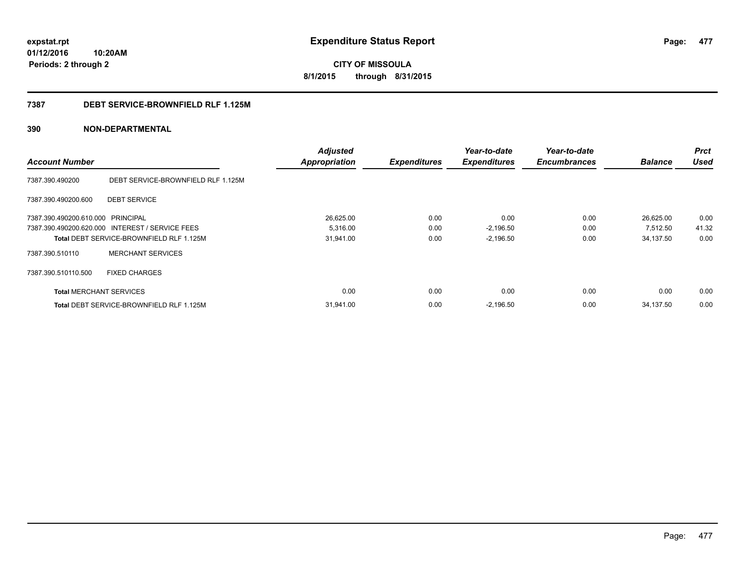**CITY OF MISSOULA 8/1/2015 through 8/31/2015**

## **7387 DEBT SERVICE-BROWNFIELD RLF 1.125M**

|                                   |                                                 | <b>Adjusted</b>      |                     | Year-to-date        | Year-to-date        |                | <b>Prct</b> |
|-----------------------------------|-------------------------------------------------|----------------------|---------------------|---------------------|---------------------|----------------|-------------|
| <b>Account Number</b>             |                                                 | <b>Appropriation</b> | <b>Expenditures</b> | <b>Expenditures</b> | <b>Encumbrances</b> | <b>Balance</b> | <b>Used</b> |
| 7387.390.490200                   | DEBT SERVICE-BROWNFIELD RLF 1.125M              |                      |                     |                     |                     |                |             |
| 7387.390.490200.600               | <b>DEBT SERVICE</b>                             |                      |                     |                     |                     |                |             |
| 7387.390.490200.610.000 PRINCIPAL |                                                 | 26,625.00            | 0.00                | 0.00                | 0.00                | 26,625.00      | 0.00        |
|                                   | 7387.390.490200.620.000 INTEREST / SERVICE FEES | 5,316.00             | 0.00                | $-2,196.50$         | 0.00                | 7,512.50       | 41.32       |
|                                   | Total DEBT SERVICE-BROWNFIELD RLF 1.125M        | 31,941.00            | 0.00                | $-2,196.50$         | 0.00                | 34,137.50      | 0.00        |
| 7387.390.510110                   | <b>MERCHANT SERVICES</b>                        |                      |                     |                     |                     |                |             |
| 7387.390.510110.500               | <b>FIXED CHARGES</b>                            |                      |                     |                     |                     |                |             |
| <b>Total MERCHANT SERVICES</b>    |                                                 | 0.00                 | 0.00                | 0.00                | 0.00                | 0.00           | 0.00        |
|                                   | <b>Total DEBT SERVICE-BROWNFIELD RLF 1.125M</b> | 31,941.00            | 0.00                | $-2,196.50$         | 0.00                | 34,137.50      | 0.00        |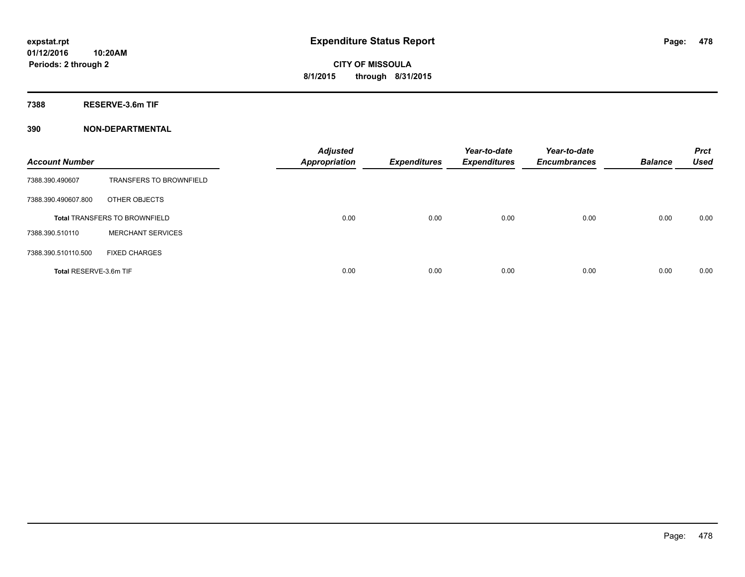**7388 RESERVE-3.6m TIF**

| <b>Account Number</b>  |                                      | <b>Adjusted</b><br>Appropriation | <b>Expenditures</b> | Year-to-date<br><b>Expenditures</b> | Year-to-date<br><b>Encumbrances</b> | <b>Balance</b> | <b>Prct</b><br><b>Used</b> |
|------------------------|--------------------------------------|----------------------------------|---------------------|-------------------------------------|-------------------------------------|----------------|----------------------------|
| 7388.390.490607        | <b>TRANSFERS TO BROWNFIELD</b>       |                                  |                     |                                     |                                     |                |                            |
| 7388.390.490607.800    | OTHER OBJECTS                        |                                  |                     |                                     |                                     |                |                            |
|                        | <b>Total TRANSFERS TO BROWNFIELD</b> | 0.00                             | 0.00                | 0.00                                | 0.00                                | 0.00           | 0.00                       |
| 7388.390.510110        | <b>MERCHANT SERVICES</b>             |                                  |                     |                                     |                                     |                |                            |
| 7388.390.510110.500    | <b>FIXED CHARGES</b>                 |                                  |                     |                                     |                                     |                |                            |
| Total RESERVE-3.6m TIF |                                      | 0.00                             | 0.00                | 0.00                                | 0.00                                | 0.00           | 0.00                       |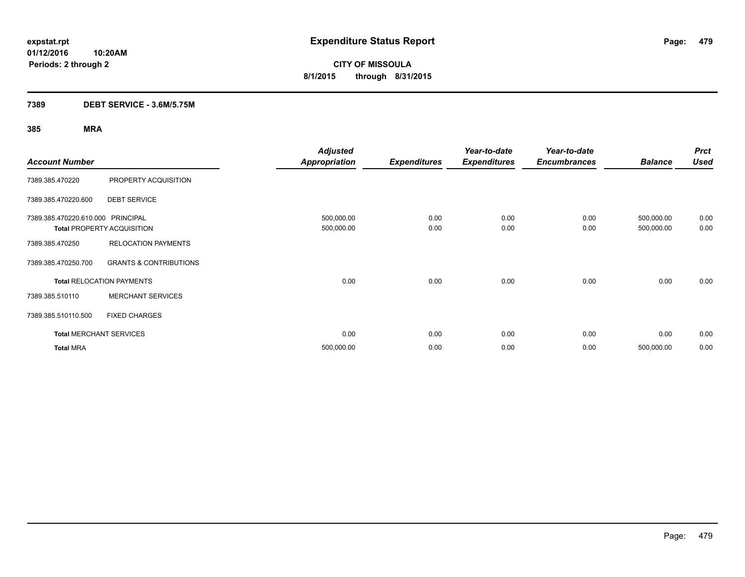**Periods: 2 through 2**

**CITY OF MISSOULA 8/1/2015 through 8/31/2015**

## **7389 DEBT SERVICE - 3.6M/5.75M**

**10:20AM**

| <b>Account Number</b>             |                                   | <b>Adjusted</b><br><b>Appropriation</b> | <b>Expenditures</b> | Year-to-date<br><b>Expenditures</b> | Year-to-date<br><b>Encumbrances</b> | <b>Balance</b>           | <b>Prct</b><br><b>Used</b> |
|-----------------------------------|-----------------------------------|-----------------------------------------|---------------------|-------------------------------------|-------------------------------------|--------------------------|----------------------------|
| 7389.385.470220                   | PROPERTY ACQUISITION              |                                         |                     |                                     |                                     |                          |                            |
| 7389.385.470220.600               | <b>DEBT SERVICE</b>               |                                         |                     |                                     |                                     |                          |                            |
| 7389.385.470220.610.000 PRINCIPAL | <b>Total PROPERTY ACQUISITION</b> | 500,000.00<br>500,000.00                | 0.00<br>0.00        | 0.00<br>0.00                        | 0.00<br>0.00                        | 500,000.00<br>500,000.00 | 0.00<br>0.00               |
| 7389.385.470250                   | <b>RELOCATION PAYMENTS</b>        |                                         |                     |                                     |                                     |                          |                            |
| 7389.385.470250.700               | <b>GRANTS &amp; CONTRIBUTIONS</b> |                                         |                     |                                     |                                     |                          |                            |
|                                   | <b>Total RELOCATION PAYMENTS</b>  | 0.00                                    | 0.00                | 0.00                                | 0.00                                | 0.00                     | 0.00                       |
| 7389.385.510110                   | <b>MERCHANT SERVICES</b>          |                                         |                     |                                     |                                     |                          |                            |
| 7389.385.510110.500               | <b>FIXED CHARGES</b>              |                                         |                     |                                     |                                     |                          |                            |
|                                   | <b>Total MERCHANT SERVICES</b>    | 0.00                                    | 0.00                | 0.00                                | 0.00                                | 0.00                     | 0.00                       |
| <b>Total MRA</b>                  |                                   | 500,000.00                              | 0.00                | 0.00                                | 0.00                                | 500,000.00               | 0.00                       |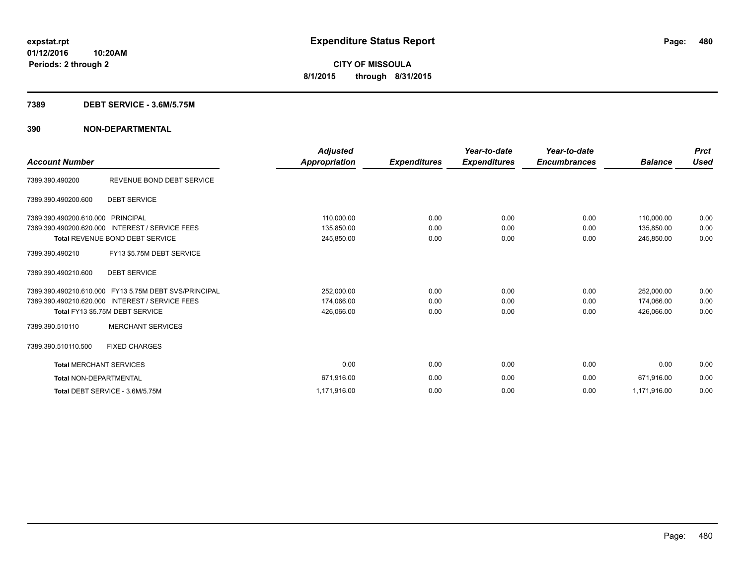### **7389 DEBT SERVICE - 3.6M/5.75M**

| <b>Account Number</b>             |                                                       | <b>Adjusted</b><br>Appropriation | <b>Expenditures</b> | Year-to-date<br><b>Expenditures</b> | Year-to-date<br><b>Encumbrances</b> | <b>Balance</b> | <b>Prct</b><br><b>Used</b> |
|-----------------------------------|-------------------------------------------------------|----------------------------------|---------------------|-------------------------------------|-------------------------------------|----------------|----------------------------|
| 7389.390.490200                   | REVENUE BOND DEBT SERVICE                             |                                  |                     |                                     |                                     |                |                            |
| 7389.390.490200.600               | <b>DEBT SERVICE</b>                                   |                                  |                     |                                     |                                     |                |                            |
| 7389.390.490200.610.000 PRINCIPAL |                                                       | 110,000.00                       | 0.00                | 0.00                                | 0.00                                | 110,000.00     | 0.00                       |
|                                   | 7389.390.490200.620.000 INTEREST / SERVICE FEES       | 135,850.00                       | 0.00                | 0.00                                | 0.00                                | 135,850.00     | 0.00                       |
|                                   | <b>Total REVENUE BOND DEBT SERVICE</b>                | 245,850.00                       | 0.00                | 0.00                                | 0.00                                | 245,850.00     | 0.00                       |
| 7389.390.490210                   | FY13 \$5.75M DEBT SERVICE                             |                                  |                     |                                     |                                     |                |                            |
| 7389.390.490210.600               | <b>DEBT SERVICE</b>                                   |                                  |                     |                                     |                                     |                |                            |
|                                   | 7389.390.490210.610.000 FY13 5.75M DEBT SVS/PRINCIPAL | 252,000.00                       | 0.00                | 0.00                                | 0.00                                | 252,000.00     | 0.00                       |
|                                   | 7389.390.490210.620.000 INTEREST / SERVICE FEES       | 174,066.00                       | 0.00                | 0.00                                | 0.00                                | 174,066.00     | 0.00                       |
|                                   | Total FY13 \$5.75M DEBT SERVICE                       | 426,066.00                       | 0.00                | 0.00                                | 0.00                                | 426.066.00     | 0.00                       |
| 7389.390.510110                   | <b>MERCHANT SERVICES</b>                              |                                  |                     |                                     |                                     |                |                            |
| 7389.390.510110.500               | <b>FIXED CHARGES</b>                                  |                                  |                     |                                     |                                     |                |                            |
| <b>Total MERCHANT SERVICES</b>    |                                                       | 0.00                             | 0.00                | 0.00                                | 0.00                                | 0.00           | 0.00                       |
| <b>Total NON-DEPARTMENTAL</b>     |                                                       | 671,916.00                       | 0.00                | 0.00                                | 0.00                                | 671,916.00     | 0.00                       |
|                                   | Total DEBT SERVICE - 3.6M/5.75M                       | 1,171,916.00                     | 0.00                | 0.00                                | 0.00                                | 1,171,916.00   | 0.00                       |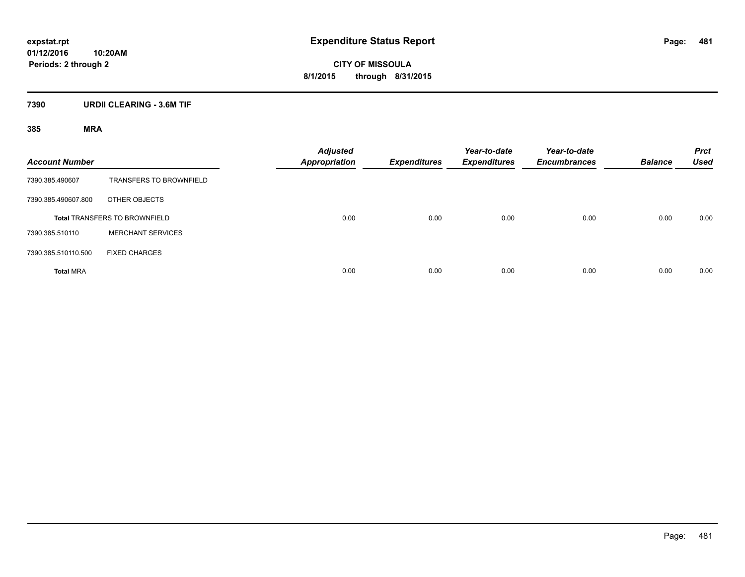**CITY OF MISSOULA 8/1/2015 through 8/31/2015**

## **7390 URDII CLEARING - 3.6M TIF**

| <b>Account Number</b> |                                      | Adjusted<br><b>Appropriation</b> | <b>Expenditures</b> | Year-to-date<br><b>Expenditures</b> | Year-to-date<br><b>Encumbrances</b> | <b>Balance</b> | <b>Prct</b><br><b>Used</b> |
|-----------------------|--------------------------------------|----------------------------------|---------------------|-------------------------------------|-------------------------------------|----------------|----------------------------|
| 7390.385.490607       | <b>TRANSFERS TO BROWNFIELD</b>       |                                  |                     |                                     |                                     |                |                            |
| 7390.385.490607.800   | OTHER OBJECTS                        |                                  |                     |                                     |                                     |                |                            |
|                       | <b>Total TRANSFERS TO BROWNFIELD</b> | 0.00                             | 0.00                | 0.00                                | 0.00                                | 0.00           | 0.00                       |
| 7390.385.510110       | <b>MERCHANT SERVICES</b>             |                                  |                     |                                     |                                     |                |                            |
| 7390.385.510110.500   | <b>FIXED CHARGES</b>                 |                                  |                     |                                     |                                     |                |                            |
| <b>Total MRA</b>      |                                      | 0.00                             | 0.00                | 0.00                                | 0.00                                | 0.00           | 0.00                       |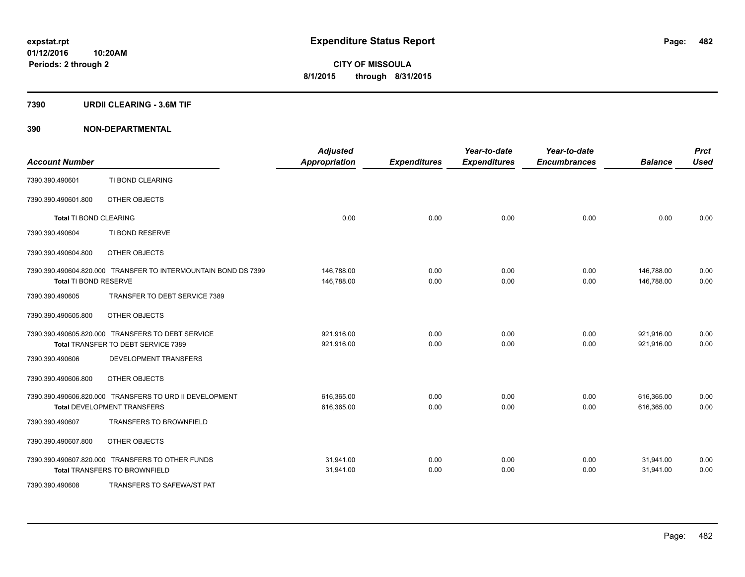### **7390 URDII CLEARING - 3.6M TIF**

| <b>Account Number</b>         |                                                                | <b>Adjusted</b><br><b>Appropriation</b> | <b>Expenditures</b> | Year-to-date<br><b>Expenditures</b> | Year-to-date<br><b>Encumbrances</b> | <b>Balance</b> | <b>Prct</b><br><b>Used</b> |
|-------------------------------|----------------------------------------------------------------|-----------------------------------------|---------------------|-------------------------------------|-------------------------------------|----------------|----------------------------|
| 7390.390.490601               | TI BOND CLEARING                                               |                                         |                     |                                     |                                     |                |                            |
| 7390.390.490601.800           | OTHER OBJECTS                                                  |                                         |                     |                                     |                                     |                |                            |
| <b>Total TI BOND CLEARING</b> |                                                                | 0.00                                    | 0.00                | 0.00                                | 0.00                                | 0.00           | 0.00                       |
| 7390.390.490604               | TI BOND RESERVE                                                |                                         |                     |                                     |                                     |                |                            |
| 7390.390.490604.800           | OTHER OBJECTS                                                  |                                         |                     |                                     |                                     |                |                            |
|                               | 7390.390.490604.820.000 TRANSFER TO INTERMOUNTAIN BOND DS 7399 | 146,788.00                              | 0.00                | 0.00                                | 0.00                                | 146,788.00     | 0.00                       |
| Total TI BOND RESERVE         |                                                                | 146,788.00                              | 0.00                | 0.00                                | 0.00                                | 146,788.00     | 0.00                       |
| 7390.390.490605               | TRANSFER TO DEBT SERVICE 7389                                  |                                         |                     |                                     |                                     |                |                            |
| 7390.390.490605.800           | OTHER OBJECTS                                                  |                                         |                     |                                     |                                     |                |                            |
|                               | 7390.390.490605.820.000 TRANSFERS TO DEBT SERVICE              | 921,916.00                              | 0.00                | 0.00                                | 0.00                                | 921,916.00     | 0.00                       |
|                               | Total TRANSFER TO DEBT SERVICE 7389                            | 921,916.00                              | 0.00                | 0.00                                | 0.00                                | 921,916.00     | 0.00                       |
| 7390.390.490606               | DEVELOPMENT TRANSFERS                                          |                                         |                     |                                     |                                     |                |                            |
| 7390.390.490606.800           | OTHER OBJECTS                                                  |                                         |                     |                                     |                                     |                |                            |
|                               | 7390.390.490606.820.000 TRANSFERS TO URD II DEVELOPMENT        | 616,365.00                              | 0.00                | 0.00                                | 0.00                                | 616,365.00     | 0.00                       |
|                               | <b>Total DEVELOPMENT TRANSFERS</b>                             | 616,365.00                              | 0.00                | 0.00                                | 0.00                                | 616,365.00     | 0.00                       |
| 7390.390.490607               | <b>TRANSFERS TO BROWNFIELD</b>                                 |                                         |                     |                                     |                                     |                |                            |
| 7390.390.490607.800           | OTHER OBJECTS                                                  |                                         |                     |                                     |                                     |                |                            |
|                               | 7390.390.490607.820.000 TRANSFERS TO OTHER FUNDS               | 31,941.00                               | 0.00                | 0.00                                | 0.00                                | 31,941.00      | 0.00                       |
|                               | <b>Total TRANSFERS TO BROWNFIELD</b>                           | 31,941.00                               | 0.00                | 0.00                                | 0.00                                | 31,941.00      | 0.00                       |
| 7390.390.490608               | TRANSFERS TO SAFEWA/ST PAT                                     |                                         |                     |                                     |                                     |                |                            |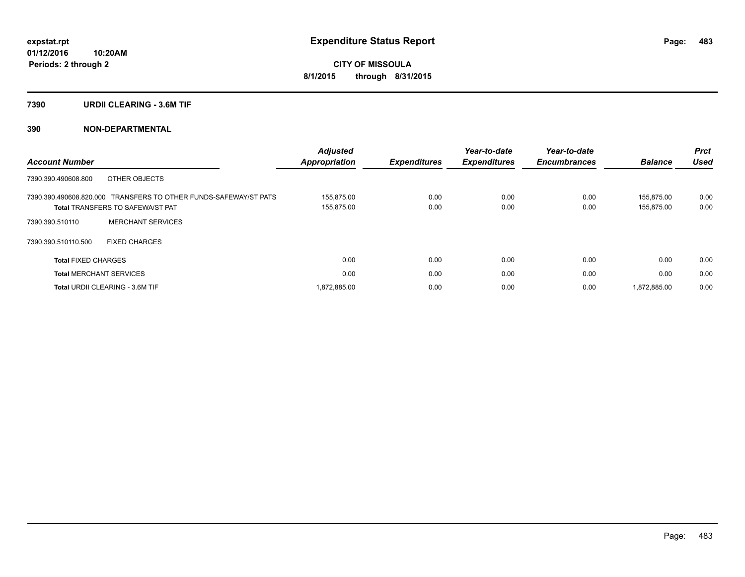### **7390 URDII CLEARING - 3.6M TIF**

| <b>Account Number</b>                                                                                       | <b>Adjusted</b><br>Appropriation | <b>Expenditures</b> | Year-to-date<br><b>Expenditures</b> | Year-to-date<br><b>Encumbrances</b> | <b>Balance</b>           | <b>Prct</b><br><b>Used</b> |
|-------------------------------------------------------------------------------------------------------------|----------------------------------|---------------------|-------------------------------------|-------------------------------------|--------------------------|----------------------------|
| 7390.390.490608.800<br>OTHER OBJECTS                                                                        |                                  |                     |                                     |                                     |                          |                            |
| 7390.390.490608.820.000 TRANSFERS TO OTHER FUNDS-SAFEWAY/ST PATS<br><b>Total TRANSFERS TO SAFEWA/ST PAT</b> | 155.875.00<br>155,875.00         | 0.00<br>0.00        | 0.00<br>0.00                        | 0.00<br>0.00                        | 155.875.00<br>155,875.00 | 0.00<br>0.00               |
| <b>MERCHANT SERVICES</b><br>7390.390.510110                                                                 |                                  |                     |                                     |                                     |                          |                            |
| 7390.390.510110.500<br><b>FIXED CHARGES</b>                                                                 |                                  |                     |                                     |                                     |                          |                            |
| <b>Total FIXED CHARGES</b>                                                                                  | 0.00                             | 0.00                | 0.00                                | 0.00                                | 0.00                     | 0.00                       |
| <b>Total MERCHANT SERVICES</b>                                                                              | 0.00                             | 0.00                | 0.00                                | 0.00                                | 0.00                     | 0.00                       |
| <b>Total URDII CLEARING - 3.6M TIF</b>                                                                      | 1.872.885.00                     | 0.00                | 0.00                                | 0.00                                | 1.872.885.00             | 0.00                       |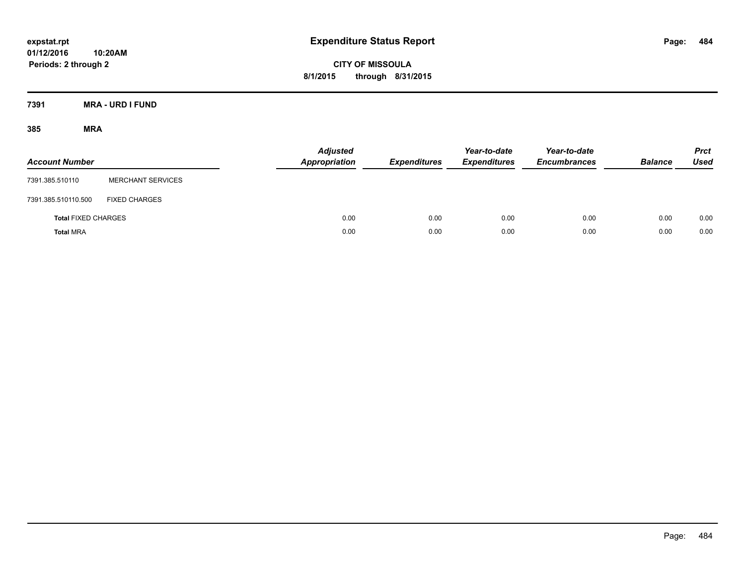**CITY OF MISSOULA 8/1/2015 through 8/31/2015**

**7391 MRA - URD I FUND**

| <b>Account Number</b>      |                          | <b>Adjusted</b><br><b>Appropriation</b> | <b>Expenditures</b> | Year-to-date<br><b>Expenditures</b> | Year-to-date<br><b>Encumbrances</b> | <b>Balance</b> | <b>Prct</b><br><b>Used</b> |
|----------------------------|--------------------------|-----------------------------------------|---------------------|-------------------------------------|-------------------------------------|----------------|----------------------------|
| 7391.385.510110            | <b>MERCHANT SERVICES</b> |                                         |                     |                                     |                                     |                |                            |
| 7391.385.510110.500        | <b>FIXED CHARGES</b>     |                                         |                     |                                     |                                     |                |                            |
| <b>Total FIXED CHARGES</b> |                          | 0.00                                    | 0.00                | 0.00                                | 0.00                                | 0.00           | 0.00                       |
| <b>Total MRA</b>           |                          | 0.00                                    | 0.00                | 0.00                                | 0.00                                | 0.00           | 0.00                       |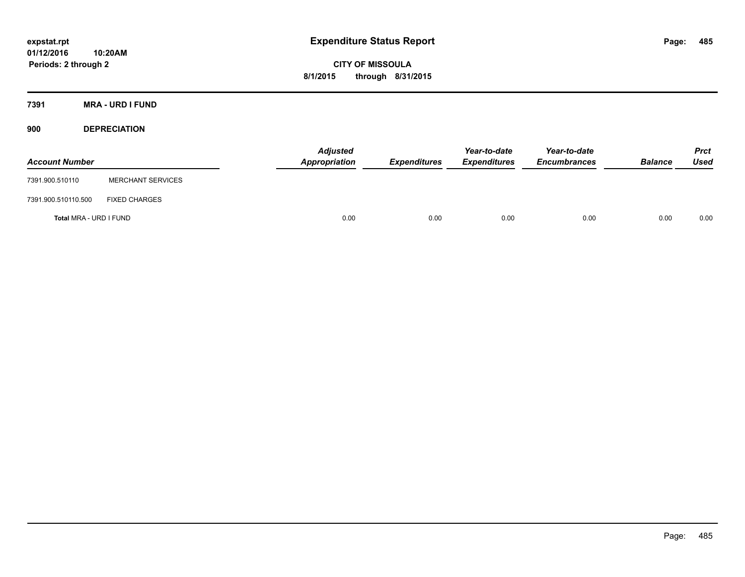**CITY OF MISSOULA 8/1/2015 through 8/31/2015**

**7391 MRA - URD I FUND**

**900 DEPRECIATION**

| <b>Account Number</b>  |                          | Adjusted<br>Appropriation | <b>Expenditures</b> | Year-to-date<br><b>Expenditures</b> | Year-to-date<br><b>Encumbrances</b> | <b>Balance</b> | Prct<br><b>Used</b> |
|------------------------|--------------------------|---------------------------|---------------------|-------------------------------------|-------------------------------------|----------------|---------------------|
| 7391.900.510110        | <b>MERCHANT SERVICES</b> |                           |                     |                                     |                                     |                |                     |
| 7391.900.510110.500    | <b>FIXED CHARGES</b>     |                           |                     |                                     |                                     |                |                     |
| Total MRA - URD I FUND |                          | 0.00                      | 0.00                | 0.00                                | 0.00                                | 0.00           | 0.00                |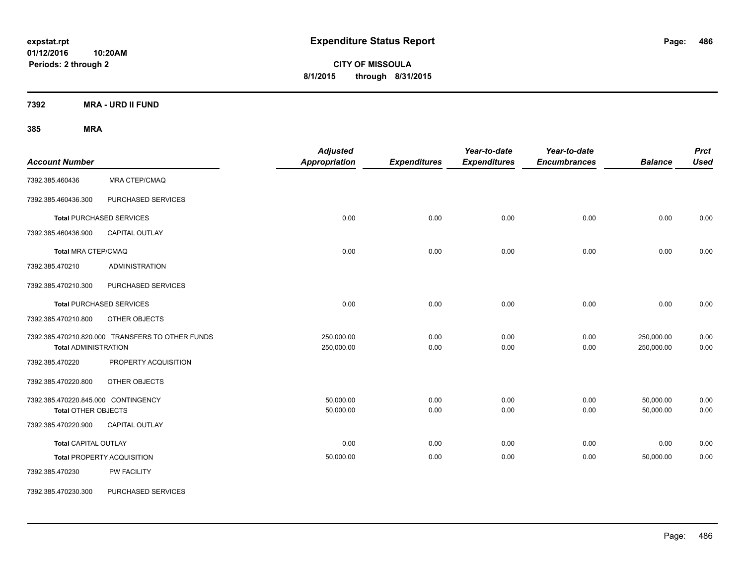**CITY OF MISSOULA 8/1/2015 through 8/31/2015**

**7392 MRA - URD II FUND**

| <b>Account Number</b>                                             |                                                  | <b>Adjusted</b><br>Appropriation | <b>Expenditures</b> | Year-to-date<br><b>Expenditures</b> | Year-to-date<br><b>Encumbrances</b> | <b>Balance</b>           | <b>Prct</b><br><b>Used</b> |
|-------------------------------------------------------------------|--------------------------------------------------|----------------------------------|---------------------|-------------------------------------|-------------------------------------|--------------------------|----------------------------|
| 7392.385.460436                                                   | <b>MRA CTEP/CMAQ</b>                             |                                  |                     |                                     |                                     |                          |                            |
| 7392.385.460436.300                                               | PURCHASED SERVICES                               |                                  |                     |                                     |                                     |                          |                            |
|                                                                   | <b>Total PURCHASED SERVICES</b>                  | 0.00                             | 0.00                | 0.00                                | 0.00                                | 0.00                     | 0.00                       |
| 7392.385.460436.900                                               | CAPITAL OUTLAY                                   |                                  |                     |                                     |                                     |                          |                            |
| <b>Total MRA CTEP/CMAQ</b>                                        |                                                  | 0.00                             | 0.00                | 0.00                                | 0.00                                | 0.00                     | 0.00                       |
| 7392.385.470210                                                   | <b>ADMINISTRATION</b>                            |                                  |                     |                                     |                                     |                          |                            |
| 7392.385.470210.300                                               | PURCHASED SERVICES                               |                                  |                     |                                     |                                     |                          |                            |
|                                                                   | <b>Total PURCHASED SERVICES</b>                  | 0.00                             | 0.00                | 0.00                                | 0.00                                | 0.00                     | 0.00                       |
| 7392.385.470210.800                                               | <b>OTHER OBJECTS</b>                             |                                  |                     |                                     |                                     |                          |                            |
| <b>Total ADMINISTRATION</b>                                       | 7392.385.470210.820.000 TRANSFERS TO OTHER FUNDS | 250,000.00<br>250,000.00         | 0.00<br>0.00        | 0.00<br>0.00                        | 0.00<br>0.00                        | 250,000.00<br>250,000.00 | 0.00<br>0.00               |
| 7392.385.470220                                                   | PROPERTY ACQUISITION                             |                                  |                     |                                     |                                     |                          |                            |
| 7392.385.470220.800                                               | OTHER OBJECTS                                    |                                  |                     |                                     |                                     |                          |                            |
| 7392.385.470220.845.000 CONTINGENCY<br><b>Total OTHER OBJECTS</b> |                                                  | 50,000.00<br>50,000.00           | 0.00<br>0.00        | 0.00<br>0.00                        | 0.00<br>0.00                        | 50,000.00<br>50,000.00   | 0.00<br>0.00               |
| 7392.385.470220.900                                               | CAPITAL OUTLAY                                   |                                  |                     |                                     |                                     |                          |                            |
| <b>Total CAPITAL OUTLAY</b>                                       |                                                  | 0.00                             | 0.00                | 0.00                                | 0.00                                | 0.00                     | 0.00                       |
|                                                                   | <b>Total PROPERTY ACQUISITION</b>                | 50,000.00                        | 0.00                | 0.00                                | 0.00                                | 50,000.00                | 0.00                       |
| 7392.385.470230                                                   | PW FACILITY                                      |                                  |                     |                                     |                                     |                          |                            |
| 7392.385.470230.300                                               | PURCHASED SERVICES                               |                                  |                     |                                     |                                     |                          |                            |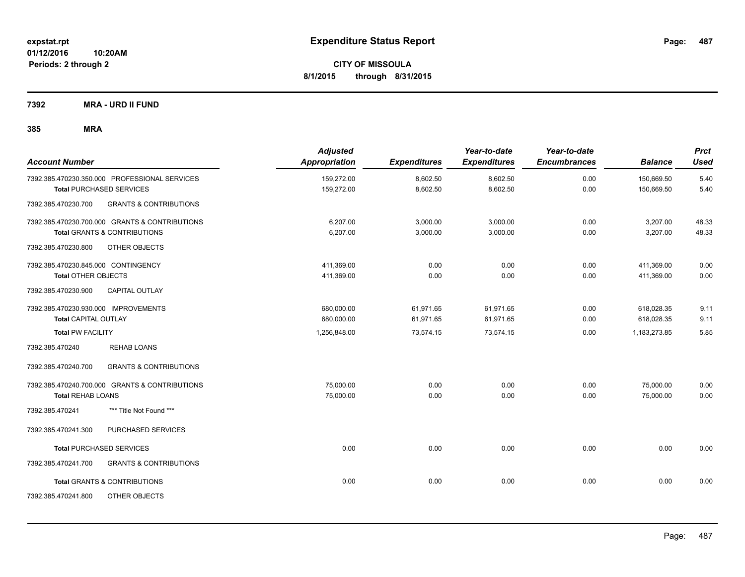**7392 MRA - URD II FUND**

| <b>Account Number</b>                   |                                                | <b>Adjusted</b><br>Appropriation | <b>Expenditures</b> | Year-to-date<br><b>Expenditures</b> | Year-to-date<br><b>Encumbrances</b> | <b>Balance</b> | <b>Prct</b><br>Used |
|-----------------------------------------|------------------------------------------------|----------------------------------|---------------------|-------------------------------------|-------------------------------------|----------------|---------------------|
|                                         | 7392.385.470230.350.000 PROFESSIONAL SERVICES  | 159,272.00                       | 8,602.50            | 8,602.50                            | 0.00                                | 150,669.50     | 5.40                |
| <b>Total PURCHASED SERVICES</b>         |                                                | 159,272.00                       | 8,602.50            | 8,602.50                            | 0.00                                | 150,669.50     | 5.40                |
| 7392.385.470230.700                     | <b>GRANTS &amp; CONTRIBUTIONS</b>              |                                  |                     |                                     |                                     |                |                     |
|                                         | 7392.385.470230.700.000 GRANTS & CONTRIBUTIONS | 6,207.00                         | 3,000.00            | 3,000.00                            | 0.00                                | 3,207.00       | 48.33               |
| <b>Total GRANTS &amp; CONTRIBUTIONS</b> |                                                | 6,207.00                         | 3,000.00            | 3,000.00                            | 0.00                                | 3,207.00       | 48.33               |
| 7392.385.470230.800                     | OTHER OBJECTS                                  |                                  |                     |                                     |                                     |                |                     |
| 7392.385.470230.845.000 CONTINGENCY     |                                                | 411.369.00                       | 0.00                | 0.00                                | 0.00                                | 411,369.00     | 0.00                |
| <b>Total OTHER OBJECTS</b>              |                                                | 411,369.00                       | 0.00                | 0.00                                | 0.00                                | 411,369.00     | 0.00                |
| 7392.385.470230.900                     | CAPITAL OUTLAY                                 |                                  |                     |                                     |                                     |                |                     |
| 7392.385.470230.930.000 IMPROVEMENTS    |                                                | 680,000.00                       | 61,971.65           | 61,971.65                           | 0.00                                | 618,028.35     | 9.11                |
| <b>Total CAPITAL OUTLAY</b>             |                                                | 680,000.00                       | 61,971.65           | 61,971.65                           | 0.00                                | 618,028.35     | 9.11                |
| <b>Total PW FACILITY</b>                |                                                | 1,256,848.00                     | 73,574.15           | 73,574.15                           | 0.00                                | 1,183,273.85   | 5.85                |
| 7392.385.470240                         | <b>REHAB LOANS</b>                             |                                  |                     |                                     |                                     |                |                     |
| 7392.385.470240.700                     | <b>GRANTS &amp; CONTRIBUTIONS</b>              |                                  |                     |                                     |                                     |                |                     |
|                                         | 7392.385.470240.700.000 GRANTS & CONTRIBUTIONS | 75,000.00                        | 0.00                | 0.00                                | 0.00                                | 75,000.00      | 0.00                |
| <b>Total REHAB LOANS</b>                |                                                | 75,000.00                        | 0.00                | 0.00                                | 0.00                                | 75,000.00      | 0.00                |
| 7392.385.470241                         | *** Title Not Found ***                        |                                  |                     |                                     |                                     |                |                     |
| 7392.385.470241.300                     | PURCHASED SERVICES                             |                                  |                     |                                     |                                     |                |                     |
| <b>Total PURCHASED SERVICES</b>         |                                                | 0.00                             | 0.00                | 0.00                                | 0.00                                | 0.00           | 0.00                |
| 7392.385.470241.700                     | <b>GRANTS &amp; CONTRIBUTIONS</b>              |                                  |                     |                                     |                                     |                |                     |
| <b>Total GRANTS &amp; CONTRIBUTIONS</b> |                                                | 0.00                             | 0.00                | 0.00                                | 0.00                                | 0.00           | 0.00                |
| 7392.385.470241.800                     | OTHER OBJECTS                                  |                                  |                     |                                     |                                     |                |                     |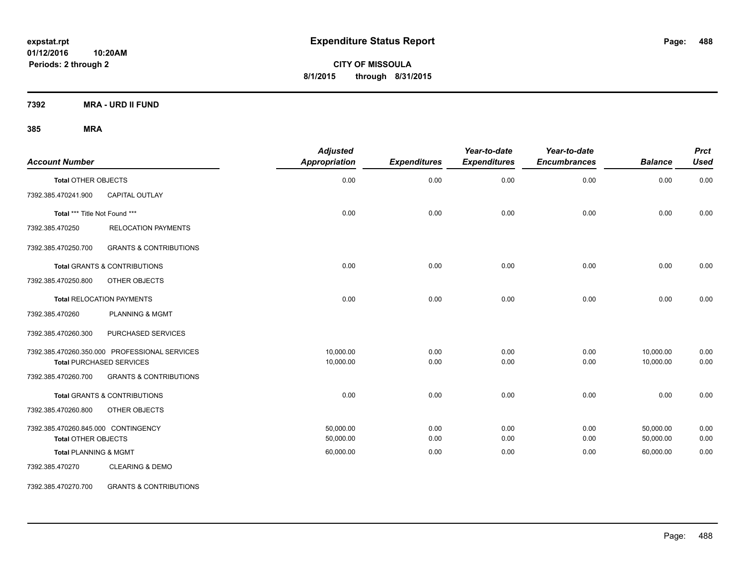**CITY OF MISSOULA 8/1/2015 through 8/31/2015**

**7392 MRA - URD II FUND**

**385 MRA**

| <b>Account Number</b>               |                                               | <b>Adjusted</b><br>Appropriation | <b>Expenditures</b> | Year-to-date<br><b>Expenditures</b> | Year-to-date<br><b>Encumbrances</b> | <b>Balance</b> | <b>Prct</b><br><b>Used</b> |
|-------------------------------------|-----------------------------------------------|----------------------------------|---------------------|-------------------------------------|-------------------------------------|----------------|----------------------------|
| <b>Total OTHER OBJECTS</b>          |                                               | 0.00                             | 0.00                | 0.00                                | 0.00                                | 0.00           | 0.00                       |
| 7392.385.470241.900                 | <b>CAPITAL OUTLAY</b>                         |                                  |                     |                                     |                                     |                |                            |
| Total *** Title Not Found ***       |                                               | 0.00                             | 0.00                | 0.00                                | 0.00                                | 0.00           | 0.00                       |
| 7392.385.470250                     | <b>RELOCATION PAYMENTS</b>                    |                                  |                     |                                     |                                     |                |                            |
| 7392.385.470250.700                 | <b>GRANTS &amp; CONTRIBUTIONS</b>             |                                  |                     |                                     |                                     |                |                            |
|                                     | <b>Total GRANTS &amp; CONTRIBUTIONS</b>       | 0.00                             | 0.00                | 0.00                                | 0.00                                | 0.00           | 0.00                       |
| 7392.385.470250.800                 | OTHER OBJECTS                                 |                                  |                     |                                     |                                     |                |                            |
|                                     | <b>Total RELOCATION PAYMENTS</b>              | 0.00                             | 0.00                | 0.00                                | 0.00                                | 0.00           | 0.00                       |
| 7392.385.470260                     | <b>PLANNING &amp; MGMT</b>                    |                                  |                     |                                     |                                     |                |                            |
| 7392.385.470260.300                 | PURCHASED SERVICES                            |                                  |                     |                                     |                                     |                |                            |
|                                     | 7392.385.470260.350.000 PROFESSIONAL SERVICES | 10,000.00                        | 0.00                | 0.00                                | 0.00                                | 10,000.00      | 0.00                       |
|                                     | <b>Total PURCHASED SERVICES</b>               | 10,000.00                        | 0.00                | 0.00                                | 0.00                                | 10,000.00      | 0.00                       |
| 7392.385.470260.700                 | <b>GRANTS &amp; CONTRIBUTIONS</b>             |                                  |                     |                                     |                                     |                |                            |
|                                     | Total GRANTS & CONTRIBUTIONS                  | 0.00                             | 0.00                | 0.00                                | 0.00                                | 0.00           | 0.00                       |
| 7392.385.470260.800                 | OTHER OBJECTS                                 |                                  |                     |                                     |                                     |                |                            |
| 7392.385.470260.845.000 CONTINGENCY |                                               | 50,000.00                        | 0.00                | 0.00                                | 0.00                                | 50,000.00      | 0.00                       |
| <b>Total OTHER OBJECTS</b>          |                                               | 50,000.00                        | 0.00                | 0.00                                | 0.00                                | 50,000.00      | 0.00                       |
| <b>Total PLANNING &amp; MGMT</b>    |                                               | 60,000.00                        | 0.00                | 0.00                                | 0.00                                | 60,000.00      | 0.00                       |
| 7392.385.470270                     | <b>CLEARING &amp; DEMO</b>                    |                                  |                     |                                     |                                     |                |                            |

7392.385.470270.700 GRANTS & CONTRIBUTIONS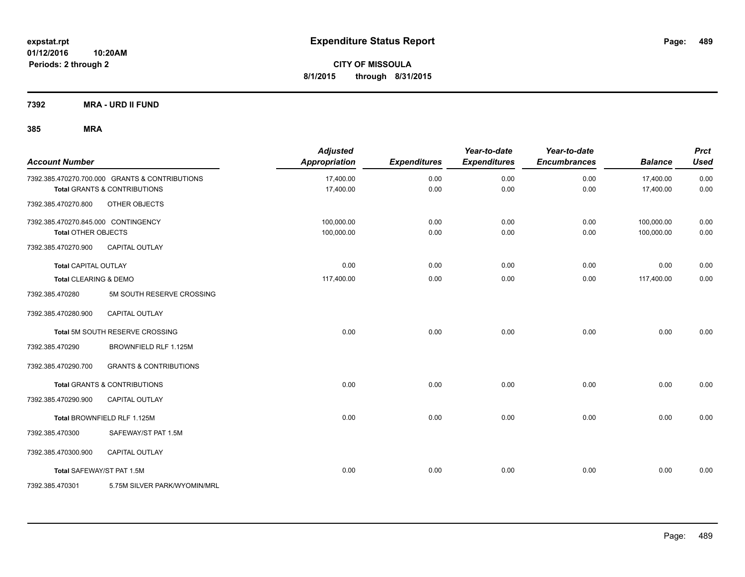**7392 MRA - URD II FUND**

| <b>Account Number</b>               |                                                | <b>Adjusted</b><br>Appropriation | <b>Expenditures</b> | Year-to-date<br><b>Expenditures</b> | Year-to-date<br><b>Encumbrances</b> | <b>Balance</b> | <b>Prct</b><br><b>Used</b> |
|-------------------------------------|------------------------------------------------|----------------------------------|---------------------|-------------------------------------|-------------------------------------|----------------|----------------------------|
|                                     | 7392.385.470270.700.000 GRANTS & CONTRIBUTIONS | 17,400.00                        | 0.00                | 0.00                                | 0.00                                | 17,400.00      | 0.00                       |
|                                     | <b>Total GRANTS &amp; CONTRIBUTIONS</b>        | 17,400.00                        | 0.00                | 0.00                                | 0.00                                | 17,400.00      | 0.00                       |
| 7392.385.470270.800                 | OTHER OBJECTS                                  |                                  |                     |                                     |                                     |                |                            |
| 7392.385.470270.845.000 CONTINGENCY |                                                | 100,000.00                       | 0.00                | 0.00                                | 0.00                                | 100,000.00     | 0.00                       |
| <b>Total OTHER OBJECTS</b>          |                                                | 100,000.00                       | 0.00                | 0.00                                | 0.00                                | 100,000.00     | 0.00                       |
| 7392.385.470270.900                 | <b>CAPITAL OUTLAY</b>                          |                                  |                     |                                     |                                     |                |                            |
| <b>Total CAPITAL OUTLAY</b>         |                                                | 0.00                             | 0.00                | 0.00                                | 0.00                                | 0.00           | 0.00                       |
| Total CLEARING & DEMO               |                                                | 117,400.00                       | 0.00                | 0.00                                | 0.00                                | 117,400.00     | 0.00                       |
| 7392.385.470280                     | 5M SOUTH RESERVE CROSSING                      |                                  |                     |                                     |                                     |                |                            |
| 7392.385.470280.900                 | CAPITAL OUTLAY                                 |                                  |                     |                                     |                                     |                |                            |
|                                     | Total 5M SOUTH RESERVE CROSSING                | 0.00                             | 0.00                | 0.00                                | 0.00                                | 0.00           | 0.00                       |
| 7392.385.470290                     | BROWNFIELD RLF 1.125M                          |                                  |                     |                                     |                                     |                |                            |
| 7392.385.470290.700                 | <b>GRANTS &amp; CONTRIBUTIONS</b>              |                                  |                     |                                     |                                     |                |                            |
|                                     | <b>Total GRANTS &amp; CONTRIBUTIONS</b>        | 0.00                             | 0.00                | 0.00                                | 0.00                                | 0.00           | 0.00                       |
| 7392.385.470290.900                 | <b>CAPITAL OUTLAY</b>                          |                                  |                     |                                     |                                     |                |                            |
|                                     | Total BROWNFIELD RLF 1.125M                    | 0.00                             | 0.00                | 0.00                                | 0.00                                | 0.00           | 0.00                       |
| 7392.385.470300                     | SAFEWAY/ST PAT 1.5M                            |                                  |                     |                                     |                                     |                |                            |
| 7392.385.470300.900                 | <b>CAPITAL OUTLAY</b>                          |                                  |                     |                                     |                                     |                |                            |
| Total SAFEWAY/ST PAT 1.5M           |                                                | 0.00                             | 0.00                | 0.00                                | 0.00                                | 0.00           | 0.00                       |
| 7392.385.470301                     | 5.75M SILVER PARK/WYOMIN/MRL                   |                                  |                     |                                     |                                     |                |                            |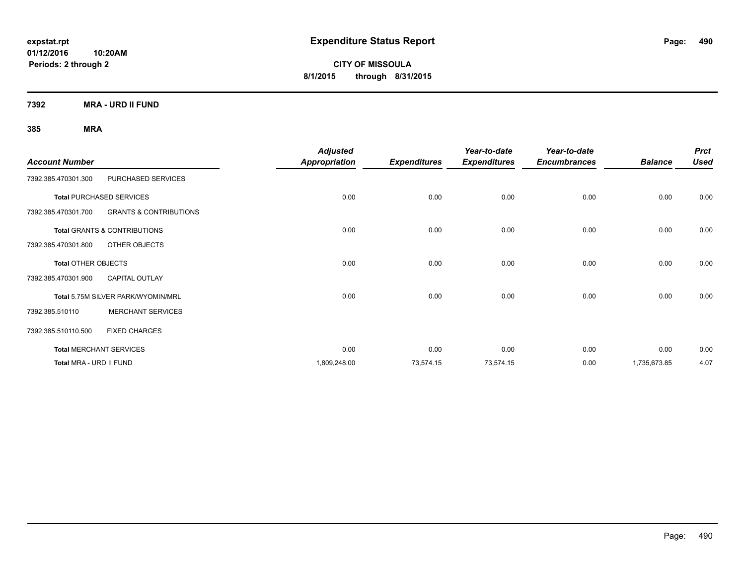**CITY OF MISSOULA 8/1/2015 through 8/31/2015**

**7392 MRA - URD II FUND**

| <b>Account Number</b>      |                                         | <b>Adjusted</b><br>Appropriation | <b>Expenditures</b> | Year-to-date<br><b>Expenditures</b> | Year-to-date<br><b>Encumbrances</b> | <b>Balance</b> | <b>Prct</b><br><b>Used</b> |
|----------------------------|-----------------------------------------|----------------------------------|---------------------|-------------------------------------|-------------------------------------|----------------|----------------------------|
| 7392.385.470301.300        | PURCHASED SERVICES                      |                                  |                     |                                     |                                     |                |                            |
|                            | <b>Total PURCHASED SERVICES</b>         | 0.00                             | 0.00                | 0.00                                | 0.00                                | 0.00           | 0.00                       |
| 7392.385.470301.700        | <b>GRANTS &amp; CONTRIBUTIONS</b>       |                                  |                     |                                     |                                     |                |                            |
|                            | <b>Total GRANTS &amp; CONTRIBUTIONS</b> | 0.00                             | 0.00                | 0.00                                | 0.00                                | 0.00           | 0.00                       |
| 7392.385.470301.800        | OTHER OBJECTS                           |                                  |                     |                                     |                                     |                |                            |
| <b>Total OTHER OBJECTS</b> |                                         | 0.00                             | 0.00                | 0.00                                | 0.00                                | 0.00           | 0.00                       |
| 7392.385.470301.900        | <b>CAPITAL OUTLAY</b>                   |                                  |                     |                                     |                                     |                |                            |
|                            | Total 5.75M SILVER PARK/WYOMIN/MRL      | 0.00                             | 0.00                | 0.00                                | 0.00                                | 0.00           | 0.00                       |
| 7392.385.510110            | <b>MERCHANT SERVICES</b>                |                                  |                     |                                     |                                     |                |                            |
| 7392.385.510110.500        | <b>FIXED CHARGES</b>                    |                                  |                     |                                     |                                     |                |                            |
|                            | <b>Total MERCHANT SERVICES</b>          | 0.00                             | 0.00                | 0.00                                | 0.00                                | 0.00           | 0.00                       |
| Total MRA - URD II FUND    |                                         | 1,809,248.00                     | 73,574.15           | 73,574.15                           | 0.00                                | 1,735,673.85   | 4.07                       |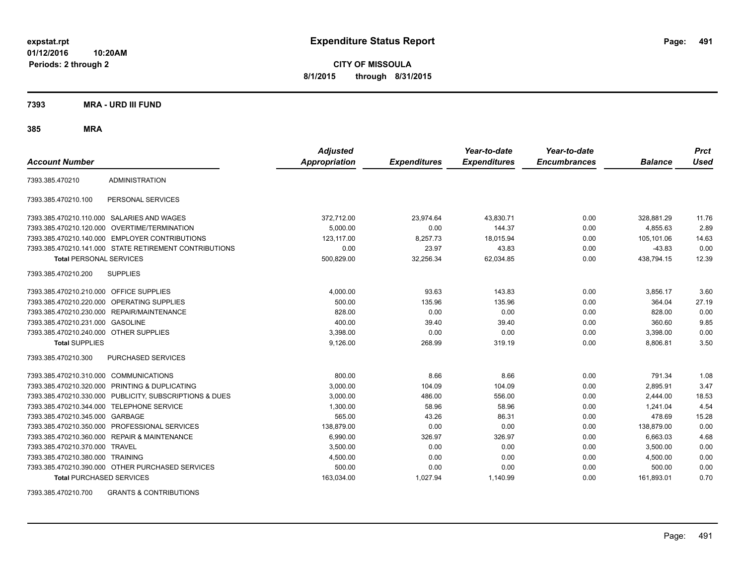**CITY OF MISSOULA 8/1/2015 through 8/31/2015**

**7393 MRA - URD III FUND**

**385 MRA**

| <b>Account Number</b>                     |                                                         | <b>Adjusted</b><br><b>Appropriation</b> | <b>Expenditures</b> | Year-to-date<br><b>Expenditures</b> | Year-to-date<br><b>Encumbrances</b> | <b>Balance</b> | <b>Prct</b><br>Used |
|-------------------------------------------|---------------------------------------------------------|-----------------------------------------|---------------------|-------------------------------------|-------------------------------------|----------------|---------------------|
| 7393.385.470210                           | <b>ADMINISTRATION</b>                                   |                                         |                     |                                     |                                     |                |                     |
| 7393.385.470210.100                       | PERSONAL SERVICES                                       |                                         |                     |                                     |                                     |                |                     |
|                                           | 7393.385.470210.110.000 SALARIES AND WAGES              | 372,712.00                              | 23,974.64           | 43,830.71                           | 0.00                                | 328,881.29     | 11.76               |
|                                           | 7393.385.470210.120.000 OVERTIME/TERMINATION            | 5.000.00                                | 0.00                | 144.37                              | 0.00                                | 4.855.63       | 2.89                |
|                                           | 7393.385.470210.140.000 EMPLOYER CONTRIBUTIONS          | 123,117.00                              | 8,257.73            | 18,015.94                           | 0.00                                | 105,101.06     | 14.63               |
|                                           | 7393.385.470210.141.000 STATE RETIREMENT CONTRIBUTIONS  | 0.00                                    | 23.97               | 43.83                               | 0.00                                | $-43.83$       | 0.00                |
| <b>Total PERSONAL SERVICES</b>            |                                                         | 500,829.00                              | 32,256.34           | 62,034.85                           | 0.00                                | 438,794.15     | 12.39               |
| 7393.385.470210.200                       | <b>SUPPLIES</b>                                         |                                         |                     |                                     |                                     |                |                     |
| 7393.385.470210.210.000 OFFICE SUPPLIES   |                                                         | 4,000.00                                | 93.63               | 143.83                              | 0.00                                | 3,856.17       | 3.60                |
|                                           | 7393.385.470210.220.000 OPERATING SUPPLIES              | 500.00                                  | 135.96              | 135.96                              | 0.00                                | 364.04         | 27.19               |
|                                           | 7393.385.470210.230.000 REPAIR/MAINTENANCE              | 828.00                                  | 0.00                | 0.00                                | 0.00                                | 828.00         | 0.00                |
| 7393.385.470210.231.000 GASOLINE          |                                                         | 400.00                                  | 39.40               | 39.40                               | 0.00                                | 360.60         | 9.85                |
| 7393.385.470210.240.000 OTHER SUPPLIES    |                                                         | 3,398.00                                | 0.00                | 0.00                                | 0.00                                | 3,398.00       | 0.00                |
| <b>Total SUPPLIES</b>                     |                                                         | 9,126.00                                | 268.99              | 319.19                              | 0.00                                | 8,806.81       | 3.50                |
| 7393.385.470210.300                       | <b>PURCHASED SERVICES</b>                               |                                         |                     |                                     |                                     |                |                     |
| 7393.385.470210.310.000 COMMUNICATIONS    |                                                         | 800.00                                  | 8.66                | 8.66                                | 0.00                                | 791.34         | 1.08                |
|                                           | 7393.385.470210.320.000 PRINTING & DUPLICATING          | 3,000.00                                | 104.09              | 104.09                              | 0.00                                | 2,895.91       | 3.47                |
|                                           | 7393.385.470210.330.000 PUBLICITY, SUBSCRIPTIONS & DUES | 3,000.00                                | 486.00              | 556.00                              | 0.00                                | 2,444.00       | 18.53               |
| 7393.385.470210.344.000 TELEPHONE SERVICE |                                                         | 1,300.00                                | 58.96               | 58.96                               | 0.00                                | 1,241.04       | 4.54                |
| 7393.385.470210.345.000 GARBAGE           |                                                         | 565.00                                  | 43.26               | 86.31                               | 0.00                                | 478.69         | 15.28               |
|                                           | 7393.385.470210.350.000 PROFESSIONAL SERVICES           | 138,879.00                              | 0.00                | 0.00                                | 0.00                                | 138,879.00     | 0.00                |
|                                           | 7393.385.470210.360.000 REPAIR & MAINTENANCE            | 6,990.00                                | 326.97              | 326.97                              | 0.00                                | 6,663.03       | 4.68                |
| 7393.385.470210.370.000 TRAVEL            |                                                         | 3,500.00                                | 0.00                | 0.00                                | 0.00                                | 3,500.00       | 0.00                |
| 7393.385.470210.380.000 TRAINING          |                                                         | 4,500.00                                | 0.00                | 0.00                                | 0.00                                | 4,500.00       | 0.00                |
|                                           | 7393.385.470210.390.000 OTHER PURCHASED SERVICES        | 500.00                                  | 0.00                | 0.00                                | 0.00                                | 500.00         | 0.00                |
| <b>Total PURCHASED SERVICES</b>           |                                                         | 163,034.00                              | 1,027.94            | 1,140.99                            | 0.00                                | 161,893.01     | 0.70                |

7393.385.470210.700 GRANTS & CONTRIBUTIONS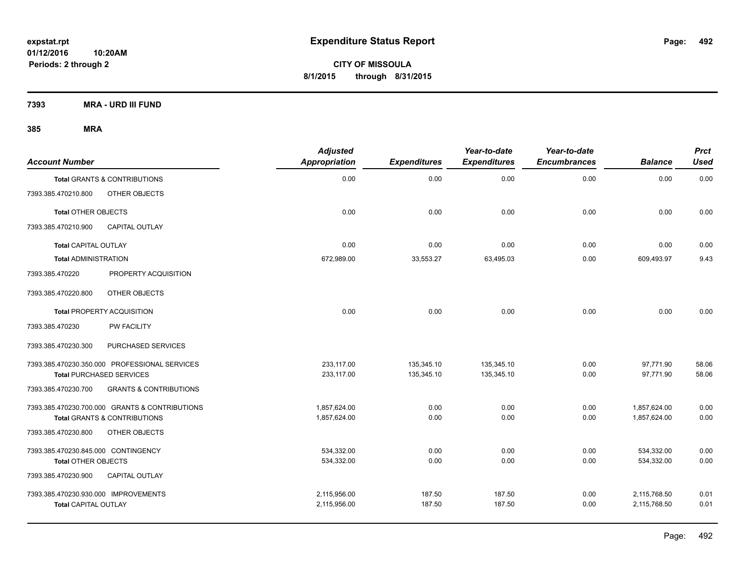**CITY OF MISSOULA 8/1/2015 through 8/31/2015**

**7393 MRA - URD III FUND**

| <b>Account Number</b>                |                                                | <b>Adjusted</b><br><b>Appropriation</b> | <b>Expenditures</b> | Year-to-date<br><b>Expenditures</b> | Year-to-date<br><b>Encumbrances</b> | <b>Balance</b> | <b>Prct</b><br><b>Used</b> |
|--------------------------------------|------------------------------------------------|-----------------------------------------|---------------------|-------------------------------------|-------------------------------------|----------------|----------------------------|
|                                      | <b>Total GRANTS &amp; CONTRIBUTIONS</b>        | 0.00                                    | 0.00                | 0.00                                | 0.00                                | 0.00           | 0.00                       |
| 7393.385.470210.800                  | OTHER OBJECTS                                  |                                         |                     |                                     |                                     |                |                            |
| <b>Total OTHER OBJECTS</b>           |                                                | 0.00                                    | 0.00                | 0.00                                | 0.00                                | 0.00           | 0.00                       |
| 7393.385.470210.900                  | <b>CAPITAL OUTLAY</b>                          |                                         |                     |                                     |                                     |                |                            |
| Total CAPITAL OUTLAY                 |                                                | 0.00                                    | 0.00                | 0.00                                | 0.00                                | 0.00           | 0.00                       |
| <b>Total ADMINISTRATION</b>          |                                                | 672,989.00                              | 33,553.27           | 63,495.03                           | 0.00                                | 609,493.97     | 9.43                       |
| 7393.385.470220                      | PROPERTY ACQUISITION                           |                                         |                     |                                     |                                     |                |                            |
| 7393.385.470220.800                  | OTHER OBJECTS                                  |                                         |                     |                                     |                                     |                |                            |
|                                      | <b>Total PROPERTY ACQUISITION</b>              | 0.00                                    | 0.00                | 0.00                                | 0.00                                | 0.00           | 0.00                       |
| 7393.385.470230                      | <b>PW FACILITY</b>                             |                                         |                     |                                     |                                     |                |                            |
| 7393.385.470230.300                  | PURCHASED SERVICES                             |                                         |                     |                                     |                                     |                |                            |
|                                      | 7393.385.470230.350.000 PROFESSIONAL SERVICES  | 233,117.00                              | 135,345.10          | 135,345.10                          | 0.00                                | 97,771.90      | 58.06                      |
|                                      | <b>Total PURCHASED SERVICES</b>                | 233,117.00                              | 135,345.10          | 135,345.10                          | 0.00                                | 97,771.90      | 58.06                      |
| 7393.385.470230.700                  | <b>GRANTS &amp; CONTRIBUTIONS</b>              |                                         |                     |                                     |                                     |                |                            |
|                                      | 7393.385.470230.700.000 GRANTS & CONTRIBUTIONS | 1,857,624.00                            | 0.00                | 0.00                                | 0.00                                | 1,857,624.00   | 0.00                       |
|                                      | <b>Total GRANTS &amp; CONTRIBUTIONS</b>        | 1.857.624.00                            | 0.00                | 0.00                                | 0.00                                | 1.857.624.00   | 0.00                       |
| 7393.385.470230.800                  | OTHER OBJECTS                                  |                                         |                     |                                     |                                     |                |                            |
| 7393.385.470230.845.000 CONTINGENCY  |                                                | 534,332.00                              | 0.00                | 0.00                                | 0.00                                | 534,332.00     | 0.00                       |
| <b>Total OTHER OBJECTS</b>           |                                                | 534,332.00                              | 0.00                | 0.00                                | 0.00                                | 534,332.00     | 0.00                       |
| 7393.385.470230.900                  | <b>CAPITAL OUTLAY</b>                          |                                         |                     |                                     |                                     |                |                            |
| 7393.385.470230.930.000 IMPROVEMENTS |                                                | 2,115,956.00                            | 187.50              | 187.50                              | 0.00                                | 2,115,768.50   | 0.01                       |
| <b>Total CAPITAL OUTLAY</b>          |                                                | 2,115,956.00                            | 187.50              | 187.50                              | 0.00                                | 2,115,768.50   | 0.01                       |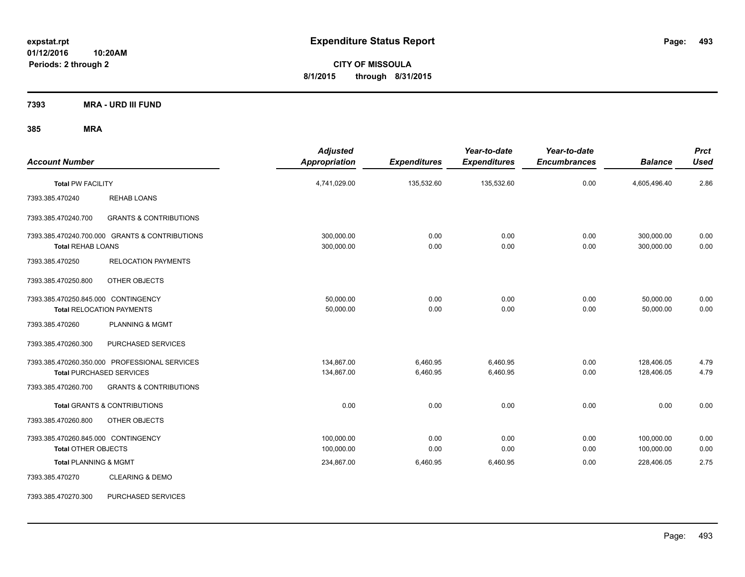**CITY OF MISSOULA 8/1/2015 through 8/31/2015**

**7393 MRA - URD III FUND**

| <b>Account Number</b>                                                      |                                   | <b>Adjusted</b><br><b>Appropriation</b> | <b>Expenditures</b>  | Year-to-date<br><b>Expenditures</b> | Year-to-date<br><b>Encumbrances</b> | <b>Balance</b>           | <b>Prct</b><br><b>Used</b> |
|----------------------------------------------------------------------------|-----------------------------------|-----------------------------------------|----------------------|-------------------------------------|-------------------------------------|--------------------------|----------------------------|
| <b>Total PW FACILITY</b>                                                   |                                   | 4,741,029.00                            | 135,532.60           | 135,532.60                          | 0.00                                | 4,605,496.40             | 2.86                       |
| <b>REHAB LOANS</b><br>7393.385.470240                                      |                                   |                                         |                      |                                     |                                     |                          |                            |
| 7393.385.470240.700                                                        | <b>GRANTS &amp; CONTRIBUTIONS</b> |                                         |                      |                                     |                                     |                          |                            |
| 7393.385.470240.700.000 GRANTS & CONTRIBUTIONS<br><b>Total REHAB LOANS</b> |                                   | 300,000.00<br>300,000.00                | 0.00<br>0.00         | 0.00<br>0.00                        | 0.00<br>0.00                        | 300,000.00<br>300,000.00 | 0.00<br>0.00               |
| 7393.385.470250<br><b>RELOCATION PAYMENTS</b>                              |                                   |                                         |                      |                                     |                                     |                          |                            |
| 7393.385.470250.800<br>OTHER OBJECTS                                       |                                   |                                         |                      |                                     |                                     |                          |                            |
| 7393.385.470250.845.000 CONTINGENCY<br><b>Total RELOCATION PAYMENTS</b>    |                                   | 50,000.00<br>50,000.00                  | 0.00<br>0.00         | 0.00<br>0.00                        | 0.00<br>0.00                        | 50,000.00<br>50,000.00   | 0.00<br>0.00               |
| 7393.385.470260<br>PLANNING & MGMT                                         |                                   |                                         |                      |                                     |                                     |                          |                            |
| 7393.385.470260.300<br>PURCHASED SERVICES                                  |                                   |                                         |                      |                                     |                                     |                          |                            |
| 7393.385.470260.350.000 PROFESSIONAL SERVICES<br>Total PURCHASED SERVICES  |                                   | 134,867.00<br>134,867.00                | 6,460.95<br>6,460.95 | 6,460.95<br>6,460.95                | 0.00<br>0.00                        | 128,406.05<br>128,406.05 | 4.79<br>4.79               |
| 7393.385.470260.700                                                        | <b>GRANTS &amp; CONTRIBUTIONS</b> |                                         |                      |                                     |                                     |                          |                            |
| <b>Total GRANTS &amp; CONTRIBUTIONS</b>                                    |                                   | 0.00                                    | 0.00                 | 0.00                                | 0.00                                | 0.00                     | 0.00                       |
| 7393.385.470260.800<br>OTHER OBJECTS                                       |                                   |                                         |                      |                                     |                                     |                          |                            |
| 7393.385.470260.845.000 CONTINGENCY<br><b>Total OTHER OBJECTS</b>          |                                   | 100,000.00<br>100,000.00                | 0.00<br>0.00         | 0.00<br>0.00                        | 0.00<br>0.00                        | 100,000.00<br>100,000.00 | 0.00<br>0.00               |
| <b>Total PLANNING &amp; MGMT</b>                                           |                                   | 234,867.00                              | 6,460.95             | 6,460.95                            | 0.00                                | 228,406.05               | 2.75                       |
| <b>CLEARING &amp; DEMO</b><br>7393.385.470270                              |                                   |                                         |                      |                                     |                                     |                          |                            |
| 7393.385.470270.300<br>PURCHASED SERVICES                                  |                                   |                                         |                      |                                     |                                     |                          |                            |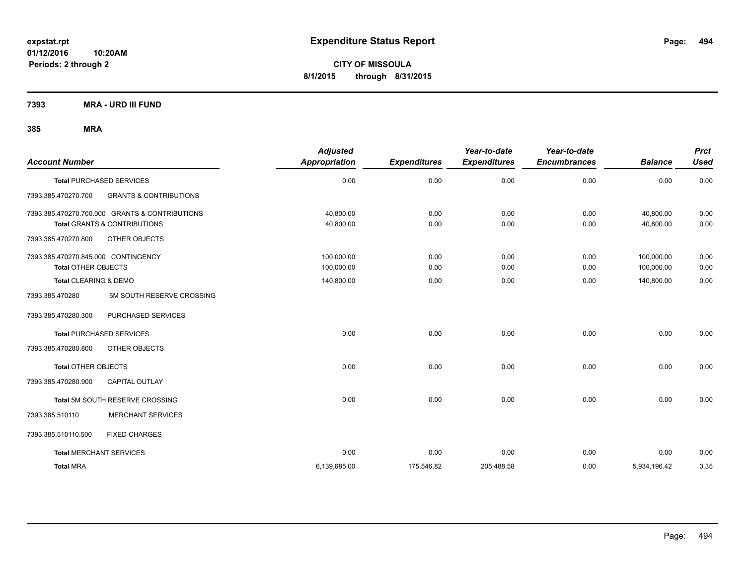**CITY OF MISSOULA 8/1/2015 through 8/31/2015**

**7393 MRA - URD III FUND**

| <b>Account Number</b>               |                                                | <b>Adjusted</b><br>Appropriation | <b>Expenditures</b> | Year-to-date<br><b>Expenditures</b> | Year-to-date<br><b>Encumbrances</b> | <b>Balance</b> | <b>Prct</b><br><b>Used</b> |
|-------------------------------------|------------------------------------------------|----------------------------------|---------------------|-------------------------------------|-------------------------------------|----------------|----------------------------|
|                                     | <b>Total PURCHASED SERVICES</b>                | 0.00                             | 0.00                | 0.00                                | 0.00                                | 0.00           | 0.00                       |
| 7393.385.470270.700                 | <b>GRANTS &amp; CONTRIBUTIONS</b>              |                                  |                     |                                     |                                     |                |                            |
|                                     | 7393.385.470270.700.000 GRANTS & CONTRIBUTIONS | 40,800.00                        | 0.00                | 0.00                                | 0.00                                | 40,800.00      | 0.00                       |
|                                     | <b>Total GRANTS &amp; CONTRIBUTIONS</b>        | 40,800.00                        | 0.00                | 0.00                                | 0.00                                | 40,800.00      | 0.00                       |
| 7393.385.470270.800                 | OTHER OBJECTS                                  |                                  |                     |                                     |                                     |                |                            |
| 7393.385.470270.845.000 CONTINGENCY |                                                | 100,000.00                       | 0.00                | 0.00                                | 0.00                                | 100,000.00     | 0.00                       |
| <b>Total OTHER OBJECTS</b>          |                                                | 100,000.00                       | 0.00                | 0.00                                | 0.00                                | 100,000.00     | 0.00                       |
| Total CLEARING & DEMO               |                                                | 140,800.00                       | 0.00                | 0.00                                | 0.00                                | 140,800.00     | 0.00                       |
| 7393.385.470280                     | 5M SOUTH RESERVE CROSSING                      |                                  |                     |                                     |                                     |                |                            |
| 7393.385.470280.300                 | PURCHASED SERVICES                             |                                  |                     |                                     |                                     |                |                            |
|                                     | Total PURCHASED SERVICES                       | 0.00                             | 0.00                | 0.00                                | 0.00                                | 0.00           | 0.00                       |
| 7393.385.470280.800                 | OTHER OBJECTS                                  |                                  |                     |                                     |                                     |                |                            |
| <b>Total OTHER OBJECTS</b>          |                                                | 0.00                             | 0.00                | 0.00                                | 0.00                                | 0.00           | 0.00                       |
| 7393.385.470280.900                 | <b>CAPITAL OUTLAY</b>                          |                                  |                     |                                     |                                     |                |                            |
|                                     | Total 5M SOUTH RESERVE CROSSING                | 0.00                             | 0.00                | 0.00                                | 0.00                                | 0.00           | 0.00                       |
| 7393.385.510110                     | <b>MERCHANT SERVICES</b>                       |                                  |                     |                                     |                                     |                |                            |
| 7393.385.510110.500                 | <b>FIXED CHARGES</b>                           |                                  |                     |                                     |                                     |                |                            |
| <b>Total MERCHANT SERVICES</b>      |                                                | 0.00                             | 0.00                | 0.00                                | 0.00                                | 0.00           | 0.00                       |
| <b>Total MRA</b>                    |                                                | 6,139,685.00                     | 175,546.82          | 205,488.58                          | 0.00                                | 5,934,196.42   | 3.35                       |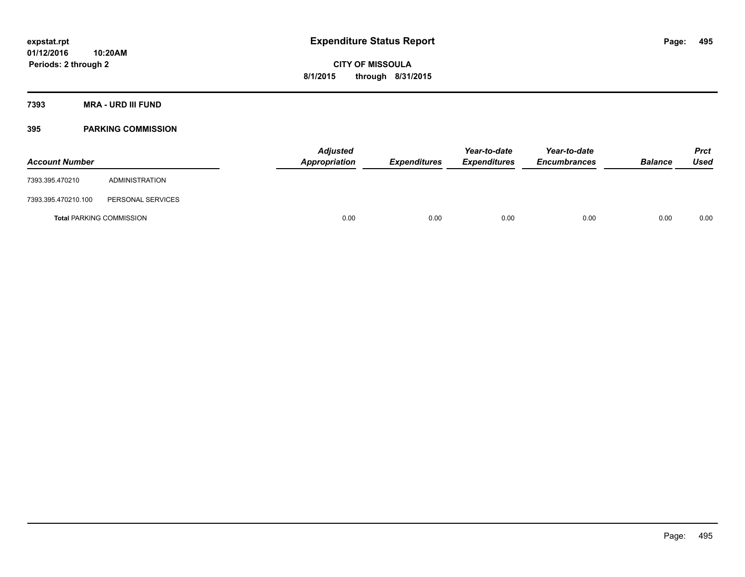**Periods: 2 through 2**

**CITY OF MISSOULA 8/1/2015 through 8/31/2015**

**7393 MRA - URD III FUND**

## **395 PARKING COMMISSION**

| <b>Account Number</b>           |                   | <b>Adjusted</b><br>Appropriation | <b>Expenditures</b> | Year-to-date<br><b>Expenditures</b> | Year-to-date<br><b>Encumbrances</b> | <b>Balance</b> | <b>Prct</b><br><b>Used</b> |
|---------------------------------|-------------------|----------------------------------|---------------------|-------------------------------------|-------------------------------------|----------------|----------------------------|
| 7393.395.470210                 | ADMINISTRATION    |                                  |                     |                                     |                                     |                |                            |
| 7393.395.470210.100             | PERSONAL SERVICES |                                  |                     |                                     |                                     |                |                            |
| <b>Total PARKING COMMISSION</b> |                   | 0.00                             | 0.00                | 0.00                                | 0.00                                | 0.00           | 0.00                       |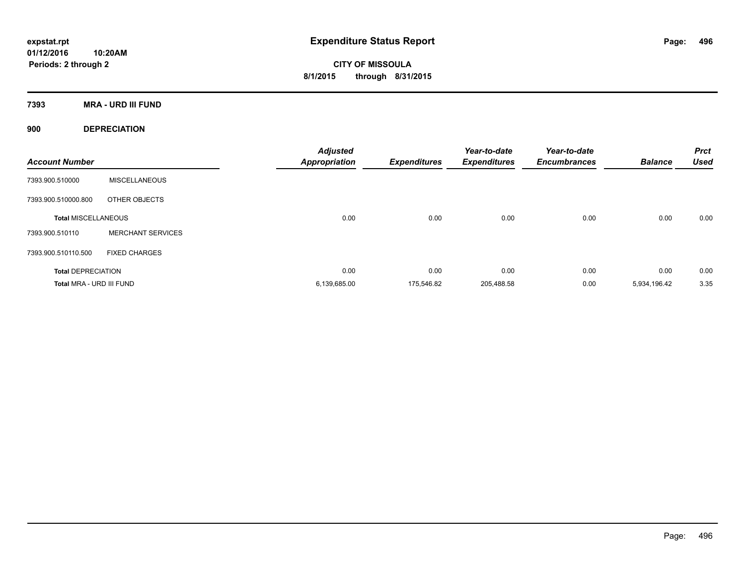**CITY OF MISSOULA 8/1/2015 through 8/31/2015**

**7393 MRA - URD III FUND**

**900 DEPRECIATION**

| <b>Account Number</b>      |                          | <b>Adjusted</b><br><b>Appropriation</b> | <b>Expenditures</b> | Year-to-date<br><b>Expenditures</b> | Year-to-date<br><b>Encumbrances</b> | <b>Balance</b> | <b>Prct</b><br><b>Used</b> |
|----------------------------|--------------------------|-----------------------------------------|---------------------|-------------------------------------|-------------------------------------|----------------|----------------------------|
| 7393.900.510000            | <b>MISCELLANEOUS</b>     |                                         |                     |                                     |                                     |                |                            |
| 7393.900.510000.800        | OTHER OBJECTS            |                                         |                     |                                     |                                     |                |                            |
| <b>Total MISCELLANEOUS</b> |                          | 0.00                                    | 0.00                | 0.00                                | 0.00                                | 0.00           | 0.00                       |
| 7393.900.510110            | <b>MERCHANT SERVICES</b> |                                         |                     |                                     |                                     |                |                            |
| 7393.900.510110.500        | <b>FIXED CHARGES</b>     |                                         |                     |                                     |                                     |                |                            |
| <b>Total DEPRECIATION</b>  |                          | 0.00                                    | 0.00                | 0.00                                | 0.00                                | 0.00           | 0.00                       |
| Total MRA - URD III FUND   |                          | 6,139,685.00                            | 175.546.82          | 205.488.58                          | 0.00                                | 5,934,196.42   | 3.35                       |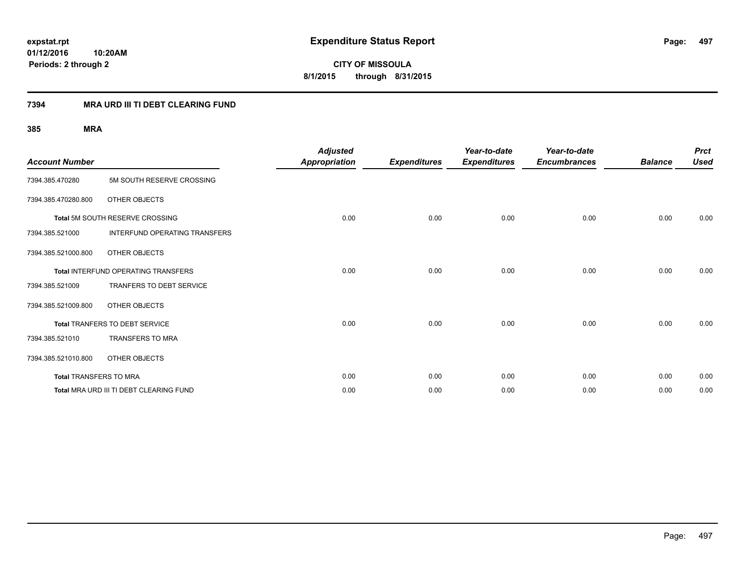**CITY OF MISSOULA 8/1/2015 through 8/31/2015**

## **7394 MRA URD III TI DEBT CLEARING FUND**

| <b>Account Number</b>         |                                            | <b>Adjusted</b><br><b>Appropriation</b> | <b>Expenditures</b> | Year-to-date<br><b>Expenditures</b> | Year-to-date<br><b>Encumbrances</b> | <b>Balance</b> | <b>Prct</b><br><b>Used</b> |
|-------------------------------|--------------------------------------------|-----------------------------------------|---------------------|-------------------------------------|-------------------------------------|----------------|----------------------------|
| 7394.385.470280               | 5M SOUTH RESERVE CROSSING                  |                                         |                     |                                     |                                     |                |                            |
| 7394.385.470280.800           | OTHER OBJECTS                              |                                         |                     |                                     |                                     |                |                            |
|                               | Total 5M SOUTH RESERVE CROSSING            | 0.00                                    | 0.00                | 0.00                                | 0.00                                | 0.00           | 0.00                       |
| 7394.385.521000               | <b>INTERFUND OPERATING TRANSFERS</b>       |                                         |                     |                                     |                                     |                |                            |
| 7394.385.521000.800           | OTHER OBJECTS                              |                                         |                     |                                     |                                     |                |                            |
|                               | <b>Total INTERFUND OPERATING TRANSFERS</b> | 0.00                                    | 0.00                | 0.00                                | 0.00                                | 0.00           | 0.00                       |
| 7394.385.521009               | TRANFERS TO DEBT SERVICE                   |                                         |                     |                                     |                                     |                |                            |
| 7394.385.521009.800           | OTHER OBJECTS                              |                                         |                     |                                     |                                     |                |                            |
|                               | <b>Total TRANFERS TO DEBT SERVICE</b>      | 0.00                                    | 0.00                | 0.00                                | 0.00                                | 0.00           | 0.00                       |
| 7394.385.521010               | TRANSFERS TO MRA                           |                                         |                     |                                     |                                     |                |                            |
| 7394.385.521010.800           | OTHER OBJECTS                              |                                         |                     |                                     |                                     |                |                            |
| <b>Total TRANSFERS TO MRA</b> |                                            | 0.00                                    | 0.00                | 0.00                                | 0.00                                | 0.00           | 0.00                       |
|                               | Total MRA URD III TI DEBT CLEARING FUND    | 0.00                                    | 0.00                | 0.00                                | 0.00                                | 0.00           | 0.00                       |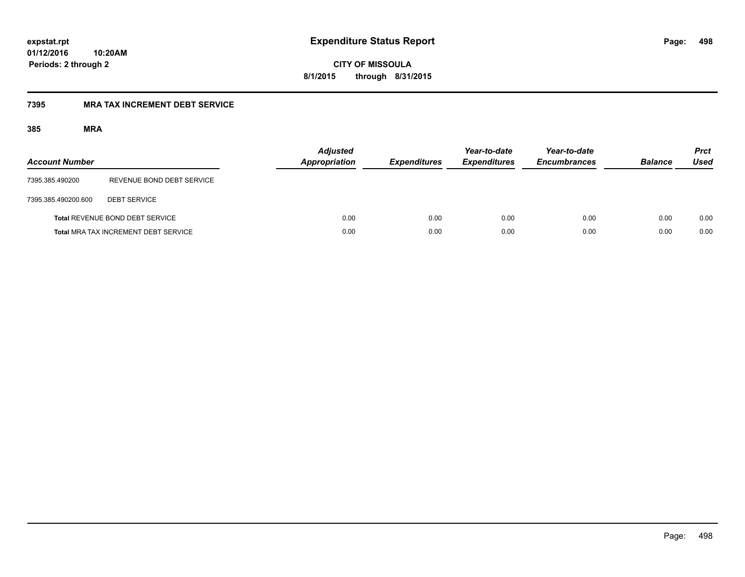**CITY OF MISSOULA 8/1/2015 through 8/31/2015**

## **7395 MRA TAX INCREMENT DEBT SERVICE**

| <b>Account Number</b> |                                             | <b>Adjusted</b><br>Appropriation | <b>Expenditures</b> | Year-to-date<br><b>Expenditures</b> | Year-to-date<br><b>Encumbrances</b> | <b>Balance</b> | <b>Prct</b><br><b>Used</b> |
|-----------------------|---------------------------------------------|----------------------------------|---------------------|-------------------------------------|-------------------------------------|----------------|----------------------------|
| 7395.385.490200       | REVENUE BOND DEBT SERVICE                   |                                  |                     |                                     |                                     |                |                            |
| 7395.385.490200.600   | <b>DEBT SERVICE</b>                         |                                  |                     |                                     |                                     |                |                            |
|                       | Total REVENUE BOND DEBT SERVICE             | 0.00                             | 0.00                | 0.00                                | 0.00                                | 0.00           | 0.00                       |
|                       | <b>Total MRA TAX INCREMENT DEBT SERVICE</b> | 0.00                             | 0.00                | 0.00                                | 0.00                                | 0.00           | 0.00                       |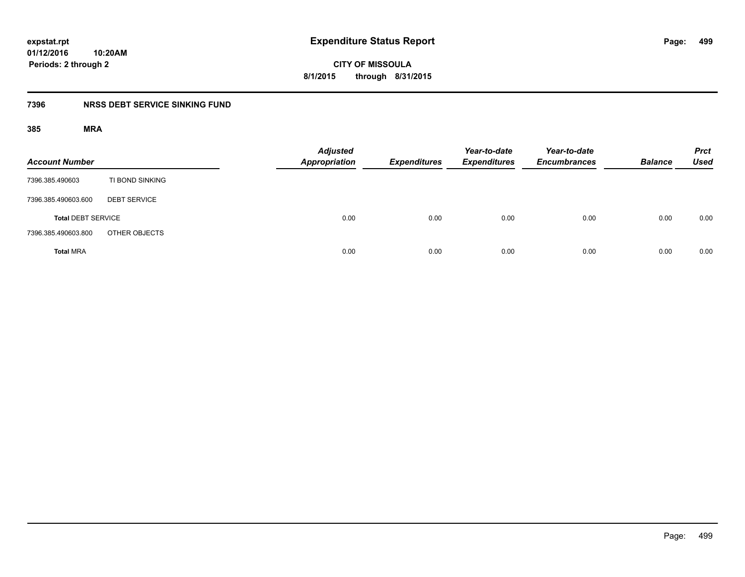# **CITY OF MISSOULA 8/1/2015 through 8/31/2015**

## **7396 NRSS DEBT SERVICE SINKING FUND**

| <b>Account Number</b>     |                     | Adjusted<br>Appropriation | <b>Expenditures</b> | Year-to-date<br><b>Expenditures</b> | Year-to-date<br><b>Encumbrances</b> | <b>Balance</b> | <b>Prct</b><br><b>Used</b> |
|---------------------------|---------------------|---------------------------|---------------------|-------------------------------------|-------------------------------------|----------------|----------------------------|
| 7396.385.490603           | TI BOND SINKING     |                           |                     |                                     |                                     |                |                            |
| 7396.385.490603.600       | <b>DEBT SERVICE</b> |                           |                     |                                     |                                     |                |                            |
| <b>Total DEBT SERVICE</b> |                     | 0.00                      | 0.00                | 0.00                                | 0.00                                | 0.00           | 0.00                       |
| 7396.385.490603.800       | OTHER OBJECTS       |                           |                     |                                     |                                     |                |                            |
| <b>Total MRA</b>          |                     | 0.00                      | 0.00                | 0.00                                | 0.00                                | 0.00           | 0.00                       |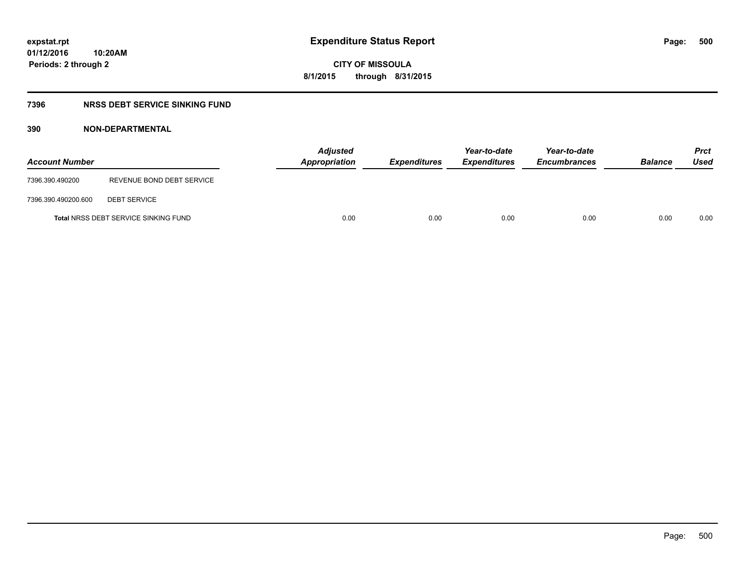**CITY OF MISSOULA 8/1/2015 through 8/31/2015**

## **7396 NRSS DEBT SERVICE SINKING FUND**

| <b>Account Number</b> |                                             | Appropriation | <b>Adjusted</b> | <b>Expenditures</b> | Year-to-date<br><b>Expenditures</b> | Year-to-date<br><b>Encumbrances</b> | <b>Balance</b> | <b>Prct</b><br>Used |
|-----------------------|---------------------------------------------|---------------|-----------------|---------------------|-------------------------------------|-------------------------------------|----------------|---------------------|
| 7396.390.490200       | REVENUE BOND DEBT SERVICE                   |               |                 |                     |                                     |                                     |                |                     |
| 7396.390.490200.600   | <b>DEBT SERVICE</b>                         |               |                 |                     |                                     |                                     |                |                     |
|                       | <b>Total NRSS DEBT SERVICE SINKING FUND</b> |               | 0.00            | 0.00                | 0.00                                | 0.00                                | 0.00           | 0.00                |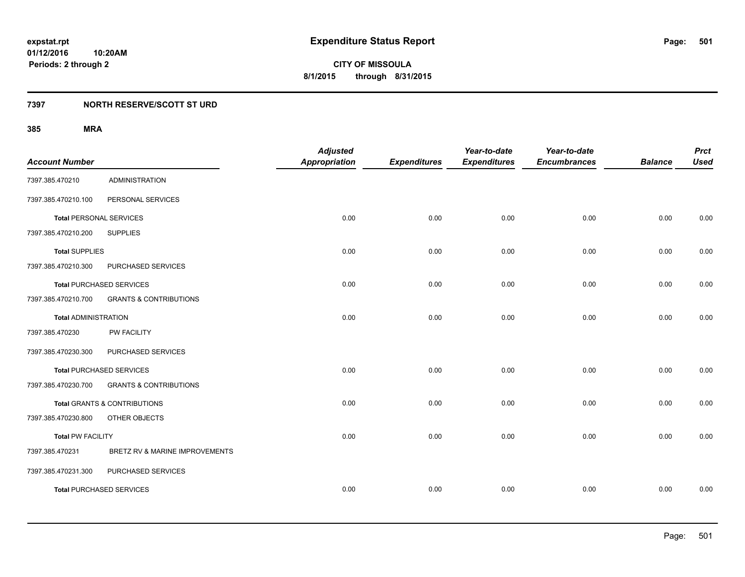**501**

**01/12/2016 10:20AM Periods: 2 through 2**

**CITY OF MISSOULA 8/1/2015 through 8/31/2015**

## **7397 NORTH RESERVE/SCOTT ST URD**

| <b>Account Number</b>          |                                         | <b>Adjusted</b><br><b>Appropriation</b> | <b>Expenditures</b> | Year-to-date<br><b>Expenditures</b> | Year-to-date<br><b>Encumbrances</b> | <b>Balance</b> | <b>Prct</b><br><b>Used</b> |
|--------------------------------|-----------------------------------------|-----------------------------------------|---------------------|-------------------------------------|-------------------------------------|----------------|----------------------------|
| 7397.385.470210                | <b>ADMINISTRATION</b>                   |                                         |                     |                                     |                                     |                |                            |
| 7397.385.470210.100            | PERSONAL SERVICES                       |                                         |                     |                                     |                                     |                |                            |
| <b>Total PERSONAL SERVICES</b> |                                         | 0.00                                    | 0.00                | 0.00                                | 0.00                                | 0.00           | 0.00                       |
| 7397.385.470210.200            | <b>SUPPLIES</b>                         |                                         |                     |                                     |                                     |                |                            |
| <b>Total SUPPLIES</b>          |                                         | 0.00                                    | 0.00                | 0.00                                | 0.00                                | 0.00           | 0.00                       |
| 7397.385.470210.300            | PURCHASED SERVICES                      |                                         |                     |                                     |                                     |                |                            |
|                                | <b>Total PURCHASED SERVICES</b>         | 0.00                                    | 0.00                | 0.00                                | 0.00                                | 0.00           | 0.00                       |
| 7397.385.470210.700            | <b>GRANTS &amp; CONTRIBUTIONS</b>       |                                         |                     |                                     |                                     |                |                            |
| <b>Total ADMINISTRATION</b>    |                                         | 0.00                                    | 0.00                | 0.00                                | 0.00                                | 0.00           | 0.00                       |
| 7397.385.470230                | <b>PW FACILITY</b>                      |                                         |                     |                                     |                                     |                |                            |
| 7397.385.470230.300            | PURCHASED SERVICES                      |                                         |                     |                                     |                                     |                |                            |
|                                | <b>Total PURCHASED SERVICES</b>         | 0.00                                    | 0.00                | 0.00                                | 0.00                                | 0.00           | 0.00                       |
| 7397.385.470230.700            | <b>GRANTS &amp; CONTRIBUTIONS</b>       |                                         |                     |                                     |                                     |                |                            |
|                                | <b>Total GRANTS &amp; CONTRIBUTIONS</b> | 0.00                                    | 0.00                | 0.00                                | 0.00                                | 0.00           | 0.00                       |
| 7397.385.470230.800            | OTHER OBJECTS                           |                                         |                     |                                     |                                     |                |                            |
| <b>Total PW FACILITY</b>       |                                         | 0.00                                    | 0.00                | 0.00                                | 0.00                                | 0.00           | 0.00                       |
| 7397.385.470231                | BRETZ RV & MARINE IMPROVEMENTS          |                                         |                     |                                     |                                     |                |                            |
| 7397.385.470231.300            | PURCHASED SERVICES                      |                                         |                     |                                     |                                     |                |                            |
|                                | <b>Total PURCHASED SERVICES</b>         | 0.00                                    | 0.00                | 0.00                                | 0.00                                | 0.00           | 0.00                       |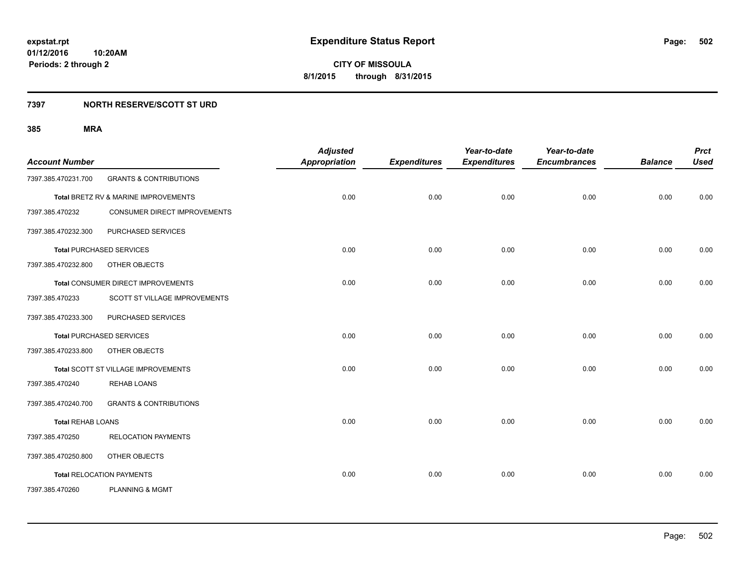## **7397 NORTH RESERVE/SCOTT ST URD**

| <b>Account Number</b>    |                                      | <b>Adjusted</b><br><b>Appropriation</b> | <b>Expenditures</b> | Year-to-date<br><b>Expenditures</b> | Year-to-date<br><b>Encumbrances</b> | <b>Balance</b> | <b>Prct</b><br><b>Used</b> |
|--------------------------|--------------------------------------|-----------------------------------------|---------------------|-------------------------------------|-------------------------------------|----------------|----------------------------|
| 7397.385.470231.700      | <b>GRANTS &amp; CONTRIBUTIONS</b>    |                                         |                     |                                     |                                     |                |                            |
|                          | Total BRETZ RV & MARINE IMPROVEMENTS | 0.00                                    | 0.00                | 0.00                                | 0.00                                | 0.00           | 0.00                       |
| 7397.385.470232          | CONSUMER DIRECT IMPROVEMENTS         |                                         |                     |                                     |                                     |                |                            |
| 7397.385.470232.300      | PURCHASED SERVICES                   |                                         |                     |                                     |                                     |                |                            |
|                          | <b>Total PURCHASED SERVICES</b>      | 0.00                                    | 0.00                | 0.00                                | 0.00                                | 0.00           | 0.00                       |
| 7397.385.470232.800      | OTHER OBJECTS                        |                                         |                     |                                     |                                     |                |                            |
|                          | Total CONSUMER DIRECT IMPROVEMENTS   | 0.00                                    | 0.00                | 0.00                                | 0.00                                | 0.00           | 0.00                       |
| 7397.385.470233          | SCOTT ST VILLAGE IMPROVEMENTS        |                                         |                     |                                     |                                     |                |                            |
| 7397.385.470233.300      | PURCHASED SERVICES                   |                                         |                     |                                     |                                     |                |                            |
|                          | <b>Total PURCHASED SERVICES</b>      | 0.00                                    | 0.00                | 0.00                                | 0.00                                | 0.00           | 0.00                       |
| 7397.385.470233.800      | OTHER OBJECTS                        |                                         |                     |                                     |                                     |                |                            |
|                          | Total SCOTT ST VILLAGE IMPROVEMENTS  | 0.00                                    | 0.00                | 0.00                                | 0.00                                | 0.00           | 0.00                       |
| 7397.385.470240          | <b>REHAB LOANS</b>                   |                                         |                     |                                     |                                     |                |                            |
| 7397.385.470240.700      | <b>GRANTS &amp; CONTRIBUTIONS</b>    |                                         |                     |                                     |                                     |                |                            |
| <b>Total REHAB LOANS</b> |                                      | 0.00                                    | 0.00                | 0.00                                | 0.00                                | 0.00           | 0.00                       |
| 7397.385.470250          | <b>RELOCATION PAYMENTS</b>           |                                         |                     |                                     |                                     |                |                            |
| 7397.385.470250.800      | OTHER OBJECTS                        |                                         |                     |                                     |                                     |                |                            |
|                          | <b>Total RELOCATION PAYMENTS</b>     | 0.00                                    | 0.00                | 0.00                                | 0.00                                | 0.00           | 0.00                       |
| 7397.385.470260          | <b>PLANNING &amp; MGMT</b>           |                                         |                     |                                     |                                     |                |                            |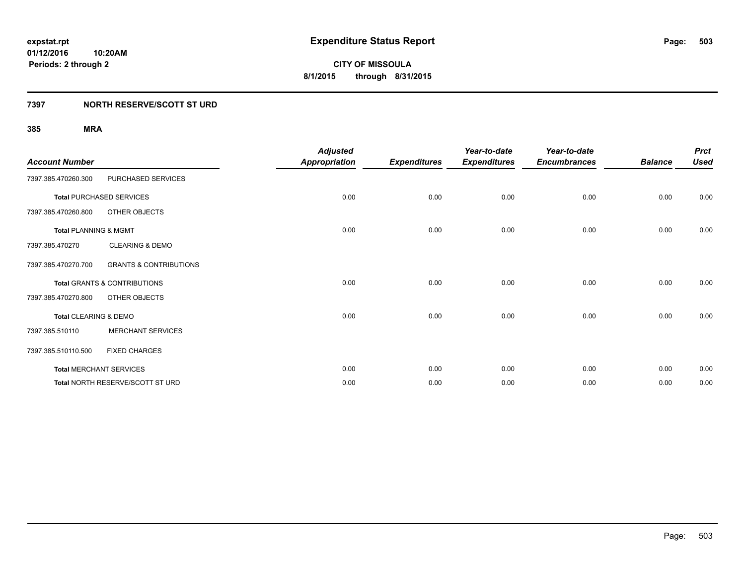## **7397 NORTH RESERVE/SCOTT ST URD**

| <b>Account Number</b>            |                                         | <b>Adjusted</b><br><b>Appropriation</b> | <b>Expenditures</b> | Year-to-date<br><b>Expenditures</b> | Year-to-date<br><b>Encumbrances</b> | <b>Balance</b> | <b>Prct</b><br><b>Used</b> |
|----------------------------------|-----------------------------------------|-----------------------------------------|---------------------|-------------------------------------|-------------------------------------|----------------|----------------------------|
| 7397.385.470260.300              | PURCHASED SERVICES                      |                                         |                     |                                     |                                     |                |                            |
|                                  | <b>Total PURCHASED SERVICES</b>         | 0.00                                    | 0.00                | 0.00                                | 0.00                                | 0.00           | 0.00                       |
| 7397.385.470260.800              | <b>OTHER OBJECTS</b>                    |                                         |                     |                                     |                                     |                |                            |
| <b>Total PLANNING &amp; MGMT</b> |                                         | 0.00                                    | 0.00                | 0.00                                | 0.00                                | 0.00           | 0.00                       |
| 7397.385.470270                  | <b>CLEARING &amp; DEMO</b>              |                                         |                     |                                     |                                     |                |                            |
| 7397.385.470270.700              | <b>GRANTS &amp; CONTRIBUTIONS</b>       |                                         |                     |                                     |                                     |                |                            |
|                                  | <b>Total GRANTS &amp; CONTRIBUTIONS</b> | 0.00                                    | 0.00                | 0.00                                | 0.00                                | 0.00           | 0.00                       |
| 7397.385.470270.800              | <b>OTHER OBJECTS</b>                    |                                         |                     |                                     |                                     |                |                            |
| Total CLEARING & DEMO            |                                         | 0.00                                    | 0.00                | 0.00                                | 0.00                                | 0.00           | 0.00                       |
| 7397.385.510110                  | <b>MERCHANT SERVICES</b>                |                                         |                     |                                     |                                     |                |                            |
| 7397.385.510110.500              | <b>FIXED CHARGES</b>                    |                                         |                     |                                     |                                     |                |                            |
| <b>Total MERCHANT SERVICES</b>   |                                         | 0.00                                    | 0.00                | 0.00                                | 0.00                                | 0.00           | 0.00                       |
|                                  | Total NORTH RESERVE/SCOTT ST URD        | 0.00                                    | 0.00                | 0.00                                | 0.00                                | 0.00           | 0.00                       |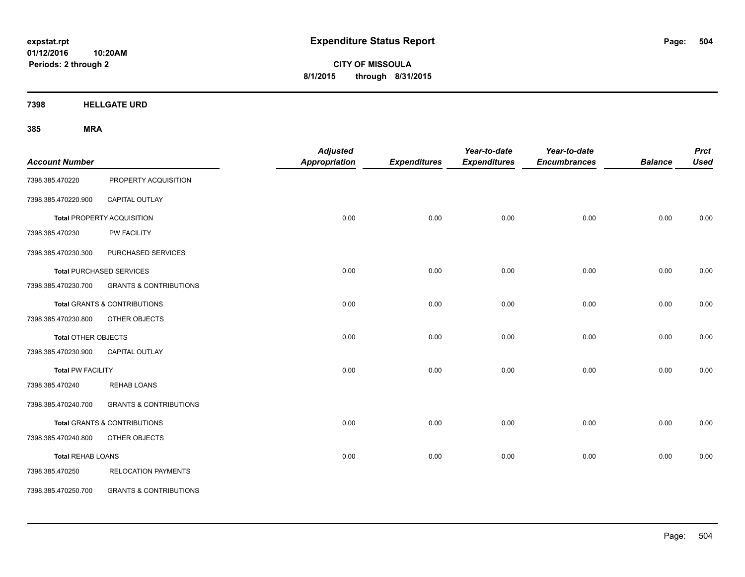**CITY OF MISSOULA 8/1/2015 through 8/31/2015**

**7398 HELLGATE URD**

| <b>Account Number</b>      |                                         | <b>Adjusted</b><br>Appropriation | <b>Expenditures</b> | Year-to-date<br><b>Expenditures</b> | Year-to-date<br><b>Encumbrances</b> | <b>Balance</b> | <b>Prct</b><br><b>Used</b> |
|----------------------------|-----------------------------------------|----------------------------------|---------------------|-------------------------------------|-------------------------------------|----------------|----------------------------|
| 7398.385.470220            | PROPERTY ACQUISITION                    |                                  |                     |                                     |                                     |                |                            |
| 7398.385.470220.900        | CAPITAL OUTLAY                          |                                  |                     |                                     |                                     |                |                            |
|                            | <b>Total PROPERTY ACQUISITION</b>       | 0.00                             | 0.00                | 0.00                                | 0.00                                | 0.00           | 0.00                       |
| 7398.385.470230            | PW FACILITY                             |                                  |                     |                                     |                                     |                |                            |
| 7398.385.470230.300        | PURCHASED SERVICES                      |                                  |                     |                                     |                                     |                |                            |
|                            | <b>Total PURCHASED SERVICES</b>         | 0.00                             | 0.00                | 0.00                                | 0.00                                | 0.00           | 0.00                       |
| 7398.385.470230.700        | <b>GRANTS &amp; CONTRIBUTIONS</b>       |                                  |                     |                                     |                                     |                |                            |
|                            | Total GRANTS & CONTRIBUTIONS            | 0.00                             | 0.00                | 0.00                                | 0.00                                | 0.00           | 0.00                       |
| 7398.385.470230.800        | OTHER OBJECTS                           |                                  |                     |                                     |                                     |                |                            |
| <b>Total OTHER OBJECTS</b> |                                         | 0.00                             | 0.00                | 0.00                                | 0.00                                | 0.00           | 0.00                       |
| 7398.385.470230.900        | <b>CAPITAL OUTLAY</b>                   |                                  |                     |                                     |                                     |                |                            |
| <b>Total PW FACILITY</b>   |                                         | 0.00                             | 0.00                | 0.00                                | 0.00                                | 0.00           | 0.00                       |
| 7398.385.470240            | <b>REHAB LOANS</b>                      |                                  |                     |                                     |                                     |                |                            |
| 7398.385.470240.700        | <b>GRANTS &amp; CONTRIBUTIONS</b>       |                                  |                     |                                     |                                     |                |                            |
|                            | <b>Total GRANTS &amp; CONTRIBUTIONS</b> | 0.00                             | 0.00                | 0.00                                | 0.00                                | 0.00           | 0.00                       |
| 7398.385.470240.800        | OTHER OBJECTS                           |                                  |                     |                                     |                                     |                |                            |
| <b>Total REHAB LOANS</b>   |                                         | 0.00                             | 0.00                | 0.00                                | 0.00                                | 0.00           | 0.00                       |
| 7398.385.470250            | <b>RELOCATION PAYMENTS</b>              |                                  |                     |                                     |                                     |                |                            |
| 7398.385.470250.700        | <b>GRANTS &amp; CONTRIBUTIONS</b>       |                                  |                     |                                     |                                     |                |                            |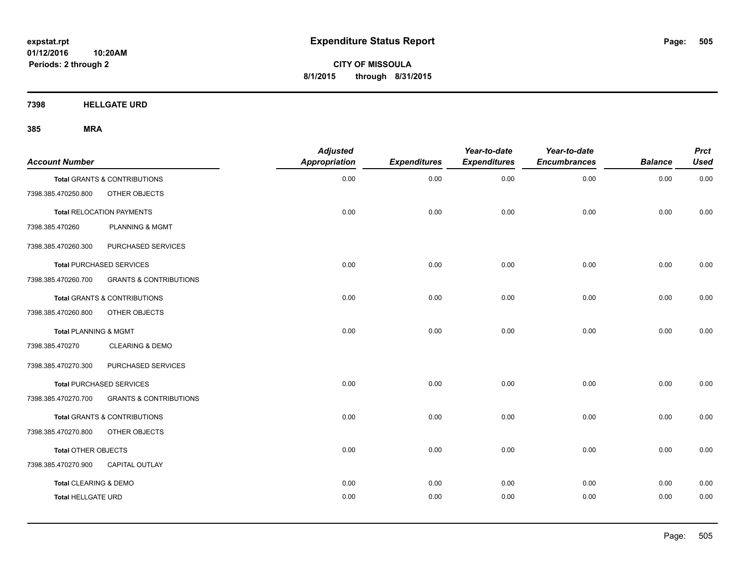**CITY OF MISSOULA 8/1/2015 through 8/31/2015**

**7398 HELLGATE URD**

| <b>Account Number</b>     |                                   | <b>Adjusted</b><br>Appropriation | <b>Expenditures</b> | Year-to-date<br><b>Expenditures</b> | Year-to-date<br><b>Encumbrances</b> | <b>Balance</b> | <b>Prct</b><br><b>Used</b> |
|---------------------------|-----------------------------------|----------------------------------|---------------------|-------------------------------------|-------------------------------------|----------------|----------------------------|
|                           | Total GRANTS & CONTRIBUTIONS      | 0.00                             | 0.00                | 0.00                                | 0.00                                | 0.00           | 0.00                       |
| 7398.385.470250.800       | OTHER OBJECTS                     |                                  |                     |                                     |                                     |                |                            |
|                           | <b>Total RELOCATION PAYMENTS</b>  | 0.00                             | 0.00                | 0.00                                | 0.00                                | 0.00           | 0.00                       |
| 7398.385.470260           | <b>PLANNING &amp; MGMT</b>        |                                  |                     |                                     |                                     |                |                            |
| 7398.385.470260.300       | PURCHASED SERVICES                |                                  |                     |                                     |                                     |                |                            |
|                           | <b>Total PURCHASED SERVICES</b>   | 0.00                             | 0.00                | 0.00                                | 0.00                                | 0.00           | 0.00                       |
| 7398.385.470260.700       | <b>GRANTS &amp; CONTRIBUTIONS</b> |                                  |                     |                                     |                                     |                |                            |
|                           | Total GRANTS & CONTRIBUTIONS      | 0.00                             | 0.00                | 0.00                                | 0.00                                | 0.00           | 0.00                       |
| 7398.385.470260.800       | OTHER OBJECTS                     |                                  |                     |                                     |                                     |                |                            |
| Total PLANNING & MGMT     |                                   | 0.00                             | 0.00                | 0.00                                | 0.00                                | 0.00           | 0.00                       |
| 7398.385.470270           | <b>CLEARING &amp; DEMO</b>        |                                  |                     |                                     |                                     |                |                            |
| 7398.385.470270.300       | PURCHASED SERVICES                |                                  |                     |                                     |                                     |                |                            |
|                           | <b>Total PURCHASED SERVICES</b>   | 0.00                             | 0.00                | 0.00                                | 0.00                                | 0.00           | 0.00                       |
| 7398.385.470270.700       | <b>GRANTS &amp; CONTRIBUTIONS</b> |                                  |                     |                                     |                                     |                |                            |
|                           | Total GRANTS & CONTRIBUTIONS      | 0.00                             | 0.00                | 0.00                                | 0.00                                | 0.00           | 0.00                       |
| 7398.385.470270.800       | OTHER OBJECTS                     |                                  |                     |                                     |                                     |                |                            |
| Total OTHER OBJECTS       |                                   | 0.00                             | 0.00                | 0.00                                | 0.00                                | 0.00           | 0.00                       |
| 7398.385.470270.900       | <b>CAPITAL OUTLAY</b>             |                                  |                     |                                     |                                     |                |                            |
| Total CLEARING & DEMO     |                                   | 0.00                             | 0.00                | 0.00                                | 0.00                                | 0.00           | 0.00                       |
| <b>Total HELLGATE URD</b> |                                   | 0.00                             | 0.00                | 0.00                                | 0.00                                | 0.00           | 0.00                       |
|                           |                                   |                                  |                     |                                     |                                     |                |                            |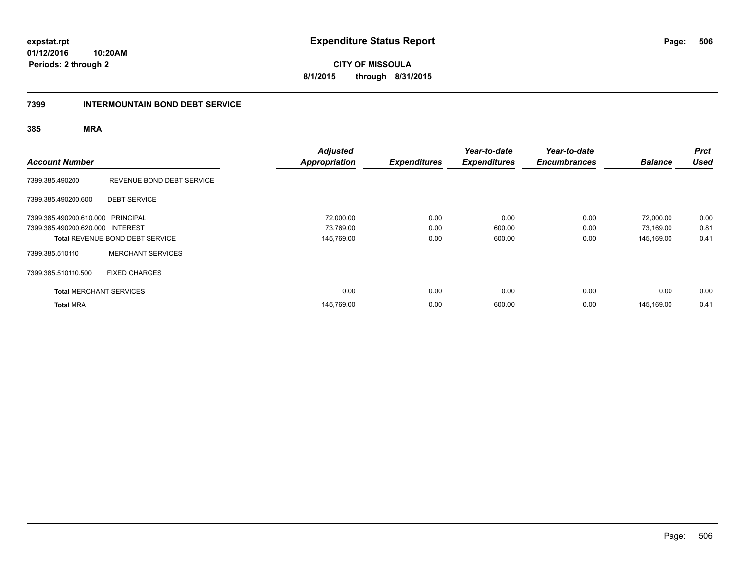**CITY OF MISSOULA 8/1/2015 through 8/31/2015**

#### **7399 INTERMOUNTAIN BOND DEBT SERVICE**

| <b>Account Number</b>             |                                        | <b>Adjusted</b><br><b>Appropriation</b> | <b>Expenditures</b> | Year-to-date<br><b>Expenditures</b> | Year-to-date<br><b>Encumbrances</b> | <b>Balance</b> | <b>Prct</b><br><b>Used</b> |
|-----------------------------------|----------------------------------------|-----------------------------------------|---------------------|-------------------------------------|-------------------------------------|----------------|----------------------------|
| 7399.385.490200                   | REVENUE BOND DEBT SERVICE              |                                         |                     |                                     |                                     |                |                            |
| 7399.385.490200.600               | <b>DEBT SERVICE</b>                    |                                         |                     |                                     |                                     |                |                            |
| 7399.385.490200.610.000 PRINCIPAL |                                        | 72,000.00                               | 0.00                | 0.00                                | 0.00                                | 72,000.00      | 0.00                       |
| 7399.385.490200.620.000 INTEREST  |                                        | 73,769.00                               | 0.00                | 600.00                              | 0.00                                | 73,169.00      | 0.81                       |
|                                   | <b>Total REVENUE BOND DEBT SERVICE</b> | 145,769.00                              | 0.00                | 600.00                              | 0.00                                | 145,169.00     | 0.41                       |
| 7399.385.510110                   | <b>MERCHANT SERVICES</b>               |                                         |                     |                                     |                                     |                |                            |
| 7399.385.510110.500               | <b>FIXED CHARGES</b>                   |                                         |                     |                                     |                                     |                |                            |
| <b>Total MERCHANT SERVICES</b>    |                                        | 0.00                                    | 0.00                | 0.00                                | 0.00                                | 0.00           | 0.00                       |
| <b>Total MRA</b>                  |                                        | 145,769.00                              | 0.00                | 600.00                              | 0.00                                | 145.169.00     | 0.41                       |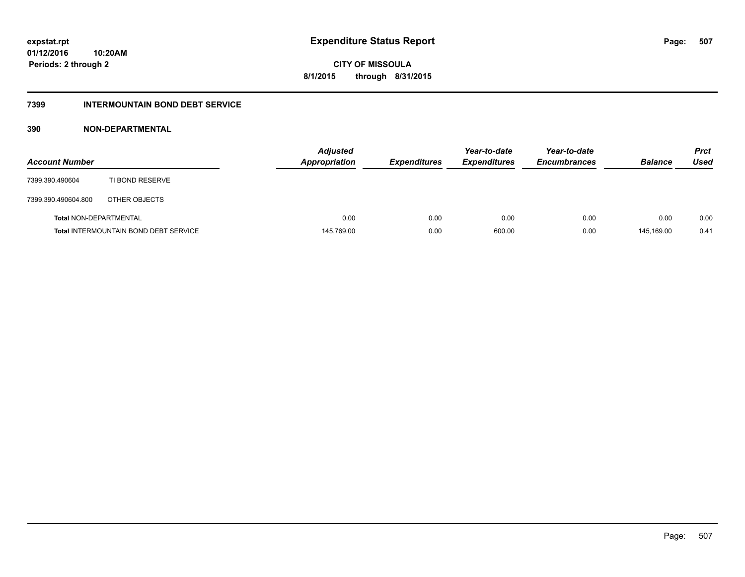## **7399 INTERMOUNTAIN BOND DEBT SERVICE**

## **390 NON-DEPARTMENTAL**

| <b>Account Number</b>         |                                              | <b>Adjusted</b><br><b>Appropriation</b> | <b>Expenditures</b> | Year-to-date<br><b>Expenditures</b> | Year-to-date<br><b>Encumbrances</b> | <b>Balance</b> | <b>Prct</b><br>Used |
|-------------------------------|----------------------------------------------|-----------------------------------------|---------------------|-------------------------------------|-------------------------------------|----------------|---------------------|
| 7399.390.490604               | TI BOND RESERVE                              |                                         |                     |                                     |                                     |                |                     |
| 7399.390.490604.800           | OTHER OBJECTS                                |                                         |                     |                                     |                                     |                |                     |
| <b>Total NON-DEPARTMENTAL</b> |                                              | 0.00                                    | 0.00                | 0.00                                | 0.00                                | 0.00           | 0.00                |
|                               | <b>Total INTERMOUNTAIN BOND DEBT SERVICE</b> | 145,769.00                              | 0.00                | 600.00                              | 0.00                                | 145.169.00     | 0.41                |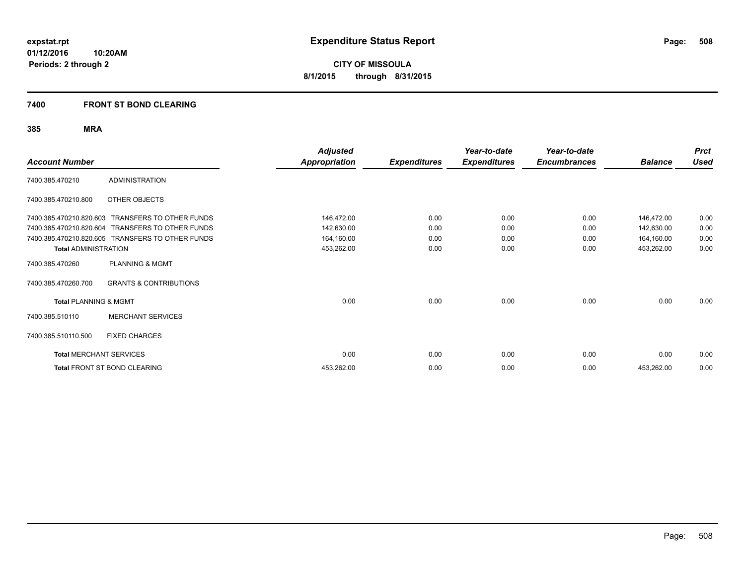## **7400 FRONT ST BOND CLEARING**

| <b>Account Number</b>            |                                                  | Adjusted<br><b>Appropriation</b> | <b>Expenditures</b> | Year-to-date<br><b>Expenditures</b> | Year-to-date<br><b>Encumbrances</b> | <b>Balance</b> | <b>Prct</b><br><b>Used</b> |
|----------------------------------|--------------------------------------------------|----------------------------------|---------------------|-------------------------------------|-------------------------------------|----------------|----------------------------|
| 7400.385.470210                  | <b>ADMINISTRATION</b>                            |                                  |                     |                                     |                                     |                |                            |
| 7400.385.470210.800              | OTHER OBJECTS                                    |                                  |                     |                                     |                                     |                |                            |
| 7400.385.470210.820.603          | <b>TRANSFERS TO OTHER FUNDS</b>                  | 146,472.00                       | 0.00                | 0.00                                | 0.00                                | 146,472.00     | 0.00                       |
| 7400.385.470210.820.604          | <b>TRANSFERS TO OTHER FUNDS</b>                  | 142,630.00                       | 0.00                | 0.00                                | 0.00                                | 142,630.00     | 0.00                       |
|                                  | 7400.385.470210.820.605 TRANSFERS TO OTHER FUNDS | 164,160.00                       | 0.00                | 0.00                                | 0.00                                | 164,160.00     | 0.00                       |
| <b>Total ADMINISTRATION</b>      |                                                  | 453,262.00                       | 0.00                | 0.00                                | 0.00                                | 453,262.00     | 0.00                       |
| 7400.385.470260                  | PLANNING & MGMT                                  |                                  |                     |                                     |                                     |                |                            |
| 7400.385.470260.700              | <b>GRANTS &amp; CONTRIBUTIONS</b>                |                                  |                     |                                     |                                     |                |                            |
| <b>Total PLANNING &amp; MGMT</b> |                                                  | 0.00                             | 0.00                | 0.00                                | 0.00                                | 0.00           | 0.00                       |
| 7400.385.510110                  | <b>MERCHANT SERVICES</b>                         |                                  |                     |                                     |                                     |                |                            |
| 7400.385.510110.500              | <b>FIXED CHARGES</b>                             |                                  |                     |                                     |                                     |                |                            |
| <b>Total MERCHANT SERVICES</b>   |                                                  | 0.00                             | 0.00                | 0.00                                | 0.00                                | 0.00           | 0.00                       |
|                                  | Total FRONT ST BOND CLEARING                     | 453,262.00                       | 0.00                | 0.00                                | 0.00                                | 453,262.00     | 0.00                       |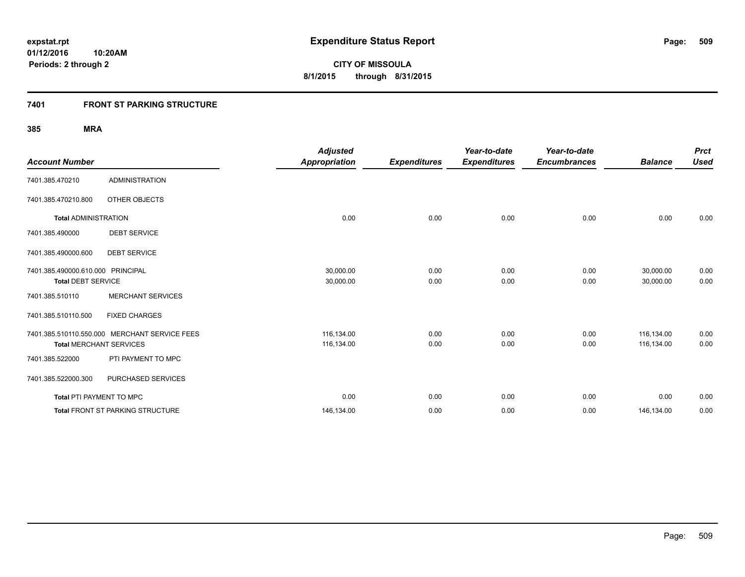## **7401 FRONT ST PARKING STRUCTURE**

| <b>Account Number</b>                                          |                                                                                 | <b>Adjusted</b><br><b>Appropriation</b> | <b>Expenditures</b> | Year-to-date<br><b>Expenditures</b> | Year-to-date<br><b>Encumbrances</b> | <b>Balance</b>           | <b>Prct</b><br><b>Used</b> |
|----------------------------------------------------------------|---------------------------------------------------------------------------------|-----------------------------------------|---------------------|-------------------------------------|-------------------------------------|--------------------------|----------------------------|
| 7401.385.470210                                                | <b>ADMINISTRATION</b>                                                           |                                         |                     |                                     |                                     |                          |                            |
| 7401.385.470210.800                                            | OTHER OBJECTS                                                                   |                                         |                     |                                     |                                     |                          |                            |
| <b>Total ADMINISTRATION</b>                                    |                                                                                 | 0.00                                    | 0.00                | 0.00                                | 0.00                                | 0.00                     | 0.00                       |
| 7401.385.490000                                                | <b>DEBT SERVICE</b>                                                             |                                         |                     |                                     |                                     |                          |                            |
| 7401.385.490000.600                                            | <b>DEBT SERVICE</b>                                                             |                                         |                     |                                     |                                     |                          |                            |
| 7401.385.490000.610.000 PRINCIPAL<br><b>Total DEBT SERVICE</b> |                                                                                 | 30,000.00<br>30,000.00                  | 0.00<br>0.00        | 0.00<br>0.00                        | 0.00<br>0.00                        | 30,000.00<br>30,000.00   | 0.00<br>0.00               |
| 7401.385.510110                                                | <b>MERCHANT SERVICES</b>                                                        |                                         |                     |                                     |                                     |                          |                            |
| 7401.385.510110.500                                            | <b>FIXED CHARGES</b>                                                            |                                         |                     |                                     |                                     |                          |                            |
|                                                                | 7401.385.510110.550.000 MERCHANT SERVICE FEES<br><b>Total MERCHANT SERVICES</b> | 116,134.00<br>116,134.00                | 0.00<br>0.00        | 0.00<br>0.00                        | 0.00<br>0.00                        | 116,134.00<br>116,134.00 | 0.00<br>0.00               |
| 7401.385.522000                                                | PTI PAYMENT TO MPC                                                              |                                         |                     |                                     |                                     |                          |                            |
| 7401.385.522000.300                                            | PURCHASED SERVICES                                                              |                                         |                     |                                     |                                     |                          |                            |
| Total PTI PAYMENT TO MPC                                       |                                                                                 | 0.00                                    | 0.00                | 0.00                                | 0.00                                | 0.00                     | 0.00                       |
|                                                                | Total FRONT ST PARKING STRUCTURE                                                | 146,134.00                              | 0.00                | 0.00                                | 0.00                                | 146,134.00               | 0.00                       |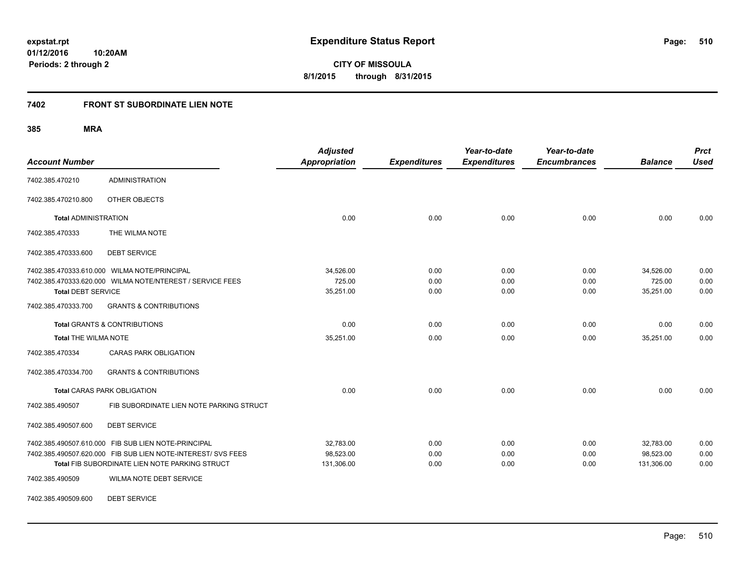**510**

**01/12/2016 10:20AM Periods: 2 through 2**

**CITY OF MISSOULA 8/1/2015 through 8/31/2015**

## **7402 FRONT ST SUBORDINATE LIEN NOTE**

**385 MRA**

| <b>Account Number</b>                   |                                                              | <b>Adjusted</b><br>Appropriation | <b>Expenditures</b> | Year-to-date<br><b>Expenditures</b> | Year-to-date<br><b>Encumbrances</b> | <b>Balance</b> | <b>Prct</b><br><b>Used</b> |
|-----------------------------------------|--------------------------------------------------------------|----------------------------------|---------------------|-------------------------------------|-------------------------------------|----------------|----------------------------|
| 7402.385.470210                         | <b>ADMINISTRATION</b>                                        |                                  |                     |                                     |                                     |                |                            |
| 7402.385.470210.800                     | OTHER OBJECTS                                                |                                  |                     |                                     |                                     |                |                            |
| <b>Total ADMINISTRATION</b>             |                                                              | 0.00                             | 0.00                | 0.00                                | 0.00                                | 0.00           | 0.00                       |
| 7402.385.470333                         | THE WILMA NOTE                                               |                                  |                     |                                     |                                     |                |                            |
| 7402.385.470333.600                     | <b>DEBT SERVICE</b>                                          |                                  |                     |                                     |                                     |                |                            |
|                                         | 7402.385.470333.610.000 WILMA NOTE/PRINCIPAL                 | 34,526.00                        | 0.00                | 0.00                                | 0.00                                | 34,526.00      | 0.00                       |
|                                         | 7402.385.470333.620.000 WILMA NOTE/NTEREST / SERVICE FEES    | 725.00                           | 0.00                | 0.00                                | 0.00                                | 725.00         | 0.00                       |
| <b>Total DEBT SERVICE</b>               |                                                              | 35,251.00                        | 0.00                | 0.00                                | 0.00                                | 35,251.00      | 0.00                       |
| 7402.385.470333.700                     | <b>GRANTS &amp; CONTRIBUTIONS</b>                            |                                  |                     |                                     |                                     |                |                            |
| <b>Total GRANTS &amp; CONTRIBUTIONS</b> |                                                              | 0.00                             | 0.00                | 0.00                                | 0.00                                | 0.00           | 0.00                       |
| <b>Total THE WILMA NOTE</b>             |                                                              | 35,251.00                        | 0.00                | 0.00                                | 0.00                                | 35,251.00      | 0.00                       |
| 7402.385.470334                         | <b>CARAS PARK OBLIGATION</b>                                 |                                  |                     |                                     |                                     |                |                            |
| 7402.385.470334.700                     | <b>GRANTS &amp; CONTRIBUTIONS</b>                            |                                  |                     |                                     |                                     |                |                            |
|                                         | <b>Total CARAS PARK OBLIGATION</b>                           | 0.00                             | 0.00                | 0.00                                | 0.00                                | 0.00           | 0.00                       |
| 7402.385.490507                         | FIB SUBORDINATE LIEN NOTE PARKING STRUCT                     |                                  |                     |                                     |                                     |                |                            |
| 7402.385.490507.600                     | <b>DEBT SERVICE</b>                                          |                                  |                     |                                     |                                     |                |                            |
|                                         | 7402.385.490507.610.000 FIB SUB LIEN NOTE-PRINCIPAL          | 32,783.00                        | 0.00                | 0.00                                | 0.00                                | 32,783.00      | 0.00                       |
|                                         | 7402.385.490507.620.000 FIB SUB LIEN NOTE-INTEREST/ SVS FEES | 98,523.00                        | 0.00                | 0.00                                | 0.00                                | 98,523.00      | 0.00                       |
|                                         | Total FIB SUBORDINATE LIEN NOTE PARKING STRUCT               | 131,306.00                       | 0.00                | 0.00                                | 0.00                                | 131,306.00     | 0.00                       |
| 7402.385.490509                         | WILMA NOTE DEBT SERVICE                                      |                                  |                     |                                     |                                     |                |                            |

7402.385.490509.600 DEBT SERVICE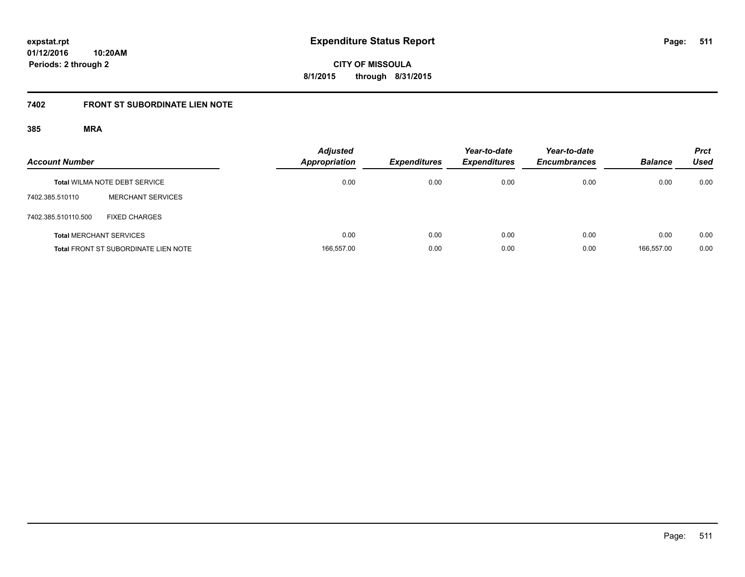**CITY OF MISSOULA 8/1/2015 through 8/31/2015**

# **7402 FRONT ST SUBORDINATE LIEN NOTE**

| <b>Account Number</b> |                                             | <b>Adjusted</b><br>Appropriation | <b>Expenditures</b> | Year-to-date<br><b>Expenditures</b> | Year-to-date<br><b>Encumbrances</b> | <b>Balance</b> | <b>Prct</b><br><b>Used</b> |
|-----------------------|---------------------------------------------|----------------------------------|---------------------|-------------------------------------|-------------------------------------|----------------|----------------------------|
|                       | <b>Total WILMA NOTE DEBT SERVICE</b>        | 0.00                             | 0.00                | 0.00                                | 0.00                                | 0.00           | 0.00                       |
| 7402.385.510110       | <b>MERCHANT SERVICES</b>                    |                                  |                     |                                     |                                     |                |                            |
| 7402.385.510110.500   | <b>FIXED CHARGES</b>                        |                                  |                     |                                     |                                     |                |                            |
|                       | <b>Total MERCHANT SERVICES</b>              | 0.00                             | 0.00                | 0.00                                | 0.00                                | 0.00           | 0.00                       |
|                       | <b>Total FRONT ST SUBORDINATE LIEN NOTE</b> | 166,557.00                       | 0.00                | 0.00                                | 0.00                                | 166.557.00     | 0.00                       |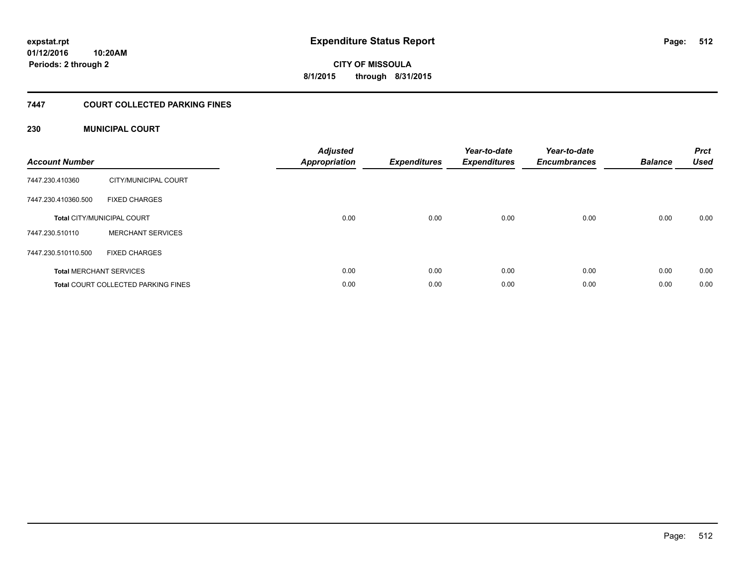#### **01/12/2016 10:20AM**

**Periods: 2 through 2**

**512**

**CITY OF MISSOULA 8/1/2015 through 8/31/2015**

## **7447 COURT COLLECTED PARKING FINES**

## **230 MUNICIPAL COURT**

| <b>Account Number</b> |                                            | <b>Adjusted</b><br><b>Appropriation</b> | <b>Expenditures</b> | Year-to-date<br><b>Expenditures</b> | Year-to-date<br><b>Encumbrances</b> | <b>Balance</b> | <b>Prct</b><br><b>Used</b> |
|-----------------------|--------------------------------------------|-----------------------------------------|---------------------|-------------------------------------|-------------------------------------|----------------|----------------------------|
| 7447.230.410360       | CITY/MUNICIPAL COURT                       |                                         |                     |                                     |                                     |                |                            |
| 7447.230.410360.500   | <b>FIXED CHARGES</b>                       |                                         |                     |                                     |                                     |                |                            |
|                       | <b>Total CITY/MUNICIPAL COURT</b>          | 0.00                                    | 0.00                | 0.00                                | 0.00                                | 0.00           | 0.00                       |
| 7447.230.510110       | <b>MERCHANT SERVICES</b>                   |                                         |                     |                                     |                                     |                |                            |
| 7447.230.510110.500   | <b>FIXED CHARGES</b>                       |                                         |                     |                                     |                                     |                |                            |
|                       | <b>Total MERCHANT SERVICES</b>             | 0.00                                    | 0.00                | 0.00                                | 0.00                                | 0.00           | 0.00                       |
|                       | <b>Total COURT COLLECTED PARKING FINES</b> | 0.00                                    | 0.00                | 0.00                                | 0.00                                | 0.00           | 0.00                       |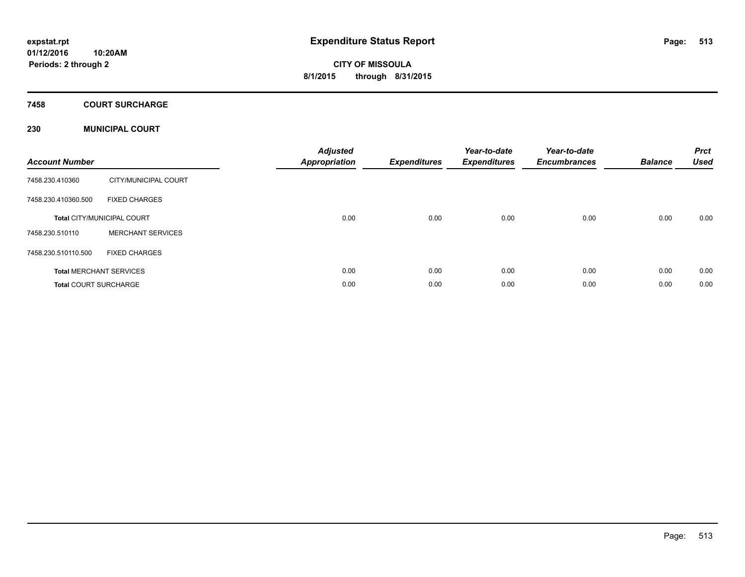#### **7458 COURT SURCHARGE**

## **230 MUNICIPAL COURT**

| <b>Account Number</b>        |                                   | <b>Adjusted</b><br><b>Appropriation</b> | <b>Expenditures</b> | Year-to-date<br><b>Expenditures</b> | Year-to-date<br><b>Encumbrances</b> | <b>Balance</b> | <b>Prct</b><br><b>Used</b> |
|------------------------------|-----------------------------------|-----------------------------------------|---------------------|-------------------------------------|-------------------------------------|----------------|----------------------------|
| 7458.230.410360              | CITY/MUNICIPAL COURT              |                                         |                     |                                     |                                     |                |                            |
| 7458.230.410360.500          | <b>FIXED CHARGES</b>              |                                         |                     |                                     |                                     |                |                            |
|                              | <b>Total CITY/MUNICIPAL COURT</b> | 0.00                                    | 0.00                | 0.00                                | 0.00                                | 0.00           | 0.00                       |
| 7458.230.510110              | <b>MERCHANT SERVICES</b>          |                                         |                     |                                     |                                     |                |                            |
| 7458.230.510110.500          | <b>FIXED CHARGES</b>              |                                         |                     |                                     |                                     |                |                            |
|                              | <b>Total MERCHANT SERVICES</b>    | 0.00                                    | 0.00                | 0.00                                | 0.00                                | 0.00           | 0.00                       |
| <b>Total COURT SURCHARGE</b> |                                   | 0.00                                    | 0.00                | 0.00                                | 0.00                                | 0.00           | 0.00                       |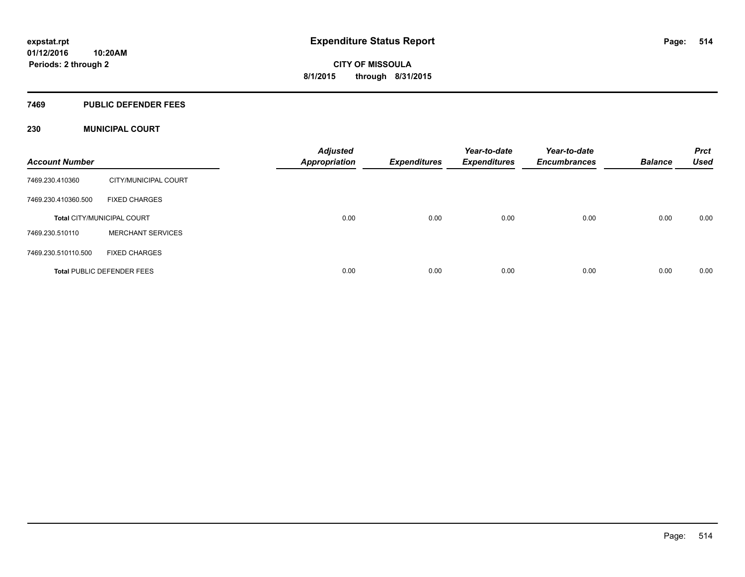#### **7469 PUBLIC DEFENDER FEES**

## **230 MUNICIPAL COURT**

| <b>Account Number</b> |                                   | <b>Adjusted</b><br>Appropriation | <b>Expenditures</b> | Year-to-date<br><b>Expenditures</b> | Year-to-date<br><b>Encumbrances</b> | <b>Balance</b> | <b>Prct</b><br><b>Used</b> |
|-----------------------|-----------------------------------|----------------------------------|---------------------|-------------------------------------|-------------------------------------|----------------|----------------------------|
| 7469.230.410360       | CITY/MUNICIPAL COURT              |                                  |                     |                                     |                                     |                |                            |
| 7469.230.410360.500   | <b>FIXED CHARGES</b>              |                                  |                     |                                     |                                     |                |                            |
|                       | <b>Total CITY/MUNICIPAL COURT</b> | 0.00                             | 0.00                | 0.00                                | 0.00                                | 0.00           | 0.00                       |
| 7469.230.510110       | <b>MERCHANT SERVICES</b>          |                                  |                     |                                     |                                     |                |                            |
| 7469.230.510110.500   | <b>FIXED CHARGES</b>              |                                  |                     |                                     |                                     |                |                            |
|                       | <b>Total PUBLIC DEFENDER FEES</b> | 0.00                             | 0.00                | 0.00                                | 0.00                                | 0.00           | 0.00                       |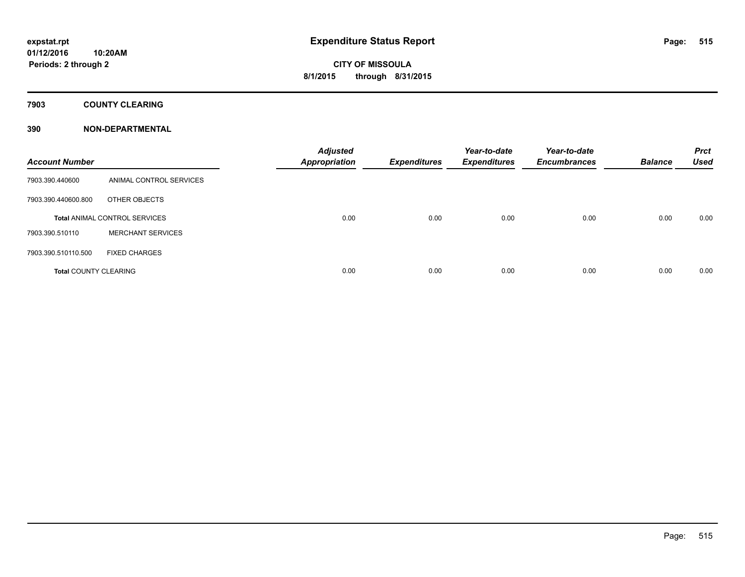**7903 COUNTY CLEARING**

## **390 NON-DEPARTMENTAL**

| <b>Account Number</b>        |                                      | <b>Adjusted</b><br>Appropriation | <b>Expenditures</b> | Year-to-date<br><b>Expenditures</b> | Year-to-date<br><b>Encumbrances</b> | <b>Balance</b> | <b>Prct</b><br><b>Used</b> |
|------------------------------|--------------------------------------|----------------------------------|---------------------|-------------------------------------|-------------------------------------|----------------|----------------------------|
| 7903.390.440600              | ANIMAL CONTROL SERVICES              |                                  |                     |                                     |                                     |                |                            |
| 7903.390.440600.800          | OTHER OBJECTS                        |                                  |                     |                                     |                                     |                |                            |
|                              | <b>Total ANIMAL CONTROL SERVICES</b> | 0.00                             | 0.00                | 0.00                                | 0.00                                | 0.00           | 0.00                       |
| 7903.390.510110              | <b>MERCHANT SERVICES</b>             |                                  |                     |                                     |                                     |                |                            |
| 7903.390.510110.500          | <b>FIXED CHARGES</b>                 |                                  |                     |                                     |                                     |                |                            |
| <b>Total COUNTY CLEARING</b> |                                      | 0.00                             | 0.00                | 0.00                                | 0.00                                | 0.00           | 0.00                       |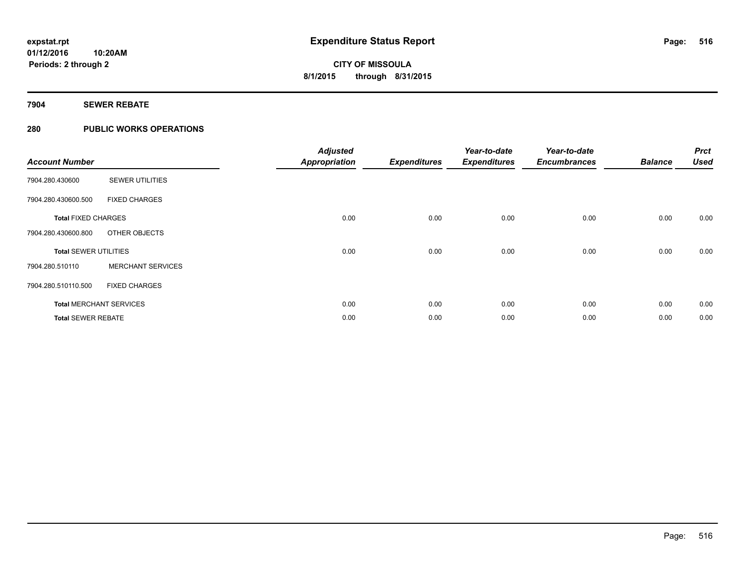## **7904 SEWER REBATE**

## **280 PUBLIC WORKS OPERATIONS**

| <b>Account Number</b>        |                                | <b>Adjusted</b><br><b>Appropriation</b> | <b>Expenditures</b> | Year-to-date<br><b>Expenditures</b> | Year-to-date<br><b>Encumbrances</b> | <b>Balance</b> | <b>Prct</b><br><b>Used</b> |
|------------------------------|--------------------------------|-----------------------------------------|---------------------|-------------------------------------|-------------------------------------|----------------|----------------------------|
| 7904.280.430600              | <b>SEWER UTILITIES</b>         |                                         |                     |                                     |                                     |                |                            |
| 7904.280.430600.500          | <b>FIXED CHARGES</b>           |                                         |                     |                                     |                                     |                |                            |
| <b>Total FIXED CHARGES</b>   |                                | 0.00                                    | 0.00                | 0.00                                | 0.00                                | 0.00           | 0.00                       |
| 7904.280.430600.800          | OTHER OBJECTS                  |                                         |                     |                                     |                                     |                |                            |
| <b>Total SEWER UTILITIES</b> |                                | 0.00                                    | 0.00                | 0.00                                | 0.00                                | 0.00           | 0.00                       |
| 7904.280.510110              | <b>MERCHANT SERVICES</b>       |                                         |                     |                                     |                                     |                |                            |
| 7904.280.510110.500          | <b>FIXED CHARGES</b>           |                                         |                     |                                     |                                     |                |                            |
|                              | <b>Total MERCHANT SERVICES</b> | 0.00                                    | 0.00                | 0.00                                | 0.00                                | 0.00           | 0.00                       |
| <b>Total SEWER REBATE</b>    |                                | 0.00                                    | 0.00                | 0.00                                | 0.00                                | 0.00           | 0.00                       |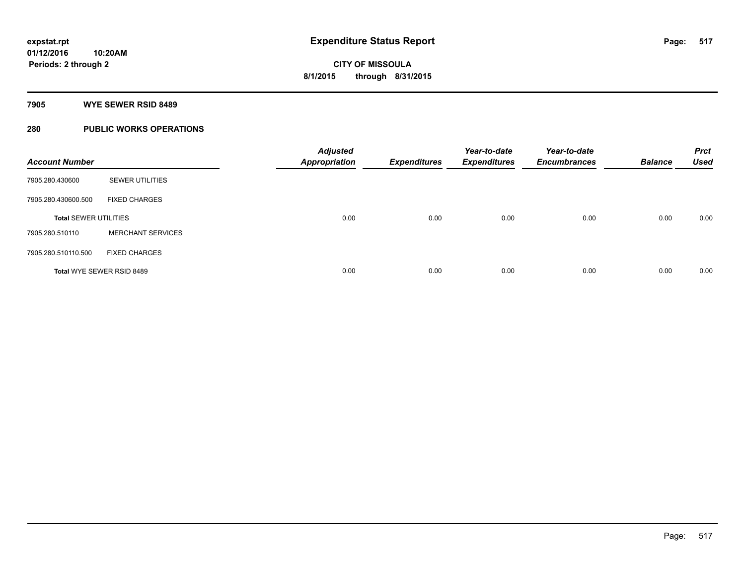#### **7905 WYE SEWER RSID 8489**

# **280 PUBLIC WORKS OPERATIONS**

| <b>Account Number</b>        |                          | <b>Adjusted</b><br><b>Appropriation</b> | <b>Expenditures</b> | Year-to-date<br><b>Expenditures</b> | Year-to-date<br><b>Encumbrances</b> | <b>Balance</b> | <b>Prct</b><br><b>Used</b> |
|------------------------------|--------------------------|-----------------------------------------|---------------------|-------------------------------------|-------------------------------------|----------------|----------------------------|
| 7905.280.430600              | <b>SEWER UTILITIES</b>   |                                         |                     |                                     |                                     |                |                            |
| 7905.280.430600.500          | <b>FIXED CHARGES</b>     |                                         |                     |                                     |                                     |                |                            |
| <b>Total SEWER UTILITIES</b> |                          | 0.00                                    | 0.00                | 0.00                                | 0.00                                | 0.00           | 0.00                       |
| 7905.280.510110              | <b>MERCHANT SERVICES</b> |                                         |                     |                                     |                                     |                |                            |
| 7905.280.510110.500          | <b>FIXED CHARGES</b>     |                                         |                     |                                     |                                     |                |                            |
| Total WYE SEWER RSID 8489    |                          | 0.00                                    | 0.00                | 0.00                                | 0.00                                | 0.00           | 0.00                       |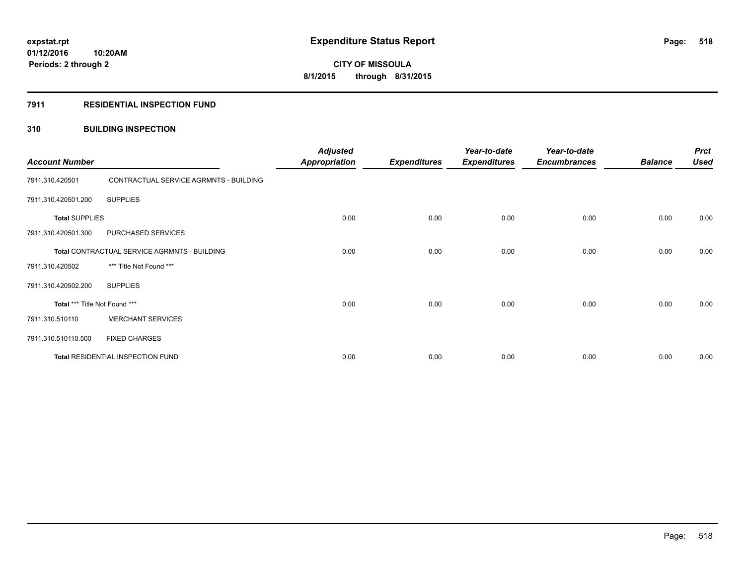#### **7911 RESIDENTIAL INSPECTION FUND**

## **310 BUILDING INSPECTION**

| <b>Account Number</b>                        |                                        | <b>Adjusted</b><br><b>Appropriation</b> | <b>Expenditures</b> | Year-to-date<br><b>Expenditures</b> | Year-to-date<br><b>Encumbrances</b> | <b>Balance</b> | <b>Prct</b><br><b>Used</b> |
|----------------------------------------------|----------------------------------------|-----------------------------------------|---------------------|-------------------------------------|-------------------------------------|----------------|----------------------------|
| 7911.310.420501                              | CONTRACTUAL SERVICE AGRMNTS - BUILDING |                                         |                     |                                     |                                     |                |                            |
| 7911.310.420501.200                          | <b>SUPPLIES</b>                        |                                         |                     |                                     |                                     |                |                            |
| <b>Total SUPPLIES</b>                        |                                        | 0.00                                    | 0.00                | 0.00                                | 0.00                                | 0.00           | 0.00                       |
| 7911.310.420501.300                          | PURCHASED SERVICES                     |                                         |                     |                                     |                                     |                |                            |
| Total CONTRACTUAL SERVICE AGRMNTS - BUILDING |                                        | 0.00                                    | 0.00                | 0.00                                | 0.00                                | 0.00           | 0.00                       |
| 7911.310.420502                              | *** Title Not Found ***                |                                         |                     |                                     |                                     |                |                            |
| 7911.310.420502.200                          | <b>SUPPLIES</b>                        |                                         |                     |                                     |                                     |                |                            |
| Total *** Title Not Found ***                |                                        | 0.00                                    | 0.00                | 0.00                                | 0.00                                | 0.00           | 0.00                       |
| 7911.310.510110                              | <b>MERCHANT SERVICES</b>               |                                         |                     |                                     |                                     |                |                            |
| 7911.310.510110.500                          | <b>FIXED CHARGES</b>                   |                                         |                     |                                     |                                     |                |                            |
| Total RESIDENTIAL INSPECTION FUND            |                                        | 0.00                                    | 0.00                | 0.00                                | 0.00                                | 0.00           | 0.00                       |